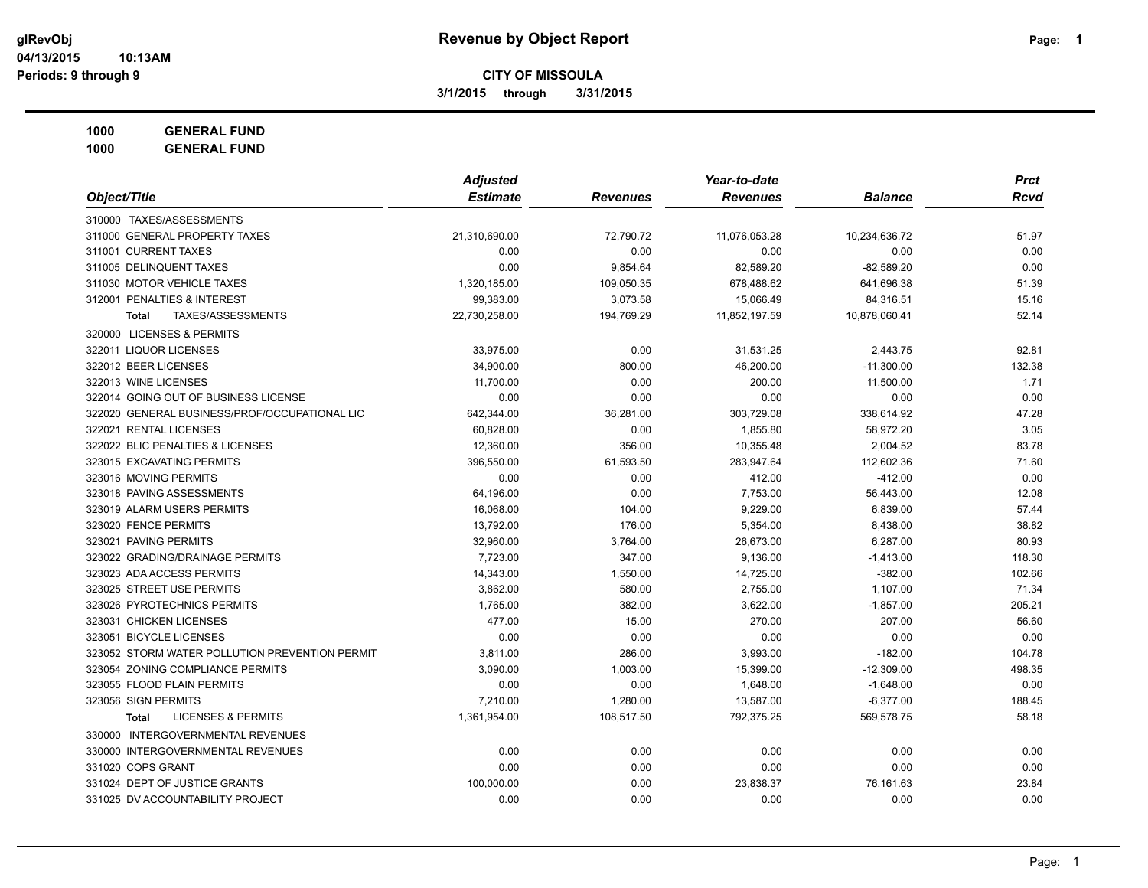**3/1/2015 through 3/31/2015**

**1000 GENERAL FUND**

|                                                | <b>Adjusted</b> |                 | Year-to-date    |                | <b>Prct</b> |
|------------------------------------------------|-----------------|-----------------|-----------------|----------------|-------------|
| Object/Title                                   | <b>Estimate</b> | <b>Revenues</b> | <b>Revenues</b> | <b>Balance</b> | <b>Rcvd</b> |
| 310000 TAXES/ASSESSMENTS                       |                 |                 |                 |                |             |
| 311000 GENERAL PROPERTY TAXES                  | 21,310,690.00   | 72,790.72       | 11,076,053.28   | 10,234,636.72  | 51.97       |
| 311001 CURRENT TAXES                           | 0.00            | 0.00            | 0.00            | 0.00           | 0.00        |
| 311005 DELINQUENT TAXES                        | 0.00            | 9,854.64        | 82,589.20       | $-82,589.20$   | 0.00        |
| 311030 MOTOR VEHICLE TAXES                     | 1,320,185.00    | 109,050.35      | 678,488.62      | 641,696.38     | 51.39       |
| 312001 PENALTIES & INTEREST                    | 99,383.00       | 3,073.58        | 15,066.49       | 84,316.51      | 15.16       |
| TAXES/ASSESSMENTS<br><b>Total</b>              | 22,730,258.00   | 194,769.29      | 11,852,197.59   | 10,878,060.41  | 52.14       |
| 320000 LICENSES & PERMITS                      |                 |                 |                 |                |             |
| 322011 LIQUOR LICENSES                         | 33,975.00       | 0.00            | 31,531.25       | 2,443.75       | 92.81       |
| 322012 BEER LICENSES                           | 34,900.00       | 800.00          | 46,200.00       | $-11,300.00$   | 132.38      |
| 322013 WINE LICENSES                           | 11,700.00       | 0.00            | 200.00          | 11,500.00      | 1.71        |
| 322014 GOING OUT OF BUSINESS LICENSE           | 0.00            | 0.00            | 0.00            | 0.00           | 0.00        |
| 322020 GENERAL BUSINESS/PROF/OCCUPATIONAL LIC  | 642,344.00      | 36,281.00       | 303,729.08      | 338,614.92     | 47.28       |
| 322021 RENTAL LICENSES                         | 60,828.00       | 0.00            | 1,855.80        | 58,972.20      | 3.05        |
| 322022 BLIC PENALTIES & LICENSES               | 12,360.00       | 356.00          | 10,355.48       | 2,004.52       | 83.78       |
| 323015 EXCAVATING PERMITS                      | 396,550.00      | 61,593.50       | 283,947.64      | 112,602.36     | 71.60       |
| 323016 MOVING PERMITS                          | 0.00            | 0.00            | 412.00          | $-412.00$      | 0.00        |
| 323018 PAVING ASSESSMENTS                      | 64,196.00       | 0.00            | 7,753.00        | 56,443.00      | 12.08       |
| 323019 ALARM USERS PERMITS                     | 16,068.00       | 104.00          | 9.229.00        | 6,839.00       | 57.44       |
| 323020 FENCE PERMITS                           | 13,792.00       | 176.00          | 5.354.00        | 8,438.00       | 38.82       |
| 323021 PAVING PERMITS                          | 32,960.00       | 3,764.00        | 26,673.00       | 6,287.00       | 80.93       |
| 323022 GRADING/DRAINAGE PERMITS                | 7,723.00        | 347.00          | 9,136.00        | $-1,413.00$    | 118.30      |
| 323023 ADA ACCESS PERMITS                      | 14,343.00       | 1,550.00        | 14,725.00       | $-382.00$      | 102.66      |
| 323025 STREET USE PERMITS                      | 3,862.00        | 580.00          | 2,755.00        | 1,107.00       | 71.34       |
| 323026 PYROTECHNICS PERMITS                    | 1,765.00        | 382.00          | 3,622.00        | $-1,857.00$    | 205.21      |
| 323031 CHICKEN LICENSES                        | 477.00          | 15.00           | 270.00          | 207.00         | 56.60       |
| 323051 BICYCLE LICENSES                        | 0.00            | 0.00            | 0.00            | 0.00           | 0.00        |
| 323052 STORM WATER POLLUTION PREVENTION PERMIT | 3,811.00        | 286.00          | 3,993.00        | $-182.00$      | 104.78      |
| 323054 ZONING COMPLIANCE PERMITS               | 3,090.00        | 1,003.00        | 15,399.00       | $-12,309.00$   | 498.35      |
| 323055 FLOOD PLAIN PERMITS                     | 0.00            | 0.00            | 1,648.00        | $-1,648.00$    | 0.00        |
| 323056 SIGN PERMITS                            | 7,210.00        | 1,280.00        | 13,587.00       | $-6,377.00$    | 188.45      |
| <b>LICENSES &amp; PERMITS</b><br>Total         | 1,361,954.00    | 108,517.50      | 792,375.25      | 569,578.75     | 58.18       |
| 330000 INTERGOVERNMENTAL REVENUES              |                 |                 |                 |                |             |
| 330000 INTERGOVERNMENTAL REVENUES              | 0.00            | 0.00            | 0.00            | 0.00           | 0.00        |
| 331020 COPS GRANT                              | 0.00            | 0.00            | 0.00            | 0.00           | 0.00        |
| 331024 DEPT OF JUSTICE GRANTS                  | 100,000.00      | 0.00            | 23,838.37       | 76,161.63      | 23.84       |
| 331025 DV ACCOUNTABILITY PROJECT               | 0.00            | 0.00            | 0.00            | 0.00           | 0.00        |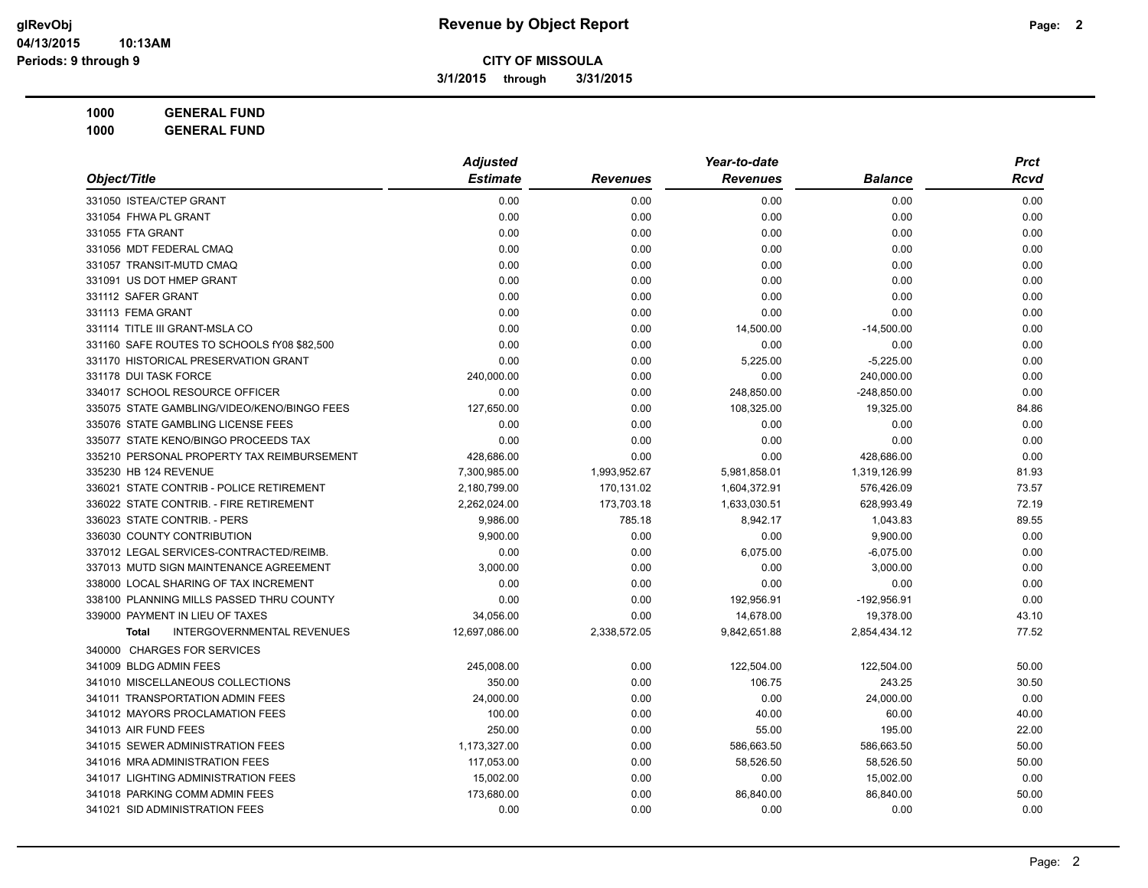**3/1/2015 through 3/31/2015**

|                                                   | <b>Adjusted</b> |                 | Year-to-date    |                | Prct  |
|---------------------------------------------------|-----------------|-----------------|-----------------|----------------|-------|
| Object/Title                                      | <b>Estimate</b> | <b>Revenues</b> | <b>Revenues</b> | <b>Balance</b> | Rcvd  |
| 331050 ISTEA/CTEP GRANT                           | 0.00            | 0.00            | 0.00            | 0.00           | 0.00  |
| 331054 FHWA PL GRANT                              | 0.00            | 0.00            | 0.00            | 0.00           | 0.00  |
| 331055 FTA GRANT                                  | 0.00            | 0.00            | 0.00            | 0.00           | 0.00  |
| 331056 MDT FEDERAL CMAQ                           | 0.00            | 0.00            | 0.00            | 0.00           | 0.00  |
| 331057 TRANSIT-MUTD CMAQ                          | 0.00            | 0.00            | 0.00            | 0.00           | 0.00  |
| 331091 US DOT HMEP GRANT                          | 0.00            | 0.00            | 0.00            | 0.00           | 0.00  |
| 331112 SAFER GRANT                                | 0.00            | 0.00            | 0.00            | 0.00           | 0.00  |
| 331113 FEMA GRANT                                 | 0.00            | 0.00            | 0.00            | 0.00           | 0.00  |
| 331114 TITLE III GRANT-MSLA CO                    | 0.00            | 0.00            | 14,500.00       | $-14,500.00$   | 0.00  |
| 331160 SAFE ROUTES TO SCHOOLS fY08 \$82,500       | 0.00            | 0.00            | 0.00            | 0.00           | 0.00  |
| 331170 HISTORICAL PRESERVATION GRANT              | 0.00            | 0.00            | 5,225.00        | $-5,225.00$    | 0.00  |
| 331178 DUI TASK FORCE                             | 240,000.00      | 0.00            | 0.00            | 240,000.00     | 0.00  |
| 334017 SCHOOL RESOURCE OFFICER                    | 0.00            | 0.00            | 248,850.00      | $-248,850.00$  | 0.00  |
| 335075 STATE GAMBLING/VIDEO/KENO/BINGO FEES       | 127,650.00      | 0.00            | 108,325.00      | 19,325.00      | 84.86 |
| 335076 STATE GAMBLING LICENSE FEES                | 0.00            | 0.00            | 0.00            | 0.00           | 0.00  |
| 335077 STATE KENO/BINGO PROCEEDS TAX              | 0.00            | 0.00            | 0.00            | 0.00           | 0.00  |
| 335210 PERSONAL PROPERTY TAX REIMBURSEMENT        | 428,686.00      | 0.00            | 0.00            | 428,686.00     | 0.00  |
| 335230 HB 124 REVENUE                             | 7,300,985.00    | 1,993,952.67    | 5,981,858.01    | 1,319,126.99   | 81.93 |
| 336021 STATE CONTRIB - POLICE RETIREMENT          | 2,180,799.00    | 170,131.02      | 1,604,372.91    | 576,426.09     | 73.57 |
| 336022 STATE CONTRIB. - FIRE RETIREMENT           | 2,262,024.00    | 173,703.18      | 1,633,030.51    | 628,993.49     | 72.19 |
| 336023 STATE CONTRIB. - PERS                      | 9,986.00        | 785.18          | 8,942.17        | 1,043.83       | 89.55 |
| 336030 COUNTY CONTRIBUTION                        | 9,900.00        | 0.00            | 0.00            | 9,900.00       | 0.00  |
| 337012 LEGAL SERVICES-CONTRACTED/REIMB.           | 0.00            | 0.00            | 6,075.00        | $-6,075.00$    | 0.00  |
| 337013 MUTD SIGN MAINTENANCE AGREEMENT            | 3,000.00        | 0.00            | 0.00            | 3,000.00       | 0.00  |
| 338000 LOCAL SHARING OF TAX INCREMENT             | 0.00            | 0.00            | 0.00            | 0.00           | 0.00  |
| 338100 PLANNING MILLS PASSED THRU COUNTY          | 0.00            | 0.00            | 192,956.91      | $-192,956.91$  | 0.00  |
| 339000 PAYMENT IN LIEU OF TAXES                   | 34,056.00       | 0.00            | 14,678.00       | 19,378.00      | 43.10 |
| <b>INTERGOVERNMENTAL REVENUES</b><br><b>Total</b> | 12,697,086.00   | 2,338,572.05    | 9,842,651.88    | 2,854,434.12   | 77.52 |
| 340000 CHARGES FOR SERVICES                       |                 |                 |                 |                |       |
| 341009 BLDG ADMIN FEES                            | 245,008.00      | 0.00            | 122,504.00      | 122,504.00     | 50.00 |
| 341010 MISCELLANEOUS COLLECTIONS                  | 350.00          | 0.00            | 106.75          | 243.25         | 30.50 |
| 341011 TRANSPORTATION ADMIN FEES                  | 24,000.00       | 0.00            | 0.00            | 24,000.00      | 0.00  |
| 341012 MAYORS PROCLAMATION FEES                   | 100.00          | 0.00            | 40.00           | 60.00          | 40.00 |
| 341013 AIR FUND FEES                              | 250.00          | 0.00            | 55.00           | 195.00         | 22.00 |
| 341015 SEWER ADMINISTRATION FEES                  | 1,173,327.00    | 0.00            | 586,663.50      | 586,663.50     | 50.00 |
| 341016 MRA ADMINISTRATION FEES                    | 117,053.00      | 0.00            | 58,526.50       | 58,526.50      | 50.00 |
| 341017 LIGHTING ADMINISTRATION FEES               | 15,002.00       | 0.00            | 0.00            | 15,002.00      | 0.00  |
| 341018 PARKING COMM ADMIN FEES                    | 173,680.00      | 0.00            | 86,840.00       | 86,840.00      | 50.00 |
| 341021 SID ADMINISTRATION FEES                    | 0.00            | 0.00            | 0.00            | 0.00           | 0.00  |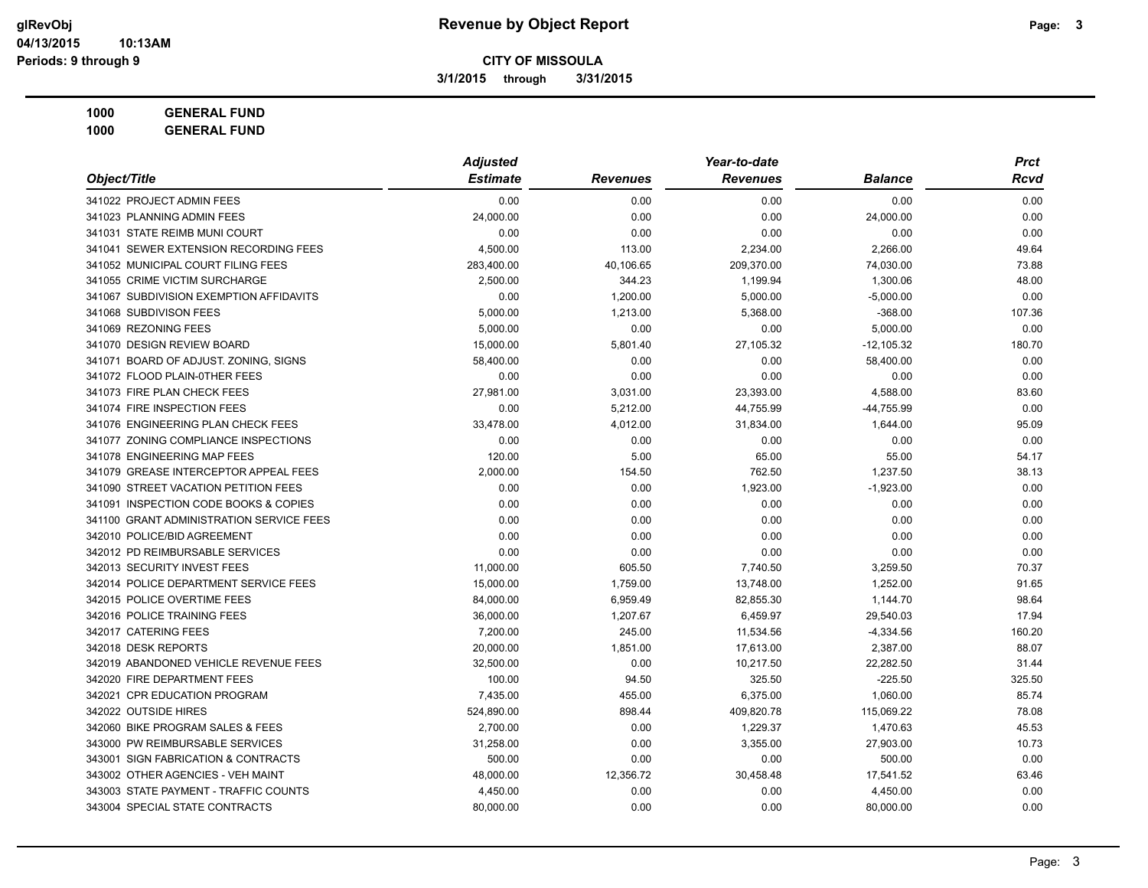**3/1/2015 through 3/31/2015**

| Object/Title                             | <b>Adjusted</b> |                 | Year-to-date    |                |        |  |
|------------------------------------------|-----------------|-----------------|-----------------|----------------|--------|--|
|                                          | <b>Estimate</b> | <b>Revenues</b> | <b>Revenues</b> | <b>Balance</b> | Rcvd   |  |
| 341022 PROJECT ADMIN FEES                | 0.00            | 0.00            | 0.00            | 0.00           | 0.00   |  |
| 341023 PLANNING ADMIN FEES               | 24,000.00       | 0.00            | 0.00            | 24,000.00      | 0.00   |  |
| 341031 STATE REIMB MUNI COURT            | 0.00            | 0.00            | 0.00            | 0.00           | 0.00   |  |
| 341041 SEWER EXTENSION RECORDING FEES    | 4,500.00        | 113.00          | 2,234.00        | 2,266.00       | 49.64  |  |
| 341052 MUNICIPAL COURT FILING FEES       | 283,400.00      | 40,106.65       | 209,370.00      | 74,030.00      | 73.88  |  |
| 341055 CRIME VICTIM SURCHARGE            | 2,500.00        | 344.23          | 1,199.94        | 1,300.06       | 48.00  |  |
| 341067 SUBDIVISION EXEMPTION AFFIDAVITS  | 0.00            | 1,200.00        | 5,000.00        | $-5,000.00$    | 0.00   |  |
| 341068 SUBDIVISON FEES                   | 5,000.00        | 1,213.00        | 5,368.00        | $-368.00$      | 107.36 |  |
| 341069 REZONING FEES                     | 5,000.00        | 0.00            | 0.00            | 5,000.00       | 0.00   |  |
| 341070 DESIGN REVIEW BOARD               | 15,000.00       | 5,801.40        | 27,105.32       | $-12,105.32$   | 180.70 |  |
| 341071 BOARD OF ADJUST. ZONING, SIGNS    | 58,400.00       | 0.00            | 0.00            | 58,400.00      | 0.00   |  |
| 341072 FLOOD PLAIN-0THER FEES            | 0.00            | 0.00            | 0.00            | 0.00           | 0.00   |  |
| 341073 FIRE PLAN CHECK FEES              | 27,981.00       | 3,031.00        | 23,393.00       | 4,588.00       | 83.60  |  |
| 341074 FIRE INSPECTION FEES              | 0.00            | 5,212.00        | 44,755.99       | $-44,755.99$   | 0.00   |  |
| 341076 ENGINEERING PLAN CHECK FEES       | 33,478.00       | 4,012.00        | 31,834.00       | 1,644.00       | 95.09  |  |
| 341077 ZONING COMPLIANCE INSPECTIONS     | 0.00            | 0.00            | 0.00            | 0.00           | 0.00   |  |
| 341078 ENGINEERING MAP FEES              | 120.00          | 5.00            | 65.00           | 55.00          | 54.17  |  |
| 341079 GREASE INTERCEPTOR APPEAL FEES    | 2,000.00        | 154.50          | 762.50          | 1,237.50       | 38.13  |  |
| 341090 STREET VACATION PETITION FEES     | 0.00            | 0.00            | 1,923.00        | $-1,923.00$    | 0.00   |  |
| 341091 INSPECTION CODE BOOKS & COPIES    | 0.00            | 0.00            | 0.00            | 0.00           | 0.00   |  |
| 341100 GRANT ADMINISTRATION SERVICE FEES | 0.00            | 0.00            | 0.00            | 0.00           | 0.00   |  |
| 342010 POLICE/BID AGREEMENT              | 0.00            | 0.00            | 0.00            | 0.00           | 0.00   |  |
| 342012 PD REIMBURSABLE SERVICES          | 0.00            | 0.00            | 0.00            | 0.00           | 0.00   |  |
| 342013 SECURITY INVEST FEES              | 11,000.00       | 605.50          | 7,740.50        | 3,259.50       | 70.37  |  |
| 342014 POLICE DEPARTMENT SERVICE FEES    | 15,000.00       | 1,759.00        | 13,748.00       | 1,252.00       | 91.65  |  |
| 342015 POLICE OVERTIME FEES              | 84,000.00       | 6,959.49        | 82,855.30       | 1,144.70       | 98.64  |  |
| 342016 POLICE TRAINING FEES              | 36,000.00       | 1,207.67        | 6,459.97        | 29,540.03      | 17.94  |  |
| 342017 CATERING FEES                     | 7,200.00        | 245.00          | 11,534.56       | $-4,334.56$    | 160.20 |  |
| 342018 DESK REPORTS                      | 20,000.00       | 1,851.00        | 17,613.00       | 2,387.00       | 88.07  |  |
| 342019 ABANDONED VEHICLE REVENUE FEES    | 32,500.00       | 0.00            | 10,217.50       | 22,282.50      | 31.44  |  |
| 342020 FIRE DEPARTMENT FEES              | 100.00          | 94.50           | 325.50          | $-225.50$      | 325.50 |  |
| 342021 CPR EDUCATION PROGRAM             | 7,435.00        | 455.00          | 6,375.00        | 1,060.00       | 85.74  |  |
| 342022 OUTSIDE HIRES                     | 524,890.00      | 898.44          | 409,820.78      | 115,069.22     | 78.08  |  |
| 342060 BIKE PROGRAM SALES & FEES         | 2,700.00        | 0.00            | 1,229.37        | 1,470.63       | 45.53  |  |
| 343000 PW REIMBURSABLE SERVICES          | 31,258.00       | 0.00            | 3,355.00        | 27,903.00      | 10.73  |  |
| 343001 SIGN FABRICATION & CONTRACTS      | 500.00          | 0.00            | 0.00            | 500.00         | 0.00   |  |
| 343002 OTHER AGENCIES - VEH MAINT        | 48,000.00       | 12,356.72       | 30,458.48       | 17,541.52      | 63.46  |  |
| 343003 STATE PAYMENT - TRAFFIC COUNTS    | 4,450.00        | 0.00            | 0.00            | 4,450.00       | 0.00   |  |
| 343004 SPECIAL STATE CONTRACTS           | 80,000.00       | 0.00            | 0.00            | 80,000.00      | 0.00   |  |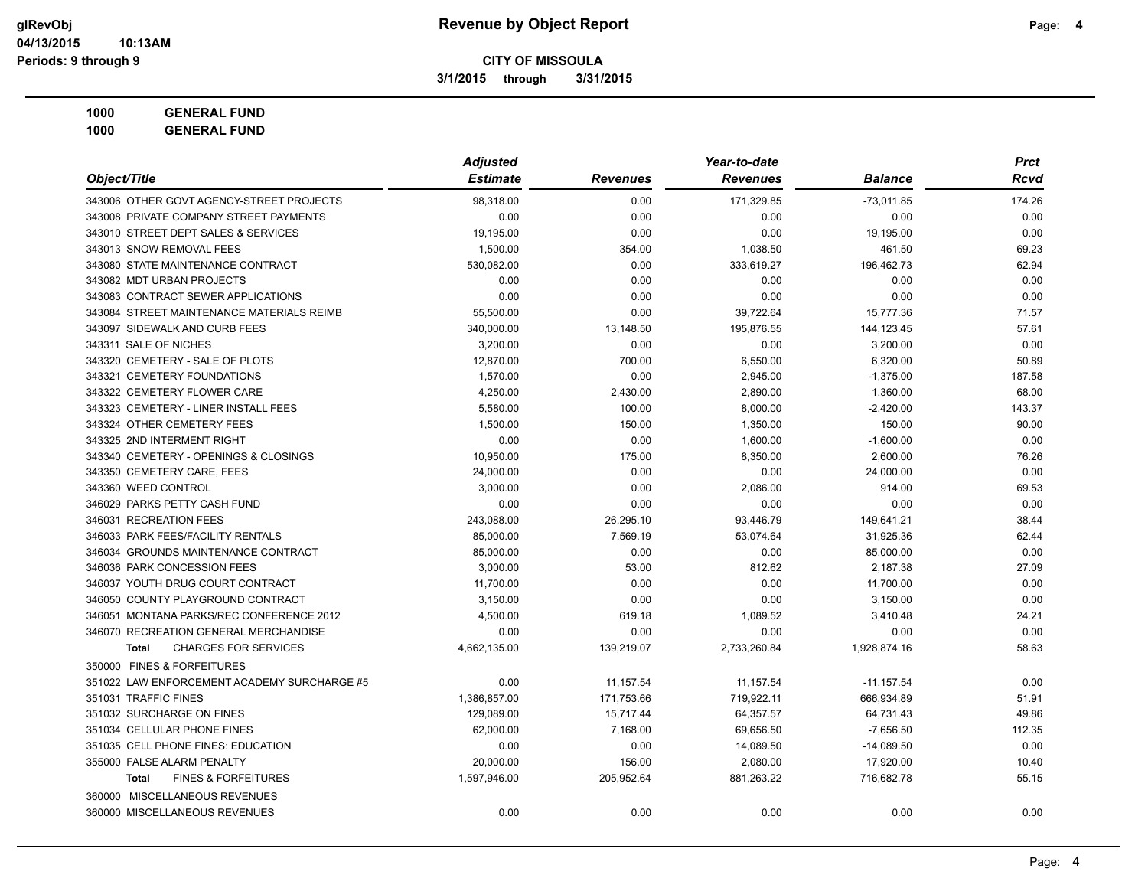**3/1/2015 through 3/31/2015**

|                                                | <b>Adjusted</b> |                 | Year-to-date    |                | <b>Prct</b> |
|------------------------------------------------|-----------------|-----------------|-----------------|----------------|-------------|
| Object/Title                                   | <b>Estimate</b> | <b>Revenues</b> | <b>Revenues</b> | <b>Balance</b> | Rcvd        |
| 343006 OTHER GOVT AGENCY-STREET PROJECTS       | 98,318.00       | 0.00            | 171,329.85      | $-73,011.85$   | 174.26      |
| 343008 PRIVATE COMPANY STREET PAYMENTS         | 0.00            | 0.00            | 0.00            | 0.00           | 0.00        |
| 343010 STREET DEPT SALES & SERVICES            | 19,195.00       | 0.00            | 0.00            | 19,195.00      | 0.00        |
| 343013 SNOW REMOVAL FEES                       | 1,500.00        | 354.00          | 1,038.50        | 461.50         | 69.23       |
| 343080 STATE MAINTENANCE CONTRACT              | 530,082.00      | 0.00            | 333,619.27      | 196,462.73     | 62.94       |
| 343082 MDT URBAN PROJECTS                      | 0.00            | 0.00            | 0.00            | 0.00           | 0.00        |
| 343083 CONTRACT SEWER APPLICATIONS             | 0.00            | 0.00            | 0.00            | 0.00           | 0.00        |
| 343084 STREET MAINTENANCE MATERIALS REIMB      | 55,500.00       | 0.00            | 39,722.64       | 15,777.36      | 71.57       |
| 343097 SIDEWALK AND CURB FEES                  | 340,000.00      | 13,148.50       | 195,876.55      | 144,123.45     | 57.61       |
| 343311 SALE OF NICHES                          | 3,200.00        | 0.00            | 0.00            | 3,200.00       | 0.00        |
| 343320 CEMETERY - SALE OF PLOTS                | 12,870.00       | 700.00          | 6,550.00        | 6,320.00       | 50.89       |
| 343321 CEMETERY FOUNDATIONS                    | 1,570.00        | 0.00            | 2,945.00        | $-1,375.00$    | 187.58      |
| 343322 CEMETERY FLOWER CARE                    | 4,250.00        | 2,430.00        | 2,890.00        | 1,360.00       | 68.00       |
| 343323 CEMETERY - LINER INSTALL FEES           | 5,580.00        | 100.00          | 8,000.00        | $-2,420.00$    | 143.37      |
| 343324 OTHER CEMETERY FEES                     | 1,500.00        | 150.00          | 1,350.00        | 150.00         | 90.00       |
| 343325 2ND INTERMENT RIGHT                     | 0.00            | 0.00            | 1,600.00        | $-1,600.00$    | 0.00        |
| 343340 CEMETERY - OPENINGS & CLOSINGS          | 10,950.00       | 175.00          | 8,350.00        | 2,600.00       | 76.26       |
| 343350 CEMETERY CARE, FEES                     | 24,000.00       | 0.00            | 0.00            | 24,000.00      | 0.00        |
| 343360 WEED CONTROL                            | 3,000.00        | 0.00            | 2,086.00        | 914.00         | 69.53       |
| 346029 PARKS PETTY CASH FUND                   | 0.00            | 0.00            | 0.00            | 0.00           | 0.00        |
| 346031 RECREATION FEES                         | 243,088.00      | 26,295.10       | 93,446.79       | 149,641.21     | 38.44       |
| 346033 PARK FEES/FACILITY RENTALS              | 85,000.00       | 7,569.19        | 53,074.64       | 31,925.36      | 62.44       |
| 346034 GROUNDS MAINTENANCE CONTRACT            | 85,000.00       | 0.00            | 0.00            | 85,000.00      | 0.00        |
| 346036 PARK CONCESSION FEES                    | 3,000.00        | 53.00           | 812.62          | 2,187.38       | 27.09       |
| 346037 YOUTH DRUG COURT CONTRACT               | 11,700.00       | 0.00            | 0.00            | 11,700.00      | 0.00        |
| 346050 COUNTY PLAYGROUND CONTRACT              | 3,150.00        | 0.00            | 0.00            | 3,150.00       | 0.00        |
| 346051 MONTANA PARKS/REC CONFERENCE 2012       | 4,500.00        | 619.18          | 1,089.52        | 3,410.48       | 24.21       |
| 346070 RECREATION GENERAL MERCHANDISE          | 0.00            | 0.00            | 0.00            | 0.00           | 0.00        |
| <b>CHARGES FOR SERVICES</b><br><b>Total</b>    | 4,662,135.00    | 139,219.07      | 2,733,260.84    | 1,928,874.16   | 58.63       |
| 350000 FINES & FORFEITURES                     |                 |                 |                 |                |             |
| 351022 LAW ENFORCEMENT ACADEMY SURCHARGE #5    | 0.00            | 11,157.54       | 11,157.54       | $-11, 157.54$  | 0.00        |
| 351031 TRAFFIC FINES                           | 1,386,857.00    | 171,753.66      | 719,922.11      | 666.934.89     | 51.91       |
| 351032 SURCHARGE ON FINES                      | 129,089.00      | 15,717.44       | 64,357.57       | 64,731.43      | 49.86       |
| 351034 CELLULAR PHONE FINES                    | 62,000.00       | 7,168.00        | 69,656.50       | $-7,656.50$    | 112.35      |
| 351035 CELL PHONE FINES: EDUCATION             | 0.00            | 0.00            | 14,089.50       | $-14,089.50$   | 0.00        |
| 355000 FALSE ALARM PENALTY                     | 20,000.00       | 156.00          | 2,080.00        | 17,920.00      | 10.40       |
| <b>FINES &amp; FORFEITURES</b><br><b>Total</b> | 1,597,946.00    | 205,952.64      | 881,263.22      | 716,682.78     | 55.15       |
| 360000 MISCELLANEOUS REVENUES                  |                 |                 |                 |                |             |
| 360000 MISCELLANEOUS REVENUES                  | 0.00            | 0.00            | 0.00            | 0.00           | 0.00        |
|                                                |                 |                 |                 |                |             |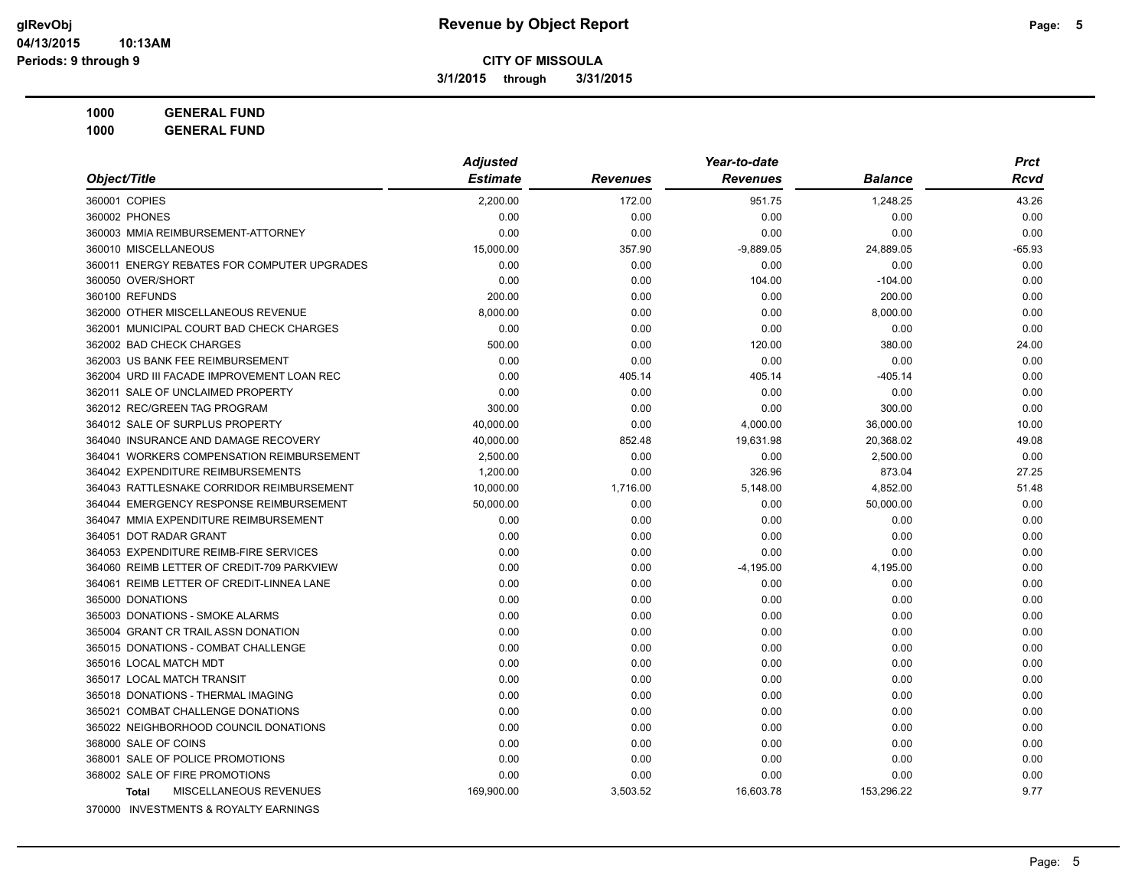*Prct* 

**CITY OF MISSOULA**

*Year-to-date* 

**3/1/2015 through 3/31/2015**

 *Adjusted* 

| טטטו         | <b>UENERAL FUND</b> |  |
|--------------|---------------------|--|
|              |                     |  |
| Object/Title |                     |  |

| Object/Title                                | <b>Estimate</b> | <b>Revenues</b> | <b>Revenues</b> | <b>Balance</b> | Rcvd     |
|---------------------------------------------|-----------------|-----------------|-----------------|----------------|----------|
| 360001 COPIES                               | 2.200.00        | 172.00          | 951.75          | 1,248.25       | 43.26    |
| 360002 PHONES                               | 0.00            | 0.00            | 0.00            | 0.00           | 0.00     |
| 360003 MMIA REIMBURSEMENT-ATTORNEY          | 0.00            | 0.00            | 0.00            | 0.00           | 0.00     |
| 360010 MISCELLANEOUS                        | 15,000.00       | 357.90          | $-9,889.05$     | 24,889.05      | $-65.93$ |
| 360011 ENERGY REBATES FOR COMPUTER UPGRADES | 0.00            | 0.00            | 0.00            | 0.00           | 0.00     |
| 360050 OVER/SHORT                           | 0.00            | 0.00            | 104.00          | $-104.00$      | 0.00     |
| 360100 REFUNDS                              | 200.00          | 0.00            | 0.00            | 200.00         | 0.00     |
| 362000 OTHER MISCELLANEOUS REVENUE          | 8,000.00        | 0.00            | 0.00            | 8,000.00       | 0.00     |
| 362001 MUNICIPAL COURT BAD CHECK CHARGES    | 0.00            | 0.00            | 0.00            | 0.00           | 0.00     |
| 362002 BAD CHECK CHARGES                    | 500.00          | 0.00            | 120.00          | 380.00         | 24.00    |
| 362003 US BANK FEE REIMBURSEMENT            | 0.00            | 0.00            | 0.00            | 0.00           | 0.00     |
| 362004 URD III FACADE IMPROVEMENT LOAN REC  | 0.00            | 405.14          | 405.14          | $-405.14$      | 0.00     |
| 362011 SALE OF UNCLAIMED PROPERTY           | 0.00            | 0.00            | 0.00            | 0.00           | 0.00     |
| 362012 REC/GREEN TAG PROGRAM                | 300.00          | 0.00            | 0.00            | 300.00         | 0.00     |
| 364012 SALE OF SURPLUS PROPERTY             | 40,000.00       | 0.00            | 4,000.00        | 36,000.00      | 10.00    |
| 364040 INSURANCE AND DAMAGE RECOVERY        | 40,000.00       | 852.48          | 19,631.98       | 20,368.02      | 49.08    |
| 364041 WORKERS COMPENSATION REIMBURSEMENT   | 2,500.00        | 0.00            | 0.00            | 2,500.00       | 0.00     |
| 364042 EXPENDITURE REIMBURSEMENTS           | 1,200.00        | 0.00            | 326.96          | 873.04         | 27.25    |
| 364043 RATTLESNAKE CORRIDOR REIMBURSEMENT   | 10,000.00       | 1,716.00        | 5,148.00        | 4,852.00       | 51.48    |
| 364044 EMERGENCY RESPONSE REIMBURSEMENT     | 50.000.00       | 0.00            | 0.00            | 50,000.00      | 0.00     |
| 364047 MMIA EXPENDITURE REIMBURSEMENT       | 0.00            | 0.00            | 0.00            | 0.00           | 0.00     |
| 364051 DOT RADAR GRANT                      | 0.00            | 0.00            | 0.00            | 0.00           | 0.00     |
| 364053 EXPENDITURE REIMB-FIRE SERVICES      | 0.00            | 0.00            | 0.00            | 0.00           | 0.00     |
| 364060 REIMB LETTER OF CREDIT-709 PARKVIEW  | 0.00            | 0.00            | $-4,195.00$     | 4,195.00       | 0.00     |
| 364061 REIMB LETTER OF CREDIT-LINNEA LANE   | 0.00            | 0.00            | 0.00            | 0.00           | 0.00     |
| 365000 DONATIONS                            | 0.00            | 0.00            | 0.00            | 0.00           | 0.00     |
| 365003 DONATIONS - SMOKE ALARMS             | 0.00            | 0.00            | 0.00            | 0.00           | 0.00     |
| 365004 GRANT CR TRAIL ASSN DONATION         | 0.00            | 0.00            | 0.00            | 0.00           | 0.00     |
| 365015 DONATIONS - COMBAT CHALLENGE         | 0.00            | 0.00            | 0.00            | 0.00           | 0.00     |
| 365016 LOCAL MATCH MDT                      | 0.00            | 0.00            | 0.00            | 0.00           | 0.00     |
| 365017 LOCAL MATCH TRANSIT                  | 0.00            | 0.00            | 0.00            | 0.00           | 0.00     |
| 365018 DONATIONS - THERMAL IMAGING          | 0.00            | 0.00            | 0.00            | 0.00           | 0.00     |
| 365021 COMBAT CHALLENGE DONATIONS           | 0.00            | 0.00            | 0.00            | 0.00           | 0.00     |
| 365022 NEIGHBORHOOD COUNCIL DONATIONS       | 0.00            | 0.00            | 0.00            | 0.00           | 0.00     |
| 368000 SALE OF COINS                        | 0.00            | 0.00            | 0.00            | 0.00           | 0.00     |
| 368001 SALE OF POLICE PROMOTIONS            | 0.00            | 0.00            | 0.00            | 0.00           | 0.00     |
| 368002 SALE OF FIRE PROMOTIONS              | 0.00            | 0.00            | 0.00            | 0.00           | 0.00     |
| MISCELLANEOUS REVENUES<br><b>Total</b>      | 169,900.00      | 3,503.52        | 16,603.78       | 153,296.22     | 9.77     |
| 370000 INVESTMENTS & ROYALTY EARNINGS       |                 |                 |                 |                |          |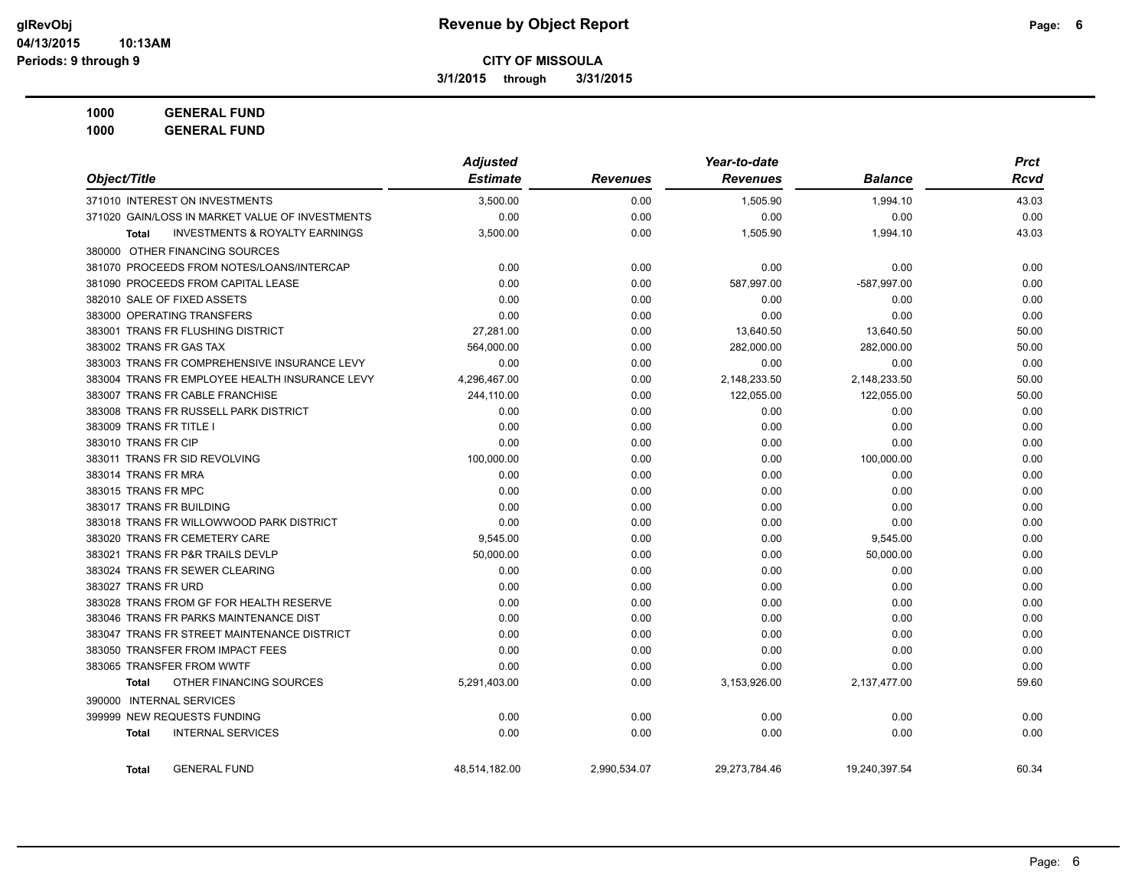**3/1/2015 through 3/31/2015**

|                                                    | <b>Adjusted</b> |                 | Year-to-date    |                | <b>Prct</b> |
|----------------------------------------------------|-----------------|-----------------|-----------------|----------------|-------------|
| Object/Title                                       | <b>Estimate</b> | <b>Revenues</b> | <b>Revenues</b> | <b>Balance</b> | <b>Rcvd</b> |
| 371010 INTEREST ON INVESTMENTS                     | 3.500.00        | 0.00            | 1,505.90        | 1.994.10       | 43.03       |
| 371020 GAIN/LOSS IN MARKET VALUE OF INVESTMENTS    | 0.00            | 0.00            | 0.00            | 0.00           | 0.00        |
| <b>INVESTMENTS &amp; ROYALTY EARNINGS</b><br>Total | 3,500.00        | 0.00            | 1,505.90        | 1,994.10       | 43.03       |
| 380000 OTHER FINANCING SOURCES                     |                 |                 |                 |                |             |
| 381070 PROCEEDS FROM NOTES/LOANS/INTERCAP          | 0.00            | 0.00            | 0.00            | 0.00           | 0.00        |
| 381090 PROCEEDS FROM CAPITAL LEASE                 | 0.00            | 0.00            | 587,997.00      | -587,997.00    | 0.00        |
| 382010 SALE OF FIXED ASSETS                        | 0.00            | 0.00            | 0.00            | 0.00           | 0.00        |
| 383000 OPERATING TRANSFERS                         | 0.00            | 0.00            | 0.00            | 0.00           | 0.00        |
| 383001 TRANS FR FLUSHING DISTRICT                  | 27,281.00       | 0.00            | 13,640.50       | 13,640.50      | 50.00       |
| 383002 TRANS FR GAS TAX                            | 564,000.00      | 0.00            | 282,000.00      | 282,000.00     | 50.00       |
| 383003 TRANS FR COMPREHENSIVE INSURANCE LEVY       | 0.00            | 0.00            | 0.00            | 0.00           | 0.00        |
| 383004 TRANS FR EMPLOYEE HEALTH INSURANCE LEVY     | 4,296,467.00    | 0.00            | 2,148,233.50    | 2,148,233.50   | 50.00       |
| 383007 TRANS FR CABLE FRANCHISE                    | 244,110.00      | 0.00            | 122,055.00      | 122,055.00     | 50.00       |
| 383008 TRANS FR RUSSELL PARK DISTRICT              | 0.00            | 0.00            | 0.00            | 0.00           | 0.00        |
| 383009 TRANS FR TITLE I                            | 0.00            | 0.00            | 0.00            | 0.00           | 0.00        |
| 383010 TRANS FR CIP                                | 0.00            | 0.00            | 0.00            | 0.00           | 0.00        |
| 383011 TRANS FR SID REVOLVING                      | 100,000.00      | 0.00            | 0.00            | 100,000.00     | 0.00        |
| 383014 TRANS FR MRA                                | 0.00            | 0.00            | 0.00            | 0.00           | 0.00        |
| 383015 TRANS FR MPC                                | 0.00            | 0.00            | 0.00            | 0.00           | 0.00        |
| 383017 TRANS FR BUILDING                           | 0.00            | 0.00            | 0.00            | 0.00           | 0.00        |
| 383018 TRANS FR WILLOWWOOD PARK DISTRICT           | 0.00            | 0.00            | 0.00            | 0.00           | 0.00        |
| 383020 TRANS FR CEMETERY CARE                      | 9,545.00        | 0.00            | 0.00            | 9,545.00       | 0.00        |
| 383021 TRANS FR P&R TRAILS DEVLP                   | 50,000.00       | 0.00            | 0.00            | 50,000.00      | 0.00        |
| 383024 TRANS FR SEWER CLEARING                     | 0.00            | 0.00            | 0.00            | 0.00           | 0.00        |
| 383027 TRANS FR URD                                | 0.00            | 0.00            | 0.00            | 0.00           | 0.00        |
| 383028 TRANS FROM GF FOR HEALTH RESERVE            | 0.00            | 0.00            | 0.00            | 0.00           | 0.00        |
| 383046 TRANS FR PARKS MAINTENANCE DIST             | 0.00            | 0.00            | 0.00            | 0.00           | 0.00        |
| 383047 TRANS FR STREET MAINTENANCE DISTRICT        | 0.00            | 0.00            | 0.00            | 0.00           | 0.00        |
| 383050 TRANSFER FROM IMPACT FEES                   | 0.00            | 0.00            | 0.00            | 0.00           | 0.00        |
| 383065 TRANSFER FROM WWTF                          | 0.00            | 0.00            | 0.00            | 0.00           | 0.00        |
| OTHER FINANCING SOURCES<br><b>Total</b>            | 5,291,403.00    | 0.00            | 3,153,926.00    | 2,137,477.00   | 59.60       |
| 390000 INTERNAL SERVICES                           |                 |                 |                 |                |             |
| 399999 NEW REQUESTS FUNDING                        | 0.00            | 0.00            | 0.00            | 0.00           | 0.00        |
| <b>INTERNAL SERVICES</b><br><b>Total</b>           | 0.00            | 0.00            | 0.00            | 0.00           | 0.00        |
| <b>GENERAL FUND</b><br><b>Total</b>                | 48,514,182.00   | 2,990,534.07    | 29,273,784.46   | 19,240,397.54  | 60.34       |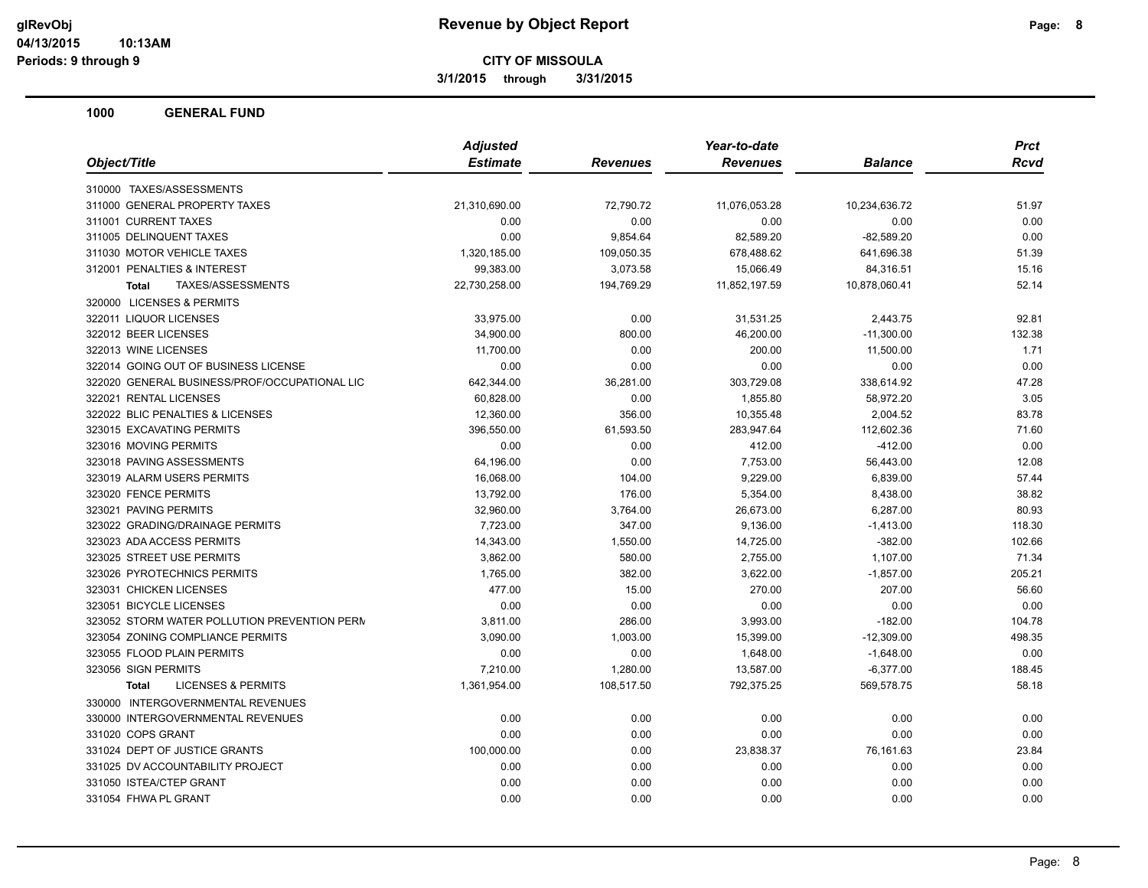**3/1/2015 through 3/31/2015**

|                                               | <b>Adjusted</b> |            | Year-to-date    | <b>Prct</b>    |             |
|-----------------------------------------------|-----------------|------------|-----------------|----------------|-------------|
| Object/Title                                  | <b>Estimate</b> | Revenues   | <b>Revenues</b> | <b>Balance</b> | <b>Rcvd</b> |
| 310000 TAXES/ASSESSMENTS                      |                 |            |                 |                |             |
| 311000 GENERAL PROPERTY TAXES                 | 21,310,690.00   | 72,790.72  | 11,076,053.28   | 10,234,636.72  | 51.97       |
| 311001 CURRENT TAXES                          | 0.00            | 0.00       | 0.00            | 0.00           | 0.00        |
| 311005 DELINQUENT TAXES                       | 0.00            | 9,854.64   | 82,589.20       | $-82,589.20$   | 0.00        |
| 311030 MOTOR VEHICLE TAXES                    | 1,320,185.00    | 109,050.35 | 678,488.62      | 641,696.38     | 51.39       |
| 312001 PENALTIES & INTEREST                   | 99,383.00       | 3,073.58   | 15,066.49       | 84,316.51      | 15.16       |
| TAXES/ASSESSMENTS<br><b>Total</b>             | 22,730,258.00   | 194,769.29 | 11,852,197.59   | 10,878,060.41  | 52.14       |
| 320000 LICENSES & PERMITS                     |                 |            |                 |                |             |
| 322011 LIQUOR LICENSES                        | 33,975.00       | 0.00       | 31,531.25       | 2,443.75       | 92.81       |
| 322012 BEER LICENSES                          | 34,900.00       | 800.00     | 46,200.00       | $-11,300.00$   | 132.38      |
| 322013 WINE LICENSES                          | 11,700.00       | 0.00       | 200.00          | 11,500.00      | 1.71        |
| 322014 GOING OUT OF BUSINESS LICENSE          | 0.00            | 0.00       | 0.00            | 0.00           | 0.00        |
| 322020 GENERAL BUSINESS/PROF/OCCUPATIONAL LIC | 642,344.00      | 36,281.00  | 303,729.08      | 338,614.92     | 47.28       |
| 322021 RENTAL LICENSES                        | 60,828.00       | 0.00       | 1,855.80        | 58,972.20      | 3.05        |
| 322022 BLIC PENALTIES & LICENSES              | 12,360.00       | 356.00     | 10,355.48       | 2,004.52       | 83.78       |
| 323015 EXCAVATING PERMITS                     | 396,550.00      | 61,593.50  | 283,947.64      | 112,602.36     | 71.60       |
| 323016 MOVING PERMITS                         | 0.00            | 0.00       | 412.00          | $-412.00$      | 0.00        |
| 323018 PAVING ASSESSMENTS                     | 64,196.00       | 0.00       | 7,753.00        | 56,443.00      | 12.08       |
| 323019 ALARM USERS PERMITS                    | 16,068.00       | 104.00     | 9,229.00        | 6,839.00       | 57.44       |
| 323020 FENCE PERMITS                          | 13,792.00       | 176.00     | 5,354.00        | 8,438.00       | 38.82       |
| 323021 PAVING PERMITS                         | 32,960.00       | 3,764.00   | 26,673.00       | 6,287.00       | 80.93       |
| 323022 GRADING/DRAINAGE PERMITS               | 7,723.00        | 347.00     | 9,136.00        | $-1,413.00$    | 118.30      |
| 323023 ADA ACCESS PERMITS                     | 14,343.00       | 1,550.00   | 14,725.00       | $-382.00$      | 102.66      |
| 323025 STREET USE PERMITS                     | 3,862.00        | 580.00     | 2,755.00        | 1,107.00       | 71.34       |
| 323026 PYROTECHNICS PERMITS                   | 1,765.00        | 382.00     | 3,622.00        | $-1,857.00$    | 205.21      |
| 323031 CHICKEN LICENSES                       | 477.00          | 15.00      | 270.00          | 207.00         | 56.60       |
| 323051 BICYCLE LICENSES                       | 0.00            | 0.00       | 0.00            | 0.00           | 0.00        |
| 323052 STORM WATER POLLUTION PREVENTION PERM  | 3,811.00        | 286.00     | 3,993.00        | $-182.00$      | 104.78      |
| 323054 ZONING COMPLIANCE PERMITS              | 3,090.00        | 1,003.00   | 15,399.00       | $-12,309.00$   | 498.35      |
| 323055 FLOOD PLAIN PERMITS                    | 0.00            | 0.00       | 1,648.00        | $-1,648.00$    | 0.00        |
| 323056 SIGN PERMITS                           | 7,210.00        | 1,280.00   | 13,587.00       | $-6,377.00$    | 188.45      |
| <b>LICENSES &amp; PERMITS</b><br><b>Total</b> | 1,361,954.00    | 108,517.50 | 792,375.25      | 569,578.75     | 58.18       |
| 330000 INTERGOVERNMENTAL REVENUES             |                 |            |                 |                |             |
| 330000 INTERGOVERNMENTAL REVENUES             | 0.00            | 0.00       | 0.00            | 0.00           | 0.00        |
| 331020 COPS GRANT                             | 0.00            | 0.00       | 0.00            | 0.00           | 0.00        |
| 331024 DEPT OF JUSTICE GRANTS                 | 100,000.00      | 0.00       | 23,838.37       | 76,161.63      | 23.84       |
| 331025 DV ACCOUNTABILITY PROJECT              | 0.00            | 0.00       | 0.00            | 0.00           | 0.00        |
| 331050 ISTEA/CTEP GRANT                       | 0.00            | 0.00       | 0.00            | 0.00           | 0.00        |
| 331054 FHWA PL GRANT                          | 0.00            | 0.00       | 0.00            | 0.00           | 0.00        |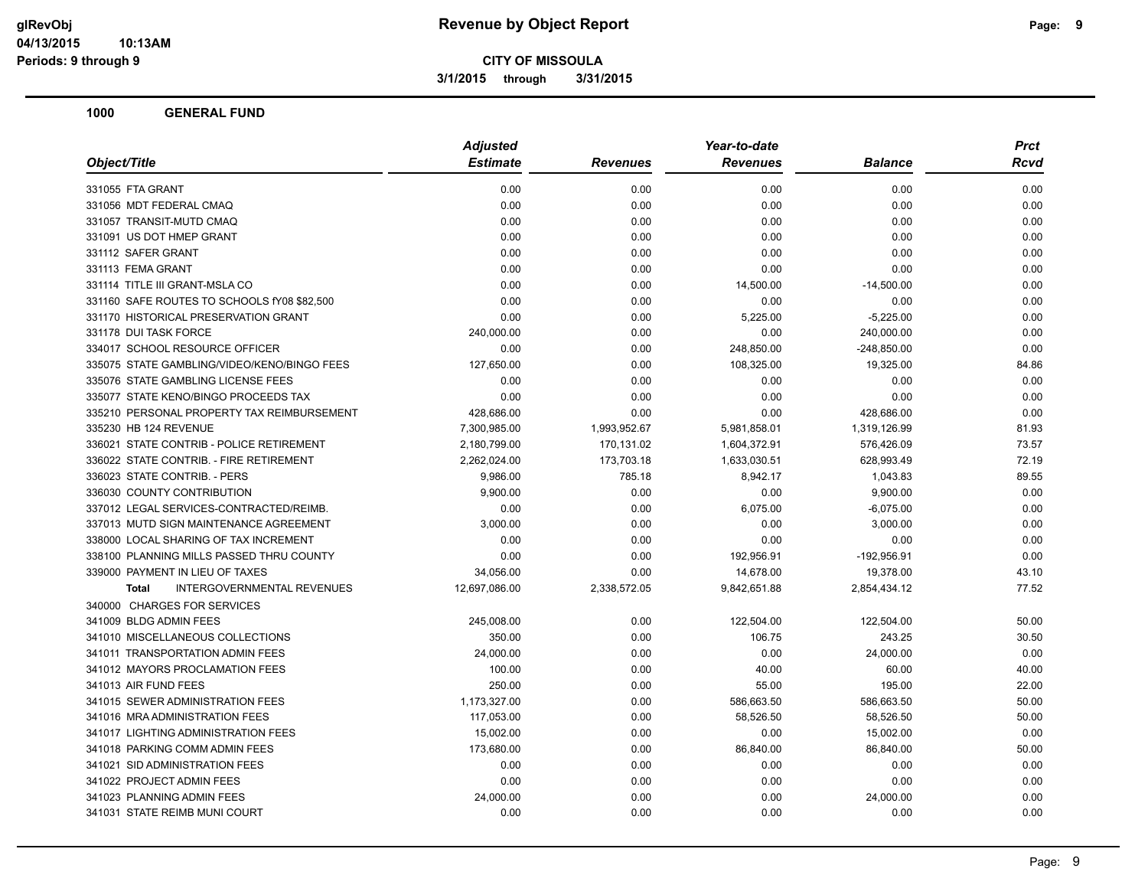**3/1/2015 through 3/31/2015**

| Object/Title                                | <b>Adjusted</b> |                 | Year-to-date    |                | <b>Prct</b> |
|---------------------------------------------|-----------------|-----------------|-----------------|----------------|-------------|
|                                             | <b>Estimate</b> | <b>Revenues</b> | <b>Revenues</b> | <b>Balance</b> | Rcvd        |
| 331055 FTA GRANT                            | 0.00            | 0.00            | 0.00            | 0.00           | 0.00        |
| 331056 MDT FEDERAL CMAQ                     | 0.00            | 0.00            | 0.00            | 0.00           | 0.00        |
| 331057 TRANSIT-MUTD CMAQ                    | 0.00            | 0.00            | 0.00            | 0.00           | 0.00        |
| 331091 US DOT HMEP GRANT                    | 0.00            | 0.00            | 0.00            | 0.00           | 0.00        |
| 331112 SAFER GRANT                          | 0.00            | 0.00            | 0.00            | 0.00           | 0.00        |
| 331113 FEMA GRANT                           | 0.00            | 0.00            | 0.00            | 0.00           | 0.00        |
| 331114 TITLE III GRANT-MSLA CO              | 0.00            | 0.00            | 14,500.00       | $-14,500.00$   | 0.00        |
| 331160 SAFE ROUTES TO SCHOOLS fY08 \$82,500 | 0.00            | 0.00            | 0.00            | 0.00           | 0.00        |
| 331170 HISTORICAL PRESERVATION GRANT        | 0.00            | 0.00            | 5,225.00        | $-5,225.00$    | 0.00        |
| 331178 DUI TASK FORCE                       | 240,000.00      | 0.00            | 0.00            | 240,000.00     | 0.00        |
| 334017 SCHOOL RESOURCE OFFICER              | 0.00            | 0.00            | 248,850.00      | $-248,850.00$  | 0.00        |
| 335075 STATE GAMBLING/VIDEO/KENO/BINGO FEES | 127,650.00      | 0.00            | 108,325.00      | 19,325.00      | 84.86       |
| 335076 STATE GAMBLING LICENSE FEES          | 0.00            | 0.00            | 0.00            | 0.00           | 0.00        |
| 335077 STATE KENO/BINGO PROCEEDS TAX        | 0.00            | 0.00            | 0.00            | 0.00           | 0.00        |
| 335210 PERSONAL PROPERTY TAX REIMBURSEMENT  | 428,686.00      | 0.00            | 0.00            | 428,686.00     | 0.00        |
| 335230 HB 124 REVENUE                       | 7,300,985.00    | 1,993,952.67    | 5,981,858.01    | 1,319,126.99   | 81.93       |
| 336021 STATE CONTRIB - POLICE RETIREMENT    | 2,180,799.00    | 170.131.02      | 1.604.372.91    | 576.426.09     | 73.57       |
| 336022 STATE CONTRIB. - FIRE RETIREMENT     | 2,262,024.00    | 173,703.18      | 1,633,030.51    | 628,993.49     | 72.19       |
| 336023 STATE CONTRIB. - PERS                | 9,986.00        | 785.18          | 8,942.17        | 1,043.83       | 89.55       |
| 336030 COUNTY CONTRIBUTION                  | 9,900.00        | 0.00            | 0.00            | 9,900.00       | 0.00        |
| 337012 LEGAL SERVICES-CONTRACTED/REIMB.     | 0.00            | 0.00            | 6,075.00        | $-6,075.00$    | 0.00        |
| 337013 MUTD SIGN MAINTENANCE AGREEMENT      | 3,000.00        | 0.00            | 0.00            | 3,000.00       | 0.00        |
| 338000 LOCAL SHARING OF TAX INCREMENT       | 0.00            | 0.00            | 0.00            | 0.00           | 0.00        |
| 338100 PLANNING MILLS PASSED THRU COUNTY    | 0.00            | 0.00            | 192,956.91      | $-192,956.91$  | 0.00        |
| 339000 PAYMENT IN LIEU OF TAXES             | 34,056.00       | 0.00            | 14,678.00       | 19,378.00      | 43.10       |
| INTERGOVERNMENTAL REVENUES<br><b>Total</b>  | 12,697,086.00   | 2,338,572.05    | 9,842,651.88    | 2,854,434.12   | 77.52       |
| 340000 CHARGES FOR SERVICES                 |                 |                 |                 |                |             |
| 341009 BLDG ADMIN FEES                      | 245,008.00      | 0.00            | 122,504.00      | 122,504.00     | 50.00       |
| 341010 MISCELLANEOUS COLLECTIONS            | 350.00          | 0.00            | 106.75          | 243.25         | 30.50       |
| 341011 TRANSPORTATION ADMIN FEES            | 24,000.00       | 0.00            | 0.00            | 24,000.00      | 0.00        |
| 341012 MAYORS PROCLAMATION FEES             | 100.00          | 0.00            | 40.00           | 60.00          | 40.00       |
| 341013 AIR FUND FEES                        | 250.00          | 0.00            | 55.00           | 195.00         | 22.00       |
| 341015 SEWER ADMINISTRATION FEES            | 1,173,327.00    | 0.00            | 586,663.50      | 586,663.50     | 50.00       |
| 341016 MRA ADMINISTRATION FEES              | 117,053.00      | 0.00            | 58,526.50       | 58,526.50      | 50.00       |
| 341017 LIGHTING ADMINISTRATION FEES         | 15,002.00       | 0.00            | 0.00            | 15,002.00      | 0.00        |
| 341018 PARKING COMM ADMIN FEES              | 173,680.00      | 0.00            | 86,840.00       | 86,840.00      | 50.00       |
| 341021 SID ADMINISTRATION FEES              | 0.00            | 0.00            | 0.00            | 0.00           | 0.00        |
| 341022 PROJECT ADMIN FEES                   | 0.00            | 0.00            | 0.00            | 0.00           | 0.00        |
| 341023 PLANNING ADMIN FEES                  | 24,000.00       | 0.00            | 0.00            | 24,000.00      | 0.00        |
| 341031 STATE REIMB MUNI COURT               | 0.00            | 0.00            | 0.00            | 0.00           | 0.00        |
|                                             |                 |                 |                 |                |             |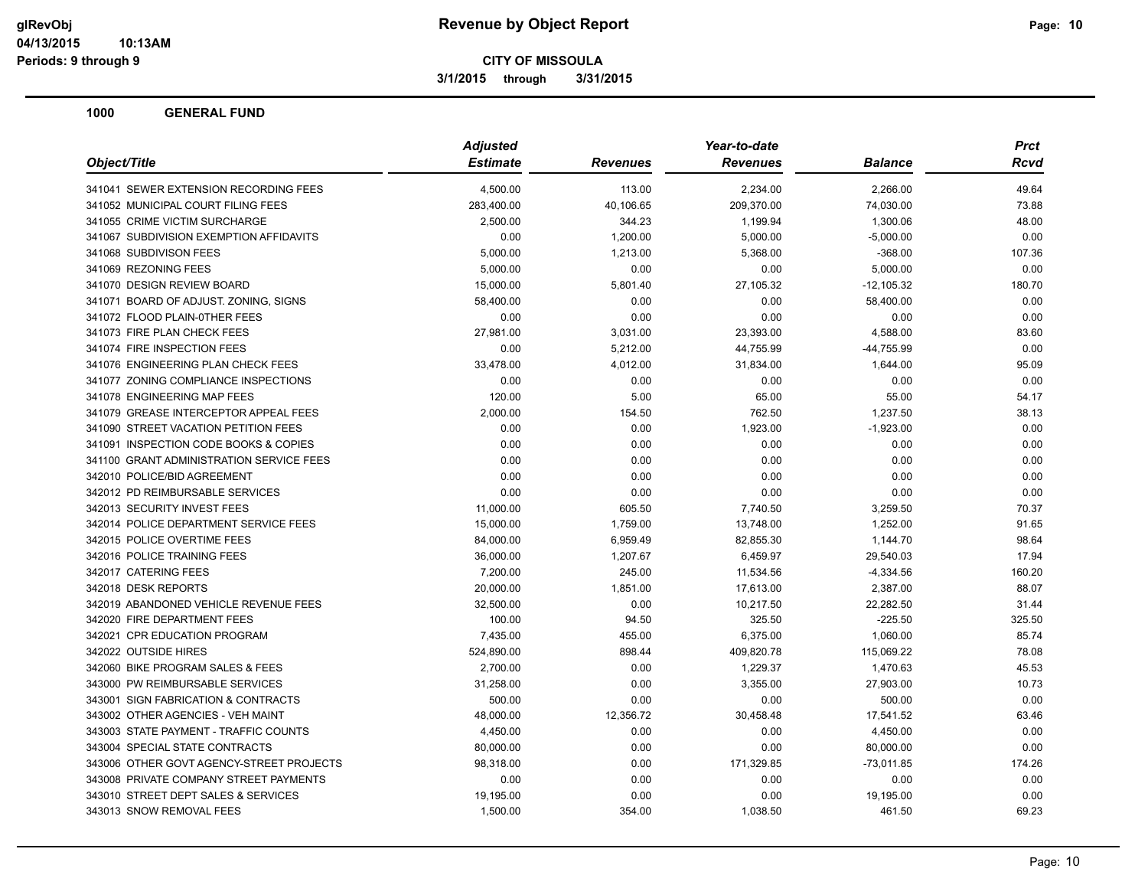**3/1/2015 through 3/31/2015**

| Object/Title                             | <b>Adjusted</b> |                 | Year-to-date    |                | <b>Prct</b> |
|------------------------------------------|-----------------|-----------------|-----------------|----------------|-------------|
|                                          | <b>Estimate</b> | <b>Revenues</b> | <b>Revenues</b> | <b>Balance</b> | <b>Rcvd</b> |
| 341041 SEWER EXTENSION RECORDING FEES    | 4,500.00        | 113.00          | 2,234.00        | 2,266.00       | 49.64       |
| 341052 MUNICIPAL COURT FILING FEES       | 283,400.00      | 40,106.65       | 209,370.00      | 74,030.00      | 73.88       |
| 341055 CRIME VICTIM SURCHARGE            | 2,500.00        | 344.23          | 1,199.94        | 1,300.06       | 48.00       |
| 341067 SUBDIVISION EXEMPTION AFFIDAVITS  | 0.00            | 1,200.00        | 5,000.00        | $-5,000.00$    | 0.00        |
| 341068 SUBDIVISON FEES                   | 5,000.00        | 1,213.00        | 5,368.00        | $-368.00$      | 107.36      |
| 341069 REZONING FEES                     | 5,000.00        | 0.00            | 0.00            | 5,000.00       | 0.00        |
| 341070 DESIGN REVIEW BOARD               | 15,000.00       | 5,801.40        | 27,105.32       | $-12,105.32$   | 180.70      |
| 341071 BOARD OF ADJUST. ZONING, SIGNS    | 58,400.00       | 0.00            | 0.00            | 58,400.00      | 0.00        |
| 341072 FLOOD PLAIN-0THER FEES            | 0.00            | 0.00            | 0.00            | 0.00           | 0.00        |
| 341073 FIRE PLAN CHECK FEES              | 27,981.00       | 3,031.00        | 23,393.00       | 4,588.00       | 83.60       |
| 341074 FIRE INSPECTION FEES              | 0.00            | 5,212.00        | 44,755.99       | $-44,755.99$   | 0.00        |
| 341076 ENGINEERING PLAN CHECK FEES       | 33,478.00       | 4,012.00        | 31,834.00       | 1,644.00       | 95.09       |
| 341077 ZONING COMPLIANCE INSPECTIONS     | 0.00            | 0.00            | 0.00            | 0.00           | 0.00        |
| 341078 ENGINEERING MAP FEES              | 120.00          | 5.00            | 65.00           | 55.00          | 54.17       |
| 341079 GREASE INTERCEPTOR APPEAL FEES    | 2,000.00        | 154.50          | 762.50          | 1,237.50       | 38.13       |
| 341090 STREET VACATION PETITION FEES     | 0.00            | 0.00            | 1,923.00        | $-1,923.00$    | 0.00        |
| 341091 INSPECTION CODE BOOKS & COPIES    | 0.00            | 0.00            | 0.00            | 0.00           | 0.00        |
| 341100 GRANT ADMINISTRATION SERVICE FEES | 0.00            | 0.00            | 0.00            | 0.00           | 0.00        |
| 342010 POLICE/BID AGREEMENT              | 0.00            | 0.00            | 0.00            | 0.00           | 0.00        |
| 342012 PD REIMBURSABLE SERVICES          | 0.00            | 0.00            | 0.00            | 0.00           | 0.00        |
| 342013 SECURITY INVEST FEES              | 11,000.00       | 605.50          | 7,740.50        | 3,259.50       | 70.37       |
| 342014 POLICE DEPARTMENT SERVICE FEES    | 15,000.00       | 1,759.00        | 13,748.00       | 1,252.00       | 91.65       |
| 342015 POLICE OVERTIME FEES              | 84,000.00       | 6,959.49        | 82,855.30       | 1,144.70       | 98.64       |
| 342016 POLICE TRAINING FEES              | 36,000.00       | 1,207.67        | 6,459.97        | 29,540.03      | 17.94       |
| 342017 CATERING FEES                     | 7,200.00        | 245.00          | 11,534.56       | $-4,334.56$    | 160.20      |
| 342018 DESK REPORTS                      | 20,000.00       | 1,851.00        | 17,613.00       | 2,387.00       | 88.07       |
| 342019 ABANDONED VEHICLE REVENUE FEES    | 32,500.00       | 0.00            | 10,217.50       | 22,282.50      | 31.44       |
| 342020 FIRE DEPARTMENT FEES              | 100.00          | 94.50           | 325.50          | $-225.50$      | 325.50      |
| 342021 CPR EDUCATION PROGRAM             | 7,435.00        | 455.00          | 6,375.00        | 1,060.00       | 85.74       |
| 342022 OUTSIDE HIRES                     | 524,890.00      | 898.44          | 409,820.78      | 115,069.22     | 78.08       |
| 342060 BIKE PROGRAM SALES & FEES         | 2,700.00        | 0.00            | 1,229.37        | 1,470.63       | 45.53       |
| 343000 PW REIMBURSABLE SERVICES          | 31,258.00       | 0.00            | 3,355.00        | 27,903.00      | 10.73       |
| 343001 SIGN FABRICATION & CONTRACTS      | 500.00          | 0.00            | 0.00            | 500.00         | 0.00        |
| 343002 OTHER AGENCIES - VEH MAINT        | 48,000.00       | 12,356.72       | 30,458.48       | 17,541.52      | 63.46       |
| 343003 STATE PAYMENT - TRAFFIC COUNTS    | 4,450.00        | 0.00            | 0.00            | 4,450.00       | 0.00        |
| 343004 SPECIAL STATE CONTRACTS           | 80,000.00       | 0.00            | 0.00            | 80,000.00      | 0.00        |
| 343006 OTHER GOVT AGENCY-STREET PROJECTS | 98,318.00       | 0.00            | 171,329.85      | $-73,011.85$   | 174.26      |
| 343008 PRIVATE COMPANY STREET PAYMENTS   | 0.00            | 0.00            | 0.00            | 0.00           | 0.00        |
| 343010 STREET DEPT SALES & SERVICES      | 19,195.00       | 0.00            | 0.00            | 19,195.00      | 0.00        |
| 343013 SNOW REMOVAL FEES                 | 1,500.00        | 354.00          | 1,038.50        | 461.50         | 69.23       |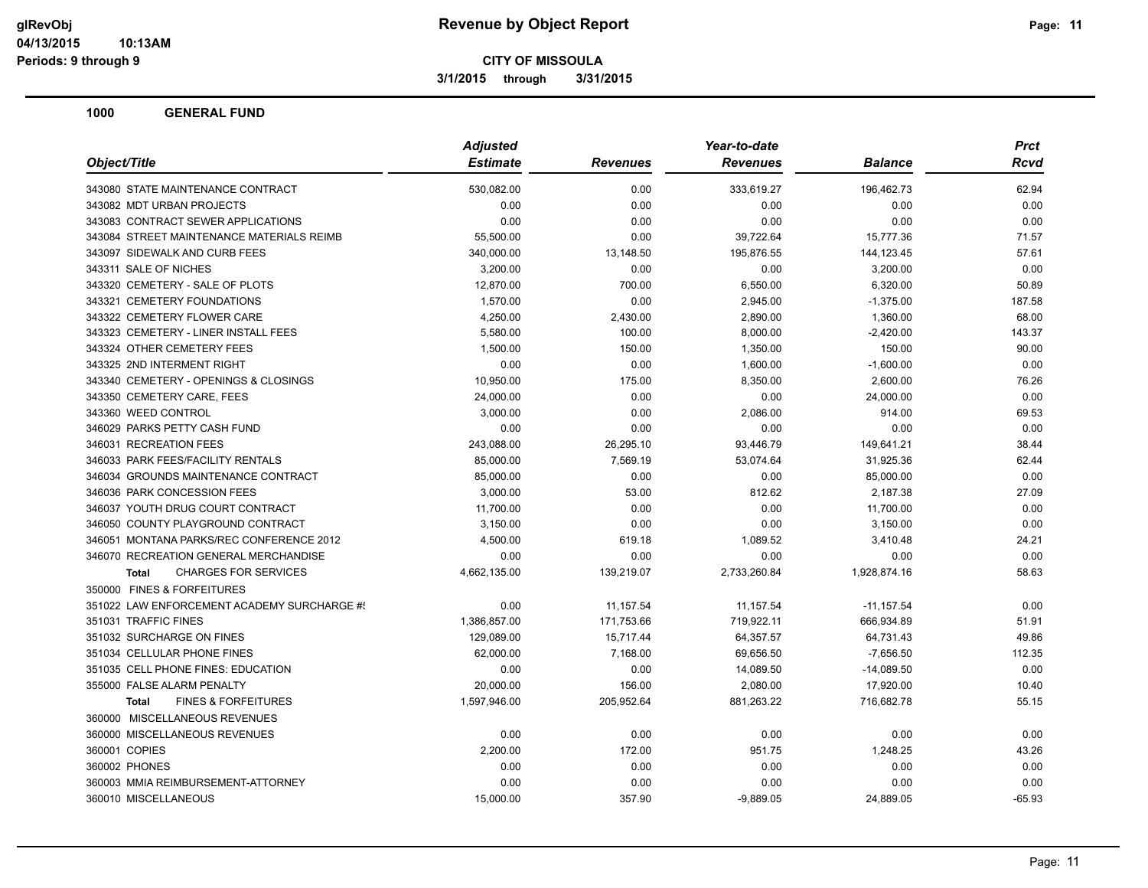**3/1/2015 through 3/31/2015**

| Object/Title                                   | <b>Adjusted</b><br><b>Estimate</b> | <b>Revenues</b> | Year-to-date<br><b>Revenues</b> | <b>Balance</b> | <b>Prct</b><br>Rcvd |
|------------------------------------------------|------------------------------------|-----------------|---------------------------------|----------------|---------------------|
| 343080 STATE MAINTENANCE CONTRACT              | 530,082.00                         | 0.00            | 333,619.27                      | 196,462.73     | 62.94               |
| 343082 MDT URBAN PROJECTS                      | 0.00                               | 0.00            | 0.00                            | 0.00           | 0.00                |
| 343083 CONTRACT SEWER APPLICATIONS             | 0.00                               | 0.00            | 0.00                            | 0.00           | 0.00                |
| 343084 STREET MAINTENANCE MATERIALS REIMB      | 55,500.00                          | 0.00            | 39,722.64                       | 15,777.36      | 71.57               |
| 343097 SIDEWALK AND CURB FEES                  | 340,000.00                         | 13,148.50       | 195,876.55                      | 144,123.45     | 57.61               |
| 343311 SALE OF NICHES                          | 3,200.00                           | 0.00            | 0.00                            | 3,200.00       | 0.00                |
| 343320 CEMETERY - SALE OF PLOTS                | 12,870.00                          | 700.00          | 6,550.00                        | 6,320.00       | 50.89               |
| 343321 CEMETERY FOUNDATIONS                    | 1,570.00                           | 0.00            | 2,945.00                        | $-1,375.00$    | 187.58              |
| 343322 CEMETERY FLOWER CARE                    | 4,250.00                           | 2,430.00        | 2,890.00                        | 1,360.00       | 68.00               |
| 343323 CEMETERY - LINER INSTALL FEES           | 5,580.00                           | 100.00          | 8,000.00                        | $-2,420.00$    | 143.37              |
| 343324 OTHER CEMETERY FEES                     | 1,500.00                           | 150.00          | 1,350.00                        | 150.00         | 90.00               |
| 343325 2ND INTERMENT RIGHT                     | 0.00                               | 0.00            | 1,600.00                        | $-1,600.00$    | 0.00                |
| 343340 CEMETERY - OPENINGS & CLOSINGS          | 10,950.00                          | 175.00          | 8,350.00                        | 2,600.00       | 76.26               |
| 343350 CEMETERY CARE, FEES                     | 24,000.00                          | 0.00            | 0.00                            | 24,000.00      | 0.00                |
| 343360 WEED CONTROL                            | 3,000.00                           | 0.00            | 2,086.00                        | 914.00         | 69.53               |
| 346029 PARKS PETTY CASH FUND                   | 0.00                               | 0.00            | 0.00                            | 0.00           | 0.00                |
| 346031 RECREATION FEES                         | 243,088.00                         | 26,295.10       | 93,446.79                       | 149,641.21     | 38.44               |
| 346033 PARK FEES/FACILITY RENTALS              | 85,000.00                          | 7,569.19        | 53,074.64                       | 31,925.36      | 62.44               |
| 346034 GROUNDS MAINTENANCE CONTRACT            | 85,000.00                          | 0.00            | 0.00                            | 85,000.00      | 0.00                |
| 346036 PARK CONCESSION FEES                    | 3,000.00                           | 53.00           | 812.62                          | 2,187.38       | 27.09               |
| 346037 YOUTH DRUG COURT CONTRACT               | 11,700.00                          | 0.00            | 0.00                            | 11,700.00      | 0.00                |
| 346050 COUNTY PLAYGROUND CONTRACT              | 3,150.00                           | 0.00            | 0.00                            | 3,150.00       | 0.00                |
| 346051 MONTANA PARKS/REC CONFERENCE 2012       | 4,500.00                           | 619.18          | 1,089.52                        | 3,410.48       | 24.21               |
| 346070 RECREATION GENERAL MERCHANDISE          | 0.00                               | 0.00            | 0.00                            | 0.00           | 0.00                |
| <b>CHARGES FOR SERVICES</b><br><b>Total</b>    | 4,662,135.00                       | 139,219.07      | 2,733,260.84                    | 1,928,874.16   | 58.63               |
| 350000 FINES & FORFEITURES                     |                                    |                 |                                 |                |                     |
| 351022 LAW ENFORCEMENT ACADEMY SURCHARGE #!    | 0.00                               | 11,157.54       | 11,157.54                       | $-11, 157.54$  | 0.00                |
| 351031 TRAFFIC FINES                           | 1,386,857.00                       | 171,753.66      | 719,922.11                      | 666,934.89     | 51.91               |
| 351032 SURCHARGE ON FINES                      | 129,089.00                         | 15,717.44       | 64,357.57                       | 64,731.43      | 49.86               |
| 351034 CELLULAR PHONE FINES                    | 62,000.00                          | 7,168.00        | 69,656.50                       | $-7,656.50$    | 112.35              |
| 351035 CELL PHONE FINES: EDUCATION             | 0.00                               | 0.00            | 14,089.50                       | $-14,089.50$   | 0.00                |
| 355000 FALSE ALARM PENALTY                     | 20,000.00                          | 156.00          | 2,080.00                        | 17,920.00      | 10.40               |
| <b>FINES &amp; FORFEITURES</b><br><b>Total</b> | 1,597,946.00                       | 205,952.64      | 881,263.22                      | 716,682.78     | 55.15               |
| 360000 MISCELLANEOUS REVENUES                  |                                    |                 |                                 |                |                     |
| 360000 MISCELLANEOUS REVENUES                  | 0.00                               | 0.00            | 0.00                            | 0.00           | 0.00                |
| 360001 COPIES                                  | 2,200.00                           | 172.00          | 951.75                          | 1,248.25       | 43.26               |
| 360002 PHONES                                  | 0.00                               | 0.00            | 0.00                            | 0.00           | 0.00                |
| 360003 MMIA REIMBURSEMENT-ATTORNEY             | 0.00                               | 0.00            | 0.00                            | 0.00           | 0.00                |
| 360010 MISCELLANEOUS                           | 15,000.00                          | 357.90          | $-9,889.05$                     | 24,889.05      | $-65.93$            |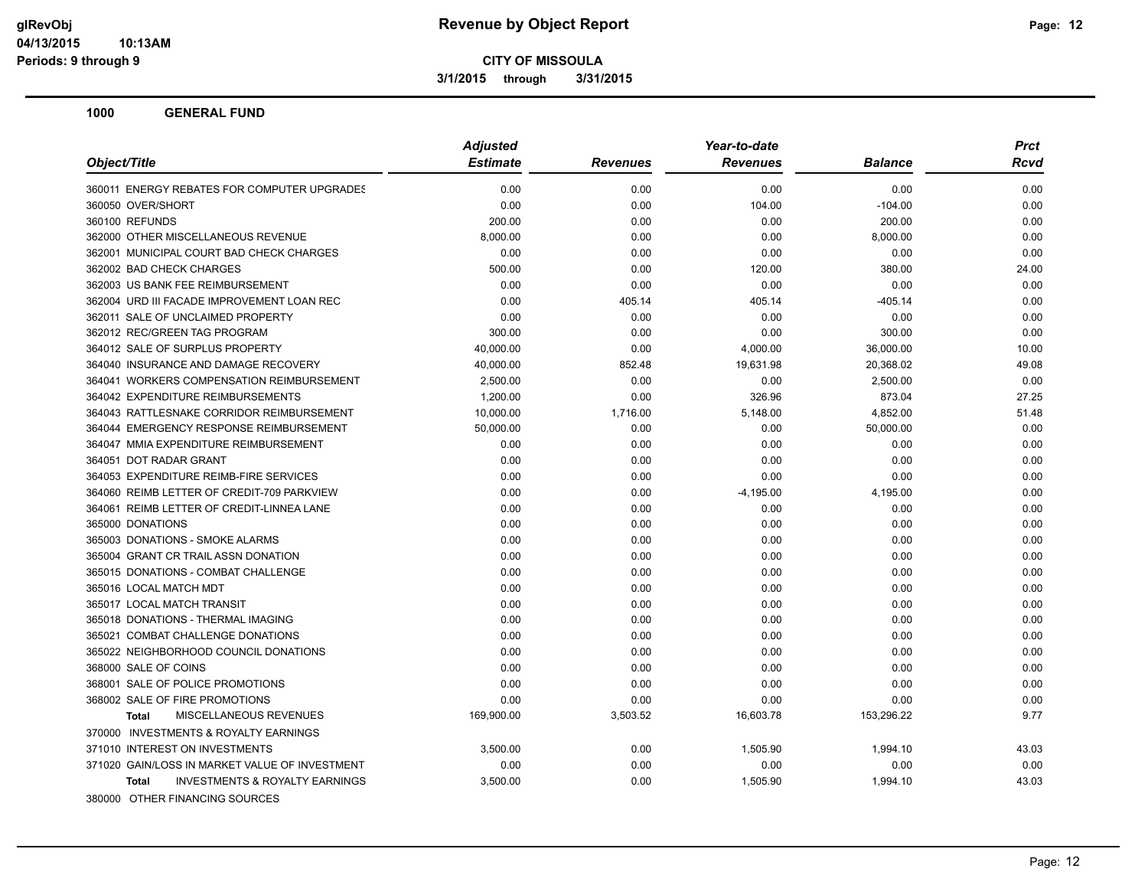**3/1/2015 through 3/31/2015**

|                                                           | <b>Adjusted</b> | Year-to-date    |                 |                | Prct        |
|-----------------------------------------------------------|-----------------|-----------------|-----------------|----------------|-------------|
| Object/Title                                              | <b>Estimate</b> | <b>Revenues</b> | <b>Revenues</b> | <b>Balance</b> | <b>Rcvd</b> |
| 360011 ENERGY REBATES FOR COMPUTER UPGRADES               | 0.00            | 0.00            | 0.00            | 0.00           | 0.00        |
| 360050 OVER/SHORT                                         | 0.00            | 0.00            | 104.00          | $-104.00$      | 0.00        |
| 360100 REFUNDS                                            | 200.00          | 0.00            | 0.00            | 200.00         | 0.00        |
| 362000 OTHER MISCELLANEOUS REVENUE                        | 8,000.00        | 0.00            | 0.00            | 8,000.00       | 0.00        |
| 362001 MUNICIPAL COURT BAD CHECK CHARGES                  | 0.00            | 0.00            | 0.00            | 0.00           | 0.00        |
| 362002 BAD CHECK CHARGES                                  | 500.00          | 0.00            | 120.00          | 380.00         | 24.00       |
| 362003 US BANK FEE REIMBURSEMENT                          | 0.00            | 0.00            | 0.00            | 0.00           | 0.00        |
| 362004 URD III FACADE IMPROVEMENT LOAN REC                | 0.00            | 405.14          | 405.14          | $-405.14$      | 0.00        |
| 362011 SALE OF UNCLAIMED PROPERTY                         | 0.00            | 0.00            | 0.00            | 0.00           | 0.00        |
| 362012 REC/GREEN TAG PROGRAM                              | 300.00          | 0.00            | 0.00            | 300.00         | 0.00        |
| 364012 SALE OF SURPLUS PROPERTY                           | 40,000.00       | 0.00            | 4,000.00        | 36,000.00      | 10.00       |
| 364040 INSURANCE AND DAMAGE RECOVERY                      | 40,000.00       | 852.48          | 19,631.98       | 20,368.02      | 49.08       |
| 364041 WORKERS COMPENSATION REIMBURSEMENT                 | 2,500.00        | 0.00            | 0.00            | 2,500.00       | 0.00        |
| 364042 EXPENDITURE REIMBURSEMENTS                         | 1,200.00        | 0.00            | 326.96          | 873.04         | 27.25       |
| 364043 RATTLESNAKE CORRIDOR REIMBURSEMENT                 | 10,000.00       | 1,716.00        | 5,148.00        | 4,852.00       | 51.48       |
| 364044 EMERGENCY RESPONSE REIMBURSEMENT                   | 50,000.00       | 0.00            | 0.00            | 50,000.00      | 0.00        |
| 364047 MMIA EXPENDITURE REIMBURSEMENT                     | 0.00            | 0.00            | 0.00            | 0.00           | 0.00        |
| 364051 DOT RADAR GRANT                                    | 0.00            | 0.00            | 0.00            | 0.00           | 0.00        |
| 364053 EXPENDITURE REIMB-FIRE SERVICES                    | 0.00            | 0.00            | 0.00            | 0.00           | 0.00        |
| 364060 REIMB LETTER OF CREDIT-709 PARKVIEW                | 0.00            | 0.00            | $-4,195.00$     | 4,195.00       | 0.00        |
| 364061 REIMB LETTER OF CREDIT-LINNEA LANE                 | 0.00            | 0.00            | 0.00            | 0.00           | 0.00        |
| 365000 DONATIONS                                          | 0.00            | 0.00            | 0.00            | 0.00           | 0.00        |
| 365003 DONATIONS - SMOKE ALARMS                           | 0.00            | 0.00            | 0.00            | 0.00           | 0.00        |
| 365004 GRANT CR TRAIL ASSN DONATION                       | 0.00            | 0.00            | 0.00            | 0.00           | 0.00        |
| 365015 DONATIONS - COMBAT CHALLENGE                       | 0.00            | 0.00            | 0.00            | 0.00           | 0.00        |
| 365016 LOCAL MATCH MDT                                    | 0.00            | 0.00            | 0.00            | 0.00           | 0.00        |
| 365017 LOCAL MATCH TRANSIT                                | 0.00            | 0.00            | 0.00            | 0.00           | 0.00        |
| 365018 DONATIONS - THERMAL IMAGING                        | 0.00            | 0.00            | 0.00            | 0.00           | 0.00        |
| 365021 COMBAT CHALLENGE DONATIONS                         | 0.00            | 0.00            | 0.00            | 0.00           | 0.00        |
| 365022 NEIGHBORHOOD COUNCIL DONATIONS                     | 0.00            | 0.00            | 0.00            | 0.00           | 0.00        |
| 368000 SALE OF COINS                                      | 0.00            | 0.00            | 0.00            | 0.00           | 0.00        |
| 368001 SALE OF POLICE PROMOTIONS                          | 0.00            | 0.00            | 0.00            | 0.00           | 0.00        |
| 368002 SALE OF FIRE PROMOTIONS                            | 0.00            | 0.00            | 0.00            | 0.00           | 0.00        |
| <b>MISCELLANEOUS REVENUES</b><br><b>Total</b>             | 169.900.00      | 3,503.52        | 16,603.78       | 153,296.22     | 9.77        |
| 370000 INVESTMENTS & ROYALTY EARNINGS                     |                 |                 |                 |                |             |
| 371010 INTEREST ON INVESTMENTS                            | 3,500.00        | 0.00            | 1,505.90        | 1,994.10       | 43.03       |
| 371020 GAIN/LOSS IN MARKET VALUE OF INVESTMENT            | 0.00            | 0.00            | 0.00            | 0.00           | 0.00        |
| <b>INVESTMENTS &amp; ROYALTY EARNINGS</b><br><b>Total</b> | 3,500.00        | 0.00            | 1,505.90        | 1,994.10       | 43.03       |
| 380000 OTHER FINANCING SOURCES                            |                 |                 |                 |                |             |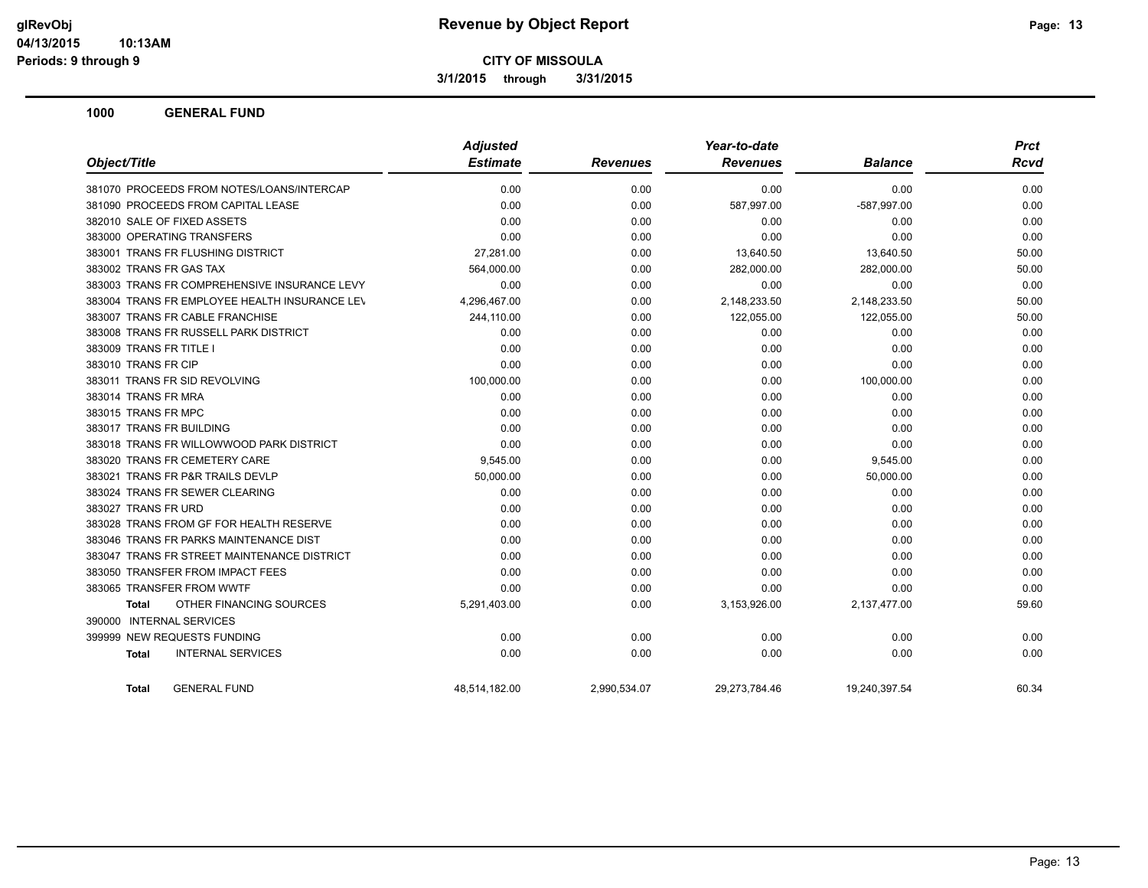**3/1/2015 through 3/31/2015**

|                                               | <b>Adjusted</b> |                 | Year-to-date    |                | <b>Prct</b> |
|-----------------------------------------------|-----------------|-----------------|-----------------|----------------|-------------|
| Object/Title                                  | <b>Estimate</b> | <b>Revenues</b> | <b>Revenues</b> | <b>Balance</b> | <b>Rcvd</b> |
| 381070 PROCEEDS FROM NOTES/LOANS/INTERCAP     | 0.00            | 0.00            | 0.00            | 0.00           | 0.00        |
| 381090 PROCEEDS FROM CAPITAL LEASE            | 0.00            | 0.00            | 587,997.00      | -587,997.00    | 0.00        |
| 382010 SALE OF FIXED ASSETS                   | 0.00            | 0.00            | 0.00            | 0.00           | 0.00        |
| 383000 OPERATING TRANSFERS                    | 0.00            | 0.00            | 0.00            | 0.00           | 0.00        |
| 383001 TRANS FR FLUSHING DISTRICT             | 27,281.00       | 0.00            | 13,640.50       | 13,640.50      | 50.00       |
| 383002 TRANS FR GAS TAX                       | 564,000.00      | 0.00            | 282,000.00      | 282,000.00     | 50.00       |
| 383003 TRANS FR COMPREHENSIVE INSURANCE LEVY  | 0.00            | 0.00            | 0.00            | 0.00           | 0.00        |
| 383004 TRANS FR EMPLOYEE HEALTH INSURANCE LEV | 4,296,467.00    | 0.00            | 2,148,233.50    | 2,148,233.50   | 50.00       |
| 383007 TRANS FR CABLE FRANCHISE               | 244,110.00      | 0.00            | 122,055.00      | 122,055.00     | 50.00       |
| 383008 TRANS FR RUSSELL PARK DISTRICT         | 0.00            | 0.00            | 0.00            | 0.00           | 0.00        |
| 383009 TRANS FR TITLE I                       | 0.00            | 0.00            | 0.00            | 0.00           | 0.00        |
| 383010 TRANS FR CIP                           | 0.00            | 0.00            | 0.00            | 0.00           | 0.00        |
| 383011 TRANS FR SID REVOLVING                 | 100,000.00      | 0.00            | 0.00            | 100,000.00     | 0.00        |
| 383014 TRANS FR MRA                           | 0.00            | 0.00            | 0.00            | 0.00           | 0.00        |
| 383015 TRANS FR MPC                           | 0.00            | 0.00            | 0.00            | 0.00           | 0.00        |
| 383017 TRANS FR BUILDING                      | 0.00            | 0.00            | 0.00            | 0.00           | 0.00        |
| 383018 TRANS FR WILLOWWOOD PARK DISTRICT      | 0.00            | 0.00            | 0.00            | 0.00           | 0.00        |
| 383020 TRANS FR CEMETERY CARE                 | 9,545.00        | 0.00            | 0.00            | 9,545.00       | 0.00        |
| 383021 TRANS FR P&R TRAILS DEVLP              | 50,000.00       | 0.00            | 0.00            | 50,000.00      | 0.00        |
| 383024 TRANS FR SEWER CLEARING                | 0.00            | 0.00            | 0.00            | 0.00           | 0.00        |
| 383027 TRANS FR URD                           | 0.00            | 0.00            | 0.00            | 0.00           | 0.00        |
| 383028 TRANS FROM GF FOR HEALTH RESERVE       | 0.00            | 0.00            | 0.00            | 0.00           | 0.00        |
| 383046 TRANS FR PARKS MAINTENANCE DIST        | 0.00            | 0.00            | 0.00            | 0.00           | 0.00        |
| 383047 TRANS FR STREET MAINTENANCE DISTRICT   | 0.00            | 0.00            | 0.00            | 0.00           | 0.00        |
| 383050 TRANSFER FROM IMPACT FEES              | 0.00            | 0.00            | 0.00            | 0.00           | 0.00        |
| 383065 TRANSFER FROM WWTF                     | 0.00            | 0.00            | 0.00            | 0.00           | 0.00        |
| OTHER FINANCING SOURCES<br>Total              | 5,291,403.00    | 0.00            | 3,153,926.00    | 2,137,477.00   | 59.60       |
| 390000 INTERNAL SERVICES                      |                 |                 |                 |                |             |
| 399999 NEW REQUESTS FUNDING                   | 0.00            | 0.00            | 0.00            | 0.00           | 0.00        |
| <b>INTERNAL SERVICES</b><br>Total             | 0.00            | 0.00            | 0.00            | 0.00           | 0.00        |
| <b>GENERAL FUND</b><br><b>Total</b>           | 48,514,182.00   | 2,990,534.07    | 29,273,784.46   | 19,240,397.54  | 60.34       |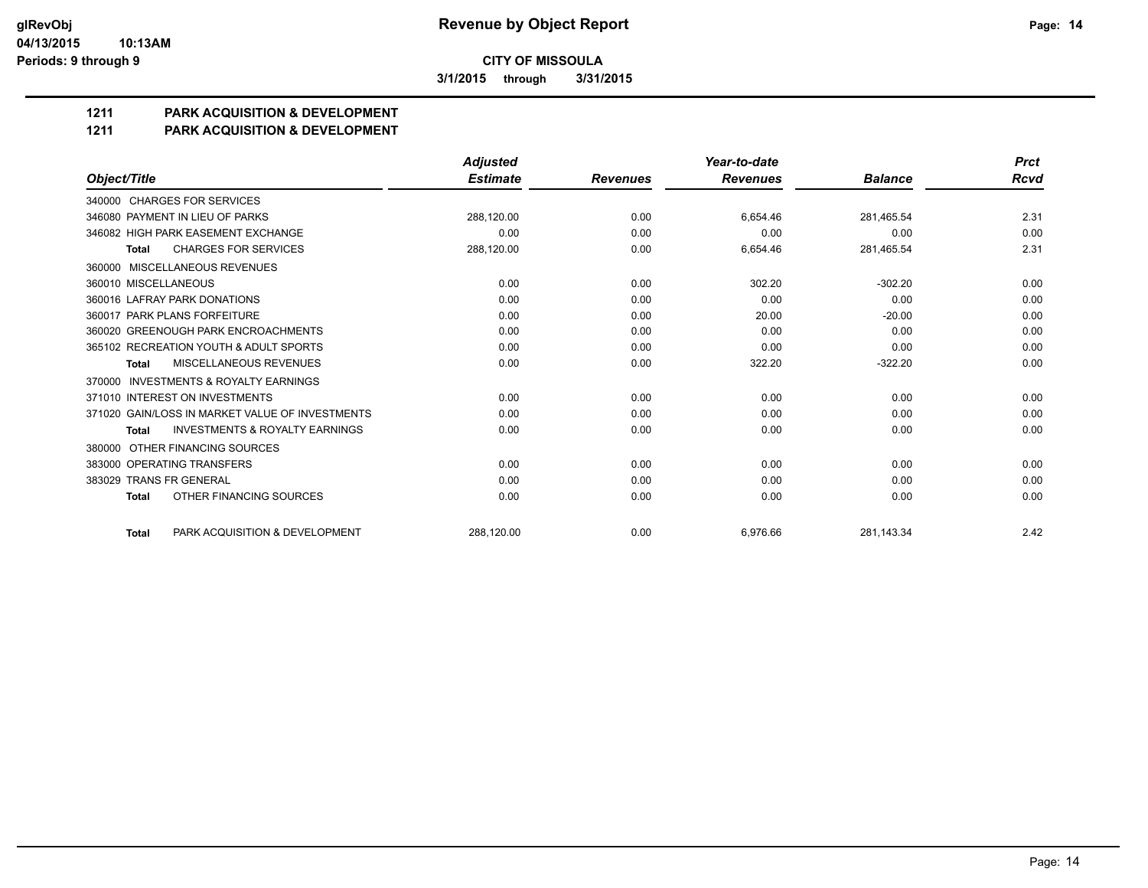**3/1/2015 through 3/31/2015**

# **1211 PARK ACQUISITION & DEVELOPMENT**

#### **1211 PARK ACQUISITION & DEVELOPMENT**

|                                                           | <b>Adjusted</b> |                 | Year-to-date    |                | <b>Prct</b> |
|-----------------------------------------------------------|-----------------|-----------------|-----------------|----------------|-------------|
| Object/Title                                              | <b>Estimate</b> | <b>Revenues</b> | <b>Revenues</b> | <b>Balance</b> | Rcvd        |
| 340000 CHARGES FOR SERVICES                               |                 |                 |                 |                |             |
| 346080 PAYMENT IN LIEU OF PARKS                           | 288,120.00      | 0.00            | 6.654.46        | 281,465.54     | 2.31        |
| 346082 HIGH PARK EASEMENT EXCHANGE                        | 0.00            | 0.00            | 0.00            | 0.00           | 0.00        |
| <b>CHARGES FOR SERVICES</b><br><b>Total</b>               | 288,120.00      | 0.00            | 6,654.46        | 281,465.54     | 2.31        |
| MISCELLANEOUS REVENUES<br>360000                          |                 |                 |                 |                |             |
| 360010 MISCELLANEOUS                                      | 0.00            | 0.00            | 302.20          | $-302.20$      | 0.00        |
| 360016 LAFRAY PARK DONATIONS                              | 0.00            | 0.00            | 0.00            | 0.00           | 0.00        |
| 360017 PARK PLANS FORFEITURE                              | 0.00            | 0.00            | 20.00           | $-20.00$       | 0.00        |
| 360020 GREENOUGH PARK ENCROACHMENTS                       | 0.00            | 0.00            | 0.00            | 0.00           | 0.00        |
| 365102 RECREATION YOUTH & ADULT SPORTS                    | 0.00            | 0.00            | 0.00            | 0.00           | 0.00        |
| MISCELLANEOUS REVENUES<br><b>Total</b>                    | 0.00            | 0.00            | 322.20          | $-322.20$      | 0.00        |
| <b>INVESTMENTS &amp; ROYALTY EARNINGS</b><br>370000       |                 |                 |                 |                |             |
| 371010 INTEREST ON INVESTMENTS                            | 0.00            | 0.00            | 0.00            | 0.00           | 0.00        |
| 371020 GAIN/LOSS IN MARKET VALUE OF INVESTMENTS           | 0.00            | 0.00            | 0.00            | 0.00           | 0.00        |
| <b>INVESTMENTS &amp; ROYALTY EARNINGS</b><br><b>Total</b> | 0.00            | 0.00            | 0.00            | 0.00           | 0.00        |
| OTHER FINANCING SOURCES<br>380000                         |                 |                 |                 |                |             |
| 383000 OPERATING TRANSFERS                                | 0.00            | 0.00            | 0.00            | 0.00           | 0.00        |
| 383029 TRANS FR GENERAL                                   | 0.00            | 0.00            | 0.00            | 0.00           | 0.00        |
| OTHER FINANCING SOURCES<br><b>Total</b>                   | 0.00            | 0.00            | 0.00            | 0.00           | 0.00        |
| PARK ACQUISITION & DEVELOPMENT<br><b>Total</b>            | 288.120.00      | 0.00            | 6.976.66        | 281.143.34     | 2.42        |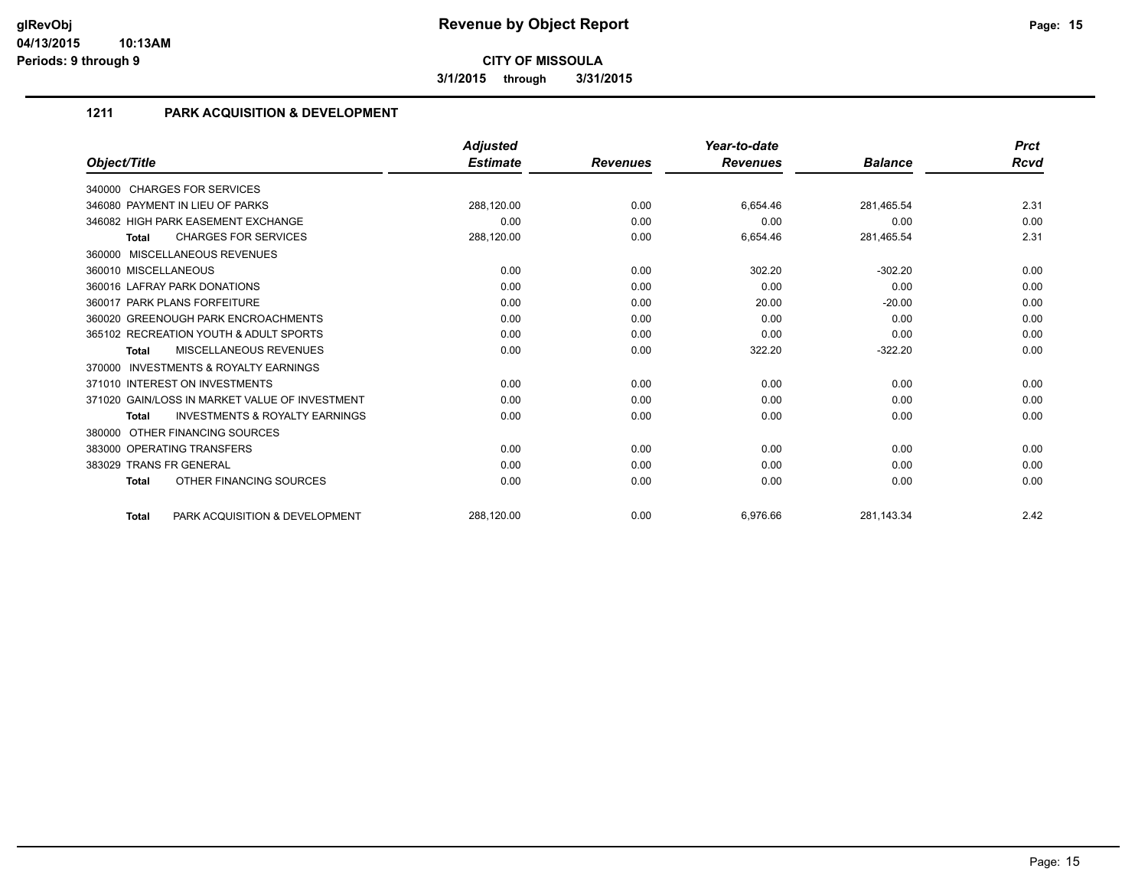**3/1/2015 through 3/31/2015**

## **1211 PARK ACQUISITION & DEVELOPMENT**

|                                                           | <b>Adjusted</b> |                 | Year-to-date    |                | <b>Prct</b> |
|-----------------------------------------------------------|-----------------|-----------------|-----------------|----------------|-------------|
| Object/Title                                              | <b>Estimate</b> | <b>Revenues</b> | <b>Revenues</b> | <b>Balance</b> | Rcvd        |
| 340000 CHARGES FOR SERVICES                               |                 |                 |                 |                |             |
| 346080 PAYMENT IN LIEU OF PARKS                           | 288,120.00      | 0.00            | 6,654.46        | 281,465.54     | 2.31        |
| 346082 HIGH PARK EASEMENT EXCHANGE                        | 0.00            | 0.00            | 0.00            | 0.00           | 0.00        |
| <b>CHARGES FOR SERVICES</b><br><b>Total</b>               | 288,120.00      | 0.00            | 6,654.46        | 281,465.54     | 2.31        |
| 360000 MISCELLANEOUS REVENUES                             |                 |                 |                 |                |             |
| 360010 MISCELLANEOUS                                      | 0.00            | 0.00            | 302.20          | $-302.20$      | 0.00        |
| 360016 LAFRAY PARK DONATIONS                              | 0.00            | 0.00            | 0.00            | 0.00           | 0.00        |
| 360017 PARK PLANS FORFEITURE                              | 0.00            | 0.00            | 20.00           | $-20.00$       | 0.00        |
| 360020 GREENOUGH PARK ENCROACHMENTS                       | 0.00            | 0.00            | 0.00            | 0.00           | 0.00        |
| 365102 RECREATION YOUTH & ADULT SPORTS                    | 0.00            | 0.00            | 0.00            | 0.00           | 0.00        |
| <b>MISCELLANEOUS REVENUES</b><br><b>Total</b>             | 0.00            | 0.00            | 322.20          | $-322.20$      | 0.00        |
| <b>INVESTMENTS &amp; ROYALTY EARNINGS</b><br>370000       |                 |                 |                 |                |             |
| 371010 INTEREST ON INVESTMENTS                            | 0.00            | 0.00            | 0.00            | 0.00           | 0.00        |
| 371020 GAIN/LOSS IN MARKET VALUE OF INVESTMENT            | 0.00            | 0.00            | 0.00            | 0.00           | 0.00        |
| <b>INVESTMENTS &amp; ROYALTY EARNINGS</b><br><b>Total</b> | 0.00            | 0.00            | 0.00            | 0.00           | 0.00        |
| OTHER FINANCING SOURCES<br>380000                         |                 |                 |                 |                |             |
| 383000 OPERATING TRANSFERS                                | 0.00            | 0.00            | 0.00            | 0.00           | 0.00        |
| 383029 TRANS FR GENERAL                                   | 0.00            | 0.00            | 0.00            | 0.00           | 0.00        |
| OTHER FINANCING SOURCES<br><b>Total</b>                   | 0.00            | 0.00            | 0.00            | 0.00           | 0.00        |
| PARK ACQUISITION & DEVELOPMENT<br><b>Total</b>            | 288,120.00      | 0.00            | 6,976.66        | 281,143.34     | 2.42        |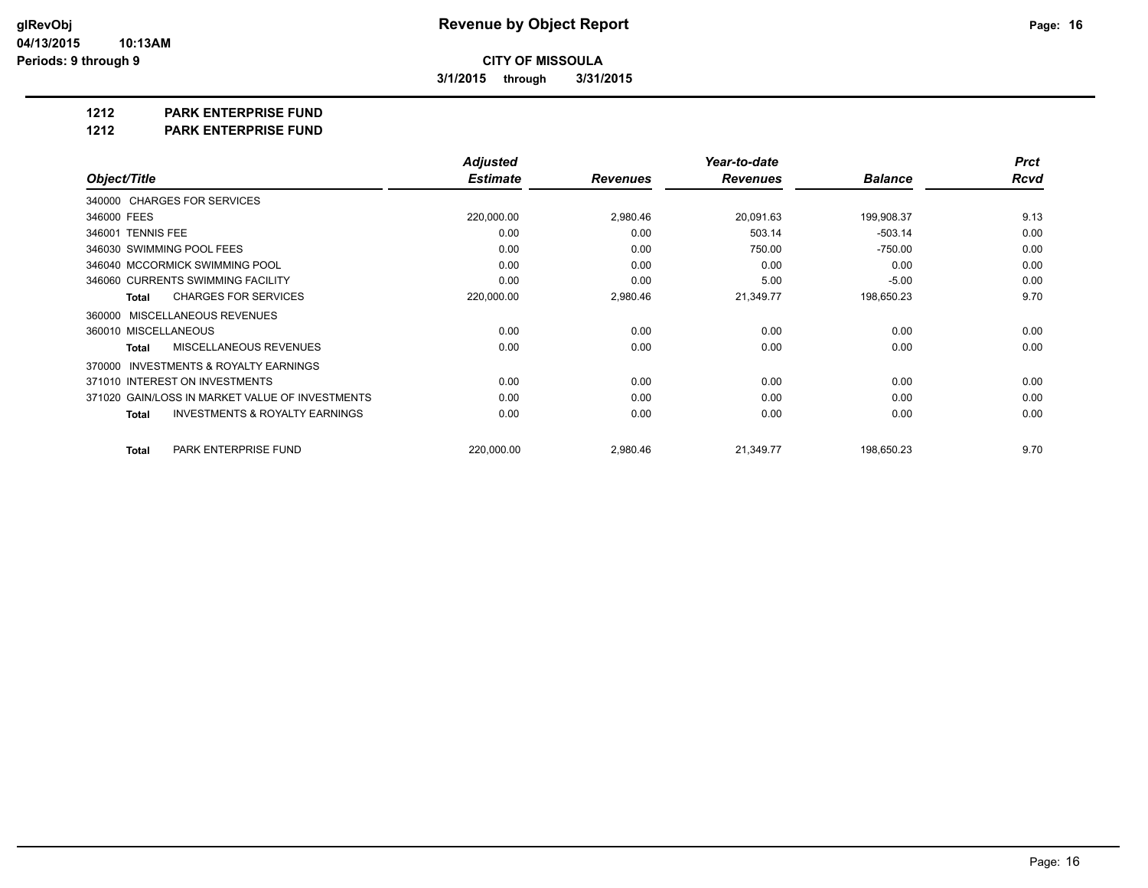**3/1/2015 through 3/31/2015**

**1212 PARK ENTERPRISE FUND**

**1212 PARK ENTERPRISE FUND**

|                                                           | <b>Adjusted</b> |                 | Year-to-date    |                | <b>Prct</b> |
|-----------------------------------------------------------|-----------------|-----------------|-----------------|----------------|-------------|
| Object/Title                                              | <b>Estimate</b> | <b>Revenues</b> | <b>Revenues</b> | <b>Balance</b> | Rcvd        |
| 340000 CHARGES FOR SERVICES                               |                 |                 |                 |                |             |
| 346000 FEES                                               | 220,000.00      | 2,980.46        | 20,091.63       | 199,908.37     | 9.13        |
| 346001 TENNIS FEE                                         | 0.00            | 0.00            | 503.14          | $-503.14$      | 0.00        |
| 346030 SWIMMING POOL FEES                                 | 0.00            | 0.00            | 750.00          | $-750.00$      | 0.00        |
| 346040 MCCORMICK SWIMMING POOL                            | 0.00            | 0.00            | 0.00            | 0.00           | 0.00        |
| 346060 CURRENTS SWIMMING FACILITY                         | 0.00            | 0.00            | 5.00            | $-5.00$        | 0.00        |
| <b>CHARGES FOR SERVICES</b><br><b>Total</b>               | 220,000.00      | 2,980.46        | 21,349.77       | 198,650.23     | 9.70        |
| MISCELLANEOUS REVENUES<br>360000                          |                 |                 |                 |                |             |
| 360010 MISCELLANEOUS                                      | 0.00            | 0.00            | 0.00            | 0.00           | 0.00        |
| <b>MISCELLANEOUS REVENUES</b><br><b>Total</b>             | 0.00            | 0.00            | 0.00            | 0.00           | 0.00        |
| INVESTMENTS & ROYALTY EARNINGS<br>370000                  |                 |                 |                 |                |             |
| 371010 INTEREST ON INVESTMENTS                            | 0.00            | 0.00            | 0.00            | 0.00           | 0.00        |
| 371020 GAIN/LOSS IN MARKET VALUE OF INVESTMENTS           | 0.00            | 0.00            | 0.00            | 0.00           | 0.00        |
| <b>INVESTMENTS &amp; ROYALTY EARNINGS</b><br><b>Total</b> | 0.00            | 0.00            | 0.00            | 0.00           | 0.00        |
| PARK ENTERPRISE FUND<br><b>Total</b>                      | 220,000.00      | 2,980.46        | 21,349.77       | 198,650.23     | 9.70        |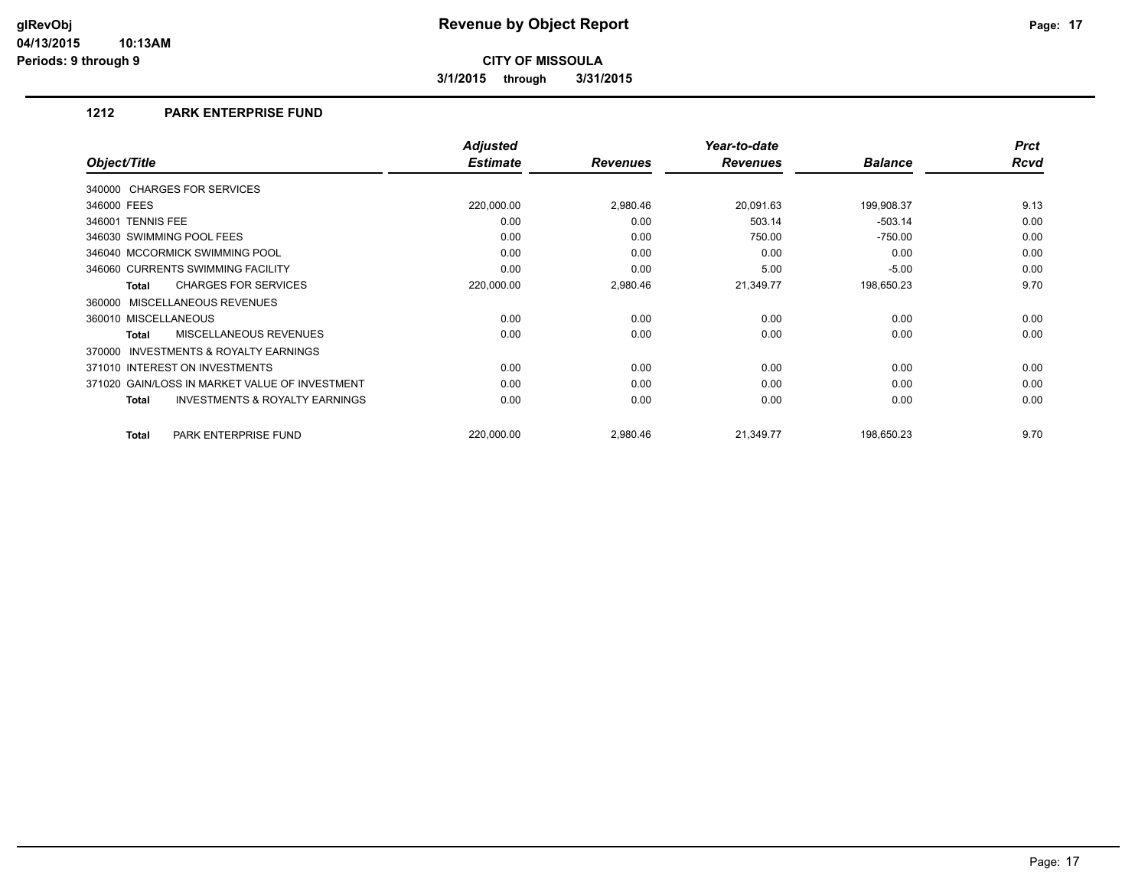**3/1/2015 through 3/31/2015**

#### **1212 PARK ENTERPRISE FUND**

|                                                           | <b>Adjusted</b> |                 | Year-to-date    |                | <b>Prct</b> |
|-----------------------------------------------------------|-----------------|-----------------|-----------------|----------------|-------------|
| Object/Title                                              | <b>Estimate</b> | <b>Revenues</b> | <b>Revenues</b> | <b>Balance</b> | <b>Rcvd</b> |
| 340000 CHARGES FOR SERVICES                               |                 |                 |                 |                |             |
| 346000 FEES                                               | 220,000.00      | 2,980.46        | 20,091.63       | 199,908.37     | 9.13        |
| 346001 TENNIS FEE                                         | 0.00            | 0.00            | 503.14          | $-503.14$      | 0.00        |
| 346030 SWIMMING POOL FEES                                 | 0.00            | 0.00            | 750.00          | $-750.00$      | 0.00        |
| 346040 MCCORMICK SWIMMING POOL                            | 0.00            | 0.00            | 0.00            | 0.00           | 0.00        |
| 346060 CURRENTS SWIMMING FACILITY                         | 0.00            | 0.00            | 5.00            | $-5.00$        | 0.00        |
| <b>CHARGES FOR SERVICES</b><br>Total                      | 220,000.00      | 2,980.46        | 21,349.77       | 198,650.23     | 9.70        |
| 360000 MISCELLANEOUS REVENUES                             |                 |                 |                 |                |             |
| 360010 MISCELLANEOUS                                      | 0.00            | 0.00            | 0.00            | 0.00           | 0.00        |
| <b>MISCELLANEOUS REVENUES</b><br>Total                    | 0.00            | 0.00            | 0.00            | 0.00           | 0.00        |
| <b>INVESTMENTS &amp; ROYALTY EARNINGS</b><br>370000       |                 |                 |                 |                |             |
| 371010 INTEREST ON INVESTMENTS                            | 0.00            | 0.00            | 0.00            | 0.00           | 0.00        |
| 371020 GAIN/LOSS IN MARKET VALUE OF INVESTMENT            | 0.00            | 0.00            | 0.00            | 0.00           | 0.00        |
| <b>INVESTMENTS &amp; ROYALTY EARNINGS</b><br><b>Total</b> | 0.00            | 0.00            | 0.00            | 0.00           | 0.00        |
| PARK ENTERPRISE FUND<br><b>Total</b>                      | 220,000.00      | 2,980.46        | 21,349.77       | 198,650.23     | 9.70        |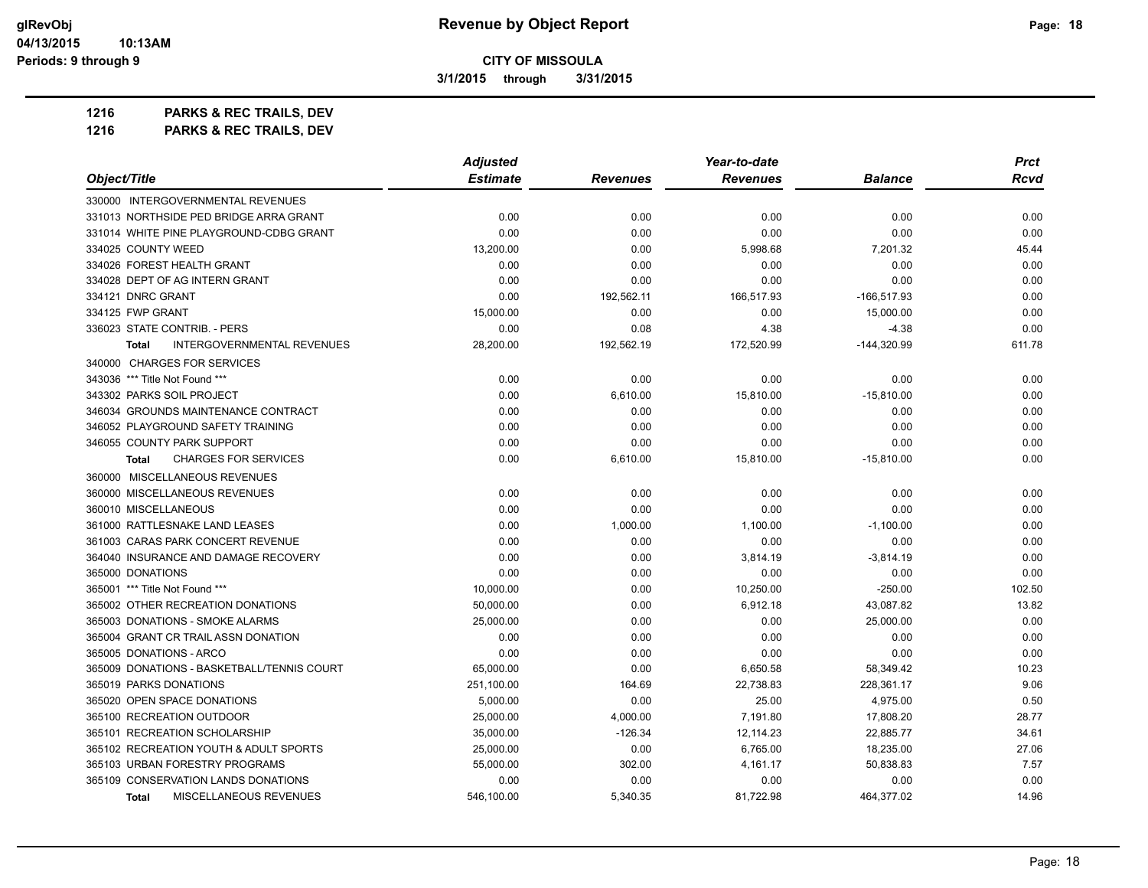**3/1/2015 through 3/31/2015**

**1216 PARKS & REC TRAILS, DEV 1216 PARKS & REC TRAILS, DEV**

|                                                   | <b>Adjusted</b> |                 | Year-to-date    |                | <b>Prct</b> |
|---------------------------------------------------|-----------------|-----------------|-----------------|----------------|-------------|
| Object/Title                                      | <b>Estimate</b> | <b>Revenues</b> | <b>Revenues</b> | <b>Balance</b> | Rcvd        |
| 330000 INTERGOVERNMENTAL REVENUES                 |                 |                 |                 |                |             |
| 331013 NORTHSIDE PED BRIDGE ARRA GRANT            | 0.00            | 0.00            | 0.00            | 0.00           | 0.00        |
| 331014 WHITE PINE PLAYGROUND-CDBG GRANT           | 0.00            | 0.00            | 0.00            | 0.00           | 0.00        |
| 334025 COUNTY WEED                                | 13,200.00       | 0.00            | 5,998.68        | 7,201.32       | 45.44       |
| 334026 FOREST HEALTH GRANT                        | 0.00            | 0.00            | 0.00            | 0.00           | 0.00        |
| 334028 DEPT OF AG INTERN GRANT                    | 0.00            | 0.00            | 0.00            | 0.00           | 0.00        |
| 334121 DNRC GRANT                                 | 0.00            | 192,562.11      | 166,517.93      | $-166,517.93$  | 0.00        |
| 334125 FWP GRANT                                  | 15,000.00       | 0.00            | 0.00            | 15,000.00      | 0.00        |
| 336023 STATE CONTRIB. - PERS                      | 0.00            | 0.08            | 4.38            | $-4.38$        | 0.00        |
| <b>INTERGOVERNMENTAL REVENUES</b><br><b>Total</b> | 28,200.00       | 192,562.19      | 172,520.99      | $-144,320.99$  | 611.78      |
| 340000 CHARGES FOR SERVICES                       |                 |                 |                 |                |             |
| 343036 *** Title Not Found ***                    | 0.00            | 0.00            | 0.00            | 0.00           | 0.00        |
| 343302 PARKS SOIL PROJECT                         | 0.00            | 6,610.00        | 15,810.00       | $-15,810.00$   | 0.00        |
| 346034 GROUNDS MAINTENANCE CONTRACT               | 0.00            | 0.00            | 0.00            | 0.00           | 0.00        |
| 346052 PLAYGROUND SAFETY TRAINING                 | 0.00            | 0.00            | 0.00            | 0.00           | 0.00        |
| 346055 COUNTY PARK SUPPORT                        | 0.00            | 0.00            | 0.00            | 0.00           | 0.00        |
| <b>CHARGES FOR SERVICES</b><br><b>Total</b>       | 0.00            | 6,610.00        | 15,810.00       | $-15,810.00$   | 0.00        |
| 360000 MISCELLANEOUS REVENUES                     |                 |                 |                 |                |             |
| 360000 MISCELLANEOUS REVENUES                     | 0.00            | 0.00            | 0.00            | 0.00           | 0.00        |
| 360010 MISCELLANEOUS                              | 0.00            | 0.00            | 0.00            | 0.00           | 0.00        |
| 361000 RATTLESNAKE LAND LEASES                    | 0.00            | 1,000.00        | 1,100.00        | $-1,100.00$    | 0.00        |
| 361003 CARAS PARK CONCERT REVENUE                 | 0.00            | 0.00            | 0.00            | 0.00           | 0.00        |
| 364040 INSURANCE AND DAMAGE RECOVERY              | 0.00            | 0.00            | 3,814.19        | $-3,814.19$    | 0.00        |
| 365000 DONATIONS                                  | 0.00            | 0.00            | 0.00            | 0.00           | 0.00        |
| 365001 *** Title Not Found ***                    | 10,000.00       | 0.00            | 10,250.00       | $-250.00$      | 102.50      |
| 365002 OTHER RECREATION DONATIONS                 | 50,000.00       | 0.00            | 6,912.18        | 43,087.82      | 13.82       |
| 365003 DONATIONS - SMOKE ALARMS                   | 25,000.00       | 0.00            | 0.00            | 25,000.00      | 0.00        |
| 365004 GRANT CR TRAIL ASSN DONATION               | 0.00            | 0.00            | 0.00            | 0.00           | 0.00        |
| 365005 DONATIONS - ARCO                           | 0.00            | 0.00            | 0.00            | 0.00           | 0.00        |
| 365009 DONATIONS - BASKETBALL/TENNIS COURT        | 65,000.00       | 0.00            | 6,650.58        | 58,349.42      | 10.23       |
| 365019 PARKS DONATIONS                            | 251,100.00      | 164.69          | 22,738.83       | 228,361.17     | 9.06        |
| 365020 OPEN SPACE DONATIONS                       | 5,000.00        | 0.00            | 25.00           | 4,975.00       | 0.50        |
| 365100 RECREATION OUTDOOR                         | 25,000.00       | 4,000.00        | 7,191.80        | 17,808.20      | 28.77       |
| 365101 RECREATION SCHOLARSHIP                     | 35,000.00       | $-126.34$       | 12,114.23       | 22,885.77      | 34.61       |
| 365102 RECREATION YOUTH & ADULT SPORTS            | 25,000.00       | 0.00            | 6,765.00        | 18,235.00      | 27.06       |
| 365103 URBAN FORESTRY PROGRAMS                    | 55,000.00       | 302.00          | 4,161.17        | 50,838.83      | 7.57        |
| 365109 CONSERVATION LANDS DONATIONS               | 0.00            | 0.00            | 0.00            | 0.00           | 0.00        |
| MISCELLANEOUS REVENUES<br><b>Total</b>            | 546,100.00      | 5,340.35        | 81,722.98       | 464,377.02     | 14.96       |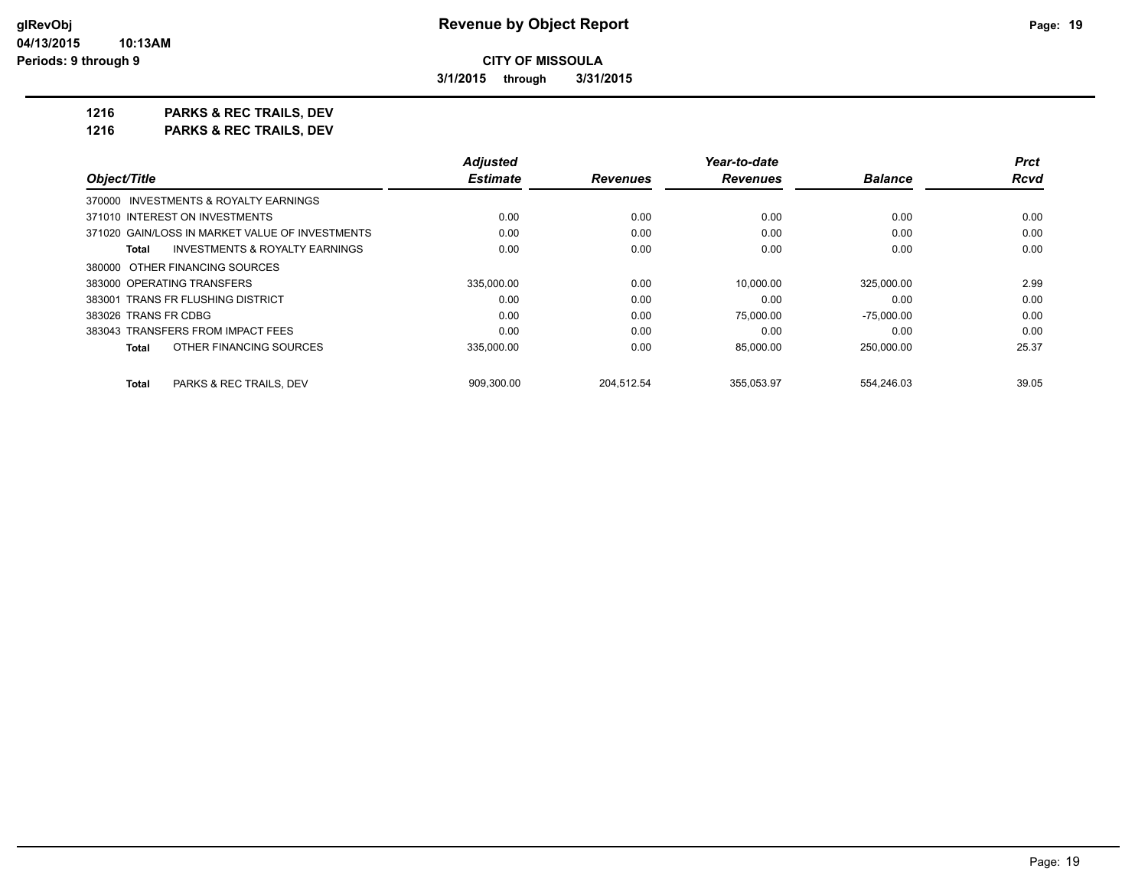*Prct Rcvd*

**CITY OF MISSOULA**

**3/1/2015 through 3/31/2015**

**1216 PARKS & REC TRAILS, DEV 1216 PARKS & REC TRAILS, DEV**

|                      |                                                 | <b>Adjusted</b> |                 | Year-to-date    |                | <b>Prct</b> |
|----------------------|-------------------------------------------------|-----------------|-----------------|-----------------|----------------|-------------|
| Object/Title         |                                                 | <b>Estimate</b> | <b>Revenues</b> | <b>Revenues</b> | <b>Balance</b> | Rcva        |
| 370000               | INVESTMENTS & ROYALTY EARNINGS                  |                 |                 |                 |                |             |
|                      | 371010 INTEREST ON INVESTMENTS                  | 0.00            | 0.00            | 0.00            | 0.00           | 0.00        |
|                      | 371020 GAIN/LOSS IN MARKET VALUE OF INVESTMENTS | 0.00            | 0.00            | 0.00            | 0.00           | 0.00        |
| Total                | <b>INVESTMENTS &amp; ROYALTY EARNINGS</b>       | 0.00            | 0.00            | 0.00            | 0.00           | 0.00        |
|                      | 380000 OTHER FINANCING SOURCES                  |                 |                 |                 |                |             |
|                      | 383000 OPERATING TRANSFERS                      | 335.000.00      | 0.00            | 10.000.00       | 325,000.00     | 2.99        |
|                      | 383001 TRANS FR FLUSHING DISTRICT               | 0.00            | 0.00            | 0.00            | 0.00           | 0.00        |
| 383026 TRANS FR CDBG |                                                 | 0.00            | 0.00            | 75.000.00       | $-75,000.00$   | 0.00        |
|                      | 383043 TRANSFERS FROM IMPACT FEES               | 0.00            | 0.00            | 0.00            | 0.00           | 0.00        |
| Total                | OTHER FINANCING SOURCES                         | 335,000.00      | 0.00            | 85.000.00       | 250,000.00     | 25.37       |
| <b>Total</b>         | PARKS & REC TRAILS, DEV                         | 909,300.00      | 204,512.54      | 355,053.97      | 554,246.03     | 39.05       |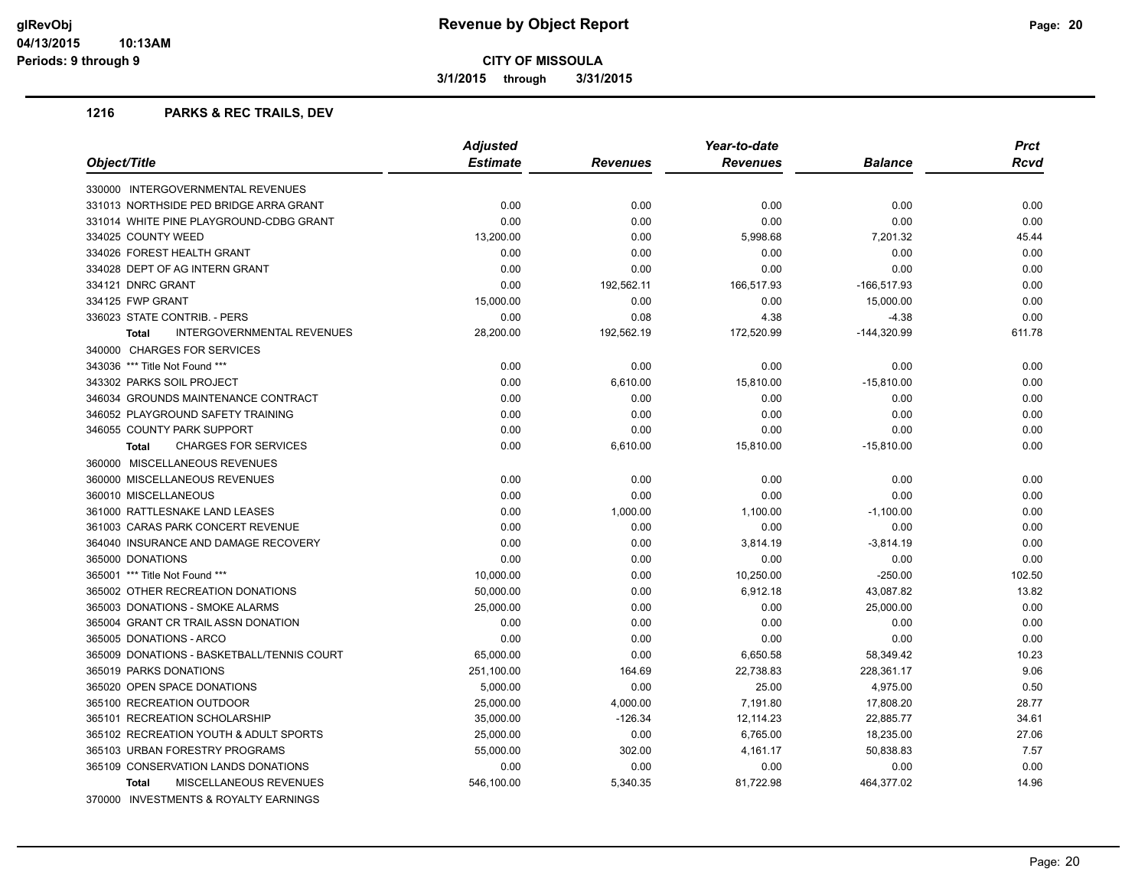**3/1/2015 through 3/31/2015**

#### **1216 PARKS & REC TRAILS, DEV**

| <b>Estimate</b><br>Object/Title<br><b>Revenues</b><br><b>Balance</b><br>Revenues<br>330000 INTERGOVERNMENTAL REVENUES<br>331013 NORTHSIDE PED BRIDGE ARRA GRANT<br>0.00<br>0.00<br>0.00<br>0.00<br>331014 WHITE PINE PLAYGROUND-CDBG GRANT<br>0.00<br>0.00<br>0.00<br>0.00<br>334025 COUNTY WEED<br>13,200.00<br>0.00<br>5,998.68<br>7,201.32<br>334026 FOREST HEALTH GRANT<br>0.00<br>0.00<br>0.00<br>0.00<br>334028 DEPT OF AG INTERN GRANT<br>0.00<br>0.00<br>0.00<br>0.00<br>334121 DNRC GRANT<br>0.00<br>192,562.11<br>166,517.93<br>$-166,517.93$<br>334125 FWP GRANT<br>15,000.00<br>0.00<br>0.00<br>15,000.00<br>336023 STATE CONTRIB. - PERS<br>0.00<br>0.08<br>4.38<br>$-4.38$<br>$-144,320.99$<br><b>INTERGOVERNMENTAL REVENUES</b><br>28,200.00<br>192,562.19<br>172,520.99<br><b>Total</b><br>340000 CHARGES FOR SERVICES<br>343036 *** Title Not Found ***<br>0.00<br>0.00<br>0.00<br>0.00<br>343302 PARKS SOIL PROJECT<br>0.00<br>6,610.00<br>15,810.00<br>$-15,810.00$<br>0.00<br>346034 GROUNDS MAINTENANCE CONTRACT<br>0.00<br>0.00<br>0.00<br>346052 PLAYGROUND SAFETY TRAINING<br>0.00<br>0.00<br>0.00<br>0.00<br>346055 COUNTY PARK SUPPORT<br>0.00<br>0.00<br>0.00<br>0.00<br><b>CHARGES FOR SERVICES</b><br>0.00<br>6,610.00<br>15,810.00<br>$-15,810.00$<br><b>Total</b><br>360000 MISCELLANEOUS REVENUES<br>360000 MISCELLANEOUS REVENUES<br>0.00<br>0.00<br>0.00<br>0.00<br>0.00<br>360010 MISCELLANEOUS<br>0.00<br>0.00<br>0.00<br>361000 RATTLESNAKE LAND LEASES<br>0.00<br>1,000.00<br>1,100.00<br>$-1,100.00$<br>361003 CARAS PARK CONCERT REVENUE<br>0.00<br>0.00<br>0.00<br>0.00<br>364040 INSURANCE AND DAMAGE RECOVERY<br>0.00<br>0.00<br>3,814.19<br>$-3,814.19$<br>365000 DONATIONS<br>0.00<br>0.00<br>0.00<br>0.00<br>10,000.00<br>10,250.00<br>$-250.00$<br>365001 *** Title Not Found ***<br>0.00<br>6,912.18<br>43,087.82<br>365002 OTHER RECREATION DONATIONS<br>50,000.00<br>0.00<br>365003 DONATIONS - SMOKE ALARMS<br>0.00<br>0.00<br>25,000.00<br>25,000.00<br>365004 GRANT CR TRAIL ASSN DONATION<br>0.00<br>0.00<br>0.00<br>0.00<br>365005 DONATIONS - ARCO<br>0.00<br>0.00<br>0.00<br>0.00<br>365009 DONATIONS - BASKETBALL/TENNIS COURT<br>65,000.00<br>0.00<br>6,650.58<br>58,349.42<br>365019 PARKS DONATIONS<br>251,100.00<br>164.69<br>22,738.83<br>228,361.17<br>365020 OPEN SPACE DONATIONS<br>5,000.00<br>0.00<br>25.00<br>4,975.00<br>365100 RECREATION OUTDOOR<br>25,000.00<br>4,000.00<br>7,191.80<br>17,808.20<br>365101 RECREATION SCHOLARSHIP<br>35,000.00<br>$-126.34$<br>12,114.23<br>22,885.77<br>365102 RECREATION YOUTH & ADULT SPORTS<br>25,000.00<br>0.00<br>6,765.00<br>18,235.00<br>365103 URBAN FORESTRY PROGRAMS<br>55,000.00<br>302.00<br>4,161.17<br>50,838.83<br>365109 CONSERVATION LANDS DONATIONS<br>0.00<br>0.00<br>0.00<br>0.00 |                                        | <b>Adjusted</b> |          | Year-to-date |            | <b>Prct</b> |
|------------------------------------------------------------------------------------------------------------------------------------------------------------------------------------------------------------------------------------------------------------------------------------------------------------------------------------------------------------------------------------------------------------------------------------------------------------------------------------------------------------------------------------------------------------------------------------------------------------------------------------------------------------------------------------------------------------------------------------------------------------------------------------------------------------------------------------------------------------------------------------------------------------------------------------------------------------------------------------------------------------------------------------------------------------------------------------------------------------------------------------------------------------------------------------------------------------------------------------------------------------------------------------------------------------------------------------------------------------------------------------------------------------------------------------------------------------------------------------------------------------------------------------------------------------------------------------------------------------------------------------------------------------------------------------------------------------------------------------------------------------------------------------------------------------------------------------------------------------------------------------------------------------------------------------------------------------------------------------------------------------------------------------------------------------------------------------------------------------------------------------------------------------------------------------------------------------------------------------------------------------------------------------------------------------------------------------------------------------------------------------------------------------------------------------------------------------------------------------------------------------------------------------------------------------------------------------------------------------------------------------------------------------------------------------------------------------------------------------------------------------------------------------------------------------------|----------------------------------------|-----------------|----------|--------------|------------|-------------|
|                                                                                                                                                                                                                                                                                                                                                                                                                                                                                                                                                                                                                                                                                                                                                                                                                                                                                                                                                                                                                                                                                                                                                                                                                                                                                                                                                                                                                                                                                                                                                                                                                                                                                                                                                                                                                                                                                                                                                                                                                                                                                                                                                                                                                                                                                                                                                                                                                                                                                                                                                                                                                                                                                                                                                                                                                  |                                        |                 |          |              |            | <b>Rcvd</b> |
|                                                                                                                                                                                                                                                                                                                                                                                                                                                                                                                                                                                                                                                                                                                                                                                                                                                                                                                                                                                                                                                                                                                                                                                                                                                                                                                                                                                                                                                                                                                                                                                                                                                                                                                                                                                                                                                                                                                                                                                                                                                                                                                                                                                                                                                                                                                                                                                                                                                                                                                                                                                                                                                                                                                                                                                                                  |                                        |                 |          |              |            |             |
|                                                                                                                                                                                                                                                                                                                                                                                                                                                                                                                                                                                                                                                                                                                                                                                                                                                                                                                                                                                                                                                                                                                                                                                                                                                                                                                                                                                                                                                                                                                                                                                                                                                                                                                                                                                                                                                                                                                                                                                                                                                                                                                                                                                                                                                                                                                                                                                                                                                                                                                                                                                                                                                                                                                                                                                                                  |                                        |                 |          |              |            | 0.00        |
|                                                                                                                                                                                                                                                                                                                                                                                                                                                                                                                                                                                                                                                                                                                                                                                                                                                                                                                                                                                                                                                                                                                                                                                                                                                                                                                                                                                                                                                                                                                                                                                                                                                                                                                                                                                                                                                                                                                                                                                                                                                                                                                                                                                                                                                                                                                                                                                                                                                                                                                                                                                                                                                                                                                                                                                                                  |                                        |                 |          |              |            | 0.00        |
|                                                                                                                                                                                                                                                                                                                                                                                                                                                                                                                                                                                                                                                                                                                                                                                                                                                                                                                                                                                                                                                                                                                                                                                                                                                                                                                                                                                                                                                                                                                                                                                                                                                                                                                                                                                                                                                                                                                                                                                                                                                                                                                                                                                                                                                                                                                                                                                                                                                                                                                                                                                                                                                                                                                                                                                                                  |                                        |                 |          |              |            | 45.44       |
|                                                                                                                                                                                                                                                                                                                                                                                                                                                                                                                                                                                                                                                                                                                                                                                                                                                                                                                                                                                                                                                                                                                                                                                                                                                                                                                                                                                                                                                                                                                                                                                                                                                                                                                                                                                                                                                                                                                                                                                                                                                                                                                                                                                                                                                                                                                                                                                                                                                                                                                                                                                                                                                                                                                                                                                                                  |                                        |                 |          |              |            | 0.00        |
|                                                                                                                                                                                                                                                                                                                                                                                                                                                                                                                                                                                                                                                                                                                                                                                                                                                                                                                                                                                                                                                                                                                                                                                                                                                                                                                                                                                                                                                                                                                                                                                                                                                                                                                                                                                                                                                                                                                                                                                                                                                                                                                                                                                                                                                                                                                                                                                                                                                                                                                                                                                                                                                                                                                                                                                                                  |                                        |                 |          |              |            | 0.00        |
|                                                                                                                                                                                                                                                                                                                                                                                                                                                                                                                                                                                                                                                                                                                                                                                                                                                                                                                                                                                                                                                                                                                                                                                                                                                                                                                                                                                                                                                                                                                                                                                                                                                                                                                                                                                                                                                                                                                                                                                                                                                                                                                                                                                                                                                                                                                                                                                                                                                                                                                                                                                                                                                                                                                                                                                                                  |                                        |                 |          |              |            | 0.00        |
|                                                                                                                                                                                                                                                                                                                                                                                                                                                                                                                                                                                                                                                                                                                                                                                                                                                                                                                                                                                                                                                                                                                                                                                                                                                                                                                                                                                                                                                                                                                                                                                                                                                                                                                                                                                                                                                                                                                                                                                                                                                                                                                                                                                                                                                                                                                                                                                                                                                                                                                                                                                                                                                                                                                                                                                                                  |                                        |                 |          |              |            | 0.00        |
|                                                                                                                                                                                                                                                                                                                                                                                                                                                                                                                                                                                                                                                                                                                                                                                                                                                                                                                                                                                                                                                                                                                                                                                                                                                                                                                                                                                                                                                                                                                                                                                                                                                                                                                                                                                                                                                                                                                                                                                                                                                                                                                                                                                                                                                                                                                                                                                                                                                                                                                                                                                                                                                                                                                                                                                                                  |                                        |                 |          |              |            | 0.00        |
|                                                                                                                                                                                                                                                                                                                                                                                                                                                                                                                                                                                                                                                                                                                                                                                                                                                                                                                                                                                                                                                                                                                                                                                                                                                                                                                                                                                                                                                                                                                                                                                                                                                                                                                                                                                                                                                                                                                                                                                                                                                                                                                                                                                                                                                                                                                                                                                                                                                                                                                                                                                                                                                                                                                                                                                                                  |                                        |                 |          |              |            | 611.78      |
|                                                                                                                                                                                                                                                                                                                                                                                                                                                                                                                                                                                                                                                                                                                                                                                                                                                                                                                                                                                                                                                                                                                                                                                                                                                                                                                                                                                                                                                                                                                                                                                                                                                                                                                                                                                                                                                                                                                                                                                                                                                                                                                                                                                                                                                                                                                                                                                                                                                                                                                                                                                                                                                                                                                                                                                                                  |                                        |                 |          |              |            |             |
|                                                                                                                                                                                                                                                                                                                                                                                                                                                                                                                                                                                                                                                                                                                                                                                                                                                                                                                                                                                                                                                                                                                                                                                                                                                                                                                                                                                                                                                                                                                                                                                                                                                                                                                                                                                                                                                                                                                                                                                                                                                                                                                                                                                                                                                                                                                                                                                                                                                                                                                                                                                                                                                                                                                                                                                                                  |                                        |                 |          |              |            | 0.00        |
|                                                                                                                                                                                                                                                                                                                                                                                                                                                                                                                                                                                                                                                                                                                                                                                                                                                                                                                                                                                                                                                                                                                                                                                                                                                                                                                                                                                                                                                                                                                                                                                                                                                                                                                                                                                                                                                                                                                                                                                                                                                                                                                                                                                                                                                                                                                                                                                                                                                                                                                                                                                                                                                                                                                                                                                                                  |                                        |                 |          |              |            | 0.00        |
|                                                                                                                                                                                                                                                                                                                                                                                                                                                                                                                                                                                                                                                                                                                                                                                                                                                                                                                                                                                                                                                                                                                                                                                                                                                                                                                                                                                                                                                                                                                                                                                                                                                                                                                                                                                                                                                                                                                                                                                                                                                                                                                                                                                                                                                                                                                                                                                                                                                                                                                                                                                                                                                                                                                                                                                                                  |                                        |                 |          |              |            | 0.00        |
|                                                                                                                                                                                                                                                                                                                                                                                                                                                                                                                                                                                                                                                                                                                                                                                                                                                                                                                                                                                                                                                                                                                                                                                                                                                                                                                                                                                                                                                                                                                                                                                                                                                                                                                                                                                                                                                                                                                                                                                                                                                                                                                                                                                                                                                                                                                                                                                                                                                                                                                                                                                                                                                                                                                                                                                                                  |                                        |                 |          |              |            | 0.00        |
|                                                                                                                                                                                                                                                                                                                                                                                                                                                                                                                                                                                                                                                                                                                                                                                                                                                                                                                                                                                                                                                                                                                                                                                                                                                                                                                                                                                                                                                                                                                                                                                                                                                                                                                                                                                                                                                                                                                                                                                                                                                                                                                                                                                                                                                                                                                                                                                                                                                                                                                                                                                                                                                                                                                                                                                                                  |                                        |                 |          |              |            | 0.00        |
|                                                                                                                                                                                                                                                                                                                                                                                                                                                                                                                                                                                                                                                                                                                                                                                                                                                                                                                                                                                                                                                                                                                                                                                                                                                                                                                                                                                                                                                                                                                                                                                                                                                                                                                                                                                                                                                                                                                                                                                                                                                                                                                                                                                                                                                                                                                                                                                                                                                                                                                                                                                                                                                                                                                                                                                                                  |                                        |                 |          |              |            | 0.00        |
|                                                                                                                                                                                                                                                                                                                                                                                                                                                                                                                                                                                                                                                                                                                                                                                                                                                                                                                                                                                                                                                                                                                                                                                                                                                                                                                                                                                                                                                                                                                                                                                                                                                                                                                                                                                                                                                                                                                                                                                                                                                                                                                                                                                                                                                                                                                                                                                                                                                                                                                                                                                                                                                                                                                                                                                                                  |                                        |                 |          |              |            |             |
|                                                                                                                                                                                                                                                                                                                                                                                                                                                                                                                                                                                                                                                                                                                                                                                                                                                                                                                                                                                                                                                                                                                                                                                                                                                                                                                                                                                                                                                                                                                                                                                                                                                                                                                                                                                                                                                                                                                                                                                                                                                                                                                                                                                                                                                                                                                                                                                                                                                                                                                                                                                                                                                                                                                                                                                                                  |                                        |                 |          |              |            | 0.00        |
|                                                                                                                                                                                                                                                                                                                                                                                                                                                                                                                                                                                                                                                                                                                                                                                                                                                                                                                                                                                                                                                                                                                                                                                                                                                                                                                                                                                                                                                                                                                                                                                                                                                                                                                                                                                                                                                                                                                                                                                                                                                                                                                                                                                                                                                                                                                                                                                                                                                                                                                                                                                                                                                                                                                                                                                                                  |                                        |                 |          |              |            | 0.00        |
|                                                                                                                                                                                                                                                                                                                                                                                                                                                                                                                                                                                                                                                                                                                                                                                                                                                                                                                                                                                                                                                                                                                                                                                                                                                                                                                                                                                                                                                                                                                                                                                                                                                                                                                                                                                                                                                                                                                                                                                                                                                                                                                                                                                                                                                                                                                                                                                                                                                                                                                                                                                                                                                                                                                                                                                                                  |                                        |                 |          |              |            | 0.00        |
|                                                                                                                                                                                                                                                                                                                                                                                                                                                                                                                                                                                                                                                                                                                                                                                                                                                                                                                                                                                                                                                                                                                                                                                                                                                                                                                                                                                                                                                                                                                                                                                                                                                                                                                                                                                                                                                                                                                                                                                                                                                                                                                                                                                                                                                                                                                                                                                                                                                                                                                                                                                                                                                                                                                                                                                                                  |                                        |                 |          |              |            | 0.00        |
|                                                                                                                                                                                                                                                                                                                                                                                                                                                                                                                                                                                                                                                                                                                                                                                                                                                                                                                                                                                                                                                                                                                                                                                                                                                                                                                                                                                                                                                                                                                                                                                                                                                                                                                                                                                                                                                                                                                                                                                                                                                                                                                                                                                                                                                                                                                                                                                                                                                                                                                                                                                                                                                                                                                                                                                                                  |                                        |                 |          |              |            | 0.00        |
|                                                                                                                                                                                                                                                                                                                                                                                                                                                                                                                                                                                                                                                                                                                                                                                                                                                                                                                                                                                                                                                                                                                                                                                                                                                                                                                                                                                                                                                                                                                                                                                                                                                                                                                                                                                                                                                                                                                                                                                                                                                                                                                                                                                                                                                                                                                                                                                                                                                                                                                                                                                                                                                                                                                                                                                                                  |                                        |                 |          |              |            | 0.00        |
|                                                                                                                                                                                                                                                                                                                                                                                                                                                                                                                                                                                                                                                                                                                                                                                                                                                                                                                                                                                                                                                                                                                                                                                                                                                                                                                                                                                                                                                                                                                                                                                                                                                                                                                                                                                                                                                                                                                                                                                                                                                                                                                                                                                                                                                                                                                                                                                                                                                                                                                                                                                                                                                                                                                                                                                                                  |                                        |                 |          |              |            | 102.50      |
|                                                                                                                                                                                                                                                                                                                                                                                                                                                                                                                                                                                                                                                                                                                                                                                                                                                                                                                                                                                                                                                                                                                                                                                                                                                                                                                                                                                                                                                                                                                                                                                                                                                                                                                                                                                                                                                                                                                                                                                                                                                                                                                                                                                                                                                                                                                                                                                                                                                                                                                                                                                                                                                                                                                                                                                                                  |                                        |                 |          |              |            | 13.82       |
|                                                                                                                                                                                                                                                                                                                                                                                                                                                                                                                                                                                                                                                                                                                                                                                                                                                                                                                                                                                                                                                                                                                                                                                                                                                                                                                                                                                                                                                                                                                                                                                                                                                                                                                                                                                                                                                                                                                                                                                                                                                                                                                                                                                                                                                                                                                                                                                                                                                                                                                                                                                                                                                                                                                                                                                                                  |                                        |                 |          |              |            | 0.00        |
|                                                                                                                                                                                                                                                                                                                                                                                                                                                                                                                                                                                                                                                                                                                                                                                                                                                                                                                                                                                                                                                                                                                                                                                                                                                                                                                                                                                                                                                                                                                                                                                                                                                                                                                                                                                                                                                                                                                                                                                                                                                                                                                                                                                                                                                                                                                                                                                                                                                                                                                                                                                                                                                                                                                                                                                                                  |                                        |                 |          |              |            | 0.00        |
|                                                                                                                                                                                                                                                                                                                                                                                                                                                                                                                                                                                                                                                                                                                                                                                                                                                                                                                                                                                                                                                                                                                                                                                                                                                                                                                                                                                                                                                                                                                                                                                                                                                                                                                                                                                                                                                                                                                                                                                                                                                                                                                                                                                                                                                                                                                                                                                                                                                                                                                                                                                                                                                                                                                                                                                                                  |                                        |                 |          |              |            | 0.00        |
|                                                                                                                                                                                                                                                                                                                                                                                                                                                                                                                                                                                                                                                                                                                                                                                                                                                                                                                                                                                                                                                                                                                                                                                                                                                                                                                                                                                                                                                                                                                                                                                                                                                                                                                                                                                                                                                                                                                                                                                                                                                                                                                                                                                                                                                                                                                                                                                                                                                                                                                                                                                                                                                                                                                                                                                                                  |                                        |                 |          |              |            | 10.23       |
|                                                                                                                                                                                                                                                                                                                                                                                                                                                                                                                                                                                                                                                                                                                                                                                                                                                                                                                                                                                                                                                                                                                                                                                                                                                                                                                                                                                                                                                                                                                                                                                                                                                                                                                                                                                                                                                                                                                                                                                                                                                                                                                                                                                                                                                                                                                                                                                                                                                                                                                                                                                                                                                                                                                                                                                                                  |                                        |                 |          |              |            | 9.06        |
|                                                                                                                                                                                                                                                                                                                                                                                                                                                                                                                                                                                                                                                                                                                                                                                                                                                                                                                                                                                                                                                                                                                                                                                                                                                                                                                                                                                                                                                                                                                                                                                                                                                                                                                                                                                                                                                                                                                                                                                                                                                                                                                                                                                                                                                                                                                                                                                                                                                                                                                                                                                                                                                                                                                                                                                                                  |                                        |                 |          |              |            | 0.50        |
|                                                                                                                                                                                                                                                                                                                                                                                                                                                                                                                                                                                                                                                                                                                                                                                                                                                                                                                                                                                                                                                                                                                                                                                                                                                                                                                                                                                                                                                                                                                                                                                                                                                                                                                                                                                                                                                                                                                                                                                                                                                                                                                                                                                                                                                                                                                                                                                                                                                                                                                                                                                                                                                                                                                                                                                                                  |                                        |                 |          |              |            | 28.77       |
|                                                                                                                                                                                                                                                                                                                                                                                                                                                                                                                                                                                                                                                                                                                                                                                                                                                                                                                                                                                                                                                                                                                                                                                                                                                                                                                                                                                                                                                                                                                                                                                                                                                                                                                                                                                                                                                                                                                                                                                                                                                                                                                                                                                                                                                                                                                                                                                                                                                                                                                                                                                                                                                                                                                                                                                                                  |                                        |                 |          |              |            | 34.61       |
|                                                                                                                                                                                                                                                                                                                                                                                                                                                                                                                                                                                                                                                                                                                                                                                                                                                                                                                                                                                                                                                                                                                                                                                                                                                                                                                                                                                                                                                                                                                                                                                                                                                                                                                                                                                                                                                                                                                                                                                                                                                                                                                                                                                                                                                                                                                                                                                                                                                                                                                                                                                                                                                                                                                                                                                                                  |                                        |                 |          |              |            | 27.06       |
|                                                                                                                                                                                                                                                                                                                                                                                                                                                                                                                                                                                                                                                                                                                                                                                                                                                                                                                                                                                                                                                                                                                                                                                                                                                                                                                                                                                                                                                                                                                                                                                                                                                                                                                                                                                                                                                                                                                                                                                                                                                                                                                                                                                                                                                                                                                                                                                                                                                                                                                                                                                                                                                                                                                                                                                                                  |                                        |                 |          |              |            | 7.57        |
|                                                                                                                                                                                                                                                                                                                                                                                                                                                                                                                                                                                                                                                                                                                                                                                                                                                                                                                                                                                                                                                                                                                                                                                                                                                                                                                                                                                                                                                                                                                                                                                                                                                                                                                                                                                                                                                                                                                                                                                                                                                                                                                                                                                                                                                                                                                                                                                                                                                                                                                                                                                                                                                                                                                                                                                                                  |                                        |                 |          |              |            | 0.00        |
|                                                                                                                                                                                                                                                                                                                                                                                                                                                                                                                                                                                                                                                                                                                                                                                                                                                                                                                                                                                                                                                                                                                                                                                                                                                                                                                                                                                                                                                                                                                                                                                                                                                                                                                                                                                                                                                                                                                                                                                                                                                                                                                                                                                                                                                                                                                                                                                                                                                                                                                                                                                                                                                                                                                                                                                                                  | MISCELLANEOUS REVENUES<br><b>Total</b> | 546,100.00      | 5,340.35 | 81,722.98    | 464,377.02 | 14.96       |
| 370000 INVESTMENTS & ROYALTY EARNINGS                                                                                                                                                                                                                                                                                                                                                                                                                                                                                                                                                                                                                                                                                                                                                                                                                                                                                                                                                                                                                                                                                                                                                                                                                                                                                                                                                                                                                                                                                                                                                                                                                                                                                                                                                                                                                                                                                                                                                                                                                                                                                                                                                                                                                                                                                                                                                                                                                                                                                                                                                                                                                                                                                                                                                                            |                                        |                 |          |              |            |             |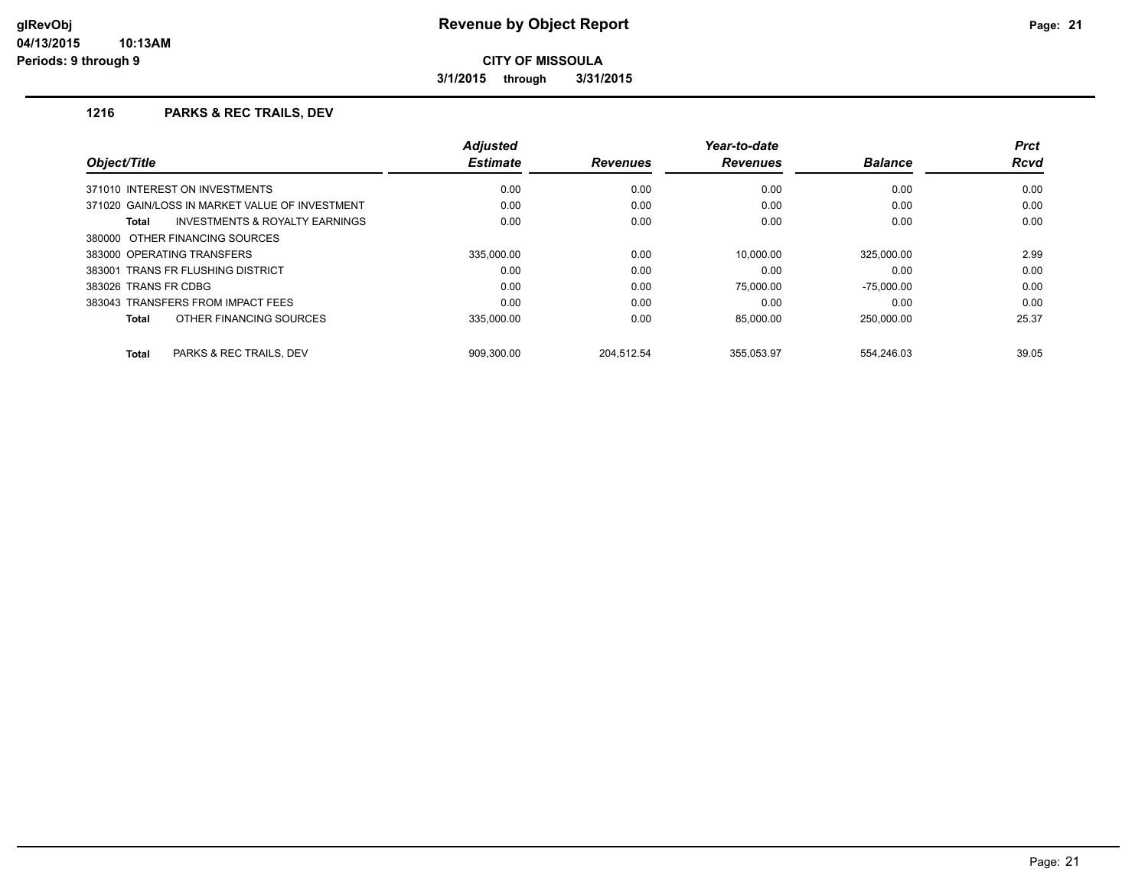**3/1/2015 through 3/31/2015**

## **1216 PARKS & REC TRAILS, DEV**

|                                                | <b>Adjusted</b> |                 | Year-to-date    |                | <b>Prct</b> |
|------------------------------------------------|-----------------|-----------------|-----------------|----------------|-------------|
| Object/Title                                   | <b>Estimate</b> | <b>Revenues</b> | <b>Revenues</b> | <b>Balance</b> | <b>Rcvd</b> |
| 371010 INTEREST ON INVESTMENTS                 | 0.00            | 0.00            | 0.00            | 0.00           | 0.00        |
| 371020 GAIN/LOSS IN MARKET VALUE OF INVESTMENT | 0.00            | 0.00            | 0.00            | 0.00           | 0.00        |
| INVESTMENTS & ROYALTY EARNINGS<br>Total        | 0.00            | 0.00            | 0.00            | 0.00           | 0.00        |
| 380000 OTHER FINANCING SOURCES                 |                 |                 |                 |                |             |
| 383000 OPERATING TRANSFERS                     | 335,000.00      | 0.00            | 10.000.00       | 325,000.00     | 2.99        |
| 383001 TRANS FR FLUSHING DISTRICT              | 0.00            | 0.00            | 0.00            | 0.00           | 0.00        |
| 383026 TRANS FR CDBG                           | 0.00            | 0.00            | 75.000.00       | $-75.000.00$   | 0.00        |
| 383043 TRANSFERS FROM IMPACT FEES              | 0.00            | 0.00            | 0.00            | 0.00           | 0.00        |
| OTHER FINANCING SOURCES<br>Total               | 335.000.00      | 0.00            | 85.000.00       | 250.000.00     | 25.37       |
| PARKS & REC TRAILS, DEV<br><b>Total</b>        | 909.300.00      | 204.512.54      | 355.053.97      | 554.246.03     | 39.05       |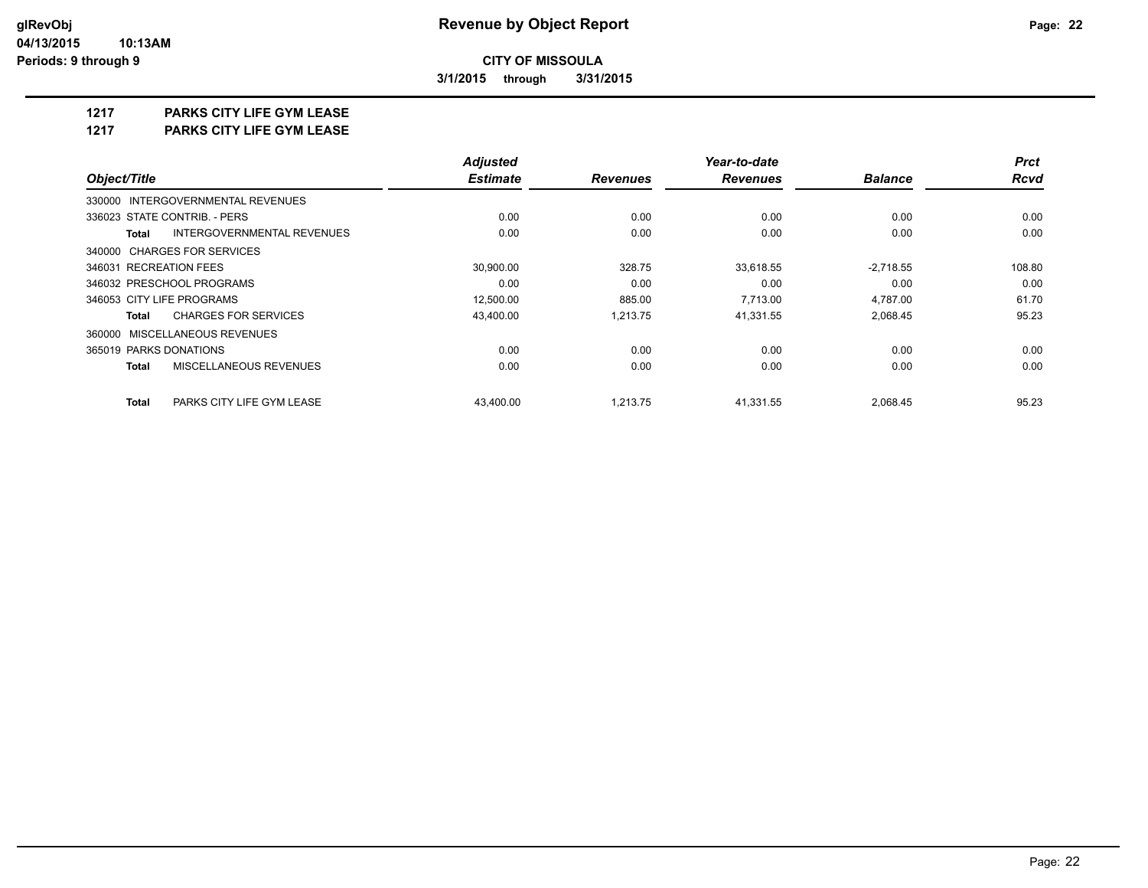**3/1/2015 through 3/31/2015**

## **1217 PARKS CITY LIFE GYM LEASE**

**1217 PARKS CITY LIFE GYM LEASE**

|                                            | Adjusted        |                 | Year-to-date    |                | <b>Prct</b> |
|--------------------------------------------|-----------------|-----------------|-----------------|----------------|-------------|
| Object/Title                               | <b>Estimate</b> | <b>Revenues</b> | <b>Revenues</b> | <b>Balance</b> | <b>Rcvd</b> |
| 330000 INTERGOVERNMENTAL REVENUES          |                 |                 |                 |                |             |
| 336023 STATE CONTRIB. - PERS               | 0.00            | 0.00            | 0.00            | 0.00           | 0.00        |
| INTERGOVERNMENTAL REVENUES<br><b>Total</b> | 0.00            | 0.00            | 0.00            | 0.00           | 0.00        |
| 340000 CHARGES FOR SERVICES                |                 |                 |                 |                |             |
| 346031 RECREATION FEES                     | 30,900.00       | 328.75          | 33,618.55       | $-2,718.55$    | 108.80      |
| 346032 PRESCHOOL PROGRAMS                  | 0.00            | 0.00            | 0.00            | 0.00           | 0.00        |
| 346053 CITY LIFE PROGRAMS                  | 12,500.00       | 885.00          | 7,713.00        | 4,787.00       | 61.70       |
| <b>CHARGES FOR SERVICES</b><br>Total       | 43,400.00       | 1,213.75        | 41,331.55       | 2,068.45       | 95.23       |
| 360000 MISCELLANEOUS REVENUES              |                 |                 |                 |                |             |
| 365019 PARKS DONATIONS                     | 0.00            | 0.00            | 0.00            | 0.00           | 0.00        |
| MISCELLANEOUS REVENUES<br><b>Total</b>     | 0.00            | 0.00            | 0.00            | 0.00           | 0.00        |
| <b>Total</b><br>PARKS CITY LIFE GYM LEASE  | 43.400.00       | 1.213.75        | 41,331.55       | 2.068.45       | 95.23       |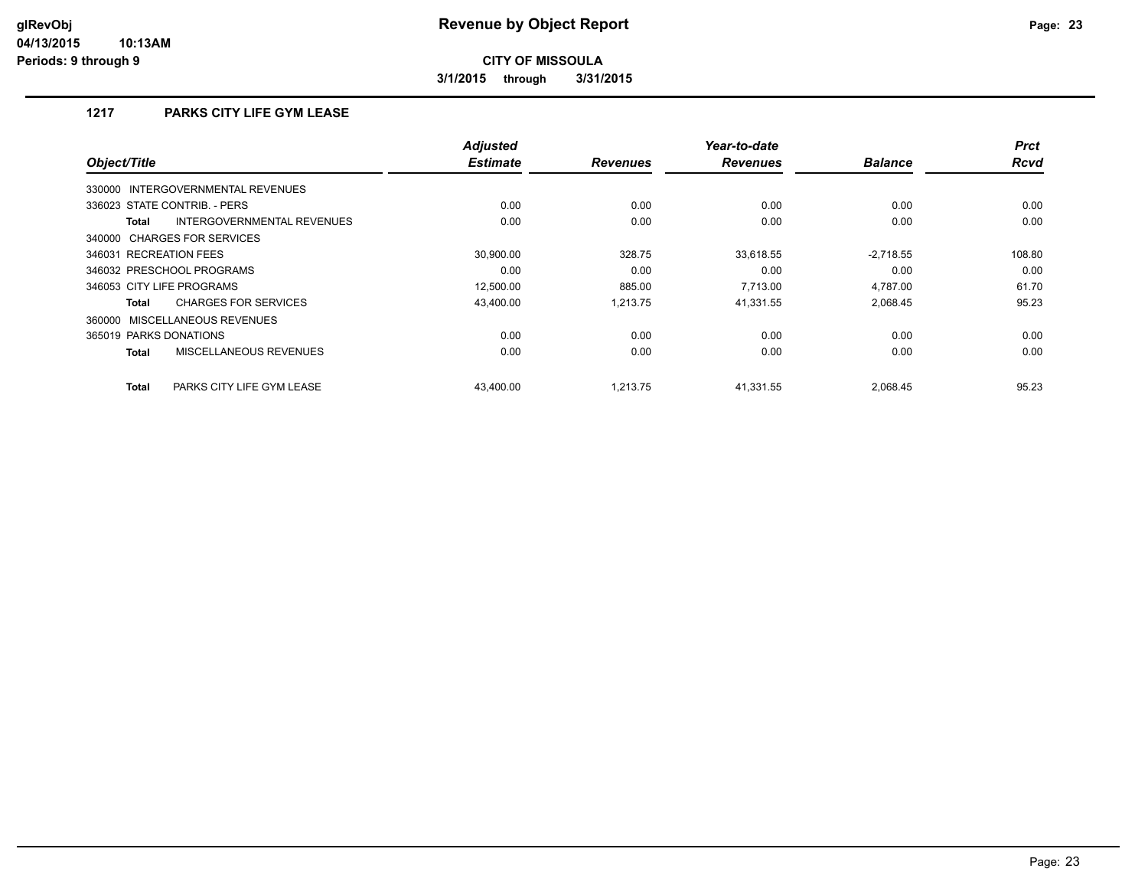**3/1/2015 through 3/31/2015**

## **1217 PARKS CITY LIFE GYM LEASE**

| Object/Title                                  | <b>Adjusted</b><br><b>Estimate</b> | <b>Revenues</b> | Year-to-date<br><b>Revenues</b> | <b>Balance</b> | <b>Prct</b><br><b>Rcvd</b> |
|-----------------------------------------------|------------------------------------|-----------------|---------------------------------|----------------|----------------------------|
| INTERGOVERNMENTAL REVENUES<br>330000          |                                    |                 |                                 |                |                            |
| 336023 STATE CONTRIB. - PERS                  | 0.00                               | 0.00            | 0.00                            | 0.00           | 0.00                       |
| INTERGOVERNMENTAL REVENUES<br>Total           | 0.00                               | 0.00            | 0.00                            | 0.00           | 0.00                       |
| 340000 CHARGES FOR SERVICES                   |                                    |                 |                                 |                |                            |
| 346031 RECREATION FEES                        | 30.900.00                          | 328.75          | 33,618.55                       | $-2,718.55$    | 108.80                     |
| 346032 PRESCHOOL PROGRAMS                     | 0.00                               | 0.00            | 0.00                            | 0.00           | 0.00                       |
| 346053 CITY LIFE PROGRAMS                     | 12,500.00                          | 885.00          | 7.713.00                        | 4.787.00       | 61.70                      |
| <b>CHARGES FOR SERVICES</b><br>Total          | 43.400.00                          | 1.213.75        | 41,331.55                       | 2,068.45       | 95.23                      |
| 360000 MISCELLANEOUS REVENUES                 |                                    |                 |                                 |                |                            |
| 365019 PARKS DONATIONS                        | 0.00                               | 0.00            | 0.00                            | 0.00           | 0.00                       |
| <b>MISCELLANEOUS REVENUES</b><br><b>Total</b> | 0.00                               | 0.00            | 0.00                            | 0.00           | 0.00                       |
| <b>Total</b><br>PARKS CITY LIFE GYM LEASE     | 43.400.00                          | 1.213.75        | 41,331.55                       | 2.068.45       | 95.23                      |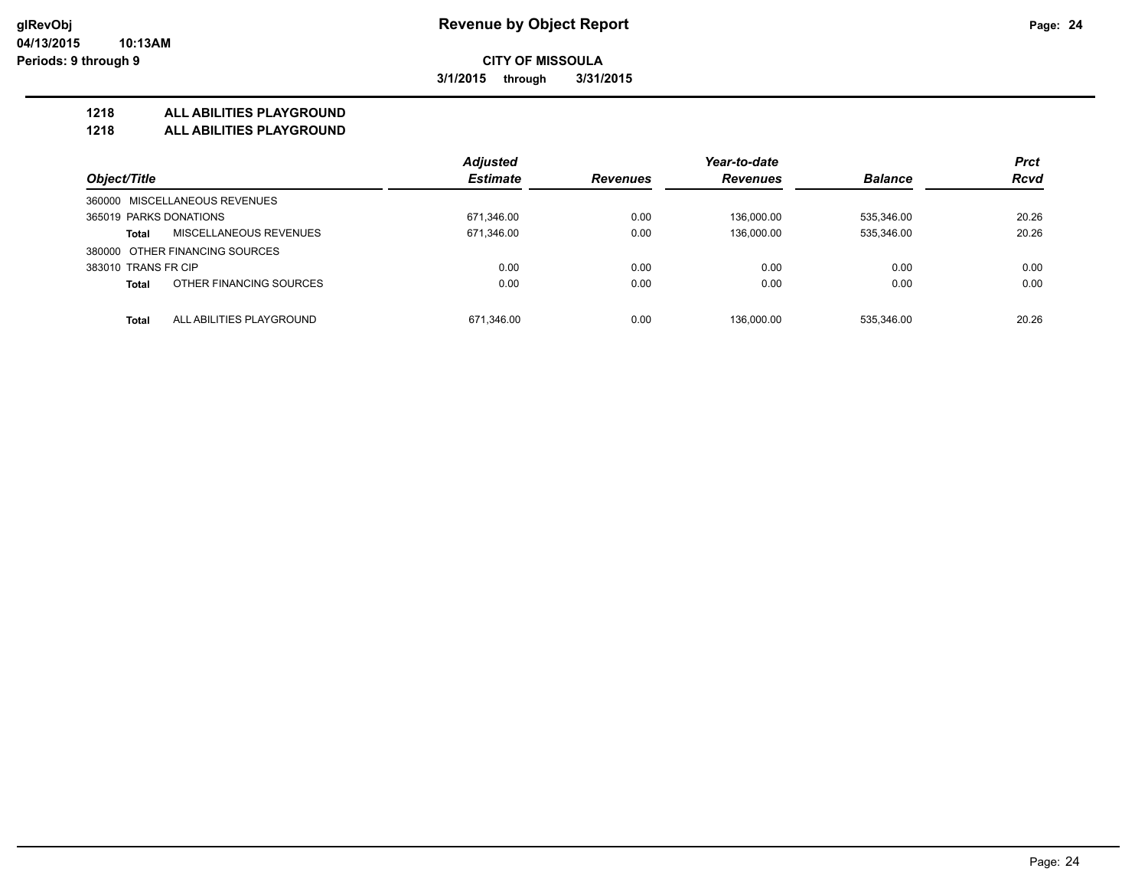**3/1/2015 through 3/31/2015**

#### **1218 ALL ABILITIES PLAYGROUND**

**1218 ALL ABILITIES PLAYGROUND**

|                                               | <b>Adjusted</b> |                 | Year-to-date    |                | <b>Prct</b> |
|-----------------------------------------------|-----------------|-----------------|-----------------|----------------|-------------|
| Object/Title                                  | <b>Estimate</b> | <b>Revenues</b> | <b>Revenues</b> | <b>Balance</b> | <b>Rcvd</b> |
| 360000 MISCELLANEOUS REVENUES                 |                 |                 |                 |                |             |
| 365019 PARKS DONATIONS                        | 671,346.00      | 0.00            | 136.000.00      | 535.346.00     | 20.26       |
| <b>MISCELLANEOUS REVENUES</b><br><b>Total</b> | 671,346.00      | 0.00            | 136.000.00      | 535,346.00     | 20.26       |
| 380000 OTHER FINANCING SOURCES                |                 |                 |                 |                |             |
| 383010 TRANS FR CIP                           | 0.00            | 0.00            | 0.00            | 0.00           | 0.00        |
| OTHER FINANCING SOURCES<br><b>Total</b>       | 0.00            | 0.00            | 0.00            | 0.00           | 0.00        |
|                                               |                 |                 |                 |                |             |
| ALL ABILITIES PLAYGROUND<br><b>Total</b>      | 671.346.00      | 0.00            | 136.000.00      | 535.346.00     | 20.26       |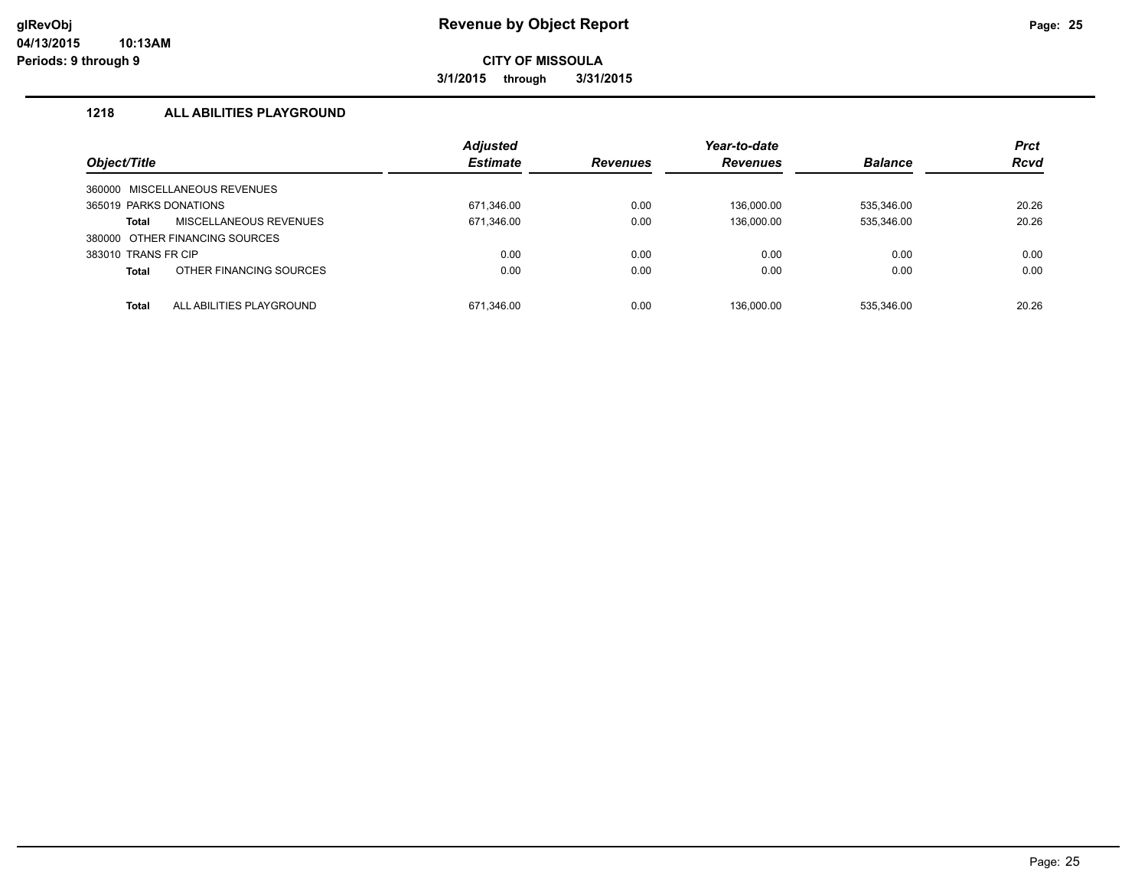**3/1/2015 through 3/31/2015**

## **1218 ALL ABILITIES PLAYGROUND**

|                        |                                | <b>Adjusted</b><br><b>Estimate</b> |                 | Year-to-date    | <b>Balance</b> | <b>Prct</b><br><b>Rcvd</b> |
|------------------------|--------------------------------|------------------------------------|-----------------|-----------------|----------------|----------------------------|
| Object/Title           |                                |                                    | <b>Revenues</b> | <b>Revenues</b> |                |                            |
| 360000                 | MISCELLANEOUS REVENUES         |                                    |                 |                 |                |                            |
| 365019 PARKS DONATIONS |                                | 671,346.00                         | 0.00            | 136.000.00      | 535.346.00     | 20.26                      |
| Total                  | <b>MISCELLANEOUS REVENUES</b>  | 671,346.00                         | 0.00            | 136,000.00      | 535,346.00     | 20.26                      |
|                        | 380000 OTHER FINANCING SOURCES |                                    |                 |                 |                |                            |
| 383010 TRANS FR CIP    |                                | 0.00                               | 0.00            | 0.00            | 0.00           | 0.00                       |
| <b>Total</b>           | OTHER FINANCING SOURCES        | 0.00                               | 0.00            | 0.00            | 0.00           | 0.00                       |
| Total                  | ALL ABILITIES PLAYGROUND       | 671.346.00                         | 0.00            | 136.000.00      | 535.346.00     | 20.26                      |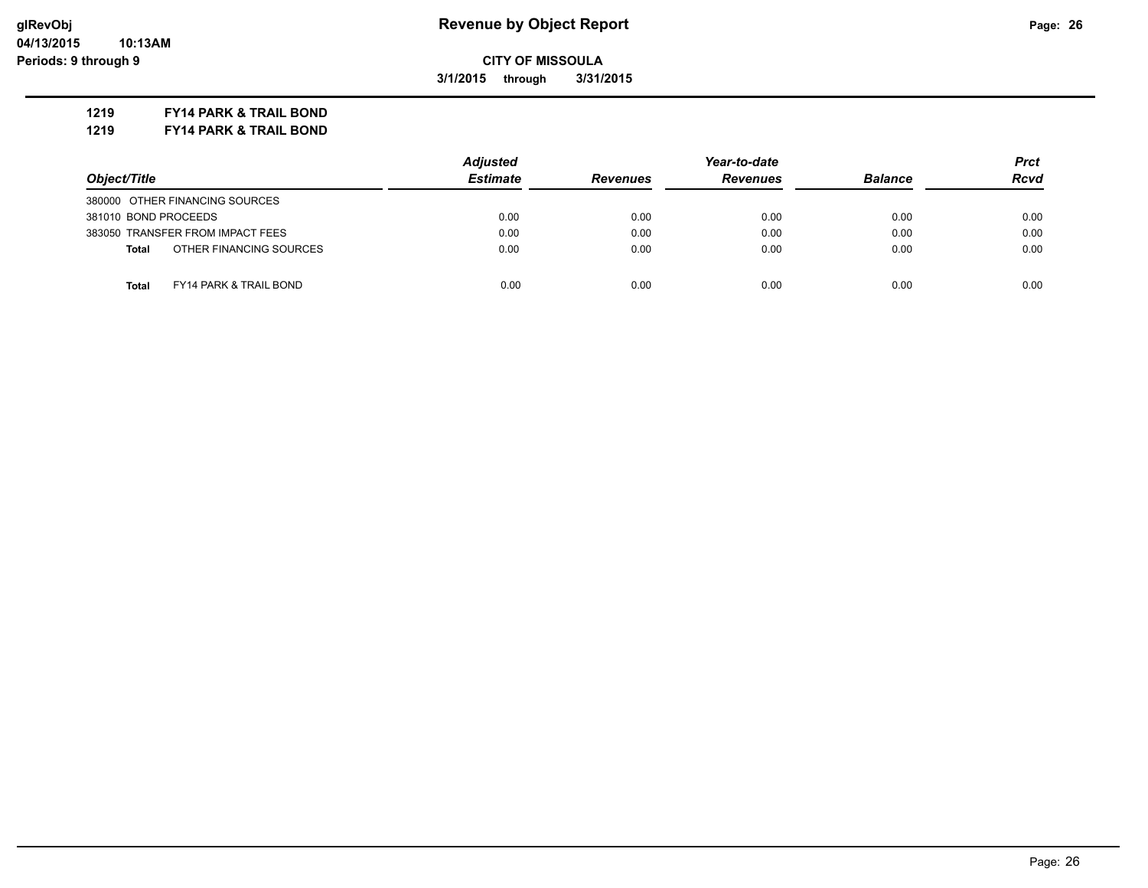**3/1/2015 through 3/31/2015**

**1219 FY14 PARK & TRAIL BOND**

**1219 FY14 PARK & TRAIL BOND**

|                                         | <b>Adjusted</b> |                 | Year-to-date    |                | Prct        |
|-----------------------------------------|-----------------|-----------------|-----------------|----------------|-------------|
| Object/Title                            | <b>Estimate</b> | <b>Revenues</b> | <b>Revenues</b> | <b>Balance</b> | <b>Rcvd</b> |
| 380000 OTHER FINANCING SOURCES          |                 |                 |                 |                |             |
| 381010 BOND PROCEEDS                    | 0.00            | 0.00            | 0.00            | 0.00           | 0.00        |
| 383050 TRANSFER FROM IMPACT FEES        | 0.00            | 0.00            | 0.00            | 0.00           | 0.00        |
| OTHER FINANCING SOURCES<br><b>Total</b> | 0.00            | 0.00            | 0.00            | 0.00           | 0.00        |
| <b>Total</b><br>FY14 PARK & TRAIL BOND  | 0.00            | 0.00            | 0.00            | 0.00           | 0.00        |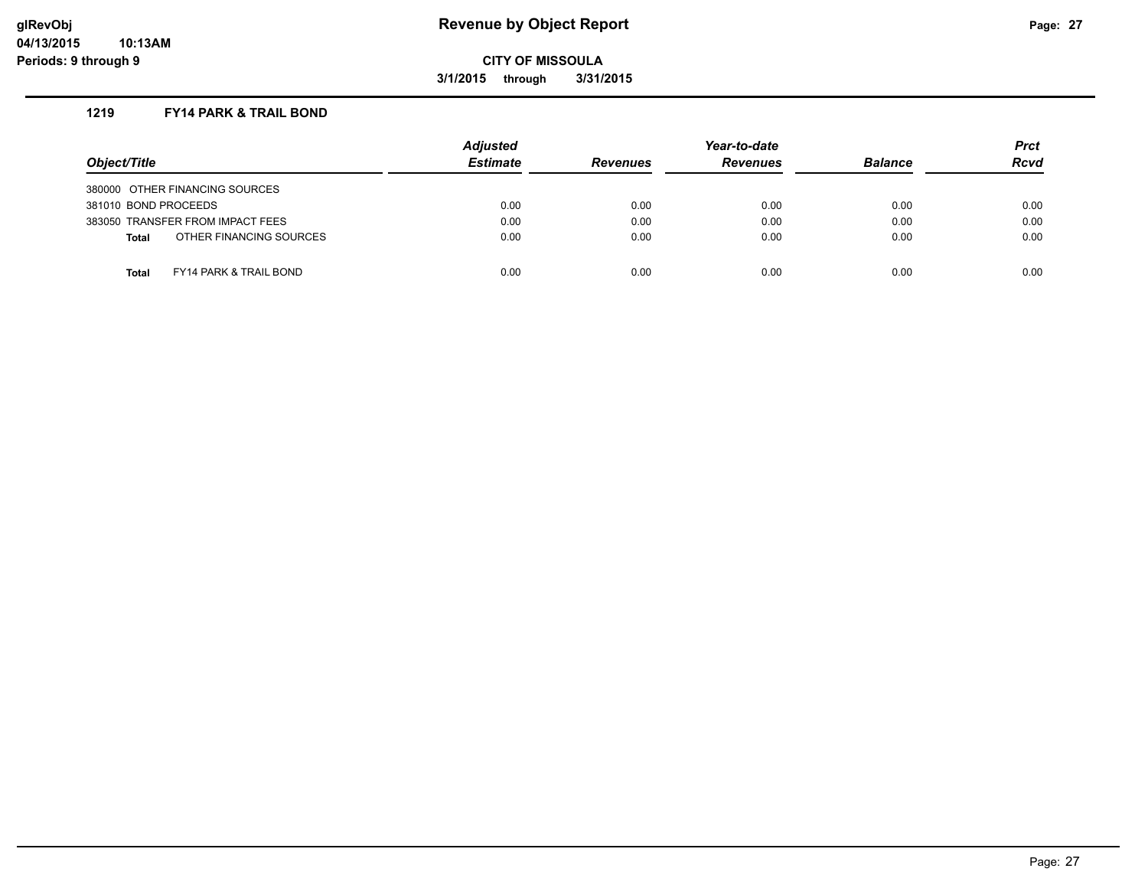## **glRevObj Revenue by Object Report Page: 27**

**CITY OF MISSOULA**

**3/1/2015 through 3/31/2015**

#### **1219 FY14 PARK & TRAIL BOND**

| Object/Title         |                                  | <b>Adjusted</b><br><b>Estimate</b> | <b>Revenues</b> | Year-to-date<br><b>Revenues</b> | <b>Balance</b> | <b>Prct</b><br><b>Rcvd</b> |
|----------------------|----------------------------------|------------------------------------|-----------------|---------------------------------|----------------|----------------------------|
|                      | 380000 OTHER FINANCING SOURCES   |                                    |                 |                                 |                |                            |
| 381010 BOND PROCEEDS |                                  | 0.00                               | 0.00            | 0.00                            | 0.00           | 0.00                       |
|                      | 383050 TRANSFER FROM IMPACT FEES | 0.00                               | 0.00            | 0.00                            | 0.00           | 0.00                       |
| <b>Total</b>         | OTHER FINANCING SOURCES          | 0.00                               | 0.00            | 0.00                            | 0.00           | 0.00                       |
|                      |                                  |                                    |                 |                                 |                |                            |
| <b>Total</b>         | FY14 PARK & TRAIL BOND           | 0.00                               | 0.00            | 0.00                            | 0.00           | 0.00                       |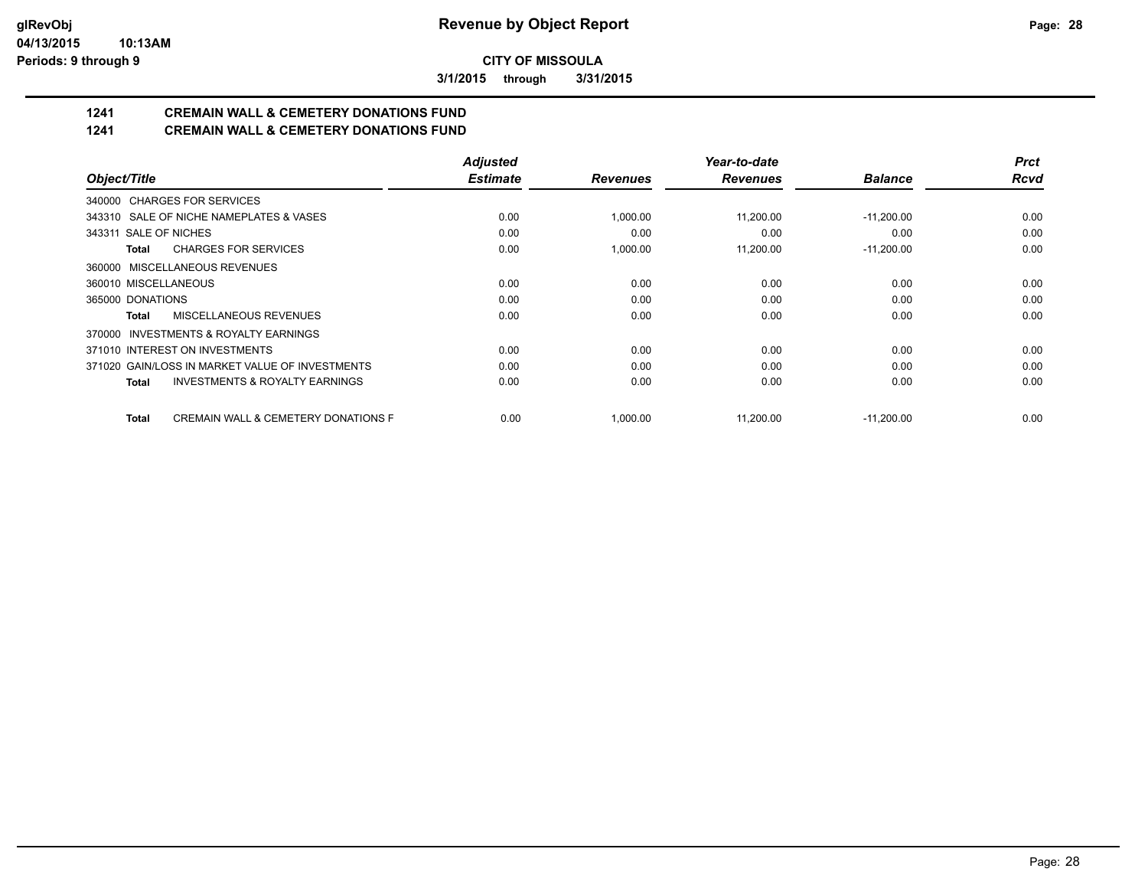**3/1/2015 through 3/31/2015**

# **1241 CREMAIN WALL & CEMETERY DONATIONS FUND**

## **1241 CREMAIN WALL & CEMETERY DONATIONS FUND**

|                                                         | <b>Adjusted</b> |                 | Year-to-date    |                | <b>Prct</b> |
|---------------------------------------------------------|-----------------|-----------------|-----------------|----------------|-------------|
| Object/Title                                            | <b>Estimate</b> | <b>Revenues</b> | <b>Revenues</b> | <b>Balance</b> | <b>Rcvd</b> |
| <b>CHARGES FOR SERVICES</b><br>340000                   |                 |                 |                 |                |             |
| 343310 SALE OF NICHE NAMEPLATES & VASES                 | 0.00            | 1,000.00        | 11,200.00       | $-11,200.00$   | 0.00        |
| 343311 SALE OF NICHES                                   | 0.00            | 0.00            | 0.00            | 0.00           | 0.00        |
| <b>CHARGES FOR SERVICES</b><br>Total                    | 0.00            | 1,000.00        | 11,200.00       | $-11,200.00$   | 0.00        |
| MISCELLANEOUS REVENUES<br>360000                        |                 |                 |                 |                |             |
| 360010 MISCELLANEOUS                                    | 0.00            | 0.00            | 0.00            | 0.00           | 0.00        |
| 365000 DONATIONS                                        | 0.00            | 0.00            | 0.00            | 0.00           | 0.00        |
| MISCELLANEOUS REVENUES<br><b>Total</b>                  | 0.00            | 0.00            | 0.00            | 0.00           | 0.00        |
| INVESTMENTS & ROYALTY EARNINGS<br>370000                |                 |                 |                 |                |             |
| 371010 INTEREST ON INVESTMENTS                          | 0.00            | 0.00            | 0.00            | 0.00           | 0.00        |
| 371020 GAIN/LOSS IN MARKET VALUE OF INVESTMENTS         | 0.00            | 0.00            | 0.00            | 0.00           | 0.00        |
| <b>INVESTMENTS &amp; ROYALTY EARNINGS</b><br>Total      | 0.00            | 0.00            | 0.00            | 0.00           | 0.00        |
| <b>CREMAIN WALL &amp; CEMETERY DONATIONS F</b><br>Total | 0.00            | 1,000.00        | 11,200.00       | $-11,200.00$   | 0.00        |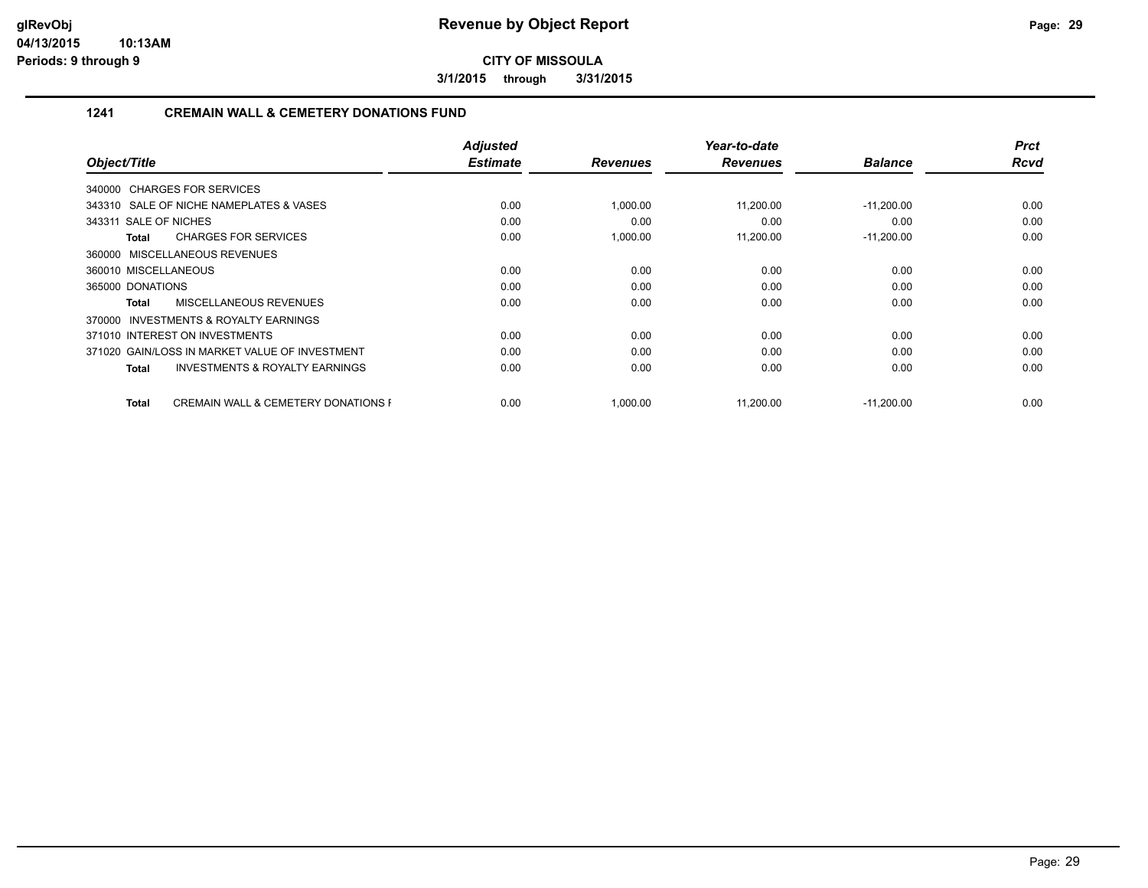**3/1/2015 through 3/31/2015**

#### **1241 CREMAIN WALL & CEMETERY DONATIONS FUND**

| Object/Title                                            | <b>Adjusted</b><br><b>Estimate</b> | <b>Revenues</b> | Year-to-date<br><b>Revenues</b> | <b>Balance</b> | <b>Prct</b><br><b>Rcvd</b> |
|---------------------------------------------------------|------------------------------------|-----------------|---------------------------------|----------------|----------------------------|
|                                                         |                                    |                 |                                 |                |                            |
| 340000 CHARGES FOR SERVICES                             |                                    |                 |                                 |                |                            |
| 343310 SALE OF NICHE NAMEPLATES & VASES                 | 0.00                               | 1,000.00        | 11,200.00                       | $-11,200.00$   | 0.00                       |
| 343311 SALE OF NICHES                                   | 0.00                               | 0.00            | 0.00                            | 0.00           | 0.00                       |
| <b>CHARGES FOR SERVICES</b><br>Total                    | 0.00                               | 1,000.00        | 11,200.00                       | $-11,200.00$   | 0.00                       |
| 360000 MISCELLANEOUS REVENUES                           |                                    |                 |                                 |                |                            |
| 360010 MISCELLANEOUS                                    | 0.00                               | 0.00            | 0.00                            | 0.00           | 0.00                       |
| 365000 DONATIONS                                        | 0.00                               | 0.00            | 0.00                            | 0.00           | 0.00                       |
| MISCELLANEOUS REVENUES<br>Total                         | 0.00                               | 0.00            | 0.00                            | 0.00           | 0.00                       |
| <b>INVESTMENTS &amp; ROYALTY EARNINGS</b><br>370000     |                                    |                 |                                 |                |                            |
| 371010 INTEREST ON INVESTMENTS                          | 0.00                               | 0.00            | 0.00                            | 0.00           | 0.00                       |
| 371020 GAIN/LOSS IN MARKET VALUE OF INVESTMENT          | 0.00                               | 0.00            | 0.00                            | 0.00           | 0.00                       |
| <b>INVESTMENTS &amp; ROYALTY EARNINGS</b><br>Total      | 0.00                               | 0.00            | 0.00                            | 0.00           | 0.00                       |
| <b>CREMAIN WALL &amp; CEMETERY DONATIONS F</b><br>Total | 0.00                               | 1,000.00        | 11,200.00                       | $-11,200.00$   | 0.00                       |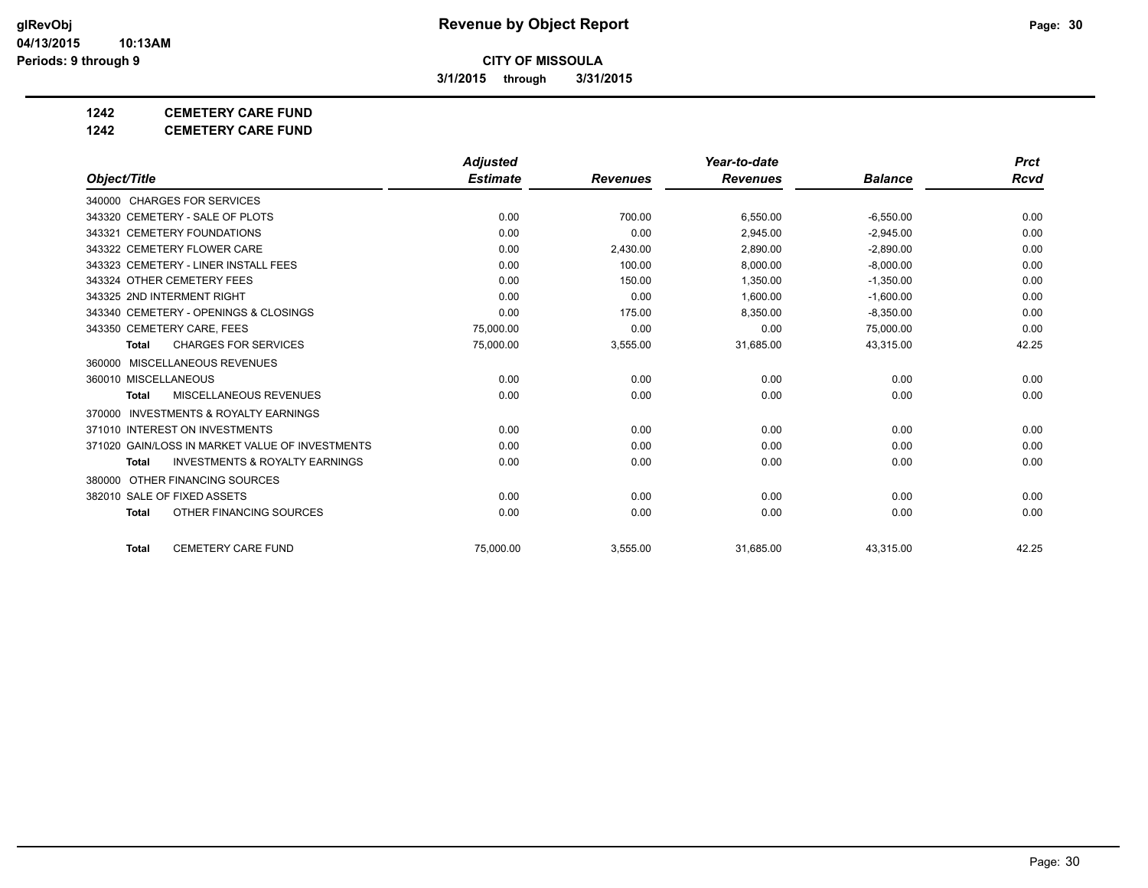**3/1/2015 through 3/31/2015**

## **1242 CEMETERY CARE FUND**

**1242 CEMETERY CARE FUND**

|                                                           | <b>Adjusted</b> |                 | Year-to-date    |                | <b>Prct</b> |
|-----------------------------------------------------------|-----------------|-----------------|-----------------|----------------|-------------|
| Object/Title                                              | <b>Estimate</b> | <b>Revenues</b> | <b>Revenues</b> | <b>Balance</b> | Rcvd        |
| 340000 CHARGES FOR SERVICES                               |                 |                 |                 |                |             |
| 343320 CEMETERY - SALE OF PLOTS                           | 0.00            | 700.00          | 6,550.00        | $-6,550.00$    | 0.00        |
| 343321 CEMETERY FOUNDATIONS                               | 0.00            | 0.00            | 2.945.00        | $-2.945.00$    | 0.00        |
| 343322 CEMETERY FLOWER CARE                               | 0.00            | 2,430.00        | 2,890.00        | $-2,890.00$    | 0.00        |
| 343323 CEMETERY - LINER INSTALL FEES                      | 0.00            | 100.00          | 8,000.00        | $-8,000.00$    | 0.00        |
| 343324 OTHER CEMETERY FEES                                | 0.00            | 150.00          | 1.350.00        | $-1,350.00$    | 0.00        |
| 343325 2ND INTERMENT RIGHT                                | 0.00            | 0.00            | 1.600.00        | $-1,600.00$    | 0.00        |
| 343340 CEMETERY - OPENINGS & CLOSINGS                     | 0.00            | 175.00          | 8,350.00        | $-8,350.00$    | 0.00        |
| 343350 CEMETERY CARE, FEES                                | 75,000.00       | 0.00            | 0.00            | 75,000.00      | 0.00        |
| <b>CHARGES FOR SERVICES</b><br><b>Total</b>               | 75,000.00       | 3,555.00        | 31,685.00       | 43,315.00      | 42.25       |
| MISCELLANEOUS REVENUES<br>360000                          |                 |                 |                 |                |             |
| 360010 MISCELLANEOUS                                      | 0.00            | 0.00            | 0.00            | 0.00           | 0.00        |
| MISCELLANEOUS REVENUES<br><b>Total</b>                    | 0.00            | 0.00            | 0.00            | 0.00           | 0.00        |
| <b>INVESTMENTS &amp; ROYALTY EARNINGS</b><br>370000       |                 |                 |                 |                |             |
| 371010 INTEREST ON INVESTMENTS                            | 0.00            | 0.00            | 0.00            | 0.00           | 0.00        |
| 371020 GAIN/LOSS IN MARKET VALUE OF INVESTMENTS           | 0.00            | 0.00            | 0.00            | 0.00           | 0.00        |
| <b>INVESTMENTS &amp; ROYALTY EARNINGS</b><br><b>Total</b> | 0.00            | 0.00            | 0.00            | 0.00           | 0.00        |
| OTHER FINANCING SOURCES<br>380000                         |                 |                 |                 |                |             |
| 382010 SALE OF FIXED ASSETS                               | 0.00            | 0.00            | 0.00            | 0.00           | 0.00        |
| OTHER FINANCING SOURCES<br><b>Total</b>                   | 0.00            | 0.00            | 0.00            | 0.00           | 0.00        |
| <b>CEMETERY CARE FUND</b><br><b>Total</b>                 | 75.000.00       | 3,555.00        | 31.685.00       | 43.315.00      | 42.25       |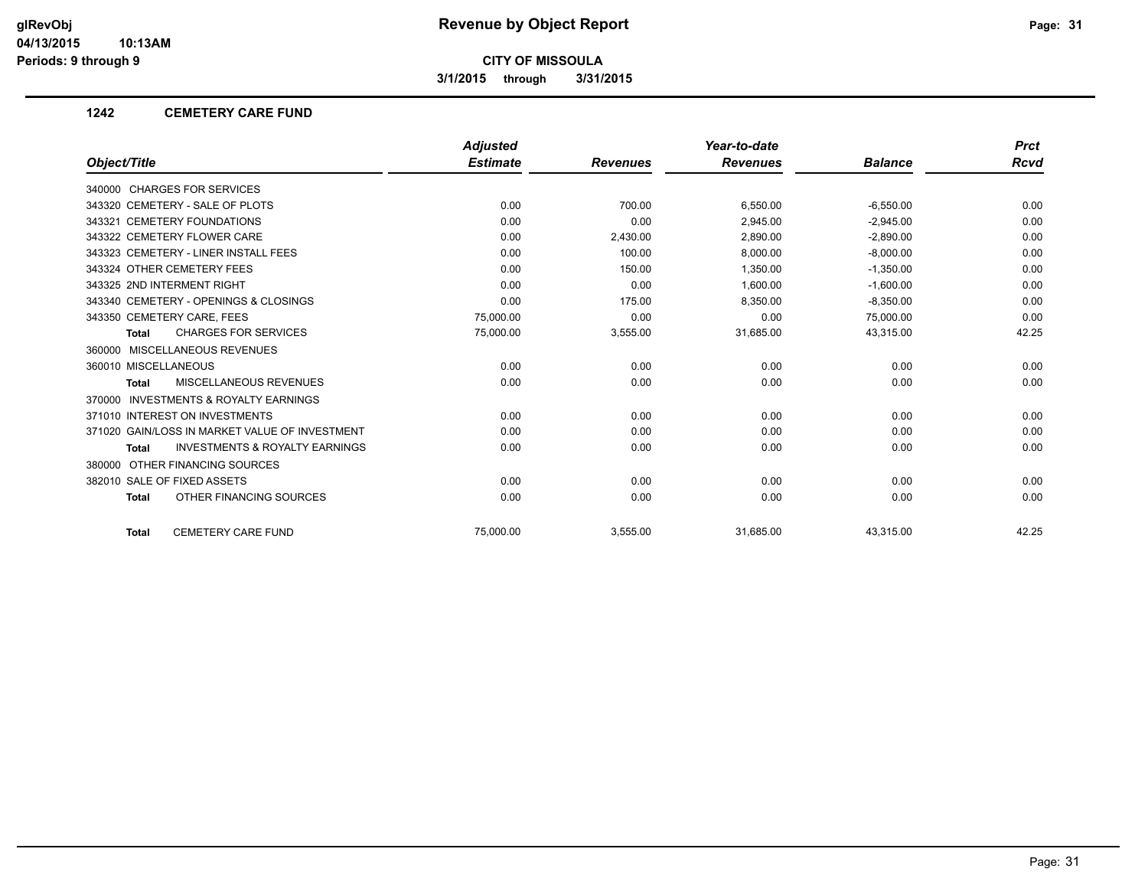**3/1/2015 through 3/31/2015**

#### **1242 CEMETERY CARE FUND**

|                                                    | <b>Adjusted</b> |                 | Year-to-date    |                | <b>Prct</b> |
|----------------------------------------------------|-----------------|-----------------|-----------------|----------------|-------------|
| Object/Title                                       | <b>Estimate</b> | <b>Revenues</b> | <b>Revenues</b> | <b>Balance</b> | Rcvd        |
| 340000 CHARGES FOR SERVICES                        |                 |                 |                 |                |             |
| 343320 CEMETERY - SALE OF PLOTS                    | 0.00            | 700.00          | 6,550.00        | $-6,550.00$    | 0.00        |
| 343321 CEMETERY FOUNDATIONS                        | 0.00            | 0.00            | 2,945.00        | $-2,945.00$    | 0.00        |
| 343322 CEMETERY FLOWER CARE                        | 0.00            | 2,430.00        | 2,890.00        | $-2,890.00$    | 0.00        |
| 343323 CEMETERY - LINER INSTALL FEES               | 0.00            | 100.00          | 8.000.00        | $-8,000.00$    | 0.00        |
| 343324 OTHER CEMETERY FEES                         | 0.00            | 150.00          | 1.350.00        | $-1,350.00$    | 0.00        |
| 343325 2ND INTERMENT RIGHT                         | 0.00            | 0.00            | 1,600.00        | $-1,600.00$    | 0.00        |
| 343340 CEMETERY - OPENINGS & CLOSINGS              | 0.00            | 175.00          | 8,350.00        | $-8,350.00$    | 0.00        |
| 343350 CEMETERY CARE, FEES                         | 75,000.00       | 0.00            | 0.00            | 75,000.00      | 0.00        |
| <b>CHARGES FOR SERVICES</b><br><b>Total</b>        | 75,000.00       | 3,555.00        | 31,685.00       | 43,315.00      | 42.25       |
| 360000 MISCELLANEOUS REVENUES                      |                 |                 |                 |                |             |
| 360010 MISCELLANEOUS                               | 0.00            | 0.00            | 0.00            | 0.00           | 0.00        |
| <b>MISCELLANEOUS REVENUES</b><br><b>Total</b>      | 0.00            | 0.00            | 0.00            | 0.00           | 0.00        |
| 370000 INVESTMENTS & ROYALTY EARNINGS              |                 |                 |                 |                |             |
| 371010 INTEREST ON INVESTMENTS                     | 0.00            | 0.00            | 0.00            | 0.00           | 0.00        |
| 371020 GAIN/LOSS IN MARKET VALUE OF INVESTMENT     | 0.00            | 0.00            | 0.00            | 0.00           | 0.00        |
| <b>INVESTMENTS &amp; ROYALTY EARNINGS</b><br>Total | 0.00            | 0.00            | 0.00            | 0.00           | 0.00        |
| 380000 OTHER FINANCING SOURCES                     |                 |                 |                 |                |             |
| 382010 SALE OF FIXED ASSETS                        | 0.00            | 0.00            | 0.00            | 0.00           | 0.00        |
| OTHER FINANCING SOURCES<br><b>Total</b>            | 0.00            | 0.00            | 0.00            | 0.00           | 0.00        |
| <b>CEMETERY CARE FUND</b><br><b>Total</b>          | 75.000.00       | 3,555.00        | 31.685.00       | 43,315.00      | 42.25       |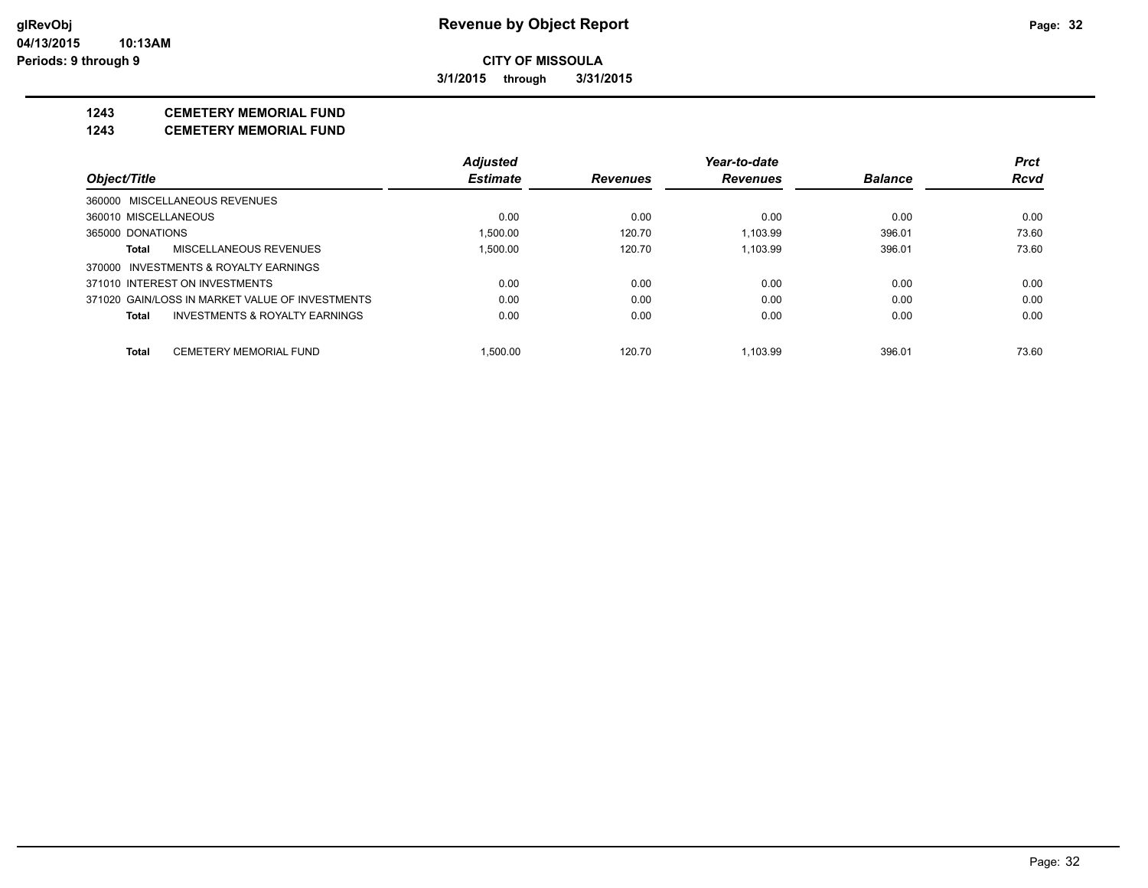**3/1/2015 through 3/31/2015**

## **1243 CEMETERY MEMORIAL FUND**

**1243 CEMETERY MEMORIAL FUND**

|                      |                                                 | <b>Adjusted</b> |                 | Year-to-date    |                | <b>Prct</b> |
|----------------------|-------------------------------------------------|-----------------|-----------------|-----------------|----------------|-------------|
| Object/Title         |                                                 | <b>Estimate</b> | <b>Revenues</b> | <b>Revenues</b> | <b>Balance</b> | <b>Rcvd</b> |
|                      | 360000 MISCELLANEOUS REVENUES                   |                 |                 |                 |                |             |
| 360010 MISCELLANEOUS |                                                 | 0.00            | 0.00            | 0.00            | 0.00           | 0.00        |
| 365000 DONATIONS     |                                                 | 1.500.00        | 120.70          | 1.103.99        | 396.01         | 73.60       |
| Total                | MISCELLANEOUS REVENUES                          | 1.500.00        | 120.70          | 1.103.99        | 396.01         | 73.60       |
|                      | 370000 INVESTMENTS & ROYALTY EARNINGS           |                 |                 |                 |                |             |
|                      | 371010 INTEREST ON INVESTMENTS                  | 0.00            | 0.00            | 0.00            | 0.00           | 0.00        |
|                      | 371020 GAIN/LOSS IN MARKET VALUE OF INVESTMENTS | 0.00            | 0.00            | 0.00            | 0.00           | 0.00        |
| Total                | INVESTMENTS & ROYALTY EARNINGS                  | 0.00            | 0.00            | 0.00            | 0.00           | 0.00        |
| Total                | <b>CEMETERY MEMORIAL FUND</b>                   | 1.500.00        | 120.70          | 1.103.99        | 396.01         | 73.60       |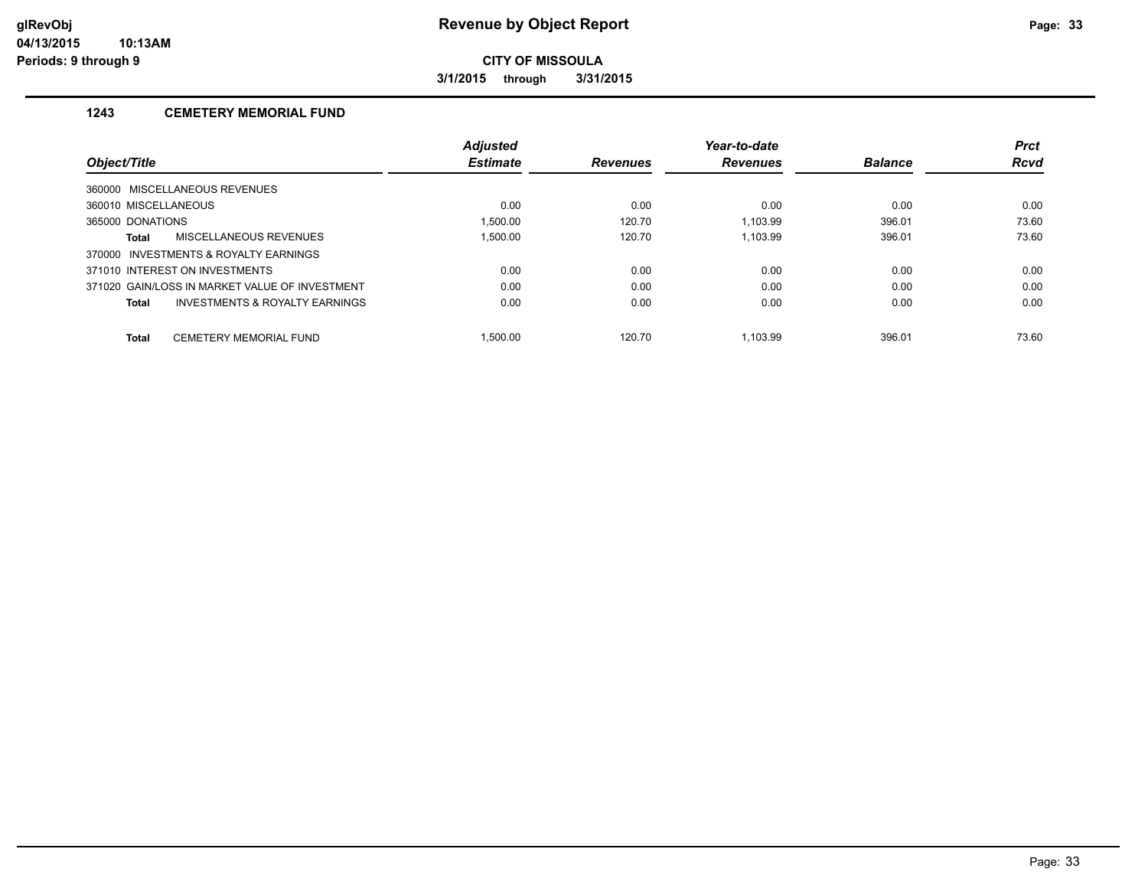**3/1/2015 through 3/31/2015**

## **1243 CEMETERY MEMORIAL FUND**

|                                                | <b>Adjusted</b> |                 | Year-to-date    |                | <b>Prct</b> |
|------------------------------------------------|-----------------|-----------------|-----------------|----------------|-------------|
| Object/Title                                   | <b>Estimate</b> | <b>Revenues</b> | <b>Revenues</b> | <b>Balance</b> | <b>Rcvd</b> |
| 360000 MISCELLANEOUS REVENUES                  |                 |                 |                 |                |             |
| 360010 MISCELLANEOUS                           | 0.00            | 0.00            | 0.00            | 0.00           | 0.00        |
| 365000 DONATIONS                               | 1.500.00        | 120.70          | 1.103.99        | 396.01         | 73.60       |
| MISCELLANEOUS REVENUES<br>Total                | 1.500.00        | 120.70          | 1.103.99        | 396.01         | 73.60       |
| INVESTMENTS & ROYALTY EARNINGS<br>370000       |                 |                 |                 |                |             |
| 371010 INTEREST ON INVESTMENTS                 | 0.00            | 0.00            | 0.00            | 0.00           | 0.00        |
| 371020 GAIN/LOSS IN MARKET VALUE OF INVESTMENT | 0.00            | 0.00            | 0.00            | 0.00           | 0.00        |
| INVESTMENTS & ROYALTY EARNINGS<br><b>Total</b> | 0.00            | 0.00            | 0.00            | 0.00           | 0.00        |
| CEMETERY MEMORIAL FUND<br><b>Total</b>         | 1.500.00        | 120.70          | 1.103.99        | 396.01         | 73.60       |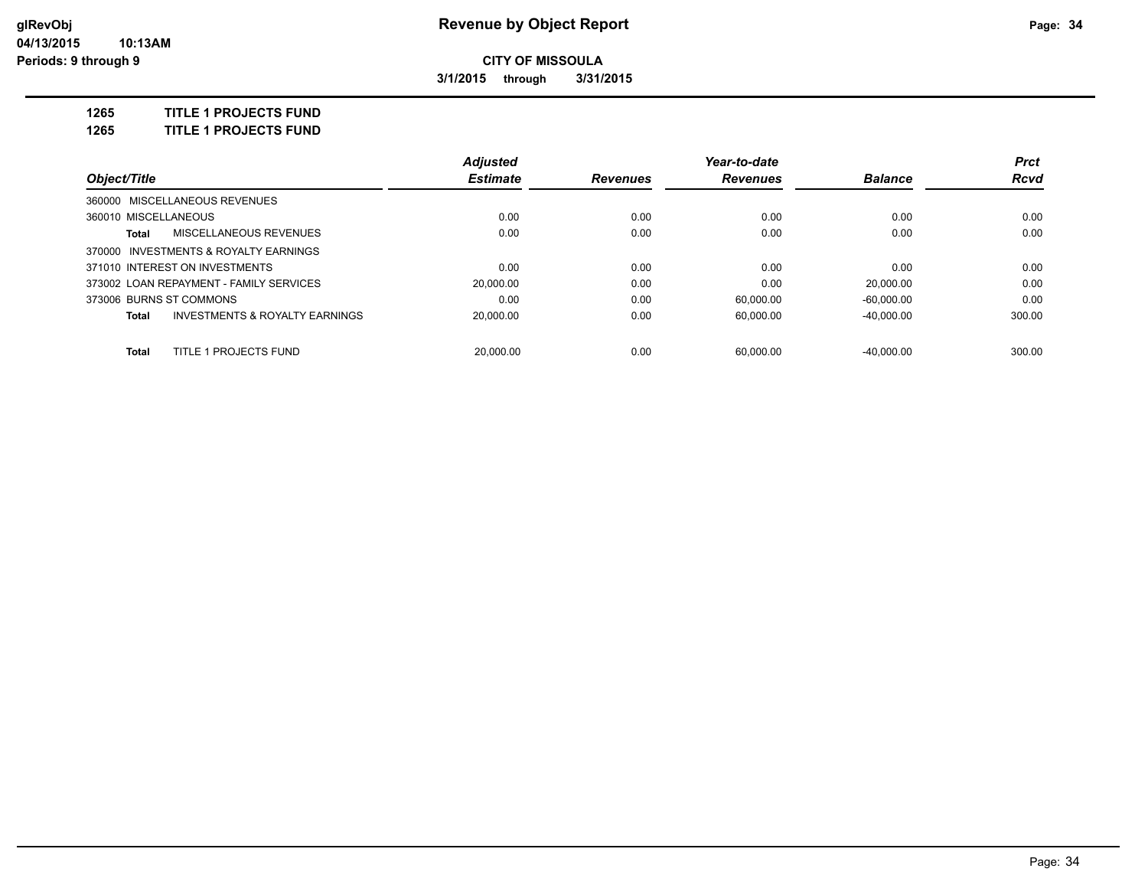**3/1/2015 through 3/31/2015**

**1265 TITLE 1 PROJECTS FUND**

**1265 TITLE 1 PROJECTS FUND**

|                                         | Adjusted        |                 | Year-to-date    |                | <b>Prct</b> |
|-----------------------------------------|-----------------|-----------------|-----------------|----------------|-------------|
| Object/Title                            | <b>Estimate</b> | <b>Revenues</b> | <b>Revenues</b> | <b>Balance</b> | Rcvd        |
| 360000 MISCELLANEOUS REVENUES           |                 |                 |                 |                |             |
| 360010 MISCELLANEOUS                    | 0.00            | 0.00            | 0.00            | 0.00           | 0.00        |
| MISCELLANEOUS REVENUES<br>Total         | 0.00            | 0.00            | 0.00            | 0.00           | 0.00        |
| 370000 INVESTMENTS & ROYALTY EARNINGS   |                 |                 |                 |                |             |
| 371010 INTEREST ON INVESTMENTS          | 0.00            | 0.00            | 0.00            | 0.00           | 0.00        |
| 373002 LOAN REPAYMENT - FAMILY SERVICES | 20.000.00       | 0.00            | 0.00            | 20.000.00      | 0.00        |
| 373006 BURNS ST COMMONS                 | 0.00            | 0.00            | 60.000.00       | $-60.000.00$   | 0.00        |
| INVESTMENTS & ROYALTY EARNINGS<br>Total | 20.000.00       | 0.00            | 60.000.00       | $-40.000.00$   | 300.00      |
| TITLE 1 PROJECTS FUND<br><b>Total</b>   | 20.000.00       | 0.00            | 60.000.00       | $-40.000.00$   | 300.00      |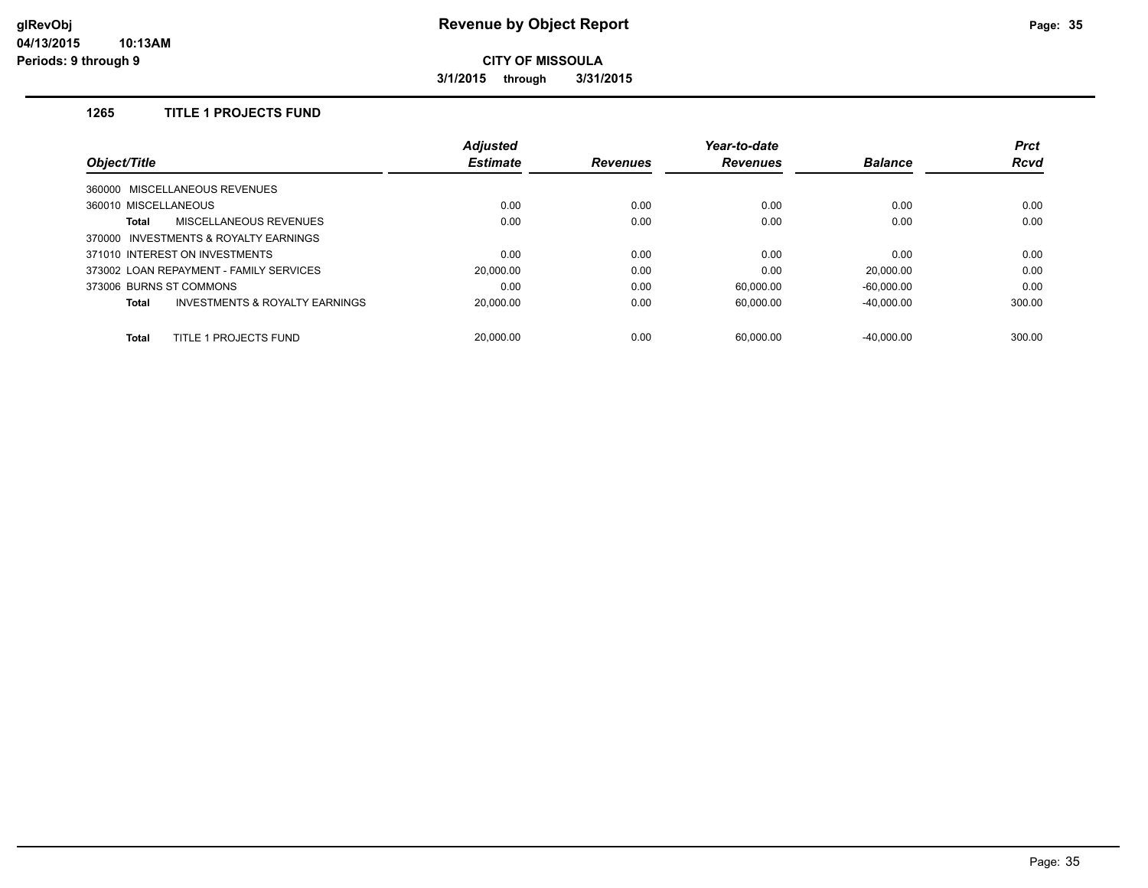**3/1/2015 through 3/31/2015**

## **1265 TITLE 1 PROJECTS FUND**

|                                                | <b>Adjusted</b> |                 | Year-to-date    |                | <b>Prct</b> |
|------------------------------------------------|-----------------|-----------------|-----------------|----------------|-------------|
| Object/Title                                   | <b>Estimate</b> | <b>Revenues</b> | <b>Revenues</b> | <b>Balance</b> | <b>Rcvd</b> |
| 360000 MISCELLANEOUS REVENUES                  |                 |                 |                 |                |             |
| 360010 MISCELLANEOUS                           | 0.00            | 0.00            | 0.00            | 0.00           | 0.00        |
| MISCELLANEOUS REVENUES<br><b>Total</b>         | 0.00            | 0.00            | 0.00            | 0.00           | 0.00        |
| 370000 INVESTMENTS & ROYALTY EARNINGS          |                 |                 |                 |                |             |
| 371010 INTEREST ON INVESTMENTS                 | 0.00            | 0.00            | 0.00            | 0.00           | 0.00        |
| 373002 LOAN REPAYMENT - FAMILY SERVICES        | 20.000.00       | 0.00            | 0.00            | 20.000.00      | 0.00        |
| 373006 BURNS ST COMMONS                        | 0.00            | 0.00            | 60.000.00       | $-60.000.00$   | 0.00        |
| INVESTMENTS & ROYALTY EARNINGS<br><b>Total</b> | 20.000.00       | 0.00            | 60.000.00       | $-40,000.00$   | 300.00      |
| TITLE 1 PROJECTS FUND<br><b>Total</b>          | 20.000.00       | 0.00            | 60.000.00       | $-40.000.00$   | 300.00      |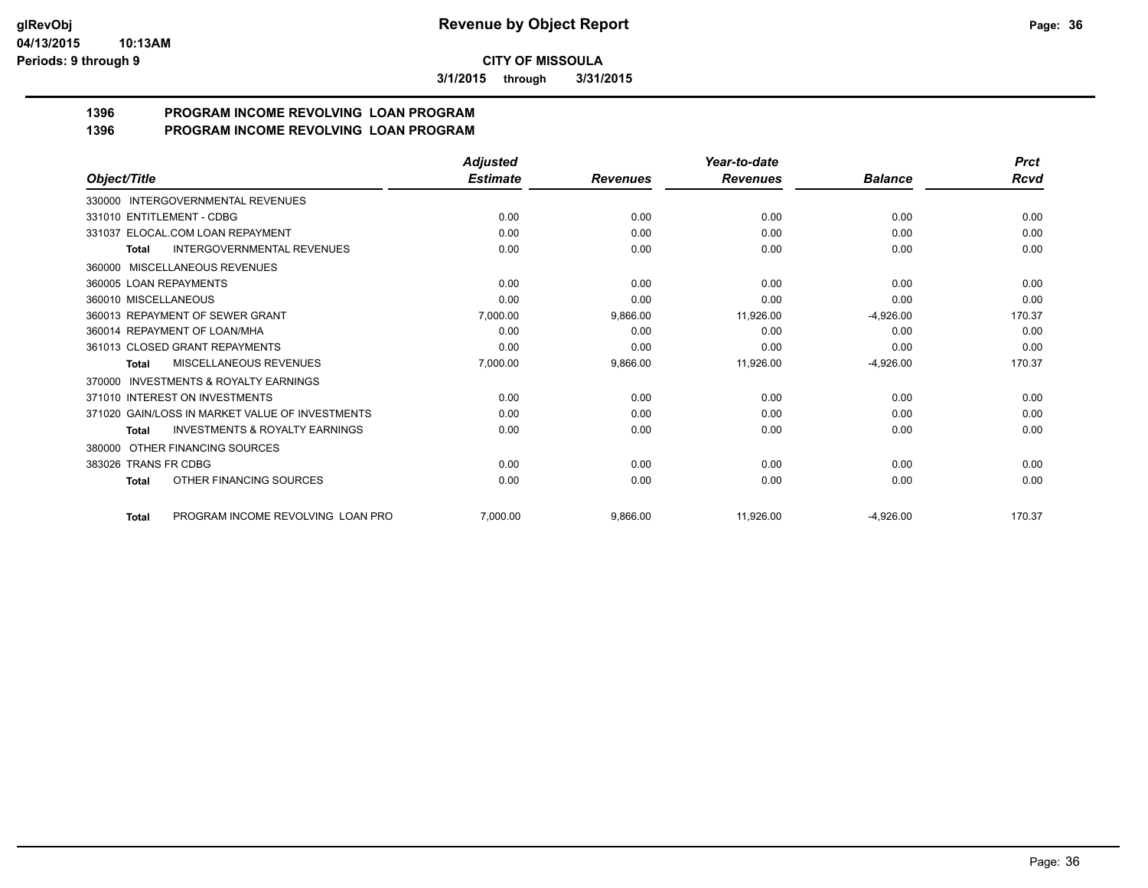*Prct Rcvd*

**CITY OF MISSOULA**

**3/1/2015 through 3/31/2015**

#### **1396 PROGRAM INCOME REVOLVING LOAN PROGRAM 1396 PROGRAM INCOME REVOLVING LOAN PROGRAM**

|                                                           | <b>Adjusted</b> |                 | Year-to-date    |                | <b>Prct</b> |
|-----------------------------------------------------------|-----------------|-----------------|-----------------|----------------|-------------|
| Object/Title                                              | <b>Estimate</b> | <b>Revenues</b> | <b>Revenues</b> | <b>Balance</b> | Rcvd        |
| INTERGOVERNMENTAL REVENUES<br>330000                      |                 |                 |                 |                |             |
| 331010 ENTITLEMENT - CDBG                                 | 0.00            | 0.00            | 0.00            | 0.00           | 0.00        |
| 331037 ELOCAL.COM LOAN REPAYMENT                          | 0.00            | 0.00            | 0.00            | 0.00           | 0.00        |
| <b>INTERGOVERNMENTAL REVENUES</b><br><b>Total</b>         | 0.00            | 0.00            | 0.00            | 0.00           | 0.00        |
| MISCELLANEOUS REVENUES<br>360000                          |                 |                 |                 |                |             |
| 360005 LOAN REPAYMENTS                                    | 0.00            | 0.00            | 0.00            | 0.00           | 0.00        |
| 360010 MISCELLANEOUS                                      | 0.00            | 0.00            | 0.00            | 0.00           | 0.00        |
| 360013 REPAYMENT OF SEWER GRANT                           | 7.000.00        | 9,866.00        | 11,926.00       | $-4,926.00$    | 170.37      |
| 360014 REPAYMENT OF LOAN/MHA                              | 0.00            | 0.00            | 0.00            | 0.00           | 0.00        |
| 361013 CLOSED GRANT REPAYMENTS                            | 0.00            | 0.00            | 0.00            | 0.00           | 0.00        |
| MISCELLANEOUS REVENUES<br><b>Total</b>                    | 7,000.00        | 9,866.00        | 11,926.00       | $-4,926.00$    | 170.37      |
| <b>INVESTMENTS &amp; ROYALTY EARNINGS</b><br>370000       |                 |                 |                 |                |             |
| 371010 INTEREST ON INVESTMENTS                            | 0.00            | 0.00            | 0.00            | 0.00           | 0.00        |
| 371020 GAIN/LOSS IN MARKET VALUE OF INVESTMENTS           | 0.00            | 0.00            | 0.00            | 0.00           | 0.00        |
| <b>INVESTMENTS &amp; ROYALTY EARNINGS</b><br><b>Total</b> | 0.00            | 0.00            | 0.00            | 0.00           | 0.00        |
| OTHER FINANCING SOURCES<br>380000                         |                 |                 |                 |                |             |
| 383026 TRANS FR CDBG                                      | 0.00            | 0.00            | 0.00            | 0.00           | 0.00        |
| OTHER FINANCING SOURCES<br><b>Total</b>                   | 0.00            | 0.00            | 0.00            | 0.00           | 0.00        |
| PROGRAM INCOME REVOLVING LOAN PRO<br><b>Total</b>         | 7,000.00        | 9,866.00        | 11,926.00       | $-4,926.00$    | 170.37      |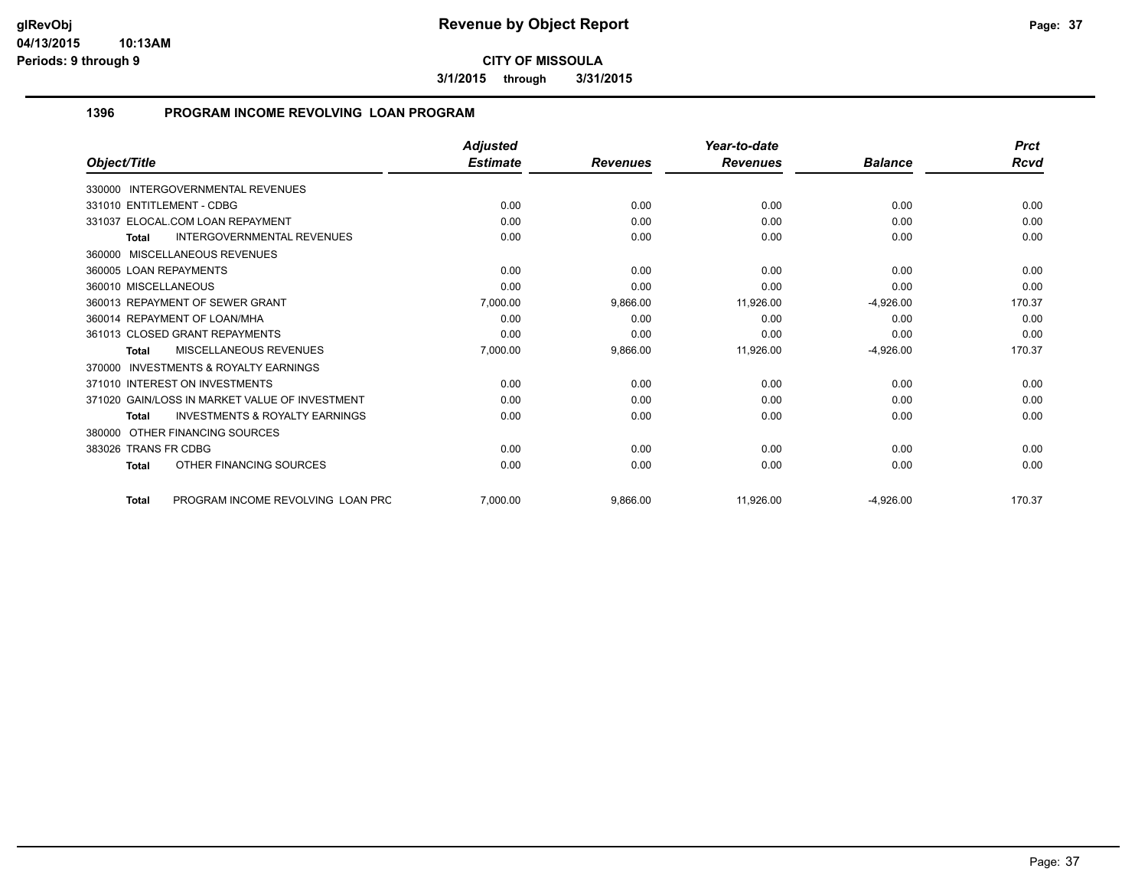**3/1/2015 through 3/31/2015**

## **1396 PROGRAM INCOME REVOLVING LOAN PROGRAM**

|                                                           | <b>Adjusted</b> |                 | Year-to-date    |                | <b>Prct</b> |
|-----------------------------------------------------------|-----------------|-----------------|-----------------|----------------|-------------|
| Object/Title                                              | <b>Estimate</b> | <b>Revenues</b> | <b>Revenues</b> | <b>Balance</b> | Rcvd        |
| <b>INTERGOVERNMENTAL REVENUES</b><br>330000               |                 |                 |                 |                |             |
| 331010 ENTITLEMENT - CDBG                                 | 0.00            | 0.00            | 0.00            | 0.00           | 0.00        |
| 331037 ELOCAL.COM LOAN REPAYMENT                          | 0.00            | 0.00            | 0.00            | 0.00           | 0.00        |
| <b>INTERGOVERNMENTAL REVENUES</b><br>Total                | 0.00            | 0.00            | 0.00            | 0.00           | 0.00        |
| MISCELLANEOUS REVENUES<br>360000                          |                 |                 |                 |                |             |
| 360005 LOAN REPAYMENTS                                    | 0.00            | 0.00            | 0.00            | 0.00           | 0.00        |
| 360010 MISCELLANEOUS                                      | 0.00            | 0.00            | 0.00            | 0.00           | 0.00        |
| 360013 REPAYMENT OF SEWER GRANT                           | 7,000.00        | 9,866.00        | 11,926.00       | $-4,926.00$    | 170.37      |
| 360014 REPAYMENT OF LOAN/MHA                              | 0.00            | 0.00            | 0.00            | 0.00           | 0.00        |
| 361013 CLOSED GRANT REPAYMENTS                            | 0.00            | 0.00            | 0.00            | 0.00           | 0.00        |
| MISCELLANEOUS REVENUES<br>Total                           | 7,000.00        | 9,866.00        | 11,926.00       | $-4,926.00$    | 170.37      |
| <b>INVESTMENTS &amp; ROYALTY EARNINGS</b><br>370000       |                 |                 |                 |                |             |
| 371010 INTEREST ON INVESTMENTS                            | 0.00            | 0.00            | 0.00            | 0.00           | 0.00        |
| 371020 GAIN/LOSS IN MARKET VALUE OF INVESTMENT            | 0.00            | 0.00            | 0.00            | 0.00           | 0.00        |
| <b>INVESTMENTS &amp; ROYALTY EARNINGS</b><br><b>Total</b> | 0.00            | 0.00            | 0.00            | 0.00           | 0.00        |
| OTHER FINANCING SOURCES<br>380000                         |                 |                 |                 |                |             |
| 383026 TRANS FR CDBG                                      | 0.00            | 0.00            | 0.00            | 0.00           | 0.00        |
| OTHER FINANCING SOURCES<br><b>Total</b>                   | 0.00            | 0.00            | 0.00            | 0.00           | 0.00        |
| PROGRAM INCOME REVOLVING LOAN PRC<br><b>Total</b>         | 7.000.00        | 9.866.00        | 11,926.00       | $-4,926.00$    | 170.37      |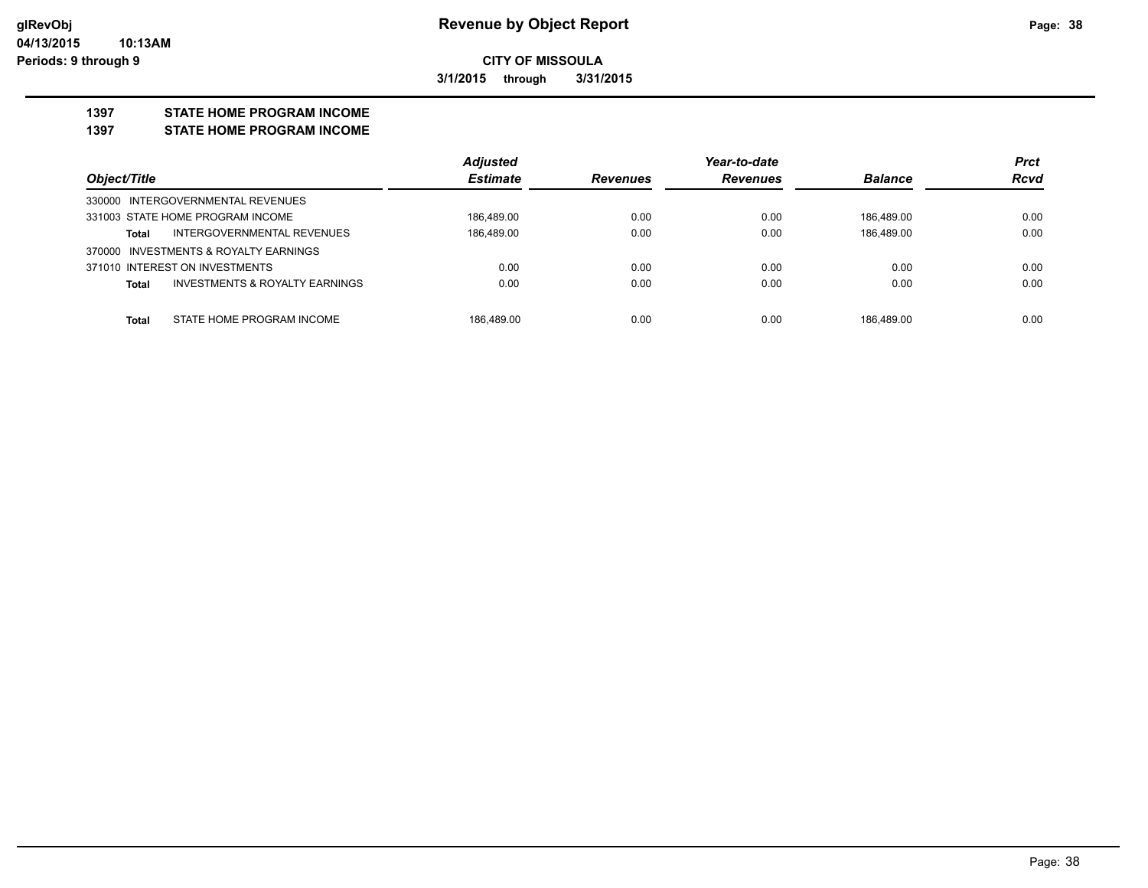**3/1/2015 through 3/31/2015**

#### **1397 STATE HOME PROGRAM INCOME**

**1397 STATE HOME PROGRAM INCOME**

|                                                           | <b>Adjusted</b> |                 | Year-to-date    |                | <b>Prct</b> |
|-----------------------------------------------------------|-----------------|-----------------|-----------------|----------------|-------------|
| Object/Title                                              | <b>Estimate</b> | <b>Revenues</b> | <b>Revenues</b> | <b>Balance</b> | <b>Rcvd</b> |
| 330000 INTERGOVERNMENTAL REVENUES                         |                 |                 |                 |                |             |
| 331003 STATE HOME PROGRAM INCOME                          | 186.489.00      | 0.00            | 0.00            | 186.489.00     | 0.00        |
| INTERGOVERNMENTAL REVENUES<br><b>Total</b>                | 186.489.00      | 0.00            | 0.00            | 186.489.00     | 0.00        |
| 370000 INVESTMENTS & ROYALTY EARNINGS                     |                 |                 |                 |                |             |
| 371010 INTEREST ON INVESTMENTS                            | 0.00            | 0.00            | 0.00            | 0.00           | 0.00        |
| <b>INVESTMENTS &amp; ROYALTY EARNINGS</b><br><b>Total</b> | 0.00            | 0.00            | 0.00            | 0.00           | 0.00        |
|                                                           |                 |                 |                 |                |             |
| STATE HOME PROGRAM INCOME<br><b>Total</b>                 | 186.489.00      | 0.00            | 0.00            | 186.489.00     | 0.00        |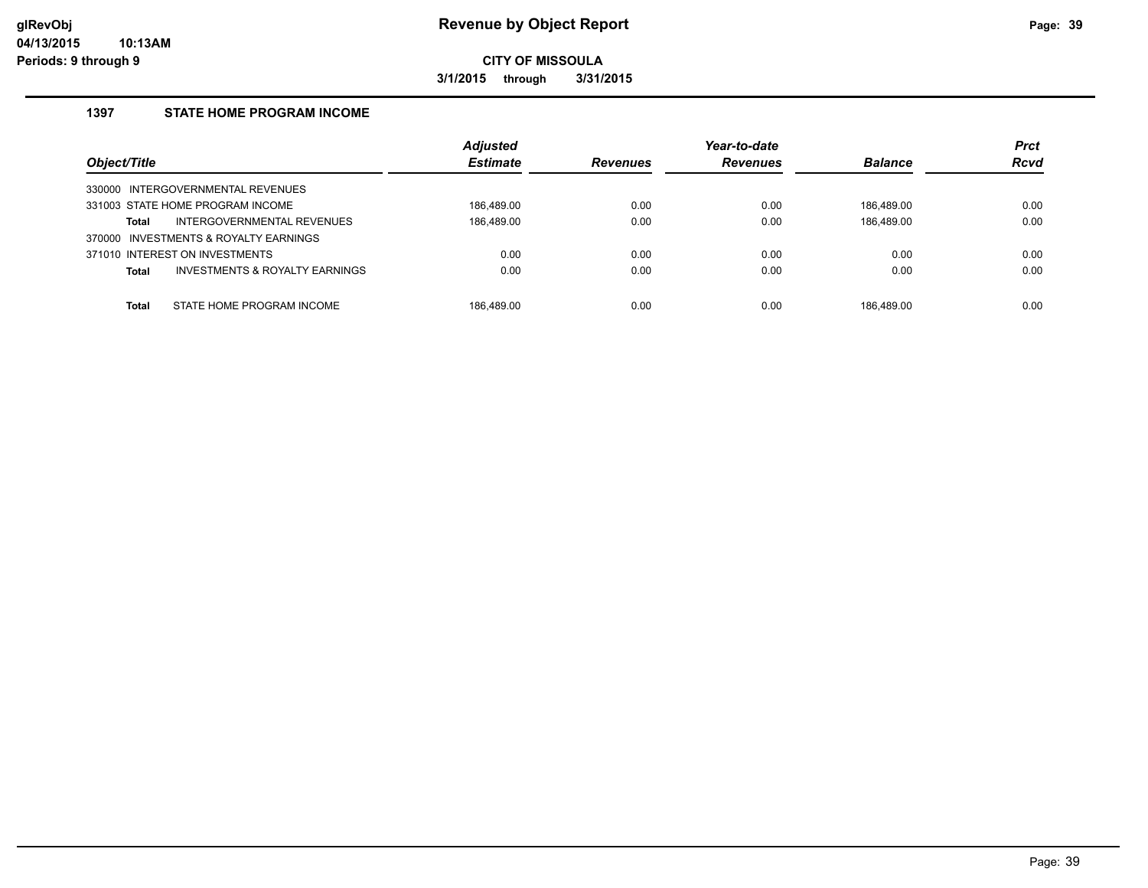**3/1/2015 through 3/31/2015**

## **1397 STATE HOME PROGRAM INCOME**

| Object/Title |                                           | <b>Adjusted</b><br><b>Estimate</b> | <b>Revenues</b> | Year-to-date<br><b>Revenues</b> | <b>Balance</b> | <b>Prct</b><br><b>Rcvd</b> |
|--------------|-------------------------------------------|------------------------------------|-----------------|---------------------------------|----------------|----------------------------|
| 330000       | INTERGOVERNMENTAL REVENUES                |                                    |                 |                                 |                |                            |
|              | 331003 STATE HOME PROGRAM INCOME          | 186.489.00                         | 0.00            | 0.00                            | 186.489.00     | 0.00                       |
| Total        | INTERGOVERNMENTAL REVENUES                | 186.489.00                         | 0.00            | 0.00                            | 186,489.00     | 0.00                       |
| 370000       | INVESTMENTS & ROYALTY EARNINGS            |                                    |                 |                                 |                |                            |
|              | 371010 INTEREST ON INVESTMENTS            | 0.00                               | 0.00            | 0.00                            | 0.00           | 0.00                       |
| <b>Total</b> | <b>INVESTMENTS &amp; ROYALTY EARNINGS</b> | 0.00                               | 0.00            | 0.00                            | 0.00           | 0.00                       |
|              |                                           |                                    |                 |                                 |                |                            |
| Total        | STATE HOME PROGRAM INCOME                 | 186.489.00                         | 0.00            | 0.00                            | 186.489.00     | 0.00                       |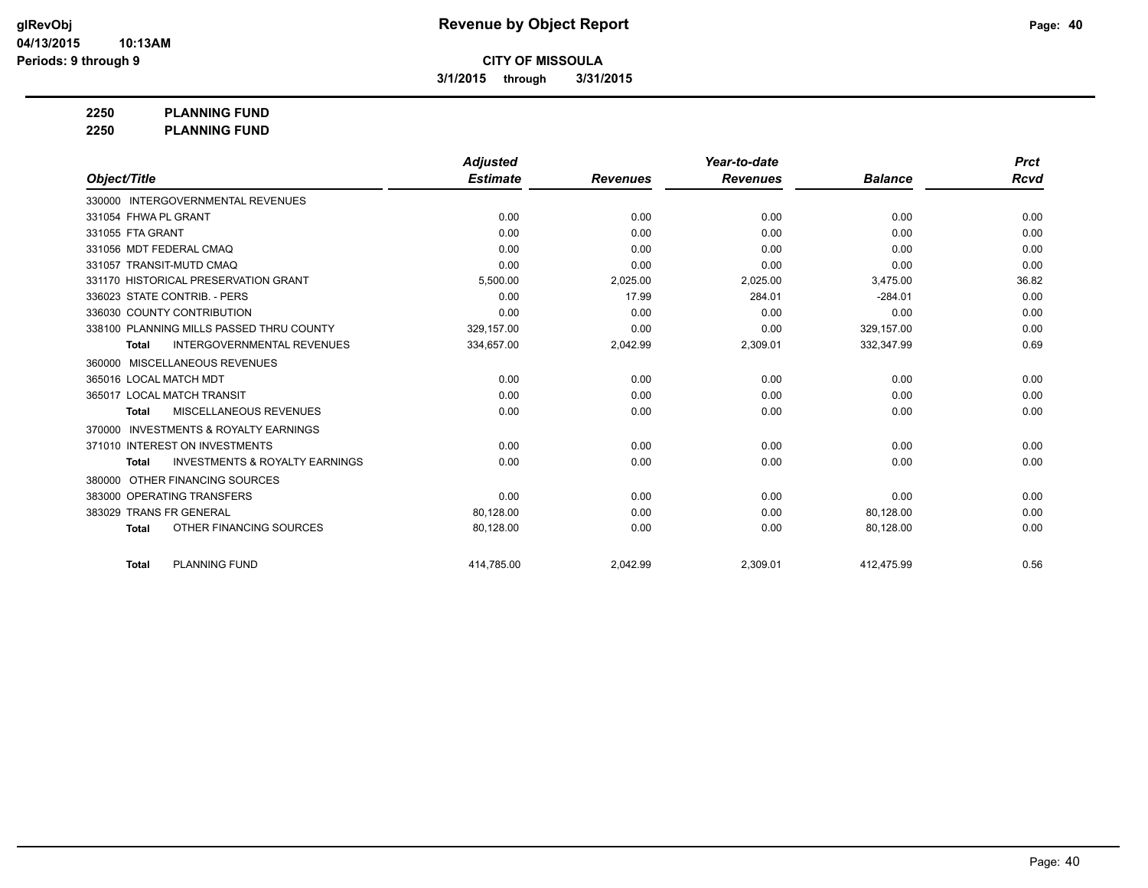**3/1/2015 through 3/31/2015**

**2250 PLANNING FUND**

**2250 PLANNING FUND**

|                                                           | <b>Adjusted</b> |                 | Year-to-date    |                | <b>Prct</b> |
|-----------------------------------------------------------|-----------------|-----------------|-----------------|----------------|-------------|
| Object/Title                                              | <b>Estimate</b> | <b>Revenues</b> | <b>Revenues</b> | <b>Balance</b> | Rcvd        |
| 330000 INTERGOVERNMENTAL REVENUES                         |                 |                 |                 |                |             |
| 331054 FHWA PL GRANT                                      | 0.00            | 0.00            | 0.00            | 0.00           | 0.00        |
| 331055 FTA GRANT                                          | 0.00            | 0.00            | 0.00            | 0.00           | 0.00        |
| 331056 MDT FEDERAL CMAQ                                   | 0.00            | 0.00            | 0.00            | 0.00           | 0.00        |
| 331057 TRANSIT-MUTD CMAQ                                  | 0.00            | 0.00            | 0.00            | 0.00           | 0.00        |
| 331170 HISTORICAL PRESERVATION GRANT                      | 5,500.00        | 2,025.00        | 2,025.00        | 3,475.00       | 36.82       |
| 336023 STATE CONTRIB. - PERS                              | 0.00            | 17.99           | 284.01          | $-284.01$      | 0.00        |
| 336030 COUNTY CONTRIBUTION                                | 0.00            | 0.00            | 0.00            | 0.00           | 0.00        |
| 338100 PLANNING MILLS PASSED THRU COUNTY                  | 329,157.00      | 0.00            | 0.00            | 329,157.00     | 0.00        |
| INTERGOVERNMENTAL REVENUES<br><b>Total</b>                | 334,657.00      | 2,042.99        | 2,309.01        | 332,347.99     | 0.69        |
| MISCELLANEOUS REVENUES<br>360000                          |                 |                 |                 |                |             |
| 365016 LOCAL MATCH MDT                                    | 0.00            | 0.00            | 0.00            | 0.00           | 0.00        |
| 365017 LOCAL MATCH TRANSIT                                | 0.00            | 0.00            | 0.00            | 0.00           | 0.00        |
| <b>MISCELLANEOUS REVENUES</b><br><b>Total</b>             | 0.00            | 0.00            | 0.00            | 0.00           | 0.00        |
| <b>INVESTMENTS &amp; ROYALTY EARNINGS</b><br>370000       |                 |                 |                 |                |             |
| 371010 INTEREST ON INVESTMENTS                            | 0.00            | 0.00            | 0.00            | 0.00           | 0.00        |
| <b>INVESTMENTS &amp; ROYALTY EARNINGS</b><br><b>Total</b> | 0.00            | 0.00            | 0.00            | 0.00           | 0.00        |
| OTHER FINANCING SOURCES<br>380000                         |                 |                 |                 |                |             |
| 383000 OPERATING TRANSFERS                                | 0.00            | 0.00            | 0.00            | 0.00           | 0.00        |
| 383029 TRANS FR GENERAL                                   | 80,128.00       | 0.00            | 0.00            | 80,128.00      | 0.00        |
| OTHER FINANCING SOURCES<br><b>Total</b>                   | 80,128.00       | 0.00            | 0.00            | 80,128.00      | 0.00        |
| <b>PLANNING FUND</b><br><b>Total</b>                      | 414.785.00      | 2.042.99        | 2.309.01        | 412.475.99     | 0.56        |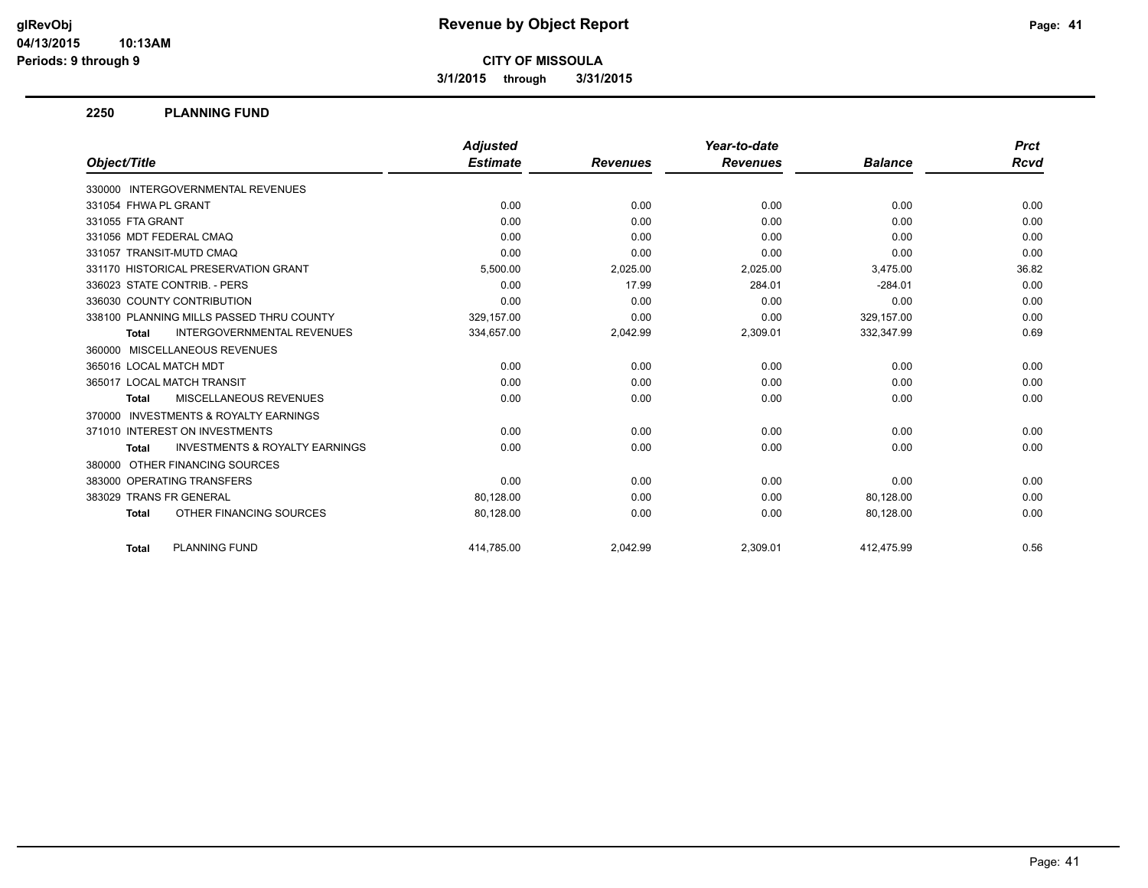**3/1/2015 through 3/31/2015**

#### **2250 PLANNING FUND**

|                                                           | <b>Adjusted</b> |                 | Year-to-date    |                | <b>Prct</b> |
|-----------------------------------------------------------|-----------------|-----------------|-----------------|----------------|-------------|
| Object/Title                                              | <b>Estimate</b> | <b>Revenues</b> | <b>Revenues</b> | <b>Balance</b> | Rcvd        |
| 330000 INTERGOVERNMENTAL REVENUES                         |                 |                 |                 |                |             |
| 331054 FHWA PL GRANT                                      | 0.00            | 0.00            | 0.00            | 0.00           | 0.00        |
| 331055 FTA GRANT                                          | 0.00            | 0.00            | 0.00            | 0.00           | 0.00        |
| 331056 MDT FEDERAL CMAQ                                   | 0.00            | 0.00            | 0.00            | 0.00           | 0.00        |
| 331057 TRANSIT-MUTD CMAQ                                  | 0.00            | 0.00            | 0.00            | 0.00           | 0.00        |
| 331170 HISTORICAL PRESERVATION GRANT                      | 5,500.00        | 2,025.00        | 2,025.00        | 3,475.00       | 36.82       |
| 336023 STATE CONTRIB. - PERS                              | 0.00            | 17.99           | 284.01          | $-284.01$      | 0.00        |
| 336030 COUNTY CONTRIBUTION                                | 0.00            | 0.00            | 0.00            | 0.00           | 0.00        |
| 338100 PLANNING MILLS PASSED THRU COUNTY                  | 329,157.00      | 0.00            | 0.00            | 329,157.00     | 0.00        |
| <b>INTERGOVERNMENTAL REVENUES</b><br><b>Total</b>         | 334,657.00      | 2,042.99        | 2,309.01        | 332,347.99     | 0.69        |
| 360000 MISCELLANEOUS REVENUES                             |                 |                 |                 |                |             |
| 365016 LOCAL MATCH MDT                                    | 0.00            | 0.00            | 0.00            | 0.00           | 0.00        |
| 365017 LOCAL MATCH TRANSIT                                | 0.00            | 0.00            | 0.00            | 0.00           | 0.00        |
| <b>MISCELLANEOUS REVENUES</b><br><b>Total</b>             | 0.00            | 0.00            | 0.00            | 0.00           | 0.00        |
| 370000 INVESTMENTS & ROYALTY EARNINGS                     |                 |                 |                 |                |             |
| 371010 INTEREST ON INVESTMENTS                            | 0.00            | 0.00            | 0.00            | 0.00           | 0.00        |
| <b>INVESTMENTS &amp; ROYALTY EARNINGS</b><br><b>Total</b> | 0.00            | 0.00            | 0.00            | 0.00           | 0.00        |
| 380000 OTHER FINANCING SOURCES                            |                 |                 |                 |                |             |
| 383000 OPERATING TRANSFERS                                | 0.00            | 0.00            | 0.00            | 0.00           | 0.00        |
| 383029 TRANS FR GENERAL                                   | 80,128.00       | 0.00            | 0.00            | 80,128.00      | 0.00        |
| OTHER FINANCING SOURCES<br><b>Total</b>                   | 80,128.00       | 0.00            | 0.00            | 80,128.00      | 0.00        |
| <b>PLANNING FUND</b><br><b>Total</b>                      | 414.785.00      | 2.042.99        | 2,309.01        | 412.475.99     | 0.56        |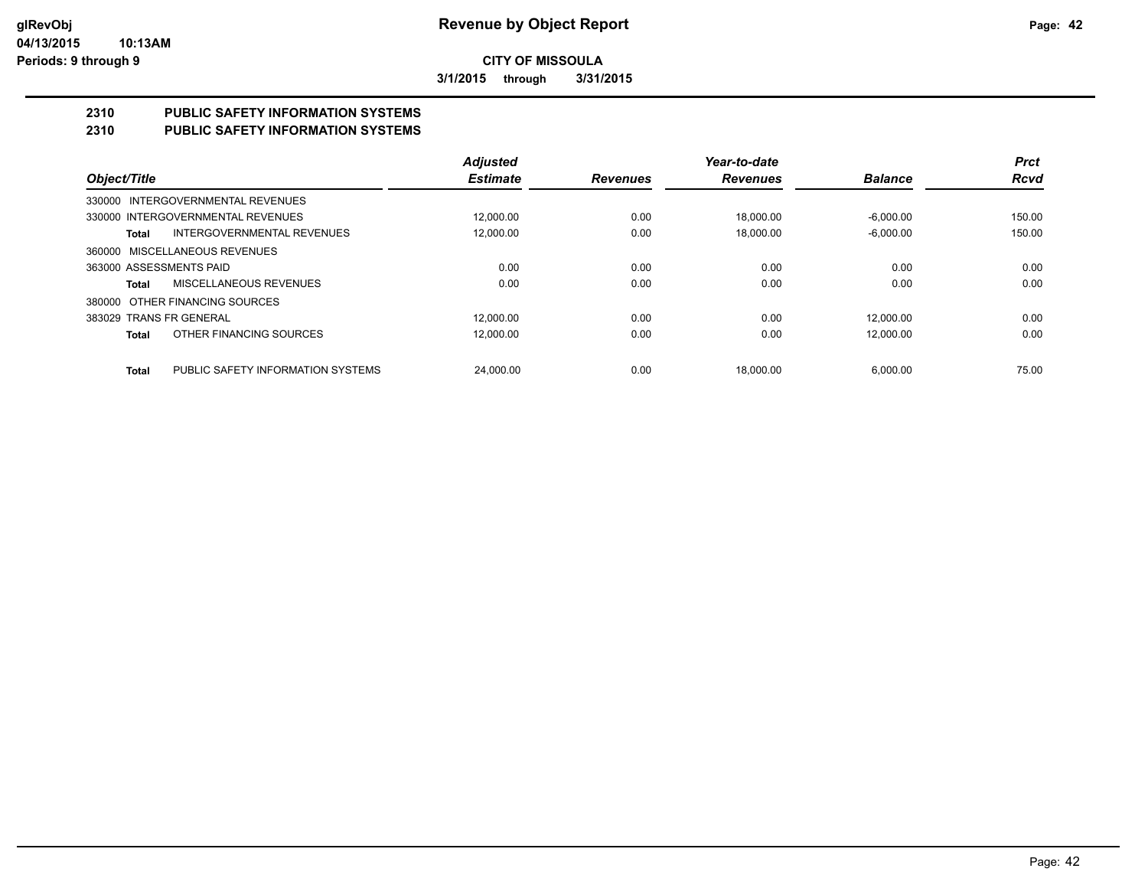**3/1/2015 through 3/31/2015**

#### **2310 PUBLIC SAFETY INFORMATION SYSTEMS 2310 PUBLIC SAFETY INFORMATION SYSTEMS**

|                                            | <b>Adjusted</b> |                 | Year-to-date    |                | <b>Prct</b> |
|--------------------------------------------|-----------------|-----------------|-----------------|----------------|-------------|
| Object/Title                               | <b>Estimate</b> | <b>Revenues</b> | <b>Revenues</b> | <b>Balance</b> | <b>Rcvd</b> |
| 330000 INTERGOVERNMENTAL REVENUES          |                 |                 |                 |                |             |
| 330000 INTERGOVERNMENTAL REVENUES          | 12.000.00       | 0.00            | 18.000.00       | $-6.000.00$    | 150.00      |
| INTERGOVERNMENTAL REVENUES<br>Total        | 12,000.00       | 0.00            | 18,000.00       | $-6,000.00$    | 150.00      |
| 360000 MISCELLANEOUS REVENUES              |                 |                 |                 |                |             |
| 363000 ASSESSMENTS PAID                    | 0.00            | 0.00            | 0.00            | 0.00           | 0.00        |
| MISCELLANEOUS REVENUES<br>Total            | 0.00            | 0.00            | 0.00            | 0.00           | 0.00        |
| 380000 OTHER FINANCING SOURCES             |                 |                 |                 |                |             |
| 383029 TRANS FR GENERAL                    | 12.000.00       | 0.00            | 0.00            | 12.000.00      | 0.00        |
| OTHER FINANCING SOURCES<br><b>Total</b>    | 12.000.00       | 0.00            | 0.00            | 12.000.00      | 0.00        |
| PUBLIC SAFETY INFORMATION SYSTEMS<br>Total | 24.000.00       | 0.00            | 18.000.00       | 6.000.00       | 75.00       |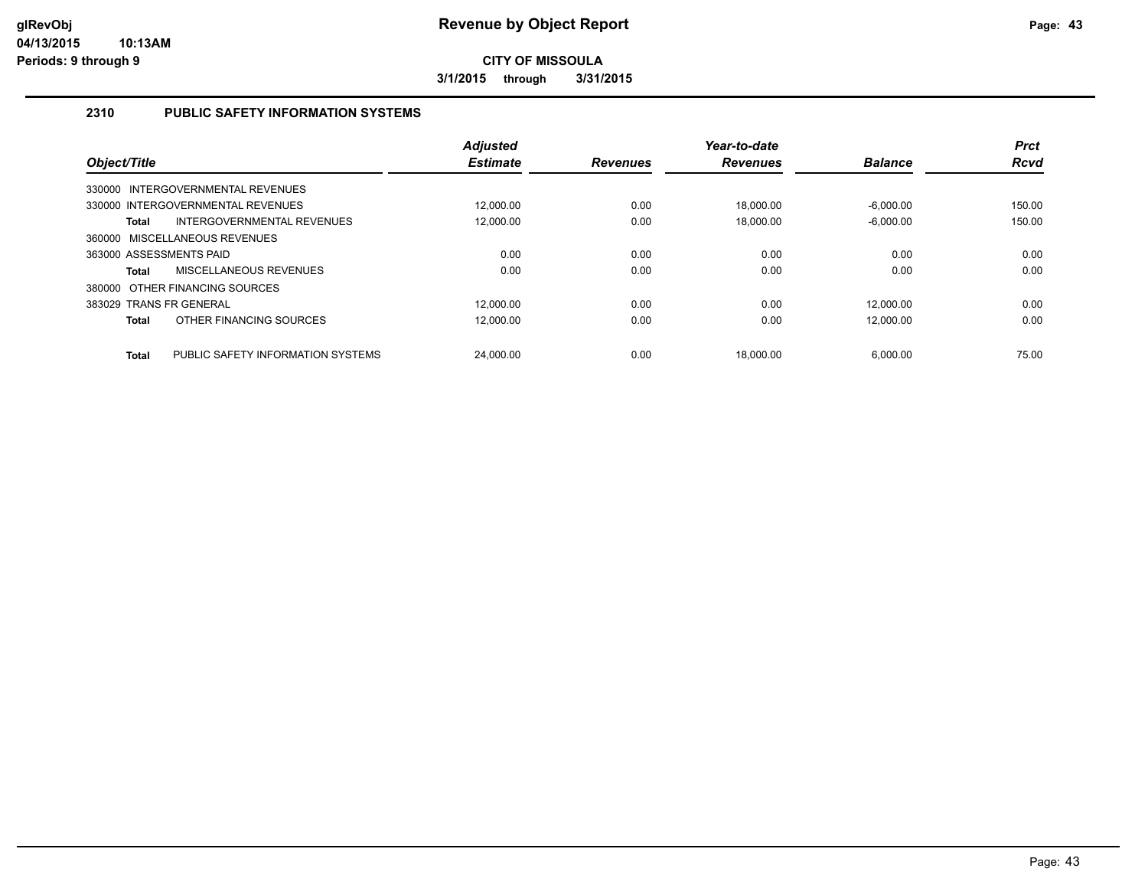**3/1/2015 through 3/31/2015**

## **2310 PUBLIC SAFETY INFORMATION SYSTEMS**

| Object/Title                                      | <b>Adjusted</b><br><b>Estimate</b> | <b>Revenues</b> | Year-to-date<br><b>Revenues</b> | <b>Balance</b> | <b>Prct</b><br><b>Rcvd</b> |
|---------------------------------------------------|------------------------------------|-----------------|---------------------------------|----------------|----------------------------|
| 330000 INTERGOVERNMENTAL REVENUES                 |                                    |                 |                                 |                |                            |
| 330000 INTERGOVERNMENTAL REVENUES                 | 12.000.00                          | 0.00            | 18.000.00                       | $-6.000.00$    | 150.00                     |
| INTERGOVERNMENTAL REVENUES<br><b>Total</b>        | 12.000.00                          | 0.00            | 18.000.00                       | $-6.000.00$    | 150.00                     |
| 360000 MISCELLANEOUS REVENUES                     |                                    |                 |                                 |                |                            |
| 363000 ASSESSMENTS PAID                           | 0.00                               | 0.00            | 0.00                            | 0.00           | 0.00                       |
| MISCELLANEOUS REVENUES<br><b>Total</b>            | 0.00                               | 0.00            | 0.00                            | 0.00           | 0.00                       |
| 380000 OTHER FINANCING SOURCES                    |                                    |                 |                                 |                |                            |
| 383029 TRANS FR GENERAL                           | 12.000.00                          | 0.00            | 0.00                            | 12.000.00      | 0.00                       |
| OTHER FINANCING SOURCES<br><b>Total</b>           | 12.000.00                          | 0.00            | 0.00                            | 12.000.00      | 0.00                       |
| PUBLIC SAFETY INFORMATION SYSTEMS<br><b>Total</b> | 24.000.00                          | 0.00            | 18.000.00                       | 6.000.00       | 75.00                      |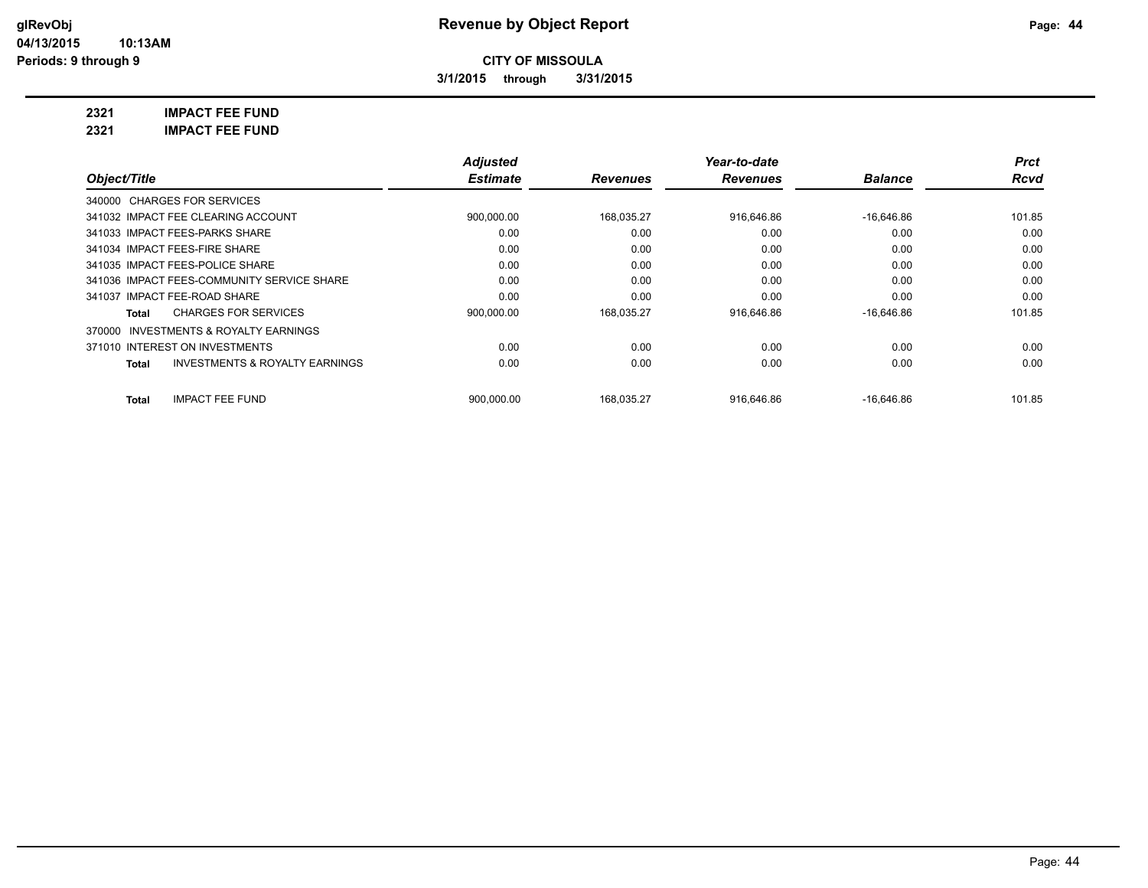**3/1/2015 through 3/31/2015**

**2321 IMPACT FEE FUND**

**2321 IMPACT FEE FUND**

|                                                           | <b>Adjusted</b> |                 | Year-to-date    |                | <b>Prct</b> |
|-----------------------------------------------------------|-----------------|-----------------|-----------------|----------------|-------------|
| Object/Title                                              | <b>Estimate</b> | <b>Revenues</b> | <b>Revenues</b> | <b>Balance</b> | Rcvd        |
| 340000 CHARGES FOR SERVICES                               |                 |                 |                 |                |             |
| 341032 IMPACT FEE CLEARING ACCOUNT                        | 900,000.00      | 168,035.27      | 916.646.86      | $-16,646.86$   | 101.85      |
| 341033 IMPACT FEES-PARKS SHARE                            | 0.00            | 0.00            | 0.00            | 0.00           | 0.00        |
| 341034 IMPACT FEES-FIRE SHARE                             | 0.00            | 0.00            | 0.00            | 0.00           | 0.00        |
| 341035 IMPACT FEES-POLICE SHARE                           | 0.00            | 0.00            | 0.00            | 0.00           | 0.00        |
| 341036 IMPACT FEES-COMMUNITY SERVICE SHARE                | 0.00            | 0.00            | 0.00            | 0.00           | 0.00        |
| 341037 IMPACT FEE-ROAD SHARE                              | 0.00            | 0.00            | 0.00            | 0.00           | 0.00        |
| <b>CHARGES FOR SERVICES</b><br>Total                      | 900,000.00      | 168,035.27      | 916,646.86      | $-16.646.86$   | 101.85      |
| 370000 INVESTMENTS & ROYALTY EARNINGS                     |                 |                 |                 |                |             |
| 371010 INTEREST ON INVESTMENTS                            | 0.00            | 0.00            | 0.00            | 0.00           | 0.00        |
| <b>INVESTMENTS &amp; ROYALTY EARNINGS</b><br><b>Total</b> | 0.00            | 0.00            | 0.00            | 0.00           | 0.00        |
| <b>IMPACT FEE FUND</b><br><b>Total</b>                    | 900.000.00      | 168.035.27      | 916.646.86      | $-16.646.86$   | 101.85      |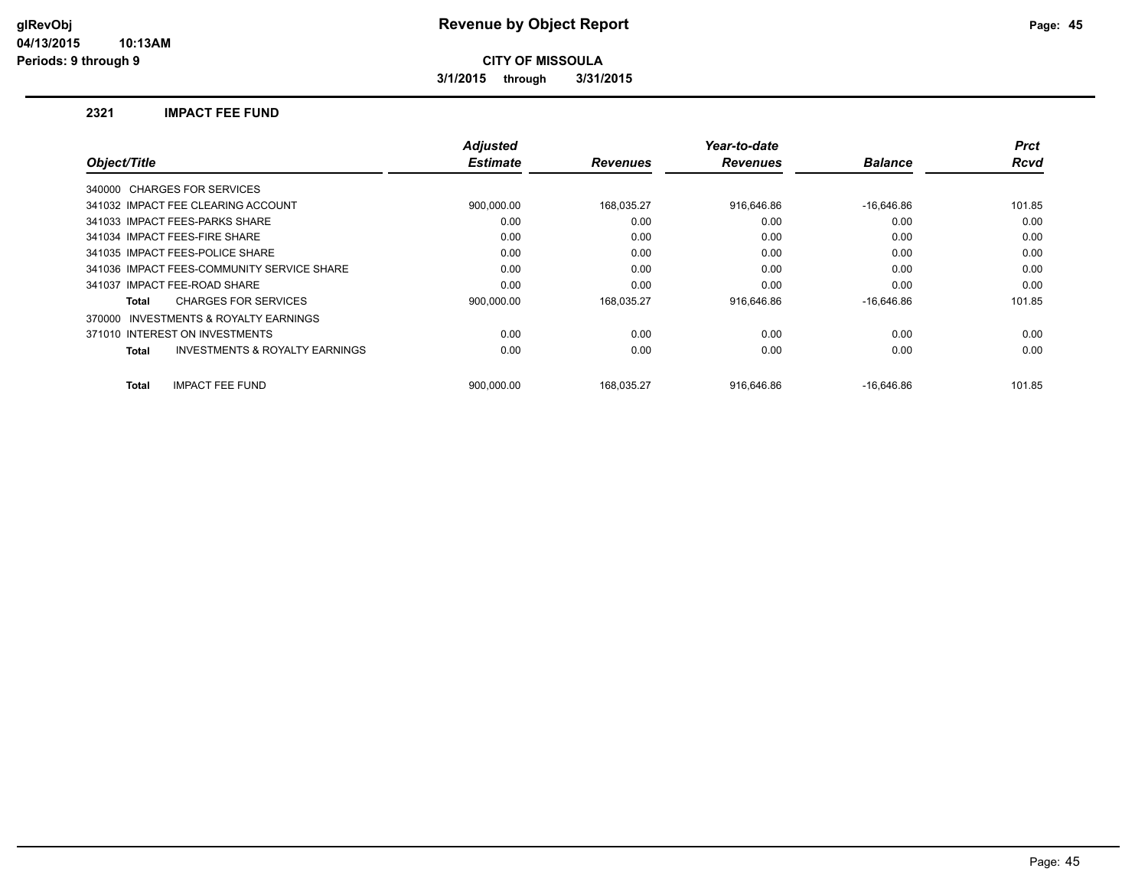**3/1/2015 through 3/31/2015**

#### **2321 IMPACT FEE FUND**

|                                                     | <b>Adjusted</b> |                 | Year-to-date    |                | <b>Prct</b> |
|-----------------------------------------------------|-----------------|-----------------|-----------------|----------------|-------------|
| Object/Title                                        | <b>Estimate</b> | <b>Revenues</b> | <b>Revenues</b> | <b>Balance</b> | <b>Rcvd</b> |
| 340000 CHARGES FOR SERVICES                         |                 |                 |                 |                |             |
| 341032 IMPACT FEE CLEARING ACCOUNT                  | 900,000.00      | 168,035.27      | 916,646.86      | $-16,646.86$   | 101.85      |
| 341033 IMPACT FEES-PARKS SHARE                      | 0.00            | 0.00            | 0.00            | 0.00           | 0.00        |
| 341034 IMPACT FEES-FIRE SHARE                       | 0.00            | 0.00            | 0.00            | 0.00           | 0.00        |
| 341035 IMPACT FEES-POLICE SHARE                     | 0.00            | 0.00            | 0.00            | 0.00           | 0.00        |
| 341036 IMPACT FEES-COMMUNITY SERVICE SHARE          | 0.00            | 0.00            | 0.00            | 0.00           | 0.00        |
| 341037 IMPACT FEE-ROAD SHARE                        | 0.00            | 0.00            | 0.00            | 0.00           | 0.00        |
| <b>CHARGES FOR SERVICES</b><br>Total                | 900,000.00      | 168,035.27      | 916,646.86      | $-16,646.86$   | 101.85      |
| <b>INVESTMENTS &amp; ROYALTY EARNINGS</b><br>370000 |                 |                 |                 |                |             |
| 371010 INTEREST ON INVESTMENTS                      | 0.00            | 0.00            | 0.00            | 0.00           | 0.00        |
| <b>INVESTMENTS &amp; ROYALTY EARNINGS</b><br>Total  | 0.00            | 0.00            | 0.00            | 0.00           | 0.00        |
| <b>IMPACT FEE FUND</b><br><b>Total</b>              | 900.000.00      | 168.035.27      | 916.646.86      | $-16.646.86$   | 101.85      |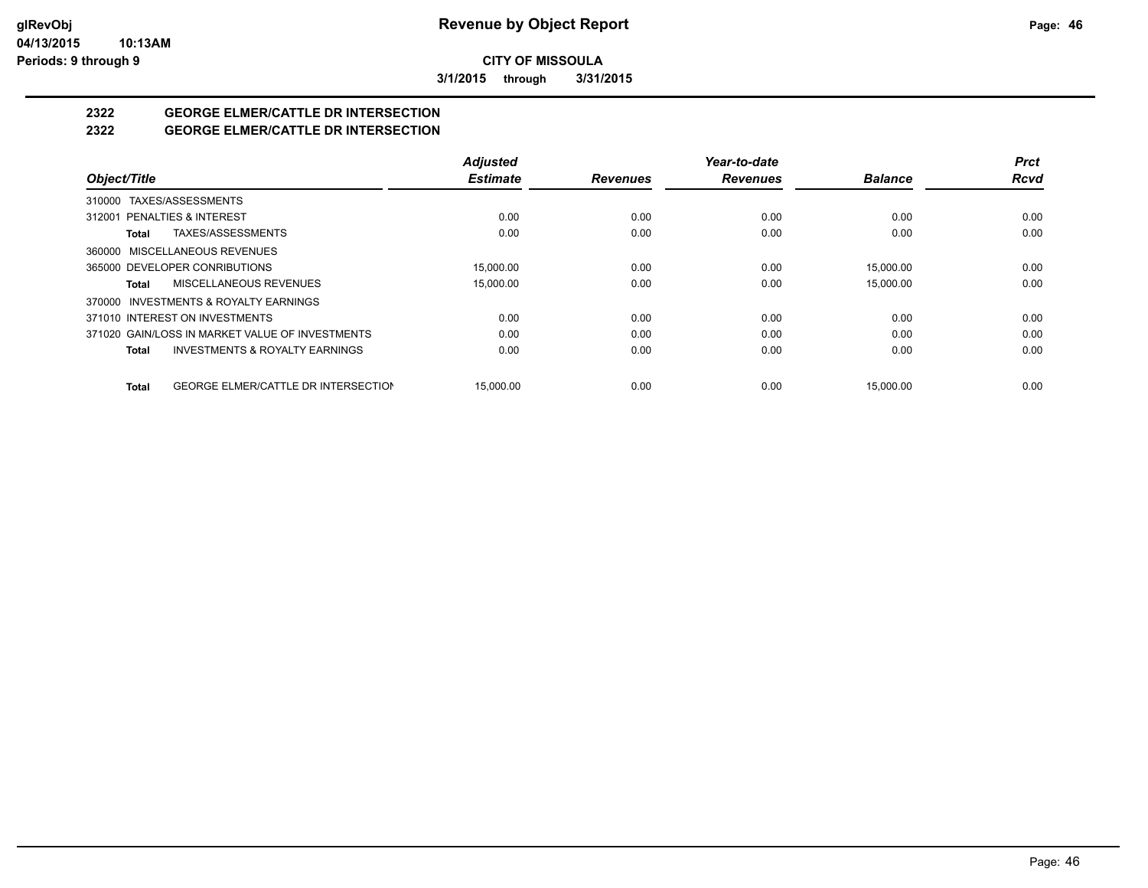**3/1/2015 through 3/31/2015**

# **2322 GEORGE ELMER/CATTLE DR INTERSECTION**

## **2322 GEORGE ELMER/CATTLE DR INTERSECTION**

|                                                            | <b>Adjusted</b> |                 | Year-to-date    |                | <b>Prct</b> |
|------------------------------------------------------------|-----------------|-----------------|-----------------|----------------|-------------|
| Object/Title                                               | <b>Estimate</b> | <b>Revenues</b> | <b>Revenues</b> | <b>Balance</b> | <b>Rcvd</b> |
| 310000 TAXES/ASSESSMENTS                                   |                 |                 |                 |                |             |
| 312001 PENALTIES & INTEREST                                | 0.00            | 0.00            | 0.00            | 0.00           | 0.00        |
| TAXES/ASSESSMENTS<br>Total                                 | 0.00            | 0.00            | 0.00            | 0.00           | 0.00        |
| MISCELLANEOUS REVENUES<br>360000                           |                 |                 |                 |                |             |
| 365000 DEVELOPER CONRIBUTIONS                              | 15.000.00       | 0.00            | 0.00            | 15.000.00      | 0.00        |
| MISCELLANEOUS REVENUES<br>Total                            | 15,000.00       | 0.00            | 0.00            | 15,000.00      | 0.00        |
| INVESTMENTS & ROYALTY EARNINGS<br>370000                   |                 |                 |                 |                |             |
| 371010 INTEREST ON INVESTMENTS                             | 0.00            | 0.00            | 0.00            | 0.00           | 0.00        |
| 371020 GAIN/LOSS IN MARKET VALUE OF INVESTMENTS            | 0.00            | 0.00            | 0.00            | 0.00           | 0.00        |
| <b>INVESTMENTS &amp; ROYALTY EARNINGS</b><br>Total         | 0.00            | 0.00            | 0.00            | 0.00           | 0.00        |
| <b>GEORGE ELMER/CATTLE DR INTERSECTION</b><br><b>Total</b> | 15.000.00       | 0.00            | 0.00            | 15.000.00      | 0.00        |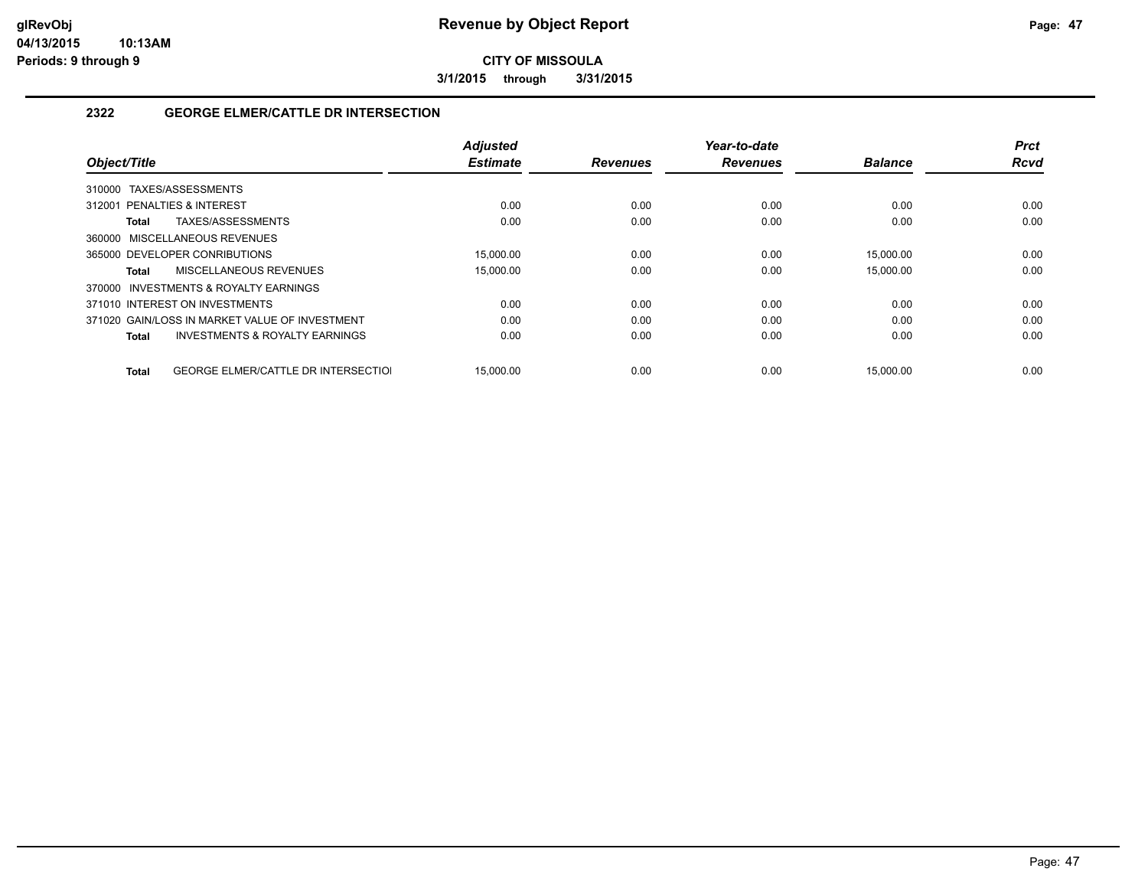**3/1/2015 through 3/31/2015**

## **2322 GEORGE ELMER/CATTLE DR INTERSECTION**

| Object/Title                                               | <b>Adjusted</b><br><b>Estimate</b> | <b>Revenues</b> | Year-to-date<br><b>Revenues</b> | <b>Balance</b> | <b>Prct</b><br><b>Rcvd</b> |
|------------------------------------------------------------|------------------------------------|-----------------|---------------------------------|----------------|----------------------------|
|                                                            |                                    |                 |                                 |                |                            |
| TAXES/ASSESSMENTS<br>310000                                |                                    |                 |                                 |                |                            |
| 312001 PENALTIES & INTEREST                                | 0.00                               | 0.00            | 0.00                            | 0.00           | 0.00                       |
| TAXES/ASSESSMENTS<br><b>Total</b>                          | 0.00                               | 0.00            | 0.00                            | 0.00           | 0.00                       |
| 360000 MISCELLANEOUS REVENUES                              |                                    |                 |                                 |                |                            |
| 365000 DEVELOPER CONRIBUTIONS                              | 15.000.00                          | 0.00            | 0.00                            | 15.000.00      | 0.00                       |
| MISCELLANEOUS REVENUES<br><b>Total</b>                     | 15.000.00                          | 0.00            | 0.00                            | 15,000.00      | 0.00                       |
| 370000 INVESTMENTS & ROYALTY EARNINGS                      |                                    |                 |                                 |                |                            |
| 371010 INTEREST ON INVESTMENTS                             | 0.00                               | 0.00            | 0.00                            | 0.00           | 0.00                       |
| 371020 GAIN/LOSS IN MARKET VALUE OF INVESTMENT             | 0.00                               | 0.00            | 0.00                            | 0.00           | 0.00                       |
| INVESTMENTS & ROYALTY EARNINGS<br><b>Total</b>             | 0.00                               | 0.00            | 0.00                            | 0.00           | 0.00                       |
|                                                            |                                    |                 |                                 |                |                            |
| <b>GEORGE ELMER/CATTLE DR INTERSECTIOL</b><br><b>Total</b> | 15.000.00                          | 0.00            | 0.00                            | 15.000.00      | 0.00                       |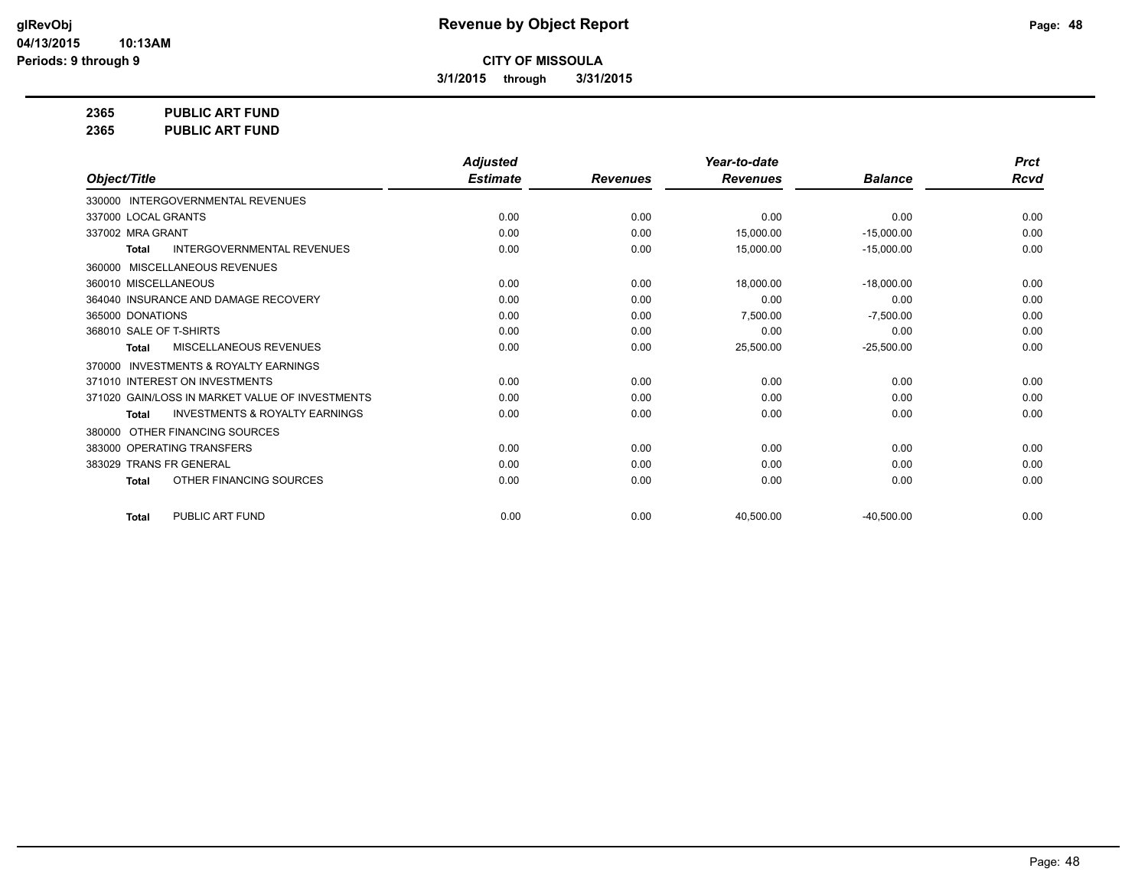**3/1/2015 through 3/31/2015**

**2365 PUBLIC ART FUND**

**2365 PUBLIC ART FUND**

|                                                           | <b>Adjusted</b> |                 | Year-to-date    |                | <b>Prct</b> |
|-----------------------------------------------------------|-----------------|-----------------|-----------------|----------------|-------------|
| Object/Title                                              | <b>Estimate</b> | <b>Revenues</b> | <b>Revenues</b> | <b>Balance</b> | Rcvd        |
| 330000 INTERGOVERNMENTAL REVENUES                         |                 |                 |                 |                |             |
| 337000 LOCAL GRANTS                                       | 0.00            | 0.00            | 0.00            | 0.00           | 0.00        |
| 337002 MRA GRANT                                          | 0.00            | 0.00            | 15.000.00       | $-15,000.00$   | 0.00        |
| <b>INTERGOVERNMENTAL REVENUES</b><br><b>Total</b>         | 0.00            | 0.00            | 15,000.00       | $-15,000.00$   | 0.00        |
| 360000 MISCELLANEOUS REVENUES                             |                 |                 |                 |                |             |
| 360010 MISCELLANEOUS                                      | 0.00            | 0.00            | 18,000.00       | $-18,000.00$   | 0.00        |
| 364040 INSURANCE AND DAMAGE RECOVERY                      | 0.00            | 0.00            | 0.00            | 0.00           | 0.00        |
| 365000 DONATIONS                                          | 0.00            | 0.00            | 7,500.00        | $-7,500.00$    | 0.00        |
| 368010 SALE OF T-SHIRTS                                   | 0.00            | 0.00            | 0.00            | 0.00           | 0.00        |
| <b>MISCELLANEOUS REVENUES</b><br><b>Total</b>             | 0.00            | 0.00            | 25,500.00       | $-25,500.00$   | 0.00        |
| <b>INVESTMENTS &amp; ROYALTY EARNINGS</b><br>370000       |                 |                 |                 |                |             |
| 371010 INTEREST ON INVESTMENTS                            | 0.00            | 0.00            | 0.00            | 0.00           | 0.00        |
| 371020 GAIN/LOSS IN MARKET VALUE OF INVESTMENTS           | 0.00            | 0.00            | 0.00            | 0.00           | 0.00        |
| <b>INVESTMENTS &amp; ROYALTY EARNINGS</b><br><b>Total</b> | 0.00            | 0.00            | 0.00            | 0.00           | 0.00        |
| OTHER FINANCING SOURCES<br>380000                         |                 |                 |                 |                |             |
| 383000 OPERATING TRANSFERS                                | 0.00            | 0.00            | 0.00            | 0.00           | 0.00        |
| 383029 TRANS FR GENERAL                                   | 0.00            | 0.00            | 0.00            | 0.00           | 0.00        |
| OTHER FINANCING SOURCES<br><b>Total</b>                   | 0.00            | 0.00            | 0.00            | 0.00           | 0.00        |
| PUBLIC ART FUND<br><b>Total</b>                           | 0.00            | 0.00            | 40,500.00       | $-40,500.00$   | 0.00        |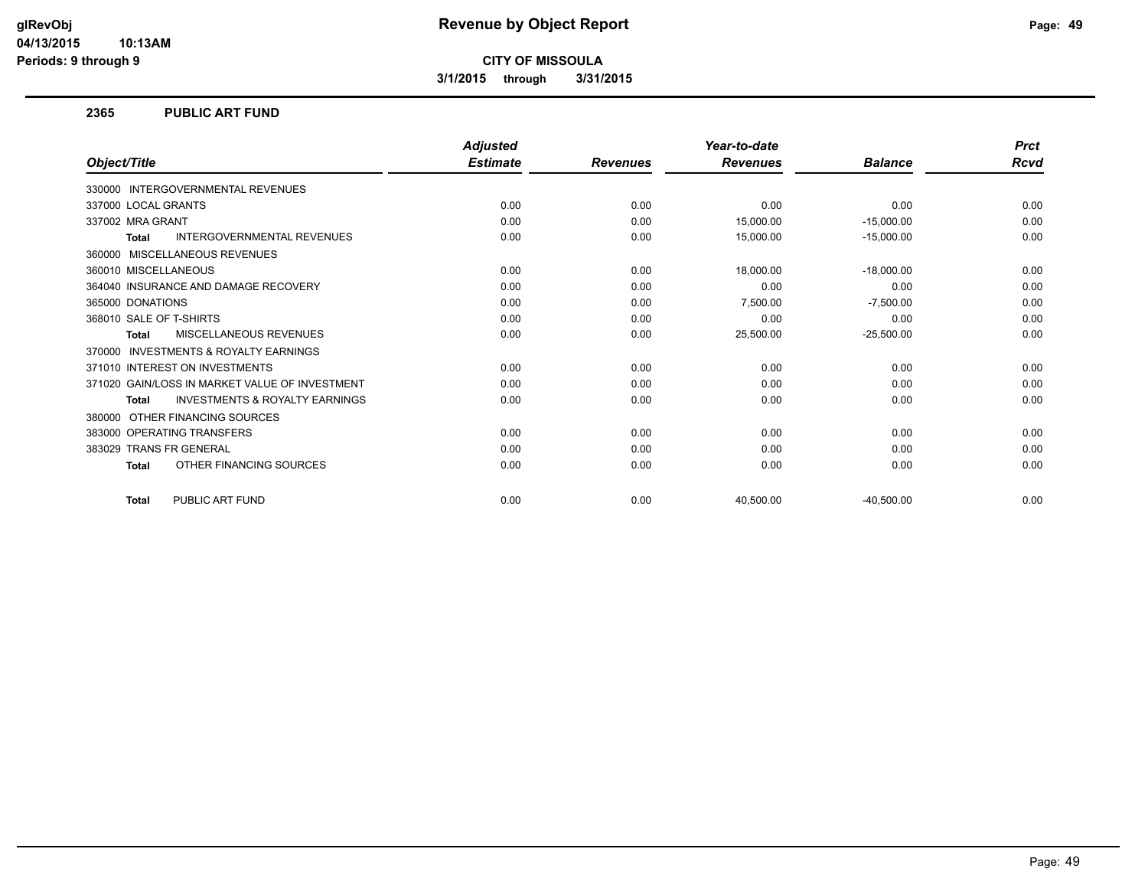**3/1/2015 through 3/31/2015**

#### **2365 PUBLIC ART FUND**

|                                                           | <b>Adjusted</b> |                 | Year-to-date    |                | <b>Prct</b> |
|-----------------------------------------------------------|-----------------|-----------------|-----------------|----------------|-------------|
| Object/Title                                              | <b>Estimate</b> | <b>Revenues</b> | <b>Revenues</b> | <b>Balance</b> | Rcvd        |
| 330000 INTERGOVERNMENTAL REVENUES                         |                 |                 |                 |                |             |
| 337000 LOCAL GRANTS                                       | 0.00            | 0.00            | 0.00            | 0.00           | 0.00        |
| 337002 MRA GRANT                                          | 0.00            | 0.00            | 15,000.00       | $-15,000.00$   | 0.00        |
| <b>INTERGOVERNMENTAL REVENUES</b><br><b>Total</b>         | 0.00            | 0.00            | 15,000.00       | $-15,000.00$   | 0.00        |
| MISCELLANEOUS REVENUES<br>360000                          |                 |                 |                 |                |             |
| 360010 MISCELLANEOUS                                      | 0.00            | 0.00            | 18,000.00       | $-18,000.00$   | 0.00        |
| 364040 INSURANCE AND DAMAGE RECOVERY                      | 0.00            | 0.00            | 0.00            | 0.00           | 0.00        |
| 365000 DONATIONS                                          | 0.00            | 0.00            | 7,500.00        | $-7,500.00$    | 0.00        |
| 368010 SALE OF T-SHIRTS                                   | 0.00            | 0.00            | 0.00            | 0.00           | 0.00        |
| <b>MISCELLANEOUS REVENUES</b><br><b>Total</b>             | 0.00            | 0.00            | 25,500.00       | $-25,500.00$   | 0.00        |
| <b>INVESTMENTS &amp; ROYALTY EARNINGS</b><br>370000       |                 |                 |                 |                |             |
| 371010 INTEREST ON INVESTMENTS                            | 0.00            | 0.00            | 0.00            | 0.00           | 0.00        |
| 371020 GAIN/LOSS IN MARKET VALUE OF INVESTMENT            | 0.00            | 0.00            | 0.00            | 0.00           | 0.00        |
| <b>INVESTMENTS &amp; ROYALTY EARNINGS</b><br><b>Total</b> | 0.00            | 0.00            | 0.00            | 0.00           | 0.00        |
| OTHER FINANCING SOURCES<br>380000                         |                 |                 |                 |                |             |
| 383000 OPERATING TRANSFERS                                | 0.00            | 0.00            | 0.00            | 0.00           | 0.00        |
| 383029 TRANS FR GENERAL                                   | 0.00            | 0.00            | 0.00            | 0.00           | 0.00        |
| OTHER FINANCING SOURCES<br><b>Total</b>                   | 0.00            | 0.00            | 0.00            | 0.00           | 0.00        |
| PUBLIC ART FUND<br><b>Total</b>                           | 0.00            | 0.00            | 40,500.00       | $-40,500.00$   | 0.00        |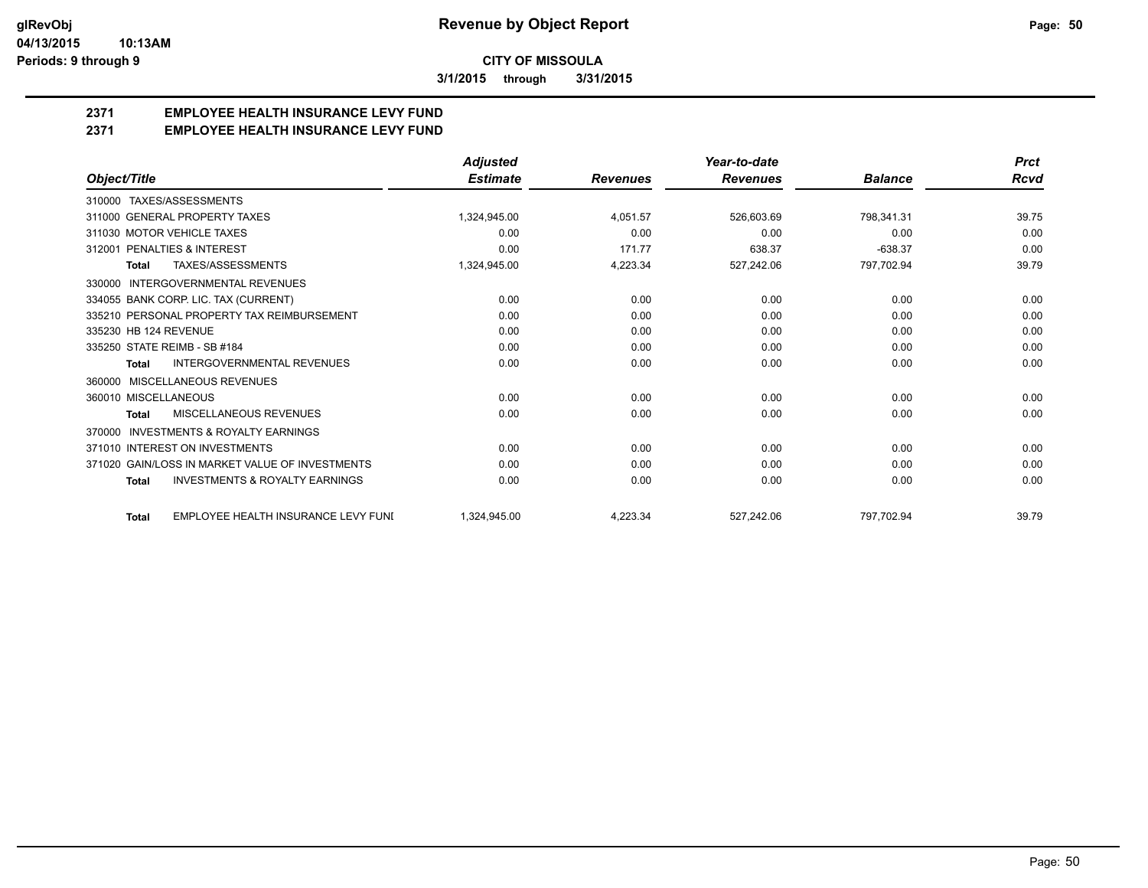**3/1/2015 through 3/31/2015**

## **2371 EMPLOYEE HEALTH INSURANCE LEVY FUND**

**2371 EMPLOYEE HEALTH INSURANCE LEVY FUND**

|                                                           | <b>Adjusted</b> |                 | Year-to-date    |                | <b>Prct</b> |
|-----------------------------------------------------------|-----------------|-----------------|-----------------|----------------|-------------|
| Object/Title                                              | <b>Estimate</b> | <b>Revenues</b> | <b>Revenues</b> | <b>Balance</b> | Rcvd        |
| 310000 TAXES/ASSESSMENTS                                  |                 |                 |                 |                |             |
| 311000 GENERAL PROPERTY TAXES                             | 1.324.945.00    | 4,051.57        | 526.603.69      | 798,341.31     | 39.75       |
| 311030 MOTOR VEHICLE TAXES                                | 0.00            | 0.00            | 0.00            | 0.00           | 0.00        |
| 312001 PENALTIES & INTEREST                               | 0.00            | 171.77          | 638.37          | $-638.37$      | 0.00        |
| <b>TAXES/ASSESSMENTS</b><br>Total                         | 1,324,945.00    | 4,223.34        | 527,242.06      | 797,702.94     | 39.79       |
| <b>INTERGOVERNMENTAL REVENUES</b><br>330000               |                 |                 |                 |                |             |
| 334055 BANK CORP. LIC. TAX (CURRENT)                      | 0.00            | 0.00            | 0.00            | 0.00           | 0.00        |
| 335210 PERSONAL PROPERTY TAX REIMBURSEMENT                | 0.00            | 0.00            | 0.00            | 0.00           | 0.00        |
| 335230 HB 124 REVENUE                                     | 0.00            | 0.00            | 0.00            | 0.00           | 0.00        |
| 335250 STATE REIMB - SB #184                              | 0.00            | 0.00            | 0.00            | 0.00           | 0.00        |
| INTERGOVERNMENTAL REVENUES<br><b>Total</b>                | 0.00            | 0.00            | 0.00            | 0.00           | 0.00        |
| MISCELLANEOUS REVENUES<br>360000                          |                 |                 |                 |                |             |
| 360010 MISCELLANEOUS                                      | 0.00            | 0.00            | 0.00            | 0.00           | 0.00        |
| MISCELLANEOUS REVENUES<br><b>Total</b>                    | 0.00            | 0.00            | 0.00            | 0.00           | 0.00        |
| INVESTMENTS & ROYALTY EARNINGS<br>370000                  |                 |                 |                 |                |             |
| 371010 INTEREST ON INVESTMENTS                            | 0.00            | 0.00            | 0.00            | 0.00           | 0.00        |
| 371020 GAIN/LOSS IN MARKET VALUE OF INVESTMENTS           | 0.00            | 0.00            | 0.00            | 0.00           | 0.00        |
| <b>INVESTMENTS &amp; ROYALTY EARNINGS</b><br><b>Total</b> | 0.00            | 0.00            | 0.00            | 0.00           | 0.00        |
| EMPLOYEE HEALTH INSURANCE LEVY FUNI<br><b>Total</b>       | 1,324,945.00    | 4,223.34        | 527.242.06      | 797,702.94     | 39.79       |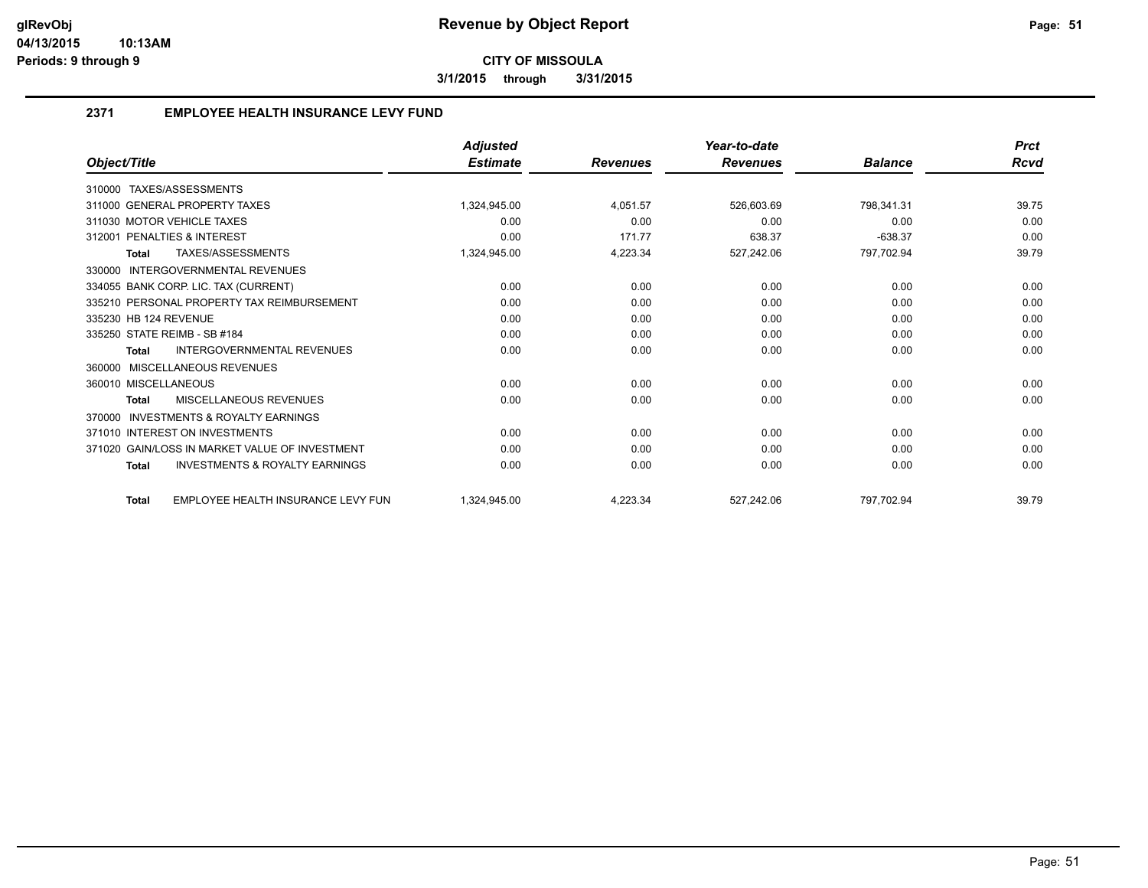**3/1/2015 through 3/31/2015**

## **2371 EMPLOYEE HEALTH INSURANCE LEVY FUND**

|                                                           | <b>Adjusted</b> |                 | Year-to-date    |                | <b>Prct</b> |
|-----------------------------------------------------------|-----------------|-----------------|-----------------|----------------|-------------|
| Object/Title                                              | <b>Estimate</b> | <b>Revenues</b> | <b>Revenues</b> | <b>Balance</b> | Rcvd        |
| TAXES/ASSESSMENTS<br>310000                               |                 |                 |                 |                |             |
| 311000 GENERAL PROPERTY TAXES                             | 1.324.945.00    | 4.051.57        | 526,603.69      | 798,341.31     | 39.75       |
| 311030 MOTOR VEHICLE TAXES                                | 0.00            | 0.00            | 0.00            | 0.00           | 0.00        |
| 312001 PENALTIES & INTEREST                               | 0.00            | 171.77          | 638.37          | $-638.37$      | 0.00        |
| TAXES/ASSESSMENTS<br><b>Total</b>                         | 1,324,945.00    | 4,223.34        | 527,242.06      | 797,702.94     | 39.79       |
| INTERGOVERNMENTAL REVENUES<br>330000                      |                 |                 |                 |                |             |
| 334055 BANK CORP. LIC. TAX (CURRENT)                      | 0.00            | 0.00            | 0.00            | 0.00           | 0.00        |
| 335210 PERSONAL PROPERTY TAX REIMBURSEMENT                | 0.00            | 0.00            | 0.00            | 0.00           | 0.00        |
| 335230 HB 124 REVENUE                                     | 0.00            | 0.00            | 0.00            | 0.00           | 0.00        |
| 335250 STATE REIMB - SB #184                              | 0.00            | 0.00            | 0.00            | 0.00           | 0.00        |
| <b>INTERGOVERNMENTAL REVENUES</b><br><b>Total</b>         | 0.00            | 0.00            | 0.00            | 0.00           | 0.00        |
| MISCELLANEOUS REVENUES<br>360000                          |                 |                 |                 |                |             |
| 360010 MISCELLANEOUS                                      | 0.00            | 0.00            | 0.00            | 0.00           | 0.00        |
| MISCELLANEOUS REVENUES<br><b>Total</b>                    | 0.00            | 0.00            | 0.00            | 0.00           | 0.00        |
| INVESTMENTS & ROYALTY EARNINGS<br>370000                  |                 |                 |                 |                |             |
| 371010 INTEREST ON INVESTMENTS                            | 0.00            | 0.00            | 0.00            | 0.00           | 0.00        |
| 371020 GAIN/LOSS IN MARKET VALUE OF INVESTMENT            | 0.00            | 0.00            | 0.00            | 0.00           | 0.00        |
| <b>INVESTMENTS &amp; ROYALTY EARNINGS</b><br><b>Total</b> | 0.00            | 0.00            | 0.00            | 0.00           | 0.00        |
| EMPLOYEE HEALTH INSURANCE LEVY FUN<br><b>Total</b>        | 1.324.945.00    | 4.223.34        | 527.242.06      | 797,702.94     | 39.79       |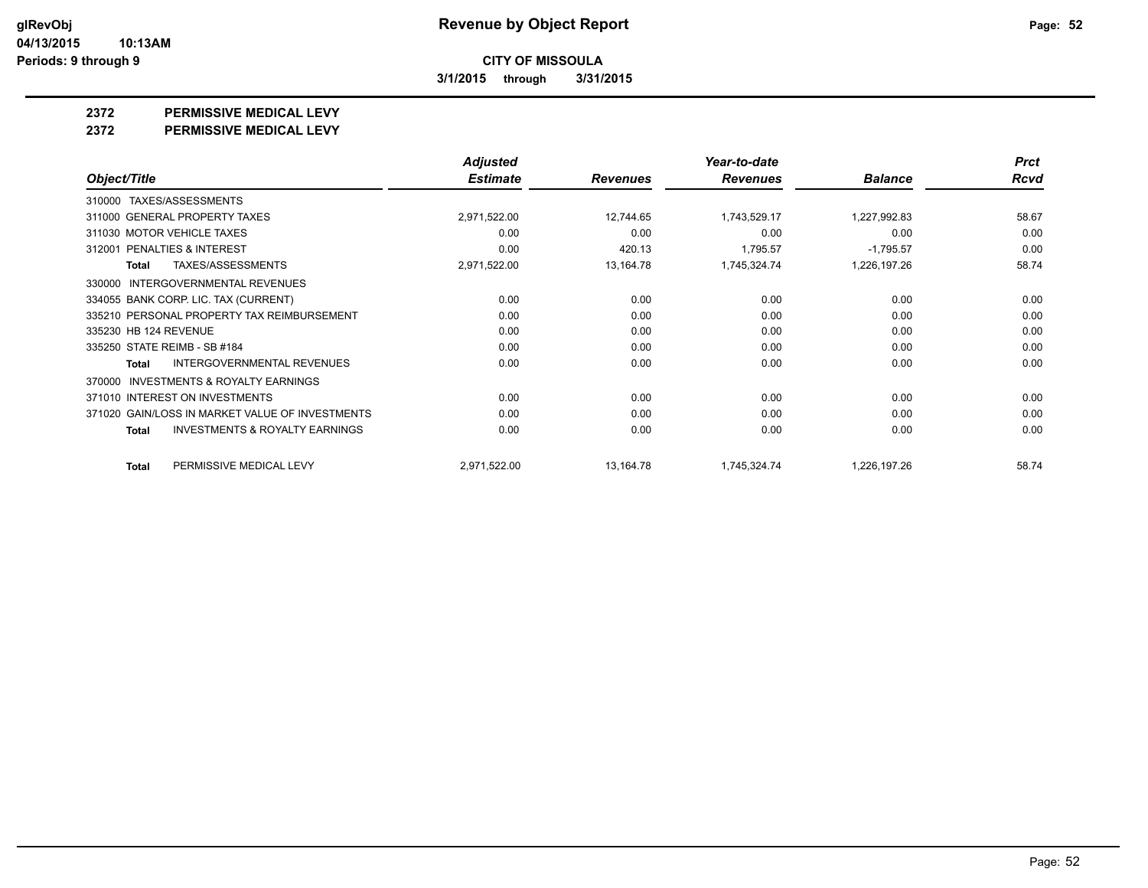**3/1/2015 through 3/31/2015**

**2372 PERMISSIVE MEDICAL LEVY**

**2372 PERMISSIVE MEDICAL LEVY**

|                                                     | <b>Adjusted</b> |                 | Year-to-date    |                | <b>Prct</b> |
|-----------------------------------------------------|-----------------|-----------------|-----------------|----------------|-------------|
| Object/Title                                        | <b>Estimate</b> | <b>Revenues</b> | <b>Revenues</b> | <b>Balance</b> | <b>Rcvd</b> |
| TAXES/ASSESSMENTS<br>310000                         |                 |                 |                 |                |             |
| 311000 GENERAL PROPERTY TAXES                       | 2,971,522.00    | 12,744.65       | 1,743,529.17    | 1,227,992.83   | 58.67       |
| 311030 MOTOR VEHICLE TAXES                          | 0.00            | 0.00            | 0.00            | 0.00           | 0.00        |
| PENALTIES & INTEREST<br>312001                      | 0.00            | 420.13          | 1,795.57        | $-1,795.57$    | 0.00        |
| TAXES/ASSESSMENTS<br>Total                          | 2,971,522.00    | 13,164.78       | 1,745,324.74    | 1,226,197.26   | 58.74       |
| INTERGOVERNMENTAL REVENUES<br>330000                |                 |                 |                 |                |             |
| 334055 BANK CORP. LIC. TAX (CURRENT)                | 0.00            | 0.00            | 0.00            | 0.00           | 0.00        |
| 335210 PERSONAL PROPERTY TAX REIMBURSEMENT          | 0.00            | 0.00            | 0.00            | 0.00           | 0.00        |
| 335230 HB 124 REVENUE                               | 0.00            | 0.00            | 0.00            | 0.00           | 0.00        |
| 335250 STATE REIMB - SB #184                        | 0.00            | 0.00            | 0.00            | 0.00           | 0.00        |
| <b>INTERGOVERNMENTAL REVENUES</b><br>Total          | 0.00            | 0.00            | 0.00            | 0.00           | 0.00        |
| <b>INVESTMENTS &amp; ROYALTY EARNINGS</b><br>370000 |                 |                 |                 |                |             |
| 371010 INTEREST ON INVESTMENTS                      | 0.00            | 0.00            | 0.00            | 0.00           | 0.00        |
| 371020 GAIN/LOSS IN MARKET VALUE OF INVESTMENTS     | 0.00            | 0.00            | 0.00            | 0.00           | 0.00        |
| <b>INVESTMENTS &amp; ROYALTY EARNINGS</b><br>Total  | 0.00            | 0.00            | 0.00            | 0.00           | 0.00        |
| PERMISSIVE MEDICAL LEVY<br>Total                    | 2,971,522.00    | 13,164.78       | 1,745,324.74    | 1,226,197.26   | 58.74       |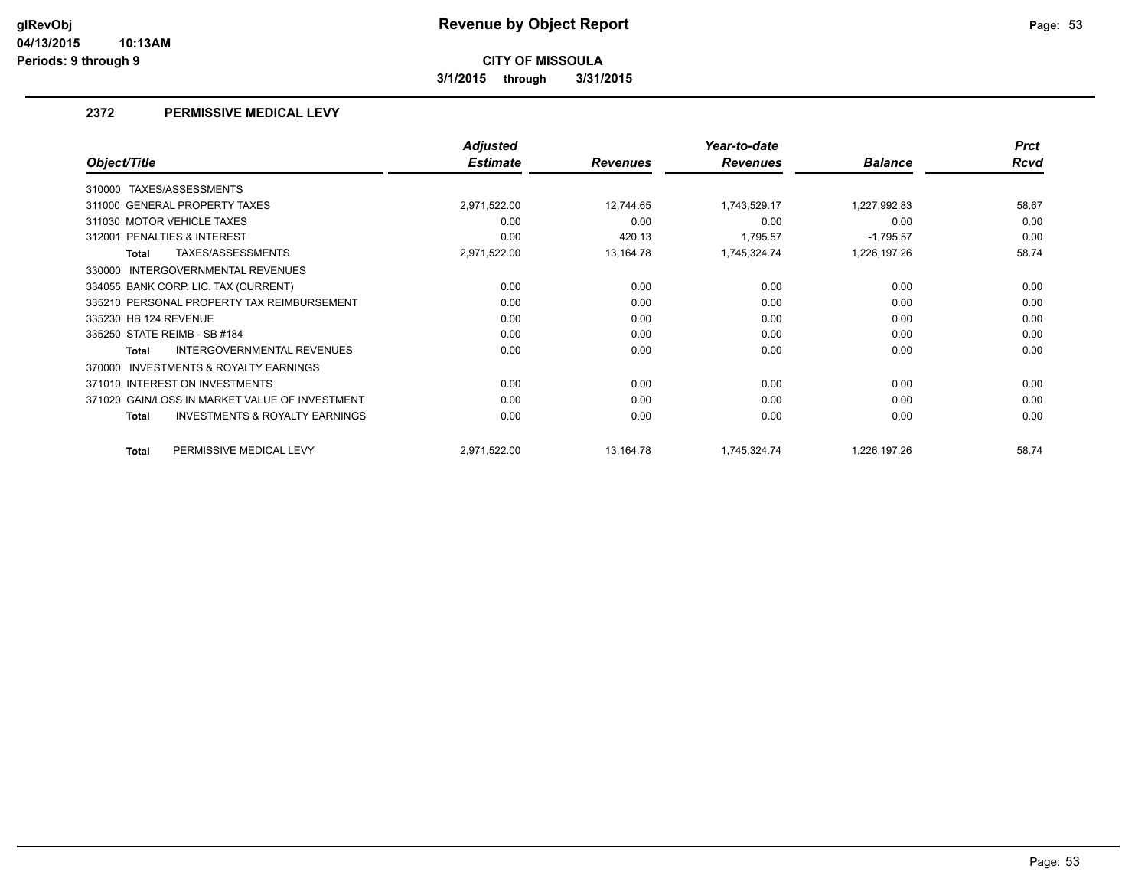**3/1/2015 through 3/31/2015**

## **2372 PERMISSIVE MEDICAL LEVY**

|                                                           | <b>Adjusted</b> |                 | Year-to-date    |                | <b>Prct</b> |
|-----------------------------------------------------------|-----------------|-----------------|-----------------|----------------|-------------|
| Object/Title                                              | <b>Estimate</b> | <b>Revenues</b> | <b>Revenues</b> | <b>Balance</b> | <b>Rcvd</b> |
| 310000 TAXES/ASSESSMENTS                                  |                 |                 |                 |                |             |
| 311000 GENERAL PROPERTY TAXES                             | 2,971,522.00    | 12,744.65       | 1,743,529.17    | 1,227,992.83   | 58.67       |
| 311030 MOTOR VEHICLE TAXES                                | 0.00            | 0.00            | 0.00            | 0.00           | 0.00        |
| 312001 PENALTIES & INTEREST                               | 0.00            | 420.13          | 1,795.57        | $-1,795.57$    | 0.00        |
| TAXES/ASSESSMENTS<br>Total                                | 2,971,522.00    | 13,164.78       | 1,745,324.74    | 1,226,197.26   | 58.74       |
| 330000 INTERGOVERNMENTAL REVENUES                         |                 |                 |                 |                |             |
| 334055 BANK CORP. LIC. TAX (CURRENT)                      | 0.00            | 0.00            | 0.00            | 0.00           | 0.00        |
| 335210 PERSONAL PROPERTY TAX REIMBURSEMENT                | 0.00            | 0.00            | 0.00            | 0.00           | 0.00        |
| 335230 HB 124 REVENUE                                     | 0.00            | 0.00            | 0.00            | 0.00           | 0.00        |
| 335250 STATE REIMB - SB #184                              | 0.00            | 0.00            | 0.00            | 0.00           | 0.00        |
| <b>INTERGOVERNMENTAL REVENUES</b><br>Total                | 0.00            | 0.00            | 0.00            | 0.00           | 0.00        |
| <b>INVESTMENTS &amp; ROYALTY EARNINGS</b><br>370000       |                 |                 |                 |                |             |
| 371010 INTEREST ON INVESTMENTS                            | 0.00            | 0.00            | 0.00            | 0.00           | 0.00        |
| 371020 GAIN/LOSS IN MARKET VALUE OF INVESTMENT            | 0.00            | 0.00            | 0.00            | 0.00           | 0.00        |
| <b>INVESTMENTS &amp; ROYALTY EARNINGS</b><br><b>Total</b> | 0.00            | 0.00            | 0.00            | 0.00           | 0.00        |
| PERMISSIVE MEDICAL LEVY<br><b>Total</b>                   | 2,971,522.00    | 13,164.78       | 1,745,324.74    | 1,226,197.26   | 58.74       |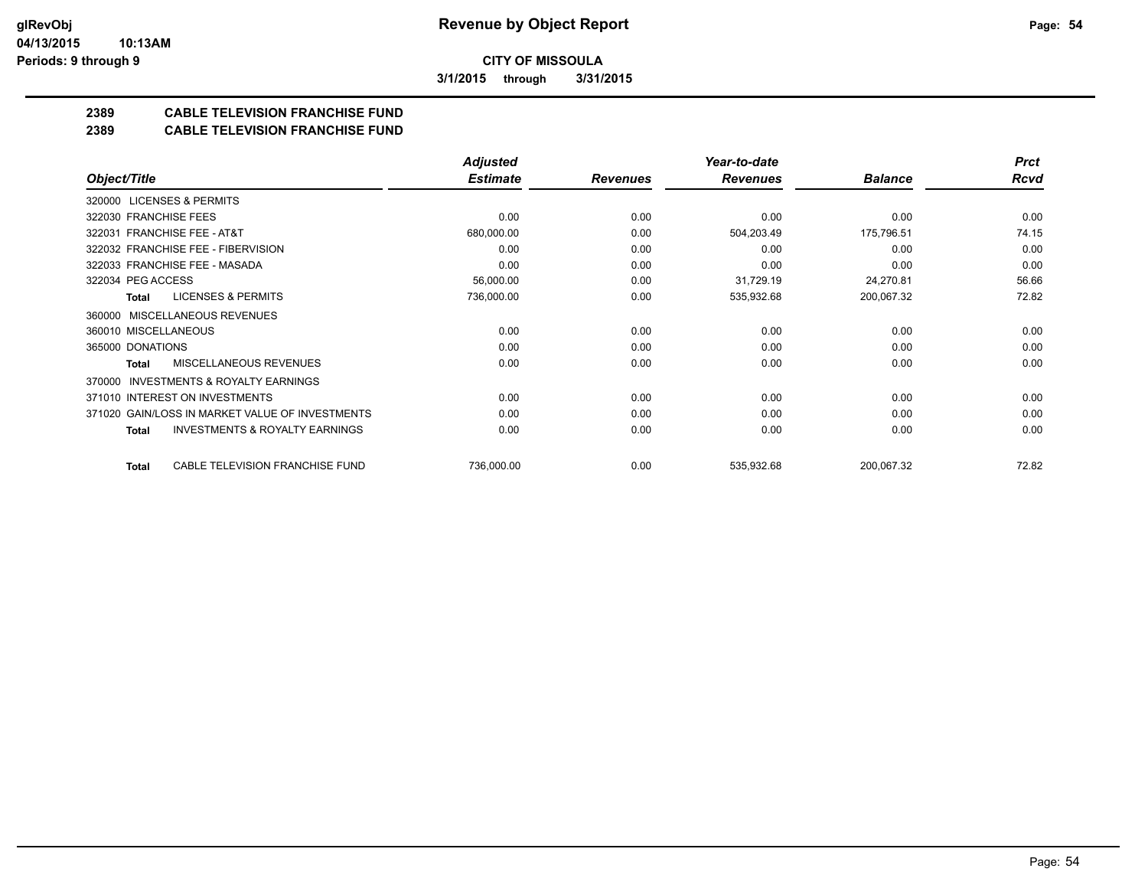**3/1/2015 through 3/31/2015**

## **2389 CABLE TELEVISION FRANCHISE FUND**

#### **2389 CABLE TELEVISION FRANCHISE FUND**

|                                                     | <b>Adjusted</b> |                 | Year-to-date    |                | <b>Prct</b> |
|-----------------------------------------------------|-----------------|-----------------|-----------------|----------------|-------------|
| Object/Title                                        | <b>Estimate</b> | <b>Revenues</b> | <b>Revenues</b> | <b>Balance</b> | Rcvd        |
| 320000 LICENSES & PERMITS                           |                 |                 |                 |                |             |
| 322030 FRANCHISE FEES                               | 0.00            | 0.00            | 0.00            | 0.00           | 0.00        |
| 322031 FRANCHISE FEE - AT&T                         | 680,000.00      | 0.00            | 504,203.49      | 175,796.51     | 74.15       |
| 322032 FRANCHISE FEE - FIBERVISION                  | 0.00            | 0.00            | 0.00            | 0.00           | 0.00        |
| 322033 FRANCHISE FEE - MASADA                       | 0.00            | 0.00            | 0.00            | 0.00           | 0.00        |
| 322034 PEG ACCESS                                   | 56,000.00       | 0.00            | 31,729.19       | 24,270.81      | 56.66       |
| <b>LICENSES &amp; PERMITS</b><br>Total              | 736,000.00      | 0.00            | 535,932.68      | 200,067.32     | 72.82       |
| 360000 MISCELLANEOUS REVENUES                       |                 |                 |                 |                |             |
| 360010 MISCELLANEOUS                                | 0.00            | 0.00            | 0.00            | 0.00           | 0.00        |
| 365000 DONATIONS                                    | 0.00            | 0.00            | 0.00            | 0.00           | 0.00        |
| MISCELLANEOUS REVENUES<br>Total                     | 0.00            | 0.00            | 0.00            | 0.00           | 0.00        |
| <b>INVESTMENTS &amp; ROYALTY EARNINGS</b><br>370000 |                 |                 |                 |                |             |
| 371010 INTEREST ON INVESTMENTS                      | 0.00            | 0.00            | 0.00            | 0.00           | 0.00        |
| 371020 GAIN/LOSS IN MARKET VALUE OF INVESTMENTS     | 0.00            | 0.00            | 0.00            | 0.00           | 0.00        |
| <b>INVESTMENTS &amp; ROYALTY EARNINGS</b><br>Total  | 0.00            | 0.00            | 0.00            | 0.00           | 0.00        |
| CABLE TELEVISION FRANCHISE FUND<br>Total            | 736,000.00      | 0.00            | 535,932.68      | 200,067.32     | 72.82       |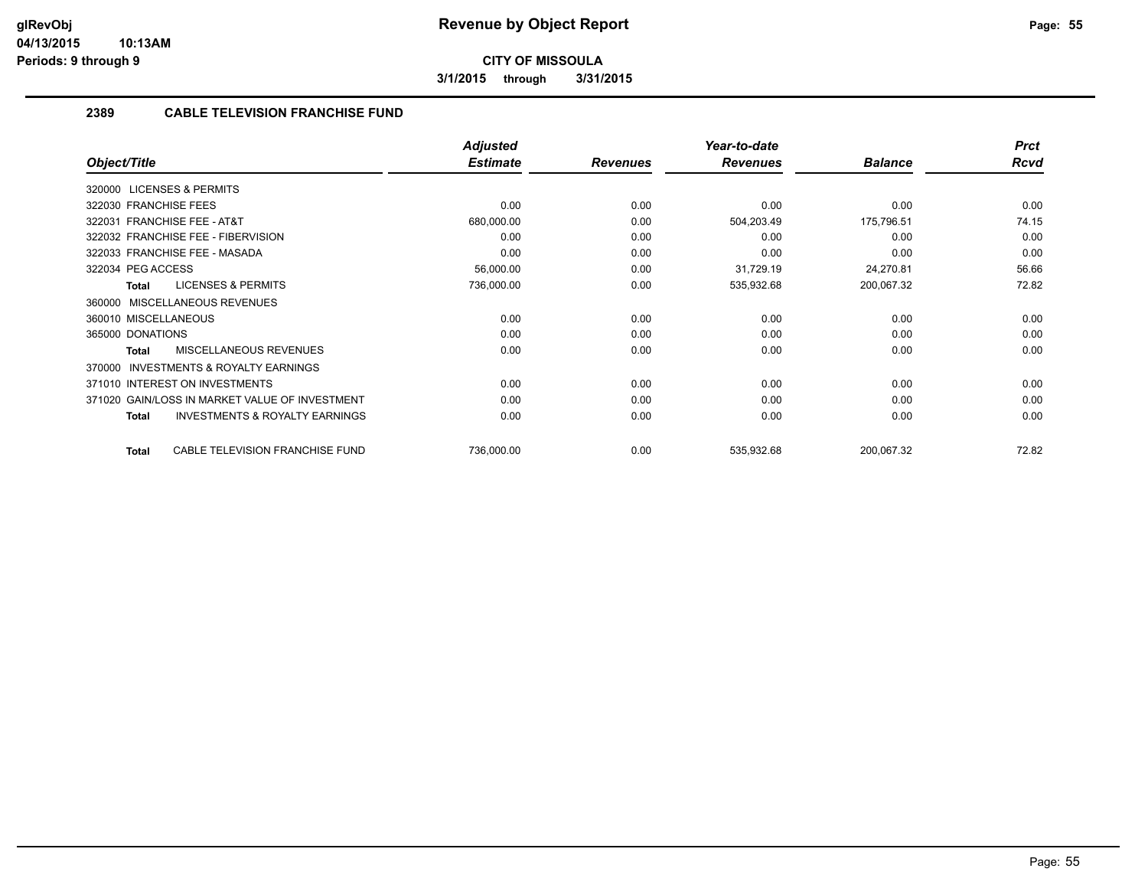**3/1/2015 through 3/31/2015**

## **2389 CABLE TELEVISION FRANCHISE FUND**

|                                                           | <b>Adjusted</b> |                 | Year-to-date    |                | <b>Prct</b> |
|-----------------------------------------------------------|-----------------|-----------------|-----------------|----------------|-------------|
| Object/Title                                              | <b>Estimate</b> | <b>Revenues</b> | <b>Revenues</b> | <b>Balance</b> | Rcvd        |
| 320000 LICENSES & PERMITS                                 |                 |                 |                 |                |             |
| 322030 FRANCHISE FEES                                     | 0.00            | 0.00            | 0.00            | 0.00           | 0.00        |
| 322031 FRANCHISE FEE - AT&T                               | 680,000.00      | 0.00            | 504,203.49      | 175,796.51     | 74.15       |
| 322032 FRANCHISE FEE - FIBERVISION                        | 0.00            | 0.00            | 0.00            | 0.00           | 0.00        |
| 322033 FRANCHISE FEE - MASADA                             | 0.00            | 0.00            | 0.00            | 0.00           | 0.00        |
| 322034 PEG ACCESS                                         | 56,000.00       | 0.00            | 31,729.19       | 24,270.81      | 56.66       |
| <b>LICENSES &amp; PERMITS</b><br><b>Total</b>             | 736,000.00      | 0.00            | 535,932.68      | 200,067.32     | 72.82       |
| 360000 MISCELLANEOUS REVENUES                             |                 |                 |                 |                |             |
| 360010 MISCELLANEOUS                                      | 0.00            | 0.00            | 0.00            | 0.00           | 0.00        |
| 365000 DONATIONS                                          | 0.00            | 0.00            | 0.00            | 0.00           | 0.00        |
| MISCELLANEOUS REVENUES<br><b>Total</b>                    | 0.00            | 0.00            | 0.00            | 0.00           | 0.00        |
| <b>INVESTMENTS &amp; ROYALTY EARNINGS</b><br>370000       |                 |                 |                 |                |             |
| 371010 INTEREST ON INVESTMENTS                            | 0.00            | 0.00            | 0.00            | 0.00           | 0.00        |
| 371020 GAIN/LOSS IN MARKET VALUE OF INVESTMENT            | 0.00            | 0.00            | 0.00            | 0.00           | 0.00        |
| <b>INVESTMENTS &amp; ROYALTY EARNINGS</b><br><b>Total</b> | 0.00            | 0.00            | 0.00            | 0.00           | 0.00        |
| CABLE TELEVISION FRANCHISE FUND<br><b>Total</b>           | 736,000.00      | 0.00            | 535,932.68      | 200,067.32     | 72.82       |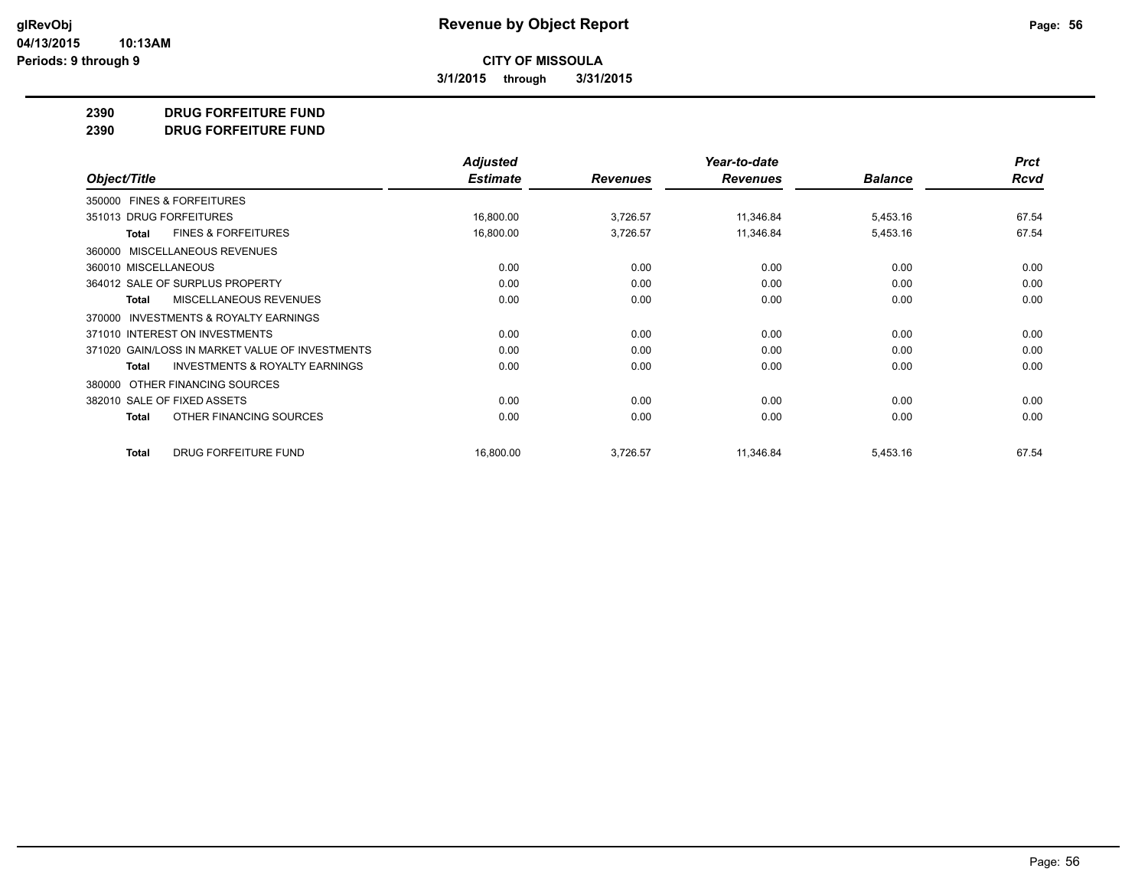**3/1/2015 through 3/31/2015**

### **2390 DRUG FORFEITURE FUND**

**2390 DRUG FORFEITURE FUND**

|                                                           | <b>Adjusted</b> |                 | Year-to-date    |                | <b>Prct</b> |
|-----------------------------------------------------------|-----------------|-----------------|-----------------|----------------|-------------|
| Object/Title                                              | <b>Estimate</b> | <b>Revenues</b> | <b>Revenues</b> | <b>Balance</b> | <b>Rcvd</b> |
| 350000 FINES & FORFEITURES                                |                 |                 |                 |                |             |
| 351013 DRUG FORFEITURES                                   | 16,800.00       | 3,726.57        | 11,346.84       | 5,453.16       | 67.54       |
| <b>FINES &amp; FORFEITURES</b><br><b>Total</b>            | 16,800.00       | 3,726.57        | 11,346.84       | 5,453.16       | 67.54       |
| 360000 MISCELLANEOUS REVENUES                             |                 |                 |                 |                |             |
| 360010 MISCELLANEOUS                                      | 0.00            | 0.00            | 0.00            | 0.00           | 0.00        |
| 364012 SALE OF SURPLUS PROPERTY                           | 0.00            | 0.00            | 0.00            | 0.00           | 0.00        |
| <b>MISCELLANEOUS REVENUES</b><br><b>Total</b>             | 0.00            | 0.00            | 0.00            | 0.00           | 0.00        |
| 370000 INVESTMENTS & ROYALTY EARNINGS                     |                 |                 |                 |                |             |
| 371010 INTEREST ON INVESTMENTS                            | 0.00            | 0.00            | 0.00            | 0.00           | 0.00        |
| 371020 GAIN/LOSS IN MARKET VALUE OF INVESTMENTS           | 0.00            | 0.00            | 0.00            | 0.00           | 0.00        |
| <b>INVESTMENTS &amp; ROYALTY EARNINGS</b><br><b>Total</b> | 0.00            | 0.00            | 0.00            | 0.00           | 0.00        |
| OTHER FINANCING SOURCES<br>380000                         |                 |                 |                 |                |             |
| 382010 SALE OF FIXED ASSETS                               | 0.00            | 0.00            | 0.00            | 0.00           | 0.00        |
| OTHER FINANCING SOURCES<br><b>Total</b>                   | 0.00            | 0.00            | 0.00            | 0.00           | 0.00        |
| DRUG FORFEITURE FUND<br><b>Total</b>                      | 16,800.00       | 3,726.57        | 11,346.84       | 5,453.16       | 67.54       |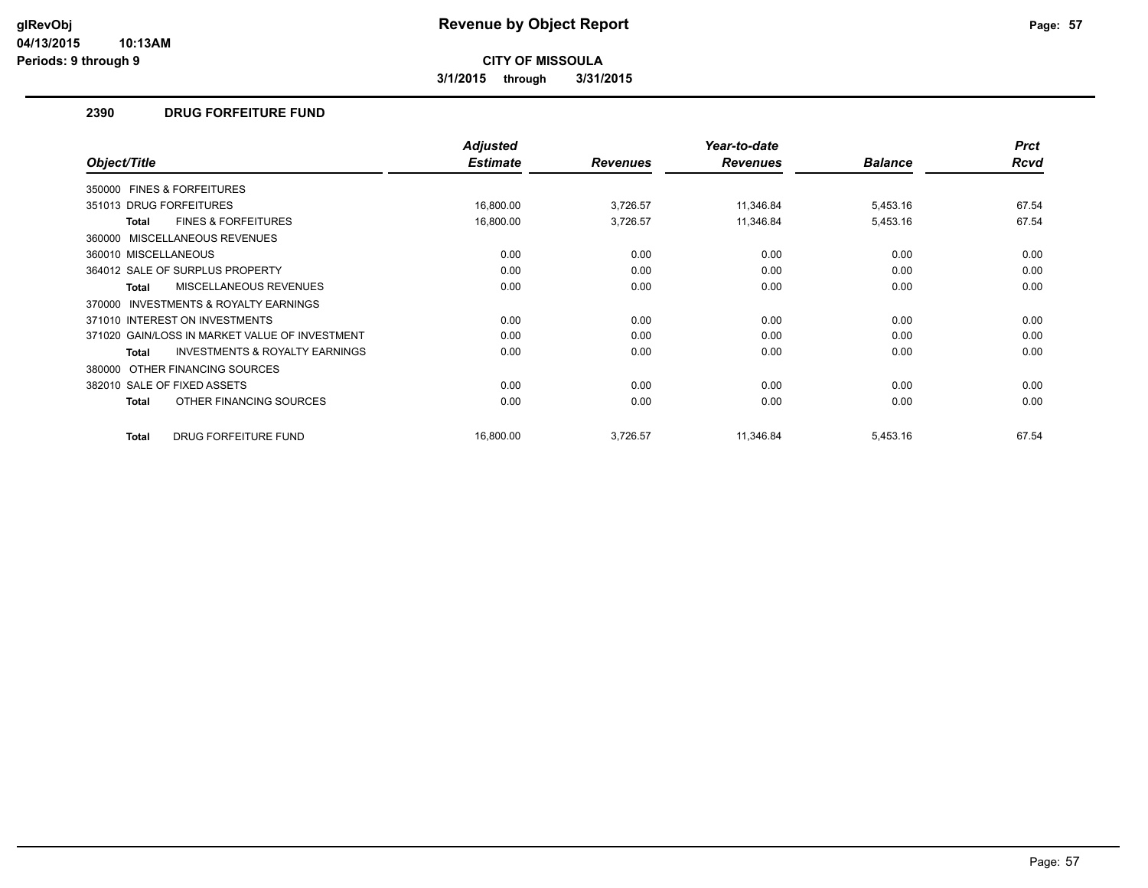**3/1/2015 through 3/31/2015**

## **2390 DRUG FORFEITURE FUND**

|                                                           | <b>Adjusted</b> |                 | Year-to-date    |                | <b>Prct</b> |
|-----------------------------------------------------------|-----------------|-----------------|-----------------|----------------|-------------|
| Object/Title                                              | <b>Estimate</b> | <b>Revenues</b> | <b>Revenues</b> | <b>Balance</b> | Rcvd        |
| 350000 FINES & FORFEITURES                                |                 |                 |                 |                |             |
| 351013 DRUG FORFEITURES                                   | 16,800.00       | 3,726.57        | 11,346.84       | 5,453.16       | 67.54       |
| <b>FINES &amp; FORFEITURES</b><br><b>Total</b>            | 16,800.00       | 3,726.57        | 11,346.84       | 5,453.16       | 67.54       |
| 360000 MISCELLANEOUS REVENUES                             |                 |                 |                 |                |             |
| 360010 MISCELLANEOUS                                      | 0.00            | 0.00            | 0.00            | 0.00           | 0.00        |
| 364012 SALE OF SURPLUS PROPERTY                           | 0.00            | 0.00            | 0.00            | 0.00           | 0.00        |
| <b>MISCELLANEOUS REVENUES</b><br><b>Total</b>             | 0.00            | 0.00            | 0.00            | 0.00           | 0.00        |
| <b>INVESTMENTS &amp; ROYALTY EARNINGS</b><br>370000       |                 |                 |                 |                |             |
| 371010 INTEREST ON INVESTMENTS                            | 0.00            | 0.00            | 0.00            | 0.00           | 0.00        |
| 371020 GAIN/LOSS IN MARKET VALUE OF INVESTMENT            | 0.00            | 0.00            | 0.00            | 0.00           | 0.00        |
| <b>INVESTMENTS &amp; ROYALTY EARNINGS</b><br><b>Total</b> | 0.00            | 0.00            | 0.00            | 0.00           | 0.00        |
| OTHER FINANCING SOURCES<br>380000                         |                 |                 |                 |                |             |
| 382010 SALE OF FIXED ASSETS                               | 0.00            | 0.00            | 0.00            | 0.00           | 0.00        |
| OTHER FINANCING SOURCES<br><b>Total</b>                   | 0.00            | 0.00            | 0.00            | 0.00           | 0.00        |
| DRUG FORFEITURE FUND<br><b>Total</b>                      | 16,800.00       | 3,726.57        | 11,346.84       | 5,453.16       | 67.54       |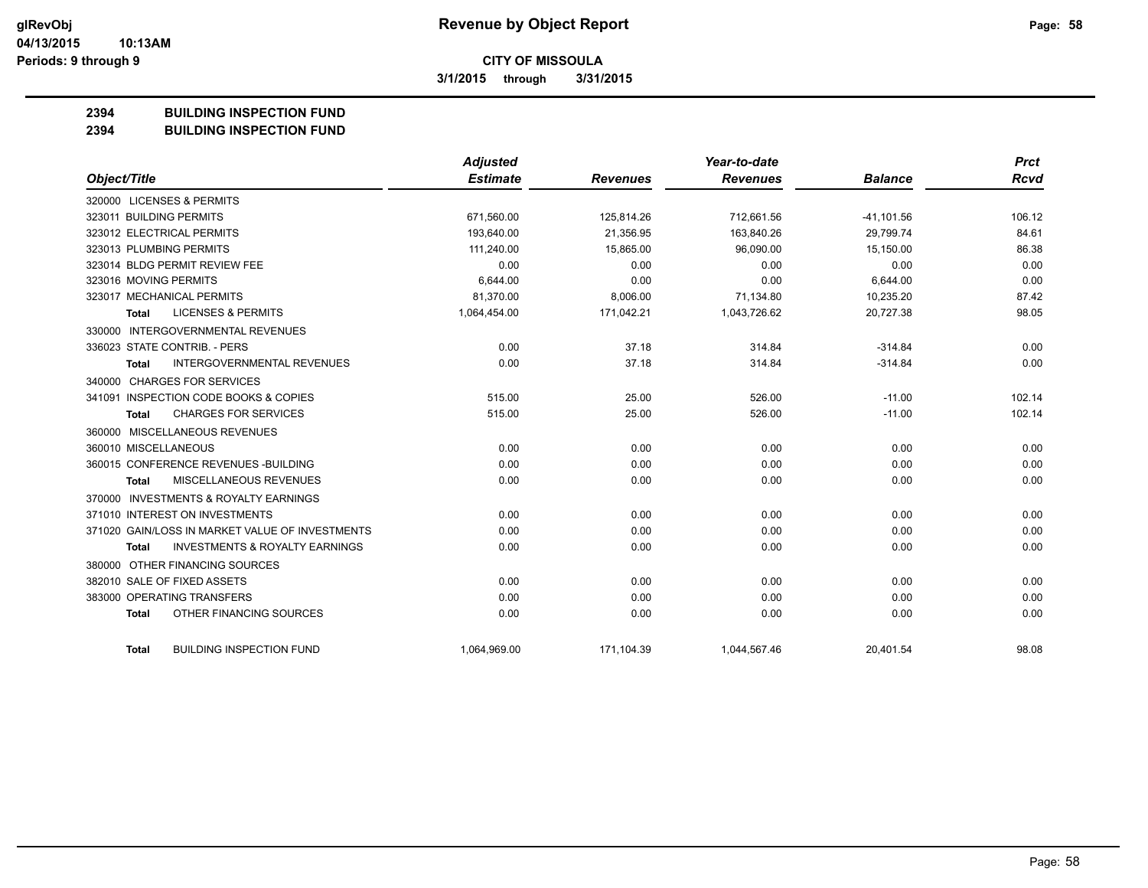**3/1/2015 through 3/31/2015**

## **2394 BUILDING INSPECTION FUND**

#### **2394 BUILDING INSPECTION FUND**

|                                                           | <b>Adjusted</b> |                 | Year-to-date    |                | <b>Prct</b> |
|-----------------------------------------------------------|-----------------|-----------------|-----------------|----------------|-------------|
| Object/Title                                              | <b>Estimate</b> | <b>Revenues</b> | <b>Revenues</b> | <b>Balance</b> | <b>Rcvd</b> |
| 320000 LICENSES & PERMITS                                 |                 |                 |                 |                |             |
| 323011 BUILDING PERMITS                                   | 671,560.00      | 125,814.26      | 712,661.56      | $-41, 101.56$  | 106.12      |
| 323012 ELECTRICAL PERMITS                                 | 193,640.00      | 21,356.95       | 163,840.26      | 29,799.74      | 84.61       |
| 323013 PLUMBING PERMITS                                   | 111,240.00      | 15,865.00       | 96,090.00       | 15,150.00      | 86.38       |
| 323014 BLDG PERMIT REVIEW FEE                             | 0.00            | 0.00            | 0.00            | 0.00           | 0.00        |
| 323016 MOVING PERMITS                                     | 6.644.00        | 0.00            | 0.00            | 6,644.00       | 0.00        |
| 323017 MECHANICAL PERMITS                                 | 81,370.00       | 8,006.00        | 71,134.80       | 10,235.20      | 87.42       |
| <b>LICENSES &amp; PERMITS</b><br><b>Total</b>             | 1,064,454.00    | 171,042.21      | 1,043,726.62    | 20,727.38      | 98.05       |
| <b>INTERGOVERNMENTAL REVENUES</b><br>330000               |                 |                 |                 |                |             |
| 336023 STATE CONTRIB. - PERS                              | 0.00            | 37.18           | 314.84          | $-314.84$      | 0.00        |
| <b>INTERGOVERNMENTAL REVENUES</b><br><b>Total</b>         | 0.00            | 37.18           | 314.84          | $-314.84$      | 0.00        |
| 340000 CHARGES FOR SERVICES                               |                 |                 |                 |                |             |
| 341091 INSPECTION CODE BOOKS & COPIES                     | 515.00          | 25.00           | 526.00          | $-11.00$       | 102.14      |
| <b>CHARGES FOR SERVICES</b><br>Total                      | 515.00          | 25.00           | 526.00          | $-11.00$       | 102.14      |
| 360000 MISCELLANEOUS REVENUES                             |                 |                 |                 |                |             |
| 360010 MISCELLANEOUS                                      | 0.00            | 0.00            | 0.00            | 0.00           | 0.00        |
| 360015 CONFERENCE REVENUES - BUILDING                     | 0.00            | 0.00            | 0.00            | 0.00           | 0.00        |
| MISCELLANEOUS REVENUES<br><b>Total</b>                    | 0.00            | 0.00            | 0.00            | 0.00           | 0.00        |
| 370000 INVESTMENTS & ROYALTY EARNINGS                     |                 |                 |                 |                |             |
| 371010 INTEREST ON INVESTMENTS                            | 0.00            | 0.00            | 0.00            | 0.00           | 0.00        |
| 371020 GAIN/LOSS IN MARKET VALUE OF INVESTMENTS           | 0.00            | 0.00            | 0.00            | 0.00           | 0.00        |
| <b>INVESTMENTS &amp; ROYALTY EARNINGS</b><br><b>Total</b> | 0.00            | 0.00            | 0.00            | 0.00           | 0.00        |
| 380000 OTHER FINANCING SOURCES                            |                 |                 |                 |                |             |
| 382010 SALE OF FIXED ASSETS                               | 0.00            | 0.00            | 0.00            | 0.00           | 0.00        |
| 383000 OPERATING TRANSFERS                                | 0.00            | 0.00            | 0.00            | 0.00           | 0.00        |
| OTHER FINANCING SOURCES<br><b>Total</b>                   | 0.00            | 0.00            | 0.00            | 0.00           | 0.00        |
| <b>BUILDING INSPECTION FUND</b><br>Total                  | 1,064,969.00    | 171,104.39      | 1,044,567.46    | 20,401.54      | 98.08       |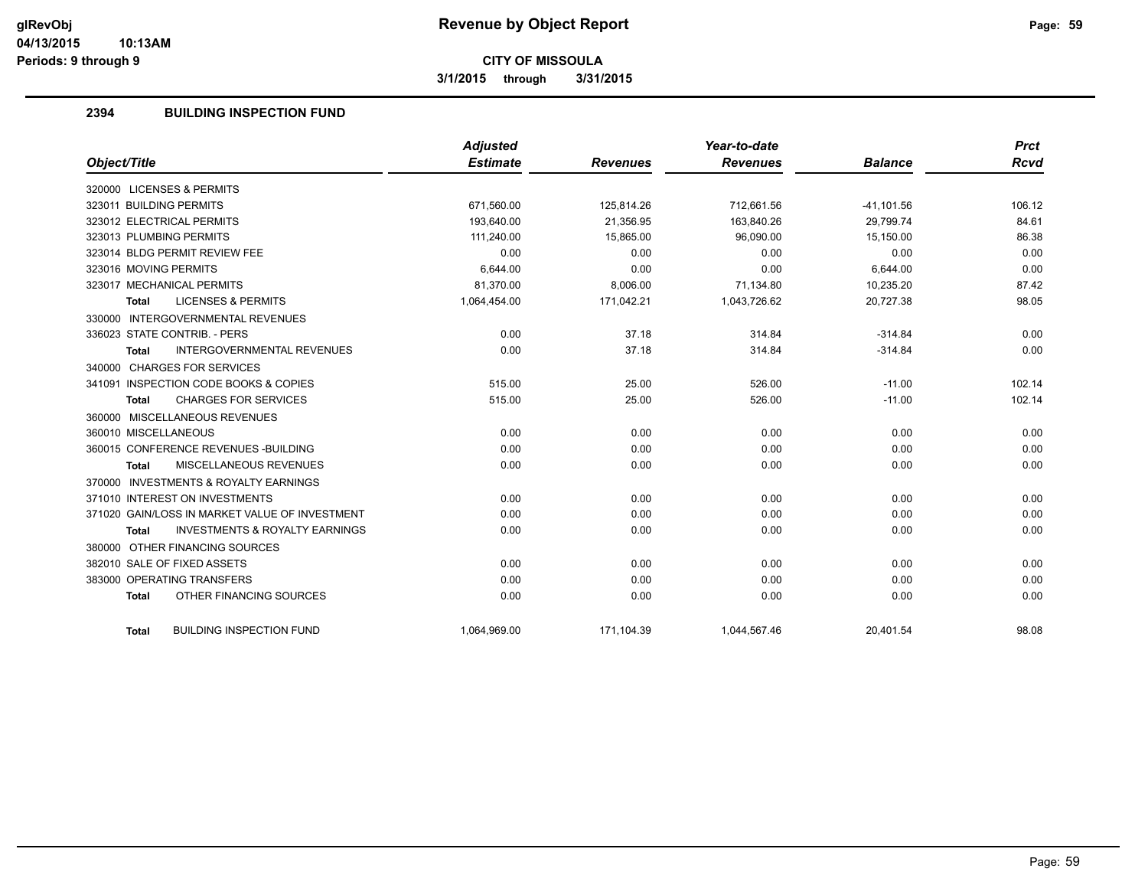**3/1/2015 through 3/31/2015**

## **2394 BUILDING INSPECTION FUND**

|                                                           | <b>Adjusted</b> |                 | Year-to-date    |                | <b>Prct</b> |
|-----------------------------------------------------------|-----------------|-----------------|-----------------|----------------|-------------|
| Object/Title                                              | <b>Estimate</b> | <b>Revenues</b> | <b>Revenues</b> | <b>Balance</b> | Rcvd        |
| 320000 LICENSES & PERMITS                                 |                 |                 |                 |                |             |
| 323011 BUILDING PERMITS                                   | 671,560.00      | 125,814.26      | 712,661.56      | $-41,101.56$   | 106.12      |
| 323012 ELECTRICAL PERMITS                                 | 193.640.00      | 21.356.95       | 163.840.26      | 29.799.74      | 84.61       |
| 323013 PLUMBING PERMITS                                   | 111,240.00      | 15,865.00       | 96,090.00       | 15,150.00      | 86.38       |
| 323014 BLDG PERMIT REVIEW FEE                             | 0.00            | 0.00            | 0.00            | 0.00           | 0.00        |
| 323016 MOVING PERMITS                                     | 6,644.00        | 0.00            | 0.00            | 6,644.00       | 0.00        |
| 323017 MECHANICAL PERMITS                                 | 81,370.00       | 8,006.00        | 71,134.80       | 10,235.20      | 87.42       |
| <b>LICENSES &amp; PERMITS</b><br><b>Total</b>             | 1,064,454.00    | 171,042.21      | 1,043,726.62    | 20,727.38      | 98.05       |
| 330000 INTERGOVERNMENTAL REVENUES                         |                 |                 |                 |                |             |
| 336023 STATE CONTRIB. - PERS                              | 0.00            | 37.18           | 314.84          | $-314.84$      | 0.00        |
| <b>INTERGOVERNMENTAL REVENUES</b><br><b>Total</b>         | 0.00            | 37.18           | 314.84          | $-314.84$      | 0.00        |
| 340000 CHARGES FOR SERVICES                               |                 |                 |                 |                |             |
| 341091 INSPECTION CODE BOOKS & COPIES                     | 515.00          | 25.00           | 526.00          | $-11.00$       | 102.14      |
| <b>CHARGES FOR SERVICES</b><br><b>Total</b>               | 515.00          | 25.00           | 526.00          | $-11.00$       | 102.14      |
| 360000 MISCELLANEOUS REVENUES                             |                 |                 |                 |                |             |
| 360010 MISCELLANEOUS                                      | 0.00            | 0.00            | 0.00            | 0.00           | 0.00        |
| 360015 CONFERENCE REVENUES - BUILDING                     | 0.00            | 0.00            | 0.00            | 0.00           | 0.00        |
| MISCELLANEOUS REVENUES<br><b>Total</b>                    | 0.00            | 0.00            | 0.00            | 0.00           | 0.00        |
| 370000 INVESTMENTS & ROYALTY EARNINGS                     |                 |                 |                 |                |             |
| 371010 INTEREST ON INVESTMENTS                            | 0.00            | 0.00            | 0.00            | 0.00           | 0.00        |
| 371020 GAIN/LOSS IN MARKET VALUE OF INVESTMENT            | 0.00            | 0.00            | 0.00            | 0.00           | 0.00        |
| <b>INVESTMENTS &amp; ROYALTY EARNINGS</b><br><b>Total</b> | 0.00            | 0.00            | 0.00            | 0.00           | 0.00        |
| 380000 OTHER FINANCING SOURCES                            |                 |                 |                 |                |             |
| 382010 SALE OF FIXED ASSETS                               | 0.00            | 0.00            | 0.00            | 0.00           | 0.00        |
| 383000 OPERATING TRANSFERS                                | 0.00            | 0.00            | 0.00            | 0.00           | 0.00        |
| OTHER FINANCING SOURCES<br><b>Total</b>                   | 0.00            | 0.00            | 0.00            | 0.00           | 0.00        |
|                                                           |                 |                 |                 |                |             |
| <b>BUILDING INSPECTION FUND</b><br><b>Total</b>           | 1,064,969.00    | 171,104.39      | 1,044,567.46    | 20,401.54      | 98.08       |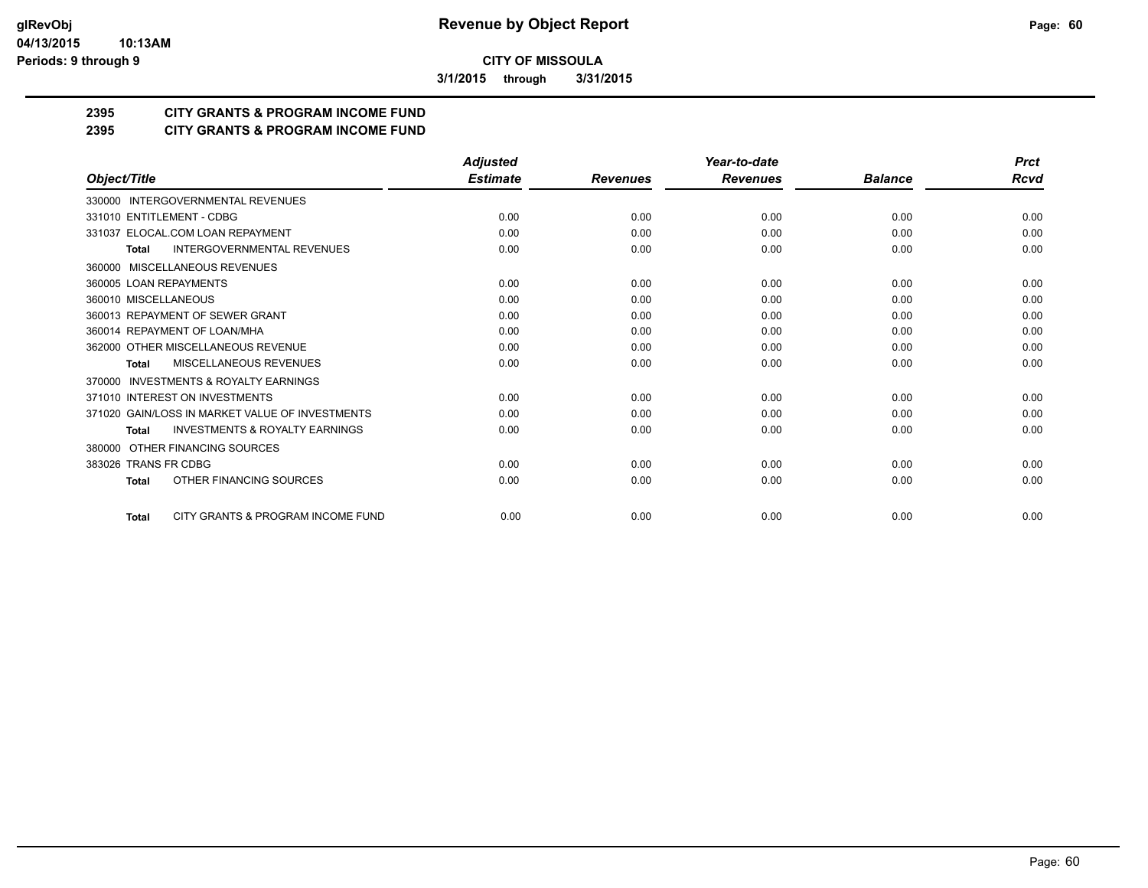**3/1/2015 through 3/31/2015**

## **2395 CITY GRANTS & PROGRAM INCOME FUND**

**2395 CITY GRANTS & PROGRAM INCOME FUND**

|                                                           | <b>Adjusted</b> |                 | Year-to-date    |                | <b>Prct</b> |
|-----------------------------------------------------------|-----------------|-----------------|-----------------|----------------|-------------|
| Object/Title                                              | <b>Estimate</b> | <b>Revenues</b> | <b>Revenues</b> | <b>Balance</b> | <b>Rcvd</b> |
| 330000 INTERGOVERNMENTAL REVENUES                         |                 |                 |                 |                |             |
| 331010 ENTITLEMENT - CDBG                                 | 0.00            | 0.00            | 0.00            | 0.00           | 0.00        |
| 331037 ELOCAL.COM LOAN REPAYMENT                          | 0.00            | 0.00            | 0.00            | 0.00           | 0.00        |
| <b>INTERGOVERNMENTAL REVENUES</b><br><b>Total</b>         | 0.00            | 0.00            | 0.00            | 0.00           | 0.00        |
| MISCELLANEOUS REVENUES<br>360000                          |                 |                 |                 |                |             |
| 360005 LOAN REPAYMENTS                                    | 0.00            | 0.00            | 0.00            | 0.00           | 0.00        |
| 360010 MISCELLANEOUS                                      | 0.00            | 0.00            | 0.00            | 0.00           | 0.00        |
| 360013 REPAYMENT OF SEWER GRANT                           | 0.00            | 0.00            | 0.00            | 0.00           | 0.00        |
| 360014 REPAYMENT OF LOAN/MHA                              | 0.00            | 0.00            | 0.00            | 0.00           | 0.00        |
| 362000 OTHER MISCELLANEOUS REVENUE                        | 0.00            | 0.00            | 0.00            | 0.00           | 0.00        |
| MISCELLANEOUS REVENUES<br><b>Total</b>                    | 0.00            | 0.00            | 0.00            | 0.00           | 0.00        |
| <b>INVESTMENTS &amp; ROYALTY EARNINGS</b><br>370000       |                 |                 |                 |                |             |
| 371010 INTEREST ON INVESTMENTS                            | 0.00            | 0.00            | 0.00            | 0.00           | 0.00        |
| 371020 GAIN/LOSS IN MARKET VALUE OF INVESTMENTS           | 0.00            | 0.00            | 0.00            | 0.00           | 0.00        |
| <b>INVESTMENTS &amp; ROYALTY EARNINGS</b><br><b>Total</b> | 0.00            | 0.00            | 0.00            | 0.00           | 0.00        |
| OTHER FINANCING SOURCES<br>380000                         |                 |                 |                 |                |             |
| 383026 TRANS FR CDBG                                      | 0.00            | 0.00            | 0.00            | 0.00           | 0.00        |
| OTHER FINANCING SOURCES<br>Total                          | 0.00            | 0.00            | 0.00            | 0.00           | 0.00        |
| CITY GRANTS & PROGRAM INCOME FUND<br><b>Total</b>         | 0.00            | 0.00            | 0.00            | 0.00           | 0.00        |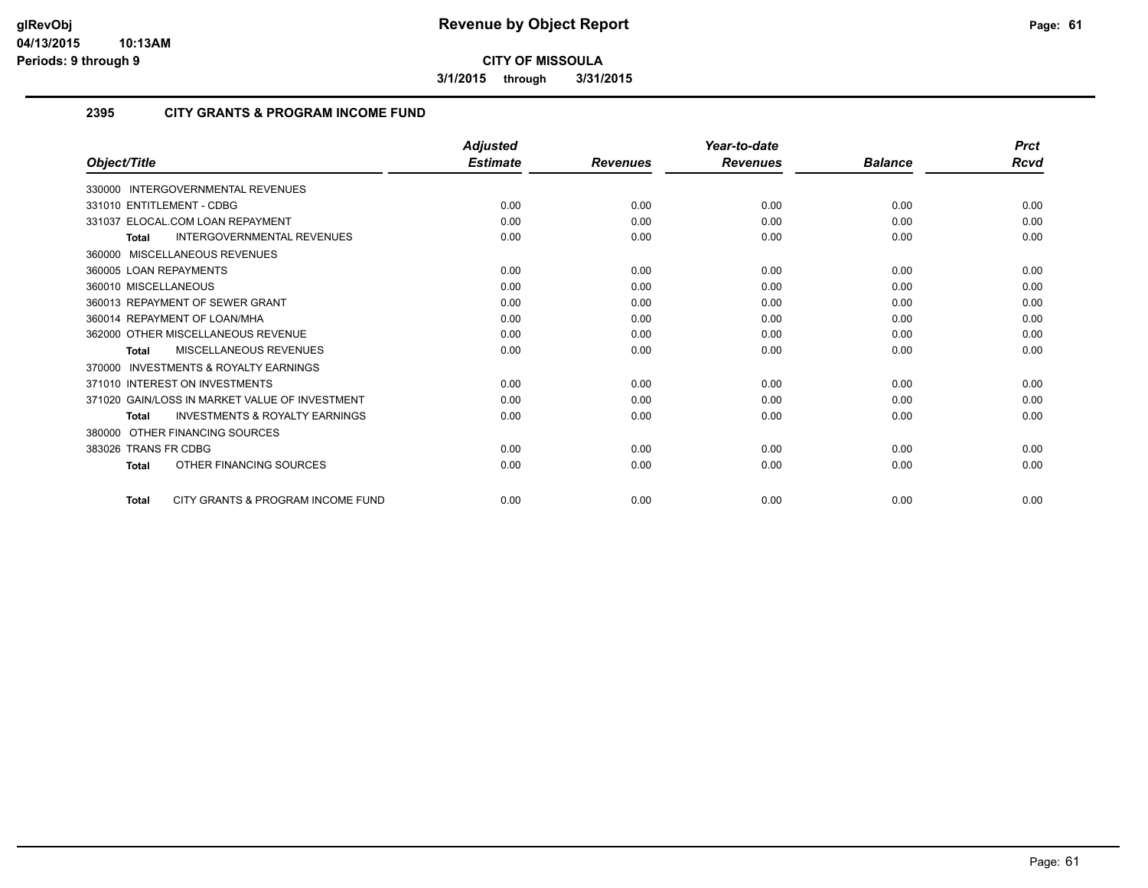**3/1/2015 through 3/31/2015**

## **2395 CITY GRANTS & PROGRAM INCOME FUND**

|                                                     | <b>Adjusted</b> |                 | Year-to-date    |                | <b>Prct</b> |
|-----------------------------------------------------|-----------------|-----------------|-----------------|----------------|-------------|
| Object/Title                                        | <b>Estimate</b> | <b>Revenues</b> | <b>Revenues</b> | <b>Balance</b> | Rcvd        |
| 330000 INTERGOVERNMENTAL REVENUES                   |                 |                 |                 |                |             |
| 331010 ENTITLEMENT - CDBG                           | 0.00            | 0.00            | 0.00            | 0.00           | 0.00        |
| 331037 ELOCAL.COM LOAN REPAYMENT                    | 0.00            | 0.00            | 0.00            | 0.00           | 0.00        |
| <b>INTERGOVERNMENTAL REVENUES</b><br>Total          | 0.00            | 0.00            | 0.00            | 0.00           | 0.00        |
| 360000 MISCELLANEOUS REVENUES                       |                 |                 |                 |                |             |
| 360005 LOAN REPAYMENTS                              | 0.00            | 0.00            | 0.00            | 0.00           | 0.00        |
| 360010 MISCELLANEOUS                                | 0.00            | 0.00            | 0.00            | 0.00           | 0.00        |
| 360013 REPAYMENT OF SEWER GRANT                     | 0.00            | 0.00            | 0.00            | 0.00           | 0.00        |
| 360014 REPAYMENT OF LOAN/MHA                        | 0.00            | 0.00            | 0.00            | 0.00           | 0.00        |
| 362000 OTHER MISCELLANEOUS REVENUE                  | 0.00            | 0.00            | 0.00            | 0.00           | 0.00        |
| MISCELLANEOUS REVENUES<br>Total                     | 0.00            | 0.00            | 0.00            | 0.00           | 0.00        |
| <b>INVESTMENTS &amp; ROYALTY EARNINGS</b><br>370000 |                 |                 |                 |                |             |
| 371010 INTEREST ON INVESTMENTS                      | 0.00            | 0.00            | 0.00            | 0.00           | 0.00        |
| 371020 GAIN/LOSS IN MARKET VALUE OF INVESTMENT      | 0.00            | 0.00            | 0.00            | 0.00           | 0.00        |
| <b>INVESTMENTS &amp; ROYALTY EARNINGS</b><br>Total  | 0.00            | 0.00            | 0.00            | 0.00           | 0.00        |
| OTHER FINANCING SOURCES<br>380000                   |                 |                 |                 |                |             |
| 383026 TRANS FR CDBG                                | 0.00            | 0.00            | 0.00            | 0.00           | 0.00        |
| OTHER FINANCING SOURCES<br>Total                    | 0.00            | 0.00            | 0.00            | 0.00           | 0.00        |
|                                                     |                 |                 |                 |                |             |
| CITY GRANTS & PROGRAM INCOME FUND<br>Total          | 0.00            | 0.00            | 0.00            | 0.00           | 0.00        |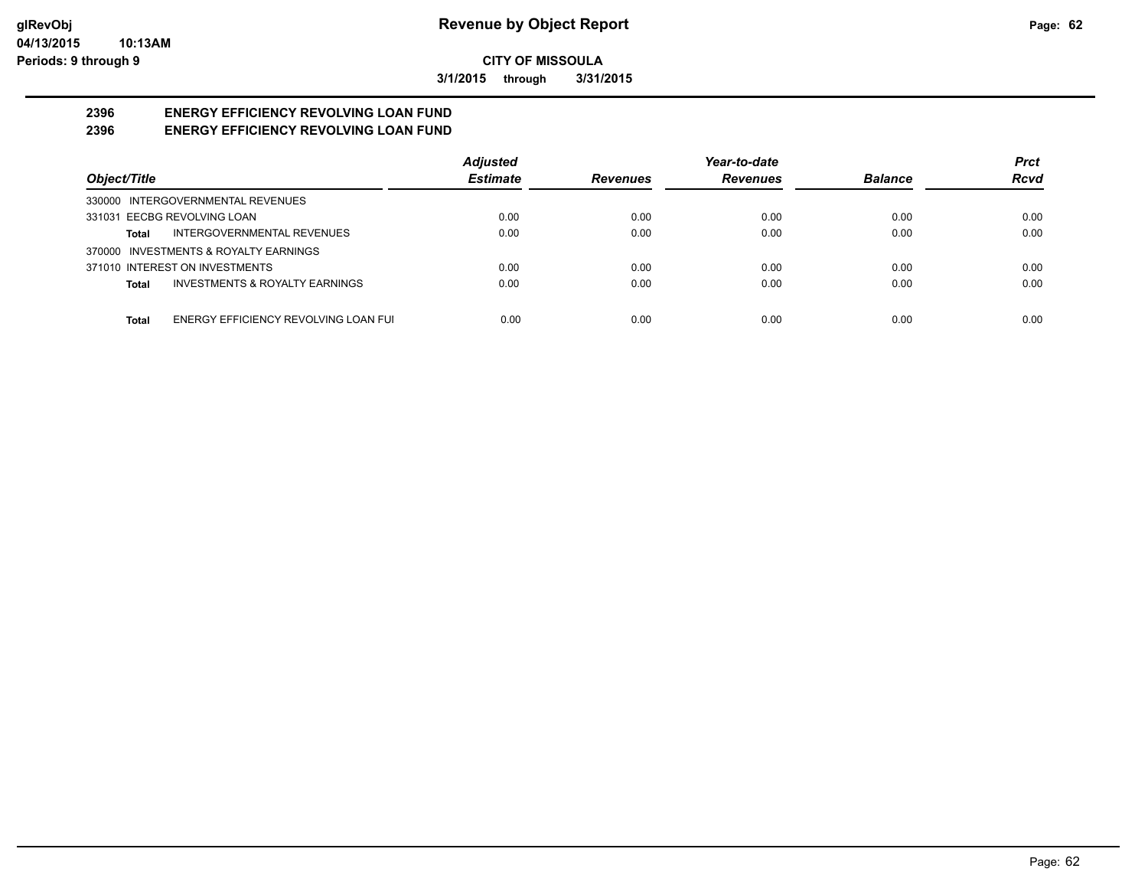**3/1/2015 through 3/31/2015**

#### **2396 ENERGY EFFICIENCY REVOLVING LOAN FUND 2396 ENERGY EFFICIENCY REVOLVING LOAN FUND**

|                                                    | <b>Adjusted</b> |                 | Year-to-date    |                | <b>Prct</b> |
|----------------------------------------------------|-----------------|-----------------|-----------------|----------------|-------------|
| Object/Title                                       | <b>Estimate</b> | <b>Revenues</b> | <b>Revenues</b> | <b>Balance</b> | <b>Rcvd</b> |
| 330000 INTERGOVERNMENTAL REVENUES                  |                 |                 |                 |                |             |
| 331031 EECBG REVOLVING LOAN                        | 0.00            | 0.00            | 0.00            | 0.00           | 0.00        |
| INTERGOVERNMENTAL REVENUES<br>Total                | 0.00            | 0.00            | 0.00            | 0.00           | 0.00        |
| 370000 INVESTMENTS & ROYALTY EARNINGS              |                 |                 |                 |                |             |
| 371010 INTEREST ON INVESTMENTS                     | 0.00            | 0.00            | 0.00            | 0.00           | 0.00        |
| <b>INVESTMENTS &amp; ROYALTY EARNINGS</b><br>Total | 0.00            | 0.00            | 0.00            | 0.00           | 0.00        |
| ENERGY EFFICIENCY REVOLVING LOAN FUI<br>Total      | 0.00            | 0.00            | 0.00            | 0.00           | 0.00        |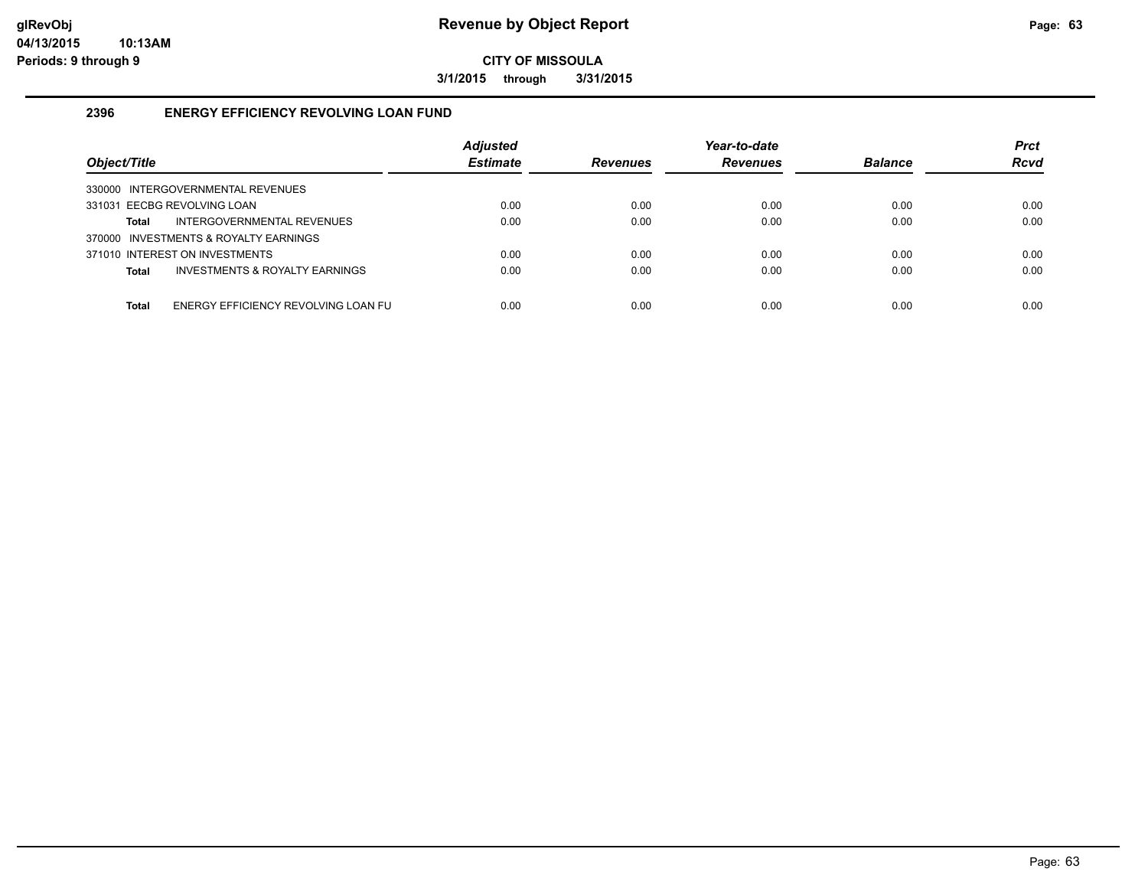**3/1/2015 through 3/31/2015**

## **2396 ENERGY EFFICIENCY REVOLVING LOAN FUND**

| Object/Title                                   | <b>Adjusted</b><br><b>Estimate</b> | <b>Revenues</b> | Year-to-date<br><b>Revenues</b> | <b>Balance</b> | <b>Prct</b><br><b>Rcvd</b> |
|------------------------------------------------|------------------------------------|-----------------|---------------------------------|----------------|----------------------------|
| INTERGOVERNMENTAL REVENUES<br>330000           |                                    |                 |                                 |                |                            |
| 331031 EECBG REVOLVING LOAN                    | 0.00                               | 0.00            | 0.00                            | 0.00           | 0.00                       |
| INTERGOVERNMENTAL REVENUES<br>Total            | 0.00                               | 0.00            | 0.00                            | 0.00           | 0.00                       |
| 370000 INVESTMENTS & ROYALTY EARNINGS          |                                    |                 |                                 |                |                            |
| 371010 INTEREST ON INVESTMENTS                 | 0.00                               | 0.00            | 0.00                            | 0.00           | 0.00                       |
| INVESTMENTS & ROYALTY EARNINGS<br><b>Total</b> | 0.00                               | 0.00            | 0.00                            | 0.00           | 0.00                       |
|                                                |                                    |                 |                                 |                |                            |
| ENERGY EFFICIENCY REVOLVING LOAN FU<br>Total   | 0.00                               | 0.00            | 0.00                            | 0.00           | 0.00                       |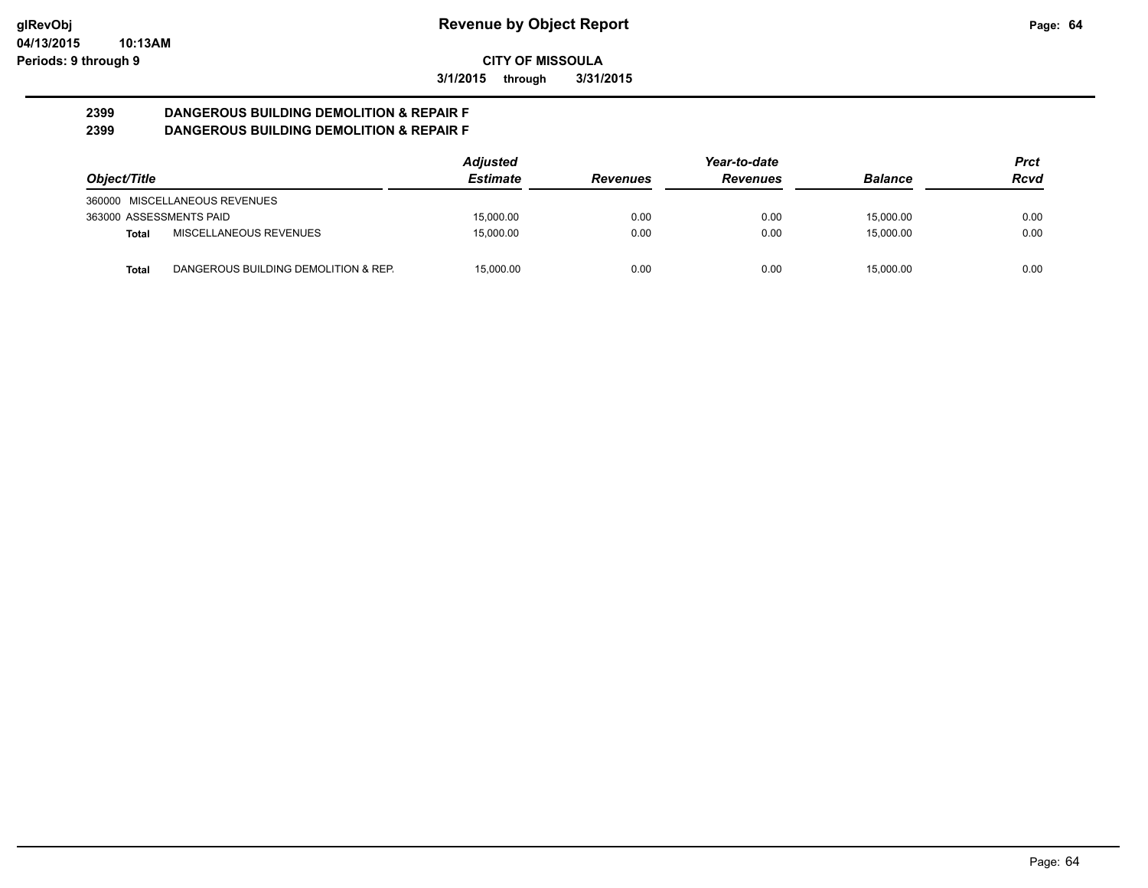**3/1/2015 through 3/31/2015**

#### **2399 DANGEROUS BUILDING DEMOLITION & REPAIR F 2399 DANGEROUS BUILDING DEMOLITION & REPAIR F**

|                                                      | <b>Adjusted</b> |                 | Year-to-date    |                | Prct |
|------------------------------------------------------|-----------------|-----------------|-----------------|----------------|------|
| Object/Title                                         | <b>Estimate</b> | <b>Revenues</b> | <b>Revenues</b> | <b>Balance</b> | Rcvd |
| 360000 MISCELLANEOUS REVENUES                        |                 |                 |                 |                |      |
| 363000 ASSESSMENTS PAID                              | 15.000.00       | 0.00            | 0.00            | 15,000.00      | 0.00 |
| MISCELLANEOUS REVENUES<br>Total                      | 15.000.00       | 0.00            | 0.00            | 15,000.00      | 0.00 |
| DANGEROUS BUILDING DEMOLITION & REP.<br><b>Total</b> | 15.000.00       | 0.00            | 0.00            | 15,000.00      | 0.00 |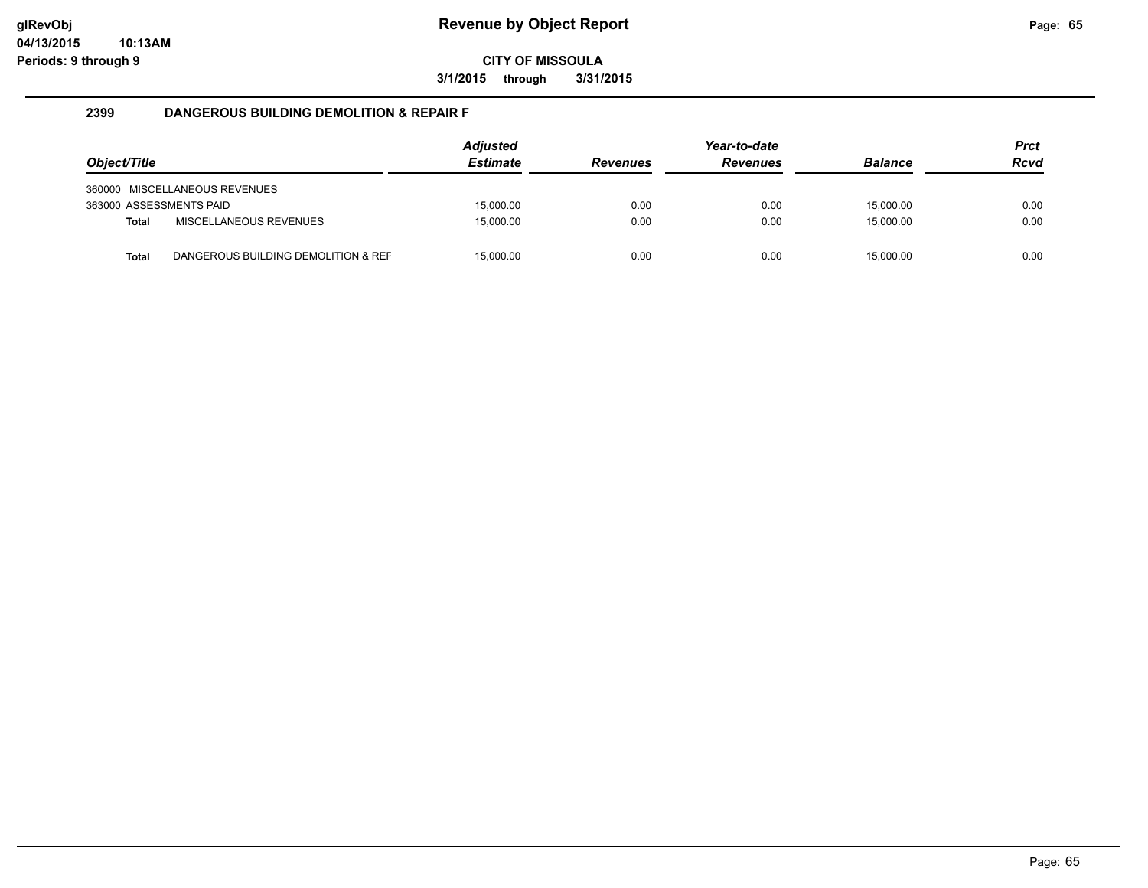**3/1/2015 through 3/31/2015**

#### **2399 DANGEROUS BUILDING DEMOLITION & REPAIR F**

| Object/Title            |                                     | <b>Adjusted</b><br><b>Estimate</b> | <b>Revenues</b> | Year-to-date<br><b>Revenues</b> | <b>Balance</b> | <b>Prct</b><br><b>Rcvd</b> |
|-------------------------|-------------------------------------|------------------------------------|-----------------|---------------------------------|----------------|----------------------------|
|                         | 360000 MISCELLANEOUS REVENUES       |                                    |                 |                                 |                |                            |
| 363000 ASSESSMENTS PAID |                                     | 15.000.00                          | 0.00            | 0.00                            | 15.000.00      | 0.00                       |
| <b>Total</b>            | MISCELLANEOUS REVENUES              | 15.000.00                          | 0.00            | 0.00                            | 15.000.00      | 0.00                       |
| Total                   | DANGEROUS BUILDING DEMOLITION & REF | 15.000.00                          | 0.00            | 0.00                            | 15.000.00      | 0.00                       |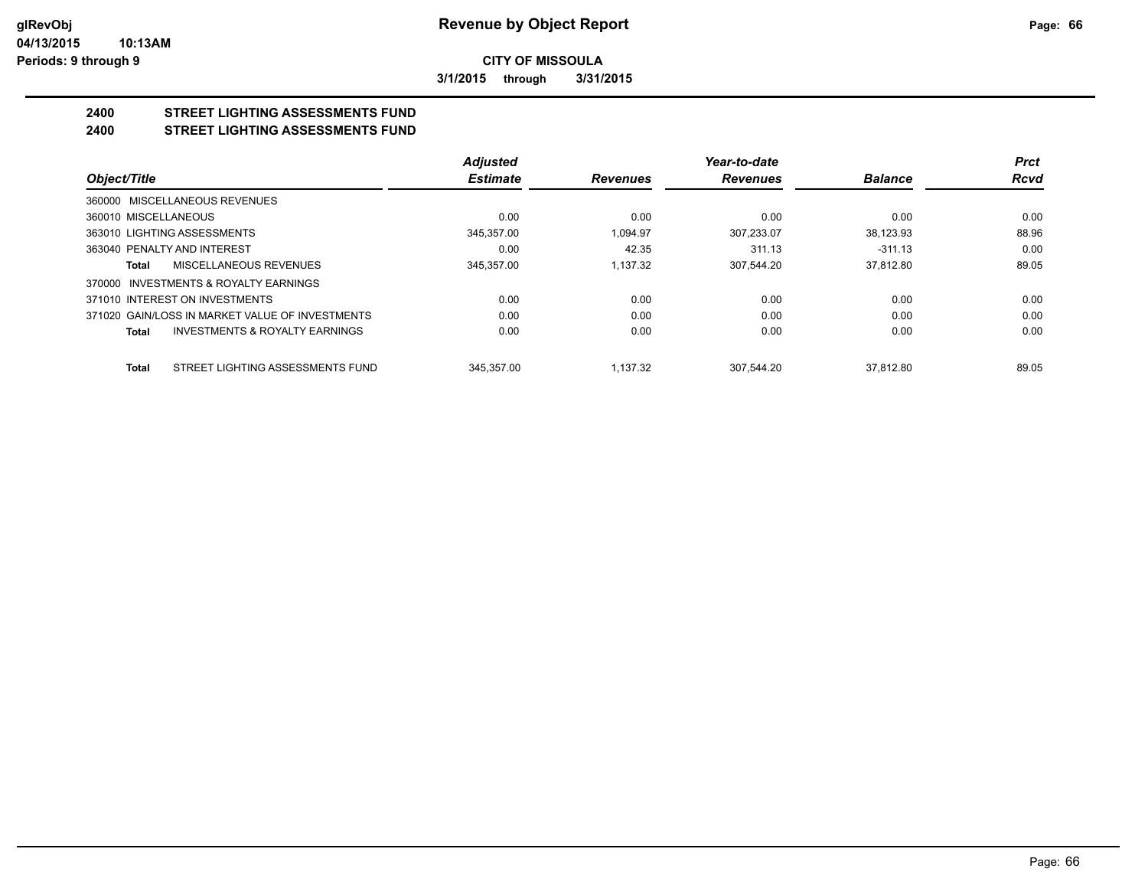**3/1/2015 through 3/31/2015**

#### **2400 STREET LIGHTING ASSESSMENTS FUND 2400 STREET LIGHTING ASSESSMENTS FUND**

|                                                    | <b>Adjusted</b> |                 | Year-to-date    |                | <b>Prct</b> |
|----------------------------------------------------|-----------------|-----------------|-----------------|----------------|-------------|
| Object/Title                                       | <b>Estimate</b> | <b>Revenues</b> | <b>Revenues</b> | <b>Balance</b> | <b>Rcvd</b> |
| 360000 MISCELLANEOUS REVENUES                      |                 |                 |                 |                |             |
| 360010 MISCELLANEOUS                               | 0.00            | 0.00            | 0.00            | 0.00           | 0.00        |
| 363010 LIGHTING ASSESSMENTS                        | 345.357.00      | 1.094.97        | 307,233.07      | 38.123.93      | 88.96       |
| 363040 PENALTY AND INTEREST                        | 0.00            | 42.35           | 311.13          | $-311.13$      | 0.00        |
| MISCELLANEOUS REVENUES<br>Total                    | 345.357.00      | 1.137.32        | 307.544.20      | 37.812.80      | 89.05       |
| 370000 INVESTMENTS & ROYALTY EARNINGS              |                 |                 |                 |                |             |
| 371010 INTEREST ON INVESTMENTS                     | 0.00            | 0.00            | 0.00            | 0.00           | 0.00        |
| 371020 GAIN/LOSS IN MARKET VALUE OF INVESTMENTS    | 0.00            | 0.00            | 0.00            | 0.00           | 0.00        |
| <b>INVESTMENTS &amp; ROYALTY EARNINGS</b><br>Total | 0.00            | 0.00            | 0.00            | 0.00           | 0.00        |
| STREET LIGHTING ASSESSMENTS FUND<br><b>Total</b>   | 345.357.00      | 1.137.32        | 307.544.20      | 37.812.80      | 89.05       |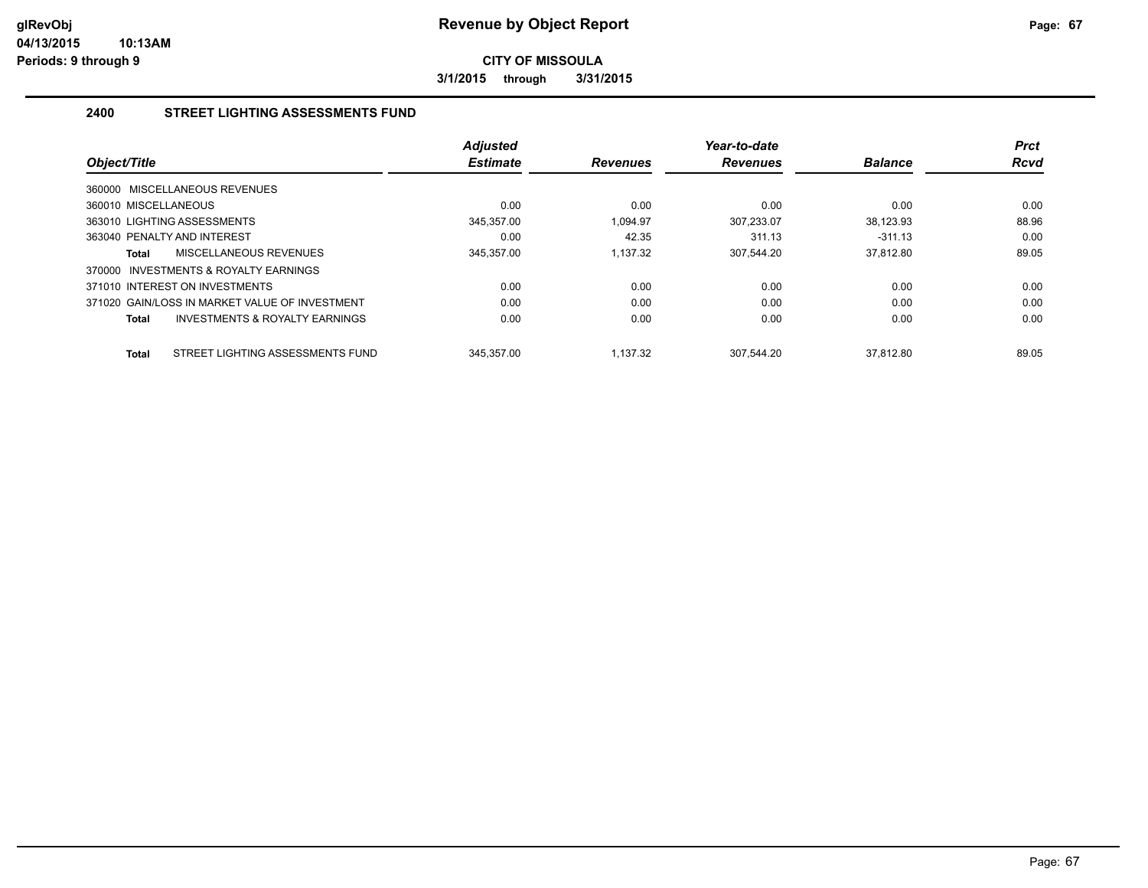**3/1/2015 through 3/31/2015**

## **2400 STREET LIGHTING ASSESSMENTS FUND**

| Object/Title                                     | <b>Adjusted</b><br><b>Estimate</b> | <b>Revenues</b> | Year-to-date<br><b>Revenues</b> | <b>Balance</b> | <b>Prct</b><br><b>Rcvd</b> |
|--------------------------------------------------|------------------------------------|-----------------|---------------------------------|----------------|----------------------------|
| 360000 MISCELLANEOUS REVENUES                    |                                    |                 |                                 |                |                            |
| 360010 MISCELLANEOUS                             | 0.00                               | 0.00            | 0.00                            | 0.00           | 0.00                       |
| 363010 LIGHTING ASSESSMENTS                      | 345,357.00                         | 1.094.97        | 307.233.07                      | 38.123.93      | 88.96                      |
| 363040 PENALTY AND INTEREST                      | 0.00                               | 42.35           | 311.13                          | $-311.13$      | 0.00                       |
| MISCELLANEOUS REVENUES<br>Total                  | 345,357.00                         | 1.137.32        | 307,544.20                      | 37.812.80      | 89.05                      |
| 370000 INVESTMENTS & ROYALTY EARNINGS            |                                    |                 |                                 |                |                            |
| 371010 INTEREST ON INVESTMENTS                   | 0.00                               | 0.00            | 0.00                            | 0.00           | 0.00                       |
| 371020 GAIN/LOSS IN MARKET VALUE OF INVESTMENT   | 0.00                               | 0.00            | 0.00                            | 0.00           | 0.00                       |
| INVESTMENTS & ROYALTY EARNINGS<br>Total          | 0.00                               | 0.00            | 0.00                            | 0.00           | 0.00                       |
|                                                  |                                    |                 |                                 |                |                            |
| STREET LIGHTING ASSESSMENTS FUND<br><b>Total</b> | 345.357.00                         | 1.137.32        | 307.544.20                      | 37.812.80      | 89.05                      |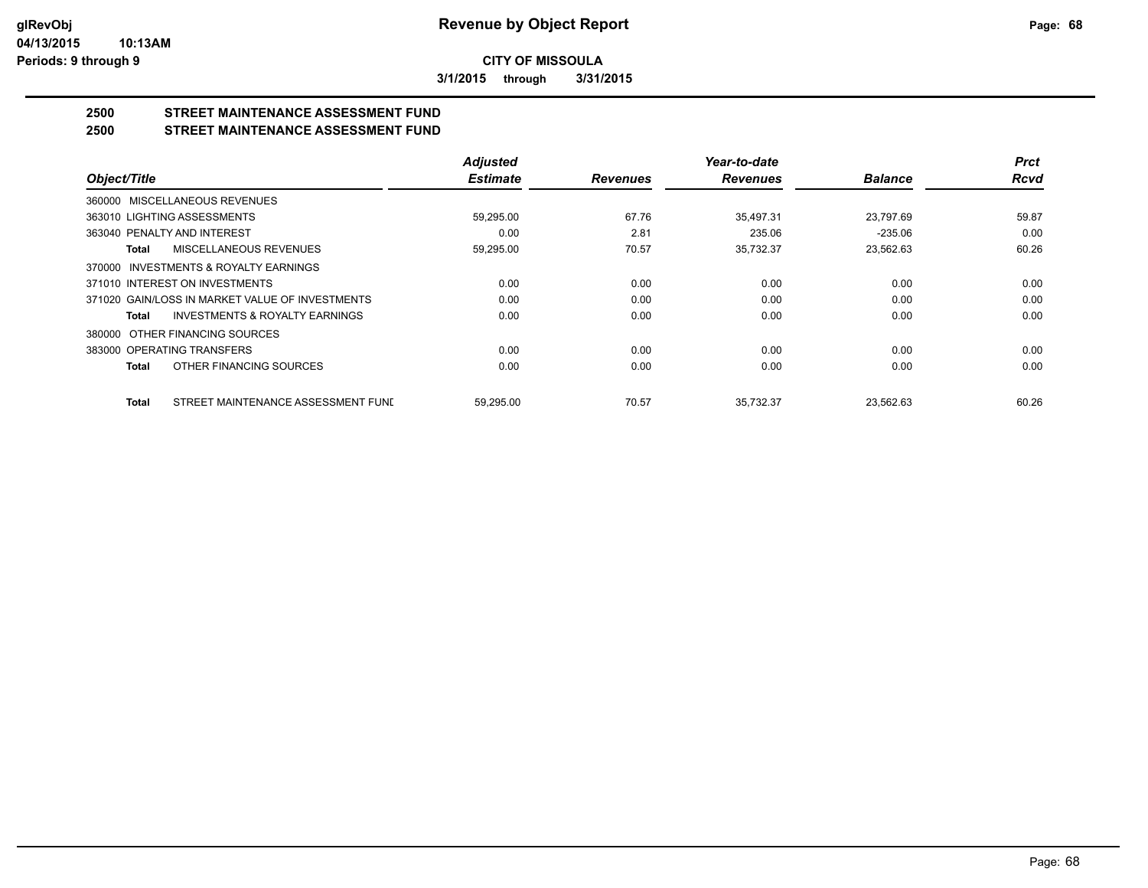**3/1/2015 through 3/31/2015**

## **2500 STREET MAINTENANCE ASSESSMENT FUND**

**2500 STREET MAINTENANCE ASSESSMENT FUND**

|                                                           | <b>Adjusted</b> |                 | Year-to-date    |                | <b>Prct</b> |
|-----------------------------------------------------------|-----------------|-----------------|-----------------|----------------|-------------|
| Object/Title                                              | <b>Estimate</b> | <b>Revenues</b> | <b>Revenues</b> | <b>Balance</b> | <b>Rcvd</b> |
| 360000 MISCELLANEOUS REVENUES                             |                 |                 |                 |                |             |
| 363010 LIGHTING ASSESSMENTS                               | 59,295.00       | 67.76           | 35,497.31       | 23,797.69      | 59.87       |
| 363040 PENALTY AND INTEREST                               | 0.00            | 2.81            | 235.06          | $-235.06$      | 0.00        |
| MISCELLANEOUS REVENUES<br>Total                           | 59,295.00       | 70.57           | 35,732.37       | 23,562.63      | 60.26       |
| INVESTMENTS & ROYALTY EARNINGS<br>370000                  |                 |                 |                 |                |             |
| 371010 INTEREST ON INVESTMENTS                            | 0.00            | 0.00            | 0.00            | 0.00           | 0.00        |
| 371020 GAIN/LOSS IN MARKET VALUE OF INVESTMENTS           | 0.00            | 0.00            | 0.00            | 0.00           | 0.00        |
| <b>INVESTMENTS &amp; ROYALTY EARNINGS</b><br><b>Total</b> | 0.00            | 0.00            | 0.00            | 0.00           | 0.00        |
| OTHER FINANCING SOURCES<br>380000                         |                 |                 |                 |                |             |
| 383000 OPERATING TRANSFERS                                | 0.00            | 0.00            | 0.00            | 0.00           | 0.00        |
| OTHER FINANCING SOURCES<br><b>Total</b>                   | 0.00            | 0.00            | 0.00            | 0.00           | 0.00        |
| STREET MAINTENANCE ASSESSMENT FUNI<br><b>Total</b>        | 59.295.00       | 70.57           | 35.732.37       | 23.562.63      | 60.26       |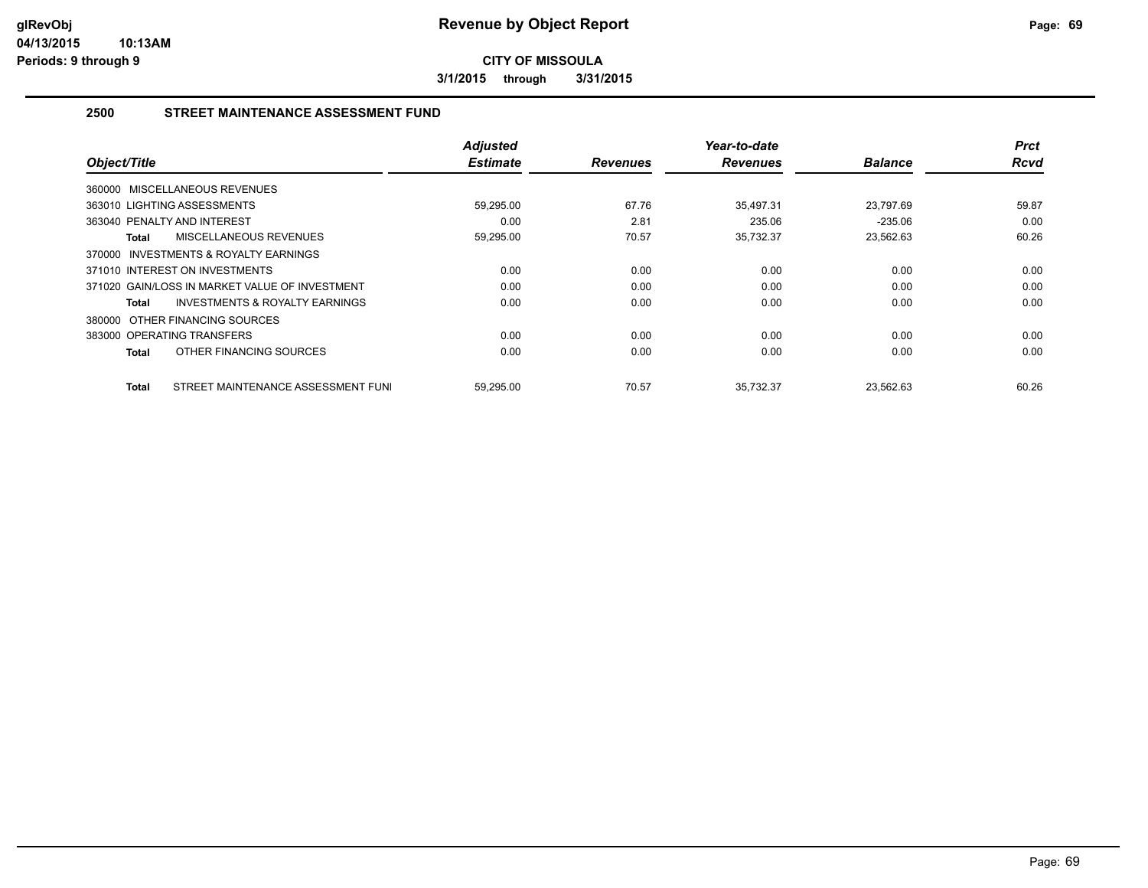**3/1/2015 through 3/31/2015**

## **2500 STREET MAINTENANCE ASSESSMENT FUND**

| Object/Title                                        | <b>Adjusted</b><br><b>Estimate</b> | <b>Revenues</b> | Year-to-date<br><b>Revenues</b> | <b>Balance</b> | <b>Prct</b><br><b>Rcvd</b> |
|-----------------------------------------------------|------------------------------------|-----------------|---------------------------------|----------------|----------------------------|
| 360000 MISCELLANEOUS REVENUES                       |                                    |                 |                                 |                |                            |
| 363010 LIGHTING ASSESSMENTS                         | 59,295.00                          | 67.76           | 35.497.31                       | 23.797.69      | 59.87                      |
| 363040 PENALTY AND INTEREST                         | 0.00                               | 2.81            | 235.06                          | $-235.06$      | 0.00                       |
| MISCELLANEOUS REVENUES<br>Total                     | 59,295.00                          | 70.57           | 35,732.37                       | 23,562.63      | 60.26                      |
| <b>INVESTMENTS &amp; ROYALTY EARNINGS</b><br>370000 |                                    |                 |                                 |                |                            |
| 371010 INTEREST ON INVESTMENTS                      | 0.00                               | 0.00            | 0.00                            | 0.00           | 0.00                       |
| 371020 GAIN/LOSS IN MARKET VALUE OF INVESTMENT      | 0.00                               | 0.00            | 0.00                            | 0.00           | 0.00                       |
| <b>INVESTMENTS &amp; ROYALTY EARNINGS</b><br>Total  | 0.00                               | 0.00            | 0.00                            | 0.00           | 0.00                       |
| 380000 OTHER FINANCING SOURCES                      |                                    |                 |                                 |                |                            |
| 383000 OPERATING TRANSFERS                          | 0.00                               | 0.00            | 0.00                            | 0.00           | 0.00                       |
| OTHER FINANCING SOURCES<br>Total                    | 0.00                               | 0.00            | 0.00                            | 0.00           | 0.00                       |
|                                                     |                                    |                 |                                 |                |                            |
| STREET MAINTENANCE ASSESSMENT FUNI<br>Total         | 59,295.00                          | 70.57           | 35,732.37                       | 23,562.63      | 60.26                      |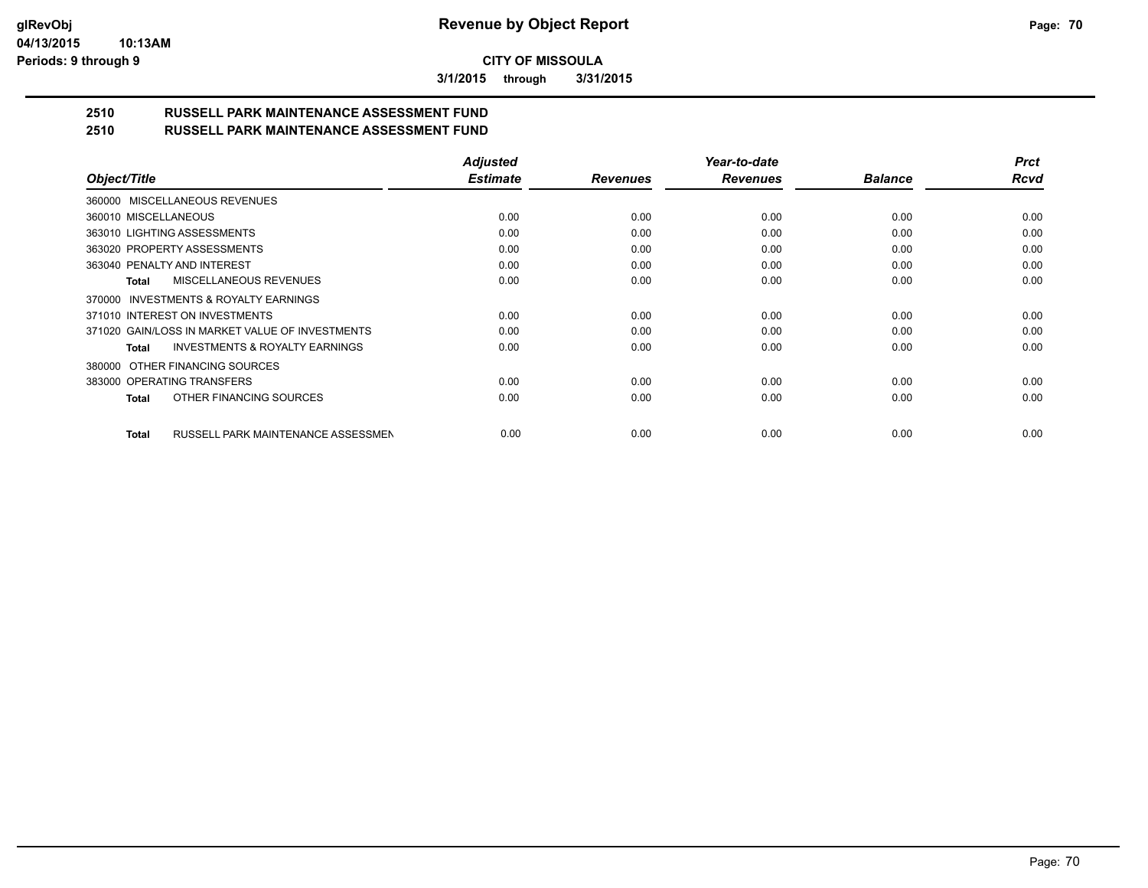**3/1/2015 through 3/31/2015**

# **2510 RUSSELL PARK MAINTENANCE ASSESSMENT FUND**

| 2510 | <b>RUSSELL PARK MAINTENANCE ASSESSMENT FUND</b> |  |
|------|-------------------------------------------------|--|
|      |                                                 |  |

|                                                           | <b>Adjusted</b> |                 | Year-to-date    |                | <b>Prct</b> |
|-----------------------------------------------------------|-----------------|-----------------|-----------------|----------------|-------------|
| Object/Title                                              | <b>Estimate</b> | <b>Revenues</b> | <b>Revenues</b> | <b>Balance</b> | <b>Rcvd</b> |
| 360000 MISCELLANEOUS REVENUES                             |                 |                 |                 |                |             |
| 360010 MISCELLANEOUS                                      | 0.00            | 0.00            | 0.00            | 0.00           | 0.00        |
| 363010 LIGHTING ASSESSMENTS                               | 0.00            | 0.00            | 0.00            | 0.00           | 0.00        |
| 363020 PROPERTY ASSESSMENTS                               | 0.00            | 0.00            | 0.00            | 0.00           | 0.00        |
| 363040 PENALTY AND INTEREST                               | 0.00            | 0.00            | 0.00            | 0.00           | 0.00        |
| MISCELLANEOUS REVENUES<br><b>Total</b>                    | 0.00            | 0.00            | 0.00            | 0.00           | 0.00        |
| INVESTMENTS & ROYALTY EARNINGS<br>370000                  |                 |                 |                 |                |             |
| 371010 INTEREST ON INVESTMENTS                            | 0.00            | 0.00            | 0.00            | 0.00           | 0.00        |
| 371020 GAIN/LOSS IN MARKET VALUE OF INVESTMENTS           | 0.00            | 0.00            | 0.00            | 0.00           | 0.00        |
| <b>INVESTMENTS &amp; ROYALTY EARNINGS</b><br><b>Total</b> | 0.00            | 0.00            | 0.00            | 0.00           | 0.00        |
| OTHER FINANCING SOURCES<br>380000                         |                 |                 |                 |                |             |
| 383000 OPERATING TRANSFERS                                | 0.00            | 0.00            | 0.00            | 0.00           | 0.00        |
| OTHER FINANCING SOURCES<br>Total                          | 0.00            | 0.00            | 0.00            | 0.00           | 0.00        |
| RUSSELL PARK MAINTENANCE ASSESSMEN<br><b>Total</b>        | 0.00            | 0.00            | 0.00            | 0.00           | 0.00        |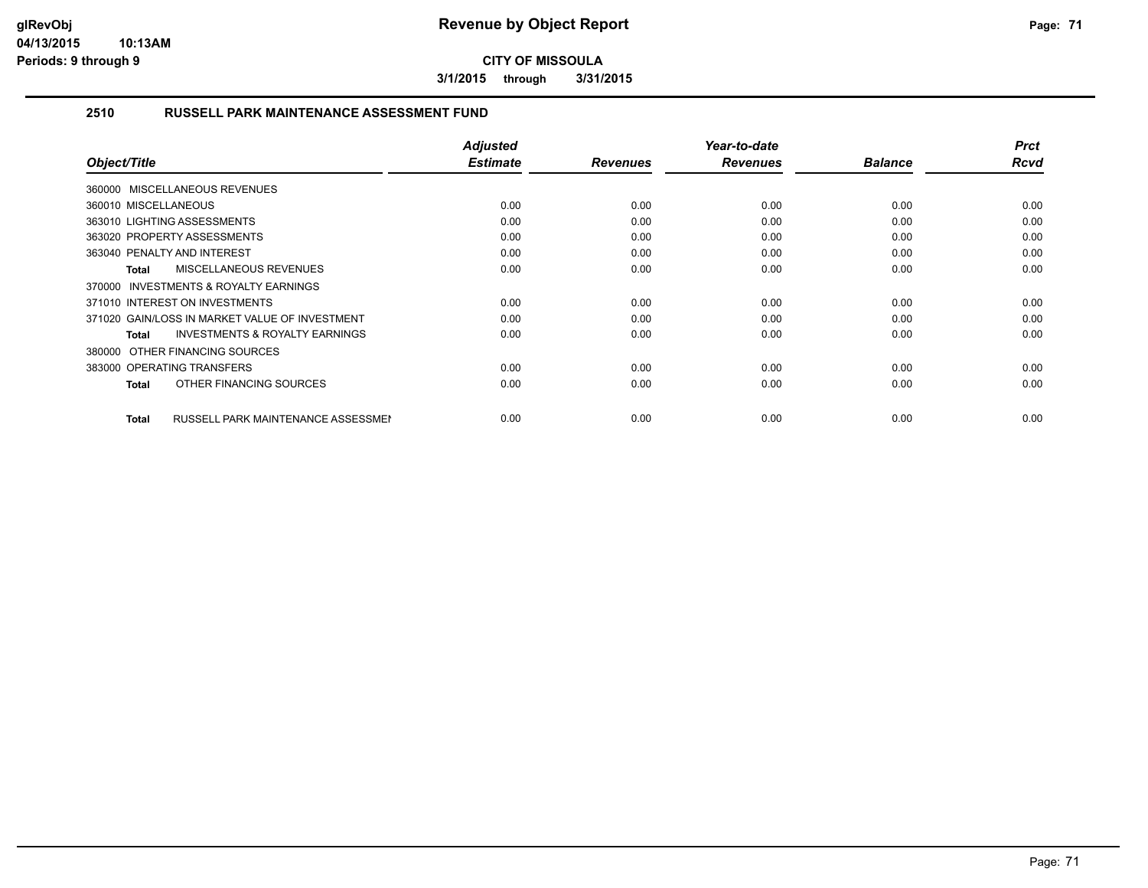**3/1/2015 through 3/31/2015**

## **2510 RUSSELL PARK MAINTENANCE ASSESSMENT FUND**

| Object/Title                                              | <b>Adjusted</b><br><b>Estimate</b> | <b>Revenues</b> | Year-to-date<br><b>Revenues</b> | <b>Balance</b> | <b>Prct</b><br><b>Rcvd</b> |
|-----------------------------------------------------------|------------------------------------|-----------------|---------------------------------|----------------|----------------------------|
| 360000 MISCELLANEOUS REVENUES                             |                                    |                 |                                 |                |                            |
| 360010 MISCELLANEOUS                                      | 0.00                               | 0.00            | 0.00                            | 0.00           | 0.00                       |
| 363010 LIGHTING ASSESSMENTS                               | 0.00                               | 0.00            | 0.00                            | 0.00           | 0.00                       |
| 363020 PROPERTY ASSESSMENTS                               | 0.00                               | 0.00            | 0.00                            | 0.00           | 0.00                       |
| 363040 PENALTY AND INTEREST                               | 0.00                               | 0.00            | 0.00                            | 0.00           | 0.00                       |
| MISCELLANEOUS REVENUES<br><b>Total</b>                    | 0.00                               | 0.00            | 0.00                            | 0.00           | 0.00                       |
| INVESTMENTS & ROYALTY EARNINGS<br>370000                  |                                    |                 |                                 |                |                            |
| 371010 INTEREST ON INVESTMENTS                            | 0.00                               | 0.00            | 0.00                            | 0.00           | 0.00                       |
| 371020 GAIN/LOSS IN MARKET VALUE OF INVESTMENT            | 0.00                               | 0.00            | 0.00                            | 0.00           | 0.00                       |
| <b>INVESTMENTS &amp; ROYALTY EARNINGS</b><br><b>Total</b> | 0.00                               | 0.00            | 0.00                            | 0.00           | 0.00                       |
| 380000 OTHER FINANCING SOURCES                            |                                    |                 |                                 |                |                            |
| 383000 OPERATING TRANSFERS                                | 0.00                               | 0.00            | 0.00                            | 0.00           | 0.00                       |
| OTHER FINANCING SOURCES<br><b>Total</b>                   | 0.00                               | 0.00            | 0.00                            | 0.00           | 0.00                       |
|                                                           |                                    |                 |                                 |                |                            |
| RUSSELL PARK MAINTENANCE ASSESSMEN<br><b>Total</b>        | 0.00                               | 0.00            | 0.00                            | 0.00           | 0.00                       |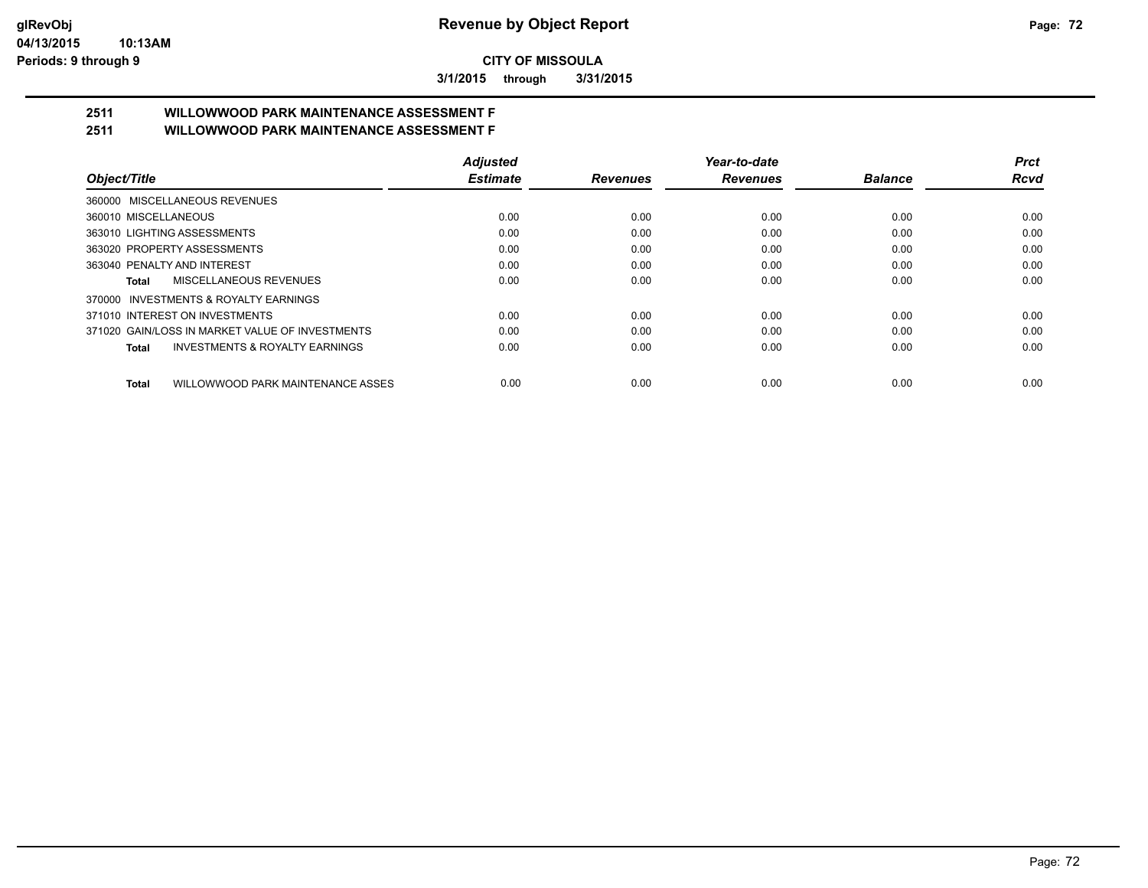**3/1/2015 through 3/31/2015**

# **2511 WILLOWWOOD PARK MAINTENANCE ASSESSMENT F**

**2511 WILLOWWOOD PARK MAINTENANCE ASSESSMENT F**

| Object/Title                                              | <b>Adjusted</b> |                 | Year-to-date    |                | <b>Prct</b> |
|-----------------------------------------------------------|-----------------|-----------------|-----------------|----------------|-------------|
|                                                           | <b>Estimate</b> | <b>Revenues</b> | <b>Revenues</b> | <b>Balance</b> | Rcvd        |
| 360000 MISCELLANEOUS REVENUES                             |                 |                 |                 |                |             |
| 360010 MISCELLANEOUS                                      | 0.00            | 0.00            | 0.00            | 0.00           | 0.00        |
| 363010 LIGHTING ASSESSMENTS                               | 0.00            | 0.00            | 0.00            | 0.00           | 0.00        |
| 363020 PROPERTY ASSESSMENTS                               | 0.00            | 0.00            | 0.00            | 0.00           | 0.00        |
| 363040 PENALTY AND INTEREST                               | 0.00            | 0.00            | 0.00            | 0.00           | 0.00        |
| MISCELLANEOUS REVENUES<br>Total                           | 0.00            | 0.00            | 0.00            | 0.00           | 0.00        |
| 370000 INVESTMENTS & ROYALTY EARNINGS                     |                 |                 |                 |                |             |
| 371010 INTEREST ON INVESTMENTS                            | 0.00            | 0.00            | 0.00            | 0.00           | 0.00        |
| 371020 GAIN/LOSS IN MARKET VALUE OF INVESTMENTS           | 0.00            | 0.00            | 0.00            | 0.00           | 0.00        |
| <b>INVESTMENTS &amp; ROYALTY EARNINGS</b><br><b>Total</b> | 0.00            | 0.00            | 0.00            | 0.00           | 0.00        |
| WILLOWWOOD PARK MAINTENANCE ASSES<br><b>Total</b>         | 0.00            | 0.00            | 0.00            | 0.00           | 0.00        |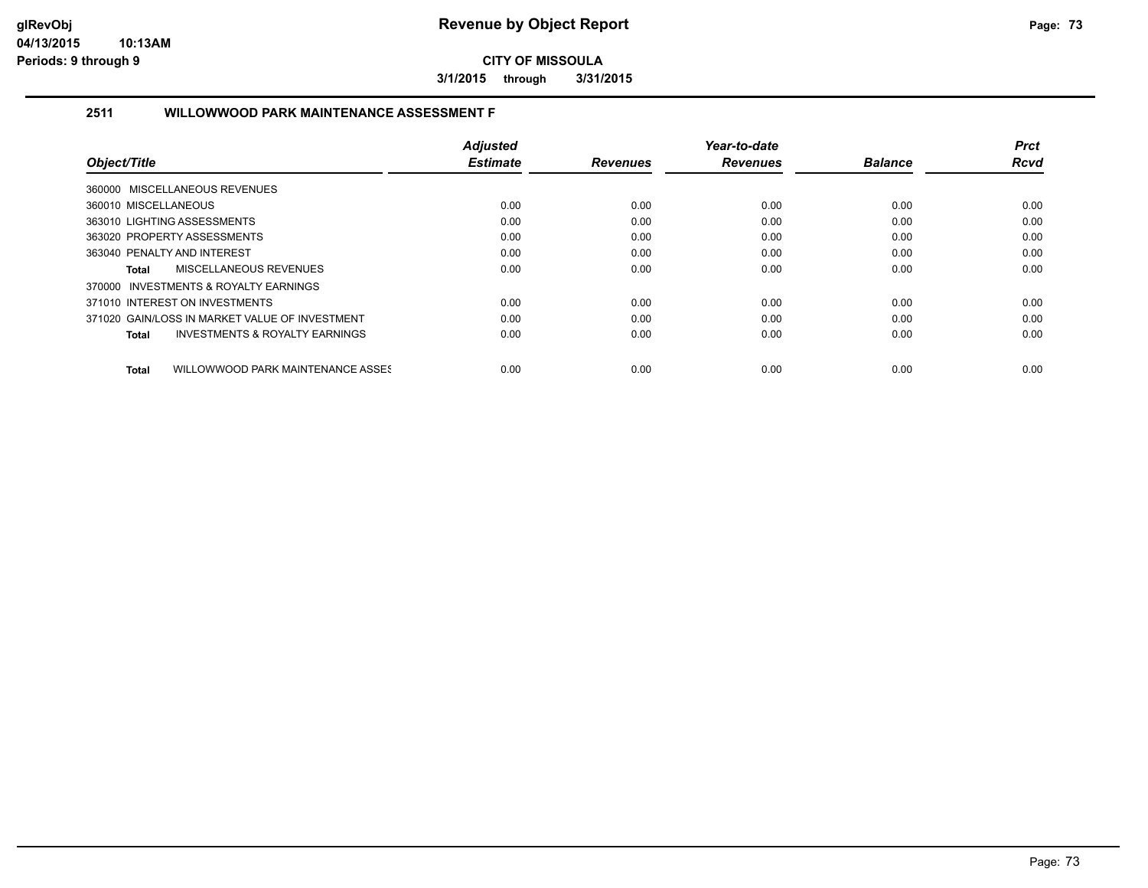**3/1/2015 through 3/31/2015**

# **2511 WILLOWWOOD PARK MAINTENANCE ASSESSMENT F**

|                                                    | <b>Adjusted</b> |                 | Year-to-date    |                | <b>Prct</b> |
|----------------------------------------------------|-----------------|-----------------|-----------------|----------------|-------------|
| Object/Title                                       | <b>Estimate</b> | <b>Revenues</b> | <b>Revenues</b> | <b>Balance</b> | <b>Rcvd</b> |
| 360000 MISCELLANEOUS REVENUES                      |                 |                 |                 |                |             |
| 360010 MISCELLANEOUS                               | 0.00            | 0.00            | 0.00            | 0.00           | 0.00        |
| 363010 LIGHTING ASSESSMENTS                        | 0.00            | 0.00            | 0.00            | 0.00           | 0.00        |
| 363020 PROPERTY ASSESSMENTS                        | 0.00            | 0.00            | 0.00            | 0.00           | 0.00        |
| 363040 PENALTY AND INTEREST                        | 0.00            | 0.00            | 0.00            | 0.00           | 0.00        |
| MISCELLANEOUS REVENUES<br>Total                    | 0.00            | 0.00            | 0.00            | 0.00           | 0.00        |
| 370000 INVESTMENTS & ROYALTY EARNINGS              |                 |                 |                 |                |             |
| 371010 INTEREST ON INVESTMENTS                     | 0.00            | 0.00            | 0.00            | 0.00           | 0.00        |
| 371020 GAIN/LOSS IN MARKET VALUE OF INVESTMENT     | 0.00            | 0.00            | 0.00            | 0.00           | 0.00        |
| <b>INVESTMENTS &amp; ROYALTY EARNINGS</b><br>Total | 0.00            | 0.00            | 0.00            | 0.00           | 0.00        |
| WILLOWWOOD PARK MAINTENANCE ASSES<br><b>Total</b>  | 0.00            | 0.00            | 0.00            | 0.00           | 0.00        |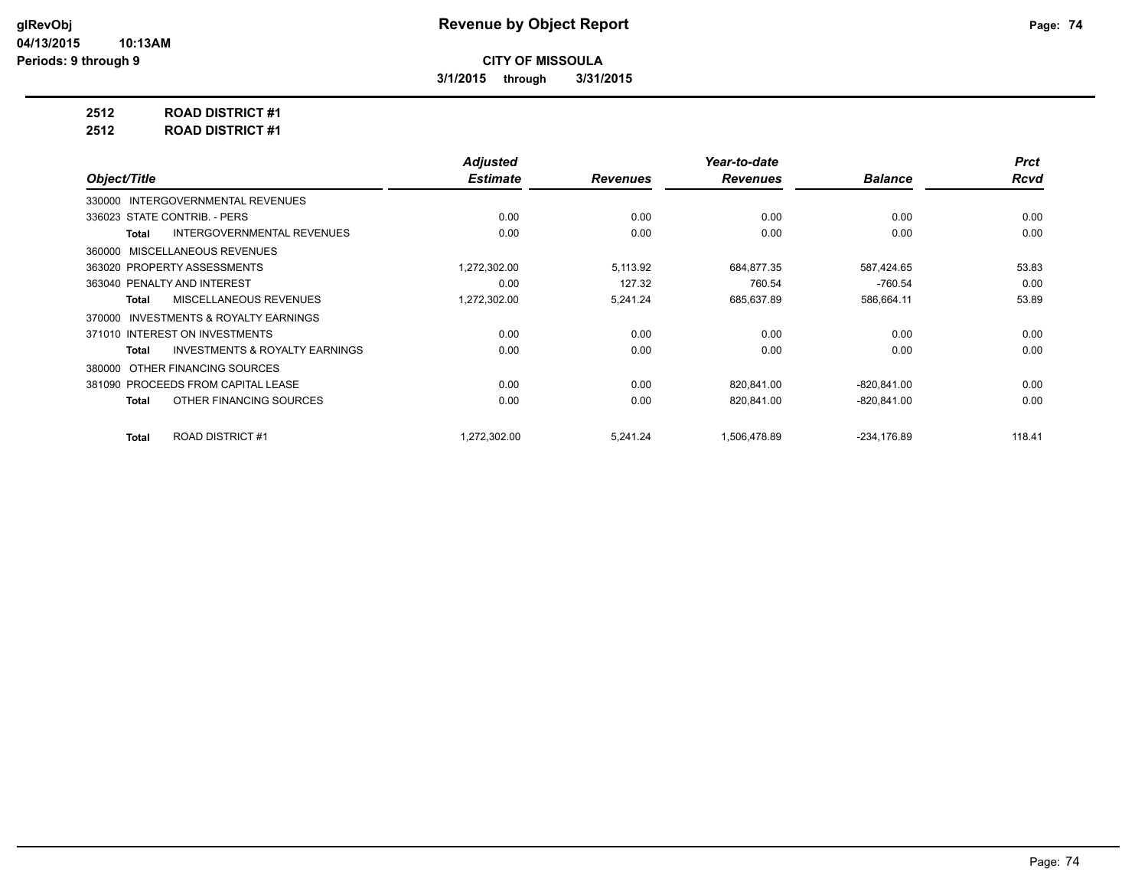**3/1/2015 through 3/31/2015**

**2512 ROAD DISTRICT #1**

**2512 ROAD DISTRICT #1**

|                                                    | <b>Adjusted</b> |                 | Year-to-date    |                | <b>Prct</b> |
|----------------------------------------------------|-----------------|-----------------|-----------------|----------------|-------------|
| Object/Title                                       | <b>Estimate</b> | <b>Revenues</b> | <b>Revenues</b> | <b>Balance</b> | <b>Rcvd</b> |
| 330000 INTERGOVERNMENTAL REVENUES                  |                 |                 |                 |                |             |
| 336023 STATE CONTRIB. - PERS                       | 0.00            | 0.00            | 0.00            | 0.00           | 0.00        |
| <b>INTERGOVERNMENTAL REVENUES</b><br>Total         | 0.00            | 0.00            | 0.00            | 0.00           | 0.00        |
| 360000 MISCELLANEOUS REVENUES                      |                 |                 |                 |                |             |
| 363020 PROPERTY ASSESSMENTS                        | 1,272,302.00    | 5,113.92        | 684,877.35      | 587,424.65     | 53.83       |
| 363040 PENALTY AND INTEREST                        | 0.00            | 127.32          | 760.54          | $-760.54$      | 0.00        |
| MISCELLANEOUS REVENUES<br><b>Total</b>             | 1,272,302.00    | 5,241.24        | 685,637.89      | 586,664.11     | 53.89       |
| INVESTMENTS & ROYALTY EARNINGS<br>370000           |                 |                 |                 |                |             |
| 371010 INTEREST ON INVESTMENTS                     | 0.00            | 0.00            | 0.00            | 0.00           | 0.00        |
| <b>INVESTMENTS &amp; ROYALTY EARNINGS</b><br>Total | 0.00            | 0.00            | 0.00            | 0.00           | 0.00        |
| OTHER FINANCING SOURCES<br>380000                  |                 |                 |                 |                |             |
| 381090 PROCEEDS FROM CAPITAL LEASE                 | 0.00            | 0.00            | 820,841.00      | $-820, 841.00$ | 0.00        |
| OTHER FINANCING SOURCES<br>Total                   | 0.00            | 0.00            | 820,841.00      | $-820, 841.00$ | 0.00        |
| <b>ROAD DISTRICT #1</b><br><b>Total</b>            | 1,272,302.00    | 5,241.24        | 1,506,478.89    | $-234, 176.89$ | 118.41      |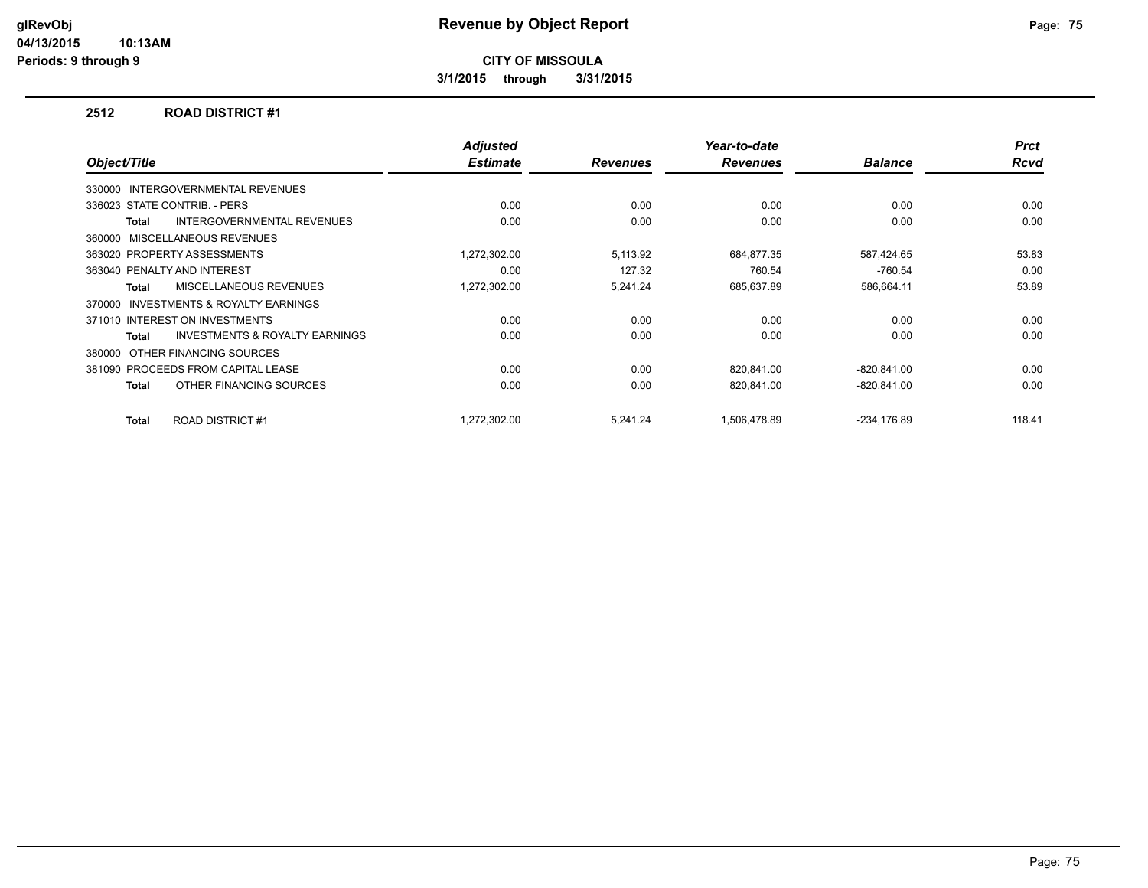**3/1/2015 through 3/31/2015**

#### **2512 ROAD DISTRICT #1**

| Object/Title                                        | <b>Adjusted</b><br><b>Estimate</b> | <b>Revenues</b> | Year-to-date<br><b>Revenues</b> | <b>Balance</b> | <b>Prct</b><br><b>Rcvd</b> |
|-----------------------------------------------------|------------------------------------|-----------------|---------------------------------|----------------|----------------------------|
|                                                     |                                    |                 |                                 |                |                            |
| INTERGOVERNMENTAL REVENUES<br>330000                |                                    |                 |                                 |                |                            |
| 336023 STATE CONTRIB. - PERS                        | 0.00                               | 0.00            | 0.00                            | 0.00           | 0.00                       |
| <b>INTERGOVERNMENTAL REVENUES</b><br>Total          | 0.00                               | 0.00            | 0.00                            | 0.00           | 0.00                       |
| 360000 MISCELLANEOUS REVENUES                       |                                    |                 |                                 |                |                            |
| 363020 PROPERTY ASSESSMENTS                         | 1,272,302.00                       | 5,113.92        | 684,877.35                      | 587,424.65     | 53.83                      |
| 363040 PENALTY AND INTEREST                         | 0.00                               | 127.32          | 760.54                          | $-760.54$      | 0.00                       |
| MISCELLANEOUS REVENUES<br><b>Total</b>              | 1,272,302.00                       | 5,241.24        | 685,637.89                      | 586,664.11     | 53.89                      |
| <b>INVESTMENTS &amp; ROYALTY EARNINGS</b><br>370000 |                                    |                 |                                 |                |                            |
| 371010 INTEREST ON INVESTMENTS                      | 0.00                               | 0.00            | 0.00                            | 0.00           | 0.00                       |
| INVESTMENTS & ROYALTY EARNINGS<br><b>Total</b>      | 0.00                               | 0.00            | 0.00                            | 0.00           | 0.00                       |
| OTHER FINANCING SOURCES<br>380000                   |                                    |                 |                                 |                |                            |
| 381090 PROCEEDS FROM CAPITAL LEASE                  | 0.00                               | 0.00            | 820,841.00                      | $-820, 841.00$ | 0.00                       |
| OTHER FINANCING SOURCES<br><b>Total</b>             | 0.00                               | 0.00            | 820,841.00                      | -820,841.00    | 0.00                       |
| <b>ROAD DISTRICT #1</b><br>Total                    | 1.272.302.00                       | 5,241.24        | 1.506.478.89                    | $-234.176.89$  | 118.41                     |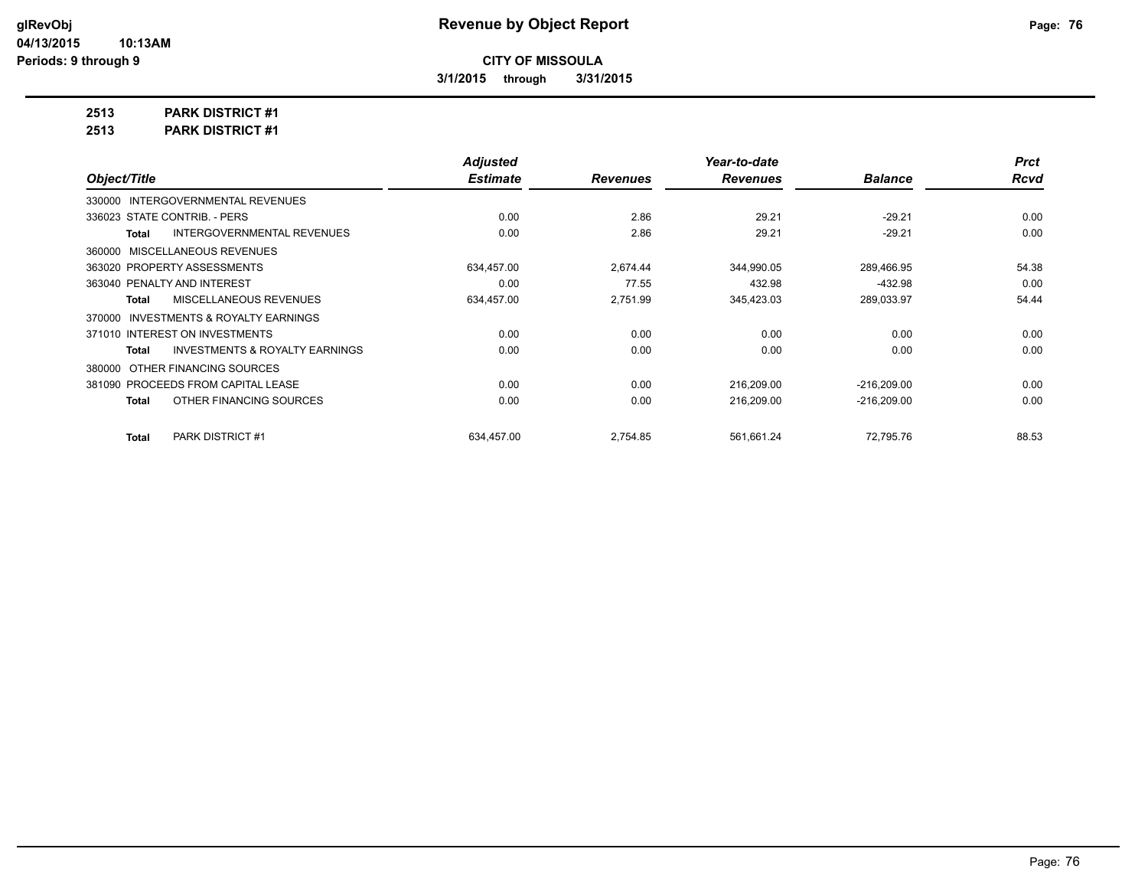**3/1/2015 through 3/31/2015**

**2513 PARK DISTRICT #1**

**2513 PARK DISTRICT #1**

|                                                     | <b>Adjusted</b> |                 | Year-to-date    |                | <b>Prct</b> |
|-----------------------------------------------------|-----------------|-----------------|-----------------|----------------|-------------|
| Object/Title                                        | <b>Estimate</b> | <b>Revenues</b> | <b>Revenues</b> | <b>Balance</b> | <b>Rcvd</b> |
| 330000 INTERGOVERNMENTAL REVENUES                   |                 |                 |                 |                |             |
| 336023 STATE CONTRIB. - PERS                        | 0.00            | 2.86            | 29.21           | $-29.21$       | 0.00        |
| <b>INTERGOVERNMENTAL REVENUES</b><br>Total          | 0.00            | 2.86            | 29.21           | $-29.21$       | 0.00        |
| 360000 MISCELLANEOUS REVENUES                       |                 |                 |                 |                |             |
| 363020 PROPERTY ASSESSMENTS                         | 634,457.00      | 2,674.44        | 344,990.05      | 289,466.95     | 54.38       |
| 363040 PENALTY AND INTEREST                         | 0.00            | 77.55           | 432.98          | $-432.98$      | 0.00        |
| MISCELLANEOUS REVENUES<br>Total                     | 634,457.00      | 2,751.99        | 345,423.03      | 289,033.97     | 54.44       |
| <b>INVESTMENTS &amp; ROYALTY EARNINGS</b><br>370000 |                 |                 |                 |                |             |
| 371010 INTEREST ON INVESTMENTS                      | 0.00            | 0.00            | 0.00            | 0.00           | 0.00        |
| <b>INVESTMENTS &amp; ROYALTY EARNINGS</b><br>Total  | 0.00            | 0.00            | 0.00            | 0.00           | 0.00        |
| 380000 OTHER FINANCING SOURCES                      |                 |                 |                 |                |             |
| 381090 PROCEEDS FROM CAPITAL LEASE                  | 0.00            | 0.00            | 216,209.00      | $-216,209.00$  | 0.00        |
| OTHER FINANCING SOURCES<br>Total                    | 0.00            | 0.00            | 216,209.00      | $-216,209.00$  | 0.00        |
| <b>PARK DISTRICT #1</b><br><b>Total</b>             | 634,457.00      | 2,754.85        | 561,661.24      | 72,795.76      | 88.53       |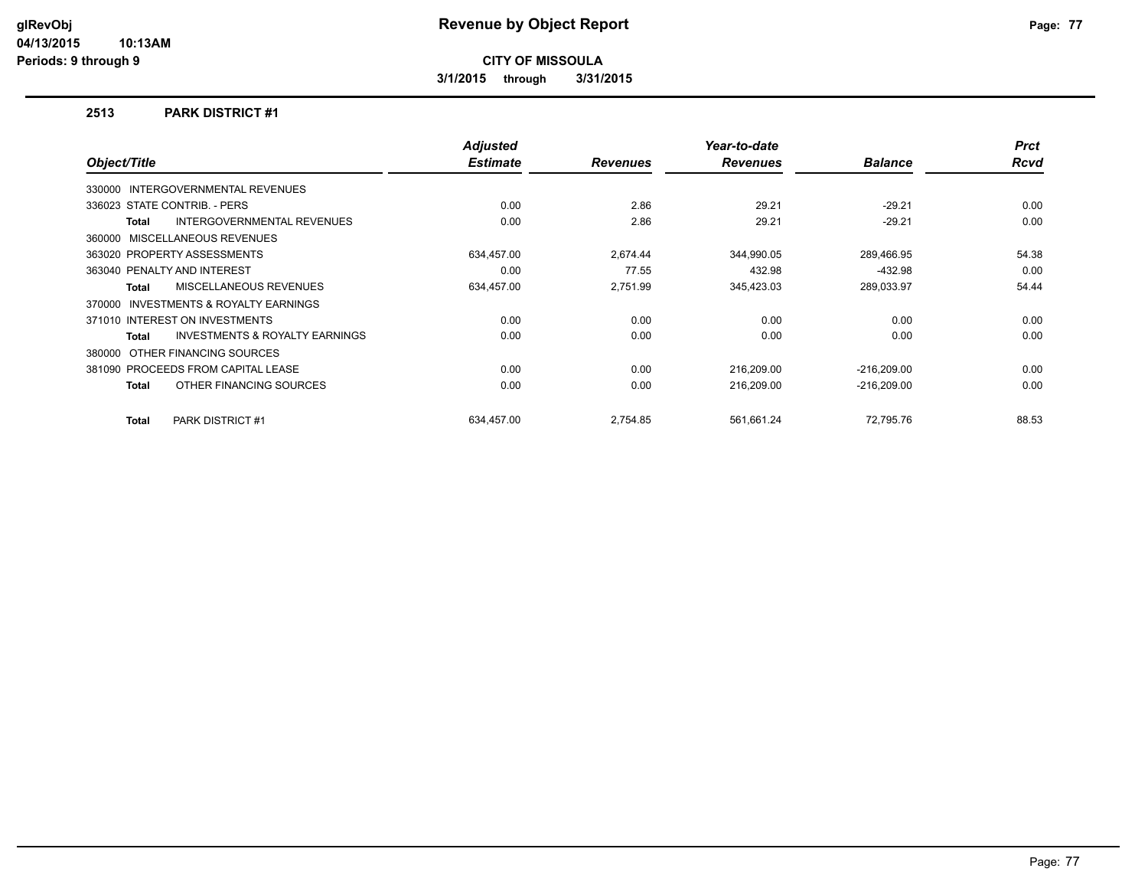**3/1/2015 through 3/31/2015**

#### **2513 PARK DISTRICT #1**

|              |                                           | <b>Adjusted</b> |                 | Year-to-date    |                | <b>Prct</b> |
|--------------|-------------------------------------------|-----------------|-----------------|-----------------|----------------|-------------|
| Object/Title |                                           | <b>Estimate</b> | <b>Revenues</b> | <b>Revenues</b> | <b>Balance</b> | <b>Rcvd</b> |
|              | 330000 INTERGOVERNMENTAL REVENUES         |                 |                 |                 |                |             |
|              | 336023 STATE CONTRIB. - PERS              | 0.00            | 2.86            | 29.21           | $-29.21$       | 0.00        |
| Total        | <b>INTERGOVERNMENTAL REVENUES</b>         | 0.00            | 2.86            | 29.21           | $-29.21$       | 0.00        |
|              | 360000 MISCELLANEOUS REVENUES             |                 |                 |                 |                |             |
|              | 363020 PROPERTY ASSESSMENTS               | 634,457.00      | 2,674.44        | 344,990.05      | 289,466.95     | 54.38       |
|              | 363040 PENALTY AND INTEREST               | 0.00            | 77.55           | 432.98          | -432.98        | 0.00        |
| Total        | MISCELLANEOUS REVENUES                    | 634,457.00      | 2,751.99        | 345,423.03      | 289,033.97     | 54.44       |
|              | 370000 INVESTMENTS & ROYALTY EARNINGS     |                 |                 |                 |                |             |
|              | 371010 INTEREST ON INVESTMENTS            | 0.00            | 0.00            | 0.00            | 0.00           | 0.00        |
| Total        | <b>INVESTMENTS &amp; ROYALTY EARNINGS</b> | 0.00            | 0.00            | 0.00            | 0.00           | 0.00        |
|              | 380000 OTHER FINANCING SOURCES            |                 |                 |                 |                |             |
|              | 381090 PROCEEDS FROM CAPITAL LEASE        | 0.00            | 0.00            | 216,209.00      | $-216,209.00$  | 0.00        |
| Total        | OTHER FINANCING SOURCES                   | 0.00            | 0.00            | 216,209.00      | $-216,209.00$  | 0.00        |
| Total        | <b>PARK DISTRICT #1</b>                   | 634.457.00      | 2,754.85        | 561.661.24      | 72,795.76      | 88.53       |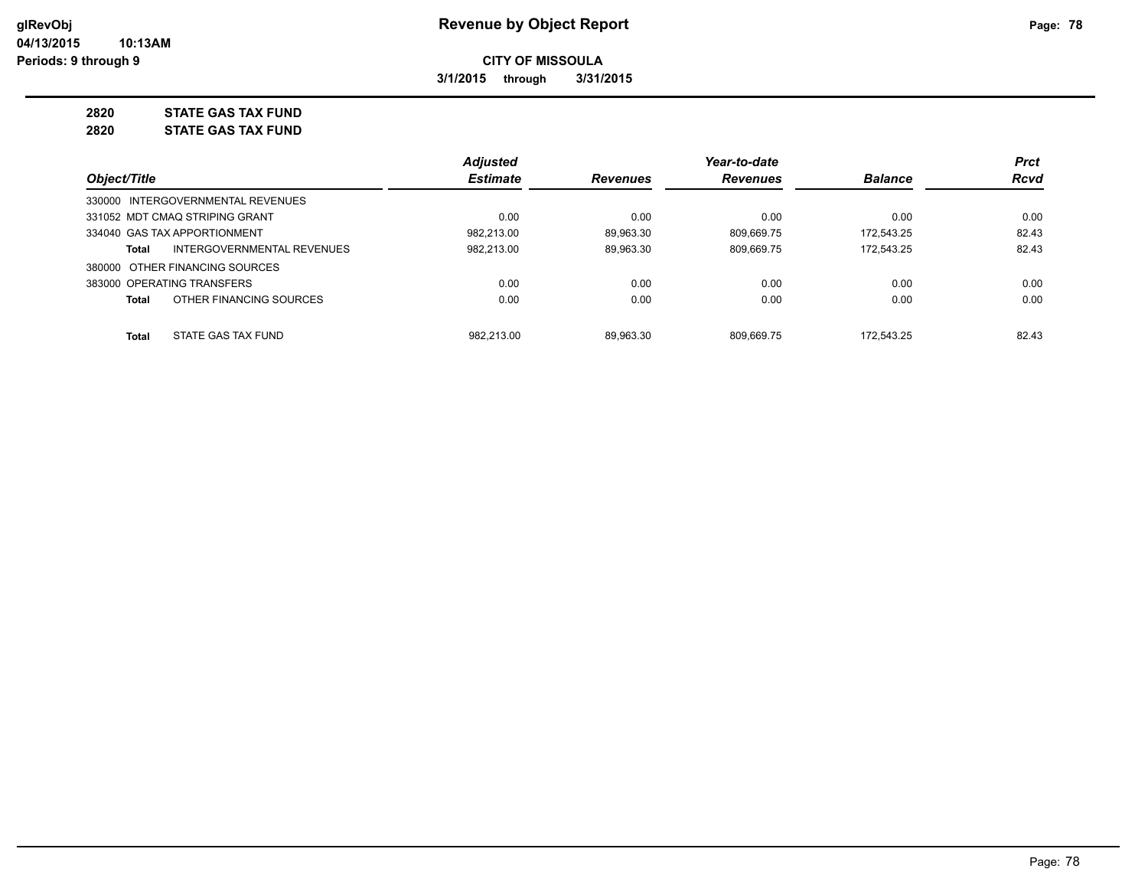**3/1/2015 through 3/31/2015**

# **2820 STATE GAS TAX FUND**

**2820 STATE GAS TAX FUND**

|                                                   | <b>Adjusted</b> |                 | Year-to-date    |                | <b>Prct</b> |
|---------------------------------------------------|-----------------|-----------------|-----------------|----------------|-------------|
| Object/Title                                      | <b>Estimate</b> | <b>Revenues</b> | <b>Revenues</b> | <b>Balance</b> | <b>Rcvd</b> |
| 330000 INTERGOVERNMENTAL REVENUES                 |                 |                 |                 |                |             |
| 331052 MDT CMAQ STRIPING GRANT                    | 0.00            | 0.00            | 0.00            | 0.00           | 0.00        |
| 334040 GAS TAX APPORTIONMENT                      | 982.213.00      | 89.963.30       | 809.669.75      | 172.543.25     | 82.43       |
| <b>INTERGOVERNMENTAL REVENUES</b><br><b>Total</b> | 982.213.00      | 89.963.30       | 809.669.75      | 172.543.25     | 82.43       |
| 380000 OTHER FINANCING SOURCES                    |                 |                 |                 |                |             |
| 383000 OPERATING TRANSFERS                        | 0.00            | 0.00            | 0.00            | 0.00           | 0.00        |
| OTHER FINANCING SOURCES<br><b>Total</b>           | 0.00            | 0.00            | 0.00            | 0.00           | 0.00        |
| STATE GAS TAX FUND<br><b>Total</b>                | 982.213.00      | 89.963.30       | 809.669.75      | 172.543.25     | 82.43       |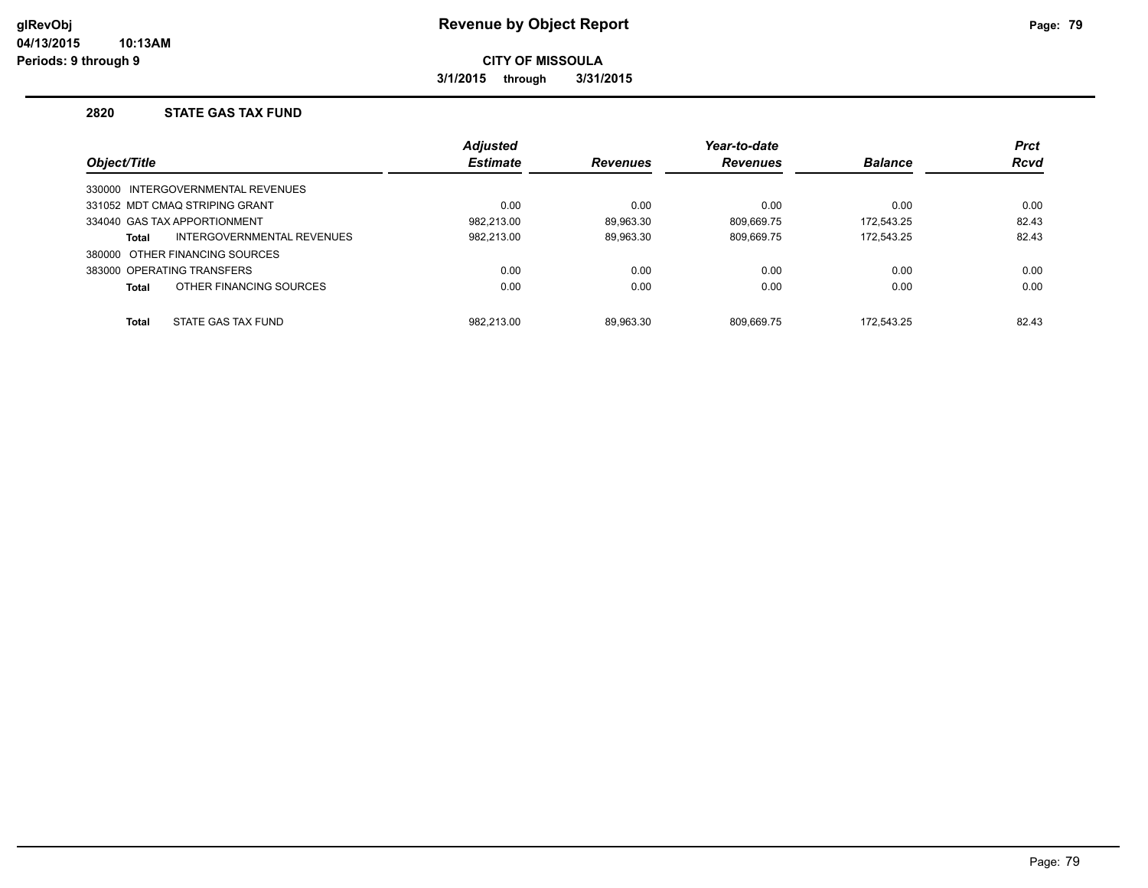**3/1/2015 through 3/31/2015**

#### **2820 STATE GAS TAX FUND**

|              |                                   | <b>Adjusted</b> |                 | Year-to-date    |                | <b>Prct</b> |
|--------------|-----------------------------------|-----------------|-----------------|-----------------|----------------|-------------|
| Object/Title |                                   | <b>Estimate</b> | <b>Revenues</b> | <b>Revenues</b> | <b>Balance</b> | <b>Rcvd</b> |
|              | 330000 INTERGOVERNMENTAL REVENUES |                 |                 |                 |                |             |
|              | 331052 MDT CMAQ STRIPING GRANT    | 0.00            | 0.00            | 0.00            | 0.00           | 0.00        |
|              | 334040 GAS TAX APPORTIONMENT      | 982.213.00      | 89.963.30       | 809.669.75      | 172.543.25     | 82.43       |
| Total        | INTERGOVERNMENTAL REVENUES        | 982.213.00      | 89.963.30       | 809.669.75      | 172.543.25     | 82.43       |
|              | 380000 OTHER FINANCING SOURCES    |                 |                 |                 |                |             |
|              | 383000 OPERATING TRANSFERS        | 0.00            | 0.00            | 0.00            | 0.00           | 0.00        |
| Total        | OTHER FINANCING SOURCES           | 0.00            | 0.00            | 0.00            | 0.00           | 0.00        |
| <b>Total</b> | STATE GAS TAX FUND                | 982.213.00      | 89.963.30       | 809.669.75      | 172.543.25     | 82.43       |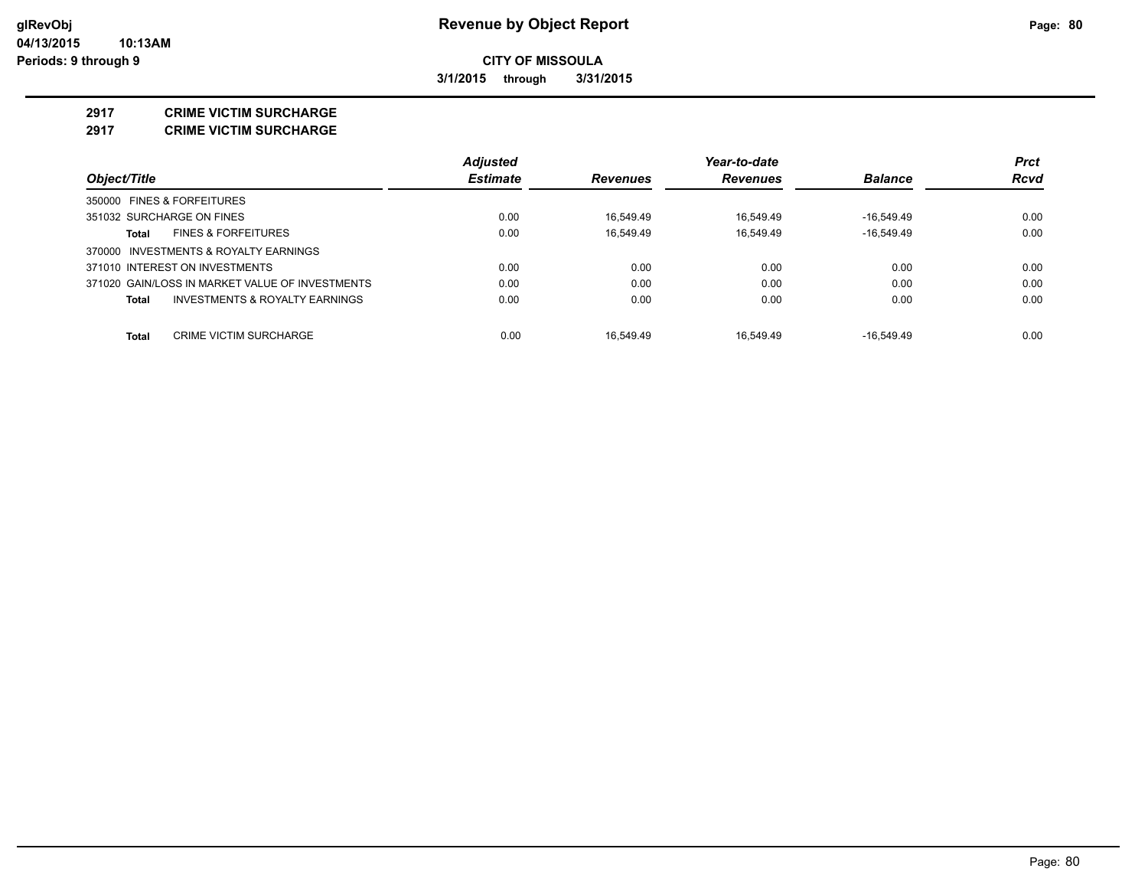**3/1/2015 through 3/31/2015**

#### **2917 CRIME VICTIM SURCHARGE**

**2917 CRIME VICTIM SURCHARGE**

|                                                    | <b>Adjusted</b> |                 | Year-to-date    |                | <b>Prct</b> |
|----------------------------------------------------|-----------------|-----------------|-----------------|----------------|-------------|
| Object/Title                                       | <b>Estimate</b> | <b>Revenues</b> | <b>Revenues</b> | <b>Balance</b> | Rcvd        |
| 350000 FINES & FORFEITURES                         |                 |                 |                 |                |             |
| 351032 SURCHARGE ON FINES                          | 0.00            | 16.549.49       | 16.549.49       | $-16.549.49$   | 0.00        |
| <b>FINES &amp; FORFEITURES</b><br>Total            | 0.00            | 16.549.49       | 16.549.49       | $-16.549.49$   | 0.00        |
| 370000 INVESTMENTS & ROYALTY EARNINGS              |                 |                 |                 |                |             |
| 371010 INTEREST ON INVESTMENTS                     | 0.00            | 0.00            | 0.00            | 0.00           | 0.00        |
| 371020 GAIN/LOSS IN MARKET VALUE OF INVESTMENTS    | 0.00            | 0.00            | 0.00            | 0.00           | 0.00        |
| <b>INVESTMENTS &amp; ROYALTY EARNINGS</b><br>Total | 0.00            | 0.00            | 0.00            | 0.00           | 0.00        |
| Total<br><b>CRIME VICTIM SURCHARGE</b>             | 0.00            | 16.549.49       | 16.549.49       | $-16.549.49$   | 0.00        |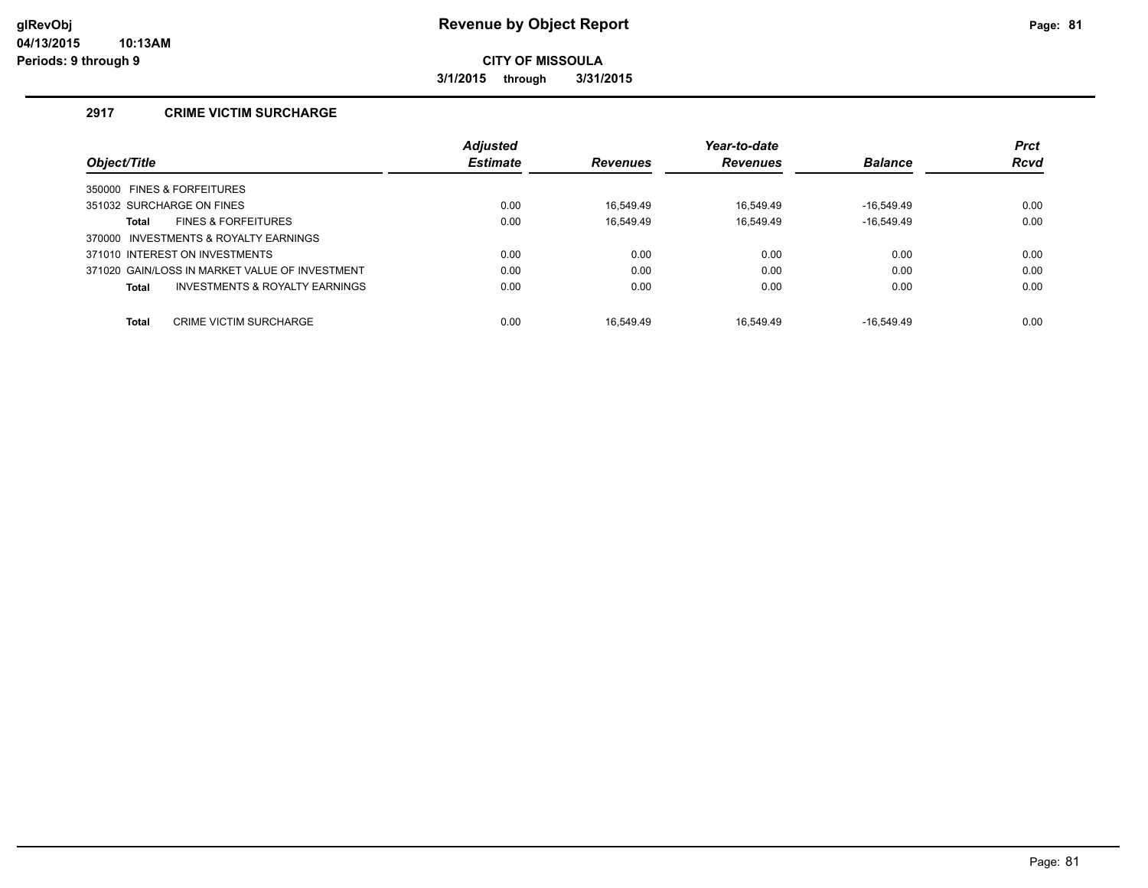**3/1/2015 through 3/31/2015**

# **2917 CRIME VICTIM SURCHARGE**

|                                                    | Adjusted        |                 | Year-to-date    |                | <b>Prct</b> |
|----------------------------------------------------|-----------------|-----------------|-----------------|----------------|-------------|
| Object/Title                                       | <b>Estimate</b> | <b>Revenues</b> | <b>Revenues</b> | <b>Balance</b> | <b>Rcvd</b> |
| 350000 FINES & FORFEITURES                         |                 |                 |                 |                |             |
| 351032 SURCHARGE ON FINES                          | 0.00            | 16.549.49       | 16.549.49       | $-16.549.49$   | 0.00        |
| <b>FINES &amp; FORFEITURES</b><br>Total            | 0.00            | 16.549.49       | 16.549.49       | $-16.549.49$   | 0.00        |
| 370000 INVESTMENTS & ROYALTY EARNINGS              |                 |                 |                 |                |             |
| 371010 INTEREST ON INVESTMENTS                     | 0.00            | 0.00            | 0.00            | 0.00           | 0.00        |
| 371020 GAIN/LOSS IN MARKET VALUE OF INVESTMENT     | 0.00            | 0.00            | 0.00            | 0.00           | 0.00        |
| <b>INVESTMENTS &amp; ROYALTY EARNINGS</b><br>Total | 0.00            | 0.00            | 0.00            | 0.00           | 0.00        |
| Total<br>CRIME VICTIM SURCHARGE                    | 0.00            | 16.549.49       | 16.549.49       | $-16.549.49$   | 0.00        |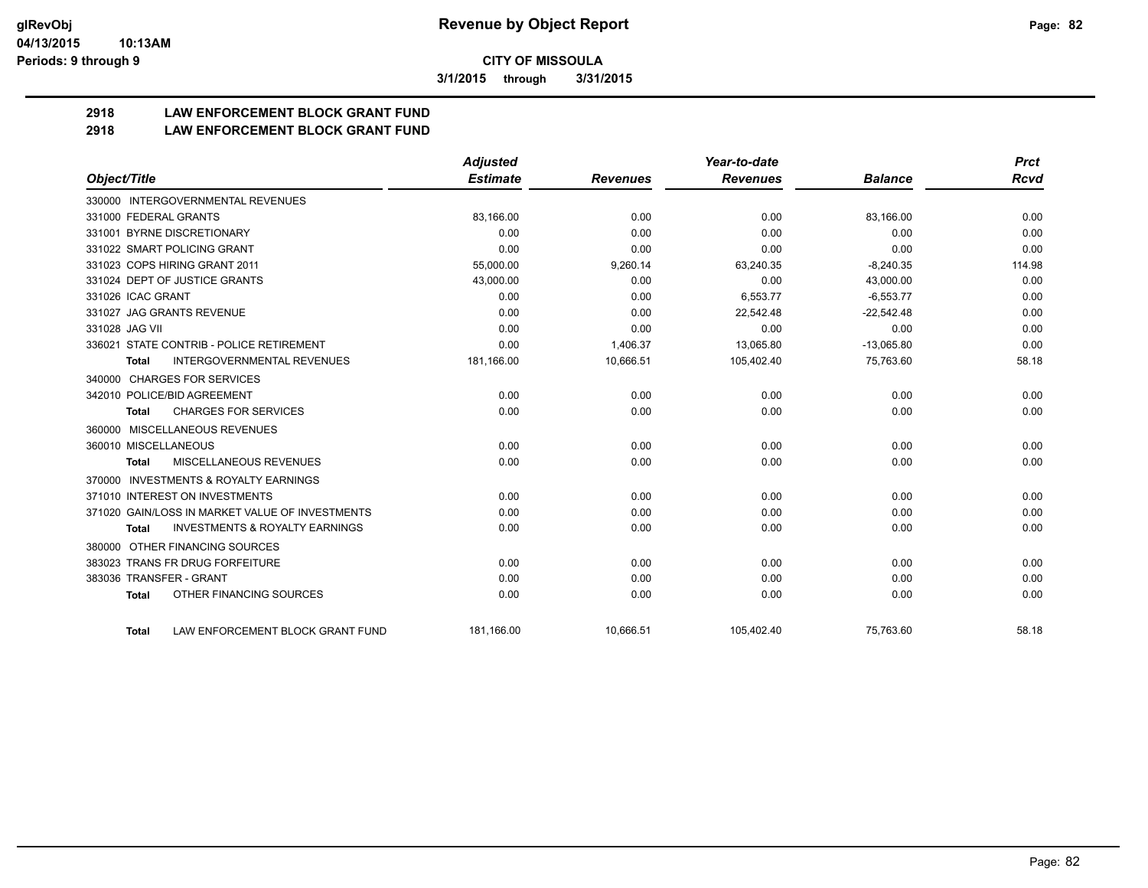**3/1/2015 through 3/31/2015**

# **2918 LAW ENFORCEMENT BLOCK GRANT FUND**

**2918 LAW ENFORCEMENT BLOCK GRANT FUND**

|                                                           | <b>Adjusted</b> |                 | Year-to-date    |                | <b>Prct</b> |
|-----------------------------------------------------------|-----------------|-----------------|-----------------|----------------|-------------|
| Object/Title                                              | <b>Estimate</b> | <b>Revenues</b> | <b>Revenues</b> | <b>Balance</b> | <b>Rcvd</b> |
| 330000 INTERGOVERNMENTAL REVENUES                         |                 |                 |                 |                |             |
| 331000 FEDERAL GRANTS                                     | 83,166.00       | 0.00            | 0.00            | 83,166.00      | 0.00        |
| 331001 BYRNE DISCRETIONARY                                | 0.00            | 0.00            | 0.00            | 0.00           | 0.00        |
| 331022 SMART POLICING GRANT                               | 0.00            | 0.00            | 0.00            | 0.00           | 0.00        |
| 331023 COPS HIRING GRANT 2011                             | 55,000.00       | 9,260.14        | 63,240.35       | $-8,240.35$    | 114.98      |
| 331024 DEPT OF JUSTICE GRANTS                             | 43,000.00       | 0.00            | 0.00            | 43.000.00      | 0.00        |
| 331026 ICAC GRANT                                         | 0.00            | 0.00            | 6.553.77        | $-6.553.77$    | 0.00        |
| 331027 JAG GRANTS REVENUE                                 | 0.00            | 0.00            | 22,542.48       | $-22,542.48$   | 0.00        |
| 331028 JAG VII                                            | 0.00            | 0.00            | 0.00            | 0.00           | 0.00        |
| 336021 STATE CONTRIB - POLICE RETIREMENT                  | 0.00            | 1,406.37        | 13,065.80       | $-13,065.80$   | 0.00        |
| <b>INTERGOVERNMENTAL REVENUES</b><br>Total                | 181,166.00      | 10,666.51       | 105,402.40      | 75,763.60      | 58.18       |
| 340000 CHARGES FOR SERVICES                               |                 |                 |                 |                |             |
| 342010 POLICE/BID AGREEMENT                               | 0.00            | 0.00            | 0.00            | 0.00           | 0.00        |
| <b>CHARGES FOR SERVICES</b><br><b>Total</b>               | 0.00            | 0.00            | 0.00            | 0.00           | 0.00        |
| MISCELLANEOUS REVENUES<br>360000                          |                 |                 |                 |                |             |
| 360010 MISCELLANEOUS                                      | 0.00            | 0.00            | 0.00            | 0.00           | 0.00        |
| <b>MISCELLANEOUS REVENUES</b><br><b>Total</b>             | 0.00            | 0.00            | 0.00            | 0.00           | 0.00        |
| <b>INVESTMENTS &amp; ROYALTY EARNINGS</b><br>370000       |                 |                 |                 |                |             |
| 371010 INTEREST ON INVESTMENTS                            | 0.00            | 0.00            | 0.00            | 0.00           | 0.00        |
| 371020 GAIN/LOSS IN MARKET VALUE OF INVESTMENTS           | 0.00            | 0.00            | 0.00            | 0.00           | 0.00        |
| <b>INVESTMENTS &amp; ROYALTY EARNINGS</b><br><b>Total</b> | 0.00            | 0.00            | 0.00            | 0.00           | 0.00        |
| OTHER FINANCING SOURCES<br>380000                         |                 |                 |                 |                |             |
| 383023 TRANS FR DRUG FORFEITURE                           | 0.00            | 0.00            | 0.00            | 0.00           | 0.00        |
| 383036 TRANSFER - GRANT                                   | 0.00            | 0.00            | 0.00            | 0.00           | 0.00        |
| OTHER FINANCING SOURCES<br><b>Total</b>                   | 0.00            | 0.00            | 0.00            | 0.00           | 0.00        |
| LAW ENFORCEMENT BLOCK GRANT FUND<br><b>Total</b>          | 181,166.00      | 10,666.51       | 105,402.40      | 75,763.60      | 58.18       |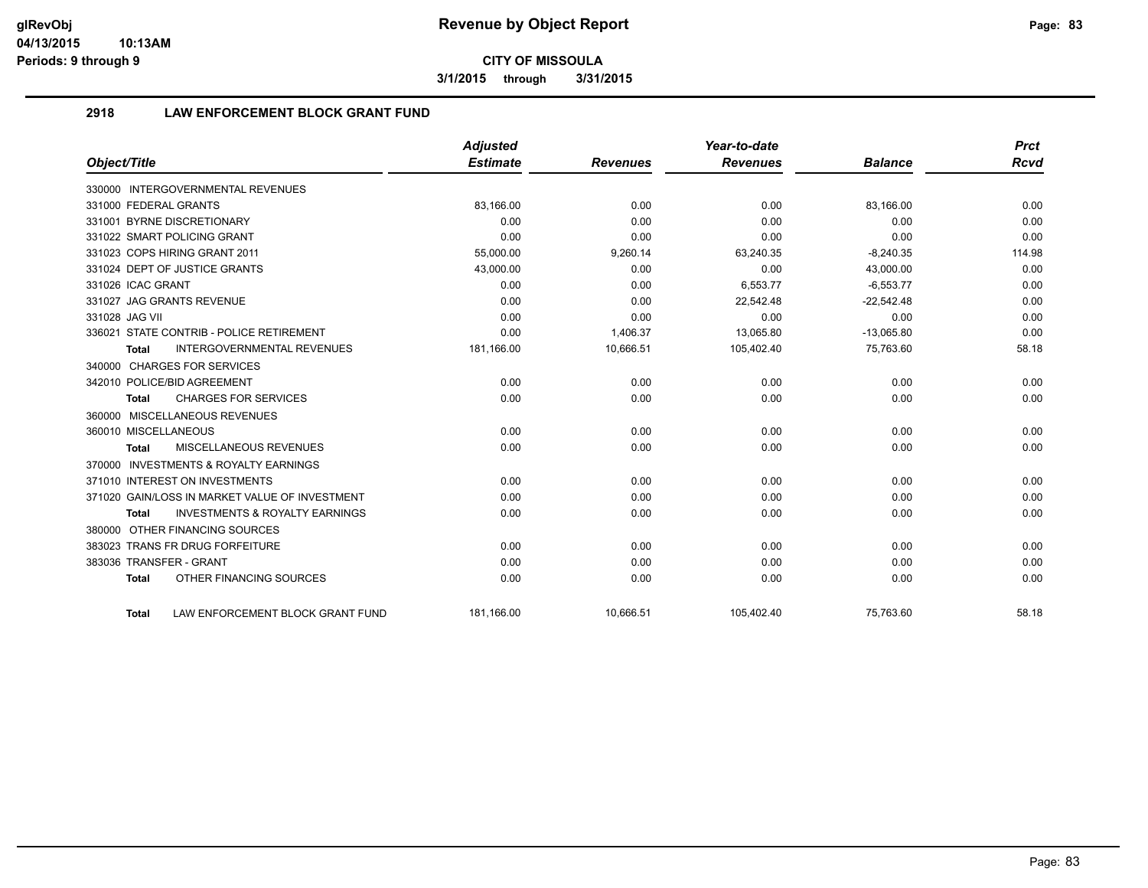**3/1/2015 through 3/31/2015**

# **2918 LAW ENFORCEMENT BLOCK GRANT FUND**

|                                                           | <b>Adjusted</b> |                 | Year-to-date    |                | <b>Prct</b> |
|-----------------------------------------------------------|-----------------|-----------------|-----------------|----------------|-------------|
| Object/Title                                              | <b>Estimate</b> | <b>Revenues</b> | <b>Revenues</b> | <b>Balance</b> | <b>Rcvd</b> |
| 330000 INTERGOVERNMENTAL REVENUES                         |                 |                 |                 |                |             |
| 331000 FEDERAL GRANTS                                     | 83,166.00       | 0.00            | 0.00            | 83,166.00      | 0.00        |
| 331001 BYRNE DISCRETIONARY                                | 0.00            | 0.00            | 0.00            | 0.00           | 0.00        |
| 331022 SMART POLICING GRANT                               | 0.00            | 0.00            | 0.00            | 0.00           | 0.00        |
| 331023 COPS HIRING GRANT 2011                             | 55,000.00       | 9,260.14        | 63,240.35       | $-8,240.35$    | 114.98      |
| 331024 DEPT OF JUSTICE GRANTS                             | 43,000.00       | 0.00            | 0.00            | 43,000.00      | 0.00        |
| 331026 ICAC GRANT                                         | 0.00            | 0.00            | 6,553.77        | $-6,553.77$    | 0.00        |
| 331027 JAG GRANTS REVENUE                                 | 0.00            | 0.00            | 22,542.48       | $-22,542.48$   | 0.00        |
| 331028 JAG VII                                            | 0.00            | 0.00            | 0.00            | 0.00           | 0.00        |
| 336021 STATE CONTRIB - POLICE RETIREMENT                  | 0.00            | 1,406.37        | 13,065.80       | $-13,065.80$   | 0.00        |
| <b>INTERGOVERNMENTAL REVENUES</b><br><b>Total</b>         | 181,166.00      | 10,666.51       | 105,402.40      | 75,763.60      | 58.18       |
| 340000 CHARGES FOR SERVICES                               |                 |                 |                 |                |             |
| 342010 POLICE/BID AGREEMENT                               | 0.00            | 0.00            | 0.00            | 0.00           | 0.00        |
| <b>CHARGES FOR SERVICES</b><br><b>Total</b>               | 0.00            | 0.00            | 0.00            | 0.00           | 0.00        |
| 360000 MISCELLANEOUS REVENUES                             |                 |                 |                 |                |             |
| 360010 MISCELLANEOUS                                      | 0.00            | 0.00            | 0.00            | 0.00           | 0.00        |
| MISCELLANEOUS REVENUES<br><b>Total</b>                    | 0.00            | 0.00            | 0.00            | 0.00           | 0.00        |
| 370000 INVESTMENTS & ROYALTY EARNINGS                     |                 |                 |                 |                |             |
| 371010 INTEREST ON INVESTMENTS                            | 0.00            | 0.00            | 0.00            | 0.00           | 0.00        |
| 371020 GAIN/LOSS IN MARKET VALUE OF INVESTMENT            | 0.00            | 0.00            | 0.00            | 0.00           | 0.00        |
| <b>INVESTMENTS &amp; ROYALTY EARNINGS</b><br><b>Total</b> | 0.00            | 0.00            | 0.00            | 0.00           | 0.00        |
| 380000 OTHER FINANCING SOURCES                            |                 |                 |                 |                |             |
| 383023 TRANS FR DRUG FORFEITURE                           | 0.00            | 0.00            | 0.00            | 0.00           | 0.00        |
| 383036 TRANSFER - GRANT                                   | 0.00            | 0.00            | 0.00            | 0.00           | 0.00        |
| OTHER FINANCING SOURCES<br><b>Total</b>                   | 0.00            | 0.00            | 0.00            | 0.00           | 0.00        |
| LAW ENFORCEMENT BLOCK GRANT FUND<br>Total                 | 181,166.00      | 10,666.51       | 105.402.40      | 75,763.60      | 58.18       |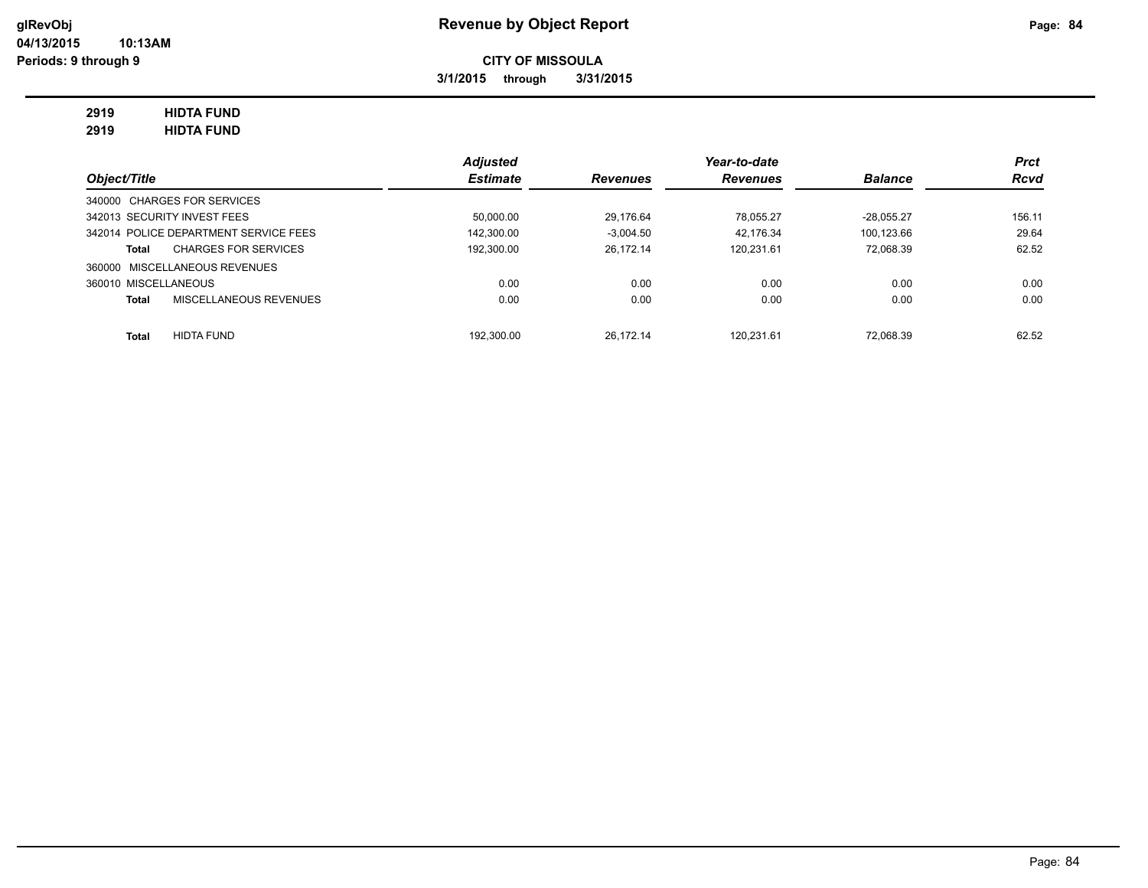**3/1/2015 through 3/31/2015**

# **2919 HIDTA FUND**

**2919 HIDTA FUND**

|                                               | <b>Adjusted</b> |                 | Year-to-date    |                | <b>Prct</b><br><b>Rcvd</b> |
|-----------------------------------------------|-----------------|-----------------|-----------------|----------------|----------------------------|
| Object/Title                                  | <b>Estimate</b> | <b>Revenues</b> | <b>Revenues</b> | <b>Balance</b> |                            |
| 340000 CHARGES FOR SERVICES                   |                 |                 |                 |                |                            |
| 342013 SECURITY INVEST FEES                   | 50.000.00       | 29.176.64       | 78.055.27       | $-28.055.27$   | 156.11                     |
| 342014 POLICE DEPARTMENT SERVICE FEES         | 142,300.00      | $-3.004.50$     | 42.176.34       | 100.123.66     | 29.64                      |
| <b>CHARGES FOR SERVICES</b><br>Total          | 192.300.00      | 26.172.14       | 120.231.61      | 72.068.39      | 62.52                      |
| 360000 MISCELLANEOUS REVENUES                 |                 |                 |                 |                |                            |
| 360010 MISCELLANEOUS                          | 0.00            | 0.00            | 0.00            | 0.00           | 0.00                       |
| <b>MISCELLANEOUS REVENUES</b><br><b>Total</b> | 0.00            | 0.00            | 0.00            | 0.00           | 0.00                       |
| <b>HIDTA FUND</b><br><b>Total</b>             | 192.300.00      | 26.172.14       | 120.231.61      | 72.068.39      | 62.52                      |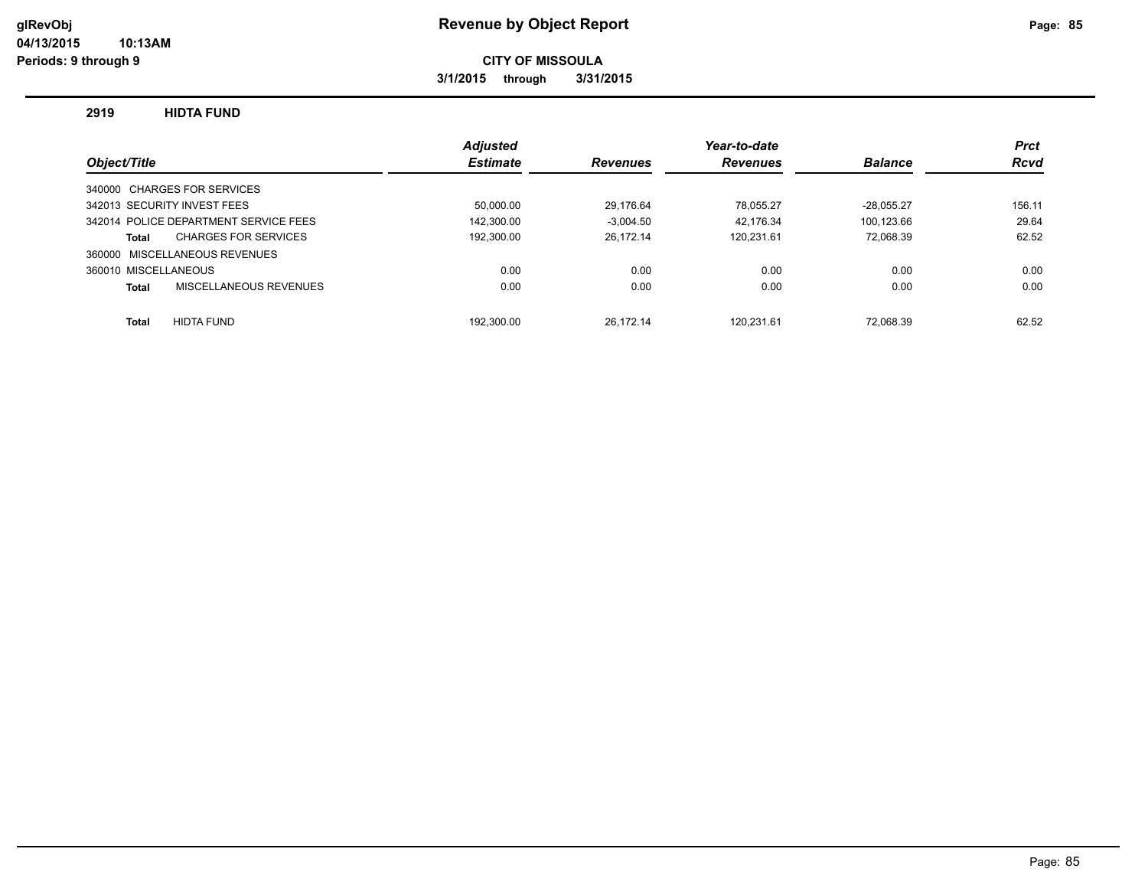**3/1/2015 through 3/31/2015**

#### **2919 HIDTA FUND**

|                                       | <b>Adjusted</b> |                 | Year-to-date    |                | <b>Prct</b> |
|---------------------------------------|-----------------|-----------------|-----------------|----------------|-------------|
| Object/Title                          | <b>Estimate</b> | <b>Revenues</b> | <b>Revenues</b> | <b>Balance</b> | <b>Rcvd</b> |
| 340000 CHARGES FOR SERVICES           |                 |                 |                 |                |             |
| 342013 SECURITY INVEST FEES           | 50.000.00       | 29.176.64       | 78.055.27       | $-28.055.27$   | 156.11      |
| 342014 POLICE DEPARTMENT SERVICE FEES | 142.300.00      | $-3.004.50$     | 42.176.34       | 100,123.66     | 29.64       |
| <b>CHARGES FOR SERVICES</b><br>Total  | 192,300.00      | 26.172.14       | 120.231.61      | 72.068.39      | 62.52       |
| 360000 MISCELLANEOUS REVENUES         |                 |                 |                 |                |             |
| 360010 MISCELLANEOUS                  | 0.00            | 0.00            | 0.00            | 0.00           | 0.00        |
| MISCELLANEOUS REVENUES<br>Total       | 0.00            | 0.00            | 0.00            | 0.00           | 0.00        |
|                                       |                 |                 |                 |                |             |
| <b>HIDTA FUND</b><br>Total            | 192.300.00      | 26.172.14       | 120.231.61      | 72.068.39      | 62.52       |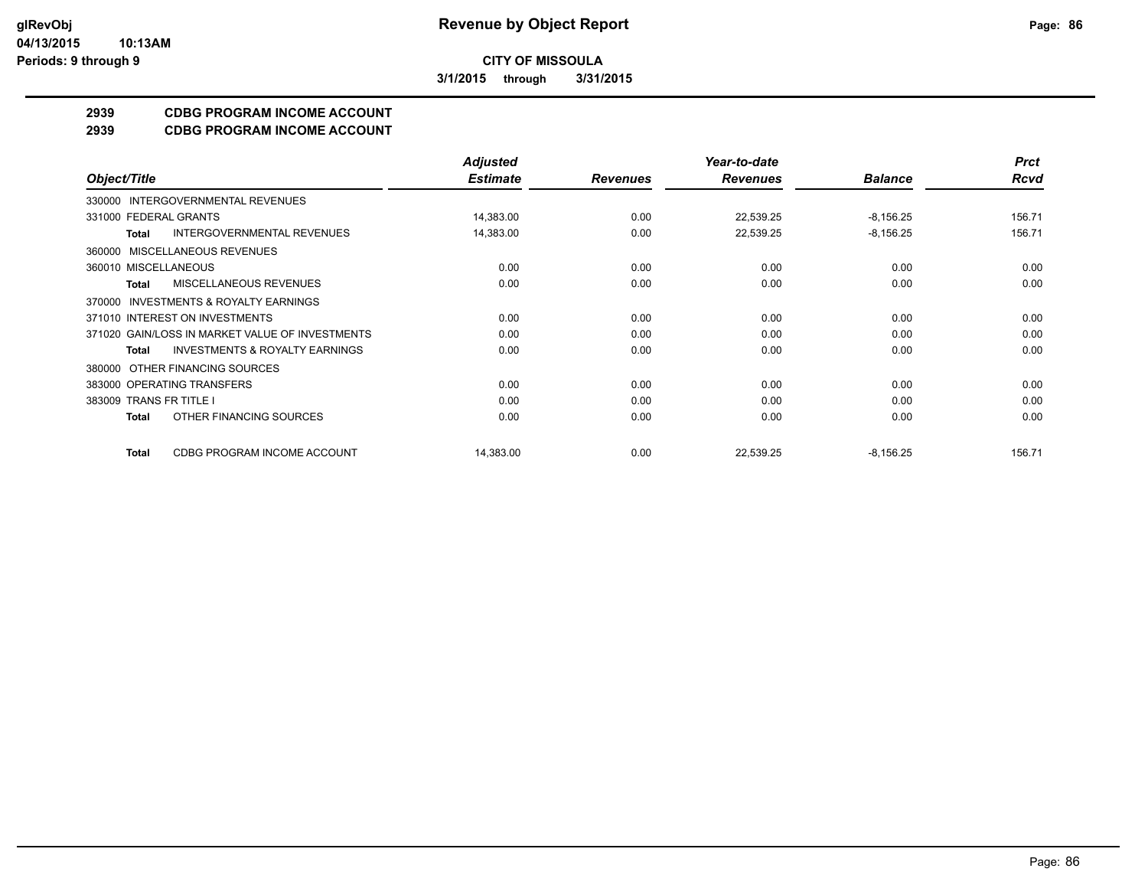**3/1/2015 through 3/31/2015**

# **2939 CDBG PROGRAM INCOME ACCOUNT**

**2939 CDBG PROGRAM INCOME ACCOUNT**

|                                                           | <b>Adjusted</b> |                 | Year-to-date    |                | <b>Prct</b> |
|-----------------------------------------------------------|-----------------|-----------------|-----------------|----------------|-------------|
| Object/Title                                              | <b>Estimate</b> | <b>Revenues</b> | <b>Revenues</b> | <b>Balance</b> | <b>Rcvd</b> |
| INTERGOVERNMENTAL REVENUES<br>330000                      |                 |                 |                 |                |             |
| 331000 FEDERAL GRANTS                                     | 14,383.00       | 0.00            | 22,539.25       | $-8,156.25$    | 156.71      |
| <b>INTERGOVERNMENTAL REVENUES</b><br><b>Total</b>         | 14,383.00       | 0.00            | 22,539.25       | $-8,156.25$    | 156.71      |
| MISCELLANEOUS REVENUES<br>360000                          |                 |                 |                 |                |             |
| 360010 MISCELLANEOUS                                      | 0.00            | 0.00            | 0.00            | 0.00           | 0.00        |
| <b>MISCELLANEOUS REVENUES</b><br>Total                    | 0.00            | 0.00            | 0.00            | 0.00           | 0.00        |
| <b>INVESTMENTS &amp; ROYALTY EARNINGS</b><br>370000       |                 |                 |                 |                |             |
| 371010 INTEREST ON INVESTMENTS                            | 0.00            | 0.00            | 0.00            | 0.00           | 0.00        |
| 371020 GAIN/LOSS IN MARKET VALUE OF INVESTMENTS           | 0.00            | 0.00            | 0.00            | 0.00           | 0.00        |
| <b>INVESTMENTS &amp; ROYALTY EARNINGS</b><br><b>Total</b> | 0.00            | 0.00            | 0.00            | 0.00           | 0.00        |
| OTHER FINANCING SOURCES<br>380000                         |                 |                 |                 |                |             |
| 383000 OPERATING TRANSFERS                                | 0.00            | 0.00            | 0.00            | 0.00           | 0.00        |
| 383009 TRANS FR TITLE I                                   | 0.00            | 0.00            | 0.00            | 0.00           | 0.00        |
| OTHER FINANCING SOURCES<br><b>Total</b>                   | 0.00            | 0.00            | 0.00            | 0.00           | 0.00        |
| CDBG PROGRAM INCOME ACCOUNT<br><b>Total</b>               | 14,383.00       | 0.00            | 22,539.25       | $-8,156.25$    | 156.71      |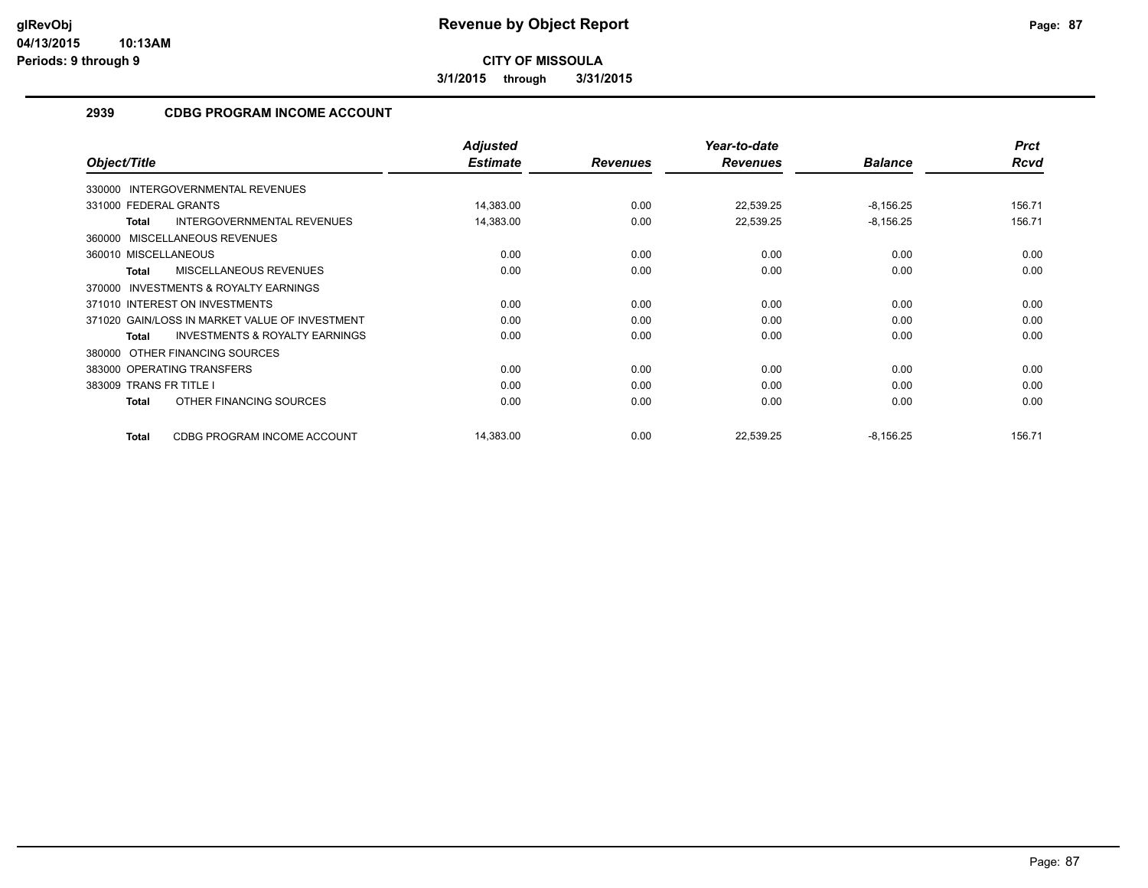**3/1/2015 through 3/31/2015**

# **2939 CDBG PROGRAM INCOME ACCOUNT**

|                                                           | <b>Adjusted</b> |                 | Year-to-date    |                | <b>Prct</b> |
|-----------------------------------------------------------|-----------------|-----------------|-----------------|----------------|-------------|
| Object/Title                                              | <b>Estimate</b> | <b>Revenues</b> | <b>Revenues</b> | <b>Balance</b> | Rcvd        |
| 330000 INTERGOVERNMENTAL REVENUES                         |                 |                 |                 |                |             |
| 331000 FEDERAL GRANTS                                     | 14,383.00       | 0.00            | 22,539.25       | $-8,156.25$    | 156.71      |
| INTERGOVERNMENTAL REVENUES<br><b>Total</b>                | 14,383.00       | 0.00            | 22,539.25       | $-8,156.25$    | 156.71      |
| 360000 MISCELLANEOUS REVENUES                             |                 |                 |                 |                |             |
| 360010 MISCELLANEOUS                                      | 0.00            | 0.00            | 0.00            | 0.00           | 0.00        |
| <b>MISCELLANEOUS REVENUES</b><br><b>Total</b>             | 0.00            | 0.00            | 0.00            | 0.00           | 0.00        |
| INVESTMENTS & ROYALTY EARNINGS<br>370000                  |                 |                 |                 |                |             |
| 371010 INTEREST ON INVESTMENTS                            | 0.00            | 0.00            | 0.00            | 0.00           | 0.00        |
| 371020 GAIN/LOSS IN MARKET VALUE OF INVESTMENT            | 0.00            | 0.00            | 0.00            | 0.00           | 0.00        |
| <b>INVESTMENTS &amp; ROYALTY EARNINGS</b><br><b>Total</b> | 0.00            | 0.00            | 0.00            | 0.00           | 0.00        |
| 380000 OTHER FINANCING SOURCES                            |                 |                 |                 |                |             |
| 383000 OPERATING TRANSFERS                                | 0.00            | 0.00            | 0.00            | 0.00           | 0.00        |
| 383009 TRANS FR TITLE I                                   | 0.00            | 0.00            | 0.00            | 0.00           | 0.00        |
| OTHER FINANCING SOURCES<br><b>Total</b>                   | 0.00            | 0.00            | 0.00            | 0.00           | 0.00        |
| CDBG PROGRAM INCOME ACCOUNT<br><b>Total</b>               | 14,383.00       | 0.00            | 22,539.25       | $-8,156.25$    | 156.71      |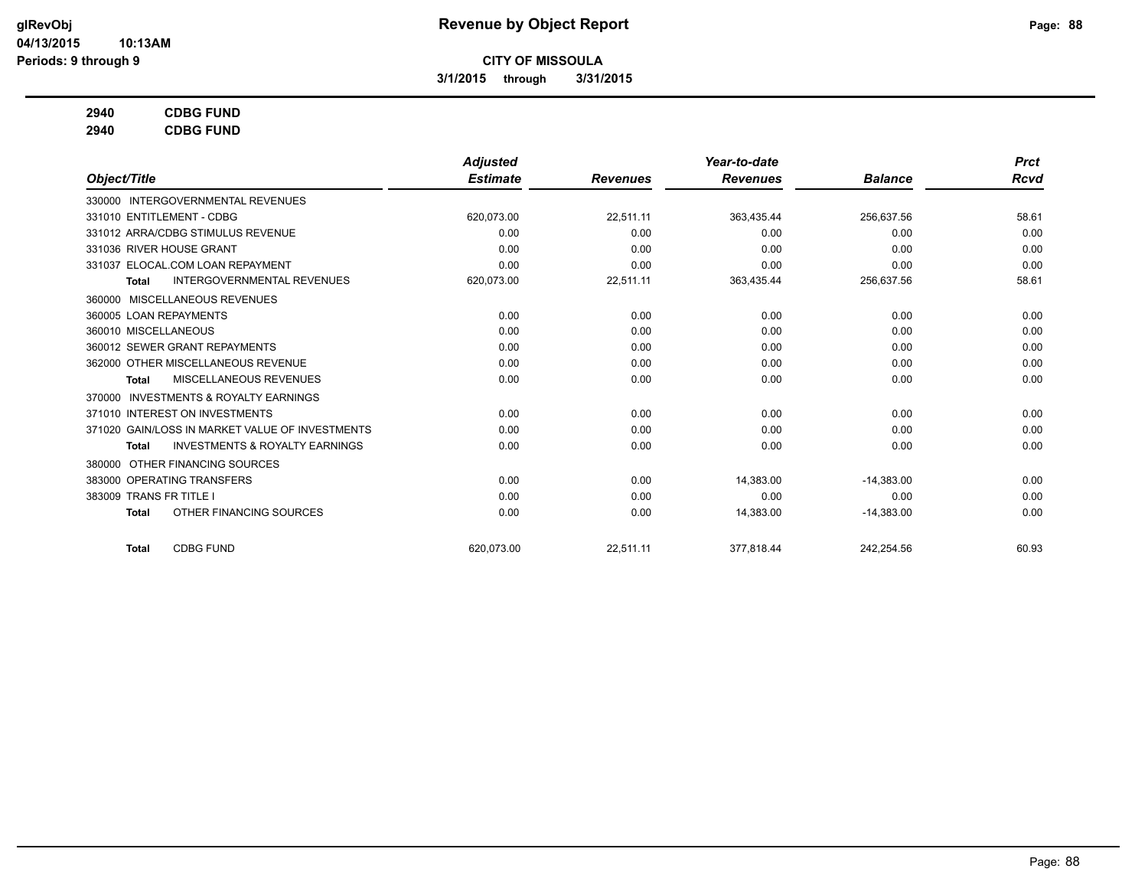**3/1/2015 through 3/31/2015**

# **2940 CDBG FUND**

**2940 CDBG FUND**

|                                                           | <b>Adjusted</b> |                 | Year-to-date    |                | <b>Prct</b> |
|-----------------------------------------------------------|-----------------|-----------------|-----------------|----------------|-------------|
| Object/Title                                              | <b>Estimate</b> | <b>Revenues</b> | <b>Revenues</b> | <b>Balance</b> | Rcvd        |
| 330000 INTERGOVERNMENTAL REVENUES                         |                 |                 |                 |                |             |
| 331010 ENTITLEMENT - CDBG                                 | 620,073.00      | 22,511.11       | 363,435.44      | 256,637.56     | 58.61       |
| 331012 ARRA/CDBG STIMULUS REVENUE                         | 0.00            | 0.00            | 0.00            | 0.00           | 0.00        |
| 331036 RIVER HOUSE GRANT                                  | 0.00            | 0.00            | 0.00            | 0.00           | 0.00        |
| 331037 ELOCAL.COM LOAN REPAYMENT                          | 0.00            | 0.00            | 0.00            | 0.00           | 0.00        |
| <b>INTERGOVERNMENTAL REVENUES</b><br><b>Total</b>         | 620,073.00      | 22,511.11       | 363,435.44      | 256,637.56     | 58.61       |
| 360000 MISCELLANEOUS REVENUES                             |                 |                 |                 |                |             |
| 360005 LOAN REPAYMENTS                                    | 0.00            | 0.00            | 0.00            | 0.00           | 0.00        |
| 360010 MISCELLANEOUS                                      | 0.00            | 0.00            | 0.00            | 0.00           | 0.00        |
| 360012 SEWER GRANT REPAYMENTS                             | 0.00            | 0.00            | 0.00            | 0.00           | 0.00        |
| 362000 OTHER MISCELLANEOUS REVENUE                        | 0.00            | 0.00            | 0.00            | 0.00           | 0.00        |
| <b>MISCELLANEOUS REVENUES</b><br><b>Total</b>             | 0.00            | 0.00            | 0.00            | 0.00           | 0.00        |
| <b>INVESTMENTS &amp; ROYALTY EARNINGS</b><br>370000       |                 |                 |                 |                |             |
| 371010 INTEREST ON INVESTMENTS                            | 0.00            | 0.00            | 0.00            | 0.00           | 0.00        |
| 371020 GAIN/LOSS IN MARKET VALUE OF INVESTMENTS           | 0.00            | 0.00            | 0.00            | 0.00           | 0.00        |
| <b>INVESTMENTS &amp; ROYALTY EARNINGS</b><br><b>Total</b> | 0.00            | 0.00            | 0.00            | 0.00           | 0.00        |
| OTHER FINANCING SOURCES<br>380000                         |                 |                 |                 |                |             |
| 383000 OPERATING TRANSFERS                                | 0.00            | 0.00            | 14,383.00       | $-14,383.00$   | 0.00        |
| 383009 TRANS FR TITLE I                                   | 0.00            | 0.00            | 0.00            | 0.00           | 0.00        |
| OTHER FINANCING SOURCES<br><b>Total</b>                   | 0.00            | 0.00            | 14,383.00       | $-14,383.00$   | 0.00        |
| <b>CDBG FUND</b><br><b>Total</b>                          | 620.073.00      | 22,511.11       | 377,818.44      | 242,254.56     | 60.93       |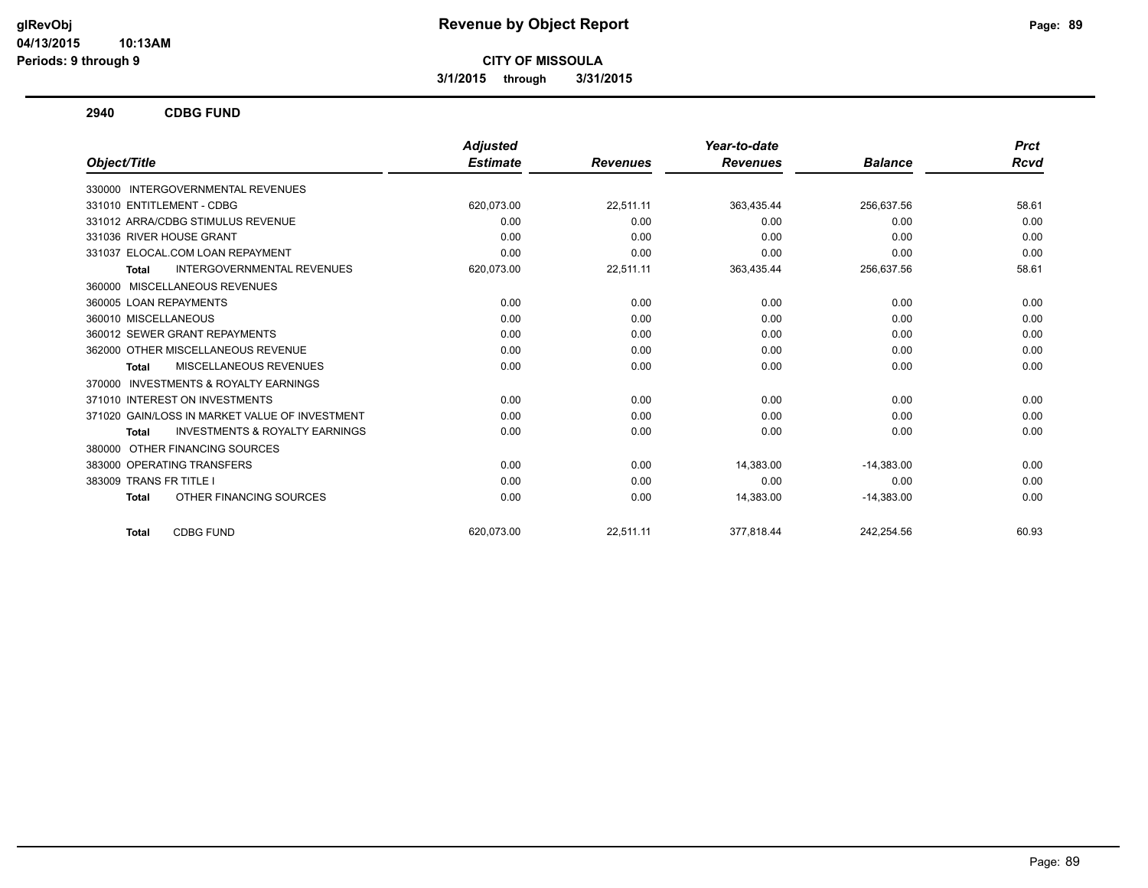**3/1/2015 through 3/31/2015**

**2940 CDBG FUND**

|                                                           | <b>Adjusted</b> |                 | Year-to-date    |                | <b>Prct</b> |
|-----------------------------------------------------------|-----------------|-----------------|-----------------|----------------|-------------|
| Object/Title                                              | <b>Estimate</b> | <b>Revenues</b> | <b>Revenues</b> | <b>Balance</b> | <b>Rcvd</b> |
| 330000 INTERGOVERNMENTAL REVENUES                         |                 |                 |                 |                |             |
| 331010 ENTITLEMENT - CDBG                                 | 620,073.00      | 22,511.11       | 363,435.44      | 256,637.56     | 58.61       |
| 331012 ARRA/CDBG STIMULUS REVENUE                         | 0.00            | 0.00            | 0.00            | 0.00           | 0.00        |
| 331036 RIVER HOUSE GRANT                                  | 0.00            | 0.00            | 0.00            | 0.00           | 0.00        |
| 331037 ELOCAL.COM LOAN REPAYMENT                          | 0.00            | 0.00            | 0.00            | 0.00           | 0.00        |
| <b>INTERGOVERNMENTAL REVENUES</b><br><b>Total</b>         | 620,073.00      | 22,511.11       | 363,435.44      | 256,637.56     | 58.61       |
| 360000 MISCELLANEOUS REVENUES                             |                 |                 |                 |                |             |
| 360005 LOAN REPAYMENTS                                    | 0.00            | 0.00            | 0.00            | 0.00           | 0.00        |
| 360010 MISCELLANEOUS                                      | 0.00            | 0.00            | 0.00            | 0.00           | 0.00        |
| 360012 SEWER GRANT REPAYMENTS                             | 0.00            | 0.00            | 0.00            | 0.00           | 0.00        |
| 362000 OTHER MISCELLANEOUS REVENUE                        | 0.00            | 0.00            | 0.00            | 0.00           | 0.00        |
| MISCELLANEOUS REVENUES<br><b>Total</b>                    | 0.00            | 0.00            | 0.00            | 0.00           | 0.00        |
| INVESTMENTS & ROYALTY EARNINGS<br>370000                  |                 |                 |                 |                |             |
| 371010 INTEREST ON INVESTMENTS                            | 0.00            | 0.00            | 0.00            | 0.00           | 0.00        |
| 371020 GAIN/LOSS IN MARKET VALUE OF INVESTMENT            | 0.00            | 0.00            | 0.00            | 0.00           | 0.00        |
| <b>INVESTMENTS &amp; ROYALTY EARNINGS</b><br><b>Total</b> | 0.00            | 0.00            | 0.00            | 0.00           | 0.00        |
| OTHER FINANCING SOURCES<br>380000                         |                 |                 |                 |                |             |
| 383000 OPERATING TRANSFERS                                | 0.00            | 0.00            | 14,383.00       | $-14,383.00$   | 0.00        |
| 383009 TRANS FR TITLE I                                   | 0.00            | 0.00            | 0.00            | 0.00           | 0.00        |
| OTHER FINANCING SOURCES<br><b>Total</b>                   | 0.00            | 0.00            | 14,383.00       | $-14,383.00$   | 0.00        |
| <b>CDBG FUND</b><br><b>Total</b>                          | 620.073.00      | 22,511.11       | 377.818.44      | 242,254.56     | 60.93       |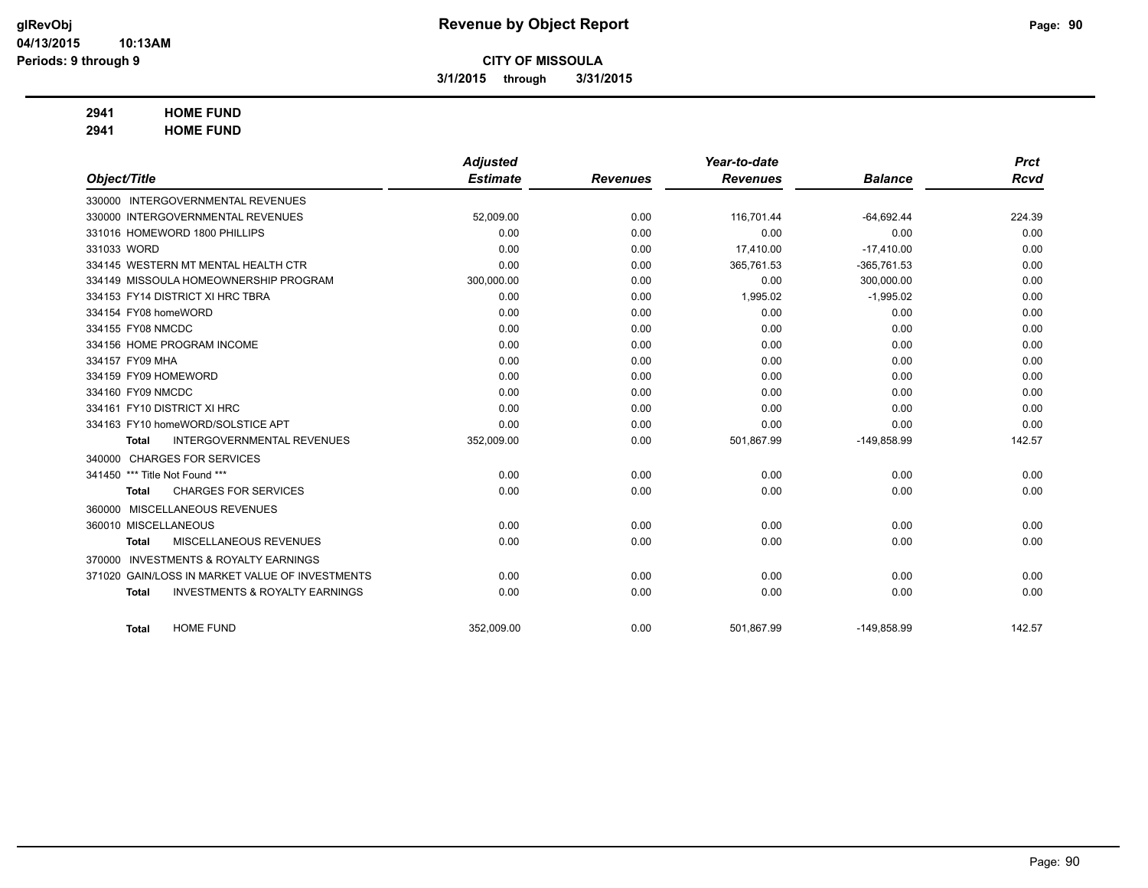**3/1/2015 through 3/31/2015**

# **2941 HOME FUND**

**2941 HOME FUND**

|                             |                                                 | <b>Adjusted</b> |                 | Year-to-date    |                | <b>Prct</b> |
|-----------------------------|-------------------------------------------------|-----------------|-----------------|-----------------|----------------|-------------|
| Object/Title                |                                                 | <b>Estimate</b> | <b>Revenues</b> | <b>Revenues</b> | <b>Balance</b> | <b>Rcvd</b> |
|                             | 330000 INTERGOVERNMENTAL REVENUES               |                 |                 |                 |                |             |
|                             | 330000 INTERGOVERNMENTAL REVENUES               | 52,009.00       | 0.00            | 116,701.44      | $-64,692.44$   | 224.39      |
|                             | 331016 HOMEWORD 1800 PHILLIPS                   | 0.00            | 0.00            | 0.00            | 0.00           | 0.00        |
| 331033 WORD                 |                                                 | 0.00            | 0.00            | 17.410.00       | $-17,410.00$   | 0.00        |
|                             | 334145 WESTERN MT MENTAL HEALTH CTR             | 0.00            | 0.00            | 365,761.53      | $-365,761.53$  | 0.00        |
|                             | 334149 MISSOULA HOMEOWNERSHIP PROGRAM           | 300,000.00      | 0.00            | 0.00            | 300,000.00     | 0.00        |
|                             | 334153 FY14 DISTRICT XI HRC TBRA                | 0.00            | 0.00            | 1,995.02        | $-1,995.02$    | 0.00        |
| 334154 FY08 homeWORD        |                                                 | 0.00            | 0.00            | 0.00            | 0.00           | 0.00        |
| 334155 FY08 NMCDC           |                                                 | 0.00            | 0.00            | 0.00            | 0.00           | 0.00        |
|                             | 334156 HOME PROGRAM INCOME                      | 0.00            | 0.00            | 0.00            | 0.00           | 0.00        |
| 334157 FY09 MHA             |                                                 | 0.00            | 0.00            | 0.00            | 0.00           | 0.00        |
| 334159 FY09 HOMEWORD        |                                                 | 0.00            | 0.00            | 0.00            | 0.00           | 0.00        |
| 334160 FY09 NMCDC           |                                                 | 0.00            | 0.00            | 0.00            | 0.00           | 0.00        |
| 334161 FY10 DISTRICT XI HRC |                                                 | 0.00            | 0.00            | 0.00            | 0.00           | 0.00        |
|                             | 334163 FY10 homeWORD/SOLSTICE APT               | 0.00            | 0.00            | 0.00            | 0.00           | 0.00        |
| <b>Total</b>                | <b>INTERGOVERNMENTAL REVENUES</b>               | 352,009.00      | 0.00            | 501,867.99      | $-149,858.99$  | 142.57      |
|                             | 340000 CHARGES FOR SERVICES                     |                 |                 |                 |                |             |
| 341450                      | *** Title Not Found ***                         | 0.00            | 0.00            | 0.00            | 0.00           | 0.00        |
| <b>Total</b>                | <b>CHARGES FOR SERVICES</b>                     | 0.00            | 0.00            | 0.00            | 0.00           | 0.00        |
|                             | 360000 MISCELLANEOUS REVENUES                   |                 |                 |                 |                |             |
| 360010 MISCELLANEOUS        |                                                 | 0.00            | 0.00            | 0.00            | 0.00           | 0.00        |
| <b>Total</b>                | MISCELLANEOUS REVENUES                          | 0.00            | 0.00            | 0.00            | 0.00           | 0.00        |
| 370000                      | <b>INVESTMENTS &amp; ROYALTY EARNINGS</b>       |                 |                 |                 |                |             |
|                             | 371020 GAIN/LOSS IN MARKET VALUE OF INVESTMENTS | 0.00            | 0.00            | 0.00            | 0.00           | 0.00        |
| <b>Total</b>                | <b>INVESTMENTS &amp; ROYALTY EARNINGS</b>       | 0.00            | 0.00            | 0.00            | 0.00           | 0.00        |
|                             |                                                 |                 |                 |                 |                |             |
| <b>Total</b>                | <b>HOME FUND</b>                                | 352,009.00      | 0.00            | 501,867.99      | $-149,858.99$  | 142.57      |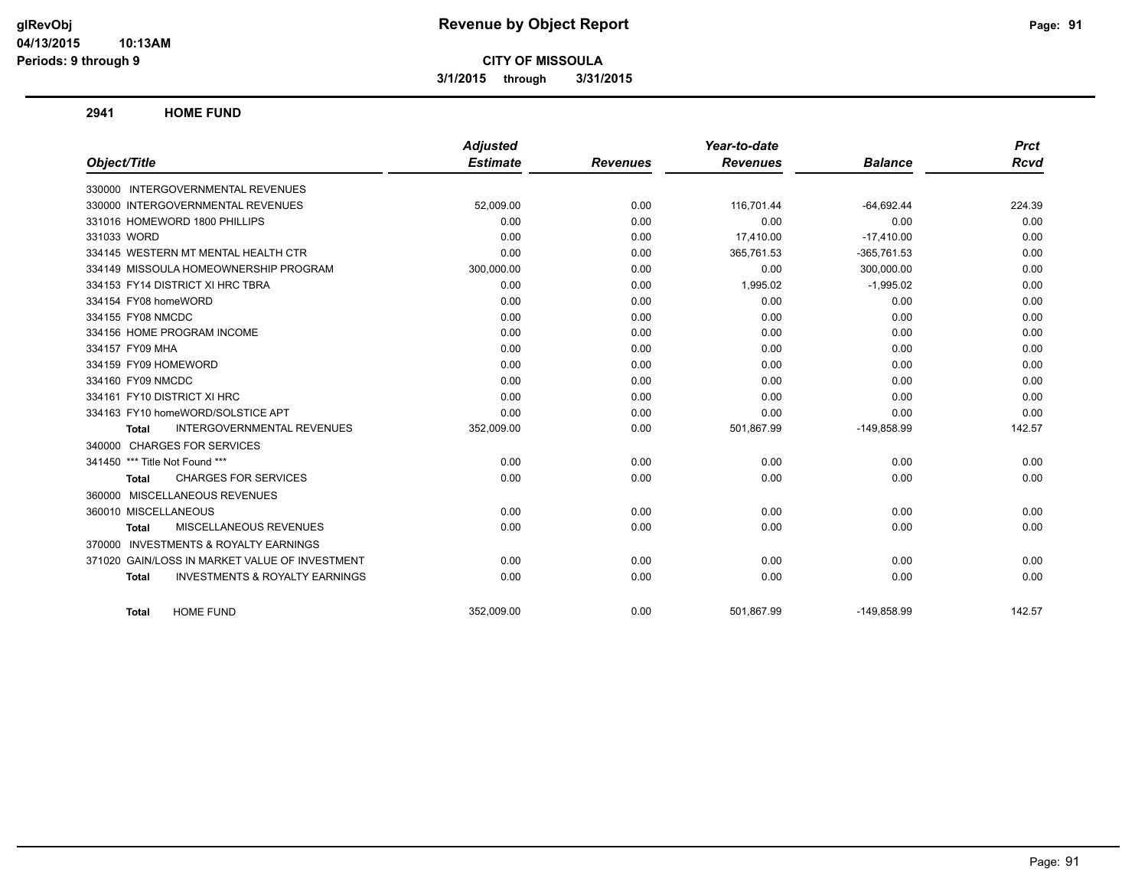**3/1/2015 through 3/31/2015**

#### **2941 HOME FUND**

|                                                           | <b>Adjusted</b> |                 | Year-to-date    |                | <b>Prct</b> |
|-----------------------------------------------------------|-----------------|-----------------|-----------------|----------------|-------------|
| Object/Title                                              | <b>Estimate</b> | <b>Revenues</b> | <b>Revenues</b> | <b>Balance</b> | <b>Rcvd</b> |
| 330000 INTERGOVERNMENTAL REVENUES                         |                 |                 |                 |                |             |
| 330000 INTERGOVERNMENTAL REVENUES                         | 52,009.00       | 0.00            | 116,701.44      | $-64,692.44$   | 224.39      |
| 331016 HOMEWORD 1800 PHILLIPS                             | 0.00            | 0.00            | 0.00            | 0.00           | 0.00        |
| 331033 WORD                                               | 0.00            | 0.00            | 17,410.00       | $-17,410.00$   | 0.00        |
| 334145 WESTERN MT MENTAL HEALTH CTR                       | 0.00            | 0.00            | 365,761.53      | $-365,761.53$  | 0.00        |
| 334149 MISSOULA HOMEOWNERSHIP PROGRAM                     | 300,000.00      | 0.00            | 0.00            | 300,000.00     | 0.00        |
| 334153 FY14 DISTRICT XI HRC TBRA                          | 0.00            | 0.00            | 1,995.02        | $-1,995.02$    | 0.00        |
| 334154 FY08 homeWORD                                      | 0.00            | 0.00            | 0.00            | 0.00           | 0.00        |
| 334155 FY08 NMCDC                                         | 0.00            | 0.00            | 0.00            | 0.00           | 0.00        |
| 334156 HOME PROGRAM INCOME                                | 0.00            | 0.00            | 0.00            | 0.00           | 0.00        |
| 334157 FY09 MHA                                           | 0.00            | 0.00            | 0.00            | 0.00           | 0.00        |
| 334159 FY09 HOMEWORD                                      | 0.00            | 0.00            | 0.00            | 0.00           | 0.00        |
| 334160 FY09 NMCDC                                         | 0.00            | 0.00            | 0.00            | 0.00           | 0.00        |
| 334161 FY10 DISTRICT XI HRC                               | 0.00            | 0.00            | 0.00            | 0.00           | 0.00        |
| 334163 FY10 homeWORD/SOLSTICE APT                         | 0.00            | 0.00            | 0.00            | 0.00           | 0.00        |
| <b>INTERGOVERNMENTAL REVENUES</b><br>Total                | 352,009.00      | 0.00            | 501,867.99      | $-149,858.99$  | 142.57      |
| 340000 CHARGES FOR SERVICES                               |                 |                 |                 |                |             |
| 341450 *** Title Not Found ***                            | 0.00            | 0.00            | 0.00            | 0.00           | 0.00        |
| <b>CHARGES FOR SERVICES</b><br>Total                      | 0.00            | 0.00            | 0.00            | 0.00           | 0.00        |
| 360000 MISCELLANEOUS REVENUES                             |                 |                 |                 |                |             |
| 360010 MISCELLANEOUS                                      | 0.00            | 0.00            | 0.00            | 0.00           | 0.00        |
| <b>MISCELLANEOUS REVENUES</b><br><b>Total</b>             | 0.00            | 0.00            | 0.00            | 0.00           | 0.00        |
| 370000 INVESTMENTS & ROYALTY EARNINGS                     |                 |                 |                 |                |             |
| 371020 GAIN/LOSS IN MARKET VALUE OF INVESTMENT            | 0.00            | 0.00            | 0.00            | 0.00           | 0.00        |
| <b>INVESTMENTS &amp; ROYALTY EARNINGS</b><br><b>Total</b> | 0.00            | 0.00            | 0.00            | 0.00           | 0.00        |
| <b>HOME FUND</b><br>Total                                 | 352,009.00      | 0.00            | 501,867.99      | $-149,858.99$  | 142.57      |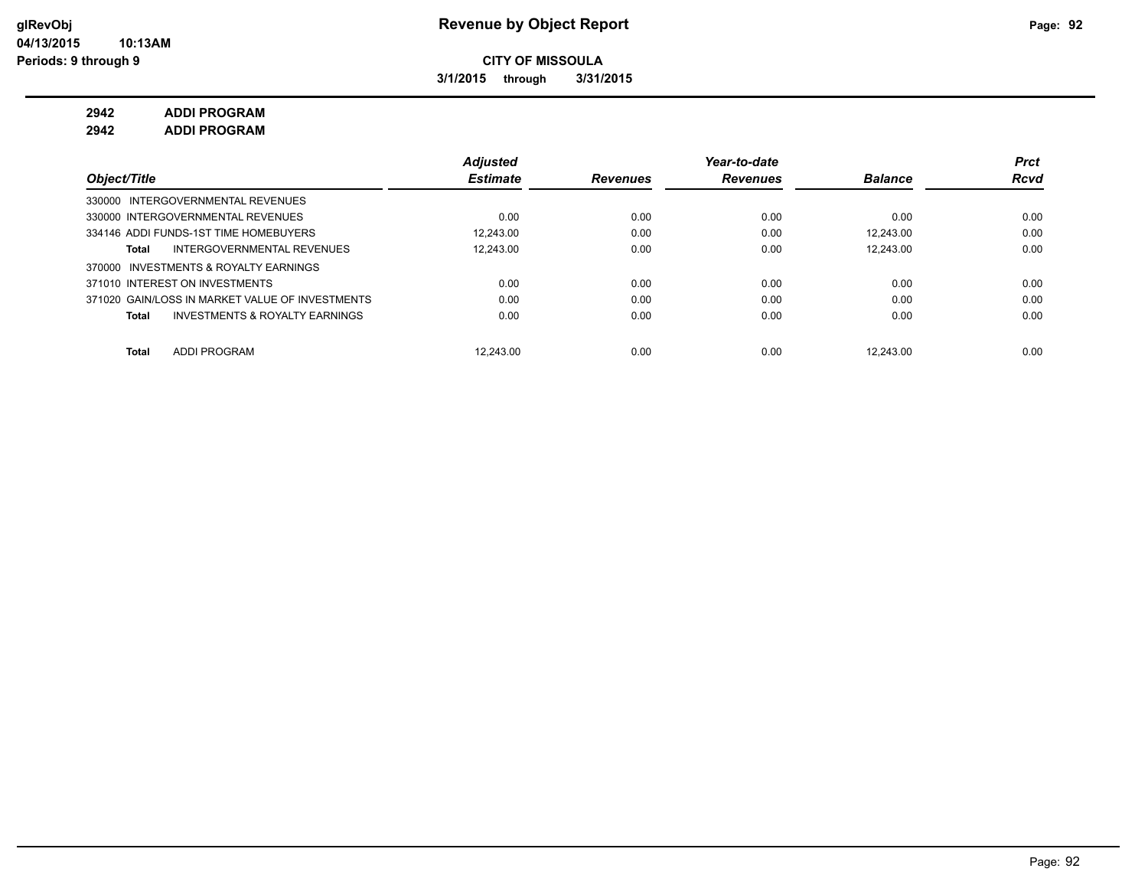**3/1/2015 through 3/31/2015**

**2942 ADDI PROGRAM**

**2942 ADDI PROGRAM**

|                                                    | <b>Adjusted</b> |                 | Year-to-date    |                | <b>Prct</b> |
|----------------------------------------------------|-----------------|-----------------|-----------------|----------------|-------------|
| Object/Title                                       | <b>Estimate</b> | <b>Revenues</b> | <b>Revenues</b> | <b>Balance</b> | <b>Rcvd</b> |
| 330000 INTERGOVERNMENTAL REVENUES                  |                 |                 |                 |                |             |
| 330000 INTERGOVERNMENTAL REVENUES                  | 0.00            | 0.00            | 0.00            | 0.00           | 0.00        |
| 334146 ADDI FUNDS-1ST TIME HOMEBUYERS              | 12.243.00       | 0.00            | 0.00            | 12.243.00      | 0.00        |
| INTERGOVERNMENTAL REVENUES<br>Total                | 12.243.00       | 0.00            | 0.00            | 12.243.00      | 0.00        |
| INVESTMENTS & ROYALTY EARNINGS<br>370000           |                 |                 |                 |                |             |
| 371010 INTEREST ON INVESTMENTS                     | 0.00            | 0.00            | 0.00            | 0.00           | 0.00        |
| 371020 GAIN/LOSS IN MARKET VALUE OF INVESTMENTS    | 0.00            | 0.00            | 0.00            | 0.00           | 0.00        |
| <b>INVESTMENTS &amp; ROYALTY EARNINGS</b><br>Total | 0.00            | 0.00            | 0.00            | 0.00           | 0.00        |
|                                                    |                 |                 |                 |                |             |
| <b>ADDI PROGRAM</b><br><b>Total</b>                | 12.243.00       | 0.00            | 0.00            | 12.243.00      | 0.00        |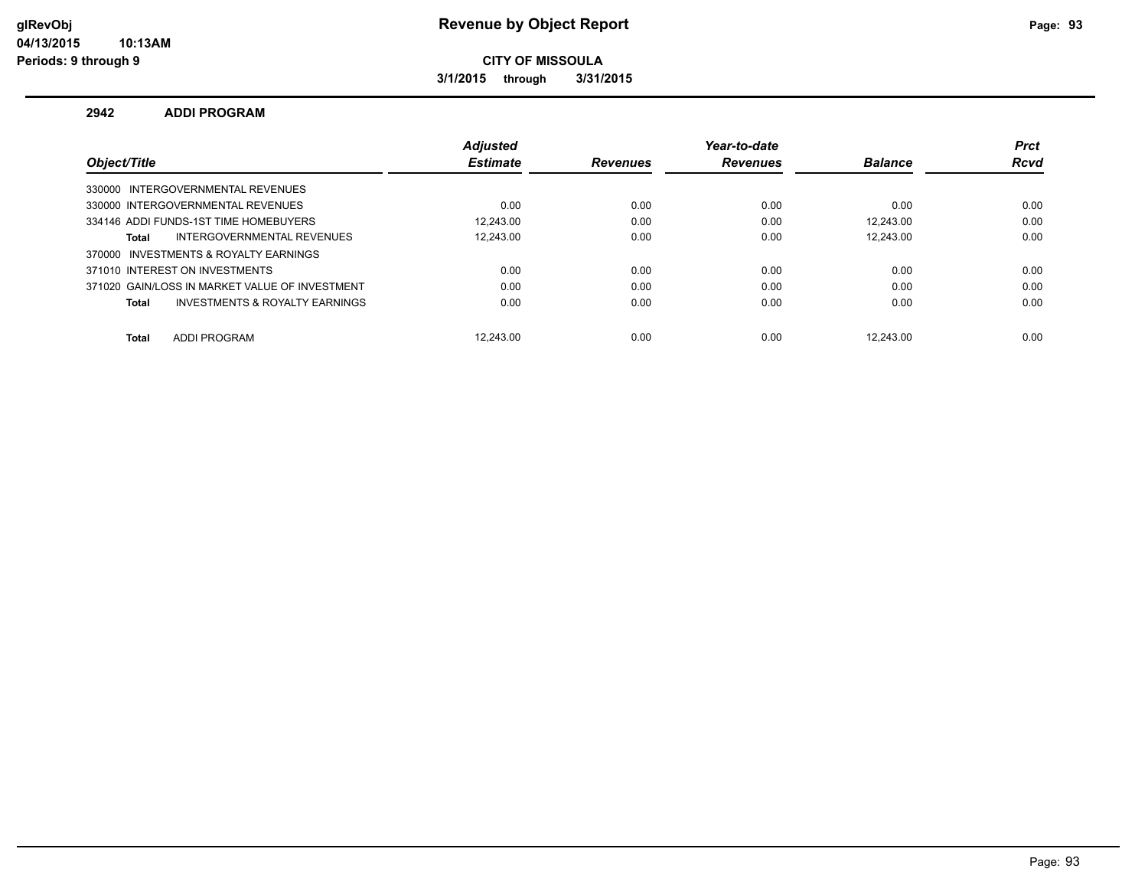**3/1/2015 through 3/31/2015**

#### **2942 ADDI PROGRAM**

|                                                | <b>Adjusted</b> |                 | Year-to-date    |                | <b>Prct</b> |
|------------------------------------------------|-----------------|-----------------|-----------------|----------------|-------------|
| Object/Title                                   | <b>Estimate</b> | <b>Revenues</b> | <b>Revenues</b> | <b>Balance</b> | <b>Rcvd</b> |
| 330000 INTERGOVERNMENTAL REVENUES              |                 |                 |                 |                |             |
| 330000 INTERGOVERNMENTAL REVENUES              | 0.00            | 0.00            | 0.00            | 0.00           | 0.00        |
| 334146 ADDI FUNDS-1ST TIME HOMEBUYERS          | 12.243.00       | 0.00            | 0.00            | 12.243.00      | 0.00        |
| INTERGOVERNMENTAL REVENUES<br>Total            | 12.243.00       | 0.00            | 0.00            | 12.243.00      | 0.00        |
| 370000 INVESTMENTS & ROYALTY EARNINGS          |                 |                 |                 |                |             |
| 371010 INTEREST ON INVESTMENTS                 | 0.00            | 0.00            | 0.00            | 0.00           | 0.00        |
| 371020 GAIN/LOSS IN MARKET VALUE OF INVESTMENT | 0.00            | 0.00            | 0.00            | 0.00           | 0.00        |
| INVESTMENTS & ROYALTY EARNINGS<br>Total        | 0.00            | 0.00            | 0.00            | 0.00           | 0.00        |
| <b>ADDI PROGRAM</b>                            | 12.243.00       | 0.00            | 0.00            | 12.243.00      | 0.00        |
| <b>Total</b>                                   |                 |                 |                 |                |             |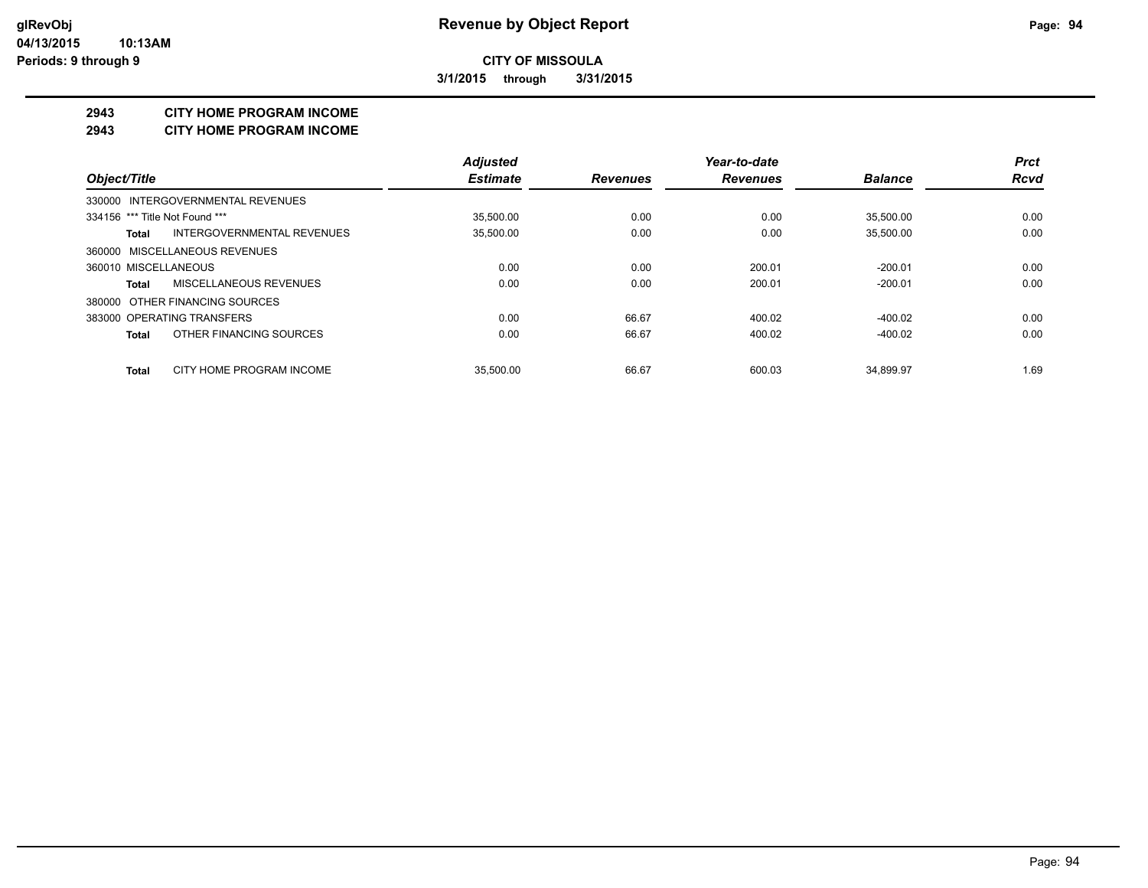**3/1/2015 through 3/31/2015**

#### **2943 CITY HOME PROGRAM INCOME**

#### **2943 CITY HOME PROGRAM INCOME**

|                                     | <b>Adjusted</b> |                 | Year-to-date    |                | <b>Prct</b> |
|-------------------------------------|-----------------|-----------------|-----------------|----------------|-------------|
| Object/Title                        | <b>Estimate</b> | <b>Revenues</b> | <b>Revenues</b> | <b>Balance</b> | <b>Rcvd</b> |
| 330000 INTERGOVERNMENTAL REVENUES   |                 |                 |                 |                |             |
| 334156 *** Title Not Found ***      | 35.500.00       | 0.00            | 0.00            | 35.500.00      | 0.00        |
| INTERGOVERNMENTAL REVENUES<br>Total | 35,500.00       | 0.00            | 0.00            | 35,500.00      | 0.00        |
| 360000 MISCELLANEOUS REVENUES       |                 |                 |                 |                |             |
| 360010 MISCELLANEOUS                | 0.00            | 0.00            | 200.01          | $-200.01$      | 0.00        |
| MISCELLANEOUS REVENUES<br>Total     | 0.00            | 0.00            | 200.01          | $-200.01$      | 0.00        |
| 380000 OTHER FINANCING SOURCES      |                 |                 |                 |                |             |
| 383000 OPERATING TRANSFERS          | 0.00            | 66.67           | 400.02          | $-400.02$      | 0.00        |
| OTHER FINANCING SOURCES<br>Total    | 0.00            | 66.67           | 400.02          | $-400.02$      | 0.00        |
| CITY HOME PROGRAM INCOME<br>Total   | 35.500.00       | 66.67           | 600.03          | 34.899.97      | 1.69        |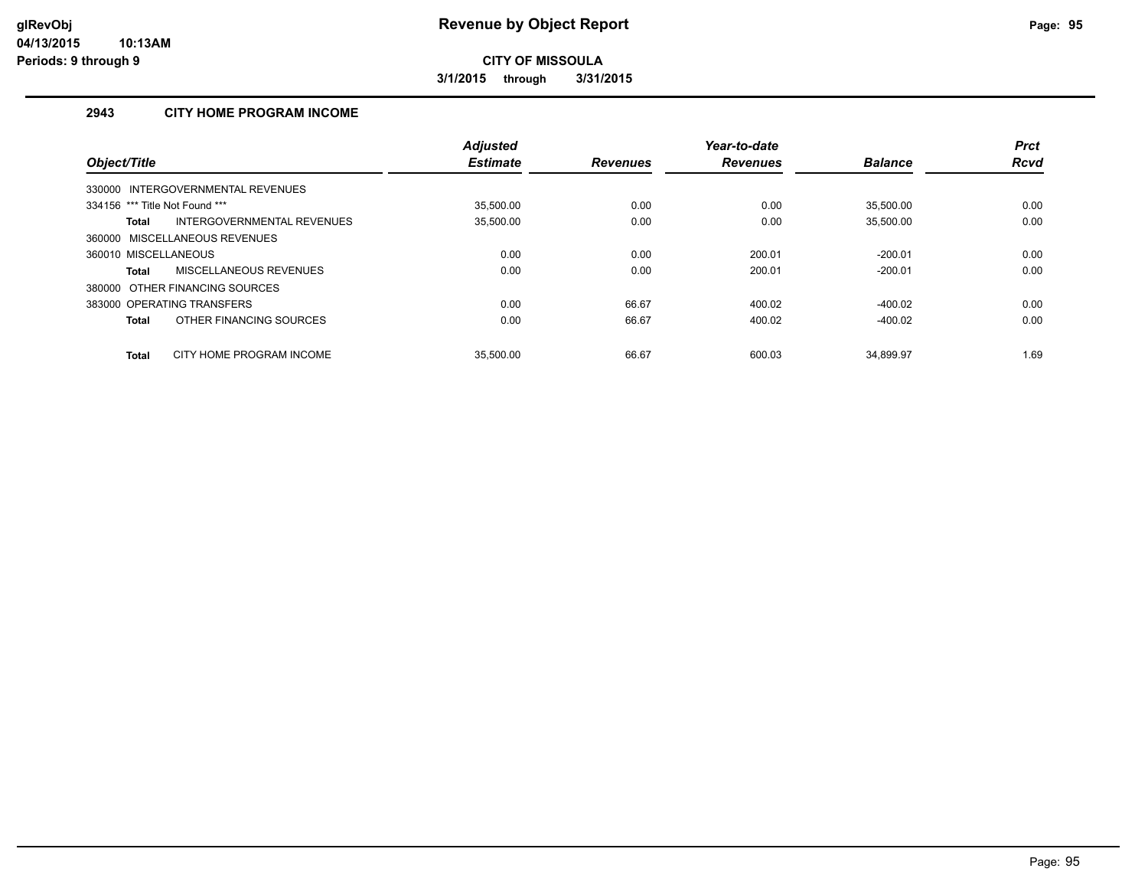**3/1/2015 through 3/31/2015**

# **2943 CITY HOME PROGRAM INCOME**

|                                          | <b>Adjusted</b> |                 | Year-to-date    |                | <b>Prct</b> |
|------------------------------------------|-----------------|-----------------|-----------------|----------------|-------------|
| Object/Title                             | <b>Estimate</b> | <b>Revenues</b> | <b>Revenues</b> | <b>Balance</b> | <b>Rcvd</b> |
| 330000 INTERGOVERNMENTAL REVENUES        |                 |                 |                 |                |             |
| 334156 *** Title Not Found ***           | 35.500.00       | 0.00            | 0.00            | 35.500.00      | 0.00        |
| INTERGOVERNMENTAL REVENUES<br>Total      | 35,500.00       | 0.00            | 0.00            | 35,500.00      | 0.00        |
| 360000 MISCELLANEOUS REVENUES            |                 |                 |                 |                |             |
| 360010 MISCELLANEOUS                     | 0.00            | 0.00            | 200.01          | $-200.01$      | 0.00        |
| MISCELLANEOUS REVENUES<br>Total          | 0.00            | 0.00            | 200.01          | $-200.01$      | 0.00        |
| OTHER FINANCING SOURCES<br>380000        |                 |                 |                 |                |             |
| 383000 OPERATING TRANSFERS               | 0.00            | 66.67           | 400.02          | $-400.02$      | 0.00        |
| OTHER FINANCING SOURCES<br>Total         | 0.00            | 66.67           | 400.02          | $-400.02$      | 0.00        |
| CITY HOME PROGRAM INCOME<br><b>Total</b> | 35.500.00       | 66.67           | 600.03          | 34.899.97      | 1.69        |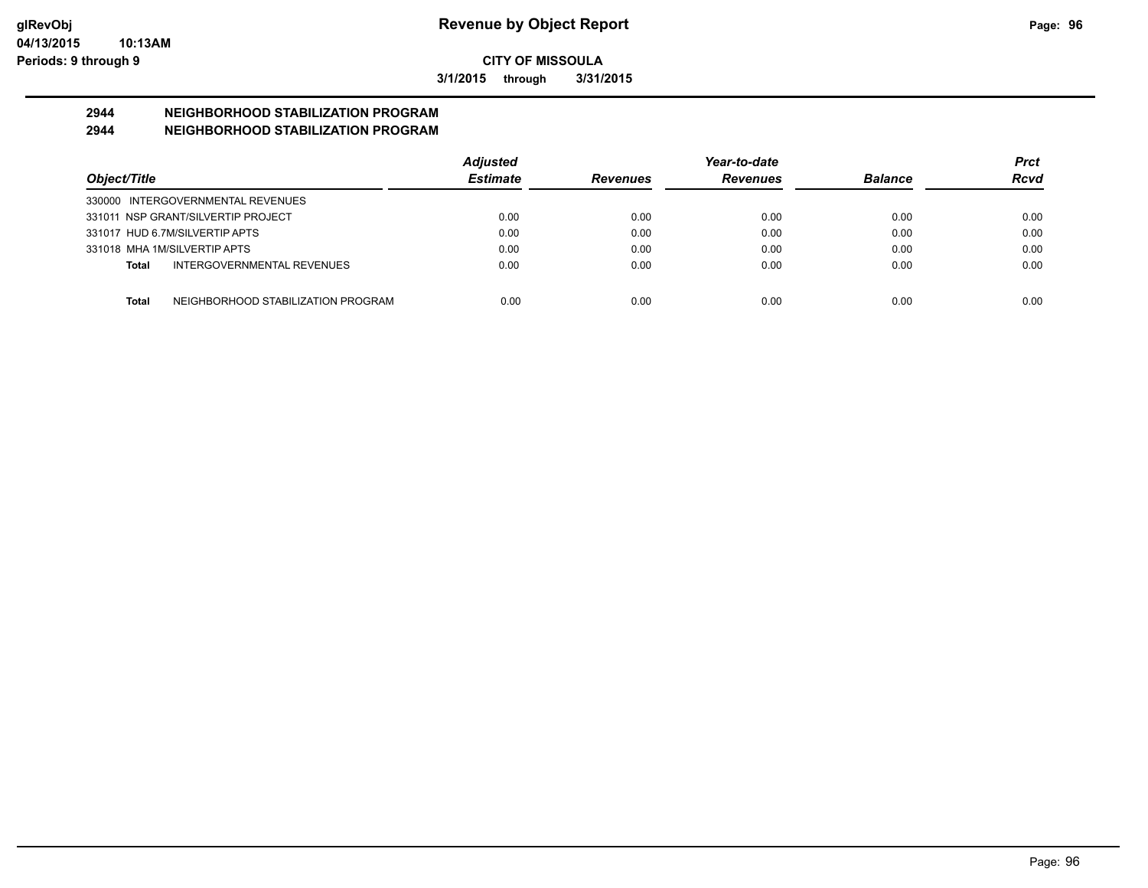**3/1/2015 through 3/31/2015**

# **2944 NEIGHBORHOOD STABILIZATION PROGRAM**

# **2944 NEIGHBORHOOD STABILIZATION PROGRAM**

|                                                    | <b>Adjusted</b> |                 | Year-to-date    |                | Prct |
|----------------------------------------------------|-----------------|-----------------|-----------------|----------------|------|
| Object/Title                                       | <b>Estimate</b> | <b>Revenues</b> | <b>Revenues</b> | <b>Balance</b> | Rcvd |
| 330000 INTERGOVERNMENTAL REVENUES                  |                 |                 |                 |                |      |
| 331011 NSP GRANT/SILVERTIP PROJECT                 | 0.00            | 0.00            | 0.00            | 0.00           | 0.00 |
| 331017 HUD 6.7M/SILVERTIP APTS                     | 0.00            | 0.00            | 0.00            | 0.00           | 0.00 |
| 331018 MHA 1M/SILVERTIP APTS                       | 0.00            | 0.00            | 0.00            | 0.00           | 0.00 |
| INTERGOVERNMENTAL REVENUES<br>Total                | 0.00            | 0.00            | 0.00            | 0.00           | 0.00 |
|                                                    |                 |                 |                 |                |      |
| NEIGHBORHOOD STABILIZATION PROGRAM<br><b>Total</b> | 0.00            | 0.00            | 0.00            | 0.00           | 0.00 |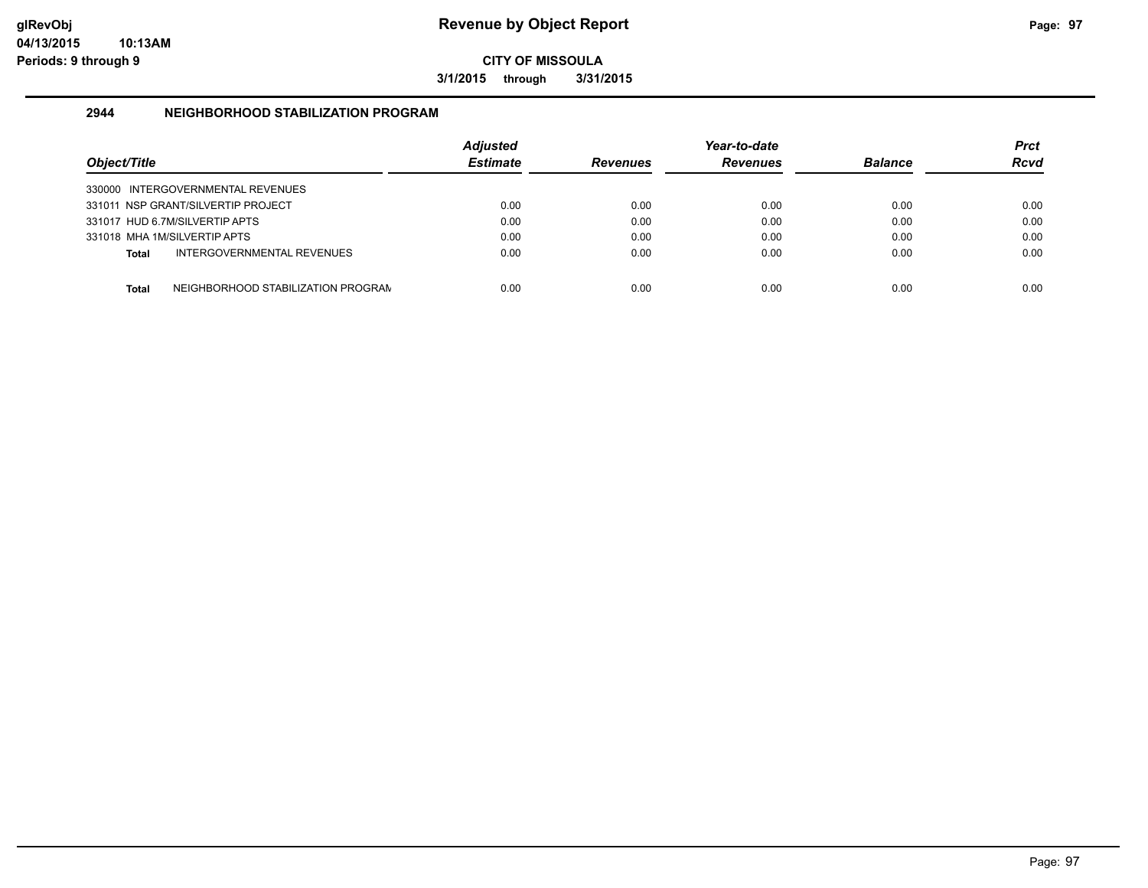**3/1/2015 through 3/31/2015**

#### **2944 NEIGHBORHOOD STABILIZATION PROGRAM**

| Object/Title                                | <b>Adiusted</b><br><b>Estimate</b> | <b>Revenues</b> | Year-to-date<br><b>Revenues</b> | <b>Balance</b> | <b>Prct</b><br><b>Rcvd</b> |
|---------------------------------------------|------------------------------------|-----------------|---------------------------------|----------------|----------------------------|
| 330000 INTERGOVERNMENTAL REVENUES           |                                    |                 |                                 |                |                            |
| 331011 NSP GRANT/SILVERTIP PROJECT          | 0.00                               | 0.00            | 0.00                            | 0.00           | 0.00                       |
| 331017 HUD 6.7M/SILVERTIP APTS              | 0.00                               | 0.00            | 0.00                            | 0.00           | 0.00                       |
| 331018 MHA 1M/SILVERTIP APTS                | 0.00                               | 0.00            | 0.00                            | 0.00           | 0.00                       |
| INTERGOVERNMENTAL REVENUES<br>Total         | 0.00                               | 0.00            | 0.00                            | 0.00           | 0.00                       |
| NEIGHBORHOOD STABILIZATION PROGRAM<br>Total | 0.00                               | 0.00            | 0.00                            | 0.00           | 0.00                       |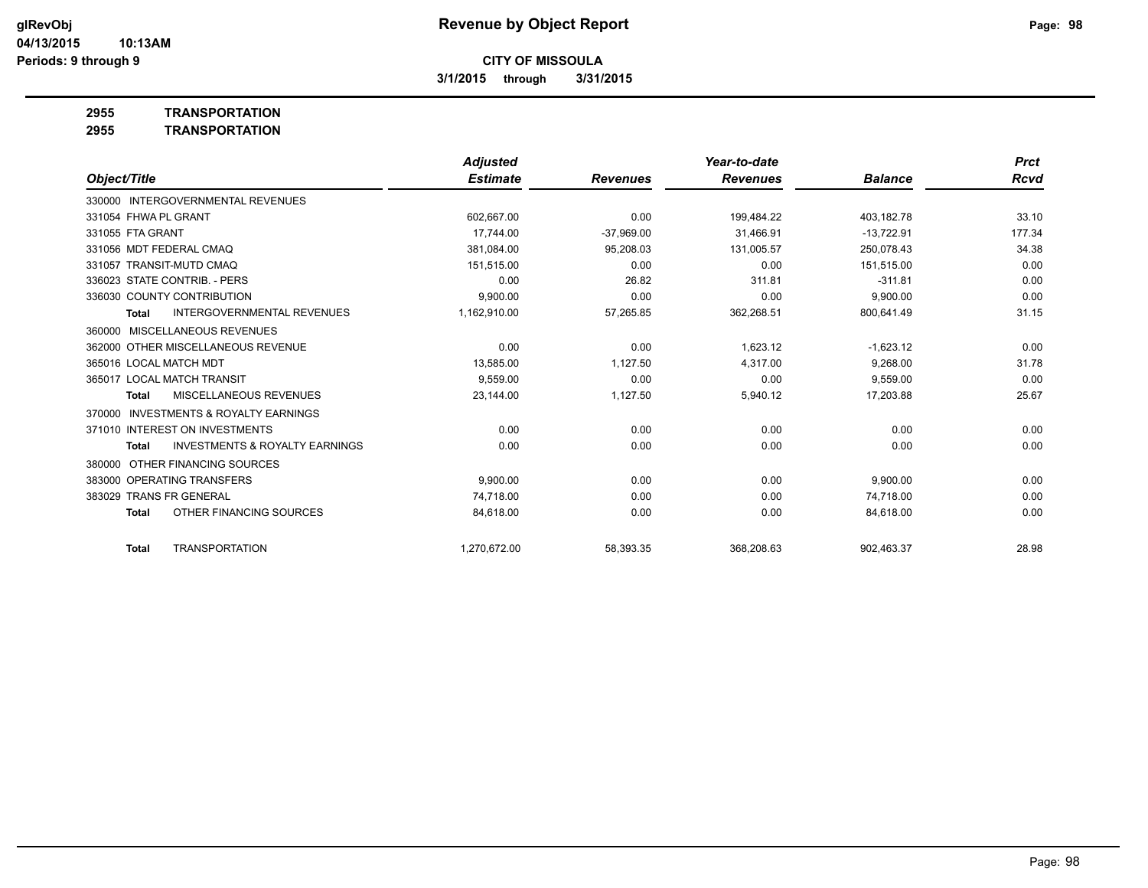**3/1/2015 through 3/31/2015**

## **2955 TRANSPORTATION**

**2955 TRANSPORTATION**

|                                                     | <b>Adjusted</b> |                 | Year-to-date    |                | <b>Prct</b> |
|-----------------------------------------------------|-----------------|-----------------|-----------------|----------------|-------------|
| Object/Title                                        | <b>Estimate</b> | <b>Revenues</b> | <b>Revenues</b> | <b>Balance</b> | Rcvd        |
| 330000 INTERGOVERNMENTAL REVENUES                   |                 |                 |                 |                |             |
| 331054 FHWA PL GRANT                                | 602,667.00      | 0.00            | 199,484.22      | 403,182.78     | 33.10       |
| 331055 FTA GRANT                                    | 17.744.00       | $-37,969.00$    | 31.466.91       | $-13.722.91$   | 177.34      |
| 331056 MDT FEDERAL CMAQ                             | 381,084.00      | 95,208.03       | 131,005.57      | 250,078.43     | 34.38       |
| 331057 TRANSIT-MUTD CMAQ                            | 151,515.00      | 0.00            | 0.00            | 151,515.00     | 0.00        |
| 336023 STATE CONTRIB. - PERS                        | 0.00            | 26.82           | 311.81          | $-311.81$      | 0.00        |
| 336030 COUNTY CONTRIBUTION                          | 9,900.00        | 0.00            | 0.00            | 9.900.00       | 0.00        |
| <b>INTERGOVERNMENTAL REVENUES</b><br>Total          | 1,162,910.00    | 57,265.85       | 362,268.51      | 800,641.49     | 31.15       |
| 360000 MISCELLANEOUS REVENUES                       |                 |                 |                 |                |             |
| 362000 OTHER MISCELLANEOUS REVENUE                  | 0.00            | 0.00            | 1,623.12        | $-1,623.12$    | 0.00        |
| 365016 LOCAL MATCH MDT                              | 13,585.00       | 1,127.50        | 4,317.00        | 9,268.00       | 31.78       |
| 365017 LOCAL MATCH TRANSIT                          | 9.559.00        | 0.00            | 0.00            | 9.559.00       | 0.00        |
| <b>MISCELLANEOUS REVENUES</b><br>Total              | 23,144.00       | 1,127.50        | 5,940.12        | 17,203.88      | 25.67       |
| <b>INVESTMENTS &amp; ROYALTY EARNINGS</b><br>370000 |                 |                 |                 |                |             |
| 371010 INTEREST ON INVESTMENTS                      | 0.00            | 0.00            | 0.00            | 0.00           | 0.00        |
| <b>INVESTMENTS &amp; ROYALTY EARNINGS</b><br>Total  | 0.00            | 0.00            | 0.00            | 0.00           | 0.00        |
| OTHER FINANCING SOURCES<br>380000                   |                 |                 |                 |                |             |
| 383000 OPERATING TRANSFERS                          | 9,900.00        | 0.00            | 0.00            | 9,900.00       | 0.00        |
| 383029 TRANS FR GENERAL                             | 74.718.00       | 0.00            | 0.00            | 74.718.00      | 0.00        |
| OTHER FINANCING SOURCES<br><b>Total</b>             | 84,618.00       | 0.00            | 0.00            | 84,618.00      | 0.00        |
| <b>TRANSPORTATION</b><br><b>Total</b>               | 1.270.672.00    | 58,393.35       | 368,208.63      | 902,463.37     | 28.98       |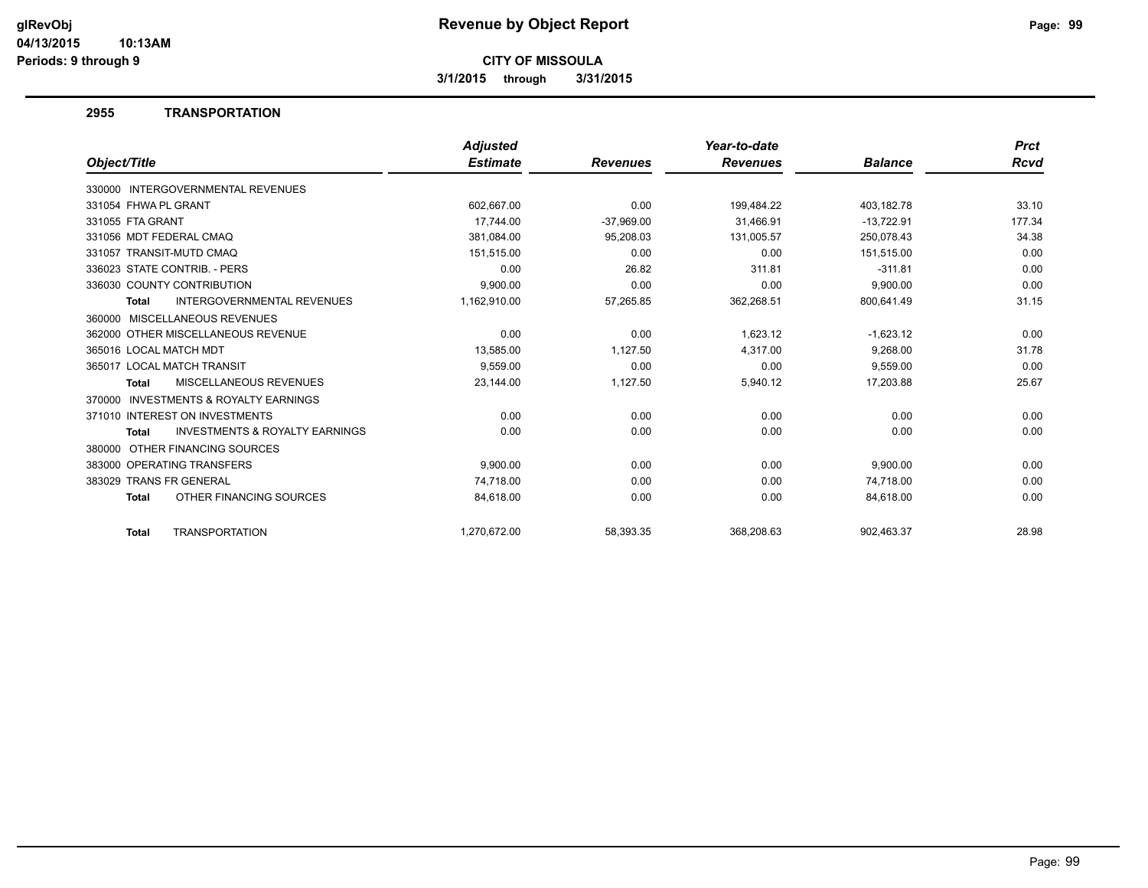**3/1/2015 through 3/31/2015**

#### **2955 TRANSPORTATION**

|                         |                                           | <b>Adjusted</b> |                 | Year-to-date    |                | <b>Prct</b> |
|-------------------------|-------------------------------------------|-----------------|-----------------|-----------------|----------------|-------------|
| Object/Title            |                                           | <b>Estimate</b> | <b>Revenues</b> | <b>Revenues</b> | <b>Balance</b> | Rcvd        |
|                         | 330000 INTERGOVERNMENTAL REVENUES         |                 |                 |                 |                |             |
| 331054 FHWA PL GRANT    |                                           | 602,667.00      | 0.00            | 199,484.22      | 403,182.78     | 33.10       |
| 331055 FTA GRANT        |                                           | 17.744.00       | $-37,969.00$    | 31,466.91       | $-13,722.91$   | 177.34      |
| 331056 MDT FEDERAL CMAQ |                                           | 381,084.00      | 95,208.03       | 131,005.57      | 250,078.43     | 34.38       |
|                         | 331057 TRANSIT-MUTD CMAQ                  | 151,515.00      | 0.00            | 0.00            | 151.515.00     | 0.00        |
|                         | 336023 STATE CONTRIB. - PERS              | 0.00            | 26.82           | 311.81          | $-311.81$      | 0.00        |
|                         | 336030 COUNTY CONTRIBUTION                | 9.900.00        | 0.00            | 0.00            | 9,900.00       | 0.00        |
| <b>Total</b>            | <b>INTERGOVERNMENTAL REVENUES</b>         | 1,162,910.00    | 57,265.85       | 362,268.51      | 800,641.49     | 31.15       |
|                         | 360000 MISCELLANEOUS REVENUES             |                 |                 |                 |                |             |
|                         | 362000 OTHER MISCELLANEOUS REVENUE        | 0.00            | 0.00            | 1,623.12        | $-1,623.12$    | 0.00        |
| 365016 LOCAL MATCH MDT  |                                           | 13,585.00       | 1,127.50        | 4,317.00        | 9,268.00       | 31.78       |
|                         | 365017 LOCAL MATCH TRANSIT                | 9,559.00        | 0.00            | 0.00            | 9,559.00       | 0.00        |
| <b>Total</b>            | MISCELLANEOUS REVENUES                    | 23,144.00       | 1,127.50        | 5,940.12        | 17,203.88      | 25.67       |
|                         | 370000 INVESTMENTS & ROYALTY EARNINGS     |                 |                 |                 |                |             |
|                         | 371010 INTEREST ON INVESTMENTS            | 0.00            | 0.00            | 0.00            | 0.00           | 0.00        |
| Total                   | <b>INVESTMENTS &amp; ROYALTY EARNINGS</b> | 0.00            | 0.00            | 0.00            | 0.00           | 0.00        |
|                         | 380000 OTHER FINANCING SOURCES            |                 |                 |                 |                |             |
|                         | 383000 OPERATING TRANSFERS                | 9.900.00        | 0.00            | 0.00            | 9,900.00       | 0.00        |
| 383029 TRANS FR GENERAL |                                           | 74,718.00       | 0.00            | 0.00            | 74,718.00      | 0.00        |
| <b>Total</b>            | OTHER FINANCING SOURCES                   | 84,618.00       | 0.00            | 0.00            | 84,618.00      | 0.00        |
| <b>Total</b>            | <b>TRANSPORTATION</b>                     | 1.270.672.00    | 58,393.35       | 368,208.63      | 902.463.37     | 28.98       |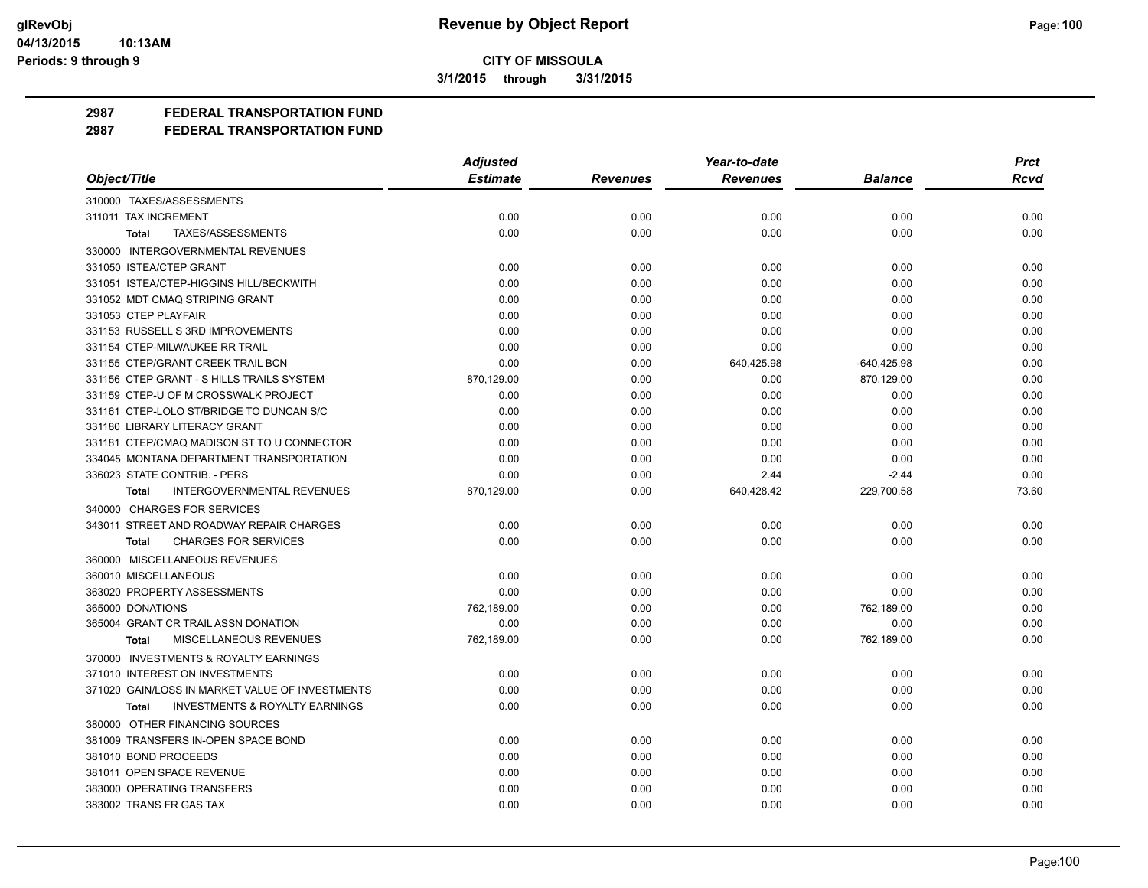**3/1/2015 through 3/31/2015**

**2987 FEDERAL TRANSPORTATION FUND**

|                                                           | <b>Adjusted</b> |                 | Year-to-date    |                | <b>Prct</b> |
|-----------------------------------------------------------|-----------------|-----------------|-----------------|----------------|-------------|
| Object/Title                                              | <b>Estimate</b> | <b>Revenues</b> | <b>Revenues</b> | <b>Balance</b> | <b>Rcvd</b> |
| 310000 TAXES/ASSESSMENTS                                  |                 |                 |                 |                |             |
| 311011 TAX INCREMENT                                      | 0.00            | 0.00            | 0.00            | 0.00           | 0.00        |
| TAXES/ASSESSMENTS<br>Total                                | 0.00            | 0.00            | 0.00            | 0.00           | 0.00        |
| 330000 INTERGOVERNMENTAL REVENUES                         |                 |                 |                 |                |             |
| 331050 ISTEA/CTEP GRANT                                   | 0.00            | 0.00            | 0.00            | 0.00           | 0.00        |
| 331051 ISTEA/CTEP-HIGGINS HILL/BECKWITH                   | 0.00            | 0.00            | 0.00            | 0.00           | 0.00        |
| 331052 MDT CMAQ STRIPING GRANT                            | 0.00            | 0.00            | 0.00            | 0.00           | 0.00        |
| 331053 CTEP PLAYFAIR                                      | 0.00            | 0.00            | 0.00            | 0.00           | 0.00        |
| 331153 RUSSELL S 3RD IMPROVEMENTS                         | 0.00            | 0.00            | 0.00            | 0.00           | 0.00        |
| 331154 CTEP-MILWAUKEE RR TRAIL                            | 0.00            | 0.00            | 0.00            | 0.00           | 0.00        |
| 331155 CTEP/GRANT CREEK TRAIL BCN                         | 0.00            | 0.00            | 640,425.98      | $-640,425.98$  | 0.00        |
| 331156 CTEP GRANT - S HILLS TRAILS SYSTEM                 | 870,129.00      | 0.00            | 0.00            | 870,129.00     | 0.00        |
| 331159 CTEP-U OF M CROSSWALK PROJECT                      | 0.00            | 0.00            | 0.00            | 0.00           | 0.00        |
| 331161 CTEP-LOLO ST/BRIDGE TO DUNCAN S/C                  | 0.00            | 0.00            | 0.00            | 0.00           | 0.00        |
| 331180 LIBRARY LITERACY GRANT                             | 0.00            | 0.00            | 0.00            | 0.00           | 0.00        |
| 331181 CTEP/CMAQ MADISON ST TO U CONNECTOR                | 0.00            | 0.00            | 0.00            | 0.00           | 0.00        |
| 334045 MONTANA DEPARTMENT TRANSPORTATION                  | 0.00            | 0.00            | 0.00            | 0.00           | 0.00        |
| 336023 STATE CONTRIB. - PERS                              | 0.00            | 0.00            | 2.44            | $-2.44$        | 0.00        |
| <b>INTERGOVERNMENTAL REVENUES</b><br><b>Total</b>         | 870,129.00      | 0.00            | 640,428.42      | 229,700.58     | 73.60       |
| 340000 CHARGES FOR SERVICES                               |                 |                 |                 |                |             |
| 343011 STREET AND ROADWAY REPAIR CHARGES                  | 0.00            | 0.00            | 0.00            | 0.00           | 0.00        |
| <b>CHARGES FOR SERVICES</b><br><b>Total</b>               | 0.00            | 0.00            | 0.00            | 0.00           | 0.00        |
| 360000 MISCELLANEOUS REVENUES                             |                 |                 |                 |                |             |
| 360010 MISCELLANEOUS                                      | 0.00            | 0.00            | 0.00            | 0.00           | 0.00        |
| 363020 PROPERTY ASSESSMENTS                               | 0.00            | 0.00            | 0.00            | 0.00           | 0.00        |
| 365000 DONATIONS                                          | 762,189.00      | 0.00            | 0.00            | 762,189.00     | 0.00        |
| 365004 GRANT CR TRAIL ASSN DONATION                       | 0.00            | 0.00            | 0.00            | 0.00           | 0.00        |
| MISCELLANEOUS REVENUES<br>Total                           | 762,189.00      | 0.00            | 0.00            | 762,189.00     | 0.00        |
| 370000 INVESTMENTS & ROYALTY EARNINGS                     |                 |                 |                 |                |             |
| 371010 INTEREST ON INVESTMENTS                            | 0.00            | 0.00            | 0.00            | 0.00           | 0.00        |
| 371020 GAIN/LOSS IN MARKET VALUE OF INVESTMENTS           | 0.00            | 0.00            | 0.00            | 0.00           | 0.00        |
| <b>INVESTMENTS &amp; ROYALTY EARNINGS</b><br><b>Total</b> | 0.00            | 0.00            | 0.00            | 0.00           | 0.00        |
| 380000 OTHER FINANCING SOURCES                            |                 |                 |                 |                |             |
| 381009 TRANSFERS IN-OPEN SPACE BOND                       | 0.00            | 0.00            | 0.00            | 0.00           | 0.00        |
| 381010 BOND PROCEEDS                                      | 0.00            | 0.00            | 0.00            | 0.00           | 0.00        |
| 381011 OPEN SPACE REVENUE                                 | 0.00            | 0.00            | 0.00            | 0.00           | 0.00        |
| 383000 OPERATING TRANSFERS                                | 0.00            | 0.00            | 0.00            | 0.00           | 0.00        |
| 383002 TRANS FR GAS TAX                                   | 0.00            | 0.00            | 0.00            | 0.00           | 0.00        |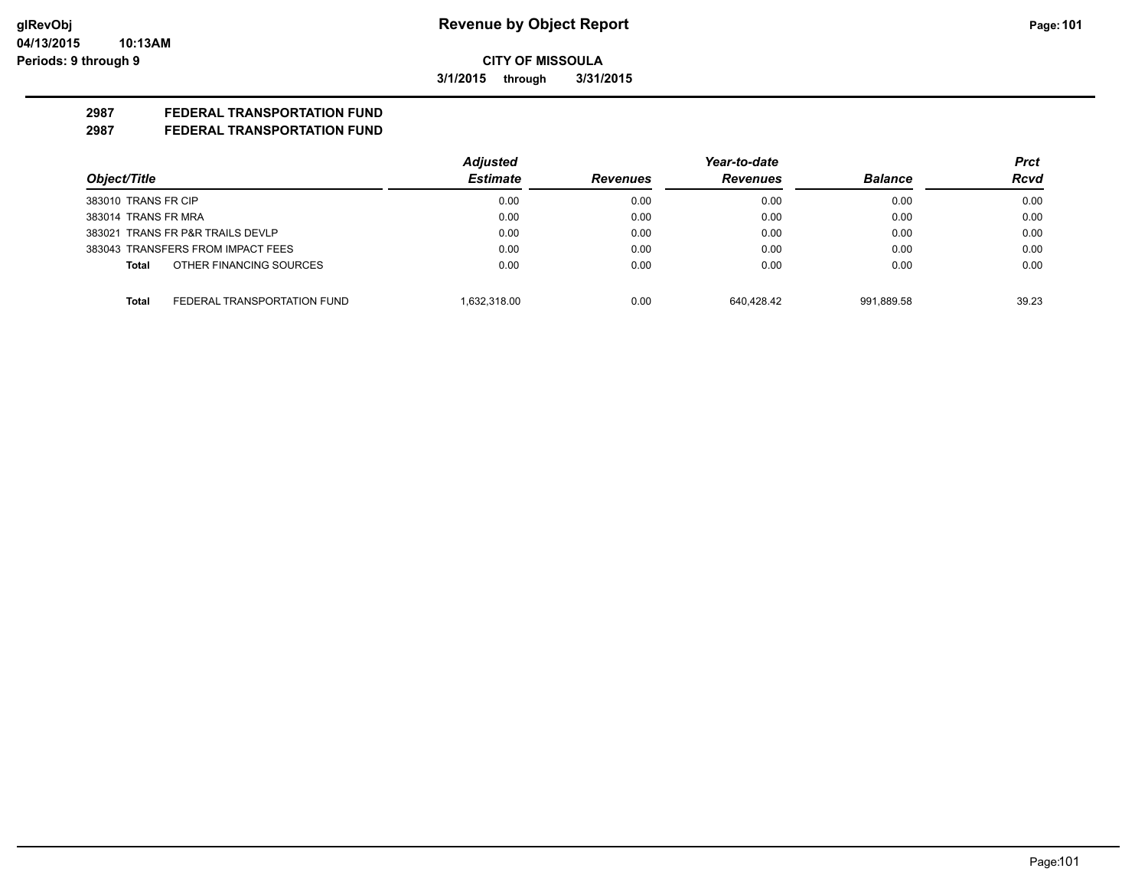**3/1/2015 through 3/31/2015**

# **2987 FEDERAL TRANSPORTATION FUND**

|                                             | <b>Adjusted</b> |                 | Year-to-date    |                | Prct        |
|---------------------------------------------|-----------------|-----------------|-----------------|----------------|-------------|
| Object/Title                                | <b>Estimate</b> | <b>Revenues</b> | <b>Revenues</b> | <b>Balance</b> | <b>Rcvd</b> |
| 383010 TRANS FR CIP                         | 0.00            | 0.00            | 0.00            | 0.00           | 0.00        |
| 383014 TRANS FR MRA                         | 0.00            | 0.00            | 0.00            | 0.00           | 0.00        |
| 383021 TRANS FR P&R TRAILS DEVLP            | 0.00            | 0.00            | 0.00            | 0.00           | 0.00        |
| 383043 TRANSFERS FROM IMPACT FEES           | 0.00            | 0.00            | 0.00            | 0.00           | 0.00        |
| OTHER FINANCING SOURCES<br>Total            | 0.00            | 0.00            | 0.00            | 0.00           | 0.00        |
| FEDERAL TRANSPORTATION FUND<br><b>Total</b> | 1.632.318.00    | 0.00            | 640.428.42      | 991.889.58     | 39.23       |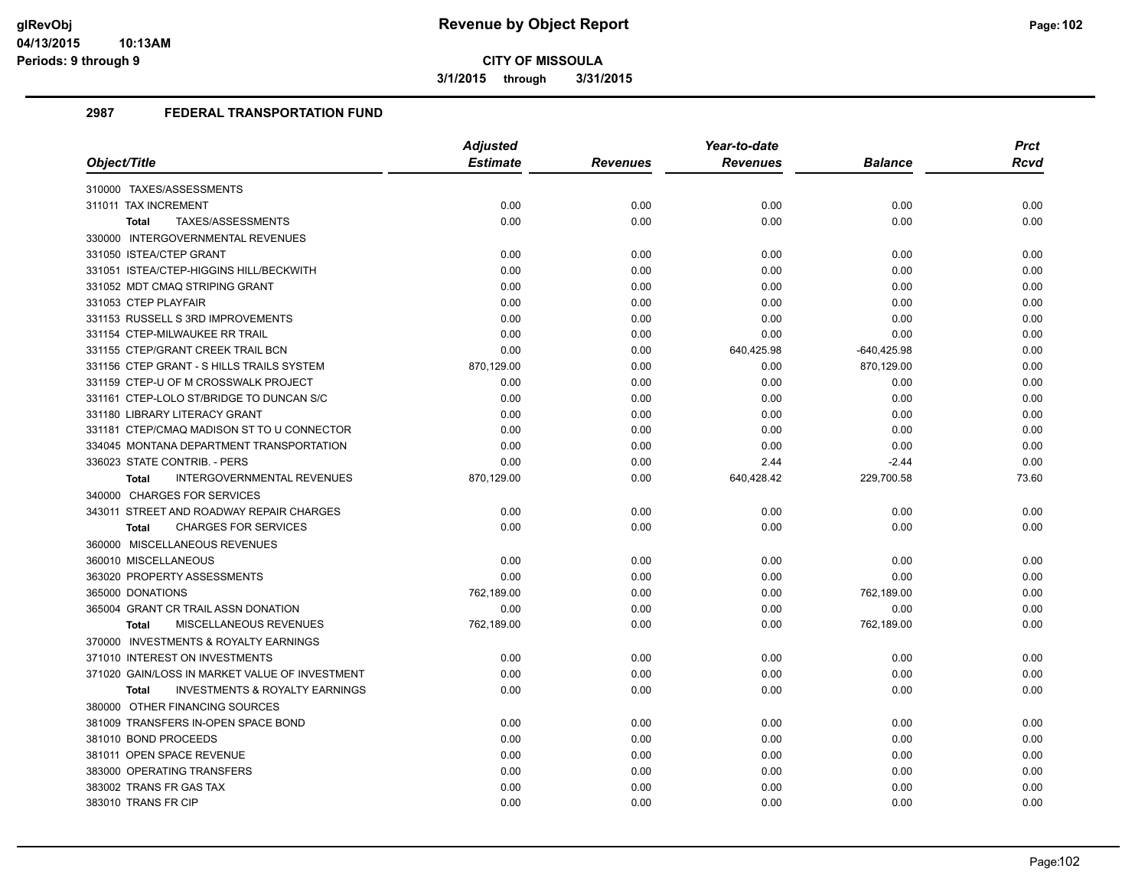**3/1/2015 through 3/31/2015**

|                                                           | <b>Adjusted</b> |                 | Year-to-date    |                | <b>Prct</b> |
|-----------------------------------------------------------|-----------------|-----------------|-----------------|----------------|-------------|
| Object/Title                                              | <b>Estimate</b> | <b>Revenues</b> | <b>Revenues</b> | <b>Balance</b> | <b>Rcvd</b> |
| 310000 TAXES/ASSESSMENTS                                  |                 |                 |                 |                |             |
| 311011 TAX INCREMENT                                      | 0.00            | 0.00            | 0.00            | 0.00           | 0.00        |
| TAXES/ASSESSMENTS<br><b>Total</b>                         | 0.00            | 0.00            | 0.00            | 0.00           | 0.00        |
| 330000 INTERGOVERNMENTAL REVENUES                         |                 |                 |                 |                |             |
| 331050 ISTEA/CTEP GRANT                                   | 0.00            | 0.00            | 0.00            | 0.00           | 0.00        |
| 331051 ISTEA/CTEP-HIGGINS HILL/BECKWITH                   | 0.00            | 0.00            | 0.00            | 0.00           | 0.00        |
| 331052 MDT CMAQ STRIPING GRANT                            | 0.00            | 0.00            | 0.00            | 0.00           | 0.00        |
| 331053 CTEP PLAYFAIR                                      | 0.00            | 0.00            | 0.00            | 0.00           | 0.00        |
| 331153 RUSSELL S 3RD IMPROVEMENTS                         | 0.00            | 0.00            | 0.00            | 0.00           | 0.00        |
| 331154 CTEP-MILWAUKEE RR TRAIL                            | 0.00            | 0.00            | 0.00            | 0.00           | 0.00        |
| 331155 CTEP/GRANT CREEK TRAIL BCN                         | 0.00            | 0.00            | 640,425.98      | $-640, 425.98$ | 0.00        |
| 331156 CTEP GRANT - S HILLS TRAILS SYSTEM                 | 870,129.00      | 0.00            | 0.00            | 870,129.00     | 0.00        |
| 331159 CTEP-U OF M CROSSWALK PROJECT                      | 0.00            | 0.00            | 0.00            | 0.00           | 0.00        |
| 331161 CTEP-LOLO ST/BRIDGE TO DUNCAN S/C                  | 0.00            | 0.00            | 0.00            | 0.00           | 0.00        |
| 331180 LIBRARY LITERACY GRANT                             | 0.00            | 0.00            | 0.00            | 0.00           | 0.00        |
| 331181 CTEP/CMAQ MADISON ST TO U CONNECTOR                | 0.00            | 0.00            | 0.00            | 0.00           | 0.00        |
| 334045 MONTANA DEPARTMENT TRANSPORTATION                  | 0.00            | 0.00            | 0.00            | 0.00           | 0.00        |
| 336023 STATE CONTRIB. - PERS                              | 0.00            | 0.00            | 2.44            | $-2.44$        | 0.00        |
| INTERGOVERNMENTAL REVENUES<br>Total                       | 870,129.00      | 0.00            | 640,428.42      | 229,700.58     | 73.60       |
| 340000 CHARGES FOR SERVICES                               |                 |                 |                 |                |             |
| 343011 STREET AND ROADWAY REPAIR CHARGES                  | 0.00            | 0.00            | 0.00            | 0.00           | 0.00        |
| <b>CHARGES FOR SERVICES</b><br><b>Total</b>               | 0.00            | 0.00            | 0.00            | 0.00           | 0.00        |
| 360000 MISCELLANEOUS REVENUES                             |                 |                 |                 |                |             |
| 360010 MISCELLANEOUS                                      | 0.00            | 0.00            | 0.00            | 0.00           | 0.00        |
| 363020 PROPERTY ASSESSMENTS                               | 0.00            | 0.00            | 0.00            | 0.00           | 0.00        |
| 365000 DONATIONS                                          | 762,189.00      | 0.00            | 0.00            | 762,189.00     | 0.00        |
| 365004 GRANT CR TRAIL ASSN DONATION                       | 0.00            | 0.00            | 0.00            | 0.00           | 0.00        |
| MISCELLANEOUS REVENUES<br><b>Total</b>                    | 762,189.00      | 0.00            | 0.00            | 762,189.00     | 0.00        |
| 370000 INVESTMENTS & ROYALTY EARNINGS                     |                 |                 |                 |                |             |
| 371010 INTEREST ON INVESTMENTS                            | 0.00            | 0.00            | 0.00            | 0.00           | 0.00        |
| 371020 GAIN/LOSS IN MARKET VALUE OF INVESTMENT            | 0.00            | 0.00            | 0.00            | 0.00           | 0.00        |
| <b>INVESTMENTS &amp; ROYALTY EARNINGS</b><br><b>Total</b> | 0.00            | 0.00            | 0.00            | 0.00           | 0.00        |
| 380000 OTHER FINANCING SOURCES                            |                 |                 |                 |                |             |
| 381009 TRANSFERS IN-OPEN SPACE BOND                       | 0.00            | 0.00            | 0.00            | 0.00           | 0.00        |
| 381010 BOND PROCEEDS                                      | 0.00            | 0.00            | 0.00            | 0.00           | 0.00        |
| 381011 OPEN SPACE REVENUE                                 | 0.00            | 0.00            | 0.00            | 0.00           | 0.00        |
| 383000 OPERATING TRANSFERS                                | 0.00            | 0.00            | 0.00            | 0.00           | 0.00        |
| 383002 TRANS FR GAS TAX                                   | 0.00            | 0.00            | 0.00            | 0.00           | 0.00        |
| 383010 TRANS FR CIP                                       | 0.00            | 0.00            | 0.00            | 0.00           | 0.00        |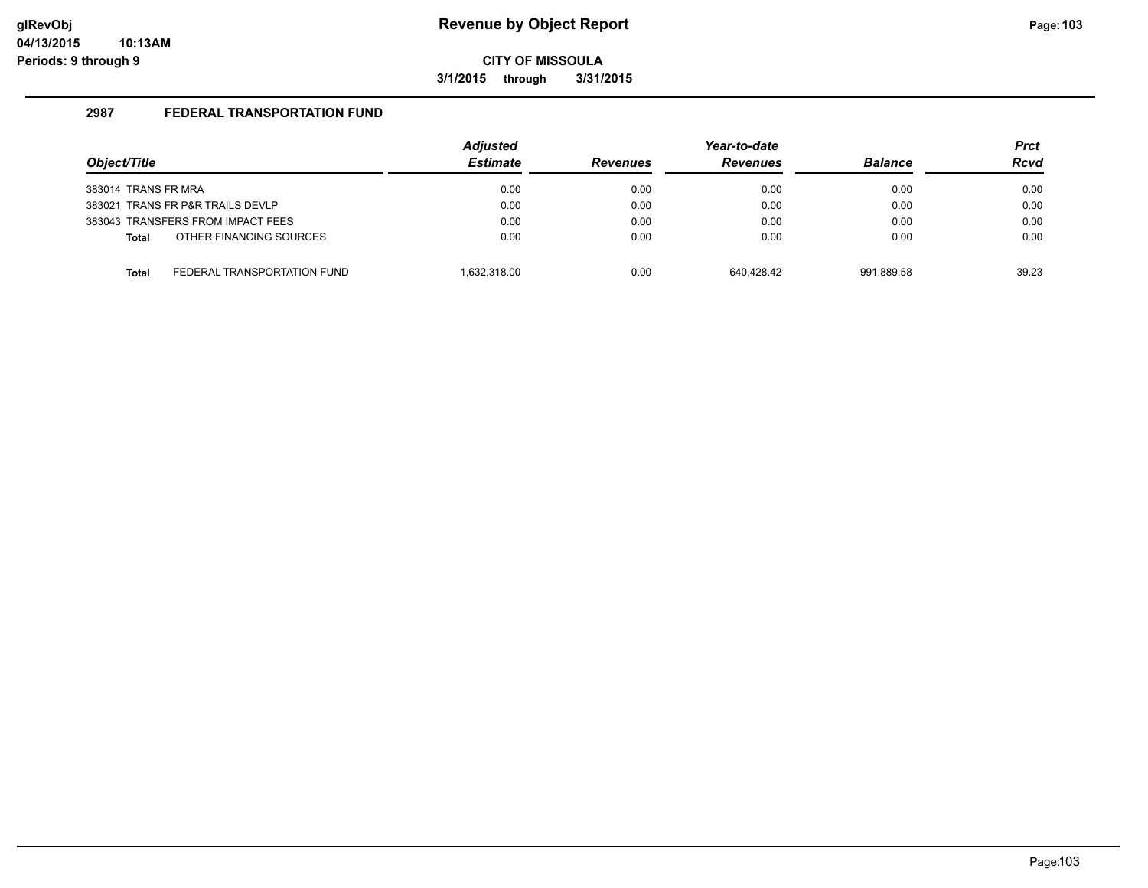**3/1/2015 through 3/31/2015**

| Object/Title                      |                             | <b>Adjusted</b><br><b>Estimate</b> | <b>Revenues</b> | Year-to-date<br><b>Revenues</b> | <b>Balance</b> | <b>Prct</b><br><b>Rcvd</b> |
|-----------------------------------|-----------------------------|------------------------------------|-----------------|---------------------------------|----------------|----------------------------|
|                                   |                             |                                    |                 |                                 |                |                            |
| 383014 TRANS FR MRA               |                             | 0.00                               | 0.00            | 0.00                            | 0.00           | 0.00                       |
| 383021 TRANS FR P&R TRAILS DEVLP  |                             | 0.00                               | 0.00            | 0.00                            | 0.00           | 0.00                       |
| 383043 TRANSFERS FROM IMPACT FEES |                             | 0.00                               | 0.00            | 0.00                            | 0.00           | 0.00                       |
| <b>Total</b>                      | OTHER FINANCING SOURCES     | 0.00                               | 0.00            | 0.00                            | 0.00           | 0.00                       |
|                                   |                             |                                    |                 |                                 |                |                            |
| <b>Total</b>                      | FEDERAL TRANSPORTATION FUND | 1.632.318.00                       | 0.00            | 640.428.42                      | 991.889.58     | 39.23                      |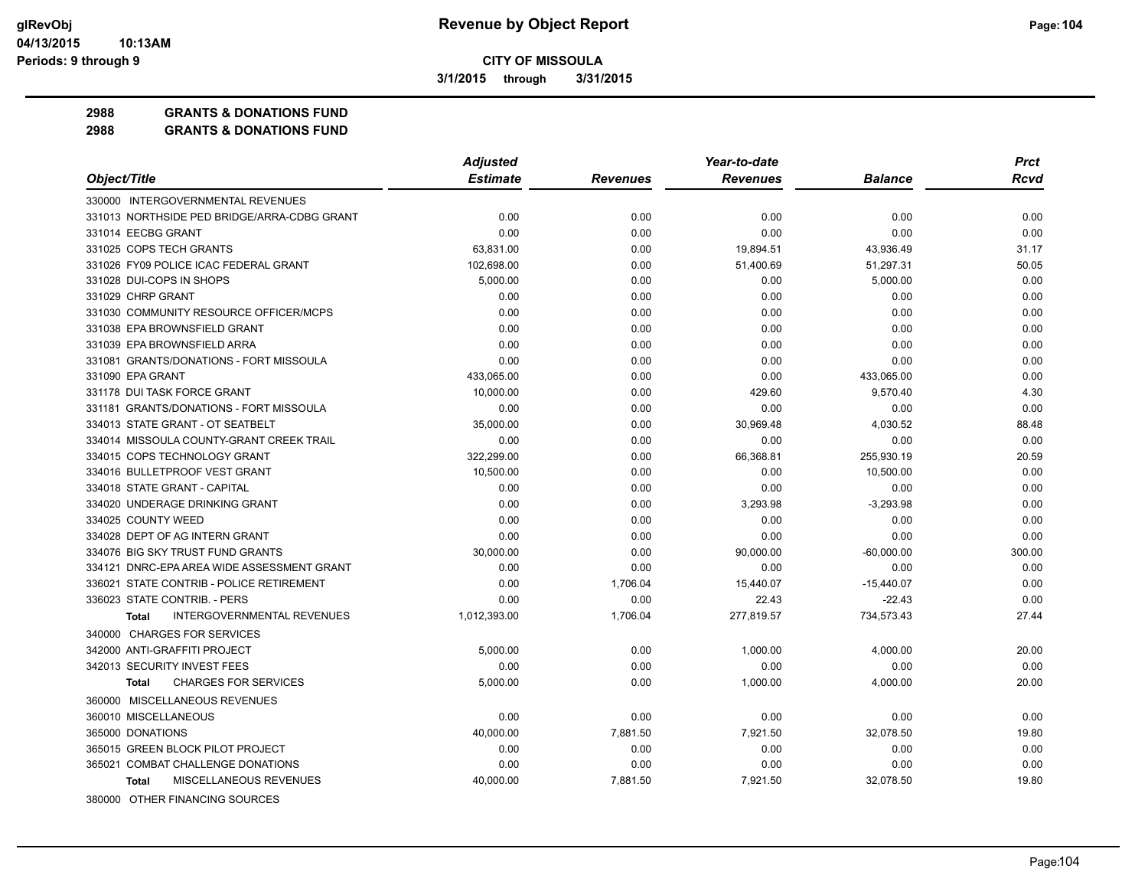**3/1/2015 through 3/31/2015**

**2988 GRANTS & DONATIONS FUND**

|                                                   | Year-to-date<br><b>Adjusted</b> |                 |                 |                | <b>Prct</b> |
|---------------------------------------------------|---------------------------------|-----------------|-----------------|----------------|-------------|
| Object/Title                                      | <b>Estimate</b>                 | <b>Revenues</b> | <b>Revenues</b> | <b>Balance</b> | Rcvd        |
| 330000 INTERGOVERNMENTAL REVENUES                 |                                 |                 |                 |                |             |
| 331013 NORTHSIDE PED BRIDGE/ARRA-CDBG GRANT       | 0.00                            | 0.00            | 0.00            | 0.00           | 0.00        |
| 331014 EECBG GRANT                                | 0.00                            | 0.00            | 0.00            | 0.00           | 0.00        |
| 331025 COPS TECH GRANTS                           | 63,831.00                       | 0.00            | 19,894.51       | 43,936.49      | 31.17       |
| 331026 FY09 POLICE ICAC FEDERAL GRANT             | 102,698.00                      | 0.00            | 51,400.69       | 51,297.31      | 50.05       |
| 331028 DUI-COPS IN SHOPS                          | 5,000.00                        | 0.00            | 0.00            | 5,000.00       | 0.00        |
| 331029 CHRP GRANT                                 | 0.00                            | 0.00            | 0.00            | 0.00           | 0.00        |
| 331030 COMMUNITY RESOURCE OFFICER/MCPS            | 0.00                            | 0.00            | 0.00            | 0.00           | 0.00        |
| 331038 EPA BROWNSFIELD GRANT                      | 0.00                            | 0.00            | 0.00            | 0.00           | 0.00        |
| 331039 EPA BROWNSFIELD ARRA                       | 0.00                            | 0.00            | 0.00            | 0.00           | 0.00        |
| 331081 GRANTS/DONATIONS - FORT MISSOULA           | 0.00                            | 0.00            | 0.00            | 0.00           | 0.00        |
| 331090 EPA GRANT                                  | 433.065.00                      | 0.00            | 0.00            | 433,065.00     | 0.00        |
| 331178 DUI TASK FORCE GRANT                       | 10.000.00                       | 0.00            | 429.60          | 9.570.40       | 4.30        |
| 331181 GRANTS/DONATIONS - FORT MISSOULA           | 0.00                            | 0.00            | 0.00            | 0.00           | 0.00        |
| 334013 STATE GRANT - OT SEATBELT                  | 35,000.00                       | 0.00            | 30,969.48       | 4,030.52       | 88.48       |
| 334014 MISSOULA COUNTY-GRANT CREEK TRAIL          | 0.00                            | 0.00            | 0.00            | 0.00           | 0.00        |
| 334015 COPS TECHNOLOGY GRANT                      | 322,299.00                      | 0.00            | 66,368.81       | 255,930.19     | 20.59       |
| 334016 BULLETPROOF VEST GRANT                     | 10.500.00                       | 0.00            | 0.00            | 10,500.00      | 0.00        |
| 334018 STATE GRANT - CAPITAL                      | 0.00                            | 0.00            | 0.00            | 0.00           | 0.00        |
| 334020 UNDERAGE DRINKING GRANT                    | 0.00                            | 0.00            | 3,293.98        | $-3,293.98$    | 0.00        |
| 334025 COUNTY WEED                                | 0.00                            | 0.00            | 0.00            | 0.00           | 0.00        |
| 334028 DEPT OF AG INTERN GRANT                    | 0.00                            | 0.00            | 0.00            | 0.00           | 0.00        |
| 334076 BIG SKY TRUST FUND GRANTS                  | 30,000.00                       | 0.00            | 90,000.00       | $-60,000.00$   | 300.00      |
| 334121 DNRC-EPA AREA WIDE ASSESSMENT GRANT        | 0.00                            | 0.00            | 0.00            | 0.00           | 0.00        |
| 336021 STATE CONTRIB - POLICE RETIREMENT          | 0.00                            | 1.706.04        | 15,440.07       | $-15,440.07$   | 0.00        |
| 336023 STATE CONTRIB. - PERS                      | 0.00                            | 0.00            | 22.43           | $-22.43$       | 0.00        |
| <b>INTERGOVERNMENTAL REVENUES</b><br><b>Total</b> | 1,012,393.00                    | 1,706.04        | 277,819.57      | 734,573.43     | 27.44       |
| 340000 CHARGES FOR SERVICES                       |                                 |                 |                 |                |             |
| 342000 ANTI-GRAFFITI PROJECT                      | 5,000.00                        | 0.00            | 1,000.00        | 4,000.00       | 20.00       |
| 342013 SECURITY INVEST FEES                       | 0.00                            | 0.00            | 0.00            | 0.00           | 0.00        |
| <b>CHARGES FOR SERVICES</b><br><b>Total</b>       | 5,000.00                        | 0.00            | 1,000.00        | 4,000.00       | 20.00       |
| 360000 MISCELLANEOUS REVENUES                     |                                 |                 |                 |                |             |
| 360010 MISCELLANEOUS                              | 0.00                            | 0.00            | 0.00            | 0.00           | 0.00        |
| 365000 DONATIONS                                  | 40,000.00                       | 7,881.50        | 7,921.50        | 32,078.50      | 19.80       |
| 365015 GREEN BLOCK PILOT PROJECT                  | 0.00                            | 0.00            | 0.00            | 0.00           | 0.00        |
| 365021 COMBAT CHALLENGE DONATIONS                 | 0.00                            | 0.00            | 0.00            | 0.00           | 0.00        |
| MISCELLANEOUS REVENUES<br><b>Total</b>            | 40,000.00                       | 7,881.50        | 7,921.50        | 32,078.50      | 19.80       |
| 380000 OTHER FINANCING SOURCES                    |                                 |                 |                 |                |             |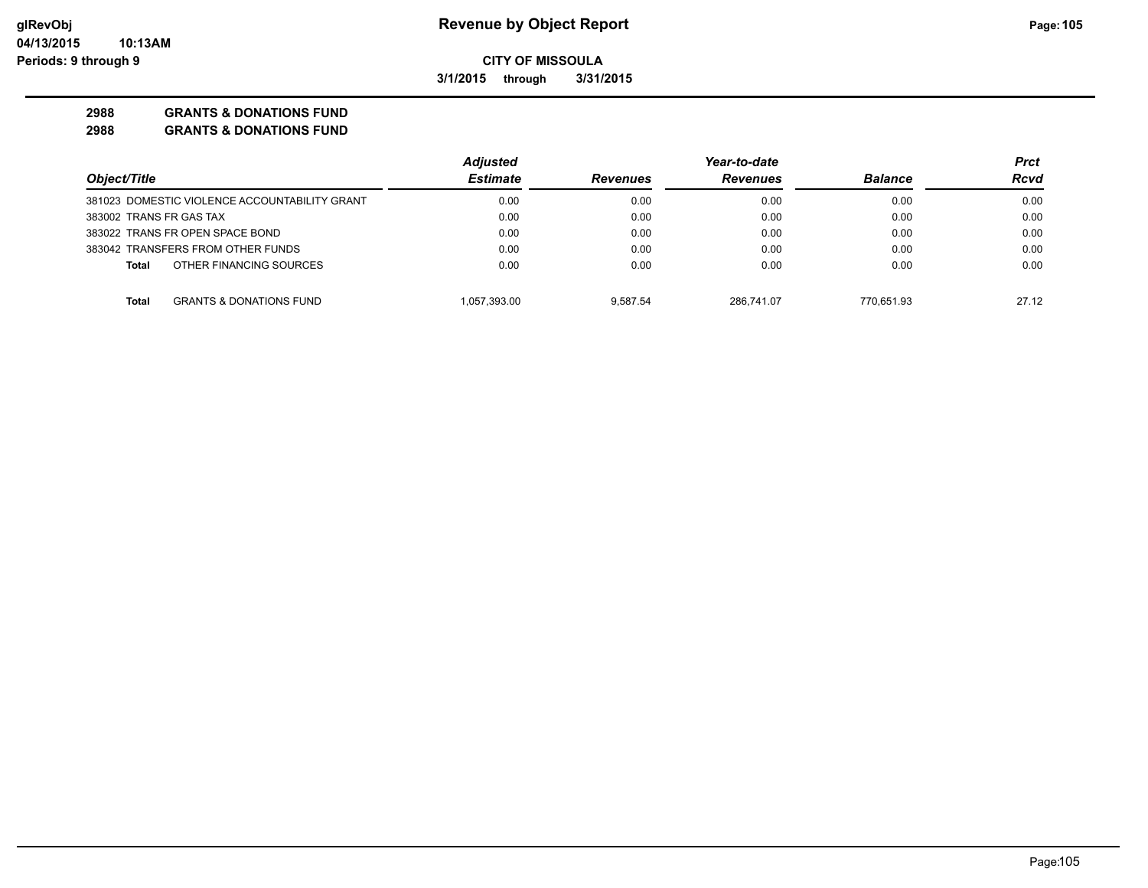**3/1/2015 through 3/31/2015**

## **2988 GRANTS & DONATIONS FUND**

|                                               | <b>Adjusted</b> |                 | Year-to-date    |                | Prct  |
|-----------------------------------------------|-----------------|-----------------|-----------------|----------------|-------|
| Object/Title                                  | <b>Estimate</b> | <b>Revenues</b> | <b>Revenues</b> | <b>Balance</b> | Rcvd  |
| 381023 DOMESTIC VIOLENCE ACCOUNTABILITY GRANT | 0.00            | 0.00            | 0.00            | 0.00           | 0.00  |
| 383002 TRANS FR GAS TAX                       | 0.00            | 0.00            | 0.00            | 0.00           | 0.00  |
| 383022 TRANS FR OPEN SPACE BOND               | 0.00            | 0.00            | 0.00            | 0.00           | 0.00  |
| 383042 TRANSFERS FROM OTHER FUNDS             | 0.00            | 0.00            | 0.00            | 0.00           | 0.00  |
| OTHER FINANCING SOURCES<br>Total              | 0.00            | 0.00            | 0.00            | 0.00           | 0.00  |
| <b>GRANTS &amp; DONATIONS FUND</b><br>Total   | 1.057.393.00    | 9.587.54        | 286.741.07      | 770.651.93     | 27.12 |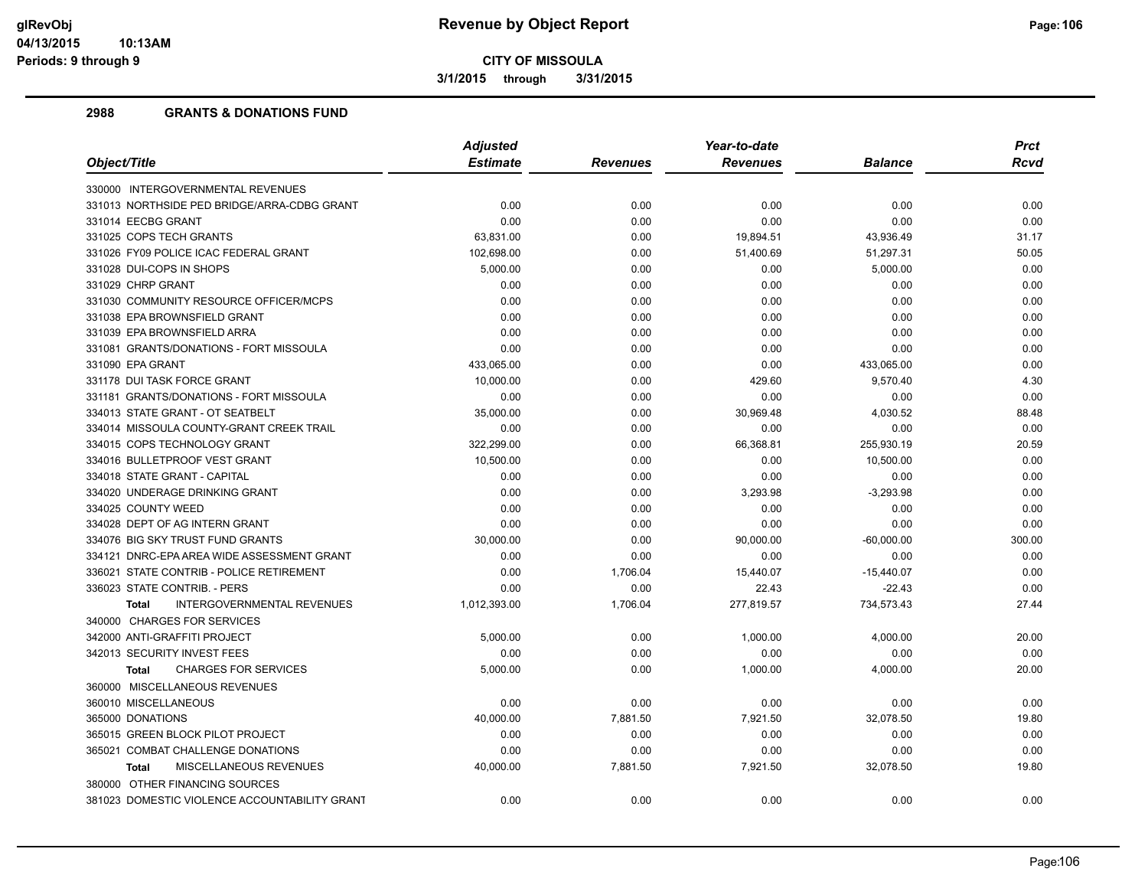**3/1/2015 through 3/31/2015**

|                                                   | <b>Adjusted</b><br>Year-to-date |                 |                 |                | <b>Prct</b> |
|---------------------------------------------------|---------------------------------|-----------------|-----------------|----------------|-------------|
| Object/Title                                      | <b>Estimate</b>                 | <b>Revenues</b> | <b>Revenues</b> | <b>Balance</b> | Rcvd        |
| 330000 INTERGOVERNMENTAL REVENUES                 |                                 |                 |                 |                |             |
| 331013 NORTHSIDE PED BRIDGE/ARRA-CDBG GRANT       | 0.00                            | 0.00            | 0.00            | 0.00           | 0.00        |
| 331014 EECBG GRANT                                | 0.00                            | 0.00            | 0.00            | 0.00           | 0.00        |
| 331025 COPS TECH GRANTS                           | 63,831.00                       | 0.00            | 19,894.51       | 43,936.49      | 31.17       |
| 331026 FY09 POLICE ICAC FEDERAL GRANT             | 102,698.00                      | 0.00            | 51,400.69       | 51,297.31      | 50.05       |
| 331028 DUI-COPS IN SHOPS                          | 5,000.00                        | 0.00            | 0.00            | 5,000.00       | 0.00        |
| 331029 CHRP GRANT                                 | 0.00                            | 0.00            | 0.00            | 0.00           | 0.00        |
| 331030 COMMUNITY RESOURCE OFFICER/MCPS            | 0.00                            | 0.00            | 0.00            | 0.00           | 0.00        |
| 331038 EPA BROWNSFIELD GRANT                      | 0.00                            | 0.00            | 0.00            | 0.00           | 0.00        |
| 331039 EPA BROWNSFIELD ARRA                       | 0.00                            | 0.00            | 0.00            | 0.00           | 0.00        |
| 331081 GRANTS/DONATIONS - FORT MISSOULA           | 0.00                            | 0.00            | 0.00            | 0.00           | 0.00        |
| 331090 EPA GRANT                                  | 433,065.00                      | 0.00            | 0.00            | 433,065.00     | 0.00        |
| 331178 DUI TASK FORCE GRANT                       | 10,000.00                       | 0.00            | 429.60          | 9,570.40       | 4.30        |
| 331181 GRANTS/DONATIONS - FORT MISSOULA           | 0.00                            | 0.00            | 0.00            | 0.00           | 0.00        |
| 334013 STATE GRANT - OT SEATBELT                  | 35,000.00                       | 0.00            | 30,969.48       | 4,030.52       | 88.48       |
| 334014 MISSOULA COUNTY-GRANT CREEK TRAIL          | 0.00                            | 0.00            | 0.00            | 0.00           | 0.00        |
| 334015 COPS TECHNOLOGY GRANT                      | 322,299.00                      | 0.00            | 66,368.81       | 255,930.19     | 20.59       |
| 334016 BULLETPROOF VEST GRANT                     | 10,500.00                       | 0.00            | 0.00            | 10,500.00      | 0.00        |
| 334018 STATE GRANT - CAPITAL                      | 0.00                            | 0.00            | 0.00            | 0.00           | 0.00        |
| 334020 UNDERAGE DRINKING GRANT                    | 0.00                            | 0.00            | 3,293.98        | $-3,293.98$    | 0.00        |
| 334025 COUNTY WEED                                | 0.00                            | 0.00            | 0.00            | 0.00           | 0.00        |
| 334028 DEPT OF AG INTERN GRANT                    | 0.00                            | 0.00            | 0.00            | 0.00           | 0.00        |
| 334076 BIG SKY TRUST FUND GRANTS                  | 30,000.00                       | 0.00            | 90,000.00       | $-60,000.00$   | 300.00      |
| 334121 DNRC-EPA AREA WIDE ASSESSMENT GRANT        | 0.00                            | 0.00            | 0.00            | 0.00           | 0.00        |
| 336021 STATE CONTRIB - POLICE RETIREMENT          | 0.00                            | 1,706.04        | 15,440.07       | $-15,440.07$   | 0.00        |
| 336023 STATE CONTRIB. - PERS                      | 0.00                            | 0.00            | 22.43           | $-22.43$       | 0.00        |
| <b>INTERGOVERNMENTAL REVENUES</b><br><b>Total</b> | 1,012,393.00                    | 1,706.04        | 277,819.57      | 734,573.43     | 27.44       |
| 340000 CHARGES FOR SERVICES                       |                                 |                 |                 |                |             |
| 342000 ANTI-GRAFFITI PROJECT                      | 5,000.00                        | 0.00            | 1,000.00        | 4,000.00       | 20.00       |
| 342013 SECURITY INVEST FEES                       | 0.00                            | 0.00            | 0.00            | 0.00           | 0.00        |
| <b>CHARGES FOR SERVICES</b><br><b>Total</b>       | 5,000.00                        | 0.00            | 1,000.00        | 4,000.00       | 20.00       |
| 360000 MISCELLANEOUS REVENUES                     |                                 |                 |                 |                |             |
| 360010 MISCELLANEOUS                              | 0.00                            | 0.00            | 0.00            | 0.00           | 0.00        |
| 365000 DONATIONS                                  | 40,000.00                       | 7,881.50        | 7,921.50        | 32,078.50      | 19.80       |
| 365015 GREEN BLOCK PILOT PROJECT                  | 0.00                            | 0.00            | 0.00            | 0.00           | 0.00        |
| 365021 COMBAT CHALLENGE DONATIONS                 | 0.00                            | 0.00            | 0.00            | 0.00           | 0.00        |
| MISCELLANEOUS REVENUES<br><b>Total</b>            | 40,000.00                       | 7,881.50        | 7,921.50        | 32,078.50      | 19.80       |
| 380000 OTHER FINANCING SOURCES                    |                                 |                 |                 |                |             |
| 381023 DOMESTIC VIOLENCE ACCOUNTABILITY GRANT     | 0.00                            | 0.00            | 0.00            | 0.00           | 0.00        |
|                                                   |                                 |                 |                 |                |             |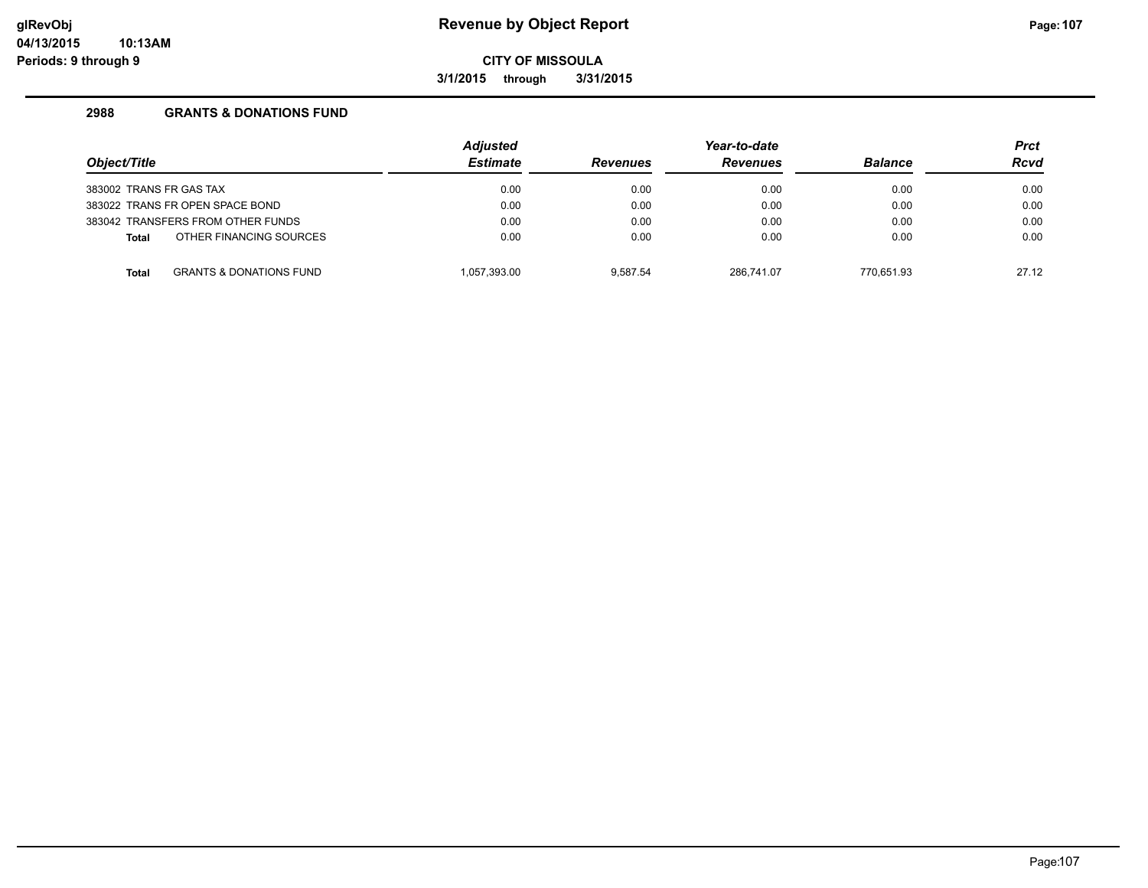**3/1/2015 through 3/31/2015**

| Object/Title            |                                    | <b>Adjusted</b><br><b>Estimate</b> | <b>Revenues</b> | Year-to-date<br><b>Revenues</b> | <b>Balance</b> | <b>Prct</b><br><b>Rcvd</b> |
|-------------------------|------------------------------------|------------------------------------|-----------------|---------------------------------|----------------|----------------------------|
| 383002 TRANS FR GAS TAX |                                    | 0.00                               | 0.00            | 0.00                            | 0.00           | 0.00                       |
|                         | 383022 TRANS FR OPEN SPACE BOND    | 0.00                               | 0.00            | 0.00                            | 0.00           | 0.00                       |
|                         | 383042 TRANSFERS FROM OTHER FUNDS  | 0.00                               | 0.00            | 0.00                            | 0.00           | 0.00                       |
| <b>Total</b>            | OTHER FINANCING SOURCES            | 0.00                               | 0.00            | 0.00                            | 0.00           | 0.00                       |
| <b>Total</b>            | <b>GRANTS &amp; DONATIONS FUND</b> | 1.057.393.00                       | 9.587.54        | 286.741.07                      | 770.651.93     | 27.12                      |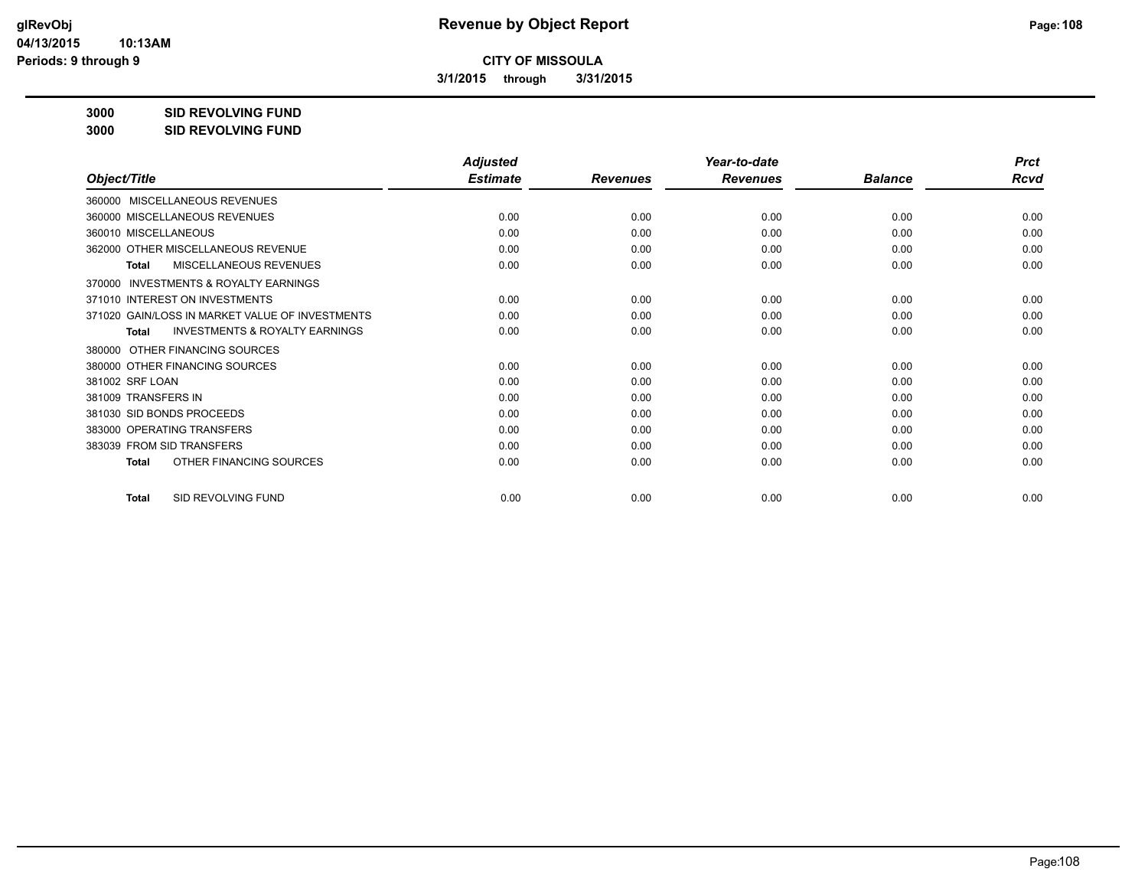**3/1/2015 through 3/31/2015**

**3000 SID REVOLVING FUND**

| 3000 | <b>SID REVOLVING FUND</b> |
|------|---------------------------|
|      |                           |

| Object/Title                                              | <b>Adjusted</b><br><b>Estimate</b> |                 | Year-to-date<br><b>Revenues</b> | <b>Balance</b> | <b>Prct</b><br>Rcvd |
|-----------------------------------------------------------|------------------------------------|-----------------|---------------------------------|----------------|---------------------|
|                                                           |                                    | <b>Revenues</b> |                                 |                |                     |
| 360000 MISCELLANEOUS REVENUES                             |                                    |                 |                                 |                |                     |
| 360000 MISCELLANEOUS REVENUES                             | 0.00                               | 0.00            | 0.00                            | 0.00           | 0.00                |
| 360010 MISCELLANEOUS                                      | 0.00                               | 0.00            | 0.00                            | 0.00           | 0.00                |
| 362000 OTHER MISCELLANEOUS REVENUE                        | 0.00                               | 0.00            | 0.00                            | 0.00           | 0.00                |
| <b>MISCELLANEOUS REVENUES</b><br><b>Total</b>             | 0.00                               | 0.00            | 0.00                            | 0.00           | 0.00                |
| <b>INVESTMENTS &amp; ROYALTY EARNINGS</b><br>370000       |                                    |                 |                                 |                |                     |
| 371010 INTEREST ON INVESTMENTS                            | 0.00                               | 0.00            | 0.00                            | 0.00           | 0.00                |
| 371020 GAIN/LOSS IN MARKET VALUE OF INVESTMENTS           | 0.00                               | 0.00            | 0.00                            | 0.00           | 0.00                |
| <b>INVESTMENTS &amp; ROYALTY EARNINGS</b><br><b>Total</b> | 0.00                               | 0.00            | 0.00                            | 0.00           | 0.00                |
| OTHER FINANCING SOURCES<br>380000                         |                                    |                 |                                 |                |                     |
| 380000 OTHER FINANCING SOURCES                            | 0.00                               | 0.00            | 0.00                            | 0.00           | 0.00                |
| 381002 SRF LOAN                                           | 0.00                               | 0.00            | 0.00                            | 0.00           | 0.00                |
| 381009 TRANSFERS IN                                       | 0.00                               | 0.00            | 0.00                            | 0.00           | 0.00                |
| 381030 SID BONDS PROCEEDS                                 | 0.00                               | 0.00            | 0.00                            | 0.00           | 0.00                |
| 383000 OPERATING TRANSFERS                                | 0.00                               | 0.00            | 0.00                            | 0.00           | 0.00                |
| 383039 FROM SID TRANSFERS                                 | 0.00                               | 0.00            | 0.00                            | 0.00           | 0.00                |
| OTHER FINANCING SOURCES<br>Total                          | 0.00                               | 0.00            | 0.00                            | 0.00           | 0.00                |
| SID REVOLVING FUND<br><b>Total</b>                        | 0.00                               | 0.00            | 0.00                            | 0.00           | 0.00                |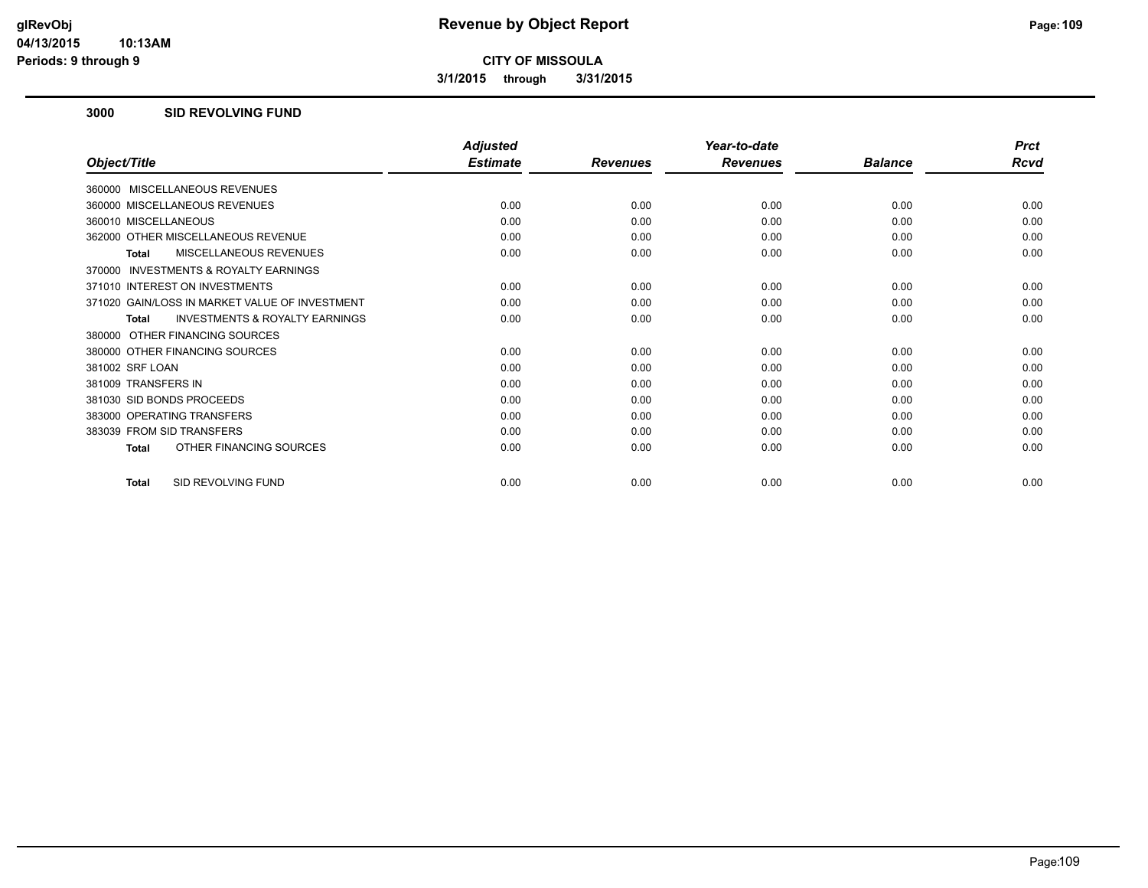**3/1/2015 through 3/31/2015**

#### **3000 SID REVOLVING FUND**

|                                                           | <b>Adjusted</b> |                 | Year-to-date    |                | <b>Prct</b> |
|-----------------------------------------------------------|-----------------|-----------------|-----------------|----------------|-------------|
| Object/Title                                              | <b>Estimate</b> | <b>Revenues</b> | <b>Revenues</b> | <b>Balance</b> | Rcvd        |
| 360000 MISCELLANEOUS REVENUES                             |                 |                 |                 |                |             |
| 360000 MISCELLANEOUS REVENUES                             | 0.00            | 0.00            | 0.00            | 0.00           | 0.00        |
| 360010 MISCELLANEOUS                                      | 0.00            | 0.00            | 0.00            | 0.00           | 0.00        |
| 362000 OTHER MISCELLANEOUS REVENUE                        | 0.00            | 0.00            | 0.00            | 0.00           | 0.00        |
| <b>MISCELLANEOUS REVENUES</b><br><b>Total</b>             | 0.00            | 0.00            | 0.00            | 0.00           | 0.00        |
| <b>INVESTMENTS &amp; ROYALTY EARNINGS</b><br>370000       |                 |                 |                 |                |             |
| 371010 INTEREST ON INVESTMENTS                            | 0.00            | 0.00            | 0.00            | 0.00           | 0.00        |
| 371020 GAIN/LOSS IN MARKET VALUE OF INVESTMENT            | 0.00            | 0.00            | 0.00            | 0.00           | 0.00        |
| <b>INVESTMENTS &amp; ROYALTY EARNINGS</b><br><b>Total</b> | 0.00            | 0.00            | 0.00            | 0.00           | 0.00        |
| 380000 OTHER FINANCING SOURCES                            |                 |                 |                 |                |             |
| 380000 OTHER FINANCING SOURCES                            | 0.00            | 0.00            | 0.00            | 0.00           | 0.00        |
| 381002 SRF LOAN                                           | 0.00            | 0.00            | 0.00            | 0.00           | 0.00        |
| 381009 TRANSFERS IN                                       | 0.00            | 0.00            | 0.00            | 0.00           | 0.00        |
| 381030 SID BONDS PROCEEDS                                 | 0.00            | 0.00            | 0.00            | 0.00           | 0.00        |
| 383000 OPERATING TRANSFERS                                | 0.00            | 0.00            | 0.00            | 0.00           | 0.00        |
| 383039 FROM SID TRANSFERS                                 | 0.00            | 0.00            | 0.00            | 0.00           | 0.00        |
| OTHER FINANCING SOURCES<br><b>Total</b>                   | 0.00            | 0.00            | 0.00            | 0.00           | 0.00        |
| SID REVOLVING FUND<br><b>Total</b>                        | 0.00            | 0.00            | 0.00            | 0.00           | 0.00        |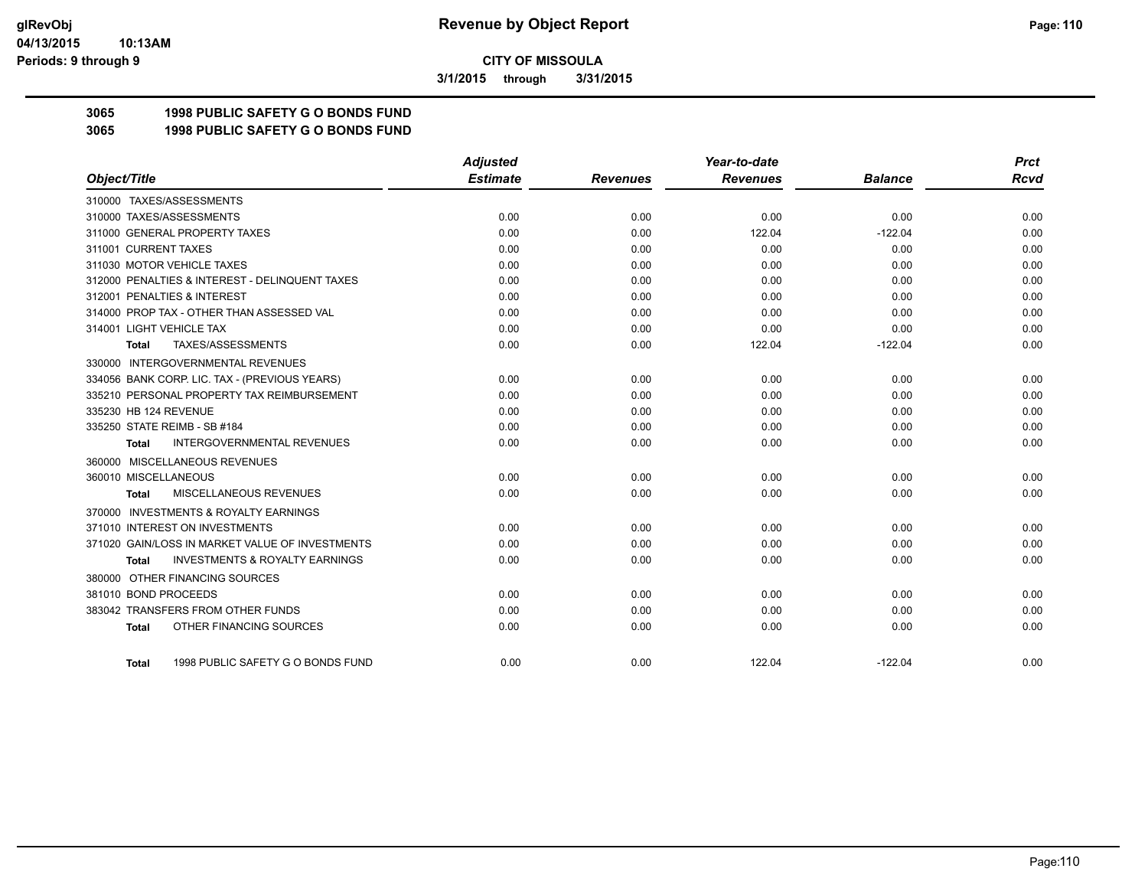**3/1/2015 through 3/31/2015**

# **3065 1998 PUBLIC SAFETY G O BONDS FUND**

**3065 1998 PUBLIC SAFETY G O BONDS FUND**

|                                                     | <b>Adjusted</b> |                 | Year-to-date    |                | <b>Prct</b> |
|-----------------------------------------------------|-----------------|-----------------|-----------------|----------------|-------------|
| Object/Title                                        | <b>Estimate</b> | <b>Revenues</b> | <b>Revenues</b> | <b>Balance</b> | Rcvd        |
| 310000 TAXES/ASSESSMENTS                            |                 |                 |                 |                |             |
| 310000 TAXES/ASSESSMENTS                            | 0.00            | 0.00            | 0.00            | 0.00           | 0.00        |
| 311000 GENERAL PROPERTY TAXES                       | 0.00            | 0.00            | 122.04          | $-122.04$      | 0.00        |
| 311001 CURRENT TAXES                                | 0.00            | 0.00            | 0.00            | 0.00           | 0.00        |
| 311030 MOTOR VEHICLE TAXES                          | 0.00            | 0.00            | 0.00            | 0.00           | 0.00        |
| 312000 PENALTIES & INTEREST - DELINQUENT TAXES      | 0.00            | 0.00            | 0.00            | 0.00           | 0.00        |
| 312001 PENALTIES & INTEREST                         | 0.00            | 0.00            | 0.00            | 0.00           | 0.00        |
| 314000 PROP TAX - OTHER THAN ASSESSED VAL           | 0.00            | 0.00            | 0.00            | 0.00           | 0.00        |
| 314001 LIGHT VEHICLE TAX                            | 0.00            | 0.00            | 0.00            | 0.00           | 0.00        |
| TAXES/ASSESSMENTS<br>Total                          | 0.00            | 0.00            | 122.04          | $-122.04$      | 0.00        |
| 330000 INTERGOVERNMENTAL REVENUES                   |                 |                 |                 |                |             |
| 334056 BANK CORP. LIC. TAX - (PREVIOUS YEARS)       | 0.00            | 0.00            | 0.00            | 0.00           | 0.00        |
| 335210 PERSONAL PROPERTY TAX REIMBURSEMENT          | 0.00            | 0.00            | 0.00            | 0.00           | 0.00        |
| 335230 HB 124 REVENUE                               | 0.00            | 0.00            | 0.00            | 0.00           | 0.00        |
| 335250 STATE REIMB - SB #184                        | 0.00            | 0.00            | 0.00            | 0.00           | 0.00        |
| <b>INTERGOVERNMENTAL REVENUES</b><br><b>Total</b>   | 0.00            | 0.00            | 0.00            | 0.00           | 0.00        |
| 360000 MISCELLANEOUS REVENUES                       |                 |                 |                 |                |             |
| 360010 MISCELLANEOUS                                | 0.00            | 0.00            | 0.00            | 0.00           | 0.00        |
| MISCELLANEOUS REVENUES<br>Total                     | 0.00            | 0.00            | 0.00            | 0.00           | 0.00        |
| <b>INVESTMENTS &amp; ROYALTY EARNINGS</b><br>370000 |                 |                 |                 |                |             |
| 371010 INTEREST ON INVESTMENTS                      | 0.00            | 0.00            | 0.00            | 0.00           | 0.00        |
| 371020 GAIN/LOSS IN MARKET VALUE OF INVESTMENTS     | 0.00            | 0.00            | 0.00            | 0.00           | 0.00        |
| <b>INVESTMENTS &amp; ROYALTY EARNINGS</b><br>Total  | 0.00            | 0.00            | 0.00            | 0.00           | 0.00        |
| 380000 OTHER FINANCING SOURCES                      |                 |                 |                 |                |             |
| 381010 BOND PROCEEDS                                | 0.00            | 0.00            | 0.00            | 0.00           | 0.00        |
| 383042 TRANSFERS FROM OTHER FUNDS                   | 0.00            | 0.00            | 0.00            | 0.00           | 0.00        |
| OTHER FINANCING SOURCES<br><b>Total</b>             | 0.00            | 0.00            | 0.00            | 0.00           | 0.00        |
| 1998 PUBLIC SAFETY G O BONDS FUND<br>Total          | 0.00            | 0.00            | 122.04          | $-122.04$      | 0.00        |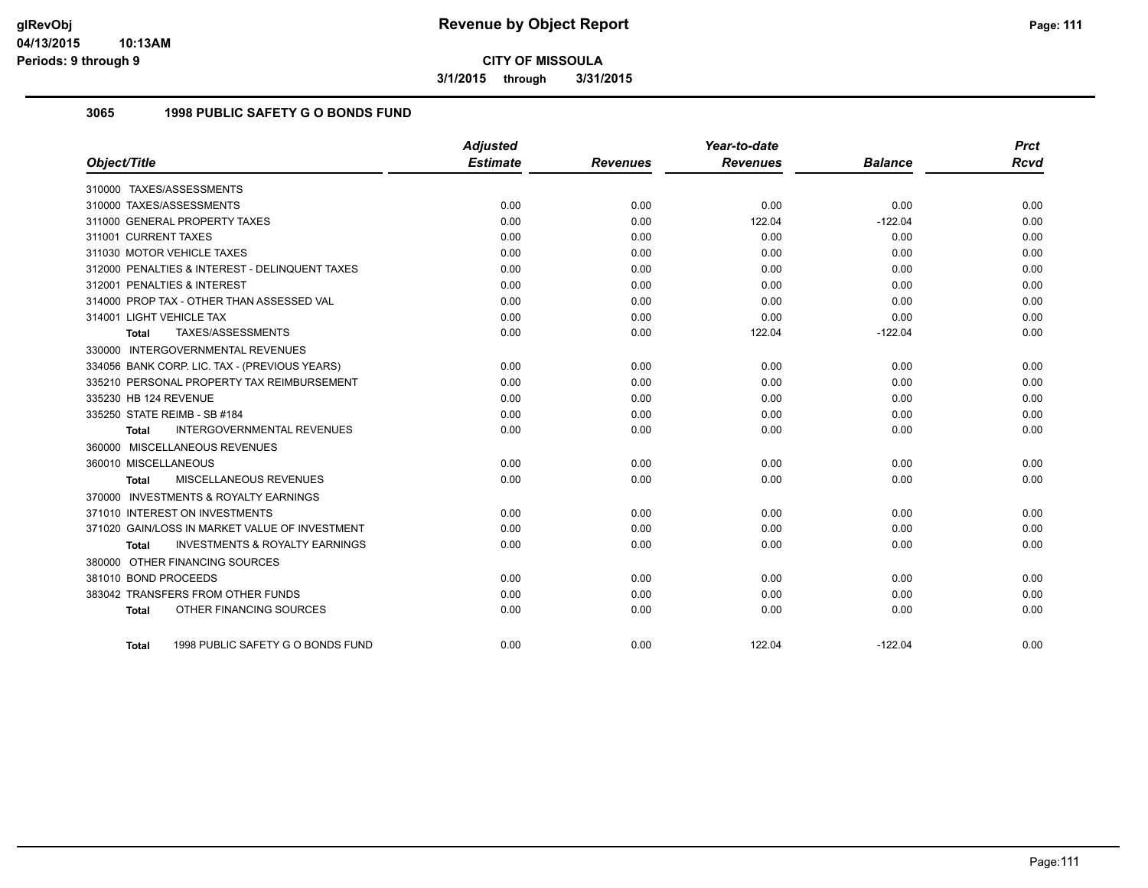**3/1/2015 through 3/31/2015**

## **3065 1998 PUBLIC SAFETY G O BONDS FUND**

|                                                    | <b>Adjusted</b> |                 | Year-to-date    |                | <b>Prct</b> |
|----------------------------------------------------|-----------------|-----------------|-----------------|----------------|-------------|
| Object/Title                                       | <b>Estimate</b> | <b>Revenues</b> | <b>Revenues</b> | <b>Balance</b> | Rcvd        |
| 310000 TAXES/ASSESSMENTS                           |                 |                 |                 |                |             |
| 310000 TAXES/ASSESSMENTS                           | 0.00            | 0.00            | 0.00            | 0.00           | 0.00        |
| 311000 GENERAL PROPERTY TAXES                      | 0.00            | 0.00            | 122.04          | $-122.04$      | 0.00        |
| 311001 CURRENT TAXES                               | 0.00            | 0.00            | 0.00            | 0.00           | 0.00        |
| 311030 MOTOR VEHICLE TAXES                         | 0.00            | 0.00            | 0.00            | 0.00           | 0.00        |
| 312000 PENALTIES & INTEREST - DELINQUENT TAXES     | 0.00            | 0.00            | 0.00            | 0.00           | 0.00        |
| 312001 PENALTIES & INTEREST                        | 0.00            | 0.00            | 0.00            | 0.00           | 0.00        |
| 314000 PROP TAX - OTHER THAN ASSESSED VAL          | 0.00            | 0.00            | 0.00            | 0.00           | 0.00        |
| 314001 LIGHT VEHICLE TAX                           | 0.00            | 0.00            | 0.00            | 0.00           | 0.00        |
| TAXES/ASSESSMENTS<br><b>Total</b>                  | 0.00            | 0.00            | 122.04          | $-122.04$      | 0.00        |
| 330000 INTERGOVERNMENTAL REVENUES                  |                 |                 |                 |                |             |
| 334056 BANK CORP. LIC. TAX - (PREVIOUS YEARS)      | 0.00            | 0.00            | 0.00            | 0.00           | 0.00        |
| 335210 PERSONAL PROPERTY TAX REIMBURSEMENT         | 0.00            | 0.00            | 0.00            | 0.00           | 0.00        |
| 335230 HB 124 REVENUE                              | 0.00            | 0.00            | 0.00            | 0.00           | 0.00        |
| 335250 STATE REIMB - SB #184                       | 0.00            | 0.00            | 0.00            | 0.00           | 0.00        |
| <b>INTERGOVERNMENTAL REVENUES</b><br><b>Total</b>  | 0.00            | 0.00            | 0.00            | 0.00           | 0.00        |
| 360000 MISCELLANEOUS REVENUES                      |                 |                 |                 |                |             |
| 360010 MISCELLANEOUS                               | 0.00            | 0.00            | 0.00            | 0.00           | 0.00        |
| MISCELLANEOUS REVENUES<br><b>Total</b>             | 0.00            | 0.00            | 0.00            | 0.00           | 0.00        |
| 370000 INVESTMENTS & ROYALTY EARNINGS              |                 |                 |                 |                |             |
| 371010 INTEREST ON INVESTMENTS                     | 0.00            | 0.00            | 0.00            | 0.00           | 0.00        |
| 371020 GAIN/LOSS IN MARKET VALUE OF INVESTMENT     | 0.00            | 0.00            | 0.00            | 0.00           | 0.00        |
| <b>INVESTMENTS &amp; ROYALTY EARNINGS</b><br>Total | 0.00            | 0.00            | 0.00            | 0.00           | 0.00        |
| 380000 OTHER FINANCING SOURCES                     |                 |                 |                 |                |             |
| 381010 BOND PROCEEDS                               | 0.00            | 0.00            | 0.00            | 0.00           | 0.00        |
| 383042 TRANSFERS FROM OTHER FUNDS                  | 0.00            | 0.00            | 0.00            | 0.00           | 0.00        |
| OTHER FINANCING SOURCES<br><b>Total</b>            | 0.00            | 0.00            | 0.00            | 0.00           | 0.00        |
| 1998 PUBLIC SAFETY G O BONDS FUND<br>Total         | 0.00            | 0.00            | 122.04          | $-122.04$      | 0.00        |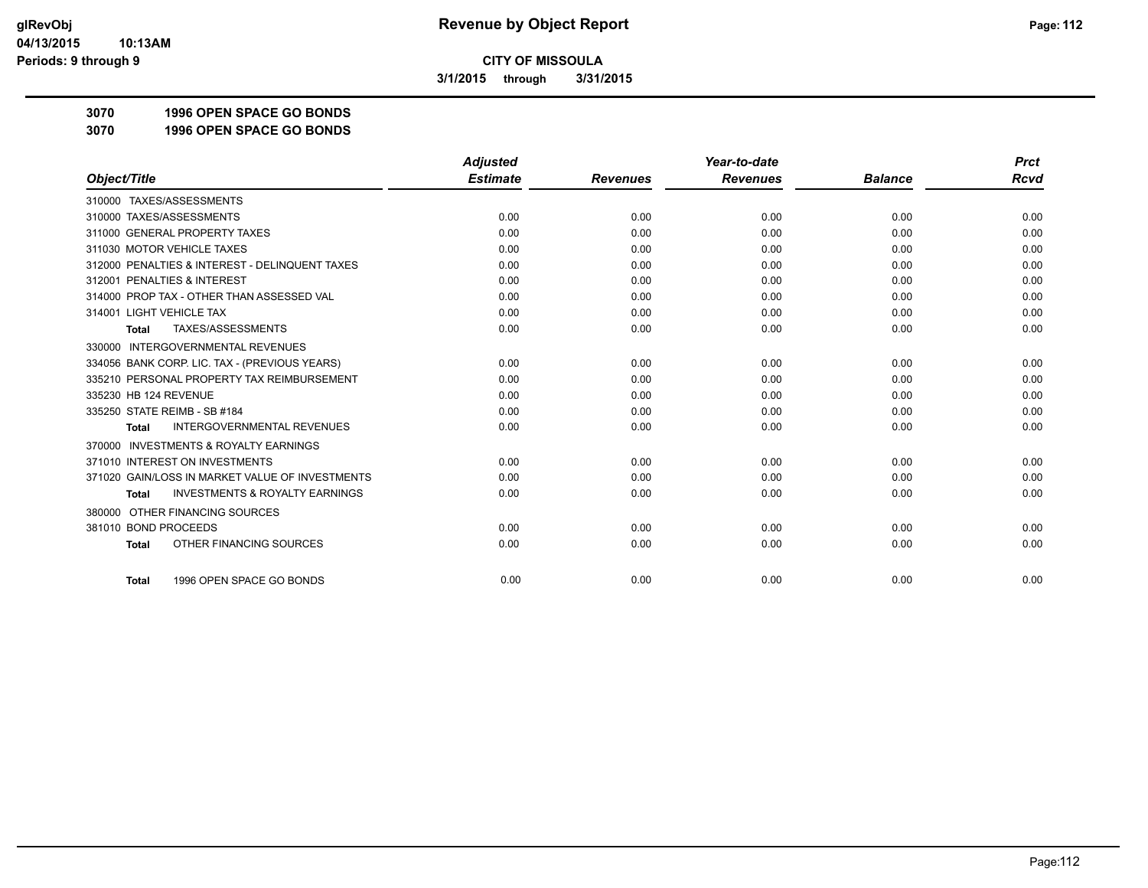**3/1/2015 through 3/31/2015**

**3070 1996 OPEN SPACE GO BONDS**

**3070 1996 OPEN SPACE GO BONDS**

|                                                           | <b>Adjusted</b> |                 | Year-to-date    |                | <b>Prct</b> |
|-----------------------------------------------------------|-----------------|-----------------|-----------------|----------------|-------------|
| Object/Title                                              | <b>Estimate</b> | <b>Revenues</b> | <b>Revenues</b> | <b>Balance</b> | <b>Rcvd</b> |
| 310000 TAXES/ASSESSMENTS                                  |                 |                 |                 |                |             |
| 310000 TAXES/ASSESSMENTS                                  | 0.00            | 0.00            | 0.00            | 0.00           | 0.00        |
| 311000 GENERAL PROPERTY TAXES                             | 0.00            | 0.00            | 0.00            | 0.00           | 0.00        |
| 311030 MOTOR VEHICLE TAXES                                | 0.00            | 0.00            | 0.00            | 0.00           | 0.00        |
| 312000 PENALTIES & INTEREST - DELINQUENT TAXES            | 0.00            | 0.00            | 0.00            | 0.00           | 0.00        |
| 312001 PENALTIES & INTEREST                               | 0.00            | 0.00            | 0.00            | 0.00           | 0.00        |
| 314000 PROP TAX - OTHER THAN ASSESSED VAL                 | 0.00            | 0.00            | 0.00            | 0.00           | 0.00        |
| 314001 LIGHT VEHICLE TAX                                  | 0.00            | 0.00            | 0.00            | 0.00           | 0.00        |
| TAXES/ASSESSMENTS<br><b>Total</b>                         | 0.00            | 0.00            | 0.00            | 0.00           | 0.00        |
| 330000 INTERGOVERNMENTAL REVENUES                         |                 |                 |                 |                |             |
| 334056 BANK CORP. LIC. TAX - (PREVIOUS YEARS)             | 0.00            | 0.00            | 0.00            | 0.00           | 0.00        |
| 335210 PERSONAL PROPERTY TAX REIMBURSEMENT                | 0.00            | 0.00            | 0.00            | 0.00           | 0.00        |
| 335230 HB 124 REVENUE                                     | 0.00            | 0.00            | 0.00            | 0.00           | 0.00        |
| 335250 STATE REIMB - SB #184                              | 0.00            | 0.00            | 0.00            | 0.00           | 0.00        |
| <b>INTERGOVERNMENTAL REVENUES</b><br><b>Total</b>         | 0.00            | 0.00            | 0.00            | 0.00           | 0.00        |
| <b>INVESTMENTS &amp; ROYALTY EARNINGS</b><br>370000       |                 |                 |                 |                |             |
| 371010 INTEREST ON INVESTMENTS                            | 0.00            | 0.00            | 0.00            | 0.00           | 0.00        |
| 371020 GAIN/LOSS IN MARKET VALUE OF INVESTMENTS           | 0.00            | 0.00            | 0.00            | 0.00           | 0.00        |
| <b>INVESTMENTS &amp; ROYALTY EARNINGS</b><br><b>Total</b> | 0.00            | 0.00            | 0.00            | 0.00           | 0.00        |
| OTHER FINANCING SOURCES<br>380000                         |                 |                 |                 |                |             |
| 381010 BOND PROCEEDS                                      | 0.00            | 0.00            | 0.00            | 0.00           | 0.00        |
| OTHER FINANCING SOURCES<br><b>Total</b>                   | 0.00            | 0.00            | 0.00            | 0.00           | 0.00        |
| 1996 OPEN SPACE GO BONDS<br><b>Total</b>                  | 0.00            | 0.00            | 0.00            | 0.00           | 0.00        |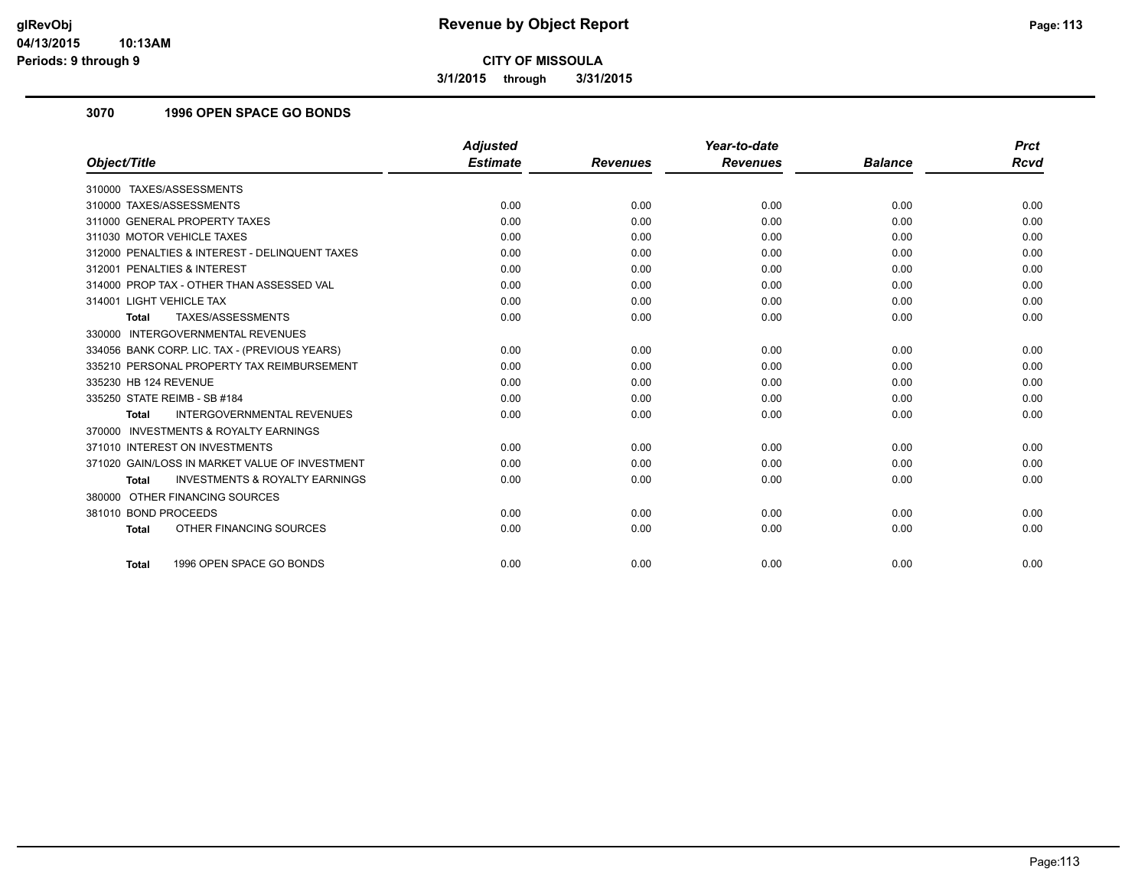**3/1/2015 through 3/31/2015**

## **3070 1996 OPEN SPACE GO BONDS**

|                                                           | <b>Adjusted</b> |                 | Year-to-date    |                | <b>Prct</b> |
|-----------------------------------------------------------|-----------------|-----------------|-----------------|----------------|-------------|
| Object/Title                                              | <b>Estimate</b> | <b>Revenues</b> | <b>Revenues</b> | <b>Balance</b> | Rcvd        |
| 310000 TAXES/ASSESSMENTS                                  |                 |                 |                 |                |             |
| 310000 TAXES/ASSESSMENTS                                  | 0.00            | 0.00            | 0.00            | 0.00           | 0.00        |
| 311000 GENERAL PROPERTY TAXES                             | 0.00            | 0.00            | 0.00            | 0.00           | 0.00        |
| 311030 MOTOR VEHICLE TAXES                                | 0.00            | 0.00            | 0.00            | 0.00           | 0.00        |
| 312000 PENALTIES & INTEREST - DELINQUENT TAXES            | 0.00            | 0.00            | 0.00            | 0.00           | 0.00        |
| 312001 PENALTIES & INTEREST                               | 0.00            | 0.00            | 0.00            | 0.00           | 0.00        |
| 314000 PROP TAX - OTHER THAN ASSESSED VAL                 | 0.00            | 0.00            | 0.00            | 0.00           | 0.00        |
| 314001 LIGHT VEHICLE TAX                                  | 0.00            | 0.00            | 0.00            | 0.00           | 0.00        |
| TAXES/ASSESSMENTS<br><b>Total</b>                         | 0.00            | 0.00            | 0.00            | 0.00           | 0.00        |
| 330000 INTERGOVERNMENTAL REVENUES                         |                 |                 |                 |                |             |
| 334056 BANK CORP. LIC. TAX - (PREVIOUS YEARS)             | 0.00            | 0.00            | 0.00            | 0.00           | 0.00        |
| 335210 PERSONAL PROPERTY TAX REIMBURSEMENT                | 0.00            | 0.00            | 0.00            | 0.00           | 0.00        |
| 335230 HB 124 REVENUE                                     | 0.00            | 0.00            | 0.00            | 0.00           | 0.00        |
| 335250 STATE REIMB - SB #184                              | 0.00            | 0.00            | 0.00            | 0.00           | 0.00        |
| <b>INTERGOVERNMENTAL REVENUES</b><br>Total                | 0.00            | 0.00            | 0.00            | 0.00           | 0.00        |
| 370000 INVESTMENTS & ROYALTY EARNINGS                     |                 |                 |                 |                |             |
| 371010 INTEREST ON INVESTMENTS                            | 0.00            | 0.00            | 0.00            | 0.00           | 0.00        |
| 371020 GAIN/LOSS IN MARKET VALUE OF INVESTMENT            | 0.00            | 0.00            | 0.00            | 0.00           | 0.00        |
| <b>INVESTMENTS &amp; ROYALTY EARNINGS</b><br><b>Total</b> | 0.00            | 0.00            | 0.00            | 0.00           | 0.00        |
| 380000 OTHER FINANCING SOURCES                            |                 |                 |                 |                |             |
| 381010 BOND PROCEEDS                                      | 0.00            | 0.00            | 0.00            | 0.00           | 0.00        |
| OTHER FINANCING SOURCES<br><b>Total</b>                   | 0.00            | 0.00            | 0.00            | 0.00           | 0.00        |
|                                                           |                 |                 |                 |                |             |
| 1996 OPEN SPACE GO BONDS<br><b>Total</b>                  | 0.00            | 0.00            | 0.00            | 0.00           | 0.00        |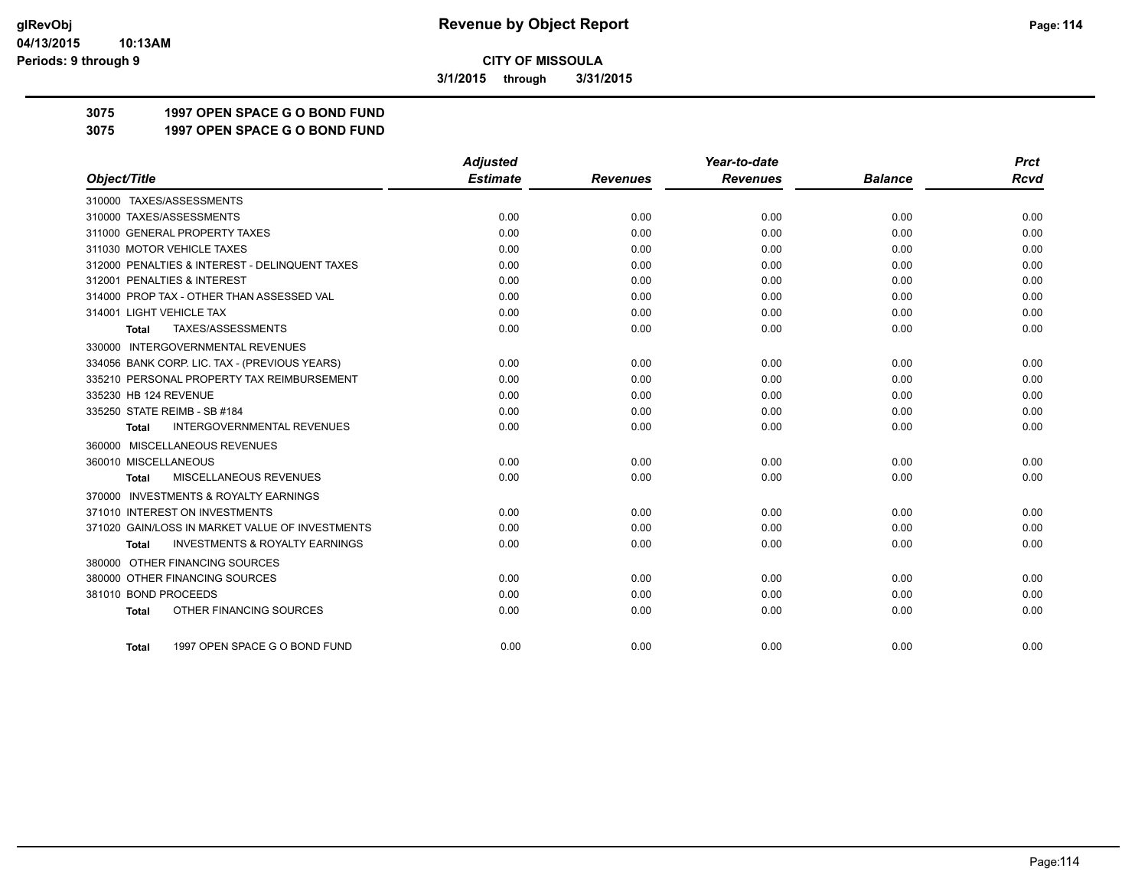**3/1/2015 through 3/31/2015**

# **3075 1997 OPEN SPACE G O BOND FUND**

**3075 1997 OPEN SPACE G O BOND FUND**

|                                                           | <b>Adjusted</b> |                 | Year-to-date    |                | <b>Prct</b> |
|-----------------------------------------------------------|-----------------|-----------------|-----------------|----------------|-------------|
| Object/Title                                              | <b>Estimate</b> | <b>Revenues</b> | <b>Revenues</b> | <b>Balance</b> | <b>Rcvd</b> |
| 310000 TAXES/ASSESSMENTS                                  |                 |                 |                 |                |             |
| 310000 TAXES/ASSESSMENTS                                  | 0.00            | 0.00            | 0.00            | 0.00           | 0.00        |
| 311000 GENERAL PROPERTY TAXES                             | 0.00            | 0.00            | 0.00            | 0.00           | 0.00        |
| 311030 MOTOR VEHICLE TAXES                                | 0.00            | 0.00            | 0.00            | 0.00           | 0.00        |
| 312000 PENALTIES & INTEREST - DELINQUENT TAXES            | 0.00            | 0.00            | 0.00            | 0.00           | 0.00        |
| 312001 PENALTIES & INTEREST                               | 0.00            | 0.00            | 0.00            | 0.00           | 0.00        |
| 314000 PROP TAX - OTHER THAN ASSESSED VAL                 | 0.00            | 0.00            | 0.00            | 0.00           | 0.00        |
| 314001 LIGHT VEHICLE TAX                                  | 0.00            | 0.00            | 0.00            | 0.00           | 0.00        |
| TAXES/ASSESSMENTS<br>Total                                | 0.00            | 0.00            | 0.00            | 0.00           | 0.00        |
| 330000 INTERGOVERNMENTAL REVENUES                         |                 |                 |                 |                |             |
| 334056 BANK CORP. LIC. TAX - (PREVIOUS YEARS)             | 0.00            | 0.00            | 0.00            | 0.00           | 0.00        |
| 335210 PERSONAL PROPERTY TAX REIMBURSEMENT                | 0.00            | 0.00            | 0.00            | 0.00           | 0.00        |
| 335230 HB 124 REVENUE                                     | 0.00            | 0.00            | 0.00            | 0.00           | 0.00        |
| 335250 STATE REIMB - SB #184                              | 0.00            | 0.00            | 0.00            | 0.00           | 0.00        |
| <b>INTERGOVERNMENTAL REVENUES</b><br>Total                | 0.00            | 0.00            | 0.00            | 0.00           | 0.00        |
| 360000 MISCELLANEOUS REVENUES                             |                 |                 |                 |                |             |
| 360010 MISCELLANEOUS                                      | 0.00            | 0.00            | 0.00            | 0.00           | 0.00        |
| MISCELLANEOUS REVENUES<br>Total                           | 0.00            | 0.00            | 0.00            | 0.00           | 0.00        |
| 370000 INVESTMENTS & ROYALTY EARNINGS                     |                 |                 |                 |                |             |
| 371010 INTEREST ON INVESTMENTS                            | 0.00            | 0.00            | 0.00            | 0.00           | 0.00        |
| 371020 GAIN/LOSS IN MARKET VALUE OF INVESTMENTS           | 0.00            | 0.00            | 0.00            | 0.00           | 0.00        |
| <b>INVESTMENTS &amp; ROYALTY EARNINGS</b><br><b>Total</b> | 0.00            | 0.00            | 0.00            | 0.00           | 0.00        |
| 380000 OTHER FINANCING SOURCES                            |                 |                 |                 |                |             |
| 380000 OTHER FINANCING SOURCES                            | 0.00            | 0.00            | 0.00            | 0.00           | 0.00        |
| 381010 BOND PROCEEDS                                      | 0.00            | 0.00            | 0.00            | 0.00           | 0.00        |
| OTHER FINANCING SOURCES<br>Total                          | 0.00            | 0.00            | 0.00            | 0.00           | 0.00        |
|                                                           |                 |                 |                 |                |             |
| 1997 OPEN SPACE G O BOND FUND<br><b>Total</b>             | 0.00            | 0.00            | 0.00            | 0.00           | 0.00        |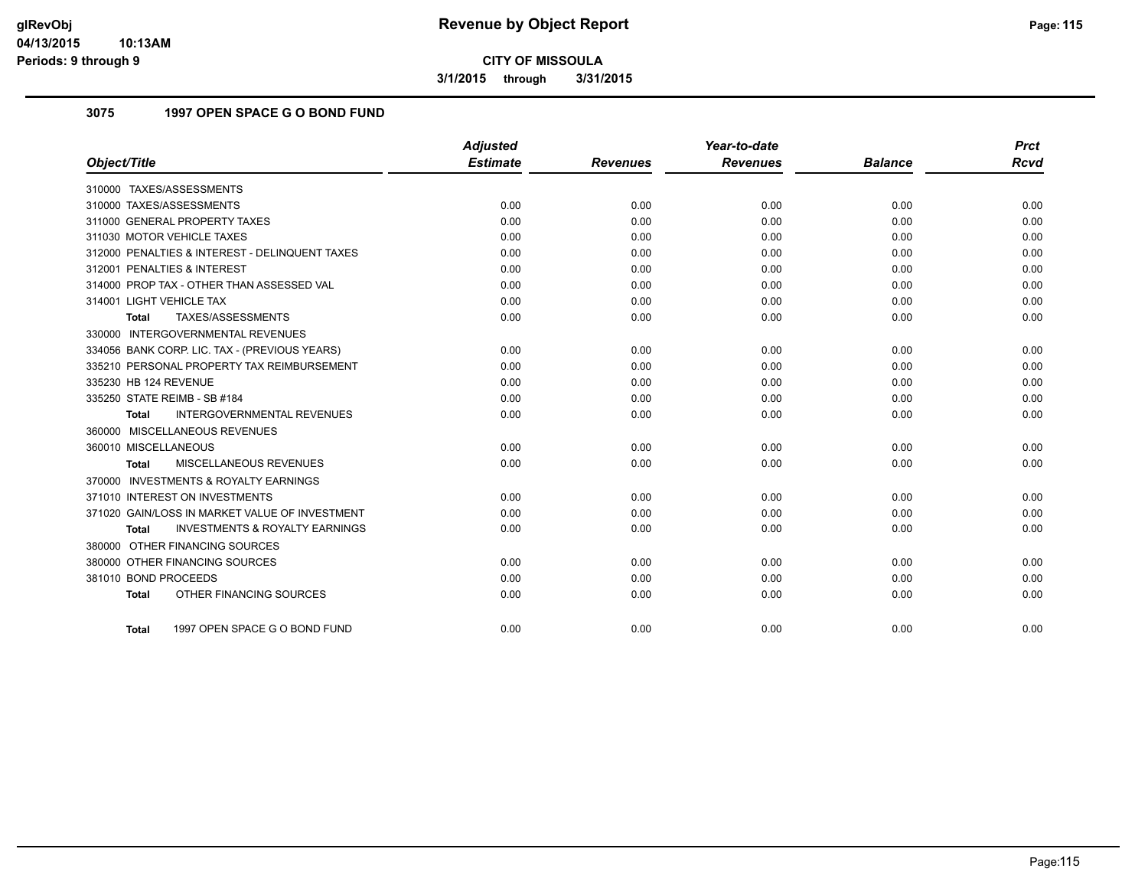**3/1/2015 through 3/31/2015**

## **3075 1997 OPEN SPACE G O BOND FUND**

|                                                           | <b>Adjusted</b> |                 | Year-to-date    |                | <b>Prct</b> |
|-----------------------------------------------------------|-----------------|-----------------|-----------------|----------------|-------------|
| Object/Title                                              | <b>Estimate</b> | <b>Revenues</b> | <b>Revenues</b> | <b>Balance</b> | <b>Rcvd</b> |
| 310000 TAXES/ASSESSMENTS                                  |                 |                 |                 |                |             |
| 310000 TAXES/ASSESSMENTS                                  | 0.00            | 0.00            | 0.00            | 0.00           | 0.00        |
| 311000 GENERAL PROPERTY TAXES                             | 0.00            | 0.00            | 0.00            | 0.00           | 0.00        |
| 311030 MOTOR VEHICLE TAXES                                | 0.00            | 0.00            | 0.00            | 0.00           | 0.00        |
| 312000 PENALTIES & INTEREST - DELINQUENT TAXES            | 0.00            | 0.00            | 0.00            | 0.00           | 0.00        |
| 312001 PENALTIES & INTEREST                               | 0.00            | 0.00            | 0.00            | 0.00           | 0.00        |
| 314000 PROP TAX - OTHER THAN ASSESSED VAL                 | 0.00            | 0.00            | 0.00            | 0.00           | 0.00        |
| 314001 LIGHT VEHICLE TAX                                  | 0.00            | 0.00            | 0.00            | 0.00           | 0.00        |
| TAXES/ASSESSMENTS<br><b>Total</b>                         | 0.00            | 0.00            | 0.00            | 0.00           | 0.00        |
| 330000 INTERGOVERNMENTAL REVENUES                         |                 |                 |                 |                |             |
| 334056 BANK CORP. LIC. TAX - (PREVIOUS YEARS)             | 0.00            | 0.00            | 0.00            | 0.00           | 0.00        |
| 335210 PERSONAL PROPERTY TAX REIMBURSEMENT                | 0.00            | 0.00            | 0.00            | 0.00           | 0.00        |
| 335230 HB 124 REVENUE                                     | 0.00            | 0.00            | 0.00            | 0.00           | 0.00        |
| 335250 STATE REIMB - SB #184                              | 0.00            | 0.00            | 0.00            | 0.00           | 0.00        |
| <b>INTERGOVERNMENTAL REVENUES</b><br><b>Total</b>         | 0.00            | 0.00            | 0.00            | 0.00           | 0.00        |
| 360000 MISCELLANEOUS REVENUES                             |                 |                 |                 |                |             |
| 360010 MISCELLANEOUS                                      | 0.00            | 0.00            | 0.00            | 0.00           | 0.00        |
| <b>MISCELLANEOUS REVENUES</b><br>Total                    | 0.00            | 0.00            | 0.00            | 0.00           | 0.00        |
| 370000 INVESTMENTS & ROYALTY EARNINGS                     |                 |                 |                 |                |             |
| 371010 INTEREST ON INVESTMENTS                            | 0.00            | 0.00            | 0.00            | 0.00           | 0.00        |
| 371020 GAIN/LOSS IN MARKET VALUE OF INVESTMENT            | 0.00            | 0.00            | 0.00            | 0.00           | 0.00        |
| <b>INVESTMENTS &amp; ROYALTY EARNINGS</b><br><b>Total</b> | 0.00            | 0.00            | 0.00            | 0.00           | 0.00        |
| 380000 OTHER FINANCING SOURCES                            |                 |                 |                 |                |             |
| 380000 OTHER FINANCING SOURCES                            | 0.00            | 0.00            | 0.00            | 0.00           | 0.00        |
| 381010 BOND PROCEEDS                                      | 0.00            | 0.00            | 0.00            | 0.00           | 0.00        |
| OTHER FINANCING SOURCES<br><b>Total</b>                   | 0.00            | 0.00            | 0.00            | 0.00           | 0.00        |
|                                                           |                 |                 |                 |                |             |
| 1997 OPEN SPACE G O BOND FUND<br><b>Total</b>             | 0.00            | 0.00            | 0.00            | 0.00           | 0.00        |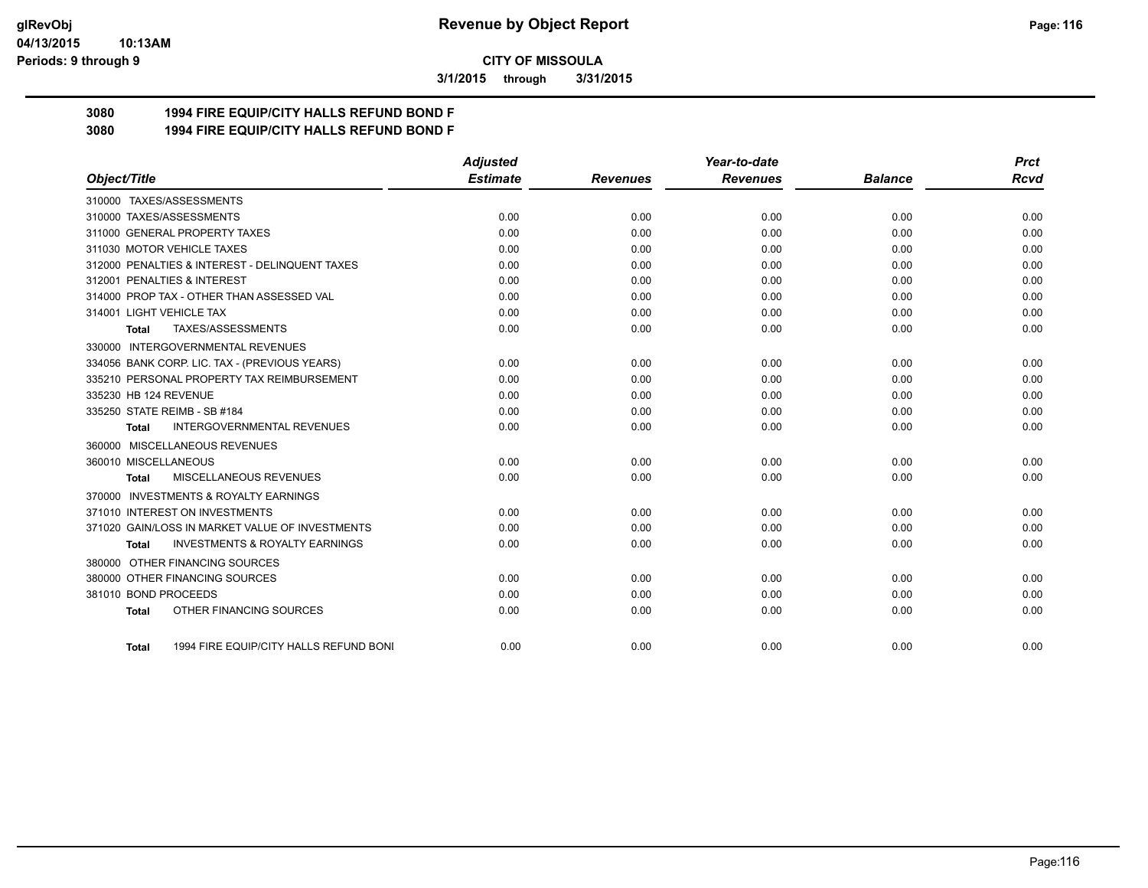**3/1/2015 through 3/31/2015**

## **3080 1994 FIRE EQUIP/CITY HALLS REFUND BOND F**

**3080 1994 FIRE EQUIP/CITY HALLS REFUND BOND F**

|                                                           | <b>Adjusted</b> |                 | Year-to-date    |                | <b>Prct</b> |
|-----------------------------------------------------------|-----------------|-----------------|-----------------|----------------|-------------|
| Object/Title                                              | <b>Estimate</b> | <b>Revenues</b> | <b>Revenues</b> | <b>Balance</b> | <b>Rcvd</b> |
| 310000 TAXES/ASSESSMENTS                                  |                 |                 |                 |                |             |
| 310000 TAXES/ASSESSMENTS                                  | 0.00            | 0.00            | 0.00            | 0.00           | 0.00        |
| 311000 GENERAL PROPERTY TAXES                             | 0.00            | 0.00            | 0.00            | 0.00           | 0.00        |
| 311030 MOTOR VEHICLE TAXES                                | 0.00            | 0.00            | 0.00            | 0.00           | 0.00        |
| 312000 PENALTIES & INTEREST - DELINQUENT TAXES            | 0.00            | 0.00            | 0.00            | 0.00           | 0.00        |
| 312001 PENALTIES & INTEREST                               | 0.00            | 0.00            | 0.00            | 0.00           | 0.00        |
| 314000 PROP TAX - OTHER THAN ASSESSED VAL                 | 0.00            | 0.00            | 0.00            | 0.00           | 0.00        |
| 314001 LIGHT VEHICLE TAX                                  | 0.00            | 0.00            | 0.00            | 0.00           | 0.00        |
| TAXES/ASSESSMENTS<br>Total                                | 0.00            | 0.00            | 0.00            | 0.00           | 0.00        |
| 330000 INTERGOVERNMENTAL REVENUES                         |                 |                 |                 |                |             |
| 334056 BANK CORP. LIC. TAX - (PREVIOUS YEARS)             | 0.00            | 0.00            | 0.00            | 0.00           | 0.00        |
| 335210 PERSONAL PROPERTY TAX REIMBURSEMENT                | 0.00            | 0.00            | 0.00            | 0.00           | 0.00        |
| 335230 HB 124 REVENUE                                     | 0.00            | 0.00            | 0.00            | 0.00           | 0.00        |
| 335250 STATE REIMB - SB #184                              | 0.00            | 0.00            | 0.00            | 0.00           | 0.00        |
| <b>INTERGOVERNMENTAL REVENUES</b><br>Total                | 0.00            | 0.00            | 0.00            | 0.00           | 0.00        |
| 360000 MISCELLANEOUS REVENUES                             |                 |                 |                 |                |             |
| 360010 MISCELLANEOUS                                      | 0.00            | 0.00            | 0.00            | 0.00           | 0.00        |
| MISCELLANEOUS REVENUES<br>Total                           | 0.00            | 0.00            | 0.00            | 0.00           | 0.00        |
| <b>INVESTMENTS &amp; ROYALTY EARNINGS</b><br>370000       |                 |                 |                 |                |             |
| 371010 INTEREST ON INVESTMENTS                            | 0.00            | 0.00            | 0.00            | 0.00           | 0.00        |
| 371020 GAIN/LOSS IN MARKET VALUE OF INVESTMENTS           | 0.00            | 0.00            | 0.00            | 0.00           | 0.00        |
| <b>INVESTMENTS &amp; ROYALTY EARNINGS</b><br><b>Total</b> | 0.00            | 0.00            | 0.00            | 0.00           | 0.00        |
| 380000 OTHER FINANCING SOURCES                            |                 |                 |                 |                |             |
| 380000 OTHER FINANCING SOURCES                            | 0.00            | 0.00            | 0.00            | 0.00           | 0.00        |
| 381010 BOND PROCEEDS                                      | 0.00            | 0.00            | 0.00            | 0.00           | 0.00        |
| OTHER FINANCING SOURCES<br><b>Total</b>                   | 0.00            | 0.00            | 0.00            | 0.00           | 0.00        |
|                                                           |                 |                 |                 |                |             |
| 1994 FIRE EQUIP/CITY HALLS REFUND BONI<br>Total           | 0.00            | 0.00            | 0.00            | 0.00           | 0.00        |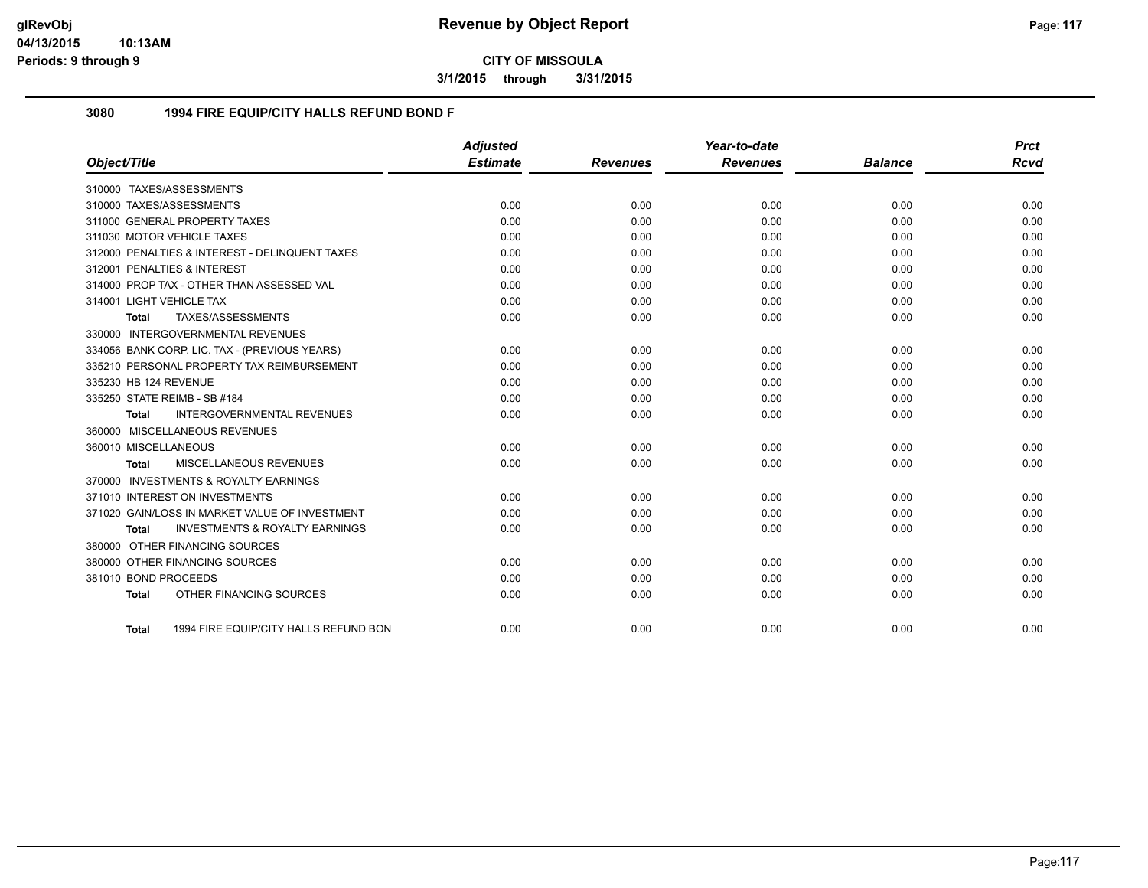**3/1/2015 through 3/31/2015**

#### **3080 1994 FIRE EQUIP/CITY HALLS REFUND BOND F**

|                              |                                                | <b>Adjusted</b> |                 | Year-to-date    |                | <b>Prct</b> |
|------------------------------|------------------------------------------------|-----------------|-----------------|-----------------|----------------|-------------|
| Object/Title                 |                                                | <b>Estimate</b> | <b>Revenues</b> | <b>Revenues</b> | <b>Balance</b> | <b>Rcvd</b> |
| 310000 TAXES/ASSESSMENTS     |                                                |                 |                 |                 |                |             |
| 310000 TAXES/ASSESSMENTS     |                                                | 0.00            | 0.00            | 0.00            | 0.00           | 0.00        |
|                              | 311000 GENERAL PROPERTY TAXES                  | 0.00            | 0.00            | 0.00            | 0.00           | 0.00        |
|                              | 311030 MOTOR VEHICLE TAXES                     | 0.00            | 0.00            | 0.00            | 0.00           | 0.00        |
|                              | 312000 PENALTIES & INTEREST - DELINQUENT TAXES | 0.00            | 0.00            | 0.00            | 0.00           | 0.00        |
|                              | 312001 PENALTIES & INTEREST                    | 0.00            | 0.00            | 0.00            | 0.00           | 0.00        |
|                              | 314000 PROP TAX - OTHER THAN ASSESSED VAL      | 0.00            | 0.00            | 0.00            | 0.00           | 0.00        |
| 314001 LIGHT VEHICLE TAX     |                                                | 0.00            | 0.00            | 0.00            | 0.00           | 0.00        |
| <b>Total</b>                 | TAXES/ASSESSMENTS                              | 0.00            | 0.00            | 0.00            | 0.00           | 0.00        |
|                              | 330000 INTERGOVERNMENTAL REVENUES              |                 |                 |                 |                |             |
|                              | 334056 BANK CORP. LIC. TAX - (PREVIOUS YEARS)  | 0.00            | 0.00            | 0.00            | 0.00           | 0.00        |
|                              | 335210 PERSONAL PROPERTY TAX REIMBURSEMENT     | 0.00            | 0.00            | 0.00            | 0.00           | 0.00        |
| 335230 HB 124 REVENUE        |                                                | 0.00            | 0.00            | 0.00            | 0.00           | 0.00        |
| 335250 STATE REIMB - SB #184 |                                                | 0.00            | 0.00            | 0.00            | 0.00           | 0.00        |
| <b>Total</b>                 | <b>INTERGOVERNMENTAL REVENUES</b>              | 0.00            | 0.00            | 0.00            | 0.00           | 0.00        |
|                              | 360000 MISCELLANEOUS REVENUES                  |                 |                 |                 |                |             |
| 360010 MISCELLANEOUS         |                                                | 0.00            | 0.00            | 0.00            | 0.00           | 0.00        |
| Total                        | MISCELLANEOUS REVENUES                         | 0.00            | 0.00            | 0.00            | 0.00           | 0.00        |
|                              | 370000 INVESTMENTS & ROYALTY EARNINGS          |                 |                 |                 |                |             |
|                              | 371010 INTEREST ON INVESTMENTS                 | 0.00            | 0.00            | 0.00            | 0.00           | 0.00        |
|                              | 371020 GAIN/LOSS IN MARKET VALUE OF INVESTMENT | 0.00            | 0.00            | 0.00            | 0.00           | 0.00        |
| <b>Total</b>                 | <b>INVESTMENTS &amp; ROYALTY EARNINGS</b>      | 0.00            | 0.00            | 0.00            | 0.00           | 0.00        |
|                              | 380000 OTHER FINANCING SOURCES                 |                 |                 |                 |                |             |
|                              | 380000 OTHER FINANCING SOURCES                 | 0.00            | 0.00            | 0.00            | 0.00           | 0.00        |
| 381010 BOND PROCEEDS         |                                                | 0.00            | 0.00            | 0.00            | 0.00           | 0.00        |
| <b>Total</b>                 | OTHER FINANCING SOURCES                        | 0.00            | 0.00            | 0.00            | 0.00           | 0.00        |
|                              |                                                |                 |                 |                 |                |             |
| Total                        | 1994 FIRE EQUIP/CITY HALLS REFUND BON          | 0.00            | 0.00            | 0.00            | 0.00           | 0.00        |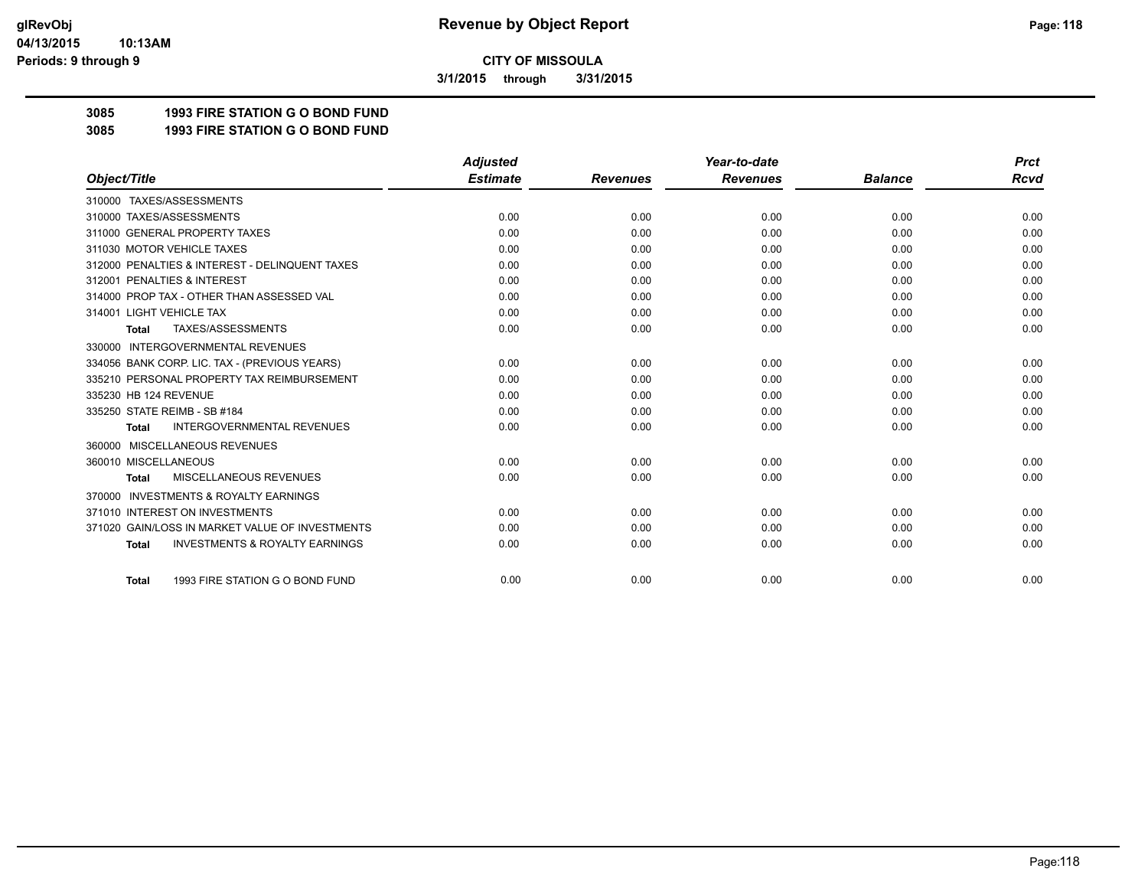**3/1/2015 through 3/31/2015**

# **3085 1993 FIRE STATION G O BOND FUND**

**3085 1993 FIRE STATION G O BOND FUND**

|                                                           | <b>Adjusted</b> |                 | Year-to-date    |                | <b>Prct</b> |
|-----------------------------------------------------------|-----------------|-----------------|-----------------|----------------|-------------|
| Object/Title                                              | <b>Estimate</b> | <b>Revenues</b> | <b>Revenues</b> | <b>Balance</b> | <b>Rcvd</b> |
| 310000 TAXES/ASSESSMENTS                                  |                 |                 |                 |                |             |
| 310000 TAXES/ASSESSMENTS                                  | 0.00            | 0.00            | 0.00            | 0.00           | 0.00        |
| 311000 GENERAL PROPERTY TAXES                             | 0.00            | 0.00            | 0.00            | 0.00           | 0.00        |
| 311030 MOTOR VEHICLE TAXES                                | 0.00            | 0.00            | 0.00            | 0.00           | 0.00        |
| 312000 PENALTIES & INTEREST - DELINQUENT TAXES            | 0.00            | 0.00            | 0.00            | 0.00           | 0.00        |
| 312001 PENALTIES & INTEREST                               | 0.00            | 0.00            | 0.00            | 0.00           | 0.00        |
| 314000 PROP TAX - OTHER THAN ASSESSED VAL                 | 0.00            | 0.00            | 0.00            | 0.00           | 0.00        |
| 314001 LIGHT VEHICLE TAX                                  | 0.00            | 0.00            | 0.00            | 0.00           | 0.00        |
| TAXES/ASSESSMENTS<br><b>Total</b>                         | 0.00            | 0.00            | 0.00            | 0.00           | 0.00        |
| 330000 INTERGOVERNMENTAL REVENUES                         |                 |                 |                 |                |             |
| 334056 BANK CORP. LIC. TAX - (PREVIOUS YEARS)             | 0.00            | 0.00            | 0.00            | 0.00           | 0.00        |
| 335210 PERSONAL PROPERTY TAX REIMBURSEMENT                | 0.00            | 0.00            | 0.00            | 0.00           | 0.00        |
| 335230 HB 124 REVENUE                                     | 0.00            | 0.00            | 0.00            | 0.00           | 0.00        |
| 335250 STATE REIMB - SB #184                              | 0.00            | 0.00            | 0.00            | 0.00           | 0.00        |
| <b>INTERGOVERNMENTAL REVENUES</b><br><b>Total</b>         | 0.00            | 0.00            | 0.00            | 0.00           | 0.00        |
| MISCELLANEOUS REVENUES<br>360000                          |                 |                 |                 |                |             |
| 360010 MISCELLANEOUS                                      | 0.00            | 0.00            | 0.00            | 0.00           | 0.00        |
| <b>MISCELLANEOUS REVENUES</b><br><b>Total</b>             | 0.00            | 0.00            | 0.00            | 0.00           | 0.00        |
| <b>INVESTMENTS &amp; ROYALTY EARNINGS</b><br>370000       |                 |                 |                 |                |             |
| 371010 INTEREST ON INVESTMENTS                            | 0.00            | 0.00            | 0.00            | 0.00           | 0.00        |
| 371020 GAIN/LOSS IN MARKET VALUE OF INVESTMENTS           | 0.00            | 0.00            | 0.00            | 0.00           | 0.00        |
| <b>INVESTMENTS &amp; ROYALTY EARNINGS</b><br><b>Total</b> | 0.00            | 0.00            | 0.00            | 0.00           | 0.00        |
| 1993 FIRE STATION G O BOND FUND<br><b>Total</b>           | 0.00            | 0.00            | 0.00            | 0.00           | 0.00        |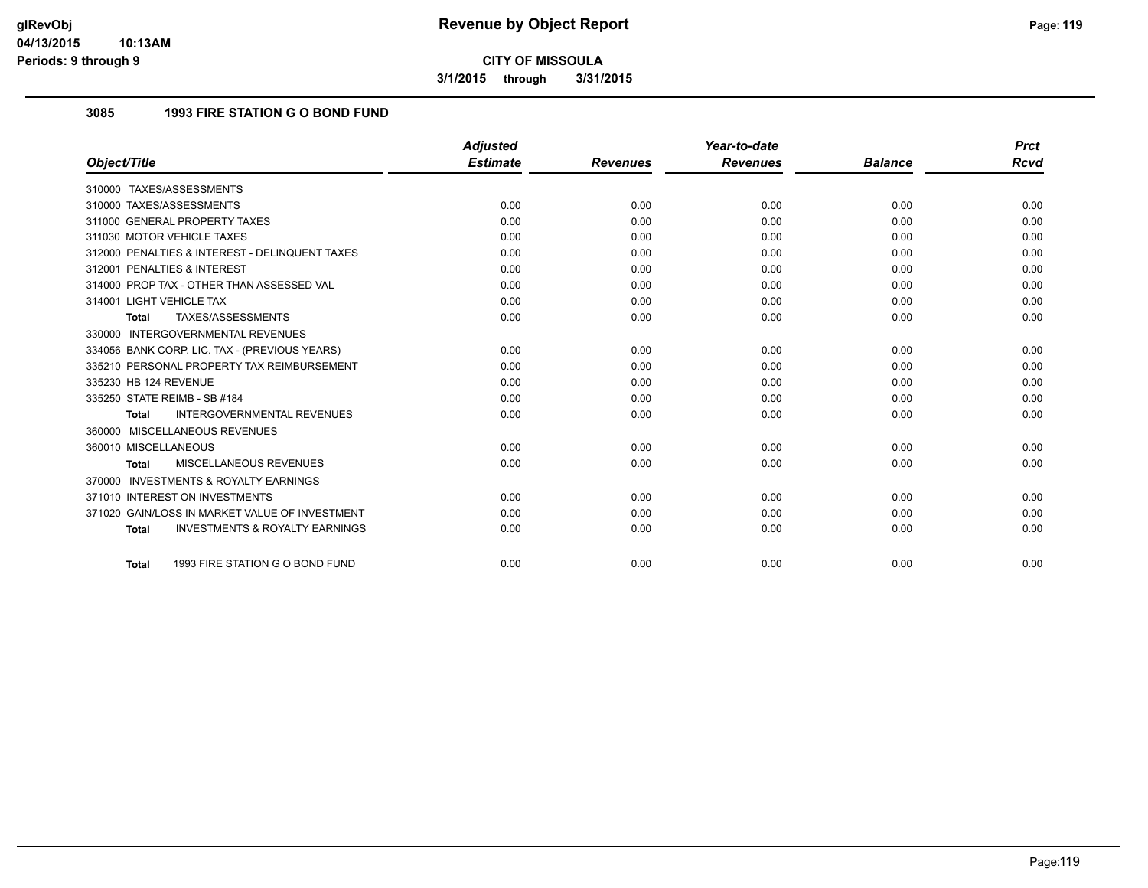**3/1/2015 through 3/31/2015**

## **3085 1993 FIRE STATION G O BOND FUND**

|                                                           | <b>Adjusted</b> |                 | Year-to-date    |                | <b>Prct</b> |
|-----------------------------------------------------------|-----------------|-----------------|-----------------|----------------|-------------|
| Object/Title                                              | <b>Estimate</b> | <b>Revenues</b> | <b>Revenues</b> | <b>Balance</b> | Rcvd        |
| 310000 TAXES/ASSESSMENTS                                  |                 |                 |                 |                |             |
| 310000 TAXES/ASSESSMENTS                                  | 0.00            | 0.00            | 0.00            | 0.00           | 0.00        |
| 311000 GENERAL PROPERTY TAXES                             | 0.00            | 0.00            | 0.00            | 0.00           | 0.00        |
| 311030 MOTOR VEHICLE TAXES                                | 0.00            | 0.00            | 0.00            | 0.00           | 0.00        |
| 312000 PENALTIES & INTEREST - DELINQUENT TAXES            | 0.00            | 0.00            | 0.00            | 0.00           | 0.00        |
| 312001 PENALTIES & INTEREST                               | 0.00            | 0.00            | 0.00            | 0.00           | 0.00        |
| 314000 PROP TAX - OTHER THAN ASSESSED VAL                 | 0.00            | 0.00            | 0.00            | 0.00           | 0.00        |
| 314001 LIGHT VEHICLE TAX                                  | 0.00            | 0.00            | 0.00            | 0.00           | 0.00        |
| TAXES/ASSESSMENTS<br><b>Total</b>                         | 0.00            | 0.00            | 0.00            | 0.00           | 0.00        |
| 330000 INTERGOVERNMENTAL REVENUES                         |                 |                 |                 |                |             |
| 334056 BANK CORP. LIC. TAX - (PREVIOUS YEARS)             | 0.00            | 0.00            | 0.00            | 0.00           | 0.00        |
| 335210 PERSONAL PROPERTY TAX REIMBURSEMENT                | 0.00            | 0.00            | 0.00            | 0.00           | 0.00        |
| 335230 HB 124 REVENUE                                     | 0.00            | 0.00            | 0.00            | 0.00           | 0.00        |
| 335250 STATE REIMB - SB #184                              | 0.00            | 0.00            | 0.00            | 0.00           | 0.00        |
| <b>INTERGOVERNMENTAL REVENUES</b><br><b>Total</b>         | 0.00            | 0.00            | 0.00            | 0.00           | 0.00        |
| 360000 MISCELLANEOUS REVENUES                             |                 |                 |                 |                |             |
| 360010 MISCELLANEOUS                                      | 0.00            | 0.00            | 0.00            | 0.00           | 0.00        |
| MISCELLANEOUS REVENUES<br><b>Total</b>                    | 0.00            | 0.00            | 0.00            | 0.00           | 0.00        |
| 370000 INVESTMENTS & ROYALTY EARNINGS                     |                 |                 |                 |                |             |
| 371010 INTEREST ON INVESTMENTS                            | 0.00            | 0.00            | 0.00            | 0.00           | 0.00        |
| 371020 GAIN/LOSS IN MARKET VALUE OF INVESTMENT            | 0.00            | 0.00            | 0.00            | 0.00           | 0.00        |
| <b>INVESTMENTS &amp; ROYALTY EARNINGS</b><br><b>Total</b> | 0.00            | 0.00            | 0.00            | 0.00           | 0.00        |
| 1993 FIRE STATION G O BOND FUND<br><b>Total</b>           | 0.00            | 0.00            | 0.00            | 0.00           | 0.00        |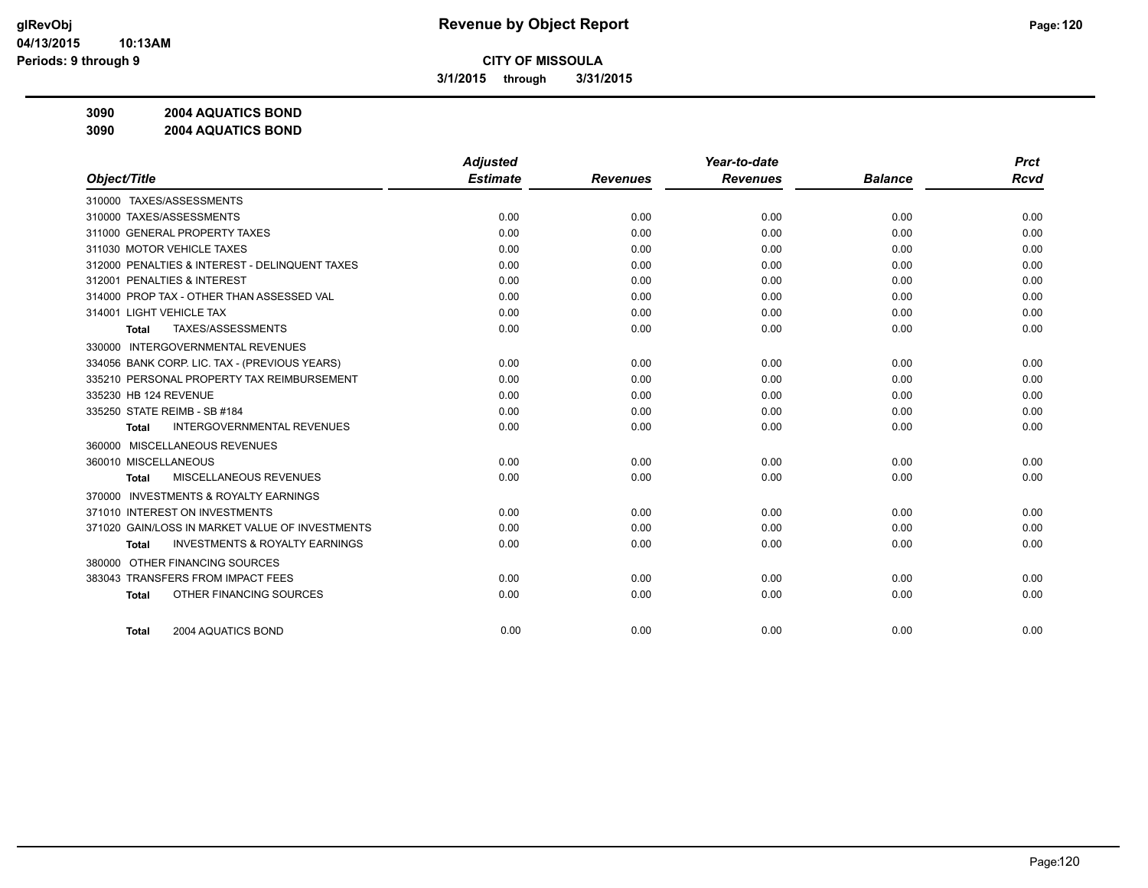**3/1/2015 through 3/31/2015**

**3090 2004 AQUATICS BOND**

**3090 2004 AQUATICS BOND**

|                                                     | <b>Adjusted</b> |                 | Year-to-date    |                | <b>Prct</b> |
|-----------------------------------------------------|-----------------|-----------------|-----------------|----------------|-------------|
| Object/Title                                        | <b>Estimate</b> | <b>Revenues</b> | <b>Revenues</b> | <b>Balance</b> | <b>Rcvd</b> |
| 310000 TAXES/ASSESSMENTS                            |                 |                 |                 |                |             |
| 310000 TAXES/ASSESSMENTS                            | 0.00            | 0.00            | 0.00            | 0.00           | 0.00        |
| 311000 GENERAL PROPERTY TAXES                       | 0.00            | 0.00            | 0.00            | 0.00           | 0.00        |
| 311030 MOTOR VEHICLE TAXES                          | 0.00            | 0.00            | 0.00            | 0.00           | 0.00        |
| 312000 PENALTIES & INTEREST - DELINQUENT TAXES      | 0.00            | 0.00            | 0.00            | 0.00           | 0.00        |
| 312001 PENALTIES & INTEREST                         | 0.00            | 0.00            | 0.00            | 0.00           | 0.00        |
| 314000 PROP TAX - OTHER THAN ASSESSED VAL           | 0.00            | 0.00            | 0.00            | 0.00           | 0.00        |
| 314001 LIGHT VEHICLE TAX                            | 0.00            | 0.00            | 0.00            | 0.00           | 0.00        |
| TAXES/ASSESSMENTS<br>Total                          | 0.00            | 0.00            | 0.00            | 0.00           | 0.00        |
| <b>INTERGOVERNMENTAL REVENUES</b><br>330000         |                 |                 |                 |                |             |
| 334056 BANK CORP. LIC. TAX - (PREVIOUS YEARS)       | 0.00            | 0.00            | 0.00            | 0.00           | 0.00        |
| 335210 PERSONAL PROPERTY TAX REIMBURSEMENT          | 0.00            | 0.00            | 0.00            | 0.00           | 0.00        |
| 335230 HB 124 REVENUE                               | 0.00            | 0.00            | 0.00            | 0.00           | 0.00        |
| 335250 STATE REIMB - SB #184                        | 0.00            | 0.00            | 0.00            | 0.00           | 0.00        |
| <b>INTERGOVERNMENTAL REVENUES</b><br><b>Total</b>   | 0.00            | 0.00            | 0.00            | 0.00           | 0.00        |
| 360000 MISCELLANEOUS REVENUES                       |                 |                 |                 |                |             |
| 360010 MISCELLANEOUS                                | 0.00            | 0.00            | 0.00            | 0.00           | 0.00        |
| MISCELLANEOUS REVENUES<br><b>Total</b>              | 0.00            | 0.00            | 0.00            | 0.00           | 0.00        |
| <b>INVESTMENTS &amp; ROYALTY EARNINGS</b><br>370000 |                 |                 |                 |                |             |
| 371010 INTEREST ON INVESTMENTS                      | 0.00            | 0.00            | 0.00            | 0.00           | 0.00        |
| 371020 GAIN/LOSS IN MARKET VALUE OF INVESTMENTS     | 0.00            | 0.00            | 0.00            | 0.00           | 0.00        |
| <b>INVESTMENTS &amp; ROYALTY EARNINGS</b><br>Total  | 0.00            | 0.00            | 0.00            | 0.00           | 0.00        |
| OTHER FINANCING SOURCES<br>380000                   |                 |                 |                 |                |             |
| 383043 TRANSFERS FROM IMPACT FEES                   | 0.00            | 0.00            | 0.00            | 0.00           | 0.00        |
| OTHER FINANCING SOURCES<br><b>Total</b>             | 0.00            | 0.00            | 0.00            | 0.00           | 0.00        |
|                                                     |                 |                 |                 |                |             |
| 2004 AQUATICS BOND<br><b>Total</b>                  | 0.00            | 0.00            | 0.00            | 0.00           | 0.00        |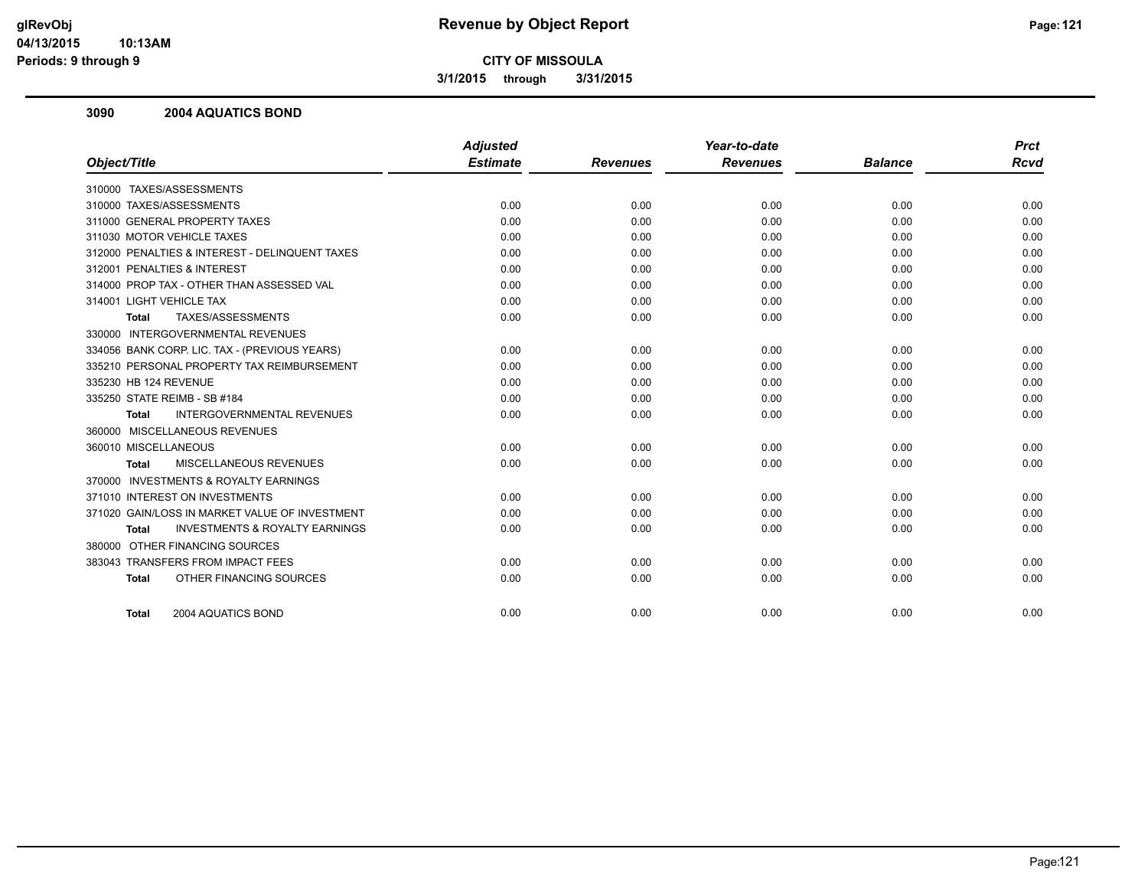**3/1/2015 through 3/31/2015**

#### **3090 2004 AQUATICS BOND**

|                                                    | <b>Adjusted</b> |                 | Year-to-date    |                | <b>Prct</b> |
|----------------------------------------------------|-----------------|-----------------|-----------------|----------------|-------------|
| Object/Title                                       | <b>Estimate</b> | <b>Revenues</b> | <b>Revenues</b> | <b>Balance</b> | <b>Rcvd</b> |
| 310000 TAXES/ASSESSMENTS                           |                 |                 |                 |                |             |
| 310000 TAXES/ASSESSMENTS                           | 0.00            | 0.00            | 0.00            | 0.00           | 0.00        |
| 311000 GENERAL PROPERTY TAXES                      | 0.00            | 0.00            | 0.00            | 0.00           | 0.00        |
| 311030 MOTOR VEHICLE TAXES                         | 0.00            | 0.00            | 0.00            | 0.00           | 0.00        |
| 312000 PENALTIES & INTEREST - DELINQUENT TAXES     | 0.00            | 0.00            | 0.00            | 0.00           | 0.00        |
| 312001 PENALTIES & INTEREST                        | 0.00            | 0.00            | 0.00            | 0.00           | 0.00        |
| 314000 PROP TAX - OTHER THAN ASSESSED VAL          | 0.00            | 0.00            | 0.00            | 0.00           | 0.00        |
| 314001 LIGHT VEHICLE TAX                           | 0.00            | 0.00            | 0.00            | 0.00           | 0.00        |
| TAXES/ASSESSMENTS<br><b>Total</b>                  | 0.00            | 0.00            | 0.00            | 0.00           | 0.00        |
| 330000 INTERGOVERNMENTAL REVENUES                  |                 |                 |                 |                |             |
| 334056 BANK CORP. LIC. TAX - (PREVIOUS YEARS)      | 0.00            | 0.00            | 0.00            | 0.00           | 0.00        |
| 335210 PERSONAL PROPERTY TAX REIMBURSEMENT         | 0.00            | 0.00            | 0.00            | 0.00           | 0.00        |
| 335230 HB 124 REVENUE                              | 0.00            | 0.00            | 0.00            | 0.00           | 0.00        |
| 335250 STATE REIMB - SB #184                       | 0.00            | 0.00            | 0.00            | 0.00           | 0.00        |
| INTERGOVERNMENTAL REVENUES<br><b>Total</b>         | 0.00            | 0.00            | 0.00            | 0.00           | 0.00        |
| 360000 MISCELLANEOUS REVENUES                      |                 |                 |                 |                |             |
| 360010 MISCELLANEOUS                               | 0.00            | 0.00            | 0.00            | 0.00           | 0.00        |
| MISCELLANEOUS REVENUES<br>Total                    | 0.00            | 0.00            | 0.00            | 0.00           | 0.00        |
| 370000 INVESTMENTS & ROYALTY EARNINGS              |                 |                 |                 |                |             |
| 371010 INTEREST ON INVESTMENTS                     | 0.00            | 0.00            | 0.00            | 0.00           | 0.00        |
| 371020 GAIN/LOSS IN MARKET VALUE OF INVESTMENT     | 0.00            | 0.00            | 0.00            | 0.00           | 0.00        |
| <b>INVESTMENTS &amp; ROYALTY EARNINGS</b><br>Total | 0.00            | 0.00            | 0.00            | 0.00           | 0.00        |
| 380000 OTHER FINANCING SOURCES                     |                 |                 |                 |                |             |
| 383043 TRANSFERS FROM IMPACT FEES                  | 0.00            | 0.00            | 0.00            | 0.00           | 0.00        |
| OTHER FINANCING SOURCES<br><b>Total</b>            | 0.00            | 0.00            | 0.00            | 0.00           | 0.00        |
| 2004 AQUATICS BOND<br>Total                        | 0.00            | 0.00            | 0.00            | 0.00           | 0.00        |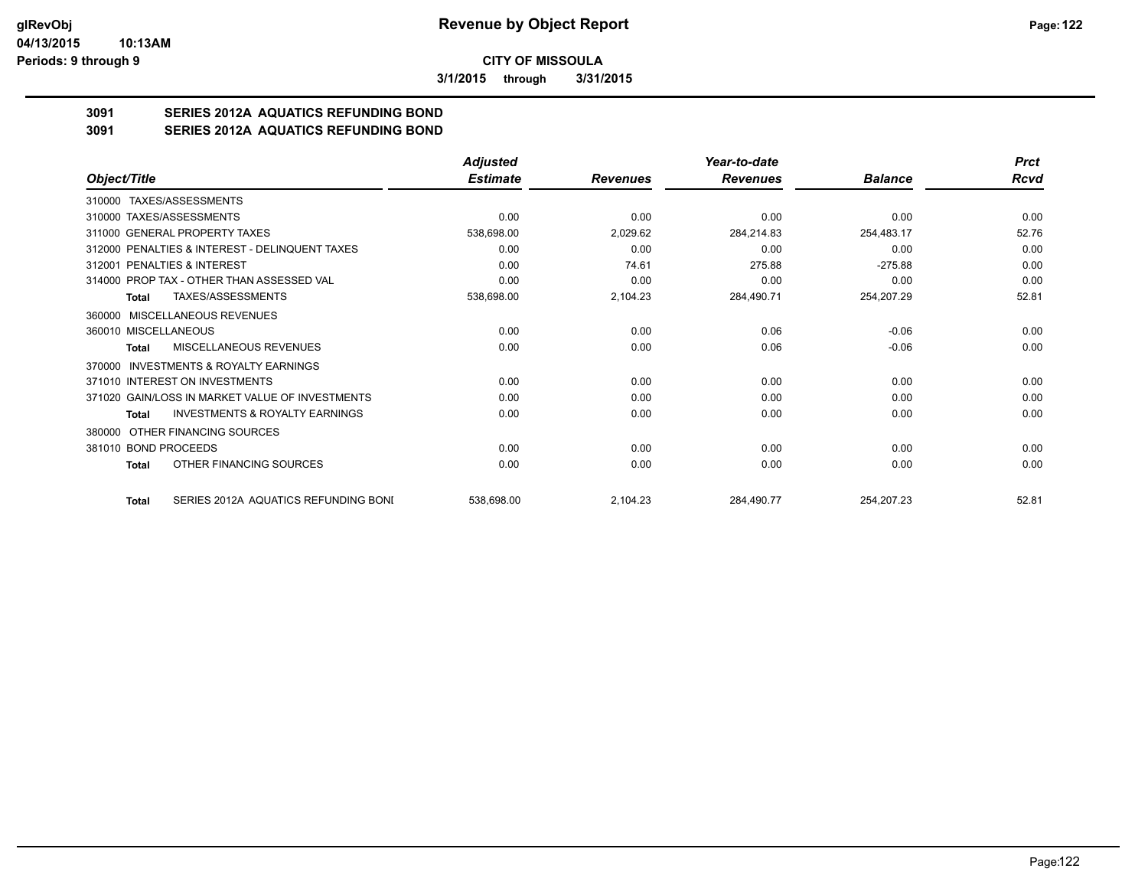**3/1/2015 through 3/31/2015**

# **3091 SERIES 2012A AQUATICS REFUNDING BOND**

**3091 SERIES 2012A AQUATICS REFUNDING BOND**

|                                                      | <b>Adjusted</b> |                 | Year-to-date    |                | <b>Prct</b> |
|------------------------------------------------------|-----------------|-----------------|-----------------|----------------|-------------|
| Object/Title                                         | <b>Estimate</b> | <b>Revenues</b> | <b>Revenues</b> | <b>Balance</b> | Rcvd        |
| TAXES/ASSESSMENTS<br>310000                          |                 |                 |                 |                |             |
| 310000 TAXES/ASSESSMENTS                             | 0.00            | 0.00            | 0.00            | 0.00           | 0.00        |
| 311000 GENERAL PROPERTY TAXES                        | 538,698.00      | 2,029.62        | 284,214.83      | 254,483.17     | 52.76       |
| 312000 PENALTIES & INTEREST - DELINQUENT TAXES       | 0.00            | 0.00            | 0.00            | 0.00           | 0.00        |
| 312001 PENALTIES & INTEREST                          | 0.00            | 74.61           | 275.88          | $-275.88$      | 0.00        |
| 314000 PROP TAX - OTHER THAN ASSESSED VAL            | 0.00            | 0.00            | 0.00            | 0.00           | 0.00        |
| <b>TAXES/ASSESSMENTS</b><br>Total                    | 538,698.00      | 2,104.23        | 284,490.71      | 254,207.29     | 52.81       |
| MISCELLANEOUS REVENUES<br>360000                     |                 |                 |                 |                |             |
| 360010 MISCELLANEOUS                                 | 0.00            | 0.00            | 0.06            | $-0.06$        | 0.00        |
| MISCELLANEOUS REVENUES<br>Total                      | 0.00            | 0.00            | 0.06            | $-0.06$        | 0.00        |
| <b>INVESTMENTS &amp; ROYALTY EARNINGS</b><br>370000  |                 |                 |                 |                |             |
| 371010 INTEREST ON INVESTMENTS                       | 0.00            | 0.00            | 0.00            | 0.00           | 0.00        |
| 371020 GAIN/LOSS IN MARKET VALUE OF INVESTMENTS      | 0.00            | 0.00            | 0.00            | 0.00           | 0.00        |
| <b>INVESTMENTS &amp; ROYALTY EARNINGS</b><br>Total   | 0.00            | 0.00            | 0.00            | 0.00           | 0.00        |
| OTHER FINANCING SOURCES<br>380000                    |                 |                 |                 |                |             |
| 381010 BOND PROCEEDS                                 | 0.00            | 0.00            | 0.00            | 0.00           | 0.00        |
| OTHER FINANCING SOURCES<br>Total                     | 0.00            | 0.00            | 0.00            | 0.00           | 0.00        |
| SERIES 2012A AQUATICS REFUNDING BONI<br><b>Total</b> | 538,698.00      | 2,104.23        | 284,490.77      | 254,207.23     | 52.81       |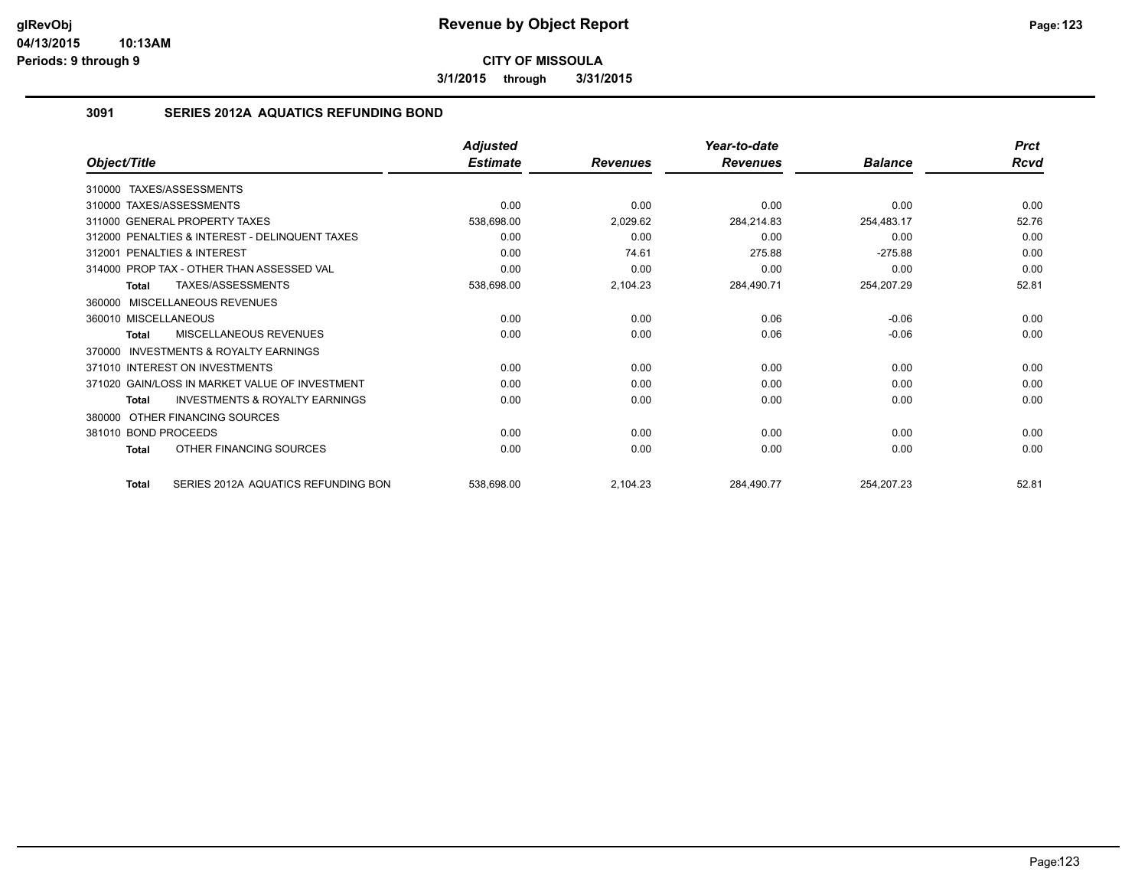**3/1/2015 through 3/31/2015**

## **3091 SERIES 2012A AQUATICS REFUNDING BOND**

|                                                           | <b>Adjusted</b> |                 | Year-to-date    |                | <b>Prct</b> |
|-----------------------------------------------------------|-----------------|-----------------|-----------------|----------------|-------------|
| Object/Title                                              | <b>Estimate</b> | <b>Revenues</b> | <b>Revenues</b> | <b>Balance</b> | <b>Rcvd</b> |
| 310000 TAXES/ASSESSMENTS                                  |                 |                 |                 |                |             |
| 310000 TAXES/ASSESSMENTS                                  | 0.00            | 0.00            | 0.00            | 0.00           | 0.00        |
| 311000 GENERAL PROPERTY TAXES                             | 538,698.00      | 2,029.62        | 284,214.83      | 254,483.17     | 52.76       |
| 312000 PENALTIES & INTEREST - DELINQUENT TAXES            | 0.00            | 0.00            | 0.00            | 0.00           | 0.00        |
| PENALTIES & INTEREST<br>312001                            | 0.00            | 74.61           | 275.88          | $-275.88$      | 0.00        |
| 314000 PROP TAX - OTHER THAN ASSESSED VAL                 | 0.00            | 0.00            | 0.00            | 0.00           | 0.00        |
| TAXES/ASSESSMENTS<br>Total                                | 538,698.00      | 2,104.23        | 284,490.71      | 254,207.29     | 52.81       |
| 360000 MISCELLANEOUS REVENUES                             |                 |                 |                 |                |             |
| 360010 MISCELLANEOUS                                      | 0.00            | 0.00            | 0.06            | $-0.06$        | 0.00        |
| MISCELLANEOUS REVENUES<br>Total                           | 0.00            | 0.00            | 0.06            | $-0.06$        | 0.00        |
| <b>INVESTMENTS &amp; ROYALTY EARNINGS</b><br>370000       |                 |                 |                 |                |             |
| 371010 INTEREST ON INVESTMENTS                            | 0.00            | 0.00            | 0.00            | 0.00           | 0.00        |
| 371020 GAIN/LOSS IN MARKET VALUE OF INVESTMENT            | 0.00            | 0.00            | 0.00            | 0.00           | 0.00        |
| <b>INVESTMENTS &amp; ROYALTY EARNINGS</b><br><b>Total</b> | 0.00            | 0.00            | 0.00            | 0.00           | 0.00        |
| OTHER FINANCING SOURCES<br>380000                         |                 |                 |                 |                |             |
| 381010 BOND PROCEEDS                                      | 0.00            | 0.00            | 0.00            | 0.00           | 0.00        |
| OTHER FINANCING SOURCES<br><b>Total</b>                   | 0.00            | 0.00            | 0.00            | 0.00           | 0.00        |
| SERIES 2012A AQUATICS REFUNDING BON<br><b>Total</b>       | 538,698.00      | 2,104.23        | 284,490.77      | 254,207.23     | 52.81       |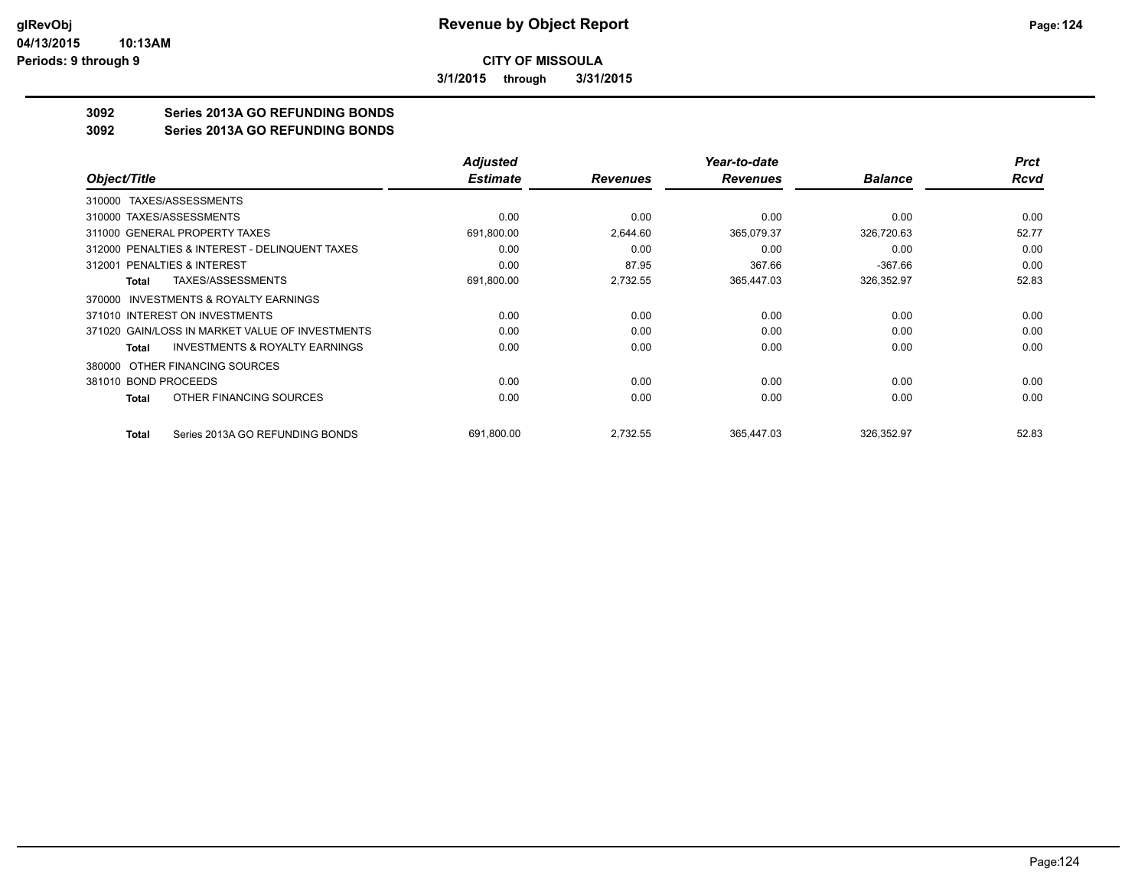**3/1/2015 through 3/31/2015**

# **3092 Series 2013A GO REFUNDING BONDS**

#### **3092 Series 2013A GO REFUNDING BONDS**

|                                                     | <b>Adjusted</b> |                 | Year-to-date    |                | <b>Prct</b> |
|-----------------------------------------------------|-----------------|-----------------|-----------------|----------------|-------------|
| Object/Title                                        | <b>Estimate</b> | <b>Revenues</b> | <b>Revenues</b> | <b>Balance</b> | <b>Rcvd</b> |
| 310000 TAXES/ASSESSMENTS                            |                 |                 |                 |                |             |
| 310000 TAXES/ASSESSMENTS                            | 0.00            | 0.00            | 0.00            | 0.00           | 0.00        |
| 311000 GENERAL PROPERTY TAXES                       | 691,800.00      | 2,644.60        | 365,079.37      | 326,720.63     | 52.77       |
| 312000 PENALTIES & INTEREST - DELINQUENT TAXES      | 0.00            | 0.00            | 0.00            | 0.00           | 0.00        |
| 312001 PENALTIES & INTEREST                         | 0.00            | 87.95           | 367.66          | $-367.66$      | 0.00        |
| TAXES/ASSESSMENTS<br>Total                          | 691,800.00      | 2,732.55        | 365,447.03      | 326,352.97     | 52.83       |
| <b>INVESTMENTS &amp; ROYALTY EARNINGS</b><br>370000 |                 |                 |                 |                |             |
| 371010 INTEREST ON INVESTMENTS                      | 0.00            | 0.00            | 0.00            | 0.00           | 0.00        |
| 371020 GAIN/LOSS IN MARKET VALUE OF INVESTMENTS     | 0.00            | 0.00            | 0.00            | 0.00           | 0.00        |
| <b>INVESTMENTS &amp; ROYALTY EARNINGS</b><br>Total  | 0.00            | 0.00            | 0.00            | 0.00           | 0.00        |
| OTHER FINANCING SOURCES<br>380000                   |                 |                 |                 |                |             |
| 381010 BOND PROCEEDS                                | 0.00            | 0.00            | 0.00            | 0.00           | 0.00        |
| OTHER FINANCING SOURCES<br>Total                    | 0.00            | 0.00            | 0.00            | 0.00           | 0.00        |
| Series 2013A GO REFUNDING BONDS<br>Total            | 691,800.00      | 2,732.55        | 365,447.03      | 326,352.97     | 52.83       |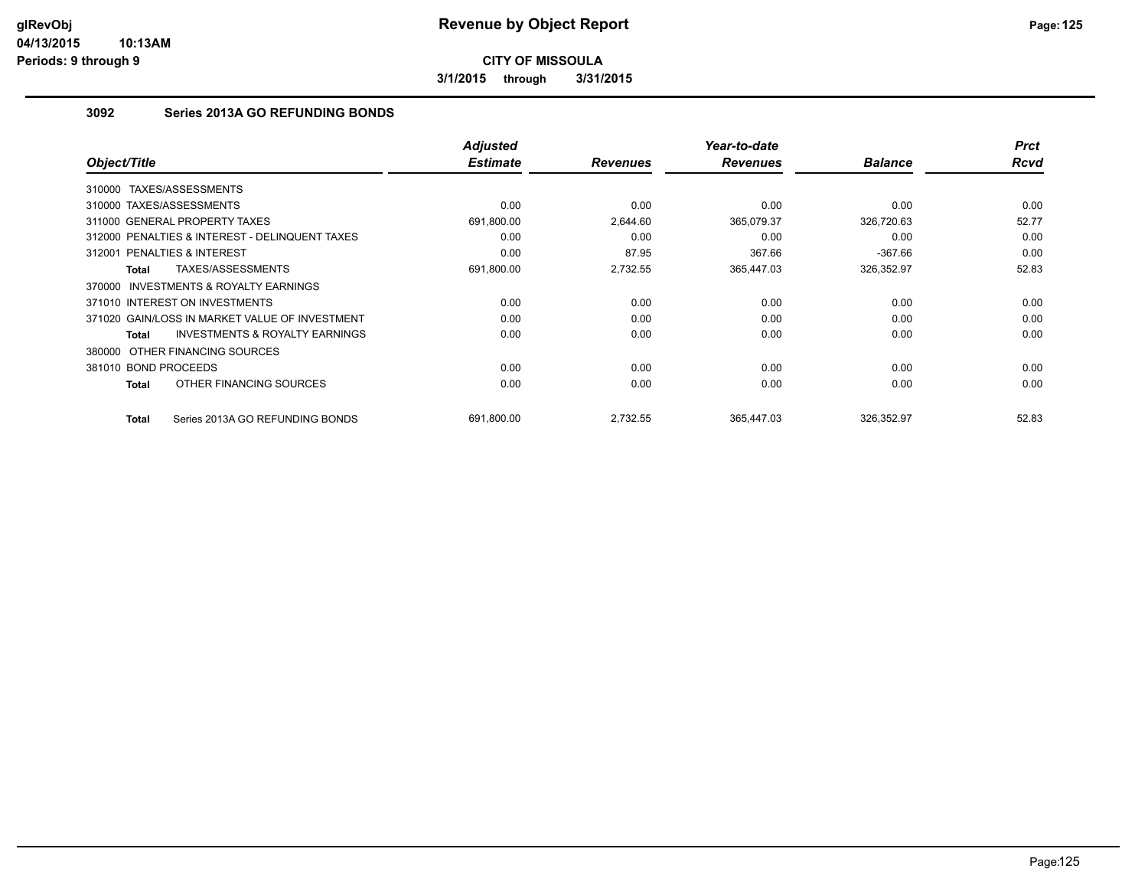**3/1/2015 through 3/31/2015**

## **3092 Series 2013A GO REFUNDING BONDS**

| Object/Title                                        | <b>Adjusted</b><br><b>Estimate</b> | <b>Revenues</b> | Year-to-date<br><b>Revenues</b> | <b>Balance</b> | <b>Prct</b><br><b>Rcvd</b> |
|-----------------------------------------------------|------------------------------------|-----------------|---------------------------------|----------------|----------------------------|
| TAXES/ASSESSMENTS<br>310000                         |                                    |                 |                                 |                |                            |
| 310000 TAXES/ASSESSMENTS                            | 0.00                               | 0.00            | 0.00                            | 0.00           | 0.00                       |
| 311000 GENERAL PROPERTY TAXES                       | 691,800.00                         | 2,644.60        | 365,079.37                      | 326,720.63     | 52.77                      |
| 312000 PENALTIES & INTEREST - DELINQUENT TAXES      | 0.00                               | 0.00            | 0.00                            | 0.00           | 0.00                       |
| PENALTIES & INTEREST<br>312001                      | 0.00                               | 87.95           | 367.66                          | $-367.66$      | 0.00                       |
| TAXES/ASSESSMENTS<br>Total                          | 691,800.00                         | 2,732.55        | 365,447.03                      | 326,352.97     | 52.83                      |
| <b>INVESTMENTS &amp; ROYALTY EARNINGS</b><br>370000 |                                    |                 |                                 |                |                            |
| 371010 INTEREST ON INVESTMENTS                      | 0.00                               | 0.00            | 0.00                            | 0.00           | 0.00                       |
| 371020 GAIN/LOSS IN MARKET VALUE OF INVESTMENT      | 0.00                               | 0.00            | 0.00                            | 0.00           | 0.00                       |
| <b>INVESTMENTS &amp; ROYALTY EARNINGS</b><br>Total  | 0.00                               | 0.00            | 0.00                            | 0.00           | 0.00                       |
| 380000 OTHER FINANCING SOURCES                      |                                    |                 |                                 |                |                            |
| 381010 BOND PROCEEDS                                | 0.00                               | 0.00            | 0.00                            | 0.00           | 0.00                       |
| OTHER FINANCING SOURCES<br>Total                    | 0.00                               | 0.00            | 0.00                            | 0.00           | 0.00                       |
| Series 2013A GO REFUNDING BONDS<br>Total            | 691,800.00                         | 2,732.55        | 365.447.03                      | 326,352.97     | 52.83                      |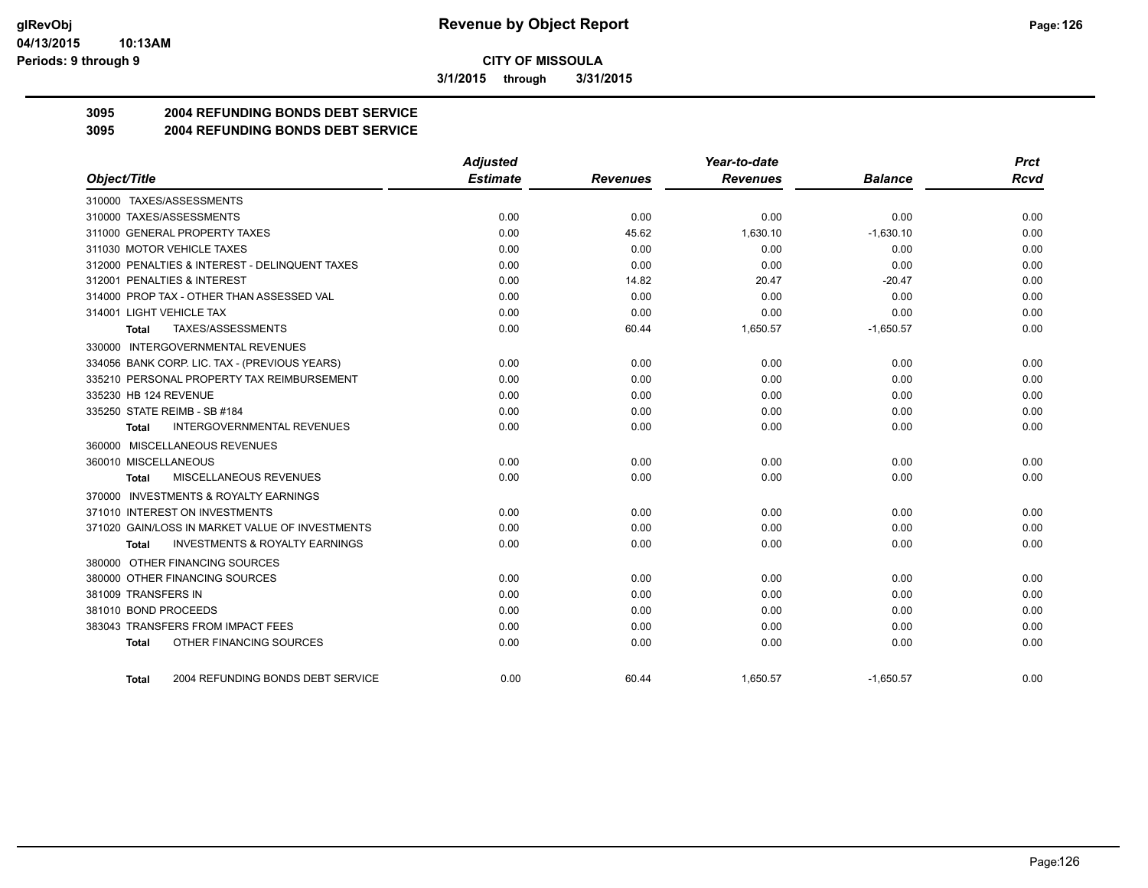**3/1/2015 through 3/31/2015**

# **3095 2004 REFUNDING BONDS DEBT SERVICE**

#### **3095 2004 REFUNDING BONDS DEBT SERVICE**

|                                                    | <b>Adjusted</b> |                 | Year-to-date    |                | <b>Prct</b> |
|----------------------------------------------------|-----------------|-----------------|-----------------|----------------|-------------|
| Object/Title                                       | <b>Estimate</b> | <b>Revenues</b> | <b>Revenues</b> | <b>Balance</b> | Rcvd        |
| 310000 TAXES/ASSESSMENTS                           |                 |                 |                 |                |             |
| 310000 TAXES/ASSESSMENTS                           | 0.00            | 0.00            | 0.00            | 0.00           | 0.00        |
| 311000 GENERAL PROPERTY TAXES                      | 0.00            | 45.62           | 1,630.10        | $-1,630.10$    | 0.00        |
| 311030 MOTOR VEHICLE TAXES                         | 0.00            | 0.00            | 0.00            | 0.00           | 0.00        |
| 312000 PENALTIES & INTEREST - DELINQUENT TAXES     | 0.00            | 0.00            | 0.00            | 0.00           | 0.00        |
| 312001 PENALTIES & INTEREST                        | 0.00            | 14.82           | 20.47           | $-20.47$       | 0.00        |
| 314000 PROP TAX - OTHER THAN ASSESSED VAL          | 0.00            | 0.00            | 0.00            | 0.00           | 0.00        |
| 314001 LIGHT VEHICLE TAX                           | 0.00            | 0.00            | 0.00            | 0.00           | 0.00        |
| TAXES/ASSESSMENTS<br>Total                         | 0.00            | 60.44           | 1,650.57        | $-1,650.57$    | 0.00        |
| 330000 INTERGOVERNMENTAL REVENUES                  |                 |                 |                 |                |             |
| 334056 BANK CORP. LIC. TAX - (PREVIOUS YEARS)      | 0.00            | 0.00            | 0.00            | 0.00           | 0.00        |
| 335210 PERSONAL PROPERTY TAX REIMBURSEMENT         | 0.00            | 0.00            | 0.00            | 0.00           | 0.00        |
| 335230 HB 124 REVENUE                              | 0.00            | 0.00            | 0.00            | 0.00           | 0.00        |
| 335250 STATE REIMB - SB #184                       | 0.00            | 0.00            | 0.00            | 0.00           | 0.00        |
| <b>INTERGOVERNMENTAL REVENUES</b><br>Total         | 0.00            | 0.00            | 0.00            | 0.00           | 0.00        |
| 360000 MISCELLANEOUS REVENUES                      |                 |                 |                 |                |             |
| 360010 MISCELLANEOUS                               | 0.00            | 0.00            | 0.00            | 0.00           | 0.00        |
| MISCELLANEOUS REVENUES<br>Total                    | 0.00            | 0.00            | 0.00            | 0.00           | 0.00        |
| 370000 INVESTMENTS & ROYALTY EARNINGS              |                 |                 |                 |                |             |
| 371010 INTEREST ON INVESTMENTS                     | 0.00            | 0.00            | 0.00            | 0.00           | 0.00        |
| 371020 GAIN/LOSS IN MARKET VALUE OF INVESTMENTS    | 0.00            | 0.00            | 0.00            | 0.00           | 0.00        |
| <b>INVESTMENTS &amp; ROYALTY EARNINGS</b><br>Total | 0.00            | 0.00            | 0.00            | 0.00           | 0.00        |
| 380000 OTHER FINANCING SOURCES                     |                 |                 |                 |                |             |
| 380000 OTHER FINANCING SOURCES                     | 0.00            | 0.00            | 0.00            | 0.00           | 0.00        |
| 381009 TRANSFERS IN                                | 0.00            | 0.00            | 0.00            | 0.00           | 0.00        |
| 381010 BOND PROCEEDS                               | 0.00            | 0.00            | 0.00            | 0.00           | 0.00        |
| 383043 TRANSFERS FROM IMPACT FEES                  | 0.00            | 0.00            | 0.00            | 0.00           | 0.00        |
| OTHER FINANCING SOURCES<br><b>Total</b>            | 0.00            | 0.00            | 0.00            | 0.00           | 0.00        |
| 2004 REFUNDING BONDS DEBT SERVICE<br><b>Total</b>  | 0.00            | 60.44           | 1.650.57        | $-1.650.57$    | 0.00        |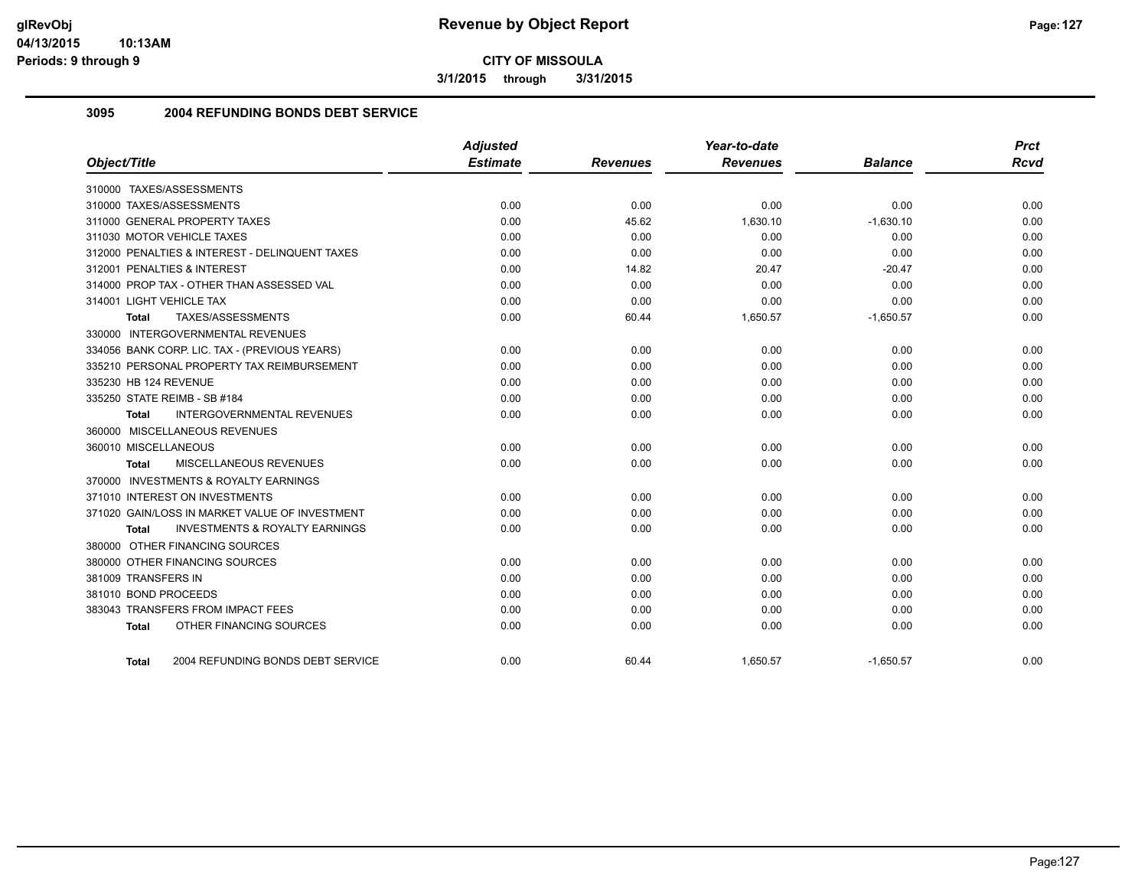**3/1/2015 through 3/31/2015**

## **3095 2004 REFUNDING BONDS DEBT SERVICE**

|                                                    | <b>Adjusted</b> |                 | Year-to-date    |                | <b>Prct</b> |
|----------------------------------------------------|-----------------|-----------------|-----------------|----------------|-------------|
| Object/Title                                       | <b>Estimate</b> | <b>Revenues</b> | <b>Revenues</b> | <b>Balance</b> | <b>Rcvd</b> |
| 310000 TAXES/ASSESSMENTS                           |                 |                 |                 |                |             |
| 310000 TAXES/ASSESSMENTS                           | 0.00            | 0.00            | 0.00            | 0.00           | 0.00        |
| 311000 GENERAL PROPERTY TAXES                      | 0.00            | 45.62           | 1,630.10        | $-1,630.10$    | 0.00        |
| 311030 MOTOR VEHICLE TAXES                         | 0.00            | 0.00            | 0.00            | 0.00           | 0.00        |
| 312000 PENALTIES & INTEREST - DELINQUENT TAXES     | 0.00            | 0.00            | 0.00            | 0.00           | 0.00        |
| 312001 PENALTIES & INTEREST                        | 0.00            | 14.82           | 20.47           | $-20.47$       | 0.00        |
| 314000 PROP TAX - OTHER THAN ASSESSED VAL          | 0.00            | 0.00            | 0.00            | 0.00           | 0.00        |
| 314001 LIGHT VEHICLE TAX                           | 0.00            | 0.00            | 0.00            | 0.00           | 0.00        |
| TAXES/ASSESSMENTS<br>Total                         | 0.00            | 60.44           | 1,650.57        | $-1,650.57$    | 0.00        |
| 330000 INTERGOVERNMENTAL REVENUES                  |                 |                 |                 |                |             |
| 334056 BANK CORP. LIC. TAX - (PREVIOUS YEARS)      | 0.00            | 0.00            | 0.00            | 0.00           | 0.00        |
| 335210 PERSONAL PROPERTY TAX REIMBURSEMENT         | 0.00            | 0.00            | 0.00            | 0.00           | 0.00        |
| 335230 HB 124 REVENUE                              | 0.00            | 0.00            | 0.00            | 0.00           | 0.00        |
| 335250 STATE REIMB - SB #184                       | 0.00            | 0.00            | 0.00            | 0.00           | 0.00        |
| <b>INTERGOVERNMENTAL REVENUES</b><br>Total         | 0.00            | 0.00            | 0.00            | 0.00           | 0.00        |
| 360000 MISCELLANEOUS REVENUES                      |                 |                 |                 |                |             |
| 360010 MISCELLANEOUS                               | 0.00            | 0.00            | 0.00            | 0.00           | 0.00        |
| MISCELLANEOUS REVENUES<br>Total                    | 0.00            | 0.00            | 0.00            | 0.00           | 0.00        |
| 370000 INVESTMENTS & ROYALTY EARNINGS              |                 |                 |                 |                |             |
| 371010 INTEREST ON INVESTMENTS                     | 0.00            | 0.00            | 0.00            | 0.00           | 0.00        |
| 371020 GAIN/LOSS IN MARKET VALUE OF INVESTMENT     | 0.00            | 0.00            | 0.00            | 0.00           | 0.00        |
| <b>INVESTMENTS &amp; ROYALTY EARNINGS</b><br>Total | 0.00            | 0.00            | 0.00            | 0.00           | 0.00        |
| 380000 OTHER FINANCING SOURCES                     |                 |                 |                 |                |             |
| 380000 OTHER FINANCING SOURCES                     | 0.00            | 0.00            | 0.00            | 0.00           | 0.00        |
| 381009 TRANSFERS IN                                | 0.00            | 0.00            | 0.00            | 0.00           | 0.00        |
| 381010 BOND PROCEEDS                               | 0.00            | 0.00            | 0.00            | 0.00           | 0.00        |
| 383043 TRANSFERS FROM IMPACT FEES                  | 0.00            | 0.00            | 0.00            | 0.00           | 0.00        |
| OTHER FINANCING SOURCES<br><b>Total</b>            | 0.00            | 0.00            | 0.00            | 0.00           | 0.00        |
| 2004 REFUNDING BONDS DEBT SERVICE<br><b>Total</b>  | 0.00            | 60.44           | 1,650.57        | $-1,650.57$    | 0.00        |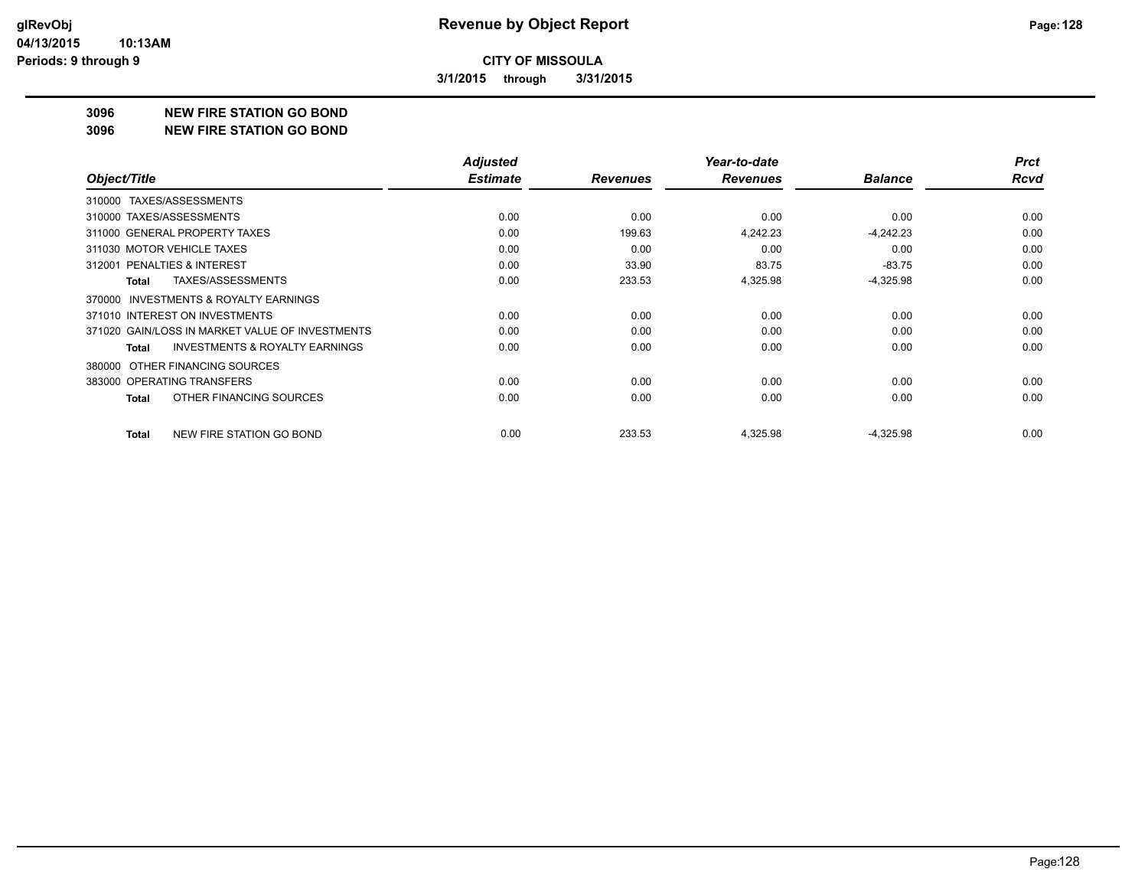**3/1/2015 through 3/31/2015**

#### **3096 NEW FIRE STATION GO BOND**

**3096 NEW FIRE STATION GO BOND**

|                                                    | <b>Adjusted</b> |                 | Year-to-date    |                | <b>Prct</b> |
|----------------------------------------------------|-----------------|-----------------|-----------------|----------------|-------------|
| Object/Title                                       | <b>Estimate</b> | <b>Revenues</b> | <b>Revenues</b> | <b>Balance</b> | <b>Rcvd</b> |
| TAXES/ASSESSMENTS<br>310000                        |                 |                 |                 |                |             |
| 310000 TAXES/ASSESSMENTS                           | 0.00            | 0.00            | 0.00            | 0.00           | 0.00        |
| 311000 GENERAL PROPERTY TAXES                      | 0.00            | 199.63          | 4,242.23        | $-4,242.23$    | 0.00        |
| 311030 MOTOR VEHICLE TAXES                         | 0.00            | 0.00            | 0.00            | 0.00           | 0.00        |
| 312001 PENALTIES & INTEREST                        | 0.00            | 33.90           | 83.75           | $-83.75$       | 0.00        |
| TAXES/ASSESSMENTS<br><b>Total</b>                  | 0.00            | 233.53          | 4,325.98        | $-4,325.98$    | 0.00        |
| 370000 INVESTMENTS & ROYALTY EARNINGS              |                 |                 |                 |                |             |
| 371010 INTEREST ON INVESTMENTS                     | 0.00            | 0.00            | 0.00            | 0.00           | 0.00        |
| 371020 GAIN/LOSS IN MARKET VALUE OF INVESTMENTS    | 0.00            | 0.00            | 0.00            | 0.00           | 0.00        |
| <b>INVESTMENTS &amp; ROYALTY EARNINGS</b><br>Total | 0.00            | 0.00            | 0.00            | 0.00           | 0.00        |
| OTHER FINANCING SOURCES<br>380000                  |                 |                 |                 |                |             |
| 383000 OPERATING TRANSFERS                         | 0.00            | 0.00            | 0.00            | 0.00           | 0.00        |
| OTHER FINANCING SOURCES<br>Total                   | 0.00            | 0.00            | 0.00            | 0.00           | 0.00        |
| NEW FIRE STATION GO BOND<br><b>Total</b>           | 0.00            | 233.53          | 4,325.98        | $-4,325.98$    | 0.00        |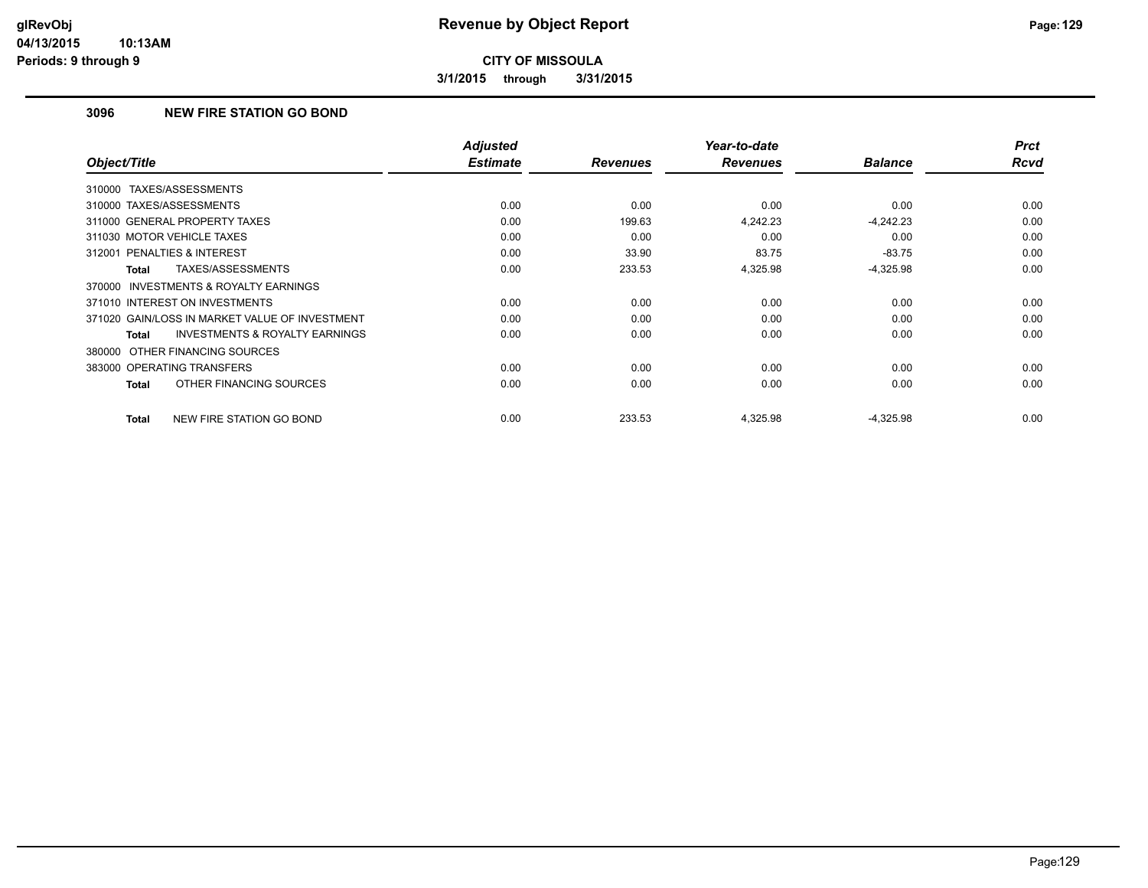**3/1/2015 through 3/31/2015**

## **3096 NEW FIRE STATION GO BOND**

| Object/Title                                       | <b>Adjusted</b><br><b>Estimate</b> | <b>Revenues</b> | Year-to-date<br><b>Revenues</b> | <b>Balance</b> | <b>Prct</b><br><b>Rcvd</b> |
|----------------------------------------------------|------------------------------------|-----------------|---------------------------------|----------------|----------------------------|
| TAXES/ASSESSMENTS<br>310000                        |                                    |                 |                                 |                |                            |
| 310000 TAXES/ASSESSMENTS                           | 0.00                               | 0.00            | 0.00                            | 0.00           | 0.00                       |
| 311000 GENERAL PROPERTY TAXES                      | 0.00                               | 199.63          | 4,242.23                        | $-4,242.23$    | 0.00                       |
| 311030 MOTOR VEHICLE TAXES                         | 0.00                               | 0.00            | 0.00                            | 0.00           | 0.00                       |
| PENALTIES & INTEREST<br>312001                     | 0.00                               | 33.90           | 83.75                           | $-83.75$       | 0.00                       |
| TAXES/ASSESSMENTS<br>Total                         | 0.00                               | 233.53          | 4,325.98                        | $-4,325.98$    | 0.00                       |
| 370000 INVESTMENTS & ROYALTY EARNINGS              |                                    |                 |                                 |                |                            |
| 371010 INTEREST ON INVESTMENTS                     | 0.00                               | 0.00            | 0.00                            | 0.00           | 0.00                       |
| 371020 GAIN/LOSS IN MARKET VALUE OF INVESTMENT     | 0.00                               | 0.00            | 0.00                            | 0.00           | 0.00                       |
| <b>INVESTMENTS &amp; ROYALTY EARNINGS</b><br>Total | 0.00                               | 0.00            | 0.00                            | 0.00           | 0.00                       |
| 380000 OTHER FINANCING SOURCES                     |                                    |                 |                                 |                |                            |
| 383000 OPERATING TRANSFERS                         | 0.00                               | 0.00            | 0.00                            | 0.00           | 0.00                       |
| OTHER FINANCING SOURCES<br>Total                   | 0.00                               | 0.00            | 0.00                            | 0.00           | 0.00                       |
| NEW FIRE STATION GO BOND<br><b>Total</b>           | 0.00                               | 233.53          | 4,325.98                        | $-4,325.98$    | 0.00                       |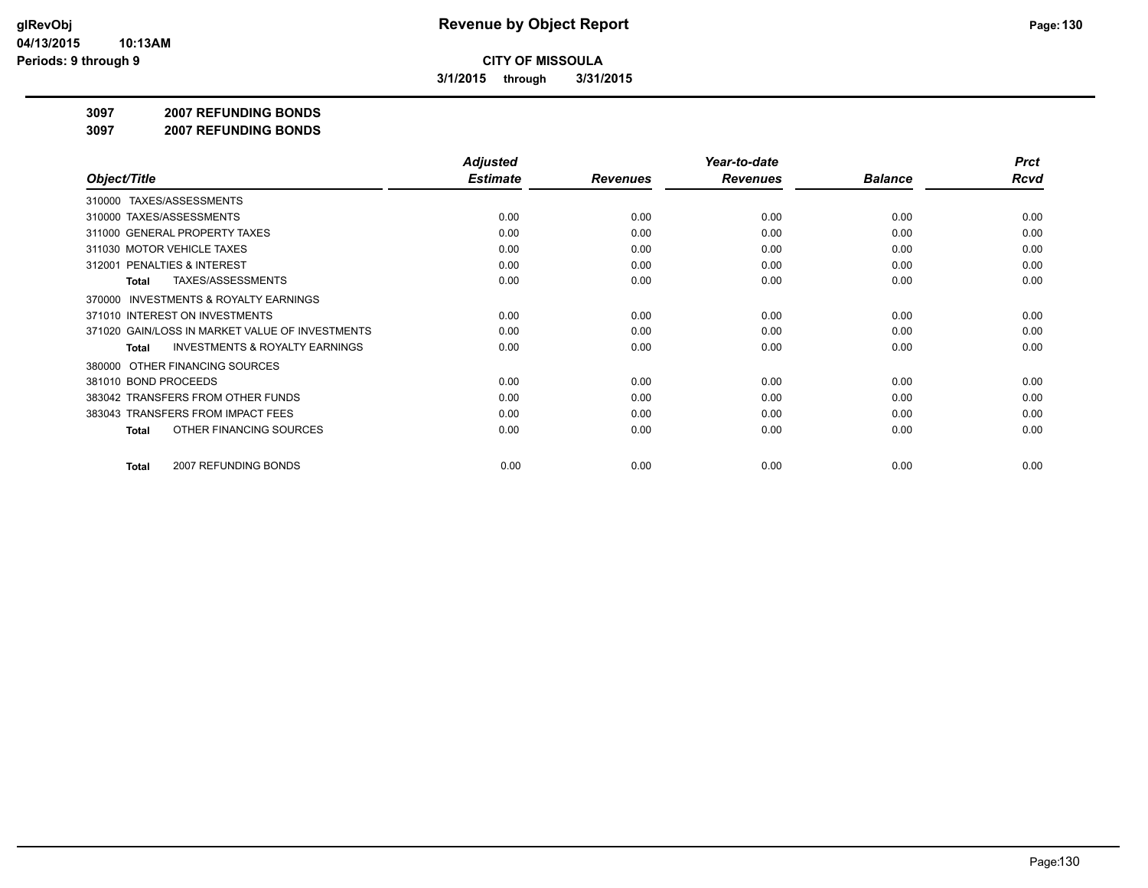**3/1/2015 through 3/31/2015**

**3097 2007 REFUNDING BONDS**

**3097 2007 REFUNDING BONDS**

|                                                     | <b>Adjusted</b> |                 | Year-to-date    |                | <b>Prct</b> |
|-----------------------------------------------------|-----------------|-----------------|-----------------|----------------|-------------|
| Object/Title                                        | <b>Estimate</b> | <b>Revenues</b> | <b>Revenues</b> | <b>Balance</b> | Rcvd        |
| TAXES/ASSESSMENTS<br>310000                         |                 |                 |                 |                |             |
| 310000 TAXES/ASSESSMENTS                            | 0.00            | 0.00            | 0.00            | 0.00           | 0.00        |
| 311000 GENERAL PROPERTY TAXES                       | 0.00            | 0.00            | 0.00            | 0.00           | 0.00        |
| 311030 MOTOR VEHICLE TAXES                          | 0.00            | 0.00            | 0.00            | 0.00           | 0.00        |
| 312001 PENALTIES & INTEREST                         | 0.00            | 0.00            | 0.00            | 0.00           | 0.00        |
| <b>TAXES/ASSESSMENTS</b><br><b>Total</b>            | 0.00            | 0.00            | 0.00            | 0.00           | 0.00        |
| <b>INVESTMENTS &amp; ROYALTY EARNINGS</b><br>370000 |                 |                 |                 |                |             |
| 371010 INTEREST ON INVESTMENTS                      | 0.00            | 0.00            | 0.00            | 0.00           | 0.00        |
| 371020 GAIN/LOSS IN MARKET VALUE OF INVESTMENTS     | 0.00            | 0.00            | 0.00            | 0.00           | 0.00        |
| <b>INVESTMENTS &amp; ROYALTY EARNINGS</b><br>Total  | 0.00            | 0.00            | 0.00            | 0.00           | 0.00        |
| OTHER FINANCING SOURCES<br>380000                   |                 |                 |                 |                |             |
| 381010 BOND PROCEEDS                                | 0.00            | 0.00            | 0.00            | 0.00           | 0.00        |
| 383042 TRANSFERS FROM OTHER FUNDS                   | 0.00            | 0.00            | 0.00            | 0.00           | 0.00        |
| 383043 TRANSFERS FROM IMPACT FEES                   | 0.00            | 0.00            | 0.00            | 0.00           | 0.00        |
| OTHER FINANCING SOURCES<br>Total                    | 0.00            | 0.00            | 0.00            | 0.00           | 0.00        |
|                                                     |                 |                 |                 |                |             |
| 2007 REFUNDING BONDS<br><b>Total</b>                | 0.00            | 0.00            | 0.00            | 0.00           | 0.00        |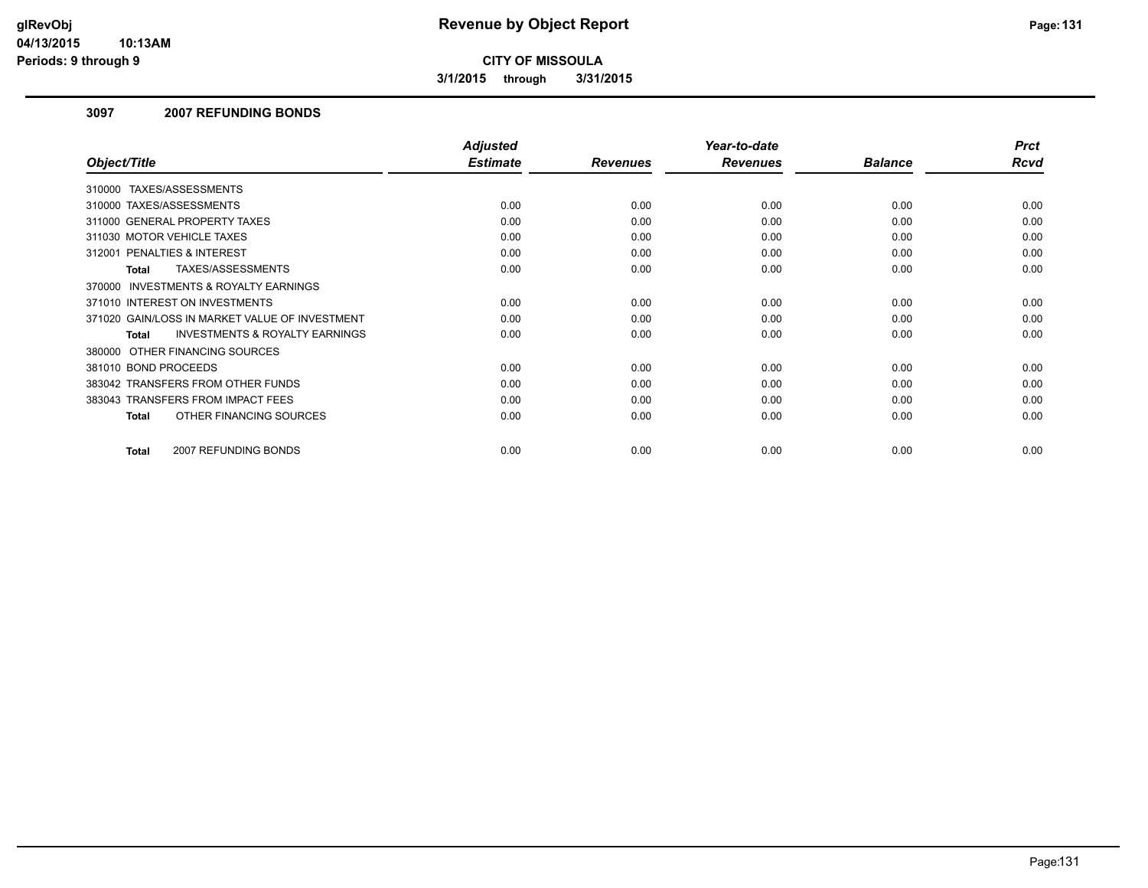**3/1/2015 through 3/31/2015**

#### **3097 2007 REFUNDING BONDS**

|                                                           | <b>Adjusted</b> |                 | Year-to-date    |                | <b>Prct</b> |
|-----------------------------------------------------------|-----------------|-----------------|-----------------|----------------|-------------|
| Object/Title                                              | <b>Estimate</b> | <b>Revenues</b> | <b>Revenues</b> | <b>Balance</b> | Rcvd        |
| TAXES/ASSESSMENTS<br>310000                               |                 |                 |                 |                |             |
| 310000 TAXES/ASSESSMENTS                                  | 0.00            | 0.00            | 0.00            | 0.00           | 0.00        |
| 311000 GENERAL PROPERTY TAXES                             | 0.00            | 0.00            | 0.00            | 0.00           | 0.00        |
| 311030 MOTOR VEHICLE TAXES                                | 0.00            | 0.00            | 0.00            | 0.00           | 0.00        |
| 312001 PENALTIES & INTEREST                               | 0.00            | 0.00            | 0.00            | 0.00           | 0.00        |
| TAXES/ASSESSMENTS<br><b>Total</b>                         | 0.00            | 0.00            | 0.00            | 0.00           | 0.00        |
| 370000 INVESTMENTS & ROYALTY EARNINGS                     |                 |                 |                 |                |             |
| 371010 INTEREST ON INVESTMENTS                            | 0.00            | 0.00            | 0.00            | 0.00           | 0.00        |
| 371020 GAIN/LOSS IN MARKET VALUE OF INVESTMENT            | 0.00            | 0.00            | 0.00            | 0.00           | 0.00        |
| <b>INVESTMENTS &amp; ROYALTY EARNINGS</b><br><b>Total</b> | 0.00            | 0.00            | 0.00            | 0.00           | 0.00        |
| 380000 OTHER FINANCING SOURCES                            |                 |                 |                 |                |             |
| 381010 BOND PROCEEDS                                      | 0.00            | 0.00            | 0.00            | 0.00           | 0.00        |
| 383042 TRANSFERS FROM OTHER FUNDS                         | 0.00            | 0.00            | 0.00            | 0.00           | 0.00        |
| 383043 TRANSFERS FROM IMPACT FEES                         | 0.00            | 0.00            | 0.00            | 0.00           | 0.00        |
| OTHER FINANCING SOURCES<br><b>Total</b>                   | 0.00            | 0.00            | 0.00            | 0.00           | 0.00        |
|                                                           |                 |                 |                 |                |             |
| 2007 REFUNDING BONDS<br>Total                             | 0.00            | 0.00            | 0.00            | 0.00           | 0.00        |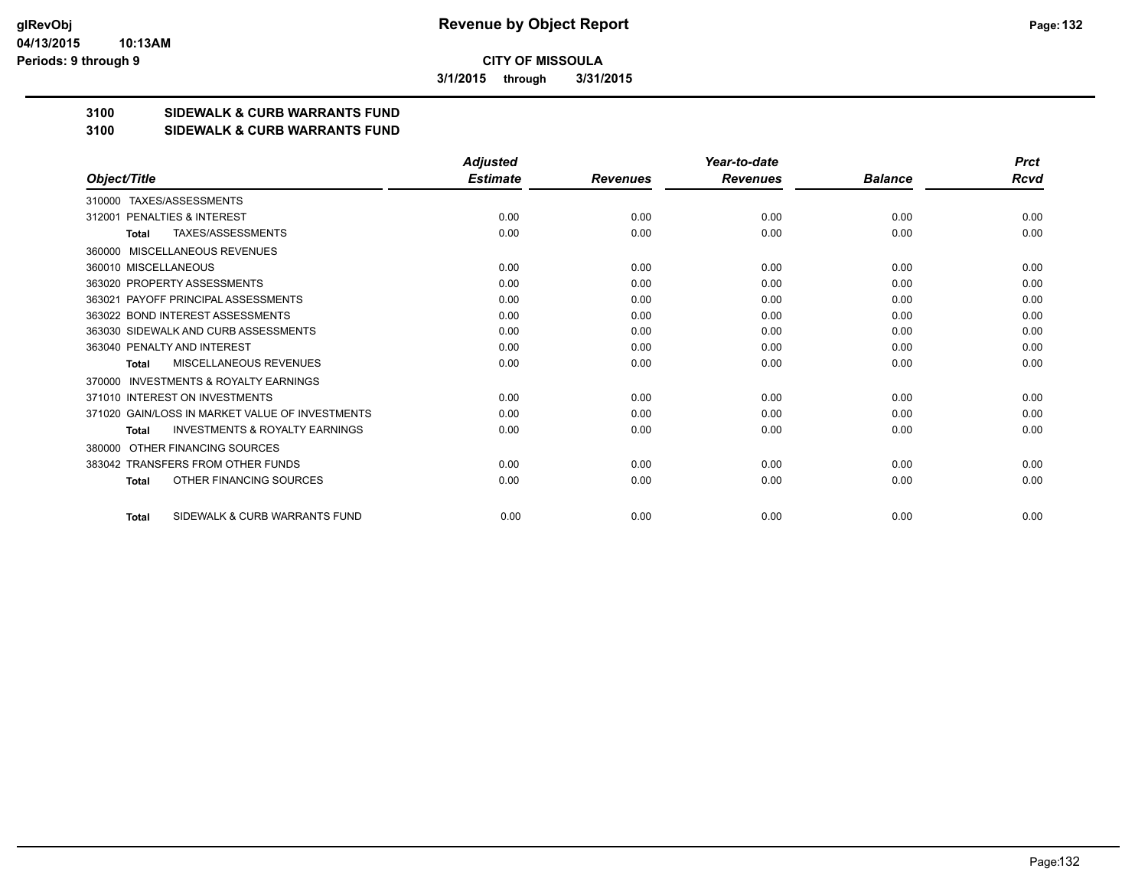**3/1/2015 through 3/31/2015**

## **3100 SIDEWALK & CURB WARRANTS FUND**

#### **3100 SIDEWALK & CURB WARRANTS FUND**

|                                                           | <b>Adjusted</b> |                 | Year-to-date    |                | <b>Prct</b> |
|-----------------------------------------------------------|-----------------|-----------------|-----------------|----------------|-------------|
| Object/Title                                              | <b>Estimate</b> | <b>Revenues</b> | <b>Revenues</b> | <b>Balance</b> | Rcvd        |
| TAXES/ASSESSMENTS<br>310000                               |                 |                 |                 |                |             |
| PENALTIES & INTEREST<br>312001                            | 0.00            | 0.00            | 0.00            | 0.00           | 0.00        |
| TAXES/ASSESSMENTS<br><b>Total</b>                         | 0.00            | 0.00            | 0.00            | 0.00           | 0.00        |
| MISCELLANEOUS REVENUES<br>360000                          |                 |                 |                 |                |             |
| 360010 MISCELLANEOUS                                      | 0.00            | 0.00            | 0.00            | 0.00           | 0.00        |
| 363020 PROPERTY ASSESSMENTS                               | 0.00            | 0.00            | 0.00            | 0.00           | 0.00        |
| 363021 PAYOFF PRINCIPAL ASSESSMENTS                       | 0.00            | 0.00            | 0.00            | 0.00           | 0.00        |
| 363022 BOND INTEREST ASSESSMENTS                          | 0.00            | 0.00            | 0.00            | 0.00           | 0.00        |
| 363030 SIDEWALK AND CURB ASSESSMENTS                      | 0.00            | 0.00            | 0.00            | 0.00           | 0.00        |
| 363040 PENALTY AND INTEREST                               | 0.00            | 0.00            | 0.00            | 0.00           | 0.00        |
| MISCELLANEOUS REVENUES<br><b>Total</b>                    | 0.00            | 0.00            | 0.00            | 0.00           | 0.00        |
| <b>INVESTMENTS &amp; ROYALTY EARNINGS</b><br>370000       |                 |                 |                 |                |             |
| 371010 INTEREST ON INVESTMENTS                            | 0.00            | 0.00            | 0.00            | 0.00           | 0.00        |
| 371020 GAIN/LOSS IN MARKET VALUE OF INVESTMENTS           | 0.00            | 0.00            | 0.00            | 0.00           | 0.00        |
| <b>INVESTMENTS &amp; ROYALTY EARNINGS</b><br><b>Total</b> | 0.00            | 0.00            | 0.00            | 0.00           | 0.00        |
| OTHER FINANCING SOURCES<br>380000                         |                 |                 |                 |                |             |
| 383042 TRANSFERS FROM OTHER FUNDS                         | 0.00            | 0.00            | 0.00            | 0.00           | 0.00        |
| OTHER FINANCING SOURCES<br><b>Total</b>                   | 0.00            | 0.00            | 0.00            | 0.00           | 0.00        |
| SIDEWALK & CURB WARRANTS FUND<br><b>Total</b>             | 0.00            | 0.00            | 0.00            | 0.00           | 0.00        |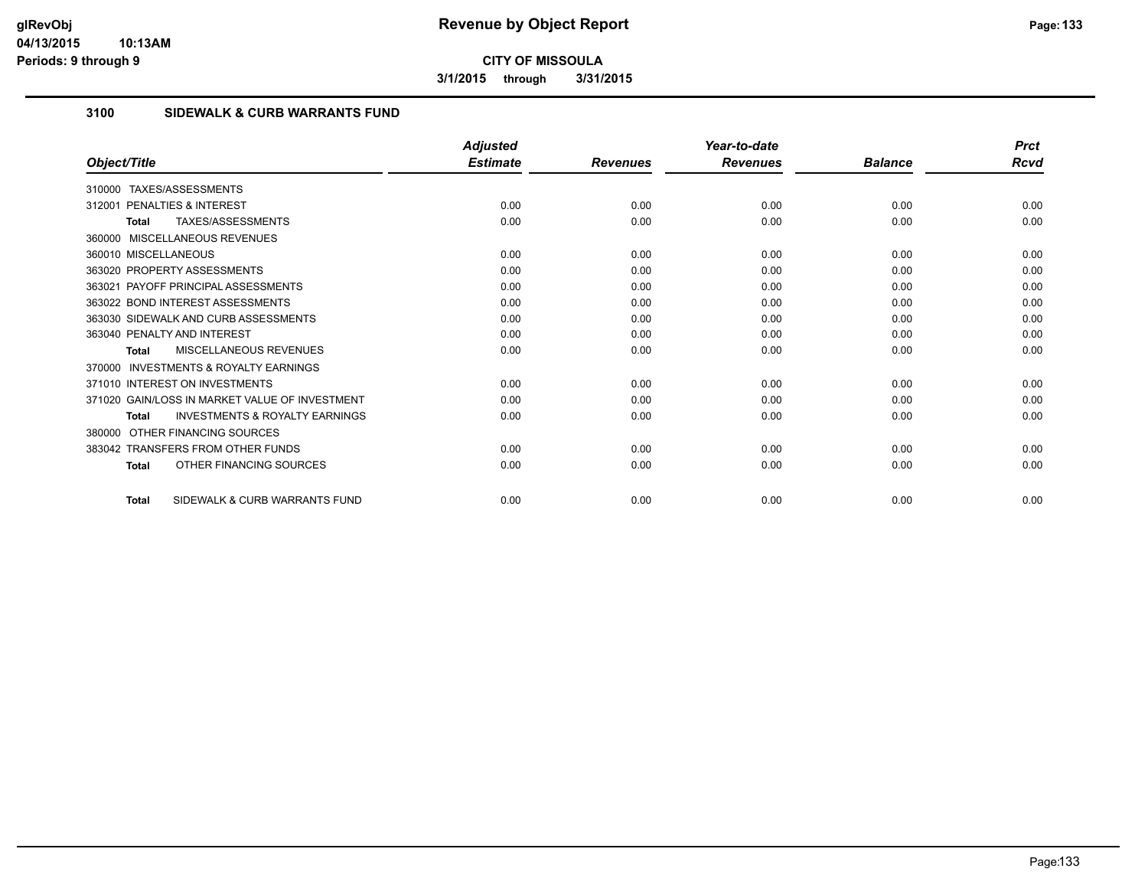**3/1/2015 through 3/31/2015**

## **3100 SIDEWALK & CURB WARRANTS FUND**

|                                                     | <b>Adjusted</b> |                 | Year-to-date    |                | <b>Prct</b> |
|-----------------------------------------------------|-----------------|-----------------|-----------------|----------------|-------------|
| Object/Title                                        | <b>Estimate</b> | <b>Revenues</b> | <b>Revenues</b> | <b>Balance</b> | Rcvd        |
| TAXES/ASSESSMENTS<br>310000                         |                 |                 |                 |                |             |
| PENALTIES & INTEREST<br>312001                      | 0.00            | 0.00            | 0.00            | 0.00           | 0.00        |
| TAXES/ASSESSMENTS<br>Total                          | 0.00            | 0.00            | 0.00            | 0.00           | 0.00        |
| 360000 MISCELLANEOUS REVENUES                       |                 |                 |                 |                |             |
| 360010 MISCELLANEOUS                                | 0.00            | 0.00            | 0.00            | 0.00           | 0.00        |
| 363020 PROPERTY ASSESSMENTS                         | 0.00            | 0.00            | 0.00            | 0.00           | 0.00        |
| 363021 PAYOFF PRINCIPAL ASSESSMENTS                 | 0.00            | 0.00            | 0.00            | 0.00           | 0.00        |
| 363022 BOND INTEREST ASSESSMENTS                    | 0.00            | 0.00            | 0.00            | 0.00           | 0.00        |
| 363030 SIDEWALK AND CURB ASSESSMENTS                | 0.00            | 0.00            | 0.00            | 0.00           | 0.00        |
| 363040 PENALTY AND INTEREST                         | 0.00            | 0.00            | 0.00            | 0.00           | 0.00        |
| MISCELLANEOUS REVENUES<br>Total                     | 0.00            | 0.00            | 0.00            | 0.00           | 0.00        |
| <b>INVESTMENTS &amp; ROYALTY EARNINGS</b><br>370000 |                 |                 |                 |                |             |
| 371010 INTEREST ON INVESTMENTS                      | 0.00            | 0.00            | 0.00            | 0.00           | 0.00        |
| 371020 GAIN/LOSS IN MARKET VALUE OF INVESTMENT      | 0.00            | 0.00            | 0.00            | 0.00           | 0.00        |
| <b>INVESTMENTS &amp; ROYALTY EARNINGS</b><br>Total  | 0.00            | 0.00            | 0.00            | 0.00           | 0.00        |
| OTHER FINANCING SOURCES<br>380000                   |                 |                 |                 |                |             |
| 383042 TRANSFERS FROM OTHER FUNDS                   | 0.00            | 0.00            | 0.00            | 0.00           | 0.00        |
| OTHER FINANCING SOURCES<br><b>Total</b>             | 0.00            | 0.00            | 0.00            | 0.00           | 0.00        |
| SIDEWALK & CURB WARRANTS FUND<br><b>Total</b>       | 0.00            | 0.00            | 0.00            | 0.00           | 0.00        |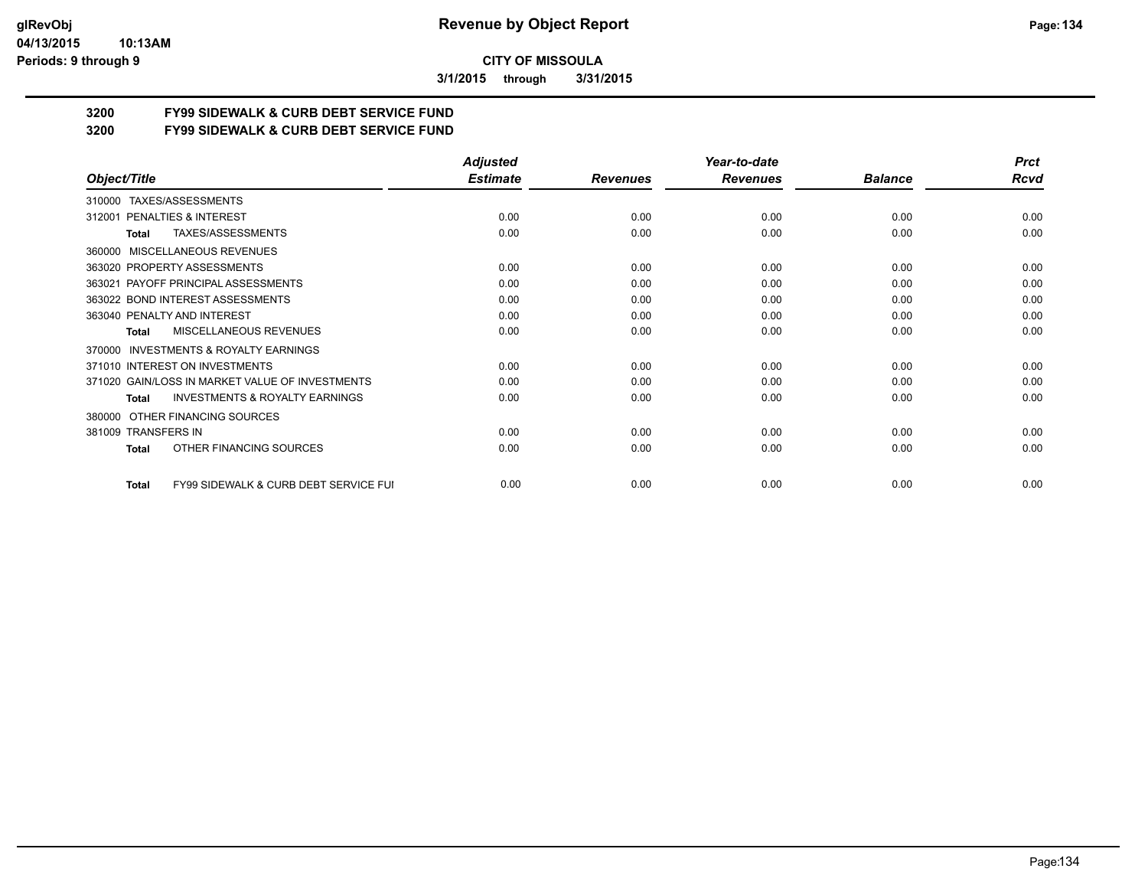**3/1/2015 through 3/31/2015**

# **3200 FY99 SIDEWALK & CURB DEBT SERVICE FUND**

**3200 FY99 SIDEWALK & CURB DEBT SERVICE FUND**

|                                                           | <b>Adjusted</b> |                 | Year-to-date    |                | <b>Prct</b> |
|-----------------------------------------------------------|-----------------|-----------------|-----------------|----------------|-------------|
| Object/Title                                              | <b>Estimate</b> | <b>Revenues</b> | <b>Revenues</b> | <b>Balance</b> | Rcvd        |
| TAXES/ASSESSMENTS<br>310000                               |                 |                 |                 |                |             |
| PENALTIES & INTEREST<br>312001                            | 0.00            | 0.00            | 0.00            | 0.00           | 0.00        |
| TAXES/ASSESSMENTS<br>Total                                | 0.00            | 0.00            | 0.00            | 0.00           | 0.00        |
| MISCELLANEOUS REVENUES<br>360000                          |                 |                 |                 |                |             |
| 363020 PROPERTY ASSESSMENTS                               | 0.00            | 0.00            | 0.00            | 0.00           | 0.00        |
| 363021 PAYOFF PRINCIPAL ASSESSMENTS                       | 0.00            | 0.00            | 0.00            | 0.00           | 0.00        |
| 363022 BOND INTEREST ASSESSMENTS                          | 0.00            | 0.00            | 0.00            | 0.00           | 0.00        |
| 363040 PENALTY AND INTEREST                               | 0.00            | 0.00            | 0.00            | 0.00           | 0.00        |
| <b>MISCELLANEOUS REVENUES</b><br>Total                    | 0.00            | 0.00            | 0.00            | 0.00           | 0.00        |
| <b>INVESTMENTS &amp; ROYALTY EARNINGS</b><br>370000       |                 |                 |                 |                |             |
| 371010 INTEREST ON INVESTMENTS                            | 0.00            | 0.00            | 0.00            | 0.00           | 0.00        |
| 371020 GAIN/LOSS IN MARKET VALUE OF INVESTMENTS           | 0.00            | 0.00            | 0.00            | 0.00           | 0.00        |
| <b>INVESTMENTS &amp; ROYALTY EARNINGS</b><br><b>Total</b> | 0.00            | 0.00            | 0.00            | 0.00           | 0.00        |
| OTHER FINANCING SOURCES<br>380000                         |                 |                 |                 |                |             |
| 381009 TRANSFERS IN                                       | 0.00            | 0.00            | 0.00            | 0.00           | 0.00        |
| OTHER FINANCING SOURCES<br><b>Total</b>                   | 0.00            | 0.00            | 0.00            | 0.00           | 0.00        |
| FY99 SIDEWALK & CURB DEBT SERVICE FUI<br><b>Total</b>     | 0.00            | 0.00            | 0.00            | 0.00           | 0.00        |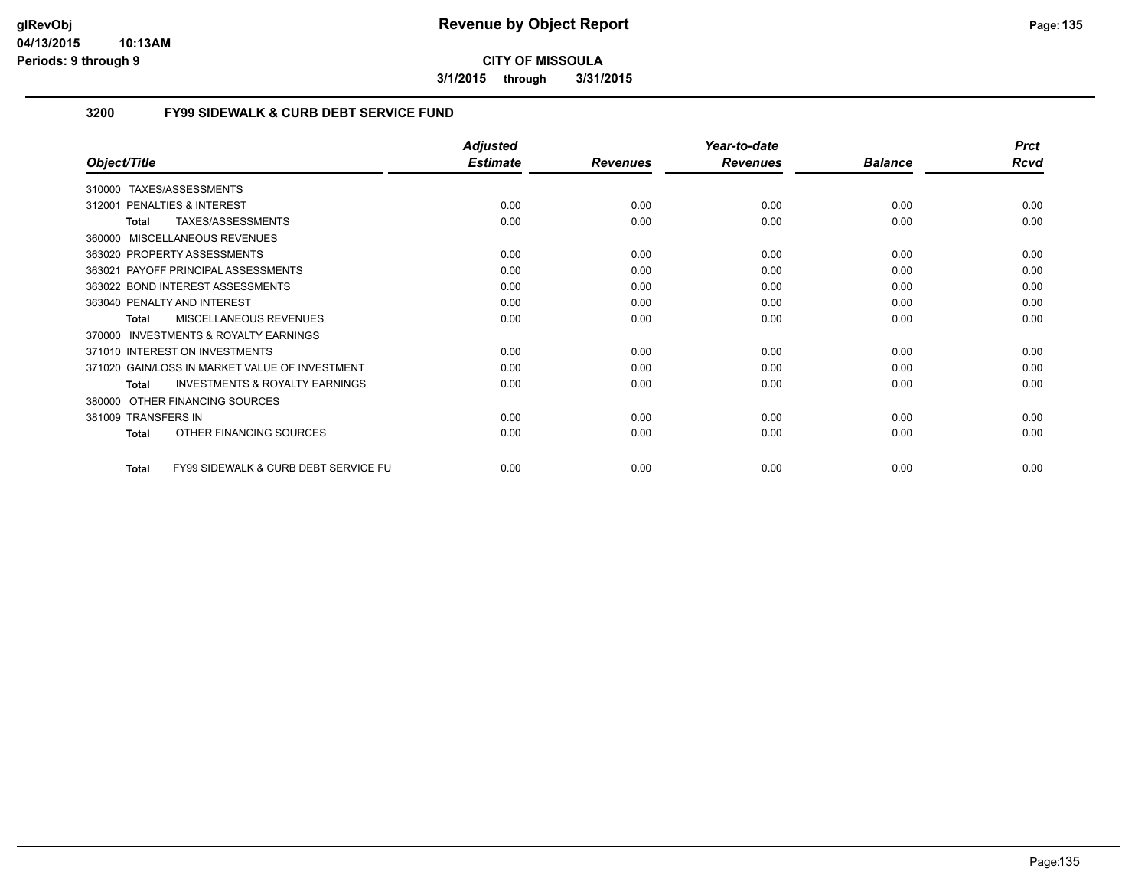**3/1/2015 through 3/31/2015**

## **3200 FY99 SIDEWALK & CURB DEBT SERVICE FUND**

|                                                                 | <b>Adjusted</b> |                 | Year-to-date    |                | <b>Prct</b> |
|-----------------------------------------------------------------|-----------------|-----------------|-----------------|----------------|-------------|
| Object/Title                                                    | <b>Estimate</b> | <b>Revenues</b> | <b>Revenues</b> | <b>Balance</b> | <b>Rcvd</b> |
| TAXES/ASSESSMENTS<br>310000                                     |                 |                 |                 |                |             |
| PENALTIES & INTEREST<br>312001                                  | 0.00            | 0.00            | 0.00            | 0.00           | 0.00        |
| TAXES/ASSESSMENTS<br>Total                                      | 0.00            | 0.00            | 0.00            | 0.00           | 0.00        |
| MISCELLANEOUS REVENUES<br>360000                                |                 |                 |                 |                |             |
| 363020 PROPERTY ASSESSMENTS                                     | 0.00            | 0.00            | 0.00            | 0.00           | 0.00        |
| PAYOFF PRINCIPAL ASSESSMENTS<br>363021                          | 0.00            | 0.00            | 0.00            | 0.00           | 0.00        |
| 363022 BOND INTEREST ASSESSMENTS                                | 0.00            | 0.00            | 0.00            | 0.00           | 0.00        |
| 363040 PENALTY AND INTEREST                                     | 0.00            | 0.00            | 0.00            | 0.00           | 0.00        |
| <b>MISCELLANEOUS REVENUES</b><br>Total                          | 0.00            | 0.00            | 0.00            | 0.00           | 0.00        |
| INVESTMENTS & ROYALTY EARNINGS<br>370000                        |                 |                 |                 |                |             |
| 371010 INTEREST ON INVESTMENTS                                  | 0.00            | 0.00            | 0.00            | 0.00           | 0.00        |
| 371020 GAIN/LOSS IN MARKET VALUE OF INVESTMENT                  | 0.00            | 0.00            | 0.00            | 0.00           | 0.00        |
| <b>INVESTMENTS &amp; ROYALTY EARNINGS</b><br>Total              | 0.00            | 0.00            | 0.00            | 0.00           | 0.00        |
| OTHER FINANCING SOURCES<br>380000                               |                 |                 |                 |                |             |
| 381009 TRANSFERS IN                                             | 0.00            | 0.00            | 0.00            | 0.00           | 0.00        |
| OTHER FINANCING SOURCES<br><b>Total</b>                         | 0.00            | 0.00            | 0.00            | 0.00           | 0.00        |
| <b>FY99 SIDEWALK &amp; CURB DEBT SERVICE FU</b><br><b>Total</b> | 0.00            | 0.00            | 0.00            | 0.00           | 0.00        |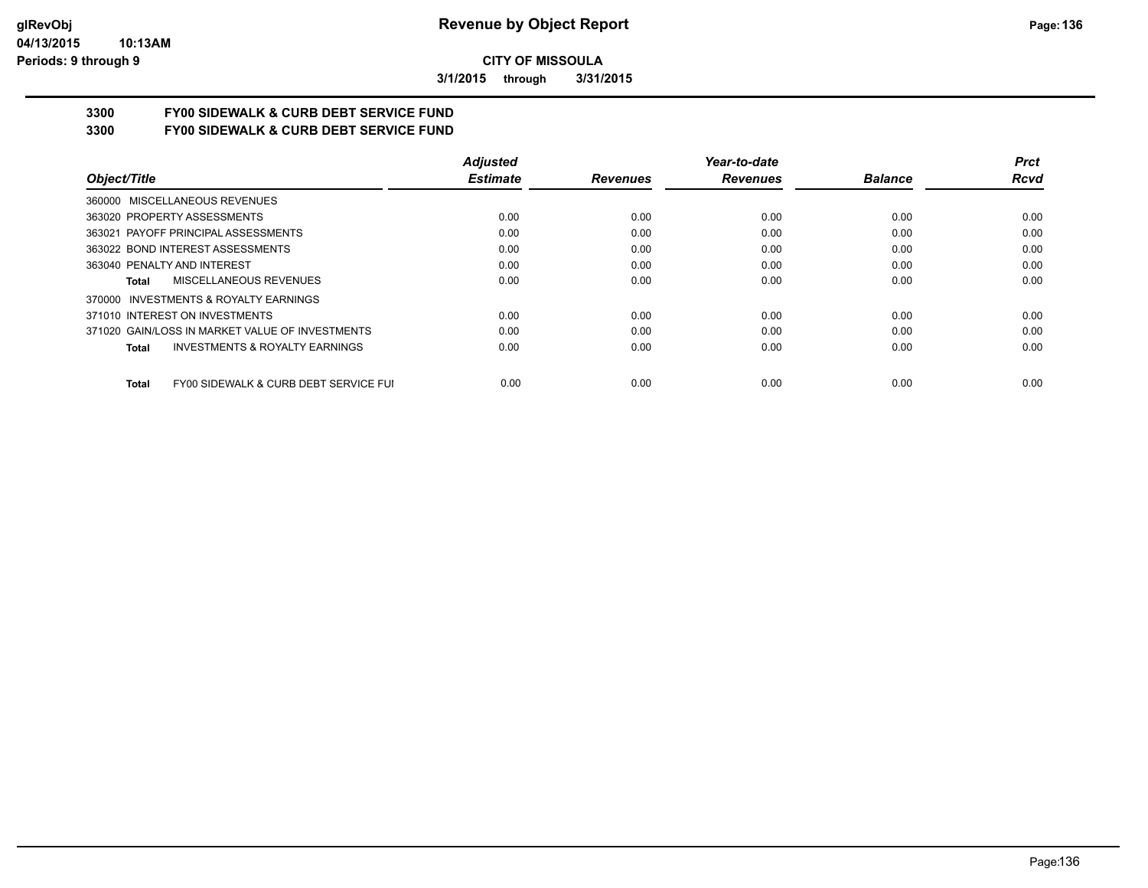**3/1/2015 through 3/31/2015**

# **3300 FY00 SIDEWALK & CURB DEBT SERVICE FUND**

**3300 FY00 SIDEWALK & CURB DEBT SERVICE FUND**

|                                                       | <b>Adjusted</b> |                 | Year-to-date    |                | <b>Prct</b> |
|-------------------------------------------------------|-----------------|-----------------|-----------------|----------------|-------------|
| Object/Title                                          | <b>Estimate</b> | <b>Revenues</b> | <b>Revenues</b> | <b>Balance</b> | <b>Rcvd</b> |
| 360000 MISCELLANEOUS REVENUES                         |                 |                 |                 |                |             |
| 363020 PROPERTY ASSESSMENTS                           | 0.00            | 0.00            | 0.00            | 0.00           | 0.00        |
| 363021 PAYOFF PRINCIPAL ASSESSMENTS                   | 0.00            | 0.00            | 0.00            | 0.00           | 0.00        |
| 363022 BOND INTEREST ASSESSMENTS                      | 0.00            | 0.00            | 0.00            | 0.00           | 0.00        |
| 363040 PENALTY AND INTEREST                           | 0.00            | 0.00            | 0.00            | 0.00           | 0.00        |
| MISCELLANEOUS REVENUES<br>Total                       | 0.00            | 0.00            | 0.00            | 0.00           | 0.00        |
| INVESTMENTS & ROYALTY EARNINGS<br>370000              |                 |                 |                 |                |             |
| 371010 INTEREST ON INVESTMENTS                        | 0.00            | 0.00            | 0.00            | 0.00           | 0.00        |
| 371020 GAIN/LOSS IN MARKET VALUE OF INVESTMENTS       | 0.00            | 0.00            | 0.00            | 0.00           | 0.00        |
| <b>INVESTMENTS &amp; ROYALTY EARNINGS</b><br>Total    | 0.00            | 0.00            | 0.00            | 0.00           | 0.00        |
| FY00 SIDEWALK & CURB DEBT SERVICE FUI<br><b>Total</b> | 0.00            | 0.00            | 0.00            | 0.00           | 0.00        |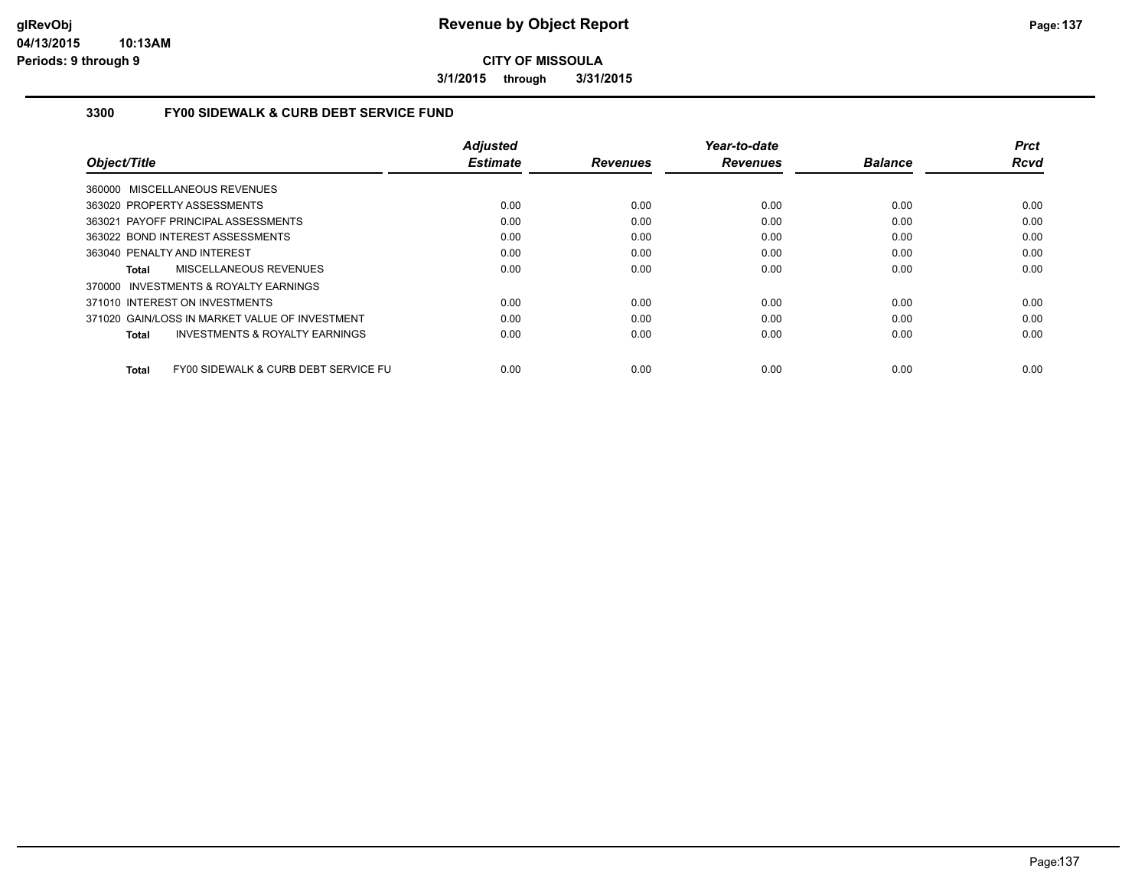**3/1/2015 through 3/31/2015**

### **3300 FY00 SIDEWALK & CURB DEBT SERVICE FUND**

|                                                      | <b>Adjusted</b> |                 | Year-to-date    |                | <b>Prct</b> |
|------------------------------------------------------|-----------------|-----------------|-----------------|----------------|-------------|
| Object/Title                                         | <b>Estimate</b> | <b>Revenues</b> | <b>Revenues</b> | <b>Balance</b> | <b>Rcvd</b> |
| 360000 MISCELLANEOUS REVENUES                        |                 |                 |                 |                |             |
| 363020 PROPERTY ASSESSMENTS                          | 0.00            | 0.00            | 0.00            | 0.00           | 0.00        |
| 363021 PAYOFF PRINCIPAL ASSESSMENTS                  | 0.00            | 0.00            | 0.00            | 0.00           | 0.00        |
| 363022 BOND INTEREST ASSESSMENTS                     | 0.00            | 0.00            | 0.00            | 0.00           | 0.00        |
| 363040 PENALTY AND INTEREST                          | 0.00            | 0.00            | 0.00            | 0.00           | 0.00        |
| MISCELLANEOUS REVENUES<br>Total                      | 0.00            | 0.00            | 0.00            | 0.00           | 0.00        |
| 370000 INVESTMENTS & ROYALTY EARNINGS                |                 |                 |                 |                |             |
| 371010 INTEREST ON INVESTMENTS                       | 0.00            | 0.00            | 0.00            | 0.00           | 0.00        |
| 371020 GAIN/LOSS IN MARKET VALUE OF INVESTMENT       | 0.00            | 0.00            | 0.00            | 0.00           | 0.00        |
| <b>INVESTMENTS &amp; ROYALTY EARNINGS</b><br>Total   | 0.00            | 0.00            | 0.00            | 0.00           | 0.00        |
| FY00 SIDEWALK & CURB DEBT SERVICE FU<br><b>Total</b> | 0.00            | 0.00            | 0.00            | 0.00           | 0.00        |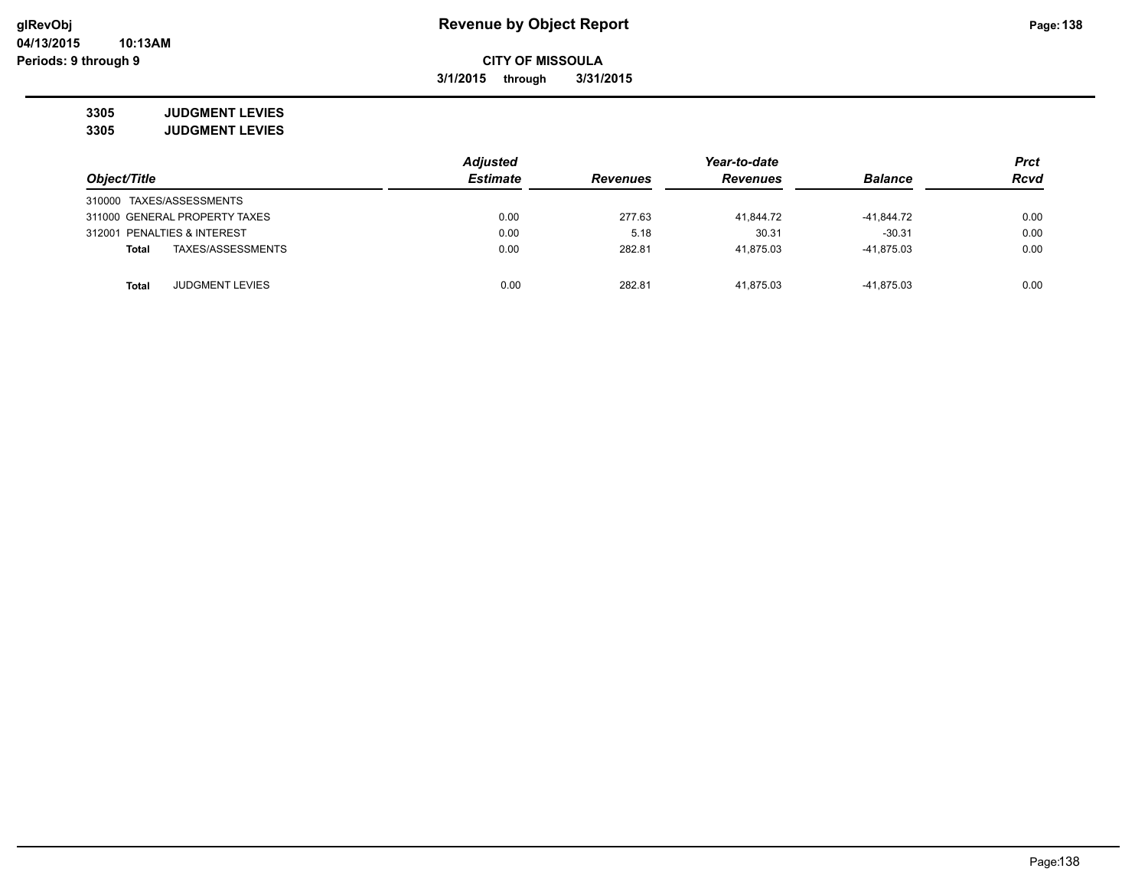**3/1/2015 through 3/31/2015**

**3305 JUDGMENT LEVIES 3305 JUDGMENT LEVIES**

|                             |                               | <b>Adjusted</b> |                 | Year-to-date   |              | <b>Prct</b> |
|-----------------------------|-------------------------------|-----------------|-----------------|----------------|--------------|-------------|
| Object/Title                | <b>Estimate</b>               | <b>Revenues</b> | <b>Revenues</b> | <b>Balance</b> | <b>Rcvd</b>  |             |
| 310000 TAXES/ASSESSMENTS    |                               |                 |                 |                |              |             |
|                             | 311000 GENERAL PROPERTY TAXES | 0.00            | 277.63          | 41,844.72      | -41,844.72   | 0.00        |
| 312001 PENALTIES & INTEREST |                               | 0.00            | 5.18            | 30.31          | $-30.31$     | 0.00        |
| Total                       | TAXES/ASSESSMENTS             | 0.00            | 282.81          | 41.875.03      | -41.875.03   | 0.00        |
| Total                       | <b>JUDGMENT LEVIES</b>        | 0.00            | 282.81          | 41.875.03      | $-41,875.03$ | 0.00        |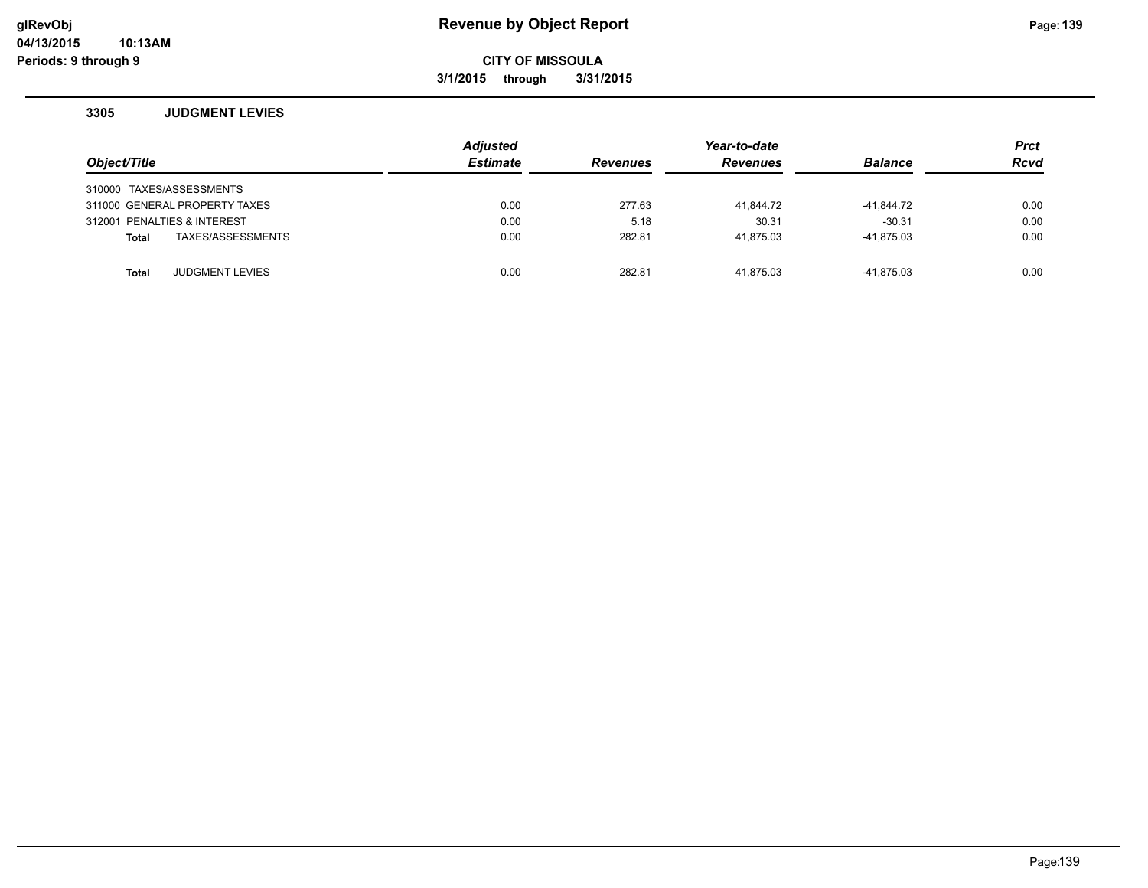## **glRevObj Revenue by Object Report Page:139**

**CITY OF MISSOULA**

**3/1/2015 through 3/31/2015**

#### **3305 JUDGMENT LEVIES**

| Object/Title                           | <b>Adjusted</b><br><b>Estimate</b> | <b>Revenues</b> | Year-to-date<br><b>Revenues</b> | <b>Balance</b> | <b>Prct</b><br><b>Rcvd</b> |
|----------------------------------------|------------------------------------|-----------------|---------------------------------|----------------|----------------------------|
| 310000 TAXES/ASSESSMENTS               |                                    |                 |                                 |                |                            |
| 311000 GENERAL PROPERTY TAXES          | 0.00                               | 277.63          | 41.844.72                       | $-41.844.72$   | 0.00                       |
| 312001 PENALTIES & INTEREST            | 0.00                               | 5.18            | 30.31                           | $-30.31$       | 0.00                       |
| TAXES/ASSESSMENTS<br><b>Total</b>      | 0.00                               | 282.81          | 41.875.03                       | $-41.875.03$   | 0.00                       |
|                                        |                                    |                 |                                 |                |                            |
| <b>JUDGMENT LEVIES</b><br><b>Total</b> | 0.00                               | 282.81          | 41.875.03                       | $-41.875.03$   | 0.00                       |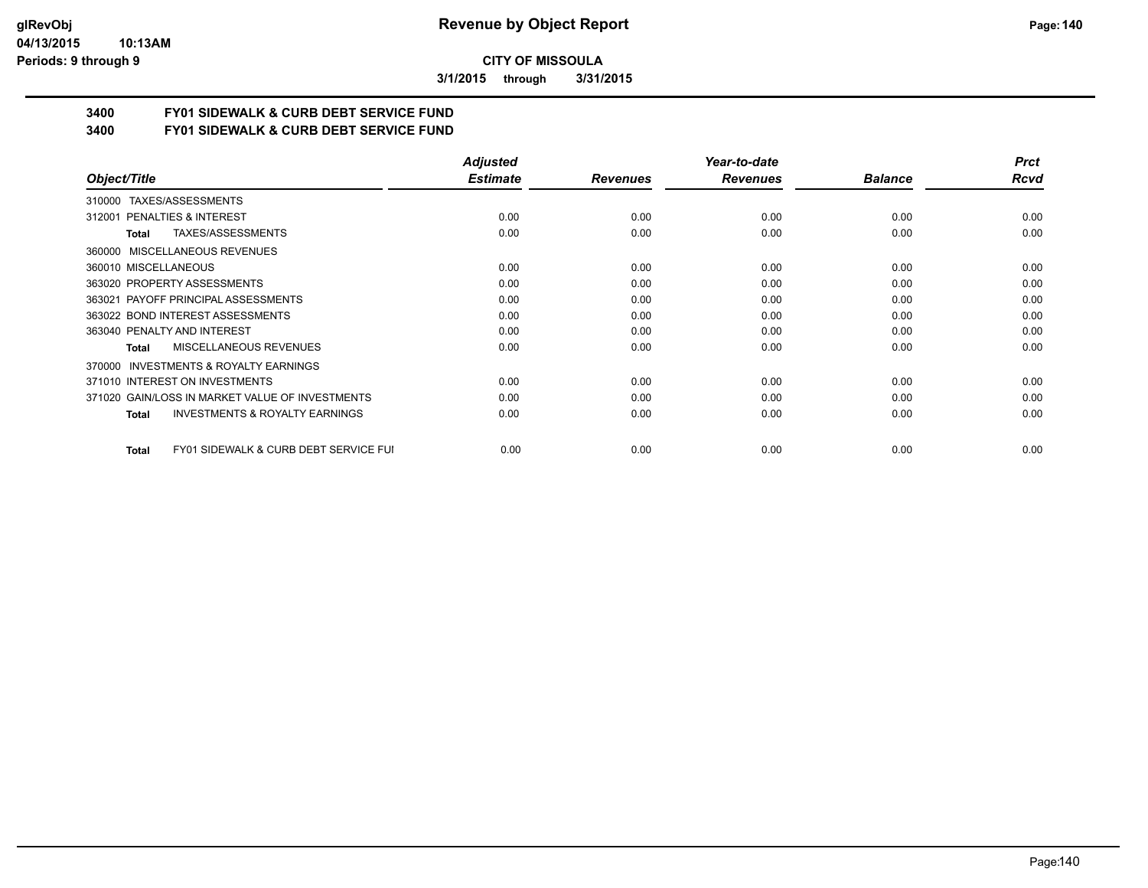#### **04/13/2015 10:13AM Periods: 9 through 9**

**CITY OF MISSOULA**

**3/1/2015 through 3/31/2015**

# **3400 FY01 SIDEWALK & CURB DEBT SERVICE FUND**

**3400 FY01 SIDEWALK & CURB DEBT SERVICE FUND**

|                                                           | <b>Adjusted</b> |                 | Year-to-date    |                | <b>Prct</b> |
|-----------------------------------------------------------|-----------------|-----------------|-----------------|----------------|-------------|
| Object/Title                                              | <b>Estimate</b> | <b>Revenues</b> | <b>Revenues</b> | <b>Balance</b> | <b>Rcvd</b> |
| TAXES/ASSESSMENTS<br>310000                               |                 |                 |                 |                |             |
| 312001 PENALTIES & INTEREST                               | 0.00            | 0.00            | 0.00            | 0.00           | 0.00        |
| TAXES/ASSESSMENTS<br>Total                                | 0.00            | 0.00            | 0.00            | 0.00           | 0.00        |
| 360000 MISCELLANEOUS REVENUES                             |                 |                 |                 |                |             |
| 360010 MISCELLANEOUS                                      | 0.00            | 0.00            | 0.00            | 0.00           | 0.00        |
| 363020 PROPERTY ASSESSMENTS                               | 0.00            | 0.00            | 0.00            | 0.00           | 0.00        |
| 363021 PAYOFF PRINCIPAL ASSESSMENTS                       | 0.00            | 0.00            | 0.00            | 0.00           | 0.00        |
| 363022 BOND INTEREST ASSESSMENTS                          | 0.00            | 0.00            | 0.00            | 0.00           | 0.00        |
| 363040 PENALTY AND INTEREST                               | 0.00            | 0.00            | 0.00            | 0.00           | 0.00        |
| <b>MISCELLANEOUS REVENUES</b><br>Total                    | 0.00            | 0.00            | 0.00            | 0.00           | 0.00        |
| <b>INVESTMENTS &amp; ROYALTY EARNINGS</b><br>370000       |                 |                 |                 |                |             |
| 371010 INTEREST ON INVESTMENTS                            | 0.00            | 0.00            | 0.00            | 0.00           | 0.00        |
| 371020 GAIN/LOSS IN MARKET VALUE OF INVESTMENTS           | 0.00            | 0.00            | 0.00            | 0.00           | 0.00        |
| <b>INVESTMENTS &amp; ROYALTY EARNINGS</b><br>Total        | 0.00            | 0.00            | 0.00            | 0.00           | 0.00        |
| <b>FY01 SIDEWALK &amp; CURB DEBT SERVICE FUI</b><br>Total | 0.00            | 0.00            | 0.00            | 0.00           | 0.00        |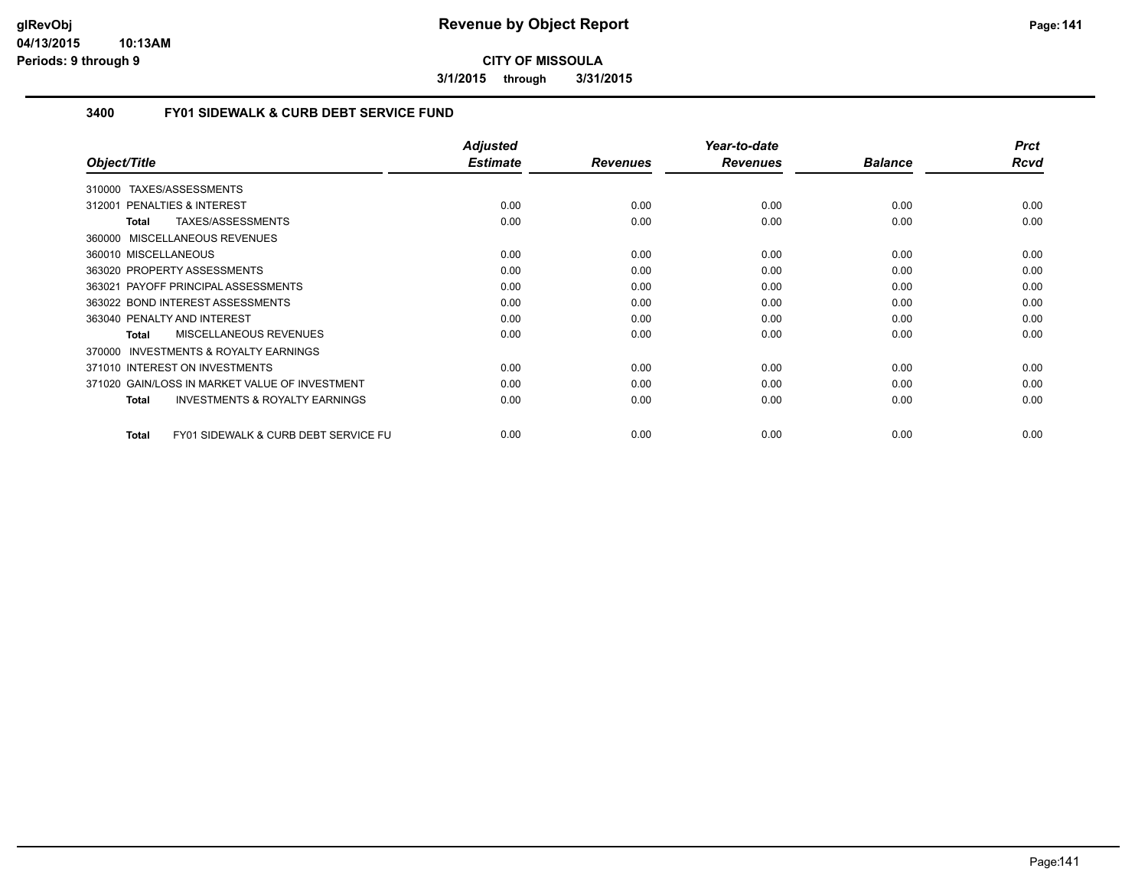**3/1/2015 through 3/31/2015**

## **3400 FY01 SIDEWALK & CURB DEBT SERVICE FUND**

|                                                           | <b>Adjusted</b> |                 | Year-to-date    |                | <b>Prct</b> |
|-----------------------------------------------------------|-----------------|-----------------|-----------------|----------------|-------------|
| Object/Title                                              | <b>Estimate</b> | <b>Revenues</b> | <b>Revenues</b> | <b>Balance</b> | <b>Rcvd</b> |
| 310000 TAXES/ASSESSMENTS                                  |                 |                 |                 |                |             |
| 312001 PENALTIES & INTEREST                               | 0.00            | 0.00            | 0.00            | 0.00           | 0.00        |
| TAXES/ASSESSMENTS<br><b>Total</b>                         | 0.00            | 0.00            | 0.00            | 0.00           | 0.00        |
| 360000 MISCELLANEOUS REVENUES                             |                 |                 |                 |                |             |
| 360010 MISCELLANEOUS                                      | 0.00            | 0.00            | 0.00            | 0.00           | 0.00        |
| 363020 PROPERTY ASSESSMENTS                               | 0.00            | 0.00            | 0.00            | 0.00           | 0.00        |
| 363021 PAYOFF PRINCIPAL ASSESSMENTS                       | 0.00            | 0.00            | 0.00            | 0.00           | 0.00        |
| 363022 BOND INTEREST ASSESSMENTS                          | 0.00            | 0.00            | 0.00            | 0.00           | 0.00        |
| 363040 PENALTY AND INTEREST                               | 0.00            | 0.00            | 0.00            | 0.00           | 0.00        |
| MISCELLANEOUS REVENUES<br><b>Total</b>                    | 0.00            | 0.00            | 0.00            | 0.00           | 0.00        |
| <b>INVESTMENTS &amp; ROYALTY EARNINGS</b><br>370000       |                 |                 |                 |                |             |
| 371010 INTEREST ON INVESTMENTS                            | 0.00            | 0.00            | 0.00            | 0.00           | 0.00        |
| 371020 GAIN/LOSS IN MARKET VALUE OF INVESTMENT            | 0.00            | 0.00            | 0.00            | 0.00           | 0.00        |
| <b>INVESTMENTS &amp; ROYALTY EARNINGS</b><br><b>Total</b> | 0.00            | 0.00            | 0.00            | 0.00           | 0.00        |
| FY01 SIDEWALK & CURB DEBT SERVICE FU<br><b>Total</b>      | 0.00            | 0.00            | 0.00            | 0.00           | 0.00        |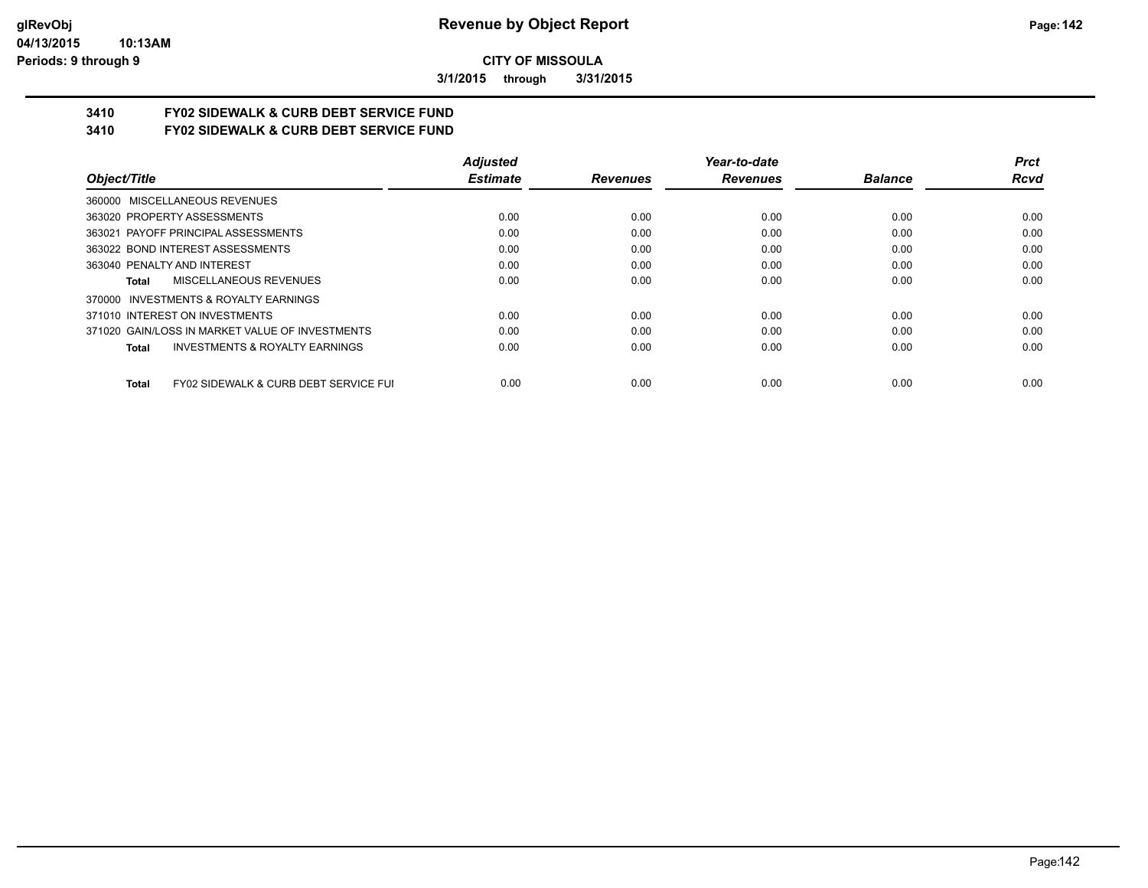**3/1/2015 through 3/31/2015**

# **3410 FY02 SIDEWALK & CURB DEBT SERVICE FUND**

**3410 FY02 SIDEWALK & CURB DEBT SERVICE FUND**

|                                                                  | <b>Adjusted</b> |                 | Year-to-date    |                | <b>Prct</b> |
|------------------------------------------------------------------|-----------------|-----------------|-----------------|----------------|-------------|
| Object/Title                                                     | <b>Estimate</b> | <b>Revenues</b> | <b>Revenues</b> | <b>Balance</b> | Rcvd        |
| 360000 MISCELLANEOUS REVENUES                                    |                 |                 |                 |                |             |
| 363020 PROPERTY ASSESSMENTS                                      | 0.00            | 0.00            | 0.00            | 0.00           | 0.00        |
| 363021 PAYOFF PRINCIPAL ASSESSMENTS                              | 0.00            | 0.00            | 0.00            | 0.00           | 0.00        |
| 363022 BOND INTEREST ASSESSMENTS                                 | 0.00            | 0.00            | 0.00            | 0.00           | 0.00        |
| 363040 PENALTY AND INTEREST                                      | 0.00            | 0.00            | 0.00            | 0.00           | 0.00        |
| MISCELLANEOUS REVENUES<br>Total                                  | 0.00            | 0.00            | 0.00            | 0.00           | 0.00        |
| INVESTMENTS & ROYALTY EARNINGS<br>370000                         |                 |                 |                 |                |             |
| 371010 INTEREST ON INVESTMENTS                                   | 0.00            | 0.00            | 0.00            | 0.00           | 0.00        |
| 371020 GAIN/LOSS IN MARKET VALUE OF INVESTMENTS                  | 0.00            | 0.00            | 0.00            | 0.00           | 0.00        |
| <b>INVESTMENTS &amp; ROYALTY EARNINGS</b><br><b>Total</b>        | 0.00            | 0.00            | 0.00            | 0.00           | 0.00        |
| <b>FY02 SIDEWALK &amp; CURB DEBT SERVICE FUI</b><br><b>Total</b> | 0.00            | 0.00            | 0.00            | 0.00           | 0.00        |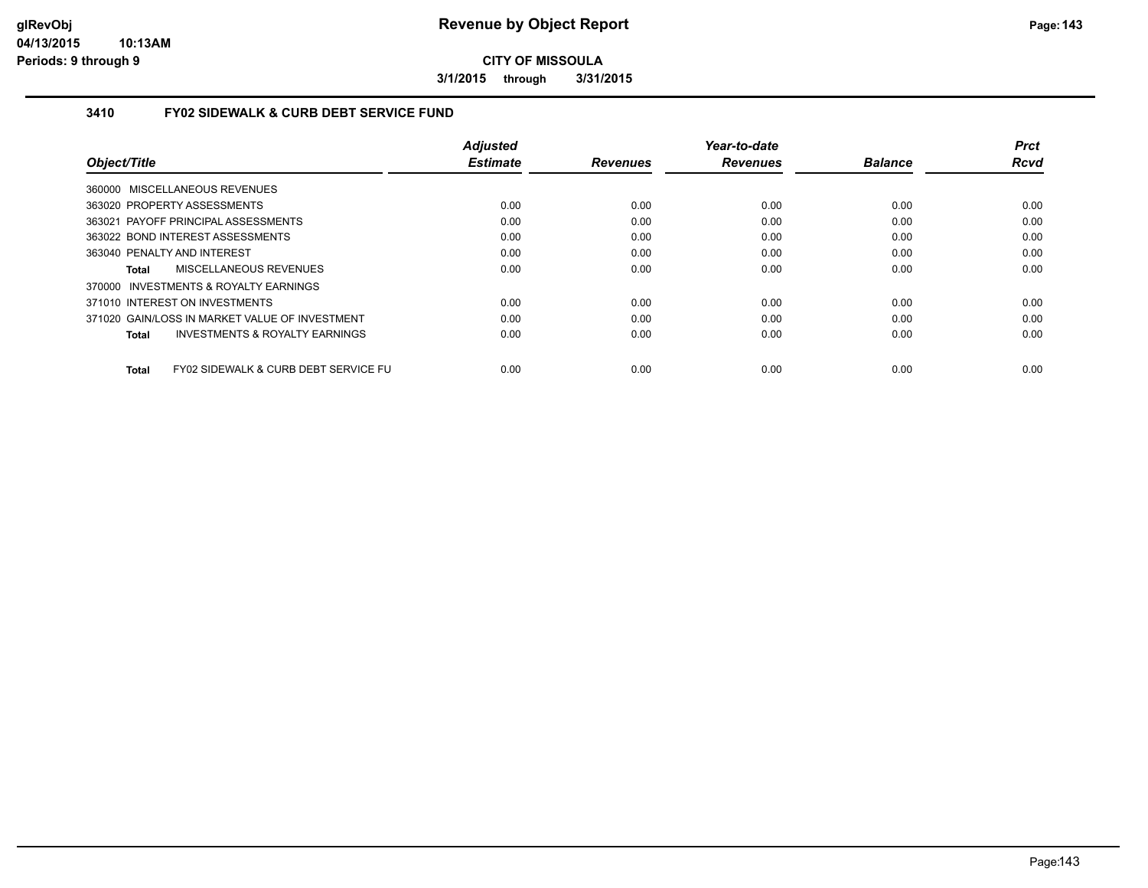**3/1/2015 through 3/31/2015**

## **3410 FY02 SIDEWALK & CURB DEBT SERVICE FUND**

|                                                      | <b>Adjusted</b> |                 | Year-to-date    |                | Prct        |
|------------------------------------------------------|-----------------|-----------------|-----------------|----------------|-------------|
| Object/Title                                         | <b>Estimate</b> | <b>Revenues</b> | <b>Revenues</b> | <b>Balance</b> | <b>Rcvd</b> |
| 360000 MISCELLANEOUS REVENUES                        |                 |                 |                 |                |             |
| 363020 PROPERTY ASSESSMENTS                          | 0.00            | 0.00            | 0.00            | 0.00           | 0.00        |
| 363021 PAYOFF PRINCIPAL ASSESSMENTS                  | 0.00            | 0.00            | 0.00            | 0.00           | 0.00        |
| 363022 BOND INTEREST ASSESSMENTS                     | 0.00            | 0.00            | 0.00            | 0.00           | 0.00        |
| 363040 PENALTY AND INTEREST                          | 0.00            | 0.00            | 0.00            | 0.00           | 0.00        |
| MISCELLANEOUS REVENUES<br>Total                      | 0.00            | 0.00            | 0.00            | 0.00           | 0.00        |
| 370000 INVESTMENTS & ROYALTY EARNINGS                |                 |                 |                 |                |             |
| 371010 INTEREST ON INVESTMENTS                       | 0.00            | 0.00            | 0.00            | 0.00           | 0.00        |
| 371020 GAIN/LOSS IN MARKET VALUE OF INVESTMENT       | 0.00            | 0.00            | 0.00            | 0.00           | 0.00        |
| <b>INVESTMENTS &amp; ROYALTY EARNINGS</b><br>Total   | 0.00            | 0.00            | 0.00            | 0.00           | 0.00        |
| FY02 SIDEWALK & CURB DEBT SERVICE FU<br><b>Total</b> | 0.00            | 0.00            | 0.00            | 0.00           | 0.00        |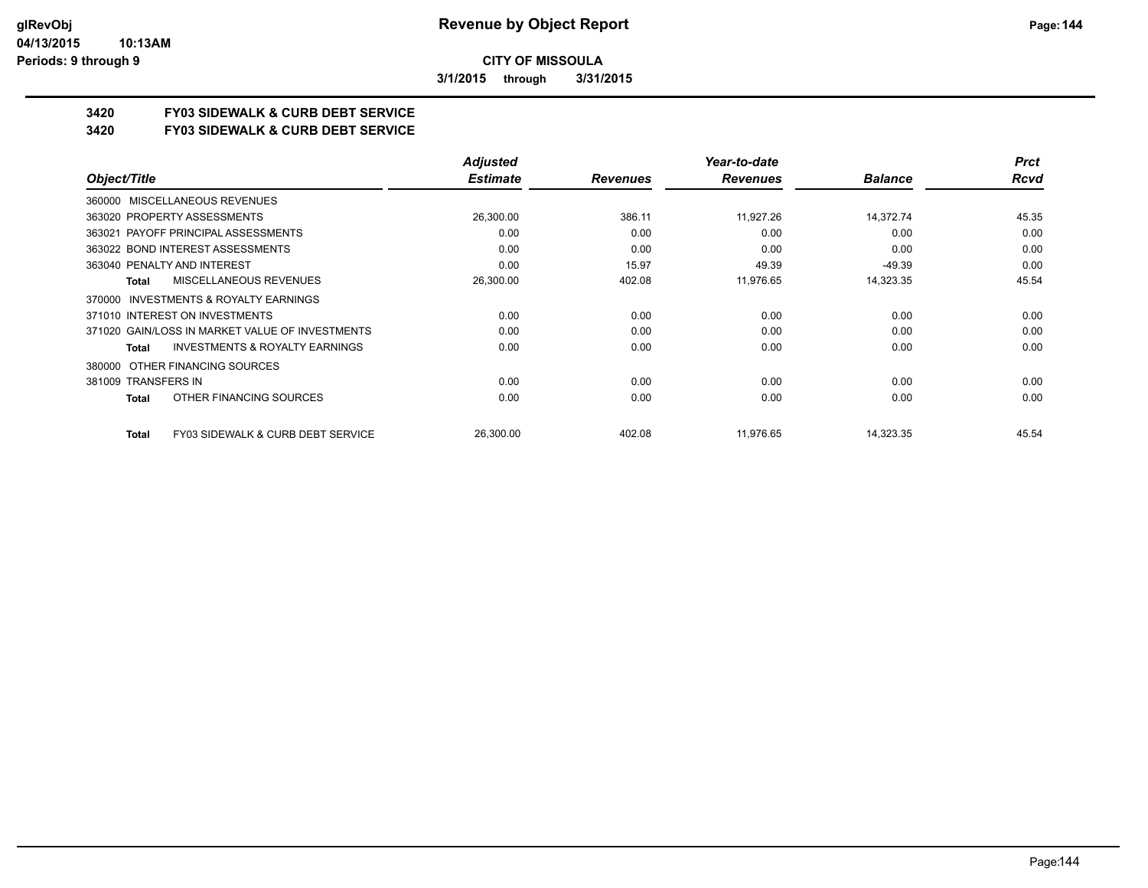**3/1/2015 through 3/31/2015**

# **3420 FY03 SIDEWALK & CURB DEBT SERVICE**

**3420 FY03 SIDEWALK & CURB DEBT SERVICE**

|                                                              | <b>Adjusted</b> |                 | Year-to-date    |                | <b>Prct</b> |
|--------------------------------------------------------------|-----------------|-----------------|-----------------|----------------|-------------|
| Object/Title                                                 | <b>Estimate</b> | <b>Revenues</b> | <b>Revenues</b> | <b>Balance</b> | Rcvd        |
| 360000 MISCELLANEOUS REVENUES                                |                 |                 |                 |                |             |
| 363020 PROPERTY ASSESSMENTS                                  | 26,300.00       | 386.11          | 11,927.26       | 14,372.74      | 45.35       |
| 363021 PAYOFF PRINCIPAL ASSESSMENTS                          | 0.00            | 0.00            | 0.00            | 0.00           | 0.00        |
| 363022 BOND INTEREST ASSESSMENTS                             | 0.00            | 0.00            | 0.00            | 0.00           | 0.00        |
| 363040 PENALTY AND INTEREST                                  | 0.00            | 15.97           | 49.39           | $-49.39$       | 0.00        |
| MISCELLANEOUS REVENUES<br>Total                              | 26,300.00       | 402.08          | 11,976.65       | 14,323.35      | 45.54       |
| 370000 INVESTMENTS & ROYALTY EARNINGS                        |                 |                 |                 |                |             |
| 371010 INTEREST ON INVESTMENTS                               | 0.00            | 0.00            | 0.00            | 0.00           | 0.00        |
| 371020 GAIN/LOSS IN MARKET VALUE OF INVESTMENTS              | 0.00            | 0.00            | 0.00            | 0.00           | 0.00        |
| <b>INVESTMENTS &amp; ROYALTY EARNINGS</b><br>Total           | 0.00            | 0.00            | 0.00            | 0.00           | 0.00        |
| OTHER FINANCING SOURCES<br>380000                            |                 |                 |                 |                |             |
| 381009 TRANSFERS IN                                          | 0.00            | 0.00            | 0.00            | 0.00           | 0.00        |
| OTHER FINANCING SOURCES<br>Total                             | 0.00            | 0.00            | 0.00            | 0.00           | 0.00        |
| <b>FY03 SIDEWALK &amp; CURB DEBT SERVICE</b><br><b>Total</b> | 26,300.00       | 402.08          | 11,976.65       | 14,323.35      | 45.54       |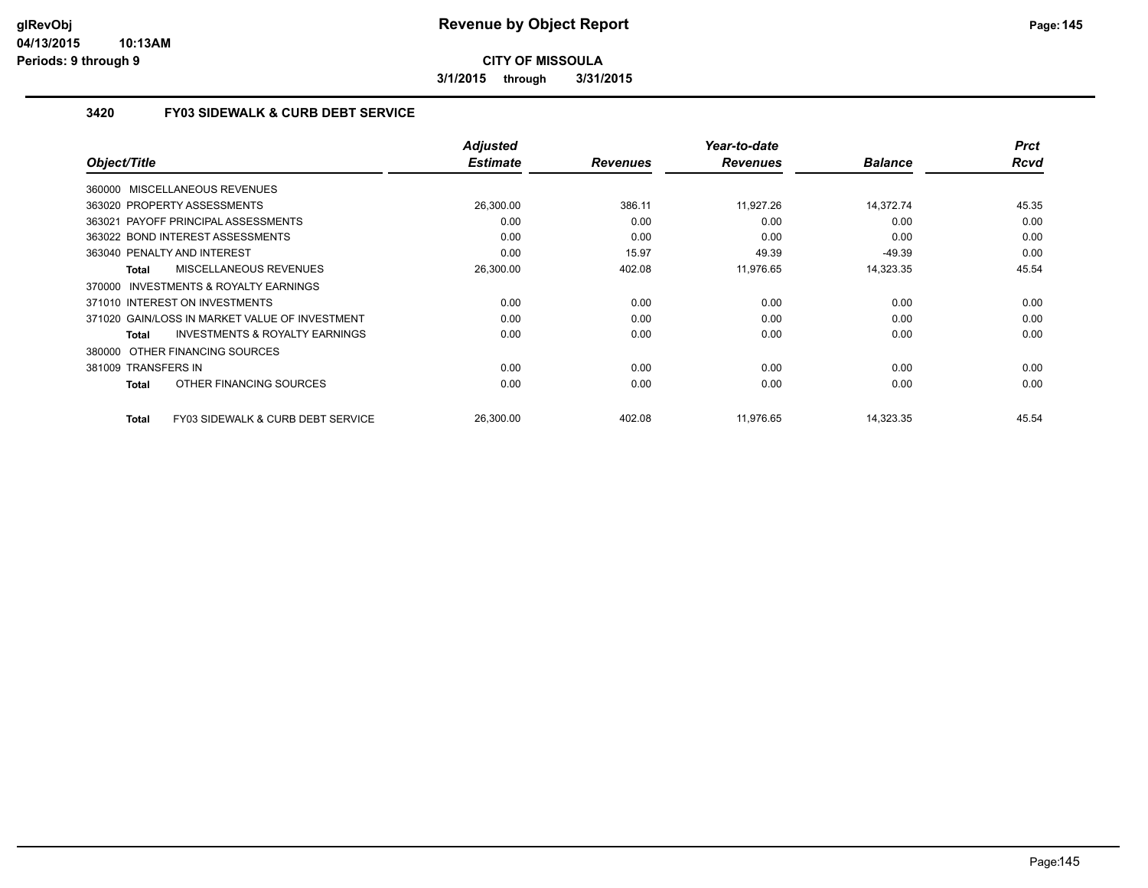**3/1/2015 through 3/31/2015**

## **3420 FY03 SIDEWALK & CURB DEBT SERVICE**

|                                                    | <b>Adjusted</b> |                 | Year-to-date    |                | <b>Prct</b> |
|----------------------------------------------------|-----------------|-----------------|-----------------|----------------|-------------|
| Object/Title                                       | <b>Estimate</b> | <b>Revenues</b> | <b>Revenues</b> | <b>Balance</b> | <b>Rcvd</b> |
| 360000 MISCELLANEOUS REVENUES                      |                 |                 |                 |                |             |
| 363020 PROPERTY ASSESSMENTS                        | 26,300.00       | 386.11          | 11.927.26       | 14.372.74      | 45.35       |
| 363021 PAYOFF PRINCIPAL ASSESSMENTS                | 0.00            | 0.00            | 0.00            | 0.00           | 0.00        |
| 363022 BOND INTEREST ASSESSMENTS                   | 0.00            | 0.00            | 0.00            | 0.00           | 0.00        |
| 363040 PENALTY AND INTEREST                        | 0.00            | 15.97           | 49.39           | $-49.39$       | 0.00        |
| MISCELLANEOUS REVENUES<br>Total                    | 26,300.00       | 402.08          | 11,976.65       | 14,323.35      | 45.54       |
| 370000 INVESTMENTS & ROYALTY EARNINGS              |                 |                 |                 |                |             |
| 371010 INTEREST ON INVESTMENTS                     | 0.00            | 0.00            | 0.00            | 0.00           | 0.00        |
| 371020 GAIN/LOSS IN MARKET VALUE OF INVESTMENT     | 0.00            | 0.00            | 0.00            | 0.00           | 0.00        |
| <b>INVESTMENTS &amp; ROYALTY EARNINGS</b><br>Total | 0.00            | 0.00            | 0.00            | 0.00           | 0.00        |
| 380000 OTHER FINANCING SOURCES                     |                 |                 |                 |                |             |
| 381009 TRANSFERS IN                                | 0.00            | 0.00            | 0.00            | 0.00           | 0.00        |
| OTHER FINANCING SOURCES<br><b>Total</b>            | 0.00            | 0.00            | 0.00            | 0.00           | 0.00        |
| FY03 SIDEWALK & CURB DEBT SERVICE<br><b>Total</b>  | 26.300.00       | 402.08          | 11.976.65       | 14,323.35      | 45.54       |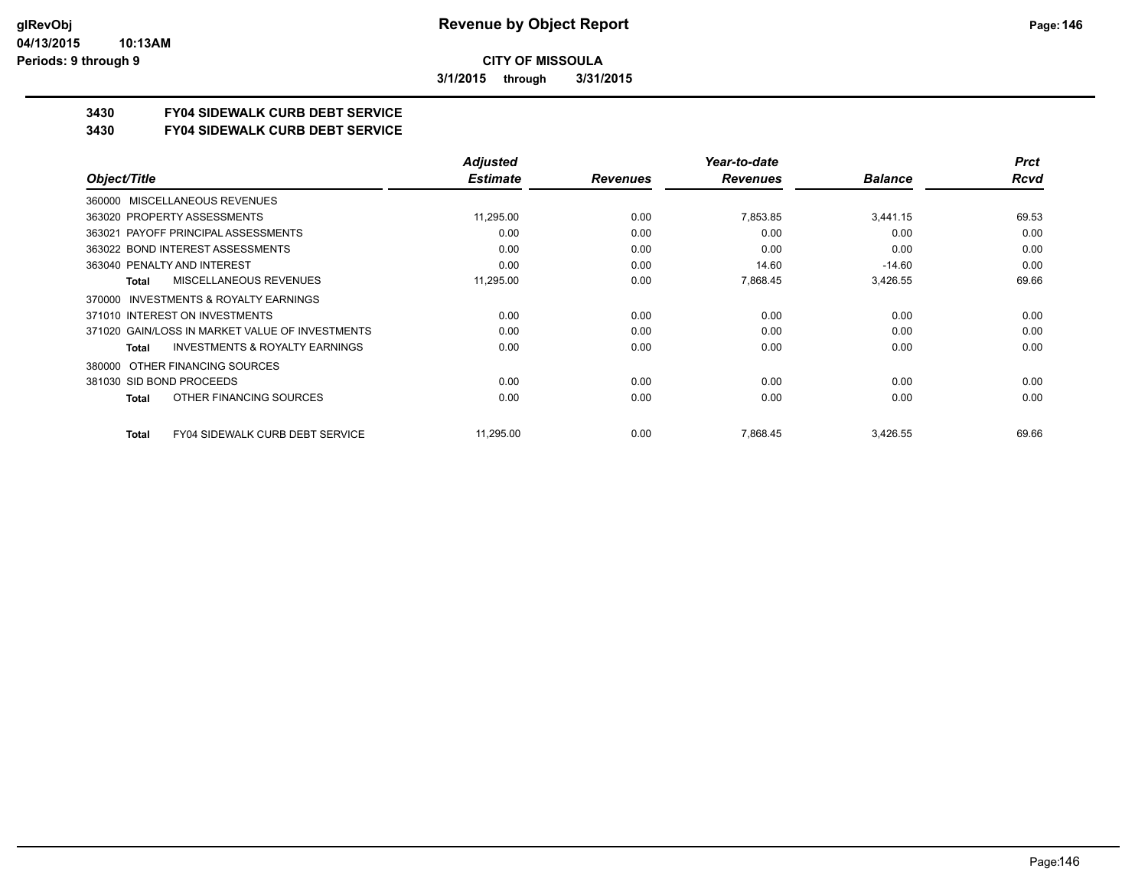**3/1/2015 through 3/31/2015**

## **3430 FY04 SIDEWALK CURB DEBT SERVICE**

#### **3430 FY04 SIDEWALK CURB DEBT SERVICE**

|                                                    | <b>Adjusted</b> |                 | Year-to-date    |                | <b>Prct</b> |
|----------------------------------------------------|-----------------|-----------------|-----------------|----------------|-------------|
| Object/Title                                       | <b>Estimate</b> | <b>Revenues</b> | <b>Revenues</b> | <b>Balance</b> | <b>Rcvd</b> |
| 360000 MISCELLANEOUS REVENUES                      |                 |                 |                 |                |             |
| 363020 PROPERTY ASSESSMENTS                        | 11,295.00       | 0.00            | 7.853.85        | 3,441.15       | 69.53       |
| 363021 PAYOFF PRINCIPAL ASSESSMENTS                | 0.00            | 0.00            | 0.00            | 0.00           | 0.00        |
| 363022 BOND INTEREST ASSESSMENTS                   | 0.00            | 0.00            | 0.00            | 0.00           | 0.00        |
| 363040 PENALTY AND INTEREST                        | 0.00            | 0.00            | 14.60           | $-14.60$       | 0.00        |
| MISCELLANEOUS REVENUES<br>Total                    | 11,295.00       | 0.00            | 7,868.45        | 3,426.55       | 69.66       |
| INVESTMENTS & ROYALTY EARNINGS<br>370000           |                 |                 |                 |                |             |
| 371010 INTEREST ON INVESTMENTS                     | 0.00            | 0.00            | 0.00            | 0.00           | 0.00        |
| 371020 GAIN/LOSS IN MARKET VALUE OF INVESTMENTS    | 0.00            | 0.00            | 0.00            | 0.00           | 0.00        |
| <b>INVESTMENTS &amp; ROYALTY EARNINGS</b><br>Total | 0.00            | 0.00            | 0.00            | 0.00           | 0.00        |
| OTHER FINANCING SOURCES<br>380000                  |                 |                 |                 |                |             |
| 381030 SID BOND PROCEEDS                           | 0.00            | 0.00            | 0.00            | 0.00           | 0.00        |
| OTHER FINANCING SOURCES<br>Total                   | 0.00            | 0.00            | 0.00            | 0.00           | 0.00        |
| <b>FY04 SIDEWALK CURB DEBT SERVICE</b><br>Total    | 11,295.00       | 0.00            | 7,868.45        | 3,426.55       | 69.66       |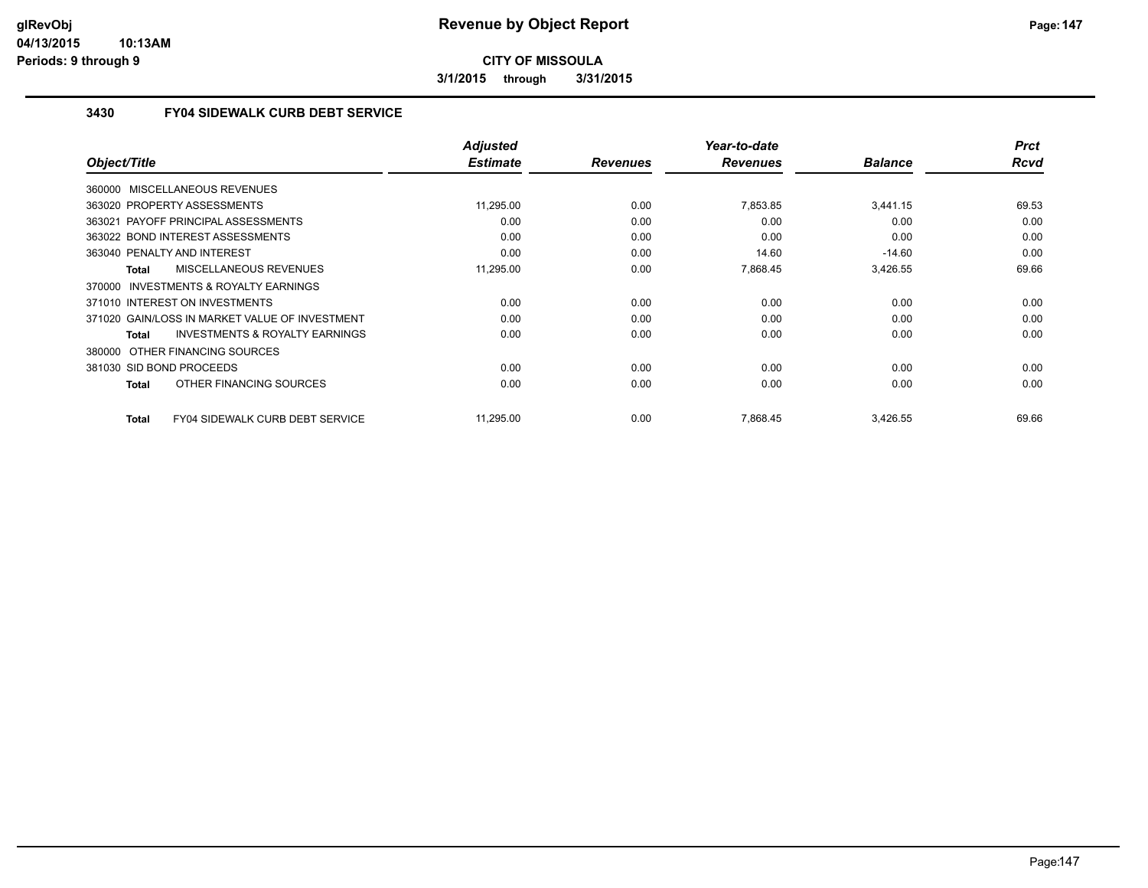**3/1/2015 through 3/31/2015**

## **3430 FY04 SIDEWALK CURB DEBT SERVICE**

|                                                           | <b>Adjusted</b> |                 | Year-to-date    |                | <b>Prct</b> |
|-----------------------------------------------------------|-----------------|-----------------|-----------------|----------------|-------------|
| Object/Title                                              | <b>Estimate</b> | <b>Revenues</b> | <b>Revenues</b> | <b>Balance</b> | <b>Rcvd</b> |
| 360000 MISCELLANEOUS REVENUES                             |                 |                 |                 |                |             |
| 363020 PROPERTY ASSESSMENTS                               | 11,295.00       | 0.00            | 7,853.85        | 3,441.15       | 69.53       |
| 363021 PAYOFF PRINCIPAL ASSESSMENTS                       | 0.00            | 0.00            | 0.00            | 0.00           | 0.00        |
| 363022 BOND INTEREST ASSESSMENTS                          | 0.00            | 0.00            | 0.00            | 0.00           | 0.00        |
| 363040 PENALTY AND INTEREST                               | 0.00            | 0.00            | 14.60           | $-14.60$       | 0.00        |
| <b>MISCELLANEOUS REVENUES</b><br><b>Total</b>             | 11,295.00       | 0.00            | 7,868.45        | 3,426.55       | 69.66       |
| INVESTMENTS & ROYALTY EARNINGS<br>370000                  |                 |                 |                 |                |             |
| 371010 INTEREST ON INVESTMENTS                            | 0.00            | 0.00            | 0.00            | 0.00           | 0.00        |
| 371020 GAIN/LOSS IN MARKET VALUE OF INVESTMENT            | 0.00            | 0.00            | 0.00            | 0.00           | 0.00        |
| <b>INVESTMENTS &amp; ROYALTY EARNINGS</b><br><b>Total</b> | 0.00            | 0.00            | 0.00            | 0.00           | 0.00        |
| 380000 OTHER FINANCING SOURCES                            |                 |                 |                 |                |             |
| 381030 SID BOND PROCEEDS                                  | 0.00            | 0.00            | 0.00            | 0.00           | 0.00        |
| OTHER FINANCING SOURCES<br><b>Total</b>                   | 0.00            | 0.00            | 0.00            | 0.00           | 0.00        |
| FY04 SIDEWALK CURB DEBT SERVICE<br><b>Total</b>           | 11,295.00       | 0.00            | 7,868.45        | 3,426.55       | 69.66       |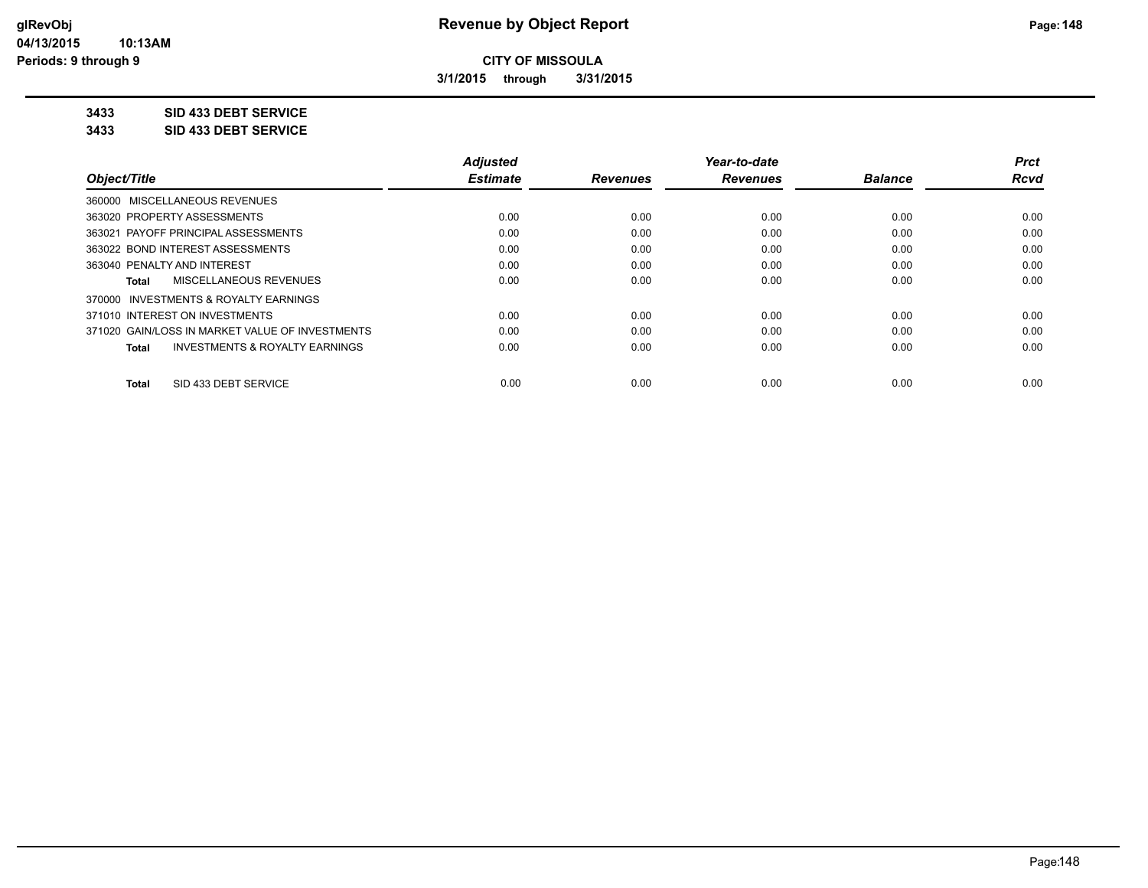**3/1/2015 through 3/31/2015**

**3433 SID 433 DEBT SERVICE**

**3433 SID 433 DEBT SERVICE**

|                                                           | <b>Adjusted</b> |                 | Year-to-date    |                | <b>Prct</b> |
|-----------------------------------------------------------|-----------------|-----------------|-----------------|----------------|-------------|
| Object/Title                                              | <b>Estimate</b> | <b>Revenues</b> | <b>Revenues</b> | <b>Balance</b> | Rcvd        |
| 360000 MISCELLANEOUS REVENUES                             |                 |                 |                 |                |             |
| 363020 PROPERTY ASSESSMENTS                               | 0.00            | 0.00            | 0.00            | 0.00           | 0.00        |
| 363021 PAYOFF PRINCIPAL ASSESSMENTS                       | 0.00            | 0.00            | 0.00            | 0.00           | 0.00        |
| 363022 BOND INTEREST ASSESSMENTS                          | 0.00            | 0.00            | 0.00            | 0.00           | 0.00        |
| 363040 PENALTY AND INTEREST                               | 0.00            | 0.00            | 0.00            | 0.00           | 0.00        |
| MISCELLANEOUS REVENUES<br>Total                           | 0.00            | 0.00            | 0.00            | 0.00           | 0.00        |
| 370000 INVESTMENTS & ROYALTY EARNINGS                     |                 |                 |                 |                |             |
| 371010 INTEREST ON INVESTMENTS                            | 0.00            | 0.00            | 0.00            | 0.00           | 0.00        |
| 371020 GAIN/LOSS IN MARKET VALUE OF INVESTMENTS           | 0.00            | 0.00            | 0.00            | 0.00           | 0.00        |
| <b>INVESTMENTS &amp; ROYALTY EARNINGS</b><br><b>Total</b> | 0.00            | 0.00            | 0.00            | 0.00           | 0.00        |
| SID 433 DEBT SERVICE<br>Total                             | 0.00            | 0.00            | 0.00            | 0.00           | 0.00        |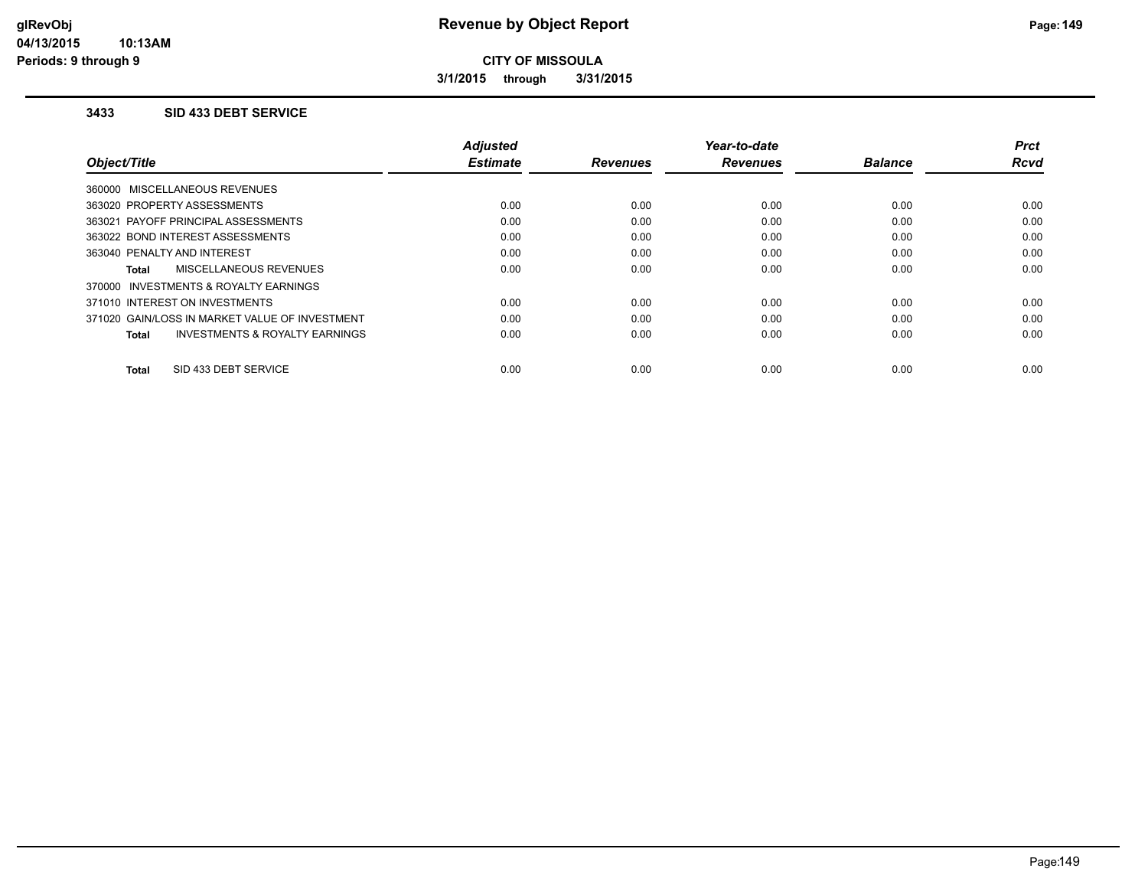**3/1/2015 through 3/31/2015**

#### **3433 SID 433 DEBT SERVICE**

|                                                    | <b>Adjusted</b> |                 | Year-to-date    |                | <b>Prct</b> |
|----------------------------------------------------|-----------------|-----------------|-----------------|----------------|-------------|
| Object/Title                                       | <b>Estimate</b> | <b>Revenues</b> | <b>Revenues</b> | <b>Balance</b> | <b>Rcvd</b> |
| 360000 MISCELLANEOUS REVENUES                      |                 |                 |                 |                |             |
| 363020 PROPERTY ASSESSMENTS                        | 0.00            | 0.00            | 0.00            | 0.00           | 0.00        |
| 363021 PAYOFF PRINCIPAL ASSESSMENTS                | 0.00            | 0.00            | 0.00            | 0.00           | 0.00        |
| 363022 BOND INTEREST ASSESSMENTS                   | 0.00            | 0.00            | 0.00            | 0.00           | 0.00        |
| 363040 PENALTY AND INTEREST                        | 0.00            | 0.00            | 0.00            | 0.00           | 0.00        |
| MISCELLANEOUS REVENUES<br>Total                    | 0.00            | 0.00            | 0.00            | 0.00           | 0.00        |
| 370000 INVESTMENTS & ROYALTY EARNINGS              |                 |                 |                 |                |             |
| 371010 INTEREST ON INVESTMENTS                     | 0.00            | 0.00            | 0.00            | 0.00           | 0.00        |
| 371020 GAIN/LOSS IN MARKET VALUE OF INVESTMENT     | 0.00            | 0.00            | 0.00            | 0.00           | 0.00        |
| <b>INVESTMENTS &amp; ROYALTY EARNINGS</b><br>Total | 0.00            | 0.00            | 0.00            | 0.00           | 0.00        |
|                                                    |                 |                 |                 |                |             |
| SID 433 DEBT SERVICE<br>Total                      | 0.00            | 0.00            | 0.00            | 0.00           | 0.00        |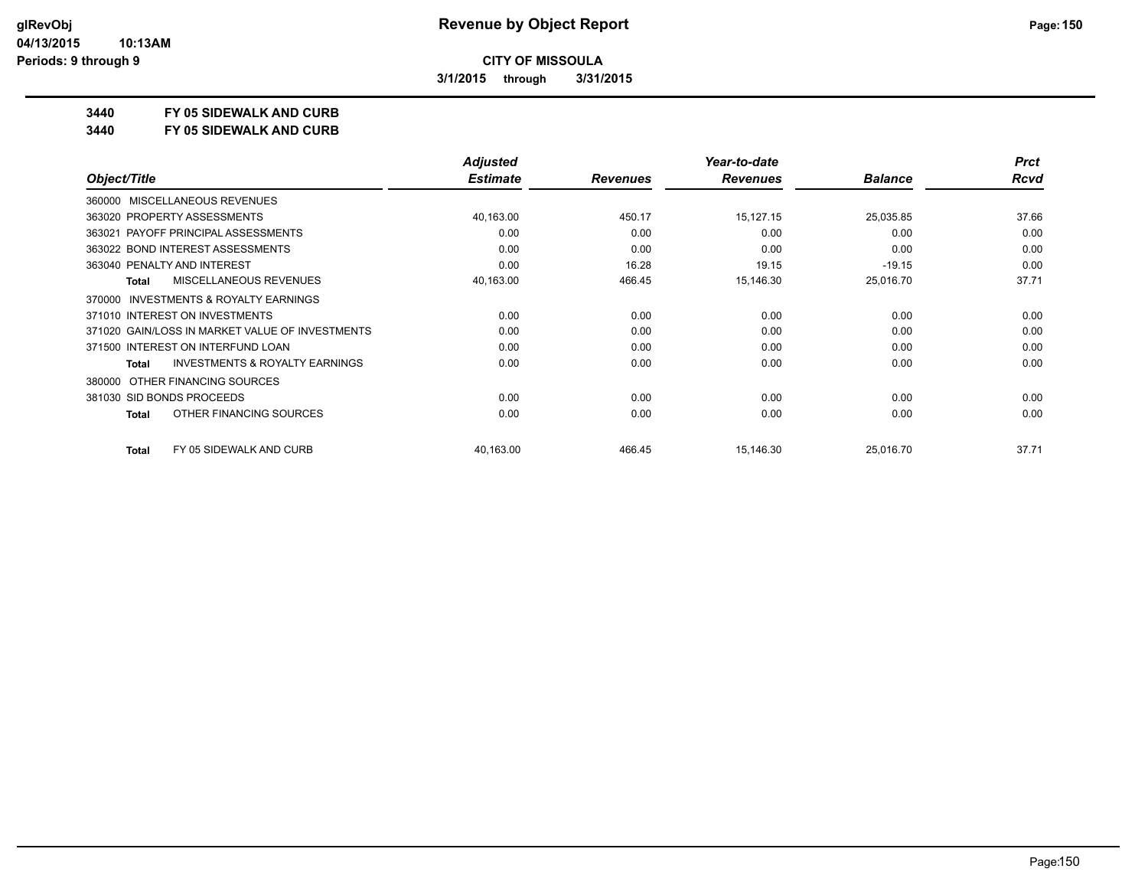**3/1/2015 through 3/31/2015**

## **3440 FY 05 SIDEWALK AND CURB**

**3440 FY 05 SIDEWALK AND CURB**

|                                                    | <b>Adjusted</b> |                 | Year-to-date    |                | <b>Prct</b> |
|----------------------------------------------------|-----------------|-----------------|-----------------|----------------|-------------|
| Object/Title                                       | <b>Estimate</b> | <b>Revenues</b> | <b>Revenues</b> | <b>Balance</b> | <b>Rcvd</b> |
| 360000 MISCELLANEOUS REVENUES                      |                 |                 |                 |                |             |
| 363020 PROPERTY ASSESSMENTS                        | 40,163.00       | 450.17          | 15,127.15       | 25,035.85      | 37.66       |
| 363021 PAYOFF PRINCIPAL ASSESSMENTS                | 0.00            | 0.00            | 0.00            | 0.00           | 0.00        |
| 363022 BOND INTEREST ASSESSMENTS                   | 0.00            | 0.00            | 0.00            | 0.00           | 0.00        |
| 363040 PENALTY AND INTEREST                        | 0.00            | 16.28           | 19.15           | $-19.15$       | 0.00        |
| <b>MISCELLANEOUS REVENUES</b><br>Total             | 40,163.00       | 466.45          | 15,146.30       | 25,016.70      | 37.71       |
| INVESTMENTS & ROYALTY EARNINGS<br>370000           |                 |                 |                 |                |             |
| 371010 INTEREST ON INVESTMENTS                     | 0.00            | 0.00            | 0.00            | 0.00           | 0.00        |
| 371020 GAIN/LOSS IN MARKET VALUE OF INVESTMENTS    | 0.00            | 0.00            | 0.00            | 0.00           | 0.00        |
| 371500 INTEREST ON INTERFUND LOAN                  | 0.00            | 0.00            | 0.00            | 0.00           | 0.00        |
| <b>INVESTMENTS &amp; ROYALTY EARNINGS</b><br>Total | 0.00            | 0.00            | 0.00            | 0.00           | 0.00        |
| OTHER FINANCING SOURCES<br>380000                  |                 |                 |                 |                |             |
| 381030 SID BONDS PROCEEDS                          | 0.00            | 0.00            | 0.00            | 0.00           | 0.00        |
| OTHER FINANCING SOURCES<br>Total                   | 0.00            | 0.00            | 0.00            | 0.00           | 0.00        |
| FY 05 SIDEWALK AND CURB<br><b>Total</b>            | 40,163.00       | 466.45          | 15,146.30       | 25,016.70      | 37.71       |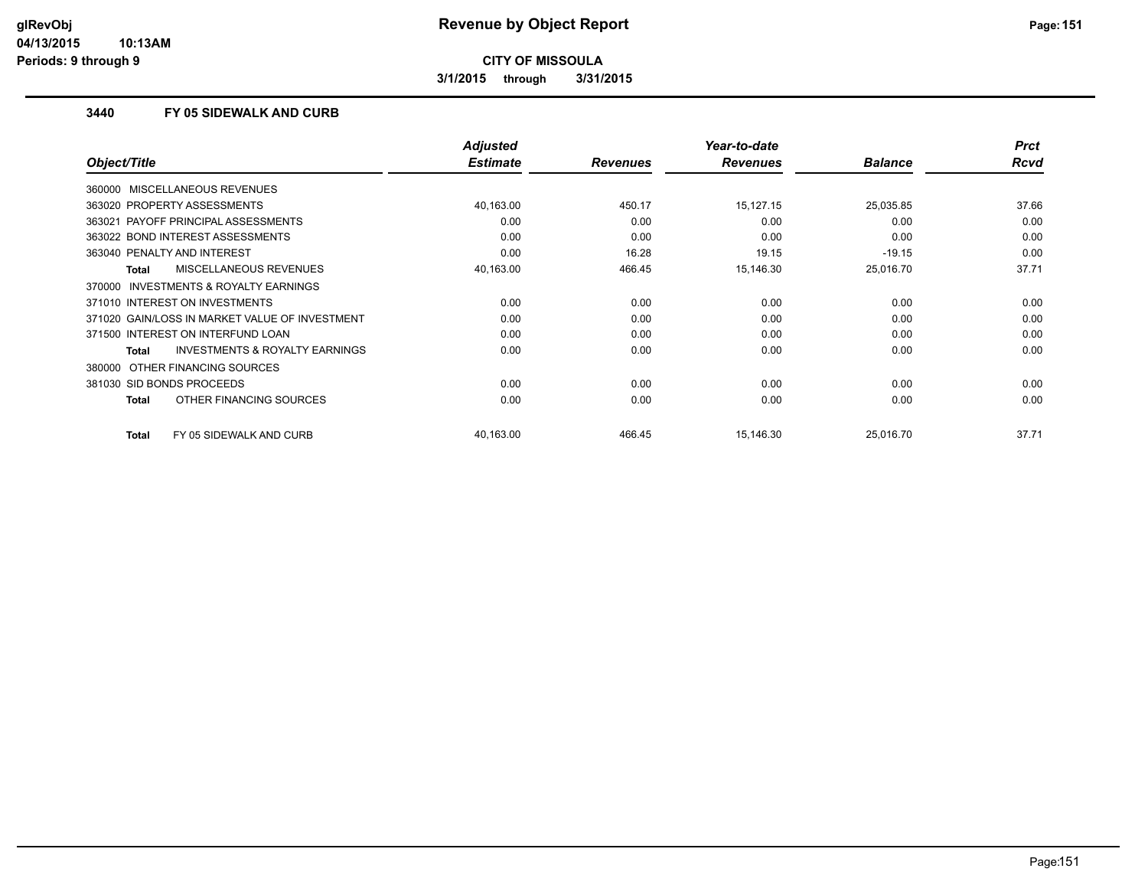**3/1/2015 through 3/31/2015**

### **3440 FY 05 SIDEWALK AND CURB**

|                                                     | <b>Adjusted</b> |                 | Year-to-date    |                | <b>Prct</b> |
|-----------------------------------------------------|-----------------|-----------------|-----------------|----------------|-------------|
| Object/Title                                        | <b>Estimate</b> | <b>Revenues</b> | <b>Revenues</b> | <b>Balance</b> | <b>Rcvd</b> |
| 360000 MISCELLANEOUS REVENUES                       |                 |                 |                 |                |             |
| 363020 PROPERTY ASSESSMENTS                         | 40,163.00       | 450.17          | 15,127.15       | 25,035.85      | 37.66       |
| 363021 PAYOFF PRINCIPAL ASSESSMENTS                 | 0.00            | 0.00            | 0.00            | 0.00           | 0.00        |
| 363022 BOND INTEREST ASSESSMENTS                    | 0.00            | 0.00            | 0.00            | 0.00           | 0.00        |
| 363040 PENALTY AND INTEREST                         | 0.00            | 16.28           | 19.15           | $-19.15$       | 0.00        |
| MISCELLANEOUS REVENUES<br><b>Total</b>              | 40,163.00       | 466.45          | 15,146.30       | 25,016.70      | 37.71       |
| <b>INVESTMENTS &amp; ROYALTY EARNINGS</b><br>370000 |                 |                 |                 |                |             |
| 371010 INTEREST ON INVESTMENTS                      | 0.00            | 0.00            | 0.00            | 0.00           | 0.00        |
| 371020 GAIN/LOSS IN MARKET VALUE OF INVESTMENT      | 0.00            | 0.00            | 0.00            | 0.00           | 0.00        |
| 371500 INTEREST ON INTERFUND LOAN                   | 0.00            | 0.00            | 0.00            | 0.00           | 0.00        |
| <b>INVESTMENTS &amp; ROYALTY EARNINGS</b><br>Total  | 0.00            | 0.00            | 0.00            | 0.00           | 0.00        |
| 380000 OTHER FINANCING SOURCES                      |                 |                 |                 |                |             |
| 381030 SID BONDS PROCEEDS                           | 0.00            | 0.00            | 0.00            | 0.00           | 0.00        |
| OTHER FINANCING SOURCES<br><b>Total</b>             | 0.00            | 0.00            | 0.00            | 0.00           | 0.00        |
| <b>Total</b><br>FY 05 SIDEWALK AND CURB             | 40,163.00       | 466.45          | 15,146.30       | 25,016.70      | 37.71       |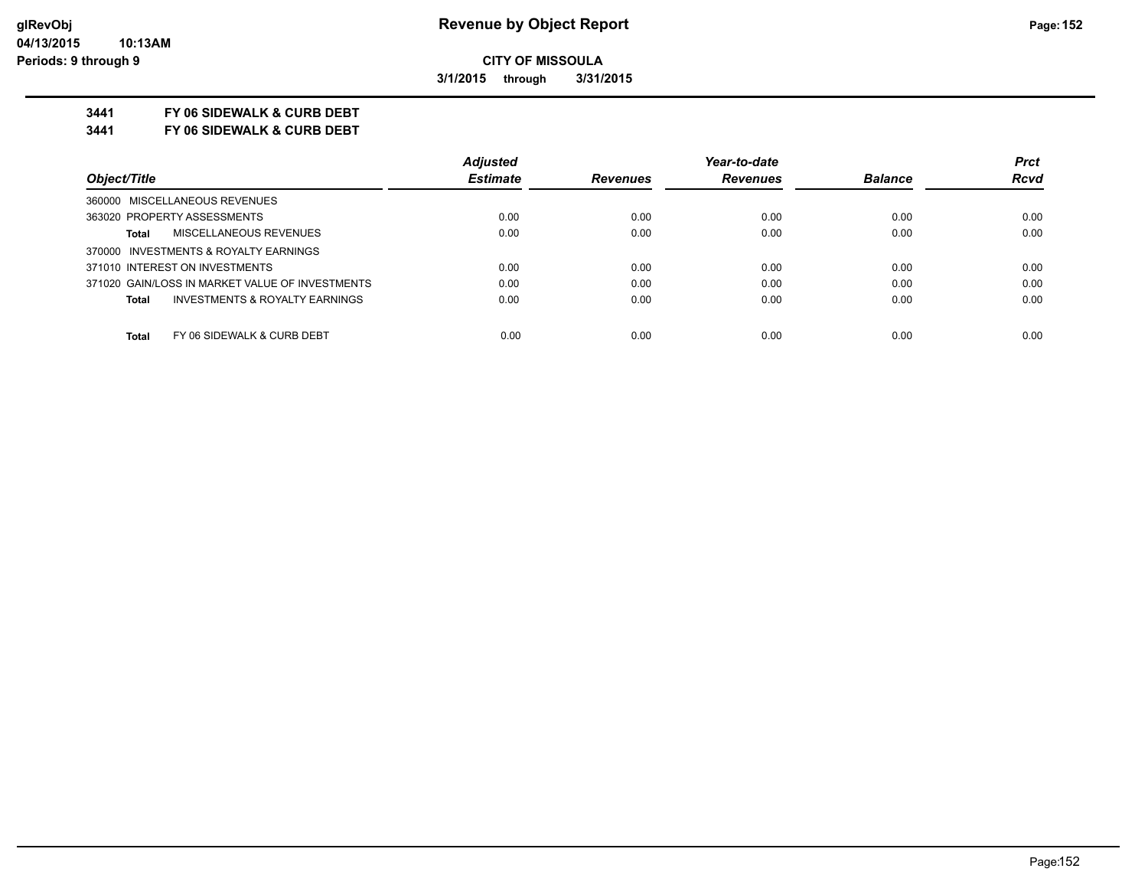**3/1/2015 through 3/31/2015**

## **3441 FY 06 SIDEWALK & CURB DEBT**

**3441 FY 06 SIDEWALK & CURB DEBT**

|                                                           | <b>Adjusted</b> |                 | Year-to-date    |                | <b>Prct</b> |
|-----------------------------------------------------------|-----------------|-----------------|-----------------|----------------|-------------|
| Object/Title                                              | <b>Estimate</b> | <b>Revenues</b> | <b>Revenues</b> | <b>Balance</b> | <b>Rcvd</b> |
| 360000 MISCELLANEOUS REVENUES                             |                 |                 |                 |                |             |
| 363020 PROPERTY ASSESSMENTS                               | 0.00            | 0.00            | 0.00            | 0.00           | 0.00        |
| MISCELLANEOUS REVENUES<br><b>Total</b>                    | 0.00            | 0.00            | 0.00            | 0.00           | 0.00        |
| 370000 INVESTMENTS & ROYALTY EARNINGS                     |                 |                 |                 |                |             |
| 371010 INTEREST ON INVESTMENTS                            | 0.00            | 0.00            | 0.00            | 0.00           | 0.00        |
| 371020 GAIN/LOSS IN MARKET VALUE OF INVESTMENTS           | 0.00            | 0.00            | 0.00            | 0.00           | 0.00        |
| <b>INVESTMENTS &amp; ROYALTY EARNINGS</b><br><b>Total</b> | 0.00            | 0.00            | 0.00            | 0.00           | 0.00        |
| Total<br>FY 06 SIDEWALK & CURB DEBT                       | 0.00            | 0.00            | 0.00            | 0.00           | 0.00        |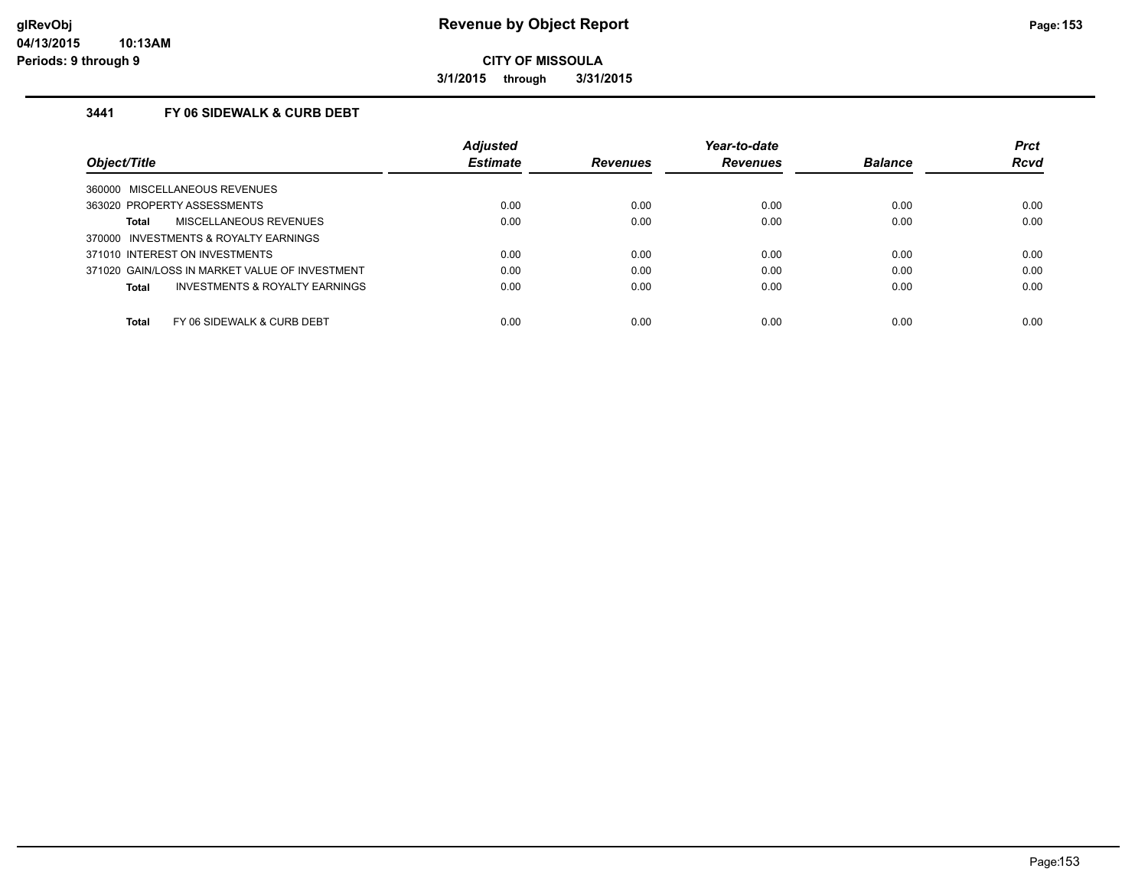**3/1/2015 through 3/31/2015**

## **3441 FY 06 SIDEWALK & CURB DEBT**

|                                                    | <b>Adjusted</b> |                 | Year-to-date    |                | <b>Prct</b> |
|----------------------------------------------------|-----------------|-----------------|-----------------|----------------|-------------|
| Object/Title                                       | <b>Estimate</b> | <b>Revenues</b> | <b>Revenues</b> | <b>Balance</b> | <b>Rcvd</b> |
| MISCELLANEOUS REVENUES<br>360000                   |                 |                 |                 |                |             |
| 363020 PROPERTY ASSESSMENTS                        | 0.00            | 0.00            | 0.00            | 0.00           | 0.00        |
| MISCELLANEOUS REVENUES<br>Total                    | 0.00            | 0.00            | 0.00            | 0.00           | 0.00        |
| 370000 INVESTMENTS & ROYALTY EARNINGS              |                 |                 |                 |                |             |
| 371010 INTEREST ON INVESTMENTS                     | 0.00            | 0.00            | 0.00            | 0.00           | 0.00        |
| 371020 GAIN/LOSS IN MARKET VALUE OF INVESTMENT     | 0.00            | 0.00            | 0.00            | 0.00           | 0.00        |
| <b>INVESTMENTS &amp; ROYALTY EARNINGS</b><br>Total | 0.00            | 0.00            | 0.00            | 0.00           | 0.00        |
| Total<br>FY 06 SIDEWALK & CURB DEBT                | 0.00            | 0.00            | 0.00            | 0.00           | 0.00        |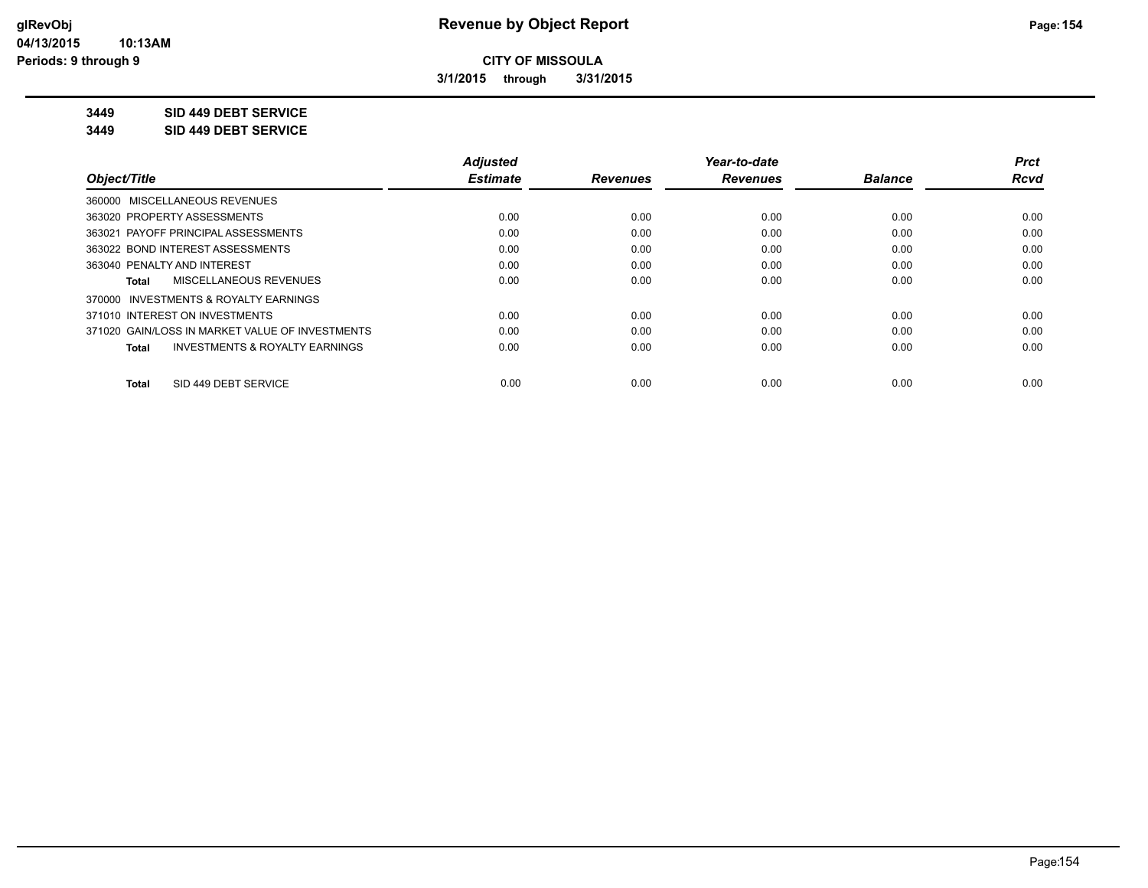**3/1/2015 through 3/31/2015**

**3449 SID 449 DEBT SERVICE**

**3449 SID 449 DEBT SERVICE**

|                                                           | <b>Adjusted</b> |                 | Year-to-date    |                | <b>Prct</b> |
|-----------------------------------------------------------|-----------------|-----------------|-----------------|----------------|-------------|
| Object/Title                                              | <b>Estimate</b> | <b>Revenues</b> | <b>Revenues</b> | <b>Balance</b> | Rcvd        |
| 360000 MISCELLANEOUS REVENUES                             |                 |                 |                 |                |             |
| 363020 PROPERTY ASSESSMENTS                               | 0.00            | 0.00            | 0.00            | 0.00           | 0.00        |
| 363021 PAYOFF PRINCIPAL ASSESSMENTS                       | 0.00            | 0.00            | 0.00            | 0.00           | 0.00        |
| 363022 BOND INTEREST ASSESSMENTS                          | 0.00            | 0.00            | 0.00            | 0.00           | 0.00        |
| 363040 PENALTY AND INTEREST                               | 0.00            | 0.00            | 0.00            | 0.00           | 0.00        |
| MISCELLANEOUS REVENUES<br>Total                           | 0.00            | 0.00            | 0.00            | 0.00           | 0.00        |
| 370000 INVESTMENTS & ROYALTY EARNINGS                     |                 |                 |                 |                |             |
| 371010 INTEREST ON INVESTMENTS                            | 0.00            | 0.00            | 0.00            | 0.00           | 0.00        |
| 371020 GAIN/LOSS IN MARKET VALUE OF INVESTMENTS           | 0.00            | 0.00            | 0.00            | 0.00           | 0.00        |
| <b>INVESTMENTS &amp; ROYALTY EARNINGS</b><br><b>Total</b> | 0.00            | 0.00            | 0.00            | 0.00           | 0.00        |
| SID 449 DEBT SERVICE<br>Total                             | 0.00            | 0.00            | 0.00            | 0.00           | 0.00        |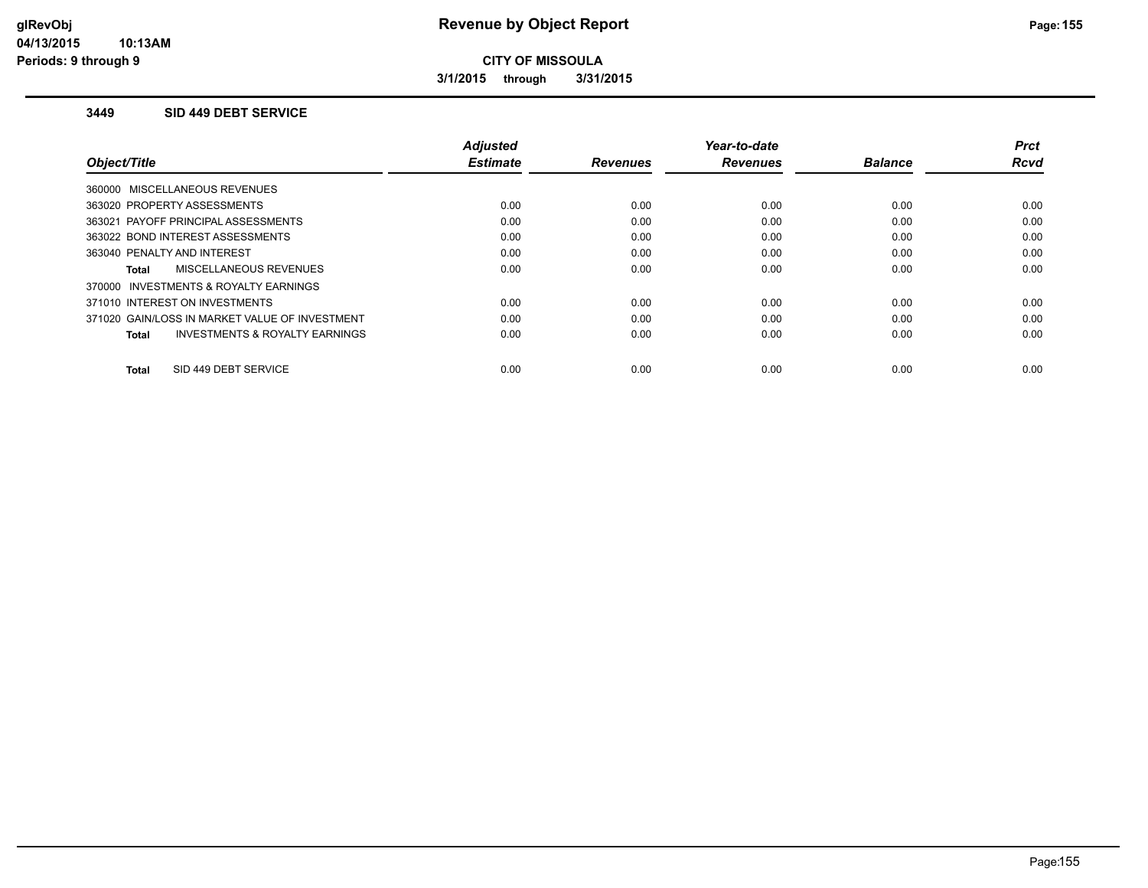**3/1/2015 through 3/31/2015**

#### **3449 SID 449 DEBT SERVICE**

|                                                    | <b>Adjusted</b> |                 | Year-to-date    |                | <b>Prct</b> |
|----------------------------------------------------|-----------------|-----------------|-----------------|----------------|-------------|
| Object/Title                                       | <b>Estimate</b> | <b>Revenues</b> | <b>Revenues</b> | <b>Balance</b> | <b>Rcvd</b> |
| 360000 MISCELLANEOUS REVENUES                      |                 |                 |                 |                |             |
| 363020 PROPERTY ASSESSMENTS                        | 0.00            | 0.00            | 0.00            | 0.00           | 0.00        |
| 363021 PAYOFF PRINCIPAL ASSESSMENTS                | 0.00            | 0.00            | 0.00            | 0.00           | 0.00        |
| 363022 BOND INTEREST ASSESSMENTS                   | 0.00            | 0.00            | 0.00            | 0.00           | 0.00        |
| 363040 PENALTY AND INTEREST                        | 0.00            | 0.00            | 0.00            | 0.00           | 0.00        |
| MISCELLANEOUS REVENUES<br>Total                    | 0.00            | 0.00            | 0.00            | 0.00           | 0.00        |
| 370000 INVESTMENTS & ROYALTY EARNINGS              |                 |                 |                 |                |             |
| 371010 INTEREST ON INVESTMENTS                     | 0.00            | 0.00            | 0.00            | 0.00           | 0.00        |
| 371020 GAIN/LOSS IN MARKET VALUE OF INVESTMENT     | 0.00            | 0.00            | 0.00            | 0.00           | 0.00        |
| <b>INVESTMENTS &amp; ROYALTY EARNINGS</b><br>Total | 0.00            | 0.00            | 0.00            | 0.00           | 0.00        |
|                                                    |                 |                 |                 |                |             |
| SID 449 DEBT SERVICE<br>Total                      | 0.00            | 0.00            | 0.00            | 0.00           | 0.00        |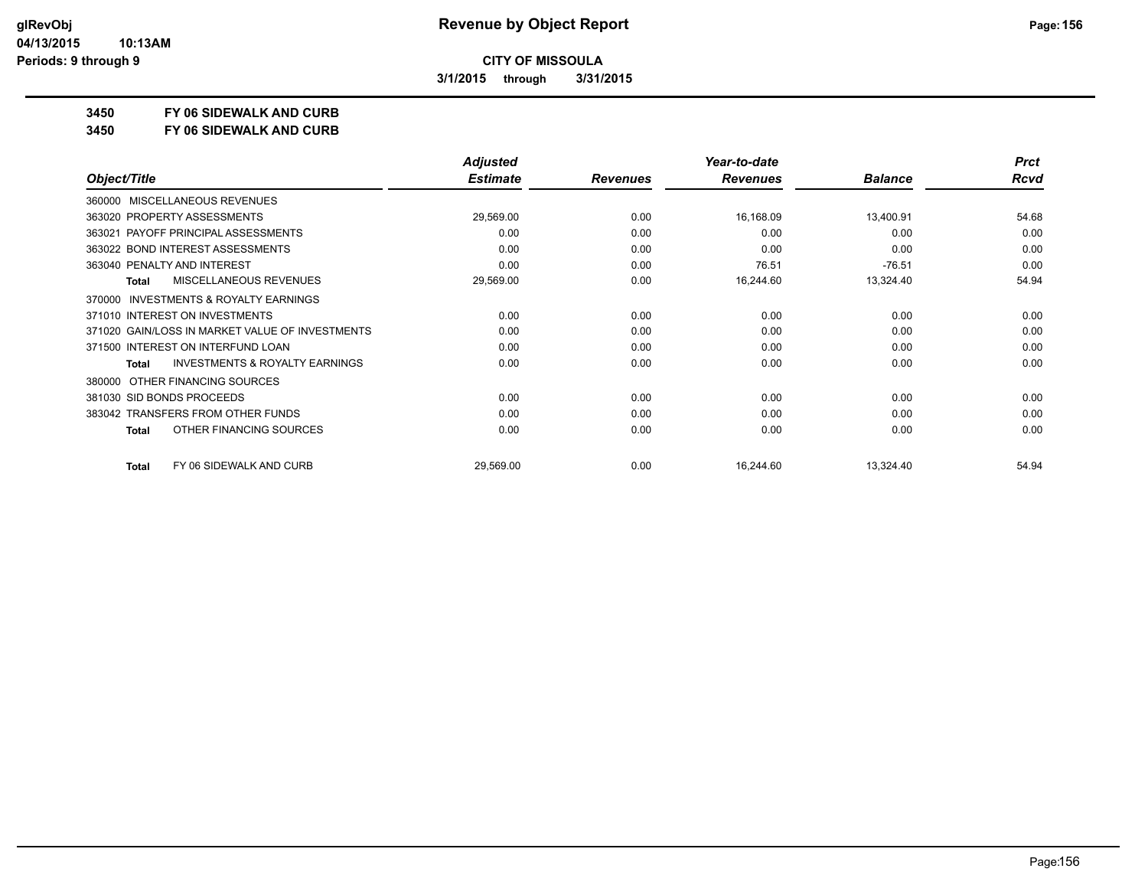**3/1/2015 through 3/31/2015**

**3450 FY 06 SIDEWALK AND CURB**

**3450 FY 06 SIDEWALK AND CURB**

|                                                           | <b>Adjusted</b> |                 | Year-to-date    |                | <b>Prct</b> |
|-----------------------------------------------------------|-----------------|-----------------|-----------------|----------------|-------------|
| Object/Title                                              | <b>Estimate</b> | <b>Revenues</b> | <b>Revenues</b> | <b>Balance</b> | <b>Rcvd</b> |
| MISCELLANEOUS REVENUES<br>360000                          |                 |                 |                 |                |             |
| 363020 PROPERTY ASSESSMENTS                               | 29,569.00       | 0.00            | 16,168.09       | 13,400.91      | 54.68       |
| PAYOFF PRINCIPAL ASSESSMENTS<br>363021                    | 0.00            | 0.00            | 0.00            | 0.00           | 0.00        |
| 363022 BOND INTEREST ASSESSMENTS                          | 0.00            | 0.00            | 0.00            | 0.00           | 0.00        |
| 363040 PENALTY AND INTEREST                               | 0.00            | 0.00            | 76.51           | $-76.51$       | 0.00        |
| MISCELLANEOUS REVENUES<br><b>Total</b>                    | 29,569.00       | 0.00            | 16,244.60       | 13,324.40      | 54.94       |
| <b>INVESTMENTS &amp; ROYALTY EARNINGS</b><br>370000       |                 |                 |                 |                |             |
| 371010 INTEREST ON INVESTMENTS                            | 0.00            | 0.00            | 0.00            | 0.00           | 0.00        |
| 371020 GAIN/LOSS IN MARKET VALUE OF INVESTMENTS           | 0.00            | 0.00            | 0.00            | 0.00           | 0.00        |
| 371500 INTEREST ON INTERFUND LOAN                         | 0.00            | 0.00            | 0.00            | 0.00           | 0.00        |
| <b>INVESTMENTS &amp; ROYALTY EARNINGS</b><br><b>Total</b> | 0.00            | 0.00            | 0.00            | 0.00           | 0.00        |
| OTHER FINANCING SOURCES<br>380000                         |                 |                 |                 |                |             |
| 381030 SID BONDS PROCEEDS                                 | 0.00            | 0.00            | 0.00            | 0.00           | 0.00        |
| 383042 TRANSFERS FROM OTHER FUNDS                         | 0.00            | 0.00            | 0.00            | 0.00           | 0.00        |
| OTHER FINANCING SOURCES<br>Total                          | 0.00            | 0.00            | 0.00            | 0.00           | 0.00        |
| FY 06 SIDEWALK AND CURB<br><b>Total</b>                   | 29,569.00       | 0.00            | 16,244.60       | 13,324.40      | 54.94       |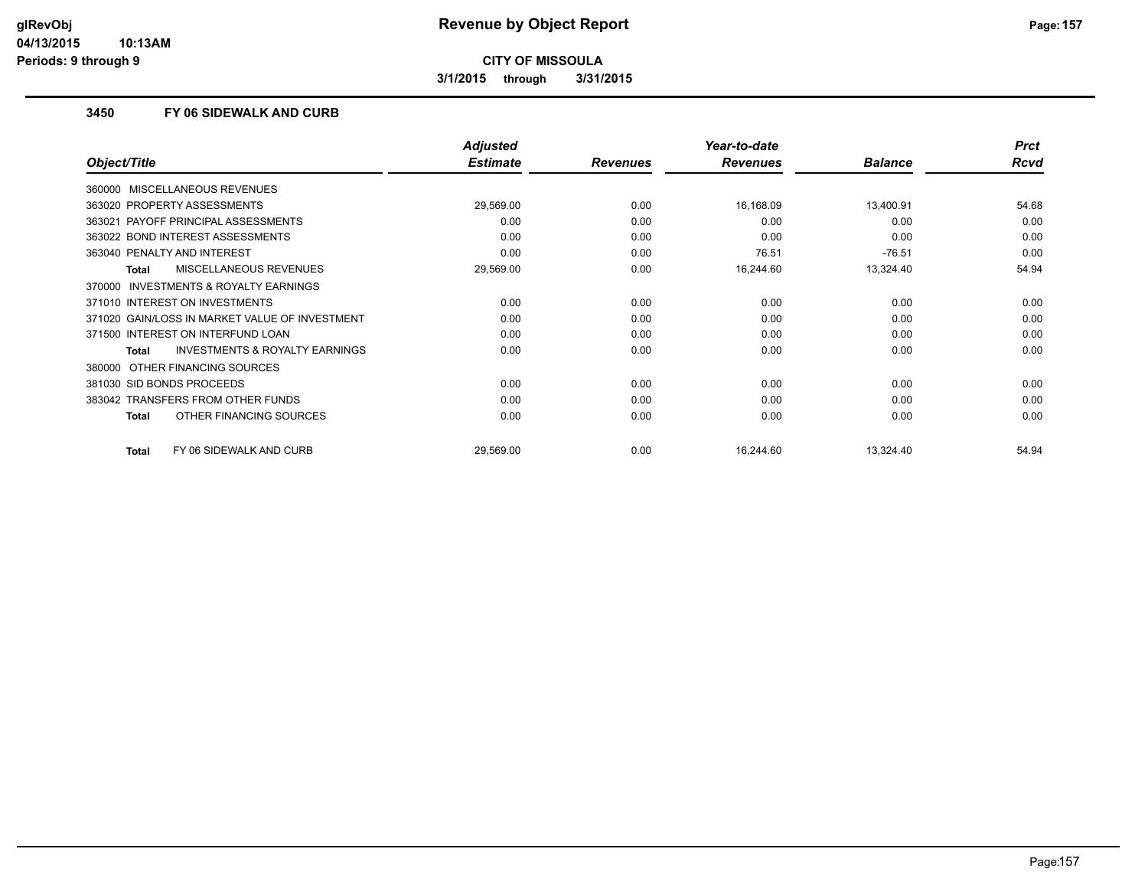**3/1/2015 through 3/31/2015**

### **3450 FY 06 SIDEWALK AND CURB**

|                                                           | <b>Adjusted</b> |                 | Year-to-date    |                | <b>Prct</b> |
|-----------------------------------------------------------|-----------------|-----------------|-----------------|----------------|-------------|
| Object/Title                                              | <b>Estimate</b> | <b>Revenues</b> | <b>Revenues</b> | <b>Balance</b> | <b>Rcvd</b> |
| 360000 MISCELLANEOUS REVENUES                             |                 |                 |                 |                |             |
| 363020 PROPERTY ASSESSMENTS                               | 29,569.00       | 0.00            | 16,168.09       | 13,400.91      | 54.68       |
| 363021 PAYOFF PRINCIPAL ASSESSMENTS                       | 0.00            | 0.00            | 0.00            | 0.00           | 0.00        |
| 363022 BOND INTEREST ASSESSMENTS                          | 0.00            | 0.00            | 0.00            | 0.00           | 0.00        |
| 363040 PENALTY AND INTEREST                               | 0.00            | 0.00            | 76.51           | $-76.51$       | 0.00        |
| MISCELLANEOUS REVENUES<br><b>Total</b>                    | 29,569.00       | 0.00            | 16,244.60       | 13,324.40      | 54.94       |
| <b>INVESTMENTS &amp; ROYALTY EARNINGS</b><br>370000       |                 |                 |                 |                |             |
| 371010 INTEREST ON INVESTMENTS                            | 0.00            | 0.00            | 0.00            | 0.00           | 0.00        |
| 371020 GAIN/LOSS IN MARKET VALUE OF INVESTMENT            | 0.00            | 0.00            | 0.00            | 0.00           | 0.00        |
| 371500 INTEREST ON INTERFUND LOAN                         | 0.00            | 0.00            | 0.00            | 0.00           | 0.00        |
| <b>INVESTMENTS &amp; ROYALTY EARNINGS</b><br><b>Total</b> | 0.00            | 0.00            | 0.00            | 0.00           | 0.00        |
| 380000 OTHER FINANCING SOURCES                            |                 |                 |                 |                |             |
| 381030 SID BONDS PROCEEDS                                 | 0.00            | 0.00            | 0.00            | 0.00           | 0.00        |
| 383042 TRANSFERS FROM OTHER FUNDS                         | 0.00            | 0.00            | 0.00            | 0.00           | 0.00        |
| OTHER FINANCING SOURCES<br><b>Total</b>                   | 0.00            | 0.00            | 0.00            | 0.00           | 0.00        |
| FY 06 SIDEWALK AND CURB<br><b>Total</b>                   | 29,569.00       | 0.00            | 16,244.60       | 13,324.40      | 54.94       |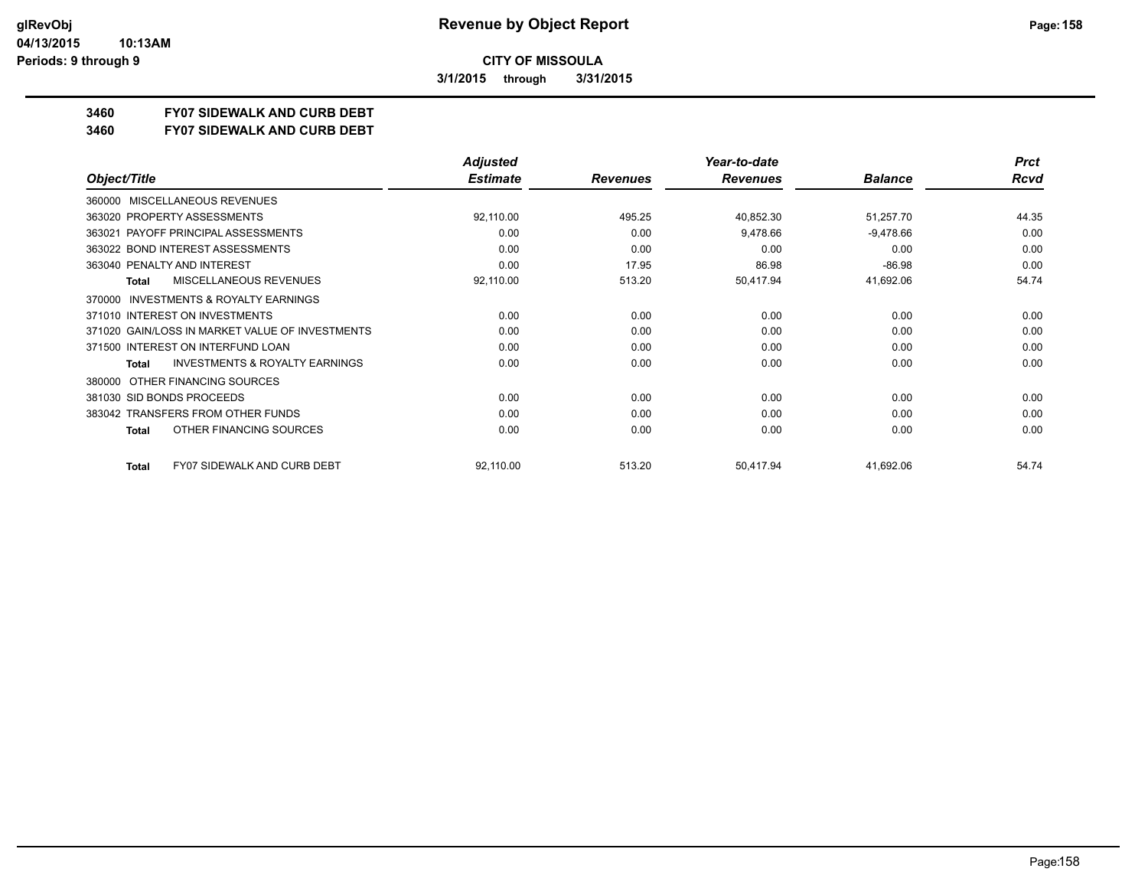**3/1/2015 through 3/31/2015**

## **3460 FY07 SIDEWALK AND CURB DEBT**

#### **3460 FY07 SIDEWALK AND CURB DEBT**

|                                                     | <b>Adjusted</b> |                 | Year-to-date    |                | <b>Prct</b> |
|-----------------------------------------------------|-----------------|-----------------|-----------------|----------------|-------------|
| Object/Title                                        | <b>Estimate</b> | <b>Revenues</b> | <b>Revenues</b> | <b>Balance</b> | Rcvd        |
| MISCELLANEOUS REVENUES<br>360000                    |                 |                 |                 |                |             |
| 363020 PROPERTY ASSESSMENTS                         | 92,110.00       | 495.25          | 40,852.30       | 51,257.70      | 44.35       |
| PAYOFF PRINCIPAL ASSESSMENTS<br>363021              | 0.00            | 0.00            | 9,478.66        | $-9,478.66$    | 0.00        |
| 363022 BOND INTEREST ASSESSMENTS                    | 0.00            | 0.00            | 0.00            | 0.00           | 0.00        |
| 363040 PENALTY AND INTEREST                         | 0.00            | 17.95           | 86.98           | $-86.98$       | 0.00        |
| MISCELLANEOUS REVENUES<br>Total                     | 92,110.00       | 513.20          | 50,417.94       | 41,692.06      | 54.74       |
| <b>INVESTMENTS &amp; ROYALTY EARNINGS</b><br>370000 |                 |                 |                 |                |             |
| 371010 INTEREST ON INVESTMENTS                      | 0.00            | 0.00            | 0.00            | 0.00           | 0.00        |
| 371020 GAIN/LOSS IN MARKET VALUE OF INVESTMENTS     | 0.00            | 0.00            | 0.00            | 0.00           | 0.00        |
| 371500 INTEREST ON INTERFUND LOAN                   | 0.00            | 0.00            | 0.00            | 0.00           | 0.00        |
| <b>INVESTMENTS &amp; ROYALTY EARNINGS</b><br>Total  | 0.00            | 0.00            | 0.00            | 0.00           | 0.00        |
| OTHER FINANCING SOURCES<br>380000                   |                 |                 |                 |                |             |
| 381030 SID BONDS PROCEEDS                           | 0.00            | 0.00            | 0.00            | 0.00           | 0.00        |
| 383042 TRANSFERS FROM OTHER FUNDS                   | 0.00            | 0.00            | 0.00            | 0.00           | 0.00        |
| OTHER FINANCING SOURCES<br><b>Total</b>             | 0.00            | 0.00            | 0.00            | 0.00           | 0.00        |
| <b>FY07 SIDEWALK AND CURB DEBT</b><br>Total         | 92,110.00       | 513.20          | 50,417.94       | 41,692.06      | 54.74       |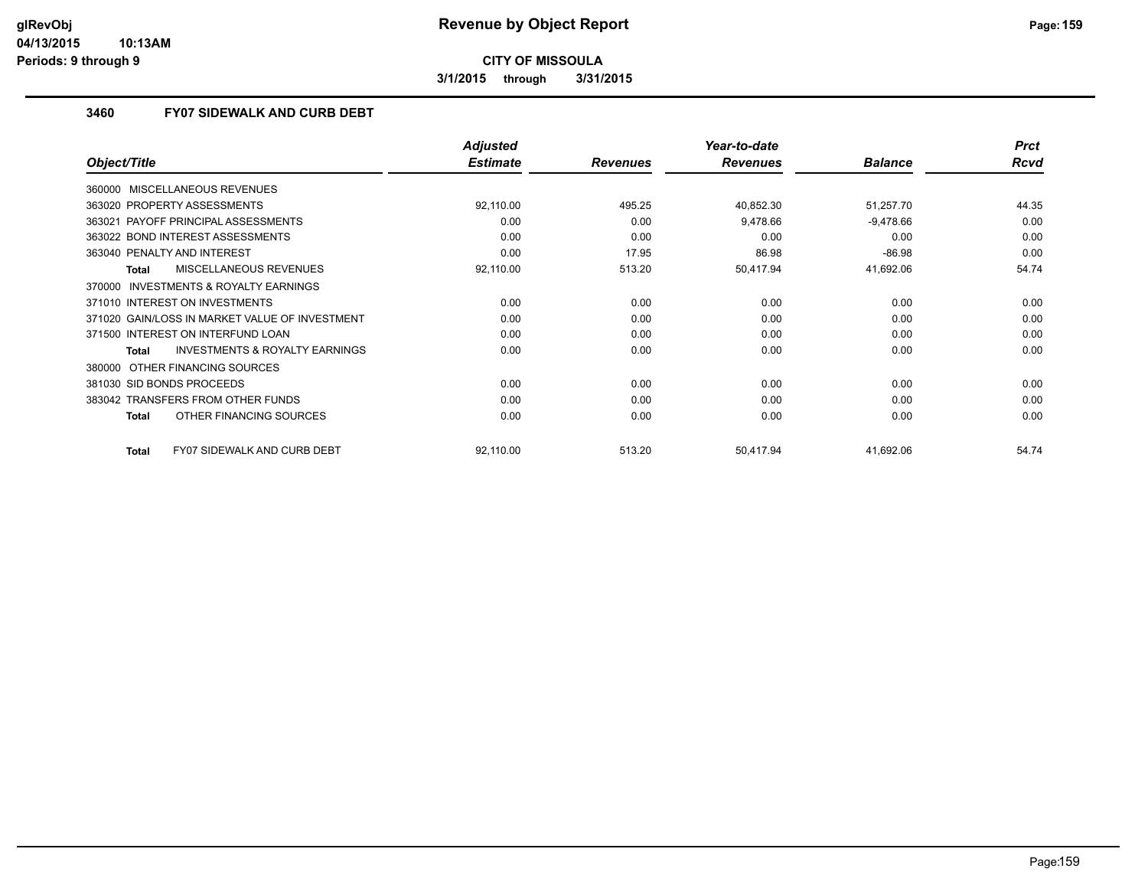**3/1/2015 through 3/31/2015**

### **3460 FY07 SIDEWALK AND CURB DEBT**

|                                                           | <b>Adjusted</b> |                 | Year-to-date    |                | <b>Prct</b> |
|-----------------------------------------------------------|-----------------|-----------------|-----------------|----------------|-------------|
| Object/Title                                              | <b>Estimate</b> | <b>Revenues</b> | <b>Revenues</b> | <b>Balance</b> | <b>Rcvd</b> |
| 360000 MISCELLANEOUS REVENUES                             |                 |                 |                 |                |             |
| 363020 PROPERTY ASSESSMENTS                               | 92,110.00       | 495.25          | 40,852.30       | 51,257.70      | 44.35       |
| PAYOFF PRINCIPAL ASSESSMENTS<br>363021                    | 0.00            | 0.00            | 9,478.66        | $-9,478.66$    | 0.00        |
| 363022 BOND INTEREST ASSESSMENTS                          | 0.00            | 0.00            | 0.00            | 0.00           | 0.00        |
| 363040 PENALTY AND INTEREST                               | 0.00            | 17.95           | 86.98           | $-86.98$       | 0.00        |
| MISCELLANEOUS REVENUES<br>Total                           | 92,110.00       | 513.20          | 50,417.94       | 41,692.06      | 54.74       |
| 370000 INVESTMENTS & ROYALTY EARNINGS                     |                 |                 |                 |                |             |
| 371010 INTEREST ON INVESTMENTS                            | 0.00            | 0.00            | 0.00            | 0.00           | 0.00        |
| 371020 GAIN/LOSS IN MARKET VALUE OF INVESTMENT            | 0.00            | 0.00            | 0.00            | 0.00           | 0.00        |
| 371500 INTEREST ON INTERFUND LOAN                         | 0.00            | 0.00            | 0.00            | 0.00           | 0.00        |
| <b>INVESTMENTS &amp; ROYALTY EARNINGS</b><br><b>Total</b> | 0.00            | 0.00            | 0.00            | 0.00           | 0.00        |
| 380000 OTHER FINANCING SOURCES                            |                 |                 |                 |                |             |
| 381030 SID BONDS PROCEEDS                                 | 0.00            | 0.00            | 0.00            | 0.00           | 0.00        |
| 383042 TRANSFERS FROM OTHER FUNDS                         | 0.00            | 0.00            | 0.00            | 0.00           | 0.00        |
| OTHER FINANCING SOURCES<br>Total                          | 0.00            | 0.00            | 0.00            | 0.00           | 0.00        |
| <b>FY07 SIDEWALK AND CURB DEBT</b><br><b>Total</b>        | 92,110.00       | 513.20          | 50,417.94       | 41,692.06      | 54.74       |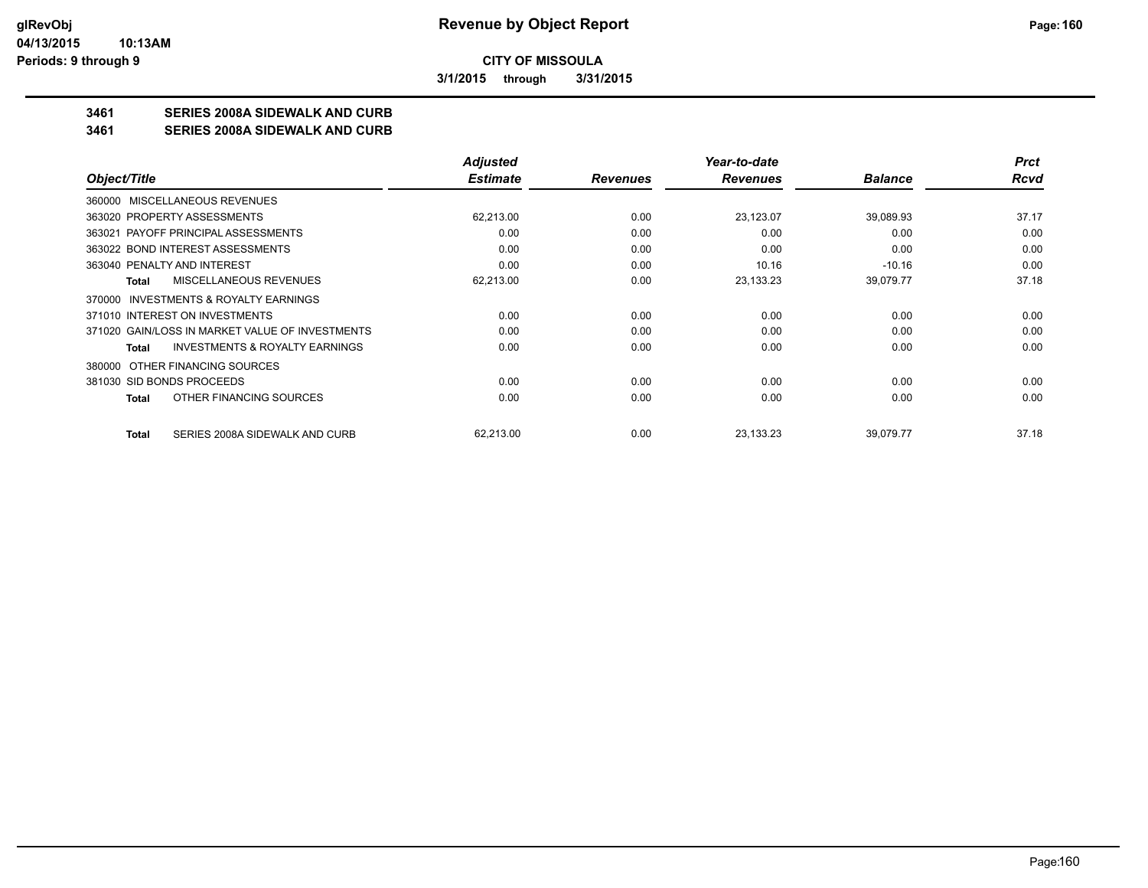**3/1/2015 through 3/31/2015**

## **3461 SERIES 2008A SIDEWALK AND CURB**

#### **3461 SERIES 2008A SIDEWALK AND CURB**

|                                                    | <b>Adjusted</b> |                 | Year-to-date    |                | <b>Prct</b> |
|----------------------------------------------------|-----------------|-----------------|-----------------|----------------|-------------|
| Object/Title                                       | <b>Estimate</b> | <b>Revenues</b> | <b>Revenues</b> | <b>Balance</b> | <b>Rcvd</b> |
| 360000 MISCELLANEOUS REVENUES                      |                 |                 |                 |                |             |
| 363020 PROPERTY ASSESSMENTS                        | 62,213.00       | 0.00            | 23,123.07       | 39,089.93      | 37.17       |
| 363021 PAYOFF PRINCIPAL ASSESSMENTS                | 0.00            | 0.00            | 0.00            | 0.00           | 0.00        |
| 363022 BOND INTEREST ASSESSMENTS                   | 0.00            | 0.00            | 0.00            | 0.00           | 0.00        |
| 363040 PENALTY AND INTEREST                        | 0.00            | 0.00            | 10.16           | $-10.16$       | 0.00        |
| MISCELLANEOUS REVENUES<br><b>Total</b>             | 62,213.00       | 0.00            | 23,133.23       | 39,079.77      | 37.18       |
| 370000 INVESTMENTS & ROYALTY EARNINGS              |                 |                 |                 |                |             |
| 371010 INTEREST ON INVESTMENTS                     | 0.00            | 0.00            | 0.00            | 0.00           | 0.00        |
| 371020 GAIN/LOSS IN MARKET VALUE OF INVESTMENTS    | 0.00            | 0.00            | 0.00            | 0.00           | 0.00        |
| <b>INVESTMENTS &amp; ROYALTY EARNINGS</b><br>Total | 0.00            | 0.00            | 0.00            | 0.00           | 0.00        |
| OTHER FINANCING SOURCES<br>380000                  |                 |                 |                 |                |             |
| 381030 SID BONDS PROCEEDS                          | 0.00            | 0.00            | 0.00            | 0.00           | 0.00        |
| OTHER FINANCING SOURCES<br><b>Total</b>            | 0.00            | 0.00            | 0.00            | 0.00           | 0.00        |
| SERIES 2008A SIDEWALK AND CURB<br><b>Total</b>     | 62,213.00       | 0.00            | 23,133.23       | 39,079.77      | 37.18       |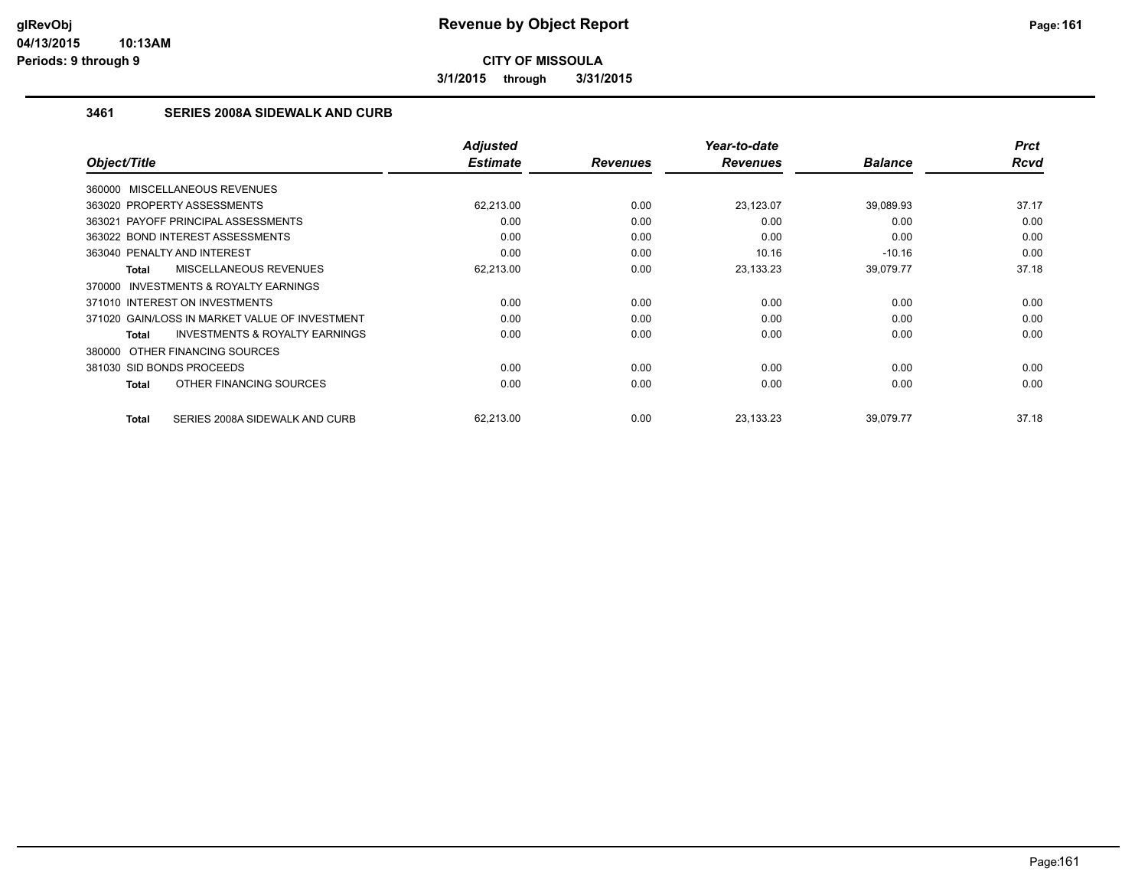**3/1/2015 through 3/31/2015**

## **3461 SERIES 2008A SIDEWALK AND CURB**

| Object/Title                                        | <b>Adjusted</b><br><b>Estimate</b> | <b>Revenues</b> | Year-to-date<br><b>Revenues</b> | <b>Balance</b> | <b>Prct</b><br><b>Rcvd</b> |
|-----------------------------------------------------|------------------------------------|-----------------|---------------------------------|----------------|----------------------------|
|                                                     |                                    |                 |                                 |                |                            |
| 360000 MISCELLANEOUS REVENUES                       |                                    |                 |                                 |                |                            |
| 363020 PROPERTY ASSESSMENTS                         | 62,213.00                          | 0.00            | 23,123.07                       | 39,089.93      | 37.17                      |
| 363021 PAYOFF PRINCIPAL ASSESSMENTS                 | 0.00                               | 0.00            | 0.00                            | 0.00           | 0.00                       |
| 363022 BOND INTEREST ASSESSMENTS                    | 0.00                               | 0.00            | 0.00                            | 0.00           | 0.00                       |
| 363040 PENALTY AND INTEREST                         | 0.00                               | 0.00            | 10.16                           | $-10.16$       | 0.00                       |
| MISCELLANEOUS REVENUES<br>Total                     | 62,213.00                          | 0.00            | 23,133.23                       | 39,079.77      | 37.18                      |
| <b>INVESTMENTS &amp; ROYALTY EARNINGS</b><br>370000 |                                    |                 |                                 |                |                            |
| 371010 INTEREST ON INVESTMENTS                      | 0.00                               | 0.00            | 0.00                            | 0.00           | 0.00                       |
| 371020 GAIN/LOSS IN MARKET VALUE OF INVESTMENT      | 0.00                               | 0.00            | 0.00                            | 0.00           | 0.00                       |
| <b>INVESTMENTS &amp; ROYALTY EARNINGS</b><br>Total  | 0.00                               | 0.00            | 0.00                            | 0.00           | 0.00                       |
| 380000 OTHER FINANCING SOURCES                      |                                    |                 |                                 |                |                            |
| 381030 SID BONDS PROCEEDS                           | 0.00                               | 0.00            | 0.00                            | 0.00           | 0.00                       |
| OTHER FINANCING SOURCES<br>Total                    | 0.00                               | 0.00            | 0.00                            | 0.00           | 0.00                       |
| SERIES 2008A SIDEWALK AND CURB<br>Total             | 62.213.00                          | 0.00            | 23.133.23                       | 39,079.77      | 37.18                      |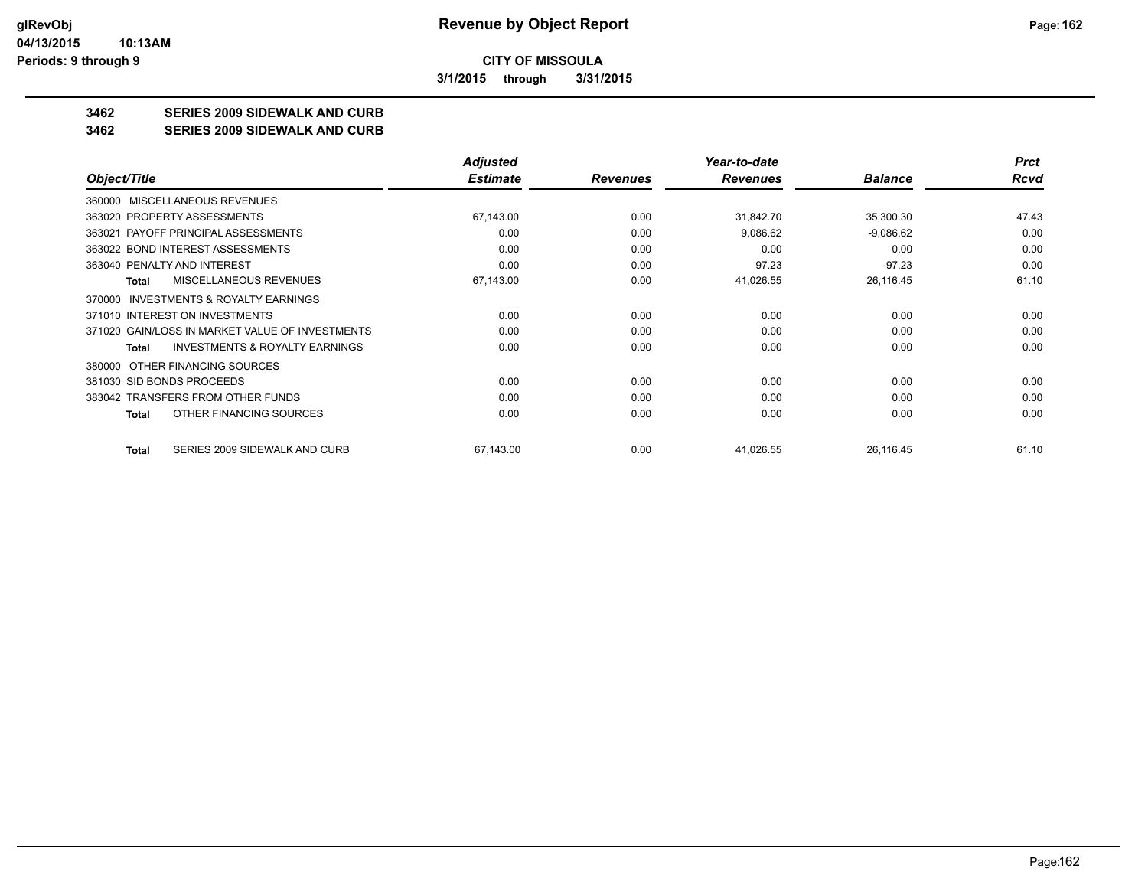**3/1/2015 through 3/31/2015**

## **3462 SERIES 2009 SIDEWALK AND CURB**

#### **3462 SERIES 2009 SIDEWALK AND CURB**

|                                                    | <b>Adjusted</b> |                 | Year-to-date    |                | <b>Prct</b> |
|----------------------------------------------------|-----------------|-----------------|-----------------|----------------|-------------|
| Object/Title                                       | <b>Estimate</b> | <b>Revenues</b> | <b>Revenues</b> | <b>Balance</b> | Rcvd        |
| MISCELLANEOUS REVENUES<br>360000                   |                 |                 |                 |                |             |
| 363020 PROPERTY ASSESSMENTS                        | 67,143.00       | 0.00            | 31,842.70       | 35,300.30      | 47.43       |
| 363021 PAYOFF PRINCIPAL ASSESSMENTS                | 0.00            | 0.00            | 9,086.62        | $-9,086.62$    | 0.00        |
| 363022 BOND INTEREST ASSESSMENTS                   | 0.00            | 0.00            | 0.00            | 0.00           | 0.00        |
| 363040 PENALTY AND INTEREST                        | 0.00            | 0.00            | 97.23           | $-97.23$       | 0.00        |
| MISCELLANEOUS REVENUES<br><b>Total</b>             | 67,143.00       | 0.00            | 41,026.55       | 26,116.45      | 61.10       |
| INVESTMENTS & ROYALTY EARNINGS<br>370000           |                 |                 |                 |                |             |
| 371010 INTEREST ON INVESTMENTS                     | 0.00            | 0.00            | 0.00            | 0.00           | 0.00        |
| 371020 GAIN/LOSS IN MARKET VALUE OF INVESTMENTS    | 0.00            | 0.00            | 0.00            | 0.00           | 0.00        |
| <b>INVESTMENTS &amp; ROYALTY EARNINGS</b><br>Total | 0.00            | 0.00            | 0.00            | 0.00           | 0.00        |
| OTHER FINANCING SOURCES<br>380000                  |                 |                 |                 |                |             |
| 381030 SID BONDS PROCEEDS                          | 0.00            | 0.00            | 0.00            | 0.00           | 0.00        |
| 383042 TRANSFERS FROM OTHER FUNDS                  | 0.00            | 0.00            | 0.00            | 0.00           | 0.00        |
| OTHER FINANCING SOURCES<br><b>Total</b>            | 0.00            | 0.00            | 0.00            | 0.00           | 0.00        |
| SERIES 2009 SIDEWALK AND CURB<br>Total             | 67,143.00       | 0.00            | 41,026.55       | 26,116.45      | 61.10       |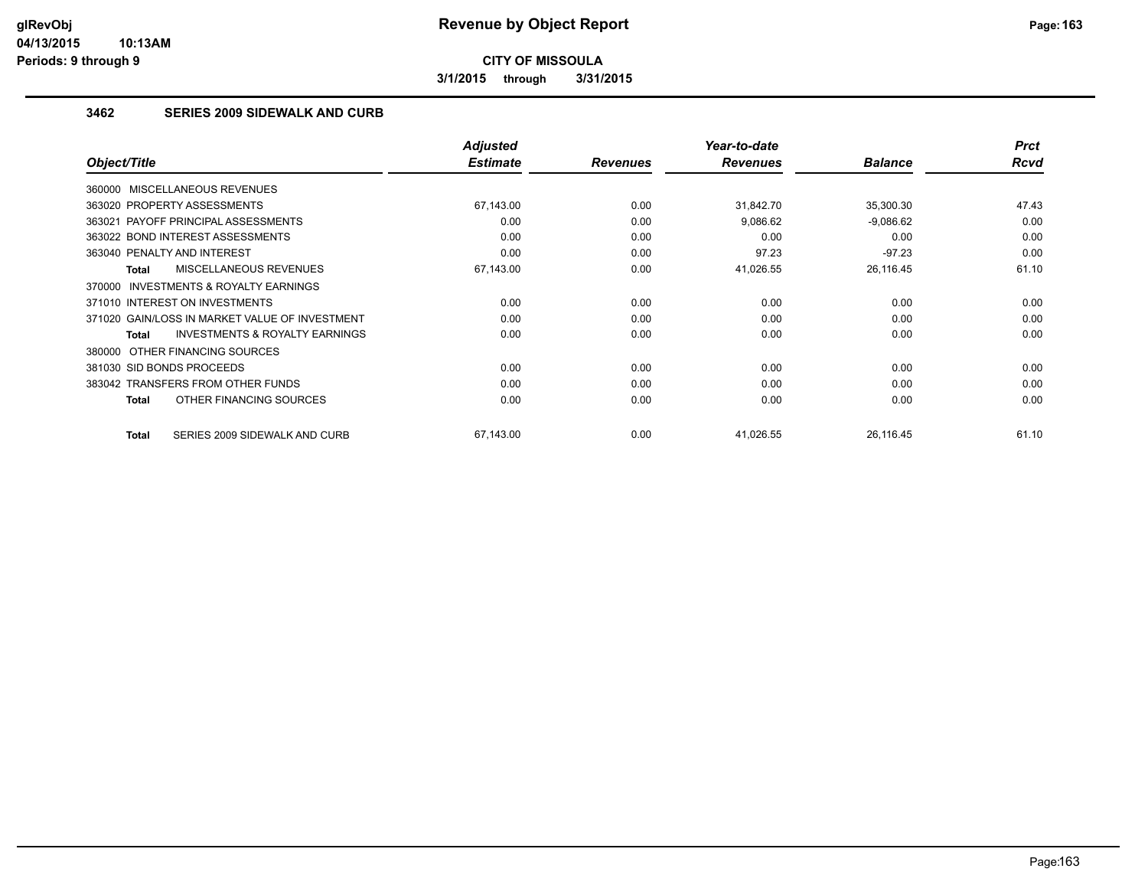**3/1/2015 through 3/31/2015**

## **3462 SERIES 2009 SIDEWALK AND CURB**

|                                                     | <b>Adjusted</b> |                 | Year-to-date    |                | <b>Prct</b> |
|-----------------------------------------------------|-----------------|-----------------|-----------------|----------------|-------------|
| Object/Title                                        | <b>Estimate</b> | <b>Revenues</b> | <b>Revenues</b> | <b>Balance</b> | <b>Rcvd</b> |
| 360000 MISCELLANEOUS REVENUES                       |                 |                 |                 |                |             |
| 363020 PROPERTY ASSESSMENTS                         | 67,143.00       | 0.00            | 31,842.70       | 35,300.30      | 47.43       |
| 363021 PAYOFF PRINCIPAL ASSESSMENTS                 | 0.00            | 0.00            | 9,086.62        | $-9,086.62$    | 0.00        |
| 363022 BOND INTEREST ASSESSMENTS                    | 0.00            | 0.00            | 0.00            | 0.00           | 0.00        |
| 363040 PENALTY AND INTEREST                         | 0.00            | 0.00            | 97.23           | $-97.23$       | 0.00        |
| <b>MISCELLANEOUS REVENUES</b><br>Total              | 67,143.00       | 0.00            | 41,026.55       | 26,116.45      | 61.10       |
| <b>INVESTMENTS &amp; ROYALTY EARNINGS</b><br>370000 |                 |                 |                 |                |             |
| 371010 INTEREST ON INVESTMENTS                      | 0.00            | 0.00            | 0.00            | 0.00           | 0.00        |
| 371020 GAIN/LOSS IN MARKET VALUE OF INVESTMENT      | 0.00            | 0.00            | 0.00            | 0.00           | 0.00        |
| <b>INVESTMENTS &amp; ROYALTY EARNINGS</b><br>Total  | 0.00            | 0.00            | 0.00            | 0.00           | 0.00        |
| 380000 OTHER FINANCING SOURCES                      |                 |                 |                 |                |             |
| 381030 SID BONDS PROCEEDS                           | 0.00            | 0.00            | 0.00            | 0.00           | 0.00        |
| 383042 TRANSFERS FROM OTHER FUNDS                   | 0.00            | 0.00            | 0.00            | 0.00           | 0.00        |
| OTHER FINANCING SOURCES<br>Total                    | 0.00            | 0.00            | 0.00            | 0.00           | 0.00        |
| <b>Total</b><br>SERIES 2009 SIDEWALK AND CURB       | 67,143.00       | 0.00            | 41,026.55       | 26,116.45      | 61.10       |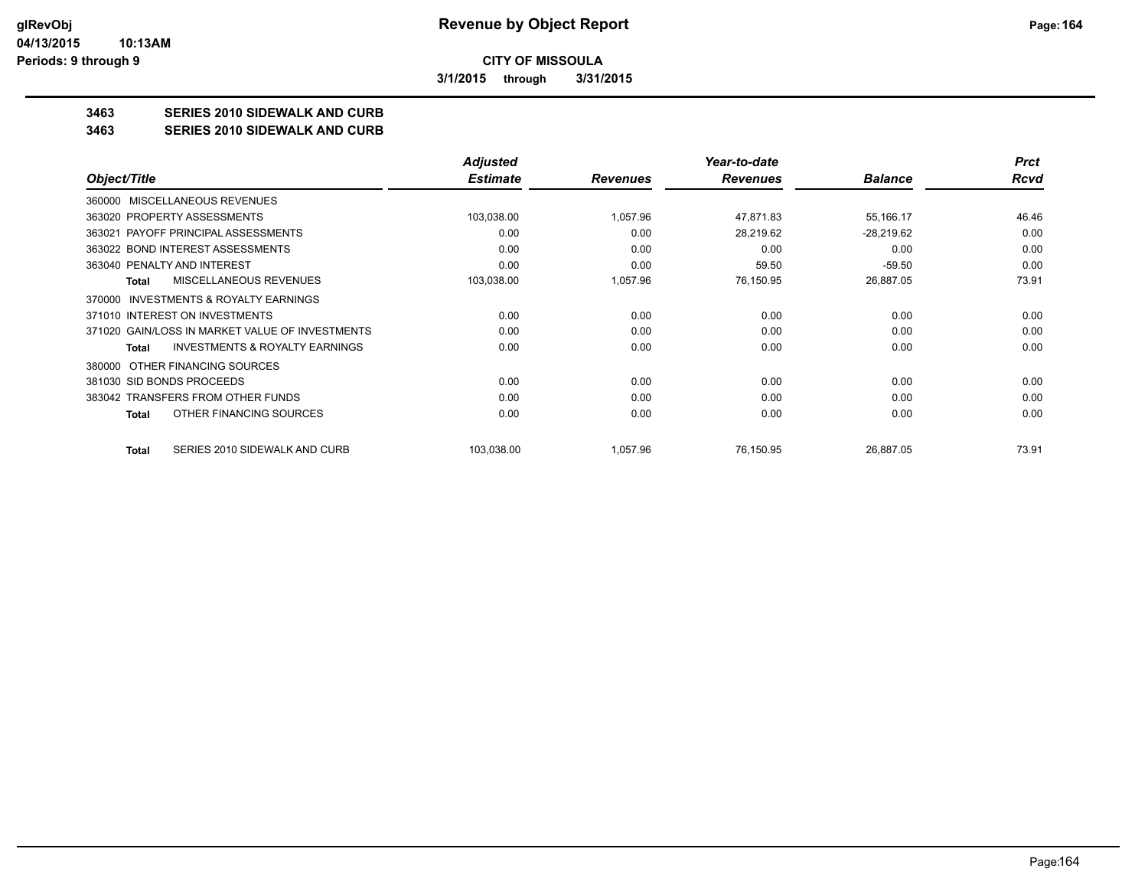**3/1/2015 through 3/31/2015**

## **3463 SERIES 2010 SIDEWALK AND CURB**

#### **3463 SERIES 2010 SIDEWALK AND CURB**

|                                                    | Adjusted        |                 | Year-to-date    |                | <b>Prct</b> |
|----------------------------------------------------|-----------------|-----------------|-----------------|----------------|-------------|
| Object/Title                                       | <b>Estimate</b> | <b>Revenues</b> | <b>Revenues</b> | <b>Balance</b> | Rcvd        |
| <b>MISCELLANEOUS REVENUES</b><br>360000            |                 |                 |                 |                |             |
| 363020 PROPERTY ASSESSMENTS                        | 103,038.00      | 1,057.96        | 47,871.83       | 55,166.17      | 46.46       |
| 363021 PAYOFF PRINCIPAL ASSESSMENTS                | 0.00            | 0.00            | 28.219.62       | $-28,219.62$   | 0.00        |
| 363022 BOND INTEREST ASSESSMENTS                   | 0.00            | 0.00            | 0.00            | 0.00           | 0.00        |
| 363040 PENALTY AND INTEREST                        | 0.00            | 0.00            | 59.50           | $-59.50$       | 0.00        |
| MISCELLANEOUS REVENUES<br><b>Total</b>             | 103,038.00      | 1,057.96        | 76,150.95       | 26,887.05      | 73.91       |
| INVESTMENTS & ROYALTY EARNINGS<br>370000           |                 |                 |                 |                |             |
| 371010 INTEREST ON INVESTMENTS                     | 0.00            | 0.00            | 0.00            | 0.00           | 0.00        |
| 371020 GAIN/LOSS IN MARKET VALUE OF INVESTMENTS    | 0.00            | 0.00            | 0.00            | 0.00           | 0.00        |
| <b>INVESTMENTS &amp; ROYALTY EARNINGS</b><br>Total | 0.00            | 0.00            | 0.00            | 0.00           | 0.00        |
| OTHER FINANCING SOURCES<br>380000                  |                 |                 |                 |                |             |
| 381030 SID BONDS PROCEEDS                          | 0.00            | 0.00            | 0.00            | 0.00           | 0.00        |
| 383042 TRANSFERS FROM OTHER FUNDS                  | 0.00            | 0.00            | 0.00            | 0.00           | 0.00        |
| OTHER FINANCING SOURCES<br><b>Total</b>            | 0.00            | 0.00            | 0.00            | 0.00           | 0.00        |
| SERIES 2010 SIDEWALK AND CURB<br>Total             | 103,038.00      | 1,057.96        | 76,150.95       | 26,887.05      | 73.91       |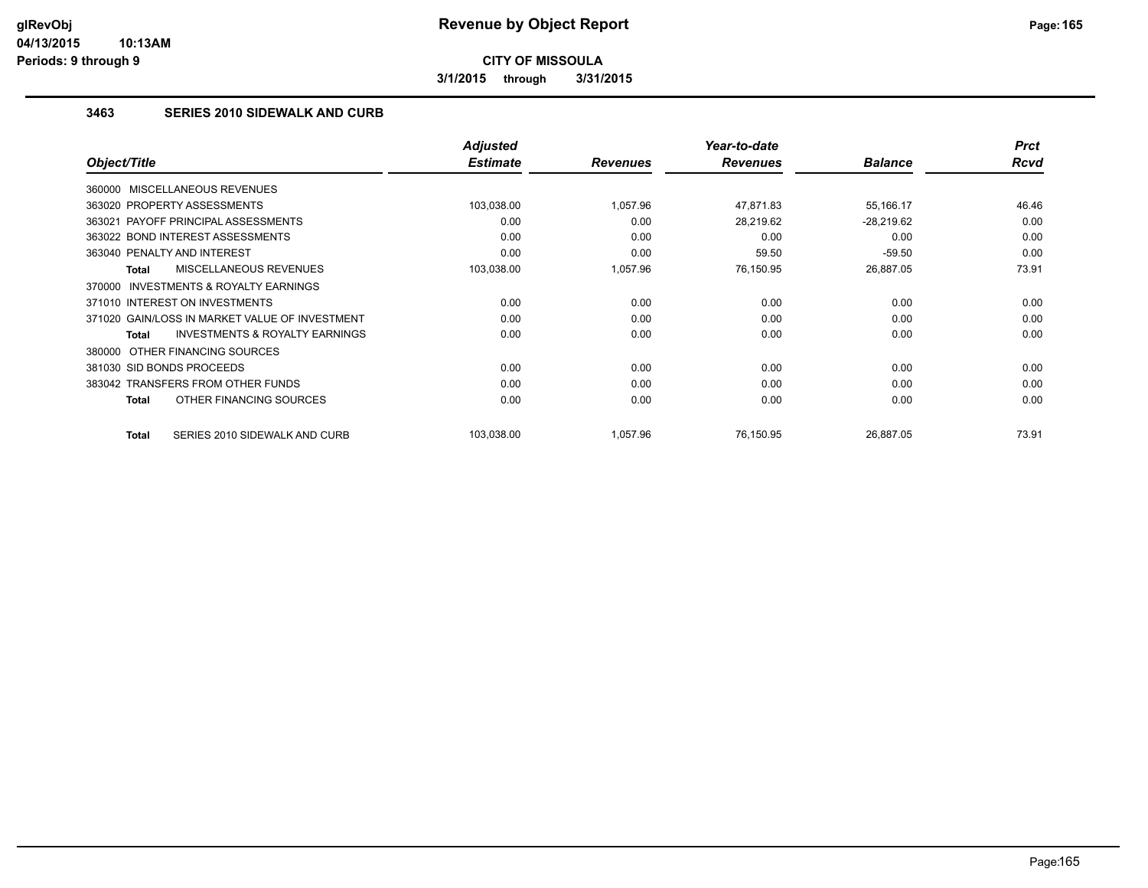**3/1/2015 through 3/31/2015**

## **3463 SERIES 2010 SIDEWALK AND CURB**

|                                                     | <b>Adjusted</b> |                 | Year-to-date    |                | <b>Prct</b> |
|-----------------------------------------------------|-----------------|-----------------|-----------------|----------------|-------------|
| Object/Title                                        | <b>Estimate</b> | <b>Revenues</b> | <b>Revenues</b> | <b>Balance</b> | <b>Rcvd</b> |
| 360000 MISCELLANEOUS REVENUES                       |                 |                 |                 |                |             |
| 363020 PROPERTY ASSESSMENTS                         | 103,038.00      | 1,057.96        | 47,871.83       | 55,166.17      | 46.46       |
| 363021 PAYOFF PRINCIPAL ASSESSMENTS                 | 0.00            | 0.00            | 28,219.62       | $-28,219.62$   | 0.00        |
| 363022 BOND INTEREST ASSESSMENTS                    | 0.00            | 0.00            | 0.00            | 0.00           | 0.00        |
| 363040 PENALTY AND INTEREST                         | 0.00            | 0.00            | 59.50           | $-59.50$       | 0.00        |
| <b>MISCELLANEOUS REVENUES</b><br>Total              | 103,038.00      | 1,057.96        | 76,150.95       | 26,887.05      | 73.91       |
| <b>INVESTMENTS &amp; ROYALTY EARNINGS</b><br>370000 |                 |                 |                 |                |             |
| 371010 INTEREST ON INVESTMENTS                      | 0.00            | 0.00            | 0.00            | 0.00           | 0.00        |
| 371020 GAIN/LOSS IN MARKET VALUE OF INVESTMENT      | 0.00            | 0.00            | 0.00            | 0.00           | 0.00        |
| <b>INVESTMENTS &amp; ROYALTY EARNINGS</b><br>Total  | 0.00            | 0.00            | 0.00            | 0.00           | 0.00        |
| 380000 OTHER FINANCING SOURCES                      |                 |                 |                 |                |             |
| 381030 SID BONDS PROCEEDS                           | 0.00            | 0.00            | 0.00            | 0.00           | 0.00        |
| 383042 TRANSFERS FROM OTHER FUNDS                   | 0.00            | 0.00            | 0.00            | 0.00           | 0.00        |
| OTHER FINANCING SOURCES<br>Total                    | 0.00            | 0.00            | 0.00            | 0.00           | 0.00        |
| <b>Total</b><br>SERIES 2010 SIDEWALK AND CURB       | 103,038.00      | 1,057.96        | 76,150.95       | 26,887.05      | 73.91       |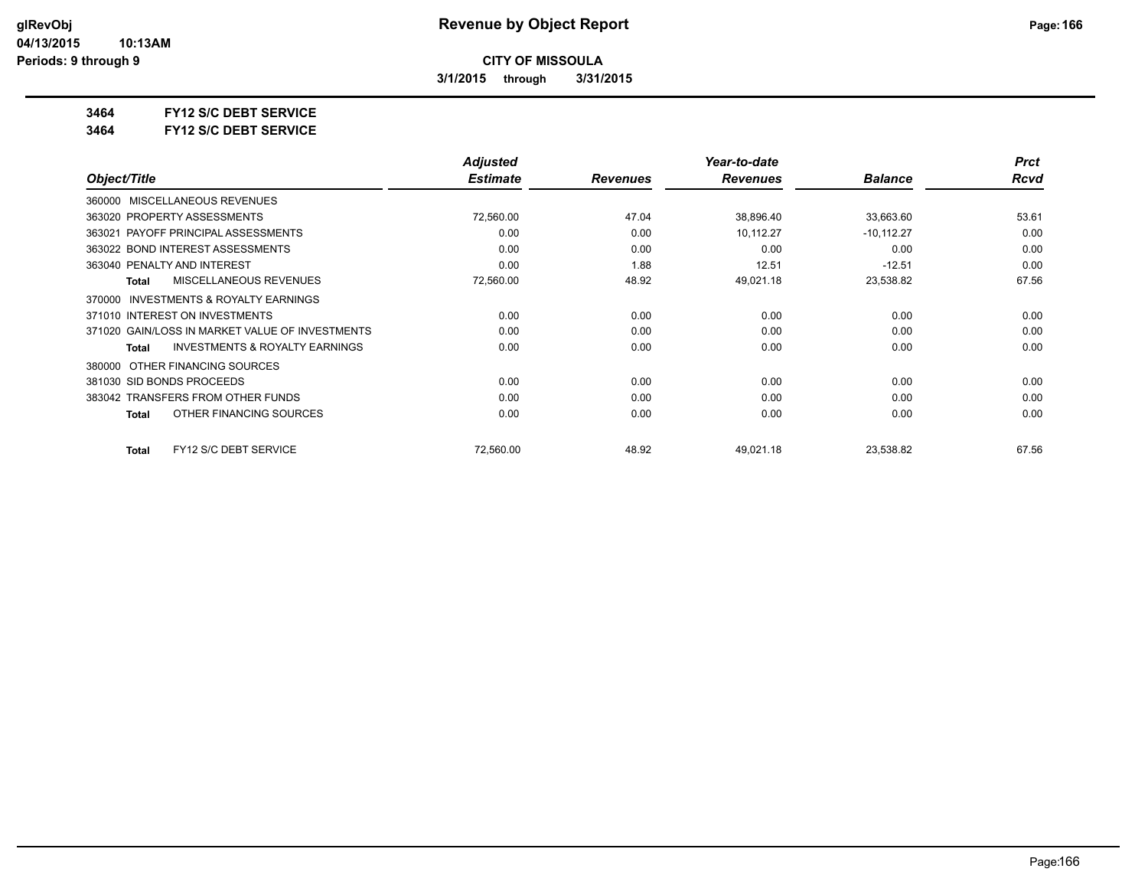**3/1/2015 through 3/31/2015**

**3464 FY12 S/C DEBT SERVICE**

**3464 FY12 S/C DEBT SERVICE**

|                                                           | <b>Adjusted</b> |                 | Year-to-date    |                | <b>Prct</b> |
|-----------------------------------------------------------|-----------------|-----------------|-----------------|----------------|-------------|
| Object/Title                                              | <b>Estimate</b> | <b>Revenues</b> | <b>Revenues</b> | <b>Balance</b> | Rcvd        |
| MISCELLANEOUS REVENUES<br>360000                          |                 |                 |                 |                |             |
| 363020 PROPERTY ASSESSMENTS                               | 72,560.00       | 47.04           | 38,896.40       | 33,663.60      | 53.61       |
| 363021 PAYOFF PRINCIPAL ASSESSMENTS                       | 0.00            | 0.00            | 10.112.27       | $-10, 112.27$  | 0.00        |
| 363022 BOND INTEREST ASSESSMENTS                          | 0.00            | 0.00            | 0.00            | 0.00           | 0.00        |
| 363040 PENALTY AND INTEREST                               | 0.00            | 1.88            | 12.51           | $-12.51$       | 0.00        |
| <b>MISCELLANEOUS REVENUES</b><br><b>Total</b>             | 72,560.00       | 48.92           | 49,021.18       | 23,538.82      | 67.56       |
| INVESTMENTS & ROYALTY EARNINGS<br>370000                  |                 |                 |                 |                |             |
| 371010 INTEREST ON INVESTMENTS                            | 0.00            | 0.00            | 0.00            | 0.00           | 0.00        |
| 371020 GAIN/LOSS IN MARKET VALUE OF INVESTMENTS           | 0.00            | 0.00            | 0.00            | 0.00           | 0.00        |
| <b>INVESTMENTS &amp; ROYALTY EARNINGS</b><br><b>Total</b> | 0.00            | 0.00            | 0.00            | 0.00           | 0.00        |
| OTHER FINANCING SOURCES<br>380000                         |                 |                 |                 |                |             |
| 381030 SID BONDS PROCEEDS                                 | 0.00            | 0.00            | 0.00            | 0.00           | 0.00        |
| 383042 TRANSFERS FROM OTHER FUNDS                         | 0.00            | 0.00            | 0.00            | 0.00           | 0.00        |
| OTHER FINANCING SOURCES<br><b>Total</b>                   | 0.00            | 0.00            | 0.00            | 0.00           | 0.00        |
| FY12 S/C DEBT SERVICE<br><b>Total</b>                     | 72,560.00       | 48.92           | 49,021.18       | 23,538.82      | 67.56       |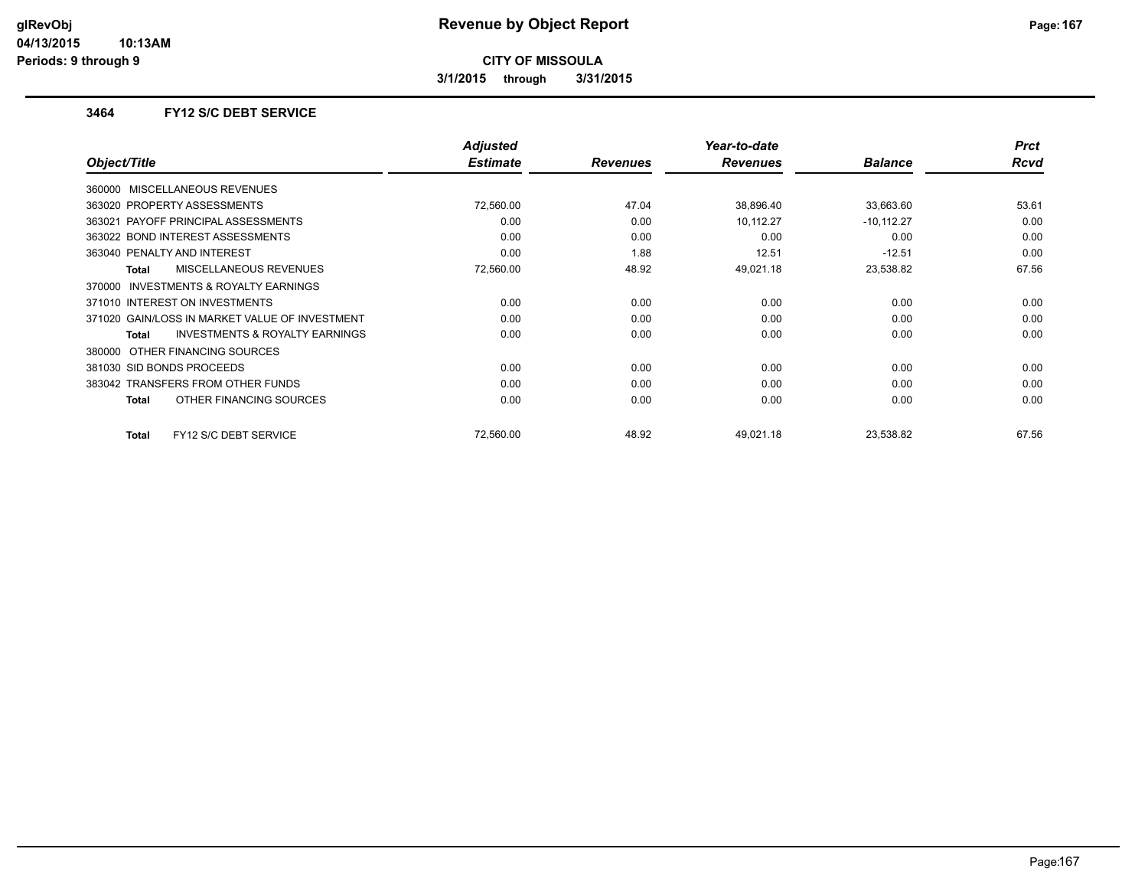**3/1/2015 through 3/31/2015**

### **3464 FY12 S/C DEBT SERVICE**

|                                                     | <b>Adjusted</b> |                 | Year-to-date    |                | <b>Prct</b> |
|-----------------------------------------------------|-----------------|-----------------|-----------------|----------------|-------------|
| Object/Title                                        | <b>Estimate</b> | <b>Revenues</b> | <b>Revenues</b> | <b>Balance</b> | Rcvd        |
| 360000 MISCELLANEOUS REVENUES                       |                 |                 |                 |                |             |
| 363020 PROPERTY ASSESSMENTS                         | 72,560.00       | 47.04           | 38,896.40       | 33,663.60      | 53.61       |
| 363021 PAYOFF PRINCIPAL ASSESSMENTS                 | 0.00            | 0.00            | 10,112.27       | $-10,112.27$   | 0.00        |
| 363022 BOND INTEREST ASSESSMENTS                    | 0.00            | 0.00            | 0.00            | 0.00           | 0.00        |
| 363040 PENALTY AND INTEREST                         | 0.00            | 1.88            | 12.51           | $-12.51$       | 0.00        |
| MISCELLANEOUS REVENUES<br>Total                     | 72,560.00       | 48.92           | 49,021.18       | 23,538.82      | 67.56       |
| <b>INVESTMENTS &amp; ROYALTY EARNINGS</b><br>370000 |                 |                 |                 |                |             |
| 371010 INTEREST ON INVESTMENTS                      | 0.00            | 0.00            | 0.00            | 0.00           | 0.00        |
| 371020 GAIN/LOSS IN MARKET VALUE OF INVESTMENT      | 0.00            | 0.00            | 0.00            | 0.00           | 0.00        |
| <b>INVESTMENTS &amp; ROYALTY EARNINGS</b><br>Total  | 0.00            | 0.00            | 0.00            | 0.00           | 0.00        |
| 380000 OTHER FINANCING SOURCES                      |                 |                 |                 |                |             |
| 381030 SID BONDS PROCEEDS                           | 0.00            | 0.00            | 0.00            | 0.00           | 0.00        |
| 383042 TRANSFERS FROM OTHER FUNDS                   | 0.00            | 0.00            | 0.00            | 0.00           | 0.00        |
| OTHER FINANCING SOURCES<br>Total                    | 0.00            | 0.00            | 0.00            | 0.00           | 0.00        |
|                                                     |                 |                 |                 |                |             |
| FY12 S/C DEBT SERVICE<br>Total                      | 72,560.00       | 48.92           | 49,021.18       | 23,538.82      | 67.56       |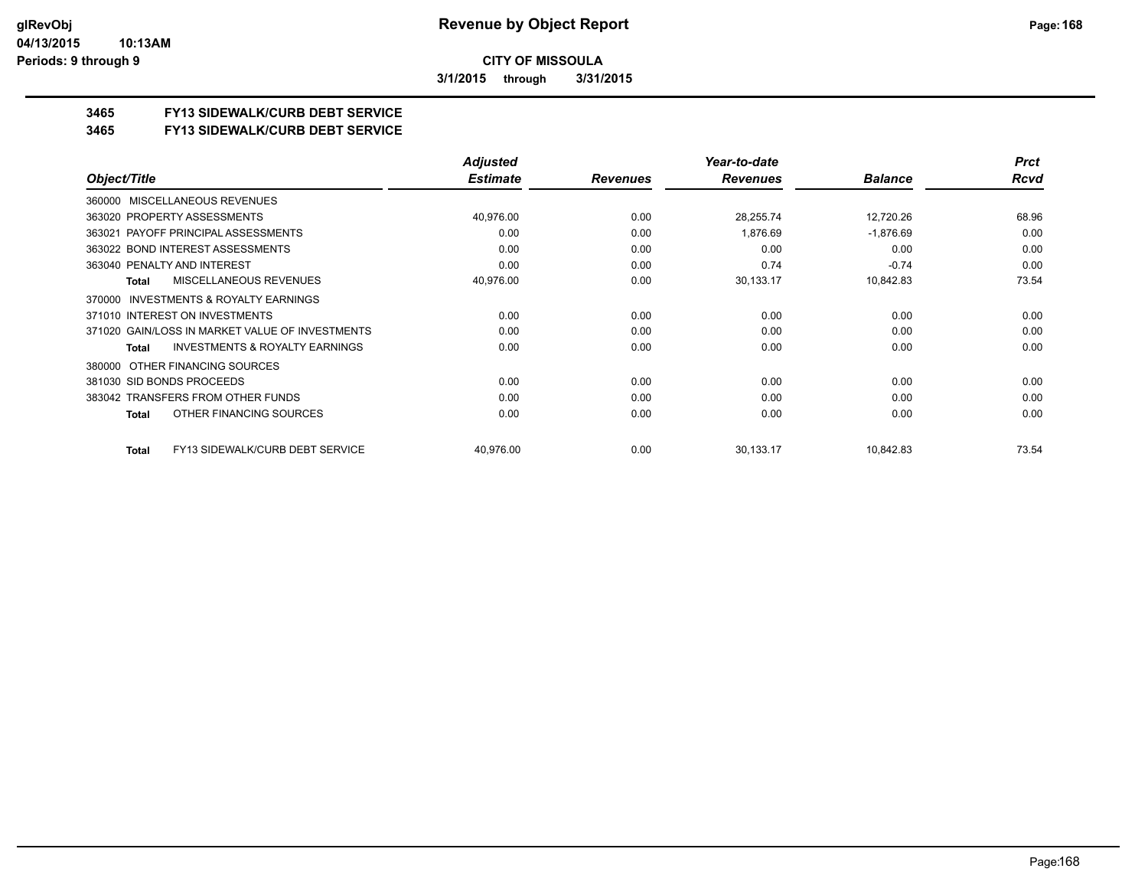**3/1/2015 through 3/31/2015**

## **3465 FY13 SIDEWALK/CURB DEBT SERVICE**

#### **3465 FY13 SIDEWALK/CURB DEBT SERVICE**

|                                                     | Adjusted        |                 | Year-to-date    |                | <b>Prct</b> |
|-----------------------------------------------------|-----------------|-----------------|-----------------|----------------|-------------|
| Object/Title                                        | <b>Estimate</b> | <b>Revenues</b> | <b>Revenues</b> | <b>Balance</b> | Rcvd        |
| 360000 MISCELLANEOUS REVENUES                       |                 |                 |                 |                |             |
| 363020 PROPERTY ASSESSMENTS                         | 40,976.00       | 0.00            | 28,255.74       | 12,720.26      | 68.96       |
| PAYOFF PRINCIPAL ASSESSMENTS<br>363021              | 0.00            | 0.00            | 1,876.69        | $-1,876.69$    | 0.00        |
| 363022 BOND INTEREST ASSESSMENTS                    | 0.00            | 0.00            | 0.00            | 0.00           | 0.00        |
| 363040 PENALTY AND INTEREST                         | 0.00            | 0.00            | 0.74            | $-0.74$        | 0.00        |
| <b>MISCELLANEOUS REVENUES</b><br>Total              | 40,976.00       | 0.00            | 30,133.17       | 10,842.83      | 73.54       |
| <b>INVESTMENTS &amp; ROYALTY EARNINGS</b><br>370000 |                 |                 |                 |                |             |
| 371010 INTEREST ON INVESTMENTS                      | 0.00            | 0.00            | 0.00            | 0.00           | 0.00        |
| 371020 GAIN/LOSS IN MARKET VALUE OF INVESTMENTS     | 0.00            | 0.00            | 0.00            | 0.00           | 0.00        |
| <b>INVESTMENTS &amp; ROYALTY EARNINGS</b><br>Total  | 0.00            | 0.00            | 0.00            | 0.00           | 0.00        |
| 380000 OTHER FINANCING SOURCES                      |                 |                 |                 |                |             |
| 381030 SID BONDS PROCEEDS                           | 0.00            | 0.00            | 0.00            | 0.00           | 0.00        |
| 383042 TRANSFERS FROM OTHER FUNDS                   | 0.00            | 0.00            | 0.00            | 0.00           | 0.00        |
| OTHER FINANCING SOURCES<br>Total                    | 0.00            | 0.00            | 0.00            | 0.00           | 0.00        |
| FY13 SIDEWALK/CURB DEBT SERVICE<br>Total            | 40,976.00       | 0.00            | 30,133.17       | 10,842.83      | 73.54       |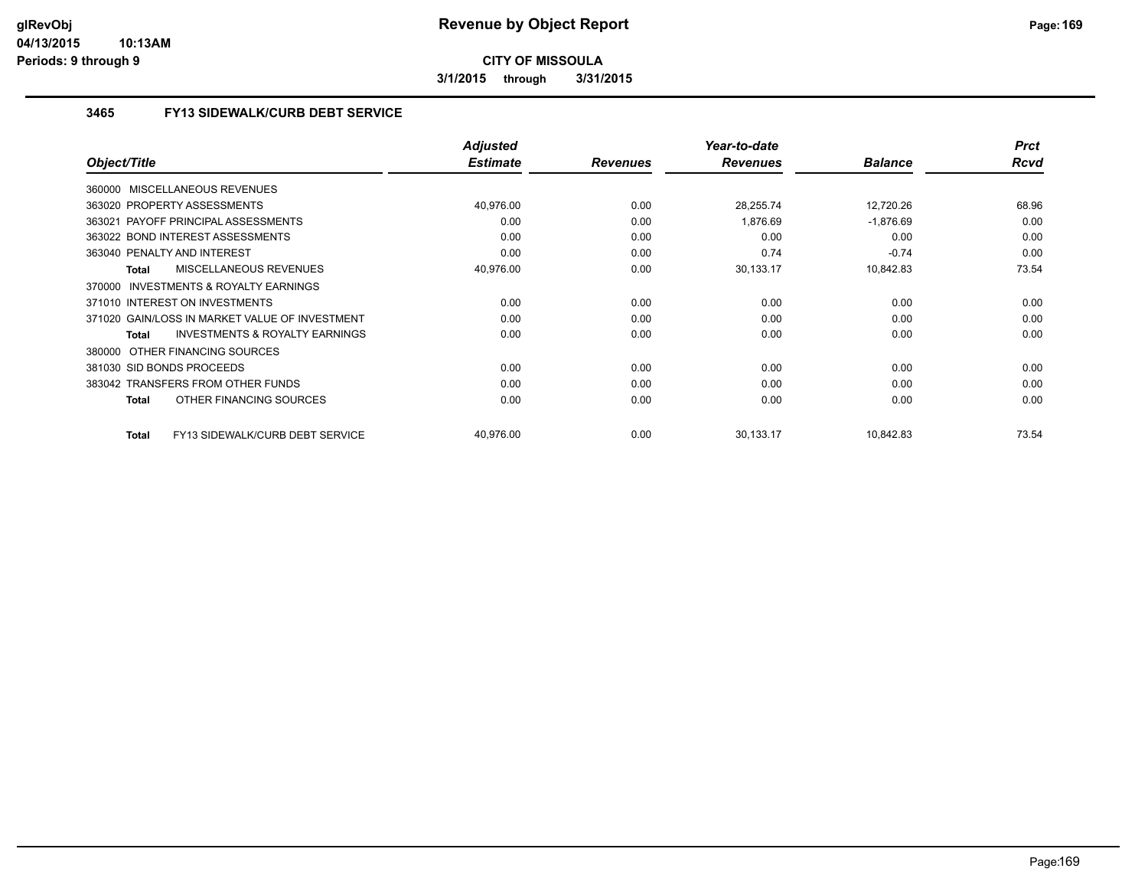**3/1/2015 through 3/31/2015**

## **3465 FY13 SIDEWALK/CURB DEBT SERVICE**

|                                                           | <b>Adjusted</b> |                 | Year-to-date    |                | <b>Prct</b> |
|-----------------------------------------------------------|-----------------|-----------------|-----------------|----------------|-------------|
| Object/Title                                              | <b>Estimate</b> | <b>Revenues</b> | <b>Revenues</b> | <b>Balance</b> | <b>Rcvd</b> |
| 360000 MISCELLANEOUS REVENUES                             |                 |                 |                 |                |             |
| 363020 PROPERTY ASSESSMENTS                               | 40,976.00       | 0.00            | 28,255.74       | 12,720.26      | 68.96       |
| 363021 PAYOFF PRINCIPAL ASSESSMENTS                       | 0.00            | 0.00            | 1,876.69        | $-1,876.69$    | 0.00        |
| 363022 BOND INTEREST ASSESSMENTS                          | 0.00            | 0.00            | 0.00            | 0.00           | 0.00        |
| 363040 PENALTY AND INTEREST                               | 0.00            | 0.00            | 0.74            | $-0.74$        | 0.00        |
| MISCELLANEOUS REVENUES<br><b>Total</b>                    | 40,976.00       | 0.00            | 30,133.17       | 10,842.83      | 73.54       |
| 370000 INVESTMENTS & ROYALTY EARNINGS                     |                 |                 |                 |                |             |
| 371010 INTEREST ON INVESTMENTS                            | 0.00            | 0.00            | 0.00            | 0.00           | 0.00        |
| 371020 GAIN/LOSS IN MARKET VALUE OF INVESTMENT            | 0.00            | 0.00            | 0.00            | 0.00           | 0.00        |
| <b>INVESTMENTS &amp; ROYALTY EARNINGS</b><br><b>Total</b> | 0.00            | 0.00            | 0.00            | 0.00           | 0.00        |
| OTHER FINANCING SOURCES<br>380000                         |                 |                 |                 |                |             |
| 381030 SID BONDS PROCEEDS                                 | 0.00            | 0.00            | 0.00            | 0.00           | 0.00        |
| 383042 TRANSFERS FROM OTHER FUNDS                         | 0.00            | 0.00            | 0.00            | 0.00           | 0.00        |
| OTHER FINANCING SOURCES<br><b>Total</b>                   | 0.00            | 0.00            | 0.00            | 0.00           | 0.00        |
| FY13 SIDEWALK/CURB DEBT SERVICE<br><b>Total</b>           | 40,976.00       | 0.00            | 30,133.17       | 10,842.83      | 73.54       |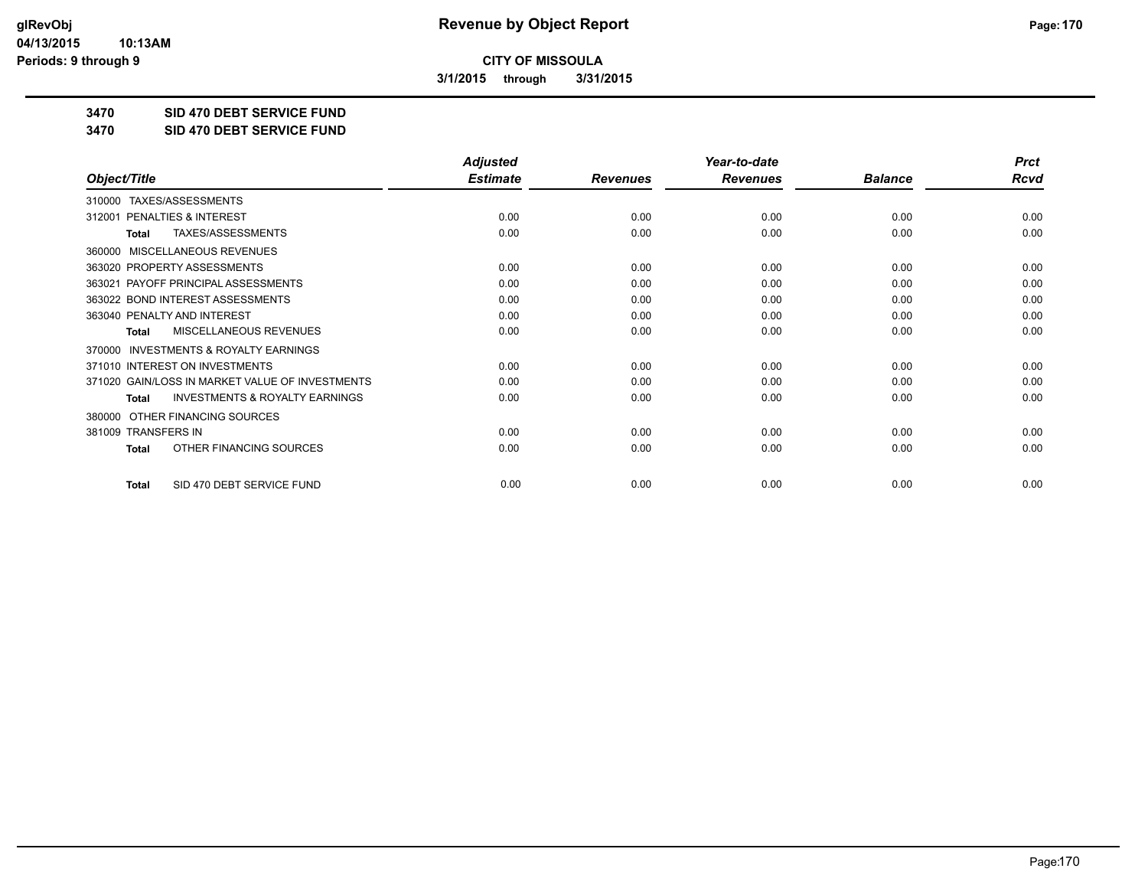**3/1/2015 through 3/31/2015**

**3470 SID 470 DEBT SERVICE FUND**

**3470 SID 470 DEBT SERVICE FUND**

|                                                           | <b>Adjusted</b> |                 | Year-to-date    |                | <b>Prct</b> |
|-----------------------------------------------------------|-----------------|-----------------|-----------------|----------------|-------------|
| Object/Title                                              | <b>Estimate</b> | <b>Revenues</b> | <b>Revenues</b> | <b>Balance</b> | <b>Rcvd</b> |
| TAXES/ASSESSMENTS<br>310000                               |                 |                 |                 |                |             |
| PENALTIES & INTEREST<br>312001                            | 0.00            | 0.00            | 0.00            | 0.00           | 0.00        |
| TAXES/ASSESSMENTS<br><b>Total</b>                         | 0.00            | 0.00            | 0.00            | 0.00           | 0.00        |
| MISCELLANEOUS REVENUES<br>360000                          |                 |                 |                 |                |             |
| 363020 PROPERTY ASSESSMENTS                               | 0.00            | 0.00            | 0.00            | 0.00           | 0.00        |
| 363021 PAYOFF PRINCIPAL ASSESSMENTS                       | 0.00            | 0.00            | 0.00            | 0.00           | 0.00        |
| 363022 BOND INTEREST ASSESSMENTS                          | 0.00            | 0.00            | 0.00            | 0.00           | 0.00        |
| 363040 PENALTY AND INTEREST                               | 0.00            | 0.00            | 0.00            | 0.00           | 0.00        |
| MISCELLANEOUS REVENUES<br><b>Total</b>                    | 0.00            | 0.00            | 0.00            | 0.00           | 0.00        |
| <b>INVESTMENTS &amp; ROYALTY EARNINGS</b><br>370000       |                 |                 |                 |                |             |
| 371010 INTEREST ON INVESTMENTS                            | 0.00            | 0.00            | 0.00            | 0.00           | 0.00        |
| 371020 GAIN/LOSS IN MARKET VALUE OF INVESTMENTS           | 0.00            | 0.00            | 0.00            | 0.00           | 0.00        |
| <b>INVESTMENTS &amp; ROYALTY EARNINGS</b><br><b>Total</b> | 0.00            | 0.00            | 0.00            | 0.00           | 0.00        |
| OTHER FINANCING SOURCES<br>380000                         |                 |                 |                 |                |             |
| 381009 TRANSFERS IN                                       | 0.00            | 0.00            | 0.00            | 0.00           | 0.00        |
| OTHER FINANCING SOURCES<br><b>Total</b>                   | 0.00            | 0.00            | 0.00            | 0.00           | 0.00        |
| SID 470 DEBT SERVICE FUND<br><b>Total</b>                 | 0.00            | 0.00            | 0.00            | 0.00           | 0.00        |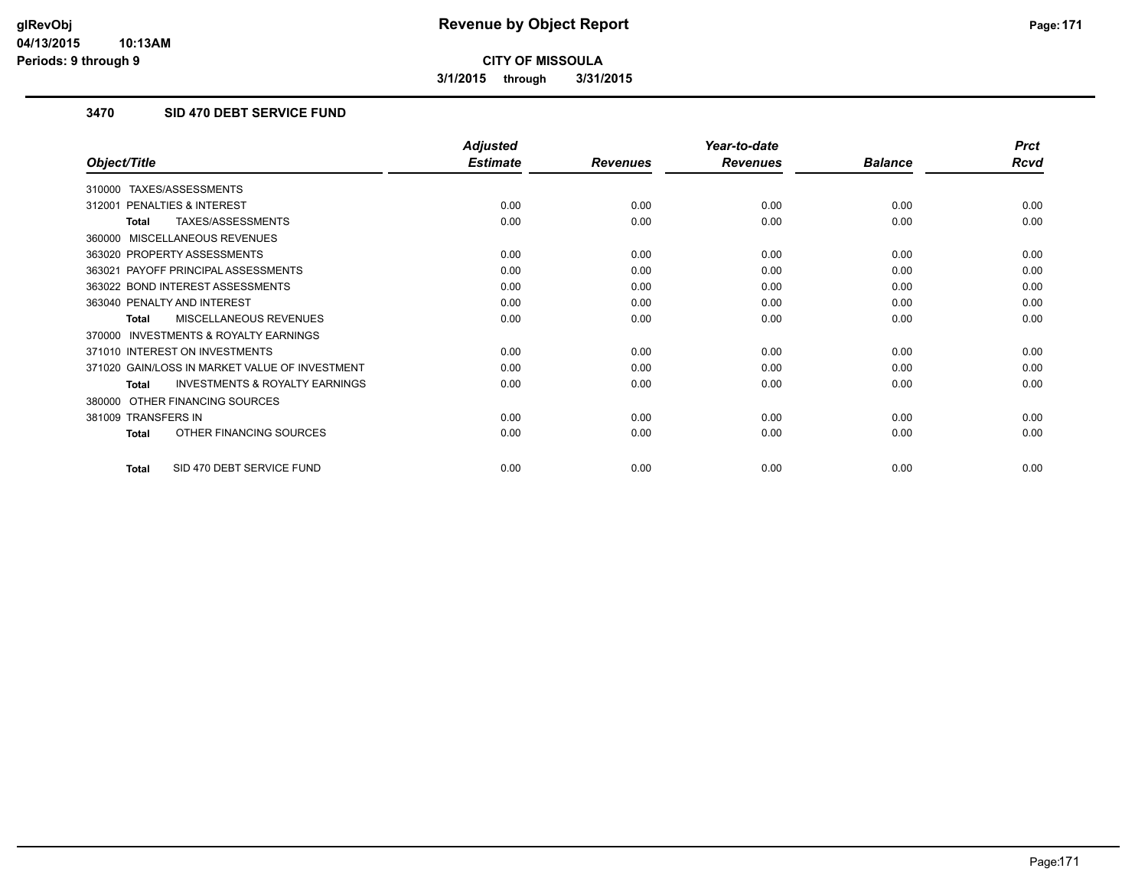**3/1/2015 through 3/31/2015**

## **3470 SID 470 DEBT SERVICE FUND**

|                                                           | <b>Adjusted</b> |                 | Year-to-date    |                | <b>Prct</b> |
|-----------------------------------------------------------|-----------------|-----------------|-----------------|----------------|-------------|
| Object/Title                                              | <b>Estimate</b> | <b>Revenues</b> | <b>Revenues</b> | <b>Balance</b> | <b>Rcvd</b> |
| TAXES/ASSESSMENTS<br>310000                               |                 |                 |                 |                |             |
| PENALTIES & INTEREST<br>312001                            | 0.00            | 0.00            | 0.00            | 0.00           | 0.00        |
| TAXES/ASSESSMENTS<br>Total                                | 0.00            | 0.00            | 0.00            | 0.00           | 0.00        |
| MISCELLANEOUS REVENUES<br>360000                          |                 |                 |                 |                |             |
| 363020 PROPERTY ASSESSMENTS                               | 0.00            | 0.00            | 0.00            | 0.00           | 0.00        |
| 363021 PAYOFF PRINCIPAL ASSESSMENTS                       | 0.00            | 0.00            | 0.00            | 0.00           | 0.00        |
| 363022 BOND INTEREST ASSESSMENTS                          | 0.00            | 0.00            | 0.00            | 0.00           | 0.00        |
| 363040 PENALTY AND INTEREST                               | 0.00            | 0.00            | 0.00            | 0.00           | 0.00        |
| <b>MISCELLANEOUS REVENUES</b><br><b>Total</b>             | 0.00            | 0.00            | 0.00            | 0.00           | 0.00        |
| <b>INVESTMENTS &amp; ROYALTY EARNINGS</b><br>370000       |                 |                 |                 |                |             |
| 371010 INTEREST ON INVESTMENTS                            | 0.00            | 0.00            | 0.00            | 0.00           | 0.00        |
| 371020 GAIN/LOSS IN MARKET VALUE OF INVESTMENT            | 0.00            | 0.00            | 0.00            | 0.00           | 0.00        |
| <b>INVESTMENTS &amp; ROYALTY EARNINGS</b><br><b>Total</b> | 0.00            | 0.00            | 0.00            | 0.00           | 0.00        |
| OTHER FINANCING SOURCES<br>380000                         |                 |                 |                 |                |             |
| 381009 TRANSFERS IN                                       | 0.00            | 0.00            | 0.00            | 0.00           | 0.00        |
| OTHER FINANCING SOURCES<br><b>Total</b>                   | 0.00            | 0.00            | 0.00            | 0.00           | 0.00        |
| SID 470 DEBT SERVICE FUND<br><b>Total</b>                 | 0.00            | 0.00            | 0.00            | 0.00           | 0.00        |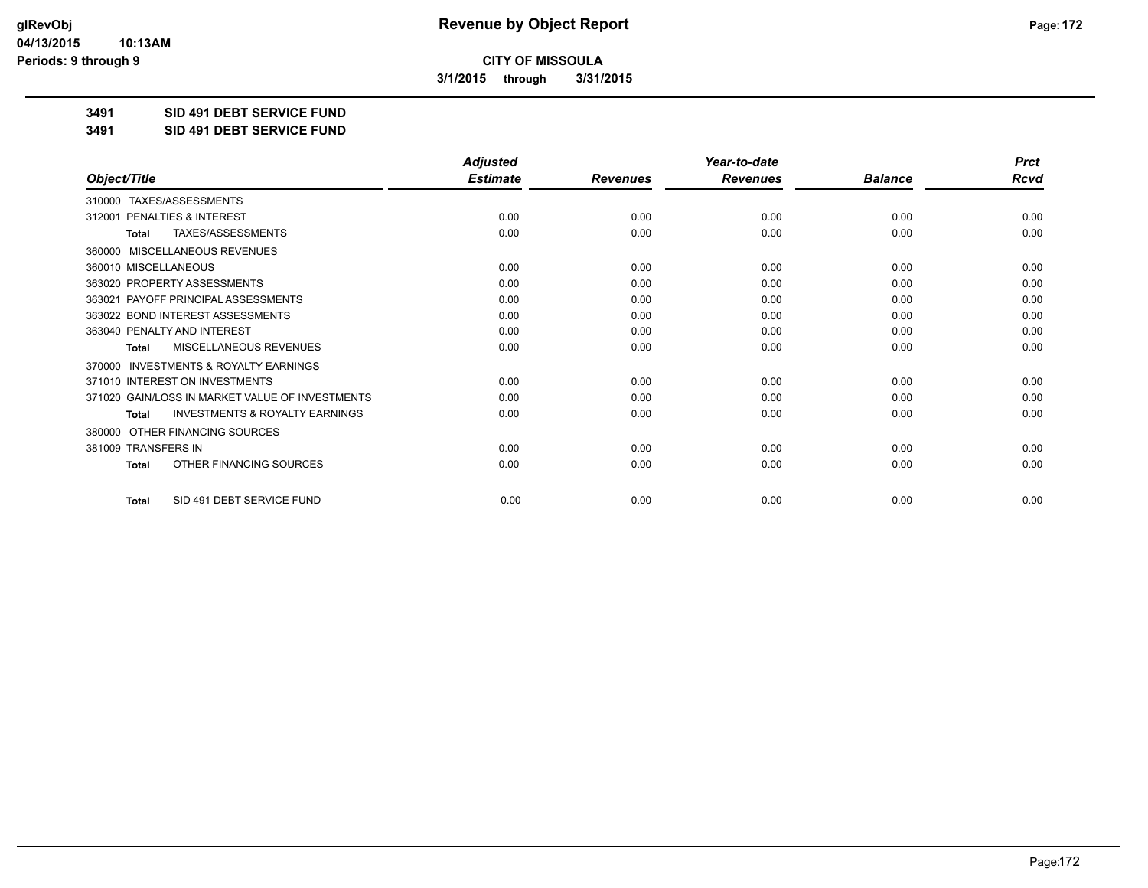**3/1/2015 through 3/31/2015**

**3491 SID 491 DEBT SERVICE FUND**

**3491 SID 491 DEBT SERVICE FUND**

|                                                           | <b>Adjusted</b> |                 | Year-to-date    |                | <b>Prct</b> |
|-----------------------------------------------------------|-----------------|-----------------|-----------------|----------------|-------------|
| Object/Title                                              | <b>Estimate</b> | <b>Revenues</b> | <b>Revenues</b> | <b>Balance</b> | <b>Rcvd</b> |
| 310000 TAXES/ASSESSMENTS                                  |                 |                 |                 |                |             |
| 312001 PENALTIES & INTEREST                               | 0.00            | 0.00            | 0.00            | 0.00           | 0.00        |
| <b>TAXES/ASSESSMENTS</b><br><b>Total</b>                  | 0.00            | 0.00            | 0.00            | 0.00           | 0.00        |
| MISCELLANEOUS REVENUES<br>360000                          |                 |                 |                 |                |             |
| 360010 MISCELLANEOUS                                      | 0.00            | 0.00            | 0.00            | 0.00           | 0.00        |
| 363020 PROPERTY ASSESSMENTS                               | 0.00            | 0.00            | 0.00            | 0.00           | 0.00        |
| 363021 PAYOFF PRINCIPAL ASSESSMENTS                       | 0.00            | 0.00            | 0.00            | 0.00           | 0.00        |
| 363022 BOND INTEREST ASSESSMENTS                          | 0.00            | 0.00            | 0.00            | 0.00           | 0.00        |
| 363040 PENALTY AND INTEREST                               | 0.00            | 0.00            | 0.00            | 0.00           | 0.00        |
| <b>MISCELLANEOUS REVENUES</b><br><b>Total</b>             | 0.00            | 0.00            | 0.00            | 0.00           | 0.00        |
| <b>INVESTMENTS &amp; ROYALTY EARNINGS</b><br>370000       |                 |                 |                 |                |             |
| 371010 INTEREST ON INVESTMENTS                            | 0.00            | 0.00            | 0.00            | 0.00           | 0.00        |
| 371020 GAIN/LOSS IN MARKET VALUE OF INVESTMENTS           | 0.00            | 0.00            | 0.00            | 0.00           | 0.00        |
| <b>INVESTMENTS &amp; ROYALTY EARNINGS</b><br><b>Total</b> | 0.00            | 0.00            | 0.00            | 0.00           | 0.00        |
| OTHER FINANCING SOURCES<br>380000                         |                 |                 |                 |                |             |
| 381009 TRANSFERS IN                                       | 0.00            | 0.00            | 0.00            | 0.00           | 0.00        |
| OTHER FINANCING SOURCES<br><b>Total</b>                   | 0.00            | 0.00            | 0.00            | 0.00           | 0.00        |
| SID 491 DEBT SERVICE FUND<br><b>Total</b>                 | 0.00            | 0.00            | 0.00            | 0.00           | 0.00        |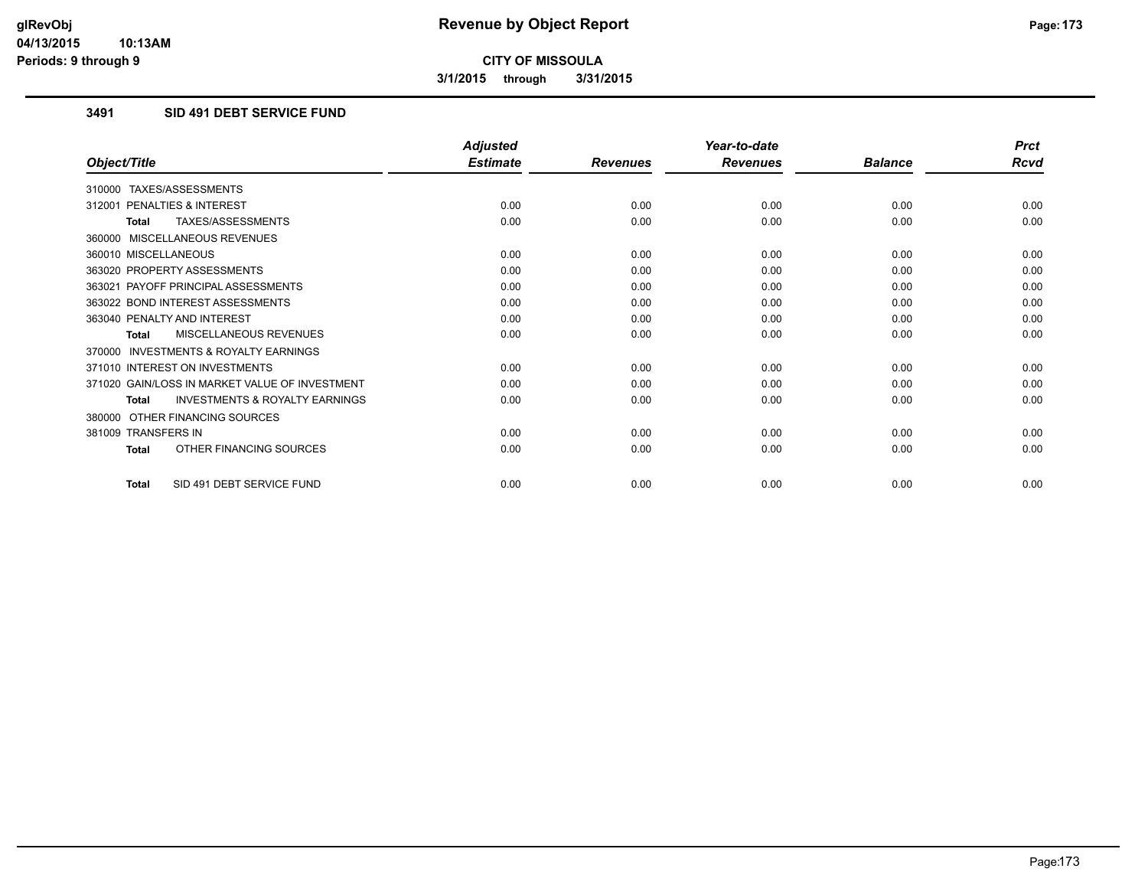**3/1/2015 through 3/31/2015**

## **3491 SID 491 DEBT SERVICE FUND**

|                                                           | <b>Adjusted</b> |                 | Year-to-date    |                | <b>Prct</b> |
|-----------------------------------------------------------|-----------------|-----------------|-----------------|----------------|-------------|
| Object/Title                                              | <b>Estimate</b> | <b>Revenues</b> | <b>Revenues</b> | <b>Balance</b> | <b>Rcvd</b> |
| 310000 TAXES/ASSESSMENTS                                  |                 |                 |                 |                |             |
| PENALTIES & INTEREST<br>312001                            | 0.00            | 0.00            | 0.00            | 0.00           | 0.00        |
| TAXES/ASSESSMENTS<br><b>Total</b>                         | 0.00            | 0.00            | 0.00            | 0.00           | 0.00        |
| 360000 MISCELLANEOUS REVENUES                             |                 |                 |                 |                |             |
| 360010 MISCELLANEOUS                                      | 0.00            | 0.00            | 0.00            | 0.00           | 0.00        |
| 363020 PROPERTY ASSESSMENTS                               | 0.00            | 0.00            | 0.00            | 0.00           | 0.00        |
| 363021 PAYOFF PRINCIPAL ASSESSMENTS                       | 0.00            | 0.00            | 0.00            | 0.00           | 0.00        |
| 363022 BOND INTEREST ASSESSMENTS                          | 0.00            | 0.00            | 0.00            | 0.00           | 0.00        |
| 363040 PENALTY AND INTEREST                               | 0.00            | 0.00            | 0.00            | 0.00           | 0.00        |
| MISCELLANEOUS REVENUES<br><b>Total</b>                    | 0.00            | 0.00            | 0.00            | 0.00           | 0.00        |
| <b>INVESTMENTS &amp; ROYALTY EARNINGS</b><br>370000       |                 |                 |                 |                |             |
| 371010 INTEREST ON INVESTMENTS                            | 0.00            | 0.00            | 0.00            | 0.00           | 0.00        |
| 371020 GAIN/LOSS IN MARKET VALUE OF INVESTMENT            | 0.00            | 0.00            | 0.00            | 0.00           | 0.00        |
| <b>INVESTMENTS &amp; ROYALTY EARNINGS</b><br><b>Total</b> | 0.00            | 0.00            | 0.00            | 0.00           | 0.00        |
| OTHER FINANCING SOURCES<br>380000                         |                 |                 |                 |                |             |
| 381009 TRANSFERS IN                                       | 0.00            | 0.00            | 0.00            | 0.00           | 0.00        |
| OTHER FINANCING SOURCES<br><b>Total</b>                   | 0.00            | 0.00            | 0.00            | 0.00           | 0.00        |
| SID 491 DEBT SERVICE FUND<br><b>Total</b>                 | 0.00            | 0.00            | 0.00            | 0.00           | 0.00        |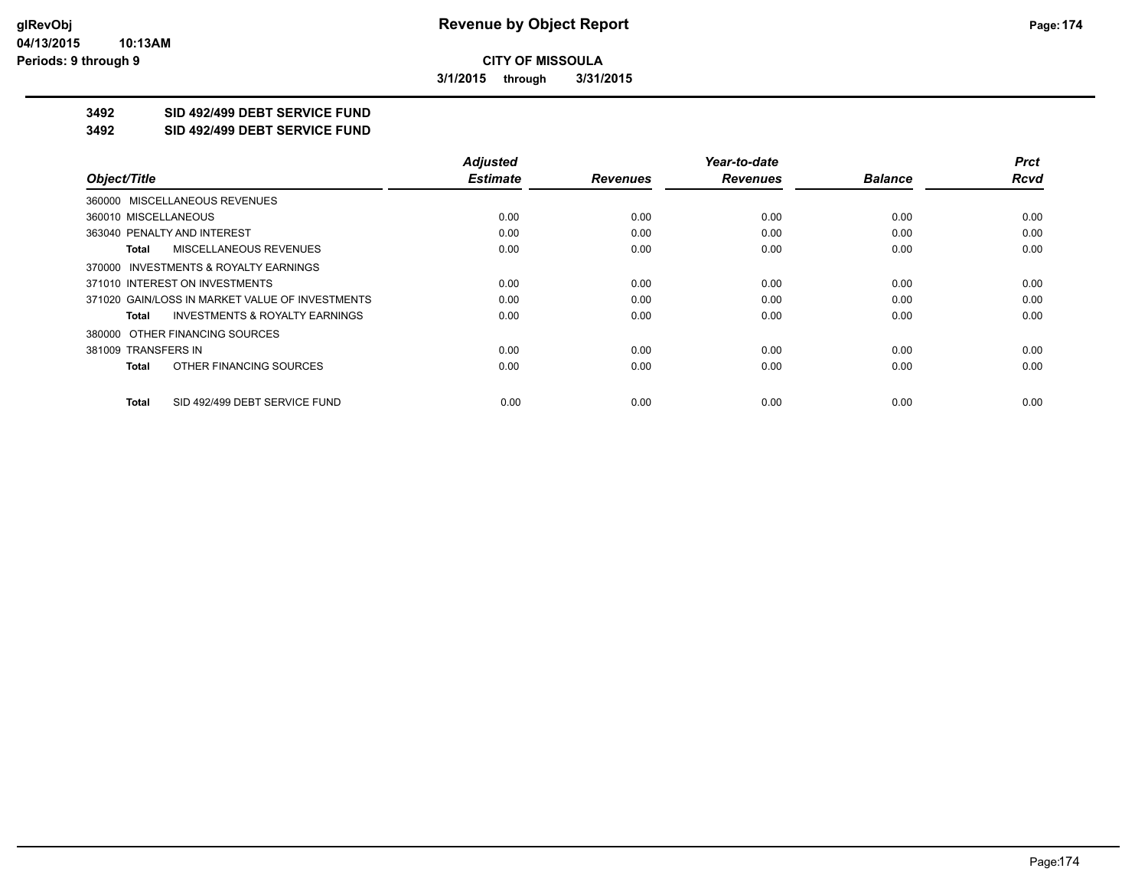**3/1/2015 through 3/31/2015**

## **3492 SID 492/499 DEBT SERVICE FUND**

**3492 SID 492/499 DEBT SERVICE FUND**

|                                                    | <b>Adjusted</b> |                 | Year-to-date    |                | <b>Prct</b> |
|----------------------------------------------------|-----------------|-----------------|-----------------|----------------|-------------|
| Object/Title                                       | <b>Estimate</b> | <b>Revenues</b> | <b>Revenues</b> | <b>Balance</b> | <b>Rcvd</b> |
| 360000 MISCELLANEOUS REVENUES                      |                 |                 |                 |                |             |
| 360010 MISCELLANEOUS                               | 0.00            | 0.00            | 0.00            | 0.00           | 0.00        |
| 363040 PENALTY AND INTEREST                        | 0.00            | 0.00            | 0.00            | 0.00           | 0.00        |
| <b>MISCELLANEOUS REVENUES</b><br>Total             | 0.00            | 0.00            | 0.00            | 0.00           | 0.00        |
| 370000 INVESTMENTS & ROYALTY EARNINGS              |                 |                 |                 |                |             |
| 371010 INTEREST ON INVESTMENTS                     | 0.00            | 0.00            | 0.00            | 0.00           | 0.00        |
| 371020 GAIN/LOSS IN MARKET VALUE OF INVESTMENTS    | 0.00            | 0.00            | 0.00            | 0.00           | 0.00        |
| <b>INVESTMENTS &amp; ROYALTY EARNINGS</b><br>Total | 0.00            | 0.00            | 0.00            | 0.00           | 0.00        |
| 380000 OTHER FINANCING SOURCES                     |                 |                 |                 |                |             |
| 381009 TRANSFERS IN                                | 0.00            | 0.00            | 0.00            | 0.00           | 0.00        |
| OTHER FINANCING SOURCES<br>Total                   | 0.00            | 0.00            | 0.00            | 0.00           | 0.00        |
| SID 492/499 DEBT SERVICE FUND<br>Total             | 0.00            | 0.00            | 0.00            | 0.00           | 0.00        |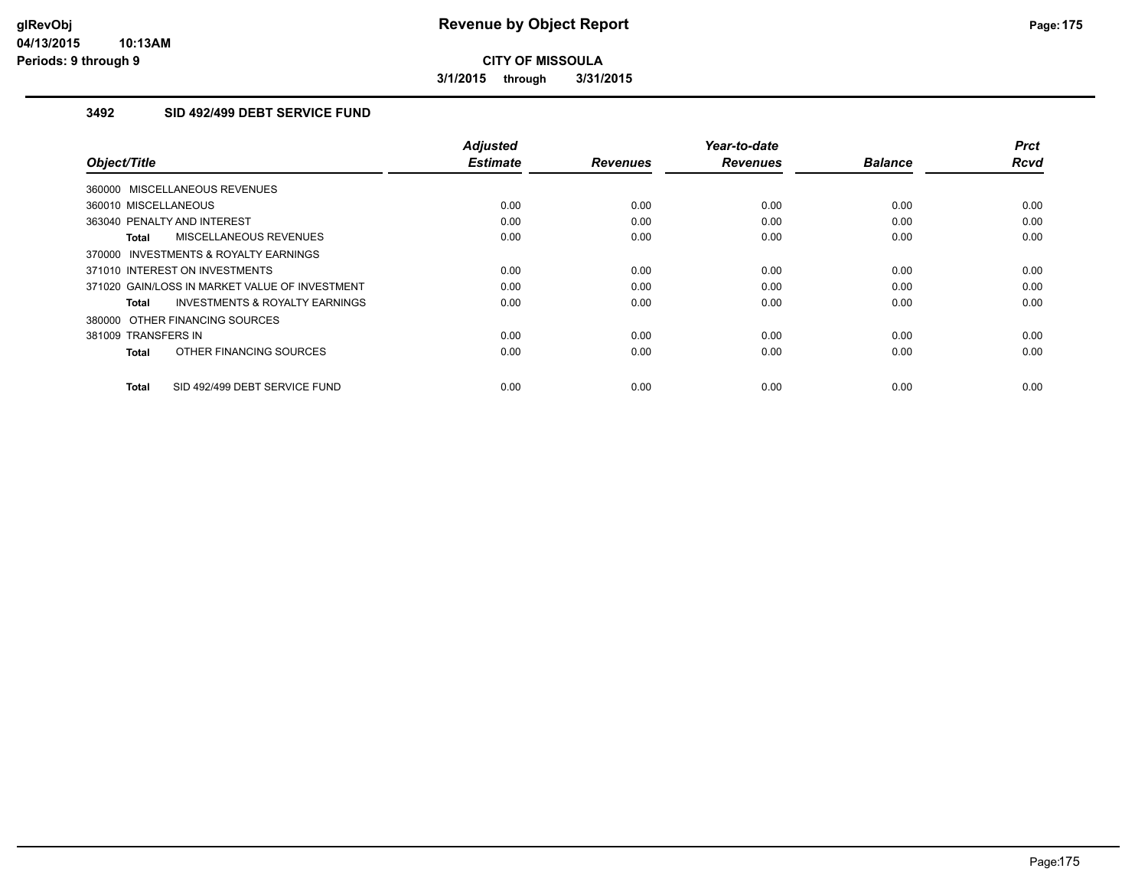**3/1/2015 through 3/31/2015**

## **3492 SID 492/499 DEBT SERVICE FUND**

| Object/Title                                              | <b>Adjusted</b><br><b>Estimate</b> | <b>Revenues</b> | Year-to-date<br><b>Revenues</b> | <b>Balance</b> | <b>Prct</b><br><b>Rcvd</b> |
|-----------------------------------------------------------|------------------------------------|-----------------|---------------------------------|----------------|----------------------------|
| 360000 MISCELLANEOUS REVENUES                             |                                    |                 |                                 |                |                            |
| 360010 MISCELLANEOUS                                      | 0.00                               | 0.00            | 0.00                            | 0.00           | 0.00                       |
| 363040 PENALTY AND INTEREST                               | 0.00                               | 0.00            | 0.00                            | 0.00           | 0.00                       |
| MISCELLANEOUS REVENUES<br>Total                           | 0.00                               | 0.00            | 0.00                            | 0.00           | 0.00                       |
| INVESTMENTS & ROYALTY EARNINGS<br>370000                  |                                    |                 |                                 |                |                            |
| 371010 INTEREST ON INVESTMENTS                            | 0.00                               | 0.00            | 0.00                            | 0.00           | 0.00                       |
| 371020 GAIN/LOSS IN MARKET VALUE OF INVESTMENT            | 0.00                               | 0.00            | 0.00                            | 0.00           | 0.00                       |
| <b>INVESTMENTS &amp; ROYALTY EARNINGS</b><br><b>Total</b> | 0.00                               | 0.00            | 0.00                            | 0.00           | 0.00                       |
| 380000 OTHER FINANCING SOURCES                            |                                    |                 |                                 |                |                            |
| 381009 TRANSFERS IN                                       | 0.00                               | 0.00            | 0.00                            | 0.00           | 0.00                       |
| OTHER FINANCING SOURCES<br><b>Total</b>                   | 0.00                               | 0.00            | 0.00                            | 0.00           | 0.00                       |
| SID 492/499 DEBT SERVICE FUND<br><b>Total</b>             | 0.00                               | 0.00            | 0.00                            | 0.00           | 0.00                       |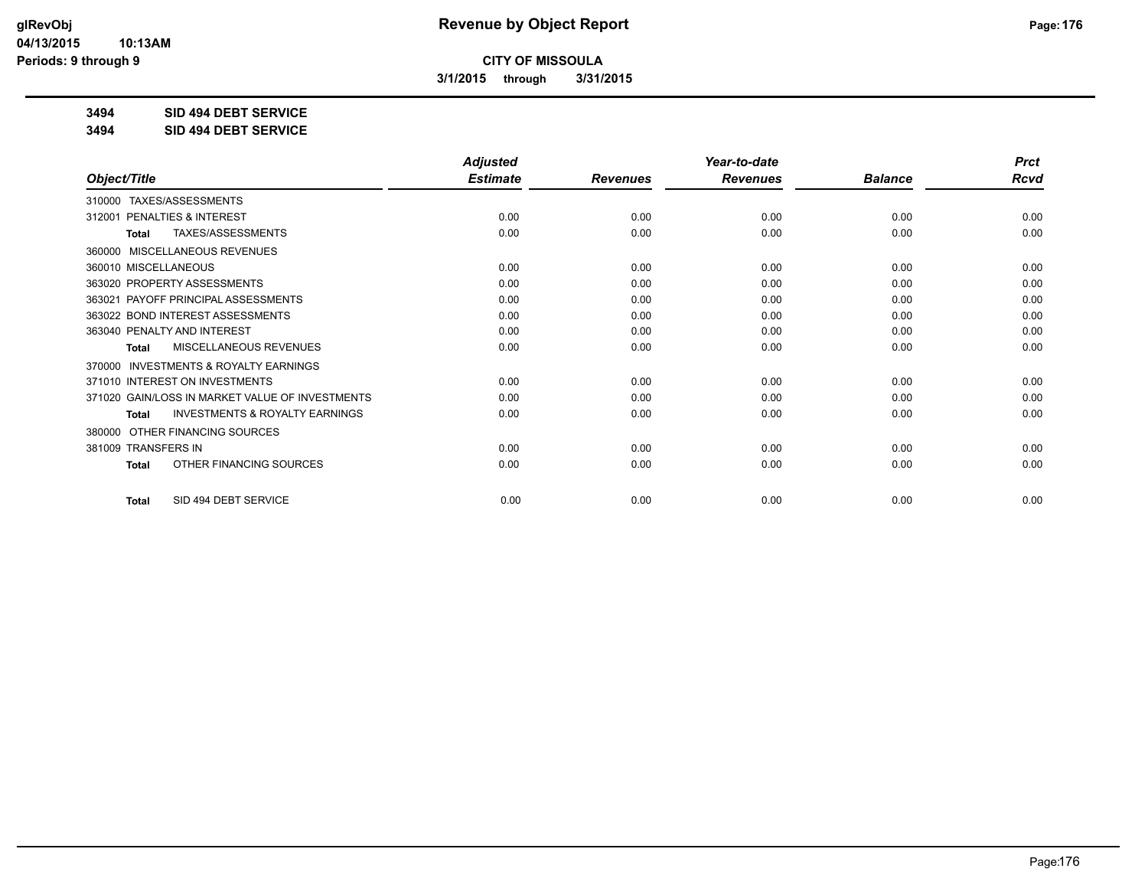**3/1/2015 through 3/31/2015**

**3494 SID 494 DEBT SERVICE**

**3494 SID 494 DEBT SERVICE**

|                                                     | <b>Adjusted</b> |                 | Year-to-date    |                | <b>Prct</b> |
|-----------------------------------------------------|-----------------|-----------------|-----------------|----------------|-------------|
| Object/Title                                        | <b>Estimate</b> | <b>Revenues</b> | <b>Revenues</b> | <b>Balance</b> | <b>Rcvd</b> |
| 310000 TAXES/ASSESSMENTS                            |                 |                 |                 |                |             |
| 312001 PENALTIES & INTEREST                         | 0.00            | 0.00            | 0.00            | 0.00           | 0.00        |
| TAXES/ASSESSMENTS<br><b>Total</b>                   | 0.00            | 0.00            | 0.00            | 0.00           | 0.00        |
| <b>MISCELLANEOUS REVENUES</b><br>360000             |                 |                 |                 |                |             |
| 360010 MISCELLANEOUS                                | 0.00            | 0.00            | 0.00            | 0.00           | 0.00        |
| 363020 PROPERTY ASSESSMENTS                         | 0.00            | 0.00            | 0.00            | 0.00           | 0.00        |
| 363021 PAYOFF PRINCIPAL ASSESSMENTS                 | 0.00            | 0.00            | 0.00            | 0.00           | 0.00        |
| 363022 BOND INTEREST ASSESSMENTS                    | 0.00            | 0.00            | 0.00            | 0.00           | 0.00        |
| 363040 PENALTY AND INTEREST                         | 0.00            | 0.00            | 0.00            | 0.00           | 0.00        |
| MISCELLANEOUS REVENUES<br><b>Total</b>              | 0.00            | 0.00            | 0.00            | 0.00           | 0.00        |
| <b>INVESTMENTS &amp; ROYALTY EARNINGS</b><br>370000 |                 |                 |                 |                |             |
| 371010 INTEREST ON INVESTMENTS                      | 0.00            | 0.00            | 0.00            | 0.00           | 0.00        |
| 371020 GAIN/LOSS IN MARKET VALUE OF INVESTMENTS     | 0.00            | 0.00            | 0.00            | 0.00           | 0.00        |
| <b>INVESTMENTS &amp; ROYALTY EARNINGS</b><br>Total  | 0.00            | 0.00            | 0.00            | 0.00           | 0.00        |
| OTHER FINANCING SOURCES<br>380000                   |                 |                 |                 |                |             |
| 381009 TRANSFERS IN                                 | 0.00            | 0.00            | 0.00            | 0.00           | 0.00        |
| OTHER FINANCING SOURCES<br>Total                    | 0.00            | 0.00            | 0.00            | 0.00           | 0.00        |
| SID 494 DEBT SERVICE<br><b>Total</b>                | 0.00            | 0.00            | 0.00            | 0.00           | 0.00        |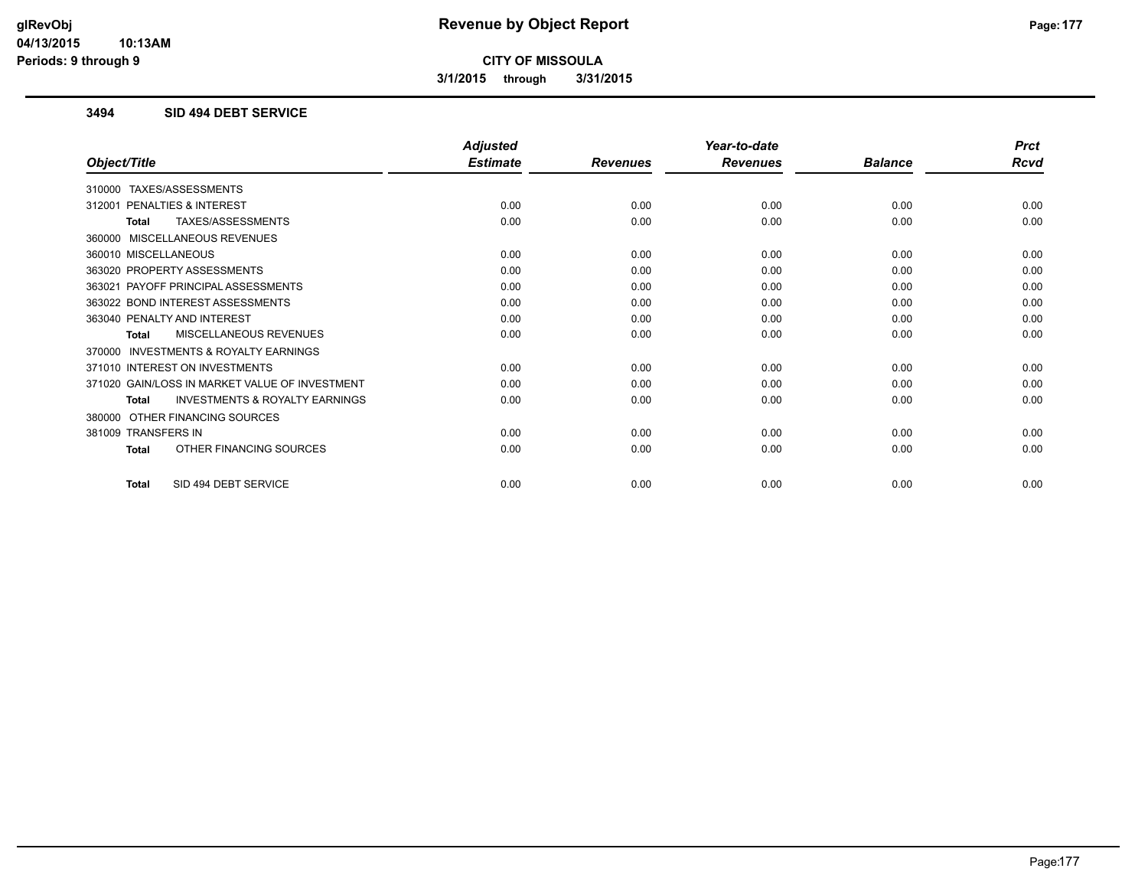**3/1/2015 through 3/31/2015**

### **3494 SID 494 DEBT SERVICE**

|                                                    | <b>Adjusted</b> |                 | Year-to-date    |                | <b>Prct</b> |
|----------------------------------------------------|-----------------|-----------------|-----------------|----------------|-------------|
| Object/Title                                       | <b>Estimate</b> | <b>Revenues</b> | <b>Revenues</b> | <b>Balance</b> | <b>Rcvd</b> |
| 310000 TAXES/ASSESSMENTS                           |                 |                 |                 |                |             |
| PENALTIES & INTEREST<br>312001                     | 0.00            | 0.00            | 0.00            | 0.00           | 0.00        |
| TAXES/ASSESSMENTS<br>Total                         | 0.00            | 0.00            | 0.00            | 0.00           | 0.00        |
| 360000 MISCELLANEOUS REVENUES                      |                 |                 |                 |                |             |
| 360010 MISCELLANEOUS                               | 0.00            | 0.00            | 0.00            | 0.00           | 0.00        |
| 363020 PROPERTY ASSESSMENTS                        | 0.00            | 0.00            | 0.00            | 0.00           | 0.00        |
| 363021 PAYOFF PRINCIPAL ASSESSMENTS                | 0.00            | 0.00            | 0.00            | 0.00           | 0.00        |
| 363022 BOND INTEREST ASSESSMENTS                   | 0.00            | 0.00            | 0.00            | 0.00           | 0.00        |
| 363040 PENALTY AND INTEREST                        | 0.00            | 0.00            | 0.00            | 0.00           | 0.00        |
| MISCELLANEOUS REVENUES<br>Total                    | 0.00            | 0.00            | 0.00            | 0.00           | 0.00        |
| 370000 INVESTMENTS & ROYALTY EARNINGS              |                 |                 |                 |                |             |
| 371010 INTEREST ON INVESTMENTS                     | 0.00            | 0.00            | 0.00            | 0.00           | 0.00        |
| 371020 GAIN/LOSS IN MARKET VALUE OF INVESTMENT     | 0.00            | 0.00            | 0.00            | 0.00           | 0.00        |
| <b>INVESTMENTS &amp; ROYALTY EARNINGS</b><br>Total | 0.00            | 0.00            | 0.00            | 0.00           | 0.00        |
| 380000 OTHER FINANCING SOURCES                     |                 |                 |                 |                |             |
| 381009 TRANSFERS IN                                | 0.00            | 0.00            | 0.00            | 0.00           | 0.00        |
| OTHER FINANCING SOURCES<br>Total                   | 0.00            | 0.00            | 0.00            | 0.00           | 0.00        |
| SID 494 DEBT SERVICE<br><b>Total</b>               | 0.00            | 0.00            | 0.00            | 0.00           | 0.00        |
|                                                    |                 |                 |                 |                |             |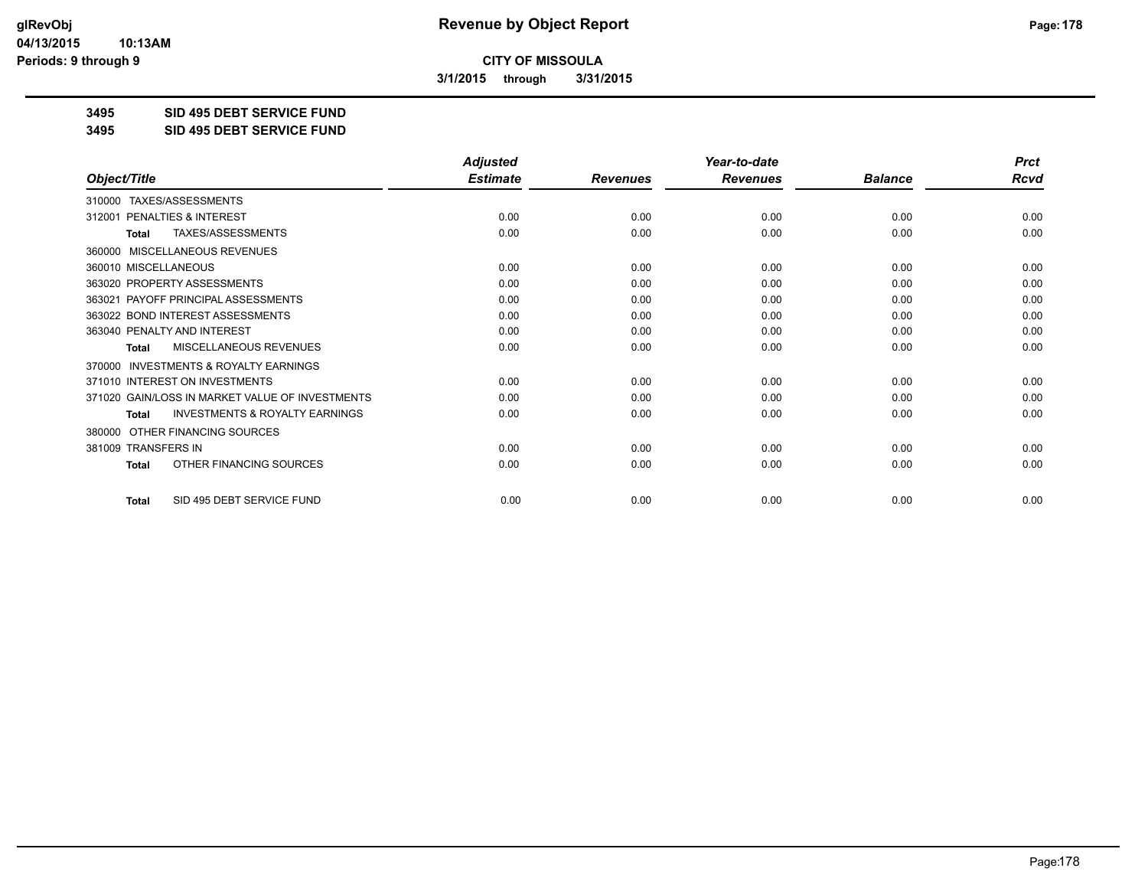**3/1/2015 through 3/31/2015**

**3495 SID 495 DEBT SERVICE FUND**

**3495 SID 495 DEBT SERVICE FUND**

|                                                           | <b>Adjusted</b> |                 | Year-to-date    |                | <b>Prct</b> |
|-----------------------------------------------------------|-----------------|-----------------|-----------------|----------------|-------------|
| Object/Title                                              | <b>Estimate</b> | <b>Revenues</b> | <b>Revenues</b> | <b>Balance</b> | <b>Rcvd</b> |
| TAXES/ASSESSMENTS<br>310000                               |                 |                 |                 |                |             |
| 312001 PENALTIES & INTEREST                               | 0.00            | 0.00            | 0.00            | 0.00           | 0.00        |
| TAXES/ASSESSMENTS<br><b>Total</b>                         | 0.00            | 0.00            | 0.00            | 0.00           | 0.00        |
| MISCELLANEOUS REVENUES<br>360000                          |                 |                 |                 |                |             |
| 360010 MISCELLANEOUS                                      | 0.00            | 0.00            | 0.00            | 0.00           | 0.00        |
| 363020 PROPERTY ASSESSMENTS                               | 0.00            | 0.00            | 0.00            | 0.00           | 0.00        |
| 363021 PAYOFF PRINCIPAL ASSESSMENTS                       | 0.00            | 0.00            | 0.00            | 0.00           | 0.00        |
| 363022 BOND INTEREST ASSESSMENTS                          | 0.00            | 0.00            | 0.00            | 0.00           | 0.00        |
| 363040 PENALTY AND INTEREST                               | 0.00            | 0.00            | 0.00            | 0.00           | 0.00        |
| MISCELLANEOUS REVENUES<br><b>Total</b>                    | 0.00            | 0.00            | 0.00            | 0.00           | 0.00        |
| <b>INVESTMENTS &amp; ROYALTY EARNINGS</b><br>370000       |                 |                 |                 |                |             |
| 371010 INTEREST ON INVESTMENTS                            | 0.00            | 0.00            | 0.00            | 0.00           | 0.00        |
| 371020 GAIN/LOSS IN MARKET VALUE OF INVESTMENTS           | 0.00            | 0.00            | 0.00            | 0.00           | 0.00        |
| <b>INVESTMENTS &amp; ROYALTY EARNINGS</b><br><b>Total</b> | 0.00            | 0.00            | 0.00            | 0.00           | 0.00        |
| OTHER FINANCING SOURCES<br>380000                         |                 |                 |                 |                |             |
| 381009 TRANSFERS IN                                       | 0.00            | 0.00            | 0.00            | 0.00           | 0.00        |
| OTHER FINANCING SOURCES<br><b>Total</b>                   | 0.00            | 0.00            | 0.00            | 0.00           | 0.00        |
| SID 495 DEBT SERVICE FUND<br><b>Total</b>                 | 0.00            | 0.00            | 0.00            | 0.00           | 0.00        |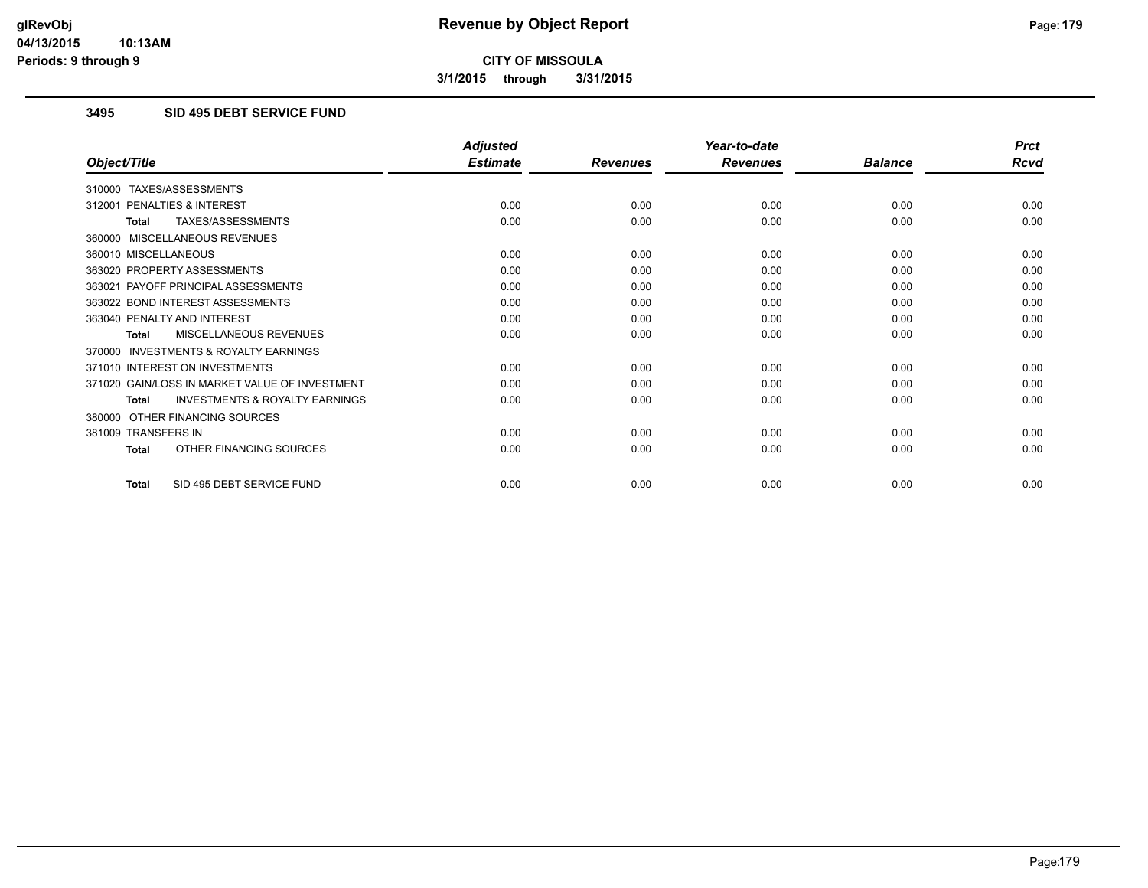**3/1/2015 through 3/31/2015**

## **3495 SID 495 DEBT SERVICE FUND**

|                                                           | <b>Adjusted</b> |                 | Year-to-date    |                | <b>Prct</b> |
|-----------------------------------------------------------|-----------------|-----------------|-----------------|----------------|-------------|
| Object/Title                                              | <b>Estimate</b> | <b>Revenues</b> | <b>Revenues</b> | <b>Balance</b> | <b>Rcvd</b> |
| 310000 TAXES/ASSESSMENTS                                  |                 |                 |                 |                |             |
| 312001 PENALTIES & INTEREST                               | 0.00            | 0.00            | 0.00            | 0.00           | 0.00        |
| TAXES/ASSESSMENTS<br><b>Total</b>                         | 0.00            | 0.00            | 0.00            | 0.00           | 0.00        |
| 360000 MISCELLANEOUS REVENUES                             |                 |                 |                 |                |             |
| 360010 MISCELLANEOUS                                      | 0.00            | 0.00            | 0.00            | 0.00           | 0.00        |
| 363020 PROPERTY ASSESSMENTS                               | 0.00            | 0.00            | 0.00            | 0.00           | 0.00        |
| 363021 PAYOFF PRINCIPAL ASSESSMENTS                       | 0.00            | 0.00            | 0.00            | 0.00           | 0.00        |
| 363022 BOND INTEREST ASSESSMENTS                          | 0.00            | 0.00            | 0.00            | 0.00           | 0.00        |
| 363040 PENALTY AND INTEREST                               | 0.00            | 0.00            | 0.00            | 0.00           | 0.00        |
| MISCELLANEOUS REVENUES<br><b>Total</b>                    | 0.00            | 0.00            | 0.00            | 0.00           | 0.00        |
| <b>INVESTMENTS &amp; ROYALTY EARNINGS</b><br>370000       |                 |                 |                 |                |             |
| 371010 INTEREST ON INVESTMENTS                            | 0.00            | 0.00            | 0.00            | 0.00           | 0.00        |
| 371020 GAIN/LOSS IN MARKET VALUE OF INVESTMENT            | 0.00            | 0.00            | 0.00            | 0.00           | 0.00        |
| <b>INVESTMENTS &amp; ROYALTY EARNINGS</b><br><b>Total</b> | 0.00            | 0.00            | 0.00            | 0.00           | 0.00        |
| 380000 OTHER FINANCING SOURCES                            |                 |                 |                 |                |             |
| 381009 TRANSFERS IN                                       | 0.00            | 0.00            | 0.00            | 0.00           | 0.00        |
| OTHER FINANCING SOURCES<br>Total                          | 0.00            | 0.00            | 0.00            | 0.00           | 0.00        |
| SID 495 DEBT SERVICE FUND<br>Total                        | 0.00            | 0.00            | 0.00            | 0.00           | 0.00        |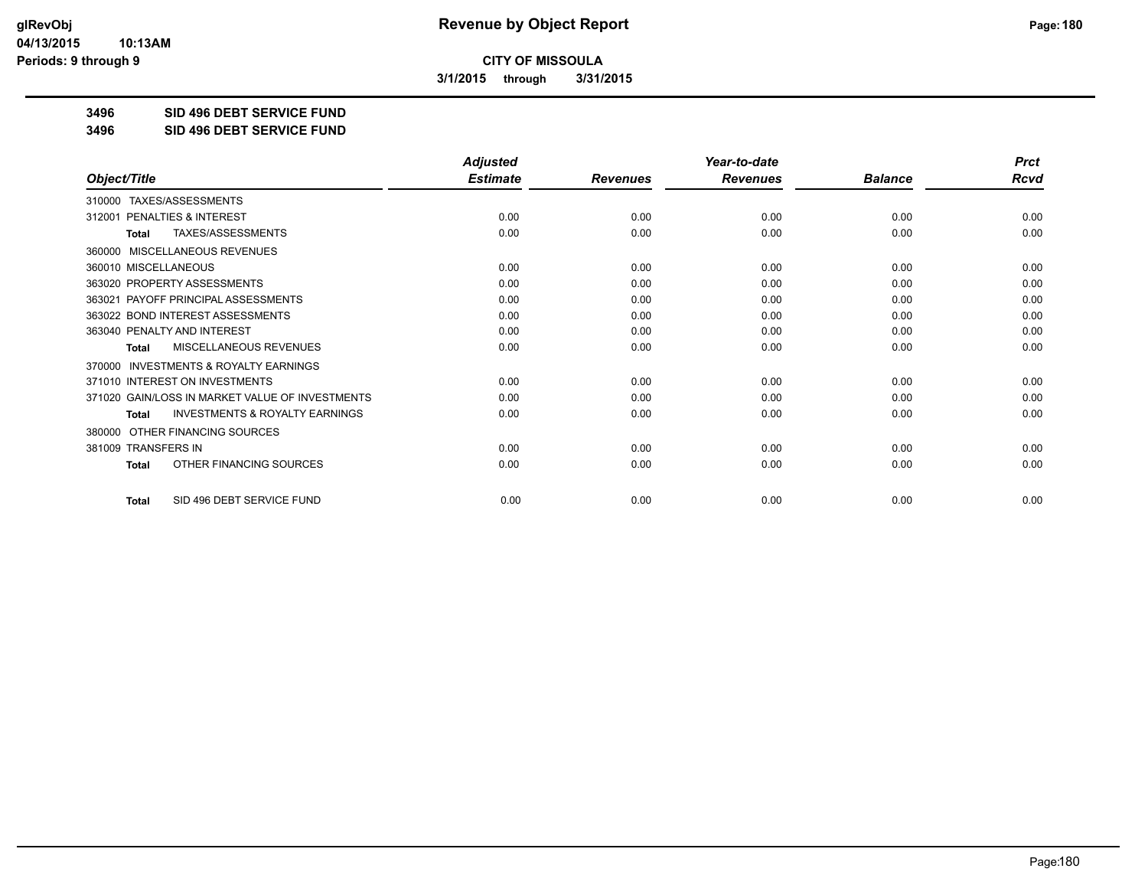**3/1/2015 through 3/31/2015**

**3496 SID 496 DEBT SERVICE FUND**

**3496 SID 496 DEBT SERVICE FUND**

|                                                           | <b>Adjusted</b> |                 | Year-to-date    |                | <b>Prct</b> |
|-----------------------------------------------------------|-----------------|-----------------|-----------------|----------------|-------------|
| Object/Title                                              | <b>Estimate</b> | <b>Revenues</b> | <b>Revenues</b> | <b>Balance</b> | <b>Rcvd</b> |
| 310000 TAXES/ASSESSMENTS                                  |                 |                 |                 |                |             |
| PENALTIES & INTEREST<br>312001                            | 0.00            | 0.00            | 0.00            | 0.00           | 0.00        |
| <b>TAXES/ASSESSMENTS</b><br><b>Total</b>                  | 0.00            | 0.00            | 0.00            | 0.00           | 0.00        |
| MISCELLANEOUS REVENUES<br>360000                          |                 |                 |                 |                |             |
| 360010 MISCELLANEOUS                                      | 0.00            | 0.00            | 0.00            | 0.00           | 0.00        |
| 363020 PROPERTY ASSESSMENTS                               | 0.00            | 0.00            | 0.00            | 0.00           | 0.00        |
| 363021 PAYOFF PRINCIPAL ASSESSMENTS                       | 0.00            | 0.00            | 0.00            | 0.00           | 0.00        |
| 363022 BOND INTEREST ASSESSMENTS                          | 0.00            | 0.00            | 0.00            | 0.00           | 0.00        |
| 363040 PENALTY AND INTEREST                               | 0.00            | 0.00            | 0.00            | 0.00           | 0.00        |
| MISCELLANEOUS REVENUES<br>Total                           | 0.00            | 0.00            | 0.00            | 0.00           | 0.00        |
| INVESTMENTS & ROYALTY EARNINGS<br>370000                  |                 |                 |                 |                |             |
| 371010 INTEREST ON INVESTMENTS                            | 0.00            | 0.00            | 0.00            | 0.00           | 0.00        |
| 371020 GAIN/LOSS IN MARKET VALUE OF INVESTMENTS           | 0.00            | 0.00            | 0.00            | 0.00           | 0.00        |
| <b>INVESTMENTS &amp; ROYALTY EARNINGS</b><br><b>Total</b> | 0.00            | 0.00            | 0.00            | 0.00           | 0.00        |
| OTHER FINANCING SOURCES<br>380000                         |                 |                 |                 |                |             |
| 381009 TRANSFERS IN                                       | 0.00            | 0.00            | 0.00            | 0.00           | 0.00        |
| OTHER FINANCING SOURCES<br><b>Total</b>                   | 0.00            | 0.00            | 0.00            | 0.00           | 0.00        |
| SID 496 DEBT SERVICE FUND<br><b>Total</b>                 | 0.00            | 0.00            | 0.00            | 0.00           | 0.00        |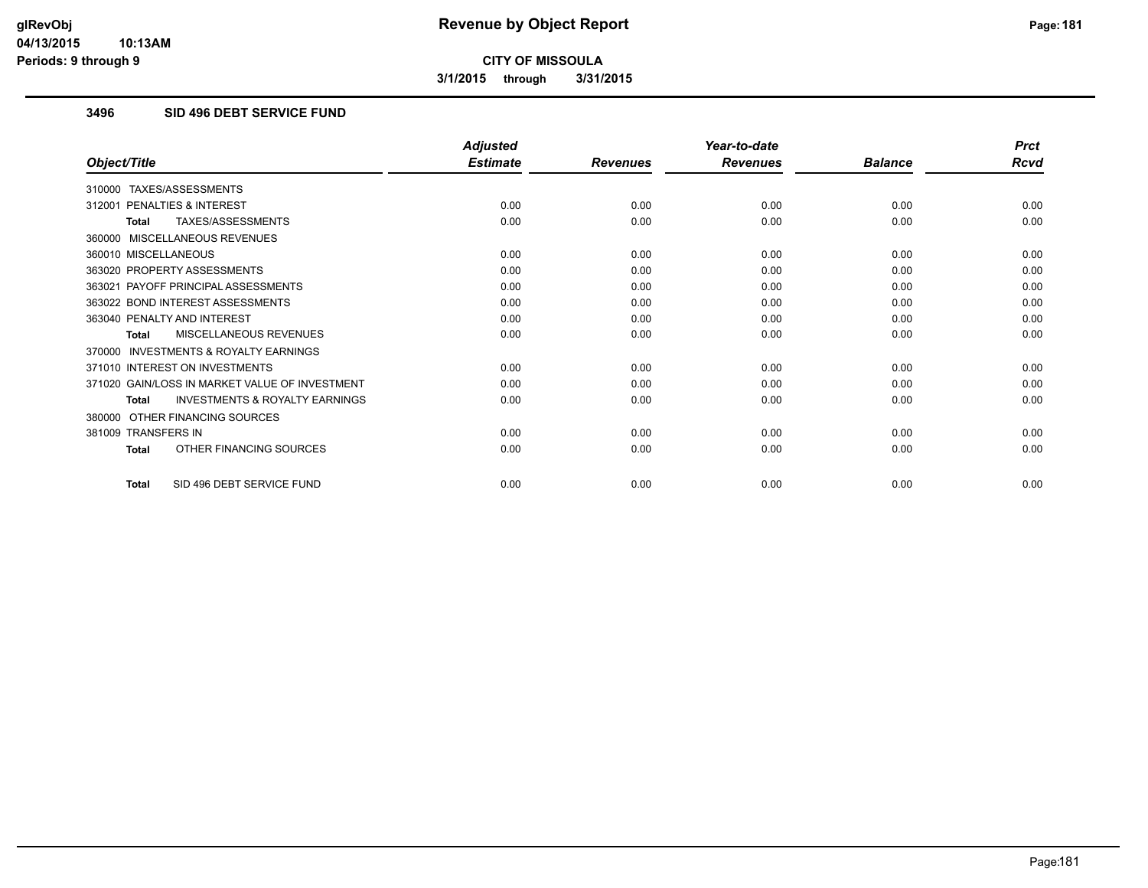**3/1/2015 through 3/31/2015**

# **3496 SID 496 DEBT SERVICE FUND**

|                                                           | <b>Adjusted</b> |                 | Year-to-date    |                | <b>Prct</b> |
|-----------------------------------------------------------|-----------------|-----------------|-----------------|----------------|-------------|
| Object/Title                                              | <b>Estimate</b> | <b>Revenues</b> | <b>Revenues</b> | <b>Balance</b> | <b>Rcvd</b> |
| 310000 TAXES/ASSESSMENTS                                  |                 |                 |                 |                |             |
| 312001 PENALTIES & INTEREST                               | 0.00            | 0.00            | 0.00            | 0.00           | 0.00        |
| TAXES/ASSESSMENTS<br><b>Total</b>                         | 0.00            | 0.00            | 0.00            | 0.00           | 0.00        |
| 360000 MISCELLANEOUS REVENUES                             |                 |                 |                 |                |             |
| 360010 MISCELLANEOUS                                      | 0.00            | 0.00            | 0.00            | 0.00           | 0.00        |
| 363020 PROPERTY ASSESSMENTS                               | 0.00            | 0.00            | 0.00            | 0.00           | 0.00        |
| 363021 PAYOFF PRINCIPAL ASSESSMENTS                       | 0.00            | 0.00            | 0.00            | 0.00           | 0.00        |
| 363022 BOND INTEREST ASSESSMENTS                          | 0.00            | 0.00            | 0.00            | 0.00           | 0.00        |
| 363040 PENALTY AND INTEREST                               | 0.00            | 0.00            | 0.00            | 0.00           | 0.00        |
| MISCELLANEOUS REVENUES<br><b>Total</b>                    | 0.00            | 0.00            | 0.00            | 0.00           | 0.00        |
| <b>INVESTMENTS &amp; ROYALTY EARNINGS</b><br>370000       |                 |                 |                 |                |             |
| 371010 INTEREST ON INVESTMENTS                            | 0.00            | 0.00            | 0.00            | 0.00           | 0.00        |
| 371020 GAIN/LOSS IN MARKET VALUE OF INVESTMENT            | 0.00            | 0.00            | 0.00            | 0.00           | 0.00        |
| <b>INVESTMENTS &amp; ROYALTY EARNINGS</b><br><b>Total</b> | 0.00            | 0.00            | 0.00            | 0.00           | 0.00        |
| OTHER FINANCING SOURCES<br>380000                         |                 |                 |                 |                |             |
| 381009 TRANSFERS IN                                       | 0.00            | 0.00            | 0.00            | 0.00           | 0.00        |
| OTHER FINANCING SOURCES<br><b>Total</b>                   | 0.00            | 0.00            | 0.00            | 0.00           | 0.00        |
| SID 496 DEBT SERVICE FUND<br><b>Total</b>                 | 0.00            | 0.00            | 0.00            | 0.00           | 0.00        |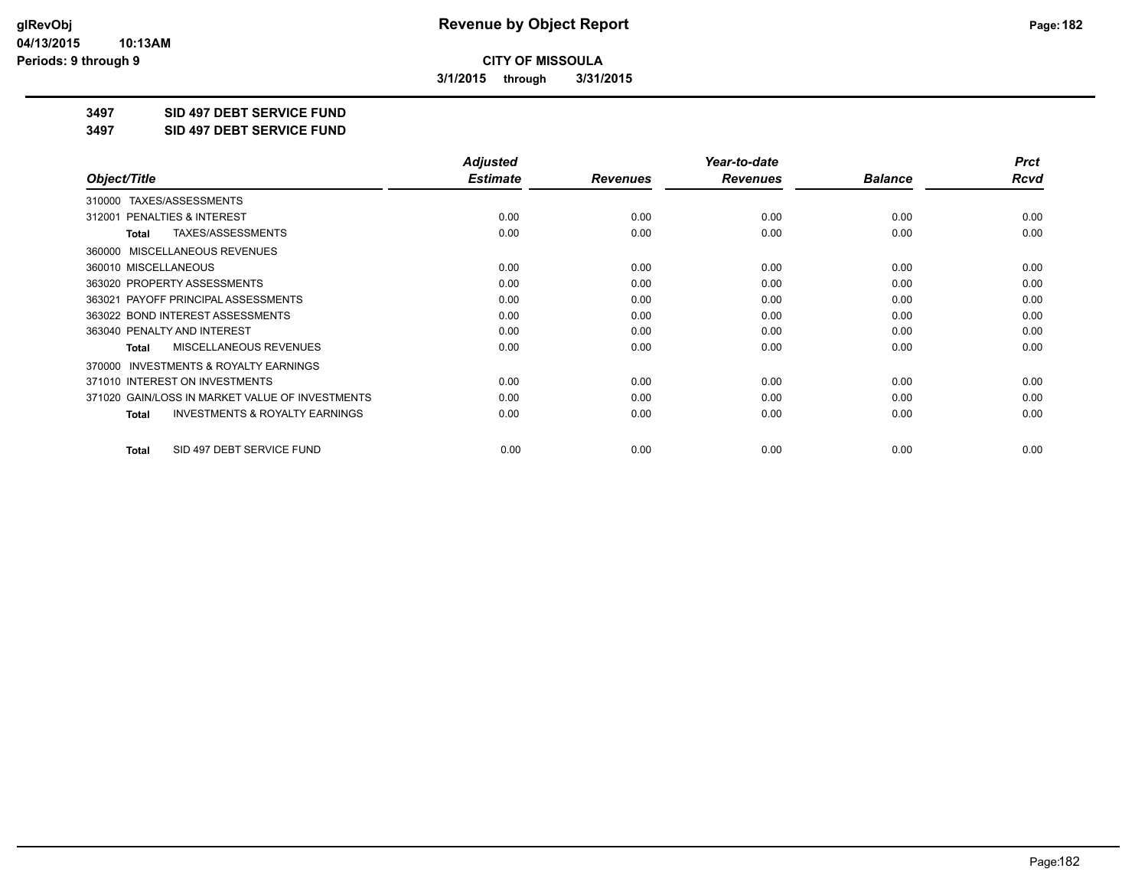**3/1/2015 through 3/31/2015**

**3497 SID 497 DEBT SERVICE FUND**

**3497 SID 497 DEBT SERVICE FUND**

|                                                           | <b>Adjusted</b> |                 | Year-to-date    |                | <b>Prct</b> |
|-----------------------------------------------------------|-----------------|-----------------|-----------------|----------------|-------------|
| Object/Title                                              | <b>Estimate</b> | <b>Revenues</b> | <b>Revenues</b> | <b>Balance</b> | Rcvd        |
| TAXES/ASSESSMENTS<br>310000                               |                 |                 |                 |                |             |
| 312001 PENALTIES & INTEREST                               | 0.00            | 0.00            | 0.00            | 0.00           | 0.00        |
| TAXES/ASSESSMENTS<br>Total                                | 0.00            | 0.00            | 0.00            | 0.00           | 0.00        |
| MISCELLANEOUS REVENUES<br>360000                          |                 |                 |                 |                |             |
| 360010 MISCELLANEOUS                                      | 0.00            | 0.00            | 0.00            | 0.00           | 0.00        |
| 363020 PROPERTY ASSESSMENTS                               | 0.00            | 0.00            | 0.00            | 0.00           | 0.00        |
| 363021 PAYOFF PRINCIPAL ASSESSMENTS                       | 0.00            | 0.00            | 0.00            | 0.00           | 0.00        |
| 363022 BOND INTEREST ASSESSMENTS                          | 0.00            | 0.00            | 0.00            | 0.00           | 0.00        |
| 363040 PENALTY AND INTEREST                               | 0.00            | 0.00            | 0.00            | 0.00           | 0.00        |
| MISCELLANEOUS REVENUES<br><b>Total</b>                    | 0.00            | 0.00            | 0.00            | 0.00           | 0.00        |
| <b>INVESTMENTS &amp; ROYALTY EARNINGS</b><br>370000       |                 |                 |                 |                |             |
| 371010 INTEREST ON INVESTMENTS                            | 0.00            | 0.00            | 0.00            | 0.00           | 0.00        |
| 371020 GAIN/LOSS IN MARKET VALUE OF INVESTMENTS           | 0.00            | 0.00            | 0.00            | 0.00           | 0.00        |
| <b>INVESTMENTS &amp; ROYALTY EARNINGS</b><br><b>Total</b> | 0.00            | 0.00            | 0.00            | 0.00           | 0.00        |
| SID 497 DEBT SERVICE FUND<br>Total                        | 0.00            | 0.00            | 0.00            | 0.00           | 0.00        |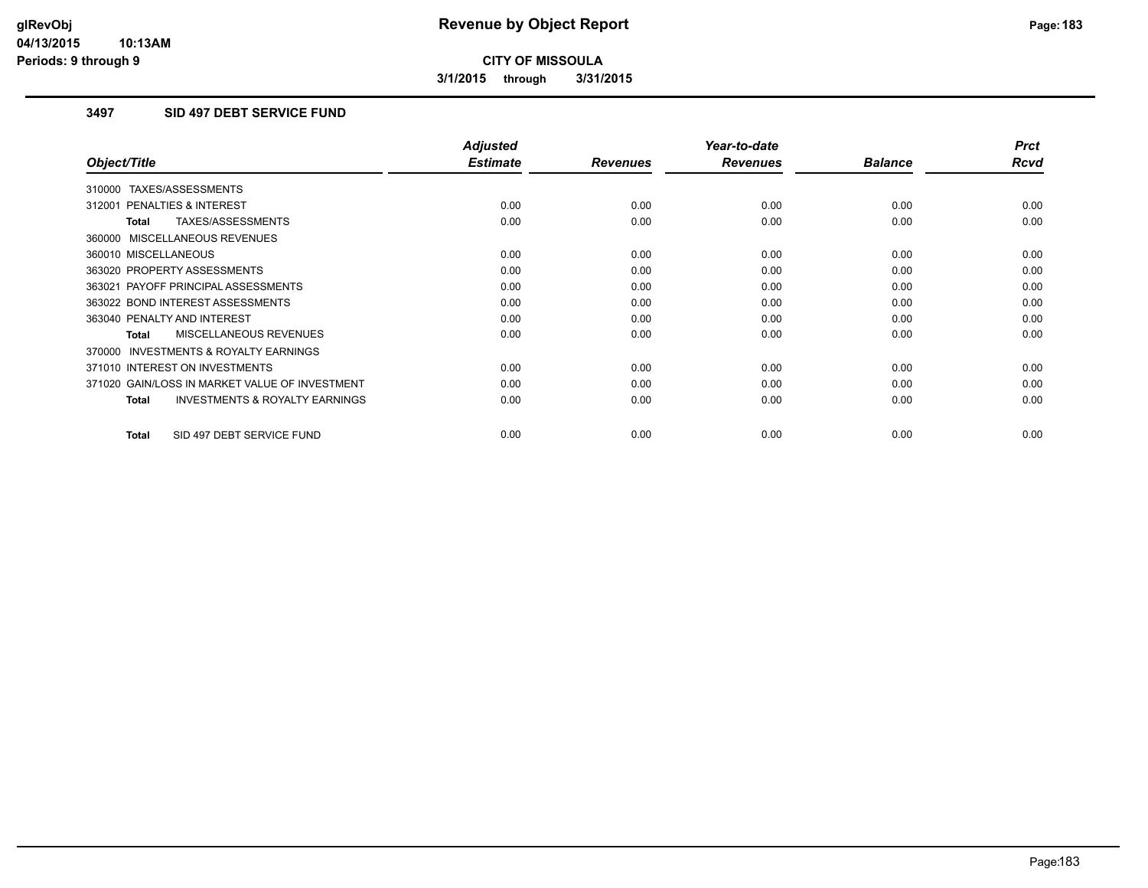**3/1/2015 through 3/31/2015**

# **3497 SID 497 DEBT SERVICE FUND**

|                                                     | <b>Adjusted</b> |                 | Year-to-date    |                | <b>Prct</b> |
|-----------------------------------------------------|-----------------|-----------------|-----------------|----------------|-------------|
| Object/Title                                        | <b>Estimate</b> | <b>Revenues</b> | <b>Revenues</b> | <b>Balance</b> | <b>Rcvd</b> |
| 310000 TAXES/ASSESSMENTS                            |                 |                 |                 |                |             |
| 312001 PENALTIES & INTEREST                         | 0.00            | 0.00            | 0.00            | 0.00           | 0.00        |
| TAXES/ASSESSMENTS<br><b>Total</b>                   | 0.00            | 0.00            | 0.00            | 0.00           | 0.00        |
| 360000 MISCELLANEOUS REVENUES                       |                 |                 |                 |                |             |
| 360010 MISCELLANEOUS                                | 0.00            | 0.00            | 0.00            | 0.00           | 0.00        |
| 363020 PROPERTY ASSESSMENTS                         | 0.00            | 0.00            | 0.00            | 0.00           | 0.00        |
| 363021 PAYOFF PRINCIPAL ASSESSMENTS                 | 0.00            | 0.00            | 0.00            | 0.00           | 0.00        |
| 363022 BOND INTEREST ASSESSMENTS                    | 0.00            | 0.00            | 0.00            | 0.00           | 0.00        |
| 363040 PENALTY AND INTEREST                         | 0.00            | 0.00            | 0.00            | 0.00           | 0.00        |
| <b>MISCELLANEOUS REVENUES</b><br>Total              | 0.00            | 0.00            | 0.00            | 0.00           | 0.00        |
| <b>INVESTMENTS &amp; ROYALTY EARNINGS</b><br>370000 |                 |                 |                 |                |             |
| 371010 INTEREST ON INVESTMENTS                      | 0.00            | 0.00            | 0.00            | 0.00           | 0.00        |
| 371020 GAIN/LOSS IN MARKET VALUE OF INVESTMENT      | 0.00            | 0.00            | 0.00            | 0.00           | 0.00        |
| <b>INVESTMENTS &amp; ROYALTY EARNINGS</b><br>Total  | 0.00            | 0.00            | 0.00            | 0.00           | 0.00        |
| SID 497 DEBT SERVICE FUND<br><b>Total</b>           | 0.00            | 0.00            | 0.00            | 0.00           | 0.00        |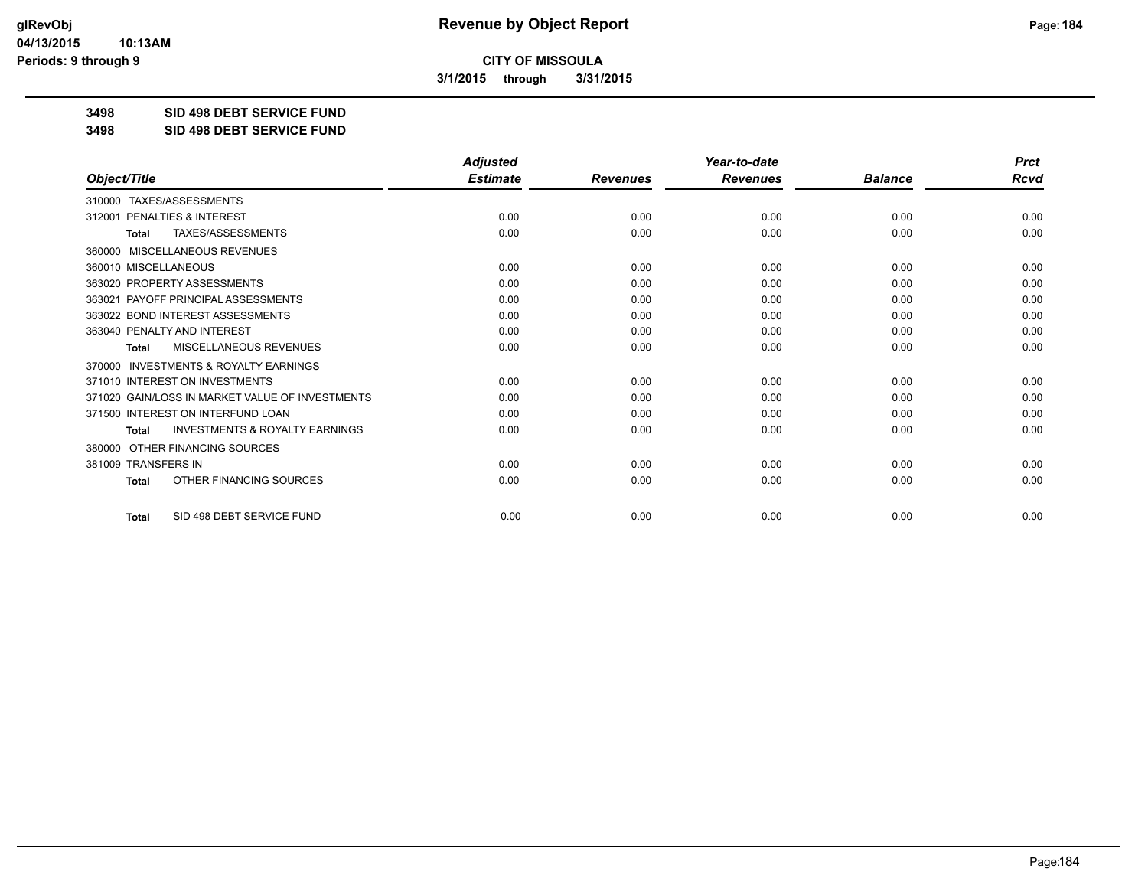**3/1/2015 through 3/31/2015**

**3498 SID 498 DEBT SERVICE FUND**

**3498 SID 498 DEBT SERVICE FUND**

|                                                           | <b>Adjusted</b> |                 | Year-to-date    |                |      |  |
|-----------------------------------------------------------|-----------------|-----------------|-----------------|----------------|------|--|
| Object/Title                                              | <b>Estimate</b> | <b>Revenues</b> | <b>Revenues</b> | <b>Balance</b> | Rcvd |  |
| TAXES/ASSESSMENTS<br>310000                               |                 |                 |                 |                |      |  |
| 312001 PENALTIES & INTEREST                               | 0.00            | 0.00            | 0.00            | 0.00           | 0.00 |  |
| <b>TAXES/ASSESSMENTS</b><br><b>Total</b>                  | 0.00            | 0.00            | 0.00            | 0.00           | 0.00 |  |
| MISCELLANEOUS REVENUES<br>360000                          |                 |                 |                 |                |      |  |
| 360010 MISCELLANEOUS                                      | 0.00            | 0.00            | 0.00            | 0.00           | 0.00 |  |
| 363020 PROPERTY ASSESSMENTS                               | 0.00            | 0.00            | 0.00            | 0.00           | 0.00 |  |
| 363021 PAYOFF PRINCIPAL ASSESSMENTS                       | 0.00            | 0.00            | 0.00            | 0.00           | 0.00 |  |
| 363022 BOND INTEREST ASSESSMENTS                          | 0.00            | 0.00            | 0.00            | 0.00           | 0.00 |  |
| 363040 PENALTY AND INTEREST                               | 0.00            | 0.00            | 0.00            | 0.00           | 0.00 |  |
| MISCELLANEOUS REVENUES<br><b>Total</b>                    | 0.00            | 0.00            | 0.00            | 0.00           | 0.00 |  |
| 370000 INVESTMENTS & ROYALTY EARNINGS                     |                 |                 |                 |                |      |  |
| 371010 INTEREST ON INVESTMENTS                            | 0.00            | 0.00            | 0.00            | 0.00           | 0.00 |  |
| 371020 GAIN/LOSS IN MARKET VALUE OF INVESTMENTS           | 0.00            | 0.00            | 0.00            | 0.00           | 0.00 |  |
| 371500 INTEREST ON INTERFUND LOAN                         | 0.00            | 0.00            | 0.00            | 0.00           | 0.00 |  |
| <b>INVESTMENTS &amp; ROYALTY EARNINGS</b><br><b>Total</b> | 0.00            | 0.00            | 0.00            | 0.00           | 0.00 |  |
| OTHER FINANCING SOURCES<br>380000                         |                 |                 |                 |                |      |  |
| 381009 TRANSFERS IN                                       | 0.00            | 0.00            | 0.00            | 0.00           | 0.00 |  |
| OTHER FINANCING SOURCES<br><b>Total</b>                   | 0.00            | 0.00            | 0.00            | 0.00           | 0.00 |  |
| SID 498 DEBT SERVICE FUND<br><b>Total</b>                 | 0.00            | 0.00            | 0.00            | 0.00           | 0.00 |  |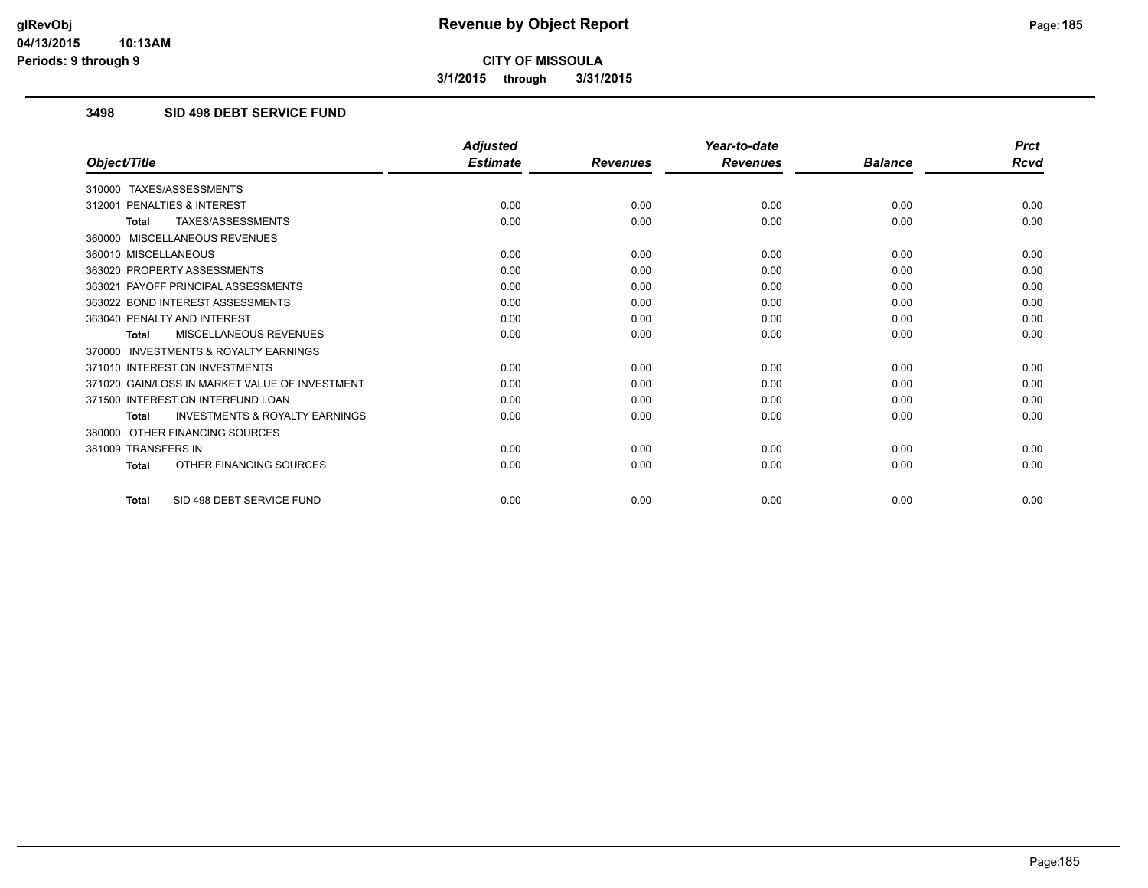**3/1/2015 through 3/31/2015**

# **3498 SID 498 DEBT SERVICE FUND**

|                                                           | <b>Adjusted</b> |                 | Year-to-date    |                | <b>Prct</b> |
|-----------------------------------------------------------|-----------------|-----------------|-----------------|----------------|-------------|
| Object/Title                                              | <b>Estimate</b> | <b>Revenues</b> | <b>Revenues</b> | <b>Balance</b> | <b>Rcvd</b> |
| TAXES/ASSESSMENTS<br>310000                               |                 |                 |                 |                |             |
| <b>PENALTIES &amp; INTEREST</b><br>312001                 | 0.00            | 0.00            | 0.00            | 0.00           | 0.00        |
| TAXES/ASSESSMENTS<br><b>Total</b>                         | 0.00            | 0.00            | 0.00            | 0.00           | 0.00        |
| 360000 MISCELLANEOUS REVENUES                             |                 |                 |                 |                |             |
| 360010 MISCELLANEOUS                                      | 0.00            | 0.00            | 0.00            | 0.00           | 0.00        |
| 363020 PROPERTY ASSESSMENTS                               | 0.00            | 0.00            | 0.00            | 0.00           | 0.00        |
| 363021 PAYOFF PRINCIPAL ASSESSMENTS                       | 0.00            | 0.00            | 0.00            | 0.00           | 0.00        |
| 363022 BOND INTEREST ASSESSMENTS                          | 0.00            | 0.00            | 0.00            | 0.00           | 0.00        |
| 363040 PENALTY AND INTEREST                               | 0.00            | 0.00            | 0.00            | 0.00           | 0.00        |
| MISCELLANEOUS REVENUES<br><b>Total</b>                    | 0.00            | 0.00            | 0.00            | 0.00           | 0.00        |
| INVESTMENTS & ROYALTY EARNINGS<br>370000                  |                 |                 |                 |                |             |
| 371010 INTEREST ON INVESTMENTS                            | 0.00            | 0.00            | 0.00            | 0.00           | 0.00        |
| 371020 GAIN/LOSS IN MARKET VALUE OF INVESTMENT            | 0.00            | 0.00            | 0.00            | 0.00           | 0.00        |
| 371500 INTEREST ON INTERFUND LOAN                         | 0.00            | 0.00            | 0.00            | 0.00           | 0.00        |
| <b>INVESTMENTS &amp; ROYALTY EARNINGS</b><br><b>Total</b> | 0.00            | 0.00            | 0.00            | 0.00           | 0.00        |
| OTHER FINANCING SOURCES<br>380000                         |                 |                 |                 |                |             |
| 381009 TRANSFERS IN                                       | 0.00            | 0.00            | 0.00            | 0.00           | 0.00        |
| OTHER FINANCING SOURCES<br><b>Total</b>                   | 0.00            | 0.00            | 0.00            | 0.00           | 0.00        |
| SID 498 DEBT SERVICE FUND<br><b>Total</b>                 | 0.00            | 0.00            | 0.00            | 0.00           | 0.00        |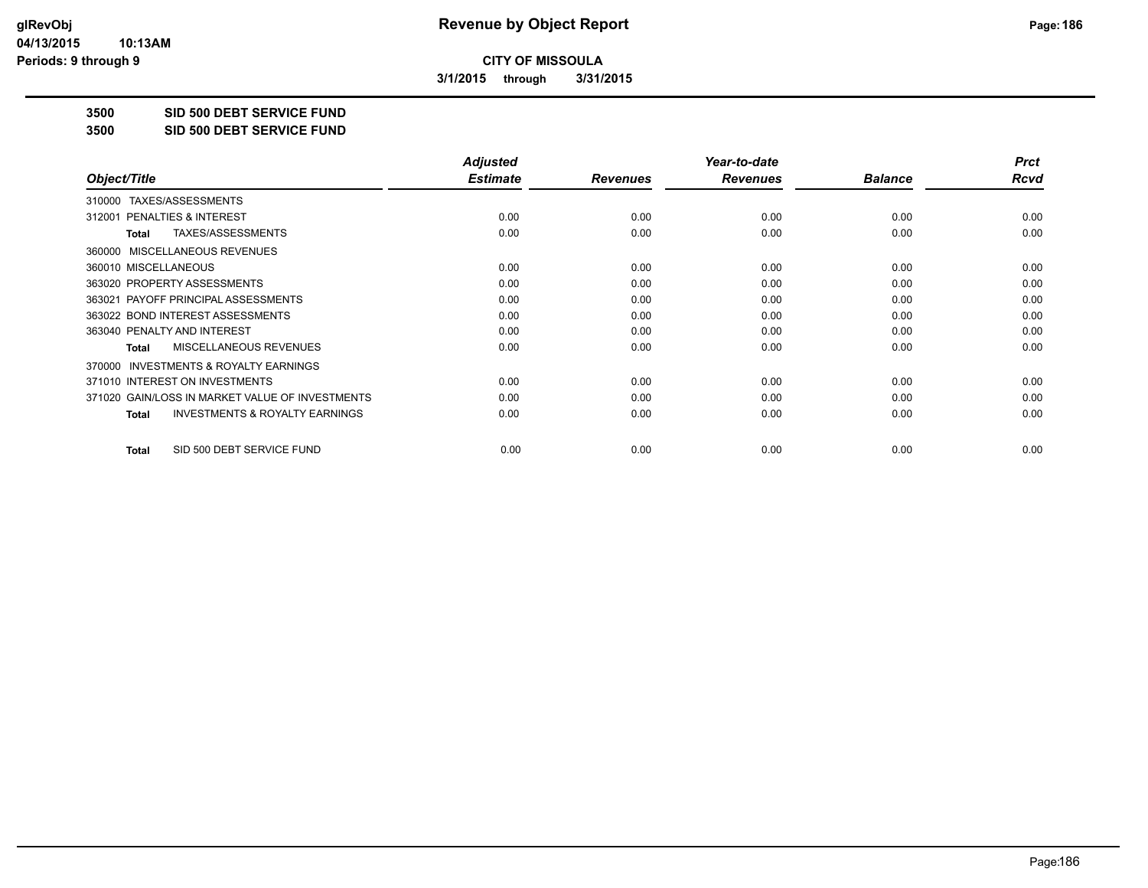**3/1/2015 through 3/31/2015**

**3500 SID 500 DEBT SERVICE FUND**

**3500 SID 500 DEBT SERVICE FUND**

|                                                           | <b>Adjusted</b> |                 | Year-to-date    |                | <b>Prct</b> |
|-----------------------------------------------------------|-----------------|-----------------|-----------------|----------------|-------------|
| Object/Title                                              | <b>Estimate</b> | <b>Revenues</b> | <b>Revenues</b> | <b>Balance</b> | Rcvd        |
| TAXES/ASSESSMENTS<br>310000                               |                 |                 |                 |                |             |
| 312001 PENALTIES & INTEREST                               | 0.00            | 0.00            | 0.00            | 0.00           | 0.00        |
| TAXES/ASSESSMENTS<br>Total                                | 0.00            | 0.00            | 0.00            | 0.00           | 0.00        |
| MISCELLANEOUS REVENUES<br>360000                          |                 |                 |                 |                |             |
| 360010 MISCELLANEOUS                                      | 0.00            | 0.00            | 0.00            | 0.00           | 0.00        |
| 363020 PROPERTY ASSESSMENTS                               | 0.00            | 0.00            | 0.00            | 0.00           | 0.00        |
| 363021 PAYOFF PRINCIPAL ASSESSMENTS                       | 0.00            | 0.00            | 0.00            | 0.00           | 0.00        |
| 363022 BOND INTEREST ASSESSMENTS                          | 0.00            | 0.00            | 0.00            | 0.00           | 0.00        |
| 363040 PENALTY AND INTEREST                               | 0.00            | 0.00            | 0.00            | 0.00           | 0.00        |
| MISCELLANEOUS REVENUES<br><b>Total</b>                    | 0.00            | 0.00            | 0.00            | 0.00           | 0.00        |
| <b>INVESTMENTS &amp; ROYALTY EARNINGS</b><br>370000       |                 |                 |                 |                |             |
| 371010 INTEREST ON INVESTMENTS                            | 0.00            | 0.00            | 0.00            | 0.00           | 0.00        |
| 371020 GAIN/LOSS IN MARKET VALUE OF INVESTMENTS           | 0.00            | 0.00            | 0.00            | 0.00           | 0.00        |
| <b>INVESTMENTS &amp; ROYALTY EARNINGS</b><br><b>Total</b> | 0.00            | 0.00            | 0.00            | 0.00           | 0.00        |
| SID 500 DEBT SERVICE FUND<br><b>Total</b>                 | 0.00            | 0.00            | 0.00            | 0.00           | 0.00        |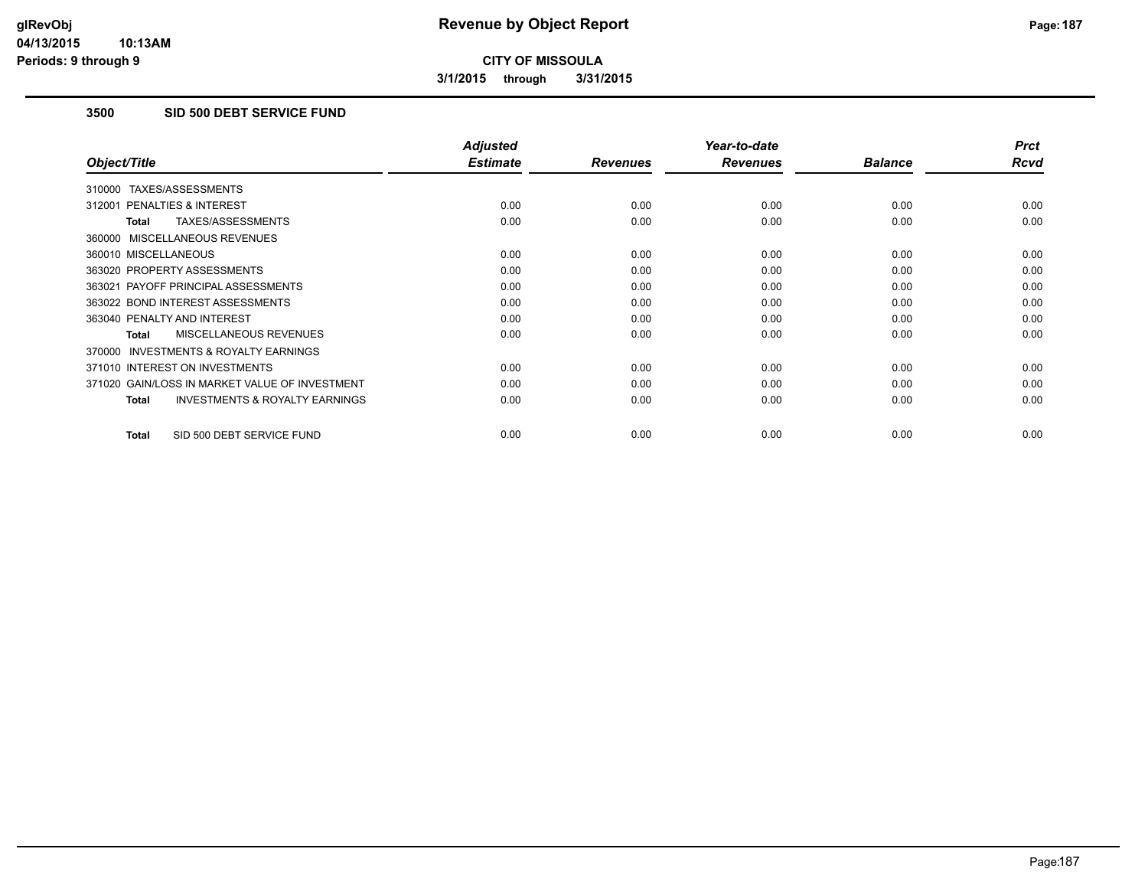**3/1/2015 through 3/31/2015**

# **3500 SID 500 DEBT SERVICE FUND**

|                                                           | <b>Adjusted</b> |                 | Year-to-date    |                | <b>Prct</b> |
|-----------------------------------------------------------|-----------------|-----------------|-----------------|----------------|-------------|
| Object/Title                                              | <b>Estimate</b> | <b>Revenues</b> | <b>Revenues</b> | <b>Balance</b> | <b>Rcvd</b> |
| 310000 TAXES/ASSESSMENTS                                  |                 |                 |                 |                |             |
| 312001 PENALTIES & INTEREST                               | 0.00            | 0.00            | 0.00            | 0.00           | 0.00        |
| TAXES/ASSESSMENTS<br><b>Total</b>                         | 0.00            | 0.00            | 0.00            | 0.00           | 0.00        |
| 360000 MISCELLANEOUS REVENUES                             |                 |                 |                 |                |             |
| 360010 MISCELLANEOUS                                      | 0.00            | 0.00            | 0.00            | 0.00           | 0.00        |
| 363020 PROPERTY ASSESSMENTS                               | 0.00            | 0.00            | 0.00            | 0.00           | 0.00        |
| 363021 PAYOFF PRINCIPAL ASSESSMENTS                       | 0.00            | 0.00            | 0.00            | 0.00           | 0.00        |
| 363022 BOND INTEREST ASSESSMENTS                          | 0.00            | 0.00            | 0.00            | 0.00           | 0.00        |
| 363040 PENALTY AND INTEREST                               | 0.00            | 0.00            | 0.00            | 0.00           | 0.00        |
| MISCELLANEOUS REVENUES<br>Total                           | 0.00            | 0.00            | 0.00            | 0.00           | 0.00        |
| <b>INVESTMENTS &amp; ROYALTY EARNINGS</b><br>370000       |                 |                 |                 |                |             |
| 371010 INTEREST ON INVESTMENTS                            | 0.00            | 0.00            | 0.00            | 0.00           | 0.00        |
| 371020 GAIN/LOSS IN MARKET VALUE OF INVESTMENT            | 0.00            | 0.00            | 0.00            | 0.00           | 0.00        |
| <b>INVESTMENTS &amp; ROYALTY EARNINGS</b><br><b>Total</b> | 0.00            | 0.00            | 0.00            | 0.00           | 0.00        |
| SID 500 DEBT SERVICE FUND<br><b>Total</b>                 | 0.00            | 0.00            | 0.00            | 0.00           | 0.00        |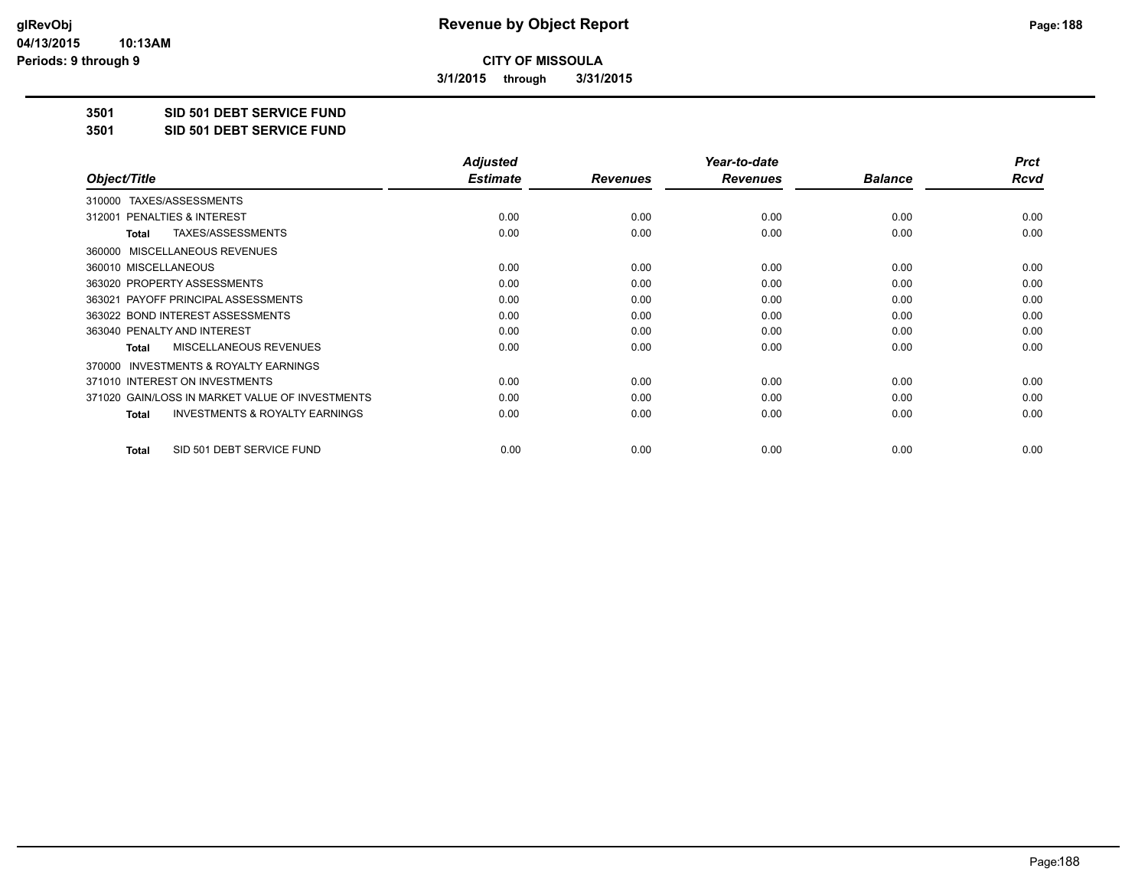**3/1/2015 through 3/31/2015**

**3501 SID 501 DEBT SERVICE FUND**

**3501 SID 501 DEBT SERVICE FUND**

|                                                    | <b>Adjusted</b> |                 | Year-to-date    |                | <b>Prct</b> |
|----------------------------------------------------|-----------------|-----------------|-----------------|----------------|-------------|
| Object/Title                                       | <b>Estimate</b> | <b>Revenues</b> | <b>Revenues</b> | <b>Balance</b> | Rcvd        |
| TAXES/ASSESSMENTS<br>310000                        |                 |                 |                 |                |             |
| <b>PENALTIES &amp; INTEREST</b><br>312001          | 0.00            | 0.00            | 0.00            | 0.00           | 0.00        |
| TAXES/ASSESSMENTS<br><b>Total</b>                  | 0.00            | 0.00            | 0.00            | 0.00           | 0.00        |
| 360000 MISCELLANEOUS REVENUES                      |                 |                 |                 |                |             |
| 360010 MISCELLANEOUS                               | 0.00            | 0.00            | 0.00            | 0.00           | 0.00        |
| 363020 PROPERTY ASSESSMENTS                        | 0.00            | 0.00            | 0.00            | 0.00           | 0.00        |
| 363021 PAYOFF PRINCIPAL ASSESSMENTS                | 0.00            | 0.00            | 0.00            | 0.00           | 0.00        |
| 363022 BOND INTEREST ASSESSMENTS                   | 0.00            | 0.00            | 0.00            | 0.00           | 0.00        |
| 363040 PENALTY AND INTEREST                        | 0.00            | 0.00            | 0.00            | 0.00           | 0.00        |
| MISCELLANEOUS REVENUES<br><b>Total</b>             | 0.00            | 0.00            | 0.00            | 0.00           | 0.00        |
| 370000 INVESTMENTS & ROYALTY EARNINGS              |                 |                 |                 |                |             |
| 371010 INTEREST ON INVESTMENTS                     | 0.00            | 0.00            | 0.00            | 0.00           | 0.00        |
| 371020 GAIN/LOSS IN MARKET VALUE OF INVESTMENTS    | 0.00            | 0.00            | 0.00            | 0.00           | 0.00        |
| <b>INVESTMENTS &amp; ROYALTY EARNINGS</b><br>Total | 0.00            | 0.00            | 0.00            | 0.00           | 0.00        |
|                                                    |                 |                 |                 |                |             |
| SID 501 DEBT SERVICE FUND<br><b>Total</b>          | 0.00            | 0.00            | 0.00            | 0.00           | 0.00        |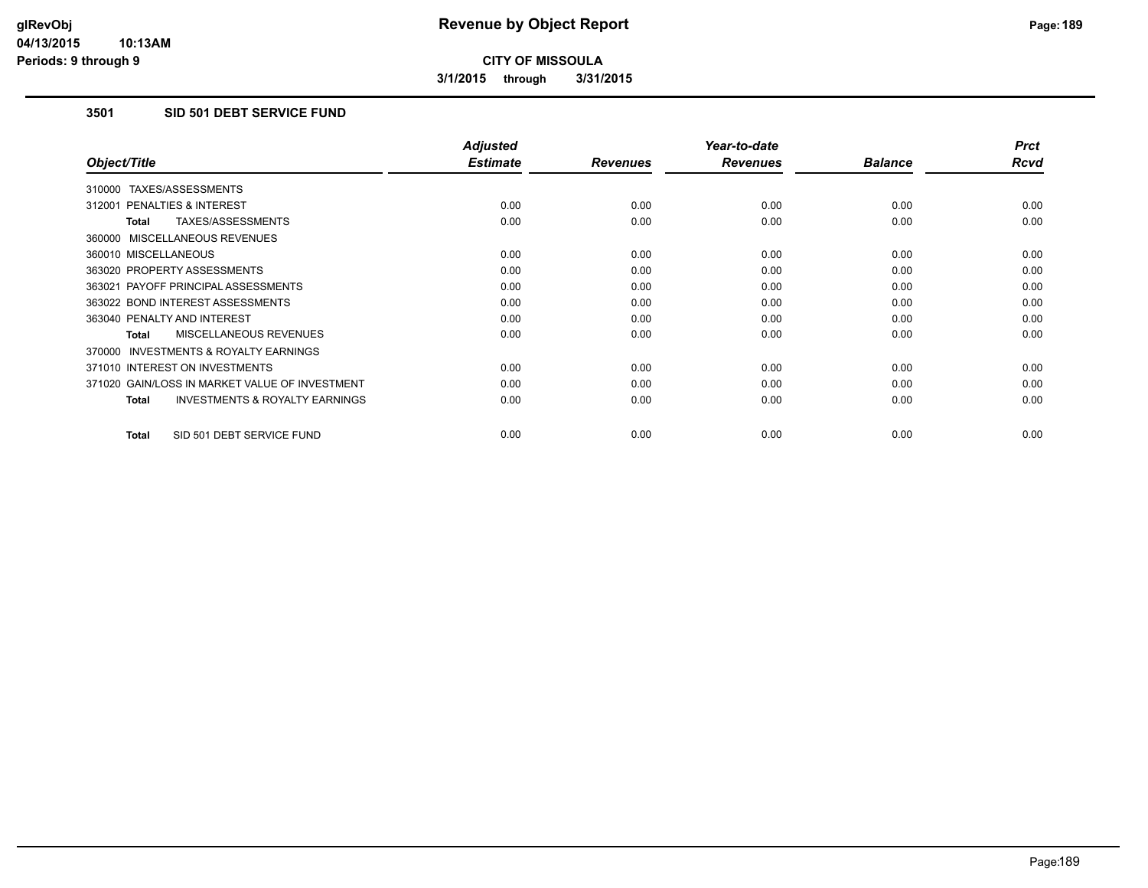**3/1/2015 through 3/31/2015**

# **3501 SID 501 DEBT SERVICE FUND**

|                                                           | <b>Adjusted</b> |                 | Year-to-date    |                | <b>Prct</b> |
|-----------------------------------------------------------|-----------------|-----------------|-----------------|----------------|-------------|
| Object/Title                                              | <b>Estimate</b> | <b>Revenues</b> | <b>Revenues</b> | <b>Balance</b> | <b>Rcvd</b> |
| 310000 TAXES/ASSESSMENTS                                  |                 |                 |                 |                |             |
| 312001 PENALTIES & INTEREST                               | 0.00            | 0.00            | 0.00            | 0.00           | 0.00        |
| TAXES/ASSESSMENTS<br><b>Total</b>                         | 0.00            | 0.00            | 0.00            | 0.00           | 0.00        |
| 360000 MISCELLANEOUS REVENUES                             |                 |                 |                 |                |             |
| 360010 MISCELLANEOUS                                      | 0.00            | 0.00            | 0.00            | 0.00           | 0.00        |
| 363020 PROPERTY ASSESSMENTS                               | 0.00            | 0.00            | 0.00            | 0.00           | 0.00        |
| 363021 PAYOFF PRINCIPAL ASSESSMENTS                       | 0.00            | 0.00            | 0.00            | 0.00           | 0.00        |
| 363022 BOND INTEREST ASSESSMENTS                          | 0.00            | 0.00            | 0.00            | 0.00           | 0.00        |
| 363040 PENALTY AND INTEREST                               | 0.00            | 0.00            | 0.00            | 0.00           | 0.00        |
| MISCELLANEOUS REVENUES<br><b>Total</b>                    | 0.00            | 0.00            | 0.00            | 0.00           | 0.00        |
| <b>INVESTMENTS &amp; ROYALTY EARNINGS</b><br>370000       |                 |                 |                 |                |             |
| 371010 INTEREST ON INVESTMENTS                            | 0.00            | 0.00            | 0.00            | 0.00           | 0.00        |
| 371020 GAIN/LOSS IN MARKET VALUE OF INVESTMENT            | 0.00            | 0.00            | 0.00            | 0.00           | 0.00        |
| <b>INVESTMENTS &amp; ROYALTY EARNINGS</b><br><b>Total</b> | 0.00            | 0.00            | 0.00            | 0.00           | 0.00        |
| SID 501 DEBT SERVICE FUND<br><b>Total</b>                 | 0.00            | 0.00            | 0.00            | 0.00           | 0.00        |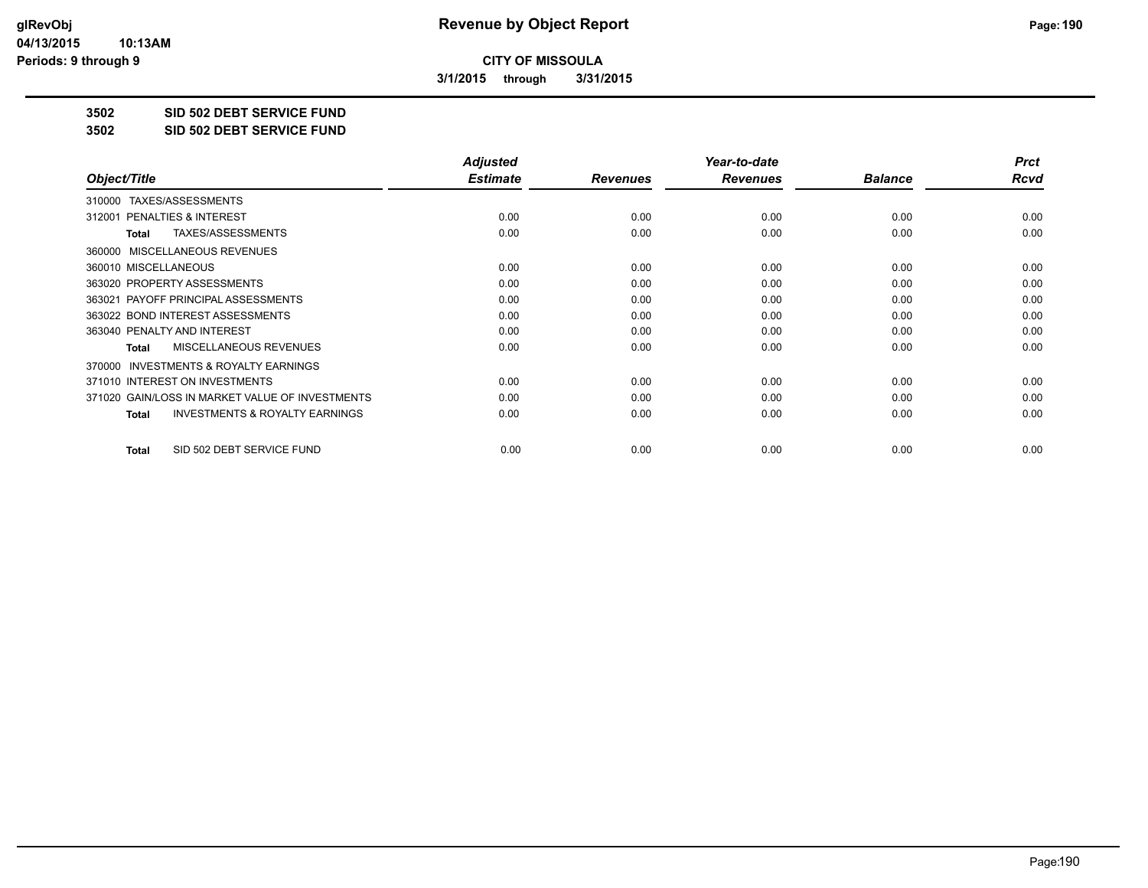**3/1/2015 through 3/31/2015**

**3502 SID 502 DEBT SERVICE FUND**

**3502 SID 502 DEBT SERVICE FUND**

|                                                           | <b>Adjusted</b> |                 | Year-to-date    |                | <b>Prct</b> |
|-----------------------------------------------------------|-----------------|-----------------|-----------------|----------------|-------------|
| Object/Title                                              | <b>Estimate</b> | <b>Revenues</b> | <b>Revenues</b> | <b>Balance</b> | Rcvd        |
| TAXES/ASSESSMENTS<br>310000                               |                 |                 |                 |                |             |
| 312001 PENALTIES & INTEREST                               | 0.00            | 0.00            | 0.00            | 0.00           | 0.00        |
| TAXES/ASSESSMENTS<br>Total                                | 0.00            | 0.00            | 0.00            | 0.00           | 0.00        |
| MISCELLANEOUS REVENUES<br>360000                          |                 |                 |                 |                |             |
| 360010 MISCELLANEOUS                                      | 0.00            | 0.00            | 0.00            | 0.00           | 0.00        |
| 363020 PROPERTY ASSESSMENTS                               | 0.00            | 0.00            | 0.00            | 0.00           | 0.00        |
| 363021 PAYOFF PRINCIPAL ASSESSMENTS                       | 0.00            | 0.00            | 0.00            | 0.00           | 0.00        |
| 363022 BOND INTEREST ASSESSMENTS                          | 0.00            | 0.00            | 0.00            | 0.00           | 0.00        |
| 363040 PENALTY AND INTEREST                               | 0.00            | 0.00            | 0.00            | 0.00           | 0.00        |
| MISCELLANEOUS REVENUES<br><b>Total</b>                    | 0.00            | 0.00            | 0.00            | 0.00           | 0.00        |
| <b>INVESTMENTS &amp; ROYALTY EARNINGS</b><br>370000       |                 |                 |                 |                |             |
| 371010 INTEREST ON INVESTMENTS                            | 0.00            | 0.00            | 0.00            | 0.00           | 0.00        |
| 371020 GAIN/LOSS IN MARKET VALUE OF INVESTMENTS           | 0.00            | 0.00            | 0.00            | 0.00           | 0.00        |
| <b>INVESTMENTS &amp; ROYALTY EARNINGS</b><br><b>Total</b> | 0.00            | 0.00            | 0.00            | 0.00           | 0.00        |
| SID 502 DEBT SERVICE FUND<br><b>Total</b>                 | 0.00            | 0.00            | 0.00            | 0.00           | 0.00        |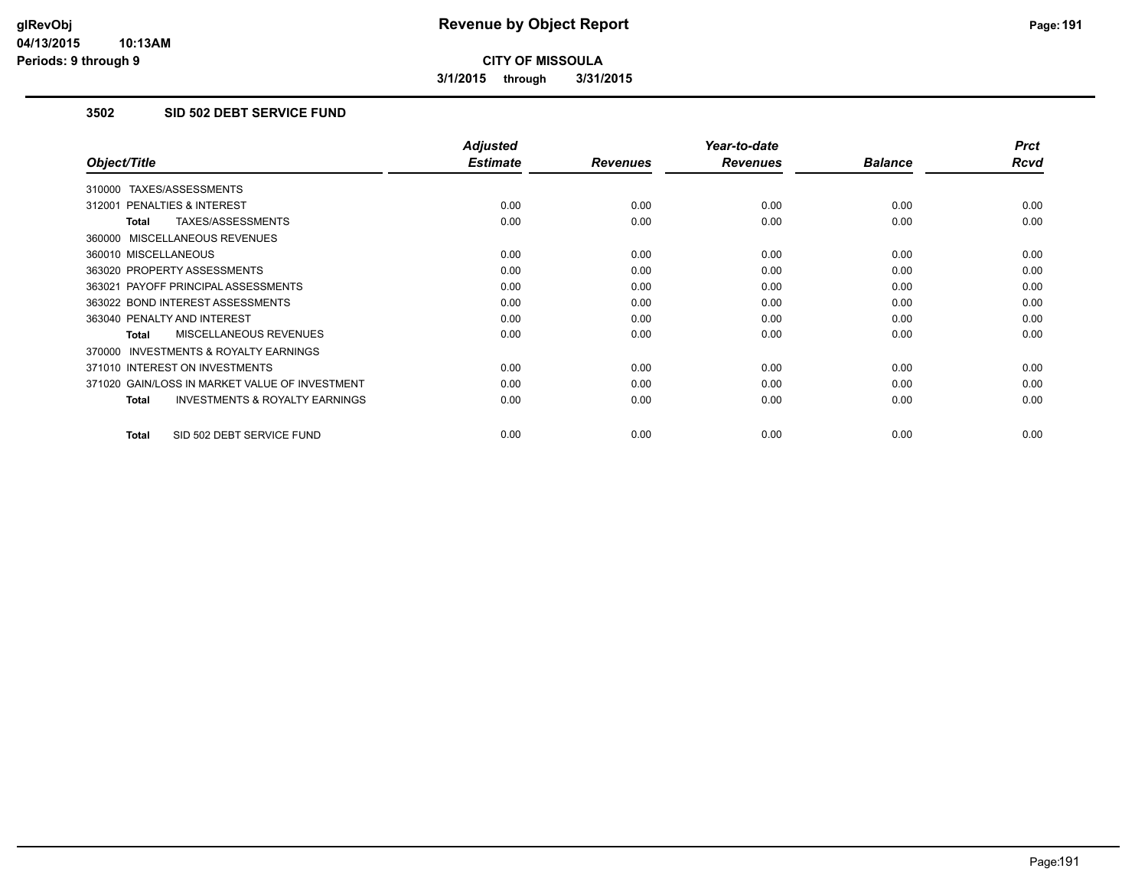**3/1/2015 through 3/31/2015**

# **3502 SID 502 DEBT SERVICE FUND**

|                                                           | <b>Adjusted</b> |                 | Year-to-date    |                | <b>Prct</b> |
|-----------------------------------------------------------|-----------------|-----------------|-----------------|----------------|-------------|
| Object/Title                                              | <b>Estimate</b> | <b>Revenues</b> | <b>Revenues</b> | <b>Balance</b> | <b>Rcvd</b> |
| 310000 TAXES/ASSESSMENTS                                  |                 |                 |                 |                |             |
| 312001 PENALTIES & INTEREST                               | 0.00            | 0.00            | 0.00            | 0.00           | 0.00        |
| TAXES/ASSESSMENTS<br><b>Total</b>                         | 0.00            | 0.00            | 0.00            | 0.00           | 0.00        |
| 360000 MISCELLANEOUS REVENUES                             |                 |                 |                 |                |             |
| 360010 MISCELLANEOUS                                      | 0.00            | 0.00            | 0.00            | 0.00           | 0.00        |
| 363020 PROPERTY ASSESSMENTS                               | 0.00            | 0.00            | 0.00            | 0.00           | 0.00        |
| 363021 PAYOFF PRINCIPAL ASSESSMENTS                       | 0.00            | 0.00            | 0.00            | 0.00           | 0.00        |
| 363022 BOND INTEREST ASSESSMENTS                          | 0.00            | 0.00            | 0.00            | 0.00           | 0.00        |
| 363040 PENALTY AND INTEREST                               | 0.00            | 0.00            | 0.00            | 0.00           | 0.00        |
| MISCELLANEOUS REVENUES<br>Total                           | 0.00            | 0.00            | 0.00            | 0.00           | 0.00        |
| <b>INVESTMENTS &amp; ROYALTY EARNINGS</b><br>370000       |                 |                 |                 |                |             |
| 371010 INTEREST ON INVESTMENTS                            | 0.00            | 0.00            | 0.00            | 0.00           | 0.00        |
| 371020 GAIN/LOSS IN MARKET VALUE OF INVESTMENT            | 0.00            | 0.00            | 0.00            | 0.00           | 0.00        |
| <b>INVESTMENTS &amp; ROYALTY EARNINGS</b><br><b>Total</b> | 0.00            | 0.00            | 0.00            | 0.00           | 0.00        |
|                                                           |                 |                 |                 |                |             |
| SID 502 DEBT SERVICE FUND<br><b>Total</b>                 | 0.00            | 0.00            | 0.00            | 0.00           | 0.00        |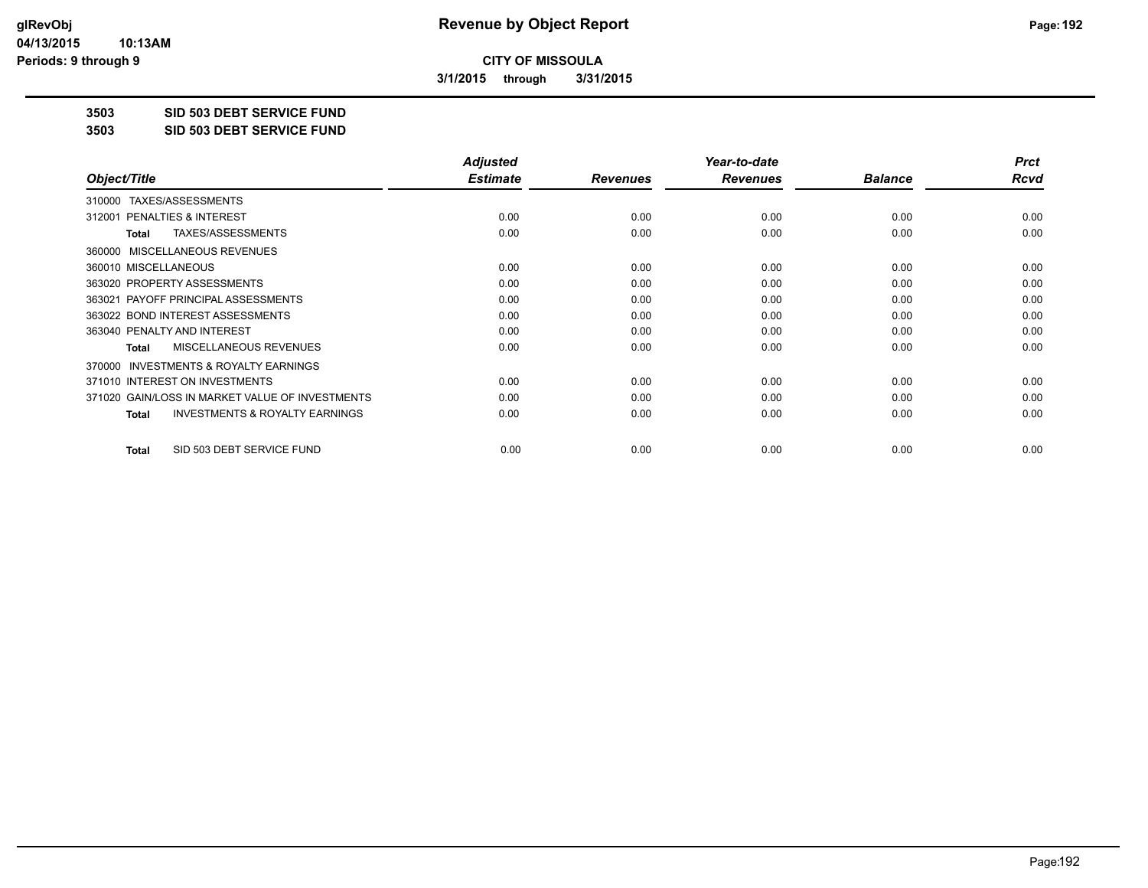**3/1/2015 through 3/31/2015**

**3503 SID 503 DEBT SERVICE FUND**

**3503 SID 503 DEBT SERVICE FUND**

|                                                           | <b>Adjusted</b> |                 | Year-to-date    |                | <b>Prct</b> |
|-----------------------------------------------------------|-----------------|-----------------|-----------------|----------------|-------------|
| Object/Title                                              | <b>Estimate</b> | <b>Revenues</b> | <b>Revenues</b> | <b>Balance</b> | Rcvd        |
| TAXES/ASSESSMENTS<br>310000                               |                 |                 |                 |                |             |
| 312001 PENALTIES & INTEREST                               | 0.00            | 0.00            | 0.00            | 0.00           | 0.00        |
| TAXES/ASSESSMENTS<br>Total                                | 0.00            | 0.00            | 0.00            | 0.00           | 0.00        |
| MISCELLANEOUS REVENUES<br>360000                          |                 |                 |                 |                |             |
| 360010 MISCELLANEOUS                                      | 0.00            | 0.00            | 0.00            | 0.00           | 0.00        |
| 363020 PROPERTY ASSESSMENTS                               | 0.00            | 0.00            | 0.00            | 0.00           | 0.00        |
| 363021 PAYOFF PRINCIPAL ASSESSMENTS                       | 0.00            | 0.00            | 0.00            | 0.00           | 0.00        |
| 363022 BOND INTEREST ASSESSMENTS                          | 0.00            | 0.00            | 0.00            | 0.00           | 0.00        |
| 363040 PENALTY AND INTEREST                               | 0.00            | 0.00            | 0.00            | 0.00           | 0.00        |
| MISCELLANEOUS REVENUES<br><b>Total</b>                    | 0.00            | 0.00            | 0.00            | 0.00           | 0.00        |
| <b>INVESTMENTS &amp; ROYALTY EARNINGS</b><br>370000       |                 |                 |                 |                |             |
| 371010 INTEREST ON INVESTMENTS                            | 0.00            | 0.00            | 0.00            | 0.00           | 0.00        |
| 371020 GAIN/LOSS IN MARKET VALUE OF INVESTMENTS           | 0.00            | 0.00            | 0.00            | 0.00           | 0.00        |
| <b>INVESTMENTS &amp; ROYALTY EARNINGS</b><br><b>Total</b> | 0.00            | 0.00            | 0.00            | 0.00           | 0.00        |
| SID 503 DEBT SERVICE FUND<br>Total                        | 0.00            | 0.00            | 0.00            | 0.00           | 0.00        |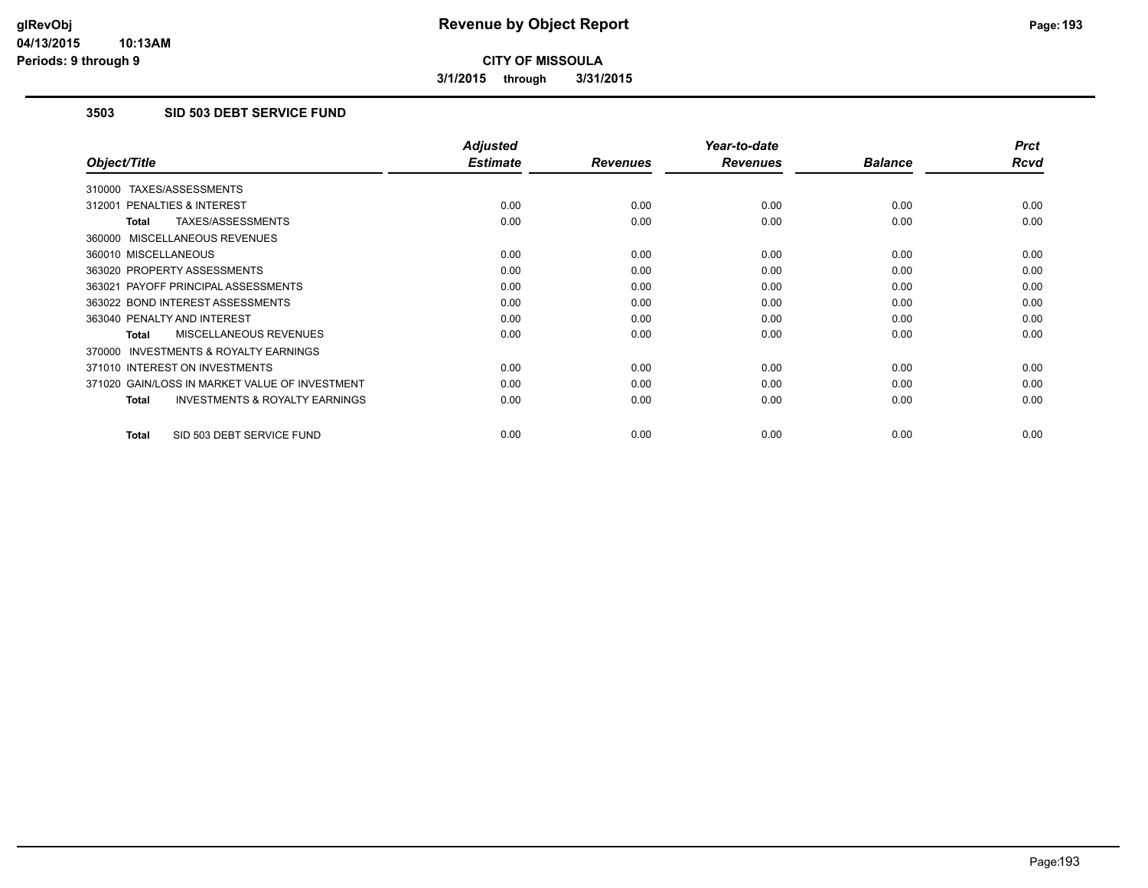**3/1/2015 through 3/31/2015**

# **3503 SID 503 DEBT SERVICE FUND**

| <b>Adjusted</b> |                         | Year-to-date            |                         | <b>Prct</b>            |
|-----------------|-------------------------|-------------------------|-------------------------|------------------------|
|                 |                         |                         |                         | <b>Rcvd</b>            |
|                 |                         |                         |                         |                        |
| 0.00            | 0.00                    | 0.00                    | 0.00                    | 0.00                   |
| 0.00            | 0.00                    | 0.00                    | 0.00                    | 0.00                   |
|                 |                         |                         |                         |                        |
| 0.00            | 0.00                    | 0.00                    | 0.00                    | 0.00                   |
| 0.00            | 0.00                    | 0.00                    | 0.00                    | 0.00                   |
| 0.00            | 0.00                    | 0.00                    | 0.00                    | 0.00                   |
| 0.00            | 0.00                    | 0.00                    | 0.00                    | 0.00                   |
| 0.00            | 0.00                    | 0.00                    | 0.00                    | 0.00                   |
| 0.00            | 0.00                    | 0.00                    | 0.00                    | 0.00                   |
|                 |                         |                         |                         |                        |
| 0.00            | 0.00                    | 0.00                    | 0.00                    | 0.00                   |
| 0.00            | 0.00                    | 0.00                    | 0.00                    | 0.00                   |
| 0.00            | 0.00                    | 0.00                    | 0.00                    | 0.00                   |
|                 |                         |                         |                         | 0.00                   |
|                 | <b>Estimate</b><br>0.00 | <b>Revenues</b><br>0.00 | <b>Revenues</b><br>0.00 | <b>Balance</b><br>0.00 |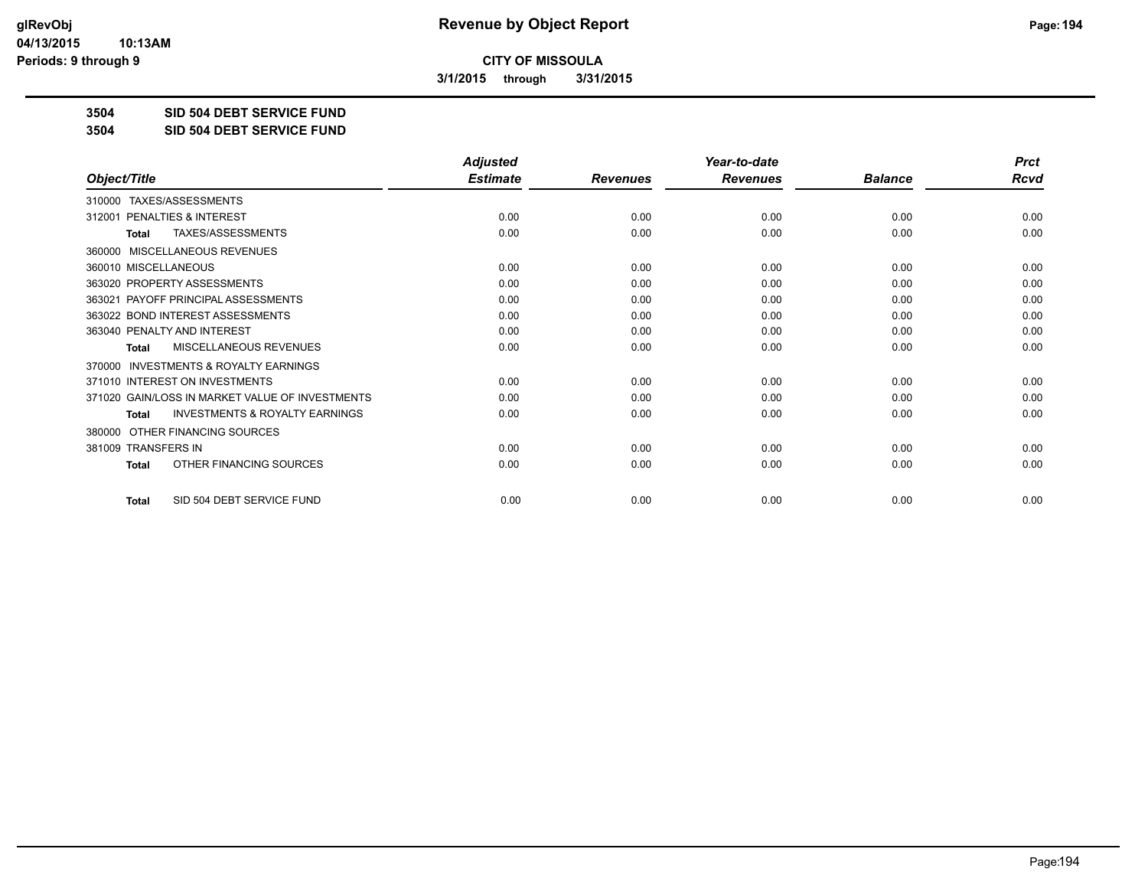**3/1/2015 through 3/31/2015**

**3504 SID 504 DEBT SERVICE FUND**

**3504 SID 504 DEBT SERVICE FUND**

|                                                           | <b>Adjusted</b> |                 | Year-to-date    |                | <b>Prct</b> |
|-----------------------------------------------------------|-----------------|-----------------|-----------------|----------------|-------------|
| Object/Title                                              | <b>Estimate</b> | <b>Revenues</b> | <b>Revenues</b> | <b>Balance</b> | <b>Rcvd</b> |
| TAXES/ASSESSMENTS<br>310000                               |                 |                 |                 |                |             |
| 312001 PENALTIES & INTEREST                               | 0.00            | 0.00            | 0.00            | 0.00           | 0.00        |
| TAXES/ASSESSMENTS<br><b>Total</b>                         | 0.00            | 0.00            | 0.00            | 0.00           | 0.00        |
| MISCELLANEOUS REVENUES<br>360000                          |                 |                 |                 |                |             |
| 360010 MISCELLANEOUS                                      | 0.00            | 0.00            | 0.00            | 0.00           | 0.00        |
| 363020 PROPERTY ASSESSMENTS                               | 0.00            | 0.00            | 0.00            | 0.00           | 0.00        |
| 363021 PAYOFF PRINCIPAL ASSESSMENTS                       | 0.00            | 0.00            | 0.00            | 0.00           | 0.00        |
| 363022 BOND INTEREST ASSESSMENTS                          | 0.00            | 0.00            | 0.00            | 0.00           | 0.00        |
| 363040 PENALTY AND INTEREST                               | 0.00            | 0.00            | 0.00            | 0.00           | 0.00        |
| MISCELLANEOUS REVENUES<br><b>Total</b>                    | 0.00            | 0.00            | 0.00            | 0.00           | 0.00        |
| <b>INVESTMENTS &amp; ROYALTY EARNINGS</b><br>370000       |                 |                 |                 |                |             |
| 371010 INTEREST ON INVESTMENTS                            | 0.00            | 0.00            | 0.00            | 0.00           | 0.00        |
| 371020 GAIN/LOSS IN MARKET VALUE OF INVESTMENTS           | 0.00            | 0.00            | 0.00            | 0.00           | 0.00        |
| <b>INVESTMENTS &amp; ROYALTY EARNINGS</b><br><b>Total</b> | 0.00            | 0.00            | 0.00            | 0.00           | 0.00        |
| OTHER FINANCING SOURCES<br>380000                         |                 |                 |                 |                |             |
| 381009 TRANSFERS IN                                       | 0.00            | 0.00            | 0.00            | 0.00           | 0.00        |
| OTHER FINANCING SOURCES<br>Total                          | 0.00            | 0.00            | 0.00            | 0.00           | 0.00        |
| SID 504 DEBT SERVICE FUND<br><b>Total</b>                 | 0.00            | 0.00            | 0.00            | 0.00           | 0.00        |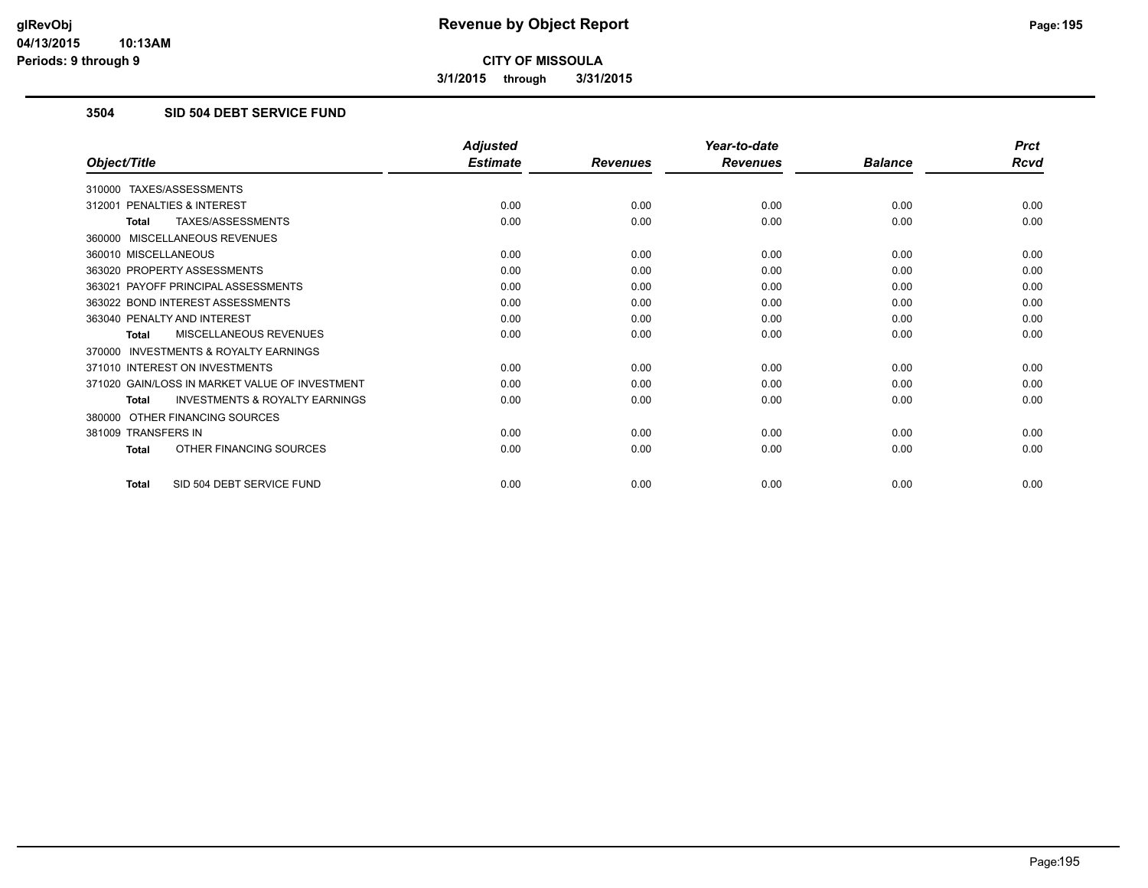**3/1/2015 through 3/31/2015**

# **3504 SID 504 DEBT SERVICE FUND**

|                                                           | <b>Adjusted</b> |                 | Year-to-date    |                | <b>Prct</b> |
|-----------------------------------------------------------|-----------------|-----------------|-----------------|----------------|-------------|
| Object/Title                                              | <b>Estimate</b> | <b>Revenues</b> | <b>Revenues</b> | <b>Balance</b> | <b>Rcvd</b> |
| 310000 TAXES/ASSESSMENTS                                  |                 |                 |                 |                |             |
| 312001 PENALTIES & INTEREST                               | 0.00            | 0.00            | 0.00            | 0.00           | 0.00        |
| TAXES/ASSESSMENTS<br><b>Total</b>                         | 0.00            | 0.00            | 0.00            | 0.00           | 0.00        |
| 360000 MISCELLANEOUS REVENUES                             |                 |                 |                 |                |             |
| 360010 MISCELLANEOUS                                      | 0.00            | 0.00            | 0.00            | 0.00           | 0.00        |
| 363020 PROPERTY ASSESSMENTS                               | 0.00            | 0.00            | 0.00            | 0.00           | 0.00        |
| 363021 PAYOFF PRINCIPAL ASSESSMENTS                       | 0.00            | 0.00            | 0.00            | 0.00           | 0.00        |
| 363022 BOND INTEREST ASSESSMENTS                          | 0.00            | 0.00            | 0.00            | 0.00           | 0.00        |
| 363040 PENALTY AND INTEREST                               | 0.00            | 0.00            | 0.00            | 0.00           | 0.00        |
| MISCELLANEOUS REVENUES<br>Total                           | 0.00            | 0.00            | 0.00            | 0.00           | 0.00        |
| 370000 INVESTMENTS & ROYALTY EARNINGS                     |                 |                 |                 |                |             |
| 371010 INTEREST ON INVESTMENTS                            | 0.00            | 0.00            | 0.00            | 0.00           | 0.00        |
| 371020 GAIN/LOSS IN MARKET VALUE OF INVESTMENT            | 0.00            | 0.00            | 0.00            | 0.00           | 0.00        |
| <b>INVESTMENTS &amp; ROYALTY EARNINGS</b><br><b>Total</b> | 0.00            | 0.00            | 0.00            | 0.00           | 0.00        |
| 380000 OTHER FINANCING SOURCES                            |                 |                 |                 |                |             |
| 381009 TRANSFERS IN                                       | 0.00            | 0.00            | 0.00            | 0.00           | 0.00        |
| OTHER FINANCING SOURCES<br><b>Total</b>                   | 0.00            | 0.00            | 0.00            | 0.00           | 0.00        |
| SID 504 DEBT SERVICE FUND<br><b>Total</b>                 | 0.00            | 0.00            | 0.00            | 0.00           | 0.00        |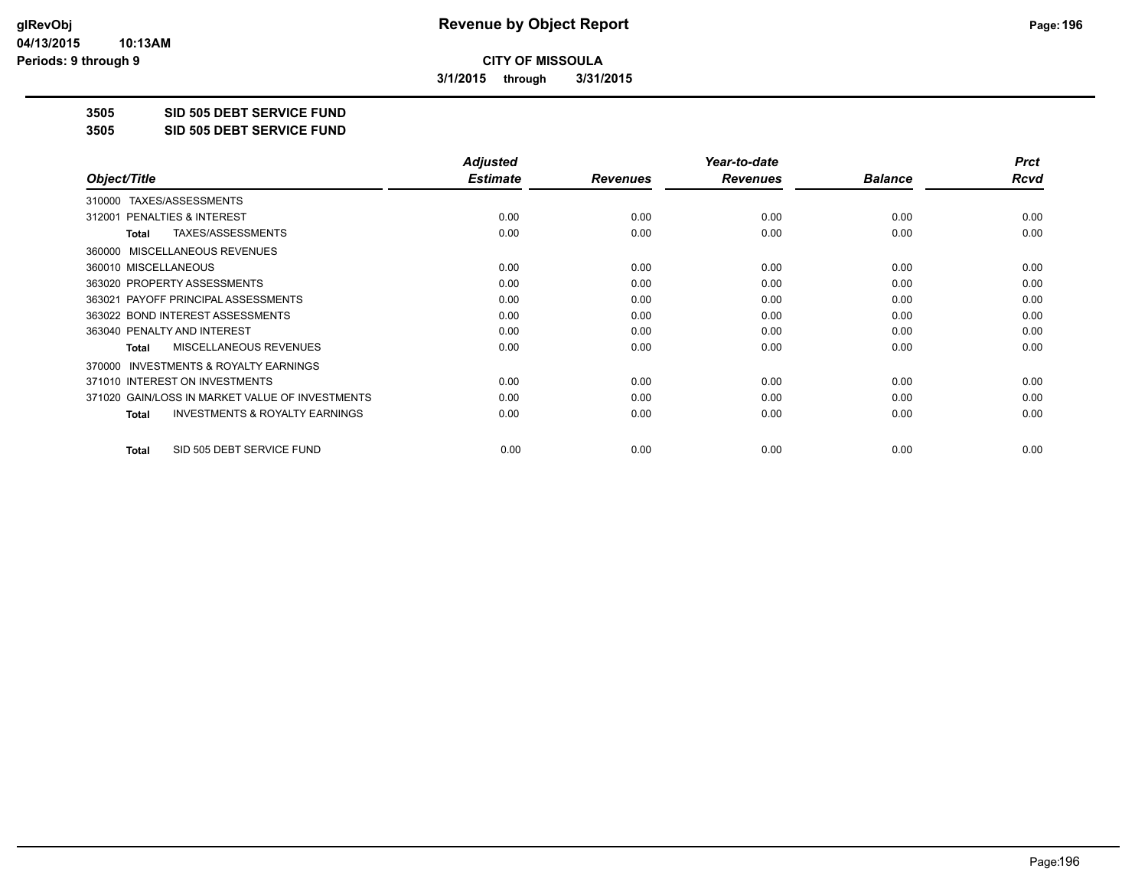**3/1/2015 through 3/31/2015**

**3505 SID 505 DEBT SERVICE FUND**

**3505 SID 505 DEBT SERVICE FUND**

|                                                           | <b>Adjusted</b> |                 | Year-to-date    |                | <b>Prct</b> |
|-----------------------------------------------------------|-----------------|-----------------|-----------------|----------------|-------------|
| Object/Title                                              | <b>Estimate</b> | <b>Revenues</b> | <b>Revenues</b> | <b>Balance</b> | Rcvd        |
| TAXES/ASSESSMENTS<br>310000                               |                 |                 |                 |                |             |
| 312001 PENALTIES & INTEREST                               | 0.00            | 0.00            | 0.00            | 0.00           | 0.00        |
| TAXES/ASSESSMENTS<br>Total                                | 0.00            | 0.00            | 0.00            | 0.00           | 0.00        |
| MISCELLANEOUS REVENUES<br>360000                          |                 |                 |                 |                |             |
| 360010 MISCELLANEOUS                                      | 0.00            | 0.00            | 0.00            | 0.00           | 0.00        |
| 363020 PROPERTY ASSESSMENTS                               | 0.00            | 0.00            | 0.00            | 0.00           | 0.00        |
| 363021 PAYOFF PRINCIPAL ASSESSMENTS                       | 0.00            | 0.00            | 0.00            | 0.00           | 0.00        |
| 363022 BOND INTEREST ASSESSMENTS                          | 0.00            | 0.00            | 0.00            | 0.00           | 0.00        |
| 363040 PENALTY AND INTEREST                               | 0.00            | 0.00            | 0.00            | 0.00           | 0.00        |
| MISCELLANEOUS REVENUES<br><b>Total</b>                    | 0.00            | 0.00            | 0.00            | 0.00           | 0.00        |
| <b>INVESTMENTS &amp; ROYALTY EARNINGS</b><br>370000       |                 |                 |                 |                |             |
| 371010 INTEREST ON INVESTMENTS                            | 0.00            | 0.00            | 0.00            | 0.00           | 0.00        |
| 371020 GAIN/LOSS IN MARKET VALUE OF INVESTMENTS           | 0.00            | 0.00            | 0.00            | 0.00           | 0.00        |
| <b>INVESTMENTS &amp; ROYALTY EARNINGS</b><br><b>Total</b> | 0.00            | 0.00            | 0.00            | 0.00           | 0.00        |
| SID 505 DEBT SERVICE FUND<br><b>Total</b>                 | 0.00            | 0.00            | 0.00            | 0.00           | 0.00        |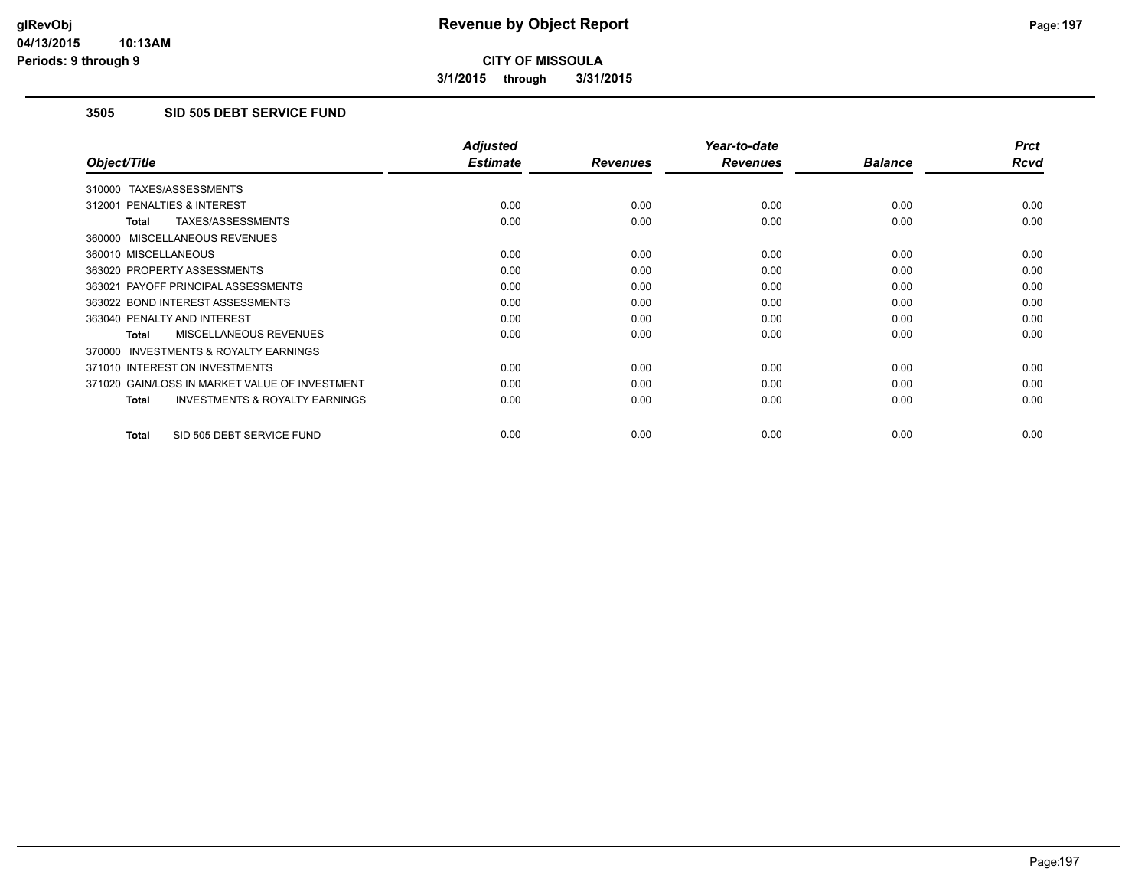**3/1/2015 through 3/31/2015**

# **3505 SID 505 DEBT SERVICE FUND**

|                                                           | <b>Adjusted</b> |                 | Year-to-date    |                | <b>Prct</b> |
|-----------------------------------------------------------|-----------------|-----------------|-----------------|----------------|-------------|
| Object/Title                                              | <b>Estimate</b> | <b>Revenues</b> | <b>Revenues</b> | <b>Balance</b> | <b>Rcvd</b> |
| 310000 TAXES/ASSESSMENTS                                  |                 |                 |                 |                |             |
| 312001 PENALTIES & INTEREST                               | 0.00            | 0.00            | 0.00            | 0.00           | 0.00        |
| TAXES/ASSESSMENTS<br><b>Total</b>                         | 0.00            | 0.00            | 0.00            | 0.00           | 0.00        |
| 360000 MISCELLANEOUS REVENUES                             |                 |                 |                 |                |             |
| 360010 MISCELLANEOUS                                      | 0.00            | 0.00            | 0.00            | 0.00           | 0.00        |
| 363020 PROPERTY ASSESSMENTS                               | 0.00            | 0.00            | 0.00            | 0.00           | 0.00        |
| 363021 PAYOFF PRINCIPAL ASSESSMENTS                       | 0.00            | 0.00            | 0.00            | 0.00           | 0.00        |
| 363022 BOND INTEREST ASSESSMENTS                          | 0.00            | 0.00            | 0.00            | 0.00           | 0.00        |
| 363040 PENALTY AND INTEREST                               | 0.00            | 0.00            | 0.00            | 0.00           | 0.00        |
| MISCELLANEOUS REVENUES<br>Total                           | 0.00            | 0.00            | 0.00            | 0.00           | 0.00        |
| <b>INVESTMENTS &amp; ROYALTY EARNINGS</b><br>370000       |                 |                 |                 |                |             |
| 371010 INTEREST ON INVESTMENTS                            | 0.00            | 0.00            | 0.00            | 0.00           | 0.00        |
| 371020 GAIN/LOSS IN MARKET VALUE OF INVESTMENT            | 0.00            | 0.00            | 0.00            | 0.00           | 0.00        |
| <b>INVESTMENTS &amp; ROYALTY EARNINGS</b><br><b>Total</b> | 0.00            | 0.00            | 0.00            | 0.00           | 0.00        |
|                                                           |                 |                 |                 |                |             |
| SID 505 DEBT SERVICE FUND<br><b>Total</b>                 | 0.00            | 0.00            | 0.00            | 0.00           | 0.00        |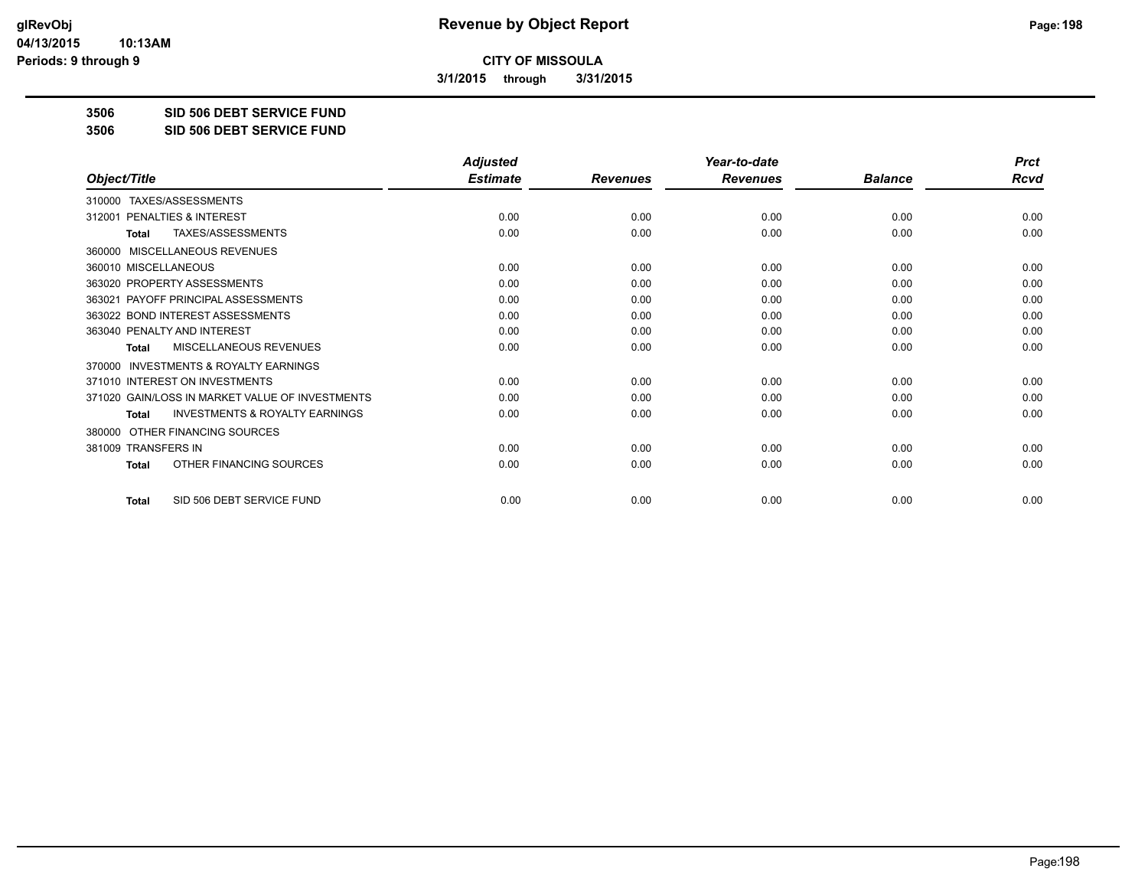**3/1/2015 through 3/31/2015**

**3506 SID 506 DEBT SERVICE FUND**

**3506 SID 506 DEBT SERVICE FUND**

|                                                           | <b>Adjusted</b> |                 | Year-to-date    |                | <b>Prct</b> |
|-----------------------------------------------------------|-----------------|-----------------|-----------------|----------------|-------------|
| Object/Title                                              | <b>Estimate</b> | <b>Revenues</b> | <b>Revenues</b> | <b>Balance</b> | <b>Rcvd</b> |
| TAXES/ASSESSMENTS<br>310000                               |                 |                 |                 |                |             |
| 312001 PENALTIES & INTEREST                               | 0.00            | 0.00            | 0.00            | 0.00           | 0.00        |
| TAXES/ASSESSMENTS<br><b>Total</b>                         | 0.00            | 0.00            | 0.00            | 0.00           | 0.00        |
| MISCELLANEOUS REVENUES<br>360000                          |                 |                 |                 |                |             |
| 360010 MISCELLANEOUS                                      | 0.00            | 0.00            | 0.00            | 0.00           | 0.00        |
| 363020 PROPERTY ASSESSMENTS                               | 0.00            | 0.00            | 0.00            | 0.00           | 0.00        |
| 363021 PAYOFF PRINCIPAL ASSESSMENTS                       | 0.00            | 0.00            | 0.00            | 0.00           | 0.00        |
| 363022 BOND INTEREST ASSESSMENTS                          | 0.00            | 0.00            | 0.00            | 0.00           | 0.00        |
| 363040 PENALTY AND INTEREST                               | 0.00            | 0.00            | 0.00            | 0.00           | 0.00        |
| MISCELLANEOUS REVENUES<br><b>Total</b>                    | 0.00            | 0.00            | 0.00            | 0.00           | 0.00        |
| <b>INVESTMENTS &amp; ROYALTY EARNINGS</b><br>370000       |                 |                 |                 |                |             |
| 371010 INTEREST ON INVESTMENTS                            | 0.00            | 0.00            | 0.00            | 0.00           | 0.00        |
| 371020 GAIN/LOSS IN MARKET VALUE OF INVESTMENTS           | 0.00            | 0.00            | 0.00            | 0.00           | 0.00        |
| <b>INVESTMENTS &amp; ROYALTY EARNINGS</b><br><b>Total</b> | 0.00            | 0.00            | 0.00            | 0.00           | 0.00        |
| OTHER FINANCING SOURCES<br>380000                         |                 |                 |                 |                |             |
| 381009 TRANSFERS IN                                       | 0.00            | 0.00            | 0.00            | 0.00           | 0.00        |
| OTHER FINANCING SOURCES<br><b>Total</b>                   | 0.00            | 0.00            | 0.00            | 0.00           | 0.00        |
| SID 506 DEBT SERVICE FUND<br><b>Total</b>                 | 0.00            | 0.00            | 0.00            | 0.00           | 0.00        |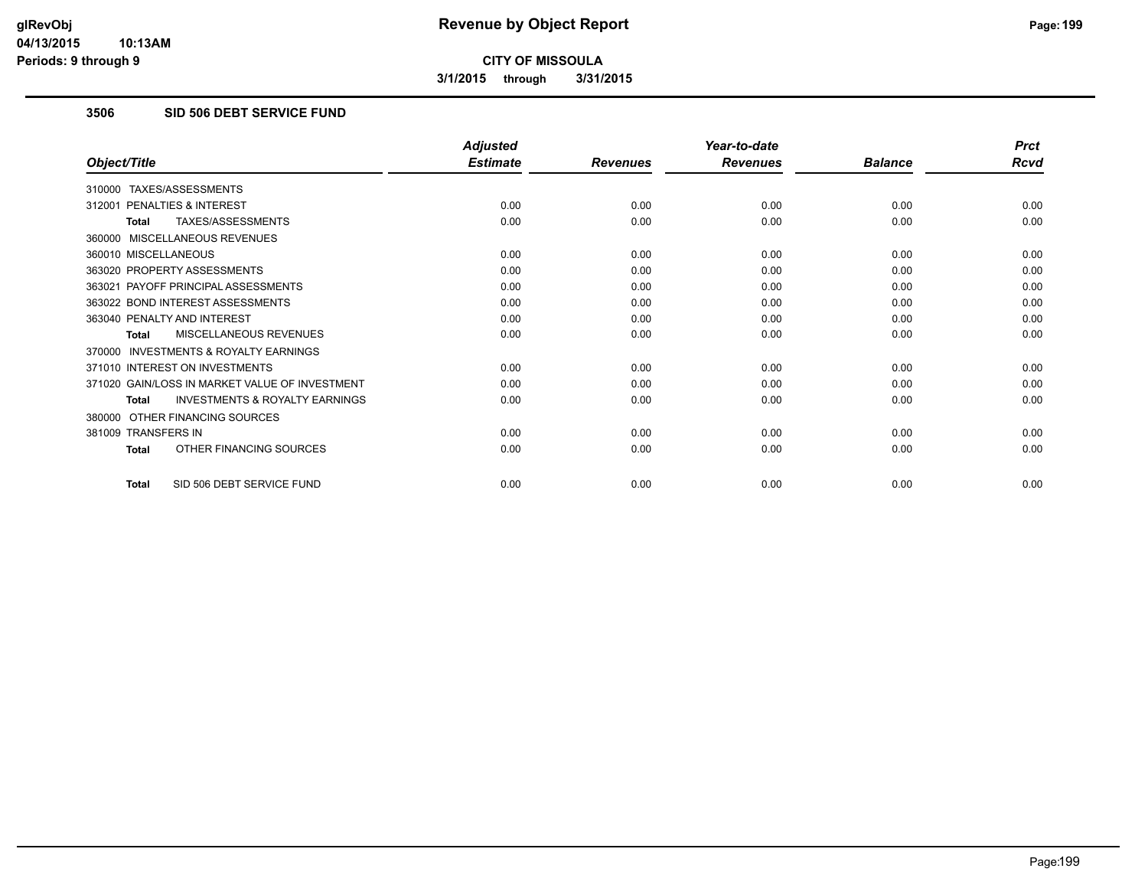**3/1/2015 through 3/31/2015**

# **3506 SID 506 DEBT SERVICE FUND**

|                                                           | <b>Adjusted</b> |                 | Year-to-date    |                | <b>Prct</b> |
|-----------------------------------------------------------|-----------------|-----------------|-----------------|----------------|-------------|
| Object/Title                                              | <b>Estimate</b> | <b>Revenues</b> | <b>Revenues</b> | <b>Balance</b> | <b>Rcvd</b> |
| 310000 TAXES/ASSESSMENTS                                  |                 |                 |                 |                |             |
| 312001 PENALTIES & INTEREST                               | 0.00            | 0.00            | 0.00            | 0.00           | 0.00        |
| TAXES/ASSESSMENTS<br><b>Total</b>                         | 0.00            | 0.00            | 0.00            | 0.00           | 0.00        |
| 360000 MISCELLANEOUS REVENUES                             |                 |                 |                 |                |             |
| 360010 MISCELLANEOUS                                      | 0.00            | 0.00            | 0.00            | 0.00           | 0.00        |
| 363020 PROPERTY ASSESSMENTS                               | 0.00            | 0.00            | 0.00            | 0.00           | 0.00        |
| 363021 PAYOFF PRINCIPAL ASSESSMENTS                       | 0.00            | 0.00            | 0.00            | 0.00           | 0.00        |
| 363022 BOND INTEREST ASSESSMENTS                          | 0.00            | 0.00            | 0.00            | 0.00           | 0.00        |
| 363040 PENALTY AND INTEREST                               | 0.00            | 0.00            | 0.00            | 0.00           | 0.00        |
| MISCELLANEOUS REVENUES<br>Total                           | 0.00            | 0.00            | 0.00            | 0.00           | 0.00        |
| 370000 INVESTMENTS & ROYALTY EARNINGS                     |                 |                 |                 |                |             |
| 371010 INTEREST ON INVESTMENTS                            | 0.00            | 0.00            | 0.00            | 0.00           | 0.00        |
| 371020 GAIN/LOSS IN MARKET VALUE OF INVESTMENT            | 0.00            | 0.00            | 0.00            | 0.00           | 0.00        |
| <b>INVESTMENTS &amp; ROYALTY EARNINGS</b><br><b>Total</b> | 0.00            | 0.00            | 0.00            | 0.00           | 0.00        |
| 380000 OTHER FINANCING SOURCES                            |                 |                 |                 |                |             |
| 381009 TRANSFERS IN                                       | 0.00            | 0.00            | 0.00            | 0.00           | 0.00        |
| OTHER FINANCING SOURCES<br><b>Total</b>                   | 0.00            | 0.00            | 0.00            | 0.00           | 0.00        |
| SID 506 DEBT SERVICE FUND<br><b>Total</b>                 | 0.00            | 0.00            | 0.00            | 0.00           | 0.00        |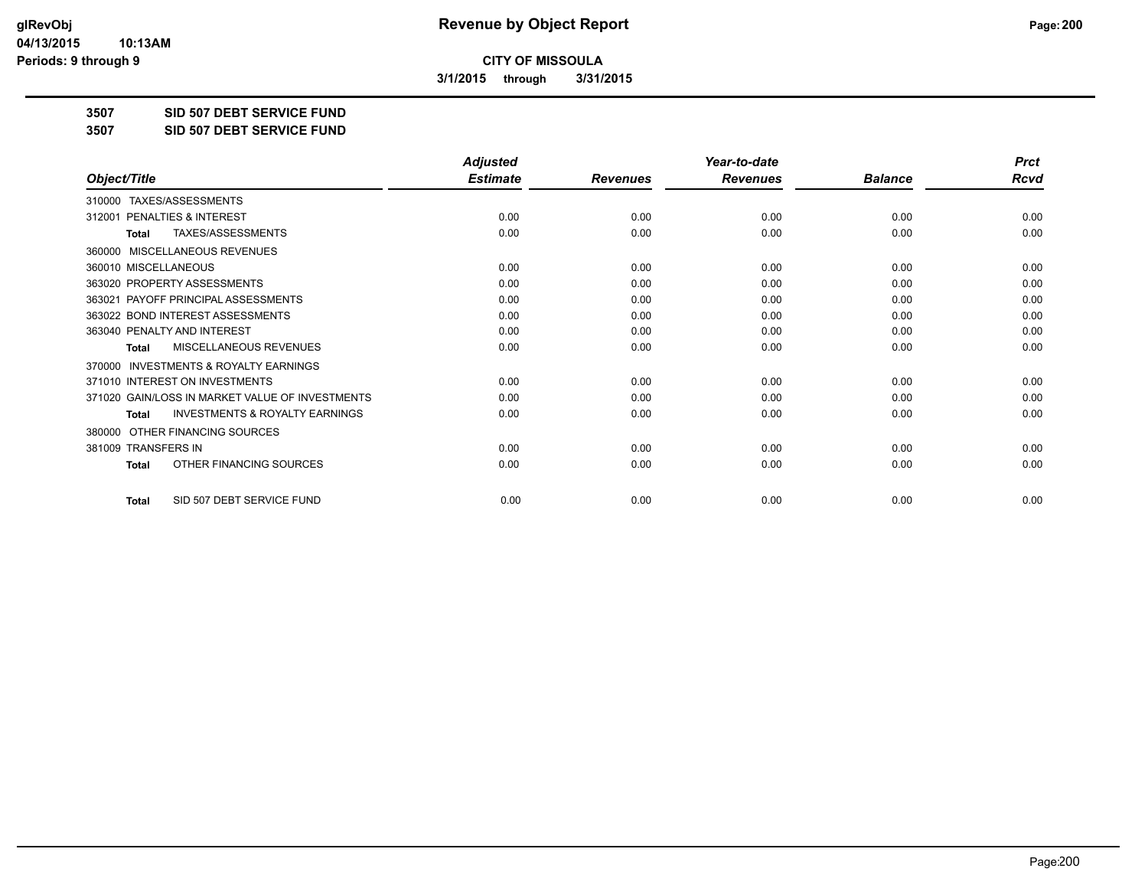**3/1/2015 through 3/31/2015**

**3507 SID 507 DEBT SERVICE FUND**

**3507 SID 507 DEBT SERVICE FUND**

|                                                           | <b>Adjusted</b> |                 | Year-to-date    |                | <b>Prct</b> |
|-----------------------------------------------------------|-----------------|-----------------|-----------------|----------------|-------------|
| Object/Title                                              | <b>Estimate</b> | <b>Revenues</b> | <b>Revenues</b> | <b>Balance</b> | <b>Rcvd</b> |
| TAXES/ASSESSMENTS<br>310000                               |                 |                 |                 |                |             |
| 312001 PENALTIES & INTEREST                               | 0.00            | 0.00            | 0.00            | 0.00           | 0.00        |
| TAXES/ASSESSMENTS<br><b>Total</b>                         | 0.00            | 0.00            | 0.00            | 0.00           | 0.00        |
| MISCELLANEOUS REVENUES<br>360000                          |                 |                 |                 |                |             |
| 360010 MISCELLANEOUS                                      | 0.00            | 0.00            | 0.00            | 0.00           | 0.00        |
| 363020 PROPERTY ASSESSMENTS                               | 0.00            | 0.00            | 0.00            | 0.00           | 0.00        |
| 363021 PAYOFF PRINCIPAL ASSESSMENTS                       | 0.00            | 0.00            | 0.00            | 0.00           | 0.00        |
| 363022 BOND INTEREST ASSESSMENTS                          | 0.00            | 0.00            | 0.00            | 0.00           | 0.00        |
| 363040 PENALTY AND INTEREST                               | 0.00            | 0.00            | 0.00            | 0.00           | 0.00        |
| MISCELLANEOUS REVENUES<br><b>Total</b>                    | 0.00            | 0.00            | 0.00            | 0.00           | 0.00        |
| <b>INVESTMENTS &amp; ROYALTY EARNINGS</b><br>370000       |                 |                 |                 |                |             |
| 371010 INTEREST ON INVESTMENTS                            | 0.00            | 0.00            | 0.00            | 0.00           | 0.00        |
| 371020 GAIN/LOSS IN MARKET VALUE OF INVESTMENTS           | 0.00            | 0.00            | 0.00            | 0.00           | 0.00        |
| <b>INVESTMENTS &amp; ROYALTY EARNINGS</b><br><b>Total</b> | 0.00            | 0.00            | 0.00            | 0.00           | 0.00        |
| OTHER FINANCING SOURCES<br>380000                         |                 |                 |                 |                |             |
| 381009 TRANSFERS IN                                       | 0.00            | 0.00            | 0.00            | 0.00           | 0.00        |
| OTHER FINANCING SOURCES<br><b>Total</b>                   | 0.00            | 0.00            | 0.00            | 0.00           | 0.00        |
| SID 507 DEBT SERVICE FUND<br><b>Total</b>                 | 0.00            | 0.00            | 0.00            | 0.00           | 0.00        |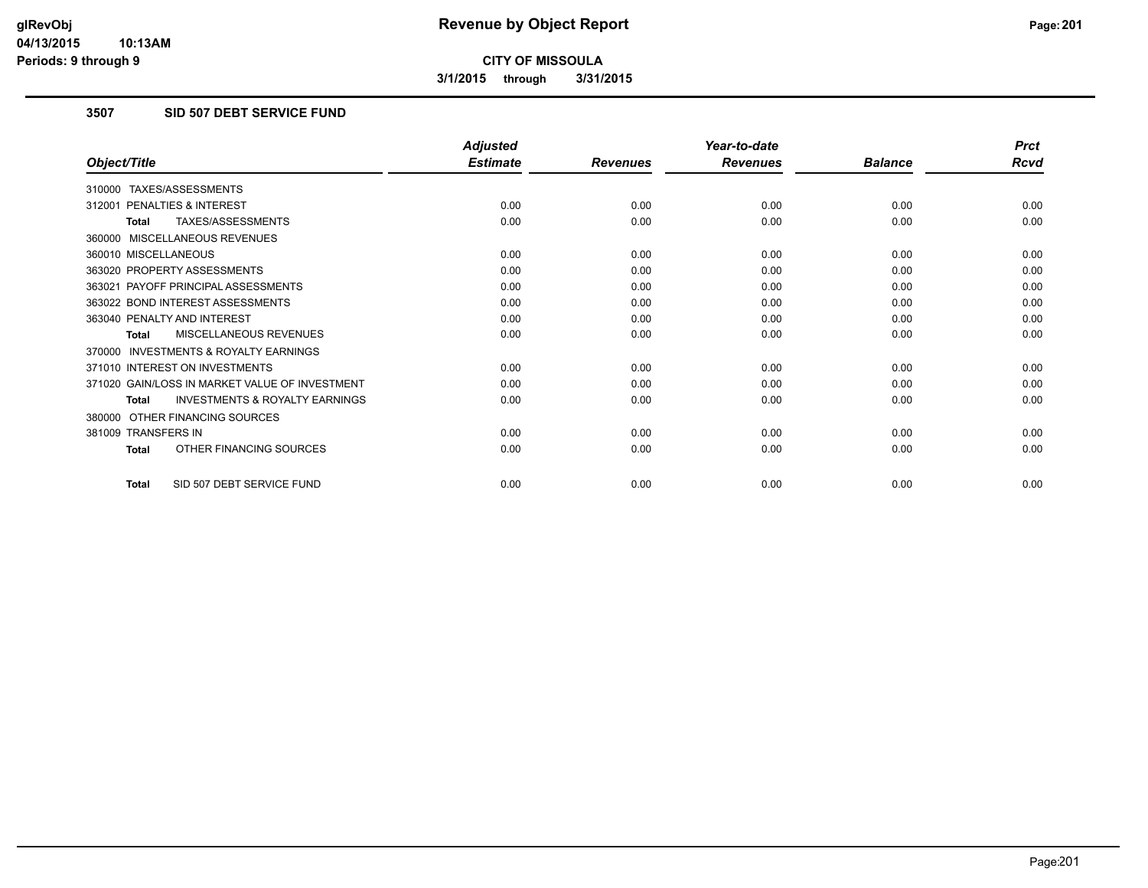**3/1/2015 through 3/31/2015**

# **3507 SID 507 DEBT SERVICE FUND**

|                                                           | <b>Adjusted</b> |                 | Year-to-date    |                | <b>Prct</b> |
|-----------------------------------------------------------|-----------------|-----------------|-----------------|----------------|-------------|
| Object/Title                                              | <b>Estimate</b> | <b>Revenues</b> | <b>Revenues</b> | <b>Balance</b> | <b>Rcvd</b> |
| 310000 TAXES/ASSESSMENTS                                  |                 |                 |                 |                |             |
| 312001 PENALTIES & INTEREST                               | 0.00            | 0.00            | 0.00            | 0.00           | 0.00        |
| TAXES/ASSESSMENTS<br><b>Total</b>                         | 0.00            | 0.00            | 0.00            | 0.00           | 0.00        |
| 360000 MISCELLANEOUS REVENUES                             |                 |                 |                 |                |             |
| 360010 MISCELLANEOUS                                      | 0.00            | 0.00            | 0.00            | 0.00           | 0.00        |
| 363020 PROPERTY ASSESSMENTS                               | 0.00            | 0.00            | 0.00            | 0.00           | 0.00        |
| 363021 PAYOFF PRINCIPAL ASSESSMENTS                       | 0.00            | 0.00            | 0.00            | 0.00           | 0.00        |
| 363022 BOND INTEREST ASSESSMENTS                          | 0.00            | 0.00            | 0.00            | 0.00           | 0.00        |
| 363040 PENALTY AND INTEREST                               | 0.00            | 0.00            | 0.00            | 0.00           | 0.00        |
| MISCELLANEOUS REVENUES<br><b>Total</b>                    | 0.00            | 0.00            | 0.00            | 0.00           | 0.00        |
| <b>INVESTMENTS &amp; ROYALTY EARNINGS</b><br>370000       |                 |                 |                 |                |             |
| 371010 INTEREST ON INVESTMENTS                            | 0.00            | 0.00            | 0.00            | 0.00           | 0.00        |
| 371020 GAIN/LOSS IN MARKET VALUE OF INVESTMENT            | 0.00            | 0.00            | 0.00            | 0.00           | 0.00        |
| <b>INVESTMENTS &amp; ROYALTY EARNINGS</b><br><b>Total</b> | 0.00            | 0.00            | 0.00            | 0.00           | 0.00        |
| 380000 OTHER FINANCING SOURCES                            |                 |                 |                 |                |             |
| 381009 TRANSFERS IN                                       | 0.00            | 0.00            | 0.00            | 0.00           | 0.00        |
| OTHER FINANCING SOURCES<br><b>Total</b>                   | 0.00            | 0.00            | 0.00            | 0.00           | 0.00        |
| SID 507 DEBT SERVICE FUND<br>Total                        | 0.00            | 0.00            | 0.00            | 0.00           | 0.00        |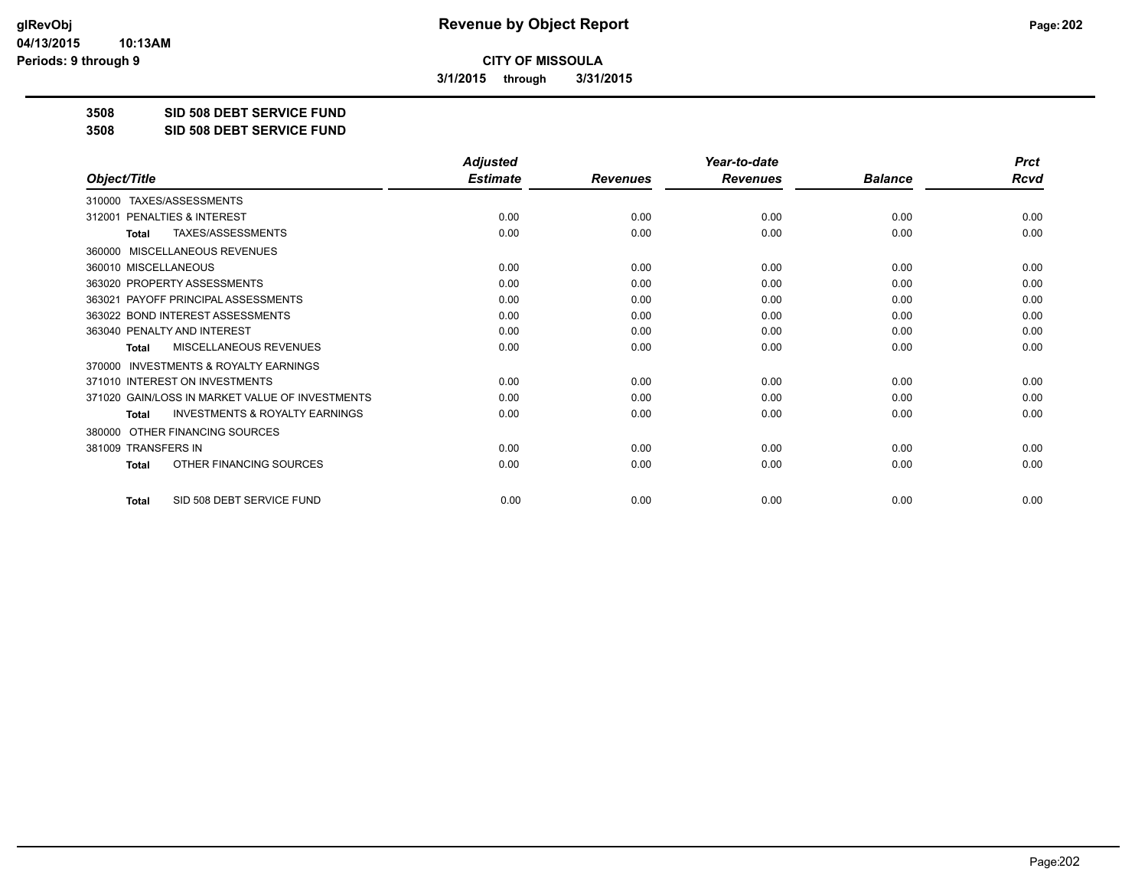**3/1/2015 through 3/31/2015**

**3508 SID 508 DEBT SERVICE FUND**

**3508 SID 508 DEBT SERVICE FUND**

|                                                           | <b>Adjusted</b> |                 | Year-to-date    |                | <b>Prct</b> |
|-----------------------------------------------------------|-----------------|-----------------|-----------------|----------------|-------------|
| Object/Title                                              | <b>Estimate</b> | <b>Revenues</b> | <b>Revenues</b> | <b>Balance</b> | <b>Rcvd</b> |
| TAXES/ASSESSMENTS<br>310000                               |                 |                 |                 |                |             |
| 312001 PENALTIES & INTEREST                               | 0.00            | 0.00            | 0.00            | 0.00           | 0.00        |
| TAXES/ASSESSMENTS<br><b>Total</b>                         | 0.00            | 0.00            | 0.00            | 0.00           | 0.00        |
| MISCELLANEOUS REVENUES<br>360000                          |                 |                 |                 |                |             |
| 360010 MISCELLANEOUS                                      | 0.00            | 0.00            | 0.00            | 0.00           | 0.00        |
| 363020 PROPERTY ASSESSMENTS                               | 0.00            | 0.00            | 0.00            | 0.00           | 0.00        |
| 363021 PAYOFF PRINCIPAL ASSESSMENTS                       | 0.00            | 0.00            | 0.00            | 0.00           | 0.00        |
| 363022 BOND INTEREST ASSESSMENTS                          | 0.00            | 0.00            | 0.00            | 0.00           | 0.00        |
| 363040 PENALTY AND INTEREST                               | 0.00            | 0.00            | 0.00            | 0.00           | 0.00        |
| MISCELLANEOUS REVENUES<br><b>Total</b>                    | 0.00            | 0.00            | 0.00            | 0.00           | 0.00        |
| <b>INVESTMENTS &amp; ROYALTY EARNINGS</b><br>370000       |                 |                 |                 |                |             |
| 371010 INTEREST ON INVESTMENTS                            | 0.00            | 0.00            | 0.00            | 0.00           | 0.00        |
| 371020 GAIN/LOSS IN MARKET VALUE OF INVESTMENTS           | 0.00            | 0.00            | 0.00            | 0.00           | 0.00        |
| <b>INVESTMENTS &amp; ROYALTY EARNINGS</b><br><b>Total</b> | 0.00            | 0.00            | 0.00            | 0.00           | 0.00        |
| OTHER FINANCING SOURCES<br>380000                         |                 |                 |                 |                |             |
| 381009 TRANSFERS IN                                       | 0.00            | 0.00            | 0.00            | 0.00           | 0.00        |
| OTHER FINANCING SOURCES<br><b>Total</b>                   | 0.00            | 0.00            | 0.00            | 0.00           | 0.00        |
| SID 508 DEBT SERVICE FUND<br><b>Total</b>                 | 0.00            | 0.00            | 0.00            | 0.00           | 0.00        |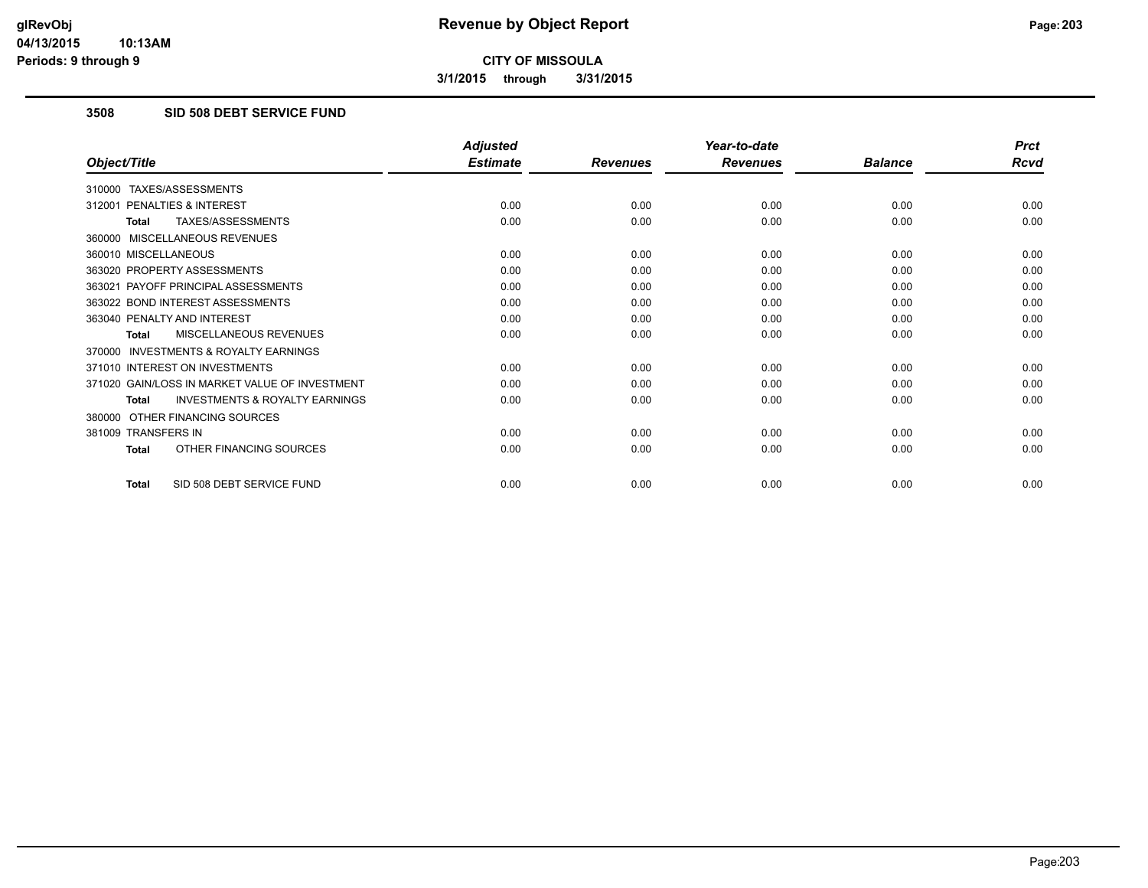**3/1/2015 through 3/31/2015**

# **3508 SID 508 DEBT SERVICE FUND**

|                                                           | <b>Adjusted</b> |                 | Year-to-date    |                | <b>Prct</b> |
|-----------------------------------------------------------|-----------------|-----------------|-----------------|----------------|-------------|
| Object/Title                                              | <b>Estimate</b> | <b>Revenues</b> | <b>Revenues</b> | <b>Balance</b> | <b>Rcvd</b> |
| 310000 TAXES/ASSESSMENTS                                  |                 |                 |                 |                |             |
| 312001 PENALTIES & INTEREST                               | 0.00            | 0.00            | 0.00            | 0.00           | 0.00        |
| TAXES/ASSESSMENTS<br><b>Total</b>                         | 0.00            | 0.00            | 0.00            | 0.00           | 0.00        |
| 360000 MISCELLANEOUS REVENUES                             |                 |                 |                 |                |             |
| 360010 MISCELLANEOUS                                      | 0.00            | 0.00            | 0.00            | 0.00           | 0.00        |
| 363020 PROPERTY ASSESSMENTS                               | 0.00            | 0.00            | 0.00            | 0.00           | 0.00        |
| 363021 PAYOFF PRINCIPAL ASSESSMENTS                       | 0.00            | 0.00            | 0.00            | 0.00           | 0.00        |
| 363022 BOND INTEREST ASSESSMENTS                          | 0.00            | 0.00            | 0.00            | 0.00           | 0.00        |
| 363040 PENALTY AND INTEREST                               | 0.00            | 0.00            | 0.00            | 0.00           | 0.00        |
| MISCELLANEOUS REVENUES<br><b>Total</b>                    | 0.00            | 0.00            | 0.00            | 0.00           | 0.00        |
| <b>INVESTMENTS &amp; ROYALTY EARNINGS</b><br>370000       |                 |                 |                 |                |             |
| 371010 INTEREST ON INVESTMENTS                            | 0.00            | 0.00            | 0.00            | 0.00           | 0.00        |
| 371020 GAIN/LOSS IN MARKET VALUE OF INVESTMENT            | 0.00            | 0.00            | 0.00            | 0.00           | 0.00        |
| <b>INVESTMENTS &amp; ROYALTY EARNINGS</b><br><b>Total</b> | 0.00            | 0.00            | 0.00            | 0.00           | 0.00        |
| 380000 OTHER FINANCING SOURCES                            |                 |                 |                 |                |             |
| 381009 TRANSFERS IN                                       | 0.00            | 0.00            | 0.00            | 0.00           | 0.00        |
| OTHER FINANCING SOURCES<br>Total                          | 0.00            | 0.00            | 0.00            | 0.00           | 0.00        |
| SID 508 DEBT SERVICE FUND<br>Total                        | 0.00            | 0.00            | 0.00            | 0.00           | 0.00        |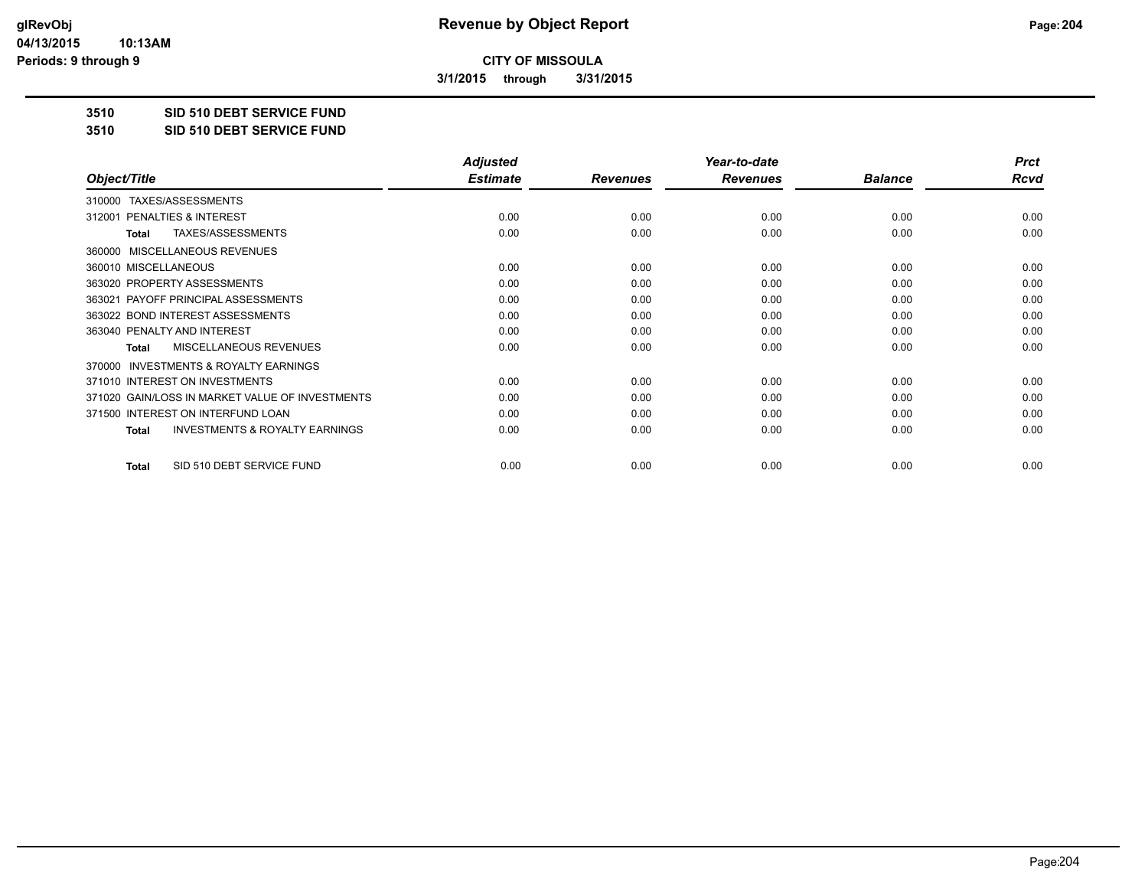**3/1/2015 through 3/31/2015**

**3510 SID 510 DEBT SERVICE FUND**

**3510 SID 510 DEBT SERVICE FUND**

|                                                           | <b>Adjusted</b> |                 | Year-to-date    |                | <b>Prct</b> |
|-----------------------------------------------------------|-----------------|-----------------|-----------------|----------------|-------------|
| Object/Title                                              | <b>Estimate</b> | <b>Revenues</b> | <b>Revenues</b> | <b>Balance</b> | <b>Rcvd</b> |
| TAXES/ASSESSMENTS<br>310000                               |                 |                 |                 |                |             |
| 312001 PENALTIES & INTEREST                               | 0.00            | 0.00            | 0.00            | 0.00           | 0.00        |
| TAXES/ASSESSMENTS<br><b>Total</b>                         | 0.00            | 0.00            | 0.00            | 0.00           | 0.00        |
| <b>MISCELLANEOUS REVENUES</b><br>360000                   |                 |                 |                 |                |             |
| 360010 MISCELLANEOUS                                      | 0.00            | 0.00            | 0.00            | 0.00           | 0.00        |
| 363020 PROPERTY ASSESSMENTS                               | 0.00            | 0.00            | 0.00            | 0.00           | 0.00        |
| 363021 PAYOFF PRINCIPAL ASSESSMENTS                       | 0.00            | 0.00            | 0.00            | 0.00           | 0.00        |
| 363022 BOND INTEREST ASSESSMENTS                          | 0.00            | 0.00            | 0.00            | 0.00           | 0.00        |
| 363040 PENALTY AND INTEREST                               | 0.00            | 0.00            | 0.00            | 0.00           | 0.00        |
| <b>MISCELLANEOUS REVENUES</b><br><b>Total</b>             | 0.00            | 0.00            | 0.00            | 0.00           | 0.00        |
| <b>INVESTMENTS &amp; ROYALTY EARNINGS</b><br>370000       |                 |                 |                 |                |             |
| 371010 INTEREST ON INVESTMENTS                            | 0.00            | 0.00            | 0.00            | 0.00           | 0.00        |
| 371020 GAIN/LOSS IN MARKET VALUE OF INVESTMENTS           | 0.00            | 0.00            | 0.00            | 0.00           | 0.00        |
| 371500 INTEREST ON INTERFUND LOAN                         | 0.00            | 0.00            | 0.00            | 0.00           | 0.00        |
| <b>INVESTMENTS &amp; ROYALTY EARNINGS</b><br><b>Total</b> | 0.00            | 0.00            | 0.00            | 0.00           | 0.00        |
| SID 510 DEBT SERVICE FUND<br>Total                        | 0.00            | 0.00            | 0.00            | 0.00           | 0.00        |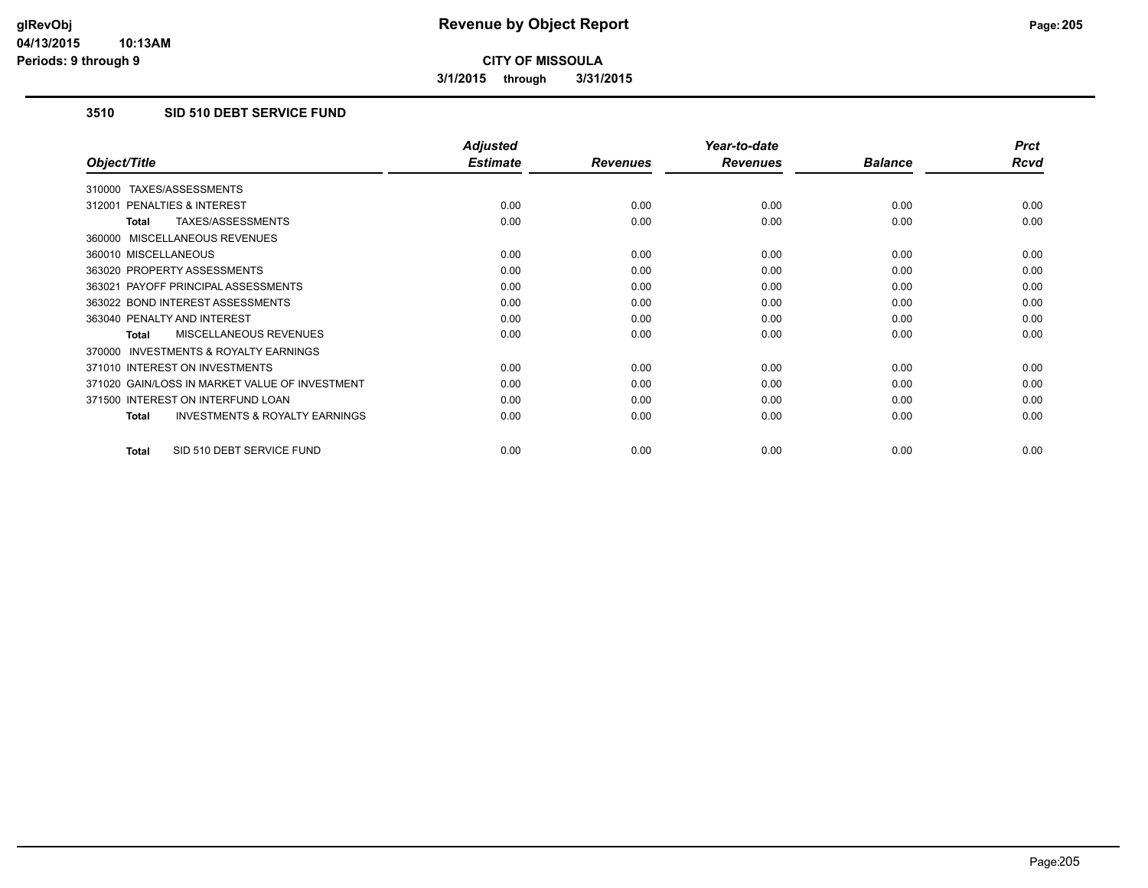**3/1/2015 through 3/31/2015**

# **3510 SID 510 DEBT SERVICE FUND**

|                                                           | <b>Adjusted</b> |                 | Year-to-date    |                | <b>Prct</b> |
|-----------------------------------------------------------|-----------------|-----------------|-----------------|----------------|-------------|
| Object/Title                                              | <b>Estimate</b> | <b>Revenues</b> | <b>Revenues</b> | <b>Balance</b> | Rcvd        |
| TAXES/ASSESSMENTS<br>310000                               |                 |                 |                 |                |             |
| <b>PENALTIES &amp; INTEREST</b><br>312001                 | 0.00            | 0.00            | 0.00            | 0.00           | 0.00        |
| TAXES/ASSESSMENTS<br>Total                                | 0.00            | 0.00            | 0.00            | 0.00           | 0.00        |
| 360000 MISCELLANEOUS REVENUES                             |                 |                 |                 |                |             |
| 360010 MISCELLANEOUS                                      | 0.00            | 0.00            | 0.00            | 0.00           | 0.00        |
| 363020 PROPERTY ASSESSMENTS                               | 0.00            | 0.00            | 0.00            | 0.00           | 0.00        |
| 363021 PAYOFF PRINCIPAL ASSESSMENTS                       | 0.00            | 0.00            | 0.00            | 0.00           | 0.00        |
| 363022 BOND INTEREST ASSESSMENTS                          | 0.00            | 0.00            | 0.00            | 0.00           | 0.00        |
| 363040 PENALTY AND INTEREST                               | 0.00            | 0.00            | 0.00            | 0.00           | 0.00        |
| <b>MISCELLANEOUS REVENUES</b><br><b>Total</b>             | 0.00            | 0.00            | 0.00            | 0.00           | 0.00        |
| <b>INVESTMENTS &amp; ROYALTY EARNINGS</b><br>370000       |                 |                 |                 |                |             |
| 371010 INTEREST ON INVESTMENTS                            | 0.00            | 0.00            | 0.00            | 0.00           | 0.00        |
| 371020 GAIN/LOSS IN MARKET VALUE OF INVESTMENT            | 0.00            | 0.00            | 0.00            | 0.00           | 0.00        |
| 371500 INTEREST ON INTERFUND LOAN                         | 0.00            | 0.00            | 0.00            | 0.00           | 0.00        |
| <b>INVESTMENTS &amp; ROYALTY EARNINGS</b><br><b>Total</b> | 0.00            | 0.00            | 0.00            | 0.00           | 0.00        |
|                                                           |                 |                 |                 |                |             |
| SID 510 DEBT SERVICE FUND<br><b>Total</b>                 | 0.00            | 0.00            | 0.00            | 0.00           | 0.00        |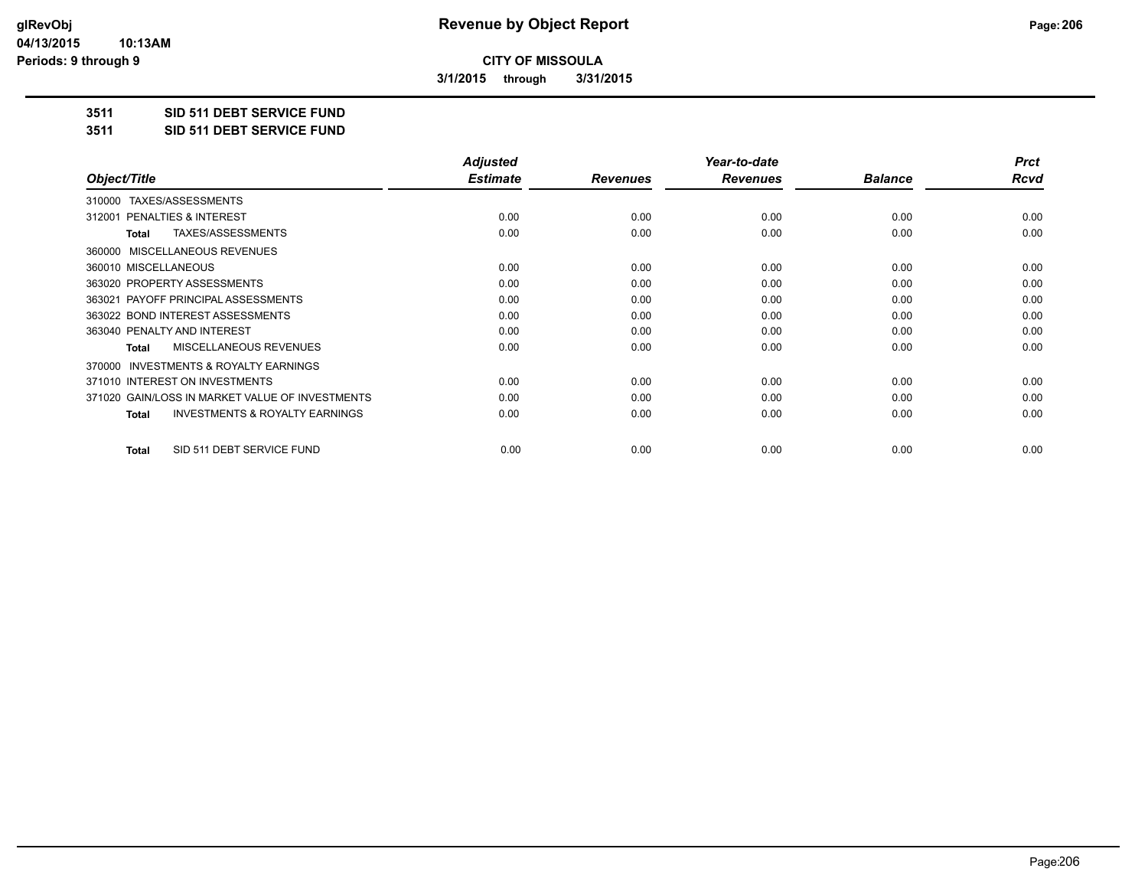**3/1/2015 through 3/31/2015**

**3511 SID 511 DEBT SERVICE FUND**

**3511 SID 511 DEBT SERVICE FUND**

|                                                           | <b>Adjusted</b> |                 | Year-to-date    |                | <b>Prct</b> |
|-----------------------------------------------------------|-----------------|-----------------|-----------------|----------------|-------------|
| Object/Title                                              | <b>Estimate</b> | <b>Revenues</b> | <b>Revenues</b> | <b>Balance</b> | Rcvd        |
| TAXES/ASSESSMENTS<br>310000                               |                 |                 |                 |                |             |
| <b>PENALTIES &amp; INTEREST</b><br>312001                 | 0.00            | 0.00            | 0.00            | 0.00           | 0.00        |
| TAXES/ASSESSMENTS<br><b>Total</b>                         | 0.00            | 0.00            | 0.00            | 0.00           | 0.00        |
| 360000 MISCELLANEOUS REVENUES                             |                 |                 |                 |                |             |
| 360010 MISCELLANEOUS                                      | 0.00            | 0.00            | 0.00            | 0.00           | 0.00        |
| 363020 PROPERTY ASSESSMENTS                               | 0.00            | 0.00            | 0.00            | 0.00           | 0.00        |
| 363021 PAYOFF PRINCIPAL ASSESSMENTS                       | 0.00            | 0.00            | 0.00            | 0.00           | 0.00        |
| 363022 BOND INTEREST ASSESSMENTS                          | 0.00            | 0.00            | 0.00            | 0.00           | 0.00        |
| 363040 PENALTY AND INTEREST                               | 0.00            | 0.00            | 0.00            | 0.00           | 0.00        |
| MISCELLANEOUS REVENUES<br><b>Total</b>                    | 0.00            | 0.00            | 0.00            | 0.00           | 0.00        |
| 370000 INVESTMENTS & ROYALTY EARNINGS                     |                 |                 |                 |                |             |
| 371010 INTEREST ON INVESTMENTS                            | 0.00            | 0.00            | 0.00            | 0.00           | 0.00        |
| 371020 GAIN/LOSS IN MARKET VALUE OF INVESTMENTS           | 0.00            | 0.00            | 0.00            | 0.00           | 0.00        |
| <b>INVESTMENTS &amp; ROYALTY EARNINGS</b><br><b>Total</b> | 0.00            | 0.00            | 0.00            | 0.00           | 0.00        |
| SID 511 DEBT SERVICE FUND<br>Total                        | 0.00            | 0.00            | 0.00            | 0.00           | 0.00        |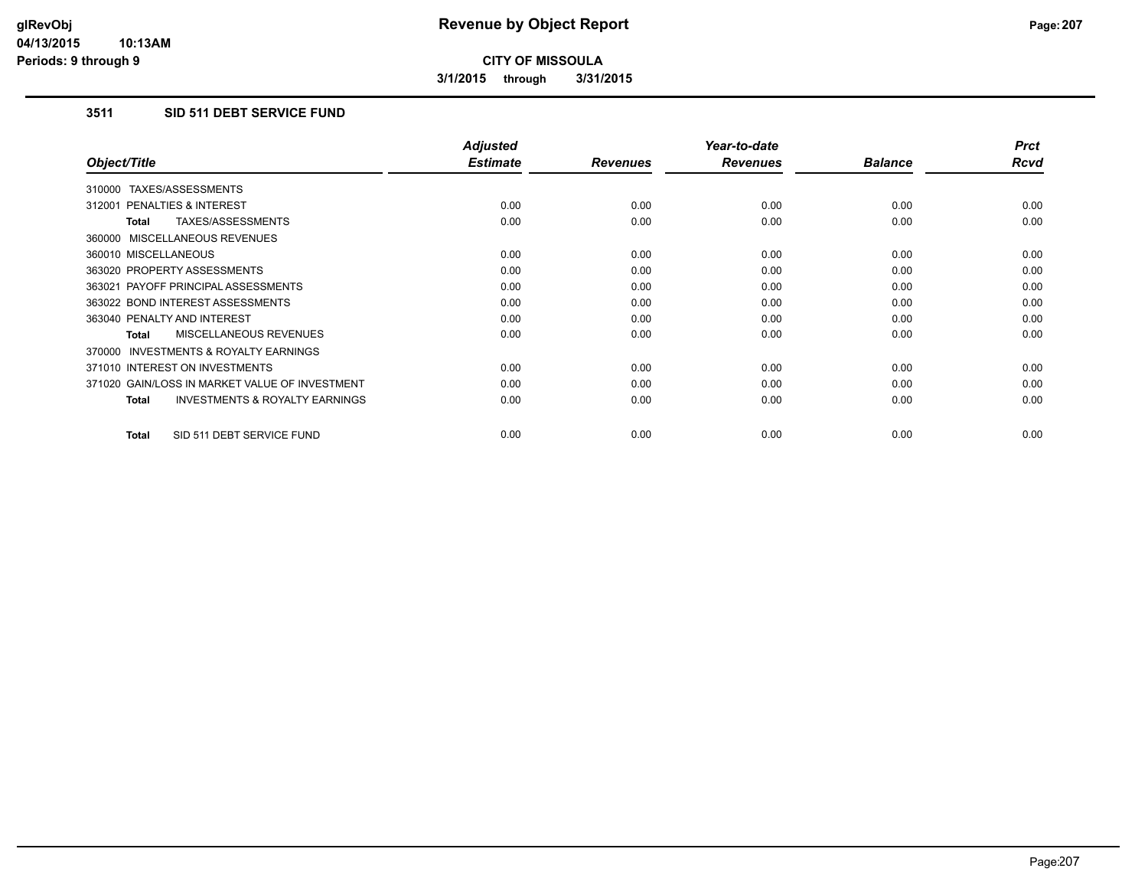**3/1/2015 through 3/31/2015**

# **3511 SID 511 DEBT SERVICE FUND**

|                                                           | <b>Adjusted</b> |                 | Year-to-date    |                | <b>Prct</b> |
|-----------------------------------------------------------|-----------------|-----------------|-----------------|----------------|-------------|
| Object/Title                                              | <b>Estimate</b> | <b>Revenues</b> | <b>Revenues</b> | <b>Balance</b> | <b>Rcvd</b> |
| 310000 TAXES/ASSESSMENTS                                  |                 |                 |                 |                |             |
| 312001 PENALTIES & INTEREST                               | 0.00            | 0.00            | 0.00            | 0.00           | 0.00        |
| TAXES/ASSESSMENTS<br><b>Total</b>                         | 0.00            | 0.00            | 0.00            | 0.00           | 0.00        |
| 360000 MISCELLANEOUS REVENUES                             |                 |                 |                 |                |             |
| 360010 MISCELLANEOUS                                      | 0.00            | 0.00            | 0.00            | 0.00           | 0.00        |
| 363020 PROPERTY ASSESSMENTS                               | 0.00            | 0.00            | 0.00            | 0.00           | 0.00        |
| 363021 PAYOFF PRINCIPAL ASSESSMENTS                       | 0.00            | 0.00            | 0.00            | 0.00           | 0.00        |
| 363022 BOND INTEREST ASSESSMENTS                          | 0.00            | 0.00            | 0.00            | 0.00           | 0.00        |
| 363040 PENALTY AND INTEREST                               | 0.00            | 0.00            | 0.00            | 0.00           | 0.00        |
| MISCELLANEOUS REVENUES<br>Total                           | 0.00            | 0.00            | 0.00            | 0.00           | 0.00        |
| <b>INVESTMENTS &amp; ROYALTY EARNINGS</b><br>370000       |                 |                 |                 |                |             |
| 371010 INTEREST ON INVESTMENTS                            | 0.00            | 0.00            | 0.00            | 0.00           | 0.00        |
| 371020 GAIN/LOSS IN MARKET VALUE OF INVESTMENT            | 0.00            | 0.00            | 0.00            | 0.00           | 0.00        |
| <b>INVESTMENTS &amp; ROYALTY EARNINGS</b><br><b>Total</b> | 0.00            | 0.00            | 0.00            | 0.00           | 0.00        |
| SID 511 DEBT SERVICE FUND<br><b>Total</b>                 | 0.00            | 0.00            | 0.00            | 0.00           | 0.00        |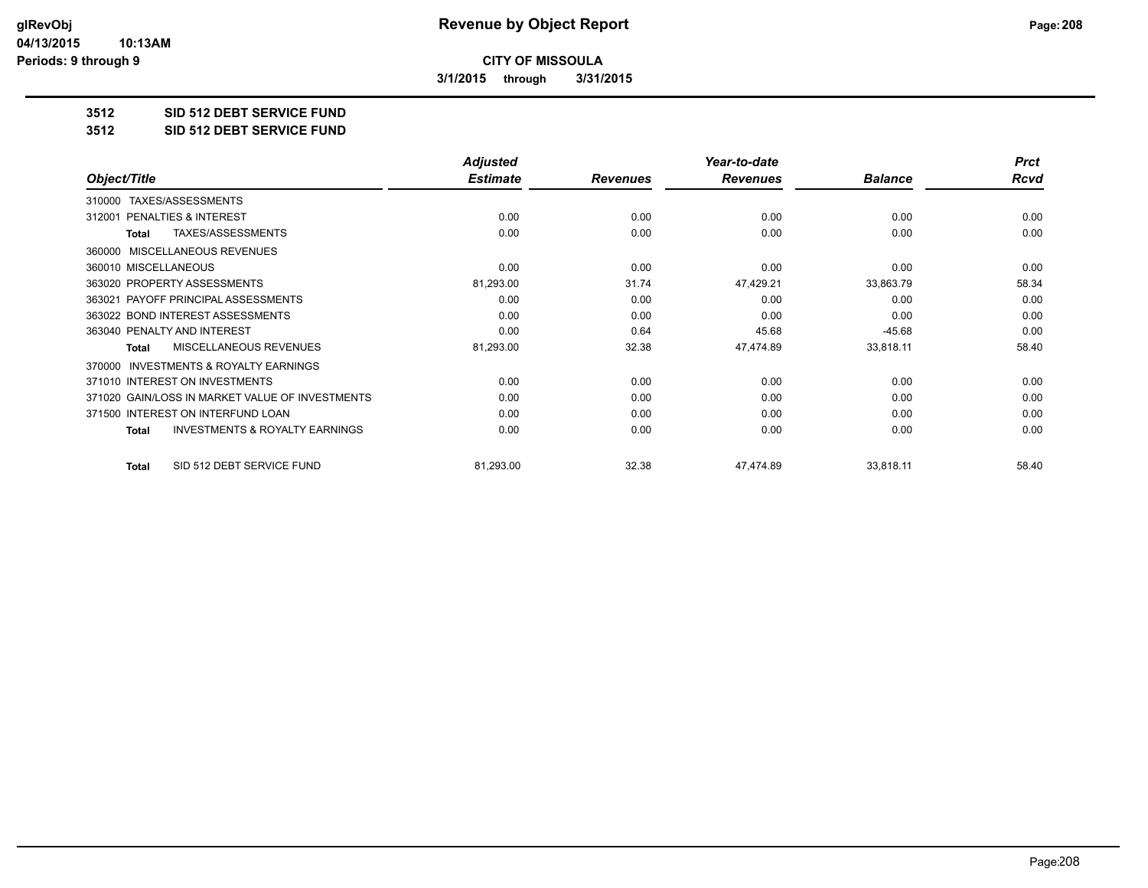**3/1/2015 through 3/31/2015**

**3512 SID 512 DEBT SERVICE FUND**

**3512 SID 512 DEBT SERVICE FUND**

|                                                           | <b>Adjusted</b> |                 | Year-to-date    |                | <b>Prct</b> |
|-----------------------------------------------------------|-----------------|-----------------|-----------------|----------------|-------------|
| Object/Title                                              | <b>Estimate</b> | <b>Revenues</b> | <b>Revenues</b> | <b>Balance</b> | <b>Rcvd</b> |
| TAXES/ASSESSMENTS<br>310000                               |                 |                 |                 |                |             |
| <b>PENALTIES &amp; INTEREST</b><br>312001                 | 0.00            | 0.00            | 0.00            | 0.00           | 0.00        |
| TAXES/ASSESSMENTS<br><b>Total</b>                         | 0.00            | 0.00            | 0.00            | 0.00           | 0.00        |
| MISCELLANEOUS REVENUES<br>360000                          |                 |                 |                 |                |             |
| 360010 MISCELLANEOUS                                      | 0.00            | 0.00            | 0.00            | 0.00           | 0.00        |
| 363020 PROPERTY ASSESSMENTS                               | 81,293.00       | 31.74           | 47,429.21       | 33,863.79      | 58.34       |
| 363021 PAYOFF PRINCIPAL ASSESSMENTS                       | 0.00            | 0.00            | 0.00            | 0.00           | 0.00        |
| 363022 BOND INTEREST ASSESSMENTS                          | 0.00            | 0.00            | 0.00            | 0.00           | 0.00        |
| 363040 PENALTY AND INTEREST                               | 0.00            | 0.64            | 45.68           | $-45.68$       | 0.00        |
| <b>MISCELLANEOUS REVENUES</b><br><b>Total</b>             | 81,293.00       | 32.38           | 47,474.89       | 33,818.11      | 58.40       |
| <b>INVESTMENTS &amp; ROYALTY EARNINGS</b><br>370000       |                 |                 |                 |                |             |
| 371010 INTEREST ON INVESTMENTS                            | 0.00            | 0.00            | 0.00            | 0.00           | 0.00        |
| 371020 GAIN/LOSS IN MARKET VALUE OF INVESTMENTS           | 0.00            | 0.00            | 0.00            | 0.00           | 0.00        |
| 371500 INTEREST ON INTERFUND LOAN                         | 0.00            | 0.00            | 0.00            | 0.00           | 0.00        |
| <b>INVESTMENTS &amp; ROYALTY EARNINGS</b><br><b>Total</b> | 0.00            | 0.00            | 0.00            | 0.00           | 0.00        |
| SID 512 DEBT SERVICE FUND<br><b>Total</b>                 | 81,293.00       | 32.38           | 47,474.89       | 33,818.11      | 58.40       |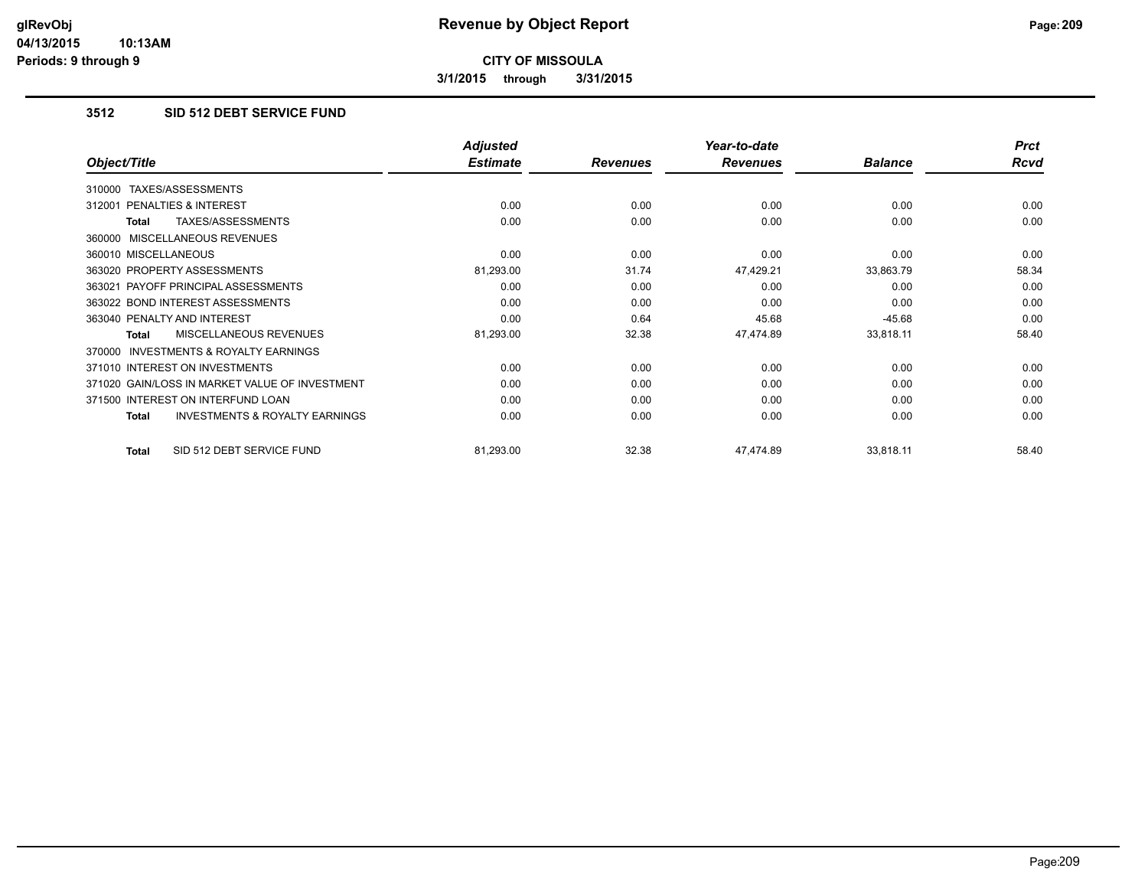**3/1/2015 through 3/31/2015**

# **3512 SID 512 DEBT SERVICE FUND**

|                                                           | <b>Adjusted</b> |                 | Year-to-date    |                | <b>Prct</b> |
|-----------------------------------------------------------|-----------------|-----------------|-----------------|----------------|-------------|
| Object/Title                                              | <b>Estimate</b> | <b>Revenues</b> | <b>Revenues</b> | <b>Balance</b> | Rcvd        |
| TAXES/ASSESSMENTS<br>310000                               |                 |                 |                 |                |             |
| 312001 PENALTIES & INTEREST                               | 0.00            | 0.00            | 0.00            | 0.00           | 0.00        |
| TAXES/ASSESSMENTS<br>Total                                | 0.00            | 0.00            | 0.00            | 0.00           | 0.00        |
| 360000 MISCELLANEOUS REVENUES                             |                 |                 |                 |                |             |
| 360010 MISCELLANEOUS                                      | 0.00            | 0.00            | 0.00            | 0.00           | 0.00        |
| 363020 PROPERTY ASSESSMENTS                               | 81,293.00       | 31.74           | 47,429.21       | 33,863.79      | 58.34       |
| 363021 PAYOFF PRINCIPAL ASSESSMENTS                       | 0.00            | 0.00            | 0.00            | 0.00           | 0.00        |
| 363022 BOND INTEREST ASSESSMENTS                          | 0.00            | 0.00            | 0.00            | 0.00           | 0.00        |
| 363040 PENALTY AND INTEREST                               | 0.00            | 0.64            | 45.68           | $-45.68$       | 0.00        |
| MISCELLANEOUS REVENUES<br>Total                           | 81,293.00       | 32.38           | 47,474.89       | 33,818.11      | 58.40       |
| 370000 INVESTMENTS & ROYALTY EARNINGS                     |                 |                 |                 |                |             |
| 371010 INTEREST ON INVESTMENTS                            | 0.00            | 0.00            | 0.00            | 0.00           | 0.00        |
| 371020 GAIN/LOSS IN MARKET VALUE OF INVESTMENT            | 0.00            | 0.00            | 0.00            | 0.00           | 0.00        |
| 371500 INTEREST ON INTERFUND LOAN                         | 0.00            | 0.00            | 0.00            | 0.00           | 0.00        |
| <b>INVESTMENTS &amp; ROYALTY EARNINGS</b><br><b>Total</b> | 0.00            | 0.00            | 0.00            | 0.00           | 0.00        |
| SID 512 DEBT SERVICE FUND<br><b>Total</b>                 | 81,293.00       | 32.38           | 47,474.89       | 33,818.11      | 58.40       |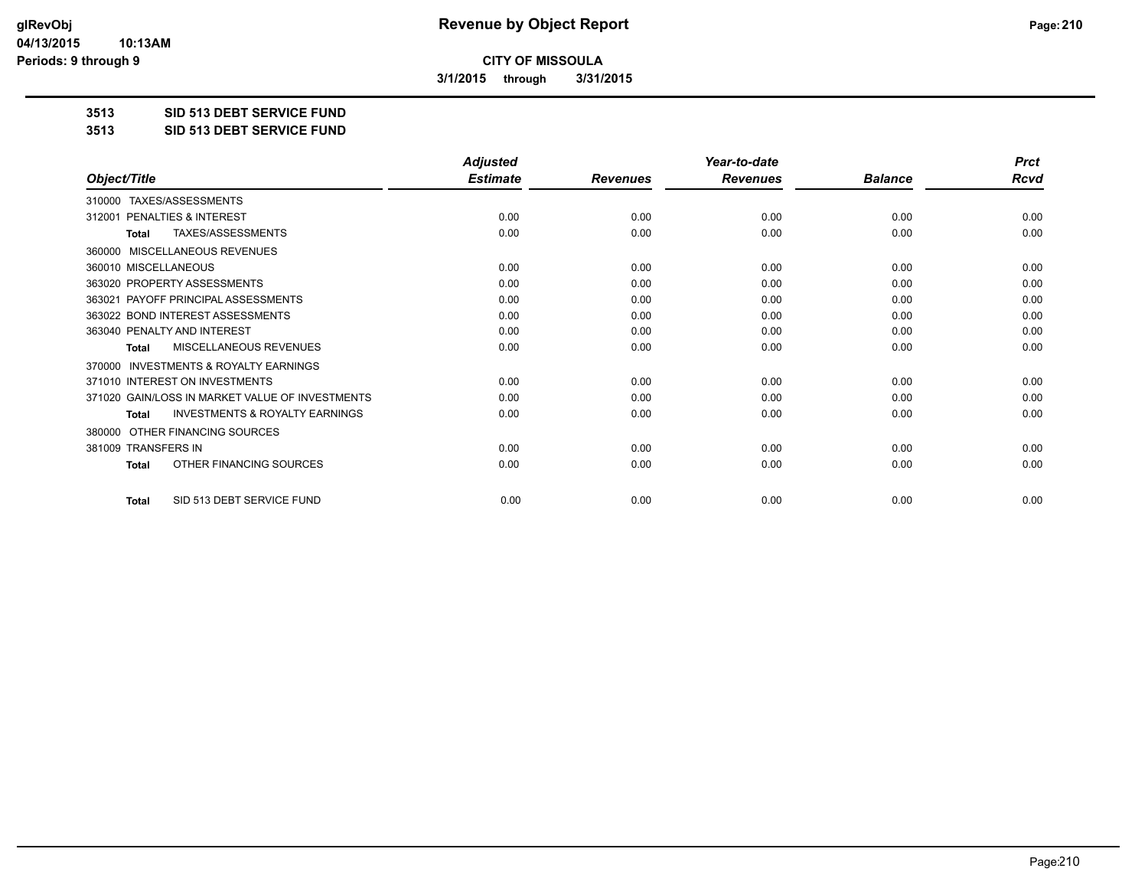**3/1/2015 through 3/31/2015**

**3513 SID 513 DEBT SERVICE FUND**

**3513 SID 513 DEBT SERVICE FUND**

|                                                           | <b>Adjusted</b> |                 | Year-to-date    |                | <b>Prct</b> |
|-----------------------------------------------------------|-----------------|-----------------|-----------------|----------------|-------------|
| Object/Title                                              | <b>Estimate</b> | <b>Revenues</b> | <b>Revenues</b> | <b>Balance</b> | <b>Rcvd</b> |
| TAXES/ASSESSMENTS<br>310000                               |                 |                 |                 |                |             |
| 312001 PENALTIES & INTEREST                               | 0.00            | 0.00            | 0.00            | 0.00           | 0.00        |
| TAXES/ASSESSMENTS<br><b>Total</b>                         | 0.00            | 0.00            | 0.00            | 0.00           | 0.00        |
| MISCELLANEOUS REVENUES<br>360000                          |                 |                 |                 |                |             |
| 360010 MISCELLANEOUS                                      | 0.00            | 0.00            | 0.00            | 0.00           | 0.00        |
| 363020 PROPERTY ASSESSMENTS                               | 0.00            | 0.00            | 0.00            | 0.00           | 0.00        |
| 363021 PAYOFF PRINCIPAL ASSESSMENTS                       | 0.00            | 0.00            | 0.00            | 0.00           | 0.00        |
| 363022 BOND INTEREST ASSESSMENTS                          | 0.00            | 0.00            | 0.00            | 0.00           | 0.00        |
| 363040 PENALTY AND INTEREST                               | 0.00            | 0.00            | 0.00            | 0.00           | 0.00        |
| MISCELLANEOUS REVENUES<br><b>Total</b>                    | 0.00            | 0.00            | 0.00            | 0.00           | 0.00        |
| <b>INVESTMENTS &amp; ROYALTY EARNINGS</b><br>370000       |                 |                 |                 |                |             |
| 371010 INTEREST ON INVESTMENTS                            | 0.00            | 0.00            | 0.00            | 0.00           | 0.00        |
| 371020 GAIN/LOSS IN MARKET VALUE OF INVESTMENTS           | 0.00            | 0.00            | 0.00            | 0.00           | 0.00        |
| <b>INVESTMENTS &amp; ROYALTY EARNINGS</b><br><b>Total</b> | 0.00            | 0.00            | 0.00            | 0.00           | 0.00        |
| OTHER FINANCING SOURCES<br>380000                         |                 |                 |                 |                |             |
| 381009 TRANSFERS IN                                       | 0.00            | 0.00            | 0.00            | 0.00           | 0.00        |
| OTHER FINANCING SOURCES<br><b>Total</b>                   | 0.00            | 0.00            | 0.00            | 0.00           | 0.00        |
| SID 513 DEBT SERVICE FUND<br><b>Total</b>                 | 0.00            | 0.00            | 0.00            | 0.00           | 0.00        |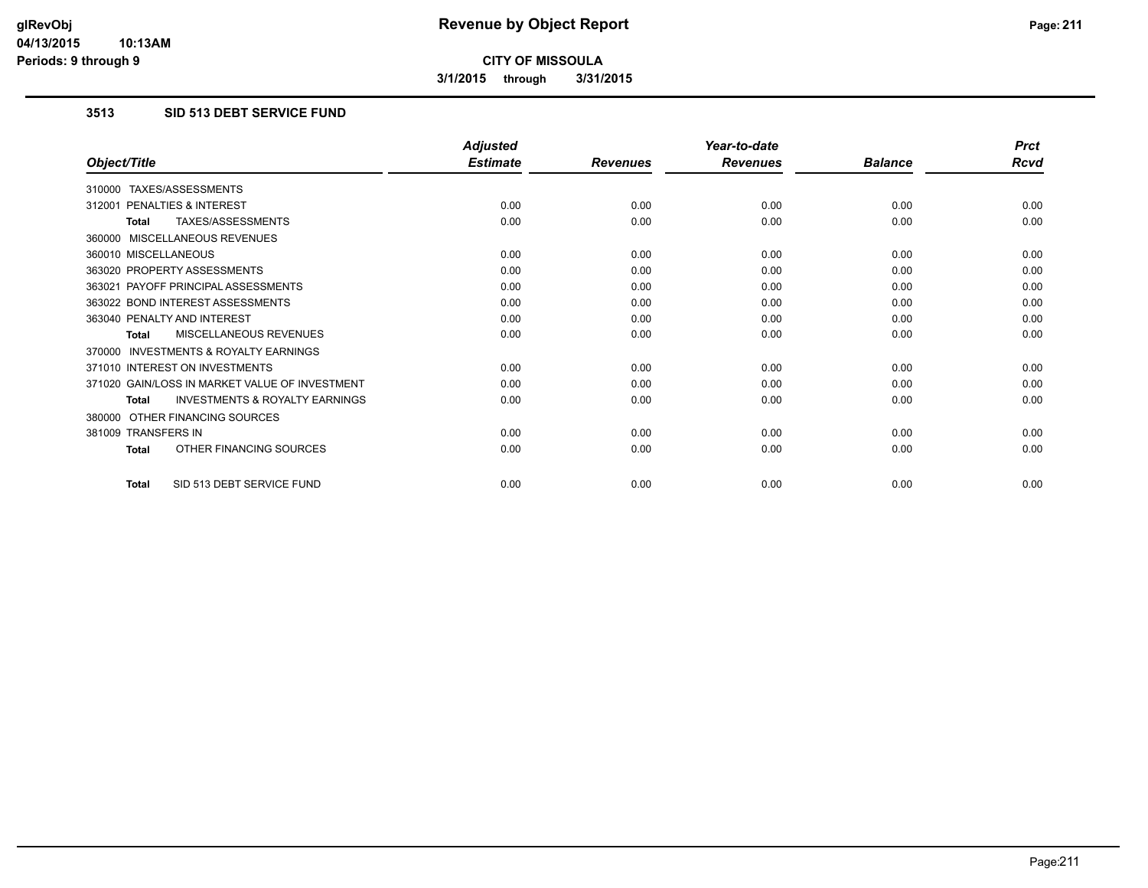**3/1/2015 through 3/31/2015**

# **3513 SID 513 DEBT SERVICE FUND**

|                                                           | <b>Adjusted</b> |                 | Year-to-date    |                | <b>Prct</b> |
|-----------------------------------------------------------|-----------------|-----------------|-----------------|----------------|-------------|
| Object/Title                                              | <b>Estimate</b> | <b>Revenues</b> | <b>Revenues</b> | <b>Balance</b> | <b>Rcvd</b> |
| 310000 TAXES/ASSESSMENTS                                  |                 |                 |                 |                |             |
| 312001 PENALTIES & INTEREST                               | 0.00            | 0.00            | 0.00            | 0.00           | 0.00        |
| TAXES/ASSESSMENTS<br><b>Total</b>                         | 0.00            | 0.00            | 0.00            | 0.00           | 0.00        |
| 360000 MISCELLANEOUS REVENUES                             |                 |                 |                 |                |             |
| 360010 MISCELLANEOUS                                      | 0.00            | 0.00            | 0.00            | 0.00           | 0.00        |
| 363020 PROPERTY ASSESSMENTS                               | 0.00            | 0.00            | 0.00            | 0.00           | 0.00        |
| 363021 PAYOFF PRINCIPAL ASSESSMENTS                       | 0.00            | 0.00            | 0.00            | 0.00           | 0.00        |
| 363022 BOND INTEREST ASSESSMENTS                          | 0.00            | 0.00            | 0.00            | 0.00           | 0.00        |
| 363040 PENALTY AND INTEREST                               | 0.00            | 0.00            | 0.00            | 0.00           | 0.00        |
| MISCELLANEOUS REVENUES<br><b>Total</b>                    | 0.00            | 0.00            | 0.00            | 0.00           | 0.00        |
| <b>INVESTMENTS &amp; ROYALTY EARNINGS</b><br>370000       |                 |                 |                 |                |             |
| 371010 INTEREST ON INVESTMENTS                            | 0.00            | 0.00            | 0.00            | 0.00           | 0.00        |
| 371020 GAIN/LOSS IN MARKET VALUE OF INVESTMENT            | 0.00            | 0.00            | 0.00            | 0.00           | 0.00        |
| <b>INVESTMENTS &amp; ROYALTY EARNINGS</b><br><b>Total</b> | 0.00            | 0.00            | 0.00            | 0.00           | 0.00        |
| 380000 OTHER FINANCING SOURCES                            |                 |                 |                 |                |             |
| 381009 TRANSFERS IN                                       | 0.00            | 0.00            | 0.00            | 0.00           | 0.00        |
| OTHER FINANCING SOURCES<br>Total                          | 0.00            | 0.00            | 0.00            | 0.00           | 0.00        |
| SID 513 DEBT SERVICE FUND<br>Total                        | 0.00            | 0.00            | 0.00            | 0.00           | 0.00        |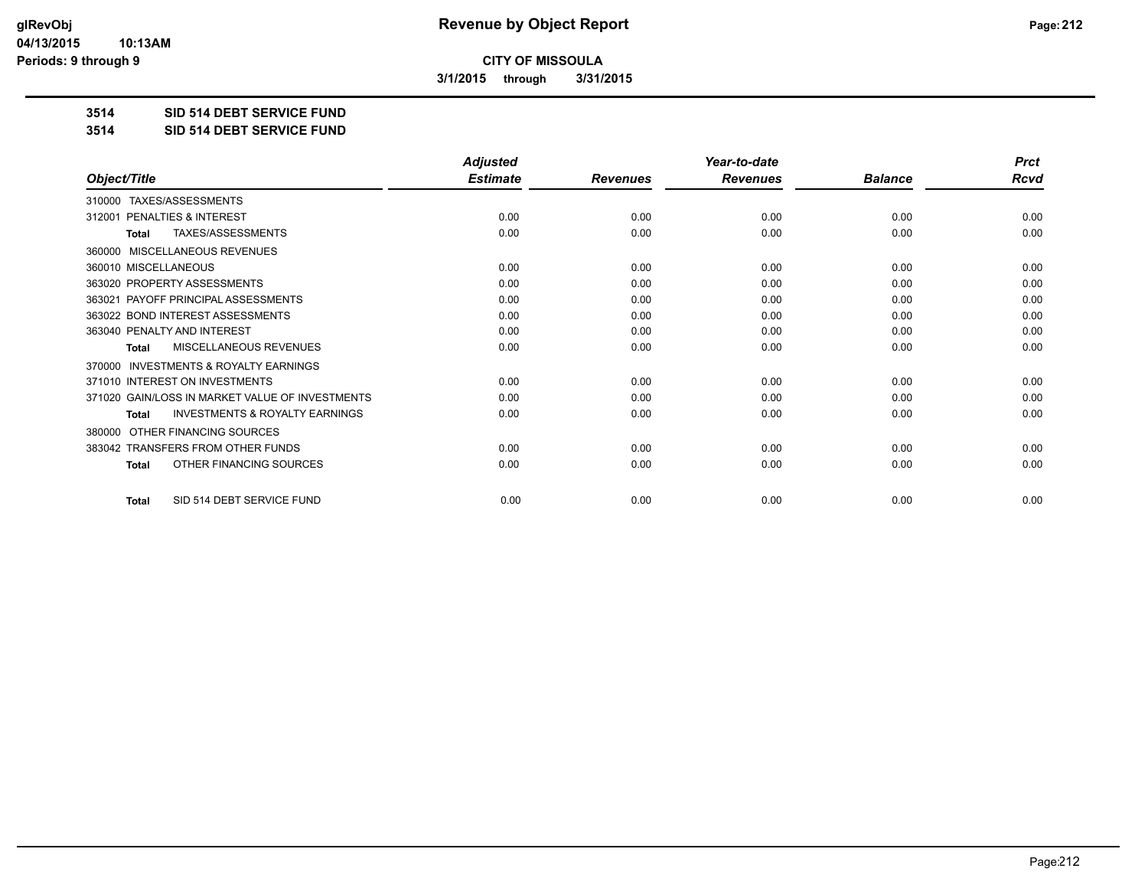**3/1/2015 through 3/31/2015**

**3514 SID 514 DEBT SERVICE FUND**

**3514 SID 514 DEBT SERVICE FUND**

|                                                           | <b>Adjusted</b> |                 | Year-to-date    |                | <b>Prct</b> |
|-----------------------------------------------------------|-----------------|-----------------|-----------------|----------------|-------------|
| Object/Title                                              | <b>Estimate</b> | <b>Revenues</b> | <b>Revenues</b> | <b>Balance</b> | <b>Rcvd</b> |
| 310000 TAXES/ASSESSMENTS                                  |                 |                 |                 |                |             |
| PENALTIES & INTEREST<br>312001                            | 0.00            | 0.00            | 0.00            | 0.00           | 0.00        |
| <b>TAXES/ASSESSMENTS</b><br><b>Total</b>                  | 0.00            | 0.00            | 0.00            | 0.00           | 0.00        |
| <b>MISCELLANEOUS REVENUES</b><br>360000                   |                 |                 |                 |                |             |
| 360010 MISCELLANEOUS                                      | 0.00            | 0.00            | 0.00            | 0.00           | 0.00        |
| 363020 PROPERTY ASSESSMENTS                               | 0.00            | 0.00            | 0.00            | 0.00           | 0.00        |
| 363021 PAYOFF PRINCIPAL ASSESSMENTS                       | 0.00            | 0.00            | 0.00            | 0.00           | 0.00        |
| 363022 BOND INTEREST ASSESSMENTS                          | 0.00            | 0.00            | 0.00            | 0.00           | 0.00        |
| 363040 PENALTY AND INTEREST                               | 0.00            | 0.00            | 0.00            | 0.00           | 0.00        |
| MISCELLANEOUS REVENUES<br>Total                           | 0.00            | 0.00            | 0.00            | 0.00           | 0.00        |
| INVESTMENTS & ROYALTY EARNINGS<br>370000                  |                 |                 |                 |                |             |
| 371010 INTEREST ON INVESTMENTS                            | 0.00            | 0.00            | 0.00            | 0.00           | 0.00        |
| 371020 GAIN/LOSS IN MARKET VALUE OF INVESTMENTS           | 0.00            | 0.00            | 0.00            | 0.00           | 0.00        |
| <b>INVESTMENTS &amp; ROYALTY EARNINGS</b><br><b>Total</b> | 0.00            | 0.00            | 0.00            | 0.00           | 0.00        |
| OTHER FINANCING SOURCES<br>380000                         |                 |                 |                 |                |             |
| 383042 TRANSFERS FROM OTHER FUNDS                         | 0.00            | 0.00            | 0.00            | 0.00           | 0.00        |
| OTHER FINANCING SOURCES<br><b>Total</b>                   | 0.00            | 0.00            | 0.00            | 0.00           | 0.00        |
| SID 514 DEBT SERVICE FUND<br><b>Total</b>                 | 0.00            | 0.00            | 0.00            | 0.00           | 0.00        |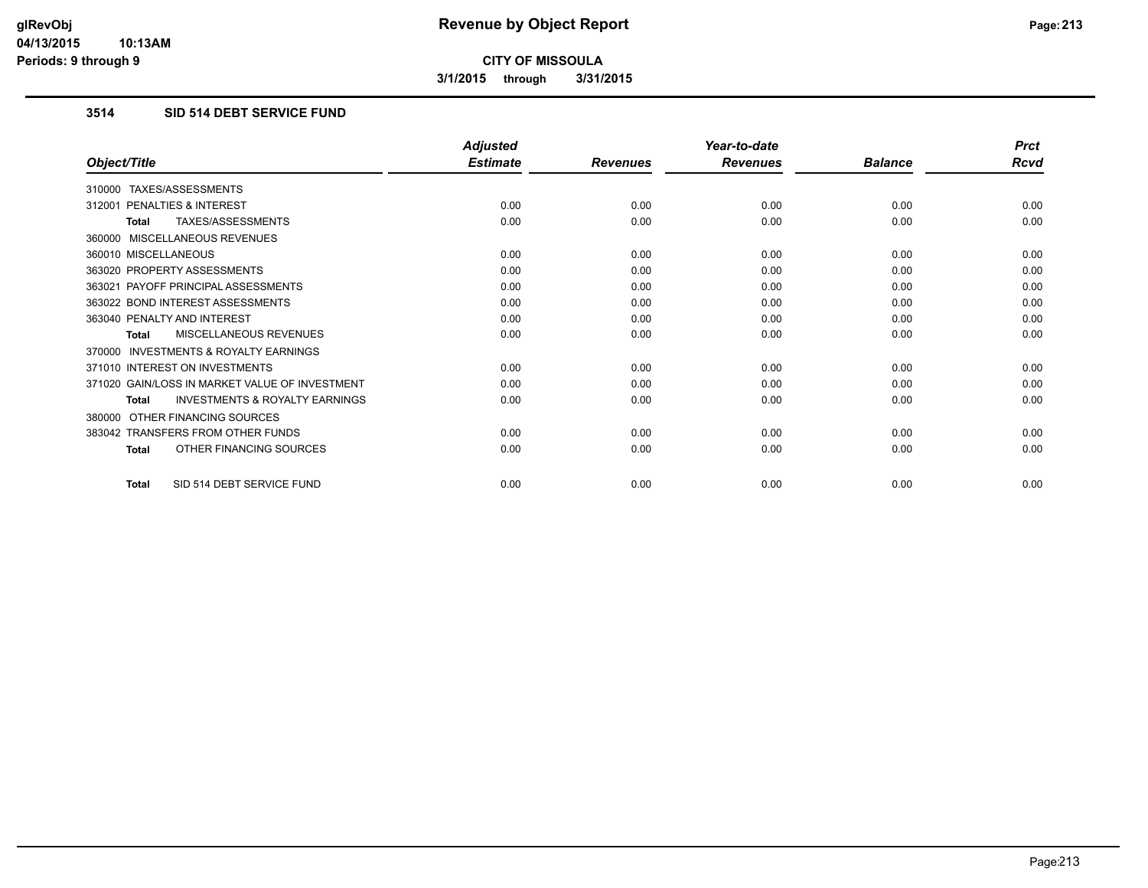**3/1/2015 through 3/31/2015**

# **3514 SID 514 DEBT SERVICE FUND**

|                                                           | <b>Adjusted</b> |                 | Year-to-date    |                | <b>Prct</b> |
|-----------------------------------------------------------|-----------------|-----------------|-----------------|----------------|-------------|
| Object/Title                                              | <b>Estimate</b> | <b>Revenues</b> | <b>Revenues</b> | <b>Balance</b> | Rcvd        |
| 310000 TAXES/ASSESSMENTS                                  |                 |                 |                 |                |             |
| 312001 PENALTIES & INTEREST                               | 0.00            | 0.00            | 0.00            | 0.00           | 0.00        |
| <b>TAXES/ASSESSMENTS</b><br><b>Total</b>                  | 0.00            | 0.00            | 0.00            | 0.00           | 0.00        |
| 360000 MISCELLANEOUS REVENUES                             |                 |                 |                 |                |             |
| 360010 MISCELLANEOUS                                      | 0.00            | 0.00            | 0.00            | 0.00           | 0.00        |
| 363020 PROPERTY ASSESSMENTS                               | 0.00            | 0.00            | 0.00            | 0.00           | 0.00        |
| 363021 PAYOFF PRINCIPAL ASSESSMENTS                       | 0.00            | 0.00            | 0.00            | 0.00           | 0.00        |
| 363022 BOND INTEREST ASSESSMENTS                          | 0.00            | 0.00            | 0.00            | 0.00           | 0.00        |
| 363040 PENALTY AND INTEREST                               | 0.00            | 0.00            | 0.00            | 0.00           | 0.00        |
| <b>MISCELLANEOUS REVENUES</b><br><b>Total</b>             | 0.00            | 0.00            | 0.00            | 0.00           | 0.00        |
| <b>INVESTMENTS &amp; ROYALTY EARNINGS</b><br>370000       |                 |                 |                 |                |             |
| 371010 INTEREST ON INVESTMENTS                            | 0.00            | 0.00            | 0.00            | 0.00           | 0.00        |
| 371020 GAIN/LOSS IN MARKET VALUE OF INVESTMENT            | 0.00            | 0.00            | 0.00            | 0.00           | 0.00        |
| <b>INVESTMENTS &amp; ROYALTY EARNINGS</b><br><b>Total</b> | 0.00            | 0.00            | 0.00            | 0.00           | 0.00        |
| OTHER FINANCING SOURCES<br>380000                         |                 |                 |                 |                |             |
| 383042 TRANSFERS FROM OTHER FUNDS                         | 0.00            | 0.00            | 0.00            | 0.00           | 0.00        |
| OTHER FINANCING SOURCES<br><b>Total</b>                   | 0.00            | 0.00            | 0.00            | 0.00           | 0.00        |
| SID 514 DEBT SERVICE FUND<br>Total                        | 0.00            | 0.00            | 0.00            | 0.00           | 0.00        |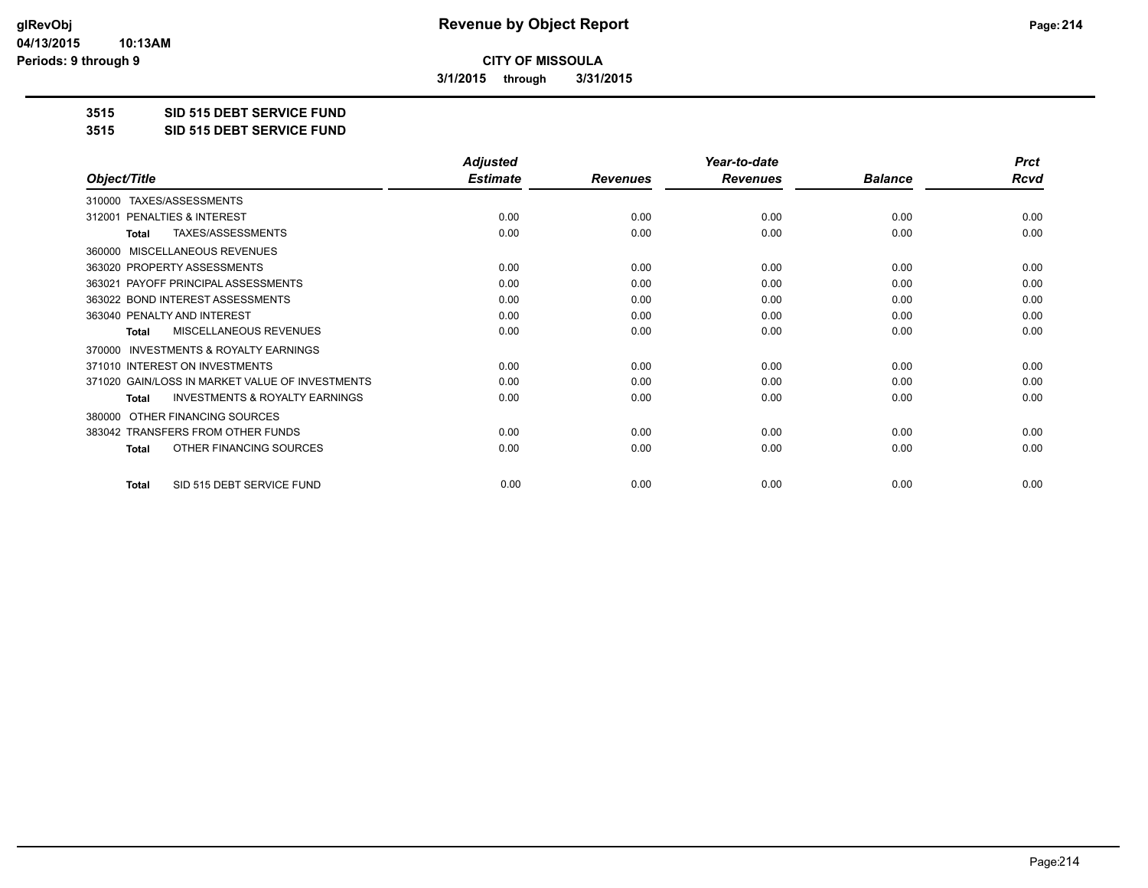**3/1/2015 through 3/31/2015**

**3515 SID 515 DEBT SERVICE FUND**

**3515 SID 515 DEBT SERVICE FUND**

|                                                           | <b>Adjusted</b> |                 | Year-to-date    |                | <b>Prct</b> |
|-----------------------------------------------------------|-----------------|-----------------|-----------------|----------------|-------------|
| Object/Title                                              | <b>Estimate</b> | <b>Revenues</b> | <b>Revenues</b> | <b>Balance</b> | <b>Rcvd</b> |
| TAXES/ASSESSMENTS<br>310000                               |                 |                 |                 |                |             |
| PENALTIES & INTEREST<br>312001                            | 0.00            | 0.00            | 0.00            | 0.00           | 0.00        |
| TAXES/ASSESSMENTS<br>Total                                | 0.00            | 0.00            | 0.00            | 0.00           | 0.00        |
| MISCELLANEOUS REVENUES<br>360000                          |                 |                 |                 |                |             |
| 363020 PROPERTY ASSESSMENTS                               | 0.00            | 0.00            | 0.00            | 0.00           | 0.00        |
| 363021 PAYOFF PRINCIPAL ASSESSMENTS                       | 0.00            | 0.00            | 0.00            | 0.00           | 0.00        |
| 363022 BOND INTEREST ASSESSMENTS                          | 0.00            | 0.00            | 0.00            | 0.00           | 0.00        |
| 363040 PENALTY AND INTEREST                               | 0.00            | 0.00            | 0.00            | 0.00           | 0.00        |
| MISCELLANEOUS REVENUES<br><b>Total</b>                    | 0.00            | 0.00            | 0.00            | 0.00           | 0.00        |
| <b>INVESTMENTS &amp; ROYALTY EARNINGS</b><br>370000       |                 |                 |                 |                |             |
| 371010 INTEREST ON INVESTMENTS                            | 0.00            | 0.00            | 0.00            | 0.00           | 0.00        |
| 371020 GAIN/LOSS IN MARKET VALUE OF INVESTMENTS           | 0.00            | 0.00            | 0.00            | 0.00           | 0.00        |
| <b>INVESTMENTS &amp; ROYALTY EARNINGS</b><br><b>Total</b> | 0.00            | 0.00            | 0.00            | 0.00           | 0.00        |
| OTHER FINANCING SOURCES<br>380000                         |                 |                 |                 |                |             |
| 383042 TRANSFERS FROM OTHER FUNDS                         | 0.00            | 0.00            | 0.00            | 0.00           | 0.00        |
| OTHER FINANCING SOURCES<br><b>Total</b>                   | 0.00            | 0.00            | 0.00            | 0.00           | 0.00        |
|                                                           |                 |                 |                 |                |             |
| SID 515 DEBT SERVICE FUND<br><b>Total</b>                 | 0.00            | 0.00            | 0.00            | 0.00           | 0.00        |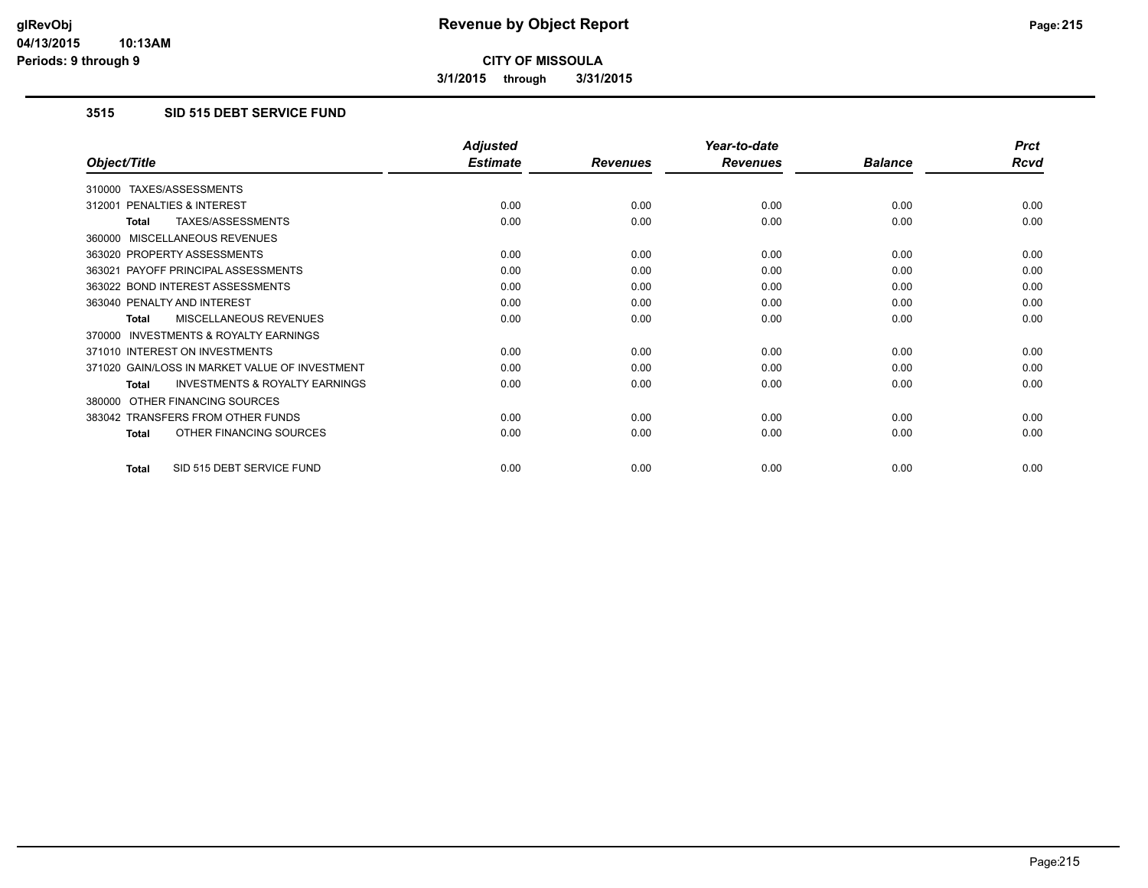**3/1/2015 through 3/31/2015**

# **3515 SID 515 DEBT SERVICE FUND**

|                                                           | <b>Adjusted</b> |                 | Year-to-date    |                | <b>Prct</b> |
|-----------------------------------------------------------|-----------------|-----------------|-----------------|----------------|-------------|
| Object/Title                                              | <b>Estimate</b> | <b>Revenues</b> | <b>Revenues</b> | <b>Balance</b> | <b>Rcvd</b> |
| TAXES/ASSESSMENTS<br>310000                               |                 |                 |                 |                |             |
| 312001 PENALTIES & INTEREST                               | 0.00            | 0.00            | 0.00            | 0.00           | 0.00        |
| TAXES/ASSESSMENTS<br><b>Total</b>                         | 0.00            | 0.00            | 0.00            | 0.00           | 0.00        |
| MISCELLANEOUS REVENUES<br>360000                          |                 |                 |                 |                |             |
| 363020 PROPERTY ASSESSMENTS                               | 0.00            | 0.00            | 0.00            | 0.00           | 0.00        |
| 363021 PAYOFF PRINCIPAL ASSESSMENTS                       | 0.00            | 0.00            | 0.00            | 0.00           | 0.00        |
| 363022 BOND INTEREST ASSESSMENTS                          | 0.00            | 0.00            | 0.00            | 0.00           | 0.00        |
| 363040 PENALTY AND INTEREST                               | 0.00            | 0.00            | 0.00            | 0.00           | 0.00        |
| MISCELLANEOUS REVENUES<br><b>Total</b>                    | 0.00            | 0.00            | 0.00            | 0.00           | 0.00        |
| <b>INVESTMENTS &amp; ROYALTY EARNINGS</b><br>370000       |                 |                 |                 |                |             |
| 371010 INTEREST ON INVESTMENTS                            | 0.00            | 0.00            | 0.00            | 0.00           | 0.00        |
| 371020 GAIN/LOSS IN MARKET VALUE OF INVESTMENT            | 0.00            | 0.00            | 0.00            | 0.00           | 0.00        |
| <b>INVESTMENTS &amp; ROYALTY EARNINGS</b><br><b>Total</b> | 0.00            | 0.00            | 0.00            | 0.00           | 0.00        |
| OTHER FINANCING SOURCES<br>380000                         |                 |                 |                 |                |             |
| 383042 TRANSFERS FROM OTHER FUNDS                         | 0.00            | 0.00            | 0.00            | 0.00           | 0.00        |
| OTHER FINANCING SOURCES<br><b>Total</b>                   | 0.00            | 0.00            | 0.00            | 0.00           | 0.00        |
| SID 515 DEBT SERVICE FUND<br>Total                        | 0.00            | 0.00            | 0.00            | 0.00           | 0.00        |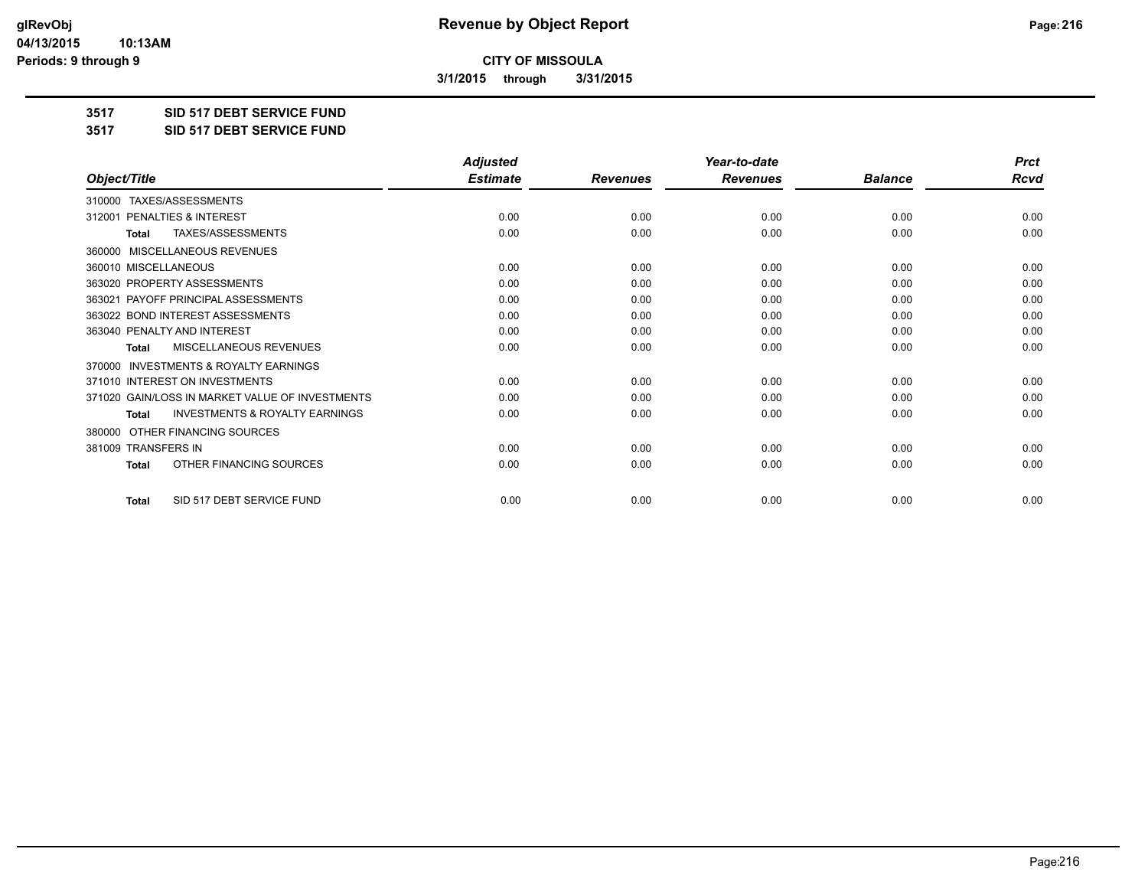**3/1/2015 through 3/31/2015**

**3517 SID 517 DEBT SERVICE FUND**

**3517 SID 517 DEBT SERVICE FUND**

|                                                           | <b>Adjusted</b> |                 | Year-to-date    |                | <b>Prct</b> |
|-----------------------------------------------------------|-----------------|-----------------|-----------------|----------------|-------------|
| Object/Title                                              | <b>Estimate</b> | <b>Revenues</b> | <b>Revenues</b> | <b>Balance</b> | <b>Rcvd</b> |
| TAXES/ASSESSMENTS<br>310000                               |                 |                 |                 |                |             |
| 312001 PENALTIES & INTEREST                               | 0.00            | 0.00            | 0.00            | 0.00           | 0.00        |
| TAXES/ASSESSMENTS<br><b>Total</b>                         | 0.00            | 0.00            | 0.00            | 0.00           | 0.00        |
| MISCELLANEOUS REVENUES<br>360000                          |                 |                 |                 |                |             |
| 360010 MISCELLANEOUS                                      | 0.00            | 0.00            | 0.00            | 0.00           | 0.00        |
| 363020 PROPERTY ASSESSMENTS                               | 0.00            | 0.00            | 0.00            | 0.00           | 0.00        |
| 363021 PAYOFF PRINCIPAL ASSESSMENTS                       | 0.00            | 0.00            | 0.00            | 0.00           | 0.00        |
| 363022 BOND INTEREST ASSESSMENTS                          | 0.00            | 0.00            | 0.00            | 0.00           | 0.00        |
| 363040 PENALTY AND INTEREST                               | 0.00            | 0.00            | 0.00            | 0.00           | 0.00        |
| MISCELLANEOUS REVENUES<br><b>Total</b>                    | 0.00            | 0.00            | 0.00            | 0.00           | 0.00        |
| <b>INVESTMENTS &amp; ROYALTY EARNINGS</b><br>370000       |                 |                 |                 |                |             |
| 371010 INTEREST ON INVESTMENTS                            | 0.00            | 0.00            | 0.00            | 0.00           | 0.00        |
| 371020 GAIN/LOSS IN MARKET VALUE OF INVESTMENTS           | 0.00            | 0.00            | 0.00            | 0.00           | 0.00        |
| <b>INVESTMENTS &amp; ROYALTY EARNINGS</b><br><b>Total</b> | 0.00            | 0.00            | 0.00            | 0.00           | 0.00        |
| OTHER FINANCING SOURCES<br>380000                         |                 |                 |                 |                |             |
| 381009 TRANSFERS IN                                       | 0.00            | 0.00            | 0.00            | 0.00           | 0.00        |
| OTHER FINANCING SOURCES<br>Total                          | 0.00            | 0.00            | 0.00            | 0.00           | 0.00        |
| SID 517 DEBT SERVICE FUND<br><b>Total</b>                 | 0.00            | 0.00            | 0.00            | 0.00           | 0.00        |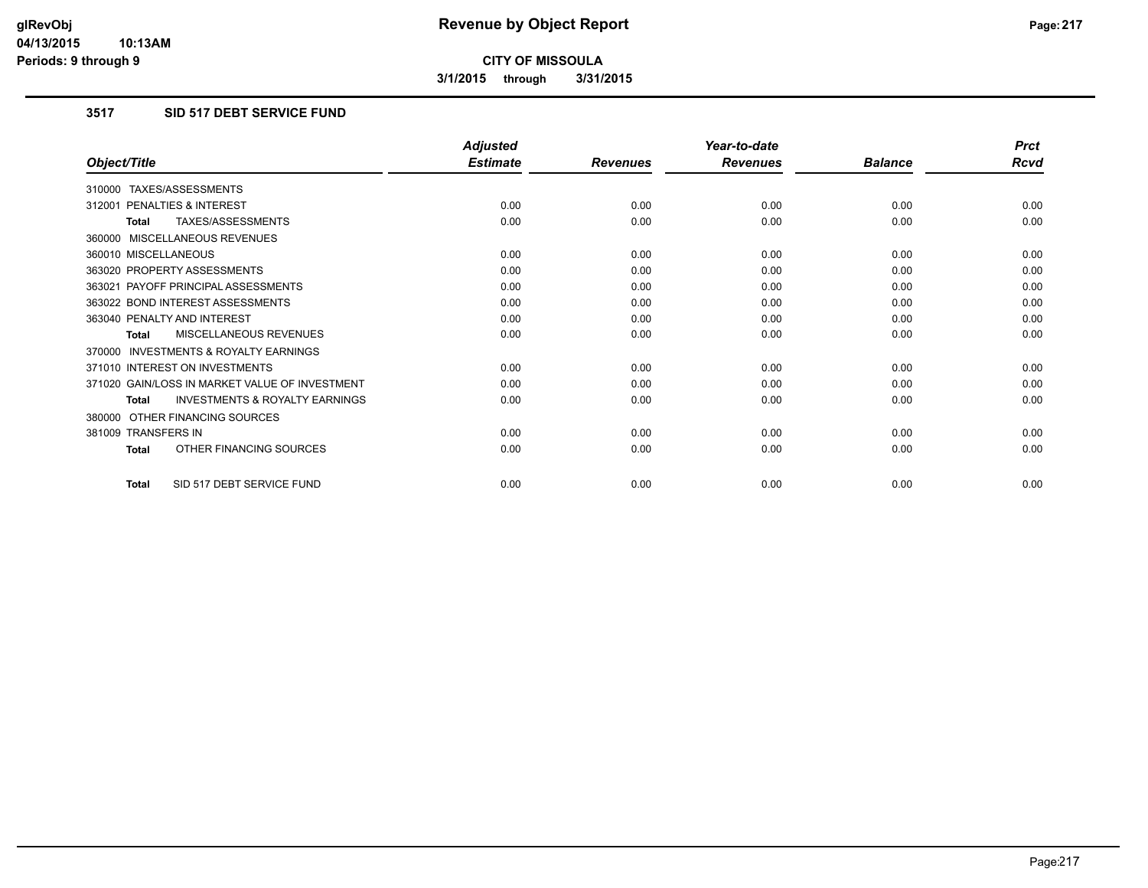**3/1/2015 through 3/31/2015**

## **3517 SID 517 DEBT SERVICE FUND**

|                                                           | <b>Adjusted</b> |                 | Year-to-date    |                | <b>Prct</b> |
|-----------------------------------------------------------|-----------------|-----------------|-----------------|----------------|-------------|
| Object/Title                                              | <b>Estimate</b> | <b>Revenues</b> | <b>Revenues</b> | <b>Balance</b> | <b>Rcvd</b> |
| 310000 TAXES/ASSESSMENTS                                  |                 |                 |                 |                |             |
| 312001 PENALTIES & INTEREST                               | 0.00            | 0.00            | 0.00            | 0.00           | 0.00        |
| TAXES/ASSESSMENTS<br><b>Total</b>                         | 0.00            | 0.00            | 0.00            | 0.00           | 0.00        |
| 360000 MISCELLANEOUS REVENUES                             |                 |                 |                 |                |             |
| 360010 MISCELLANEOUS                                      | 0.00            | 0.00            | 0.00            | 0.00           | 0.00        |
| 363020 PROPERTY ASSESSMENTS                               | 0.00            | 0.00            | 0.00            | 0.00           | 0.00        |
| 363021 PAYOFF PRINCIPAL ASSESSMENTS                       | 0.00            | 0.00            | 0.00            | 0.00           | 0.00        |
| 363022 BOND INTEREST ASSESSMENTS                          | 0.00            | 0.00            | 0.00            | 0.00           | 0.00        |
| 363040 PENALTY AND INTEREST                               | 0.00            | 0.00            | 0.00            | 0.00           | 0.00        |
| MISCELLANEOUS REVENUES<br><b>Total</b>                    | 0.00            | 0.00            | 0.00            | 0.00           | 0.00        |
| <b>INVESTMENTS &amp; ROYALTY EARNINGS</b><br>370000       |                 |                 |                 |                |             |
| 371010 INTEREST ON INVESTMENTS                            | 0.00            | 0.00            | 0.00            | 0.00           | 0.00        |
| 371020 GAIN/LOSS IN MARKET VALUE OF INVESTMENT            | 0.00            | 0.00            | 0.00            | 0.00           | 0.00        |
| <b>INVESTMENTS &amp; ROYALTY EARNINGS</b><br><b>Total</b> | 0.00            | 0.00            | 0.00            | 0.00           | 0.00        |
| OTHER FINANCING SOURCES<br>380000                         |                 |                 |                 |                |             |
| 381009 TRANSFERS IN                                       | 0.00            | 0.00            | 0.00            | 0.00           | 0.00        |
| OTHER FINANCING SOURCES<br><b>Total</b>                   | 0.00            | 0.00            | 0.00            | 0.00           | 0.00        |
| SID 517 DEBT SERVICE FUND<br><b>Total</b>                 | 0.00            | 0.00            | 0.00            | 0.00           | 0.00        |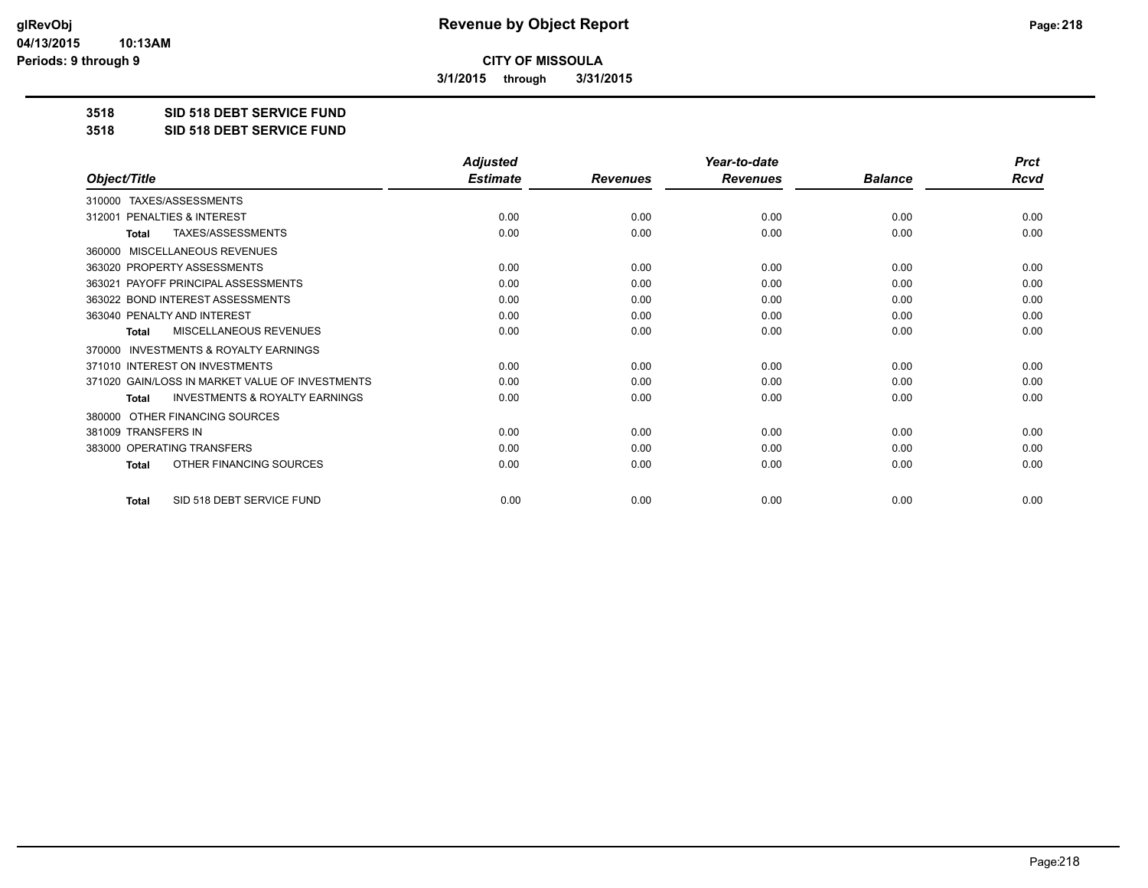**3/1/2015 through 3/31/2015**

**3518 SID 518 DEBT SERVICE FUND**

**3518 SID 518 DEBT SERVICE FUND**

|                                                           | <b>Adjusted</b> |                 | Year-to-date    |                | <b>Prct</b> |
|-----------------------------------------------------------|-----------------|-----------------|-----------------|----------------|-------------|
| Object/Title                                              | <b>Estimate</b> | <b>Revenues</b> | <b>Revenues</b> | <b>Balance</b> | <b>Rcvd</b> |
| 310000 TAXES/ASSESSMENTS                                  |                 |                 |                 |                |             |
| PENALTIES & INTEREST<br>312001                            | 0.00            | 0.00            | 0.00            | 0.00           | 0.00        |
| TAXES/ASSESSMENTS<br><b>Total</b>                         | 0.00            | 0.00            | 0.00            | 0.00           | 0.00        |
| MISCELLANEOUS REVENUES<br>360000                          |                 |                 |                 |                |             |
| 363020 PROPERTY ASSESSMENTS                               | 0.00            | 0.00            | 0.00            | 0.00           | 0.00        |
| 363021 PAYOFF PRINCIPAL ASSESSMENTS                       | 0.00            | 0.00            | 0.00            | 0.00           | 0.00        |
| 363022 BOND INTEREST ASSESSMENTS                          | 0.00            | 0.00            | 0.00            | 0.00           | 0.00        |
| 363040 PENALTY AND INTEREST                               | 0.00            | 0.00            | 0.00            | 0.00           | 0.00        |
| <b>MISCELLANEOUS REVENUES</b><br><b>Total</b>             | 0.00            | 0.00            | 0.00            | 0.00           | 0.00        |
| <b>INVESTMENTS &amp; ROYALTY EARNINGS</b><br>370000       |                 |                 |                 |                |             |
| 371010 INTEREST ON INVESTMENTS                            | 0.00            | 0.00            | 0.00            | 0.00           | 0.00        |
| 371020 GAIN/LOSS IN MARKET VALUE OF INVESTMENTS           | 0.00            | 0.00            | 0.00            | 0.00           | 0.00        |
| <b>INVESTMENTS &amp; ROYALTY EARNINGS</b><br><b>Total</b> | 0.00            | 0.00            | 0.00            | 0.00           | 0.00        |
| OTHER FINANCING SOURCES<br>380000                         |                 |                 |                 |                |             |
| 381009 TRANSFERS IN                                       | 0.00            | 0.00            | 0.00            | 0.00           | 0.00        |
| 383000 OPERATING TRANSFERS                                | 0.00            | 0.00            | 0.00            | 0.00           | 0.00        |
| OTHER FINANCING SOURCES<br><b>Total</b>                   | 0.00            | 0.00            | 0.00            | 0.00           | 0.00        |
| SID 518 DEBT SERVICE FUND<br><b>Total</b>                 | 0.00            | 0.00            | 0.00            | 0.00           | 0.00        |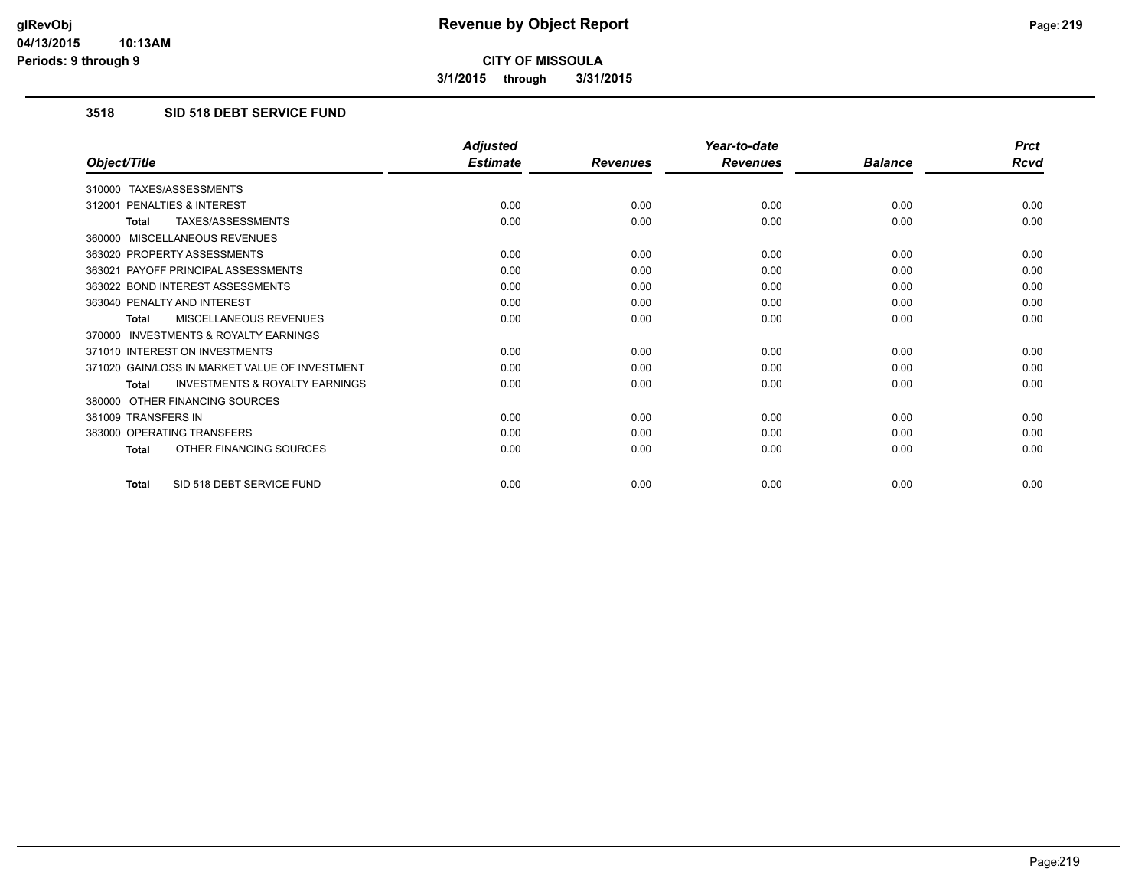**3/1/2015 through 3/31/2015**

## **3518 SID 518 DEBT SERVICE FUND**

|                                                           | <b>Adjusted</b> |                 | Year-to-date    |                | <b>Prct</b> |
|-----------------------------------------------------------|-----------------|-----------------|-----------------|----------------|-------------|
| Object/Title                                              | <b>Estimate</b> | <b>Revenues</b> | <b>Revenues</b> | <b>Balance</b> | <b>Rcvd</b> |
| 310000 TAXES/ASSESSMENTS                                  |                 |                 |                 |                |             |
| 312001 PENALTIES & INTEREST                               | 0.00            | 0.00            | 0.00            | 0.00           | 0.00        |
| <b>TAXES/ASSESSMENTS</b><br><b>Total</b>                  | 0.00            | 0.00            | 0.00            | 0.00           | 0.00        |
| 360000 MISCELLANEOUS REVENUES                             |                 |                 |                 |                |             |
| 363020 PROPERTY ASSESSMENTS                               | 0.00            | 0.00            | 0.00            | 0.00           | 0.00        |
| 363021 PAYOFF PRINCIPAL ASSESSMENTS                       | 0.00            | 0.00            | 0.00            | 0.00           | 0.00        |
| 363022 BOND INTEREST ASSESSMENTS                          | 0.00            | 0.00            | 0.00            | 0.00           | 0.00        |
| 363040 PENALTY AND INTEREST                               | 0.00            | 0.00            | 0.00            | 0.00           | 0.00        |
| MISCELLANEOUS REVENUES<br>Total                           | 0.00            | 0.00            | 0.00            | 0.00           | 0.00        |
| <b>INVESTMENTS &amp; ROYALTY EARNINGS</b><br>370000       |                 |                 |                 |                |             |
| 371010 INTEREST ON INVESTMENTS                            | 0.00            | 0.00            | 0.00            | 0.00           | 0.00        |
| 371020 GAIN/LOSS IN MARKET VALUE OF INVESTMENT            | 0.00            | 0.00            | 0.00            | 0.00           | 0.00        |
| <b>INVESTMENTS &amp; ROYALTY EARNINGS</b><br><b>Total</b> | 0.00            | 0.00            | 0.00            | 0.00           | 0.00        |
| 380000 OTHER FINANCING SOURCES                            |                 |                 |                 |                |             |
| 381009 TRANSFERS IN                                       | 0.00            | 0.00            | 0.00            | 0.00           | 0.00        |
| 383000 OPERATING TRANSFERS                                | 0.00            | 0.00            | 0.00            | 0.00           | 0.00        |
| OTHER FINANCING SOURCES<br><b>Total</b>                   | 0.00            | 0.00            | 0.00            | 0.00           | 0.00        |
| SID 518 DEBT SERVICE FUND<br><b>Total</b>                 | 0.00            | 0.00            | 0.00            | 0.00           | 0.00        |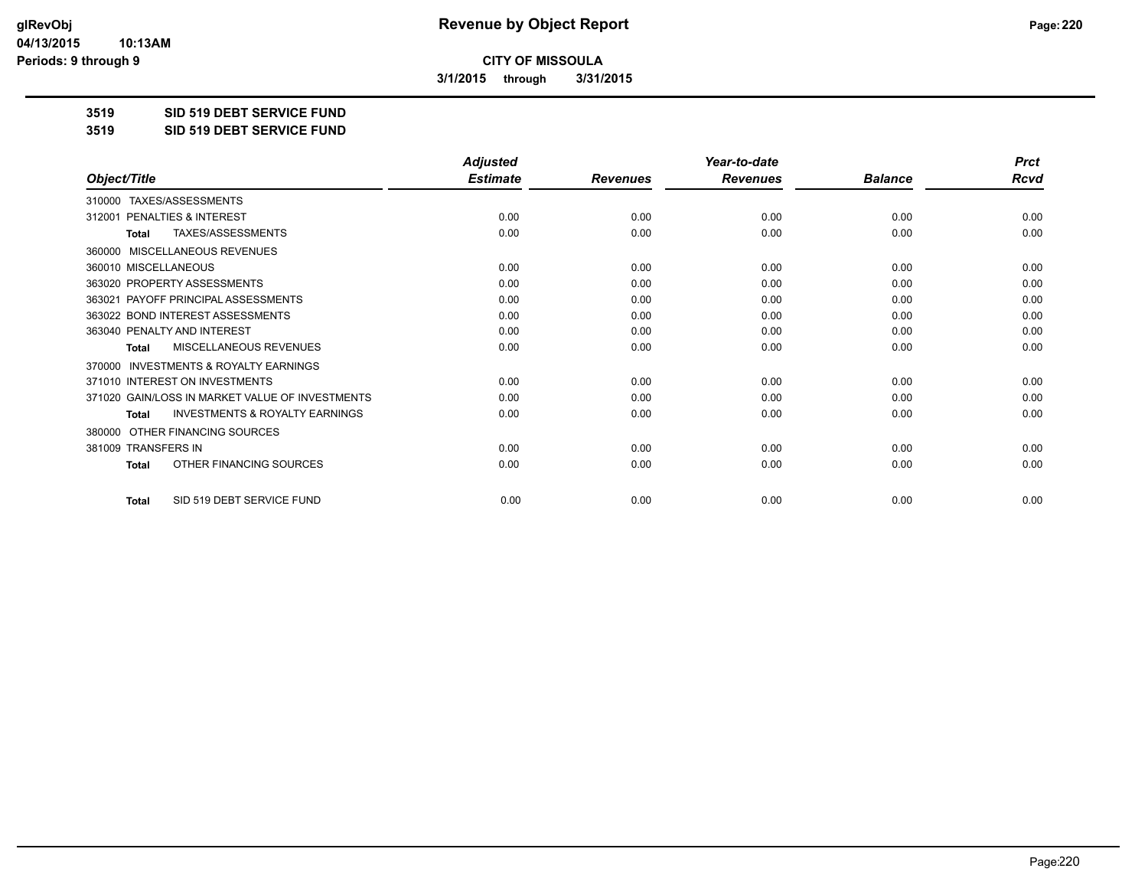**3/1/2015 through 3/31/2015**

**3519 SID 519 DEBT SERVICE FUND**

**3519 SID 519 DEBT SERVICE FUND**

|                                                           | <b>Adjusted</b> |                 | Year-to-date    |                | <b>Prct</b> |
|-----------------------------------------------------------|-----------------|-----------------|-----------------|----------------|-------------|
| Object/Title                                              | <b>Estimate</b> | <b>Revenues</b> | <b>Revenues</b> | <b>Balance</b> | <b>Rcvd</b> |
| 310000 TAXES/ASSESSMENTS                                  |                 |                 |                 |                |             |
| PENALTIES & INTEREST<br>312001                            | 0.00            | 0.00            | 0.00            | 0.00           | 0.00        |
| TAXES/ASSESSMENTS<br><b>Total</b>                         | 0.00            | 0.00            | 0.00            | 0.00           | 0.00        |
| MISCELLANEOUS REVENUES<br>360000                          |                 |                 |                 |                |             |
| 360010 MISCELLANEOUS                                      | 0.00            | 0.00            | 0.00            | 0.00           | 0.00        |
| 363020 PROPERTY ASSESSMENTS                               | 0.00            | 0.00            | 0.00            | 0.00           | 0.00        |
| 363021 PAYOFF PRINCIPAL ASSESSMENTS                       | 0.00            | 0.00            | 0.00            | 0.00           | 0.00        |
| 363022 BOND INTEREST ASSESSMENTS                          | 0.00            | 0.00            | 0.00            | 0.00           | 0.00        |
| 363040 PENALTY AND INTEREST                               | 0.00            | 0.00            | 0.00            | 0.00           | 0.00        |
| MISCELLANEOUS REVENUES<br>Total                           | 0.00            | 0.00            | 0.00            | 0.00           | 0.00        |
| <b>INVESTMENTS &amp; ROYALTY EARNINGS</b><br>370000       |                 |                 |                 |                |             |
| 371010 INTEREST ON INVESTMENTS                            | 0.00            | 0.00            | 0.00            | 0.00           | 0.00        |
| 371020 GAIN/LOSS IN MARKET VALUE OF INVESTMENTS           | 0.00            | 0.00            | 0.00            | 0.00           | 0.00        |
| <b>INVESTMENTS &amp; ROYALTY EARNINGS</b><br><b>Total</b> | 0.00            | 0.00            | 0.00            | 0.00           | 0.00        |
| OTHER FINANCING SOURCES<br>380000                         |                 |                 |                 |                |             |
| 381009 TRANSFERS IN                                       | 0.00            | 0.00            | 0.00            | 0.00           | 0.00        |
| OTHER FINANCING SOURCES<br><b>Total</b>                   | 0.00            | 0.00            | 0.00            | 0.00           | 0.00        |
| SID 519 DEBT SERVICE FUND<br><b>Total</b>                 | 0.00            | 0.00            | 0.00            | 0.00           | 0.00        |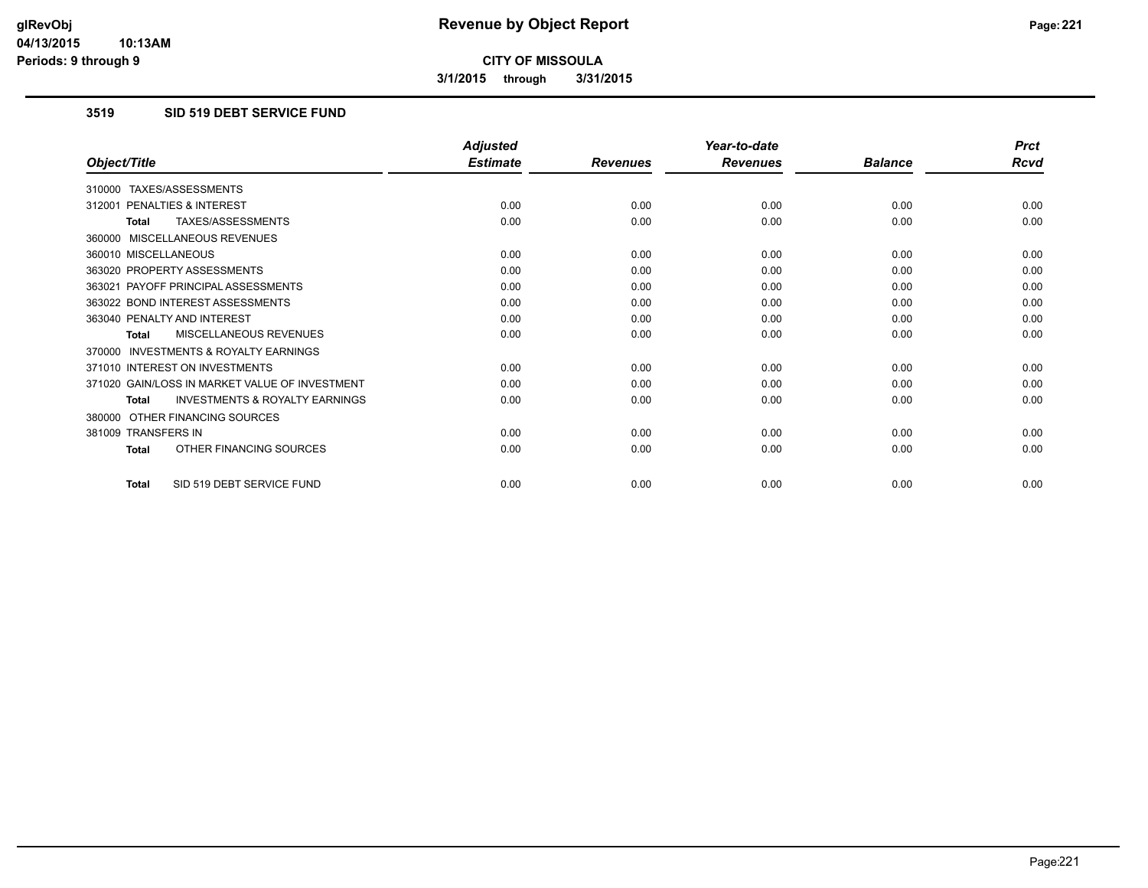**3/1/2015 through 3/31/2015**

## **3519 SID 519 DEBT SERVICE FUND**

|                                                           | <b>Adjusted</b> |                 | Year-to-date    |                | <b>Prct</b> |
|-----------------------------------------------------------|-----------------|-----------------|-----------------|----------------|-------------|
| Object/Title                                              | <b>Estimate</b> | <b>Revenues</b> | <b>Revenues</b> | <b>Balance</b> | <b>Rcvd</b> |
| 310000 TAXES/ASSESSMENTS                                  |                 |                 |                 |                |             |
| 312001 PENALTIES & INTEREST                               | 0.00            | 0.00            | 0.00            | 0.00           | 0.00        |
| TAXES/ASSESSMENTS<br><b>Total</b>                         | 0.00            | 0.00            | 0.00            | 0.00           | 0.00        |
| 360000 MISCELLANEOUS REVENUES                             |                 |                 |                 |                |             |
| 360010 MISCELLANEOUS                                      | 0.00            | 0.00            | 0.00            | 0.00           | 0.00        |
| 363020 PROPERTY ASSESSMENTS                               | 0.00            | 0.00            | 0.00            | 0.00           | 0.00        |
| 363021 PAYOFF PRINCIPAL ASSESSMENTS                       | 0.00            | 0.00            | 0.00            | 0.00           | 0.00        |
| 363022 BOND INTEREST ASSESSMENTS                          | 0.00            | 0.00            | 0.00            | 0.00           | 0.00        |
| 363040 PENALTY AND INTEREST                               | 0.00            | 0.00            | 0.00            | 0.00           | 0.00        |
| MISCELLANEOUS REVENUES<br><b>Total</b>                    | 0.00            | 0.00            | 0.00            | 0.00           | 0.00        |
| <b>INVESTMENTS &amp; ROYALTY EARNINGS</b><br>370000       |                 |                 |                 |                |             |
| 371010 INTEREST ON INVESTMENTS                            | 0.00            | 0.00            | 0.00            | 0.00           | 0.00        |
| 371020 GAIN/LOSS IN MARKET VALUE OF INVESTMENT            | 0.00            | 0.00            | 0.00            | 0.00           | 0.00        |
| <b>INVESTMENTS &amp; ROYALTY EARNINGS</b><br><b>Total</b> | 0.00            | 0.00            | 0.00            | 0.00           | 0.00        |
| 380000 OTHER FINANCING SOURCES                            |                 |                 |                 |                |             |
| 381009 TRANSFERS IN                                       | 0.00            | 0.00            | 0.00            | 0.00           | 0.00        |
| OTHER FINANCING SOURCES<br><b>Total</b>                   | 0.00            | 0.00            | 0.00            | 0.00           | 0.00        |
| SID 519 DEBT SERVICE FUND<br>Total                        | 0.00            | 0.00            | 0.00            | 0.00           | 0.00        |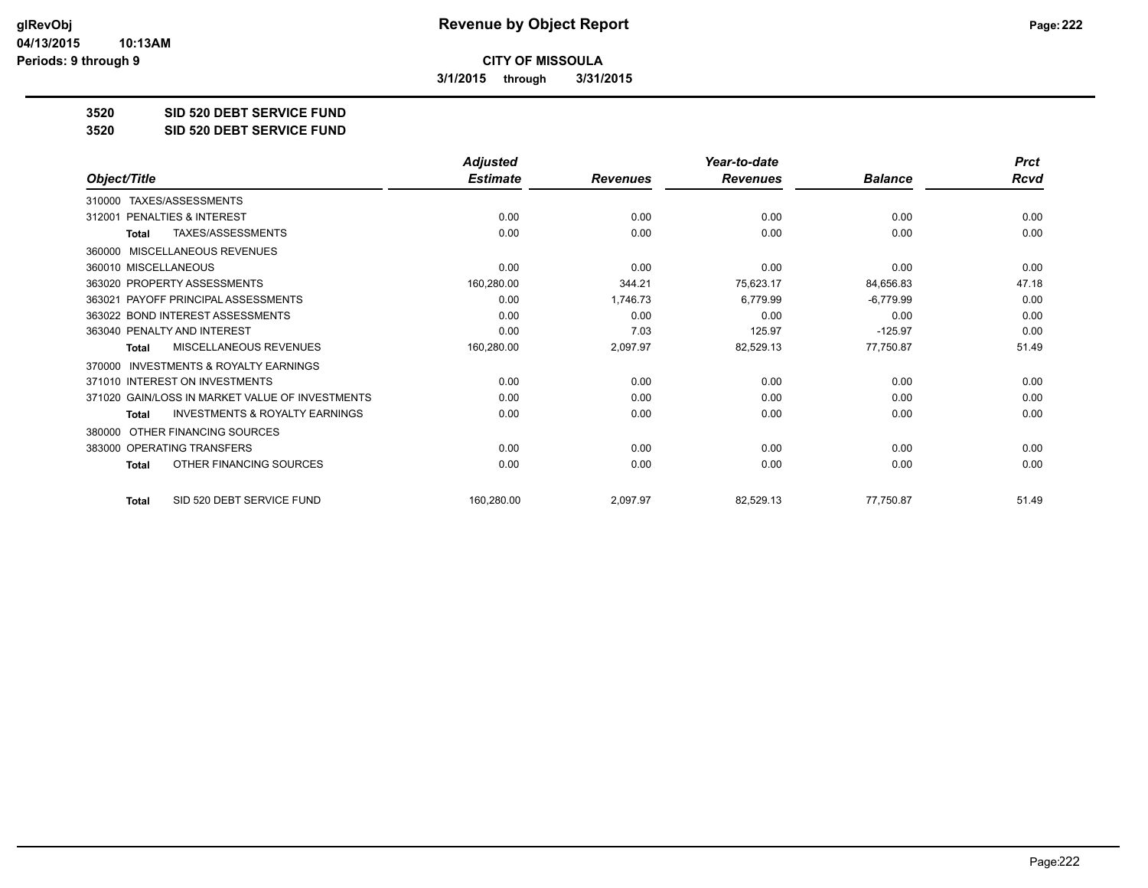**3/1/2015 through 3/31/2015**

**3520 SID 520 DEBT SERVICE FUND**

**3520 SID 520 DEBT SERVICE FUND**

|                                                           | <b>Adjusted</b> |                 | Year-to-date    |                | <b>Prct</b> |
|-----------------------------------------------------------|-----------------|-----------------|-----------------|----------------|-------------|
| Object/Title                                              | <b>Estimate</b> | <b>Revenues</b> | <b>Revenues</b> | <b>Balance</b> | <b>Rcvd</b> |
| TAXES/ASSESSMENTS<br>310000                               |                 |                 |                 |                |             |
| 312001 PENALTIES & INTEREST                               | 0.00            | 0.00            | 0.00            | 0.00           | 0.00        |
| <b>TAXES/ASSESSMENTS</b><br><b>Total</b>                  | 0.00            | 0.00            | 0.00            | 0.00           | 0.00        |
| MISCELLANEOUS REVENUES<br>360000                          |                 |                 |                 |                |             |
| 360010 MISCELLANEOUS                                      | 0.00            | 0.00            | 0.00            | 0.00           | 0.00        |
| 363020 PROPERTY ASSESSMENTS                               | 160,280.00      | 344.21          | 75,623.17       | 84,656.83      | 47.18       |
| 363021 PAYOFF PRINCIPAL ASSESSMENTS                       | 0.00            | 1,746.73        | 6,779.99        | $-6,779.99$    | 0.00        |
| 363022 BOND INTEREST ASSESSMENTS                          | 0.00            | 0.00            | 0.00            | 0.00           | 0.00        |
| 363040 PENALTY AND INTEREST                               | 0.00            | 7.03            | 125.97          | $-125.97$      | 0.00        |
| <b>MISCELLANEOUS REVENUES</b><br><b>Total</b>             | 160,280.00      | 2,097.97        | 82,529.13       | 77,750.87      | 51.49       |
| <b>INVESTMENTS &amp; ROYALTY EARNINGS</b><br>370000       |                 |                 |                 |                |             |
| 371010 INTEREST ON INVESTMENTS                            | 0.00            | 0.00            | 0.00            | 0.00           | 0.00        |
| 371020 GAIN/LOSS IN MARKET VALUE OF INVESTMENTS           | 0.00            | 0.00            | 0.00            | 0.00           | 0.00        |
| <b>INVESTMENTS &amp; ROYALTY EARNINGS</b><br><b>Total</b> | 0.00            | 0.00            | 0.00            | 0.00           | 0.00        |
| OTHER FINANCING SOURCES<br>380000                         |                 |                 |                 |                |             |
| 383000 OPERATING TRANSFERS                                | 0.00            | 0.00            | 0.00            | 0.00           | 0.00        |
| OTHER FINANCING SOURCES<br><b>Total</b>                   | 0.00            | 0.00            | 0.00            | 0.00           | 0.00        |
| SID 520 DEBT SERVICE FUND<br><b>Total</b>                 | 160,280.00      | 2,097.97        | 82,529.13       | 77,750.87      | 51.49       |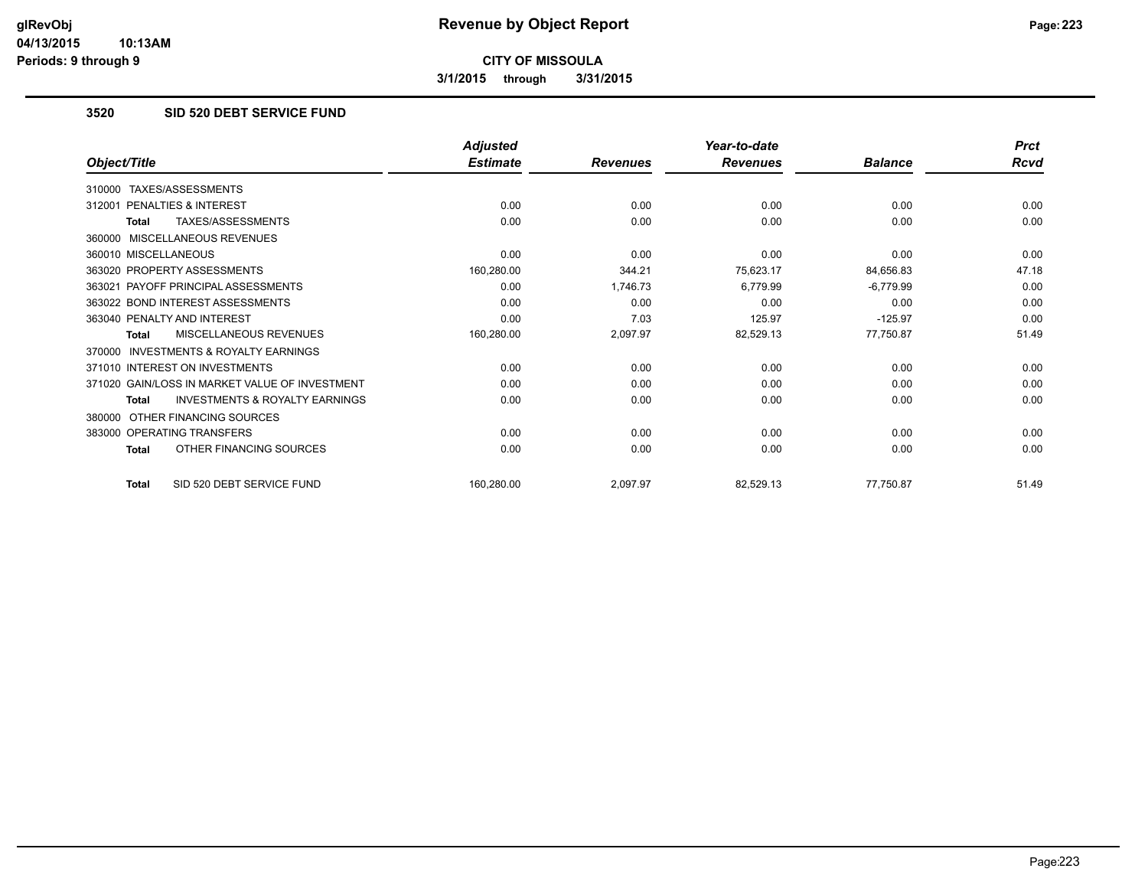**3/1/2015 through 3/31/2015**

## **3520 SID 520 DEBT SERVICE FUND**

|                                                           | <b>Adjusted</b> |                 | Year-to-date    |                | <b>Prct</b> |
|-----------------------------------------------------------|-----------------|-----------------|-----------------|----------------|-------------|
| Object/Title                                              | <b>Estimate</b> | <b>Revenues</b> | <b>Revenues</b> | <b>Balance</b> | Rcvd        |
| TAXES/ASSESSMENTS<br>310000                               |                 |                 |                 |                |             |
| PENALTIES & INTEREST<br>312001                            | 0.00            | 0.00            | 0.00            | 0.00           | 0.00        |
| TAXES/ASSESSMENTS<br><b>Total</b>                         | 0.00            | 0.00            | 0.00            | 0.00           | 0.00        |
| MISCELLANEOUS REVENUES<br>360000                          |                 |                 |                 |                |             |
| 360010 MISCELLANEOUS                                      | 0.00            | 0.00            | 0.00            | 0.00           | 0.00        |
| 363020 PROPERTY ASSESSMENTS                               | 160,280.00      | 344.21          | 75,623.17       | 84,656.83      | 47.18       |
| 363021 PAYOFF PRINCIPAL ASSESSMENTS                       | 0.00            | 1,746.73        | 6,779.99        | $-6,779.99$    | 0.00        |
| 363022 BOND INTEREST ASSESSMENTS                          | 0.00            | 0.00            | 0.00            | 0.00           | 0.00        |
| 363040 PENALTY AND INTEREST                               | 0.00            | 7.03            | 125.97          | $-125.97$      | 0.00        |
| MISCELLANEOUS REVENUES<br><b>Total</b>                    | 160,280.00      | 2,097.97        | 82,529.13       | 77,750.87      | 51.49       |
| INVESTMENTS & ROYALTY EARNINGS<br>370000                  |                 |                 |                 |                |             |
| 371010 INTEREST ON INVESTMENTS                            | 0.00            | 0.00            | 0.00            | 0.00           | 0.00        |
| 371020 GAIN/LOSS IN MARKET VALUE OF INVESTMENT            | 0.00            | 0.00            | 0.00            | 0.00           | 0.00        |
| <b>INVESTMENTS &amp; ROYALTY EARNINGS</b><br><b>Total</b> | 0.00            | 0.00            | 0.00            | 0.00           | 0.00        |
| OTHER FINANCING SOURCES<br>380000                         |                 |                 |                 |                |             |
| 383000 OPERATING TRANSFERS                                | 0.00            | 0.00            | 0.00            | 0.00           | 0.00        |
| OTHER FINANCING SOURCES<br><b>Total</b>                   | 0.00            | 0.00            | 0.00            | 0.00           | 0.00        |
| SID 520 DEBT SERVICE FUND<br><b>Total</b>                 | 160,280.00      | 2,097.97        | 82,529.13       | 77,750.87      | 51.49       |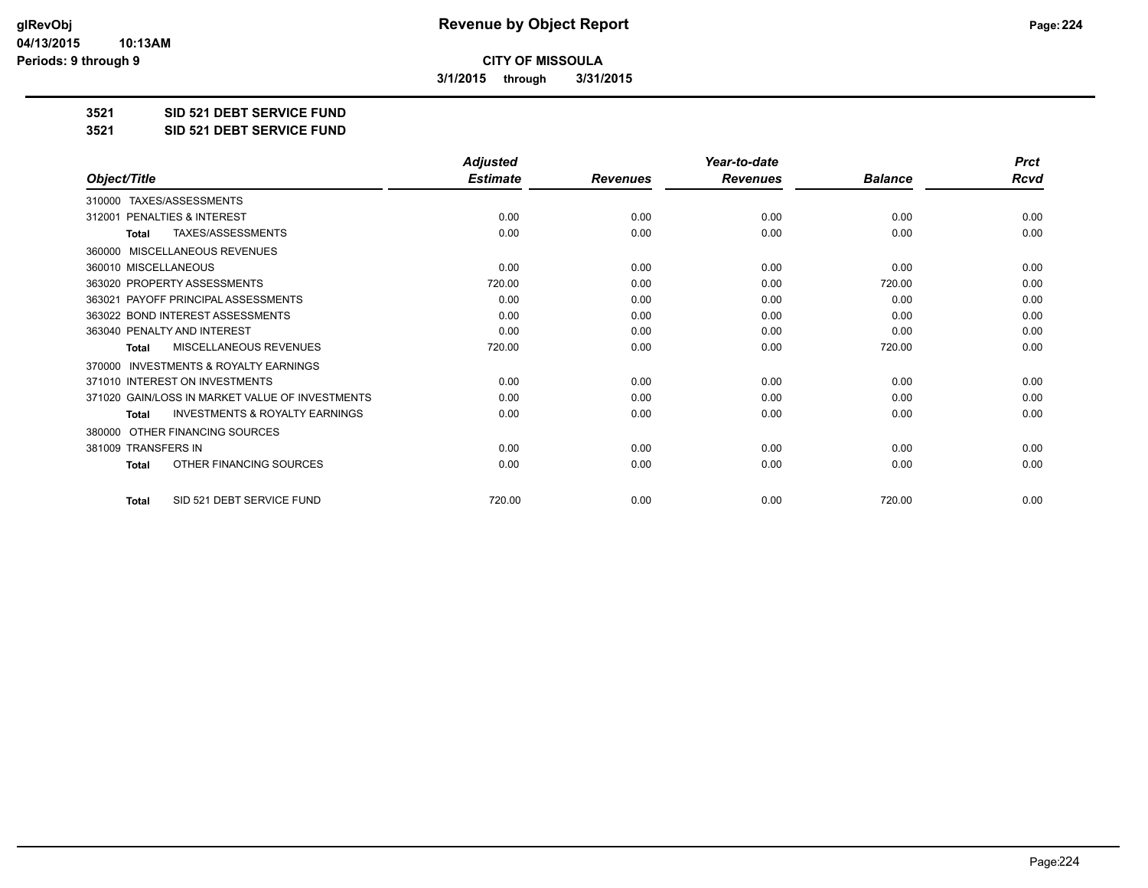**3/1/2015 through 3/31/2015**

**3521 SID 521 DEBT SERVICE FUND**

**3521 SID 521 DEBT SERVICE FUND**

|                                                     | <b>Adjusted</b> |                 | Year-to-date    |                | <b>Prct</b> |
|-----------------------------------------------------|-----------------|-----------------|-----------------|----------------|-------------|
| Object/Title                                        | <b>Estimate</b> | <b>Revenues</b> | <b>Revenues</b> | <b>Balance</b> | <b>Rcvd</b> |
| 310000 TAXES/ASSESSMENTS                            |                 |                 |                 |                |             |
| PENALTIES & INTEREST<br>312001                      | 0.00            | 0.00            | 0.00            | 0.00           | 0.00        |
| TAXES/ASSESSMENTS<br><b>Total</b>                   | 0.00            | 0.00            | 0.00            | 0.00           | 0.00        |
| MISCELLANEOUS REVENUES<br>360000                    |                 |                 |                 |                |             |
| 360010 MISCELLANEOUS                                | 0.00            | 0.00            | 0.00            | 0.00           | 0.00        |
| 363020 PROPERTY ASSESSMENTS                         | 720.00          | 0.00            | 0.00            | 720.00         | 0.00        |
| 363021 PAYOFF PRINCIPAL ASSESSMENTS                 | 0.00            | 0.00            | 0.00            | 0.00           | 0.00        |
| 363022 BOND INTEREST ASSESSMENTS                    | 0.00            | 0.00            | 0.00            | 0.00           | 0.00        |
| 363040 PENALTY AND INTEREST                         | 0.00            | 0.00            | 0.00            | 0.00           | 0.00        |
| MISCELLANEOUS REVENUES<br><b>Total</b>              | 720.00          | 0.00            | 0.00            | 720.00         | 0.00        |
| <b>INVESTMENTS &amp; ROYALTY EARNINGS</b><br>370000 |                 |                 |                 |                |             |
| 371010 INTEREST ON INVESTMENTS                      | 0.00            | 0.00            | 0.00            | 0.00           | 0.00        |
| 371020 GAIN/LOSS IN MARKET VALUE OF INVESTMENTS     | 0.00            | 0.00            | 0.00            | 0.00           | 0.00        |
| <b>INVESTMENTS &amp; ROYALTY EARNINGS</b><br>Total  | 0.00            | 0.00            | 0.00            | 0.00           | 0.00        |
| OTHER FINANCING SOURCES<br>380000                   |                 |                 |                 |                |             |
| 381009 TRANSFERS IN                                 | 0.00            | 0.00            | 0.00            | 0.00           | 0.00        |
| OTHER FINANCING SOURCES<br>Total                    | 0.00            | 0.00            | 0.00            | 0.00           | 0.00        |
| SID 521 DEBT SERVICE FUND<br><b>Total</b>           | 720.00          | 0.00            | 0.00            | 720.00         | 0.00        |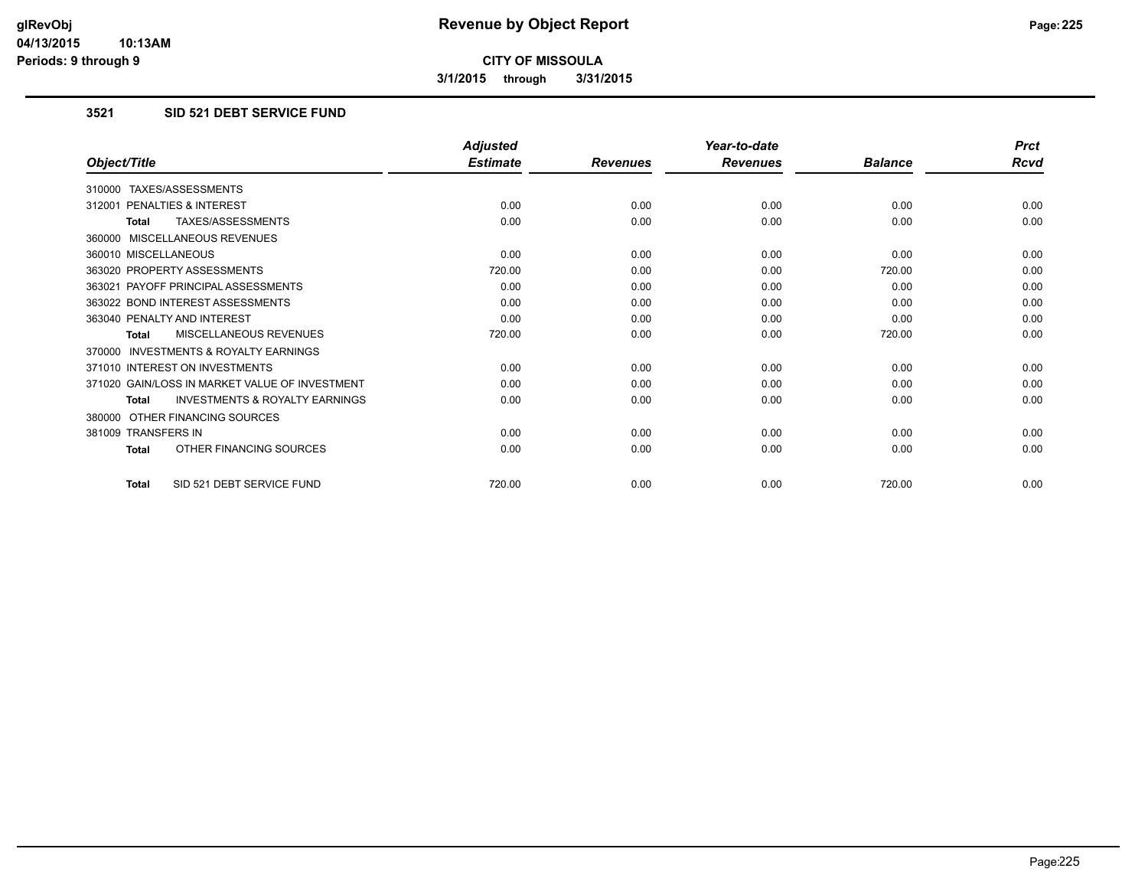**3/1/2015 through 3/31/2015**

## **3521 SID 521 DEBT SERVICE FUND**

|                                                           | <b>Adjusted</b> |                 | Year-to-date    |                | <b>Prct</b> |
|-----------------------------------------------------------|-----------------|-----------------|-----------------|----------------|-------------|
| Object/Title                                              | <b>Estimate</b> | <b>Revenues</b> | <b>Revenues</b> | <b>Balance</b> | Rcvd        |
| 310000 TAXES/ASSESSMENTS                                  |                 |                 |                 |                |             |
| 312001 PENALTIES & INTEREST                               | 0.00            | 0.00            | 0.00            | 0.00           | 0.00        |
| TAXES/ASSESSMENTS<br><b>Total</b>                         | 0.00            | 0.00            | 0.00            | 0.00           | 0.00        |
| 360000 MISCELLANEOUS REVENUES                             |                 |                 |                 |                |             |
| 360010 MISCELLANEOUS                                      | 0.00            | 0.00            | 0.00            | 0.00           | 0.00        |
| 363020 PROPERTY ASSESSMENTS                               | 720.00          | 0.00            | 0.00            | 720.00         | 0.00        |
| 363021 PAYOFF PRINCIPAL ASSESSMENTS                       | 0.00            | 0.00            | 0.00            | 0.00           | 0.00        |
| 363022 BOND INTEREST ASSESSMENTS                          | 0.00            | 0.00            | 0.00            | 0.00           | 0.00        |
| 363040 PENALTY AND INTEREST                               | 0.00            | 0.00            | 0.00            | 0.00           | 0.00        |
| MISCELLANEOUS REVENUES<br><b>Total</b>                    | 720.00          | 0.00            | 0.00            | 720.00         | 0.00        |
| <b>INVESTMENTS &amp; ROYALTY EARNINGS</b><br>370000       |                 |                 |                 |                |             |
| 371010 INTEREST ON INVESTMENTS                            | 0.00            | 0.00            | 0.00            | 0.00           | 0.00        |
| 371020 GAIN/LOSS IN MARKET VALUE OF INVESTMENT            | 0.00            | 0.00            | 0.00            | 0.00           | 0.00        |
| <b>INVESTMENTS &amp; ROYALTY EARNINGS</b><br><b>Total</b> | 0.00            | 0.00            | 0.00            | 0.00           | 0.00        |
| 380000 OTHER FINANCING SOURCES                            |                 |                 |                 |                |             |
| 381009 TRANSFERS IN                                       | 0.00            | 0.00            | 0.00            | 0.00           | 0.00        |
| OTHER FINANCING SOURCES<br><b>Total</b>                   | 0.00            | 0.00            | 0.00            | 0.00           | 0.00        |
| SID 521 DEBT SERVICE FUND<br><b>Total</b>                 | 720.00          | 0.00            | 0.00            | 720.00         | 0.00        |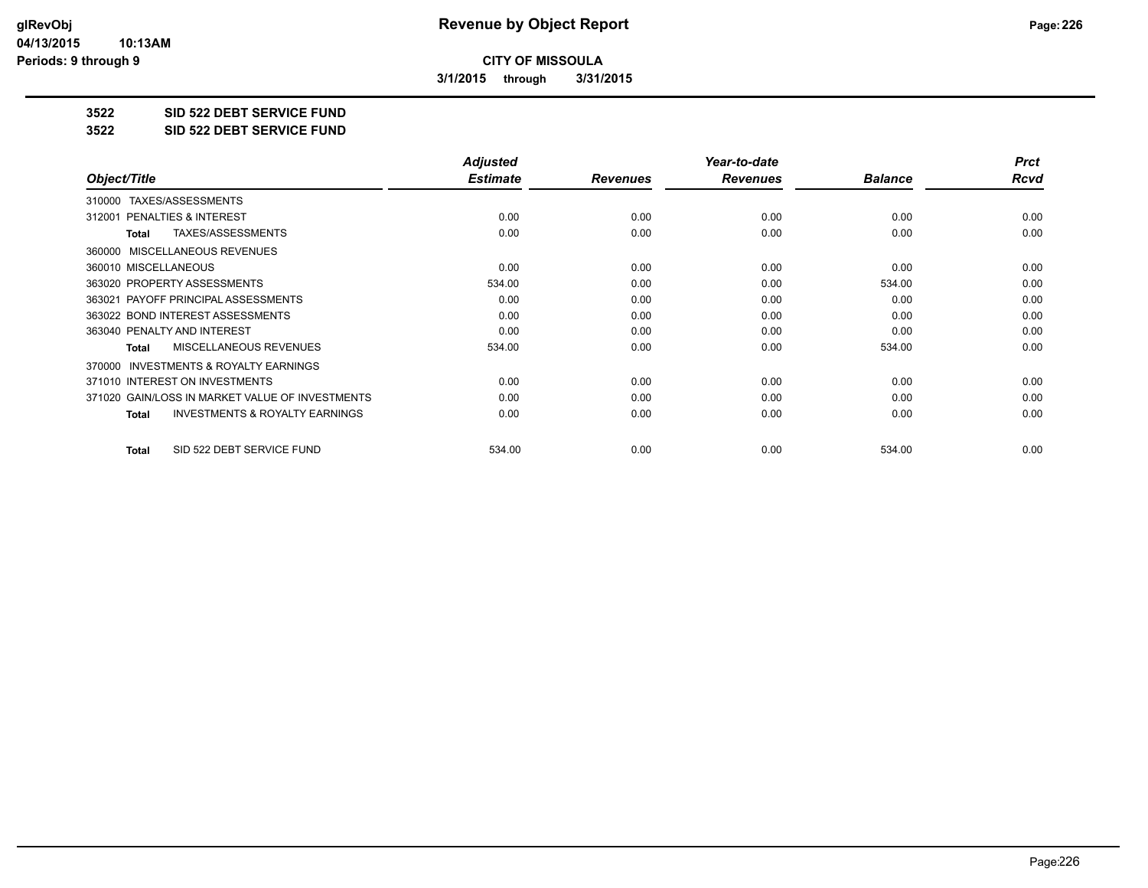**3/1/2015 through 3/31/2015**

**3522 SID 522 DEBT SERVICE FUND**

**3522 SID 522 DEBT SERVICE FUND**

|                                                           | <b>Adjusted</b> |                 | Year-to-date    |                | <b>Prct</b> |
|-----------------------------------------------------------|-----------------|-----------------|-----------------|----------------|-------------|
| Object/Title                                              | <b>Estimate</b> | <b>Revenues</b> | <b>Revenues</b> | <b>Balance</b> | Rcvd        |
| TAXES/ASSESSMENTS<br>310000                               |                 |                 |                 |                |             |
| 312001 PENALTIES & INTEREST                               | 0.00            | 0.00            | 0.00            | 0.00           | 0.00        |
| TAXES/ASSESSMENTS<br>Total                                | 0.00            | 0.00            | 0.00            | 0.00           | 0.00        |
| MISCELLANEOUS REVENUES<br>360000                          |                 |                 |                 |                |             |
| 360010 MISCELLANEOUS                                      | 0.00            | 0.00            | 0.00            | 0.00           | 0.00        |
| 363020 PROPERTY ASSESSMENTS                               | 534.00          | 0.00            | 0.00            | 534.00         | 0.00        |
| 363021 PAYOFF PRINCIPAL ASSESSMENTS                       | 0.00            | 0.00            | 0.00            | 0.00           | 0.00        |
| 363022 BOND INTEREST ASSESSMENTS                          | 0.00            | 0.00            | 0.00            | 0.00           | 0.00        |
| 363040 PENALTY AND INTEREST                               | 0.00            | 0.00            | 0.00            | 0.00           | 0.00        |
| <b>MISCELLANEOUS REVENUES</b><br><b>Total</b>             | 534.00          | 0.00            | 0.00            | 534.00         | 0.00        |
| 370000 INVESTMENTS & ROYALTY EARNINGS                     |                 |                 |                 |                |             |
| 371010 INTEREST ON INVESTMENTS                            | 0.00            | 0.00            | 0.00            | 0.00           | 0.00        |
| 371020 GAIN/LOSS IN MARKET VALUE OF INVESTMENTS           | 0.00            | 0.00            | 0.00            | 0.00           | 0.00        |
| <b>INVESTMENTS &amp; ROYALTY EARNINGS</b><br><b>Total</b> | 0.00            | 0.00            | 0.00            | 0.00           | 0.00        |
| SID 522 DEBT SERVICE FUND<br><b>Total</b>                 | 534.00          | 0.00            | 0.00            | 534.00         | 0.00        |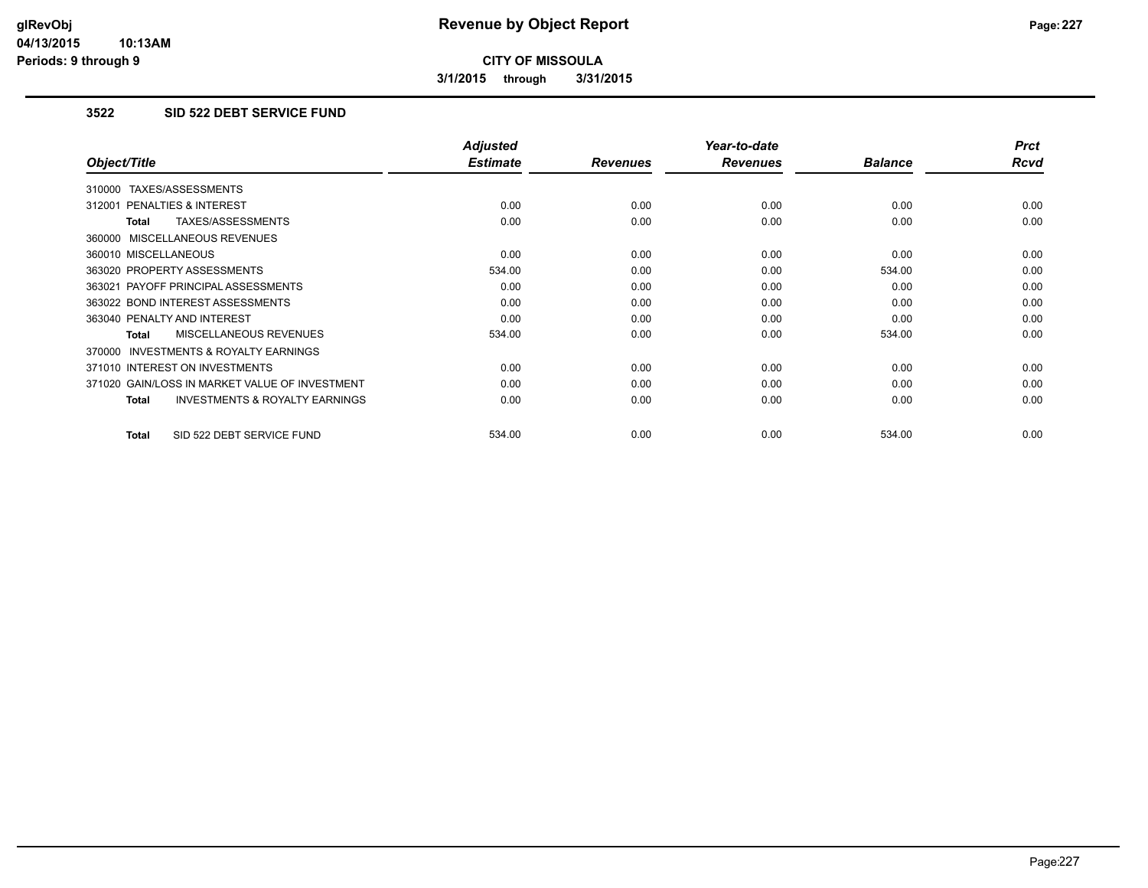**3/1/2015 through 3/31/2015**

## **3522 SID 522 DEBT SERVICE FUND**

|                                                           | <b>Adjusted</b> |                 | Year-to-date    |                | <b>Prct</b> |
|-----------------------------------------------------------|-----------------|-----------------|-----------------|----------------|-------------|
| Object/Title                                              | <b>Estimate</b> | <b>Revenues</b> | <b>Revenues</b> | <b>Balance</b> | <b>Rcvd</b> |
| 310000 TAXES/ASSESSMENTS                                  |                 |                 |                 |                |             |
| 312001 PENALTIES & INTEREST                               | 0.00            | 0.00            | 0.00            | 0.00           | 0.00        |
| TAXES/ASSESSMENTS<br><b>Total</b>                         | 0.00            | 0.00            | 0.00            | 0.00           | 0.00        |
| 360000 MISCELLANEOUS REVENUES                             |                 |                 |                 |                |             |
| 360010 MISCELLANEOUS                                      | 0.00            | 0.00            | 0.00            | 0.00           | 0.00        |
| 363020 PROPERTY ASSESSMENTS                               | 534.00          | 0.00            | 0.00            | 534.00         | 0.00        |
| 363021 PAYOFF PRINCIPAL ASSESSMENTS                       | 0.00            | 0.00            | 0.00            | 0.00           | 0.00        |
| 363022 BOND INTEREST ASSESSMENTS                          | 0.00            | 0.00            | 0.00            | 0.00           | 0.00        |
| 363040 PENALTY AND INTEREST                               | 0.00            | 0.00            | 0.00            | 0.00           | 0.00        |
| MISCELLANEOUS REVENUES<br><b>Total</b>                    | 534.00          | 0.00            | 0.00            | 534.00         | 0.00        |
| <b>INVESTMENTS &amp; ROYALTY EARNINGS</b><br>370000       |                 |                 |                 |                |             |
| 371010 INTEREST ON INVESTMENTS                            | 0.00            | 0.00            | 0.00            | 0.00           | 0.00        |
| 371020 GAIN/LOSS IN MARKET VALUE OF INVESTMENT            | 0.00            | 0.00            | 0.00            | 0.00           | 0.00        |
| <b>INVESTMENTS &amp; ROYALTY EARNINGS</b><br><b>Total</b> | 0.00            | 0.00            | 0.00            | 0.00           | 0.00        |
| SID 522 DEBT SERVICE FUND<br><b>Total</b>                 | 534.00          | 0.00            | 0.00            | 534.00         | 0.00        |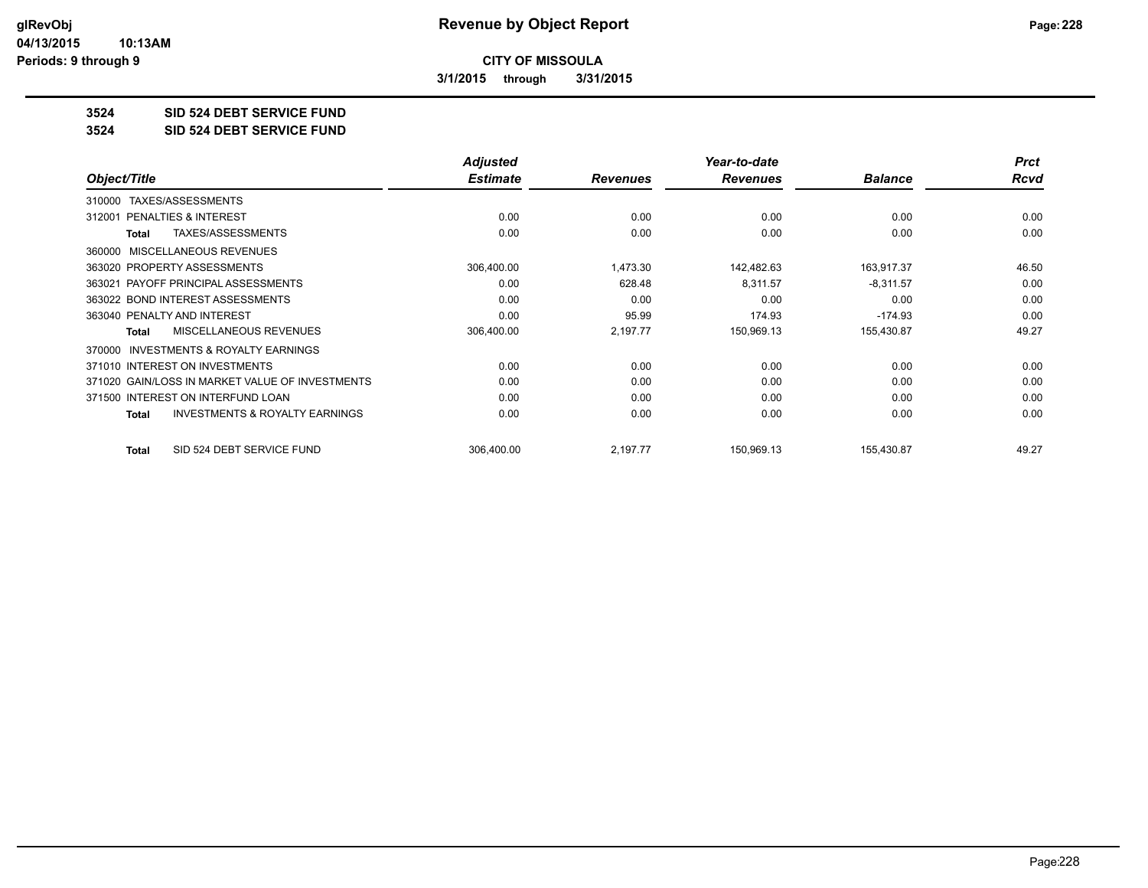**3/1/2015 through 3/31/2015**

**3524 SID 524 DEBT SERVICE FUND**

**3524 SID 524 DEBT SERVICE FUND**

|                                                    | <b>Adjusted</b> |                 | Year-to-date    |                | <b>Prct</b> |
|----------------------------------------------------|-----------------|-----------------|-----------------|----------------|-------------|
| Object/Title                                       | <b>Estimate</b> | <b>Revenues</b> | <b>Revenues</b> | <b>Balance</b> | Rcvd        |
| TAXES/ASSESSMENTS<br>310000                        |                 |                 |                 |                |             |
| PENALTIES & INTEREST<br>312001                     | 0.00            | 0.00            | 0.00            | 0.00           | 0.00        |
| TAXES/ASSESSMENTS<br>Total                         | 0.00            | 0.00            | 0.00            | 0.00           | 0.00        |
| MISCELLANEOUS REVENUES<br>360000                   |                 |                 |                 |                |             |
| 363020 PROPERTY ASSESSMENTS                        | 306,400.00      | 1,473.30        | 142,482.63      | 163,917.37     | 46.50       |
| 363021 PAYOFF PRINCIPAL ASSESSMENTS                | 0.00            | 628.48          | 8,311.57        | $-8,311.57$    | 0.00        |
| 363022 BOND INTEREST ASSESSMENTS                   | 0.00            | 0.00            | 0.00            | 0.00           | 0.00        |
| 363040 PENALTY AND INTEREST                        | 0.00            | 95.99           | 174.93          | $-174.93$      | 0.00        |
| <b>MISCELLANEOUS REVENUES</b><br>Total             | 306,400.00      | 2,197.77        | 150,969.13      | 155,430.87     | 49.27       |
| INVESTMENTS & ROYALTY EARNINGS<br>370000           |                 |                 |                 |                |             |
| 371010 INTEREST ON INVESTMENTS                     | 0.00            | 0.00            | 0.00            | 0.00           | 0.00        |
| 371020 GAIN/LOSS IN MARKET VALUE OF INVESTMENTS    | 0.00            | 0.00            | 0.00            | 0.00           | 0.00        |
| 371500 INTEREST ON INTERFUND LOAN                  | 0.00            | 0.00            | 0.00            | 0.00           | 0.00        |
| <b>INVESTMENTS &amp; ROYALTY EARNINGS</b><br>Total | 0.00            | 0.00            | 0.00            | 0.00           | 0.00        |
| SID 524 DEBT SERVICE FUND<br><b>Total</b>          | 306,400.00      | 2,197.77        | 150,969.13      | 155,430.87     | 49.27       |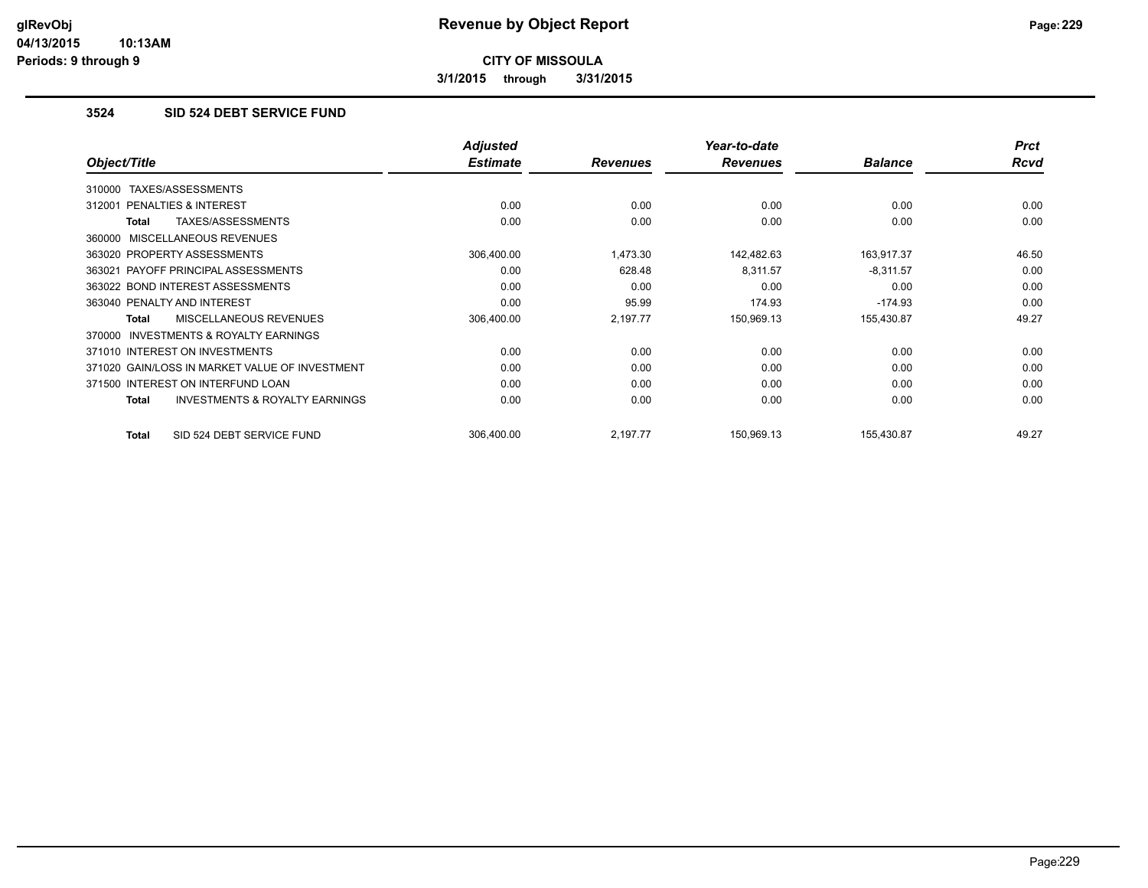**3/1/2015 through 3/31/2015**

## **3524 SID 524 DEBT SERVICE FUND**

|                                                     | <b>Adjusted</b> |                 | Year-to-date    |                | <b>Prct</b> |
|-----------------------------------------------------|-----------------|-----------------|-----------------|----------------|-------------|
| Object/Title                                        | <b>Estimate</b> | <b>Revenues</b> | <b>Revenues</b> | <b>Balance</b> | <b>Rcvd</b> |
| TAXES/ASSESSMENTS<br>310000                         |                 |                 |                 |                |             |
| 312001 PENALTIES & INTEREST                         | 0.00            | 0.00            | 0.00            | 0.00           | 0.00        |
| TAXES/ASSESSMENTS<br>Total                          | 0.00            | 0.00            | 0.00            | 0.00           | 0.00        |
| 360000 MISCELLANEOUS REVENUES                       |                 |                 |                 |                |             |
| 363020 PROPERTY ASSESSMENTS                         | 306,400.00      | 1,473.30        | 142,482.63      | 163,917.37     | 46.50       |
| 363021 PAYOFF PRINCIPAL ASSESSMENTS                 | 0.00            | 628.48          | 8,311.57        | $-8,311.57$    | 0.00        |
| 363022 BOND INTEREST ASSESSMENTS                    | 0.00            | 0.00            | 0.00            | 0.00           | 0.00        |
| 363040 PENALTY AND INTEREST                         | 0.00            | 95.99           | 174.93          | $-174.93$      | 0.00        |
| <b>MISCELLANEOUS REVENUES</b><br><b>Total</b>       | 306,400.00      | 2,197.77        | 150,969.13      | 155,430.87     | 49.27       |
| <b>INVESTMENTS &amp; ROYALTY EARNINGS</b><br>370000 |                 |                 |                 |                |             |
| 371010 INTEREST ON INVESTMENTS                      | 0.00            | 0.00            | 0.00            | 0.00           | 0.00        |
| 371020 GAIN/LOSS IN MARKET VALUE OF INVESTMENT      | 0.00            | 0.00            | 0.00            | 0.00           | 0.00        |
| 371500 INTEREST ON INTERFUND LOAN                   | 0.00            | 0.00            | 0.00            | 0.00           | 0.00        |
| <b>INVESTMENTS &amp; ROYALTY EARNINGS</b><br>Total  | 0.00            | 0.00            | 0.00            | 0.00           | 0.00        |
| SID 524 DEBT SERVICE FUND<br>Total                  | 306,400.00      | 2,197.77        | 150,969.13      | 155,430.87     | 49.27       |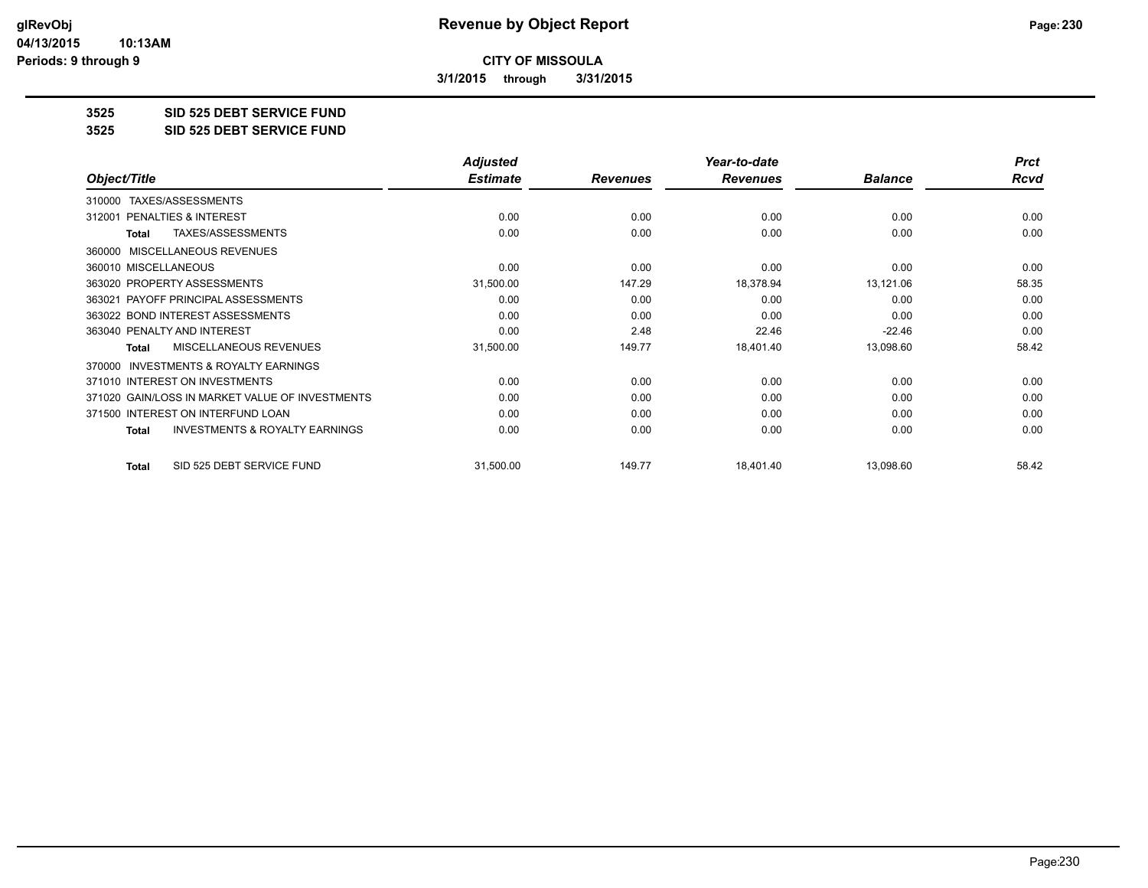**3/1/2015 through 3/31/2015**

**3525 SID 525 DEBT SERVICE FUND**

**3525 SID 525 DEBT SERVICE FUND**

|                                                           | <b>Adjusted</b> |                 | Year-to-date    |                | <b>Prct</b> |
|-----------------------------------------------------------|-----------------|-----------------|-----------------|----------------|-------------|
| Object/Title                                              | <b>Estimate</b> | <b>Revenues</b> | <b>Revenues</b> | <b>Balance</b> | <b>Rcvd</b> |
| TAXES/ASSESSMENTS<br>310000                               |                 |                 |                 |                |             |
| <b>PENALTIES &amp; INTEREST</b><br>312001                 | 0.00            | 0.00            | 0.00            | 0.00           | 0.00        |
| TAXES/ASSESSMENTS<br><b>Total</b>                         | 0.00            | 0.00            | 0.00            | 0.00           | 0.00        |
| MISCELLANEOUS REVENUES<br>360000                          |                 |                 |                 |                |             |
| 360010 MISCELLANEOUS                                      | 0.00            | 0.00            | 0.00            | 0.00           | 0.00        |
| 363020 PROPERTY ASSESSMENTS                               | 31,500.00       | 147.29          | 18,378.94       | 13,121.06      | 58.35       |
| 363021 PAYOFF PRINCIPAL ASSESSMENTS                       | 0.00            | 0.00            | 0.00            | 0.00           | 0.00        |
| 363022 BOND INTEREST ASSESSMENTS                          | 0.00            | 0.00            | 0.00            | 0.00           | 0.00        |
| 363040 PENALTY AND INTEREST                               | 0.00            | 2.48            | 22.46           | $-22.46$       | 0.00        |
| <b>MISCELLANEOUS REVENUES</b><br><b>Total</b>             | 31,500.00       | 149.77          | 18,401.40       | 13,098.60      | 58.42       |
| <b>INVESTMENTS &amp; ROYALTY EARNINGS</b><br>370000       |                 |                 |                 |                |             |
| 371010 INTEREST ON INVESTMENTS                            | 0.00            | 0.00            | 0.00            | 0.00           | 0.00        |
| 371020 GAIN/LOSS IN MARKET VALUE OF INVESTMENTS           | 0.00            | 0.00            | 0.00            | 0.00           | 0.00        |
| 371500 INTEREST ON INTERFUND LOAN                         | 0.00            | 0.00            | 0.00            | 0.00           | 0.00        |
| <b>INVESTMENTS &amp; ROYALTY EARNINGS</b><br><b>Total</b> | 0.00            | 0.00            | 0.00            | 0.00           | 0.00        |
| SID 525 DEBT SERVICE FUND<br><b>Total</b>                 | 31,500.00       | 149.77          | 18,401.40       | 13,098.60      | 58.42       |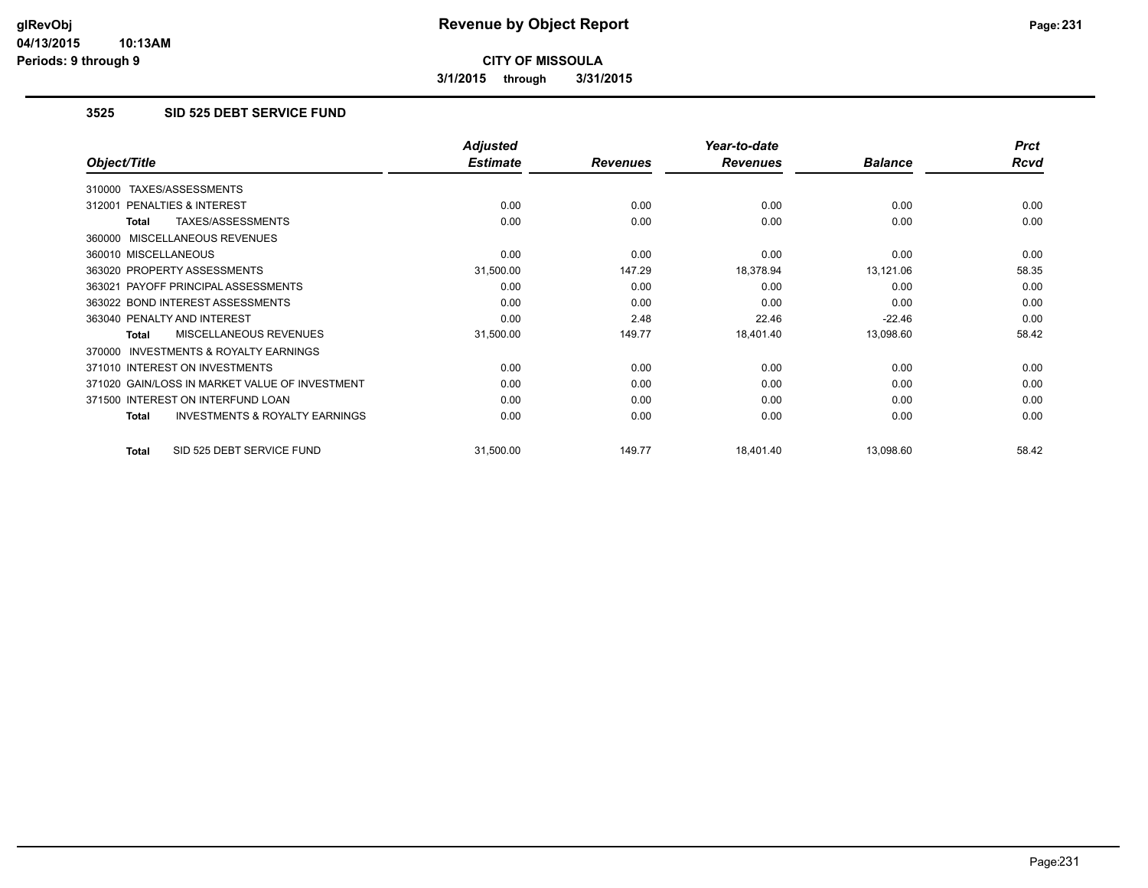**3/1/2015 through 3/31/2015**

## **3525 SID 525 DEBT SERVICE FUND**

|                                                    | <b>Adjusted</b> |                 | Year-to-date    |                | <b>Prct</b> |
|----------------------------------------------------|-----------------|-----------------|-----------------|----------------|-------------|
| Object/Title                                       | <b>Estimate</b> | <b>Revenues</b> | <b>Revenues</b> | <b>Balance</b> | <b>Rcvd</b> |
| TAXES/ASSESSMENTS<br>310000                        |                 |                 |                 |                |             |
| 312001 PENALTIES & INTEREST                        | 0.00            | 0.00            | 0.00            | 0.00           | 0.00        |
| TAXES/ASSESSMENTS<br>Total                         | 0.00            | 0.00            | 0.00            | 0.00           | 0.00        |
| 360000 MISCELLANEOUS REVENUES                      |                 |                 |                 |                |             |
| 360010 MISCELLANEOUS                               | 0.00            | 0.00            | 0.00            | 0.00           | 0.00        |
| 363020 PROPERTY ASSESSMENTS                        | 31,500.00       | 147.29          | 18,378.94       | 13,121.06      | 58.35       |
| 363021 PAYOFF PRINCIPAL ASSESSMENTS                | 0.00            | 0.00            | 0.00            | 0.00           | 0.00        |
| 363022 BOND INTEREST ASSESSMENTS                   | 0.00            | 0.00            | 0.00            | 0.00           | 0.00        |
| 363040 PENALTY AND INTEREST                        | 0.00            | 2.48            | 22.46           | $-22.46$       | 0.00        |
| <b>MISCELLANEOUS REVENUES</b><br>Total             | 31,500.00       | 149.77          | 18,401.40       | 13,098.60      | 58.42       |
| 370000 INVESTMENTS & ROYALTY EARNINGS              |                 |                 |                 |                |             |
| 371010 INTEREST ON INVESTMENTS                     | 0.00            | 0.00            | 0.00            | 0.00           | 0.00        |
| 371020 GAIN/LOSS IN MARKET VALUE OF INVESTMENT     | 0.00            | 0.00            | 0.00            | 0.00           | 0.00        |
| 371500 INTEREST ON INTERFUND LOAN                  | 0.00            | 0.00            | 0.00            | 0.00           | 0.00        |
| <b>INVESTMENTS &amp; ROYALTY EARNINGS</b><br>Total | 0.00            | 0.00            | 0.00            | 0.00           | 0.00        |
| SID 525 DEBT SERVICE FUND<br>Total                 | 31,500.00       | 149.77          | 18,401.40       | 13,098.60      | 58.42       |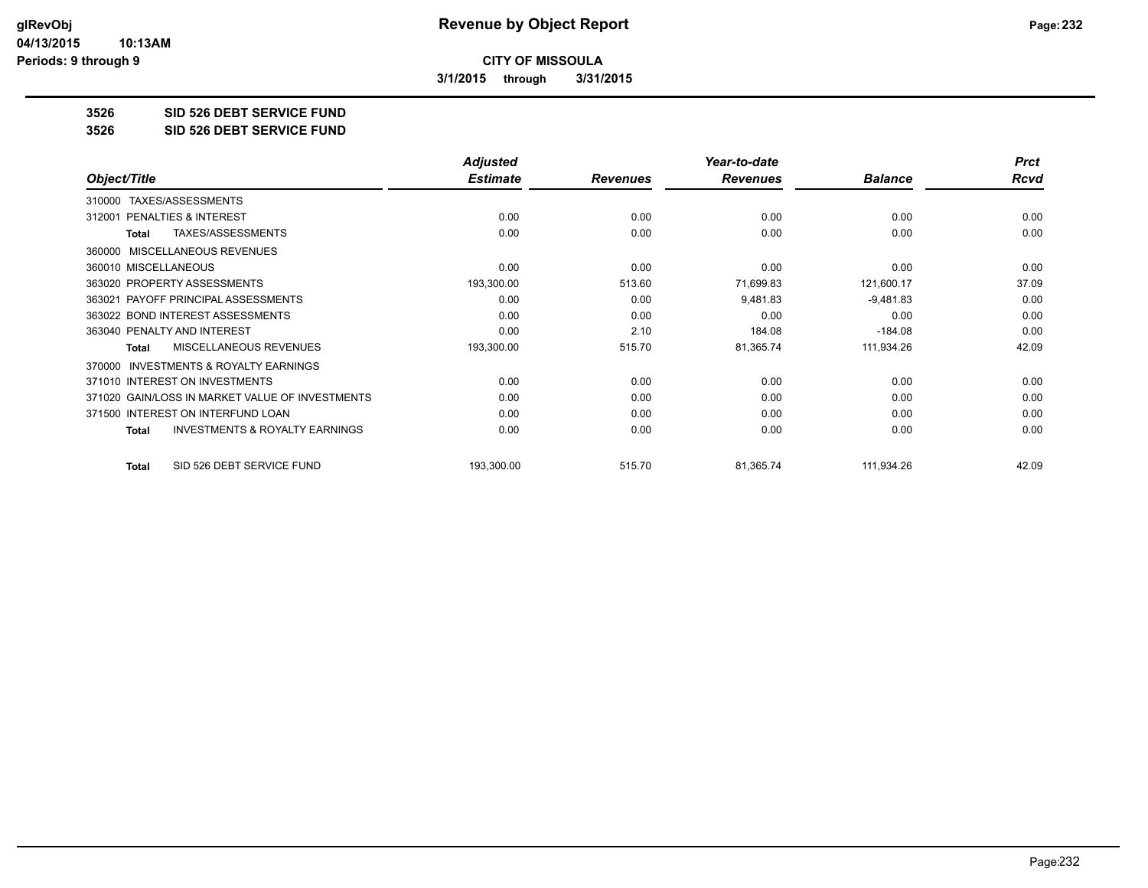**3/1/2015 through 3/31/2015**

**3526 SID 526 DEBT SERVICE FUND**

**3526 SID 526 DEBT SERVICE FUND**

|                                                           | <b>Adjusted</b> |                 | Year-to-date    |                | <b>Prct</b> |
|-----------------------------------------------------------|-----------------|-----------------|-----------------|----------------|-------------|
| Object/Title                                              | <b>Estimate</b> | <b>Revenues</b> | <b>Revenues</b> | <b>Balance</b> | <b>Rcvd</b> |
| TAXES/ASSESSMENTS<br>310000                               |                 |                 |                 |                |             |
| PENALTIES & INTEREST<br>312001                            | 0.00            | 0.00            | 0.00            | 0.00           | 0.00        |
| TAXES/ASSESSMENTS<br><b>Total</b>                         | 0.00            | 0.00            | 0.00            | 0.00           | 0.00        |
| MISCELLANEOUS REVENUES<br>360000                          |                 |                 |                 |                |             |
| 360010 MISCELLANEOUS                                      | 0.00            | 0.00            | 0.00            | 0.00           | 0.00        |
| 363020 PROPERTY ASSESSMENTS                               | 193,300.00      | 513.60          | 71,699.83       | 121,600.17     | 37.09       |
| 363021 PAYOFF PRINCIPAL ASSESSMENTS                       | 0.00            | 0.00            | 9,481.83        | $-9,481.83$    | 0.00        |
| 363022 BOND INTEREST ASSESSMENTS                          | 0.00            | 0.00            | 0.00            | 0.00           | 0.00        |
| 363040 PENALTY AND INTEREST                               | 0.00            | 2.10            | 184.08          | $-184.08$      | 0.00        |
| <b>MISCELLANEOUS REVENUES</b><br><b>Total</b>             | 193,300.00      | 515.70          | 81,365.74       | 111,934.26     | 42.09       |
| <b>INVESTMENTS &amp; ROYALTY EARNINGS</b><br>370000       |                 |                 |                 |                |             |
| 371010 INTEREST ON INVESTMENTS                            | 0.00            | 0.00            | 0.00            | 0.00           | 0.00        |
| 371020 GAIN/LOSS IN MARKET VALUE OF INVESTMENTS           | 0.00            | 0.00            | 0.00            | 0.00           | 0.00        |
| 371500 INTEREST ON INTERFUND LOAN                         | 0.00            | 0.00            | 0.00            | 0.00           | 0.00        |
| <b>INVESTMENTS &amp; ROYALTY EARNINGS</b><br><b>Total</b> | 0.00            | 0.00            | 0.00            | 0.00           | 0.00        |
| SID 526 DEBT SERVICE FUND<br><b>Total</b>                 | 193,300.00      | 515.70          | 81,365.74       | 111,934.26     | 42.09       |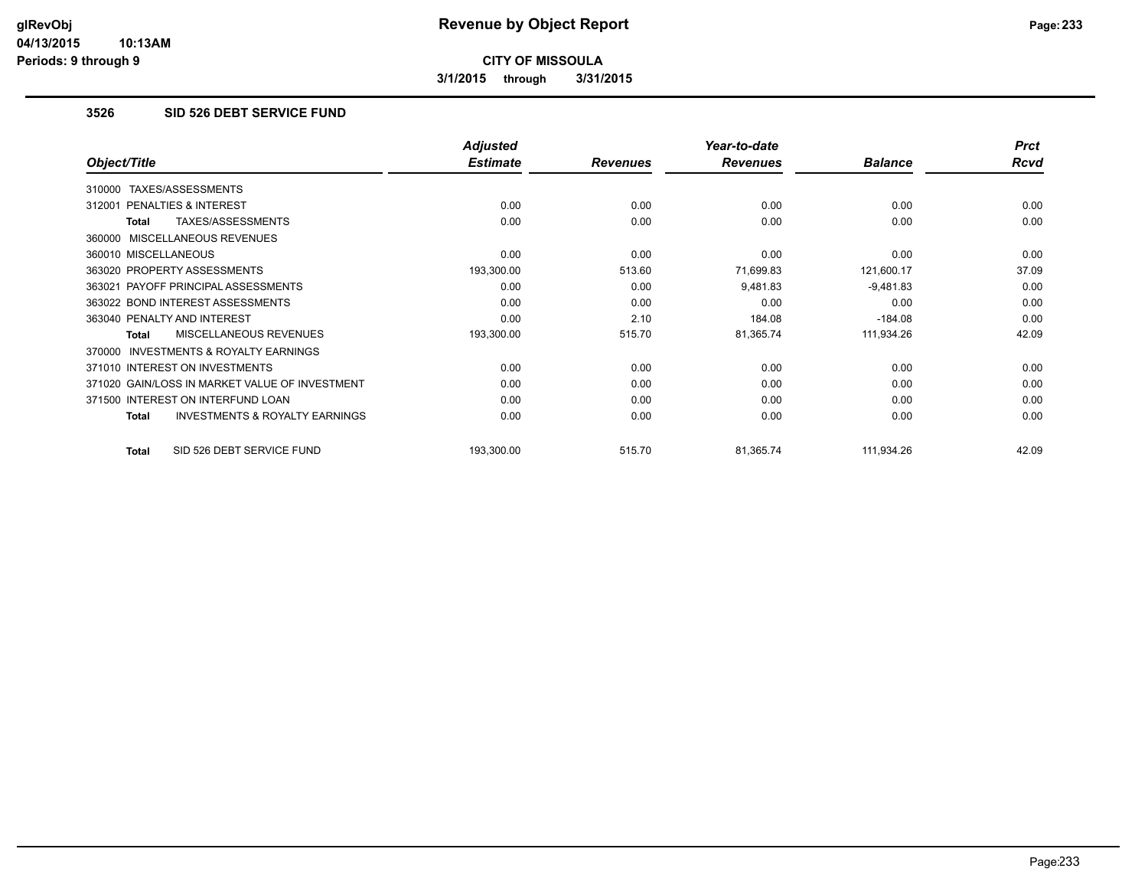**3/1/2015 through 3/31/2015**

## **3526 SID 526 DEBT SERVICE FUND**

|                                                    | <b>Adjusted</b> |                 | Year-to-date    |                | <b>Prct</b> |
|----------------------------------------------------|-----------------|-----------------|-----------------|----------------|-------------|
| Object/Title                                       | <b>Estimate</b> | <b>Revenues</b> | <b>Revenues</b> | <b>Balance</b> | <b>Rcvd</b> |
| TAXES/ASSESSMENTS<br>310000                        |                 |                 |                 |                |             |
| 312001 PENALTIES & INTEREST                        | 0.00            | 0.00            | 0.00            | 0.00           | 0.00        |
| TAXES/ASSESSMENTS<br>Total                         | 0.00            | 0.00            | 0.00            | 0.00           | 0.00        |
| 360000 MISCELLANEOUS REVENUES                      |                 |                 |                 |                |             |
| 360010 MISCELLANEOUS                               | 0.00            | 0.00            | 0.00            | 0.00           | 0.00        |
| 363020 PROPERTY ASSESSMENTS                        | 193,300.00      | 513.60          | 71,699.83       | 121,600.17     | 37.09       |
| 363021 PAYOFF PRINCIPAL ASSESSMENTS                | 0.00            | 0.00            | 9,481.83        | $-9,481.83$    | 0.00        |
| 363022 BOND INTEREST ASSESSMENTS                   | 0.00            | 0.00            | 0.00            | 0.00           | 0.00        |
| 363040 PENALTY AND INTEREST                        | 0.00            | 2.10            | 184.08          | $-184.08$      | 0.00        |
| <b>MISCELLANEOUS REVENUES</b><br>Total             | 193,300.00      | 515.70          | 81,365.74       | 111,934.26     | 42.09       |
| 370000 INVESTMENTS & ROYALTY EARNINGS              |                 |                 |                 |                |             |
| 371010 INTEREST ON INVESTMENTS                     | 0.00            | 0.00            | 0.00            | 0.00           | 0.00        |
| 371020 GAIN/LOSS IN MARKET VALUE OF INVESTMENT     | 0.00            | 0.00            | 0.00            | 0.00           | 0.00        |
| 371500 INTEREST ON INTERFUND LOAN                  | 0.00            | 0.00            | 0.00            | 0.00           | 0.00        |
| <b>INVESTMENTS &amp; ROYALTY EARNINGS</b><br>Total | 0.00            | 0.00            | 0.00            | 0.00           | 0.00        |
| SID 526 DEBT SERVICE FUND<br>Total                 | 193,300.00      | 515.70          | 81,365.74       | 111,934.26     | 42.09       |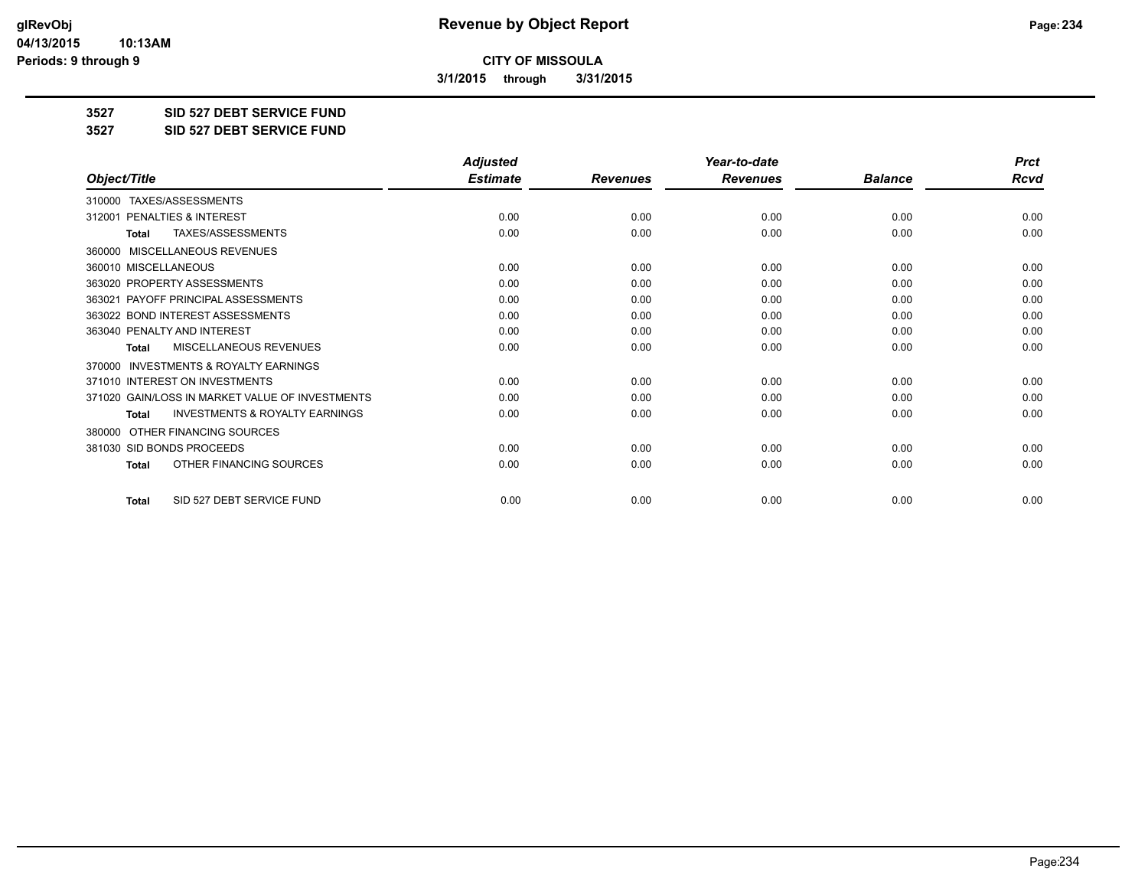**3/1/2015 through 3/31/2015**

**3527 SID 527 DEBT SERVICE FUND**

**3527 SID 527 DEBT SERVICE FUND**

|                                                           | <b>Adjusted</b> |                 | Year-to-date    |                | <b>Prct</b> |
|-----------------------------------------------------------|-----------------|-----------------|-----------------|----------------|-------------|
| Object/Title                                              | <b>Estimate</b> | <b>Revenues</b> | <b>Revenues</b> | <b>Balance</b> | <b>Rcvd</b> |
| TAXES/ASSESSMENTS<br>310000                               |                 |                 |                 |                |             |
| 312001 PENALTIES & INTEREST                               | 0.00            | 0.00            | 0.00            | 0.00           | 0.00        |
| TAXES/ASSESSMENTS<br><b>Total</b>                         | 0.00            | 0.00            | 0.00            | 0.00           | 0.00        |
| MISCELLANEOUS REVENUES<br>360000                          |                 |                 |                 |                |             |
| 360010 MISCELLANEOUS                                      | 0.00            | 0.00            | 0.00            | 0.00           | 0.00        |
| 363020 PROPERTY ASSESSMENTS                               | 0.00            | 0.00            | 0.00            | 0.00           | 0.00        |
| 363021 PAYOFF PRINCIPAL ASSESSMENTS                       | 0.00            | 0.00            | 0.00            | 0.00           | 0.00        |
| 363022 BOND INTEREST ASSESSMENTS                          | 0.00            | 0.00            | 0.00            | 0.00           | 0.00        |
| 363040 PENALTY AND INTEREST                               | 0.00            | 0.00            | 0.00            | 0.00           | 0.00        |
| <b>MISCELLANEOUS REVENUES</b><br><b>Total</b>             | 0.00            | 0.00            | 0.00            | 0.00           | 0.00        |
| <b>INVESTMENTS &amp; ROYALTY EARNINGS</b><br>370000       |                 |                 |                 |                |             |
| 371010 INTEREST ON INVESTMENTS                            | 0.00            | 0.00            | 0.00            | 0.00           | 0.00        |
| 371020 GAIN/LOSS IN MARKET VALUE OF INVESTMENTS           | 0.00            | 0.00            | 0.00            | 0.00           | 0.00        |
| <b>INVESTMENTS &amp; ROYALTY EARNINGS</b><br><b>Total</b> | 0.00            | 0.00            | 0.00            | 0.00           | 0.00        |
| OTHER FINANCING SOURCES<br>380000                         |                 |                 |                 |                |             |
| 381030 SID BONDS PROCEEDS                                 | 0.00            | 0.00            | 0.00            | 0.00           | 0.00        |
| OTHER FINANCING SOURCES<br>Total                          | 0.00            | 0.00            | 0.00            | 0.00           | 0.00        |
| SID 527 DEBT SERVICE FUND<br><b>Total</b>                 | 0.00            | 0.00            | 0.00            | 0.00           | 0.00        |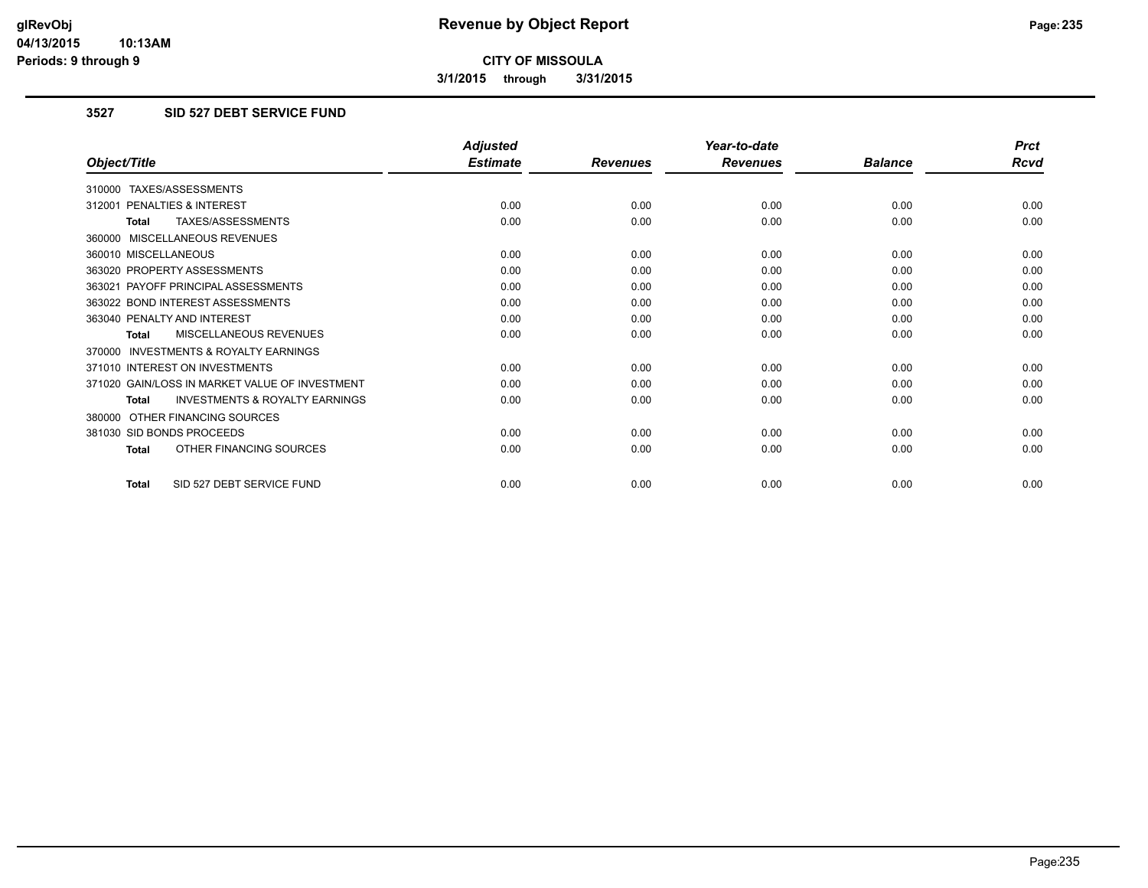**3/1/2015 through 3/31/2015**

## **3527 SID 527 DEBT SERVICE FUND**

|                                                           | <b>Adjusted</b> |                 | Year-to-date    |                | <b>Prct</b> |
|-----------------------------------------------------------|-----------------|-----------------|-----------------|----------------|-------------|
| Object/Title                                              | <b>Estimate</b> | <b>Revenues</b> | <b>Revenues</b> | <b>Balance</b> | <b>Rcvd</b> |
| 310000 TAXES/ASSESSMENTS                                  |                 |                 |                 |                |             |
| 312001 PENALTIES & INTEREST                               | 0.00            | 0.00            | 0.00            | 0.00           | 0.00        |
| <b>TAXES/ASSESSMENTS</b><br><b>Total</b>                  | 0.00            | 0.00            | 0.00            | 0.00           | 0.00        |
| 360000 MISCELLANEOUS REVENUES                             |                 |                 |                 |                |             |
| 360010 MISCELLANEOUS                                      | 0.00            | 0.00            | 0.00            | 0.00           | 0.00        |
| 363020 PROPERTY ASSESSMENTS                               | 0.00            | 0.00            | 0.00            | 0.00           | 0.00        |
| 363021 PAYOFF PRINCIPAL ASSESSMENTS                       | 0.00            | 0.00            | 0.00            | 0.00           | 0.00        |
| 363022 BOND INTEREST ASSESSMENTS                          | 0.00            | 0.00            | 0.00            | 0.00           | 0.00        |
| 363040 PENALTY AND INTEREST                               | 0.00            | 0.00            | 0.00            | 0.00           | 0.00        |
| MISCELLANEOUS REVENUES<br><b>Total</b>                    | 0.00            | 0.00            | 0.00            | 0.00           | 0.00        |
| <b>INVESTMENTS &amp; ROYALTY EARNINGS</b><br>370000       |                 |                 |                 |                |             |
| 371010 INTEREST ON INVESTMENTS                            | 0.00            | 0.00            | 0.00            | 0.00           | 0.00        |
| 371020 GAIN/LOSS IN MARKET VALUE OF INVESTMENT            | 0.00            | 0.00            | 0.00            | 0.00           | 0.00        |
| <b>INVESTMENTS &amp; ROYALTY EARNINGS</b><br><b>Total</b> | 0.00            | 0.00            | 0.00            | 0.00           | 0.00        |
| OTHER FINANCING SOURCES<br>380000                         |                 |                 |                 |                |             |
| 381030 SID BONDS PROCEEDS                                 | 0.00            | 0.00            | 0.00            | 0.00           | 0.00        |
| OTHER FINANCING SOURCES<br><b>Total</b>                   | 0.00            | 0.00            | 0.00            | 0.00           | 0.00        |
| SID 527 DEBT SERVICE FUND<br><b>Total</b>                 | 0.00            | 0.00            | 0.00            | 0.00           | 0.00        |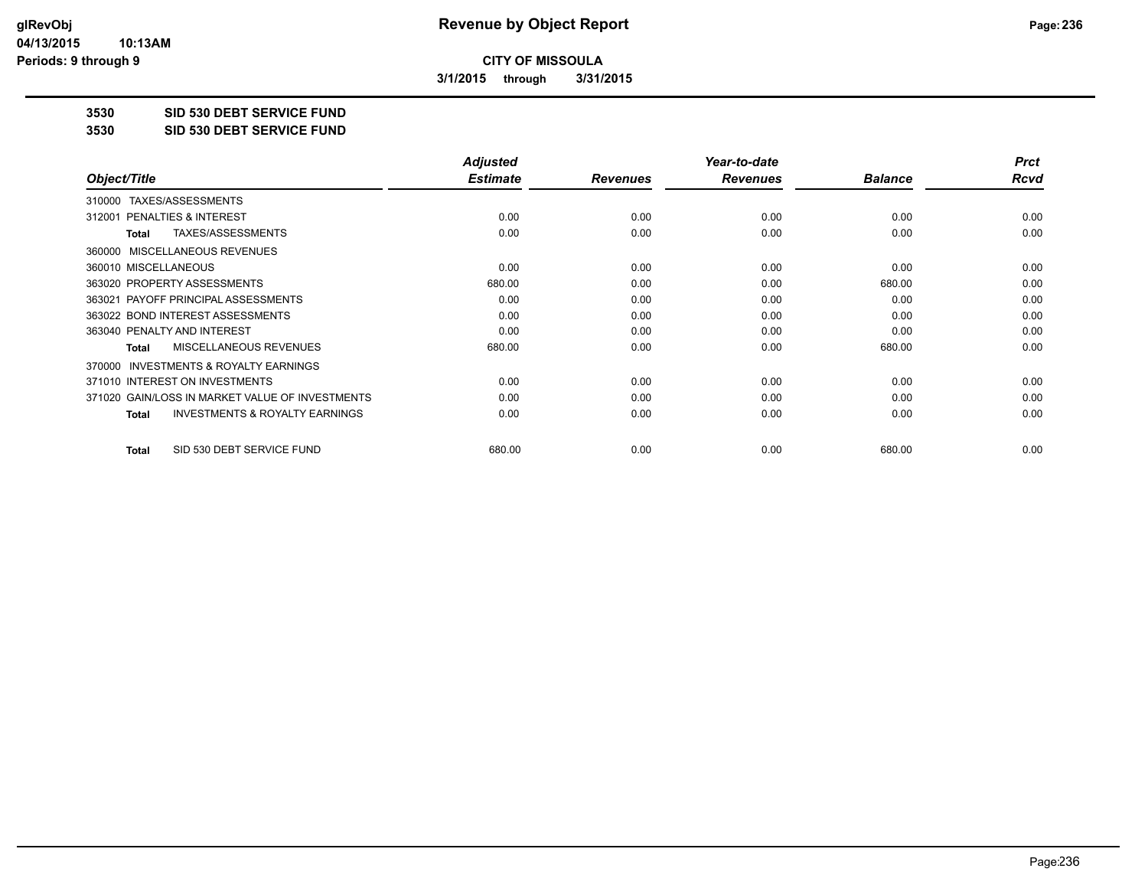**3/1/2015 through 3/31/2015**

**3530 SID 530 DEBT SERVICE FUND**

**3530 SID 530 DEBT SERVICE FUND**

|                                                           | <b>Adjusted</b> |                 | Year-to-date    |                | <b>Prct</b> |
|-----------------------------------------------------------|-----------------|-----------------|-----------------|----------------|-------------|
| Object/Title                                              | <b>Estimate</b> | <b>Revenues</b> | <b>Revenues</b> | <b>Balance</b> | Rcvd        |
| TAXES/ASSESSMENTS<br>310000                               |                 |                 |                 |                |             |
| 312001 PENALTIES & INTEREST                               | 0.00            | 0.00            | 0.00            | 0.00           | 0.00        |
| TAXES/ASSESSMENTS<br><b>Total</b>                         | 0.00            | 0.00            | 0.00            | 0.00           | 0.00        |
| MISCELLANEOUS REVENUES<br>360000                          |                 |                 |                 |                |             |
| 360010 MISCELLANEOUS                                      | 0.00            | 0.00            | 0.00            | 0.00           | 0.00        |
| 363020 PROPERTY ASSESSMENTS                               | 680.00          | 0.00            | 0.00            | 680.00         | 0.00        |
| 363021 PAYOFF PRINCIPAL ASSESSMENTS                       | 0.00            | 0.00            | 0.00            | 0.00           | 0.00        |
| 363022 BOND INTEREST ASSESSMENTS                          | 0.00            | 0.00            | 0.00            | 0.00           | 0.00        |
| 363040 PENALTY AND INTEREST                               | 0.00            | 0.00            | 0.00            | 0.00           | 0.00        |
| <b>MISCELLANEOUS REVENUES</b><br><b>Total</b>             | 680.00          | 0.00            | 0.00            | 680.00         | 0.00        |
| INVESTMENTS & ROYALTY EARNINGS<br>370000                  |                 |                 |                 |                |             |
| 371010 INTEREST ON INVESTMENTS                            | 0.00            | 0.00            | 0.00            | 0.00           | 0.00        |
| 371020 GAIN/LOSS IN MARKET VALUE OF INVESTMENTS           | 0.00            | 0.00            | 0.00            | 0.00           | 0.00        |
| <b>INVESTMENTS &amp; ROYALTY EARNINGS</b><br><b>Total</b> | 0.00            | 0.00            | 0.00            | 0.00           | 0.00        |
| SID 530 DEBT SERVICE FUND<br><b>Total</b>                 | 680.00          | 0.00            | 0.00            | 680.00         | 0.00        |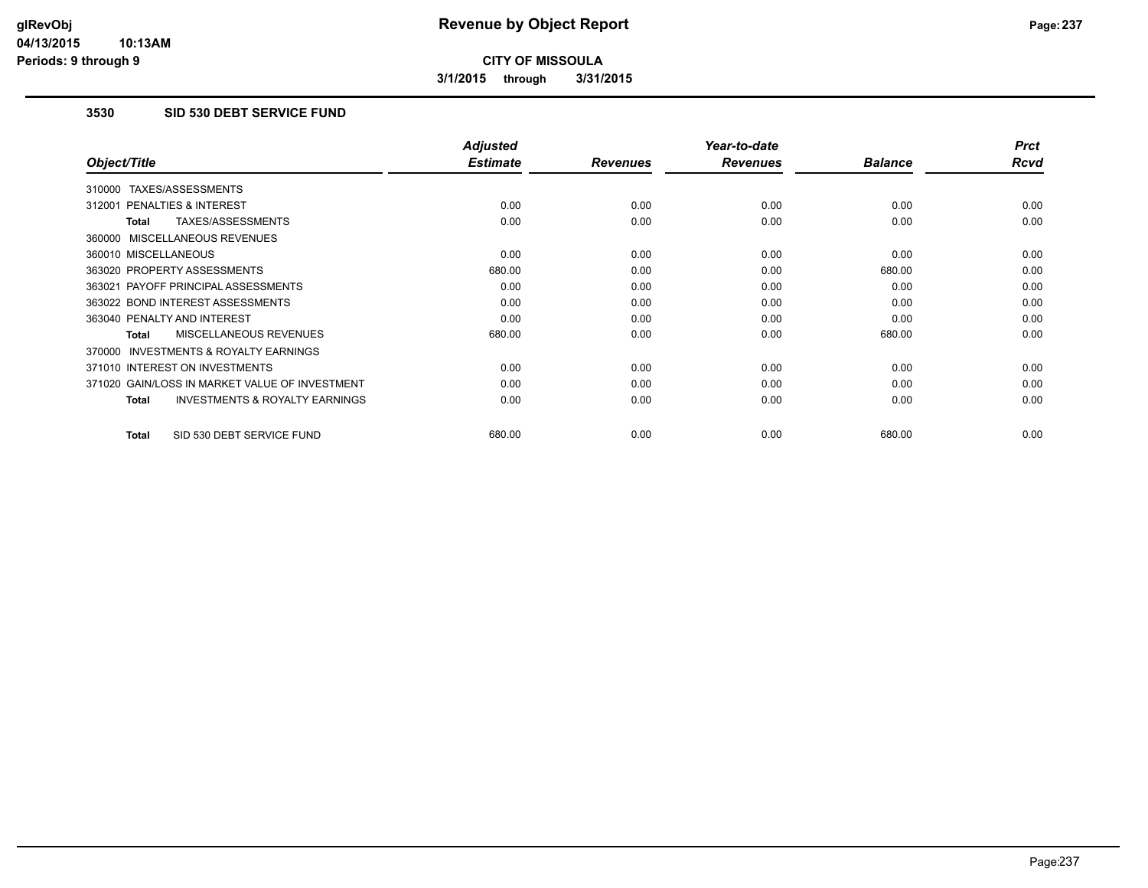**3/1/2015 through 3/31/2015**

## **3530 SID 530 DEBT SERVICE FUND**

|                                                           | <b>Adjusted</b> |                 | Year-to-date    |                | <b>Prct</b> |
|-----------------------------------------------------------|-----------------|-----------------|-----------------|----------------|-------------|
| Object/Title                                              | <b>Estimate</b> | <b>Revenues</b> | <b>Revenues</b> | <b>Balance</b> | <b>Rcvd</b> |
| 310000 TAXES/ASSESSMENTS                                  |                 |                 |                 |                |             |
| 312001 PENALTIES & INTEREST                               | 0.00            | 0.00            | 0.00            | 0.00           | 0.00        |
| TAXES/ASSESSMENTS<br><b>Total</b>                         | 0.00            | 0.00            | 0.00            | 0.00           | 0.00        |
| 360000 MISCELLANEOUS REVENUES                             |                 |                 |                 |                |             |
| 360010 MISCELLANEOUS                                      | 0.00            | 0.00            | 0.00            | 0.00           | 0.00        |
| 363020 PROPERTY ASSESSMENTS                               | 680.00          | 0.00            | 0.00            | 680.00         | 0.00        |
| 363021 PAYOFF PRINCIPAL ASSESSMENTS                       | 0.00            | 0.00            | 0.00            | 0.00           | 0.00        |
| 363022 BOND INTEREST ASSESSMENTS                          | 0.00            | 0.00            | 0.00            | 0.00           | 0.00        |
| 363040 PENALTY AND INTEREST                               | 0.00            | 0.00            | 0.00            | 0.00           | 0.00        |
| MISCELLANEOUS REVENUES<br><b>Total</b>                    | 680.00          | 0.00            | 0.00            | 680.00         | 0.00        |
| INVESTMENTS & ROYALTY EARNINGS<br>370000                  |                 |                 |                 |                |             |
| 371010 INTEREST ON INVESTMENTS                            | 0.00            | 0.00            | 0.00            | 0.00           | 0.00        |
| 371020 GAIN/LOSS IN MARKET VALUE OF INVESTMENT            | 0.00            | 0.00            | 0.00            | 0.00           | 0.00        |
| <b>INVESTMENTS &amp; ROYALTY EARNINGS</b><br><b>Total</b> | 0.00            | 0.00            | 0.00            | 0.00           | 0.00        |
| SID 530 DEBT SERVICE FUND<br><b>Total</b>                 | 680.00          | 0.00            | 0.00            | 680.00         | 0.00        |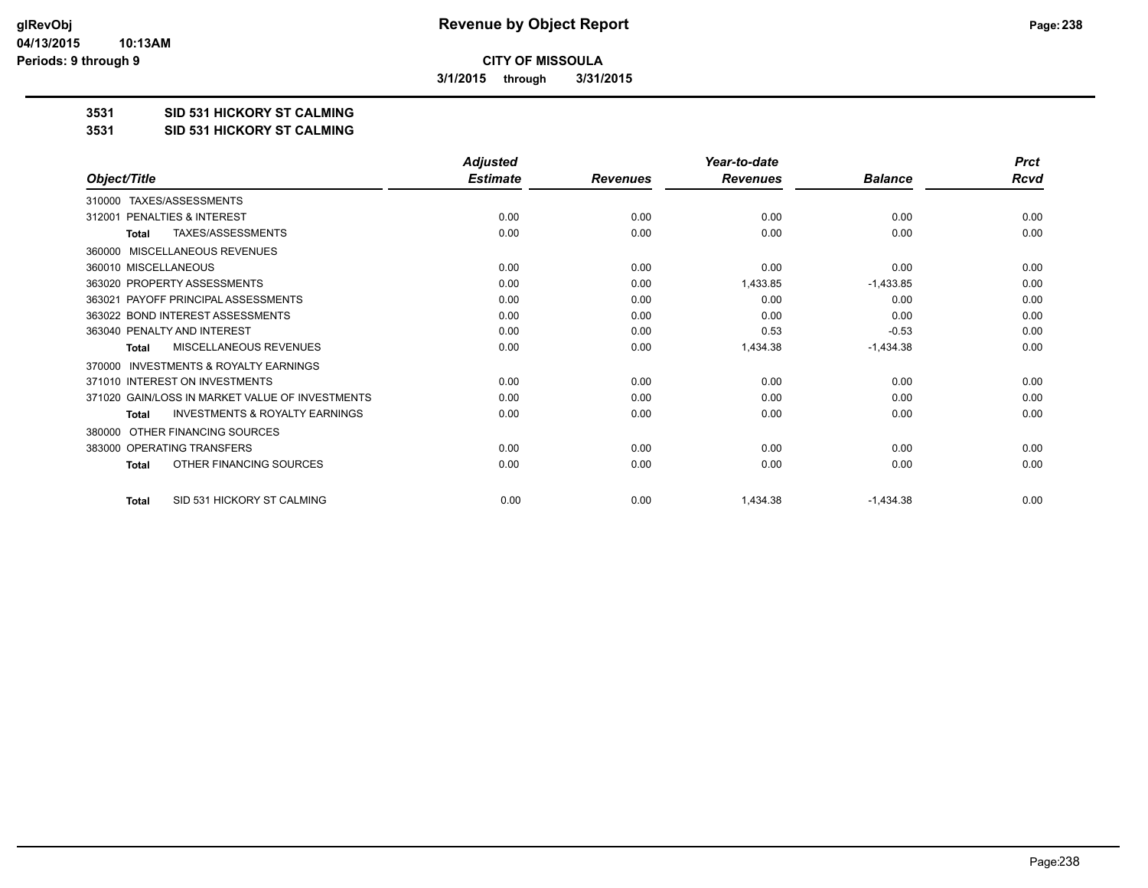**3/1/2015 through 3/31/2015**

**3531 SID 531 HICKORY ST CALMING**

**3531 SID 531 HICKORY ST CALMING**

|                                                           | <b>Adjusted</b> |                 | Year-to-date    |                | <b>Prct</b> |
|-----------------------------------------------------------|-----------------|-----------------|-----------------|----------------|-------------|
| Object/Title                                              | <b>Estimate</b> | <b>Revenues</b> | <b>Revenues</b> | <b>Balance</b> | <b>Rcvd</b> |
| TAXES/ASSESSMENTS<br>310000                               |                 |                 |                 |                |             |
| PENALTIES & INTEREST<br>312001                            | 0.00            | 0.00            | 0.00            | 0.00           | 0.00        |
| TAXES/ASSESSMENTS<br><b>Total</b>                         | 0.00            | 0.00            | 0.00            | 0.00           | 0.00        |
| MISCELLANEOUS REVENUES<br>360000                          |                 |                 |                 |                |             |
| 360010 MISCELLANEOUS                                      | 0.00            | 0.00            | 0.00            | 0.00           | 0.00        |
| 363020 PROPERTY ASSESSMENTS                               | 0.00            | 0.00            | 1,433.85        | $-1,433.85$    | 0.00        |
| 363021 PAYOFF PRINCIPAL ASSESSMENTS                       | 0.00            | 0.00            | 0.00            | 0.00           | 0.00        |
| 363022 BOND INTEREST ASSESSMENTS                          | 0.00            | 0.00            | 0.00            | 0.00           | 0.00        |
| 363040 PENALTY AND INTEREST                               | 0.00            | 0.00            | 0.53            | $-0.53$        | 0.00        |
| MISCELLANEOUS REVENUES<br>Total                           | 0.00            | 0.00            | 1,434.38        | $-1,434.38$    | 0.00        |
| INVESTMENTS & ROYALTY EARNINGS<br>370000                  |                 |                 |                 |                |             |
| 371010 INTEREST ON INVESTMENTS                            | 0.00            | 0.00            | 0.00            | 0.00           | 0.00        |
| 371020 GAIN/LOSS IN MARKET VALUE OF INVESTMENTS           | 0.00            | 0.00            | 0.00            | 0.00           | 0.00        |
| <b>INVESTMENTS &amp; ROYALTY EARNINGS</b><br><b>Total</b> | 0.00            | 0.00            | 0.00            | 0.00           | 0.00        |
| OTHER FINANCING SOURCES<br>380000                         |                 |                 |                 |                |             |
| 383000 OPERATING TRANSFERS                                | 0.00            | 0.00            | 0.00            | 0.00           | 0.00        |
| OTHER FINANCING SOURCES<br><b>Total</b>                   | 0.00            | 0.00            | 0.00            | 0.00           | 0.00        |
| SID 531 HICKORY ST CALMING<br><b>Total</b>                | 0.00            | 0.00            | 1,434.38        | $-1,434.38$    | 0.00        |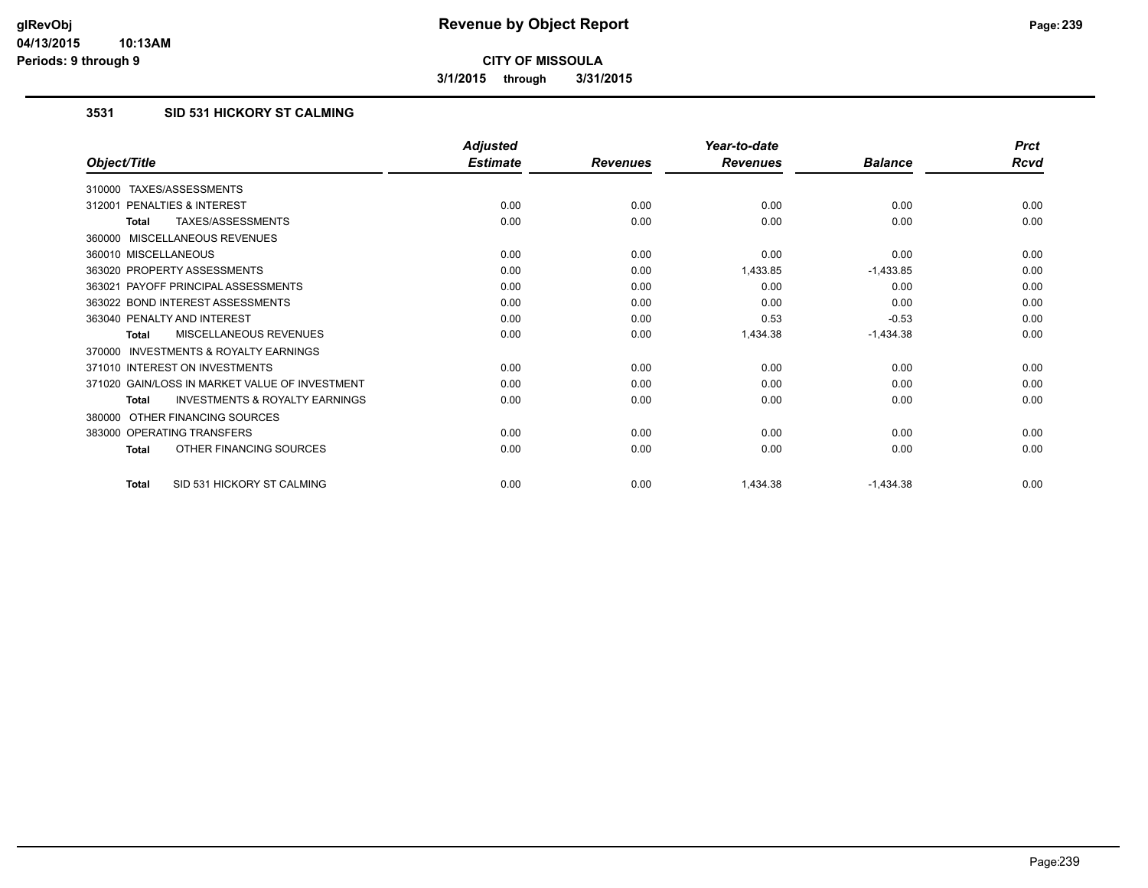**3/1/2015 through 3/31/2015**

## **3531 SID 531 HICKORY ST CALMING**

|                                                           | <b>Adjusted</b> |                 | Year-to-date    |                | <b>Prct</b> |
|-----------------------------------------------------------|-----------------|-----------------|-----------------|----------------|-------------|
| Object/Title                                              | <b>Estimate</b> | <b>Revenues</b> | <b>Revenues</b> | <b>Balance</b> | <b>Rcvd</b> |
| TAXES/ASSESSMENTS<br>310000                               |                 |                 |                 |                |             |
| PENALTIES & INTEREST<br>312001                            | 0.00            | 0.00            | 0.00            | 0.00           | 0.00        |
| TAXES/ASSESSMENTS<br><b>Total</b>                         | 0.00            | 0.00            | 0.00            | 0.00           | 0.00        |
| 360000 MISCELLANEOUS REVENUES                             |                 |                 |                 |                |             |
| 360010 MISCELLANEOUS                                      | 0.00            | 0.00            | 0.00            | 0.00           | 0.00        |
| 363020 PROPERTY ASSESSMENTS                               | 0.00            | 0.00            | 1,433.85        | $-1,433.85$    | 0.00        |
| 363021 PAYOFF PRINCIPAL ASSESSMENTS                       | 0.00            | 0.00            | 0.00            | 0.00           | 0.00        |
| 363022 BOND INTEREST ASSESSMENTS                          | 0.00            | 0.00            | 0.00            | 0.00           | 0.00        |
| 363040 PENALTY AND INTEREST                               | 0.00            | 0.00            | 0.53            | $-0.53$        | 0.00        |
| <b>MISCELLANEOUS REVENUES</b><br><b>Total</b>             | 0.00            | 0.00            | 1,434.38        | $-1,434.38$    | 0.00        |
| <b>INVESTMENTS &amp; ROYALTY EARNINGS</b><br>370000       |                 |                 |                 |                |             |
| 371010 INTEREST ON INVESTMENTS                            | 0.00            | 0.00            | 0.00            | 0.00           | 0.00        |
| 371020 GAIN/LOSS IN MARKET VALUE OF INVESTMENT            | 0.00            | 0.00            | 0.00            | 0.00           | 0.00        |
| <b>INVESTMENTS &amp; ROYALTY EARNINGS</b><br><b>Total</b> | 0.00            | 0.00            | 0.00            | 0.00           | 0.00        |
| OTHER FINANCING SOURCES<br>380000                         |                 |                 |                 |                |             |
| 383000 OPERATING TRANSFERS                                | 0.00            | 0.00            | 0.00            | 0.00           | 0.00        |
| OTHER FINANCING SOURCES<br><b>Total</b>                   | 0.00            | 0.00            | 0.00            | 0.00           | 0.00        |
| SID 531 HICKORY ST CALMING<br><b>Total</b>                | 0.00            | 0.00            | 1,434.38        | $-1,434.38$    | 0.00        |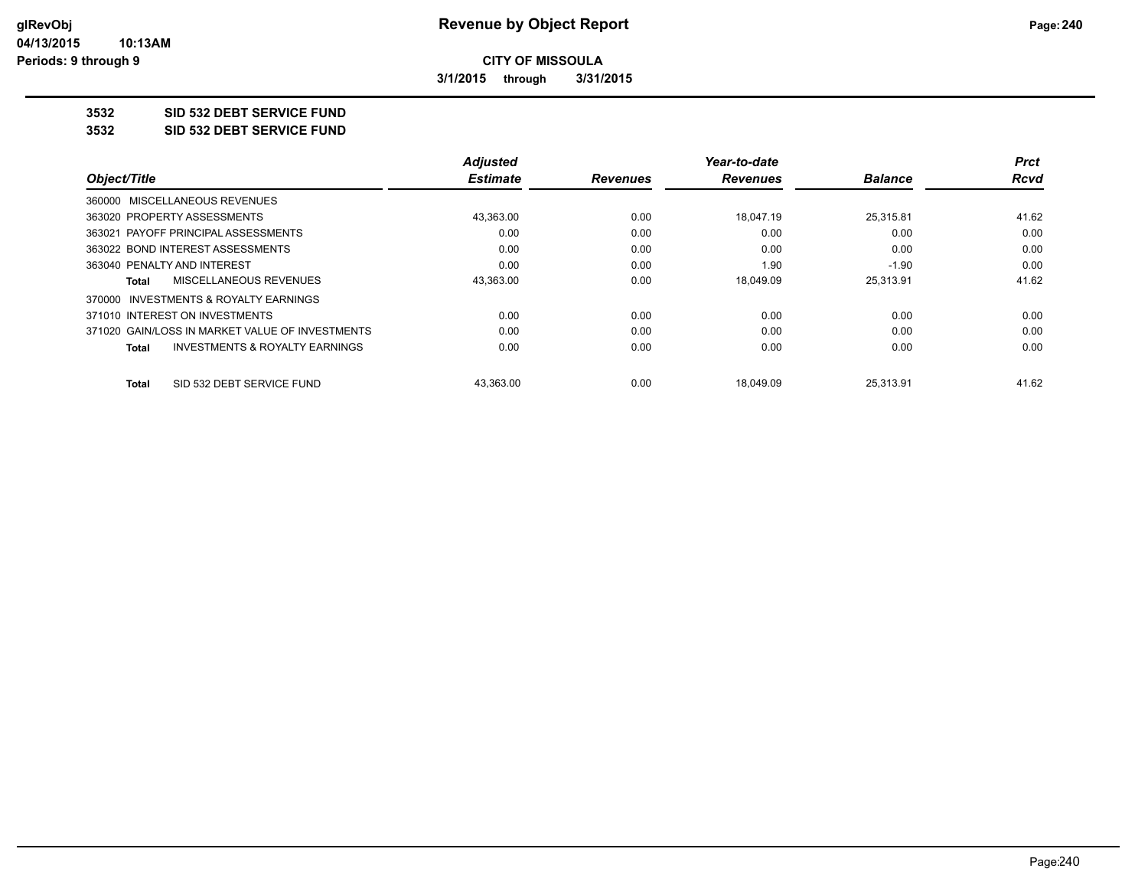**3/1/2015 through 3/31/2015**

**3532 SID 532 DEBT SERVICE FUND**

**3532 SID 532 DEBT SERVICE FUND**

|                                                 | <b>Adjusted</b> |                 | Year-to-date    |                | <b>Prct</b> |
|-------------------------------------------------|-----------------|-----------------|-----------------|----------------|-------------|
| Object/Title                                    | <b>Estimate</b> | <b>Revenues</b> | <b>Revenues</b> | <b>Balance</b> | Rcvd        |
| 360000 MISCELLANEOUS REVENUES                   |                 |                 |                 |                |             |
| 363020 PROPERTY ASSESSMENTS                     | 43,363.00       | 0.00            | 18,047.19       | 25,315.81      | 41.62       |
| 363021 PAYOFF PRINCIPAL ASSESSMENTS             | 0.00            | 0.00            | 0.00            | 0.00           | 0.00        |
| 363022 BOND INTEREST ASSESSMENTS                | 0.00            | 0.00            | 0.00            | 0.00           | 0.00        |
| 363040 PENALTY AND INTEREST                     | 0.00            | 0.00            | 1.90            | $-1.90$        | 0.00        |
| MISCELLANEOUS REVENUES<br>Total                 | 43,363.00       | 0.00            | 18.049.09       | 25,313.91      | 41.62       |
| 370000 INVESTMENTS & ROYALTY EARNINGS           |                 |                 |                 |                |             |
| 371010 INTEREST ON INVESTMENTS                  | 0.00            | 0.00            | 0.00            | 0.00           | 0.00        |
| 371020 GAIN/LOSS IN MARKET VALUE OF INVESTMENTS | 0.00            | 0.00            | 0.00            | 0.00           | 0.00        |
| INVESTMENTS & ROYALTY EARNINGS<br><b>Total</b>  | 0.00            | 0.00            | 0.00            | 0.00           | 0.00        |
| SID 532 DEBT SERVICE FUND<br>Total              | 43.363.00       | 0.00            | 18.049.09       | 25.313.91      | 41.62       |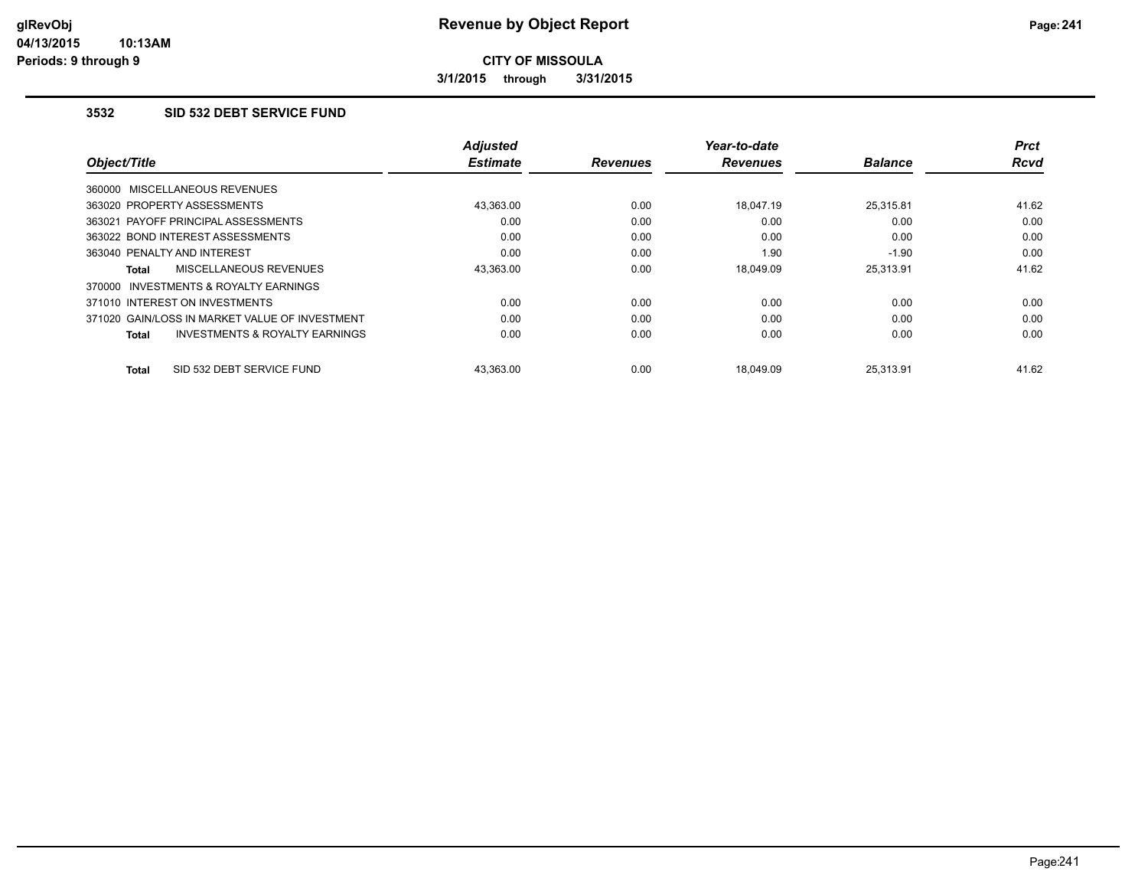**3/1/2015 through 3/31/2015**

### **3532 SID 532 DEBT SERVICE FUND**

|                                                     | <b>Adjusted</b> |                 | Year-to-date    |                | Prct        |
|-----------------------------------------------------|-----------------|-----------------|-----------------|----------------|-------------|
| Object/Title                                        | <b>Estimate</b> | <b>Revenues</b> | <b>Revenues</b> | <b>Balance</b> | <b>Rcvd</b> |
| 360000 MISCELLANEOUS REVENUES                       |                 |                 |                 |                |             |
| 363020 PROPERTY ASSESSMENTS                         | 43.363.00       | 0.00            | 18.047.19       | 25.315.81      | 41.62       |
| 363021 PAYOFF PRINCIPAL ASSESSMENTS                 | 0.00            | 0.00            | 0.00            | 0.00           | 0.00        |
| 363022 BOND INTEREST ASSESSMENTS                    | 0.00            | 0.00            | 0.00            | 0.00           | 0.00        |
| 363040 PENALTY AND INTEREST                         | 0.00            | 0.00            | 1.90            | $-1.90$        | 0.00        |
| MISCELLANEOUS REVENUES<br>Total                     | 43,363.00       | 0.00            | 18,049.09       | 25,313.91      | 41.62       |
| <b>INVESTMENTS &amp; ROYALTY EARNINGS</b><br>370000 |                 |                 |                 |                |             |
| 371010 INTEREST ON INVESTMENTS                      | 0.00            | 0.00            | 0.00            | 0.00           | 0.00        |
| 371020 GAIN/LOSS IN MARKET VALUE OF INVESTMENT      | 0.00            | 0.00            | 0.00            | 0.00           | 0.00        |
| <b>INVESTMENTS &amp; ROYALTY EARNINGS</b><br>Total  | 0.00            | 0.00            | 0.00            | 0.00           | 0.00        |
| SID 532 DEBT SERVICE FUND<br><b>Total</b>           | 43.363.00       | 0.00            | 18.049.09       | 25.313.91      | 41.62       |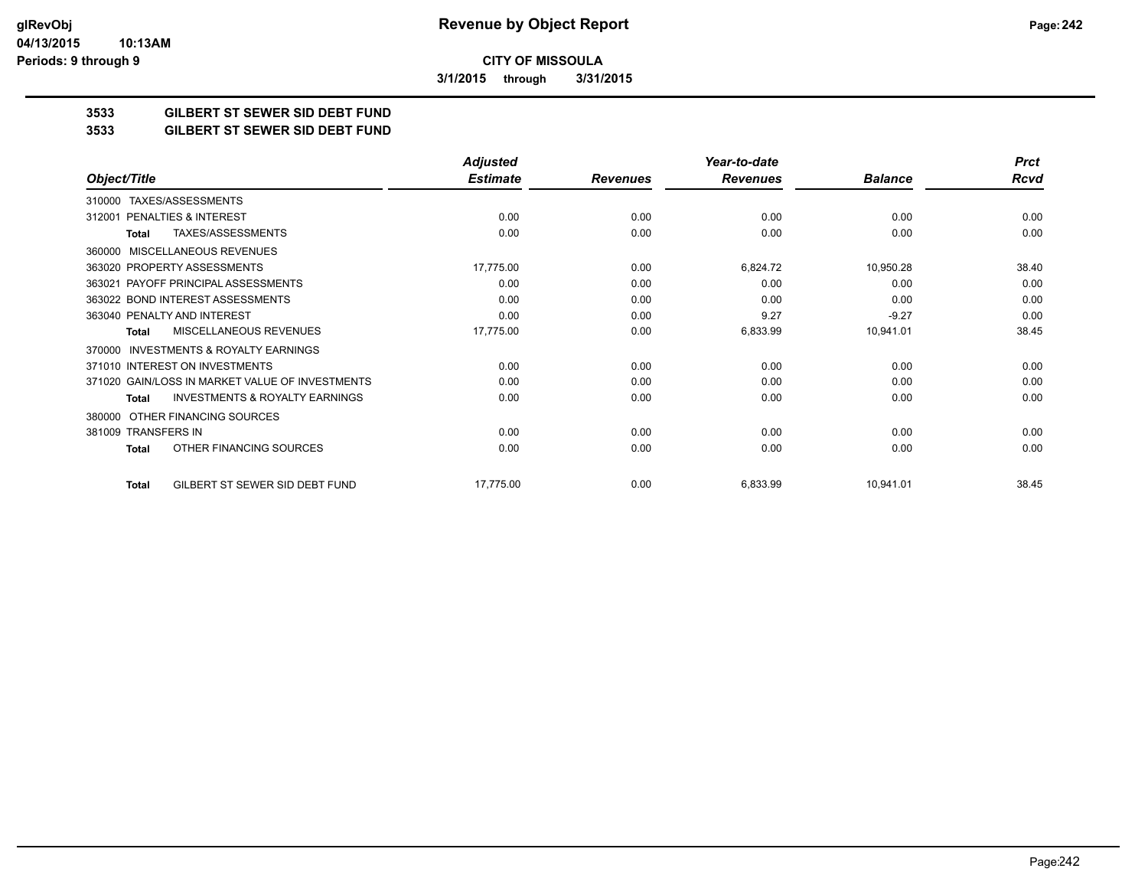**3/1/2015 through 3/31/2015**

## **3533 GILBERT ST SEWER SID DEBT FUND**

#### **3533 GILBERT ST SEWER SID DEBT FUND**

|                                                     | <b>Adjusted</b> |                 | Year-to-date    |                | <b>Prct</b> |
|-----------------------------------------------------|-----------------|-----------------|-----------------|----------------|-------------|
| Object/Title                                        | <b>Estimate</b> | <b>Revenues</b> | <b>Revenues</b> | <b>Balance</b> | <b>Rcvd</b> |
| TAXES/ASSESSMENTS<br>310000                         |                 |                 |                 |                |             |
| PENALTIES & INTEREST<br>312001                      | 0.00            | 0.00            | 0.00            | 0.00           | 0.00        |
| TAXES/ASSESSMENTS<br>Total                          | 0.00            | 0.00            | 0.00            | 0.00           | 0.00        |
| <b>MISCELLANEOUS REVENUES</b><br>360000             |                 |                 |                 |                |             |
| 363020 PROPERTY ASSESSMENTS                         | 17,775.00       | 0.00            | 6,824.72        | 10,950.28      | 38.40       |
| 363021 PAYOFF PRINCIPAL ASSESSMENTS                 | 0.00            | 0.00            | 0.00            | 0.00           | 0.00        |
| 363022 BOND INTEREST ASSESSMENTS                    | 0.00            | 0.00            | 0.00            | 0.00           | 0.00        |
| 363040 PENALTY AND INTEREST                         | 0.00            | 0.00            | 9.27            | $-9.27$        | 0.00        |
| MISCELLANEOUS REVENUES<br>Total                     | 17,775.00       | 0.00            | 6,833.99        | 10,941.01      | 38.45       |
| <b>INVESTMENTS &amp; ROYALTY EARNINGS</b><br>370000 |                 |                 |                 |                |             |
| 371010 INTEREST ON INVESTMENTS                      | 0.00            | 0.00            | 0.00            | 0.00           | 0.00        |
| 371020 GAIN/LOSS IN MARKET VALUE OF INVESTMENTS     | 0.00            | 0.00            | 0.00            | 0.00           | 0.00        |
| <b>INVESTMENTS &amp; ROYALTY EARNINGS</b><br>Total  | 0.00            | 0.00            | 0.00            | 0.00           | 0.00        |
| OTHER FINANCING SOURCES<br>380000                   |                 |                 |                 |                |             |
| 381009 TRANSFERS IN                                 | 0.00            | 0.00            | 0.00            | 0.00           | 0.00        |
| OTHER FINANCING SOURCES<br><b>Total</b>             | 0.00            | 0.00            | 0.00            | 0.00           | 0.00        |
| GILBERT ST SEWER SID DEBT FUND<br><b>Total</b>      | 17,775.00       | 0.00            | 6,833.99        | 10,941.01      | 38.45       |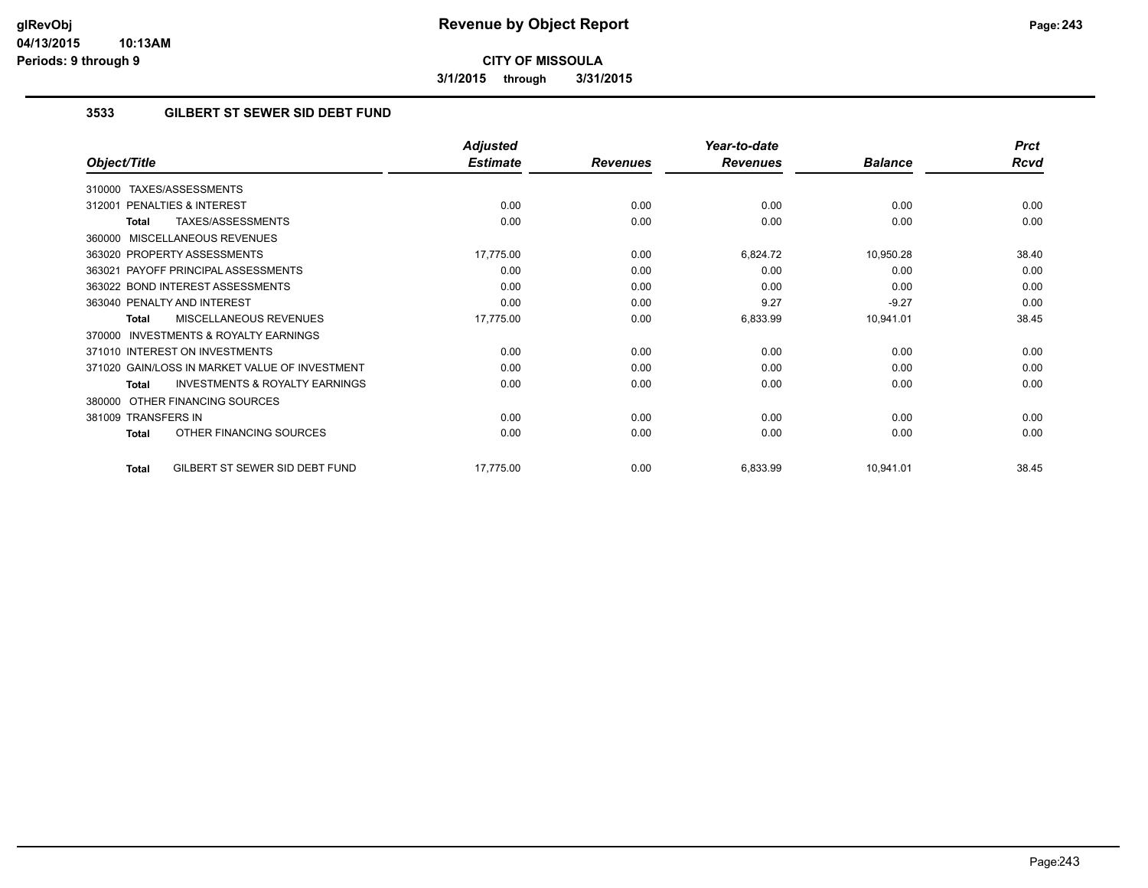**3/1/2015 through 3/31/2015**

## **3533 GILBERT ST SEWER SID DEBT FUND**

|                                                           | <b>Adjusted</b> |                 | Year-to-date    |                | <b>Prct</b> |
|-----------------------------------------------------------|-----------------|-----------------|-----------------|----------------|-------------|
| Object/Title                                              | <b>Estimate</b> | <b>Revenues</b> | <b>Revenues</b> | <b>Balance</b> | <b>Rcvd</b> |
| TAXES/ASSESSMENTS<br>310000                               |                 |                 |                 |                |             |
| 312001 PENALTIES & INTEREST                               | 0.00            | 0.00            | 0.00            | 0.00           | 0.00        |
| TAXES/ASSESSMENTS<br><b>Total</b>                         | 0.00            | 0.00            | 0.00            | 0.00           | 0.00        |
| MISCELLANEOUS REVENUES<br>360000                          |                 |                 |                 |                |             |
| 363020 PROPERTY ASSESSMENTS                               | 17,775.00       | 0.00            | 6,824.72        | 10,950.28      | 38.40       |
| 363021 PAYOFF PRINCIPAL ASSESSMENTS                       | 0.00            | 0.00            | 0.00            | 0.00           | 0.00        |
| 363022 BOND INTEREST ASSESSMENTS                          | 0.00            | 0.00            | 0.00            | 0.00           | 0.00        |
| 363040 PENALTY AND INTEREST                               | 0.00            | 0.00            | 9.27            | $-9.27$        | 0.00        |
| MISCELLANEOUS REVENUES<br>Total                           | 17,775.00       | 0.00            | 6,833.99        | 10,941.01      | 38.45       |
| 370000 INVESTMENTS & ROYALTY EARNINGS                     |                 |                 |                 |                |             |
| 371010 INTEREST ON INVESTMENTS                            | 0.00            | 0.00            | 0.00            | 0.00           | 0.00        |
| 371020 GAIN/LOSS IN MARKET VALUE OF INVESTMENT            | 0.00            | 0.00            | 0.00            | 0.00           | 0.00        |
| <b>INVESTMENTS &amp; ROYALTY EARNINGS</b><br><b>Total</b> | 0.00            | 0.00            | 0.00            | 0.00           | 0.00        |
| 380000 OTHER FINANCING SOURCES                            |                 |                 |                 |                |             |
| 381009 TRANSFERS IN                                       | 0.00            | 0.00            | 0.00            | 0.00           | 0.00        |
| OTHER FINANCING SOURCES<br>Total                          | 0.00            | 0.00            | 0.00            | 0.00           | 0.00        |
| GILBERT ST SEWER SID DEBT FUND<br>Total                   | 17,775.00       | 0.00            | 6,833.99        | 10,941.01      | 38.45       |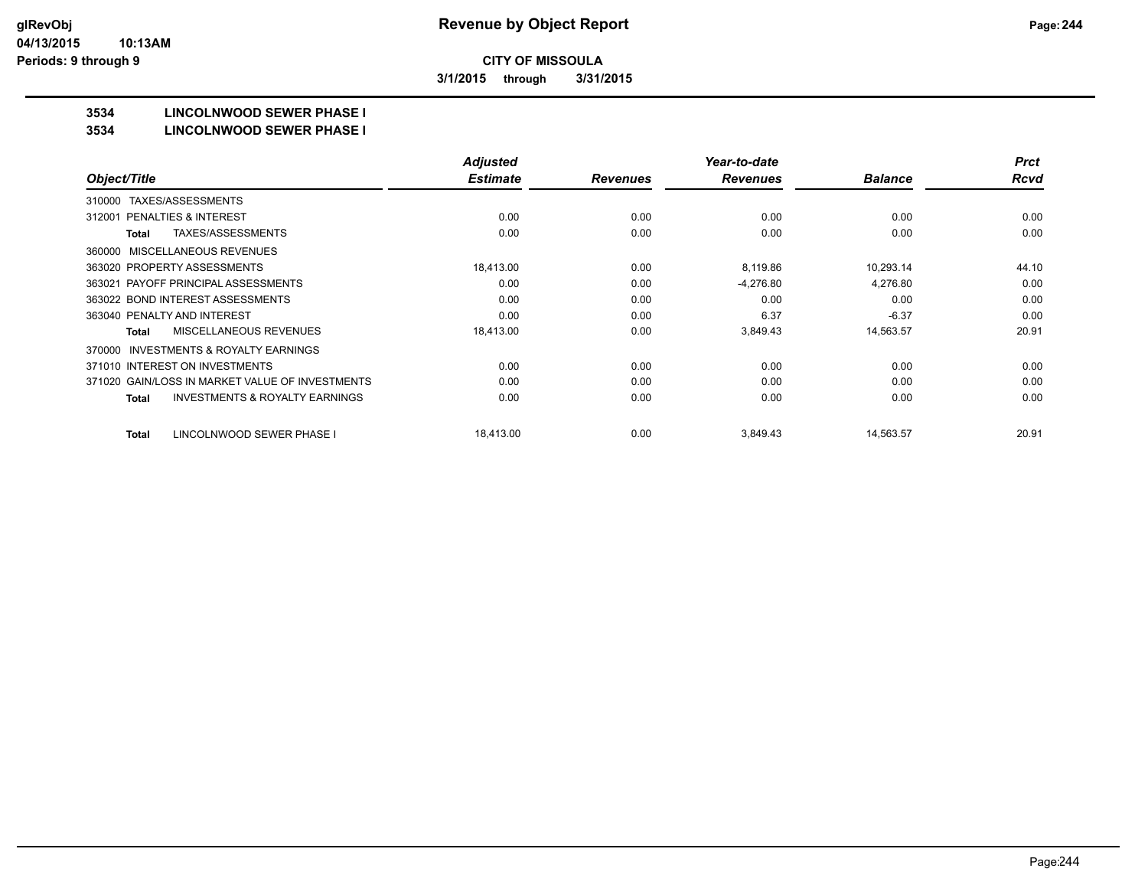**3/1/2015 through 3/31/2015**

## **3534 LINCOLNWOOD SEWER PHASE I**

#### **3534 LINCOLNWOOD SEWER PHASE I**

|                                                           | <b>Adjusted</b> |                 | Year-to-date    |                | <b>Prct</b> |
|-----------------------------------------------------------|-----------------|-----------------|-----------------|----------------|-------------|
| Object/Title                                              | <b>Estimate</b> | <b>Revenues</b> | <b>Revenues</b> | <b>Balance</b> | <b>Rcvd</b> |
| TAXES/ASSESSMENTS<br>310000                               |                 |                 |                 |                |             |
| <b>PENALTIES &amp; INTEREST</b><br>312001                 | 0.00            | 0.00            | 0.00            | 0.00           | 0.00        |
| TAXES/ASSESSMENTS<br><b>Total</b>                         | 0.00            | 0.00            | 0.00            | 0.00           | 0.00        |
| MISCELLANEOUS REVENUES<br>360000                          |                 |                 |                 |                |             |
| 363020 PROPERTY ASSESSMENTS                               | 18.413.00       | 0.00            | 8,119.86        | 10,293.14      | 44.10       |
| 363021 PAYOFF PRINCIPAL ASSESSMENTS                       | 0.00            | 0.00            | $-4,276.80$     | 4,276.80       | 0.00        |
| 363022 BOND INTEREST ASSESSMENTS                          | 0.00            | 0.00            | 0.00            | 0.00           | 0.00        |
| 363040 PENALTY AND INTEREST                               | 0.00            | 0.00            | 6.37            | $-6.37$        | 0.00        |
| MISCELLANEOUS REVENUES<br><b>Total</b>                    | 18,413.00       | 0.00            | 3,849.43        | 14,563.57      | 20.91       |
| INVESTMENTS & ROYALTY EARNINGS<br>370000                  |                 |                 |                 |                |             |
| 371010 INTEREST ON INVESTMENTS                            | 0.00            | 0.00            | 0.00            | 0.00           | 0.00        |
| 371020 GAIN/LOSS IN MARKET VALUE OF INVESTMENTS           | 0.00            | 0.00            | 0.00            | 0.00           | 0.00        |
| <b>INVESTMENTS &amp; ROYALTY EARNINGS</b><br><b>Total</b> | 0.00            | 0.00            | 0.00            | 0.00           | 0.00        |
| LINCOLNWOOD SEWER PHASE I<br><b>Total</b>                 | 18,413.00       | 0.00            | 3,849.43        | 14,563.57      | 20.91       |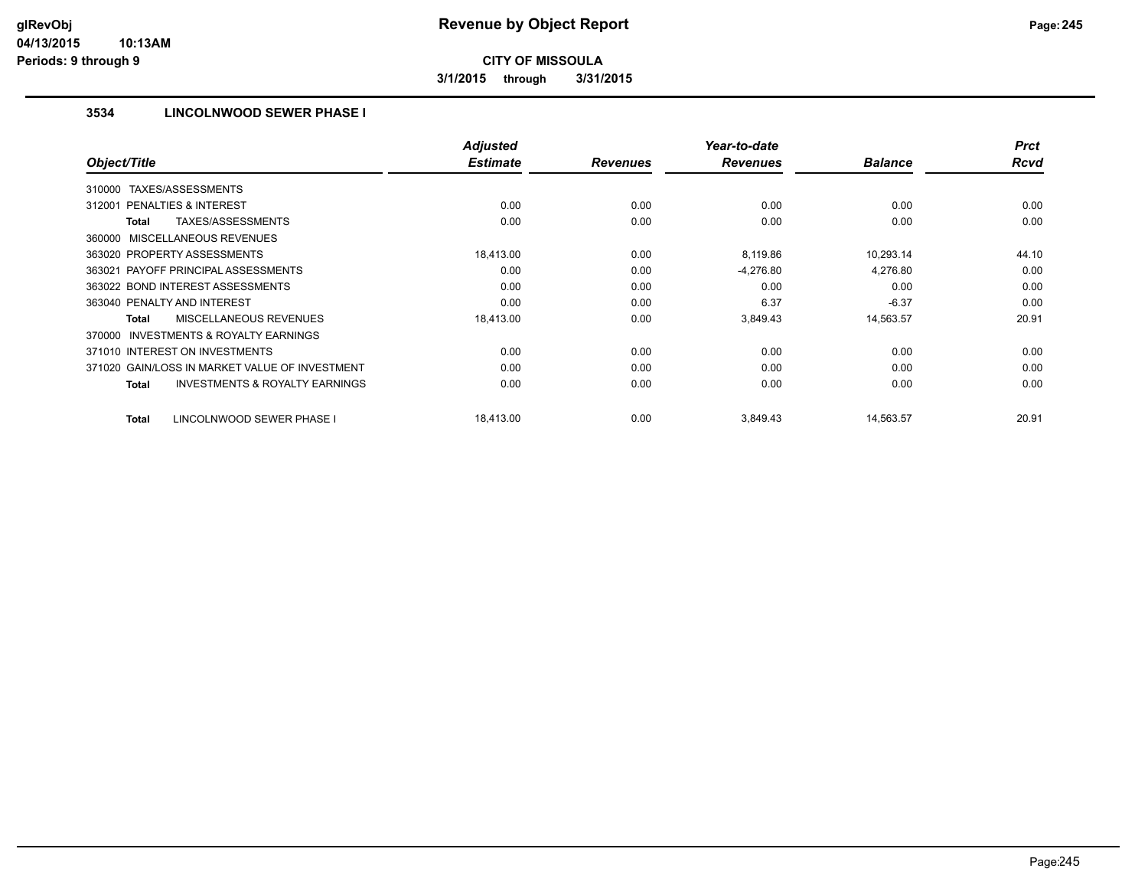**3/1/2015 through 3/31/2015**

## **3534 LINCOLNWOOD SEWER PHASE I**

|                                                           | <b>Adjusted</b> |                 | Year-to-date    |                | <b>Prct</b> |
|-----------------------------------------------------------|-----------------|-----------------|-----------------|----------------|-------------|
| Object/Title                                              | <b>Estimate</b> | <b>Revenues</b> | <b>Revenues</b> | <b>Balance</b> | <b>Rcvd</b> |
| TAXES/ASSESSMENTS<br>310000                               |                 |                 |                 |                |             |
| PENALTIES & INTEREST<br>312001                            | 0.00            | 0.00            | 0.00            | 0.00           | 0.00        |
| TAXES/ASSESSMENTS<br><b>Total</b>                         | 0.00            | 0.00            | 0.00            | 0.00           | 0.00        |
| 360000 MISCELLANEOUS REVENUES                             |                 |                 |                 |                |             |
| 363020 PROPERTY ASSESSMENTS                               | 18,413.00       | 0.00            | 8,119.86        | 10,293.14      | 44.10       |
| 363021 PAYOFF PRINCIPAL ASSESSMENTS                       | 0.00            | 0.00            | $-4,276.80$     | 4,276.80       | 0.00        |
| 363022 BOND INTEREST ASSESSMENTS                          | 0.00            | 0.00            | 0.00            | 0.00           | 0.00        |
| 363040 PENALTY AND INTEREST                               | 0.00            | 0.00            | 6.37            | $-6.37$        | 0.00        |
| <b>MISCELLANEOUS REVENUES</b><br>Total                    | 18,413.00       | 0.00            | 3,849.43        | 14,563.57      | 20.91       |
| <b>INVESTMENTS &amp; ROYALTY EARNINGS</b><br>370000       |                 |                 |                 |                |             |
| 371010 INTEREST ON INVESTMENTS                            | 0.00            | 0.00            | 0.00            | 0.00           | 0.00        |
| 371020 GAIN/LOSS IN MARKET VALUE OF INVESTMENT            | 0.00            | 0.00            | 0.00            | 0.00           | 0.00        |
| <b>INVESTMENTS &amp; ROYALTY EARNINGS</b><br><b>Total</b> | 0.00            | 0.00            | 0.00            | 0.00           | 0.00        |
| LINCOLNWOOD SEWER PHASE I<br><b>Total</b>                 | 18,413.00       | 0.00            | 3,849.43        | 14,563.57      | 20.91       |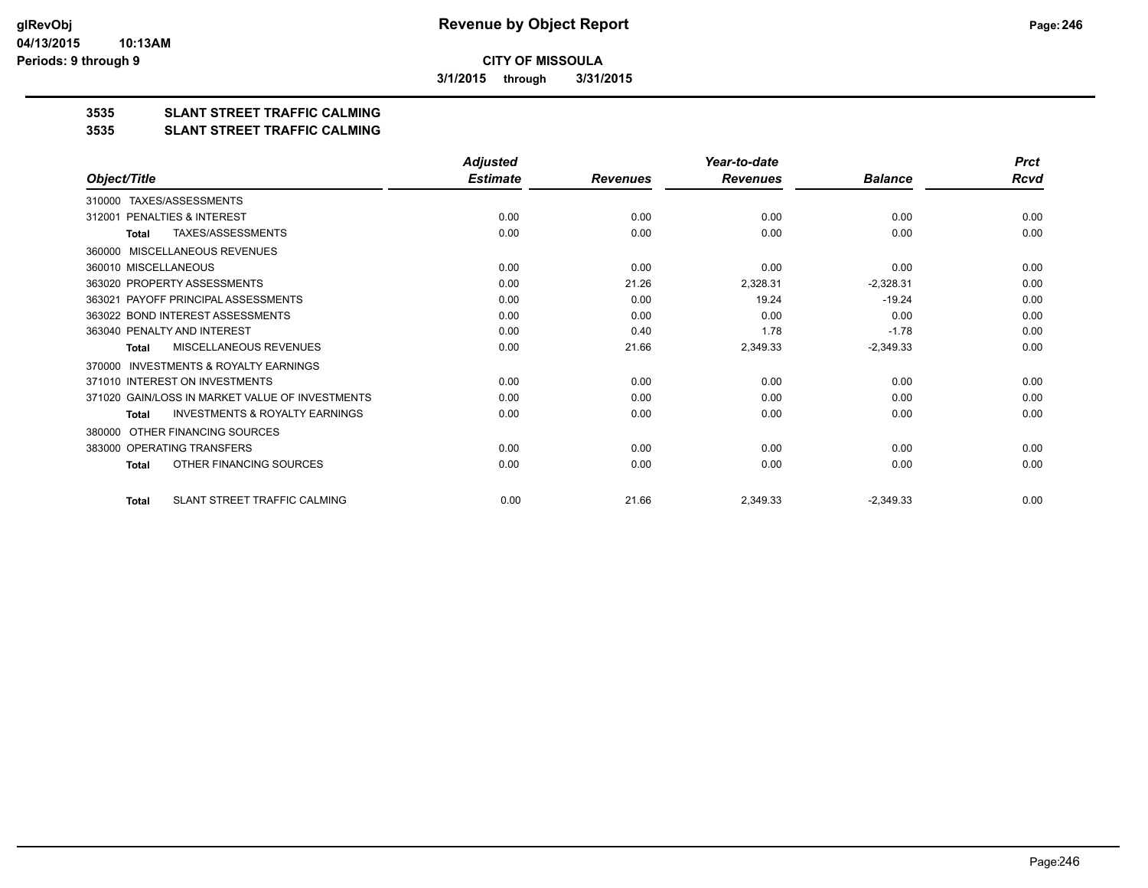**3/1/2015 through 3/31/2015**

## **3535 SLANT STREET TRAFFIC CALMING**

#### **3535 SLANT STREET TRAFFIC CALMING**

|                                                           | <b>Adjusted</b> |                 | Year-to-date    |                | <b>Prct</b> |
|-----------------------------------------------------------|-----------------|-----------------|-----------------|----------------|-------------|
| Object/Title                                              | <b>Estimate</b> | <b>Revenues</b> | <b>Revenues</b> | <b>Balance</b> | <b>Rcvd</b> |
| TAXES/ASSESSMENTS<br>310000                               |                 |                 |                 |                |             |
| 312001 PENALTIES & INTEREST                               | 0.00            | 0.00            | 0.00            | 0.00           | 0.00        |
| TAXES/ASSESSMENTS<br><b>Total</b>                         | 0.00            | 0.00            | 0.00            | 0.00           | 0.00        |
| MISCELLANEOUS REVENUES<br>360000                          |                 |                 |                 |                |             |
| 360010 MISCELLANEOUS                                      | 0.00            | 0.00            | 0.00            | 0.00           | 0.00        |
| 363020 PROPERTY ASSESSMENTS                               | 0.00            | 21.26           | 2,328.31        | $-2,328.31$    | 0.00        |
| 363021 PAYOFF PRINCIPAL ASSESSMENTS                       | 0.00            | 0.00            | 19.24           | $-19.24$       | 0.00        |
| 363022 BOND INTEREST ASSESSMENTS                          | 0.00            | 0.00            | 0.00            | 0.00           | 0.00        |
| 363040 PENALTY AND INTEREST                               | 0.00            | 0.40            | 1.78            | $-1.78$        | 0.00        |
| MISCELLANEOUS REVENUES<br>Total                           | 0.00            | 21.66           | 2,349.33        | $-2,349.33$    | 0.00        |
| <b>INVESTMENTS &amp; ROYALTY EARNINGS</b><br>370000       |                 |                 |                 |                |             |
| 371010 INTEREST ON INVESTMENTS                            | 0.00            | 0.00            | 0.00            | 0.00           | 0.00        |
| 371020 GAIN/LOSS IN MARKET VALUE OF INVESTMENTS           | 0.00            | 0.00            | 0.00            | 0.00           | 0.00        |
| <b>INVESTMENTS &amp; ROYALTY EARNINGS</b><br><b>Total</b> | 0.00            | 0.00            | 0.00            | 0.00           | 0.00        |
| OTHER FINANCING SOURCES<br>380000                         |                 |                 |                 |                |             |
| 383000 OPERATING TRANSFERS                                | 0.00            | 0.00            | 0.00            | 0.00           | 0.00        |
| OTHER FINANCING SOURCES<br><b>Total</b>                   | 0.00            | 0.00            | 0.00            | 0.00           | 0.00        |
| SLANT STREET TRAFFIC CALMING<br><b>Total</b>              | 0.00            | 21.66           | 2,349.33        | $-2,349.33$    | 0.00        |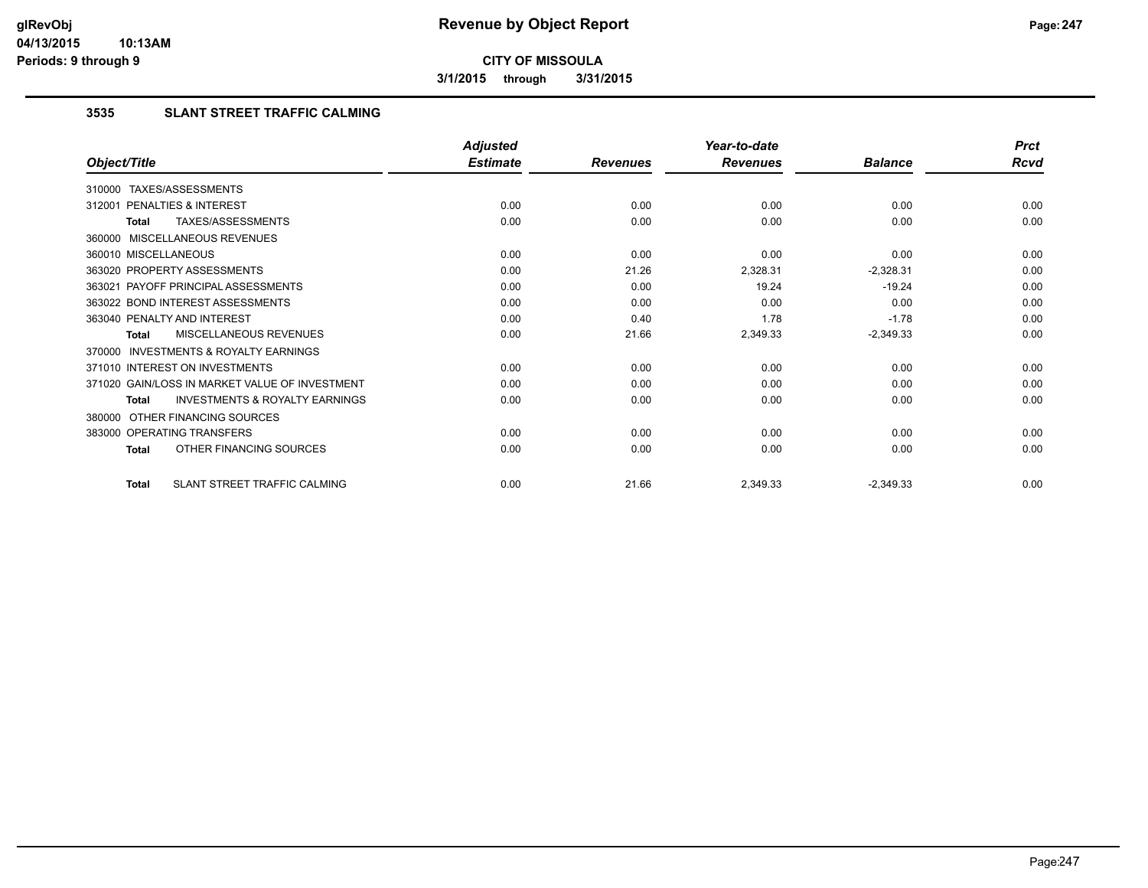**3/1/2015 through 3/31/2015**

## **3535 SLANT STREET TRAFFIC CALMING**

|                                                           | <b>Adjusted</b> |                 | Year-to-date    |                | <b>Prct</b> |
|-----------------------------------------------------------|-----------------|-----------------|-----------------|----------------|-------------|
| Object/Title                                              | <b>Estimate</b> | <b>Revenues</b> | <b>Revenues</b> | <b>Balance</b> | Rcvd        |
| 310000 TAXES/ASSESSMENTS                                  |                 |                 |                 |                |             |
| PENALTIES & INTEREST<br>312001                            | 0.00            | 0.00            | 0.00            | 0.00           | 0.00        |
| TAXES/ASSESSMENTS<br><b>Total</b>                         | 0.00            | 0.00            | 0.00            | 0.00           | 0.00        |
| 360000 MISCELLANEOUS REVENUES                             |                 |                 |                 |                |             |
| 360010 MISCELLANEOUS                                      | 0.00            | 0.00            | 0.00            | 0.00           | 0.00        |
| 363020 PROPERTY ASSESSMENTS                               | 0.00            | 21.26           | 2,328.31        | $-2,328.31$    | 0.00        |
| 363021 PAYOFF PRINCIPAL ASSESSMENTS                       | 0.00            | 0.00            | 19.24           | $-19.24$       | 0.00        |
| 363022 BOND INTEREST ASSESSMENTS                          | 0.00            | 0.00            | 0.00            | 0.00           | 0.00        |
| 363040 PENALTY AND INTEREST                               | 0.00            | 0.40            | 1.78            | $-1.78$        | 0.00        |
| MISCELLANEOUS REVENUES<br><b>Total</b>                    | 0.00            | 21.66           | 2,349.33        | $-2,349.33$    | 0.00        |
| <b>INVESTMENTS &amp; ROYALTY EARNINGS</b><br>370000       |                 |                 |                 |                |             |
| 371010 INTEREST ON INVESTMENTS                            | 0.00            | 0.00            | 0.00            | 0.00           | 0.00        |
| 371020 GAIN/LOSS IN MARKET VALUE OF INVESTMENT            | 0.00            | 0.00            | 0.00            | 0.00           | 0.00        |
| <b>INVESTMENTS &amp; ROYALTY EARNINGS</b><br><b>Total</b> | 0.00            | 0.00            | 0.00            | 0.00           | 0.00        |
| 380000 OTHER FINANCING SOURCES                            |                 |                 |                 |                |             |
| 383000 OPERATING TRANSFERS                                | 0.00            | 0.00            | 0.00            | 0.00           | 0.00        |
| OTHER FINANCING SOURCES<br><b>Total</b>                   | 0.00            | 0.00            | 0.00            | 0.00           | 0.00        |
| SLANT STREET TRAFFIC CALMING<br><b>Total</b>              | 0.00            | 21.66           | 2,349.33        | $-2,349.33$    | 0.00        |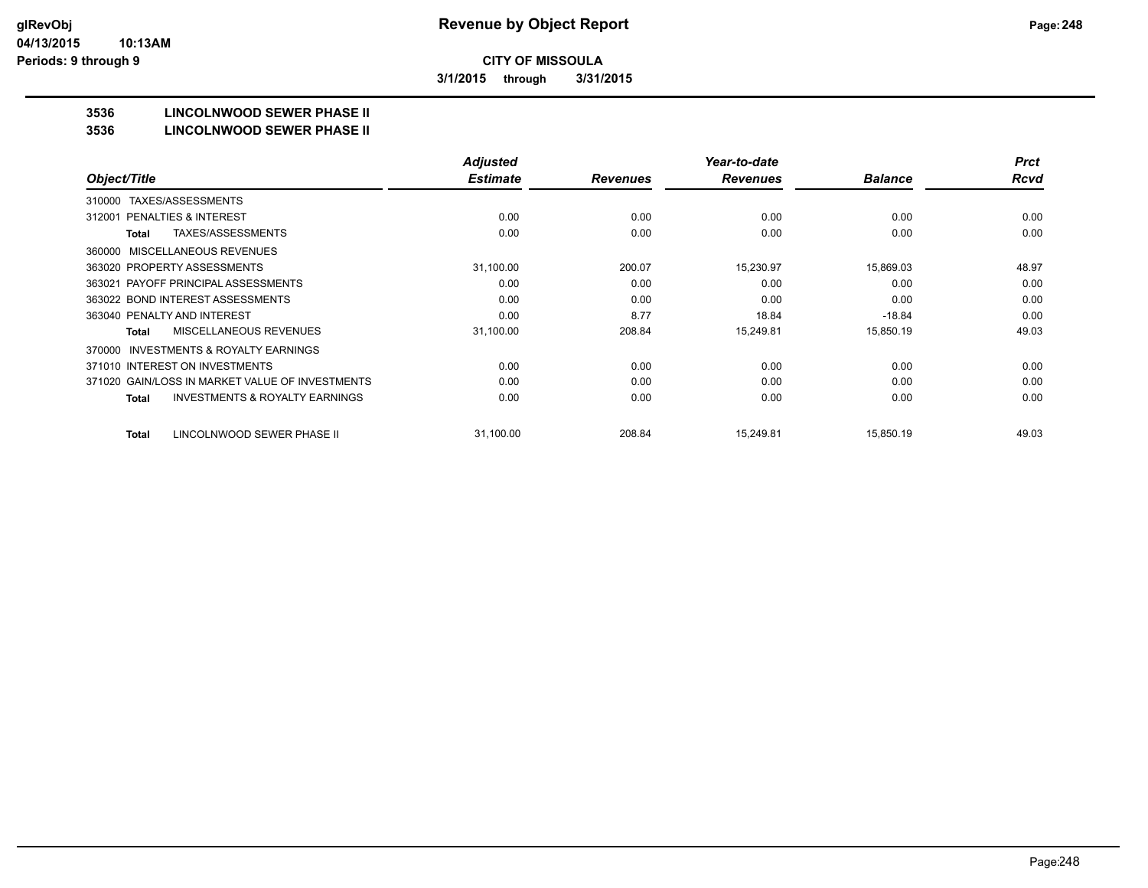**3/1/2015 through 3/31/2015**

## **3536 LINCOLNWOOD SEWER PHASE II**

#### **3536 LINCOLNWOOD SEWER PHASE II**

|                                                    | <b>Adjusted</b> |                 | Year-to-date    |                | <b>Prct</b> |
|----------------------------------------------------|-----------------|-----------------|-----------------|----------------|-------------|
| Object/Title                                       | <b>Estimate</b> | <b>Revenues</b> | <b>Revenues</b> | <b>Balance</b> | <b>Rcvd</b> |
| TAXES/ASSESSMENTS<br>310000                        |                 |                 |                 |                |             |
| PENALTIES & INTEREST<br>312001                     | 0.00            | 0.00            | 0.00            | 0.00           | 0.00        |
| TAXES/ASSESSMENTS<br>Total                         | 0.00            | 0.00            | 0.00            | 0.00           | 0.00        |
| MISCELLANEOUS REVENUES<br>360000                   |                 |                 |                 |                |             |
| 363020 PROPERTY ASSESSMENTS                        | 31,100.00       | 200.07          | 15,230.97       | 15,869.03      | 48.97       |
| 363021 PAYOFF PRINCIPAL ASSESSMENTS                | 0.00            | 0.00            | 0.00            | 0.00           | 0.00        |
| 363022 BOND INTEREST ASSESSMENTS                   | 0.00            | 0.00            | 0.00            | 0.00           | 0.00        |
| 363040 PENALTY AND INTEREST                        | 0.00            | 8.77            | 18.84           | $-18.84$       | 0.00        |
| MISCELLANEOUS REVENUES<br>Total                    | 31,100.00       | 208.84          | 15,249.81       | 15,850.19      | 49.03       |
| INVESTMENTS & ROYALTY EARNINGS<br>370000           |                 |                 |                 |                |             |
| 371010 INTEREST ON INVESTMENTS                     | 0.00            | 0.00            | 0.00            | 0.00           | 0.00        |
| 371020 GAIN/LOSS IN MARKET VALUE OF INVESTMENTS    | 0.00            | 0.00            | 0.00            | 0.00           | 0.00        |
| <b>INVESTMENTS &amp; ROYALTY EARNINGS</b><br>Total | 0.00            | 0.00            | 0.00            | 0.00           | 0.00        |
|                                                    |                 |                 |                 |                |             |
| LINCOLNWOOD SEWER PHASE II<br>Total                | 31,100.00       | 208.84          | 15,249.81       | 15,850.19      | 49.03       |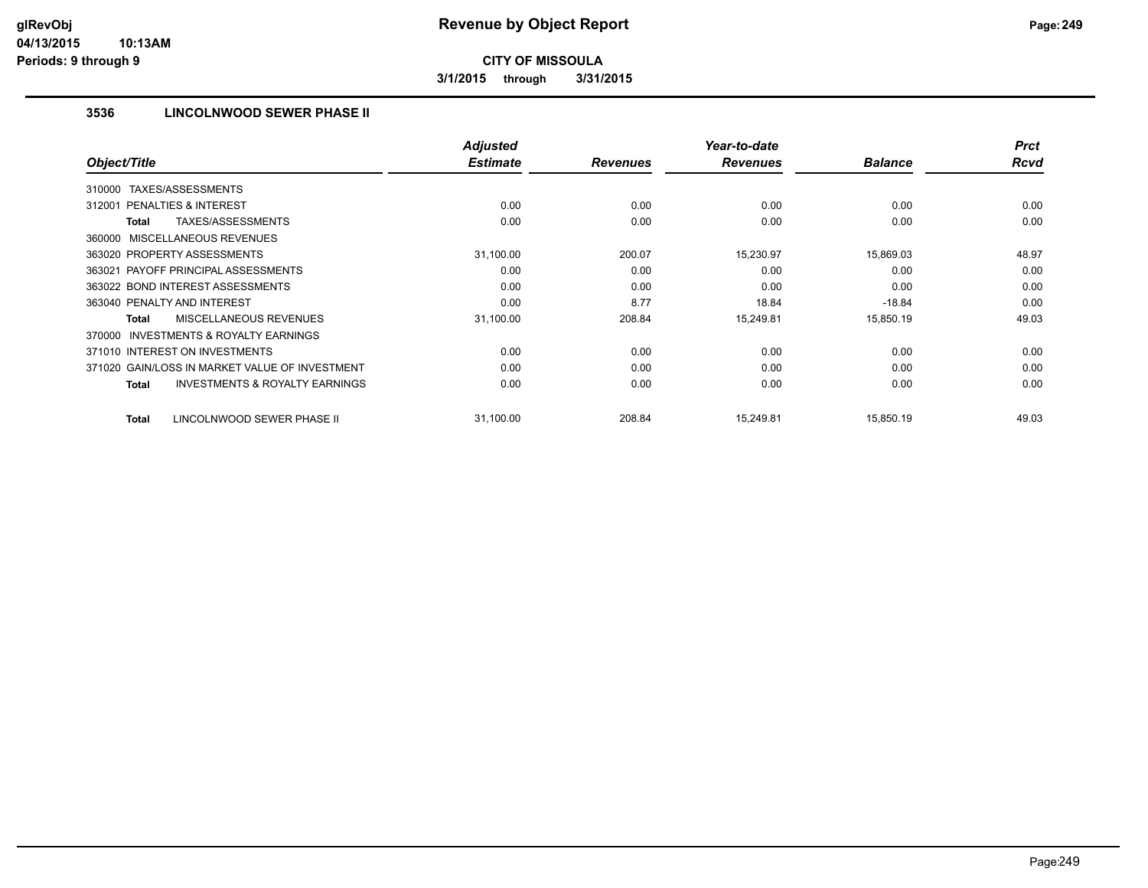**3/1/2015 through 3/31/2015**

## **3536 LINCOLNWOOD SEWER PHASE II**

|                                                           | <b>Adjusted</b> |                 | Year-to-date    |                | <b>Prct</b> |
|-----------------------------------------------------------|-----------------|-----------------|-----------------|----------------|-------------|
| Object/Title                                              | <b>Estimate</b> | <b>Revenues</b> | <b>Revenues</b> | <b>Balance</b> | <b>Rcvd</b> |
| TAXES/ASSESSMENTS<br>310000                               |                 |                 |                 |                |             |
| 312001 PENALTIES & INTEREST                               | 0.00            | 0.00            | 0.00            | 0.00           | 0.00        |
| TAXES/ASSESSMENTS<br><b>Total</b>                         | 0.00            | 0.00            | 0.00            | 0.00           | 0.00        |
| 360000 MISCELLANEOUS REVENUES                             |                 |                 |                 |                |             |
| 363020 PROPERTY ASSESSMENTS                               | 31,100.00       | 200.07          | 15,230.97       | 15,869.03      | 48.97       |
| 363021 PAYOFF PRINCIPAL ASSESSMENTS                       | 0.00            | 0.00            | 0.00            | 0.00           | 0.00        |
| 363022 BOND INTEREST ASSESSMENTS                          | 0.00            | 0.00            | 0.00            | 0.00           | 0.00        |
| 363040 PENALTY AND INTEREST                               | 0.00            | 8.77            | 18.84           | $-18.84$       | 0.00        |
| MISCELLANEOUS REVENUES<br><b>Total</b>                    | 31,100.00       | 208.84          | 15,249.81       | 15,850.19      | 49.03       |
| <b>INVESTMENTS &amp; ROYALTY EARNINGS</b><br>370000       |                 |                 |                 |                |             |
| 371010 INTEREST ON INVESTMENTS                            | 0.00            | 0.00            | 0.00            | 0.00           | 0.00        |
| 371020 GAIN/LOSS IN MARKET VALUE OF INVESTMENT            | 0.00            | 0.00            | 0.00            | 0.00           | 0.00        |
| <b>INVESTMENTS &amp; ROYALTY EARNINGS</b><br><b>Total</b> | 0.00            | 0.00            | 0.00            | 0.00           | 0.00        |
| LINCOLNWOOD SEWER PHASE II<br><b>Total</b>                | 31,100.00       | 208.84          | 15,249.81       | 15,850.19      | 49.03       |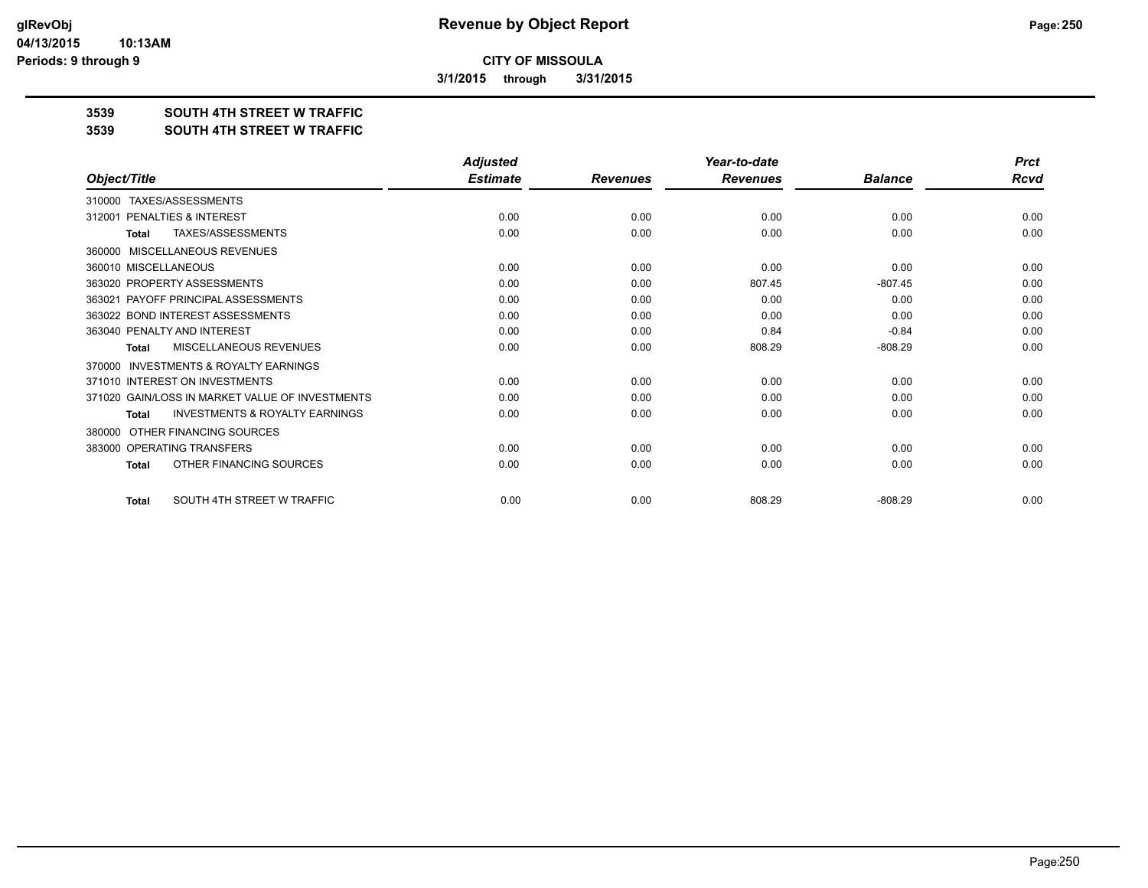**3/1/2015 through 3/31/2015**

## **3539 SOUTH 4TH STREET W TRAFFIC**

#### **3539 SOUTH 4TH STREET W TRAFFIC**

|                                                           | <b>Adjusted</b> |                 | Year-to-date    |                | <b>Prct</b> |
|-----------------------------------------------------------|-----------------|-----------------|-----------------|----------------|-------------|
| Object/Title                                              | <b>Estimate</b> | <b>Revenues</b> | <b>Revenues</b> | <b>Balance</b> | <b>Rcvd</b> |
| TAXES/ASSESSMENTS<br>310000                               |                 |                 |                 |                |             |
| 312001 PENALTIES & INTEREST                               | 0.00            | 0.00            | 0.00            | 0.00           | 0.00        |
| TAXES/ASSESSMENTS<br><b>Total</b>                         | 0.00            | 0.00            | 0.00            | 0.00           | 0.00        |
| <b>MISCELLANEOUS REVENUES</b><br>360000                   |                 |                 |                 |                |             |
| 360010 MISCELLANEOUS                                      | 0.00            | 0.00            | 0.00            | 0.00           | 0.00        |
| 363020 PROPERTY ASSESSMENTS                               | 0.00            | 0.00            | 807.45          | $-807.45$      | 0.00        |
| 363021 PAYOFF PRINCIPAL ASSESSMENTS                       | 0.00            | 0.00            | 0.00            | 0.00           | 0.00        |
| 363022 BOND INTEREST ASSESSMENTS                          | 0.00            | 0.00            | 0.00            | 0.00           | 0.00        |
| 363040 PENALTY AND INTEREST                               | 0.00            | 0.00            | 0.84            | $-0.84$        | 0.00        |
| MISCELLANEOUS REVENUES<br>Total                           | 0.00            | 0.00            | 808.29          | $-808.29$      | 0.00        |
| <b>INVESTMENTS &amp; ROYALTY EARNINGS</b><br>370000       |                 |                 |                 |                |             |
| 371010 INTEREST ON INVESTMENTS                            | 0.00            | 0.00            | 0.00            | 0.00           | 0.00        |
| 371020 GAIN/LOSS IN MARKET VALUE OF INVESTMENTS           | 0.00            | 0.00            | 0.00            | 0.00           | 0.00        |
| <b>INVESTMENTS &amp; ROYALTY EARNINGS</b><br><b>Total</b> | 0.00            | 0.00            | 0.00            | 0.00           | 0.00        |
| OTHER FINANCING SOURCES<br>380000                         |                 |                 |                 |                |             |
| 383000 OPERATING TRANSFERS                                | 0.00            | 0.00            | 0.00            | 0.00           | 0.00        |
| OTHER FINANCING SOURCES<br><b>Total</b>                   | 0.00            | 0.00            | 0.00            | 0.00           | 0.00        |
| SOUTH 4TH STREET W TRAFFIC<br><b>Total</b>                | 0.00            | 0.00            | 808.29          | $-808.29$      | 0.00        |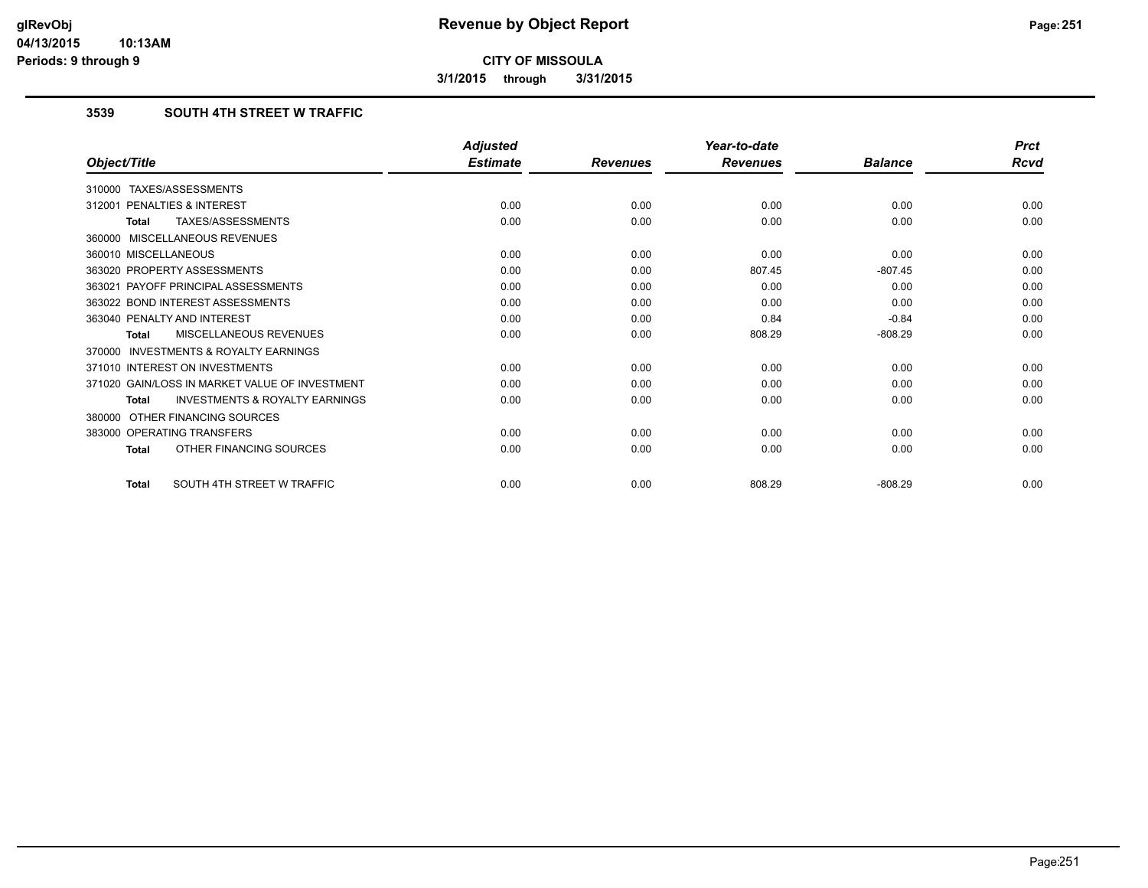**3/1/2015 through 3/31/2015**

## **3539 SOUTH 4TH STREET W TRAFFIC**

|                                                           | <b>Adjusted</b> |                 | Year-to-date    |                | <b>Prct</b> |
|-----------------------------------------------------------|-----------------|-----------------|-----------------|----------------|-------------|
| Object/Title                                              | <b>Estimate</b> | <b>Revenues</b> | <b>Revenues</b> | <b>Balance</b> | Rcvd        |
| 310000 TAXES/ASSESSMENTS                                  |                 |                 |                 |                |             |
| PENALTIES & INTEREST<br>312001                            | 0.00            | 0.00            | 0.00            | 0.00           | 0.00        |
| TAXES/ASSESSMENTS<br><b>Total</b>                         | 0.00            | 0.00            | 0.00            | 0.00           | 0.00        |
| 360000 MISCELLANEOUS REVENUES                             |                 |                 |                 |                |             |
| 360010 MISCELLANEOUS                                      | 0.00            | 0.00            | 0.00            | 0.00           | 0.00        |
| 363020 PROPERTY ASSESSMENTS                               | 0.00            | 0.00            | 807.45          | $-807.45$      | 0.00        |
| 363021 PAYOFF PRINCIPAL ASSESSMENTS                       | 0.00            | 0.00            | 0.00            | 0.00           | 0.00        |
| 363022 BOND INTEREST ASSESSMENTS                          | 0.00            | 0.00            | 0.00            | 0.00           | 0.00        |
| 363040 PENALTY AND INTEREST                               | 0.00            | 0.00            | 0.84            | $-0.84$        | 0.00        |
| MISCELLANEOUS REVENUES<br><b>Total</b>                    | 0.00            | 0.00            | 808.29          | $-808.29$      | 0.00        |
| <b>INVESTMENTS &amp; ROYALTY EARNINGS</b><br>370000       |                 |                 |                 |                |             |
| 371010 INTEREST ON INVESTMENTS                            | 0.00            | 0.00            | 0.00            | 0.00           | 0.00        |
| 371020 GAIN/LOSS IN MARKET VALUE OF INVESTMENT            | 0.00            | 0.00            | 0.00            | 0.00           | 0.00        |
| <b>INVESTMENTS &amp; ROYALTY EARNINGS</b><br><b>Total</b> | 0.00            | 0.00            | 0.00            | 0.00           | 0.00        |
| OTHER FINANCING SOURCES<br>380000                         |                 |                 |                 |                |             |
| 383000 OPERATING TRANSFERS                                | 0.00            | 0.00            | 0.00            | 0.00           | 0.00        |
| OTHER FINANCING SOURCES<br><b>Total</b>                   | 0.00            | 0.00            | 0.00            | 0.00           | 0.00        |
| SOUTH 4TH STREET W TRAFFIC<br><b>Total</b>                | 0.00            | 0.00            | 808.29          | $-808.29$      | 0.00        |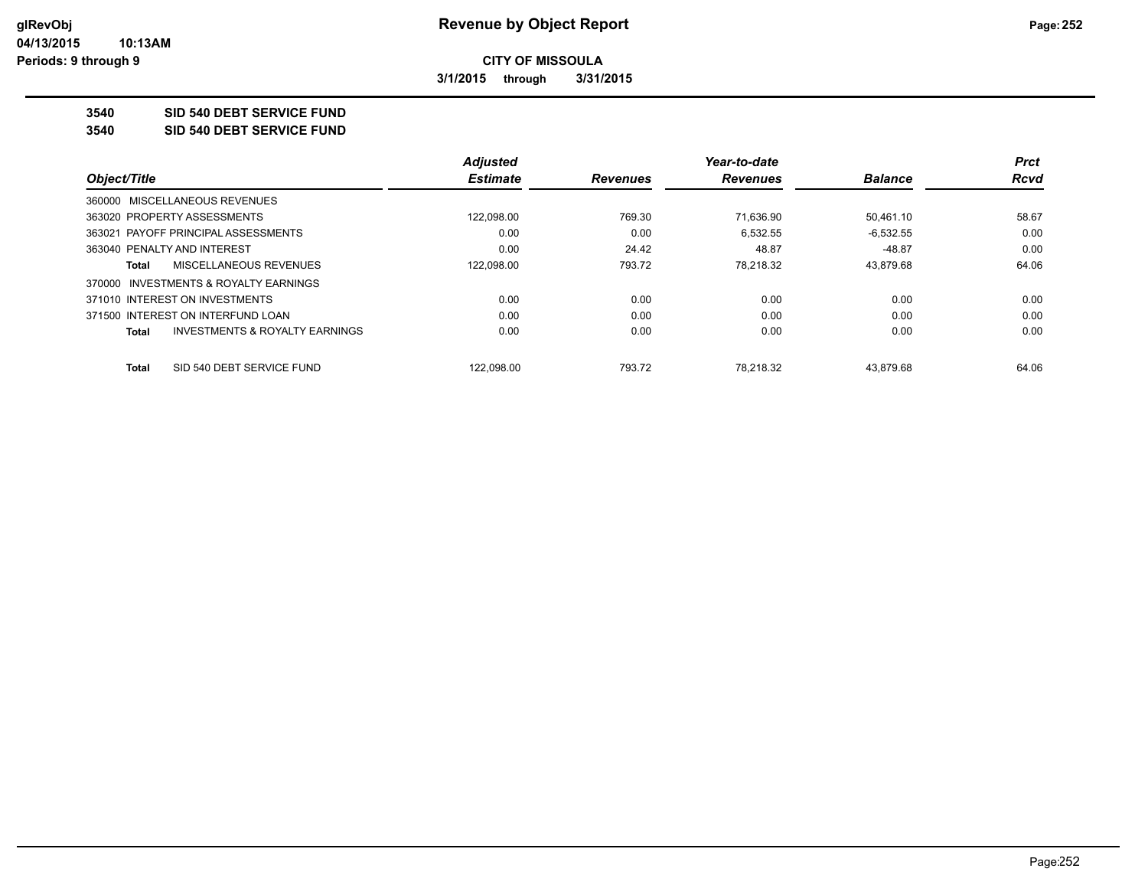**3/1/2015 through 3/31/2015**

**3540 SID 540 DEBT SERVICE FUND**

**3540 SID 540 DEBT SERVICE FUND**

|                                                    | <b>Adjusted</b> |                 | Year-to-date    |                | <b>Prct</b> |
|----------------------------------------------------|-----------------|-----------------|-----------------|----------------|-------------|
| Object/Title                                       | <b>Estimate</b> | <b>Revenues</b> | <b>Revenues</b> | <b>Balance</b> | Rcvd        |
| 360000 MISCELLANEOUS REVENUES                      |                 |                 |                 |                |             |
| 363020 PROPERTY ASSESSMENTS                        | 122.098.00      | 769.30          | 71.636.90       | 50.461.10      | 58.67       |
| 363021 PAYOFF PRINCIPAL ASSESSMENTS                | 0.00            | 0.00            | 6.532.55        | $-6.532.55$    | 0.00        |
| 363040 PENALTY AND INTEREST                        | 0.00            | 24.42           | 48.87           | $-48.87$       | 0.00        |
| MISCELLANEOUS REVENUES<br>Total                    | 122,098.00      | 793.72          | 78.218.32       | 43.879.68      | 64.06       |
| 370000 INVESTMENTS & ROYALTY EARNINGS              |                 |                 |                 |                |             |
| 371010 INTEREST ON INVESTMENTS                     | 0.00            | 0.00            | 0.00            | 0.00           | 0.00        |
| 371500 INTEREST ON INTERFUND LOAN                  | 0.00            | 0.00            | 0.00            | 0.00           | 0.00        |
| <b>INVESTMENTS &amp; ROYALTY EARNINGS</b><br>Total | 0.00            | 0.00            | 0.00            | 0.00           | 0.00        |
| SID 540 DEBT SERVICE FUND<br>Total                 | 122.098.00      | 793.72          | 78.218.32       | 43.879.68      | 64.06       |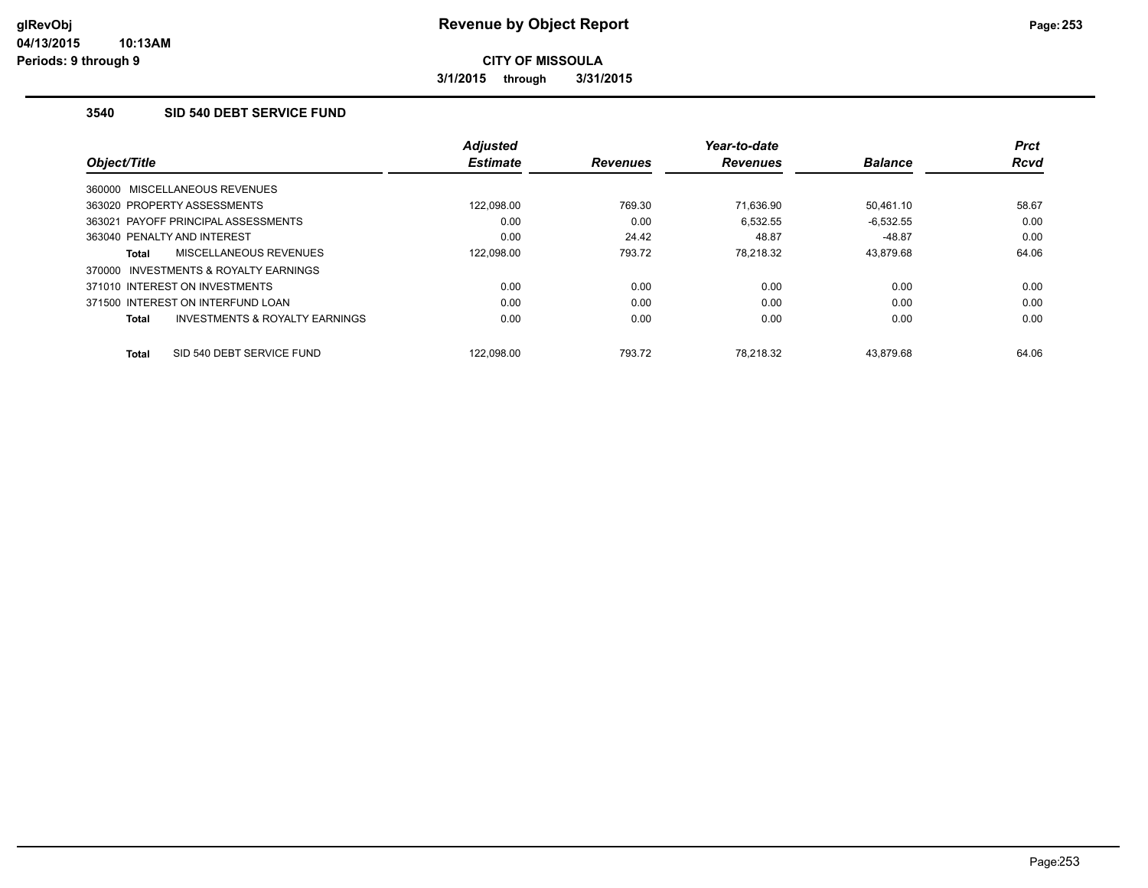**3/1/2015 through 3/31/2015**

## **3540 SID 540 DEBT SERVICE FUND**

|                                           | <b>Adjusted</b> |                 | Year-to-date    |                | <b>Prct</b> |
|-------------------------------------------|-----------------|-----------------|-----------------|----------------|-------------|
| Object/Title                              | <b>Estimate</b> | <b>Revenues</b> | <b>Revenues</b> | <b>Balance</b> | <b>Rcvd</b> |
| 360000 MISCELLANEOUS REVENUES             |                 |                 |                 |                |             |
| 363020 PROPERTY ASSESSMENTS               | 122.098.00      | 769.30          | 71.636.90       | 50.461.10      | 58.67       |
| 363021 PAYOFF PRINCIPAL ASSESSMENTS       | 0.00            | 0.00            | 6,532.55        | $-6,532.55$    | 0.00        |
| 363040 PENALTY AND INTEREST               | 0.00            | 24.42           | 48.87           | $-48.87$       | 0.00        |
| MISCELLANEOUS REVENUES<br>Total           | 122,098.00      | 793.72          | 78.218.32       | 43.879.68      | 64.06       |
| INVESTMENTS & ROYALTY EARNINGS<br>370000  |                 |                 |                 |                |             |
| 371010 INTEREST ON INVESTMENTS            | 0.00            | 0.00            | 0.00            | 0.00           | 0.00        |
| 371500 INTEREST ON INTERFUND LOAN         | 0.00            | 0.00            | 0.00            | 0.00           | 0.00        |
| INVESTMENTS & ROYALTY EARNINGS<br>Total   | 0.00            | 0.00            | 0.00            | 0.00           | 0.00        |
| SID 540 DEBT SERVICE FUND<br><b>Total</b> | 122.098.00      | 793.72          | 78.218.32       | 43.879.68      | 64.06       |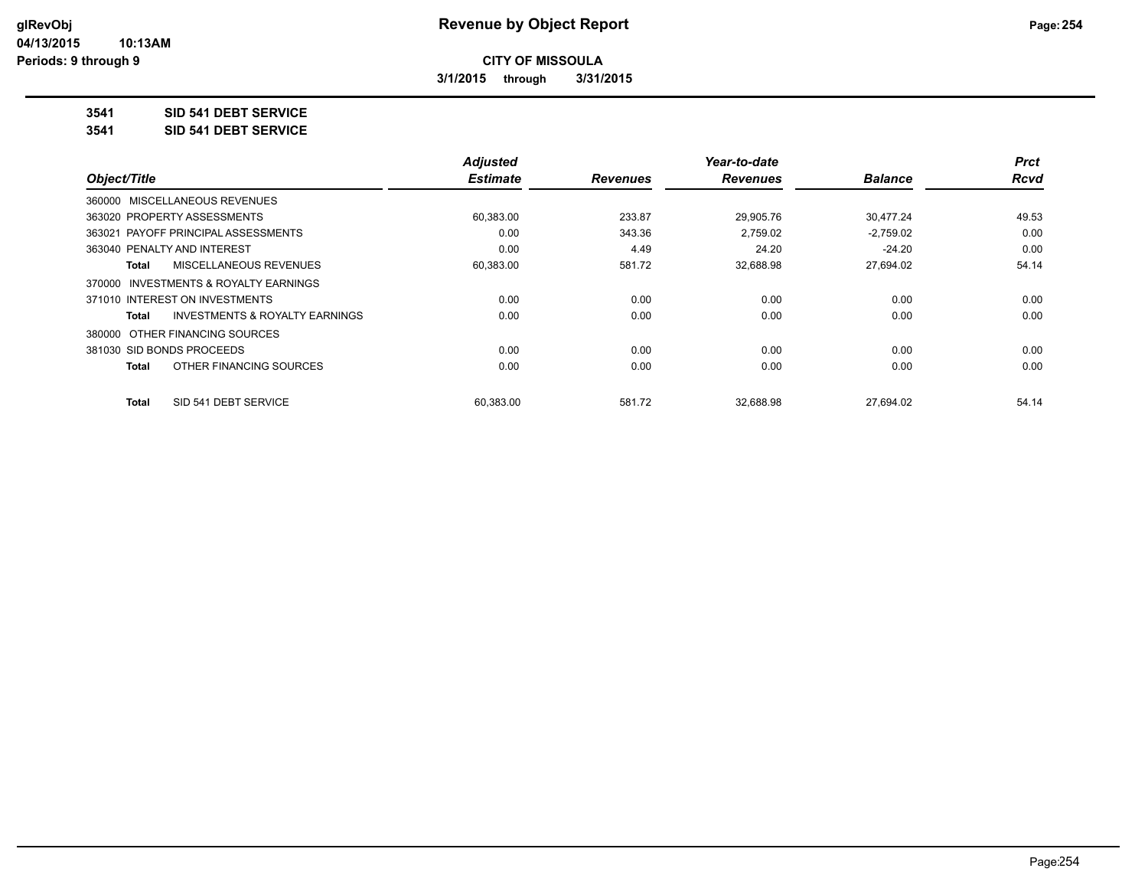**3/1/2015 through 3/31/2015**

**3541 SID 541 DEBT SERVICE**

**3541 SID 541 DEBT SERVICE**

|                                         | <b>Adjusted</b> |                 | Year-to-date    |                | <b>Prct</b> |
|-----------------------------------------|-----------------|-----------------|-----------------|----------------|-------------|
| Object/Title                            | <b>Estimate</b> | <b>Revenues</b> | <b>Revenues</b> | <b>Balance</b> | <b>Rcvd</b> |
| 360000 MISCELLANEOUS REVENUES           |                 |                 |                 |                |             |
| 363020 PROPERTY ASSESSMENTS             | 60,383.00       | 233.87          | 29,905.76       | 30,477.24      | 49.53       |
| 363021 PAYOFF PRINCIPAL ASSESSMENTS     | 0.00            | 343.36          | 2,759.02        | $-2,759.02$    | 0.00        |
| 363040 PENALTY AND INTEREST             | 0.00            | 4.49            | 24.20           | $-24.20$       | 0.00        |
| MISCELLANEOUS REVENUES<br>Total         | 60,383.00       | 581.72          | 32,688.98       | 27,694.02      | 54.14       |
| 370000 INVESTMENTS & ROYALTY EARNINGS   |                 |                 |                 |                |             |
| 371010 INTEREST ON INVESTMENTS          | 0.00            | 0.00            | 0.00            | 0.00           | 0.00        |
| INVESTMENTS & ROYALTY EARNINGS<br>Total | 0.00            | 0.00            | 0.00            | 0.00           | 0.00        |
| 380000 OTHER FINANCING SOURCES          |                 |                 |                 |                |             |
| 381030 SID BONDS PROCEEDS               | 0.00            | 0.00            | 0.00            | 0.00           | 0.00        |
| OTHER FINANCING SOURCES<br>Total        | 0.00            | 0.00            | 0.00            | 0.00           | 0.00        |
| SID 541 DEBT SERVICE<br>Total           | 60.383.00       | 581.72          | 32.688.98       | 27.694.02      | 54.14       |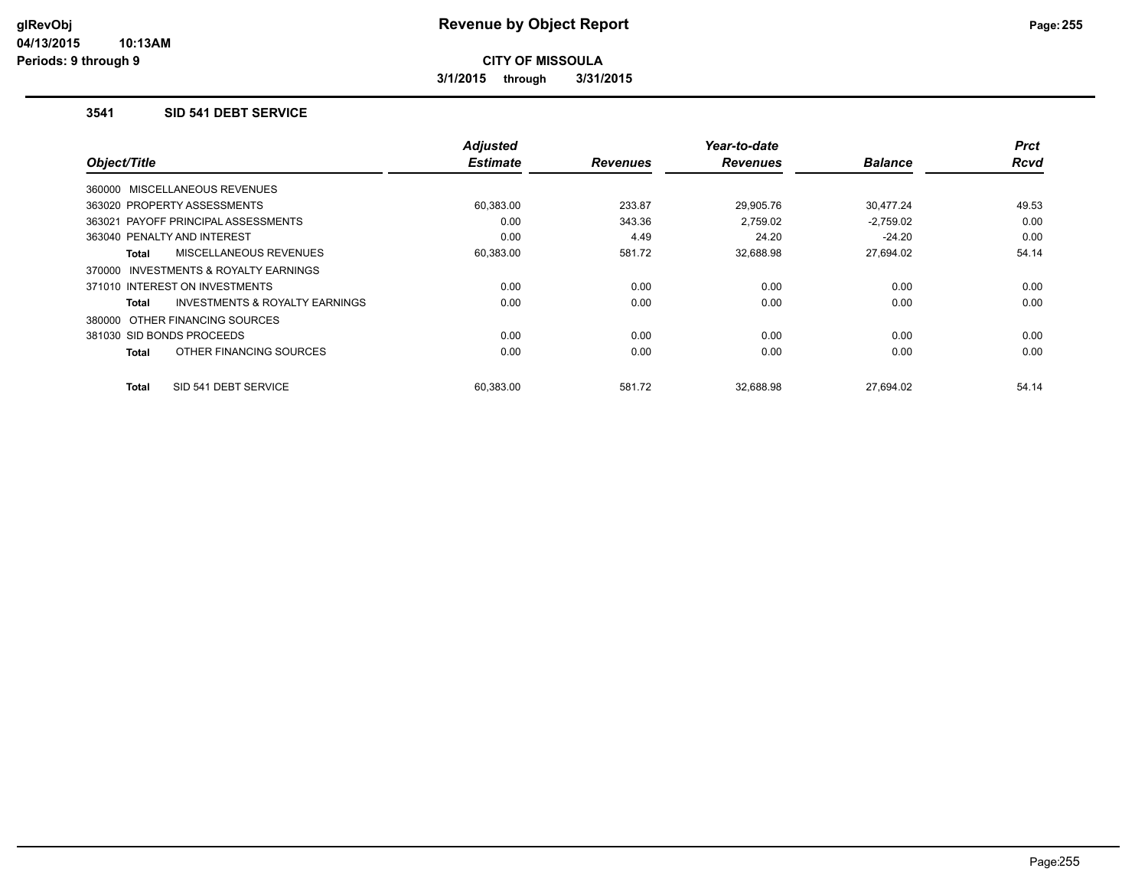**3/1/2015 through 3/31/2015**

### **3541 SID 541 DEBT SERVICE**

| Object/Title                                       | <b>Adjusted</b><br><b>Estimate</b> | <b>Revenues</b> | Year-to-date<br><b>Revenues</b> | <b>Balance</b> | <b>Prct</b><br><b>Rcvd</b> |
|----------------------------------------------------|------------------------------------|-----------------|---------------------------------|----------------|----------------------------|
|                                                    |                                    |                 |                                 |                |                            |
| 360000 MISCELLANEOUS REVENUES                      |                                    |                 |                                 |                |                            |
| 363020 PROPERTY ASSESSMENTS                        | 60,383.00                          | 233.87          | 29,905.76                       | 30.477.24      | 49.53                      |
| 363021 PAYOFF PRINCIPAL ASSESSMENTS                | 0.00                               | 343.36          | 2,759.02                        | $-2,759.02$    | 0.00                       |
| 363040 PENALTY AND INTEREST                        | 0.00                               | 4.49            | 24.20                           | $-24.20$       | 0.00                       |
| MISCELLANEOUS REVENUES<br>Total                    | 60,383.00                          | 581.72          | 32,688.98                       | 27,694.02      | 54.14                      |
| INVESTMENTS & ROYALTY EARNINGS<br>370000           |                                    |                 |                                 |                |                            |
| 371010 INTEREST ON INVESTMENTS                     | 0.00                               | 0.00            | 0.00                            | 0.00           | 0.00                       |
| <b>INVESTMENTS &amp; ROYALTY EARNINGS</b><br>Total | 0.00                               | 0.00            | 0.00                            | 0.00           | 0.00                       |
| 380000 OTHER FINANCING SOURCES                     |                                    |                 |                                 |                |                            |
| 381030 SID BONDS PROCEEDS                          | 0.00                               | 0.00            | 0.00                            | 0.00           | 0.00                       |
| OTHER FINANCING SOURCES<br><b>Total</b>            | 0.00                               | 0.00            | 0.00                            | 0.00           | 0.00                       |
| SID 541 DEBT SERVICE<br><b>Total</b>               | 60,383.00                          | 581.72          | 32,688.98                       | 27,694.02      | 54.14                      |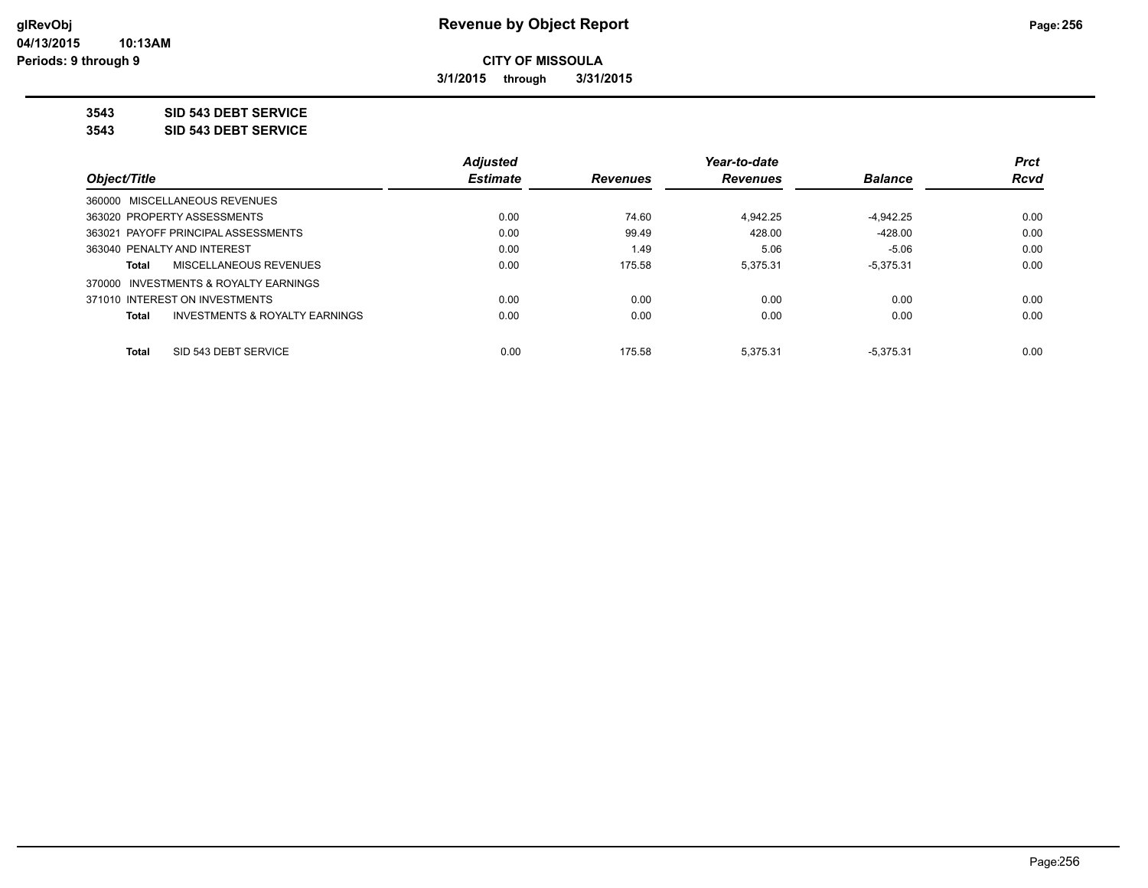**3/1/2015 through 3/31/2015**

**3543 SID 543 DEBT SERVICE**

**3543 SID 543 DEBT SERVICE**

|                                                    | <b>Adjusted</b> |                 | Year-to-date    |                | <b>Prct</b> |
|----------------------------------------------------|-----------------|-----------------|-----------------|----------------|-------------|
| Object/Title                                       | <b>Estimate</b> | <b>Revenues</b> | <b>Revenues</b> | <b>Balance</b> | <b>Rcvd</b> |
| 360000 MISCELLANEOUS REVENUES                      |                 |                 |                 |                |             |
| 363020 PROPERTY ASSESSMENTS                        | 0.00            | 74.60           | 4.942.25        | $-4.942.25$    | 0.00        |
| 363021 PAYOFF PRINCIPAL ASSESSMENTS                | 0.00            | 99.49           | 428.00          | $-428.00$      | 0.00        |
| 363040 PENALTY AND INTEREST                        | 0.00            | 1.49            | 5.06            | $-5.06$        | 0.00        |
| MISCELLANEOUS REVENUES<br>Total                    | 0.00            | 175.58          | 5.375.31        | $-5.375.31$    | 0.00        |
| 370000 INVESTMENTS & ROYALTY EARNINGS              |                 |                 |                 |                |             |
| 371010 INTEREST ON INVESTMENTS                     | 0.00            | 0.00            | 0.00            | 0.00           | 0.00        |
| <b>INVESTMENTS &amp; ROYALTY EARNINGS</b><br>Total | 0.00            | 0.00            | 0.00            | 0.00           | 0.00        |
| SID 543 DEBT SERVICE<br>Total                      | 0.00            | 175.58          | 5.375.31        | $-5.375.31$    | 0.00        |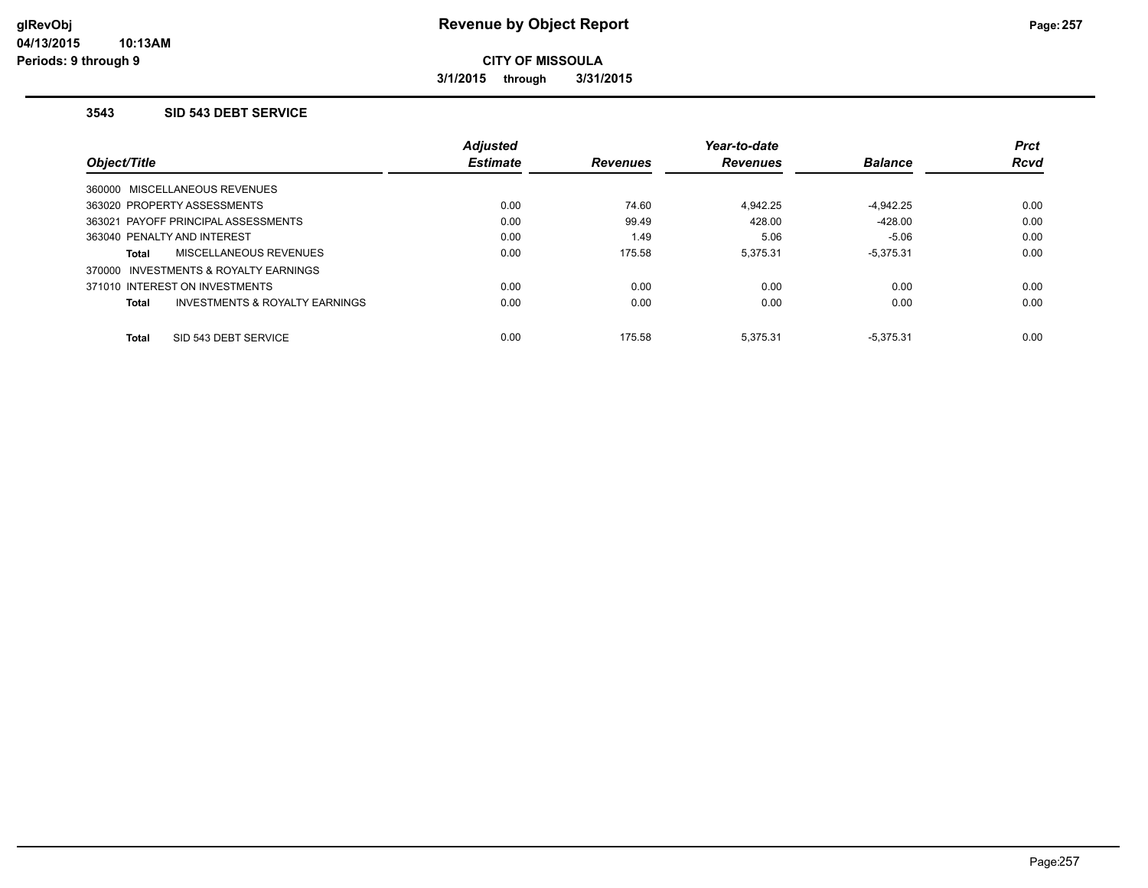**3/1/2015 through 3/31/2015**

#### **3543 SID 543 DEBT SERVICE**

|                                                           | <b>Adjusted</b> |                 | Year-to-date    |                | <b>Prct</b> |
|-----------------------------------------------------------|-----------------|-----------------|-----------------|----------------|-------------|
| Object/Title                                              | <b>Estimate</b> | <b>Revenues</b> | <b>Revenues</b> | <b>Balance</b> | <b>Rcvd</b> |
| 360000 MISCELLANEOUS REVENUES                             |                 |                 |                 |                |             |
| 363020 PROPERTY ASSESSMENTS                               | 0.00            | 74.60           | 4.942.25        | $-4.942.25$    | 0.00        |
| 363021 PAYOFF PRINCIPAL ASSESSMENTS                       | 0.00            | 99.49           | 428.00          | $-428.00$      | 0.00        |
| 363040 PENALTY AND INTEREST                               | 0.00            | 1.49            | 5.06            | $-5.06$        | 0.00        |
| <b>MISCELLANEOUS REVENUES</b><br><b>Total</b>             | 0.00            | 175.58          | 5.375.31        | $-5.375.31$    | 0.00        |
| 370000 INVESTMENTS & ROYALTY EARNINGS                     |                 |                 |                 |                |             |
| 371010 INTEREST ON INVESTMENTS                            | 0.00            | 0.00            | 0.00            | 0.00           | 0.00        |
| <b>INVESTMENTS &amp; ROYALTY EARNINGS</b><br><b>Total</b> | 0.00            | 0.00            | 0.00            | 0.00           | 0.00        |
| SID 543 DEBT SERVICE<br><b>Total</b>                      | 0.00            | 175.58          | 5.375.31        | $-5.375.31$    | 0.00        |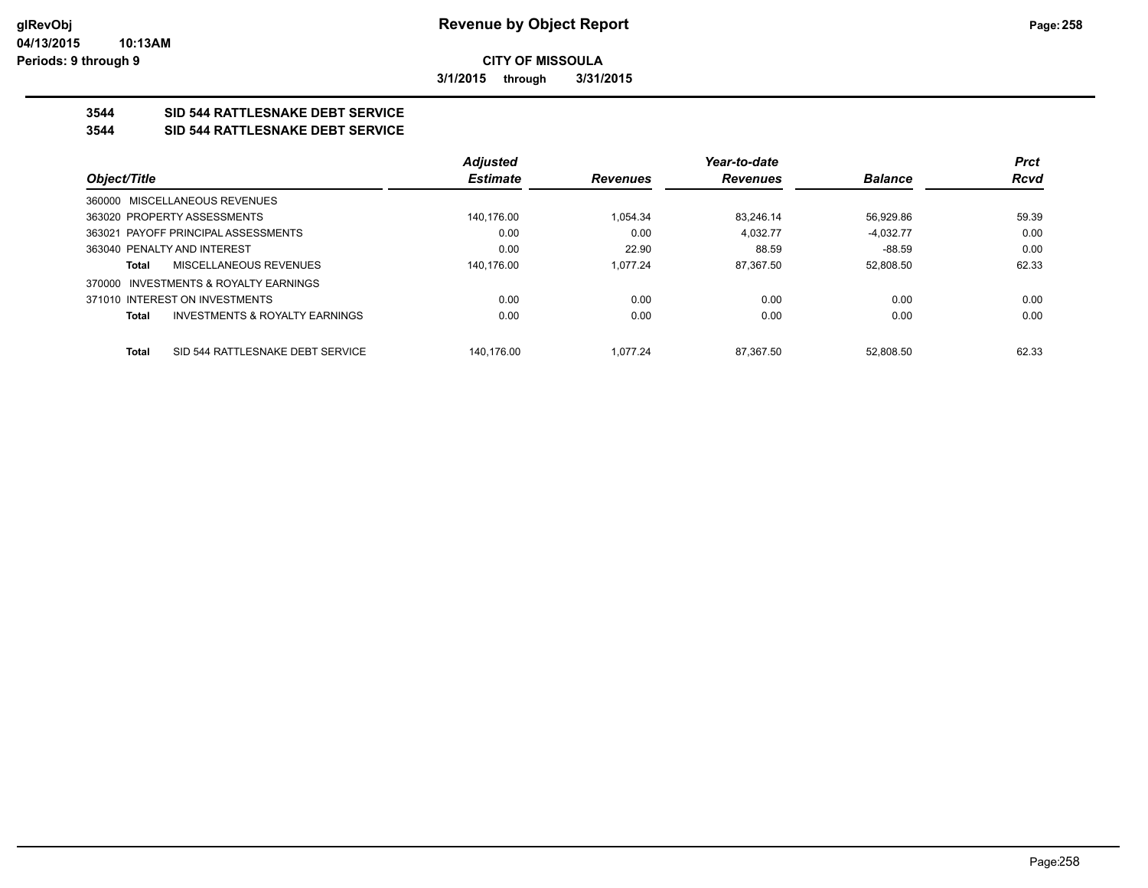**3/1/2015 through 3/31/2015**

# **3544 SID 544 RATTLESNAKE DEBT SERVICE**

### **3544 SID 544 RATTLESNAKE DEBT SERVICE**

|                                       |                                  | <b>Adjusted</b> |                 | Year-to-date    |                | <b>Prct</b> |
|---------------------------------------|----------------------------------|-----------------|-----------------|-----------------|----------------|-------------|
| Object/Title                          |                                  | <b>Estimate</b> | <b>Revenues</b> | <b>Revenues</b> | <b>Balance</b> | <b>Rcvd</b> |
| 360000 MISCELLANEOUS REVENUES         |                                  |                 |                 |                 |                |             |
| 363020 PROPERTY ASSESSMENTS           |                                  | 140.176.00      | 1.054.34        | 83.246.14       | 56,929.86      | 59.39       |
| 363021 PAYOFF PRINCIPAL ASSESSMENTS   |                                  | 0.00            | 0.00            | 4.032.77        | $-4.032.77$    | 0.00        |
| 363040 PENALTY AND INTEREST           |                                  | 0.00            | 22.90           | 88.59           | $-88.59$       | 0.00        |
| Total                                 | MISCELLANEOUS REVENUES           | 140.176.00      | 1.077.24        | 87.367.50       | 52.808.50      | 62.33       |
| 370000 INVESTMENTS & ROYALTY EARNINGS |                                  |                 |                 |                 |                |             |
| 371010 INTEREST ON INVESTMENTS        |                                  | 0.00            | 0.00            | 0.00            | 0.00           | 0.00        |
| <b>Total</b>                          | INVESTMENTS & ROYALTY EARNINGS   | 0.00            | 0.00            | 0.00            | 0.00           | 0.00        |
| <b>Total</b>                          | SID 544 RATTLESNAKE DEBT SERVICE | 140.176.00      | 1.077.24        | 87.367.50       | 52.808.50      | 62.33       |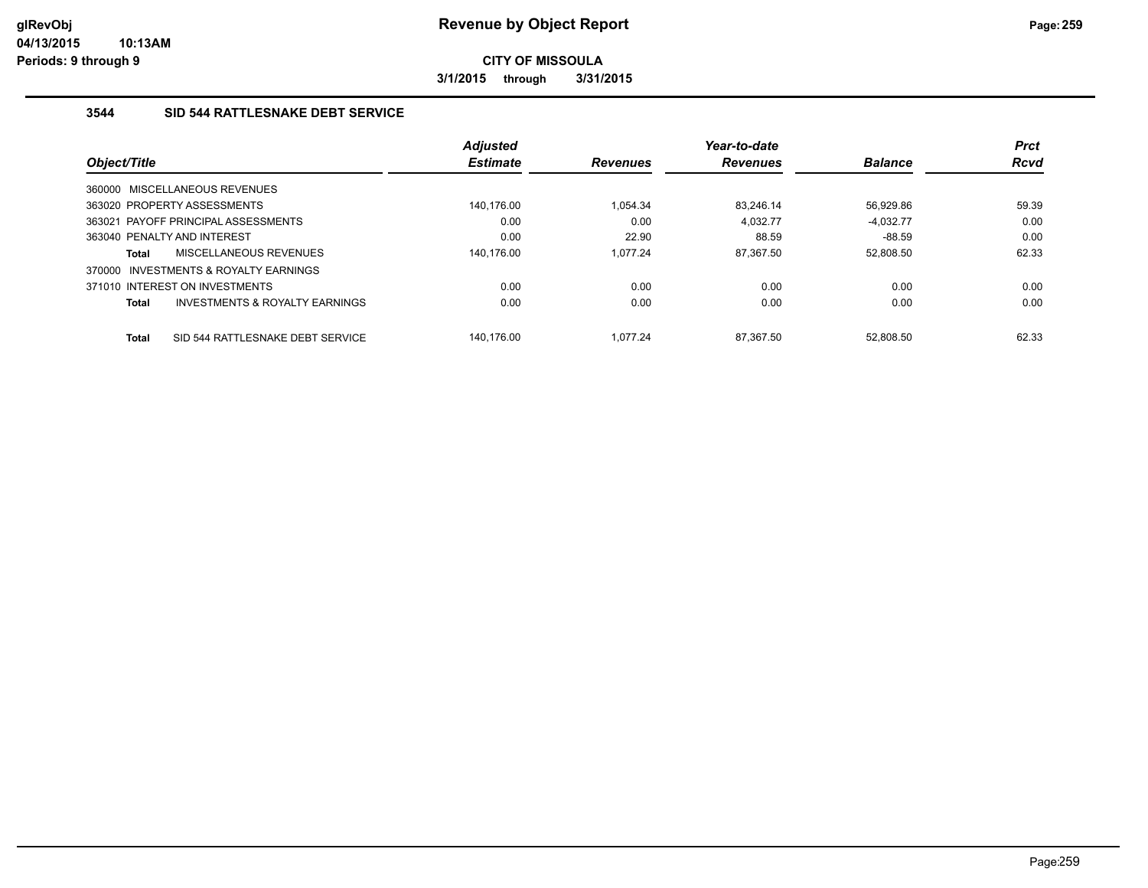**3/1/2015 through 3/31/2015**

## **3544 SID 544 RATTLESNAKE DEBT SERVICE**

|                             |                                           | <b>Adjusted</b> |                 | Year-to-date    |                | <b>Prct</b> |
|-----------------------------|-------------------------------------------|-----------------|-----------------|-----------------|----------------|-------------|
| Object/Title                |                                           | <b>Estimate</b> | <b>Revenues</b> | <b>Revenues</b> | <b>Balance</b> | <b>Rcvd</b> |
|                             | 360000 MISCELLANEOUS REVENUES             |                 |                 |                 |                |             |
|                             | 363020 PROPERTY ASSESSMENTS               | 140.176.00      | 1.054.34        | 83.246.14       | 56,929.86      | 59.39       |
|                             | 363021 PAYOFF PRINCIPAL ASSESSMENTS       | 0.00            | 0.00            | 4.032.77        | $-4.032.77$    | 0.00        |
| 363040 PENALTY AND INTEREST |                                           | 0.00            | 22.90           | 88.59           | $-88.59$       | 0.00        |
| <b>Total</b>                | <b>MISCELLANEOUS REVENUES</b>             | 140.176.00      | 1.077.24        | 87.367.50       | 52,808.50      | 62.33       |
| 370000                      | INVESTMENTS & ROYALTY EARNINGS            |                 |                 |                 |                |             |
|                             | 371010 INTEREST ON INVESTMENTS            | 0.00            | 0.00            | 0.00            | 0.00           | 0.00        |
| <b>Total</b>                | <b>INVESTMENTS &amp; ROYALTY EARNINGS</b> | 0.00            | 0.00            | 0.00            | 0.00           | 0.00        |
| <b>Total</b>                | SID 544 RATTLESNAKE DEBT SERVICE          | 140.176.00      | 1.077.24        | 87.367.50       | 52.808.50      | 62.33       |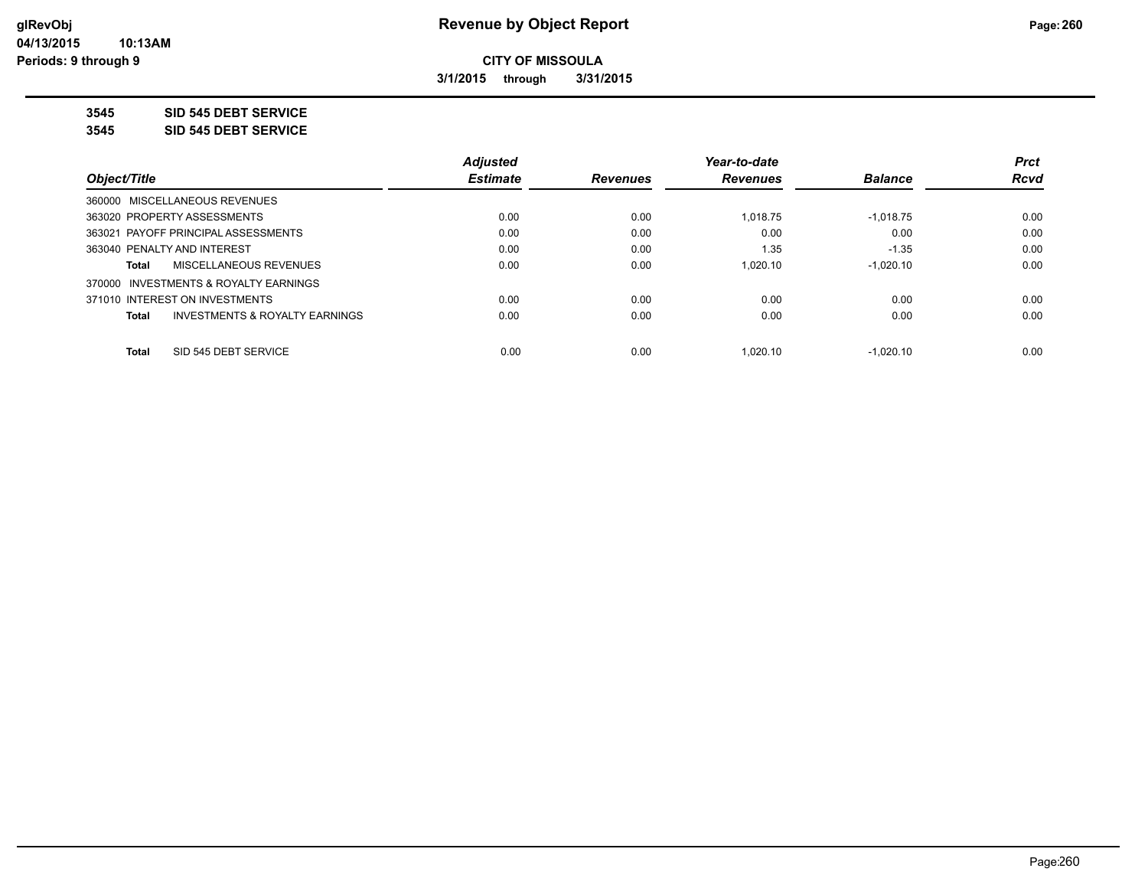**3/1/2015 through 3/31/2015**

**3545 SID 545 DEBT SERVICE**

**3545 SID 545 DEBT SERVICE**

|                                         | <b>Adjusted</b> |                 | Year-to-date    |                | <b>Prct</b> |
|-----------------------------------------|-----------------|-----------------|-----------------|----------------|-------------|
| Object/Title                            | <b>Estimate</b> | <b>Revenues</b> | <b>Revenues</b> | <b>Balance</b> | <b>Rcvd</b> |
| 360000 MISCELLANEOUS REVENUES           |                 |                 |                 |                |             |
| 363020 PROPERTY ASSESSMENTS             | 0.00            | 0.00            | 1.018.75        | $-1,018.75$    | 0.00        |
| 363021 PAYOFF PRINCIPAL ASSESSMENTS     | 0.00            | 0.00            | 0.00            | 0.00           | 0.00        |
| 363040 PENALTY AND INTEREST             | 0.00            | 0.00            | 1.35            | $-1.35$        | 0.00        |
| MISCELLANEOUS REVENUES<br>Total         | 0.00            | 0.00            | 1.020.10        | $-1.020.10$    | 0.00        |
| 370000 INVESTMENTS & ROYALTY EARNINGS   |                 |                 |                 |                |             |
| 371010 INTEREST ON INVESTMENTS          | 0.00            | 0.00            | 0.00            | 0.00           | 0.00        |
| INVESTMENTS & ROYALTY EARNINGS<br>Total | 0.00            | 0.00            | 0.00            | 0.00           | 0.00        |
|                                         |                 |                 |                 |                |             |
| SID 545 DEBT SERVICE<br><b>Total</b>    | 0.00            | 0.00            | 1.020.10        | $-1.020.10$    | 0.00        |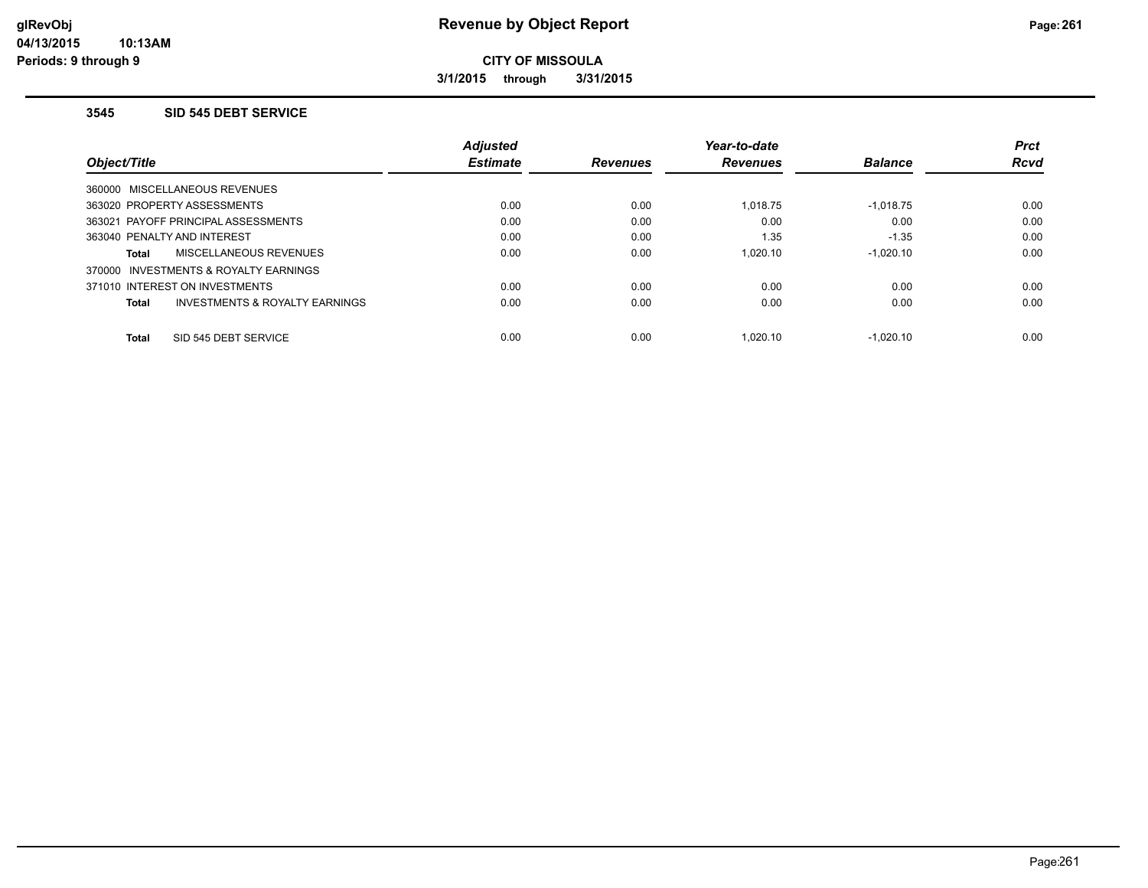**3/1/2015 through 3/31/2015**

#### **3545 SID 545 DEBT SERVICE**

|                                                    | <b>Adjusted</b> |                 | Year-to-date    |                | <b>Prct</b> |
|----------------------------------------------------|-----------------|-----------------|-----------------|----------------|-------------|
| <b>Object/Title</b>                                | <b>Estimate</b> | <b>Revenues</b> | <b>Revenues</b> | <b>Balance</b> | <b>Rcvd</b> |
| 360000 MISCELLANEOUS REVENUES                      |                 |                 |                 |                |             |
| 363020 PROPERTY ASSESSMENTS                        | 0.00            | 0.00            | 1.018.75        | $-1.018.75$    | 0.00        |
| 363021 PAYOFF PRINCIPAL ASSESSMENTS                | 0.00            | 0.00            | 0.00            | 0.00           | 0.00        |
| 363040 PENALTY AND INTEREST                        | 0.00            | 0.00            | 1.35            | $-1.35$        | 0.00        |
| MISCELLANEOUS REVENUES<br>Total                    | 0.00            | 0.00            | 1.020.10        | $-1.020.10$    | 0.00        |
| INVESTMENTS & ROYALTY EARNINGS<br>370000           |                 |                 |                 |                |             |
| 371010 INTEREST ON INVESTMENTS                     | 0.00            | 0.00            | 0.00            | 0.00           | 0.00        |
| <b>INVESTMENTS &amp; ROYALTY EARNINGS</b><br>Total | 0.00            | 0.00            | 0.00            | 0.00           | 0.00        |
| SID 545 DEBT SERVICE<br><b>Total</b>               | 0.00            | 0.00            | 1.020.10        | $-1.020.10$    | 0.00        |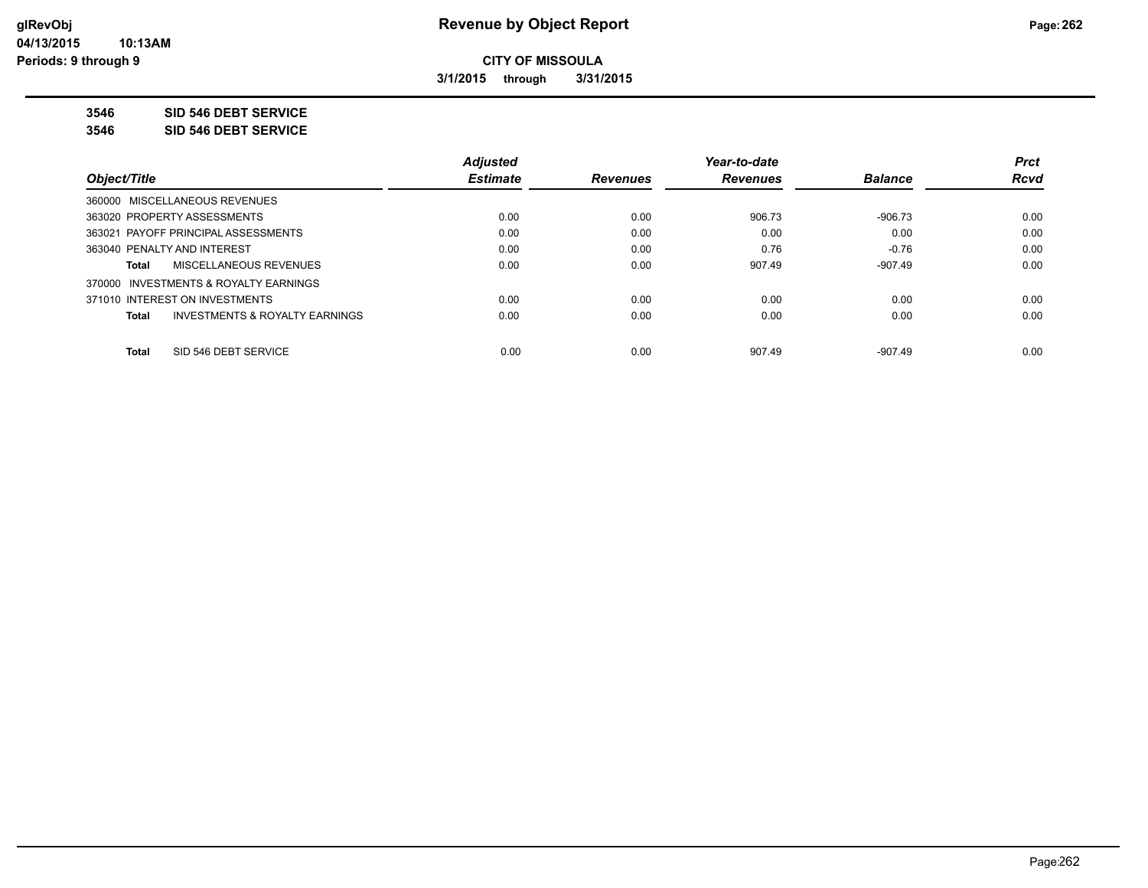**3/1/2015 through 3/31/2015**

**3546 SID 546 DEBT SERVICE**

**3546 SID 546 DEBT SERVICE**

|                                                    | <b>Adjusted</b> |                 | Year-to-date    |                | <b>Prct</b> |
|----------------------------------------------------|-----------------|-----------------|-----------------|----------------|-------------|
| Object/Title                                       | <b>Estimate</b> | <b>Revenues</b> | <b>Revenues</b> | <b>Balance</b> | Rcvd        |
| 360000 MISCELLANEOUS REVENUES                      |                 |                 |                 |                |             |
| 363020 PROPERTY ASSESSMENTS                        | 0.00            | 0.00            | 906.73          | $-906.73$      | 0.00        |
| 363021 PAYOFF PRINCIPAL ASSESSMENTS                | 0.00            | 0.00            | 0.00            | 0.00           | 0.00        |
| 363040 PENALTY AND INTEREST                        | 0.00            | 0.00            | 0.76            | $-0.76$        | 0.00        |
| MISCELLANEOUS REVENUES<br>Total                    | 0.00            | 0.00            | 907.49          | $-907.49$      | 0.00        |
| 370000 INVESTMENTS & ROYALTY EARNINGS              |                 |                 |                 |                |             |
| 371010 INTEREST ON INVESTMENTS                     | 0.00            | 0.00            | 0.00            | 0.00           | 0.00        |
| <b>INVESTMENTS &amp; ROYALTY EARNINGS</b><br>Total | 0.00            | 0.00            | 0.00            | 0.00           | 0.00        |
| SID 546 DEBT SERVICE<br><b>Total</b>               | 0.00            | 0.00            | 907.49          | $-907.49$      | 0.00        |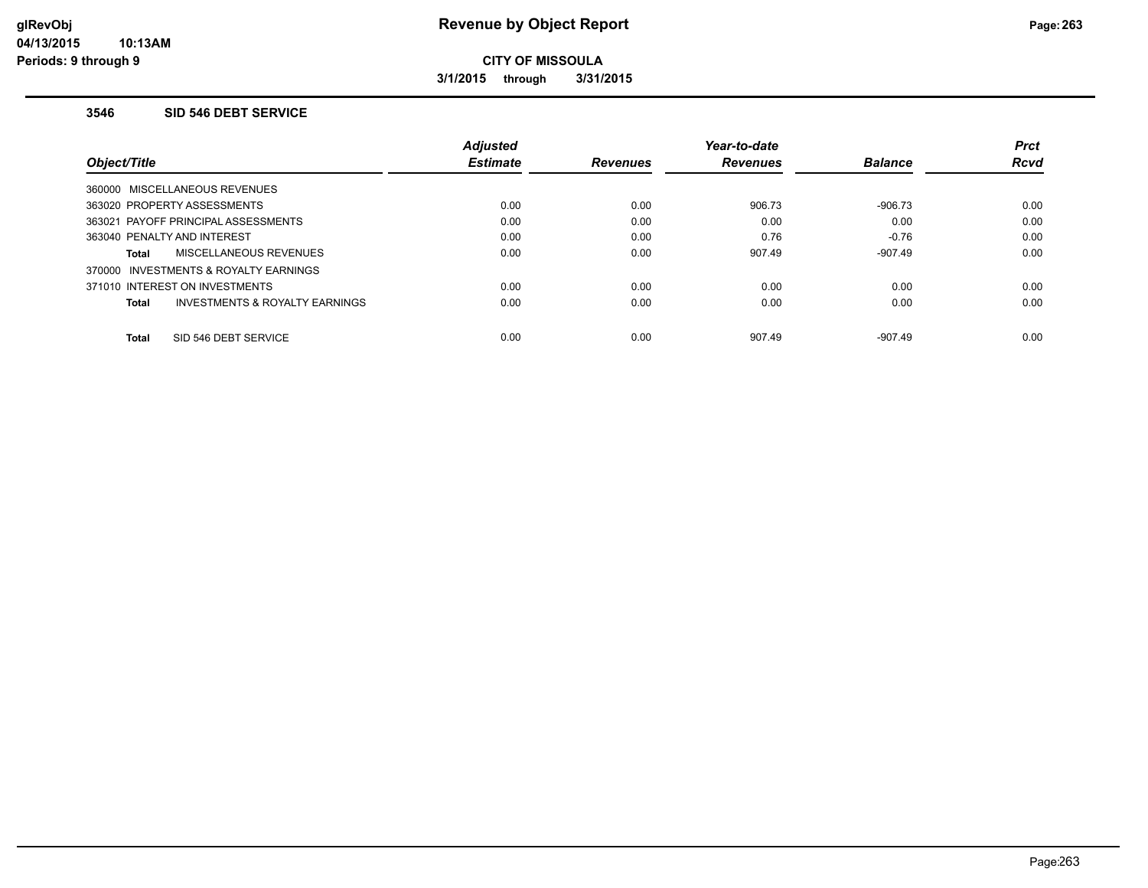**3/1/2015 through 3/31/2015**

#### **3546 SID 546 DEBT SERVICE**

|                                                           | <b>Adjusted</b> |                 | Year-to-date    |                | <b>Prct</b> |
|-----------------------------------------------------------|-----------------|-----------------|-----------------|----------------|-------------|
| Object/Title                                              | <b>Estimate</b> | <b>Revenues</b> | <b>Revenues</b> | <b>Balance</b> | <b>Rcvd</b> |
| 360000 MISCELLANEOUS REVENUES                             |                 |                 |                 |                |             |
| 363020 PROPERTY ASSESSMENTS                               | 0.00            | 0.00            | 906.73          | $-906.73$      | 0.00        |
| 363021 PAYOFF PRINCIPAL ASSESSMENTS                       | 0.00            | 0.00            | 0.00            | 0.00           | 0.00        |
| 363040 PENALTY AND INTEREST                               | 0.00            | 0.00            | 0.76            | $-0.76$        | 0.00        |
| <b>MISCELLANEOUS REVENUES</b><br><b>Total</b>             | 0.00            | 0.00            | 907.49          | $-907.49$      | 0.00        |
| 370000 INVESTMENTS & ROYALTY EARNINGS                     |                 |                 |                 |                |             |
| 371010 INTEREST ON INVESTMENTS                            | 0.00            | 0.00            | 0.00            | 0.00           | 0.00        |
| <b>INVESTMENTS &amp; ROYALTY EARNINGS</b><br><b>Total</b> | 0.00            | 0.00            | 0.00            | 0.00           | 0.00        |
| SID 546 DEBT SERVICE<br><b>Total</b>                      | 0.00            | 0.00            | 907.49          | $-907.49$      | 0.00        |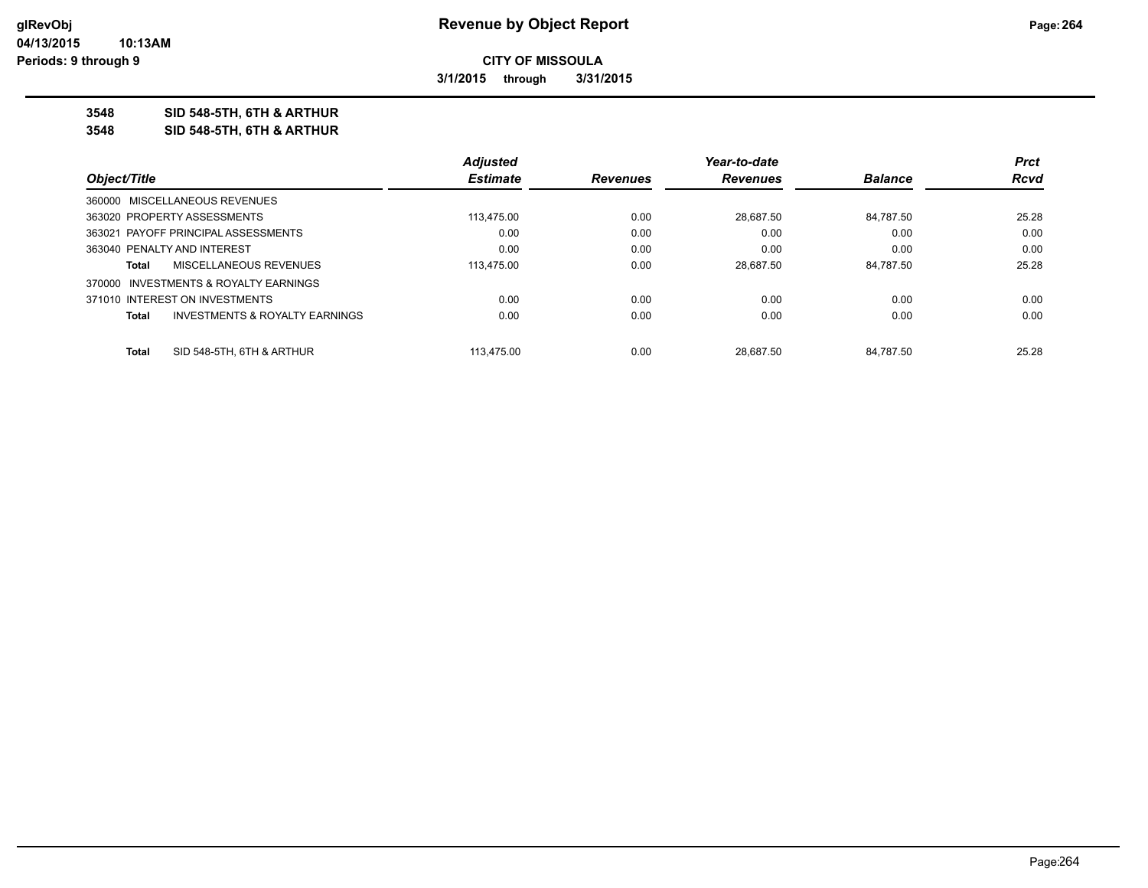**3/1/2015 through 3/31/2015**

**3548 SID 548-5TH, 6TH & ARTHUR**

**3548 SID 548-5TH, 6TH & ARTHUR**

|                                                    | <b>Adjusted</b> |                 | Year-to-date    |                | <b>Prct</b> |
|----------------------------------------------------|-----------------|-----------------|-----------------|----------------|-------------|
| Object/Title                                       | <b>Estimate</b> | <b>Revenues</b> | <b>Revenues</b> | <b>Balance</b> | <b>Rcvd</b> |
| 360000 MISCELLANEOUS REVENUES                      |                 |                 |                 |                |             |
| 363020 PROPERTY ASSESSMENTS                        | 113.475.00      | 0.00            | 28.687.50       | 84,787.50      | 25.28       |
| 363021 PAYOFF PRINCIPAL ASSESSMENTS                | 0.00            | 0.00            | 0.00            | 0.00           | 0.00        |
| 363040 PENALTY AND INTEREST                        | 0.00            | 0.00            | 0.00            | 0.00           | 0.00        |
| <b>MISCELLANEOUS REVENUES</b><br>Total             | 113.475.00      | 0.00            | 28.687.50       | 84.787.50      | 25.28       |
| 370000 INVESTMENTS & ROYALTY EARNINGS              |                 |                 |                 |                |             |
| 371010 INTEREST ON INVESTMENTS                     | 0.00            | 0.00            | 0.00            | 0.00           | 0.00        |
| <b>INVESTMENTS &amp; ROYALTY EARNINGS</b><br>Total | 0.00            | 0.00            | 0.00            | 0.00           | 0.00        |
|                                                    |                 |                 | 28.687.50       |                |             |
| SID 548-5TH, 6TH & ARTHUR<br>Total                 | 113.475.00      | 0.00            |                 | 84.787.50      | 25.28       |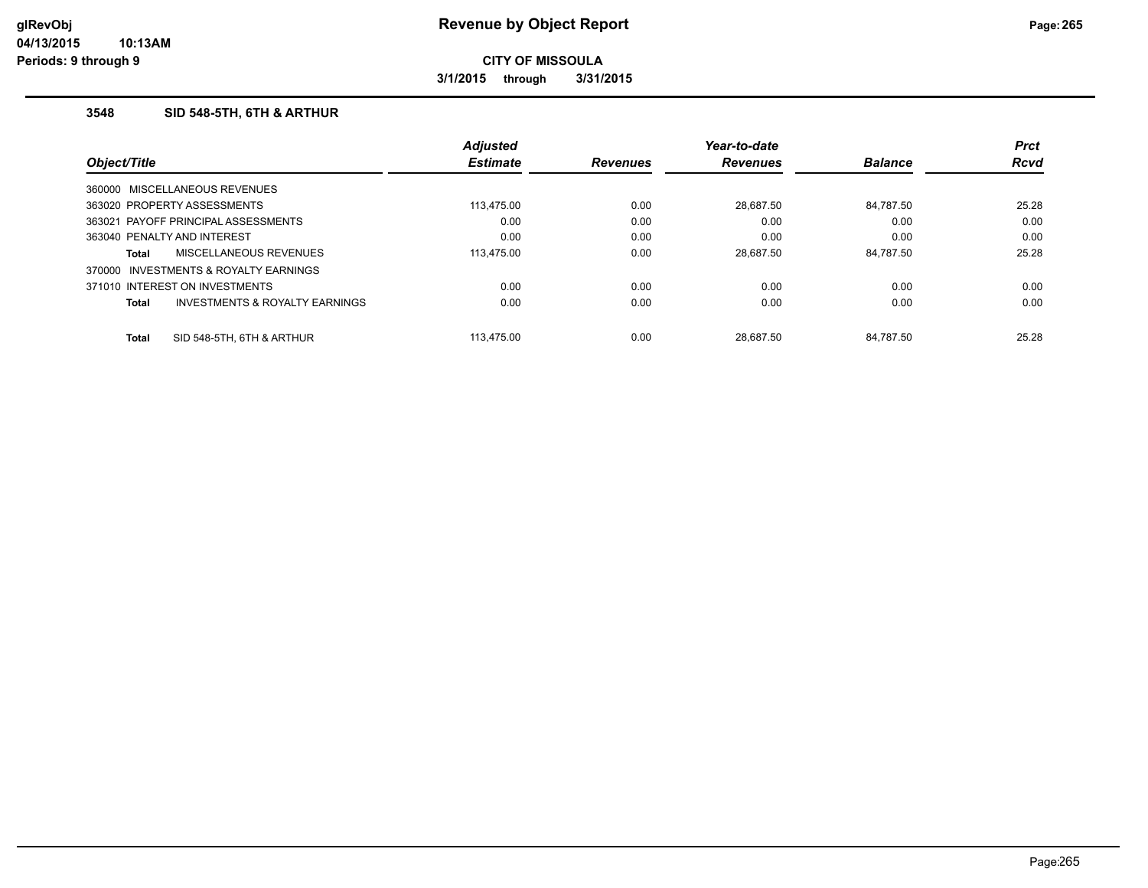**3/1/2015 through 3/31/2015**

## **3548 SID 548-5TH, 6TH & ARTHUR**

|              |                                     | <b>Adjusted</b> |                 | Year-to-date    |                | <b>Prct</b> |
|--------------|-------------------------------------|-----------------|-----------------|-----------------|----------------|-------------|
| Object/Title |                                     | <b>Estimate</b> | <b>Revenues</b> | <b>Revenues</b> | <b>Balance</b> | <b>Rcvd</b> |
|              | 360000 MISCELLANEOUS REVENUES       |                 |                 |                 |                |             |
|              | 363020 PROPERTY ASSESSMENTS         | 113.475.00      | 0.00            | 28.687.50       | 84.787.50      | 25.28       |
|              | 363021 PAYOFF PRINCIPAL ASSESSMENTS | 0.00            | 0.00            | 0.00            | 0.00           | 0.00        |
|              | 363040 PENALTY AND INTEREST         | 0.00            | 0.00            | 0.00            | 0.00           | 0.00        |
| Total        | MISCELLANEOUS REVENUES              | 113.475.00      | 0.00            | 28.687.50       | 84.787.50      | 25.28       |
| 370000       | INVESTMENTS & ROYALTY EARNINGS      |                 |                 |                 |                |             |
|              | 371010 INTEREST ON INVESTMENTS      | 0.00            | 0.00            | 0.00            | 0.00           | 0.00        |
| Total        | INVESTMENTS & ROYALTY EARNINGS      | 0.00            | 0.00            | 0.00            | 0.00           | 0.00        |
| <b>Total</b> | SID 548-5TH, 6TH & ARTHUR           | 113.475.00      | 0.00            | 28.687.50       | 84.787.50      | 25.28       |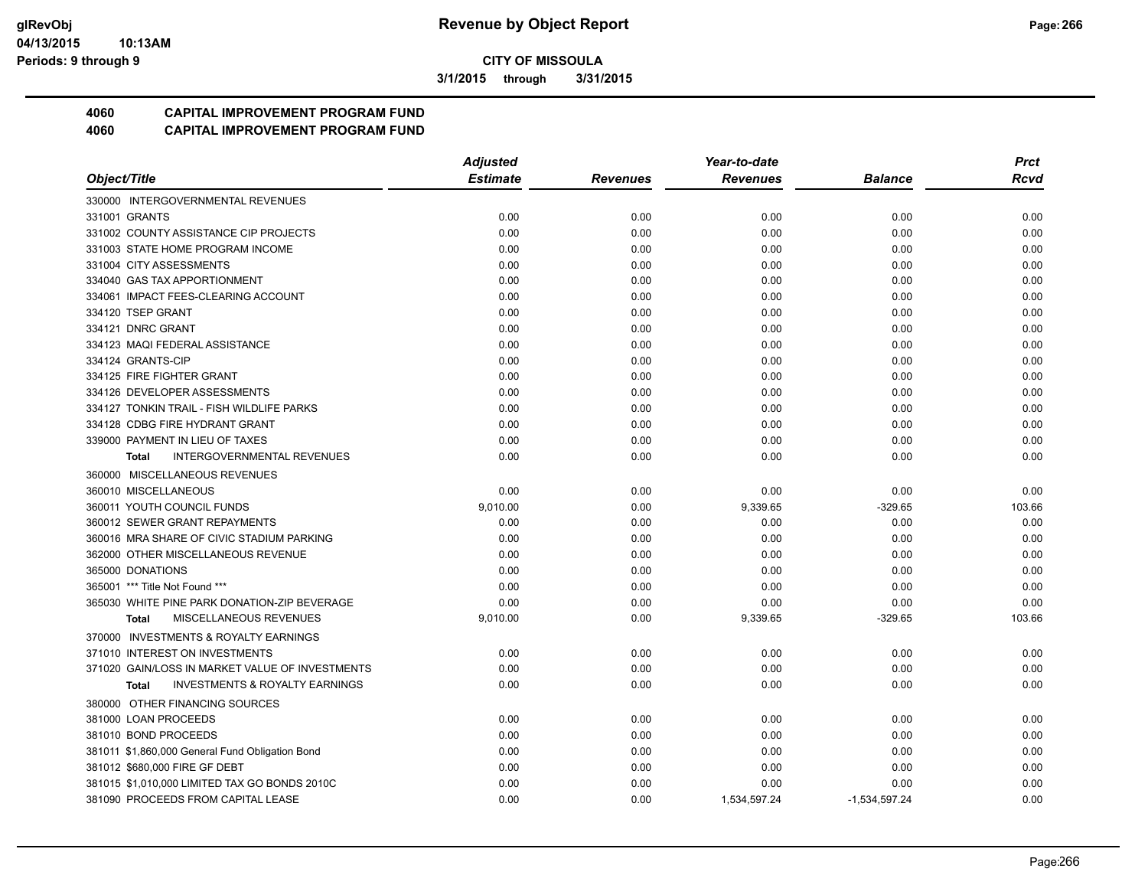**3/1/2015 through 3/31/2015**

## **4060 CAPITAL IMPROVEMENT PROGRAM FUND**

|                                                           | <b>Adjusted</b> |                 | Year-to-date    |                 | <b>Prct</b> |
|-----------------------------------------------------------|-----------------|-----------------|-----------------|-----------------|-------------|
| Object/Title                                              | <b>Estimate</b> | <b>Revenues</b> | <b>Revenues</b> | Balance         | Rcvd        |
| 330000 INTERGOVERNMENTAL REVENUES                         |                 |                 |                 |                 |             |
| 331001 GRANTS                                             | 0.00            | 0.00            | 0.00            | 0.00            | 0.00        |
| 331002 COUNTY ASSISTANCE CIP PROJECTS                     | 0.00            | 0.00            | 0.00            | 0.00            | 0.00        |
| 331003 STATE HOME PROGRAM INCOME                          | 0.00            | 0.00            | 0.00            | 0.00            | 0.00        |
| 331004 CITY ASSESSMENTS                                   | 0.00            | 0.00            | 0.00            | 0.00            | 0.00        |
| 334040 GAS TAX APPORTIONMENT                              | 0.00            | 0.00            | 0.00            | 0.00            | 0.00        |
| 334061 IMPACT FEES-CLEARING ACCOUNT                       | 0.00            | 0.00            | 0.00            | 0.00            | 0.00        |
| 334120 TSEP GRANT                                         | 0.00            | 0.00            | 0.00            | 0.00            | 0.00        |
| 334121 DNRC GRANT                                         | 0.00            | 0.00            | 0.00            | 0.00            | 0.00        |
| 334123 MAQI FEDERAL ASSISTANCE                            | 0.00            | 0.00            | 0.00            | 0.00            | 0.00        |
| 334124 GRANTS-CIP                                         | 0.00            | 0.00            | 0.00            | 0.00            | 0.00        |
| 334125 FIRE FIGHTER GRANT                                 | 0.00            | 0.00            | 0.00            | 0.00            | 0.00        |
| 334126 DEVELOPER ASSESSMENTS                              | 0.00            | 0.00            | 0.00            | 0.00            | 0.00        |
| 334127 TONKIN TRAIL - FISH WILDLIFE PARKS                 | 0.00            | 0.00            | 0.00            | 0.00            | 0.00        |
| 334128 CDBG FIRE HYDRANT GRANT                            | 0.00            | 0.00            | 0.00            | 0.00            | 0.00        |
| 339000 PAYMENT IN LIEU OF TAXES                           | 0.00            | 0.00            | 0.00            | 0.00            | 0.00        |
| <b>INTERGOVERNMENTAL REVENUES</b><br><b>Total</b>         | 0.00            | 0.00            | 0.00            | 0.00            | 0.00        |
| 360000 MISCELLANEOUS REVENUES                             |                 |                 |                 |                 |             |
| 360010 MISCELLANEOUS                                      | 0.00            | 0.00            | 0.00            | 0.00            | 0.00        |
| 360011 YOUTH COUNCIL FUNDS                                | 9,010.00        | 0.00            | 9,339.65        | $-329.65$       | 103.66      |
| 360012 SEWER GRANT REPAYMENTS                             | 0.00            | 0.00            | 0.00            | 0.00            | 0.00        |
| 360016 MRA SHARE OF CIVIC STADIUM PARKING                 | 0.00            | 0.00            | 0.00            | 0.00            | 0.00        |
| 362000 OTHER MISCELLANEOUS REVENUE                        | 0.00            | 0.00            | 0.00            | 0.00            | 0.00        |
| 365000 DONATIONS                                          | 0.00            | 0.00            | 0.00            | 0.00            | 0.00        |
| 365001 *** Title Not Found ***                            | 0.00            | 0.00            | 0.00            | 0.00            | 0.00        |
| 365030 WHITE PINE PARK DONATION-ZIP BEVERAGE              | 0.00            | 0.00            | 0.00            | 0.00            | 0.00        |
| MISCELLANEOUS REVENUES<br><b>Total</b>                    | 9,010.00        | 0.00            | 9,339.65        | $-329.65$       | 103.66      |
| 370000 INVESTMENTS & ROYALTY EARNINGS                     |                 |                 |                 |                 |             |
| 371010 INTEREST ON INVESTMENTS                            | 0.00            | 0.00            | 0.00            | 0.00            | 0.00        |
| 371020 GAIN/LOSS IN MARKET VALUE OF INVESTMENTS           | 0.00            | 0.00            | 0.00            | 0.00            | 0.00        |
| <b>INVESTMENTS &amp; ROYALTY EARNINGS</b><br><b>Total</b> | 0.00            | 0.00            | 0.00            | 0.00            | 0.00        |
| 380000 OTHER FINANCING SOURCES                            |                 |                 |                 |                 |             |
| 381000 LOAN PROCEEDS                                      | 0.00            | 0.00            | 0.00            | 0.00            | 0.00        |
| 381010 BOND PROCEEDS                                      | 0.00            | 0.00            | 0.00            | 0.00            | 0.00        |
| 381011 \$1,860,000 General Fund Obligation Bond           | 0.00            | 0.00            | 0.00            | 0.00            | 0.00        |
| 381012 \$680,000 FIRE GF DEBT                             | 0.00            | 0.00            | 0.00            | 0.00            | 0.00        |
| 381015 \$1,010,000 LIMITED TAX GO BONDS 2010C             | 0.00            | 0.00            | 0.00            | 0.00            | 0.00        |
| 381090 PROCEEDS FROM CAPITAL LEASE                        | 0.00            | 0.00            | 1,534,597.24    | $-1,534,597.24$ | 0.00        |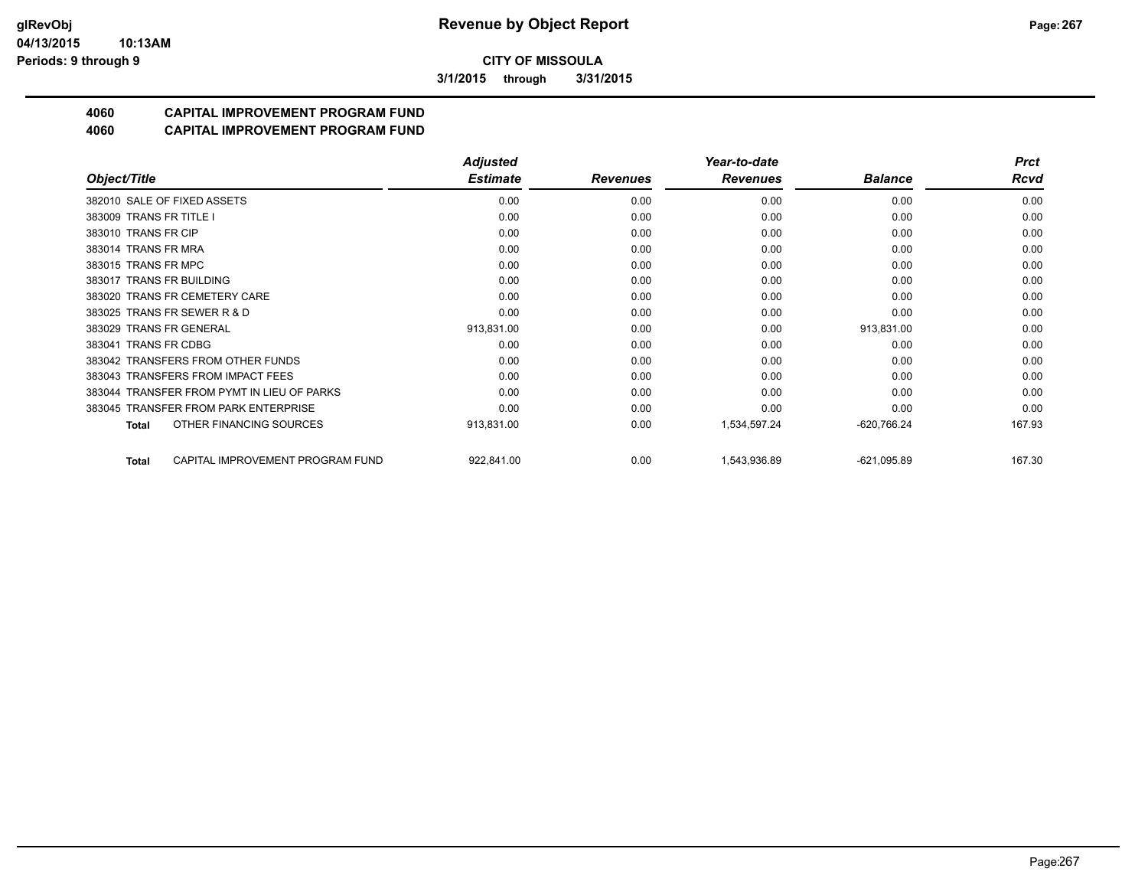**3/1/2015 through 3/31/2015**

# **4060 CAPITAL IMPROVEMENT PROGRAM FUND**

|                                                  | <b>Adjusted</b> |                 | Year-to-date    |                | <b>Prct</b> |
|--------------------------------------------------|-----------------|-----------------|-----------------|----------------|-------------|
| Object/Title                                     | <b>Estimate</b> | <b>Revenues</b> | <b>Revenues</b> | <b>Balance</b> | <b>Rcvd</b> |
| 382010 SALE OF FIXED ASSETS                      | 0.00            | 0.00            | 0.00            | 0.00           | 0.00        |
| 383009 TRANS FR TITLE I                          | 0.00            | 0.00            | 0.00            | 0.00           | 0.00        |
| 383010 TRANS FR CIP                              | 0.00            | 0.00            | 0.00            | 0.00           | 0.00        |
| 383014 TRANS FR MRA                              | 0.00            | 0.00            | 0.00            | 0.00           | 0.00        |
| 383015 TRANS FR MPC                              | 0.00            | 0.00            | 0.00            | 0.00           | 0.00        |
| 383017 TRANS FR BUILDING                         | 0.00            | 0.00            | 0.00            | 0.00           | 0.00        |
| 383020 TRANS FR CEMETERY CARE                    | 0.00            | 0.00            | 0.00            | 0.00           | 0.00        |
| 383025 TRANS FR SEWER R & D                      | 0.00            | 0.00            | 0.00            | 0.00           | 0.00        |
| 383029 TRANS FR GENERAL                          | 913,831.00      | 0.00            | 0.00            | 913,831.00     | 0.00        |
| 383041 TRANS FR CDBG                             | 0.00            | 0.00            | 0.00            | 0.00           | 0.00        |
| 383042 TRANSFERS FROM OTHER FUNDS                | 0.00            | 0.00            | 0.00            | 0.00           | 0.00        |
| 383043 TRANSFERS FROM IMPACT FEES                | 0.00            | 0.00            | 0.00            | 0.00           | 0.00        |
| 383044 TRANSFER FROM PYMT IN LIEU OF PARKS       | 0.00            | 0.00            | 0.00            | 0.00           | 0.00        |
| 383045 TRANSFER FROM PARK ENTERPRISE             | 0.00            | 0.00            | 0.00            | 0.00           | 0.00        |
| OTHER FINANCING SOURCES<br>Total                 | 913,831.00      | 0.00            | 1,534,597.24    | $-620,766.24$  | 167.93      |
| CAPITAL IMPROVEMENT PROGRAM FUND<br><b>Total</b> | 922,841.00      | 0.00            | 1,543,936.89    | $-621,095.89$  | 167.30      |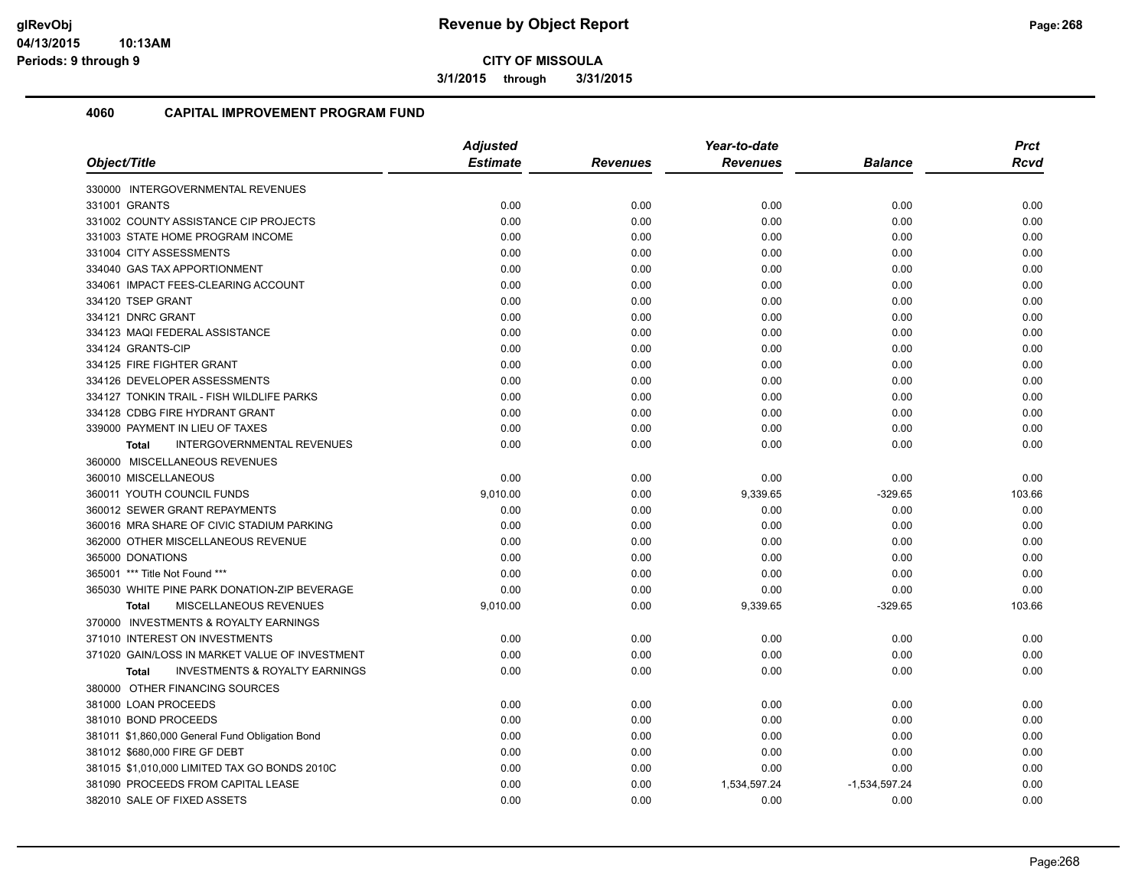**3/1/2015 through 3/31/2015**

|                                                    | <b>Adjusted</b> |                 | Year-to-date    |                 | <b>Prct</b> |
|----------------------------------------------------|-----------------|-----------------|-----------------|-----------------|-------------|
| Object/Title                                       | <b>Estimate</b> | <b>Revenues</b> | <b>Revenues</b> | <b>Balance</b>  | <b>Rcvd</b> |
| 330000 INTERGOVERNMENTAL REVENUES                  |                 |                 |                 |                 |             |
| 331001 GRANTS                                      | 0.00            | 0.00            | 0.00            | 0.00            | 0.00        |
| 331002 COUNTY ASSISTANCE CIP PROJECTS              | 0.00            | 0.00            | 0.00            | 0.00            | 0.00        |
| 331003 STATE HOME PROGRAM INCOME                   | 0.00            | 0.00            | 0.00            | 0.00            | 0.00        |
| 331004 CITY ASSESSMENTS                            | 0.00            | 0.00            | 0.00            | 0.00            | 0.00        |
| 334040 GAS TAX APPORTIONMENT                       | 0.00            | 0.00            | 0.00            | 0.00            | 0.00        |
| 334061 IMPACT FEES-CLEARING ACCOUNT                | 0.00            | 0.00            | 0.00            | 0.00            | 0.00        |
| 334120 TSEP GRANT                                  | 0.00            | 0.00            | 0.00            | 0.00            | 0.00        |
| 334121 DNRC GRANT                                  | 0.00            | 0.00            | 0.00            | 0.00            | 0.00        |
| 334123 MAQI FEDERAL ASSISTANCE                     | 0.00            | 0.00            | 0.00            | 0.00            | 0.00        |
| 334124 GRANTS-CIP                                  | 0.00            | 0.00            | 0.00            | 0.00            | 0.00        |
| 334125 FIRE FIGHTER GRANT                          | 0.00            | 0.00            | 0.00            | 0.00            | 0.00        |
| 334126 DEVELOPER ASSESSMENTS                       | 0.00            | 0.00            | 0.00            | 0.00            | 0.00        |
| 334127 TONKIN TRAIL - FISH WILDLIFE PARKS          | 0.00            | 0.00            | 0.00            | 0.00            | 0.00        |
| 334128 CDBG FIRE HYDRANT GRANT                     | 0.00            | 0.00            | 0.00            | 0.00            | 0.00        |
| 339000 PAYMENT IN LIEU OF TAXES                    | 0.00            | 0.00            | 0.00            | 0.00            | 0.00        |
| <b>INTERGOVERNMENTAL REVENUES</b><br><b>Total</b>  | 0.00            | 0.00            | 0.00            | 0.00            | 0.00        |
| 360000 MISCELLANEOUS REVENUES                      |                 |                 |                 |                 |             |
| 360010 MISCELLANEOUS                               | 0.00            | 0.00            | 0.00            | 0.00            | 0.00        |
| 360011 YOUTH COUNCIL FUNDS                         | 9,010.00        | 0.00            | 9,339.65        | $-329.65$       | 103.66      |
| 360012 SEWER GRANT REPAYMENTS                      | 0.00            | 0.00            | 0.00            | 0.00            | 0.00        |
| 360016 MRA SHARE OF CIVIC STADIUM PARKING          | 0.00            | 0.00            | 0.00            | 0.00            | 0.00        |
| 362000 OTHER MISCELLANEOUS REVENUE                 | 0.00            | 0.00            | 0.00            | 0.00            | 0.00        |
| 365000 DONATIONS                                   | 0.00            | 0.00            | 0.00            | 0.00            | 0.00        |
| 365001 *** Title Not Found ***                     | 0.00            | 0.00            | 0.00            | 0.00            | 0.00        |
| 365030 WHITE PINE PARK DONATION-ZIP BEVERAGE       | 0.00            | 0.00            | 0.00            | 0.00            | 0.00        |
| <b>MISCELLANEOUS REVENUES</b><br><b>Total</b>      | 9,010.00        | 0.00            | 9,339.65        | $-329.65$       | 103.66      |
| 370000 INVESTMENTS & ROYALTY EARNINGS              |                 |                 |                 |                 |             |
| 371010 INTEREST ON INVESTMENTS                     | 0.00            | 0.00            | 0.00            | 0.00            | 0.00        |
| 371020 GAIN/LOSS IN MARKET VALUE OF INVESTMENT     | 0.00            | 0.00            | 0.00            | 0.00            | 0.00        |
| <b>INVESTMENTS &amp; ROYALTY EARNINGS</b><br>Total | 0.00            | 0.00            | 0.00            | 0.00            | 0.00        |
| 380000 OTHER FINANCING SOURCES                     |                 |                 |                 |                 |             |
| 381000 LOAN PROCEEDS                               | 0.00            | 0.00            | 0.00            | 0.00            | 0.00        |
| 381010 BOND PROCEEDS                               | 0.00            | 0.00            | 0.00            | 0.00            | 0.00        |
| 381011 \$1,860,000 General Fund Obligation Bond    | 0.00            | 0.00            | 0.00            | 0.00            | 0.00        |
| 381012 \$680,000 FIRE GF DEBT                      | 0.00            | 0.00            | 0.00            | 0.00            | 0.00        |
| 381015 \$1,010,000 LIMITED TAX GO BONDS 2010C      | 0.00            | 0.00            | 0.00            | 0.00            | 0.00        |
| 381090 PROCEEDS FROM CAPITAL LEASE                 | 0.00            | 0.00            | 1,534,597.24    | $-1,534,597.24$ | 0.00        |
| 382010 SALE OF FIXED ASSETS                        | 0.00            | 0.00            | 0.00            | 0.00            | 0.00        |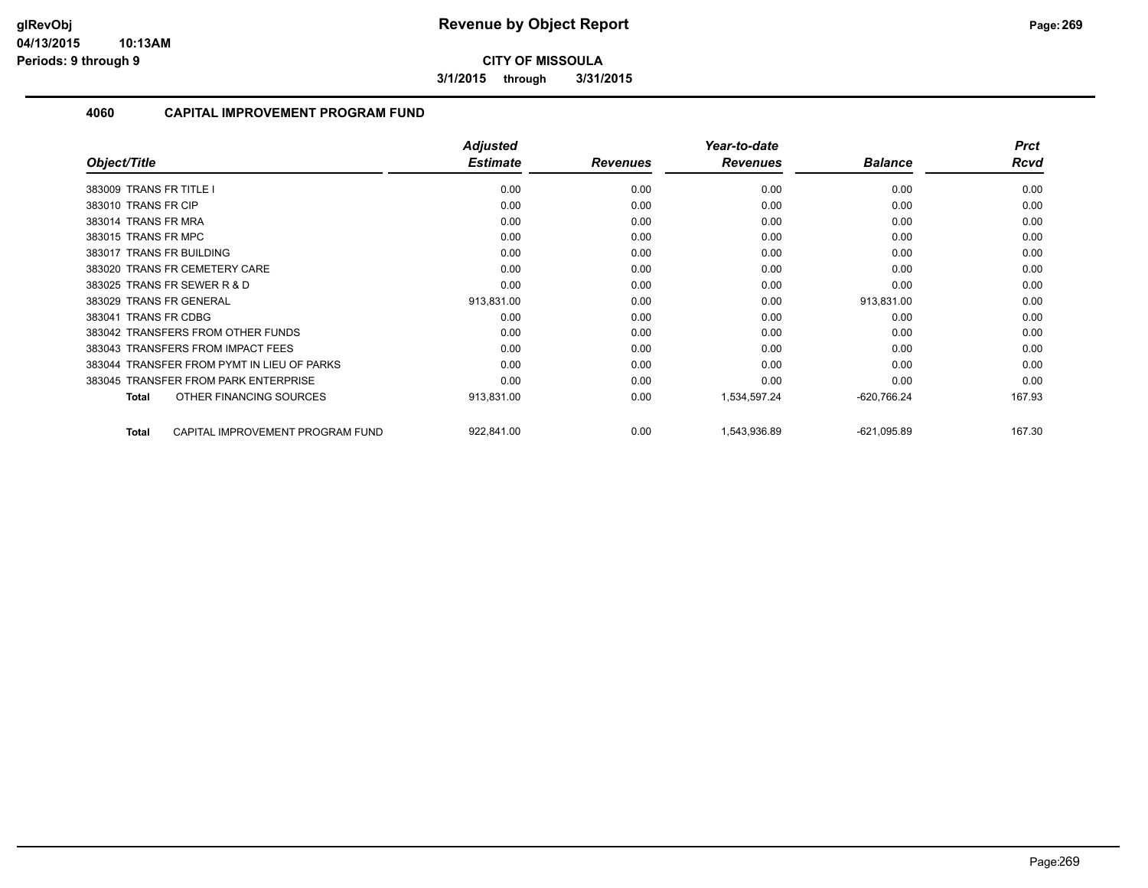**3/1/2015 through 3/31/2015**

| Object/Title                                     | <b>Adjusted</b><br><b>Estimate</b> | <b>Revenues</b> | Year-to-date<br><b>Revenues</b> | <b>Balance</b> | <b>Prct</b><br><b>Rcvd</b> |
|--------------------------------------------------|------------------------------------|-----------------|---------------------------------|----------------|----------------------------|
| 383009 TRANS FR TITLE I                          | 0.00                               | 0.00            | 0.00                            | 0.00           | 0.00                       |
| 383010 TRANS FR CIP                              | 0.00                               | 0.00            | 0.00                            | 0.00           | 0.00                       |
| 383014 TRANS FR MRA                              | 0.00                               | 0.00            | 0.00                            | 0.00           | 0.00                       |
| 383015 TRANS FR MPC                              | 0.00                               | 0.00            | 0.00                            | 0.00           | 0.00                       |
| 383017 TRANS FR BUILDING                         | 0.00                               | 0.00            | 0.00                            | 0.00           | 0.00                       |
| 383020 TRANS FR CEMETERY CARE                    | 0.00                               | 0.00            | 0.00                            | 0.00           | 0.00                       |
| 383025 TRANS FR SEWER R & D                      | 0.00                               | 0.00            | 0.00                            | 0.00           | 0.00                       |
| 383029 TRANS FR GENERAL                          | 913,831.00                         | 0.00            | 0.00                            | 913,831.00     | 0.00                       |
| 383041 TRANS FR CDBG                             | 0.00                               | 0.00            | 0.00                            | 0.00           | 0.00                       |
| 383042 TRANSFERS FROM OTHER FUNDS                | 0.00                               | 0.00            | 0.00                            | 0.00           | 0.00                       |
| 383043 TRANSFERS FROM IMPACT FEES                | 0.00                               | 0.00            | 0.00                            | 0.00           | 0.00                       |
| 383044 TRANSFER FROM PYMT IN LIEU OF PARKS       | 0.00                               | 0.00            | 0.00                            | 0.00           | 0.00                       |
| 383045 TRANSFER FROM PARK ENTERPRISE             | 0.00                               | 0.00            | 0.00                            | 0.00           | 0.00                       |
| OTHER FINANCING SOURCES<br><b>Total</b>          | 913,831.00                         | 0.00            | 1,534,597.24                    | $-620,766.24$  | 167.93                     |
| CAPITAL IMPROVEMENT PROGRAM FUND<br><b>Total</b> | 922,841.00                         | 0.00            | 1,543,936.89                    | $-621,095.89$  | 167.30                     |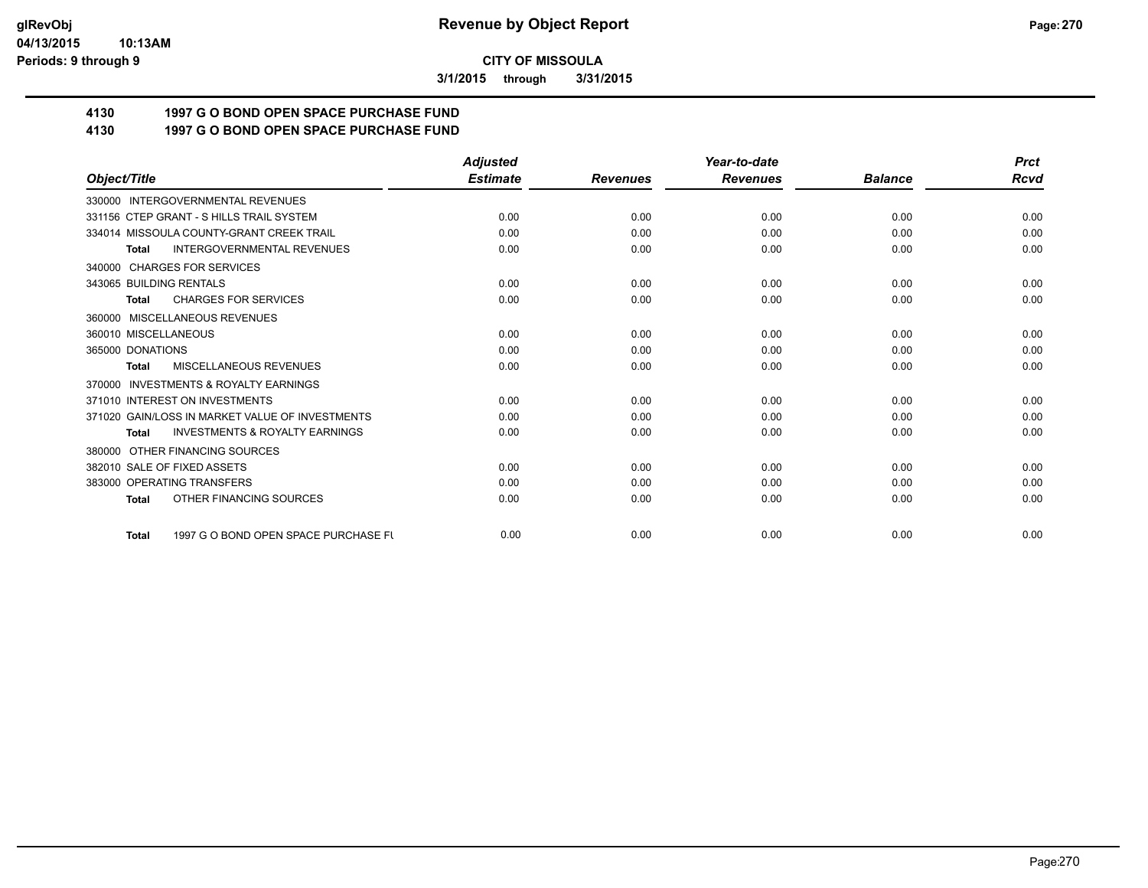**3/1/2015 through 3/31/2015**

# **4130 1997 G O BOND OPEN SPACE PURCHASE FUND**

## **4130 1997 G O BOND OPEN SPACE PURCHASE FUND**

|                                                           | <b>Adjusted</b> |                 | Year-to-date    |                | <b>Prct</b> |
|-----------------------------------------------------------|-----------------|-----------------|-----------------|----------------|-------------|
| Object/Title                                              | <b>Estimate</b> | <b>Revenues</b> | <b>Revenues</b> | <b>Balance</b> | <b>Rcvd</b> |
| 330000 INTERGOVERNMENTAL REVENUES                         |                 |                 |                 |                |             |
| 331156 CTEP GRANT - S HILLS TRAIL SYSTEM                  | 0.00            | 0.00            | 0.00            | 0.00           | 0.00        |
| 334014 MISSOULA COUNTY-GRANT CREEK TRAIL                  | 0.00            | 0.00            | 0.00            | 0.00           | 0.00        |
| <b>INTERGOVERNMENTAL REVENUES</b><br><b>Total</b>         | 0.00            | 0.00            | 0.00            | 0.00           | 0.00        |
| 340000 CHARGES FOR SERVICES                               |                 |                 |                 |                |             |
| 343065 BUILDING RENTALS                                   | 0.00            | 0.00            | 0.00            | 0.00           | 0.00        |
| <b>CHARGES FOR SERVICES</b><br><b>Total</b>               | 0.00            | 0.00            | 0.00            | 0.00           | 0.00        |
| 360000 MISCELLANEOUS REVENUES                             |                 |                 |                 |                |             |
| 360010 MISCELLANEOUS                                      | 0.00            | 0.00            | 0.00            | 0.00           | 0.00        |
| 365000 DONATIONS                                          | 0.00            | 0.00            | 0.00            | 0.00           | 0.00        |
| <b>MISCELLANEOUS REVENUES</b><br><b>Total</b>             | 0.00            | 0.00            | 0.00            | 0.00           | 0.00        |
| 370000 INVESTMENTS & ROYALTY EARNINGS                     |                 |                 |                 |                |             |
| 371010 INTEREST ON INVESTMENTS                            | 0.00            | 0.00            | 0.00            | 0.00           | 0.00        |
| 371020 GAIN/LOSS IN MARKET VALUE OF INVESTMENTS           | 0.00            | 0.00            | 0.00            | 0.00           | 0.00        |
| <b>INVESTMENTS &amp; ROYALTY EARNINGS</b><br><b>Total</b> | 0.00            | 0.00            | 0.00            | 0.00           | 0.00        |
| 380000 OTHER FINANCING SOURCES                            |                 |                 |                 |                |             |
| 382010 SALE OF FIXED ASSETS                               | 0.00            | 0.00            | 0.00            | 0.00           | 0.00        |
| 383000 OPERATING TRANSFERS                                | 0.00            | 0.00            | 0.00            | 0.00           | 0.00        |
| OTHER FINANCING SOURCES<br><b>Total</b>                   | 0.00            | 0.00            | 0.00            | 0.00           | 0.00        |
| 1997 G O BOND OPEN SPACE PURCHASE FU<br><b>Total</b>      | 0.00            | 0.00            | 0.00            | 0.00           | 0.00        |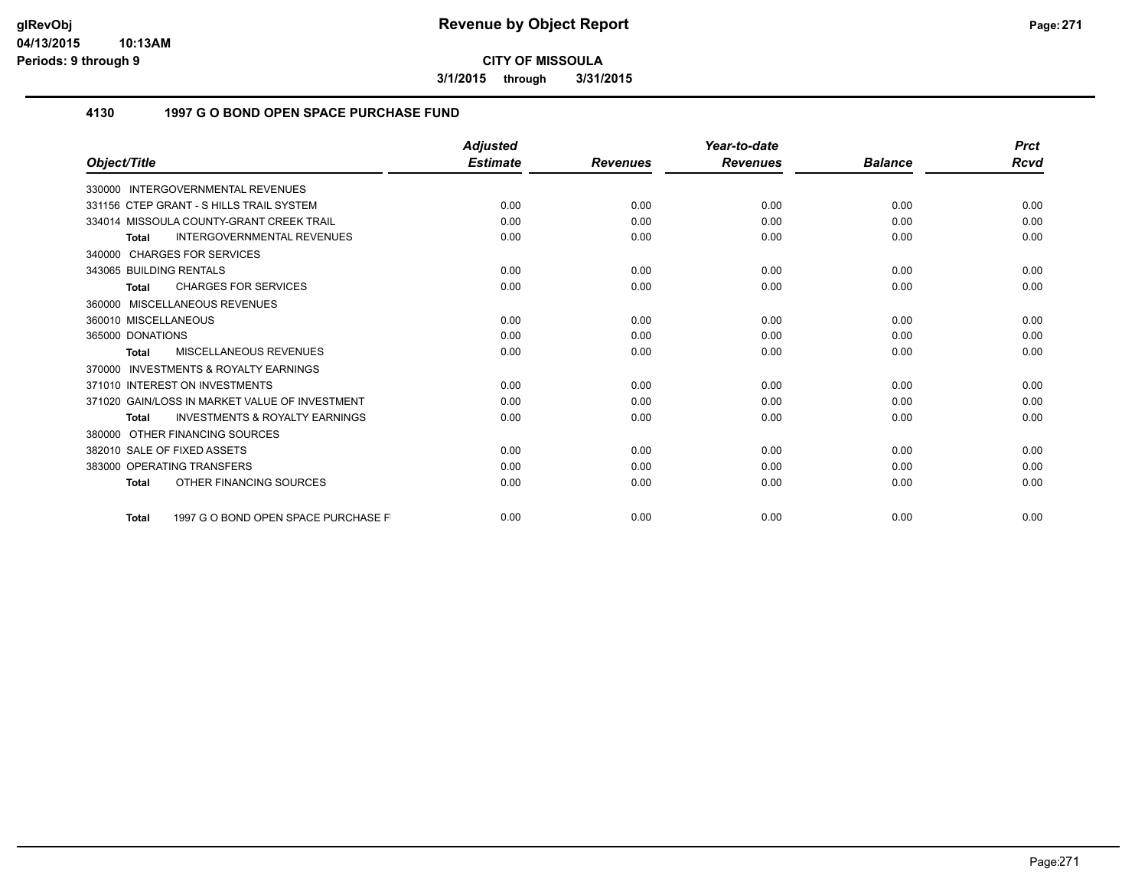**3/1/2015 through 3/31/2015**

### **4130 1997 G O BOND OPEN SPACE PURCHASE FUND**

|                                                           | <b>Adjusted</b> |                 | Year-to-date    |                | <b>Prct</b> |
|-----------------------------------------------------------|-----------------|-----------------|-----------------|----------------|-------------|
| Object/Title                                              | <b>Estimate</b> | <b>Revenues</b> | <b>Revenues</b> | <b>Balance</b> | Rcvd        |
| <b>INTERGOVERNMENTAL REVENUES</b><br>330000               |                 |                 |                 |                |             |
| 331156 CTEP GRANT - S HILLS TRAIL SYSTEM                  | 0.00            | 0.00            | 0.00            | 0.00           | 0.00        |
| 334014 MISSOULA COUNTY-GRANT CREEK TRAIL                  | 0.00            | 0.00            | 0.00            | 0.00           | 0.00        |
| <b>INTERGOVERNMENTAL REVENUES</b><br><b>Total</b>         | 0.00            | 0.00            | 0.00            | 0.00           | 0.00        |
| 340000 CHARGES FOR SERVICES                               |                 |                 |                 |                |             |
| 343065 BUILDING RENTALS                                   | 0.00            | 0.00            | 0.00            | 0.00           | 0.00        |
| <b>CHARGES FOR SERVICES</b><br><b>Total</b>               | 0.00            | 0.00            | 0.00            | 0.00           | 0.00        |
| 360000 MISCELLANEOUS REVENUES                             |                 |                 |                 |                |             |
| 360010 MISCELLANEOUS                                      | 0.00            | 0.00            | 0.00            | 0.00           | 0.00        |
| 365000 DONATIONS                                          | 0.00            | 0.00            | 0.00            | 0.00           | 0.00        |
| MISCELLANEOUS REVENUES<br><b>Total</b>                    | 0.00            | 0.00            | 0.00            | 0.00           | 0.00        |
| <b>INVESTMENTS &amp; ROYALTY EARNINGS</b><br>370000       |                 |                 |                 |                |             |
| 371010 INTEREST ON INVESTMENTS                            | 0.00            | 0.00            | 0.00            | 0.00           | 0.00        |
| 371020 GAIN/LOSS IN MARKET VALUE OF INVESTMENT            | 0.00            | 0.00            | 0.00            | 0.00           | 0.00        |
| <b>INVESTMENTS &amp; ROYALTY EARNINGS</b><br><b>Total</b> | 0.00            | 0.00            | 0.00            | 0.00           | 0.00        |
| OTHER FINANCING SOURCES<br>380000                         |                 |                 |                 |                |             |
| 382010 SALE OF FIXED ASSETS                               | 0.00            | 0.00            | 0.00            | 0.00           | 0.00        |
| 383000 OPERATING TRANSFERS                                | 0.00            | 0.00            | 0.00            | 0.00           | 0.00        |
| OTHER FINANCING SOURCES<br><b>Total</b>                   | 0.00            | 0.00            | 0.00            | 0.00           | 0.00        |
| 1997 G O BOND OPEN SPACE PURCHASE F<br><b>Total</b>       | 0.00            | 0.00            | 0.00            | 0.00           | 0.00        |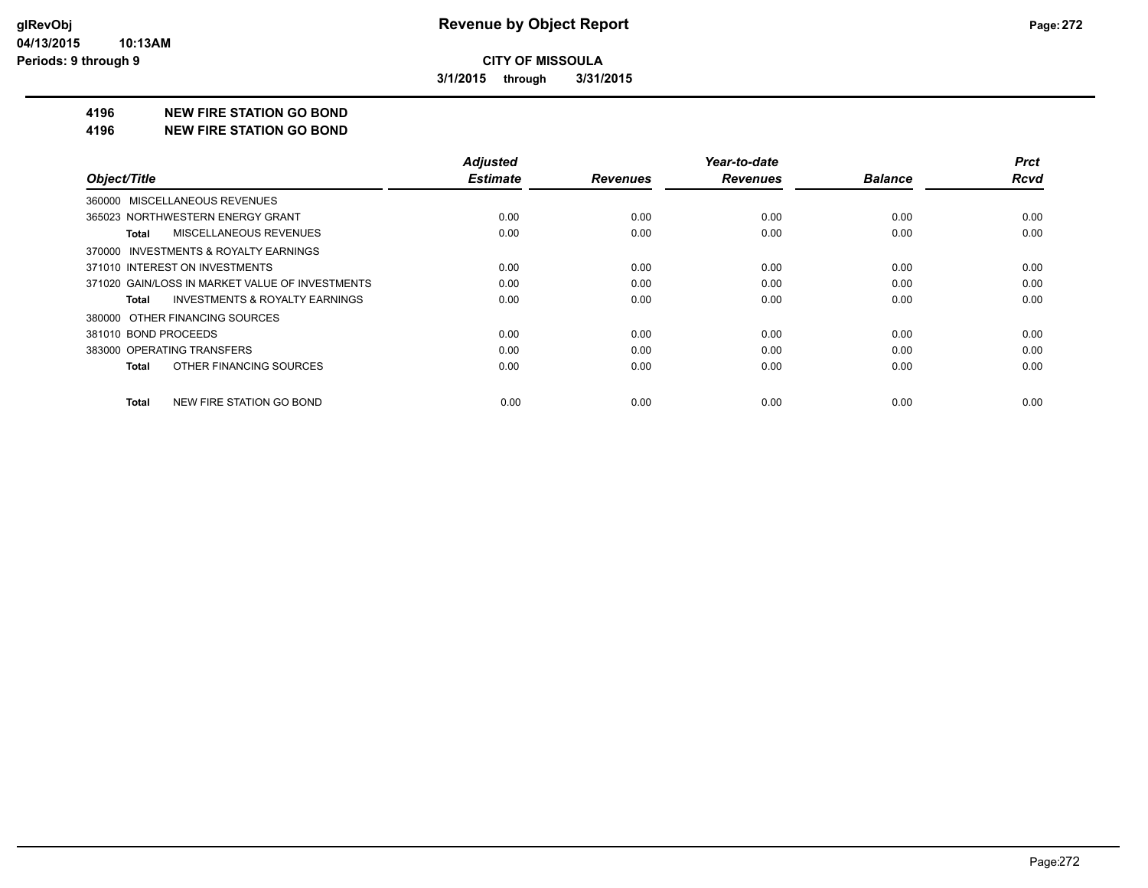**3/1/2015 through 3/31/2015**

#### **4196 NEW FIRE STATION GO BOND**

#### **4196 NEW FIRE STATION GO BOND**

|                                                    | <b>Adjusted</b> |                 | Year-to-date    |                | <b>Prct</b> |
|----------------------------------------------------|-----------------|-----------------|-----------------|----------------|-------------|
| Object/Title                                       | <b>Estimate</b> | <b>Revenues</b> | <b>Revenues</b> | <b>Balance</b> | <b>Rcvd</b> |
| 360000 MISCELLANEOUS REVENUES                      |                 |                 |                 |                |             |
| 365023 NORTHWESTERN ENERGY GRANT                   | 0.00            | 0.00            | 0.00            | 0.00           | 0.00        |
| <b>MISCELLANEOUS REVENUES</b><br>Total             | 0.00            | 0.00            | 0.00            | 0.00           | 0.00        |
| 370000 INVESTMENTS & ROYALTY EARNINGS              |                 |                 |                 |                |             |
| 371010 INTEREST ON INVESTMENTS                     | 0.00            | 0.00            | 0.00            | 0.00           | 0.00        |
| 371020 GAIN/LOSS IN MARKET VALUE OF INVESTMENTS    | 0.00            | 0.00            | 0.00            | 0.00           | 0.00        |
| <b>INVESTMENTS &amp; ROYALTY EARNINGS</b><br>Total | 0.00            | 0.00            | 0.00            | 0.00           | 0.00        |
| 380000 OTHER FINANCING SOURCES                     |                 |                 |                 |                |             |
| 381010 BOND PROCEEDS                               | 0.00            | 0.00            | 0.00            | 0.00           | 0.00        |
| 383000 OPERATING TRANSFERS                         | 0.00            | 0.00            | 0.00            | 0.00           | 0.00        |
| OTHER FINANCING SOURCES<br>Total                   | 0.00            | 0.00            | 0.00            | 0.00           | 0.00        |
| NEW FIRE STATION GO BOND<br>Total                  | 0.00            | 0.00            | 0.00            | 0.00           | 0.00        |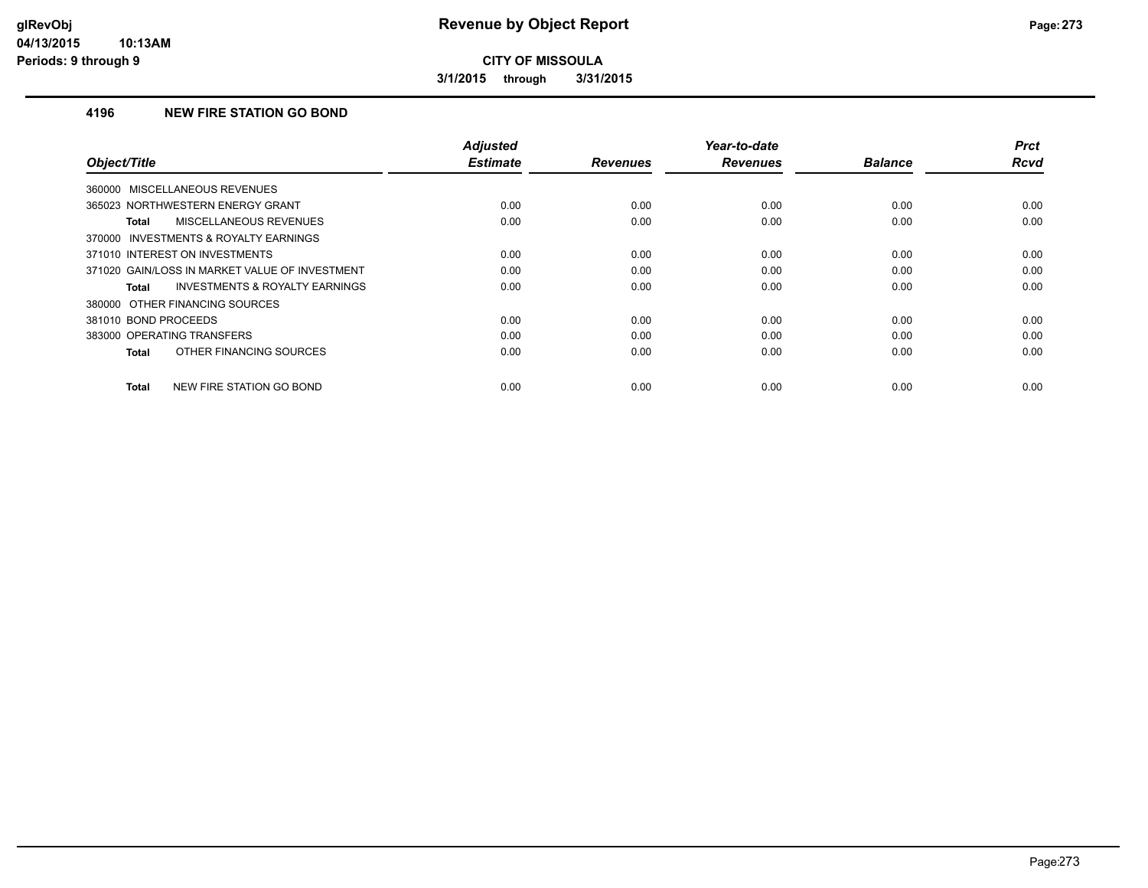**3/1/2015 through 3/31/2015**

## **4196 NEW FIRE STATION GO BOND**

| Object/Title                                       | <b>Adjusted</b><br><b>Estimate</b> | <b>Revenues</b> | Year-to-date<br><b>Revenues</b> | <b>Balance</b> | <b>Prct</b><br>Rcvd |
|----------------------------------------------------|------------------------------------|-----------------|---------------------------------|----------------|---------------------|
| 360000 MISCELLANEOUS REVENUES                      |                                    |                 |                                 |                |                     |
| 365023 NORTHWESTERN ENERGY GRANT                   | 0.00                               | 0.00            | 0.00                            | 0.00           | 0.00                |
| MISCELLANEOUS REVENUES<br><b>Total</b>             | 0.00                               | 0.00            | 0.00                            | 0.00           | 0.00                |
| 370000 INVESTMENTS & ROYALTY EARNINGS              |                                    |                 |                                 |                |                     |
| 371010 INTEREST ON INVESTMENTS                     | 0.00                               | 0.00            | 0.00                            | 0.00           | 0.00                |
| 371020 GAIN/LOSS IN MARKET VALUE OF INVESTMENT     | 0.00                               | 0.00            | 0.00                            | 0.00           | 0.00                |
| <b>INVESTMENTS &amp; ROYALTY EARNINGS</b><br>Total | 0.00                               | 0.00            | 0.00                            | 0.00           | 0.00                |
| 380000 OTHER FINANCING SOURCES                     |                                    |                 |                                 |                |                     |
| 381010 BOND PROCEEDS                               | 0.00                               | 0.00            | 0.00                            | 0.00           | 0.00                |
| 383000 OPERATING TRANSFERS                         | 0.00                               | 0.00            | 0.00                            | 0.00           | 0.00                |
| OTHER FINANCING SOURCES<br><b>Total</b>            | 0.00                               | 0.00            | 0.00                            | 0.00           | 0.00                |
| NEW FIRE STATION GO BOND<br><b>Total</b>           | 0.00                               | 0.00            | 0.00                            | 0.00           | 0.00                |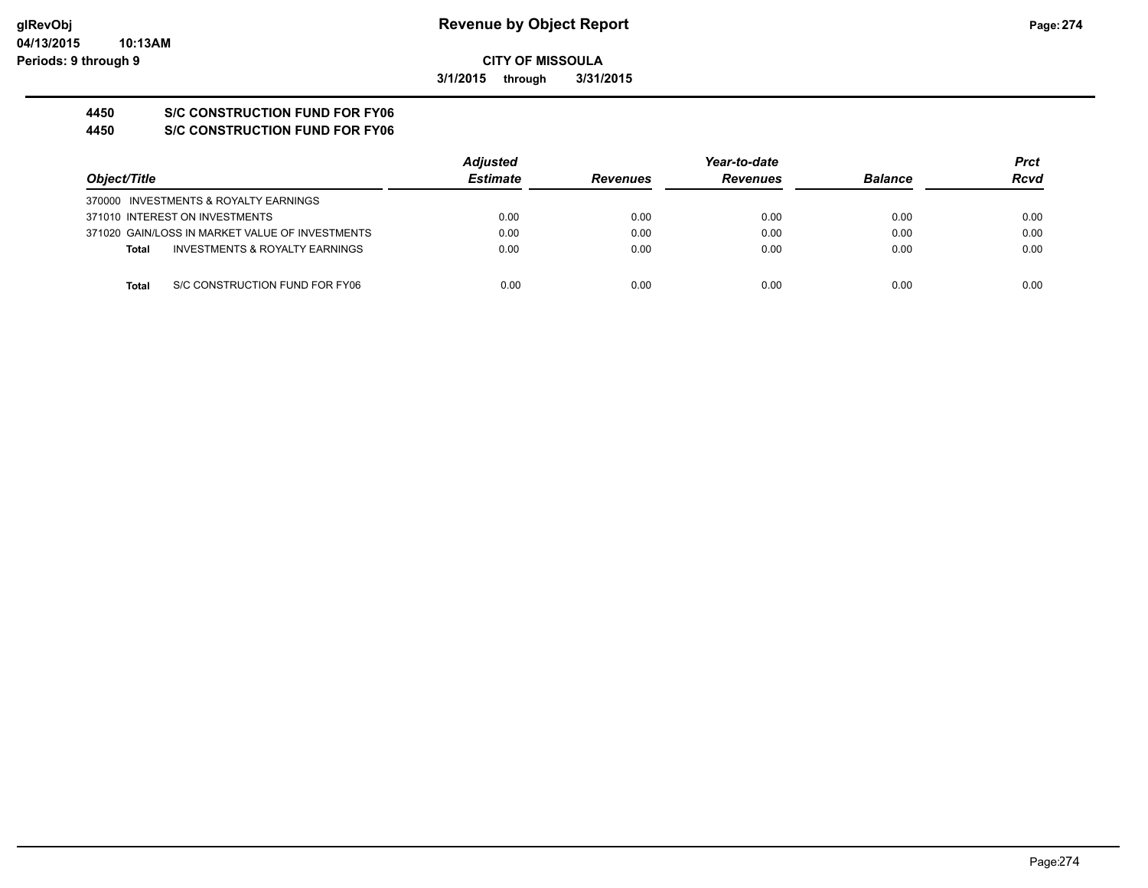**3/1/2015 through 3/31/2015**

# **4450 S/C CONSTRUCTION FUND FOR FY06**

**4450 S/C CONSTRUCTION FUND FOR FY06**

|                                                 | <b>Adjusted</b> |                 | Year-to-date    |                | <b>Prct</b> |
|-------------------------------------------------|-----------------|-----------------|-----------------|----------------|-------------|
| Object/Title                                    | <b>Estimate</b> | <b>Revenues</b> | <b>Revenues</b> | <b>Balance</b> | Rcvd        |
| 370000 INVESTMENTS & ROYALTY EARNINGS           |                 |                 |                 |                |             |
| 371010 INTEREST ON INVESTMENTS                  | 0.00            | 0.00            | 0.00            | 0.00           | 0.00        |
| 371020 GAIN/LOSS IN MARKET VALUE OF INVESTMENTS | 0.00            | 0.00            | 0.00            | 0.00           | 0.00        |
| INVESTMENTS & ROYALTY EARNINGS<br><b>Total</b>  | 0.00            | 0.00            | 0.00            | 0.00           | 0.00        |
| S/C CONSTRUCTION FUND FOR FY06<br><b>Total</b>  | 0.00            | 0.00            | 0.00            | 0.00           | 0.00        |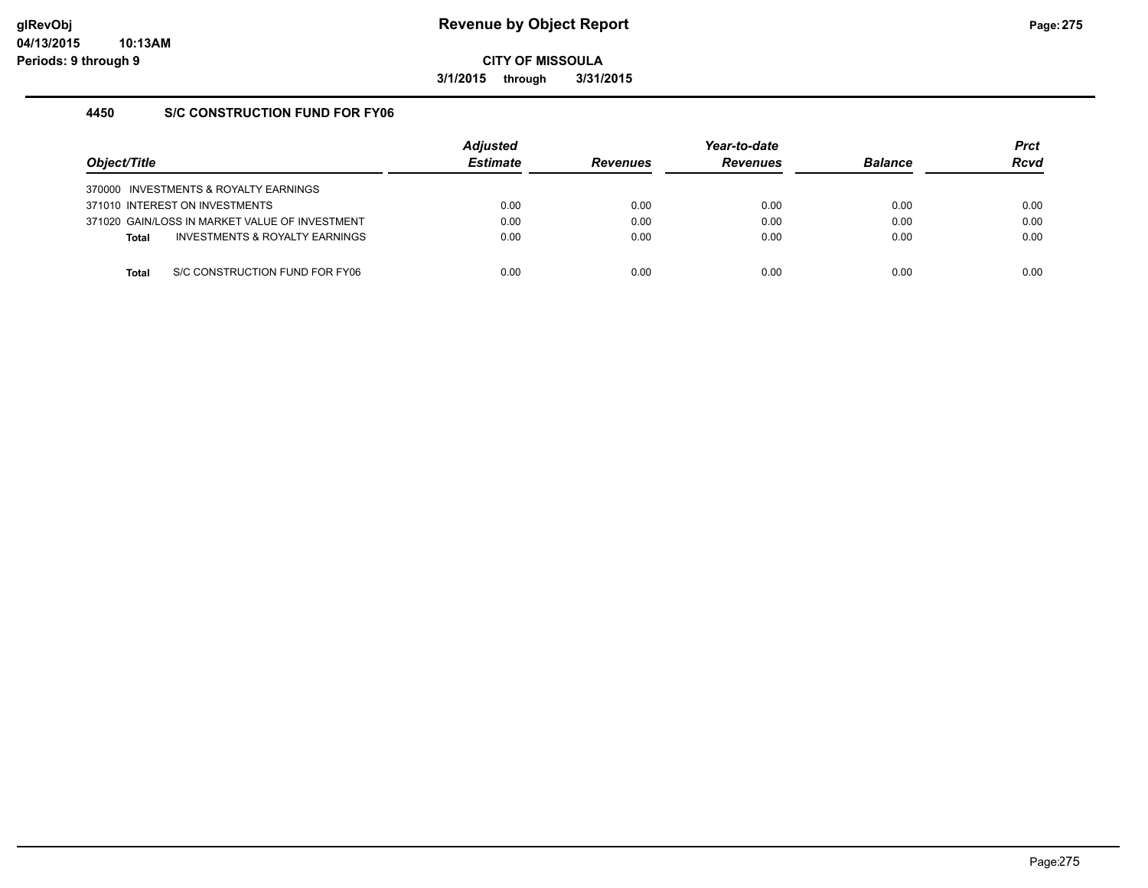**3/1/2015 through 3/31/2015**

## **4450 S/C CONSTRUCTION FUND FOR FY06**

| Obiect/Title |                                                | <b>Adjusted</b><br><b>Estimate</b> | <b>Revenues</b> | Year-to-date<br><b>Revenues</b> | <b>Balance</b> | <b>Prct</b><br><b>Rcvd</b> |
|--------------|------------------------------------------------|------------------------------------|-----------------|---------------------------------|----------------|----------------------------|
|              | 370000 INVESTMENTS & ROYALTY EARNINGS          |                                    |                 |                                 |                |                            |
|              | 371010 INTEREST ON INVESTMENTS                 | 0.00                               | 0.00            | 0.00                            | 0.00           | 0.00                       |
|              | 371020 GAIN/LOSS IN MARKET VALUE OF INVESTMENT | 0.00                               | 0.00            | 0.00                            | 0.00           | 0.00                       |
| <b>Total</b> | INVESTMENTS & ROYALTY EARNINGS                 | 0.00                               | 0.00            | 0.00                            | 0.00           | 0.00                       |
|              |                                                |                                    |                 |                                 |                |                            |
| Total        | S/C CONSTRUCTION FUND FOR FY06                 | 0.00                               | 0.00            | 0.00                            | 0.00           | 0.00                       |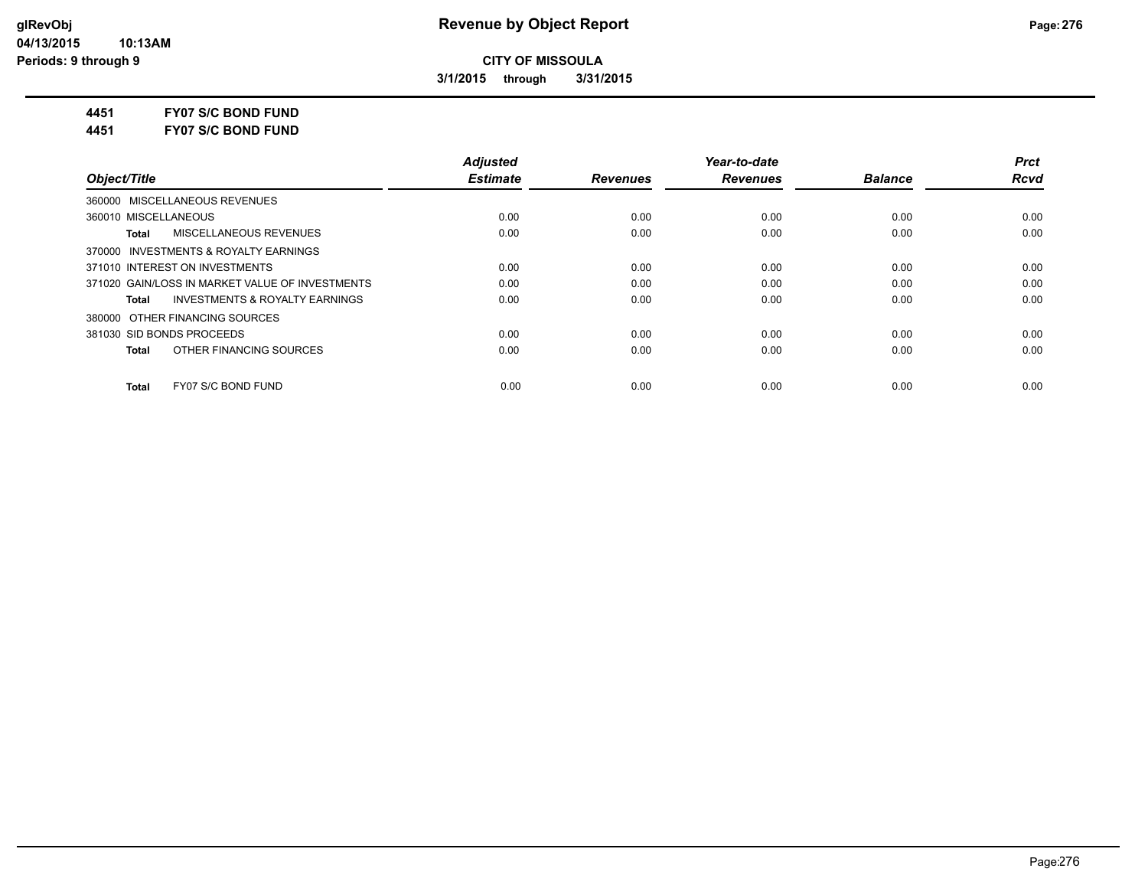**3/1/2015 through 3/31/2015**

**4451 FY07 S/C BOND FUND**

**4451 FY07 S/C BOND FUND**

|                                                    | <b>Adiusted</b> |                 | Year-to-date    |                | <b>Prct</b> |
|----------------------------------------------------|-----------------|-----------------|-----------------|----------------|-------------|
| Object/Title                                       | <b>Estimate</b> | <b>Revenues</b> | <b>Revenues</b> | <b>Balance</b> | <b>Rcvd</b> |
| 360000 MISCELLANEOUS REVENUES                      |                 |                 |                 |                |             |
| 360010 MISCELLANEOUS                               | 0.00            | 0.00            | 0.00            | 0.00           | 0.00        |
| MISCELLANEOUS REVENUES<br><b>Total</b>             | 0.00            | 0.00            | 0.00            | 0.00           | 0.00        |
| 370000 INVESTMENTS & ROYALTY EARNINGS              |                 |                 |                 |                |             |
| 371010 INTEREST ON INVESTMENTS                     | 0.00            | 0.00            | 0.00            | 0.00           | 0.00        |
| 371020 GAIN/LOSS IN MARKET VALUE OF INVESTMENTS    | 0.00            | 0.00            | 0.00            | 0.00           | 0.00        |
| <b>INVESTMENTS &amp; ROYALTY EARNINGS</b><br>Total | 0.00            | 0.00            | 0.00            | 0.00           | 0.00        |
| 380000 OTHER FINANCING SOURCES                     |                 |                 |                 |                |             |
| 381030 SID BONDS PROCEEDS                          | 0.00            | 0.00            | 0.00            | 0.00           | 0.00        |
| OTHER FINANCING SOURCES<br><b>Total</b>            | 0.00            | 0.00            | 0.00            | 0.00           | 0.00        |
| FY07 S/C BOND FUND<br><b>Total</b>                 | 0.00            | 0.00            | 0.00            | 0.00           | 0.00        |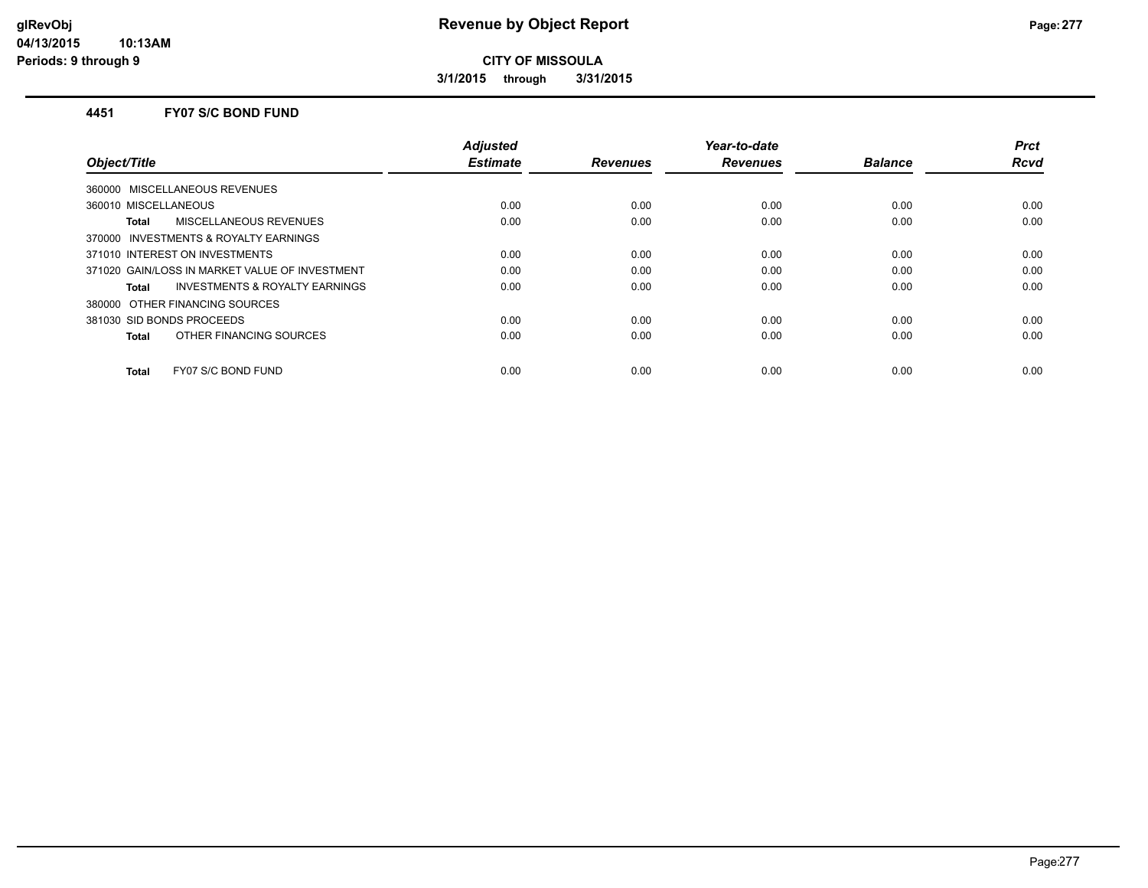**3/1/2015 through 3/31/2015**

#### **4451 FY07 S/C BOND FUND**

| Object/Title                                   | <b>Adjusted</b><br><b>Estimate</b> | <b>Revenues</b> | Year-to-date<br><b>Revenues</b> | <b>Balance</b> | <b>Prct</b><br>Rcvd |
|------------------------------------------------|------------------------------------|-----------------|---------------------------------|----------------|---------------------|
| 360000 MISCELLANEOUS REVENUES                  |                                    |                 |                                 |                |                     |
| 360010 MISCELLANEOUS                           | 0.00                               | 0.00            | 0.00                            | 0.00           | 0.00                |
| MISCELLANEOUS REVENUES<br><b>Total</b>         | 0.00                               | 0.00            | 0.00                            | 0.00           | 0.00                |
| 370000 INVESTMENTS & ROYALTY EARNINGS          |                                    |                 |                                 |                |                     |
| 371010 INTEREST ON INVESTMENTS                 | 0.00                               | 0.00            | 0.00                            | 0.00           | 0.00                |
| 371020 GAIN/LOSS IN MARKET VALUE OF INVESTMENT | 0.00                               | 0.00            | 0.00                            | 0.00           | 0.00                |
| INVESTMENTS & ROYALTY EARNINGS<br>Total        | 0.00                               | 0.00            | 0.00                            | 0.00           | 0.00                |
| 380000 OTHER FINANCING SOURCES                 |                                    |                 |                                 |                |                     |
| 381030 SID BONDS PROCEEDS                      | 0.00                               | 0.00            | 0.00                            | 0.00           | 0.00                |
| OTHER FINANCING SOURCES<br><b>Total</b>        | 0.00                               | 0.00            | 0.00                            | 0.00           | 0.00                |
| FY07 S/C BOND FUND<br><b>Total</b>             | 0.00                               | 0.00            | 0.00                            | 0.00           | 0.00                |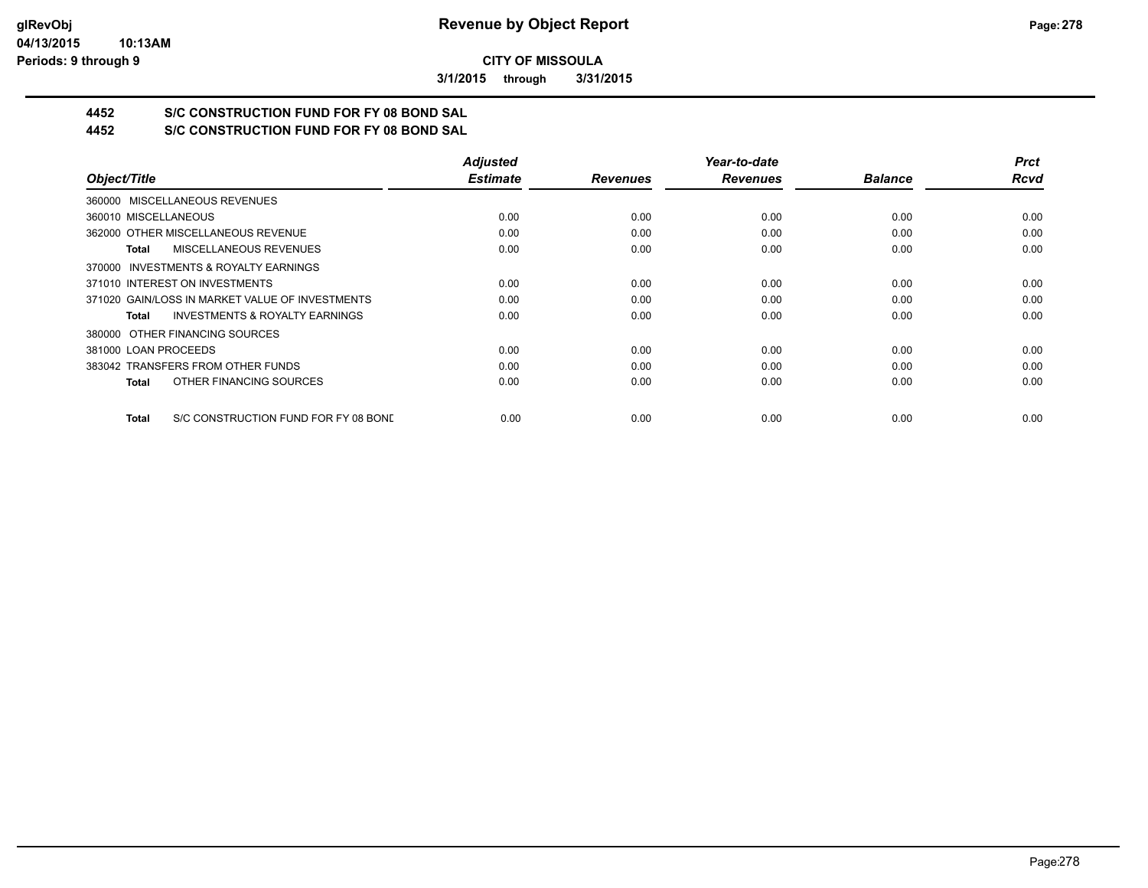**3/1/2015 through 3/31/2015**

# **4452 S/C CONSTRUCTION FUND FOR FY 08 BOND SAL**

**4452 S/C CONSTRUCTION FUND FOR FY 08 BOND SAL**

|                                                      | <b>Adjusted</b> |                 | Year-to-date    |                | <b>Prct</b> |
|------------------------------------------------------|-----------------|-----------------|-----------------|----------------|-------------|
| Object/Title                                         | <b>Estimate</b> | <b>Revenues</b> | <b>Revenues</b> | <b>Balance</b> | <b>Rcvd</b> |
| 360000 MISCELLANEOUS REVENUES                        |                 |                 |                 |                |             |
| 360010 MISCELLANEOUS                                 | 0.00            | 0.00            | 0.00            | 0.00           | 0.00        |
| 362000 OTHER MISCELLANEOUS REVENUE                   | 0.00            | 0.00            | 0.00            | 0.00           | 0.00        |
| <b>MISCELLANEOUS REVENUES</b><br>Total               | 0.00            | 0.00            | 0.00            | 0.00           | 0.00        |
| 370000 INVESTMENTS & ROYALTY EARNINGS                |                 |                 |                 |                |             |
| 371010 INTEREST ON INVESTMENTS                       | 0.00            | 0.00            | 0.00            | 0.00           | 0.00        |
| 371020 GAIN/LOSS IN MARKET VALUE OF INVESTMENTS      | 0.00            | 0.00            | 0.00            | 0.00           | 0.00        |
| <b>INVESTMENTS &amp; ROYALTY EARNINGS</b><br>Total   | 0.00            | 0.00            | 0.00            | 0.00           | 0.00        |
| 380000 OTHER FINANCING SOURCES                       |                 |                 |                 |                |             |
| 381000 LOAN PROCEEDS                                 | 0.00            | 0.00            | 0.00            | 0.00           | 0.00        |
| 383042 TRANSFERS FROM OTHER FUNDS                    | 0.00            | 0.00            | 0.00            | 0.00           | 0.00        |
| OTHER FINANCING SOURCES<br><b>Total</b>              | 0.00            | 0.00            | 0.00            | 0.00           | 0.00        |
| S/C CONSTRUCTION FUND FOR FY 08 BOND<br><b>Total</b> | 0.00            | 0.00            | 0.00            | 0.00           | 0.00        |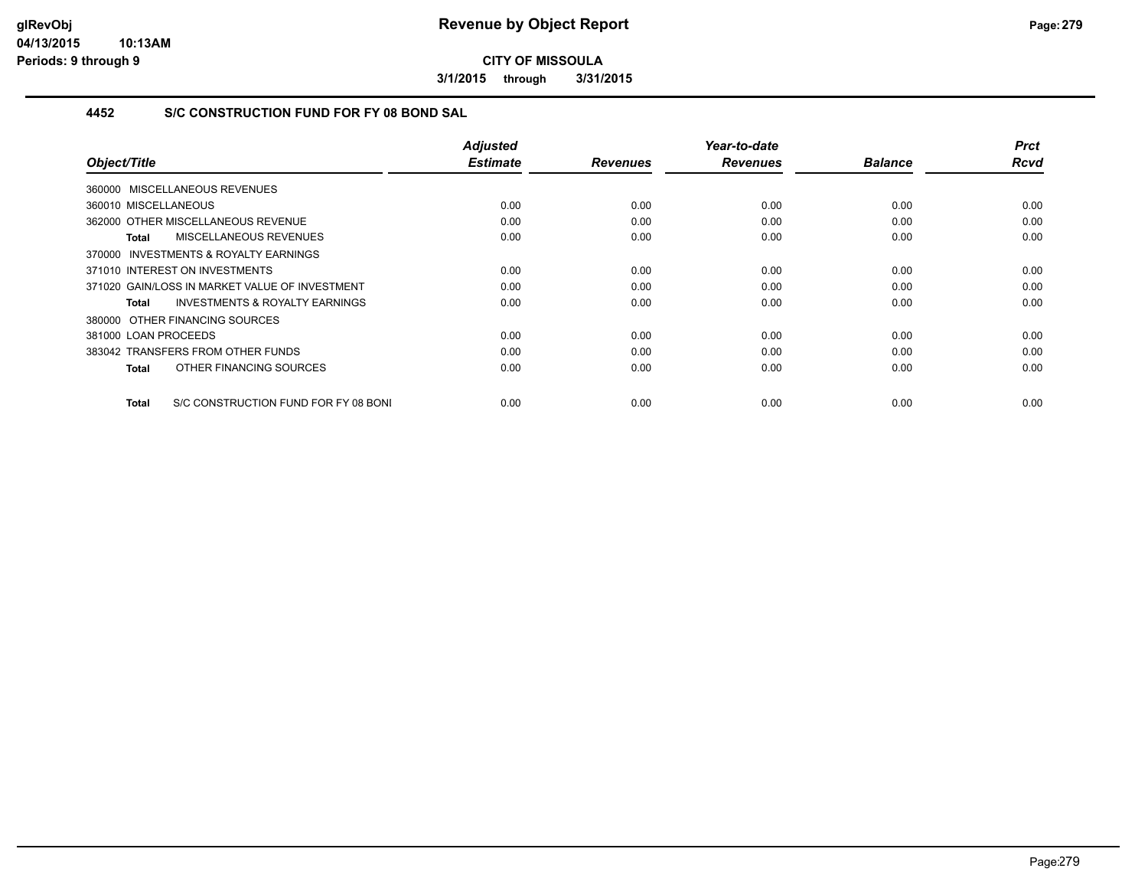**3/1/2015 through 3/31/2015**

## **4452 S/C CONSTRUCTION FUND FOR FY 08 BOND SAL**

|                                                      | <b>Adjusted</b><br><b>Estimate</b> | <b>Revenues</b> | Year-to-date<br><b>Revenues</b> | <b>Balance</b> | <b>Prct</b><br><b>Rcvd</b> |
|------------------------------------------------------|------------------------------------|-----------------|---------------------------------|----------------|----------------------------|
| Object/Title                                         |                                    |                 |                                 |                |                            |
| 360000 MISCELLANEOUS REVENUES                        |                                    |                 |                                 |                |                            |
| 360010 MISCELLANEOUS                                 | 0.00                               | 0.00            | 0.00                            | 0.00           | 0.00                       |
| 362000 OTHER MISCELLANEOUS REVENUE                   | 0.00                               | 0.00            | 0.00                            | 0.00           | 0.00                       |
| MISCELLANEOUS REVENUES<br>Total                      | 0.00                               | 0.00            | 0.00                            | 0.00           | 0.00                       |
| <b>INVESTMENTS &amp; ROYALTY EARNINGS</b><br>370000  |                                    |                 |                                 |                |                            |
| 371010 INTEREST ON INVESTMENTS                       | 0.00                               | 0.00            | 0.00                            | 0.00           | 0.00                       |
| 371020 GAIN/LOSS IN MARKET VALUE OF INVESTMENT       | 0.00                               | 0.00            | 0.00                            | 0.00           | 0.00                       |
| <b>INVESTMENTS &amp; ROYALTY EARNINGS</b><br>Total   | 0.00                               | 0.00            | 0.00                            | 0.00           | 0.00                       |
| 380000 OTHER FINANCING SOURCES                       |                                    |                 |                                 |                |                            |
| 381000 LOAN PROCEEDS                                 | 0.00                               | 0.00            | 0.00                            | 0.00           | 0.00                       |
| 383042 TRANSFERS FROM OTHER FUNDS                    | 0.00                               | 0.00            | 0.00                            | 0.00           | 0.00                       |
| OTHER FINANCING SOURCES<br>Total                     | 0.00                               | 0.00            | 0.00                            | 0.00           | 0.00                       |
|                                                      |                                    |                 |                                 |                |                            |
| S/C CONSTRUCTION FUND FOR FY 08 BONI<br><b>Total</b> | 0.00                               | 0.00            | 0.00                            | 0.00           | 0.00                       |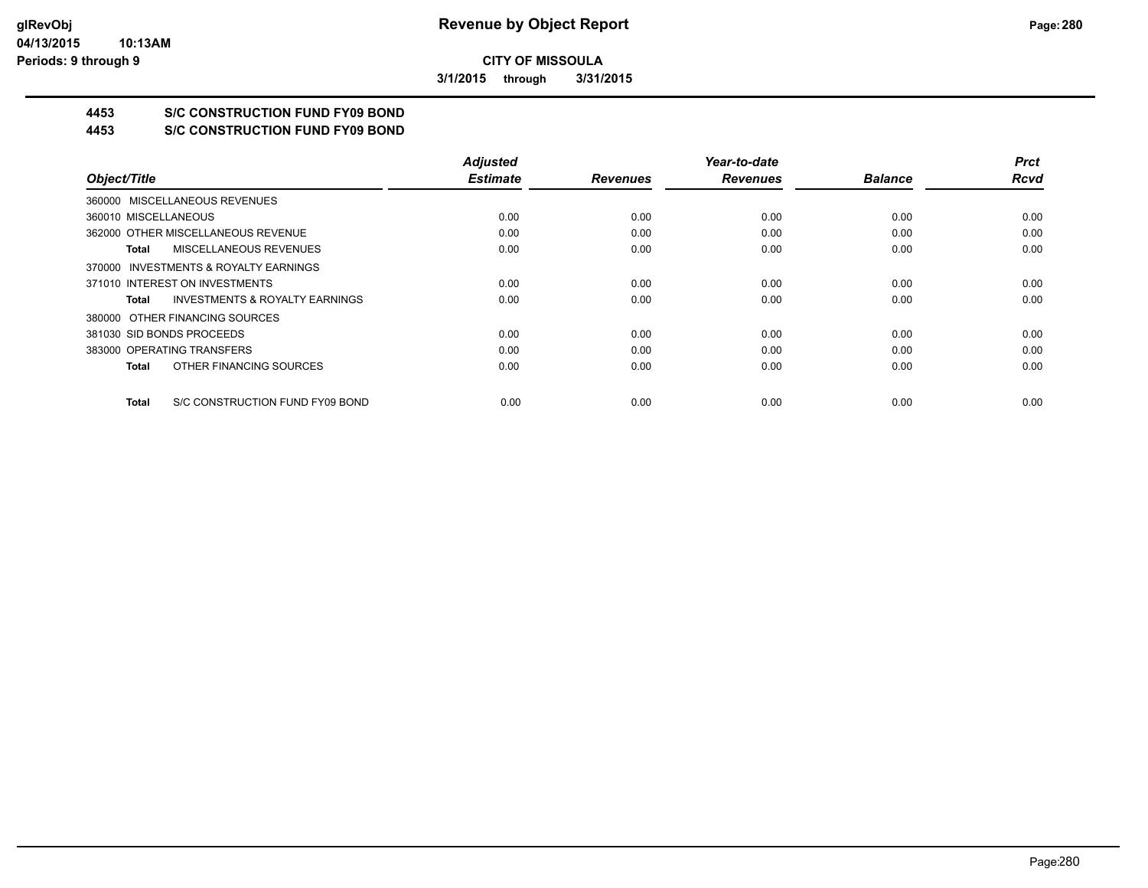**3/1/2015 through 3/31/2015**

## **4453 S/C CONSTRUCTION FUND FY09 BOND**

**4453 S/C CONSTRUCTION FUND FY09 BOND**

|                                                    | <b>Adjusted</b> |                 | Year-to-date    |                | <b>Prct</b> |
|----------------------------------------------------|-----------------|-----------------|-----------------|----------------|-------------|
| Object/Title                                       | <b>Estimate</b> | <b>Revenues</b> | <b>Revenues</b> | <b>Balance</b> | <b>Rcvd</b> |
| 360000 MISCELLANEOUS REVENUES                      |                 |                 |                 |                |             |
| 360010 MISCELLANEOUS                               | 0.00            | 0.00            | 0.00            | 0.00           | 0.00        |
| 362000 OTHER MISCELLANEOUS REVENUE                 | 0.00            | 0.00            | 0.00            | 0.00           | 0.00        |
| MISCELLANEOUS REVENUES<br>Total                    | 0.00            | 0.00            | 0.00            | 0.00           | 0.00        |
| 370000 INVESTMENTS & ROYALTY EARNINGS              |                 |                 |                 |                |             |
| 371010 INTEREST ON INVESTMENTS                     | 0.00            | 0.00            | 0.00            | 0.00           | 0.00        |
| <b>INVESTMENTS &amp; ROYALTY EARNINGS</b><br>Total | 0.00            | 0.00            | 0.00            | 0.00           | 0.00        |
| 380000 OTHER FINANCING SOURCES                     |                 |                 |                 |                |             |
| 381030 SID BONDS PROCEEDS                          | 0.00            | 0.00            | 0.00            | 0.00           | 0.00        |
| 383000 OPERATING TRANSFERS                         | 0.00            | 0.00            | 0.00            | 0.00           | 0.00        |
| OTHER FINANCING SOURCES<br>Total                   | 0.00            | 0.00            | 0.00            | 0.00           | 0.00        |
| S/C CONSTRUCTION FUND FY09 BOND<br>Total           | 0.00            | 0.00            | 0.00            | 0.00           | 0.00        |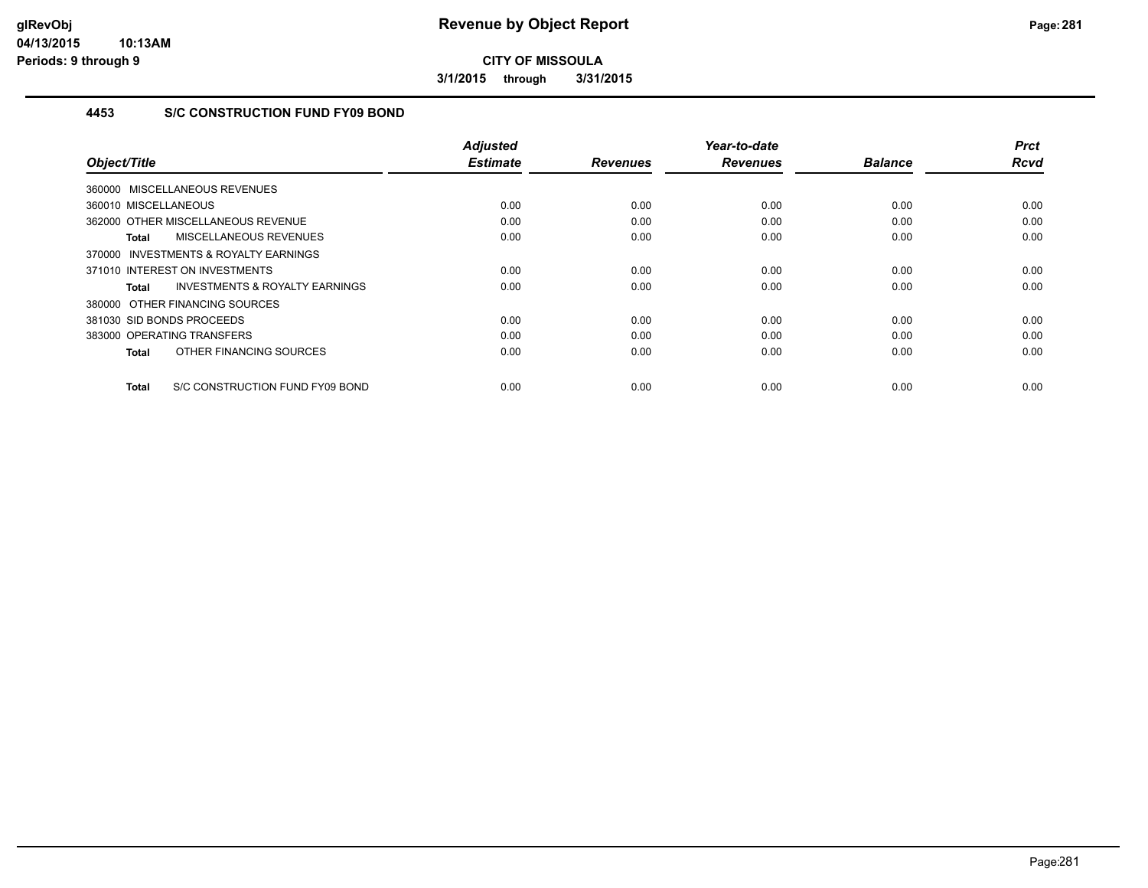**3/1/2015 through 3/31/2015**

## **4453 S/C CONSTRUCTION FUND FY09 BOND**

|                                                     | <b>Adjusted</b><br><b>Estimate</b> | <b>Revenues</b> | Year-to-date<br><b>Revenues</b> | <b>Balance</b> | <b>Prct</b><br><b>Rcvd</b> |
|-----------------------------------------------------|------------------------------------|-----------------|---------------------------------|----------------|----------------------------|
| Object/Title                                        |                                    |                 |                                 |                |                            |
| 360000 MISCELLANEOUS REVENUES                       |                                    |                 |                                 |                |                            |
| 360010 MISCELLANEOUS                                | 0.00                               | 0.00            | 0.00                            | 0.00           | 0.00                       |
| 362000 OTHER MISCELLANEOUS REVENUE                  | 0.00                               | 0.00            | 0.00                            | 0.00           | 0.00                       |
| MISCELLANEOUS REVENUES<br>Total                     | 0.00                               | 0.00            | 0.00                            | 0.00           | 0.00                       |
| <b>INVESTMENTS &amp; ROYALTY EARNINGS</b><br>370000 |                                    |                 |                                 |                |                            |
| 371010 INTEREST ON INVESTMENTS                      | 0.00                               | 0.00            | 0.00                            | 0.00           | 0.00                       |
| <b>INVESTMENTS &amp; ROYALTY EARNINGS</b><br>Total  | 0.00                               | 0.00            | 0.00                            | 0.00           | 0.00                       |
| 380000 OTHER FINANCING SOURCES                      |                                    |                 |                                 |                |                            |
| 381030 SID BONDS PROCEEDS                           | 0.00                               | 0.00            | 0.00                            | 0.00           | 0.00                       |
| 383000 OPERATING TRANSFERS                          | 0.00                               | 0.00            | 0.00                            | 0.00           | 0.00                       |
| OTHER FINANCING SOURCES<br><b>Total</b>             | 0.00                               | 0.00            | 0.00                            | 0.00           | 0.00                       |
| S/C CONSTRUCTION FUND FY09 BOND<br><b>Total</b>     | 0.00                               | 0.00            | 0.00                            | 0.00           | 0.00                       |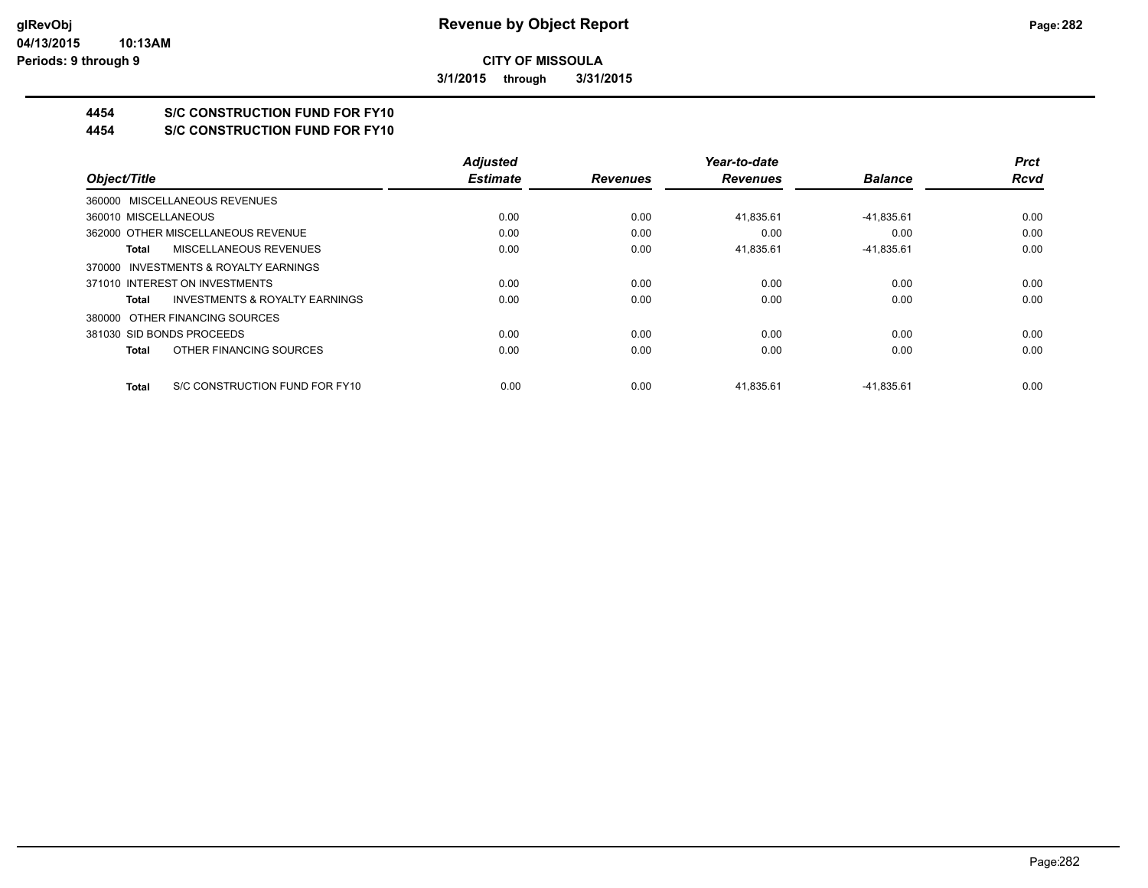**3/1/2015 through 3/31/2015**

## **4454 S/C CONSTRUCTION FUND FOR FY10**

**4454 S/C CONSTRUCTION FUND FOR FY10**

|                                                    | <b>Adjusted</b> |                 | Year-to-date    |                | <b>Prct</b> |
|----------------------------------------------------|-----------------|-----------------|-----------------|----------------|-------------|
| Object/Title                                       | <b>Estimate</b> | <b>Revenues</b> | <b>Revenues</b> | <b>Balance</b> | Rcvd        |
| 360000 MISCELLANEOUS REVENUES                      |                 |                 |                 |                |             |
| 360010 MISCELLANEOUS                               | 0.00            | 0.00            | 41,835.61       | $-41,835.61$   | 0.00        |
| 362000 OTHER MISCELLANEOUS REVENUE                 | 0.00            | 0.00            | 0.00            | 0.00           | 0.00        |
| MISCELLANEOUS REVENUES<br>Total                    | 0.00            | 0.00            | 41,835.61       | $-41,835.61$   | 0.00        |
| 370000 INVESTMENTS & ROYALTY EARNINGS              |                 |                 |                 |                |             |
| 371010 INTEREST ON INVESTMENTS                     | 0.00            | 0.00            | 0.00            | 0.00           | 0.00        |
| <b>INVESTMENTS &amp; ROYALTY EARNINGS</b><br>Total | 0.00            | 0.00            | 0.00            | 0.00           | 0.00        |
| 380000 OTHER FINANCING SOURCES                     |                 |                 |                 |                |             |
| 381030 SID BONDS PROCEEDS                          | 0.00            | 0.00            | 0.00            | 0.00           | 0.00        |
| OTHER FINANCING SOURCES<br>Total                   | 0.00            | 0.00            | 0.00            | 0.00           | 0.00        |
| S/C CONSTRUCTION FUND FOR FY10<br>Total            | 0.00            | 0.00            | 41,835.61       | $-41,835.61$   | 0.00        |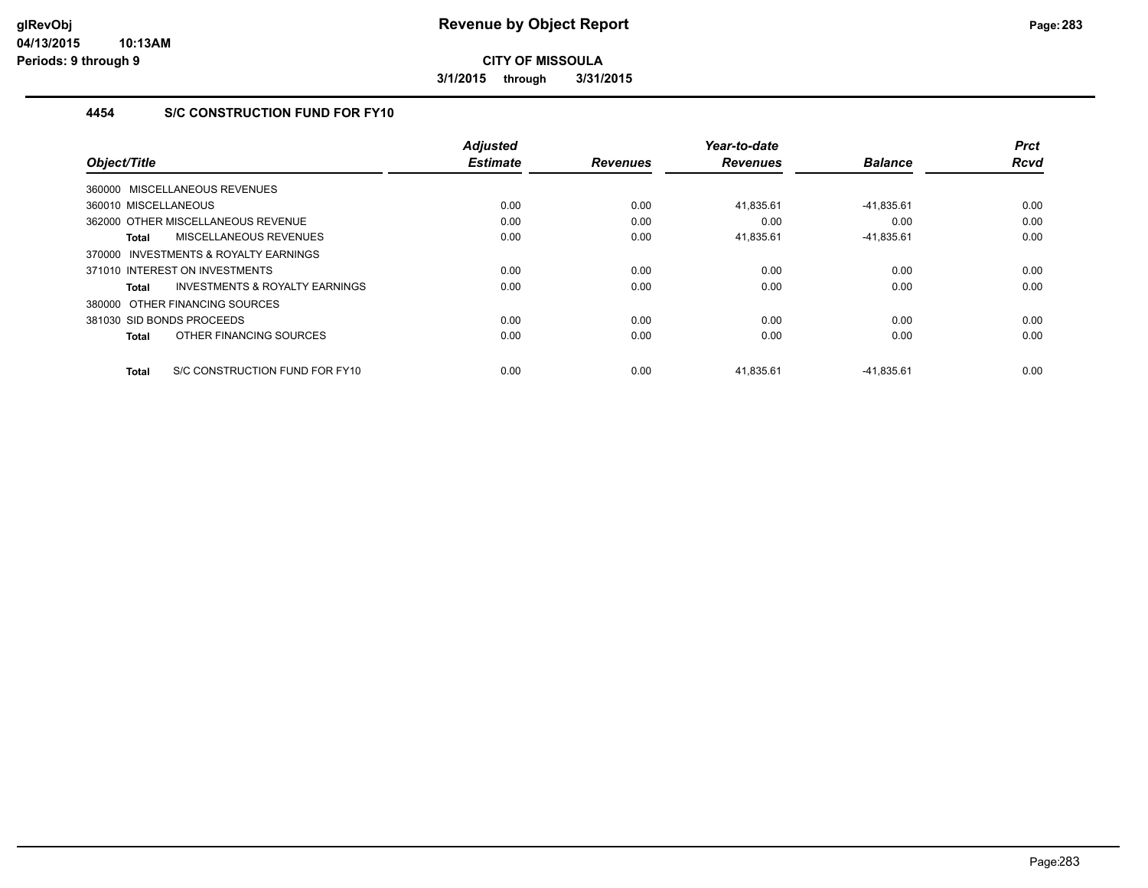**3/1/2015 through 3/31/2015**

## **4454 S/C CONSTRUCTION FUND FOR FY10**

| Object/Title                                   | <b>Adjusted</b><br><b>Estimate</b> | <b>Revenues</b> | Year-to-date<br><b>Revenues</b> | <b>Balance</b> | <b>Prct</b><br><b>Rcvd</b> |
|------------------------------------------------|------------------------------------|-----------------|---------------------------------|----------------|----------------------------|
|                                                |                                    |                 |                                 |                |                            |
| 360000 MISCELLANEOUS REVENUES                  |                                    |                 |                                 |                |                            |
| 360010 MISCELLANEOUS                           | 0.00                               | 0.00            | 41,835.61                       | $-41,835.61$   | 0.00                       |
| 362000 OTHER MISCELLANEOUS REVENUE             | 0.00                               | 0.00            | 0.00                            | 0.00           | 0.00                       |
| MISCELLANEOUS REVENUES<br><b>Total</b>         | 0.00                               | 0.00            | 41,835.61                       | $-41,835.61$   | 0.00                       |
| 370000 INVESTMENTS & ROYALTY EARNINGS          |                                    |                 |                                 |                |                            |
| 371010 INTEREST ON INVESTMENTS                 | 0.00                               | 0.00            | 0.00                            | 0.00           | 0.00                       |
| INVESTMENTS & ROYALTY EARNINGS<br><b>Total</b> | 0.00                               | 0.00            | 0.00                            | 0.00           | 0.00                       |
| 380000 OTHER FINANCING SOURCES                 |                                    |                 |                                 |                |                            |
| 381030 SID BONDS PROCEEDS                      | 0.00                               | 0.00            | 0.00                            | 0.00           | 0.00                       |
| OTHER FINANCING SOURCES<br><b>Total</b>        | 0.00                               | 0.00            | 0.00                            | 0.00           | 0.00                       |
| S/C CONSTRUCTION FUND FOR FY10<br><b>Total</b> | 0.00                               | 0.00            | 41.835.61                       | $-41,835.61$   | 0.00                       |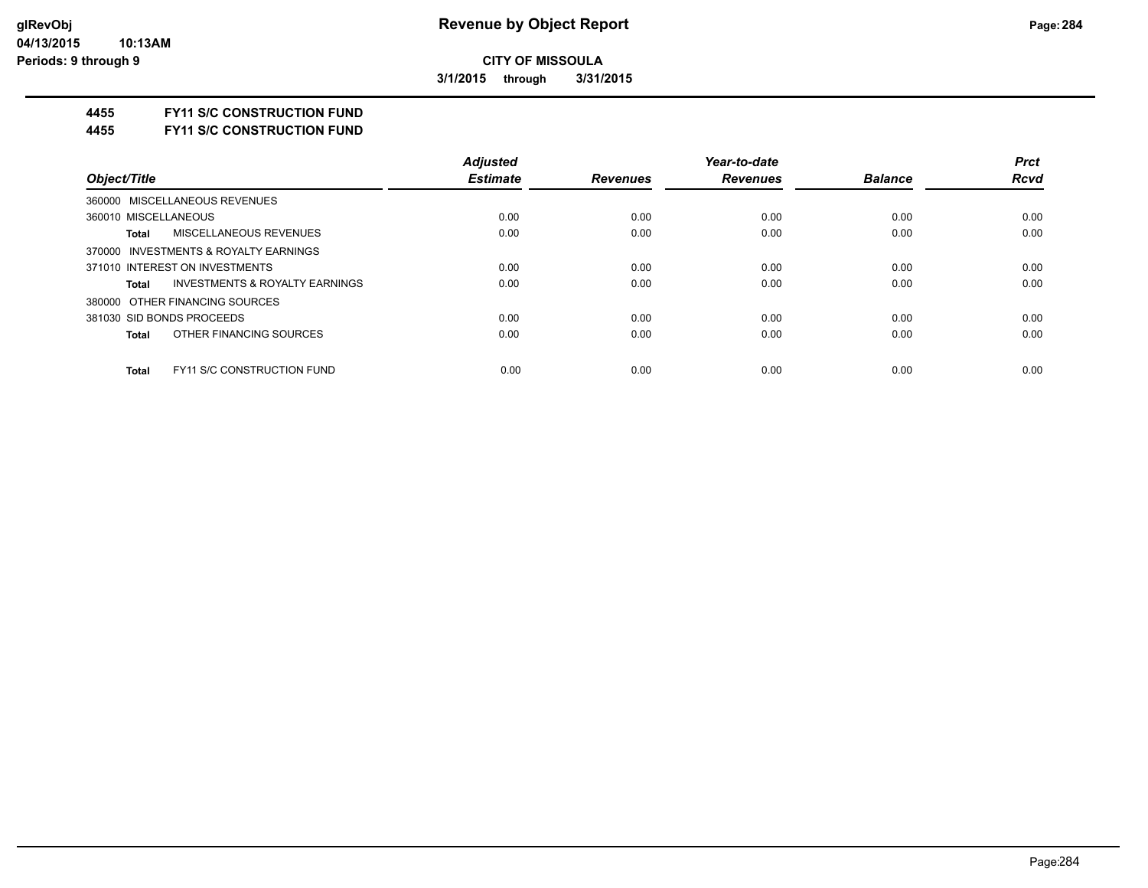**3/1/2015 through 3/31/2015**

### **4455 FY11 S/C CONSTRUCTION FUND**

**4455 FY11 S/C CONSTRUCTION FUND**

|                                                    | <b>Adjusted</b> |                 | Year-to-date    |                | <b>Prct</b> |
|----------------------------------------------------|-----------------|-----------------|-----------------|----------------|-------------|
| Object/Title                                       | <b>Estimate</b> | <b>Revenues</b> | <b>Revenues</b> | <b>Balance</b> | Rcvd        |
| 360000 MISCELLANEOUS REVENUES                      |                 |                 |                 |                |             |
| 360010 MISCELLANEOUS                               | 0.00            | 0.00            | 0.00            | 0.00           | 0.00        |
| MISCELLANEOUS REVENUES<br><b>Total</b>             | 0.00            | 0.00            | 0.00            | 0.00           | 0.00        |
| 370000 INVESTMENTS & ROYALTY EARNINGS              |                 |                 |                 |                |             |
| 371010 INTEREST ON INVESTMENTS                     | 0.00            | 0.00            | 0.00            | 0.00           | 0.00        |
| <b>INVESTMENTS &amp; ROYALTY EARNINGS</b><br>Total | 0.00            | 0.00            | 0.00            | 0.00           | 0.00        |
| 380000 OTHER FINANCING SOURCES                     |                 |                 |                 |                |             |
| 381030 SID BONDS PROCEEDS                          | 0.00            | 0.00            | 0.00            | 0.00           | 0.00        |
| OTHER FINANCING SOURCES<br><b>Total</b>            | 0.00            | 0.00            | 0.00            | 0.00           | 0.00        |
| <b>FY11 S/C CONSTRUCTION FUND</b><br><b>Total</b>  | 0.00            | 0.00            | 0.00            | 0.00           | 0.00        |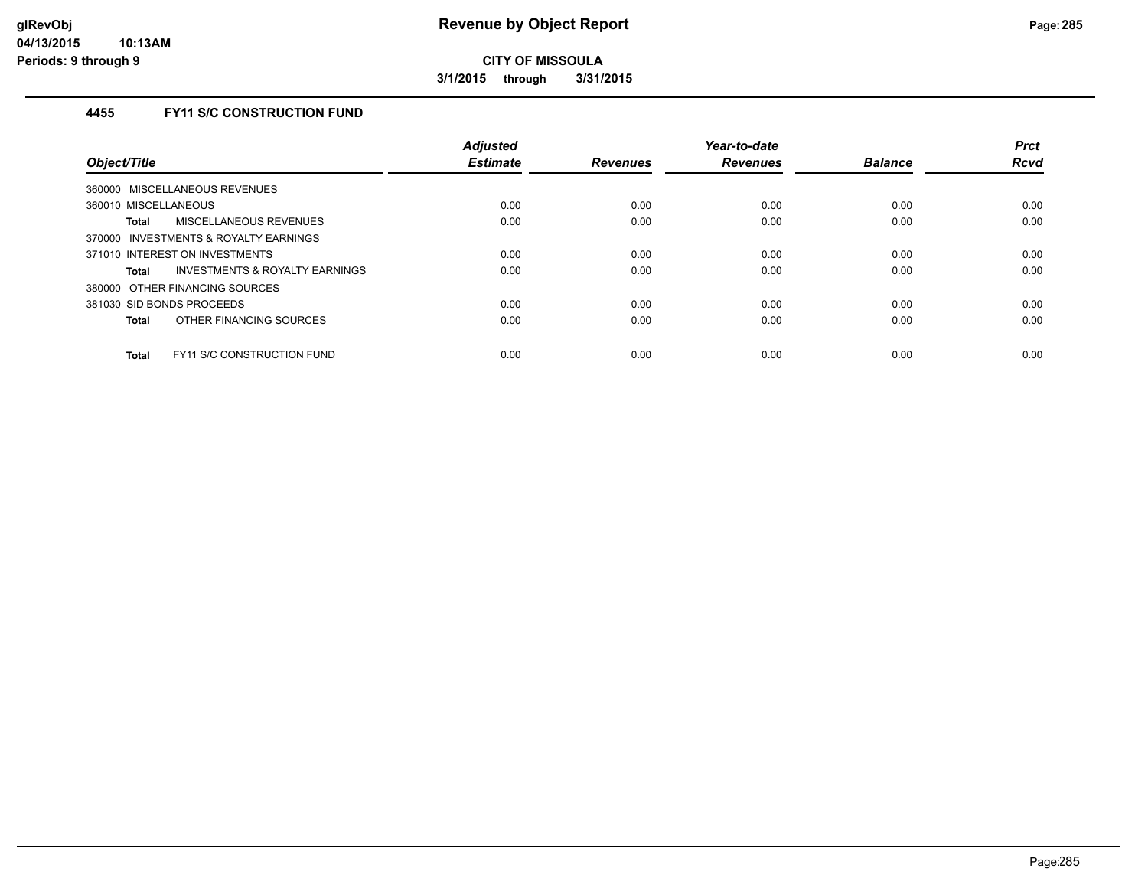**3/1/2015 through 3/31/2015**

## **4455 FY11 S/C CONSTRUCTION FUND**

| Object/Title                                        | <b>Adjusted</b><br><b>Estimate</b> | <b>Revenues</b> | Year-to-date<br><b>Revenues</b> | <b>Balance</b> | <b>Prct</b><br><b>Rcvd</b> |
|-----------------------------------------------------|------------------------------------|-----------------|---------------------------------|----------------|----------------------------|
| MISCELLANEOUS REVENUES<br>360000                    |                                    |                 |                                 |                |                            |
| 360010 MISCELLANEOUS                                | 0.00                               | 0.00            | 0.00                            | 0.00           | 0.00                       |
|                                                     |                                    |                 |                                 |                |                            |
| MISCELLANEOUS REVENUES<br>Total                     | 0.00                               | 0.00            | 0.00                            | 0.00           | 0.00                       |
| <b>INVESTMENTS &amp; ROYALTY EARNINGS</b><br>370000 |                                    |                 |                                 |                |                            |
| 371010 INTEREST ON INVESTMENTS                      | 0.00                               | 0.00            | 0.00                            | 0.00           | 0.00                       |
| INVESTMENTS & ROYALTY EARNINGS<br><b>Total</b>      | 0.00                               | 0.00            | 0.00                            | 0.00           | 0.00                       |
| OTHER FINANCING SOURCES<br>380000                   |                                    |                 |                                 |                |                            |
| 381030 SID BONDS PROCEEDS                           | 0.00                               | 0.00            | 0.00                            | 0.00           | 0.00                       |
| OTHER FINANCING SOURCES<br><b>Total</b>             | 0.00                               | 0.00            | 0.00                            | 0.00           | 0.00                       |
| <b>FY11 S/C CONSTRUCTION FUND</b><br><b>Total</b>   | 0.00                               | 0.00            | 0.00                            | 0.00           | 0.00                       |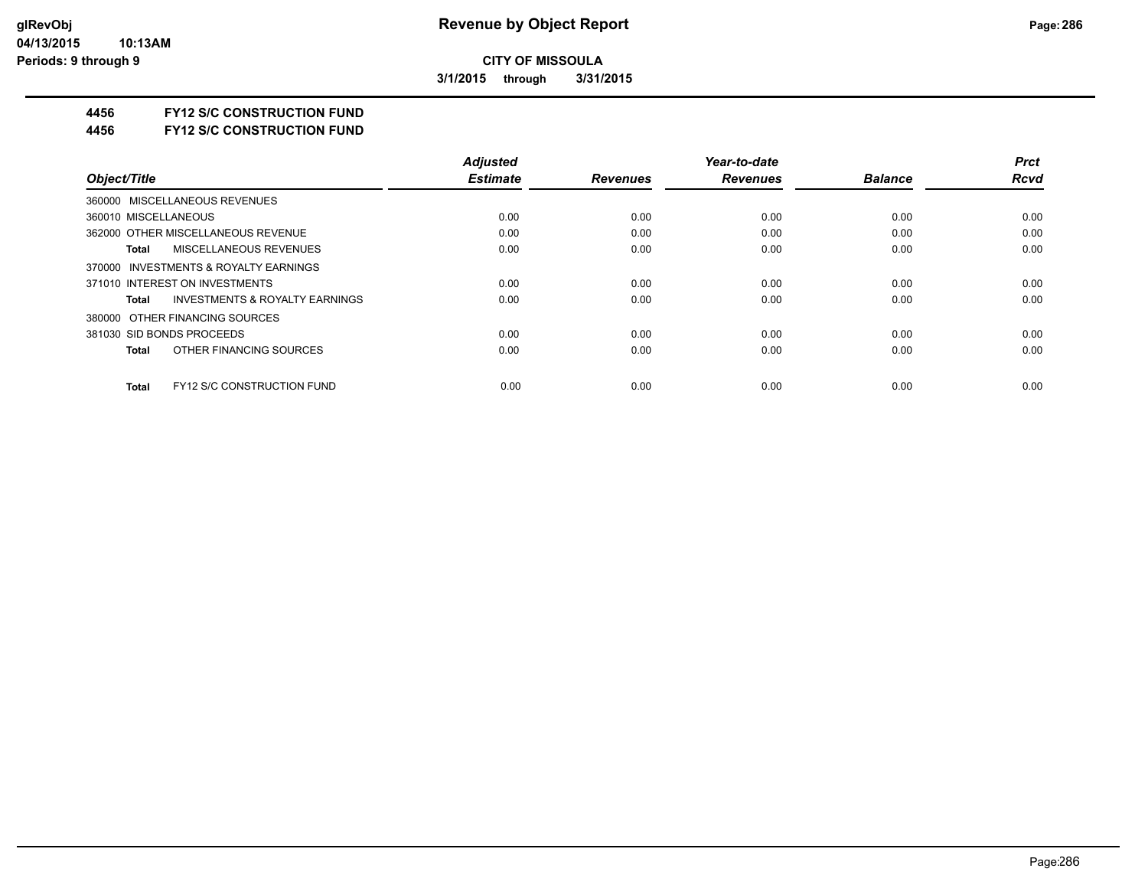**3/1/2015 through 3/31/2015**

### **4456 FY12 S/C CONSTRUCTION FUND**

**4456 FY12 S/C CONSTRUCTION FUND**

|                                                    | <b>Adjusted</b> |                 | Year-to-date    |                | <b>Prct</b> |
|----------------------------------------------------|-----------------|-----------------|-----------------|----------------|-------------|
| Object/Title                                       | <b>Estimate</b> | <b>Revenues</b> | <b>Revenues</b> | <b>Balance</b> | <b>Rcvd</b> |
| 360000 MISCELLANEOUS REVENUES                      |                 |                 |                 |                |             |
| 360010 MISCELLANEOUS                               | 0.00            | 0.00            | 0.00            | 0.00           | 0.00        |
| 362000 OTHER MISCELLANEOUS REVENUE                 | 0.00            | 0.00            | 0.00            | 0.00           | 0.00        |
| MISCELLANEOUS REVENUES<br>Total                    | 0.00            | 0.00            | 0.00            | 0.00           | 0.00        |
| 370000 INVESTMENTS & ROYALTY EARNINGS              |                 |                 |                 |                |             |
| 371010 INTEREST ON INVESTMENTS                     | 0.00            | 0.00            | 0.00            | 0.00           | 0.00        |
| <b>INVESTMENTS &amp; ROYALTY EARNINGS</b><br>Total | 0.00            | 0.00            | 0.00            | 0.00           | 0.00        |
| 380000 OTHER FINANCING SOURCES                     |                 |                 |                 |                |             |
| 381030 SID BONDS PROCEEDS                          | 0.00            | 0.00            | 0.00            | 0.00           | 0.00        |
| OTHER FINANCING SOURCES<br>Total                   | 0.00            | 0.00            | 0.00            | 0.00           | 0.00        |
| <b>FY12 S/C CONSTRUCTION FUND</b><br><b>Total</b>  | 0.00            | 0.00            | 0.00            | 0.00           | 0.00        |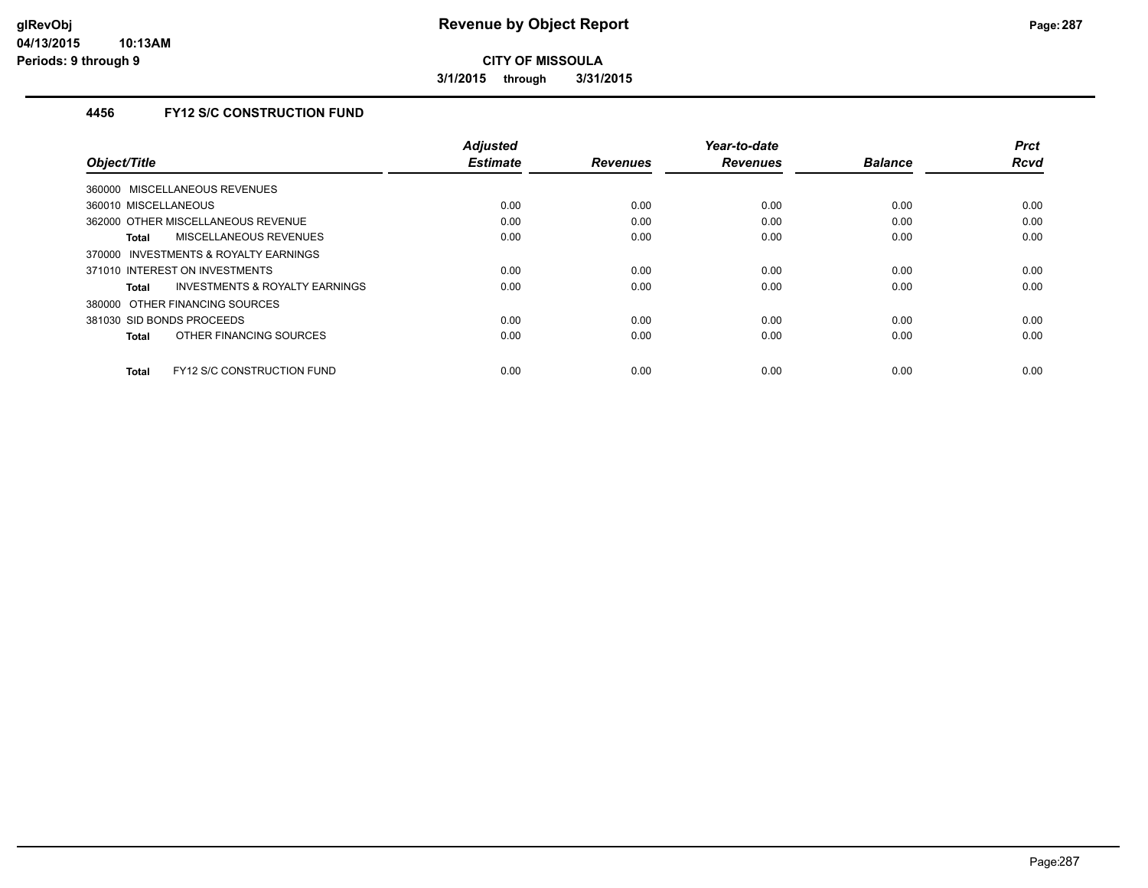**3/1/2015 through 3/31/2015**

## **4456 FY12 S/C CONSTRUCTION FUND**

|                                                    | <b>Adjusted</b><br><b>Estimate</b> |                 | Year-to-date    |                | <b>Prct</b><br><b>Rcvd</b> |
|----------------------------------------------------|------------------------------------|-----------------|-----------------|----------------|----------------------------|
| Object/Title                                       |                                    | <b>Revenues</b> | <b>Revenues</b> | <b>Balance</b> |                            |
| 360000 MISCELLANEOUS REVENUES                      |                                    |                 |                 |                |                            |
| 360010 MISCELLANEOUS                               | 0.00                               | 0.00            | 0.00            | 0.00           | 0.00                       |
| 362000 OTHER MISCELLANEOUS REVENUE                 | 0.00                               | 0.00            | 0.00            | 0.00           | 0.00                       |
| MISCELLANEOUS REVENUES<br>Total                    | 0.00                               | 0.00            | 0.00            | 0.00           | 0.00                       |
| 370000 INVESTMENTS & ROYALTY EARNINGS              |                                    |                 |                 |                |                            |
| 371010 INTEREST ON INVESTMENTS                     | 0.00                               | 0.00            | 0.00            | 0.00           | 0.00                       |
| <b>INVESTMENTS &amp; ROYALTY EARNINGS</b><br>Total | 0.00                               | 0.00            | 0.00            | 0.00           | 0.00                       |
| 380000 OTHER FINANCING SOURCES                     |                                    |                 |                 |                |                            |
| 381030 SID BONDS PROCEEDS                          | 0.00                               | 0.00            | 0.00            | 0.00           | 0.00                       |
| OTHER FINANCING SOURCES<br>Total                   | 0.00                               | 0.00            | 0.00            | 0.00           | 0.00                       |
|                                                    |                                    |                 |                 |                |                            |
| <b>FY12 S/C CONSTRUCTION FUND</b><br>Total         | 0.00                               | 0.00            | 0.00            | 0.00           | 0.00                       |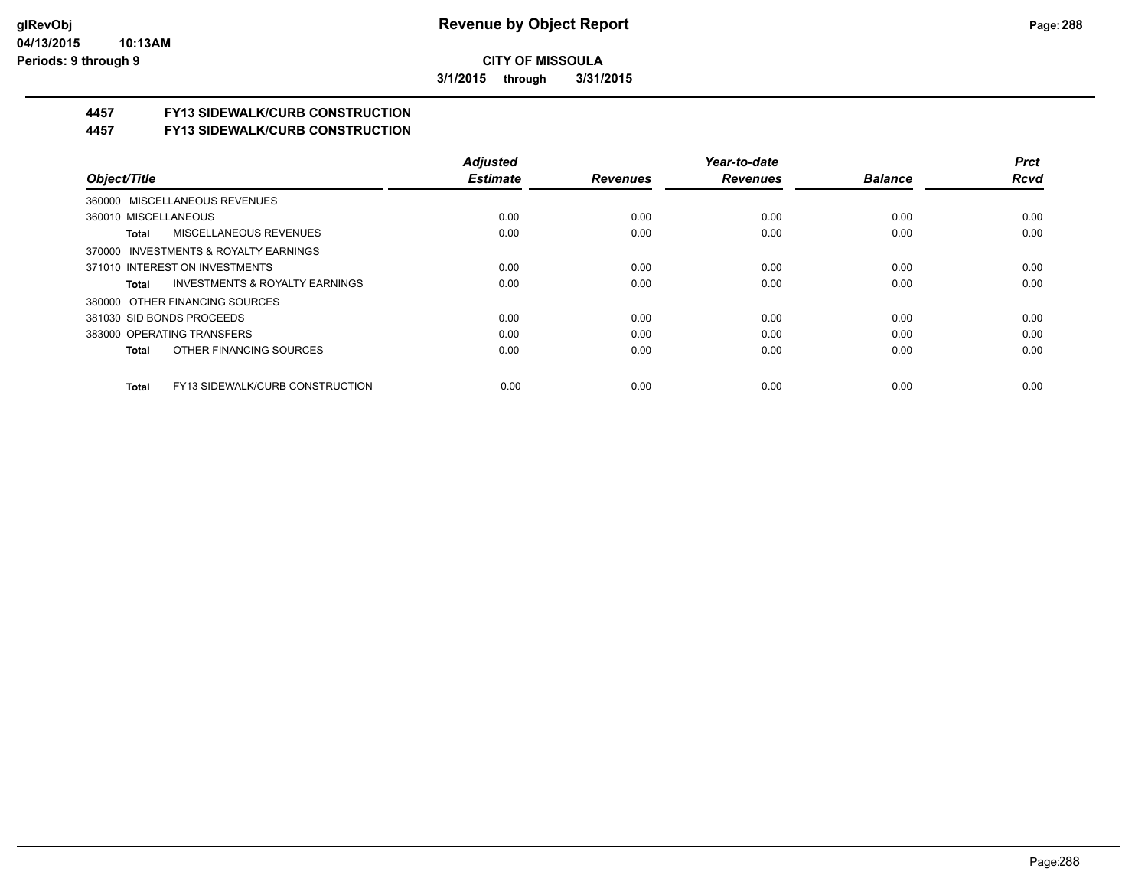**3/1/2015 through 3/31/2015**

## **4457 FY13 SIDEWALK/CURB CONSTRUCTION**

**4457 FY13 SIDEWALK/CURB CONSTRUCTION**

|                                                    | <b>Adiusted</b> |                 | Year-to-date    |                | <b>Prct</b> |
|----------------------------------------------------|-----------------|-----------------|-----------------|----------------|-------------|
| Object/Title                                       | <b>Estimate</b> | <b>Revenues</b> | <b>Revenues</b> | <b>Balance</b> | <b>Rcvd</b> |
| 360000 MISCELLANEOUS REVENUES                      |                 |                 |                 |                |             |
| 360010 MISCELLANEOUS                               | 0.00            | 0.00            | 0.00            | 0.00           | 0.00        |
| <b>MISCELLANEOUS REVENUES</b><br>Total             | 0.00            | 0.00            | 0.00            | 0.00           | 0.00        |
| 370000 INVESTMENTS & ROYALTY EARNINGS              |                 |                 |                 |                |             |
| 371010 INTEREST ON INVESTMENTS                     | 0.00            | 0.00            | 0.00            | 0.00           | 0.00        |
| <b>INVESTMENTS &amp; ROYALTY EARNINGS</b><br>Total | 0.00            | 0.00            | 0.00            | 0.00           | 0.00        |
| 380000 OTHER FINANCING SOURCES                     |                 |                 |                 |                |             |
| 381030 SID BONDS PROCEEDS                          | 0.00            | 0.00            | 0.00            | 0.00           | 0.00        |
| 383000 OPERATING TRANSFERS                         | 0.00            | 0.00            | 0.00            | 0.00           | 0.00        |
| OTHER FINANCING SOURCES<br>Total                   | 0.00            | 0.00            | 0.00            | 0.00           | 0.00        |
| FY13 SIDEWALK/CURB CONSTRUCTION<br>Total           | 0.00            | 0.00            | 0.00            | 0.00           | 0.00        |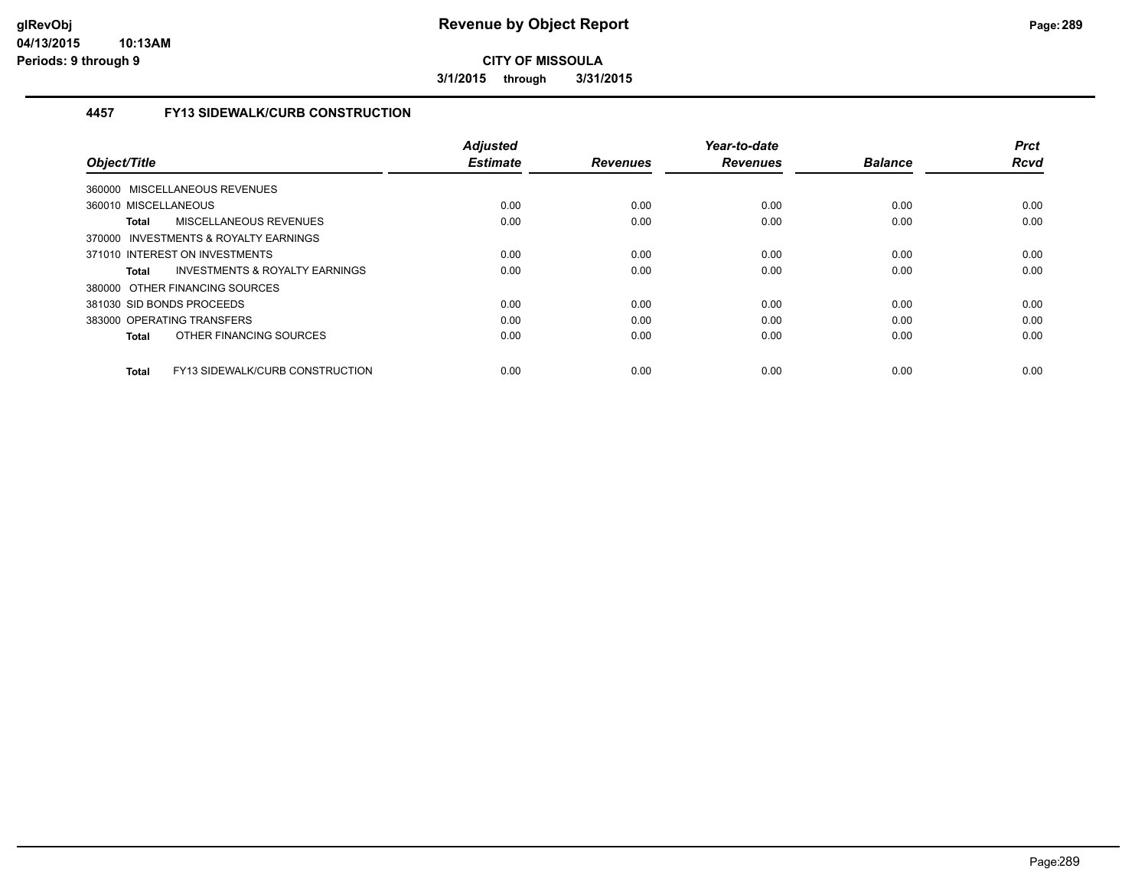**3/1/2015 through 3/31/2015**

## **4457 FY13 SIDEWALK/CURB CONSTRUCTION**

|                                                 | <b>Adjusted</b> |                 | Year-to-date    |                | <b>Prct</b> |
|-------------------------------------------------|-----------------|-----------------|-----------------|----------------|-------------|
| Object/Title                                    | <b>Estimate</b> | <b>Revenues</b> | <b>Revenues</b> | <b>Balance</b> | <b>Rcvd</b> |
| 360000 MISCELLANEOUS REVENUES                   |                 |                 |                 |                |             |
| 360010 MISCELLANEOUS                            | 0.00            | 0.00            | 0.00            | 0.00           | 0.00        |
| MISCELLANEOUS REVENUES<br><b>Total</b>          | 0.00            | 0.00            | 0.00            | 0.00           | 0.00        |
| 370000 INVESTMENTS & ROYALTY EARNINGS           |                 |                 |                 |                |             |
| 371010 INTEREST ON INVESTMENTS                  | 0.00            | 0.00            | 0.00            | 0.00           | 0.00        |
| INVESTMENTS & ROYALTY EARNINGS<br><b>Total</b>  | 0.00            | 0.00            | 0.00            | 0.00           | 0.00        |
| 380000 OTHER FINANCING SOURCES                  |                 |                 |                 |                |             |
| 381030 SID BONDS PROCEEDS                       | 0.00            | 0.00            | 0.00            | 0.00           | 0.00        |
| 383000 OPERATING TRANSFERS                      | 0.00            | 0.00            | 0.00            | 0.00           | 0.00        |
| OTHER FINANCING SOURCES<br><b>Total</b>         | 0.00            | 0.00            | 0.00            | 0.00           | 0.00        |
|                                                 |                 |                 |                 |                |             |
| FY13 SIDEWALK/CURB CONSTRUCTION<br><b>Total</b> | 0.00            | 0.00            | 0.00            | 0.00           | 0.00        |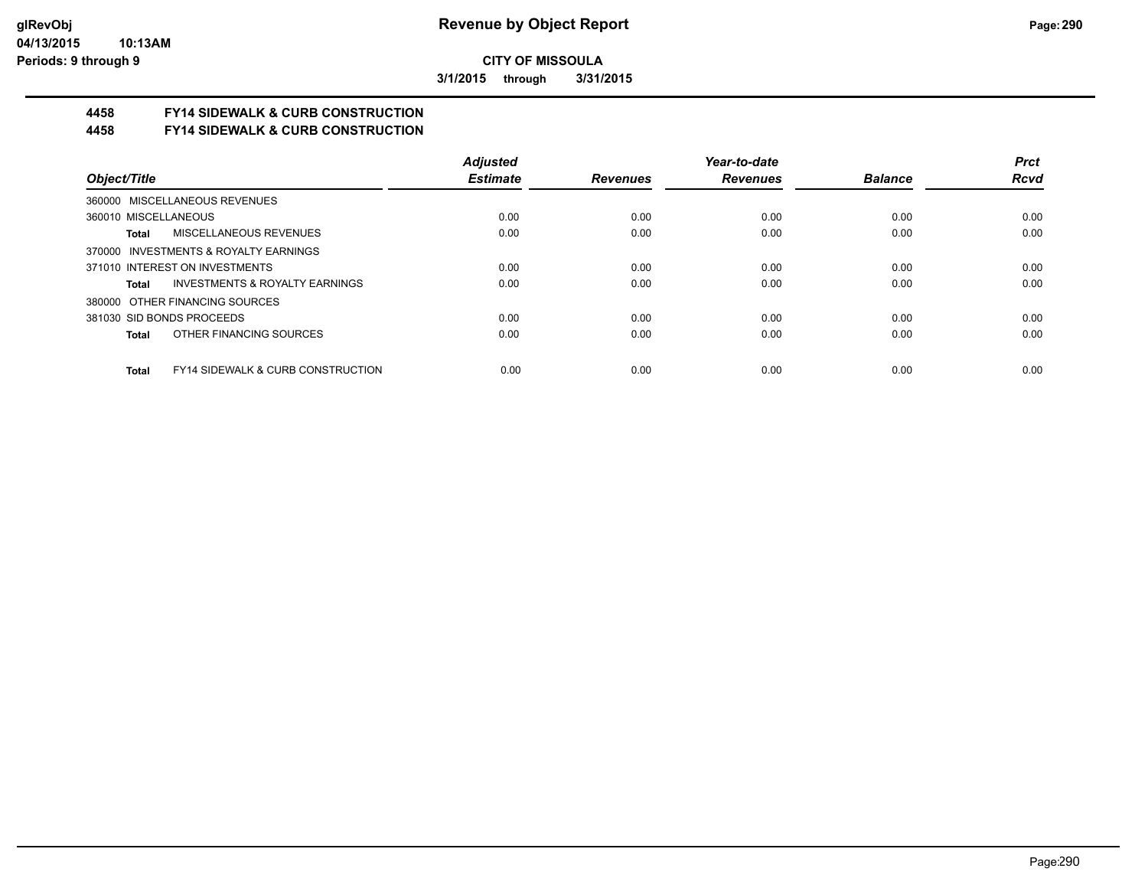**3/1/2015 through 3/31/2015**

# **4458 FY14 SIDEWALK & CURB CONSTRUCTION**

**4458 FY14 SIDEWALK & CURB CONSTRUCTION**

|                                                              | <b>Adjusted</b> |                 | Year-to-date    |                | <b>Prct</b> |
|--------------------------------------------------------------|-----------------|-----------------|-----------------|----------------|-------------|
| Object/Title                                                 | <b>Estimate</b> | <b>Revenues</b> | <b>Revenues</b> | <b>Balance</b> | <b>Rcvd</b> |
| 360000 MISCELLANEOUS REVENUES                                |                 |                 |                 |                |             |
| 360010 MISCELLANEOUS                                         | 0.00            | 0.00            | 0.00            | 0.00           | 0.00        |
| <b>MISCELLANEOUS REVENUES</b><br>Total                       | 0.00            | 0.00            | 0.00            | 0.00           | 0.00        |
| 370000 INVESTMENTS & ROYALTY EARNINGS                        |                 |                 |                 |                |             |
| 371010 INTEREST ON INVESTMENTS                               | 0.00            | 0.00            | 0.00            | 0.00           | 0.00        |
| INVESTMENTS & ROYALTY EARNINGS<br>Total                      | 0.00            | 0.00            | 0.00            | 0.00           | 0.00        |
| 380000 OTHER FINANCING SOURCES                               |                 |                 |                 |                |             |
| 381030 SID BONDS PROCEEDS                                    | 0.00            | 0.00            | 0.00            | 0.00           | 0.00        |
| OTHER FINANCING SOURCES<br>Total                             | 0.00            | 0.00            | 0.00            | 0.00           | 0.00        |
| <b>FY14 SIDEWALK &amp; CURB CONSTRUCTION</b><br><b>Total</b> | 0.00            | 0.00            | 0.00            | 0.00           | 0.00        |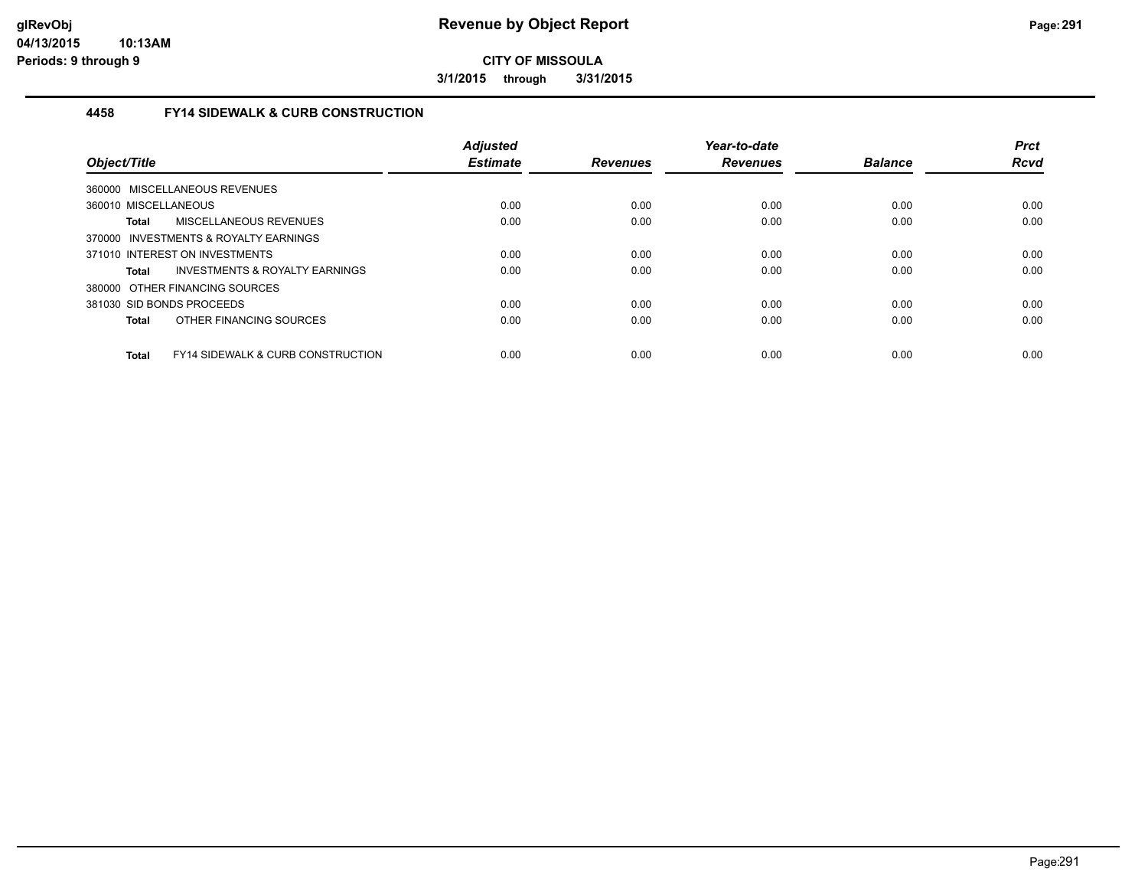**3/1/2015 through 3/31/2015**

## **4458 FY14 SIDEWALK & CURB CONSTRUCTION**

| Object/Title         |                                              | <b>Adjusted</b><br><b>Estimate</b> | <b>Revenues</b> | Year-to-date<br><b>Revenues</b> | <b>Balance</b> | <b>Prct</b><br><b>Rcvd</b> |
|----------------------|----------------------------------------------|------------------------------------|-----------------|---------------------------------|----------------|----------------------------|
|                      | 360000 MISCELLANEOUS REVENUES                |                                    |                 |                                 |                |                            |
| 360010 MISCELLANEOUS |                                              | 0.00                               | 0.00            | 0.00                            | 0.00           | 0.00                       |
| Total                | MISCELLANEOUS REVENUES                       | 0.00                               | 0.00            | 0.00                            | 0.00           | 0.00                       |
|                      | 370000 INVESTMENTS & ROYALTY EARNINGS        |                                    |                 |                                 |                |                            |
|                      | 371010 INTEREST ON INVESTMENTS               | 0.00                               | 0.00            | 0.00                            | 0.00           | 0.00                       |
| <b>Total</b>         | INVESTMENTS & ROYALTY EARNINGS               | 0.00                               | 0.00            | 0.00                            | 0.00           | 0.00                       |
|                      | 380000 OTHER FINANCING SOURCES               |                                    |                 |                                 |                |                            |
|                      | 381030 SID BONDS PROCEEDS                    | 0.00                               | 0.00            | 0.00                            | 0.00           | 0.00                       |
| <b>Total</b>         | OTHER FINANCING SOURCES                      | 0.00                               | 0.00            | 0.00                            | 0.00           | 0.00                       |
| <b>Total</b>         | <b>FY14 SIDEWALK &amp; CURB CONSTRUCTION</b> | 0.00                               | 0.00            | 0.00                            | 0.00           | 0.00                       |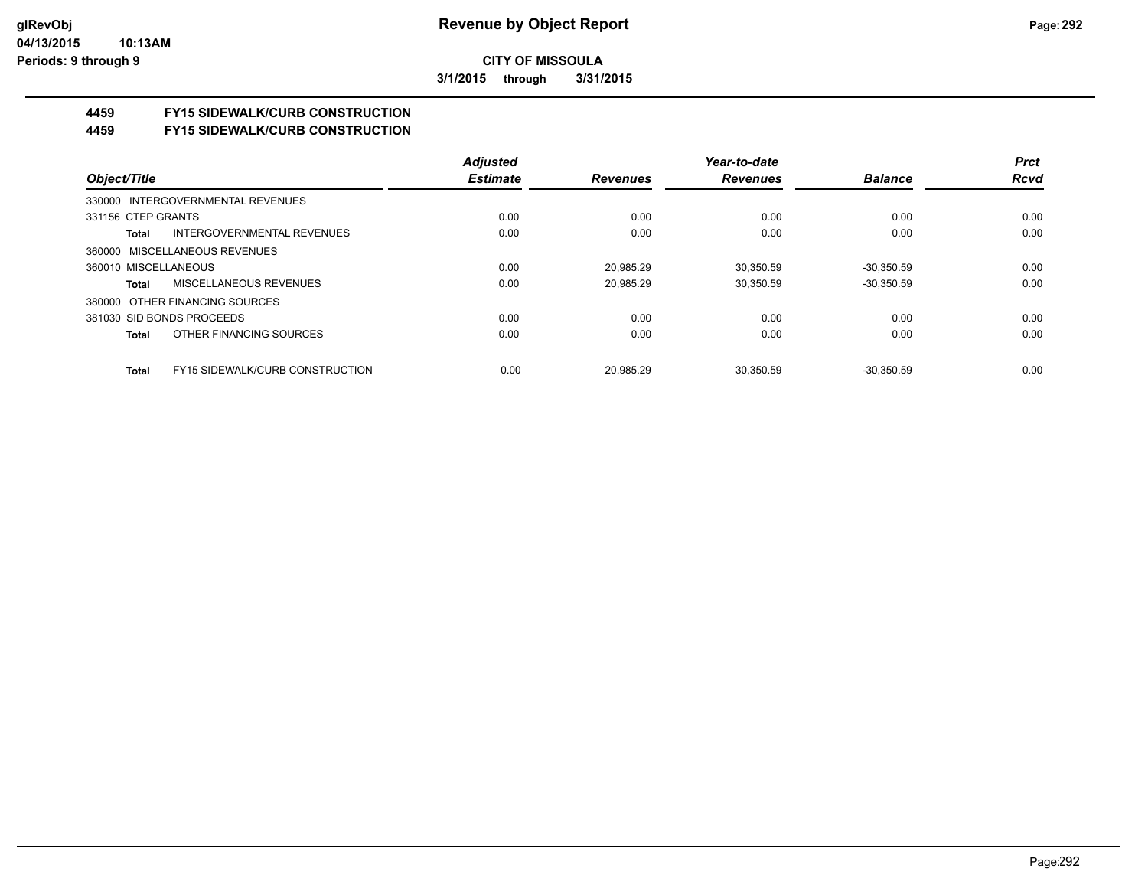**3/1/2015 through 3/31/2015**

# **4459 FY15 SIDEWALK/CURB CONSTRUCTION**

**4459 FY15 SIDEWALK/CURB CONSTRUCTION**

|                                   |                                        | <b>Adjusted</b> |                 | Year-to-date    |                | <b>Prct</b> |
|-----------------------------------|----------------------------------------|-----------------|-----------------|-----------------|----------------|-------------|
| Object/Title                      |                                        | <b>Estimate</b> | <b>Revenues</b> | <b>Revenues</b> | <b>Balance</b> | <b>Rcvd</b> |
| 330000 INTERGOVERNMENTAL REVENUES |                                        |                 |                 |                 |                |             |
| 331156 CTEP GRANTS                |                                        | 0.00            | 0.00            | 0.00            | 0.00           | 0.00        |
| Total                             | <b>INTERGOVERNMENTAL REVENUES</b>      | 0.00            | 0.00            | 0.00            | 0.00           | 0.00        |
| 360000 MISCELLANEOUS REVENUES     |                                        |                 |                 |                 |                |             |
| 360010 MISCELLANEOUS              |                                        | 0.00            | 20.985.29       | 30.350.59       | $-30.350.59$   | 0.00        |
| Total                             | MISCELLANEOUS REVENUES                 | 0.00            | 20.985.29       | 30.350.59       | $-30,350.59$   | 0.00        |
| 380000 OTHER FINANCING SOURCES    |                                        |                 |                 |                 |                |             |
| 381030 SID BONDS PROCEEDS         |                                        | 0.00            | 0.00            | 0.00            | 0.00           | 0.00        |
| Total                             | OTHER FINANCING SOURCES                | 0.00            | 0.00            | 0.00            | 0.00           | 0.00        |
| Total                             | <b>FY15 SIDEWALK/CURB CONSTRUCTION</b> | 0.00            | 20.985.29       | 30.350.59       | $-30.350.59$   | 0.00        |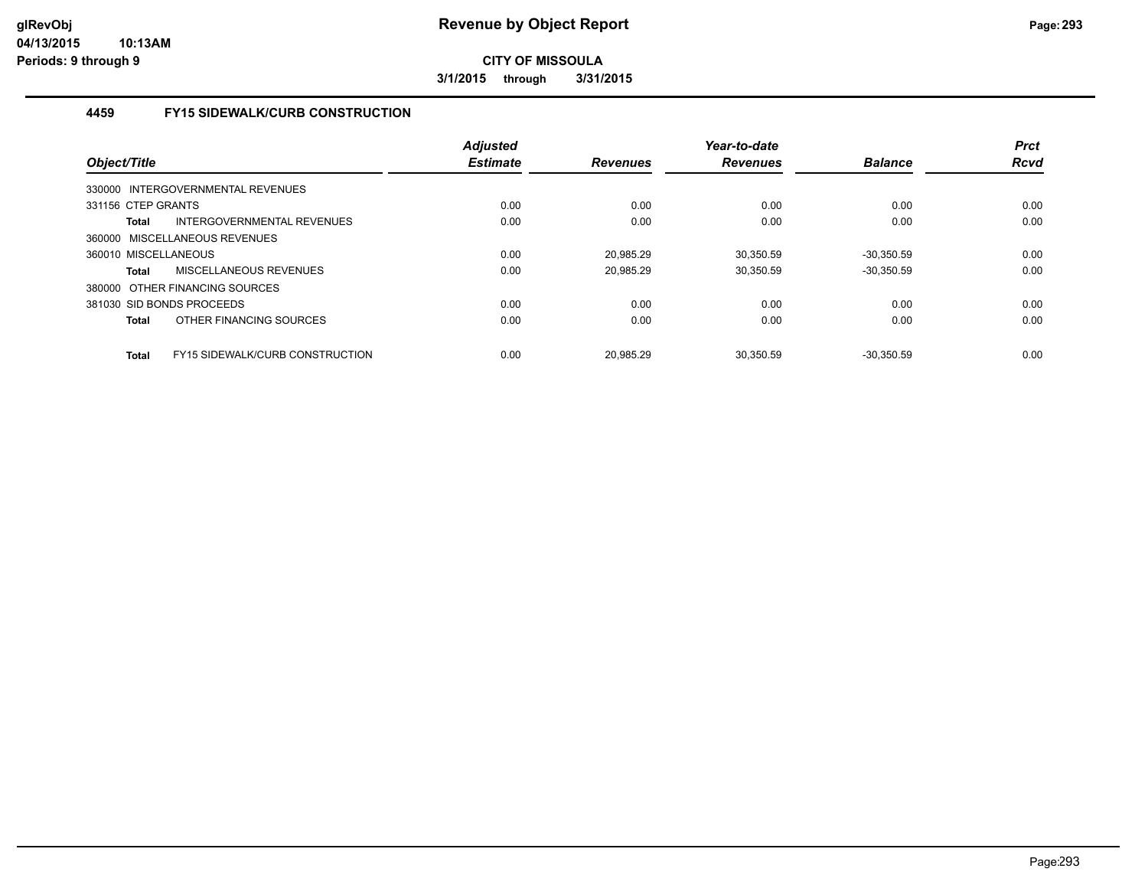**3/1/2015 through 3/31/2015**

## **4459 FY15 SIDEWALK/CURB CONSTRUCTION**

| Object/Title         |                                        | <b>Adjusted</b><br><b>Estimate</b> | <b>Revenues</b> | Year-to-date<br><b>Revenues</b> | <b>Balance</b> | <b>Prct</b><br><b>Rcvd</b> |
|----------------------|----------------------------------------|------------------------------------|-----------------|---------------------------------|----------------|----------------------------|
|                      | 330000 INTERGOVERNMENTAL REVENUES      |                                    |                 |                                 |                |                            |
| 331156 CTEP GRANTS   |                                        | 0.00                               | 0.00            | 0.00                            | 0.00           | 0.00                       |
| <b>Total</b>         | INTERGOVERNMENTAL REVENUES             | 0.00                               | 0.00            | 0.00                            | 0.00           | 0.00                       |
|                      | 360000 MISCELLANEOUS REVENUES          |                                    |                 |                                 |                |                            |
| 360010 MISCELLANEOUS |                                        | 0.00                               | 20.985.29       | 30.350.59                       | $-30,350.59$   | 0.00                       |
| <b>Total</b>         | MISCELLANEOUS REVENUES                 | 0.00                               | 20,985.29       | 30,350.59                       | $-30,350.59$   | 0.00                       |
|                      | 380000 OTHER FINANCING SOURCES         |                                    |                 |                                 |                |                            |
|                      | 381030 SID BONDS PROCEEDS              | 0.00                               | 0.00            | 0.00                            | 0.00           | 0.00                       |
| <b>Total</b>         | OTHER FINANCING SOURCES                | 0.00                               | 0.00            | 0.00                            | 0.00           | 0.00                       |
| <b>Total</b>         | <b>FY15 SIDEWALK/CURB CONSTRUCTION</b> | 0.00                               | 20.985.29       | 30.350.59                       | $-30.350.59$   | 0.00                       |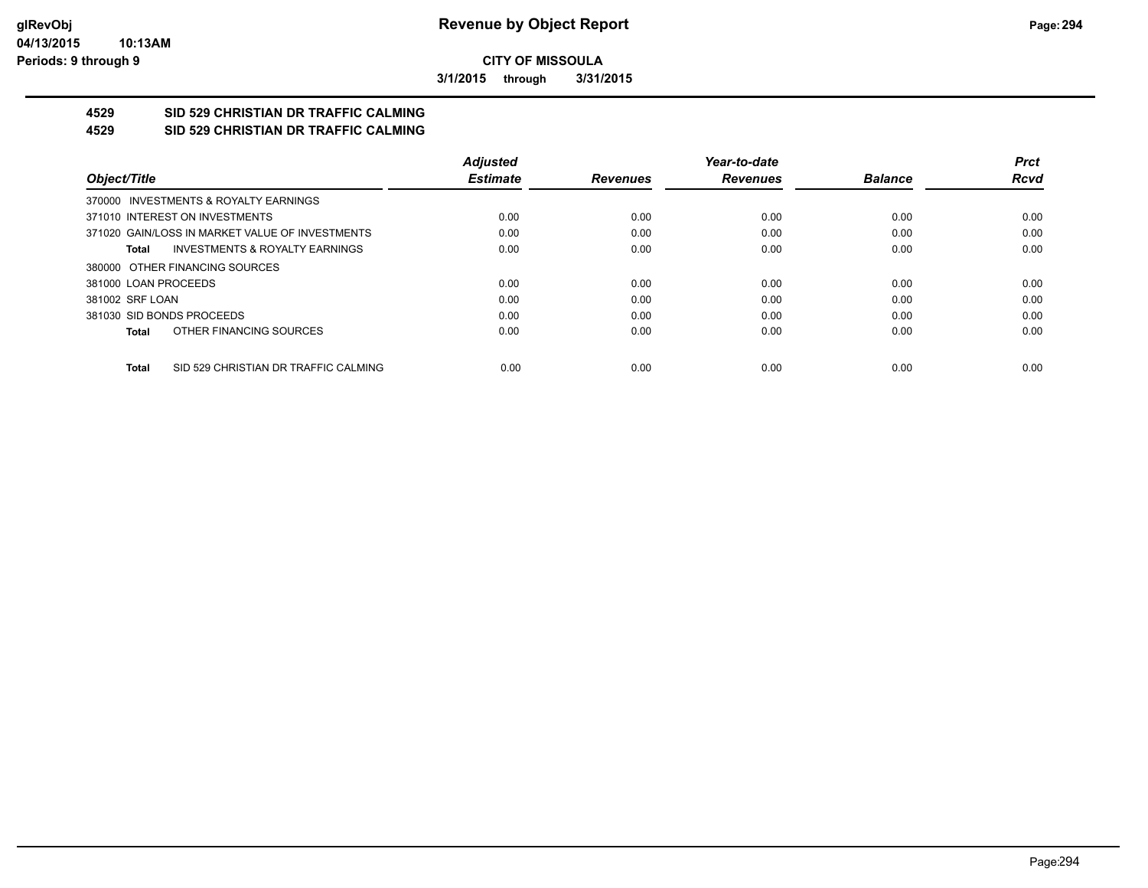**3/1/2015 through 3/31/2015**

### **4529 SID 529 CHRISTIAN DR TRAFFIC CALMING 4529 SID 529 CHRISTIAN DR TRAFFIC CALMING**

|                      |                                                 | <b>Adjusted</b> |                 | Year-to-date    |                | <b>Prct</b> |
|----------------------|-------------------------------------------------|-----------------|-----------------|-----------------|----------------|-------------|
| Object/Title         |                                                 | <b>Estimate</b> | <b>Revenues</b> | <b>Revenues</b> | <b>Balance</b> | <b>Rcvd</b> |
|                      | 370000 INVESTMENTS & ROYALTY EARNINGS           |                 |                 |                 |                |             |
|                      | 371010 INTEREST ON INVESTMENTS                  | 0.00            | 0.00            | 0.00            | 0.00           | 0.00        |
|                      | 371020 GAIN/LOSS IN MARKET VALUE OF INVESTMENTS | 0.00            | 0.00            | 0.00            | 0.00           | 0.00        |
| Total                | <b>INVESTMENTS &amp; ROYALTY EARNINGS</b>       | 0.00            | 0.00            | 0.00            | 0.00           | 0.00        |
|                      | 380000 OTHER FINANCING SOURCES                  |                 |                 |                 |                |             |
| 381000 LOAN PROCEEDS |                                                 | 0.00            | 0.00            | 0.00            | 0.00           | 0.00        |
| 381002 SRF LOAN      |                                                 | 0.00            | 0.00            | 0.00            | 0.00           | 0.00        |
|                      | 381030 SID BONDS PROCEEDS                       | 0.00            | 0.00            | 0.00            | 0.00           | 0.00        |
| Total                | OTHER FINANCING SOURCES                         | 0.00            | 0.00            | 0.00            | 0.00           | 0.00        |
| <b>Total</b>         | SID 529 CHRISTIAN DR TRAFFIC CALMING            | 0.00            | 0.00            | 0.00            | 0.00           | 0.00        |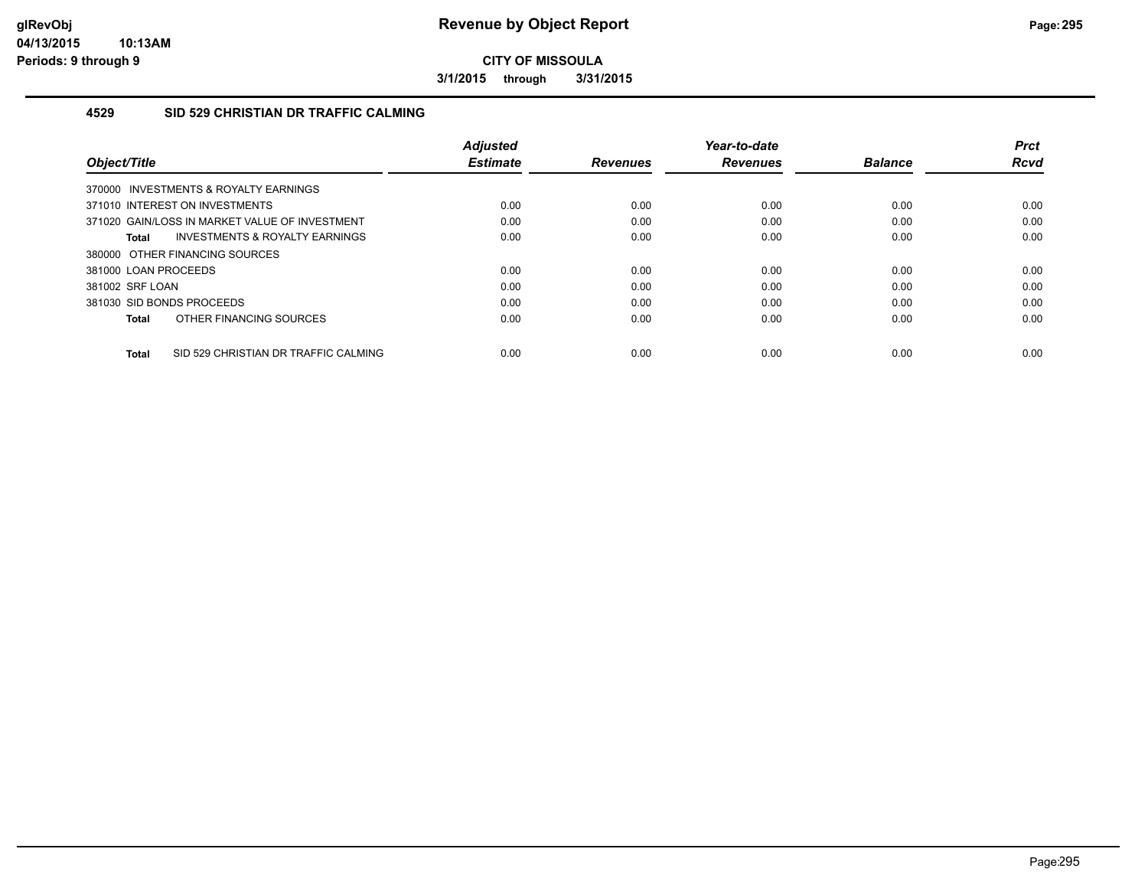**3/1/2015 through 3/31/2015**

### **4529 SID 529 CHRISTIAN DR TRAFFIC CALMING**

| Object/Title                                       | <b>Adjusted</b><br><b>Estimate</b> | <b>Revenues</b> | Year-to-date<br><b>Revenues</b> | <b>Balance</b> | <b>Prct</b><br>Rcvd |
|----------------------------------------------------|------------------------------------|-----------------|---------------------------------|----------------|---------------------|
| 370000 INVESTMENTS & ROYALTY EARNINGS              |                                    |                 |                                 |                |                     |
| 371010 INTEREST ON INVESTMENTS                     | 0.00                               | 0.00            | 0.00                            | 0.00           | 0.00                |
| 371020 GAIN/LOSS IN MARKET VALUE OF INVESTMENT     | 0.00                               | 0.00            | 0.00                            | 0.00           | 0.00                |
| <b>INVESTMENTS &amp; ROYALTY EARNINGS</b><br>Total | 0.00                               | 0.00            | 0.00                            | 0.00           | 0.00                |
| 380000 OTHER FINANCING SOURCES                     |                                    |                 |                                 |                |                     |
| 381000 LOAN PROCEEDS                               | 0.00                               | 0.00            | 0.00                            | 0.00           | 0.00                |
| 381002 SRF LOAN                                    | 0.00                               | 0.00            | 0.00                            | 0.00           | 0.00                |
| 381030 SID BONDS PROCEEDS                          | 0.00                               | 0.00            | 0.00                            | 0.00           | 0.00                |
| OTHER FINANCING SOURCES<br>Total                   | 0.00                               | 0.00            | 0.00                            | 0.00           | 0.00                |
| SID 529 CHRISTIAN DR TRAFFIC CALMING<br>Total      | 0.00                               | 0.00            | 0.00                            | 0.00           | 0.00                |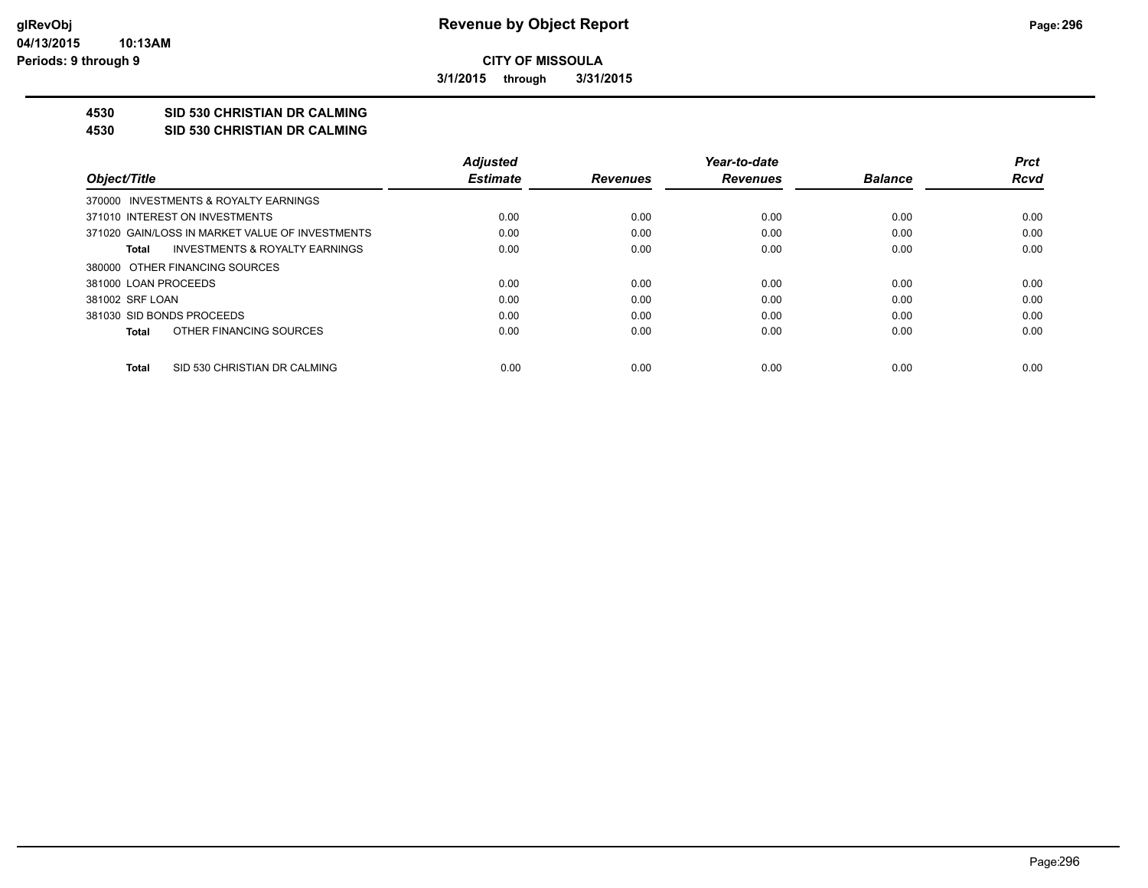**3/1/2015 through 3/31/2015**

## **4530 SID 530 CHRISTIAN DR CALMING**

**4530 SID 530 CHRISTIAN DR CALMING**

|                                                 | <b>Adjusted</b> |                 | Year-to-date    |                | <b>Prct</b> |
|-------------------------------------------------|-----------------|-----------------|-----------------|----------------|-------------|
| Object/Title                                    | <b>Estimate</b> | <b>Revenues</b> | <b>Revenues</b> | <b>Balance</b> | Rcvd        |
| 370000 INVESTMENTS & ROYALTY EARNINGS           |                 |                 |                 |                |             |
| 371010 INTEREST ON INVESTMENTS                  | 0.00            | 0.00            | 0.00            | 0.00           | 0.00        |
| 371020 GAIN/LOSS IN MARKET VALUE OF INVESTMENTS | 0.00            | 0.00            | 0.00            | 0.00           | 0.00        |
| INVESTMENTS & ROYALTY EARNINGS<br>Total         | 0.00            | 0.00            | 0.00            | 0.00           | 0.00        |
| 380000 OTHER FINANCING SOURCES                  |                 |                 |                 |                |             |
| 381000 LOAN PROCEEDS                            | 0.00            | 0.00            | 0.00            | 0.00           | 0.00        |
| 381002 SRF LOAN                                 | 0.00            | 0.00            | 0.00            | 0.00           | 0.00        |
| 381030 SID BONDS PROCEEDS                       | 0.00            | 0.00            | 0.00            | 0.00           | 0.00        |
| OTHER FINANCING SOURCES<br>Total                | 0.00            | 0.00            | 0.00            | 0.00           | 0.00        |
| SID 530 CHRISTIAN DR CALMING<br>Total           | 0.00            | 0.00            | 0.00            | 0.00           | 0.00        |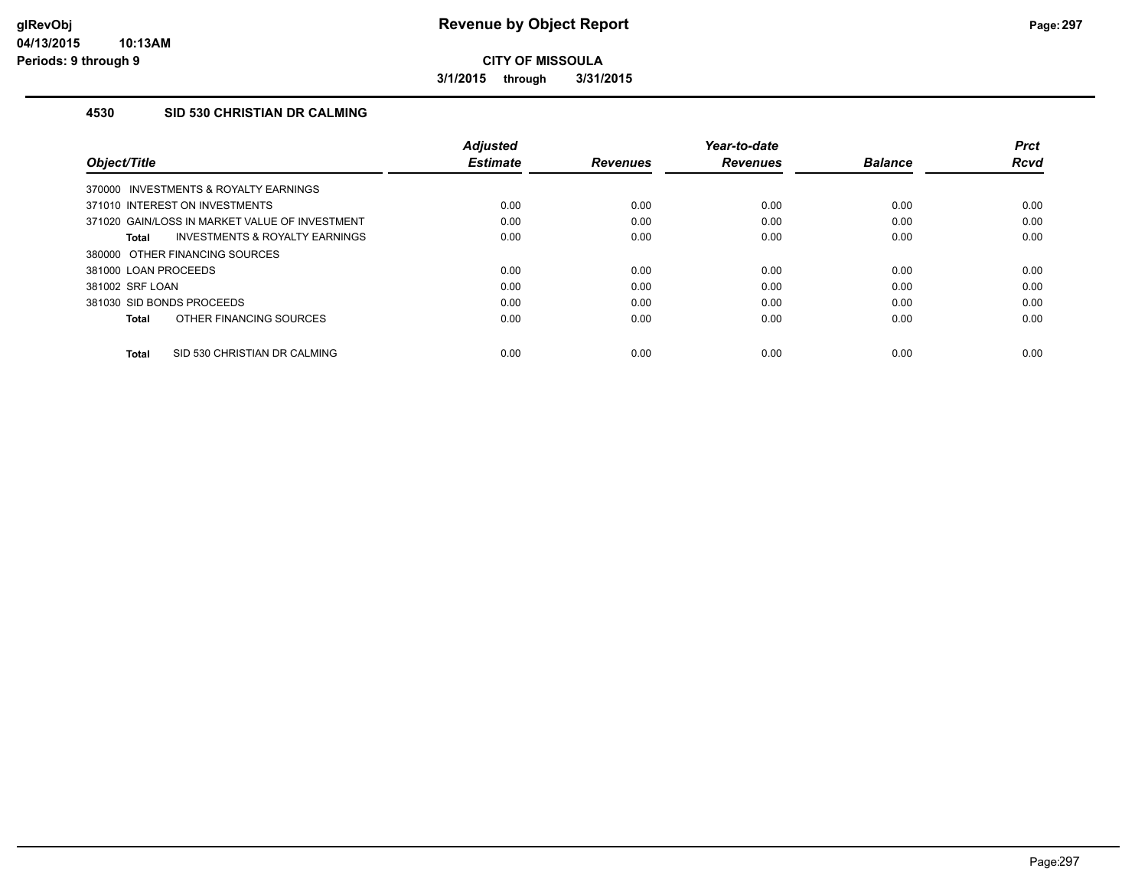**3/1/2015 through 3/31/2015**

## **4530 SID 530 CHRISTIAN DR CALMING**

| Object/Title                                   | <b>Adjusted</b><br><b>Estimate</b> | <b>Revenues</b> | Year-to-date<br><b>Revenues</b> | <b>Balance</b> | <b>Prct</b><br><b>Rcvd</b> |
|------------------------------------------------|------------------------------------|-----------------|---------------------------------|----------------|----------------------------|
| 370000 INVESTMENTS & ROYALTY EARNINGS          |                                    |                 |                                 |                |                            |
| 371010 INTEREST ON INVESTMENTS                 | 0.00                               | 0.00            | 0.00                            | 0.00           | 0.00                       |
| 371020 GAIN/LOSS IN MARKET VALUE OF INVESTMENT | 0.00                               | 0.00            | 0.00                            | 0.00           | 0.00                       |
| INVESTMENTS & ROYALTY EARNINGS<br>Total        | 0.00                               | 0.00            | 0.00                            | 0.00           | 0.00                       |
| 380000 OTHER FINANCING SOURCES                 |                                    |                 |                                 |                |                            |
| 381000 LOAN PROCEEDS                           | 0.00                               | 0.00            | 0.00                            | 0.00           | 0.00                       |
| 381002 SRF LOAN                                | 0.00                               | 0.00            | 0.00                            | 0.00           | 0.00                       |
| 381030 SID BONDS PROCEEDS                      | 0.00                               | 0.00            | 0.00                            | 0.00           | 0.00                       |
| OTHER FINANCING SOURCES<br><b>Total</b>        | 0.00                               | 0.00            | 0.00                            | 0.00           | 0.00                       |
| SID 530 CHRISTIAN DR CALMING<br><b>Total</b>   | 0.00                               | 0.00            | 0.00                            | 0.00           | 0.00                       |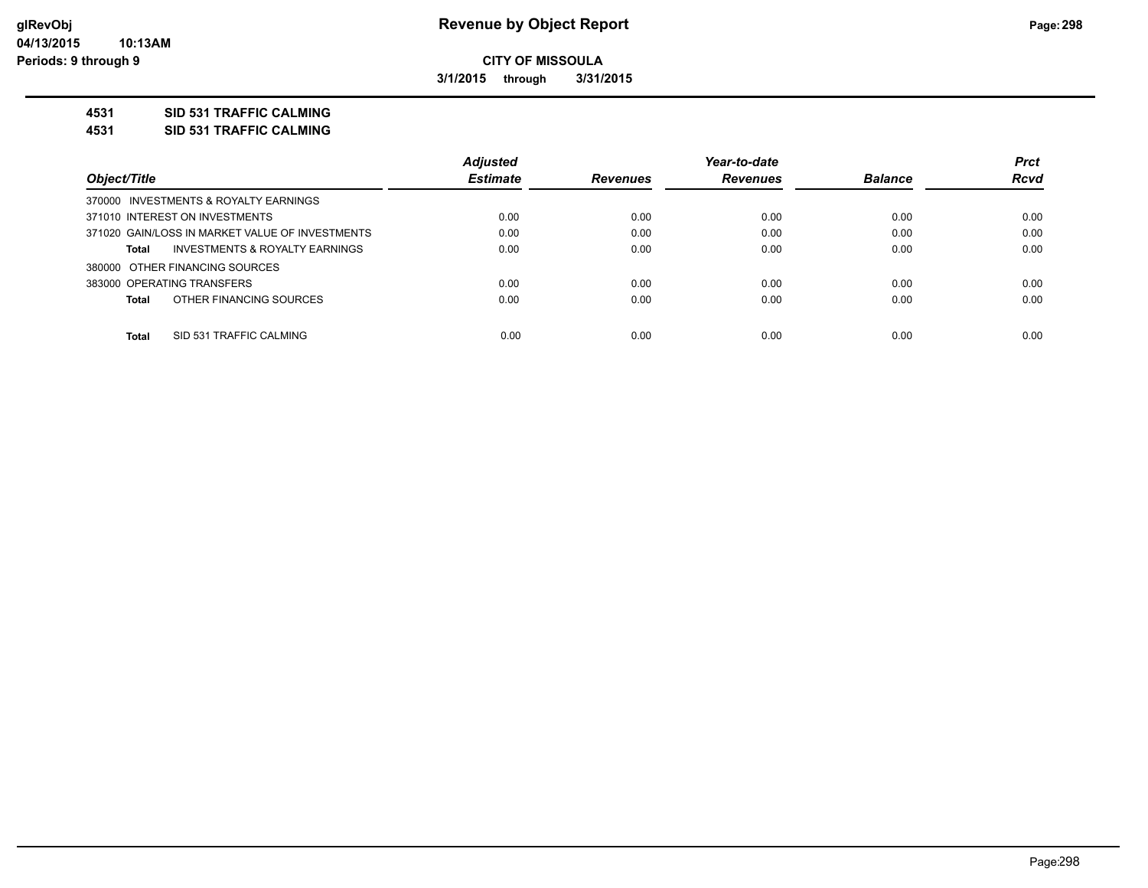**3/1/2015 through 3/31/2015**

### **4531 SID 531 TRAFFIC CALMING**

**4531 SID 531 TRAFFIC CALMING**

|                                                 | <b>Adjusted</b> |                 | Year-to-date    |                | <b>Prct</b> |
|-------------------------------------------------|-----------------|-----------------|-----------------|----------------|-------------|
| Object/Title                                    | <b>Estimate</b> | <b>Revenues</b> | <b>Revenues</b> | <b>Balance</b> | <b>Rcvd</b> |
| 370000 INVESTMENTS & ROYALTY EARNINGS           |                 |                 |                 |                |             |
| 371010 INTEREST ON INVESTMENTS                  | 0.00            | 0.00            | 0.00            | 0.00           | 0.00        |
| 371020 GAIN/LOSS IN MARKET VALUE OF INVESTMENTS | 0.00            | 0.00            | 0.00            | 0.00           | 0.00        |
| INVESTMENTS & ROYALTY EARNINGS<br>Total         | 0.00            | 0.00            | 0.00            | 0.00           | 0.00        |
| 380000 OTHER FINANCING SOURCES                  |                 |                 |                 |                |             |
| 383000 OPERATING TRANSFERS                      | 0.00            | 0.00            | 0.00            | 0.00           | 0.00        |
| OTHER FINANCING SOURCES<br>Total                | 0.00            | 0.00            | 0.00            | 0.00           | 0.00        |
| <b>Total</b><br>SID 531 TRAFFIC CALMING         | 0.00            | 0.00            | 0.00            | 0.00           | 0.00        |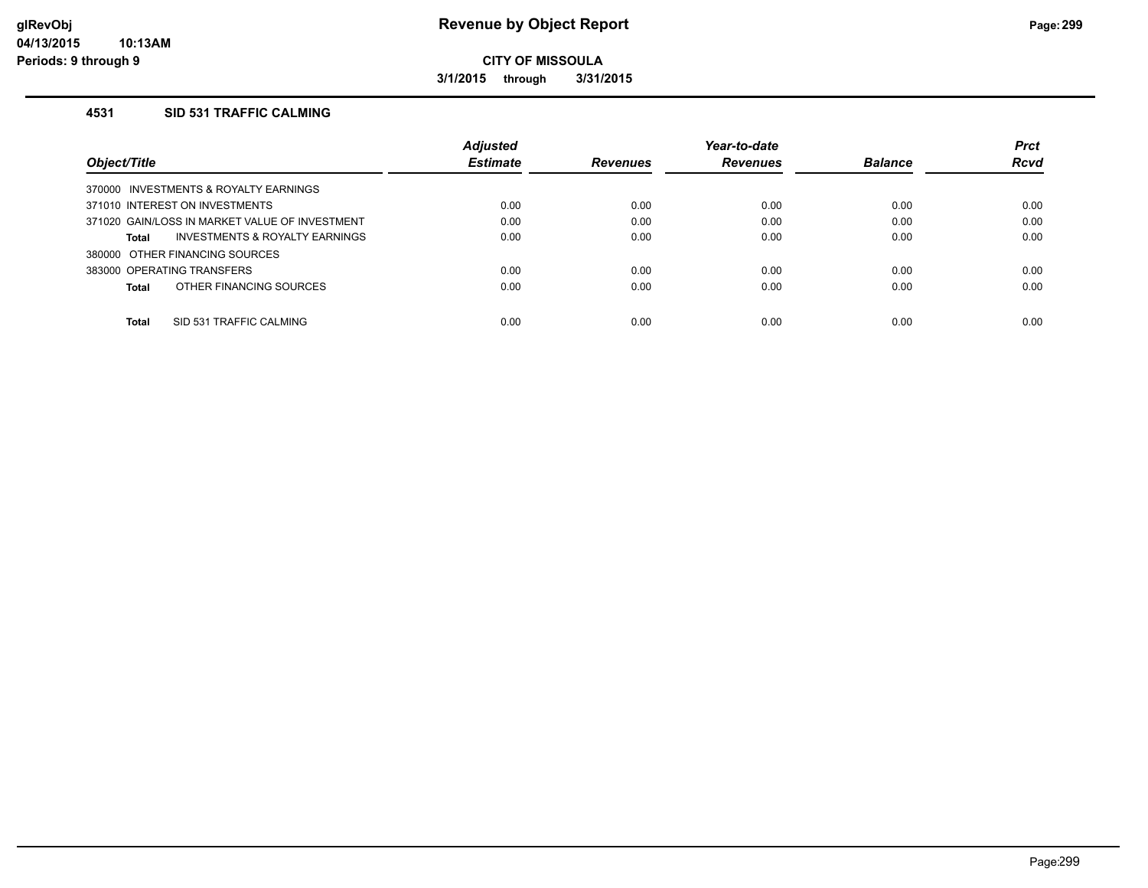**3/1/2015 through 3/31/2015**

### **4531 SID 531 TRAFFIC CALMING**

|                                                | <b>Adjusted</b> |                 | Year-to-date    |                | <b>Prct</b> |
|------------------------------------------------|-----------------|-----------------|-----------------|----------------|-------------|
| Object/Title                                   | <b>Estimate</b> | <b>Revenues</b> | <b>Revenues</b> | <b>Balance</b> | <b>Rcvd</b> |
| 370000 INVESTMENTS & ROYALTY EARNINGS          |                 |                 |                 |                |             |
| 371010 INTEREST ON INVESTMENTS                 | 0.00            | 0.00            | 0.00            | 0.00           | 0.00        |
| 371020 GAIN/LOSS IN MARKET VALUE OF INVESTMENT | 0.00            | 0.00            | 0.00            | 0.00           | 0.00        |
| INVESTMENTS & ROYALTY EARNINGS<br>Total        | 0.00            | 0.00            | 0.00            | 0.00           | 0.00        |
| 380000 OTHER FINANCING SOURCES                 |                 |                 |                 |                |             |
| 383000 OPERATING TRANSFERS                     | 0.00            | 0.00            | 0.00            | 0.00           | 0.00        |
| OTHER FINANCING SOURCES<br>Total               | 0.00            | 0.00            | 0.00            | 0.00           | 0.00        |
| Total<br>SID 531 TRAFFIC CALMING               | 0.00            | 0.00            | 0.00            | 0.00           | 0.00        |
|                                                |                 |                 |                 |                |             |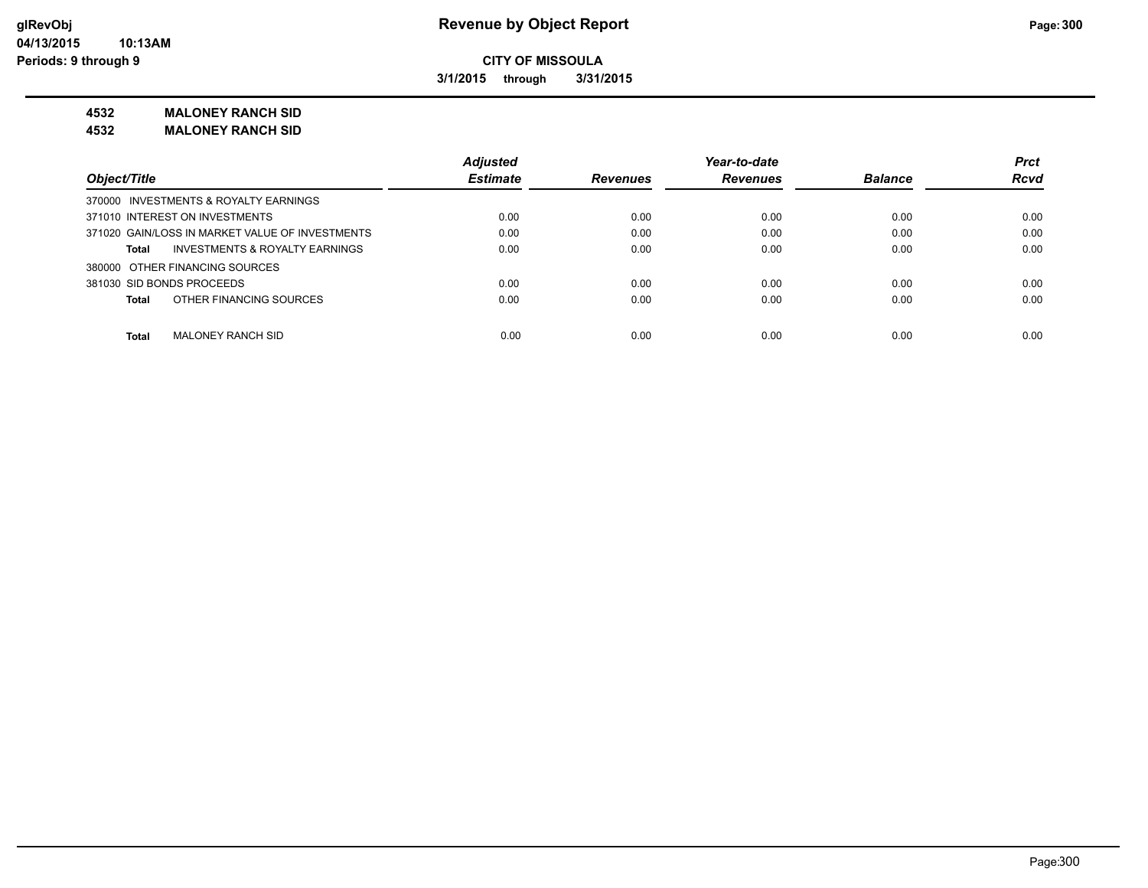**3/1/2015 through 3/31/2015**

**4532 MALONEY RANCH SID**

**4532 MALONEY RANCH SID**

|                                                 | <b>Adjusted</b> |                 | Year-to-date    |                | <b>Prct</b> |
|-------------------------------------------------|-----------------|-----------------|-----------------|----------------|-------------|
| Object/Title                                    | <b>Estimate</b> | <b>Revenues</b> | <b>Revenues</b> | <b>Balance</b> | <b>Rcvd</b> |
| 370000 INVESTMENTS & ROYALTY EARNINGS           |                 |                 |                 |                |             |
| 371010 INTEREST ON INVESTMENTS                  | 0.00            | 0.00            | 0.00            | 0.00           | 0.00        |
| 371020 GAIN/LOSS IN MARKET VALUE OF INVESTMENTS | 0.00            | 0.00            | 0.00            | 0.00           | 0.00        |
| INVESTMENTS & ROYALTY EARNINGS<br>Total         | 0.00            | 0.00            | 0.00            | 0.00           | 0.00        |
| 380000 OTHER FINANCING SOURCES                  |                 |                 |                 |                |             |
| 381030 SID BONDS PROCEEDS                       | 0.00            | 0.00            | 0.00            | 0.00           | 0.00        |
| OTHER FINANCING SOURCES<br><b>Total</b>         | 0.00            | 0.00            | 0.00            | 0.00           | 0.00        |
| <b>Total</b><br><b>MALONEY RANCH SID</b>        | 0.00            | 0.00            | 0.00            | 0.00           | 0.00        |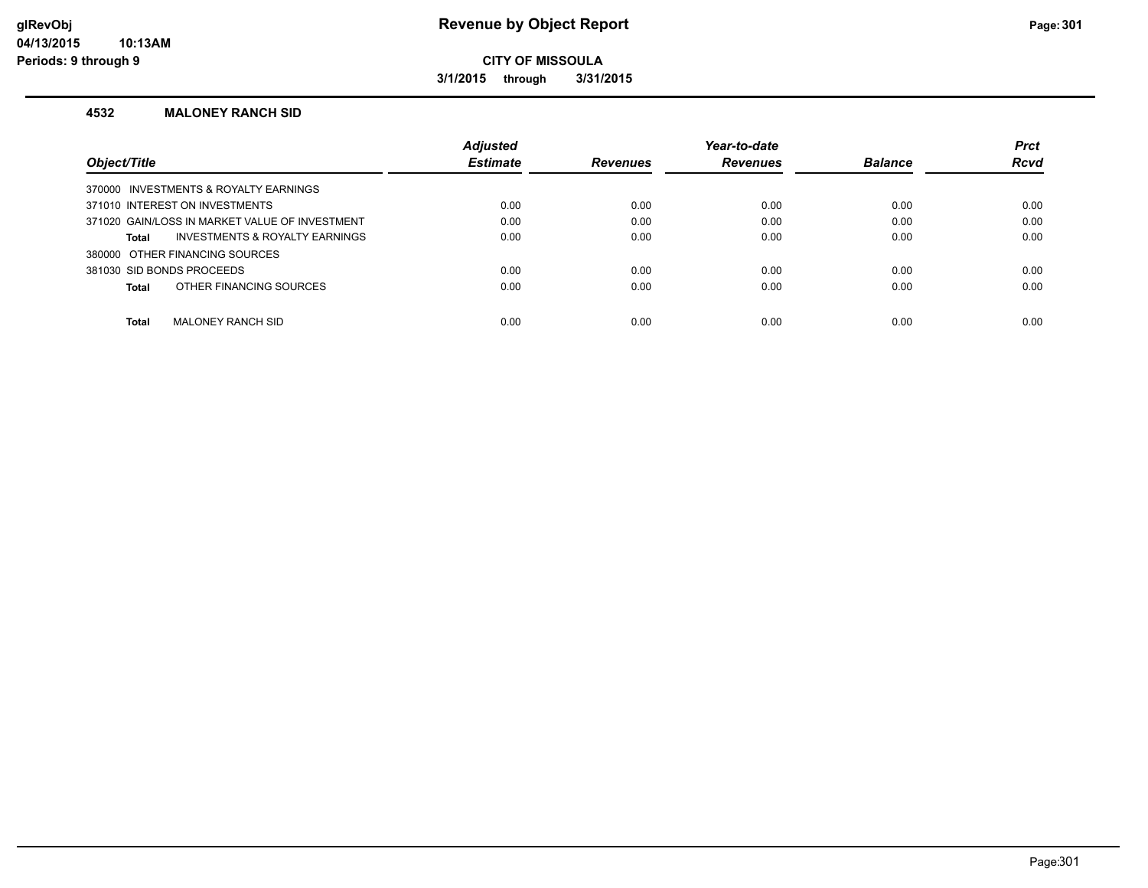## **glRevObj Revenue by Object Report Page:301**

**CITY OF MISSOULA**

**3/1/2015 through 3/31/2015**

### **4532 MALONEY RANCH SID**

|                                                | <b>Adjusted</b> |                 | Year-to-date    |                | <b>Prct</b> |
|------------------------------------------------|-----------------|-----------------|-----------------|----------------|-------------|
| <b>Object/Title</b>                            | <b>Estimate</b> | <b>Revenues</b> | <b>Revenues</b> | <b>Balance</b> | <b>Rcvd</b> |
| 370000 INVESTMENTS & ROYALTY EARNINGS          |                 |                 |                 |                |             |
| 371010 INTEREST ON INVESTMENTS                 | 0.00            | 0.00            | 0.00            | 0.00           | 0.00        |
| 371020 GAIN/LOSS IN MARKET VALUE OF INVESTMENT | 0.00            | 0.00            | 0.00            | 0.00           | 0.00        |
| INVESTMENTS & ROYALTY EARNINGS<br>Total        | 0.00            | 0.00            | 0.00            | 0.00           | 0.00        |
| 380000 OTHER FINANCING SOURCES                 |                 |                 |                 |                |             |
| 381030 SID BONDS PROCEEDS                      | 0.00            | 0.00            | 0.00            | 0.00           | 0.00        |
| OTHER FINANCING SOURCES<br>Total               | 0.00            | 0.00            | 0.00            | 0.00           | 0.00        |
|                                                |                 |                 |                 |                |             |
| Total<br><b>MALONEY RANCH SID</b>              | 0.00            | 0.00            | 0.00            | 0.00           | 0.00        |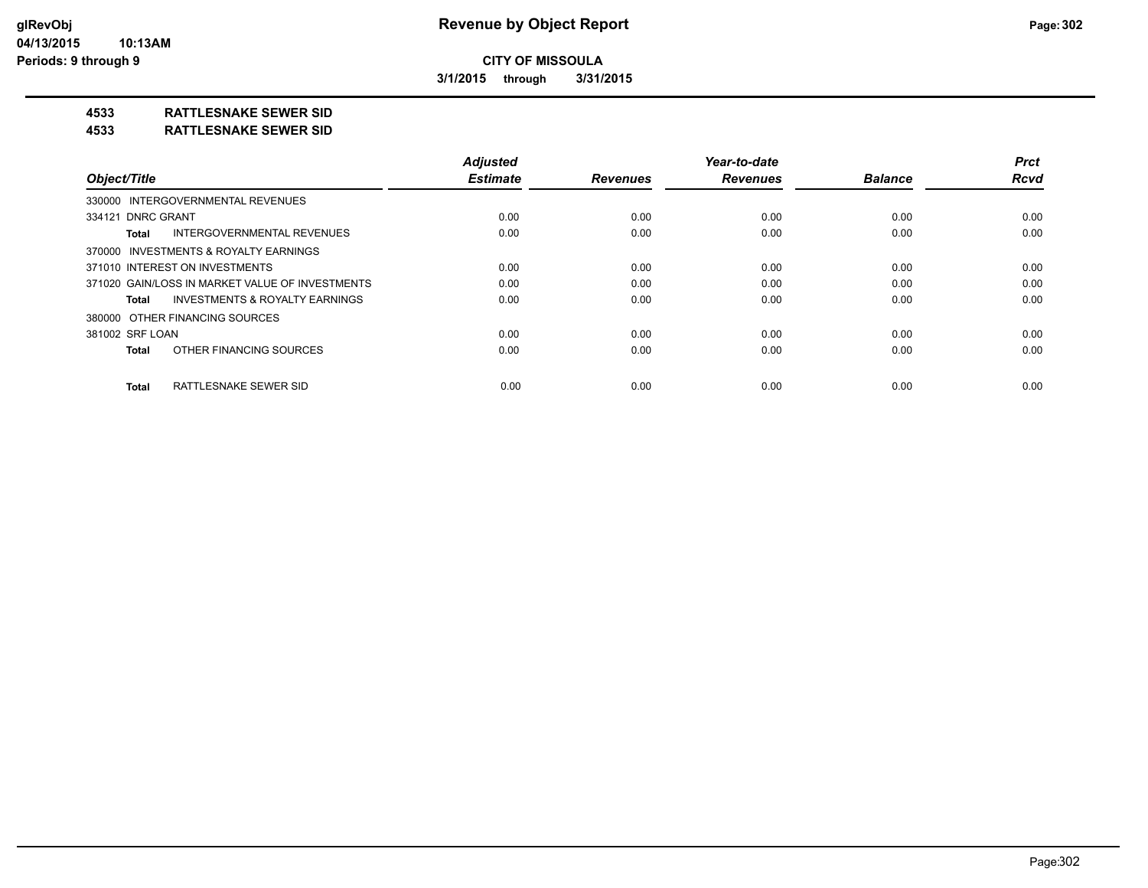**3/1/2015 through 3/31/2015**

## **4533 RATTLESNAKE SEWER SID**

#### **4533 RATTLESNAKE SEWER SID**

| Object/Title                                       | <b>Adjusted</b><br><b>Estimate</b> | <b>Revenues</b> | Year-to-date<br><b>Revenues</b> | <b>Balance</b> | <b>Prct</b><br><b>Rcvd</b> |
|----------------------------------------------------|------------------------------------|-----------------|---------------------------------|----------------|----------------------------|
| 330000 INTERGOVERNMENTAL REVENUES                  |                                    |                 |                                 |                |                            |
| 334121 DNRC GRANT                                  | 0.00                               | 0.00            | 0.00                            | 0.00           | 0.00                       |
| INTERGOVERNMENTAL REVENUES<br><b>Total</b>         | 0.00                               | 0.00            | 0.00                            | 0.00           | 0.00                       |
| 370000 INVESTMENTS & ROYALTY EARNINGS              |                                    |                 |                                 |                |                            |
| 371010 INTEREST ON INVESTMENTS                     | 0.00                               | 0.00            | 0.00                            | 0.00           | 0.00                       |
| 371020 GAIN/LOSS IN MARKET VALUE OF INVESTMENTS    | 0.00                               | 0.00            | 0.00                            | 0.00           | 0.00                       |
| <b>INVESTMENTS &amp; ROYALTY EARNINGS</b><br>Total | 0.00                               | 0.00            | 0.00                            | 0.00           | 0.00                       |
| 380000 OTHER FINANCING SOURCES                     |                                    |                 |                                 |                |                            |
| 381002 SRF LOAN                                    | 0.00                               | 0.00            | 0.00                            | 0.00           | 0.00                       |
| OTHER FINANCING SOURCES<br><b>Total</b>            | 0.00                               | 0.00            | 0.00                            | 0.00           | 0.00                       |
| RATTLESNAKE SEWER SID<br><b>Total</b>              | 0.00                               | 0.00            | 0.00                            | 0.00           | 0.00                       |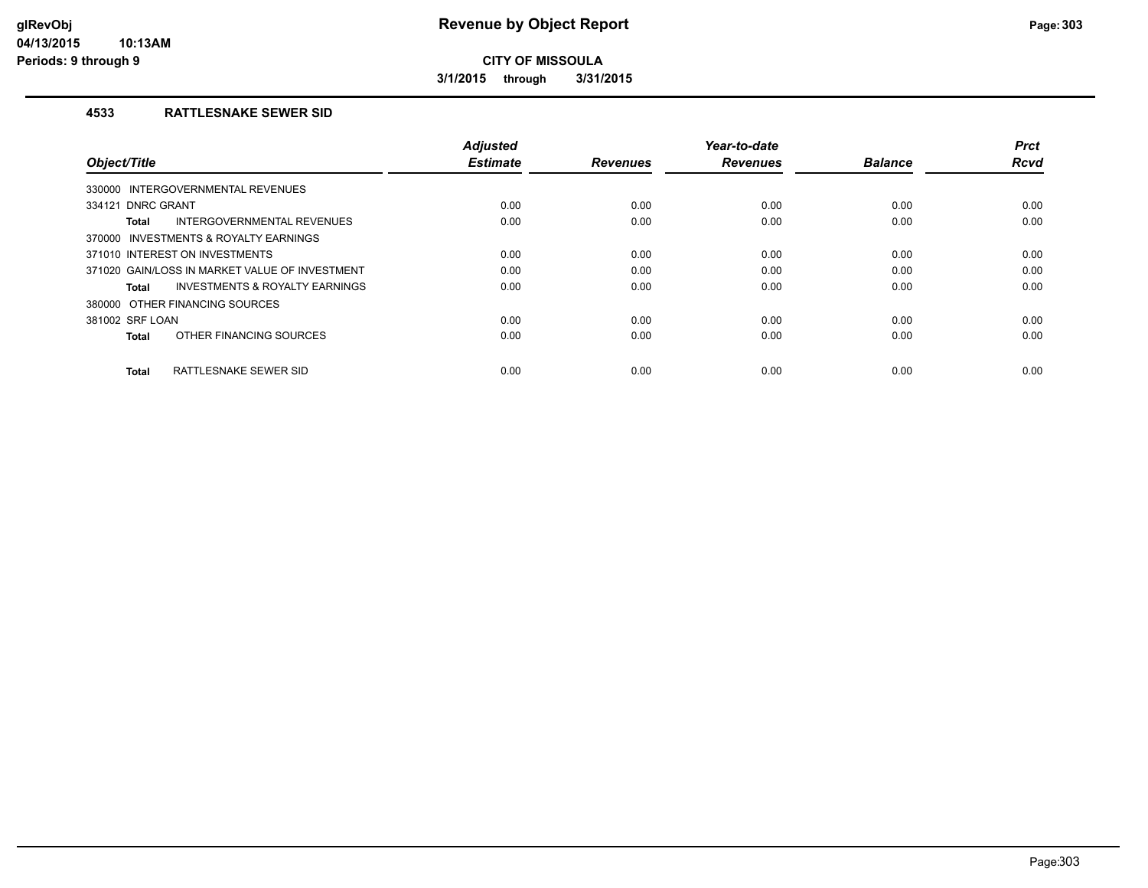**3/1/2015 through 3/31/2015**

### **4533 RATTLESNAKE SEWER SID**

| Object/Title                                   | <b>Adjusted</b><br><b>Estimate</b> | <b>Revenues</b> | Year-to-date<br><b>Revenues</b> | <b>Balance</b> | <b>Prct</b><br>Rcvd |
|------------------------------------------------|------------------------------------|-----------------|---------------------------------|----------------|---------------------|
| INTERGOVERNMENTAL REVENUES<br>330000           |                                    |                 |                                 |                |                     |
| 334121 DNRC GRANT                              | 0.00                               | 0.00            | 0.00                            | 0.00           | 0.00                |
| INTERGOVERNMENTAL REVENUES<br>Total            | 0.00                               | 0.00            | 0.00                            | 0.00           | 0.00                |
| 370000 INVESTMENTS & ROYALTY EARNINGS          |                                    |                 |                                 |                |                     |
| 371010 INTEREST ON INVESTMENTS                 | 0.00                               | 0.00            | 0.00                            | 0.00           | 0.00                |
| 371020 GAIN/LOSS IN MARKET VALUE OF INVESTMENT | 0.00                               | 0.00            | 0.00                            | 0.00           | 0.00                |
| INVESTMENTS & ROYALTY EARNINGS<br>Total        | 0.00                               | 0.00            | 0.00                            | 0.00           | 0.00                |
| 380000 OTHER FINANCING SOURCES                 |                                    |                 |                                 |                |                     |
| 381002 SRF LOAN                                | 0.00                               | 0.00            | 0.00                            | 0.00           | 0.00                |
| OTHER FINANCING SOURCES<br><b>Total</b>        | 0.00                               | 0.00            | 0.00                            | 0.00           | 0.00                |
| RATTLESNAKE SEWER SID<br><b>Total</b>          | 0.00                               | 0.00            | 0.00                            | 0.00           | 0.00                |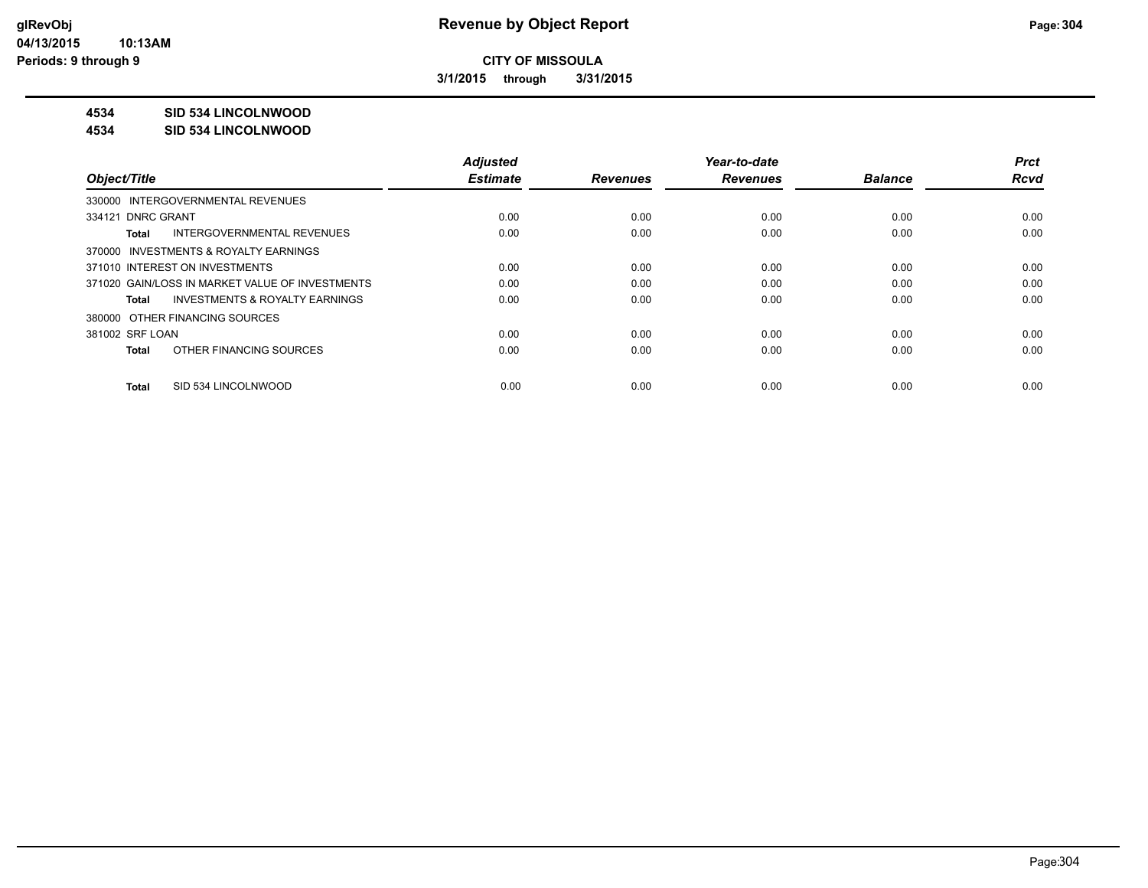**3/1/2015 through 3/31/2015**

## **4534 SID 534 LINCOLNWOOD**

#### **4534 SID 534 LINCOLNWOOD**

|                                                    | <b>Adjusted</b> |                 | Year-to-date    |                | <b>Prct</b> |
|----------------------------------------------------|-----------------|-----------------|-----------------|----------------|-------------|
| Object/Title                                       | <b>Estimate</b> | <b>Revenues</b> | <b>Revenues</b> | <b>Balance</b> | <b>Rcvd</b> |
| 330000 INTERGOVERNMENTAL REVENUES                  |                 |                 |                 |                |             |
| 334121 DNRC GRANT                                  | 0.00            | 0.00            | 0.00            | 0.00           | 0.00        |
| INTERGOVERNMENTAL REVENUES<br>Total                | 0.00            | 0.00            | 0.00            | 0.00           | 0.00        |
| 370000 INVESTMENTS & ROYALTY EARNINGS              |                 |                 |                 |                |             |
| 371010 INTEREST ON INVESTMENTS                     | 0.00            | 0.00            | 0.00            | 0.00           | 0.00        |
| 371020 GAIN/LOSS IN MARKET VALUE OF INVESTMENTS    | 0.00            | 0.00            | 0.00            | 0.00           | 0.00        |
| <b>INVESTMENTS &amp; ROYALTY EARNINGS</b><br>Total | 0.00            | 0.00            | 0.00            | 0.00           | 0.00        |
| 380000 OTHER FINANCING SOURCES                     |                 |                 |                 |                |             |
| 381002 SRF LOAN                                    | 0.00            | 0.00            | 0.00            | 0.00           | 0.00        |
| OTHER FINANCING SOURCES<br>Total                   | 0.00            | 0.00            | 0.00            | 0.00           | 0.00        |
| SID 534 LINCOLNWOOD<br>Total                       | 0.00            | 0.00            | 0.00            | 0.00           | 0.00        |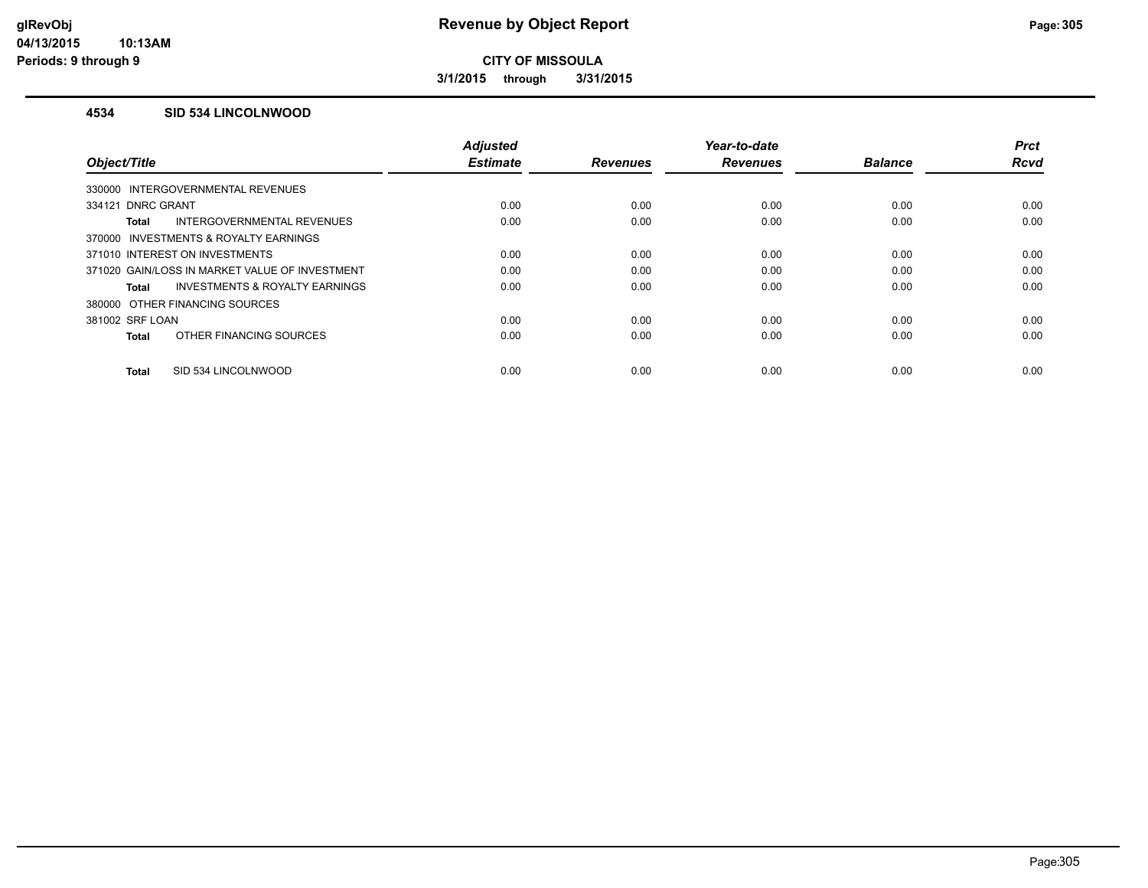**3/1/2015 through 3/31/2015**

### **4534 SID 534 LINCOLNWOOD**

|                                                | <b>Adjusted</b> |                 | Year-to-date    |                | <b>Prct</b> |
|------------------------------------------------|-----------------|-----------------|-----------------|----------------|-------------|
| Object/Title                                   | <b>Estimate</b> | <b>Revenues</b> | <b>Revenues</b> | <b>Balance</b> | <b>Rcvd</b> |
| 330000 INTERGOVERNMENTAL REVENUES              |                 |                 |                 |                |             |
| 334121 DNRC GRANT                              | 0.00            | 0.00            | 0.00            | 0.00           | 0.00        |
| INTERGOVERNMENTAL REVENUES<br>Total            | 0.00            | 0.00            | 0.00            | 0.00           | 0.00        |
| 370000 INVESTMENTS & ROYALTY EARNINGS          |                 |                 |                 |                |             |
| 371010 INTEREST ON INVESTMENTS                 | 0.00            | 0.00            | 0.00            | 0.00           | 0.00        |
| 371020 GAIN/LOSS IN MARKET VALUE OF INVESTMENT | 0.00            | 0.00            | 0.00            | 0.00           | 0.00        |
| INVESTMENTS & ROYALTY EARNINGS<br>Total        | 0.00            | 0.00            | 0.00            | 0.00           | 0.00        |
| 380000 OTHER FINANCING SOURCES                 |                 |                 |                 |                |             |
| 381002 SRF LOAN                                | 0.00            | 0.00            | 0.00            | 0.00           | 0.00        |
| OTHER FINANCING SOURCES<br><b>Total</b>        | 0.00            | 0.00            | 0.00            | 0.00           | 0.00        |
| SID 534 LINCOLNWOOD<br><b>Total</b>            | 0.00            | 0.00            | 0.00            | 0.00           | 0.00        |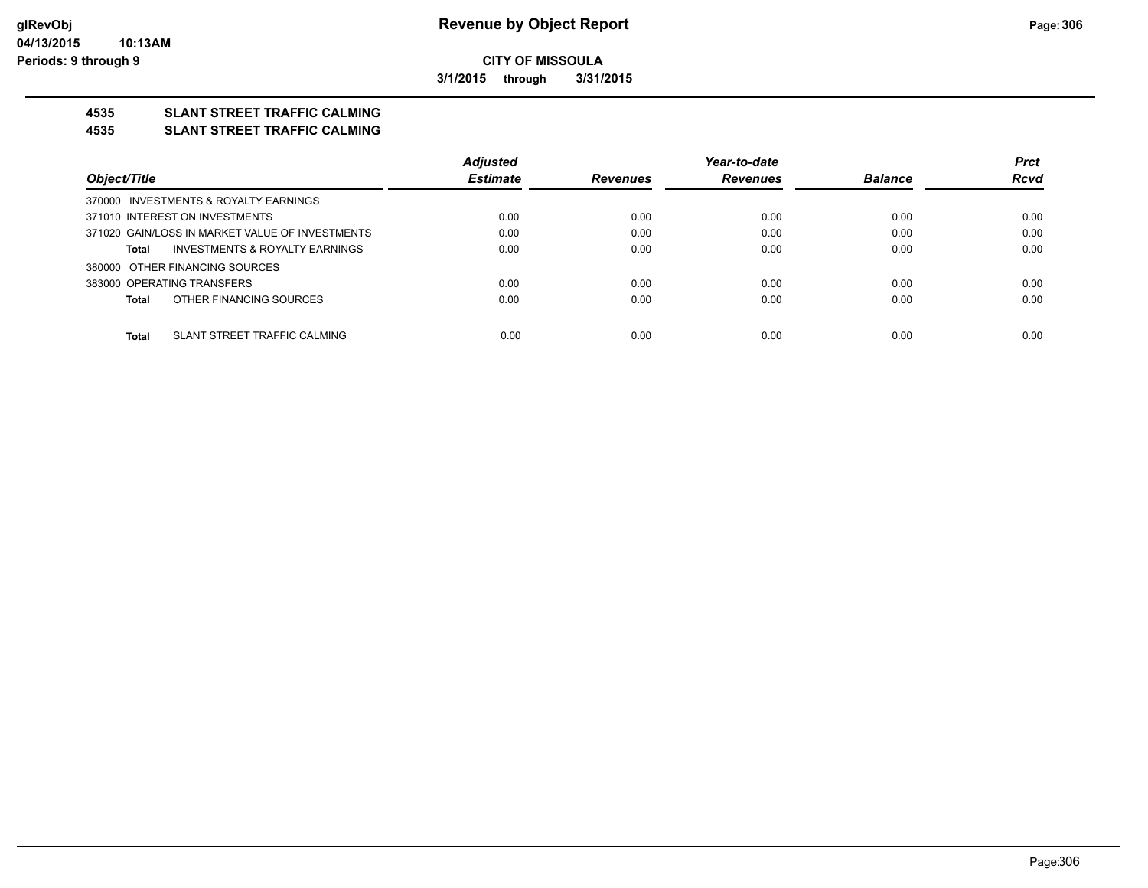**3/1/2015 through 3/31/2015**

## **4535 SLANT STREET TRAFFIC CALMING**

### **4535 SLANT STREET TRAFFIC CALMING**

|                                                 | <b>Adjusted</b> |                 | Year-to-date    |                | <b>Prct</b> |
|-------------------------------------------------|-----------------|-----------------|-----------------|----------------|-------------|
| Object/Title                                    | <b>Estimate</b> | <b>Revenues</b> | <b>Revenues</b> | <b>Balance</b> | <b>Rcvd</b> |
| 370000 INVESTMENTS & ROYALTY EARNINGS           |                 |                 |                 |                |             |
| 371010 INTEREST ON INVESTMENTS                  | 0.00            | 0.00            | 0.00            | 0.00           | 0.00        |
| 371020 GAIN/LOSS IN MARKET VALUE OF INVESTMENTS | 0.00            | 0.00            | 0.00            | 0.00           | 0.00        |
| INVESTMENTS & ROYALTY EARNINGS<br>Total         | 0.00            | 0.00            | 0.00            | 0.00           | 0.00        |
| 380000 OTHER FINANCING SOURCES                  |                 |                 |                 |                |             |
| 383000 OPERATING TRANSFERS                      | 0.00            | 0.00            | 0.00            | 0.00           | 0.00        |
| OTHER FINANCING SOURCES<br>Total                | 0.00            | 0.00            | 0.00            | 0.00           | 0.00        |
|                                                 |                 |                 |                 |                |             |
| SLANT STREET TRAFFIC CALMING<br>Total           | 0.00            | 0.00            | 0.00            | 0.00           | 0.00        |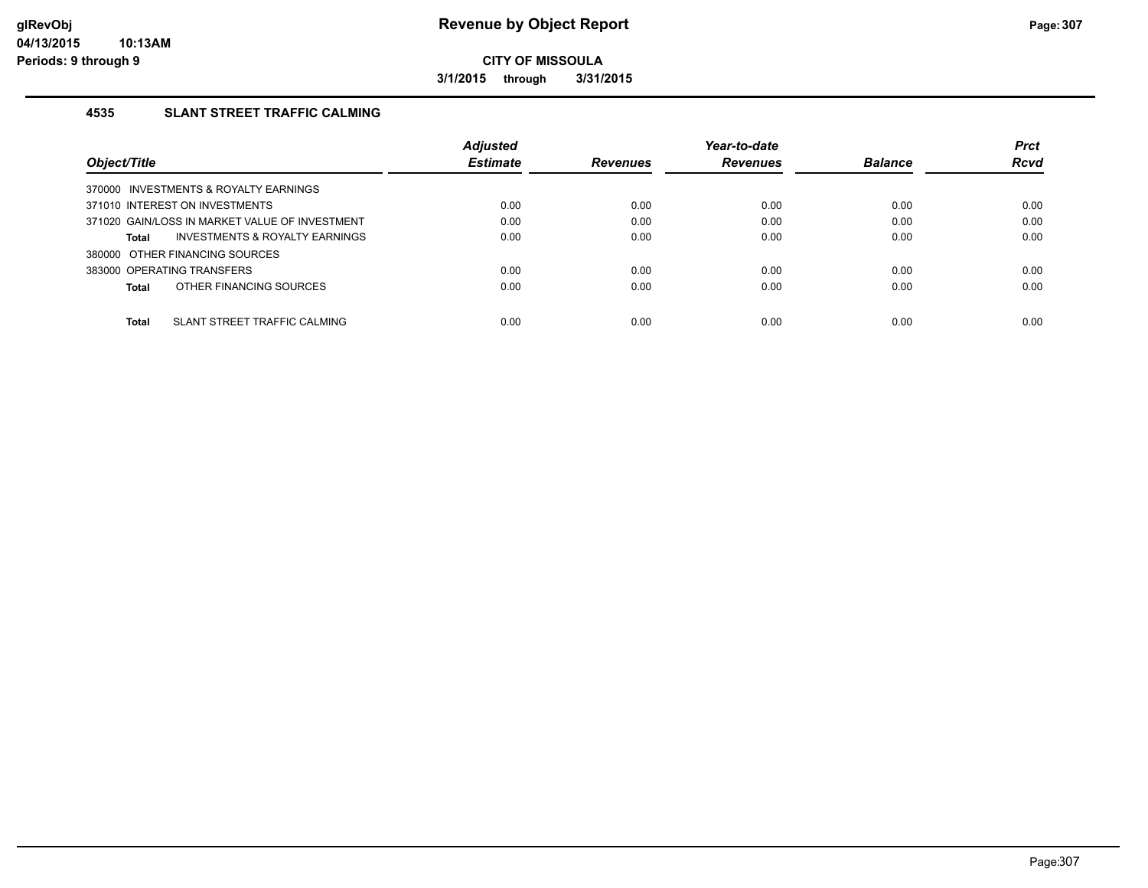**3/1/2015 through 3/31/2015**

## **4535 SLANT STREET TRAFFIC CALMING**

|                                                    | <b>Adjusted</b> |                 | Year-to-date    |                | <b>Prct</b> |
|----------------------------------------------------|-----------------|-----------------|-----------------|----------------|-------------|
| Object/Title                                       | <b>Estimate</b> | <b>Revenues</b> | <b>Revenues</b> | <b>Balance</b> | Rcvd        |
| 370000 INVESTMENTS & ROYALTY EARNINGS              |                 |                 |                 |                |             |
| 371010 INTEREST ON INVESTMENTS                     | 0.00            | 0.00            | 0.00            | 0.00           | 0.00        |
| 371020 GAIN/LOSS IN MARKET VALUE OF INVESTMENT     | 0.00            | 0.00            | 0.00            | 0.00           | 0.00        |
| <b>INVESTMENTS &amp; ROYALTY EARNINGS</b><br>Total | 0.00            | 0.00            | 0.00            | 0.00           | 0.00        |
| 380000 OTHER FINANCING SOURCES                     |                 |                 |                 |                |             |
| 383000 OPERATING TRANSFERS                         | 0.00            | 0.00            | 0.00            | 0.00           | 0.00        |
| OTHER FINANCING SOURCES<br>Total                   | 0.00            | 0.00            | 0.00            | 0.00           | 0.00        |
|                                                    |                 |                 |                 |                |             |
| Total<br>SLANT STREET TRAFFIC CALMING              | 0.00            | 0.00            | 0.00            | 0.00           | 0.00        |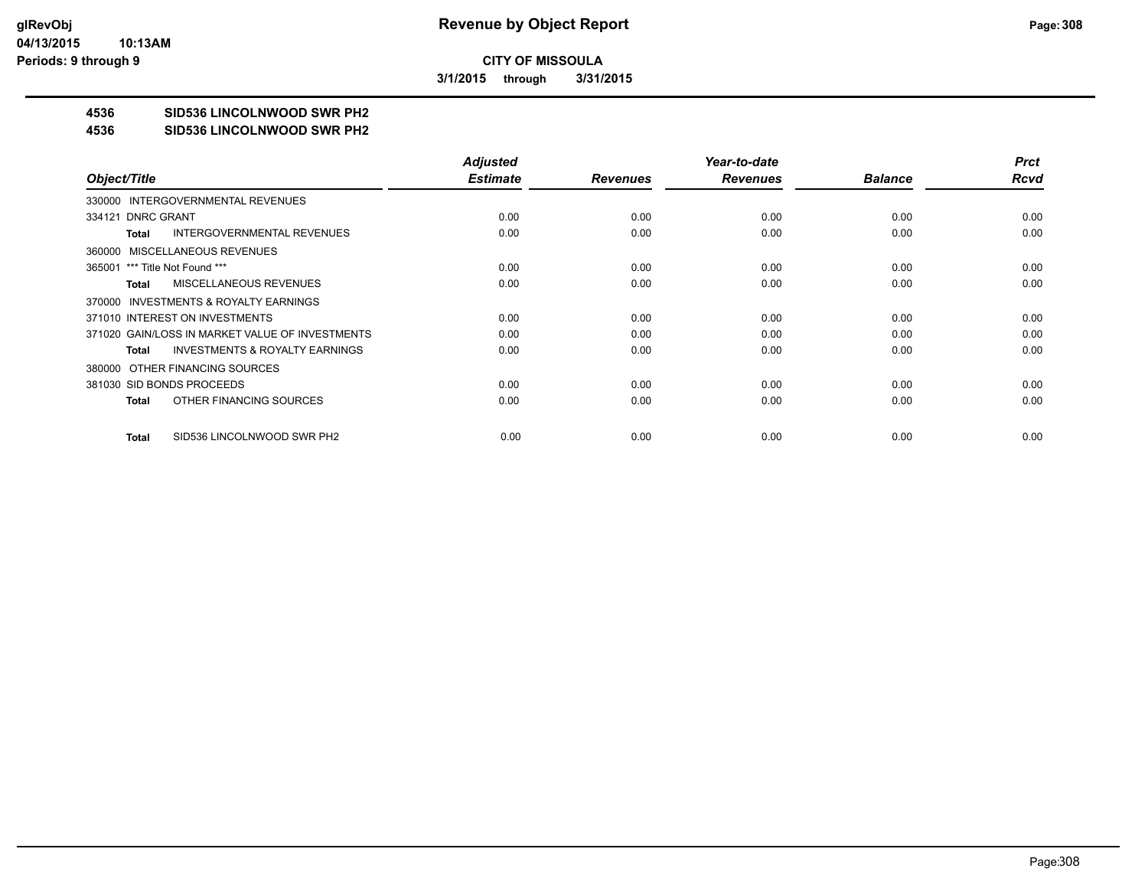**3/1/2015 through 3/31/2015**

## **4536 SID536 LINCOLNWOOD SWR PH2**

#### **4536 SID536 LINCOLNWOOD SWR PH2**

|                                                    | <b>Adjusted</b> |                 | Year-to-date    |                | <b>Prct</b> |
|----------------------------------------------------|-----------------|-----------------|-----------------|----------------|-------------|
| Object/Title                                       | <b>Estimate</b> | <b>Revenues</b> | <b>Revenues</b> | <b>Balance</b> | Rcvd        |
| 330000 INTERGOVERNMENTAL REVENUES                  |                 |                 |                 |                |             |
| 334121 DNRC GRANT                                  | 0.00            | 0.00            | 0.00            | 0.00           | 0.00        |
| <b>INTERGOVERNMENTAL REVENUES</b><br>Total         | 0.00            | 0.00            | 0.00            | 0.00           | 0.00        |
| 360000 MISCELLANEOUS REVENUES                      |                 |                 |                 |                |             |
| 365001 *** Title Not Found ***                     | 0.00            | 0.00            | 0.00            | 0.00           | 0.00        |
| <b>MISCELLANEOUS REVENUES</b><br>Total             | 0.00            | 0.00            | 0.00            | 0.00           | 0.00        |
| 370000 INVESTMENTS & ROYALTY EARNINGS              |                 |                 |                 |                |             |
| 371010 INTEREST ON INVESTMENTS                     | 0.00            | 0.00            | 0.00            | 0.00           | 0.00        |
| 371020 GAIN/LOSS IN MARKET VALUE OF INVESTMENTS    | 0.00            | 0.00            | 0.00            | 0.00           | 0.00        |
| <b>INVESTMENTS &amp; ROYALTY EARNINGS</b><br>Total | 0.00            | 0.00            | 0.00            | 0.00           | 0.00        |
| 380000 OTHER FINANCING SOURCES                     |                 |                 |                 |                |             |
| 381030 SID BONDS PROCEEDS                          | 0.00            | 0.00            | 0.00            | 0.00           | 0.00        |
| OTHER FINANCING SOURCES<br>Total                   | 0.00            | 0.00            | 0.00            | 0.00           | 0.00        |
|                                                    |                 |                 |                 |                |             |
| SID536 LINCOLNWOOD SWR PH2<br>Total                | 0.00            | 0.00            | 0.00            | 0.00           | 0.00        |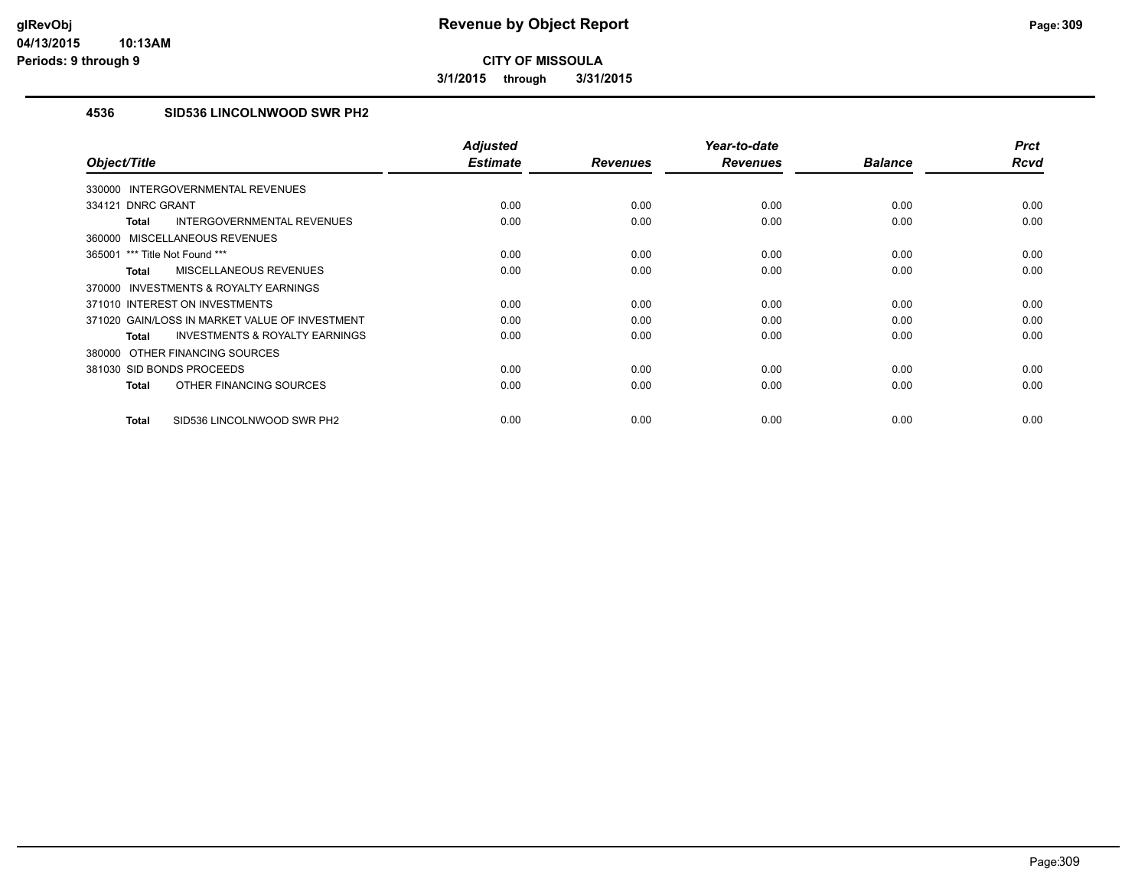**3/1/2015 through 3/31/2015**

## **4536 SID536 LINCOLNWOOD SWR PH2**

| Object/Title                                              | <b>Adjusted</b><br><b>Estimate</b> | <b>Revenues</b> | Year-to-date<br><b>Revenues</b> | <b>Balance</b> | <b>Prct</b><br><b>Rcvd</b> |
|-----------------------------------------------------------|------------------------------------|-----------------|---------------------------------|----------------|----------------------------|
| 330000 INTERGOVERNMENTAL REVENUES                         |                                    |                 |                                 |                |                            |
| <b>DNRC GRANT</b><br>334121                               | 0.00                               | 0.00            | 0.00                            | 0.00           | 0.00                       |
| <b>INTERGOVERNMENTAL REVENUES</b><br><b>Total</b>         | 0.00                               | 0.00            | 0.00                            | 0.00           | 0.00                       |
| 360000 MISCELLANEOUS REVENUES                             |                                    |                 |                                 |                |                            |
| 365001 *** Title Not Found ***                            | 0.00                               | 0.00            | 0.00                            | 0.00           | 0.00                       |
| <b>MISCELLANEOUS REVENUES</b><br><b>Total</b>             | 0.00                               | 0.00            | 0.00                            | 0.00           | 0.00                       |
| 370000 INVESTMENTS & ROYALTY EARNINGS                     |                                    |                 |                                 |                |                            |
| 371010 INTEREST ON INVESTMENTS                            | 0.00                               | 0.00            | 0.00                            | 0.00           | 0.00                       |
| 371020 GAIN/LOSS IN MARKET VALUE OF INVESTMENT            | 0.00                               | 0.00            | 0.00                            | 0.00           | 0.00                       |
| <b>INVESTMENTS &amp; ROYALTY EARNINGS</b><br><b>Total</b> | 0.00                               | 0.00            | 0.00                            | 0.00           | 0.00                       |
| 380000 OTHER FINANCING SOURCES                            |                                    |                 |                                 |                |                            |
| 381030 SID BONDS PROCEEDS                                 | 0.00                               | 0.00            | 0.00                            | 0.00           | 0.00                       |
| OTHER FINANCING SOURCES<br><b>Total</b>                   | 0.00                               | 0.00            | 0.00                            | 0.00           | 0.00                       |
| SID536 LINCOLNWOOD SWR PH2<br><b>Total</b>                | 0.00                               | 0.00            | 0.00                            | 0.00           | 0.00                       |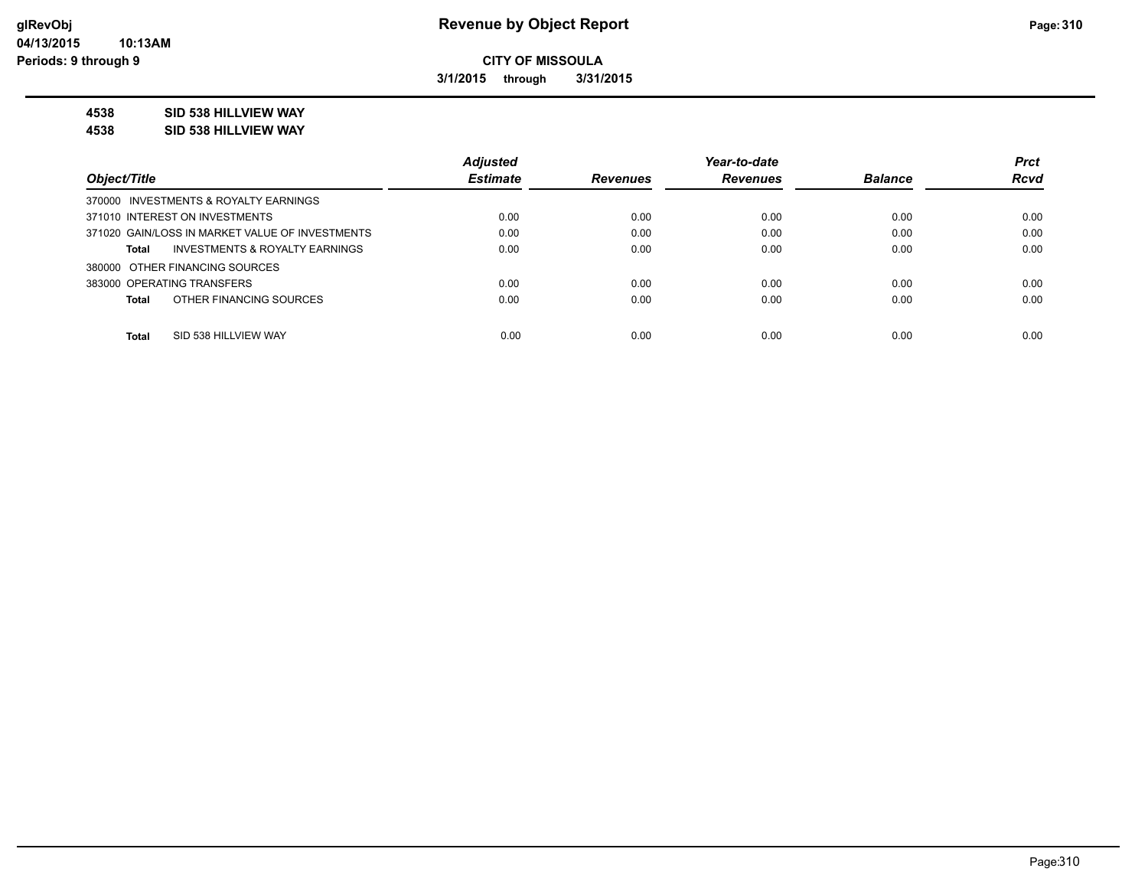**3/1/2015 through 3/31/2015**

## **4538 SID 538 HILLVIEW WAY**

**4538 SID 538 HILLVIEW WAY**

|                                                 | <b>Adjusted</b> |                 | Year-to-date    |                | <b>Prct</b> |
|-------------------------------------------------|-----------------|-----------------|-----------------|----------------|-------------|
| Object/Title                                    | <b>Estimate</b> | <b>Revenues</b> | <b>Revenues</b> | <b>Balance</b> | <b>Rcvd</b> |
| 370000 INVESTMENTS & ROYALTY EARNINGS           |                 |                 |                 |                |             |
| 371010 INTEREST ON INVESTMENTS                  | 0.00            | 0.00            | 0.00            | 0.00           | 0.00        |
| 371020 GAIN/LOSS IN MARKET VALUE OF INVESTMENTS | 0.00            | 0.00            | 0.00            | 0.00           | 0.00        |
| INVESTMENTS & ROYALTY EARNINGS<br>Total         | 0.00            | 0.00            | 0.00            | 0.00           | 0.00        |
| 380000 OTHER FINANCING SOURCES                  |                 |                 |                 |                |             |
| 383000 OPERATING TRANSFERS                      | 0.00            | 0.00            | 0.00            | 0.00           | 0.00        |
| OTHER FINANCING SOURCES<br><b>Total</b>         | 0.00            | 0.00            | 0.00            | 0.00           | 0.00        |
|                                                 |                 |                 |                 |                |             |
| <b>Total</b><br>SID 538 HILLVIEW WAY            | 0.00            | 0.00            | 0.00            | 0.00           | 0.00        |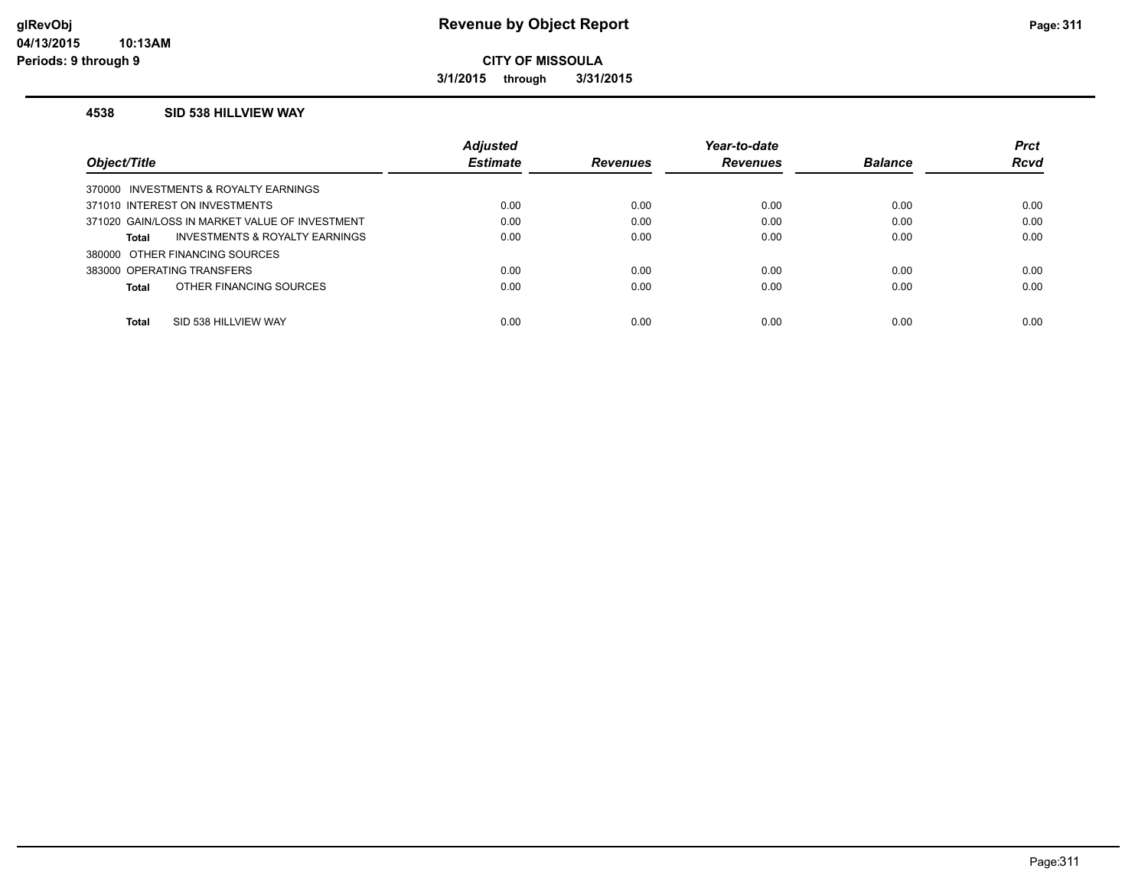**3/1/2015 through 3/31/2015**

### **4538 SID 538 HILLVIEW WAY**

|                                                | <b>Adjusted</b> |                 | Year-to-date    |                | <b>Prct</b> |
|------------------------------------------------|-----------------|-----------------|-----------------|----------------|-------------|
| Object/Title                                   | <b>Estimate</b> | <b>Revenues</b> | <b>Revenues</b> | <b>Balance</b> | <b>Rcvd</b> |
| 370000 INVESTMENTS & ROYALTY EARNINGS          |                 |                 |                 |                |             |
| 371010 INTEREST ON INVESTMENTS                 | 0.00            | 0.00            | 0.00            | 0.00           | 0.00        |
| 371020 GAIN/LOSS IN MARKET VALUE OF INVESTMENT | 0.00            | 0.00            | 0.00            | 0.00           | 0.00        |
| INVESTMENTS & ROYALTY EARNINGS<br>Total        | 0.00            | 0.00            | 0.00            | 0.00           | 0.00        |
| 380000 OTHER FINANCING SOURCES                 |                 |                 |                 |                |             |
| 383000 OPERATING TRANSFERS                     | 0.00            | 0.00            | 0.00            | 0.00           | 0.00        |
| OTHER FINANCING SOURCES<br>Total               | 0.00            | 0.00            | 0.00            | 0.00           | 0.00        |
|                                                |                 |                 |                 |                |             |
| <b>Total</b><br>SID 538 HILLVIEW WAY           | 0.00            | 0.00            | 0.00            | 0.00           | 0.00        |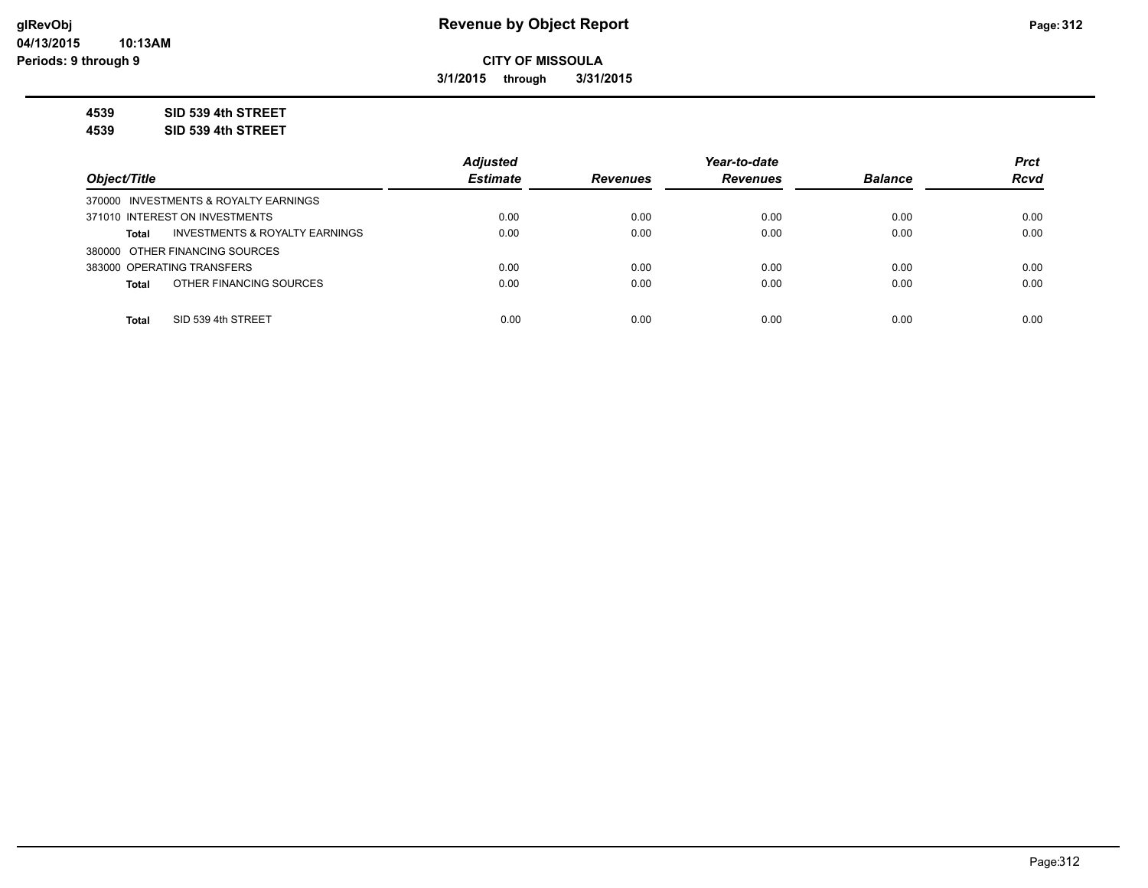**3/1/2015 through 3/31/2015**

**4539 SID 539 4th STREET**

**4539 SID 539 4th STREET**

|                                                | <b>Adiusted</b> |                 | Year-to-date    |                | <b>Prct</b> |
|------------------------------------------------|-----------------|-----------------|-----------------|----------------|-------------|
| Object/Title                                   | <b>Estimate</b> | <b>Revenues</b> | <b>Revenues</b> | <b>Balance</b> | <b>Rcvd</b> |
| 370000 INVESTMENTS & ROYALTY EARNINGS          |                 |                 |                 |                |             |
| 371010 INTEREST ON INVESTMENTS                 | 0.00            | 0.00            | 0.00            | 0.00           | 0.00        |
| INVESTMENTS & ROYALTY EARNINGS<br><b>Total</b> | 0.00            | 0.00            | 0.00            | 0.00           | 0.00        |
| 380000 OTHER FINANCING SOURCES                 |                 |                 |                 |                |             |
| 383000 OPERATING TRANSFERS                     | 0.00            | 0.00            | 0.00            | 0.00           | 0.00        |
| OTHER FINANCING SOURCES<br><b>Total</b>        | 0.00            | 0.00            | 0.00            | 0.00           | 0.00        |
|                                                |                 |                 |                 |                |             |
| SID 539 4th STREET<br><b>Total</b>             | 0.00            | 0.00            | 0.00            | 0.00           | 0.00        |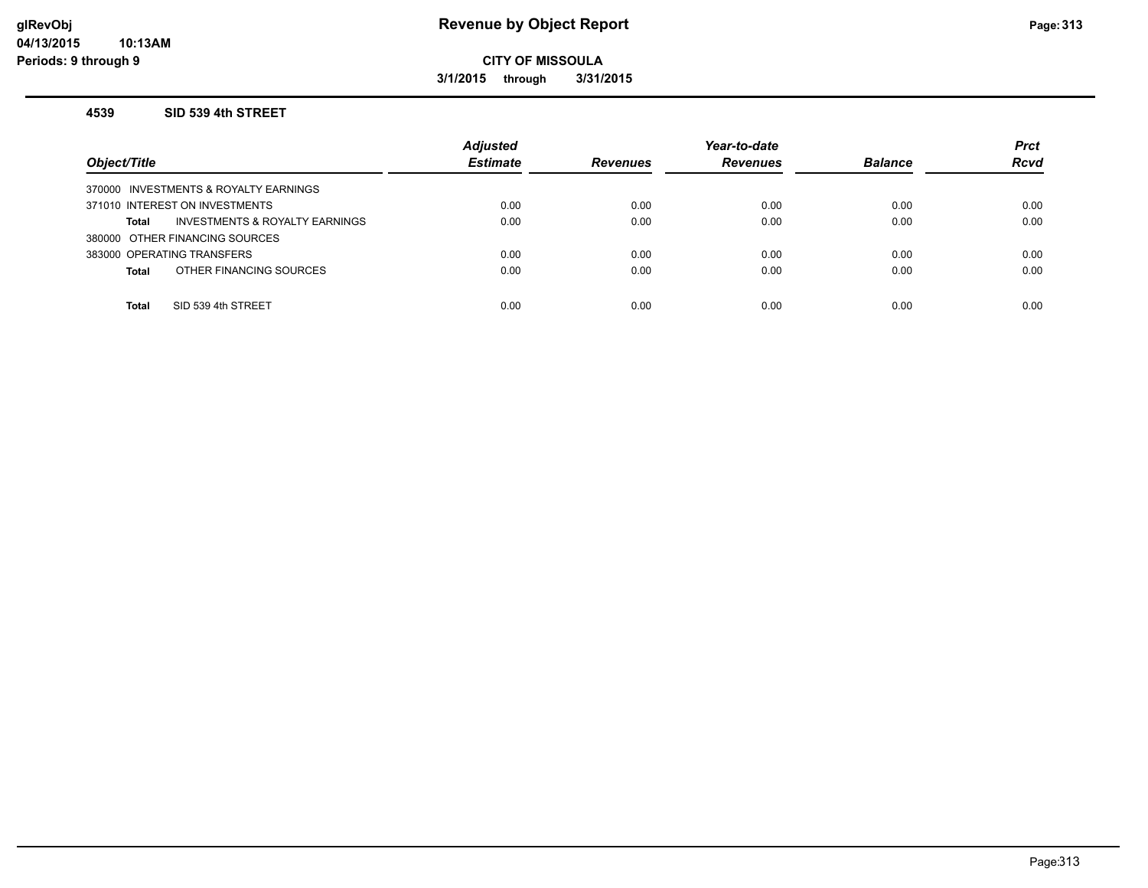## **glRevObj Revenue by Object Report Page:313**

**CITY OF MISSOULA**

**3/1/2015 through 3/31/2015**

### **4539 SID 539 4th STREET**

| Object/Title                            | <b>Adjusted</b><br><b>Estimate</b> | <b>Revenues</b> | Year-to-date<br><b>Revenues</b> | <b>Balance</b> | <b>Prct</b><br><b>Rcvd</b> |
|-----------------------------------------|------------------------------------|-----------------|---------------------------------|----------------|----------------------------|
| 370000 INVESTMENTS & ROYALTY EARNINGS   |                                    |                 |                                 |                |                            |
| 371010 INTEREST ON INVESTMENTS          | 0.00                               | 0.00            | 0.00                            | 0.00           | 0.00                       |
| INVESTMENTS & ROYALTY EARNINGS<br>Total | 0.00                               | 0.00            | 0.00                            | 0.00           | 0.00                       |
| 380000 OTHER FINANCING SOURCES          |                                    |                 |                                 |                |                            |
| 383000 OPERATING TRANSFERS              | 0.00                               | 0.00            | 0.00                            | 0.00           | 0.00                       |
| OTHER FINANCING SOURCES<br><b>Total</b> | 0.00                               | 0.00            | 0.00                            | 0.00           | 0.00                       |
|                                         |                                    |                 |                                 |                |                            |
| SID 539 4th STREET<br><b>Total</b>      | 0.00                               | 0.00            | 0.00                            | 0.00           | 0.00                       |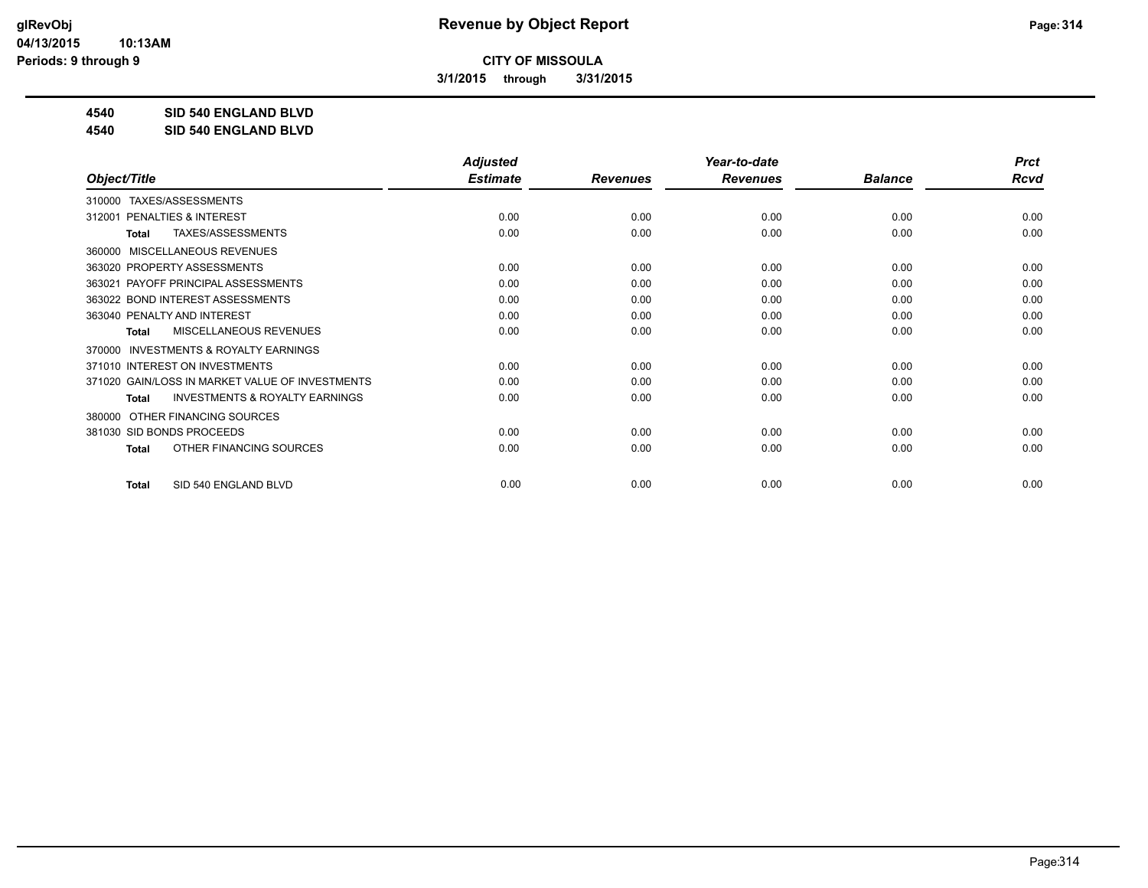**3/1/2015 through 3/31/2015**

**4540 SID 540 ENGLAND BLVD**

**4540 SID 540 ENGLAND BLVD**

|                                                           | <b>Adjusted</b> |                 | Year-to-date    |                | <b>Prct</b> |
|-----------------------------------------------------------|-----------------|-----------------|-----------------|----------------|-------------|
| Object/Title                                              | <b>Estimate</b> | <b>Revenues</b> | <b>Revenues</b> | <b>Balance</b> | <b>Rcvd</b> |
| TAXES/ASSESSMENTS<br>310000                               |                 |                 |                 |                |             |
| PENALTIES & INTEREST<br>312001                            | 0.00            | 0.00            | 0.00            | 0.00           | 0.00        |
| TAXES/ASSESSMENTS<br><b>Total</b>                         | 0.00            | 0.00            | 0.00            | 0.00           | 0.00        |
| MISCELLANEOUS REVENUES<br>360000                          |                 |                 |                 |                |             |
| 363020 PROPERTY ASSESSMENTS                               | 0.00            | 0.00            | 0.00            | 0.00           | 0.00        |
| PAYOFF PRINCIPAL ASSESSMENTS<br>363021                    | 0.00            | 0.00            | 0.00            | 0.00           | 0.00        |
| 363022 BOND INTEREST ASSESSMENTS                          | 0.00            | 0.00            | 0.00            | 0.00           | 0.00        |
| 363040 PENALTY AND INTEREST                               | 0.00            | 0.00            | 0.00            | 0.00           | 0.00        |
| MISCELLANEOUS REVENUES<br>Total                           | 0.00            | 0.00            | 0.00            | 0.00           | 0.00        |
| <b>INVESTMENTS &amp; ROYALTY EARNINGS</b><br>370000       |                 |                 |                 |                |             |
| 371010 INTEREST ON INVESTMENTS                            | 0.00            | 0.00            | 0.00            | 0.00           | 0.00        |
| 371020 GAIN/LOSS IN MARKET VALUE OF INVESTMENTS           | 0.00            | 0.00            | 0.00            | 0.00           | 0.00        |
| <b>INVESTMENTS &amp; ROYALTY EARNINGS</b><br><b>Total</b> | 0.00            | 0.00            | 0.00            | 0.00           | 0.00        |
| OTHER FINANCING SOURCES<br>380000                         |                 |                 |                 |                |             |
| 381030 SID BONDS PROCEEDS                                 | 0.00            | 0.00            | 0.00            | 0.00           | 0.00        |
| OTHER FINANCING SOURCES<br><b>Total</b>                   | 0.00            | 0.00            | 0.00            | 0.00           | 0.00        |
| SID 540 ENGLAND BLVD<br><b>Total</b>                      | 0.00            | 0.00            | 0.00            | 0.00           | 0.00        |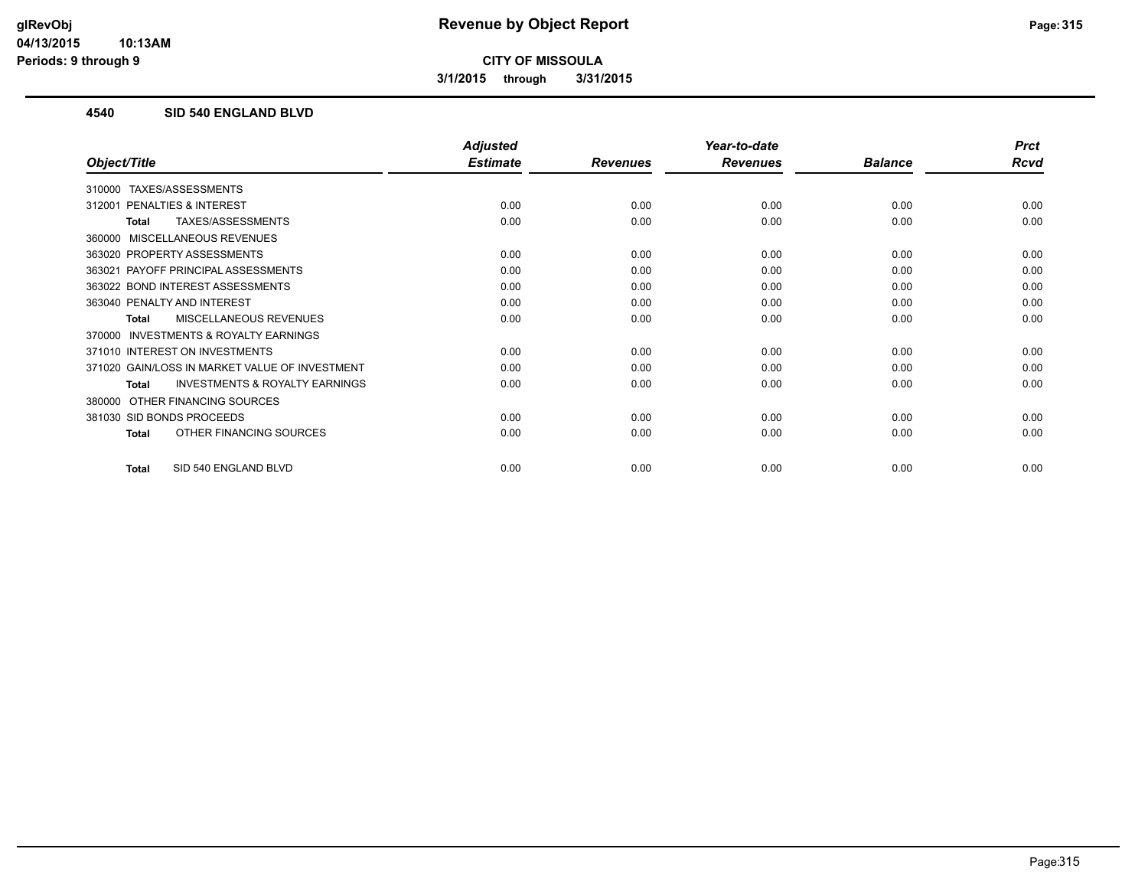**3/1/2015 through 3/31/2015**

### **4540 SID 540 ENGLAND BLVD**

|                                                           | <b>Adjusted</b> |                 | Year-to-date    |                | <b>Prct</b> |
|-----------------------------------------------------------|-----------------|-----------------|-----------------|----------------|-------------|
| Object/Title                                              | <b>Estimate</b> | <b>Revenues</b> | <b>Revenues</b> | <b>Balance</b> | <b>Rcvd</b> |
| TAXES/ASSESSMENTS<br>310000                               |                 |                 |                 |                |             |
| PENALTIES & INTEREST<br>312001                            | 0.00            | 0.00            | 0.00            | 0.00           | 0.00        |
| TAXES/ASSESSMENTS<br>Total                                | 0.00            | 0.00            | 0.00            | 0.00           | 0.00        |
| 360000 MISCELLANEOUS REVENUES                             |                 |                 |                 |                |             |
| 363020 PROPERTY ASSESSMENTS                               | 0.00            | 0.00            | 0.00            | 0.00           | 0.00        |
| 363021 PAYOFF PRINCIPAL ASSESSMENTS                       | 0.00            | 0.00            | 0.00            | 0.00           | 0.00        |
| 363022 BOND INTEREST ASSESSMENTS                          | 0.00            | 0.00            | 0.00            | 0.00           | 0.00        |
| 363040 PENALTY AND INTEREST                               | 0.00            | 0.00            | 0.00            | 0.00           | 0.00        |
| MISCELLANEOUS REVENUES<br><b>Total</b>                    | 0.00            | 0.00            | 0.00            | 0.00           | 0.00        |
| <b>INVESTMENTS &amp; ROYALTY EARNINGS</b><br>370000       |                 |                 |                 |                |             |
| 371010 INTEREST ON INVESTMENTS                            | 0.00            | 0.00            | 0.00            | 0.00           | 0.00        |
| 371020 GAIN/LOSS IN MARKET VALUE OF INVESTMENT            | 0.00            | 0.00            | 0.00            | 0.00           | 0.00        |
| <b>INVESTMENTS &amp; ROYALTY EARNINGS</b><br><b>Total</b> | 0.00            | 0.00            | 0.00            | 0.00           | 0.00        |
| 380000 OTHER FINANCING SOURCES                            |                 |                 |                 |                |             |
| 381030 SID BONDS PROCEEDS                                 | 0.00            | 0.00            | 0.00            | 0.00           | 0.00        |
| OTHER FINANCING SOURCES<br><b>Total</b>                   | 0.00            | 0.00            | 0.00            | 0.00           | 0.00        |
|                                                           |                 |                 |                 |                |             |
| SID 540 ENGLAND BLVD<br>Total                             | 0.00            | 0.00            | 0.00            | 0.00           | 0.00        |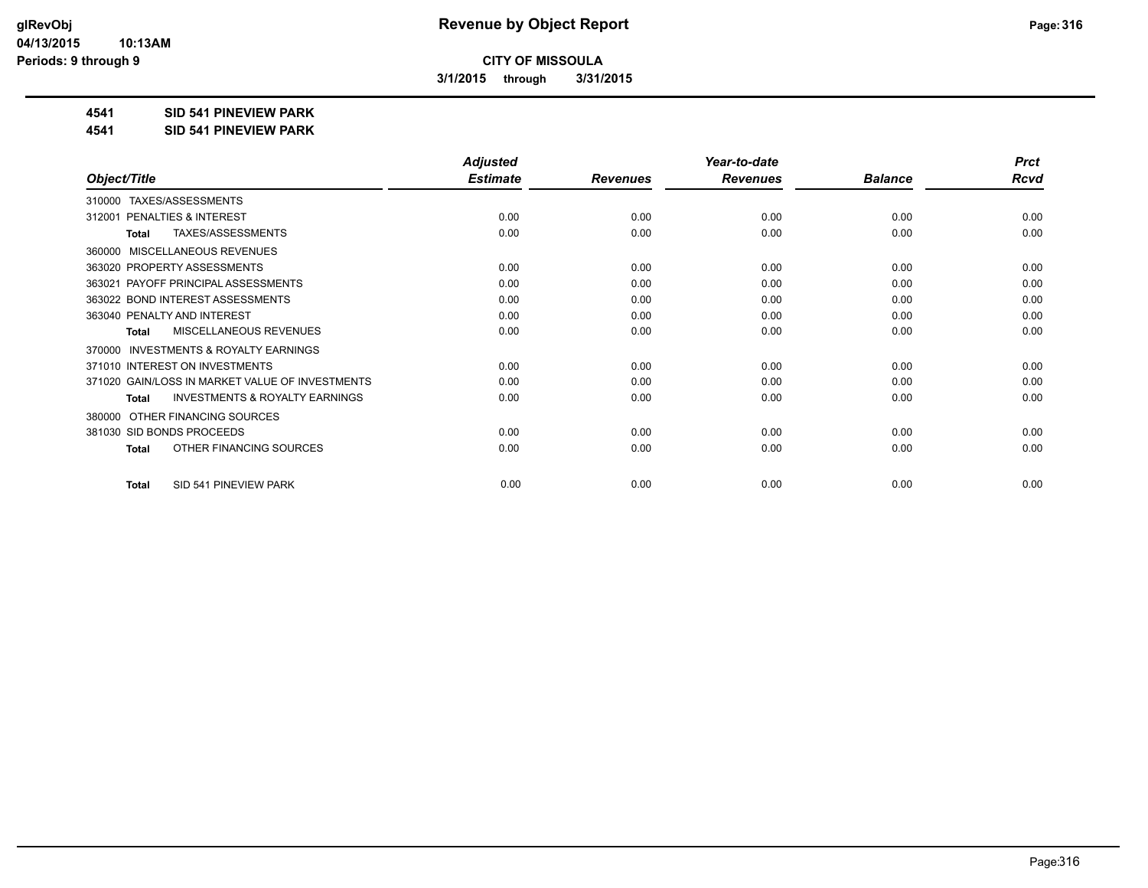**3/1/2015 through 3/31/2015**

### **4541 SID 541 PINEVIEW PARK**

**4541 SID 541 PINEVIEW PARK**

|                                                           | <b>Adjusted</b> |                 | Year-to-date    |                | <b>Prct</b> |
|-----------------------------------------------------------|-----------------|-----------------|-----------------|----------------|-------------|
| Object/Title                                              | <b>Estimate</b> | <b>Revenues</b> | <b>Revenues</b> | <b>Balance</b> | Rcvd        |
| TAXES/ASSESSMENTS<br>310000                               |                 |                 |                 |                |             |
| PENALTIES & INTEREST<br>312001                            | 0.00            | 0.00            | 0.00            | 0.00           | 0.00        |
| TAXES/ASSESSMENTS<br><b>Total</b>                         | 0.00            | 0.00            | 0.00            | 0.00           | 0.00        |
| MISCELLANEOUS REVENUES<br>360000                          |                 |                 |                 |                |             |
| 363020 PROPERTY ASSESSMENTS                               | 0.00            | 0.00            | 0.00            | 0.00           | 0.00        |
| 363021 PAYOFF PRINCIPAL ASSESSMENTS                       | 0.00            | 0.00            | 0.00            | 0.00           | 0.00        |
| 363022 BOND INTEREST ASSESSMENTS                          | 0.00            | 0.00            | 0.00            | 0.00           | 0.00        |
| 363040 PENALTY AND INTEREST                               | 0.00            | 0.00            | 0.00            | 0.00           | 0.00        |
| MISCELLANEOUS REVENUES<br><b>Total</b>                    | 0.00            | 0.00            | 0.00            | 0.00           | 0.00        |
| <b>INVESTMENTS &amp; ROYALTY EARNINGS</b><br>370000       |                 |                 |                 |                |             |
| 371010 INTEREST ON INVESTMENTS                            | 0.00            | 0.00            | 0.00            | 0.00           | 0.00        |
| 371020 GAIN/LOSS IN MARKET VALUE OF INVESTMENTS           | 0.00            | 0.00            | 0.00            | 0.00           | 0.00        |
| <b>INVESTMENTS &amp; ROYALTY EARNINGS</b><br><b>Total</b> | 0.00            | 0.00            | 0.00            | 0.00           | 0.00        |
| OTHER FINANCING SOURCES<br>380000                         |                 |                 |                 |                |             |
| 381030 SID BONDS PROCEEDS                                 | 0.00            | 0.00            | 0.00            | 0.00           | 0.00        |
| OTHER FINANCING SOURCES<br><b>Total</b>                   | 0.00            | 0.00            | 0.00            | 0.00           | 0.00        |
| SID 541 PINEVIEW PARK<br><b>Total</b>                     | 0.00            | 0.00            | 0.00            | 0.00           | 0.00        |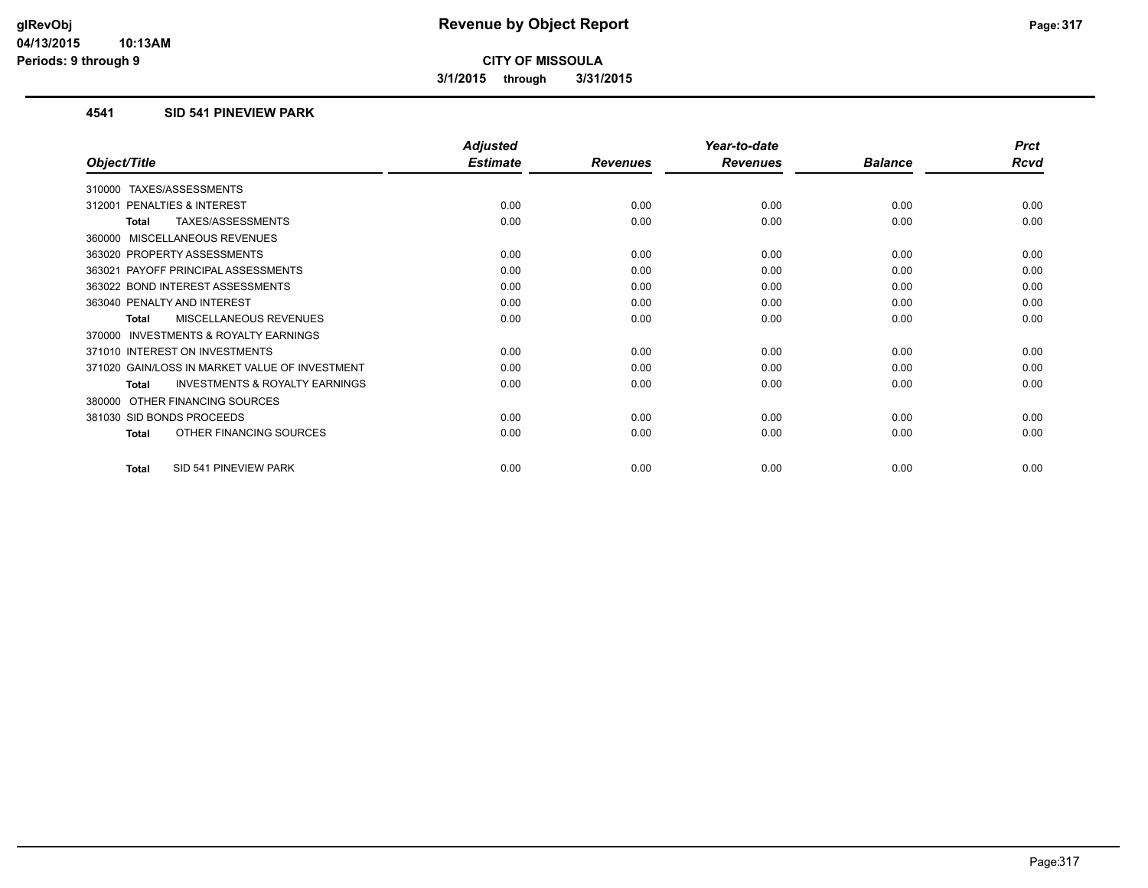**3/1/2015 through 3/31/2015**

### **4541 SID 541 PINEVIEW PARK**

|                                                           | <b>Adjusted</b> |                 | Year-to-date    |                | <b>Prct</b> |
|-----------------------------------------------------------|-----------------|-----------------|-----------------|----------------|-------------|
| Object/Title                                              | <b>Estimate</b> | <b>Revenues</b> | <b>Revenues</b> | <b>Balance</b> | <b>Rcvd</b> |
| TAXES/ASSESSMENTS<br>310000                               |                 |                 |                 |                |             |
| PENALTIES & INTEREST<br>312001                            | 0.00            | 0.00            | 0.00            | 0.00           | 0.00        |
| TAXES/ASSESSMENTS<br>Total                                | 0.00            | 0.00            | 0.00            | 0.00           | 0.00        |
| 360000 MISCELLANEOUS REVENUES                             |                 |                 |                 |                |             |
| 363020 PROPERTY ASSESSMENTS                               | 0.00            | 0.00            | 0.00            | 0.00           | 0.00        |
| 363021 PAYOFF PRINCIPAL ASSESSMENTS                       | 0.00            | 0.00            | 0.00            | 0.00           | 0.00        |
| 363022 BOND INTEREST ASSESSMENTS                          | 0.00            | 0.00            | 0.00            | 0.00           | 0.00        |
| 363040 PENALTY AND INTEREST                               | 0.00            | 0.00            | 0.00            | 0.00           | 0.00        |
| MISCELLANEOUS REVENUES<br><b>Total</b>                    | 0.00            | 0.00            | 0.00            | 0.00           | 0.00        |
| 370000 INVESTMENTS & ROYALTY EARNINGS                     |                 |                 |                 |                |             |
| 371010 INTEREST ON INVESTMENTS                            | 0.00            | 0.00            | 0.00            | 0.00           | 0.00        |
| 371020 GAIN/LOSS IN MARKET VALUE OF INVESTMENT            | 0.00            | 0.00            | 0.00            | 0.00           | 0.00        |
| <b>INVESTMENTS &amp; ROYALTY EARNINGS</b><br><b>Total</b> | 0.00            | 0.00            | 0.00            | 0.00           | 0.00        |
| OTHER FINANCING SOURCES<br>380000                         |                 |                 |                 |                |             |
| 381030 SID BONDS PROCEEDS                                 | 0.00            | 0.00            | 0.00            | 0.00           | 0.00        |
| OTHER FINANCING SOURCES<br>Total                          | 0.00            | 0.00            | 0.00            | 0.00           | 0.00        |
| SID 541 PINEVIEW PARK<br><b>Total</b>                     | 0.00            | 0.00            | 0.00            | 0.00           | 0.00        |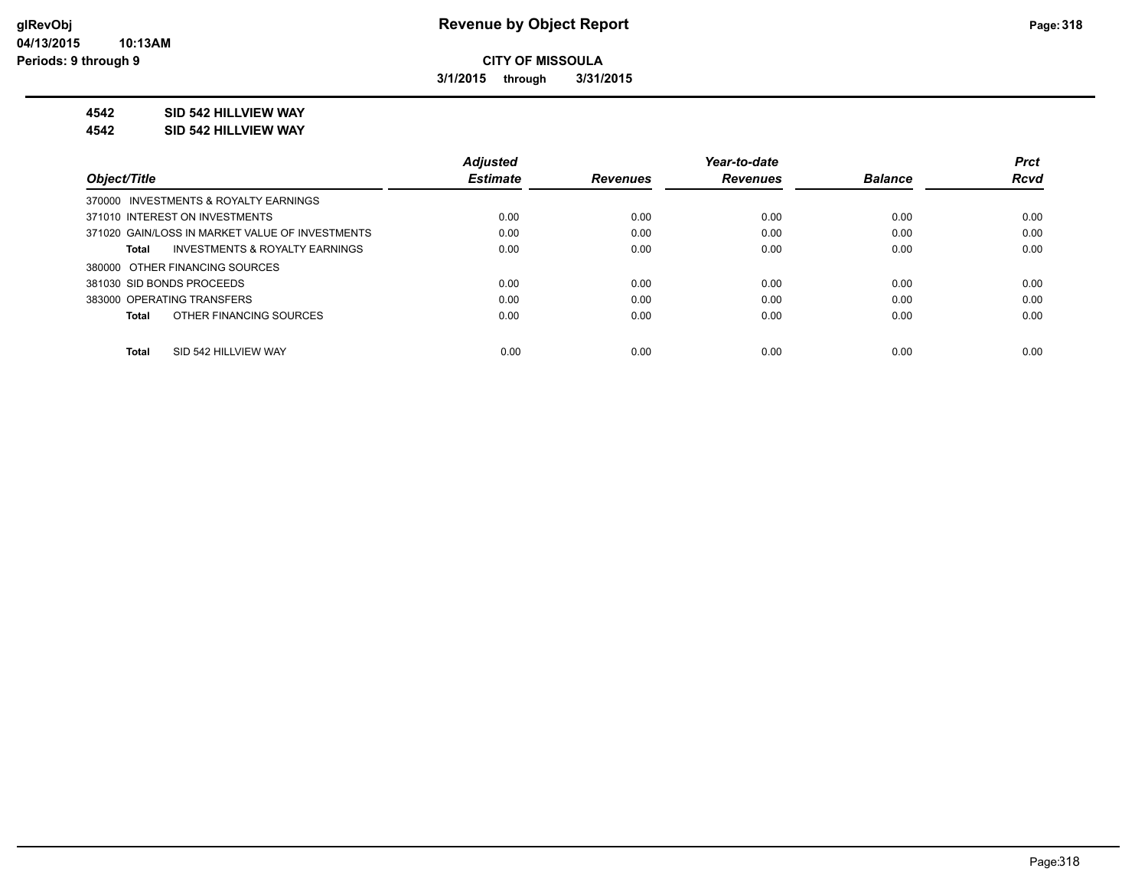**3/1/2015 through 3/31/2015**

### **4542 SID 542 HILLVIEW WAY**

#### **4542 SID 542 HILLVIEW WAY**

|                                                    | <b>Adjusted</b> |                 | Year-to-date    |                | <b>Prct</b> |
|----------------------------------------------------|-----------------|-----------------|-----------------|----------------|-------------|
| Object/Title                                       | <b>Estimate</b> | <b>Revenues</b> | <b>Revenues</b> | <b>Balance</b> | <b>Rcvd</b> |
| 370000 INVESTMENTS & ROYALTY EARNINGS              |                 |                 |                 |                |             |
| 371010 INTEREST ON INVESTMENTS                     | 0.00            | 0.00            | 0.00            | 0.00           | 0.00        |
| 371020 GAIN/LOSS IN MARKET VALUE OF INVESTMENTS    | 0.00            | 0.00            | 0.00            | 0.00           | 0.00        |
| <b>INVESTMENTS &amp; ROYALTY EARNINGS</b><br>Total | 0.00            | 0.00            | 0.00            | 0.00           | 0.00        |
| 380000 OTHER FINANCING SOURCES                     |                 |                 |                 |                |             |
| 381030 SID BONDS PROCEEDS                          | 0.00            | 0.00            | 0.00            | 0.00           | 0.00        |
| 383000 OPERATING TRANSFERS                         | 0.00            | 0.00            | 0.00            | 0.00           | 0.00        |
| OTHER FINANCING SOURCES<br>Total                   | 0.00            | 0.00            | 0.00            | 0.00           | 0.00        |
|                                                    |                 |                 |                 |                |             |
| SID 542 HILLVIEW WAY<br><b>Total</b>               | 0.00            | 0.00            | 0.00            | 0.00           | 0.00        |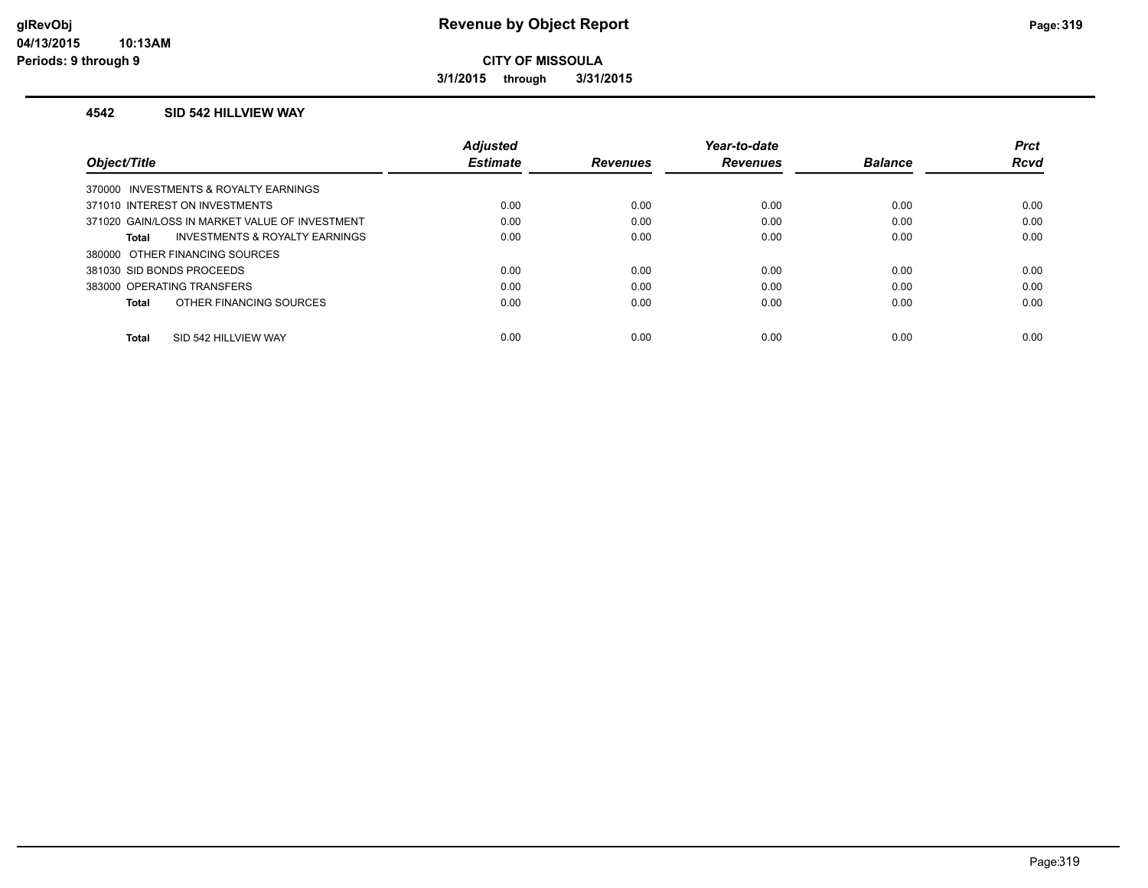**3/1/2015 through 3/31/2015**

### **4542 SID 542 HILLVIEW WAY**

|                                                | <b>Adjusted</b> |                 | Year-to-date    |                | <b>Prct</b> |
|------------------------------------------------|-----------------|-----------------|-----------------|----------------|-------------|
| Object/Title                                   | <b>Estimate</b> | <b>Revenues</b> | <b>Revenues</b> | <b>Balance</b> | Rcvd        |
| 370000 INVESTMENTS & ROYALTY EARNINGS          |                 |                 |                 |                |             |
| 371010 INTEREST ON INVESTMENTS                 | 0.00            | 0.00            | 0.00            | 0.00           | 0.00        |
| 371020 GAIN/LOSS IN MARKET VALUE OF INVESTMENT | 0.00            | 0.00            | 0.00            | 0.00           | 0.00        |
| INVESTMENTS & ROYALTY EARNINGS<br>Total        | 0.00            | 0.00            | 0.00            | 0.00           | 0.00        |
| 380000 OTHER FINANCING SOURCES                 |                 |                 |                 |                |             |
| 381030 SID BONDS PROCEEDS                      | 0.00            | 0.00            | 0.00            | 0.00           | 0.00        |
| 383000 OPERATING TRANSFERS                     | 0.00            | 0.00            | 0.00            | 0.00           | 0.00        |
| OTHER FINANCING SOURCES<br>Total               | 0.00            | 0.00            | 0.00            | 0.00           | 0.00        |
|                                                |                 |                 |                 |                |             |
| SID 542 HILLVIEW WAY<br><b>Total</b>           | 0.00            | 0.00            | 0.00            | 0.00           | 0.00        |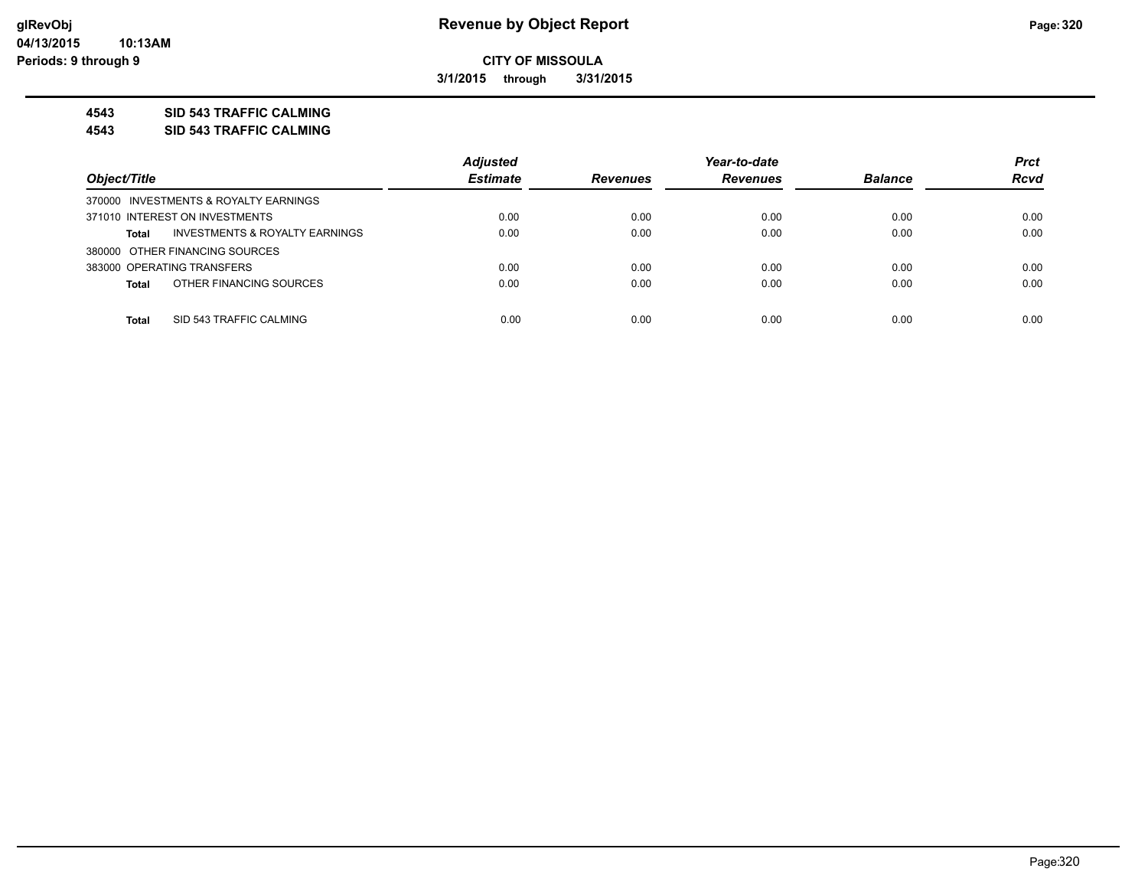**3/1/2015 through 3/31/2015**

### **4543 SID 543 TRAFFIC CALMING**

**4543 SID 543 TRAFFIC CALMING**

|                                         | <b>Adjusted</b> |                 | Year-to-date    |                | <b>Prct</b> |
|-----------------------------------------|-----------------|-----------------|-----------------|----------------|-------------|
| Object/Title                            | <b>Estimate</b> | <b>Revenues</b> | <b>Revenues</b> | <b>Balance</b> | <b>Rcvd</b> |
| 370000 INVESTMENTS & ROYALTY EARNINGS   |                 |                 |                 |                |             |
| 371010 INTEREST ON INVESTMENTS          | 0.00            | 0.00            | 0.00            | 0.00           | 0.00        |
| INVESTMENTS & ROYALTY EARNINGS<br>Total | 0.00            | 0.00            | 0.00            | 0.00           | 0.00        |
| 380000 OTHER FINANCING SOURCES          |                 |                 |                 |                |             |
| 383000 OPERATING TRANSFERS              | 0.00            | 0.00            | 0.00            | 0.00           | 0.00        |
| OTHER FINANCING SOURCES<br><b>Total</b> | 0.00            | 0.00            | 0.00            | 0.00           | 0.00        |
|                                         |                 |                 |                 |                |             |
| SID 543 TRAFFIC CALMING<br><b>Total</b> | 0.00            | 0.00            | 0.00            | 0.00           | 0.00        |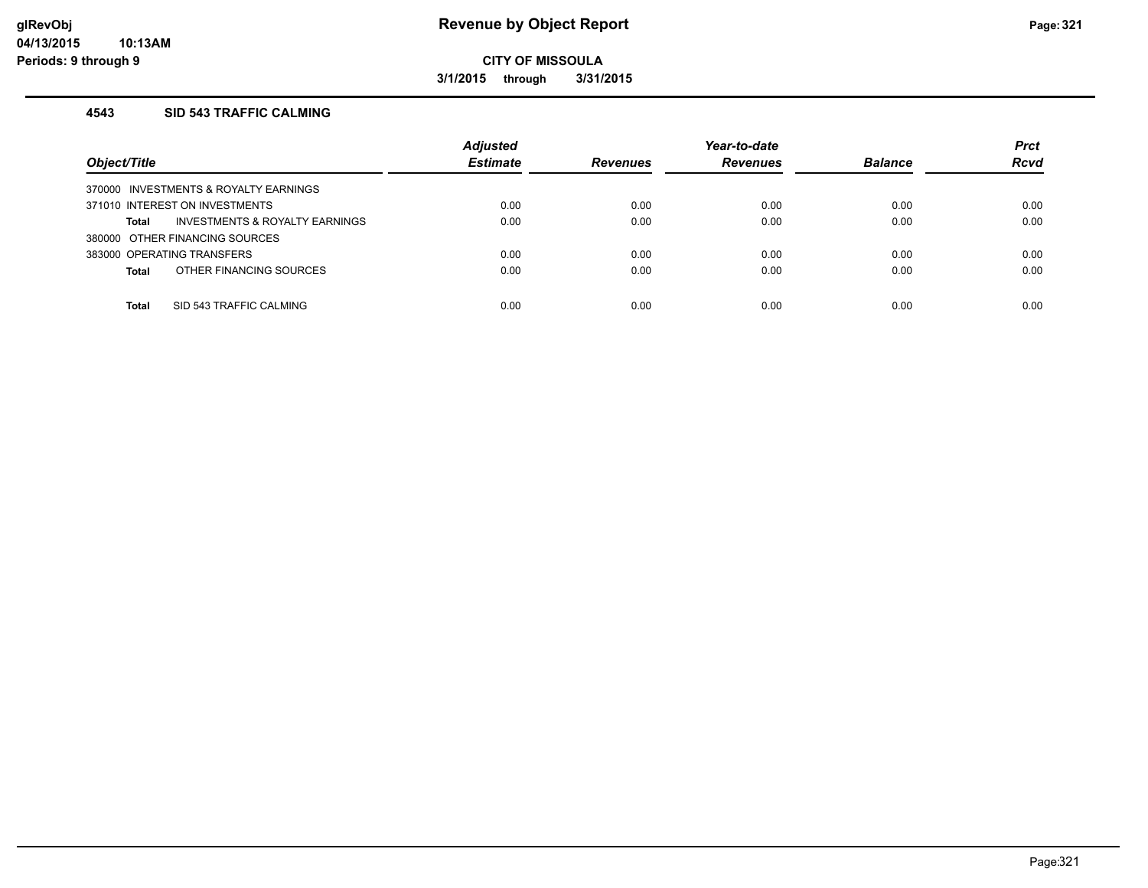**3/1/2015 through 3/31/2015**

### **4543 SID 543 TRAFFIC CALMING**

| Object/Title                                       | <b>Adjusted</b><br><b>Estimate</b> | <b>Revenues</b> | Year-to-date<br><b>Revenues</b> | <b>Balance</b> | <b>Prct</b><br><b>Rcvd</b> |
|----------------------------------------------------|------------------------------------|-----------------|---------------------------------|----------------|----------------------------|
| 370000 INVESTMENTS & ROYALTY EARNINGS              |                                    |                 |                                 |                |                            |
| 371010 INTEREST ON INVESTMENTS                     | 0.00                               | 0.00            | 0.00                            | 0.00           | 0.00                       |
| <b>INVESTMENTS &amp; ROYALTY EARNINGS</b><br>Total | 0.00                               | 0.00            | 0.00                            | 0.00           | 0.00                       |
| 380000 OTHER FINANCING SOURCES                     |                                    |                 |                                 |                |                            |
| 383000 OPERATING TRANSFERS                         | 0.00                               | 0.00            | 0.00                            | 0.00           | 0.00                       |
| OTHER FINANCING SOURCES<br>Total                   | 0.00                               | 0.00            | 0.00                            | 0.00           | 0.00                       |
|                                                    |                                    |                 |                                 |                |                            |
| SID 543 TRAFFIC CALMING<br><b>Total</b>            | 0.00                               | 0.00            | 0.00                            | 0.00           | 0.00                       |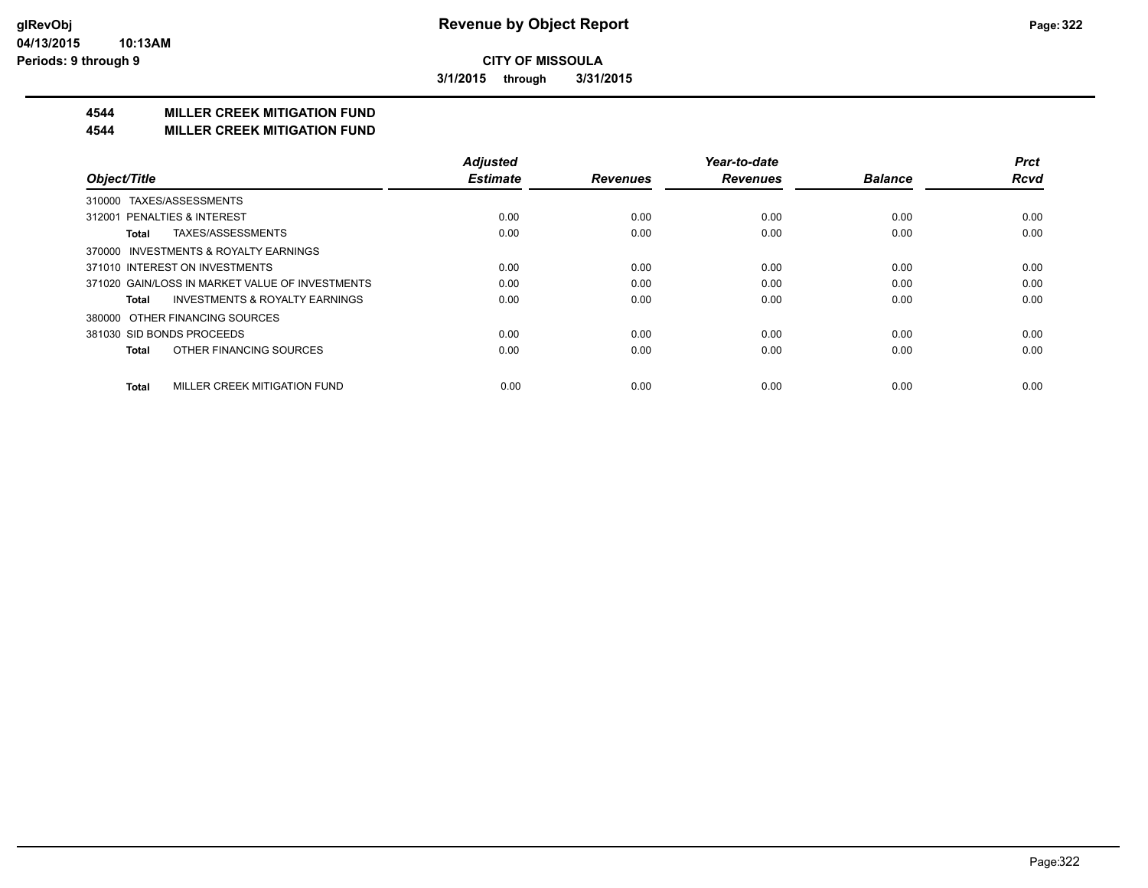**3/1/2015 through 3/31/2015**

## **4544 MILLER CREEK MITIGATION FUND**

#### **4544 MILLER CREEK MITIGATION FUND**

|                                                    | <b>Adjusted</b> |                 | Year-to-date    |                | <b>Prct</b> |
|----------------------------------------------------|-----------------|-----------------|-----------------|----------------|-------------|
| Object/Title                                       | <b>Estimate</b> | <b>Revenues</b> | <b>Revenues</b> | <b>Balance</b> | <b>Rcvd</b> |
| 310000 TAXES/ASSESSMENTS                           |                 |                 |                 |                |             |
| 312001 PENALTIES & INTEREST                        | 0.00            | 0.00            | 0.00            | 0.00           | 0.00        |
| TAXES/ASSESSMENTS<br>Total                         | 0.00            | 0.00            | 0.00            | 0.00           | 0.00        |
| 370000 INVESTMENTS & ROYALTY EARNINGS              |                 |                 |                 |                |             |
| 371010 INTEREST ON INVESTMENTS                     | 0.00            | 0.00            | 0.00            | 0.00           | 0.00        |
| 371020 GAIN/LOSS IN MARKET VALUE OF INVESTMENTS    | 0.00            | 0.00            | 0.00            | 0.00           | 0.00        |
| <b>INVESTMENTS &amp; ROYALTY EARNINGS</b><br>Total | 0.00            | 0.00            | 0.00            | 0.00           | 0.00        |
| 380000 OTHER FINANCING SOURCES                     |                 |                 |                 |                |             |
| 381030 SID BONDS PROCEEDS                          | 0.00            | 0.00            | 0.00            | 0.00           | 0.00        |
| OTHER FINANCING SOURCES<br>Total                   | 0.00            | 0.00            | 0.00            | 0.00           | 0.00        |
| MILLER CREEK MITIGATION FUND<br><b>Total</b>       | 0.00            | 0.00            | 0.00            | 0.00           | 0.00        |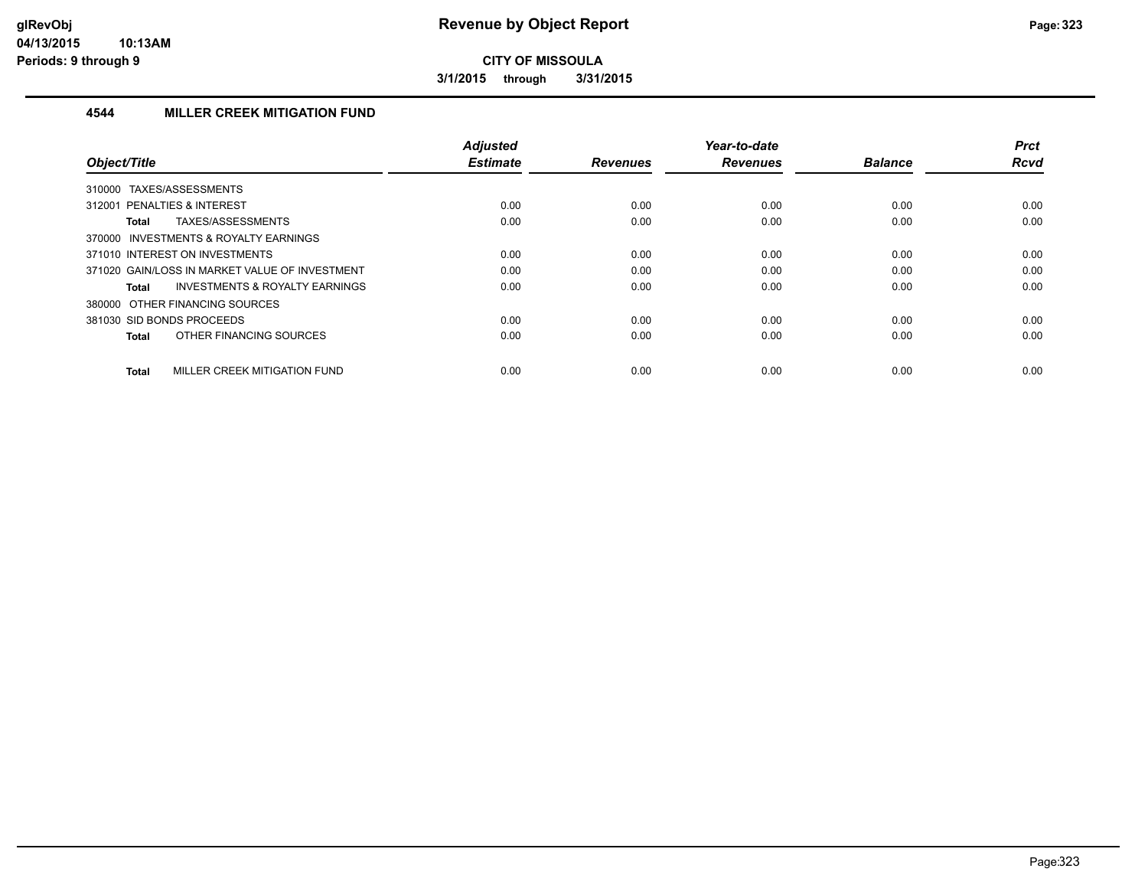**3/1/2015 through 3/31/2015**

## **4544 MILLER CREEK MITIGATION FUND**

|                                                    | <b>Adjusted</b> |                 | Year-to-date    |                | <b>Prct</b> |
|----------------------------------------------------|-----------------|-----------------|-----------------|----------------|-------------|
| Object/Title                                       | <b>Estimate</b> | <b>Revenues</b> | <b>Revenues</b> | <b>Balance</b> | <b>Rcvd</b> |
| TAXES/ASSESSMENTS<br>310000                        |                 |                 |                 |                |             |
| 312001 PENALTIES & INTEREST                        | 0.00            | 0.00            | 0.00            | 0.00           | 0.00        |
| TAXES/ASSESSMENTS<br>Total                         | 0.00            | 0.00            | 0.00            | 0.00           | 0.00        |
| 370000 INVESTMENTS & ROYALTY EARNINGS              |                 |                 |                 |                |             |
| 371010 INTEREST ON INVESTMENTS                     | 0.00            | 0.00            | 0.00            | 0.00           | 0.00        |
| 371020 GAIN/LOSS IN MARKET VALUE OF INVESTMENT     | 0.00            | 0.00            | 0.00            | 0.00           | 0.00        |
| <b>INVESTMENTS &amp; ROYALTY EARNINGS</b><br>Total | 0.00            | 0.00            | 0.00            | 0.00           | 0.00        |
| 380000 OTHER FINANCING SOURCES                     |                 |                 |                 |                |             |
| 381030 SID BONDS PROCEEDS                          | 0.00            | 0.00            | 0.00            | 0.00           | 0.00        |
| OTHER FINANCING SOURCES<br>Total                   | 0.00            | 0.00            | 0.00            | 0.00           | 0.00        |
| MILLER CREEK MITIGATION FUND<br><b>Total</b>       | 0.00            | 0.00            | 0.00            | 0.00           | 0.00        |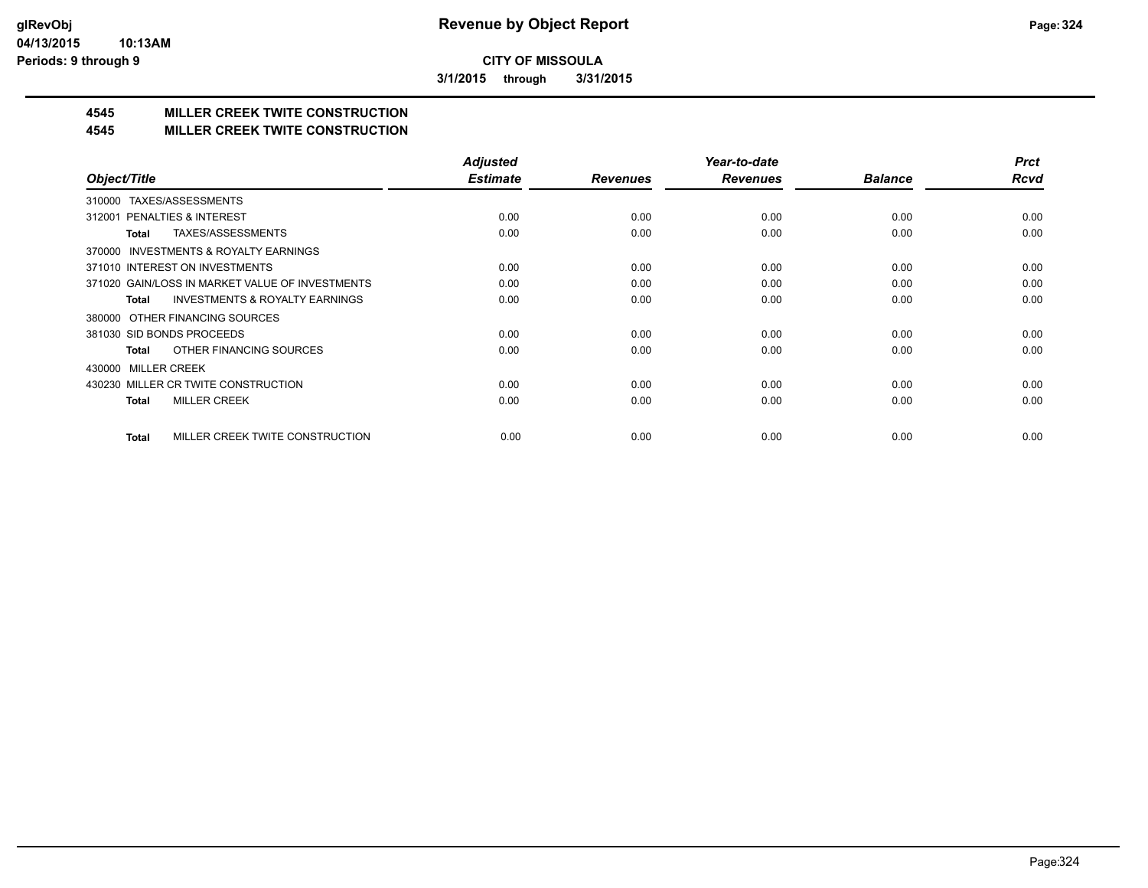**3/1/2015 through 3/31/2015**

# **4545 MILLER CREEK TWITE CONSTRUCTION**

### **4545 MILLER CREEK TWITE CONSTRUCTION**

|                                                     | <b>Adjusted</b> |                 | Year-to-date    |                | <b>Prct</b> |
|-----------------------------------------------------|-----------------|-----------------|-----------------|----------------|-------------|
| Object/Title                                        | <b>Estimate</b> | <b>Revenues</b> | <b>Revenues</b> | <b>Balance</b> | <b>Rcvd</b> |
| TAXES/ASSESSMENTS<br>310000                         |                 |                 |                 |                |             |
| 312001 PENALTIES & INTEREST                         | 0.00            | 0.00            | 0.00            | 0.00           | 0.00        |
| TAXES/ASSESSMENTS<br>Total                          | 0.00            | 0.00            | 0.00            | 0.00           | 0.00        |
| <b>INVESTMENTS &amp; ROYALTY EARNINGS</b><br>370000 |                 |                 |                 |                |             |
| 371010 INTEREST ON INVESTMENTS                      | 0.00            | 0.00            | 0.00            | 0.00           | 0.00        |
| 371020 GAIN/LOSS IN MARKET VALUE OF INVESTMENTS     | 0.00            | 0.00            | 0.00            | 0.00           | 0.00        |
| <b>INVESTMENTS &amp; ROYALTY EARNINGS</b><br>Total  | 0.00            | 0.00            | 0.00            | 0.00           | 0.00        |
| 380000 OTHER FINANCING SOURCES                      |                 |                 |                 |                |             |
| 381030 SID BONDS PROCEEDS                           | 0.00            | 0.00            | 0.00            | 0.00           | 0.00        |
| OTHER FINANCING SOURCES<br>Total                    | 0.00            | 0.00            | 0.00            | 0.00           | 0.00        |
| <b>MILLER CREEK</b><br>430000                       |                 |                 |                 |                |             |
| 430230 MILLER CR TWITE CONSTRUCTION                 | 0.00            | 0.00            | 0.00            | 0.00           | 0.00        |
| <b>MILLER CREEK</b><br>Total                        | 0.00            | 0.00            | 0.00            | 0.00           | 0.00        |
|                                                     |                 |                 |                 |                |             |
| MILLER CREEK TWITE CONSTRUCTION<br><b>Total</b>     | 0.00            | 0.00            | 0.00            | 0.00           | 0.00        |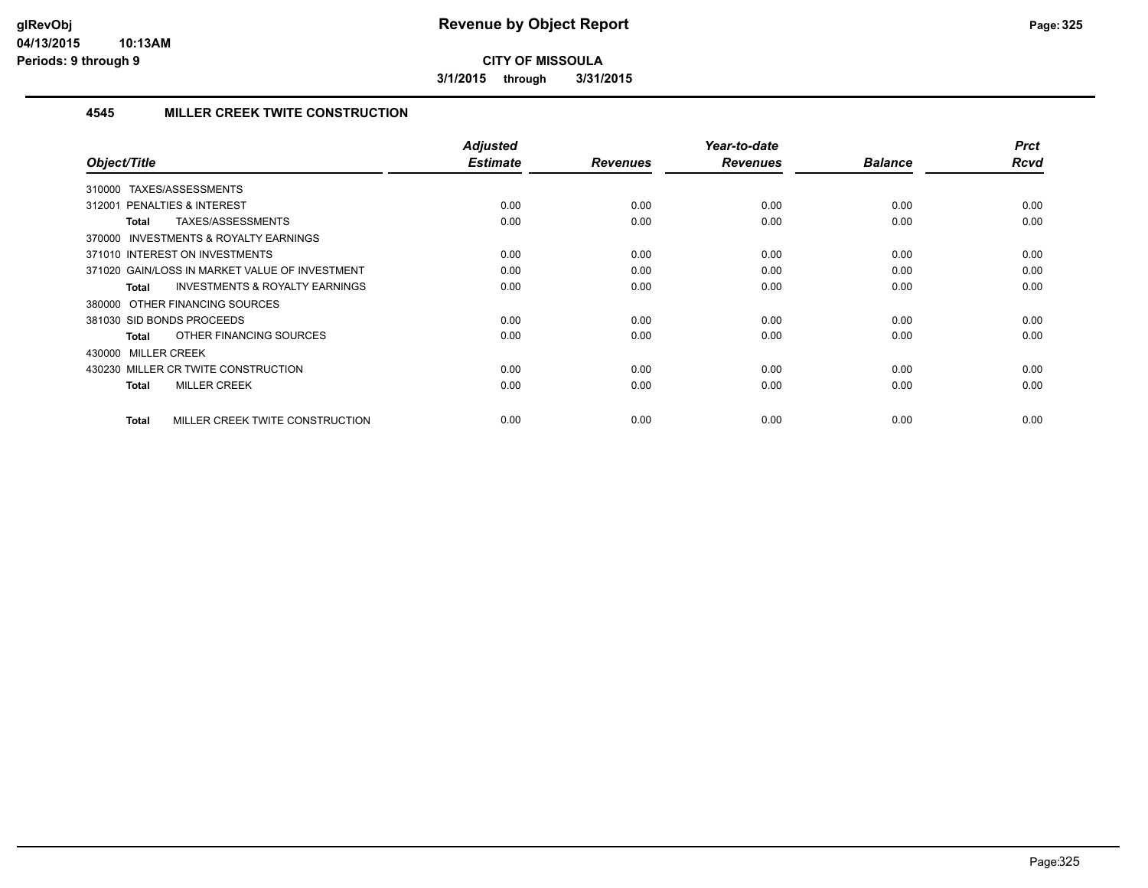**3/1/2015 through 3/31/2015**

### **4545 MILLER CREEK TWITE CONSTRUCTION**

| Object/Title                                              | Adjusted<br><b>Estimate</b> | <b>Revenues</b> | Year-to-date<br><b>Revenues</b> | <b>Balance</b> | <b>Prct</b><br>Rcvd |
|-----------------------------------------------------------|-----------------------------|-----------------|---------------------------------|----------------|---------------------|
|                                                           |                             |                 |                                 |                |                     |
| TAXES/ASSESSMENTS<br>310000                               |                             |                 |                                 |                |                     |
| PENALTIES & INTEREST<br>312001                            | 0.00                        | 0.00            | 0.00                            | 0.00           | 0.00                |
| TAXES/ASSESSMENTS<br><b>Total</b>                         | 0.00                        | 0.00            | 0.00                            | 0.00           | 0.00                |
| 370000 INVESTMENTS & ROYALTY EARNINGS                     |                             |                 |                                 |                |                     |
| 371010 INTEREST ON INVESTMENTS                            | 0.00                        | 0.00            | 0.00                            | 0.00           | 0.00                |
| 371020 GAIN/LOSS IN MARKET VALUE OF INVESTMENT            | 0.00                        | 0.00            | 0.00                            | 0.00           | 0.00                |
| <b>INVESTMENTS &amp; ROYALTY EARNINGS</b><br><b>Total</b> | 0.00                        | 0.00            | 0.00                            | 0.00           | 0.00                |
| 380000 OTHER FINANCING SOURCES                            |                             |                 |                                 |                |                     |
| 381030 SID BONDS PROCEEDS                                 | 0.00                        | 0.00            | 0.00                            | 0.00           | 0.00                |
| OTHER FINANCING SOURCES<br><b>Total</b>                   | 0.00                        | 0.00            | 0.00                            | 0.00           | 0.00                |
| 430000 MILLER CREEK                                       |                             |                 |                                 |                |                     |
| 430230 MILLER CR TWITE CONSTRUCTION                       | 0.00                        | 0.00            | 0.00                            | 0.00           | 0.00                |
| <b>MILLER CREEK</b><br><b>Total</b>                       | 0.00                        | 0.00            | 0.00                            | 0.00           | 0.00                |
|                                                           |                             |                 |                                 |                |                     |
| MILLER CREEK TWITE CONSTRUCTION<br><b>Total</b>           | 0.00                        | 0.00            | 0.00                            | 0.00           | 0.00                |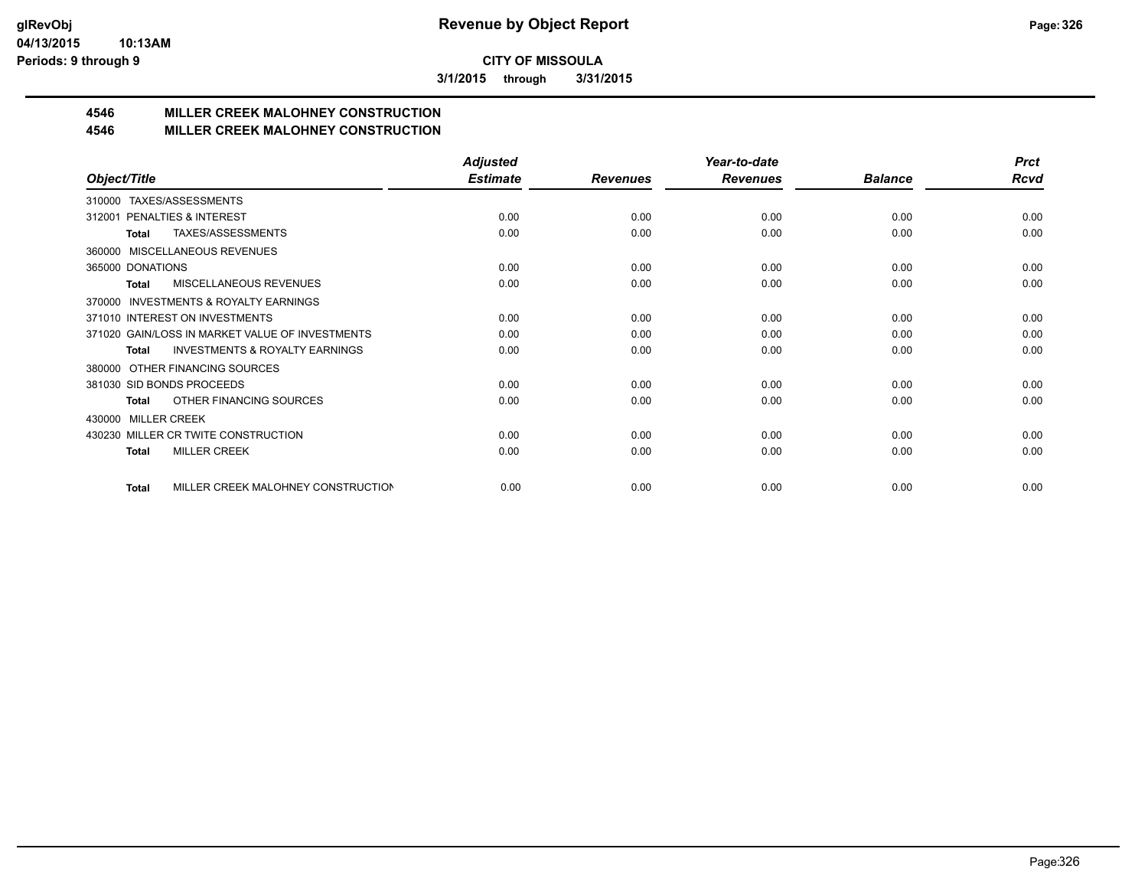**3/1/2015 through 3/31/2015**

## **4546 MILLER CREEK MALOHNEY CONSTRUCTION**

### **4546 MILLER CREEK MALOHNEY CONSTRUCTION**

|                                                     | <b>Adjusted</b> |                 | Year-to-date    |                | <b>Prct</b> |
|-----------------------------------------------------|-----------------|-----------------|-----------------|----------------|-------------|
| Object/Title                                        | <b>Estimate</b> | <b>Revenues</b> | <b>Revenues</b> | <b>Balance</b> | Rcvd        |
| TAXES/ASSESSMENTS<br>310000                         |                 |                 |                 |                |             |
| PENALTIES & INTEREST<br>312001                      | 0.00            | 0.00            | 0.00            | 0.00           | 0.00        |
| TAXES/ASSESSMENTS<br>Total                          | 0.00            | 0.00            | 0.00            | 0.00           | 0.00        |
| MISCELLANEOUS REVENUES<br>360000                    |                 |                 |                 |                |             |
| 365000 DONATIONS                                    | 0.00            | 0.00            | 0.00            | 0.00           | 0.00        |
| MISCELLANEOUS REVENUES<br>Total                     | 0.00            | 0.00            | 0.00            | 0.00           | 0.00        |
| <b>INVESTMENTS &amp; ROYALTY EARNINGS</b><br>370000 |                 |                 |                 |                |             |
| 371010 INTEREST ON INVESTMENTS                      | 0.00            | 0.00            | 0.00            | 0.00           | 0.00        |
| 371020 GAIN/LOSS IN MARKET VALUE OF INVESTMENTS     | 0.00            | 0.00            | 0.00            | 0.00           | 0.00        |
| <b>INVESTMENTS &amp; ROYALTY EARNINGS</b><br>Total  | 0.00            | 0.00            | 0.00            | 0.00           | 0.00        |
| OTHER FINANCING SOURCES<br>380000                   |                 |                 |                 |                |             |
| 381030 SID BONDS PROCEEDS                           | 0.00            | 0.00            | 0.00            | 0.00           | 0.00        |
| OTHER FINANCING SOURCES<br><b>Total</b>             | 0.00            | 0.00            | 0.00            | 0.00           | 0.00        |
| <b>MILLER CREEK</b><br>430000                       |                 |                 |                 |                |             |
| 430230 MILLER CR TWITE CONSTRUCTION                 | 0.00            | 0.00            | 0.00            | 0.00           | 0.00        |
| <b>MILLER CREEK</b><br><b>Total</b>                 | 0.00            | 0.00            | 0.00            | 0.00           | 0.00        |
|                                                     |                 |                 |                 |                |             |
| MILLER CREEK MALOHNEY CONSTRUCTION<br><b>Total</b>  | 0.00            | 0.00            | 0.00            | 0.00           | 0.00        |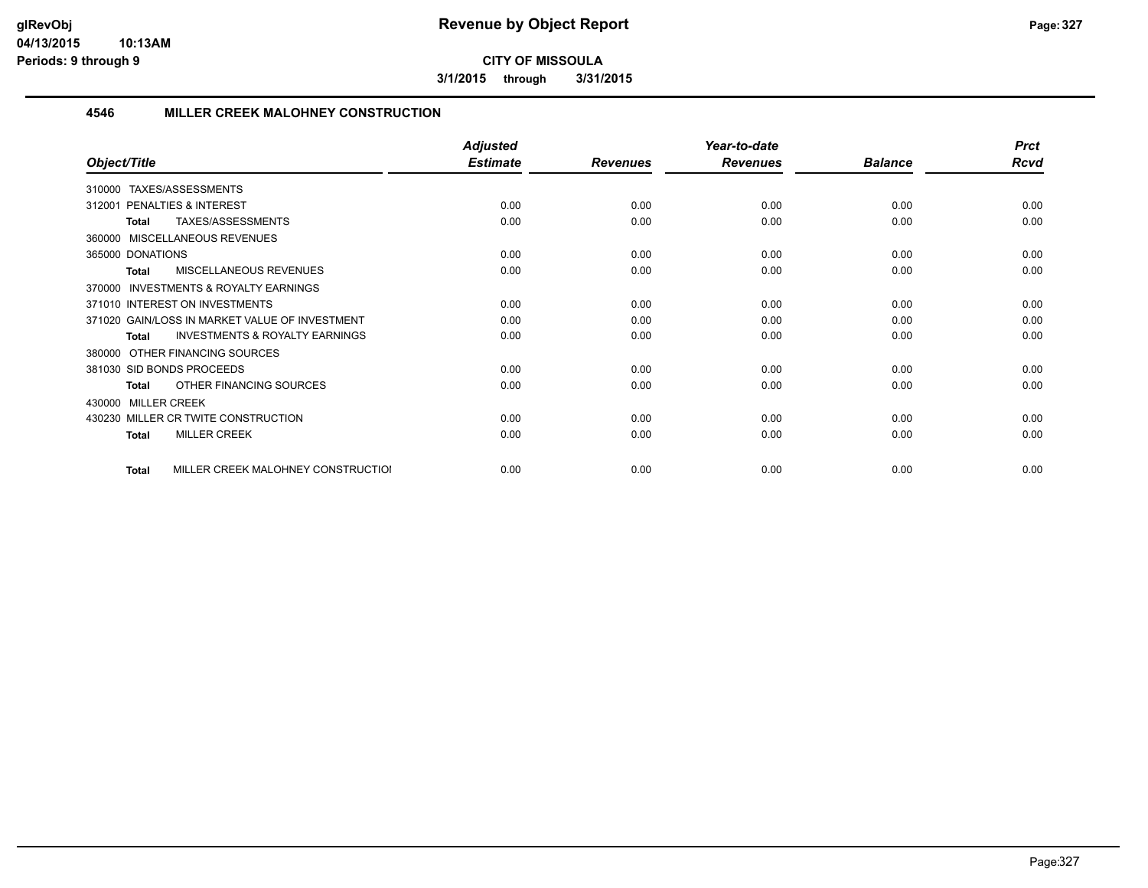**3/1/2015 through 3/31/2015**

### **4546 MILLER CREEK MALOHNEY CONSTRUCTION**

|                                                    | <b>Adjusted</b> |                 | Year-to-date    |                | <b>Prct</b> |
|----------------------------------------------------|-----------------|-----------------|-----------------|----------------|-------------|
| Object/Title                                       | <b>Estimate</b> | <b>Revenues</b> | <b>Revenues</b> | <b>Balance</b> | <b>Rcvd</b> |
| TAXES/ASSESSMENTS<br>310000                        |                 |                 |                 |                |             |
| <b>PENALTIES &amp; INTEREST</b><br>312001          | 0.00            | 0.00            | 0.00            | 0.00           | 0.00        |
| TAXES/ASSESSMENTS<br><b>Total</b>                  | 0.00            | 0.00            | 0.00            | 0.00           | 0.00        |
| 360000 MISCELLANEOUS REVENUES                      |                 |                 |                 |                |             |
| 365000 DONATIONS                                   | 0.00            | 0.00            | 0.00            | 0.00           | 0.00        |
| <b>MISCELLANEOUS REVENUES</b><br>Total             | 0.00            | 0.00            | 0.00            | 0.00           | 0.00        |
| INVESTMENTS & ROYALTY EARNINGS<br>370000           |                 |                 |                 |                |             |
| 371010 INTEREST ON INVESTMENTS                     | 0.00            | 0.00            | 0.00            | 0.00           | 0.00        |
| 371020 GAIN/LOSS IN MARKET VALUE OF INVESTMENT     | 0.00            | 0.00            | 0.00            | 0.00           | 0.00        |
| <b>INVESTMENTS &amp; ROYALTY EARNINGS</b><br>Total | 0.00            | 0.00            | 0.00            | 0.00           | 0.00        |
| OTHER FINANCING SOURCES<br>380000                  |                 |                 |                 |                |             |
| 381030 SID BONDS PROCEEDS                          | 0.00            | 0.00            | 0.00            | 0.00           | 0.00        |
| OTHER FINANCING SOURCES<br><b>Total</b>            | 0.00            | 0.00            | 0.00            | 0.00           | 0.00        |
| 430000 MILLER CREEK                                |                 |                 |                 |                |             |
| 430230 MILLER CR TWITE CONSTRUCTION                | 0.00            | 0.00            | 0.00            | 0.00           | 0.00        |
| <b>MILLER CREEK</b><br><b>Total</b>                | 0.00            | 0.00            | 0.00            | 0.00           | 0.00        |
| MILLER CREEK MALOHNEY CONSTRUCTIOI<br>Total        | 0.00            | 0.00            | 0.00            | 0.00           | 0.00        |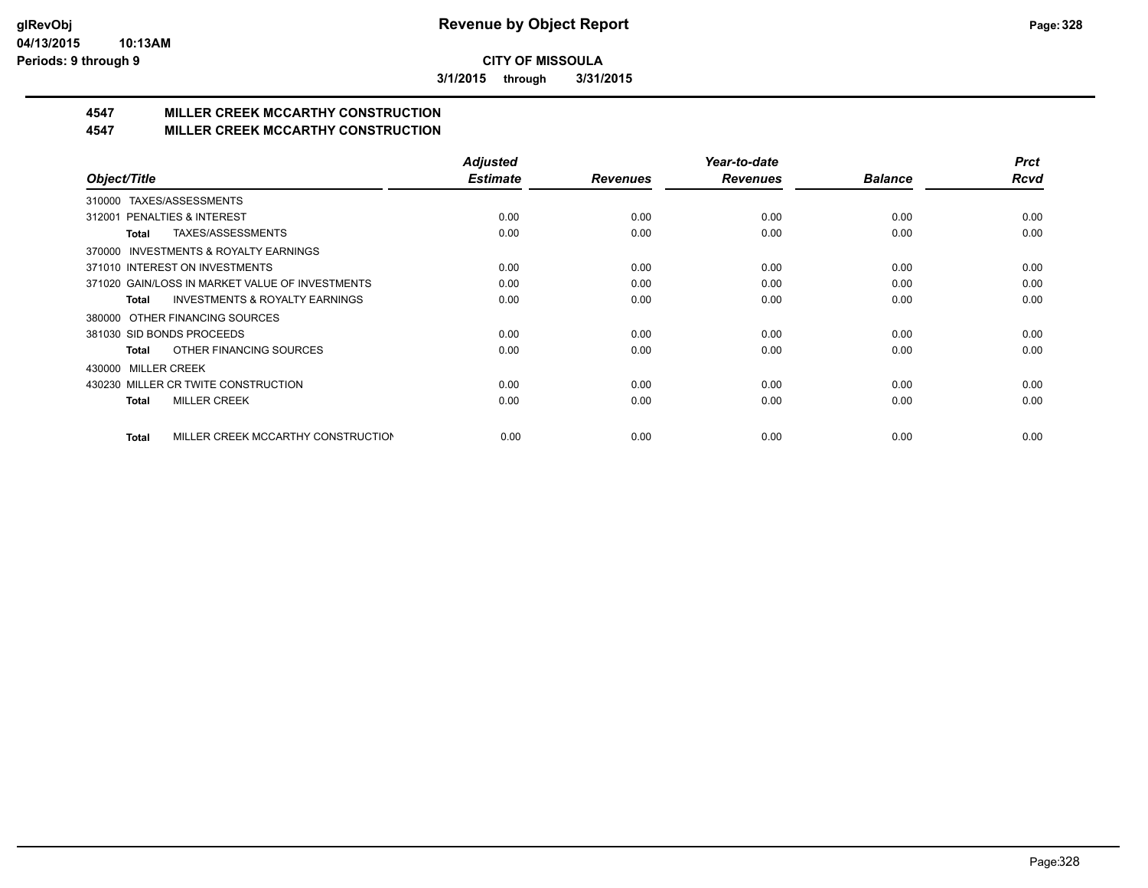**3/1/2015 through 3/31/2015**

### **4547 MILLER CREEK MCCARTHY CONSTRUCTION**

### **4547 MILLER CREEK MCCARTHY CONSTRUCTION**

|                                                     | <b>Adjusted</b> |                 | Year-to-date    |                | <b>Prct</b> |
|-----------------------------------------------------|-----------------|-----------------|-----------------|----------------|-------------|
| Object/Title                                        | <b>Estimate</b> | <b>Revenues</b> | <b>Revenues</b> | <b>Balance</b> | Rcvd        |
| TAXES/ASSESSMENTS<br>310000                         |                 |                 |                 |                |             |
| 312001 PENALTIES & INTEREST                         | 0.00            | 0.00            | 0.00            | 0.00           | 0.00        |
| TAXES/ASSESSMENTS<br>Total                          | 0.00            | 0.00            | 0.00            | 0.00           | 0.00        |
| <b>INVESTMENTS &amp; ROYALTY EARNINGS</b><br>370000 |                 |                 |                 |                |             |
| 371010 INTEREST ON INVESTMENTS                      | 0.00            | 0.00            | 0.00            | 0.00           | 0.00        |
| 371020 GAIN/LOSS IN MARKET VALUE OF INVESTMENTS     | 0.00            | 0.00            | 0.00            | 0.00           | 0.00        |
| <b>INVESTMENTS &amp; ROYALTY EARNINGS</b><br>Total  | 0.00            | 0.00            | 0.00            | 0.00           | 0.00        |
| 380000 OTHER FINANCING SOURCES                      |                 |                 |                 |                |             |
| 381030 SID BONDS PROCEEDS                           | 0.00            | 0.00            | 0.00            | 0.00           | 0.00        |
| OTHER FINANCING SOURCES<br>Total                    | 0.00            | 0.00            | 0.00            | 0.00           | 0.00        |
| <b>MILLER CREEK</b><br>430000                       |                 |                 |                 |                |             |
| 430230 MILLER CR TWITE CONSTRUCTION                 | 0.00            | 0.00            | 0.00            | 0.00           | 0.00        |
| <b>MILLER CREEK</b><br>Total                        | 0.00            | 0.00            | 0.00            | 0.00           | 0.00        |
|                                                     |                 |                 |                 |                |             |
| MILLER CREEK MCCARTHY CONSTRUCTION<br><b>Total</b>  | 0.00            | 0.00            | 0.00            | 0.00           | 0.00        |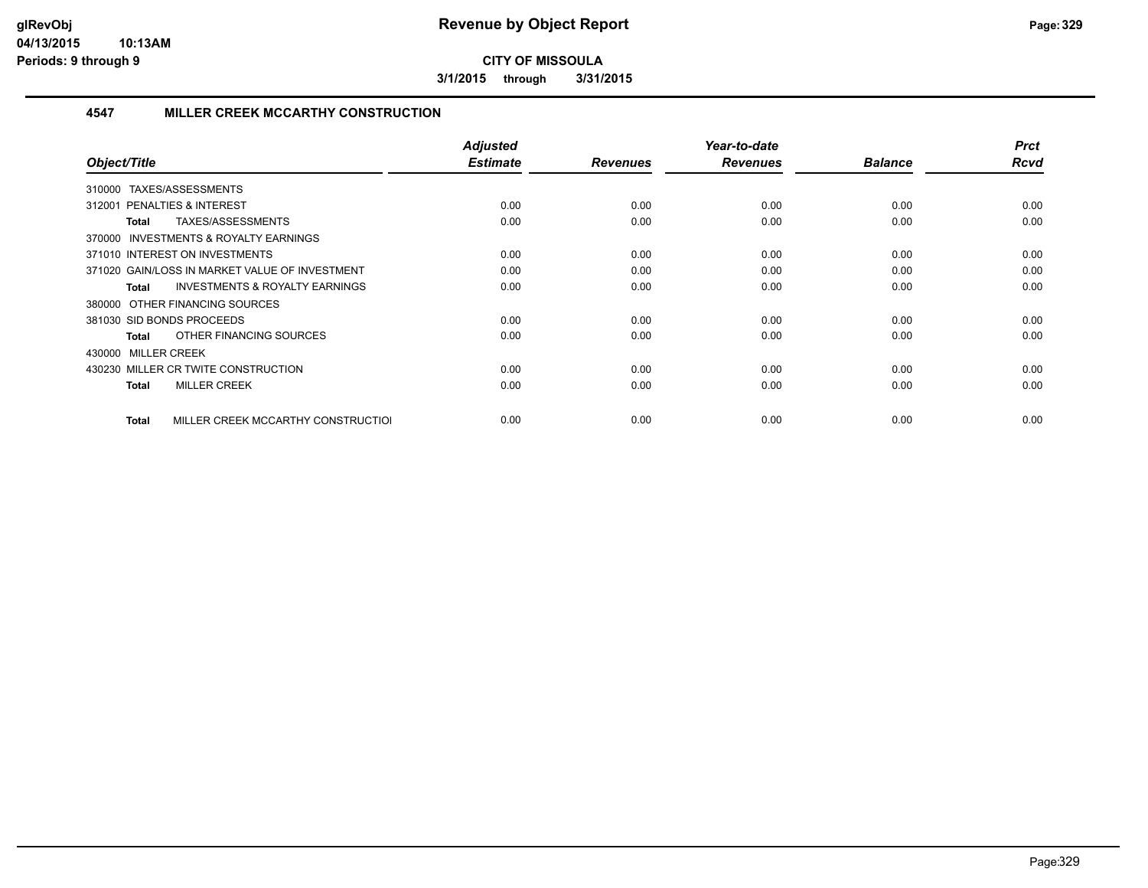**3/1/2015 through 3/31/2015**

### **4547 MILLER CREEK MCCARTHY CONSTRUCTION**

| Object/Title                                              | <b>Adjusted</b><br><b>Estimate</b> | <b>Revenues</b> | Year-to-date<br><b>Revenues</b> | <b>Balance</b> | <b>Prct</b><br><b>Rcvd</b> |
|-----------------------------------------------------------|------------------------------------|-----------------|---------------------------------|----------------|----------------------------|
| TAXES/ASSESSMENTS<br>310000                               |                                    |                 |                                 |                |                            |
| 312001 PENALTIES & INTEREST                               | 0.00                               | 0.00            | 0.00                            | 0.00           | 0.00                       |
| TAXES/ASSESSMENTS<br>Total                                | 0.00                               | 0.00            | 0.00                            | 0.00           | 0.00                       |
| <b>INVESTMENTS &amp; ROYALTY EARNINGS</b><br>370000       |                                    |                 |                                 |                |                            |
| 371010 INTEREST ON INVESTMENTS                            | 0.00                               | 0.00            | 0.00                            | 0.00           | 0.00                       |
| 371020 GAIN/LOSS IN MARKET VALUE OF INVESTMENT            | 0.00                               | 0.00            | 0.00                            | 0.00           | 0.00                       |
| <b>INVESTMENTS &amp; ROYALTY EARNINGS</b><br><b>Total</b> | 0.00                               | 0.00            | 0.00                            | 0.00           | 0.00                       |
| 380000 OTHER FINANCING SOURCES                            |                                    |                 |                                 |                |                            |
| 381030 SID BONDS PROCEEDS                                 | 0.00                               | 0.00            | 0.00                            | 0.00           | 0.00                       |
| OTHER FINANCING SOURCES<br><b>Total</b>                   | 0.00                               | 0.00            | 0.00                            | 0.00           | 0.00                       |
| 430000 MILLER CREEK                                       |                                    |                 |                                 |                |                            |
| 430230 MILLER CR TWITE CONSTRUCTION                       | 0.00                               | 0.00            | 0.00                            | 0.00           | 0.00                       |
| <b>MILLER CREEK</b><br><b>Total</b>                       | 0.00                               | 0.00            | 0.00                            | 0.00           | 0.00                       |
|                                                           |                                    |                 |                                 |                |                            |
| MILLER CREEK MCCARTHY CONSTRUCTIOI<br><b>Total</b>        | 0.00                               | 0.00            | 0.00                            | 0.00           | 0.00                       |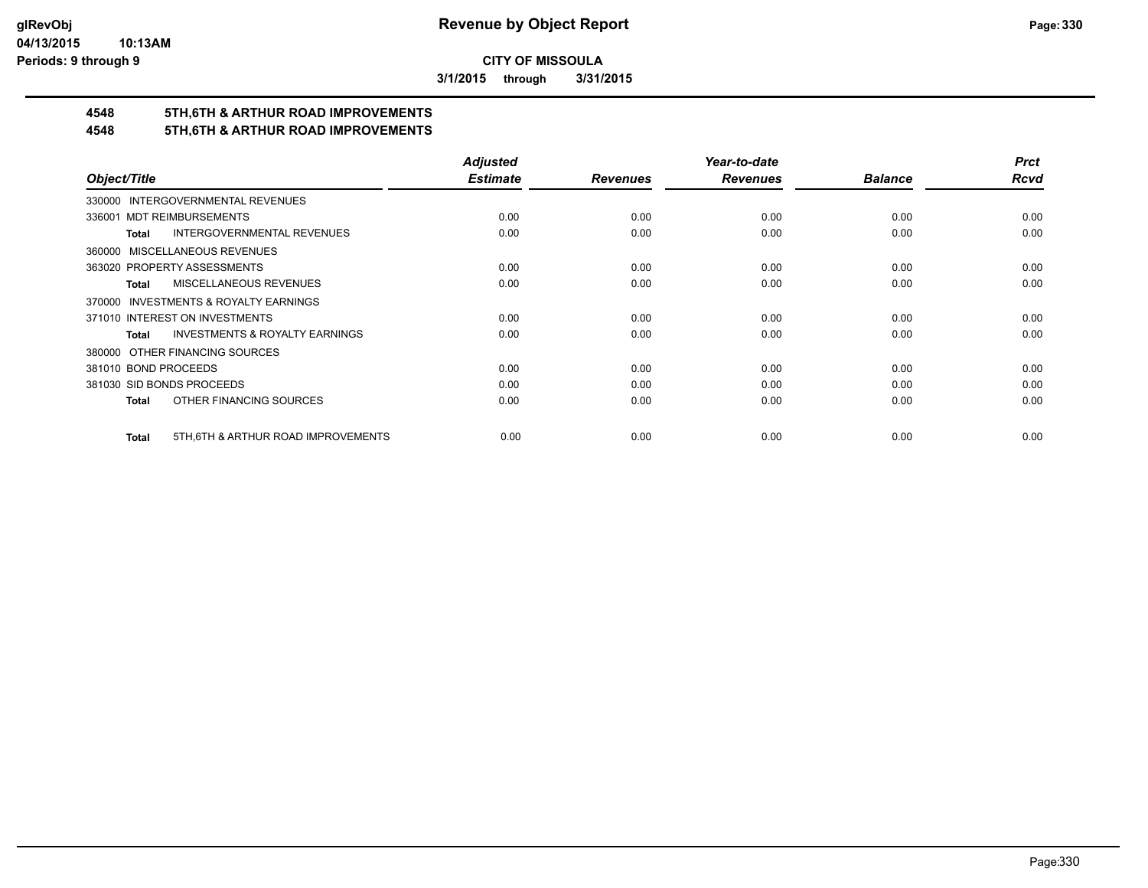**3/1/2015 through 3/31/2015**

## **4548 5TH,6TH & ARTHUR ROAD IMPROVEMENTS**

### **4548 5TH,6TH & ARTHUR ROAD IMPROVEMENTS**

|                                                     | <b>Adjusted</b> |                 | Year-to-date    |                | <b>Prct</b> |
|-----------------------------------------------------|-----------------|-----------------|-----------------|----------------|-------------|
| Object/Title                                        | <b>Estimate</b> | <b>Revenues</b> | <b>Revenues</b> | <b>Balance</b> | <b>Rcvd</b> |
| 330000 INTERGOVERNMENTAL REVENUES                   |                 |                 |                 |                |             |
| <b>MDT REIMBURSEMENTS</b><br>336001                 | 0.00            | 0.00            | 0.00            | 0.00           | 0.00        |
| <b>INTERGOVERNMENTAL REVENUES</b><br>Total          | 0.00            | 0.00            | 0.00            | 0.00           | 0.00        |
| 360000 MISCELLANEOUS REVENUES                       |                 |                 |                 |                |             |
| 363020 PROPERTY ASSESSMENTS                         | 0.00            | 0.00            | 0.00            | 0.00           | 0.00        |
| MISCELLANEOUS REVENUES<br>Total                     | 0.00            | 0.00            | 0.00            | 0.00           | 0.00        |
| 370000 INVESTMENTS & ROYALTY EARNINGS               |                 |                 |                 |                |             |
| 371010 INTEREST ON INVESTMENTS                      | 0.00            | 0.00            | 0.00            | 0.00           | 0.00        |
| <b>INVESTMENTS &amp; ROYALTY EARNINGS</b><br>Total  | 0.00            | 0.00            | 0.00            | 0.00           | 0.00        |
| 380000 OTHER FINANCING SOURCES                      |                 |                 |                 |                |             |
| 381010 BOND PROCEEDS                                | 0.00            | 0.00            | 0.00            | 0.00           | 0.00        |
| 381030 SID BONDS PROCEEDS                           | 0.00            | 0.00            | 0.00            | 0.00           | 0.00        |
| OTHER FINANCING SOURCES<br><b>Total</b>             | 0.00            | 0.00            | 0.00            | 0.00           | 0.00        |
|                                                     |                 |                 |                 |                |             |
| 5TH, 6TH & ARTHUR ROAD IMPROVEMENTS<br><b>Total</b> | 0.00            | 0.00            | 0.00            | 0.00           | 0.00        |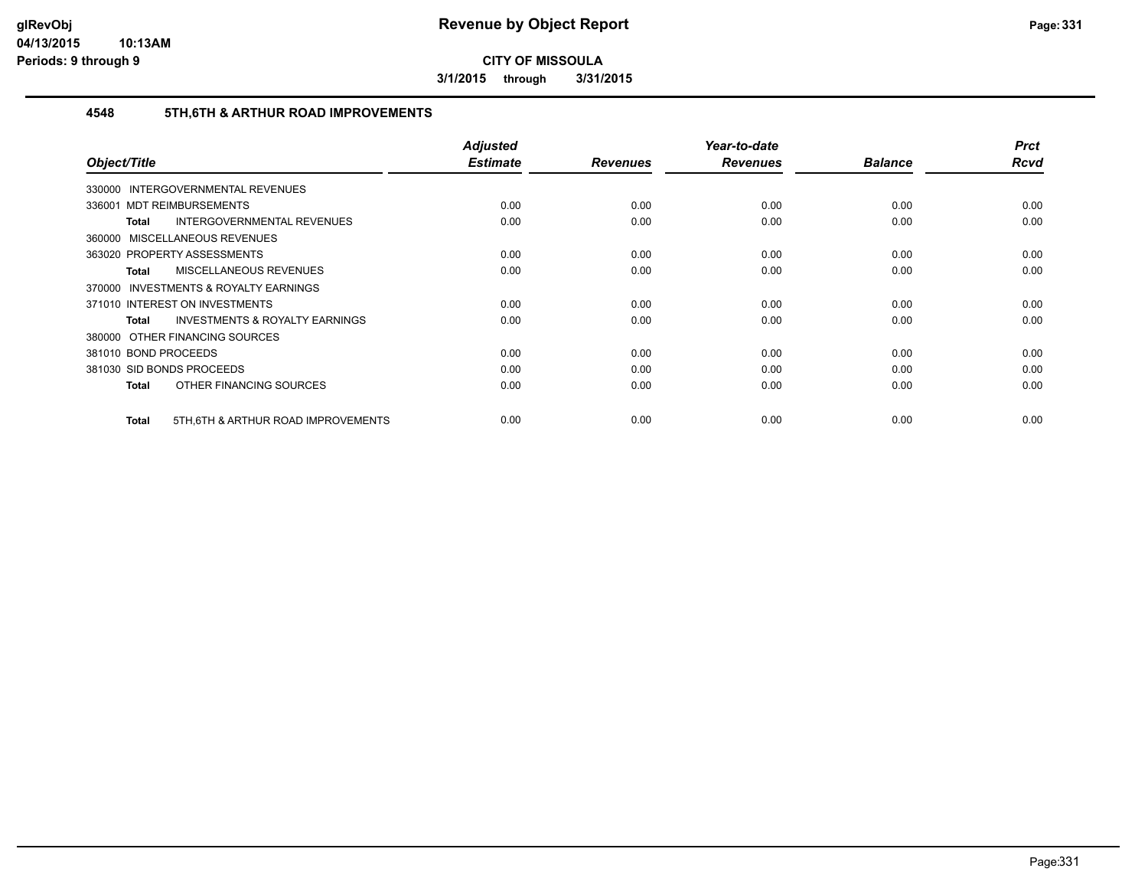**3/1/2015 through 3/31/2015**

### **4548 5TH,6TH & ARTHUR ROAD IMPROVEMENTS**

| Object/Title                                              | <b>Adjusted</b><br><b>Estimate</b> | <b>Revenues</b> | Year-to-date<br><b>Revenues</b> | <b>Balance</b> | <b>Prct</b><br><b>Rcvd</b> |
|-----------------------------------------------------------|------------------------------------|-----------------|---------------------------------|----------------|----------------------------|
| INTERGOVERNMENTAL REVENUES<br>330000                      |                                    |                 |                                 |                |                            |
| 336001 MDT REIMBURSEMENTS                                 | 0.00                               | 0.00            | 0.00                            | 0.00           | 0.00                       |
| <b>INTERGOVERNMENTAL REVENUES</b><br>Total                | 0.00                               | 0.00            | 0.00                            | 0.00           | 0.00                       |
| MISCELLANEOUS REVENUES<br>360000                          |                                    |                 |                                 |                |                            |
| 363020 PROPERTY ASSESSMENTS                               | 0.00                               | 0.00            | 0.00                            | 0.00           | 0.00                       |
| MISCELLANEOUS REVENUES<br><b>Total</b>                    | 0.00                               | 0.00            | 0.00                            | 0.00           | 0.00                       |
| <b>INVESTMENTS &amp; ROYALTY EARNINGS</b><br>370000       |                                    |                 |                                 |                |                            |
| 371010 INTEREST ON INVESTMENTS                            | 0.00                               | 0.00            | 0.00                            | 0.00           | 0.00                       |
| <b>INVESTMENTS &amp; ROYALTY EARNINGS</b><br><b>Total</b> | 0.00                               | 0.00            | 0.00                            | 0.00           | 0.00                       |
| 380000 OTHER FINANCING SOURCES                            |                                    |                 |                                 |                |                            |
| 381010 BOND PROCEEDS                                      | 0.00                               | 0.00            | 0.00                            | 0.00           | 0.00                       |
| 381030 SID BONDS PROCEEDS                                 | 0.00                               | 0.00            | 0.00                            | 0.00           | 0.00                       |
| OTHER FINANCING SOURCES<br><b>Total</b>                   | 0.00                               | 0.00            | 0.00                            | 0.00           | 0.00                       |
| 5TH, 6TH & ARTHUR ROAD IMPROVEMENTS<br><b>Total</b>       | 0.00                               | 0.00            | 0.00                            | 0.00           | 0.00                       |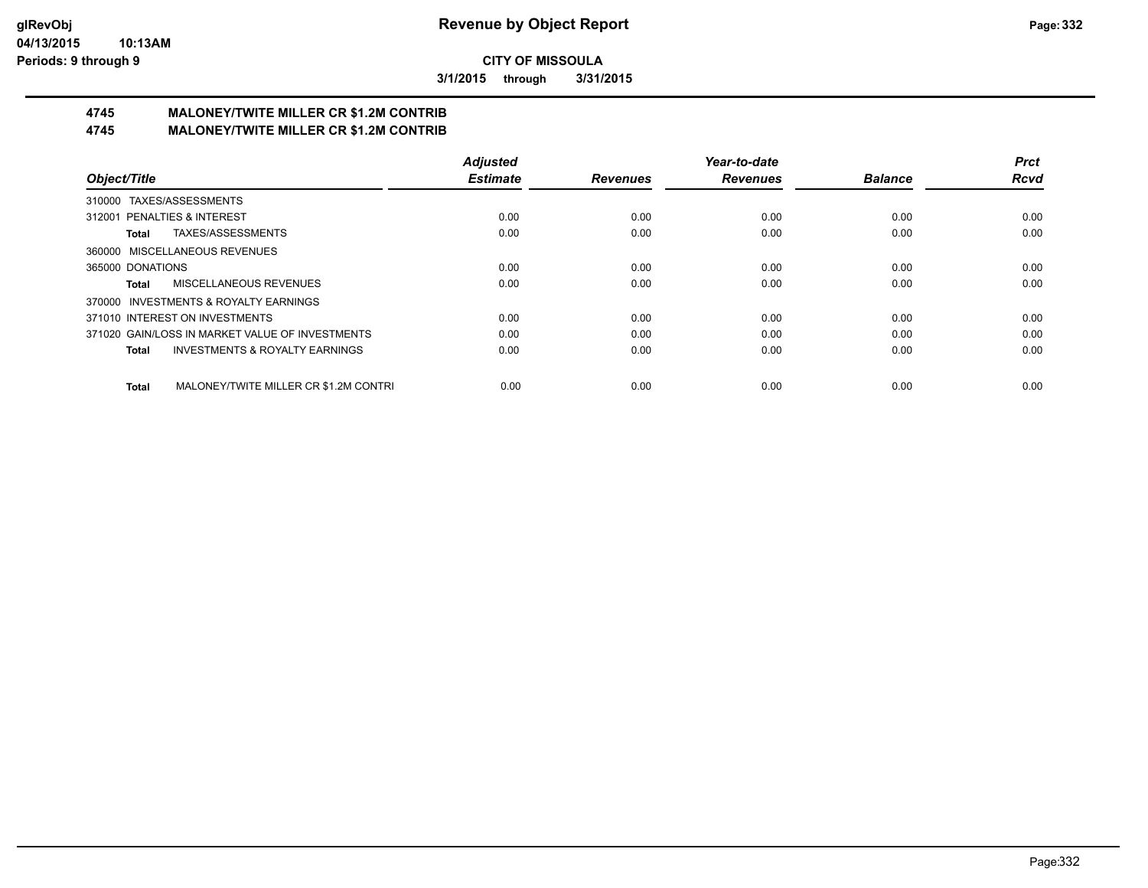**3/1/2015 through 3/31/2015**

# **4745 MALONEY/TWITE MILLER CR \$1.2M CONTRIB**

**4745 MALONEY/TWITE MILLER CR \$1.2M CONTRIB**

|                                                           | <b>Adjusted</b> |                 | Year-to-date    |                | <b>Prct</b> |
|-----------------------------------------------------------|-----------------|-----------------|-----------------|----------------|-------------|
| Object/Title                                              | <b>Estimate</b> | <b>Revenues</b> | <b>Revenues</b> | <b>Balance</b> | <b>Rcvd</b> |
| 310000 TAXES/ASSESSMENTS                                  |                 |                 |                 |                |             |
| 312001 PENALTIES & INTEREST                               | 0.00            | 0.00            | 0.00            | 0.00           | 0.00        |
| TAXES/ASSESSMENTS<br>Total                                | 0.00            | 0.00            | 0.00            | 0.00           | 0.00        |
| 360000 MISCELLANEOUS REVENUES                             |                 |                 |                 |                |             |
| 365000 DONATIONS                                          | 0.00            | 0.00            | 0.00            | 0.00           | 0.00        |
| MISCELLANEOUS REVENUES<br>Total                           | 0.00            | 0.00            | 0.00            | 0.00           | 0.00        |
| 370000 INVESTMENTS & ROYALTY EARNINGS                     |                 |                 |                 |                |             |
| 371010 INTEREST ON INVESTMENTS                            | 0.00            | 0.00            | 0.00            | 0.00           | 0.00        |
| 371020 GAIN/LOSS IN MARKET VALUE OF INVESTMENTS           | 0.00            | 0.00            | 0.00            | 0.00           | 0.00        |
| <b>INVESTMENTS &amp; ROYALTY EARNINGS</b><br><b>Total</b> | 0.00            | 0.00            | 0.00            | 0.00           | 0.00        |
| MALONEY/TWITE MILLER CR \$1.2M CONTRI<br><b>Total</b>     | 0.00            | 0.00            | 0.00            | 0.00           | 0.00        |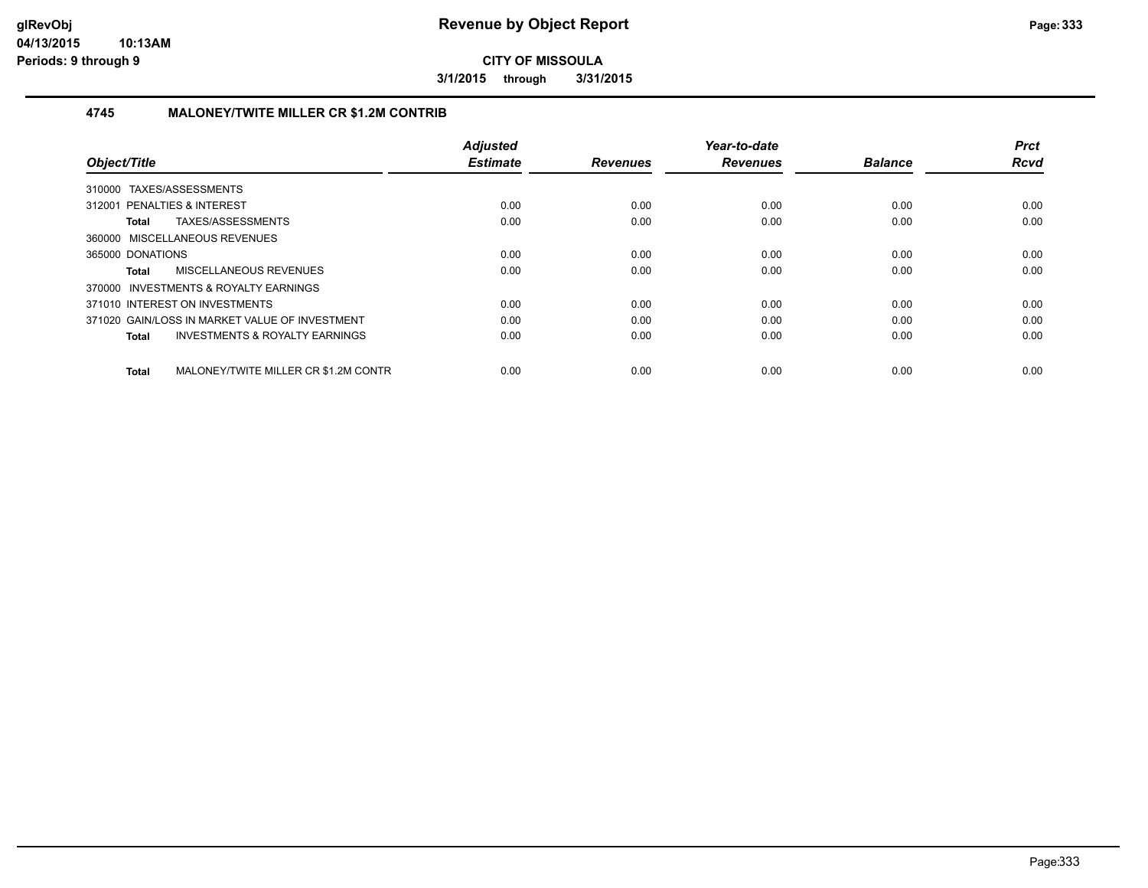**3/1/2015 through 3/31/2015**

### **4745 MALONEY/TWITE MILLER CR \$1.2M CONTRIB**

|                                                           | <b>Adjusted</b> |                 | Year-to-date    |                | <b>Prct</b> |
|-----------------------------------------------------------|-----------------|-----------------|-----------------|----------------|-------------|
| Object/Title                                              | <b>Estimate</b> | <b>Revenues</b> | <b>Revenues</b> | <b>Balance</b> | <b>Rcvd</b> |
| 310000 TAXES/ASSESSMENTS                                  |                 |                 |                 |                |             |
| 312001 PENALTIES & INTEREST                               | 0.00            | 0.00            | 0.00            | 0.00           | 0.00        |
| TAXES/ASSESSMENTS<br>Total                                | 0.00            | 0.00            | 0.00            | 0.00           | 0.00        |
| 360000 MISCELLANEOUS REVENUES                             |                 |                 |                 |                |             |
| 365000 DONATIONS                                          | 0.00            | 0.00            | 0.00            | 0.00           | 0.00        |
| MISCELLANEOUS REVENUES<br>Total                           | 0.00            | 0.00            | 0.00            | 0.00           | 0.00        |
| 370000 INVESTMENTS & ROYALTY EARNINGS                     |                 |                 |                 |                |             |
| 371010 INTEREST ON INVESTMENTS                            | 0.00            | 0.00            | 0.00            | 0.00           | 0.00        |
| 371020 GAIN/LOSS IN MARKET VALUE OF INVESTMENT            | 0.00            | 0.00            | 0.00            | 0.00           | 0.00        |
| <b>INVESTMENTS &amp; ROYALTY EARNINGS</b><br><b>Total</b> | 0.00            | 0.00            | 0.00            | 0.00           | 0.00        |
|                                                           |                 |                 |                 |                |             |
| MALONEY/TWITE MILLER CR \$1.2M CONTR<br>Total             | 0.00            | 0.00            | 0.00            | 0.00           | 0.00        |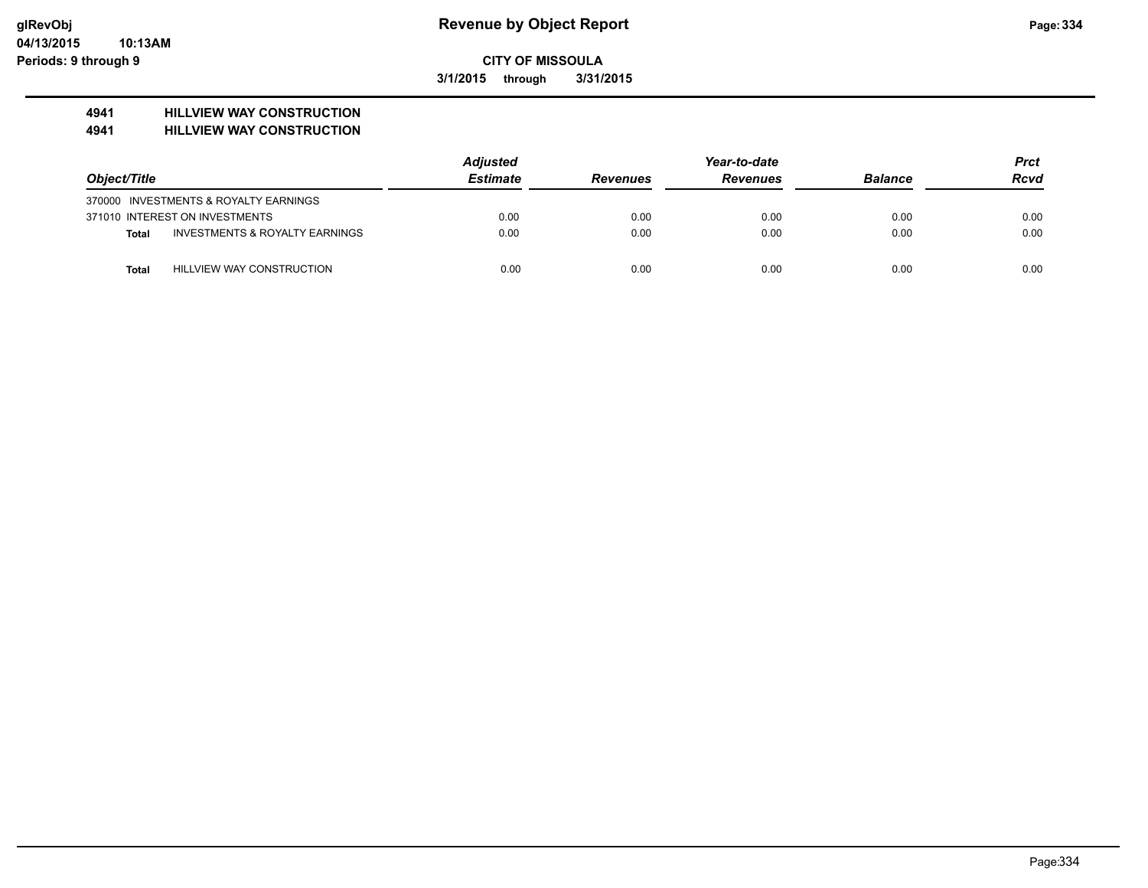**3/1/2015 through 3/31/2015**

### **4941 HILLVIEW WAY CONSTRUCTION**

**4941 HILLVIEW WAY CONSTRUCTION**

|                                                  | <b>Adjusted</b> |                 | Year-to-date    |                |      |
|--------------------------------------------------|-----------------|-----------------|-----------------|----------------|------|
| Object/Title                                     | <b>Estimate</b> | <b>Revenues</b> | <b>Revenues</b> | <b>Balance</b> | Rcvd |
| 370000 INVESTMENTS & ROYALTY EARNINGS            |                 |                 |                 |                |      |
| 371010 INTEREST ON INVESTMENTS                   | 0.00            | 0.00            | 0.00            | 0.00           | 0.00 |
| INVESTMENTS & ROYALTY EARNINGS<br><b>Total</b>   | 0.00            | 0.00            | 0.00            | 0.00           | 0.00 |
| <b>HILLVIEW WAY CONSTRUCTION</b><br><b>Total</b> | 0.00            | 0.00            | 0.00            | 0.00           | 0.00 |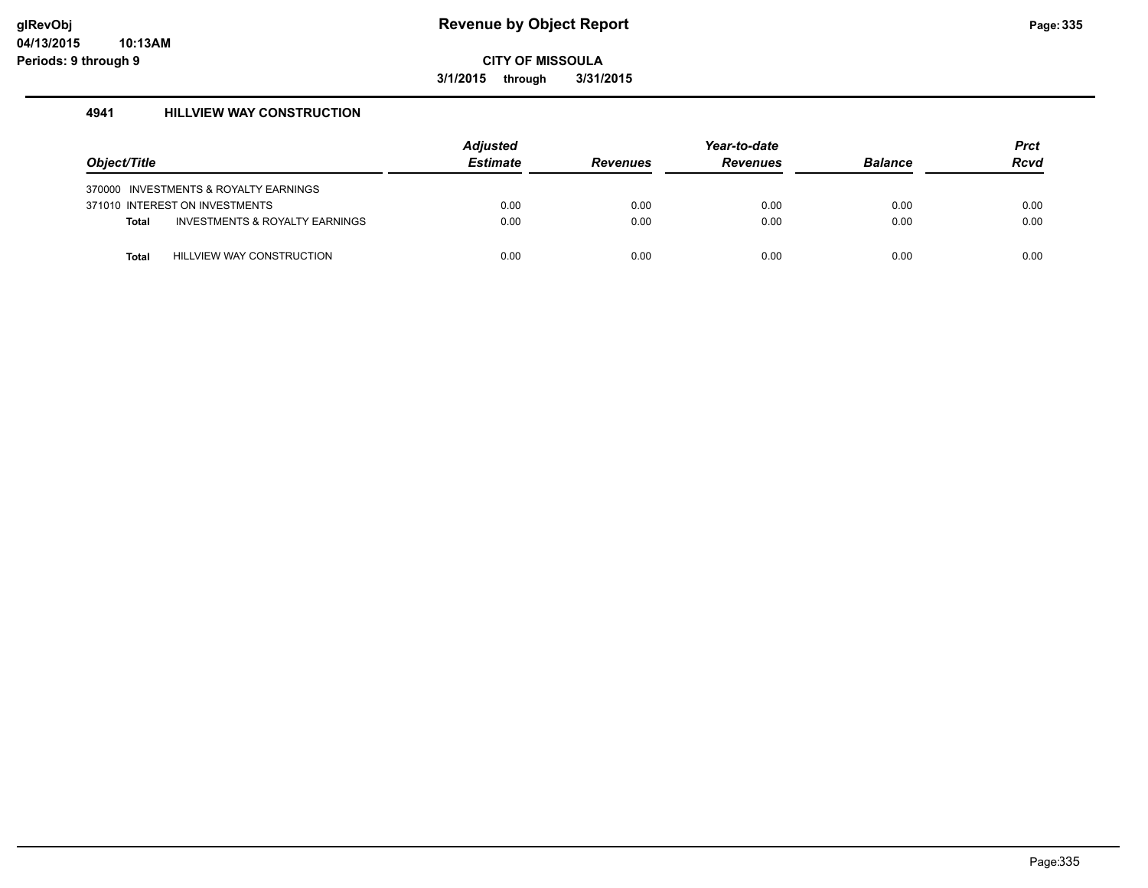**3/1/2015 through 3/31/2015**

### **4941 HILLVIEW WAY CONSTRUCTION**

|              |                                           | <b>Adjusted</b> |                 | Year-to-date    |                | <b>Prct</b> |
|--------------|-------------------------------------------|-----------------|-----------------|-----------------|----------------|-------------|
| Object/Title |                                           | <b>Estimate</b> | <b>Revenues</b> | <b>Revenues</b> | <b>Balance</b> | <b>Rcvd</b> |
|              | 370000 INVESTMENTS & ROYALTY EARNINGS     |                 |                 |                 |                |             |
|              | 371010 INTEREST ON INVESTMENTS            | 0.00            | 0.00            | 0.00            | 0.00           | 0.00        |
| <b>Total</b> | <b>INVESTMENTS &amp; ROYALTY EARNINGS</b> | 0.00            | 0.00            | 0.00            | 0.00           | 0.00        |
| <b>Total</b> | <b>HILLVIEW WAY CONSTRUCTION</b>          | 0.00            | 0.00            | 0.00            | 0.00           | 0.00        |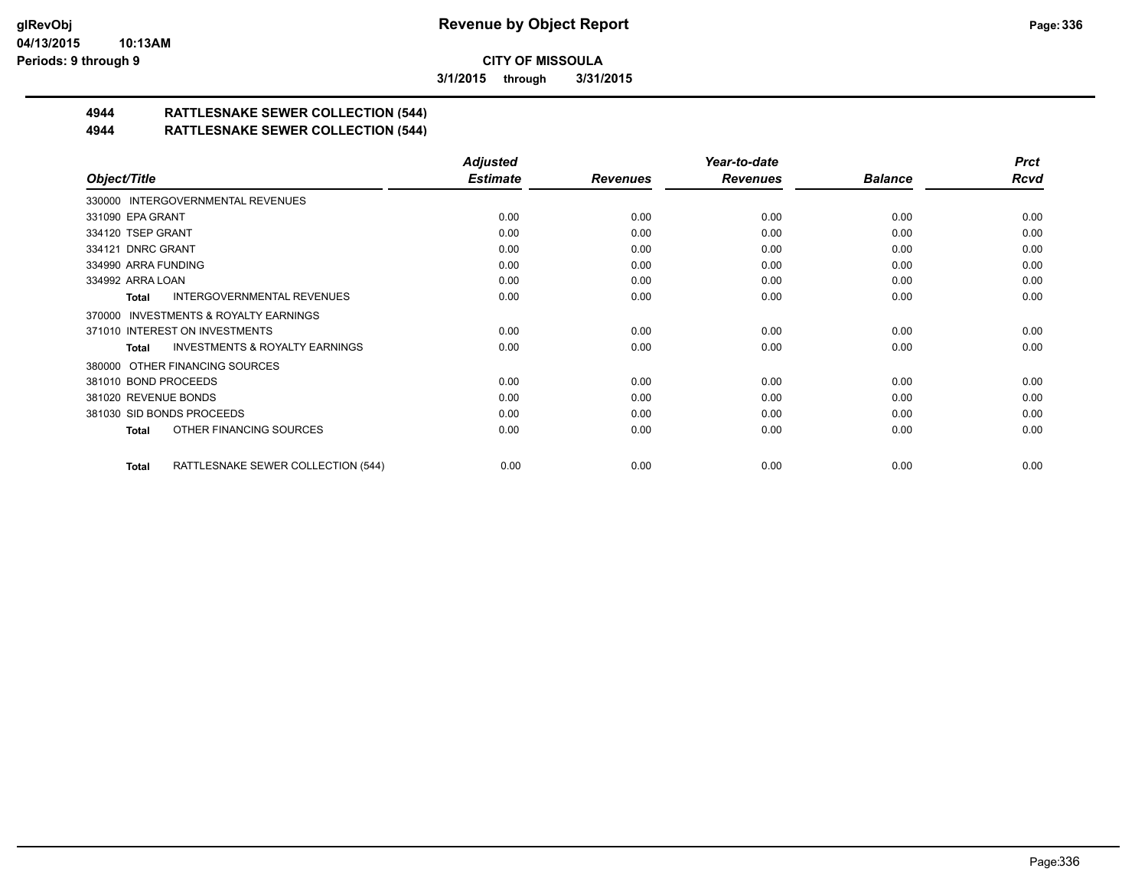**3/1/2015 through 3/31/2015**

## **4944 RATTLESNAKE SEWER COLLECTION (544)**

### **4944 RATTLESNAKE SEWER COLLECTION (544)**

|                                                    | <b>Adjusted</b> |                 | Year-to-date    |                | <b>Prct</b> |
|----------------------------------------------------|-----------------|-----------------|-----------------|----------------|-------------|
| Object/Title                                       | <b>Estimate</b> | <b>Revenues</b> | <b>Revenues</b> | <b>Balance</b> | <b>Rcvd</b> |
| 330000 INTERGOVERNMENTAL REVENUES                  |                 |                 |                 |                |             |
| 331090 EPA GRANT                                   | 0.00            | 0.00            | 0.00            | 0.00           | 0.00        |
| 334120 TSEP GRANT                                  | 0.00            | 0.00            | 0.00            | 0.00           | 0.00        |
| 334121 DNRC GRANT                                  | 0.00            | 0.00            | 0.00            | 0.00           | 0.00        |
| 334990 ARRA FUNDING                                | 0.00            | 0.00            | 0.00            | 0.00           | 0.00        |
| 334992 ARRA LOAN                                   | 0.00            | 0.00            | 0.00            | 0.00           | 0.00        |
| <b>INTERGOVERNMENTAL REVENUES</b><br>Total         | 0.00            | 0.00            | 0.00            | 0.00           | 0.00        |
| 370000 INVESTMENTS & ROYALTY EARNINGS              |                 |                 |                 |                |             |
| 371010 INTEREST ON INVESTMENTS                     | 0.00            | 0.00            | 0.00            | 0.00           | 0.00        |
| <b>INVESTMENTS &amp; ROYALTY EARNINGS</b><br>Total | 0.00            | 0.00            | 0.00            | 0.00           | 0.00        |
| 380000 OTHER FINANCING SOURCES                     |                 |                 |                 |                |             |
| 381010 BOND PROCEEDS                               | 0.00            | 0.00            | 0.00            | 0.00           | 0.00        |
| 381020 REVENUE BONDS                               | 0.00            | 0.00            | 0.00            | 0.00           | 0.00        |
| 381030 SID BONDS PROCEEDS                          | 0.00            | 0.00            | 0.00            | 0.00           | 0.00        |
| OTHER FINANCING SOURCES<br>Total                   | 0.00            | 0.00            | 0.00            | 0.00           | 0.00        |
| RATTLESNAKE SEWER COLLECTION (544)<br>Total        | 0.00            | 0.00            | 0.00            | 0.00           | 0.00        |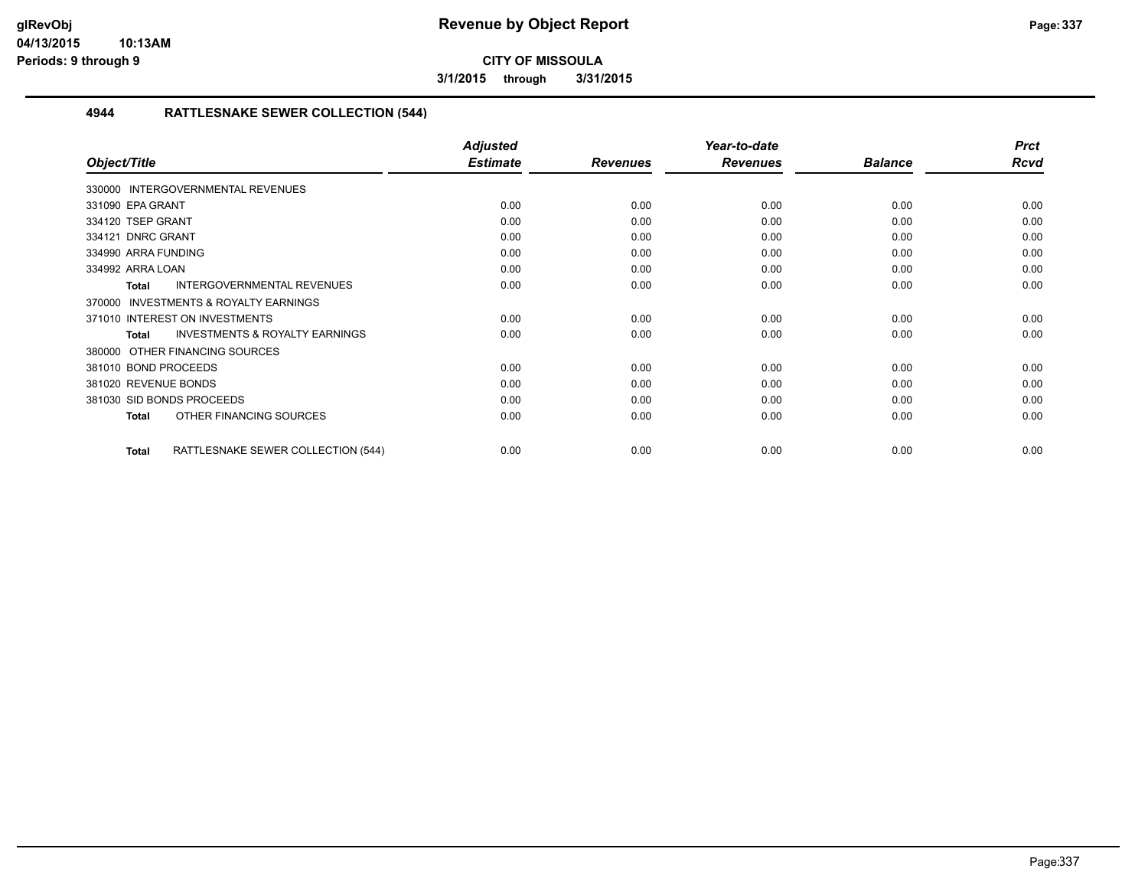**3/1/2015 through 3/31/2015**

### **4944 RATTLESNAKE SEWER COLLECTION (544)**

|                                                     | <b>Adjusted</b> |                 | Year-to-date    |                | <b>Prct</b> |
|-----------------------------------------------------|-----------------|-----------------|-----------------|----------------|-------------|
| Object/Title                                        | <b>Estimate</b> | <b>Revenues</b> | <b>Revenues</b> | <b>Balance</b> | <b>Rcvd</b> |
| 330000 INTERGOVERNMENTAL REVENUES                   |                 |                 |                 |                |             |
| 331090 EPA GRANT                                    | 0.00            | 0.00            | 0.00            | 0.00           | 0.00        |
| 334120 TSEP GRANT                                   | 0.00            | 0.00            | 0.00            | 0.00           | 0.00        |
| 334121 DNRC GRANT                                   | 0.00            | 0.00            | 0.00            | 0.00           | 0.00        |
| 334990 ARRA FUNDING                                 | 0.00            | 0.00            | 0.00            | 0.00           | 0.00        |
| 334992 ARRA LOAN                                    | 0.00            | 0.00            | 0.00            | 0.00           | 0.00        |
| <b>INTERGOVERNMENTAL REVENUES</b><br>Total          | 0.00            | 0.00            | 0.00            | 0.00           | 0.00        |
| <b>INVESTMENTS &amp; ROYALTY EARNINGS</b><br>370000 |                 |                 |                 |                |             |
| 371010 INTEREST ON INVESTMENTS                      | 0.00            | 0.00            | 0.00            | 0.00           | 0.00        |
| <b>INVESTMENTS &amp; ROYALTY EARNINGS</b><br>Total  | 0.00            | 0.00            | 0.00            | 0.00           | 0.00        |
| 380000 OTHER FINANCING SOURCES                      |                 |                 |                 |                |             |
| 381010 BOND PROCEEDS                                | 0.00            | 0.00            | 0.00            | 0.00           | 0.00        |
| 381020 REVENUE BONDS                                | 0.00            | 0.00            | 0.00            | 0.00           | 0.00        |
| 381030 SID BONDS PROCEEDS                           | 0.00            | 0.00            | 0.00            | 0.00           | 0.00        |
| OTHER FINANCING SOURCES<br><b>Total</b>             | 0.00            | 0.00            | 0.00            | 0.00           | 0.00        |
| RATTLESNAKE SEWER COLLECTION (544)<br><b>Total</b>  | 0.00            | 0.00            | 0.00            | 0.00           | 0.00        |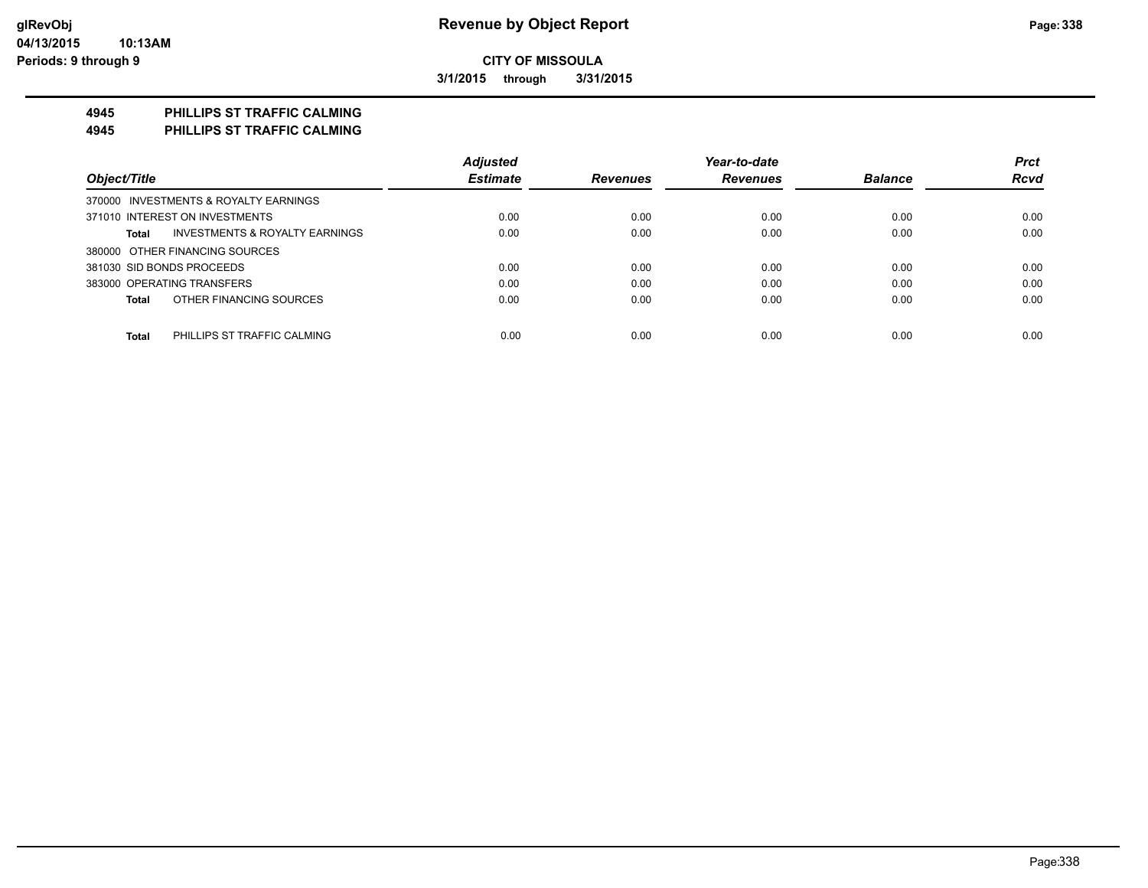**3/1/2015 through 3/31/2015**

### **4945 PHILLIPS ST TRAFFIC CALMING**

**4945 PHILLIPS ST TRAFFIC CALMING**

|                                                    | <b>Adjusted</b> |          | Year-to-date    |                | <b>Prct</b> |
|----------------------------------------------------|-----------------|----------|-----------------|----------------|-------------|
| Object/Title                                       | <b>Estimate</b> | Revenues | <b>Revenues</b> | <b>Balance</b> | <b>Rcvd</b> |
| 370000 INVESTMENTS & ROYALTY EARNINGS              |                 |          |                 |                |             |
| 371010 INTEREST ON INVESTMENTS                     | 0.00            | 0.00     | 0.00            | 0.00           | 0.00        |
| <b>INVESTMENTS &amp; ROYALTY EARNINGS</b><br>Total | 0.00            | 0.00     | 0.00            | 0.00           | 0.00        |
| 380000 OTHER FINANCING SOURCES                     |                 |          |                 |                |             |
| 381030 SID BONDS PROCEEDS                          | 0.00            | 0.00     | 0.00            | 0.00           | 0.00        |
| 383000 OPERATING TRANSFERS                         | 0.00            | 0.00     | 0.00            | 0.00           | 0.00        |
| OTHER FINANCING SOURCES<br>Total                   | 0.00            | 0.00     | 0.00            | 0.00           | 0.00        |
|                                                    |                 |          |                 |                |             |
| <b>Total</b><br>PHILLIPS ST TRAFFIC CALMING        | 0.00            | 0.00     | 0.00            | 0.00           | 0.00        |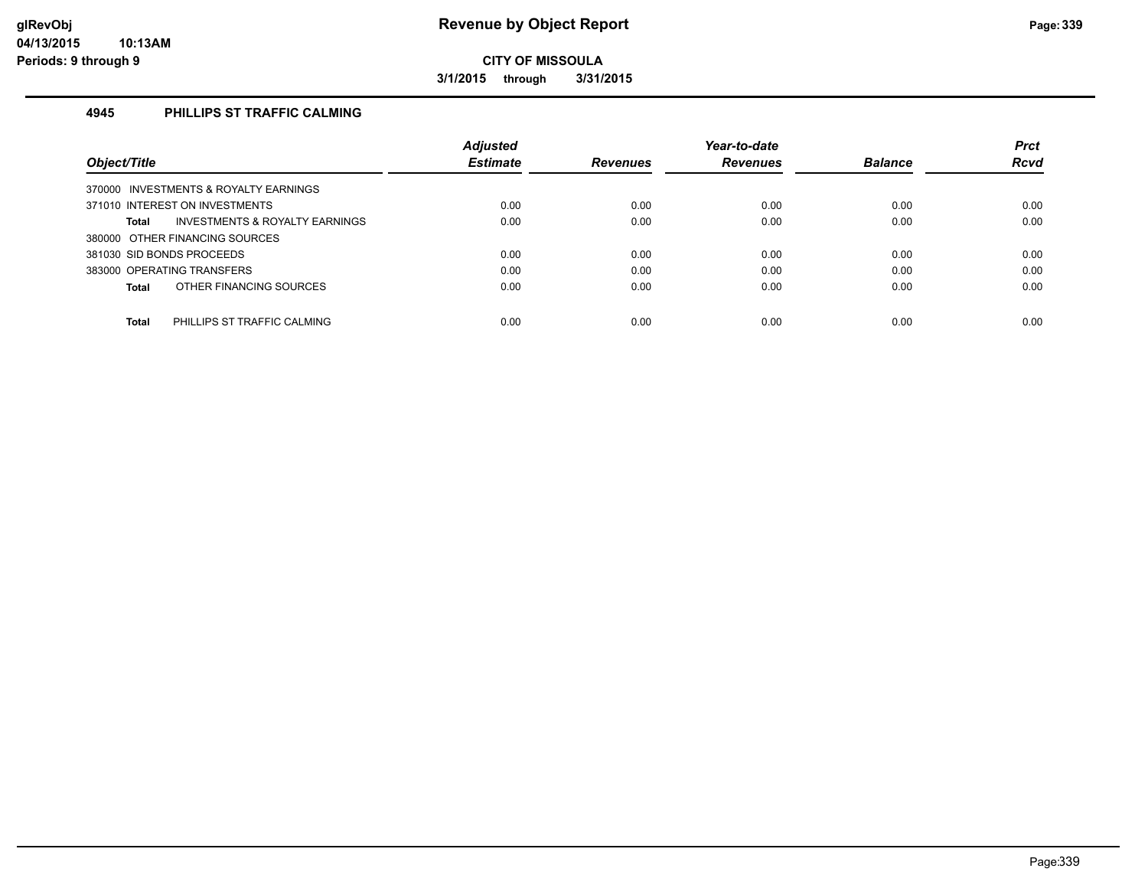**3/1/2015 through 3/31/2015**

### **4945 PHILLIPS ST TRAFFIC CALMING**

|                                                    | <b>Adjusted</b> |                 | Year-to-date    |                | <b>Prct</b> |
|----------------------------------------------------|-----------------|-----------------|-----------------|----------------|-------------|
| Object/Title                                       | <b>Estimate</b> | <b>Revenues</b> | <b>Revenues</b> | <b>Balance</b> | Rcvd        |
| INVESTMENTS & ROYALTY EARNINGS<br>370000           |                 |                 |                 |                |             |
| 371010 INTEREST ON INVESTMENTS                     | 0.00            | 0.00            | 0.00            | 0.00           | 0.00        |
| <b>INVESTMENTS &amp; ROYALTY EARNINGS</b><br>Total | 0.00            | 0.00            | 0.00            | 0.00           | 0.00        |
| 380000 OTHER FINANCING SOURCES                     |                 |                 |                 |                |             |
| 381030 SID BONDS PROCEEDS                          | 0.00            | 0.00            | 0.00            | 0.00           | 0.00        |
| 383000 OPERATING TRANSFERS                         | 0.00            | 0.00            | 0.00            | 0.00           | 0.00        |
| OTHER FINANCING SOURCES<br>Total                   | 0.00            | 0.00            | 0.00            | 0.00           | 0.00        |
|                                                    |                 |                 |                 |                |             |
| Total<br>PHILLIPS ST TRAFFIC CALMING               | 0.00            | 0.00            | 0.00            | 0.00           | 0.00        |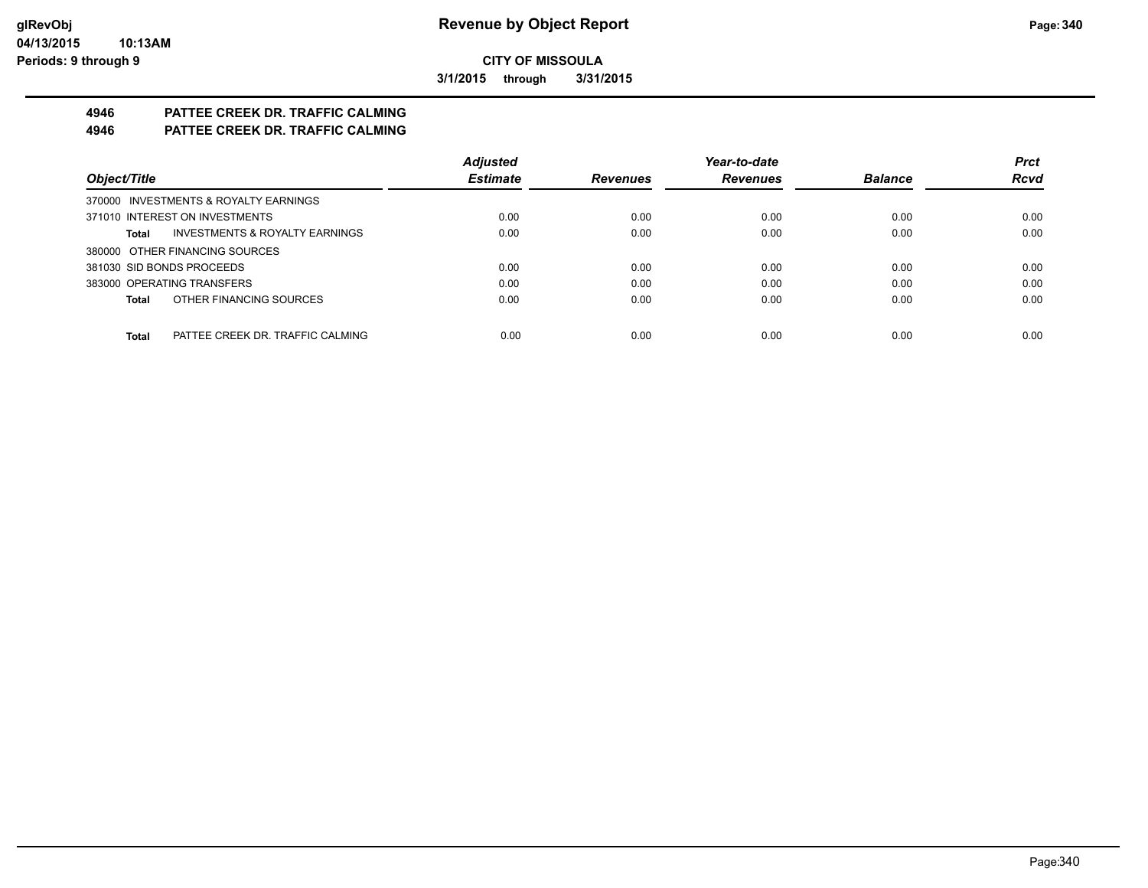**3/1/2015 through 3/31/2015**

# **4946 PATTEE CREEK DR. TRAFFIC CALMING**

### **4946 PATTEE CREEK DR. TRAFFIC CALMING**

|                                           | <b>Adjusted</b> |                 | Year-to-date    |                | <b>Prct</b> |
|-------------------------------------------|-----------------|-----------------|-----------------|----------------|-------------|
| Object/Title                              | <b>Estimate</b> | <b>Revenues</b> | <b>Revenues</b> | <b>Balance</b> | <b>Rcvd</b> |
| 370000 INVESTMENTS & ROYALTY EARNINGS     |                 |                 |                 |                |             |
| 371010 INTEREST ON INVESTMENTS            | 0.00            | 0.00            | 0.00            | 0.00           | 0.00        |
| INVESTMENTS & ROYALTY EARNINGS<br>Total   | 0.00            | 0.00            | 0.00            | 0.00           | 0.00        |
| 380000 OTHER FINANCING SOURCES            |                 |                 |                 |                |             |
| 381030 SID BONDS PROCEEDS                 | 0.00            | 0.00            | 0.00            | 0.00           | 0.00        |
| 383000 OPERATING TRANSFERS                | 0.00            | 0.00            | 0.00            | 0.00           | 0.00        |
| OTHER FINANCING SOURCES<br>Total          | 0.00            | 0.00            | 0.00            | 0.00           | 0.00        |
|                                           |                 |                 |                 |                |             |
| Total<br>PATTEE CREEK DR. TRAFFIC CALMING | 0.00            | 0.00            | 0.00            | 0.00           | 0.00        |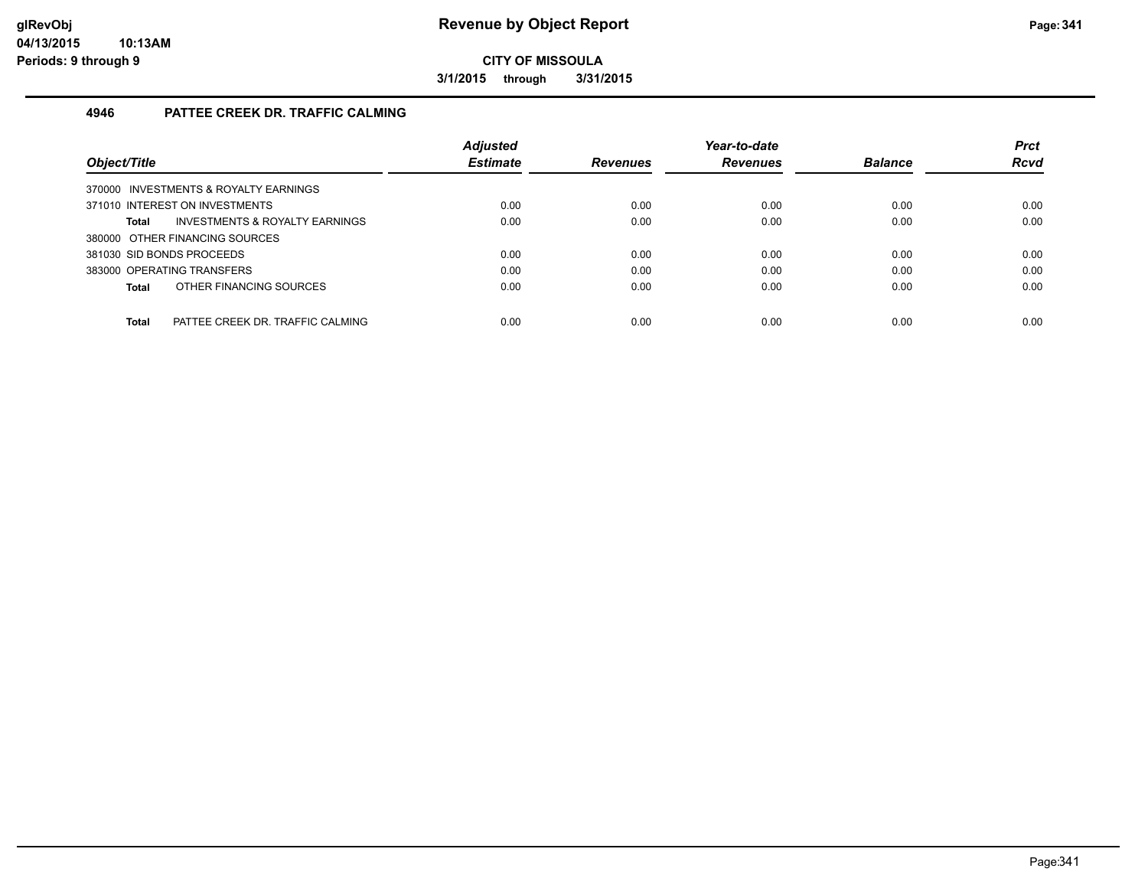**3/1/2015 through 3/31/2015**

### **4946 PATTEE CREEK DR. TRAFFIC CALMING**

| Object/Title                                     | <b>Adjusted</b><br><b>Estimate</b> | <b>Revenues</b> | Year-to-date<br><b>Revenues</b> | <b>Balance</b> | <b>Prct</b><br><b>Rcvd</b> |
|--------------------------------------------------|------------------------------------|-----------------|---------------------------------|----------------|----------------------------|
| 370000 INVESTMENTS & ROYALTY EARNINGS            |                                    |                 |                                 |                |                            |
| 371010 INTEREST ON INVESTMENTS                   | 0.00                               | 0.00            | 0.00                            | 0.00           | 0.00                       |
| INVESTMENTS & ROYALTY EARNINGS<br>Total          | 0.00                               | 0.00            | 0.00                            | 0.00           | 0.00                       |
| 380000 OTHER FINANCING SOURCES                   |                                    |                 |                                 |                |                            |
| 381030 SID BONDS PROCEEDS                        | 0.00                               | 0.00            | 0.00                            | 0.00           | 0.00                       |
| 383000 OPERATING TRANSFERS                       | 0.00                               | 0.00            | 0.00                            | 0.00           | 0.00                       |
| OTHER FINANCING SOURCES<br>Total                 | 0.00                               | 0.00            | 0.00                            | 0.00           | 0.00                       |
|                                                  |                                    |                 |                                 |                |                            |
| <b>Total</b><br>PATTEE CREEK DR. TRAFFIC CALMING | 0.00                               | 0.00            | 0.00                            | 0.00           | 0.00                       |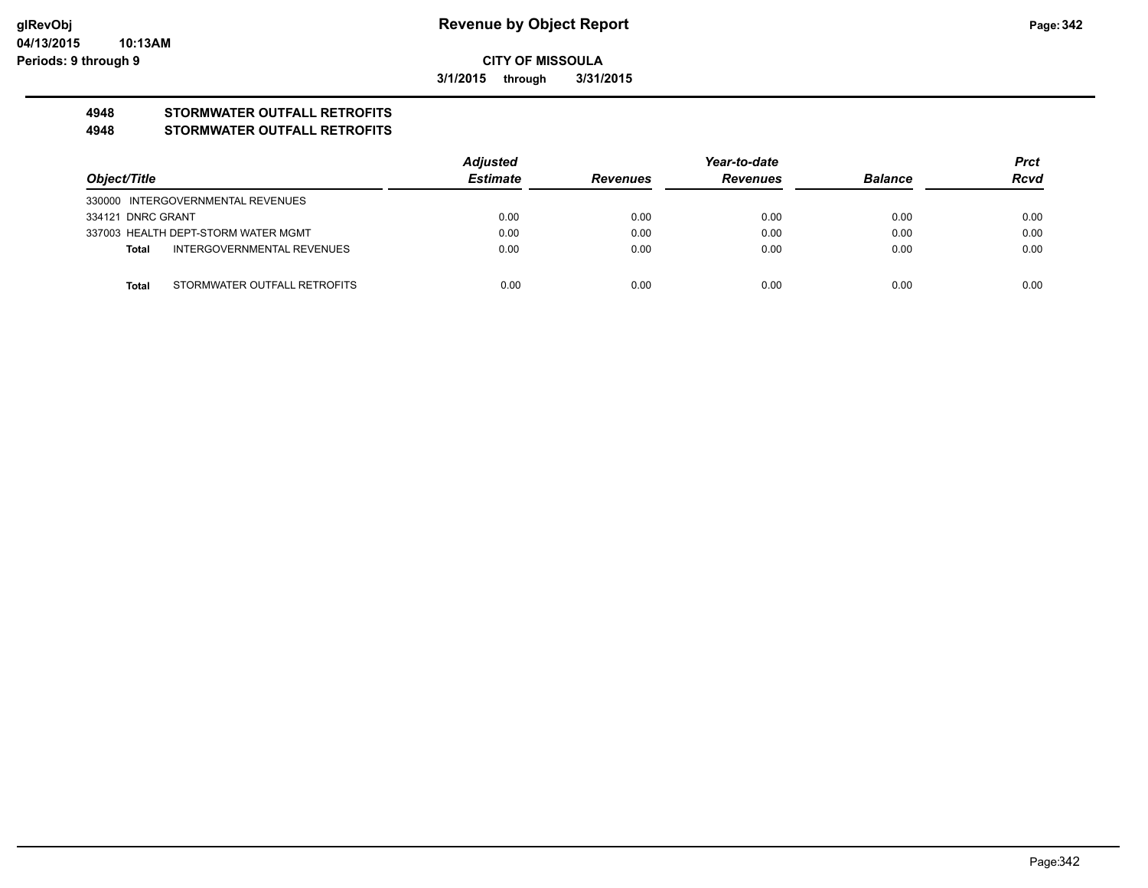**3/1/2015 through 3/31/2015**

### **4948 STORMWATER OUTFALL RETROFITS**

#### **4948 STORMWATER OUTFALL RETROFITS**

|                   |                                     | Adjusted        | Year-to-date    |                |             | <b>Prct</b> |
|-------------------|-------------------------------------|-----------------|-----------------|----------------|-------------|-------------|
| Object/Title      | <b>Estimate</b>                     | <b>Revenues</b> | <b>Revenues</b> | <b>Balance</b> | <b>Rcvd</b> |             |
|                   | 330000 INTERGOVERNMENTAL REVENUES   |                 |                 |                |             |             |
| 334121 DNRC GRANT |                                     | 0.00            | 0.00            | 0.00           | 0.00        | 0.00        |
|                   | 337003 HEALTH DEPT-STORM WATER MGMT | 0.00            | 0.00            | 0.00           | 0.00        | 0.00        |
| Total             | INTERGOVERNMENTAL REVENUES          | 0.00            | 0.00            | 0.00           | 0.00        | 0.00        |
|                   |                                     |                 |                 |                |             |             |
| Total             | STORMWATER OUTFALL RETROFITS        | 0.00            | 0.00            | 0.00           | 0.00        | 0.00        |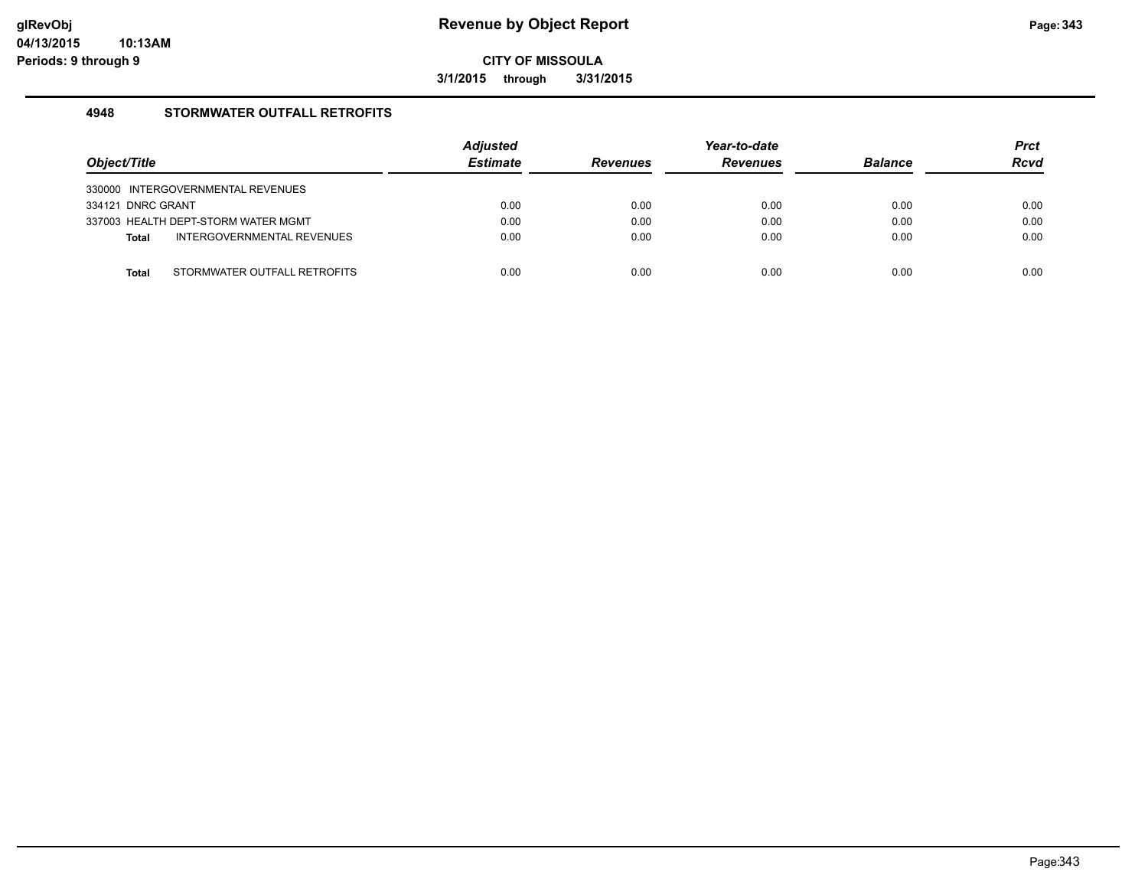**3/1/2015 through 3/31/2015**

### **4948 STORMWATER OUTFALL RETROFITS**

| Object/Title                               | <b>Adjusted</b><br><b>Estimate</b> | <b>Revenues</b> | Year-to-date<br><b>Revenues</b> | <b>Balance</b> | <b>Prct</b><br><b>Rcvd</b> |
|--------------------------------------------|------------------------------------|-----------------|---------------------------------|----------------|----------------------------|
| 330000 INTERGOVERNMENTAL REVENUES          |                                    |                 |                                 |                |                            |
| 334121 DNRC GRANT                          | 0.00                               | 0.00            | 0.00                            | 0.00           | 0.00                       |
| 337003 HEALTH DEPT-STORM WATER MGMT        | 0.00                               | 0.00            | 0.00                            | 0.00           | 0.00                       |
| INTERGOVERNMENTAL REVENUES<br><b>Total</b> | 0.00                               | 0.00            | 0.00                            | 0.00           | 0.00                       |
|                                            |                                    |                 |                                 |                |                            |
| STORMWATER OUTFALL RETROFITS<br>Total      | 0.00                               | 0.00            | 0.00                            | 0.00           | 0.00                       |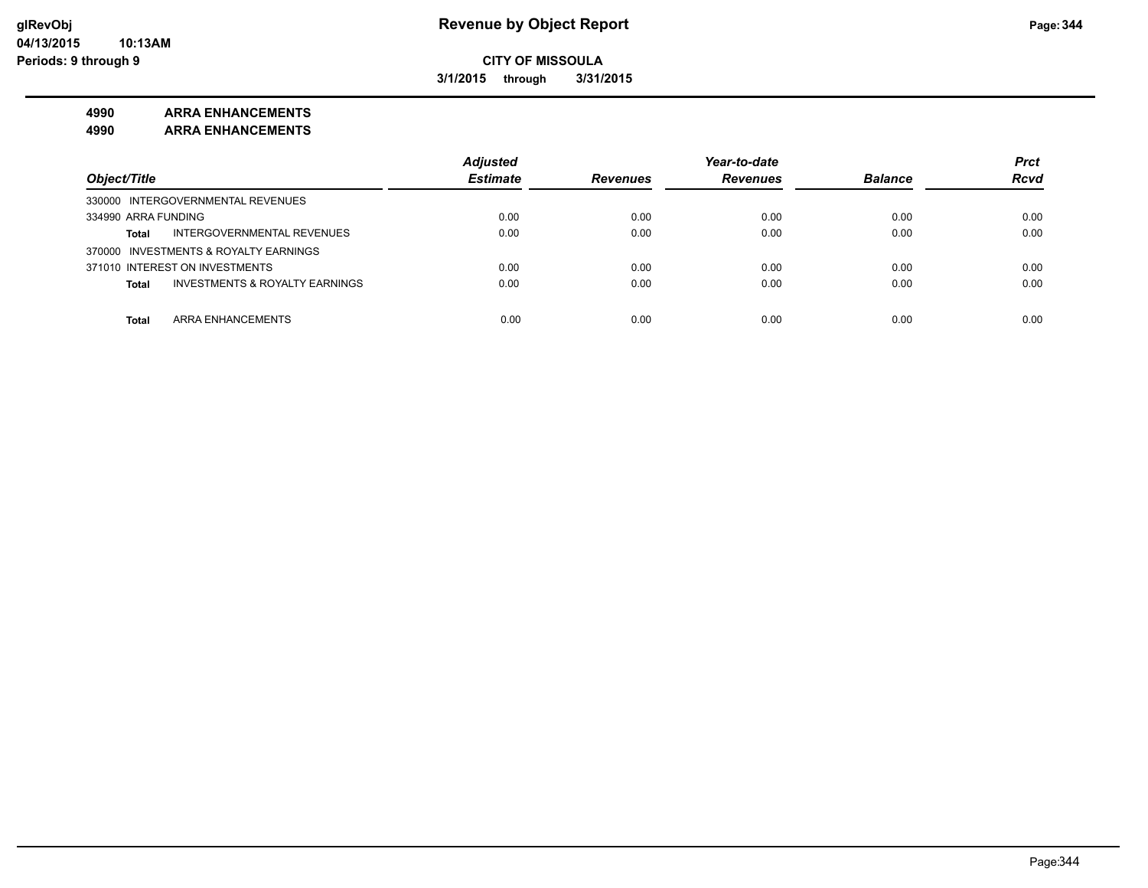**3/1/2015 through 3/31/2015**

### **4990 ARRA ENHANCEMENTS**

**4990 ARRA ENHANCEMENTS**

|                                                           | <b>Adjusted</b> |                 | Year-to-date    |                | <b>Prct</b> |
|-----------------------------------------------------------|-----------------|-----------------|-----------------|----------------|-------------|
| Object/Title                                              | <b>Estimate</b> | <b>Revenues</b> | <b>Revenues</b> | <b>Balance</b> | <b>Rcvd</b> |
| 330000 INTERGOVERNMENTAL REVENUES                         |                 |                 |                 |                |             |
| 334990 ARRA FUNDING                                       | 0.00            | 0.00            | 0.00            | 0.00           | 0.00        |
| <b>INTERGOVERNMENTAL REVENUES</b><br><b>Total</b>         | 0.00            | 0.00            | 0.00            | 0.00           | 0.00        |
| 370000 INVESTMENTS & ROYALTY EARNINGS                     |                 |                 |                 |                |             |
| 371010 INTEREST ON INVESTMENTS                            | 0.00            | 0.00            | 0.00            | 0.00           | 0.00        |
| <b>INVESTMENTS &amp; ROYALTY EARNINGS</b><br><b>Total</b> | 0.00            | 0.00            | 0.00            | 0.00           | 0.00        |
|                                                           |                 |                 |                 |                |             |
| ARRA ENHANCEMENTS<br>Total                                | 0.00            | 0.00            | 0.00            | 0.00           | 0.00        |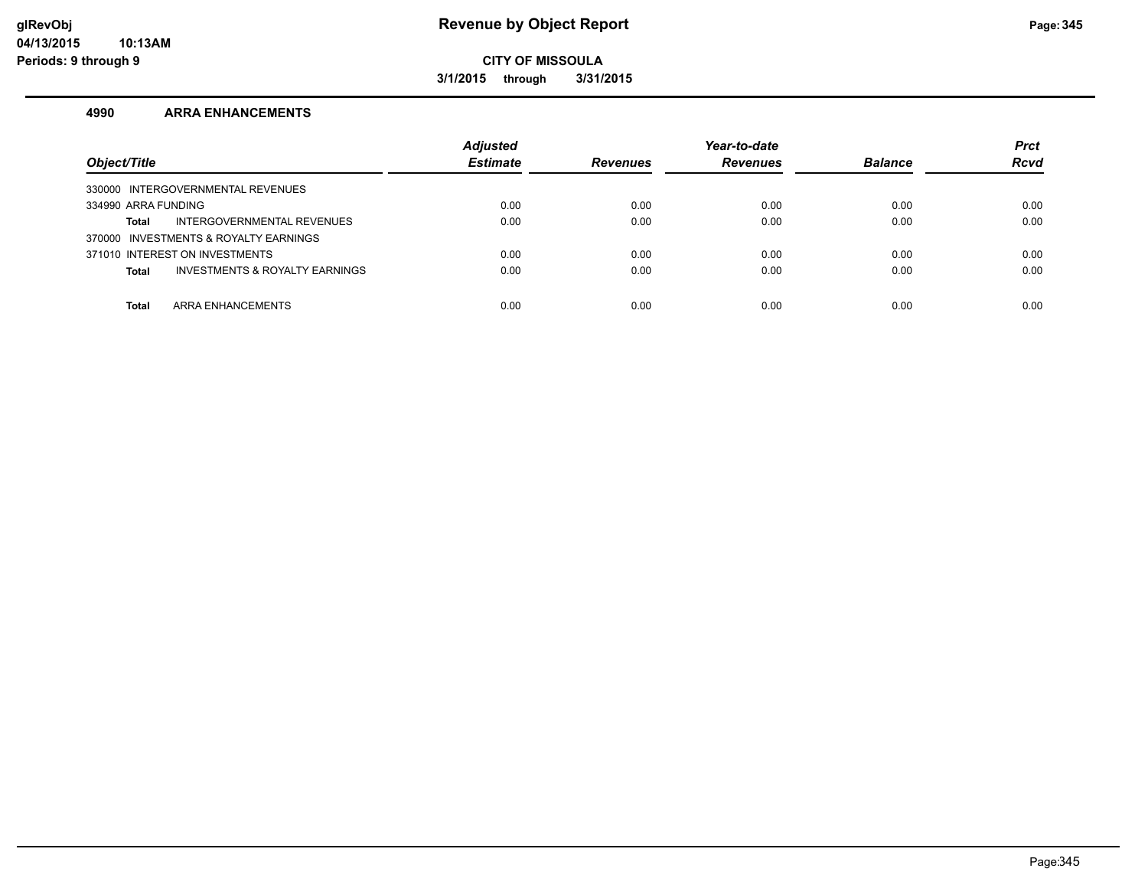**3/1/2015 through 3/31/2015**

#### **4990 ARRA ENHANCEMENTS**

| Object/Title                                   | <b>Adjusted</b><br><b>Estimate</b> | <b>Revenues</b> | Year-to-date<br><b>Revenues</b> | <b>Balance</b> | <b>Prct</b><br><b>Rcvd</b> |
|------------------------------------------------|------------------------------------|-----------------|---------------------------------|----------------|----------------------------|
| 330000 INTERGOVERNMENTAL REVENUES              |                                    |                 |                                 |                |                            |
| 334990 ARRA FUNDING                            | 0.00                               | 0.00            | 0.00                            | 0.00           | 0.00                       |
| INTERGOVERNMENTAL REVENUES<br>Total            | 0.00                               | 0.00            | 0.00                            | 0.00           | 0.00                       |
| 370000 INVESTMENTS & ROYALTY EARNINGS          |                                    |                 |                                 |                |                            |
| 371010 INTEREST ON INVESTMENTS                 | 0.00                               | 0.00            | 0.00                            | 0.00           | 0.00                       |
| INVESTMENTS & ROYALTY EARNINGS<br><b>Total</b> | 0.00                               | 0.00            | 0.00                            | 0.00           | 0.00                       |
|                                                |                                    |                 |                                 |                |                            |
| ARRA ENHANCEMENTS<br><b>Total</b>              | 0.00                               | 0.00            | 0.00                            | 0.00           | 0.00                       |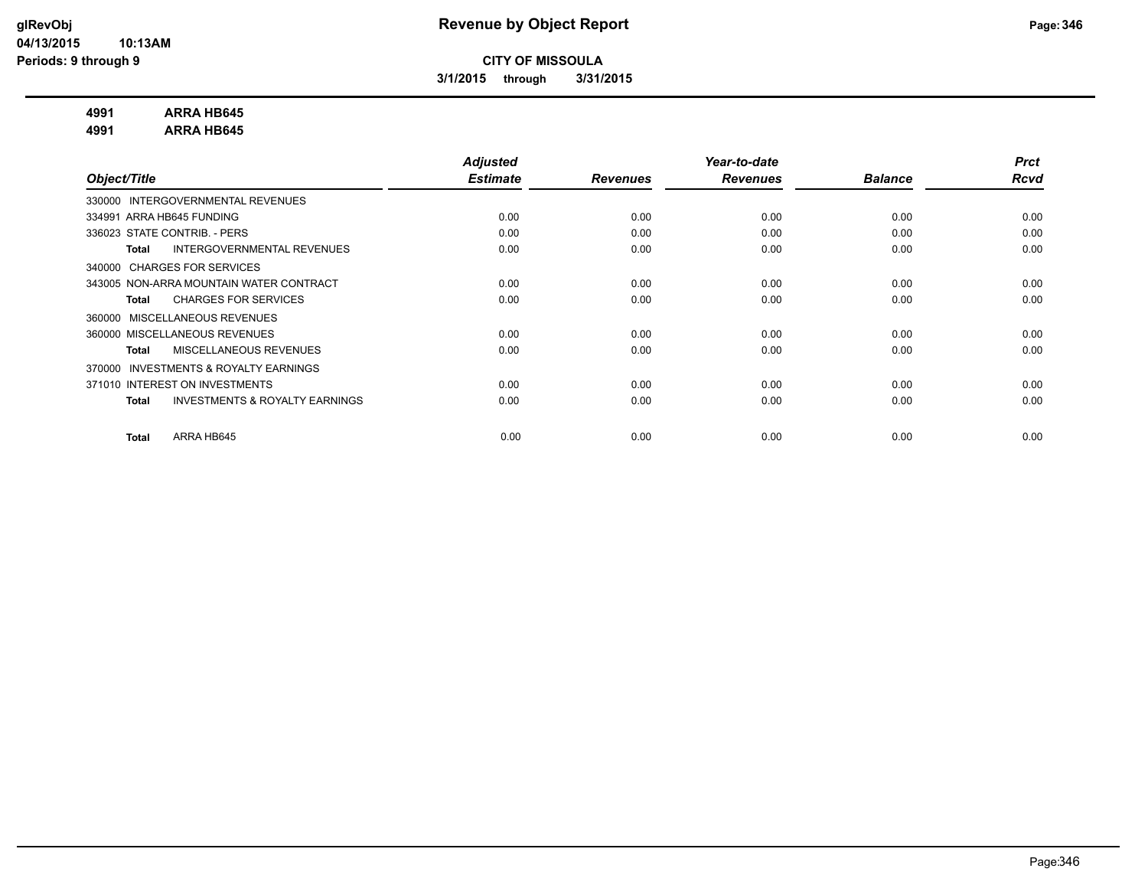**3/1/2015 through 3/31/2015**

### **4991 ARRA HB645**

**4991 ARRA HB645**

|                                                           | <b>Adjusted</b> |                 | Year-to-date    |                | <b>Prct</b> |
|-----------------------------------------------------------|-----------------|-----------------|-----------------|----------------|-------------|
| Object/Title                                              | <b>Estimate</b> | <b>Revenues</b> | <b>Revenues</b> | <b>Balance</b> | <b>Rcvd</b> |
| INTERGOVERNMENTAL REVENUES<br>330000                      |                 |                 |                 |                |             |
| 334991 ARRA HB645 FUNDING                                 | 0.00            | 0.00            | 0.00            | 0.00           | 0.00        |
| 336023 STATE CONTRIB. - PERS                              | 0.00            | 0.00            | 0.00            | 0.00           | 0.00        |
| <b>INTERGOVERNMENTAL REVENUES</b><br><b>Total</b>         | 0.00            | 0.00            | 0.00            | 0.00           | 0.00        |
| 340000 CHARGES FOR SERVICES                               |                 |                 |                 |                |             |
| 343005 NON-ARRA MOUNTAIN WATER CONTRACT                   | 0.00            | 0.00            | 0.00            | 0.00           | 0.00        |
| <b>CHARGES FOR SERVICES</b><br><b>Total</b>               | 0.00            | 0.00            | 0.00            | 0.00           | 0.00        |
| MISCELLANEOUS REVENUES<br>360000                          |                 |                 |                 |                |             |
| 360000 MISCELLANEOUS REVENUES                             | 0.00            | 0.00            | 0.00            | 0.00           | 0.00        |
| MISCELLANEOUS REVENUES<br>Total                           | 0.00            | 0.00            | 0.00            | 0.00           | 0.00        |
| <b>INVESTMENTS &amp; ROYALTY EARNINGS</b><br>370000       |                 |                 |                 |                |             |
| 371010 INTEREST ON INVESTMENTS                            | 0.00            | 0.00            | 0.00            | 0.00           | 0.00        |
| <b>INVESTMENTS &amp; ROYALTY EARNINGS</b><br><b>Total</b> | 0.00            | 0.00            | 0.00            | 0.00           | 0.00        |
|                                                           |                 |                 |                 |                |             |
| ARRA HB645<br><b>Total</b>                                | 0.00            | 0.00            | 0.00            | 0.00           | 0.00        |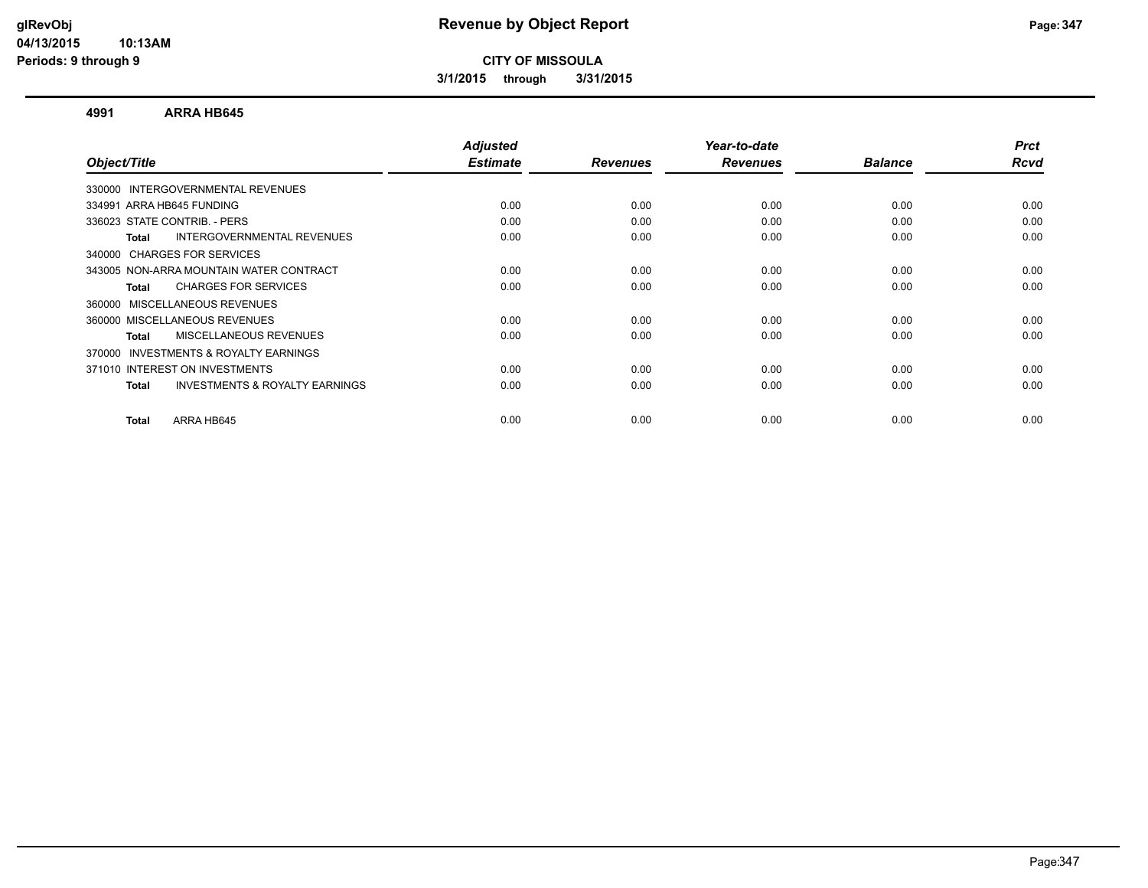**3/1/2015 through 3/31/2015**

#### **4991 ARRA HB645**

| Object/Title                                              | <b>Adjusted</b><br><b>Estimate</b> | <b>Revenues</b> | Year-to-date<br><b>Revenues</b> | <b>Balance</b> | <b>Prct</b><br>Rcvd |
|-----------------------------------------------------------|------------------------------------|-----------------|---------------------------------|----------------|---------------------|
|                                                           |                                    |                 |                                 |                |                     |
| 330000 INTERGOVERNMENTAL REVENUES                         |                                    |                 |                                 |                |                     |
| 334991 ARRA HB645 FUNDING                                 | 0.00                               | 0.00            | 0.00                            | 0.00           | 0.00                |
| 336023 STATE CONTRIB. - PERS                              | 0.00                               | 0.00            | 0.00                            | 0.00           | 0.00                |
| INTERGOVERNMENTAL REVENUES<br><b>Total</b>                | 0.00                               | 0.00            | 0.00                            | 0.00           | 0.00                |
| 340000 CHARGES FOR SERVICES                               |                                    |                 |                                 |                |                     |
| 343005 NON-ARRA MOUNTAIN WATER CONTRACT                   | 0.00                               | 0.00            | 0.00                            | 0.00           | 0.00                |
| <b>CHARGES FOR SERVICES</b><br>Total                      | 0.00                               | 0.00            | 0.00                            | 0.00           | 0.00                |
| 360000 MISCELLANEOUS REVENUES                             |                                    |                 |                                 |                |                     |
| 360000 MISCELLANEOUS REVENUES                             | 0.00                               | 0.00            | 0.00                            | 0.00           | 0.00                |
| <b>MISCELLANEOUS REVENUES</b><br>Total                    | 0.00                               | 0.00            | 0.00                            | 0.00           | 0.00                |
| <b>INVESTMENTS &amp; ROYALTY EARNINGS</b><br>370000       |                                    |                 |                                 |                |                     |
| 371010 INTEREST ON INVESTMENTS                            | 0.00                               | 0.00            | 0.00                            | 0.00           | 0.00                |
| <b>INVESTMENTS &amp; ROYALTY EARNINGS</b><br><b>Total</b> | 0.00                               | 0.00            | 0.00                            | 0.00           | 0.00                |
| ARRA HB645<br>Total                                       | 0.00                               | 0.00            | 0.00                            | 0.00           | 0.00                |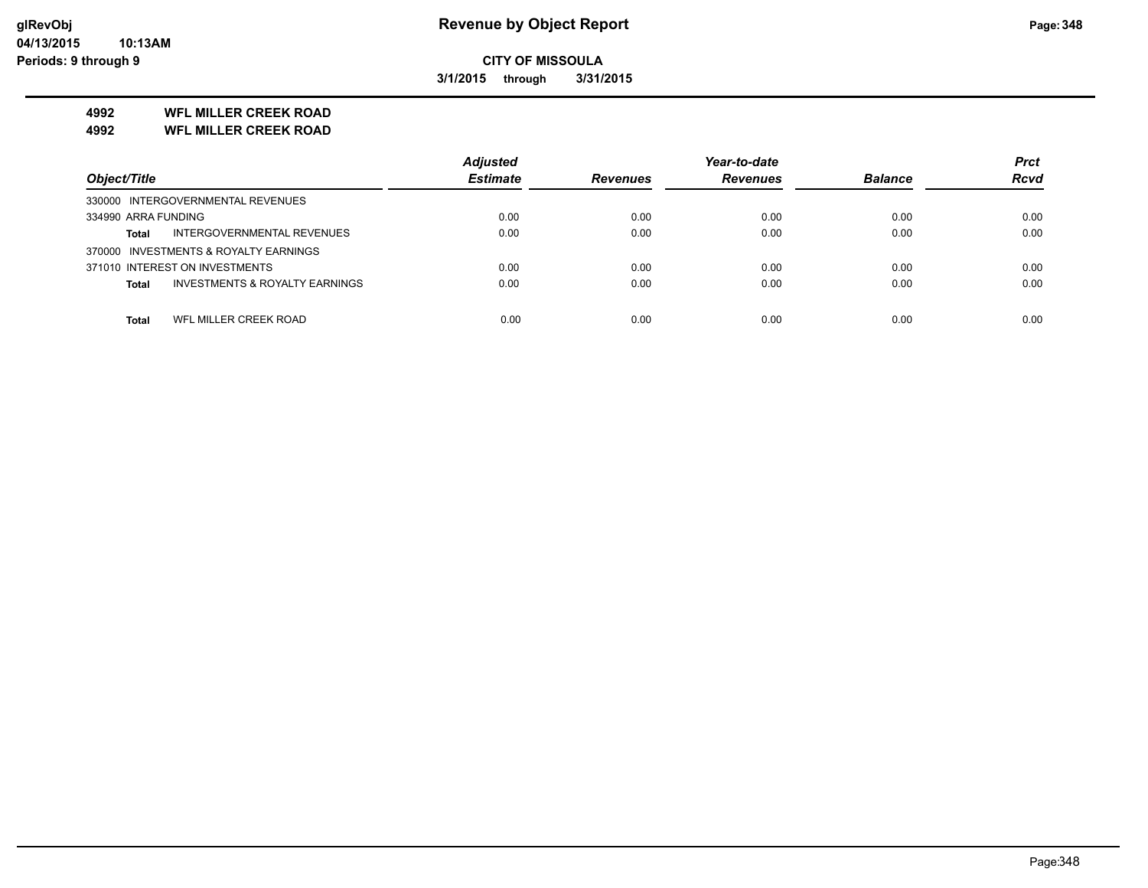**3/1/2015 through 3/31/2015**

### **4992 WFL MILLER CREEK ROAD**

**4992 WFL MILLER CREEK ROAD**

|                                                           | <b>Adjusted</b> |                 | Year-to-date    |                | <b>Prct</b> |
|-----------------------------------------------------------|-----------------|-----------------|-----------------|----------------|-------------|
| Object/Title                                              | <b>Estimate</b> | <b>Revenues</b> | <b>Revenues</b> | <b>Balance</b> | <b>Rcvd</b> |
| 330000 INTERGOVERNMENTAL REVENUES                         |                 |                 |                 |                |             |
| 334990 ARRA FUNDING                                       | 0.00            | 0.00            | 0.00            | 0.00           | 0.00        |
| INTERGOVERNMENTAL REVENUES<br><b>Total</b>                | 0.00            | 0.00            | 0.00            | 0.00           | 0.00        |
| 370000 INVESTMENTS & ROYALTY EARNINGS                     |                 |                 |                 |                |             |
| 371010 INTEREST ON INVESTMENTS                            | 0.00            | 0.00            | 0.00            | 0.00           | 0.00        |
| <b>INVESTMENTS &amp; ROYALTY EARNINGS</b><br><b>Total</b> | 0.00            | 0.00            | 0.00            | 0.00           | 0.00        |
|                                                           |                 |                 |                 |                |             |
| WFL MILLER CREEK ROAD<br>Total                            | 0.00            | 0.00            | 0.00            | 0.00           | 0.00        |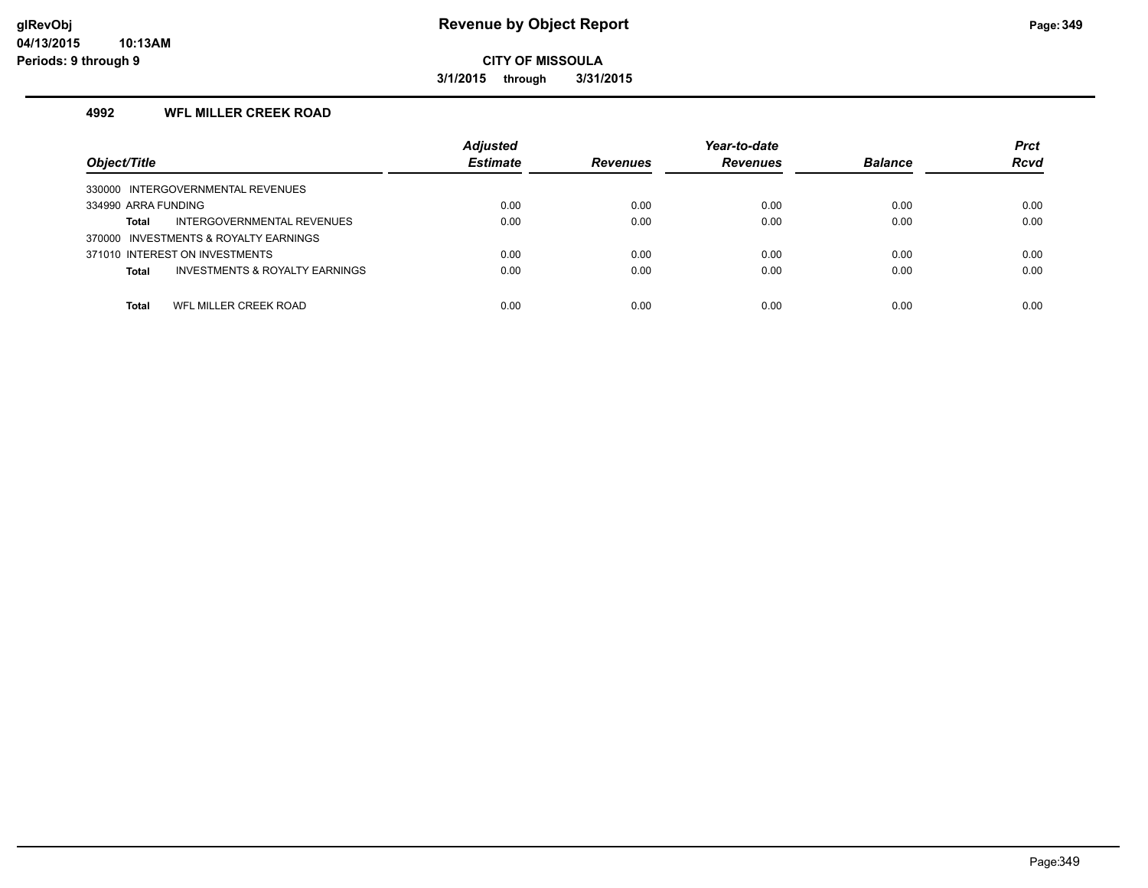**3/1/2015 through 3/31/2015**

### **4992 WFL MILLER CREEK ROAD**

| Object/Title                                              | <b>Adjusted</b><br><b>Estimate</b> | <b>Revenues</b> | Year-to-date<br><b>Revenues</b> | <b>Balance</b> | <b>Prct</b><br><b>Rcvd</b> |
|-----------------------------------------------------------|------------------------------------|-----------------|---------------------------------|----------------|----------------------------|
| 330000 INTERGOVERNMENTAL REVENUES                         |                                    |                 |                                 |                |                            |
| 334990 ARRA FUNDING                                       | 0.00                               | 0.00            | 0.00                            | 0.00           | 0.00                       |
| INTERGOVERNMENTAL REVENUES<br>Total                       | 0.00                               | 0.00            | 0.00                            | 0.00           | 0.00                       |
| 370000 INVESTMENTS & ROYALTY EARNINGS                     |                                    |                 |                                 |                |                            |
| 371010 INTEREST ON INVESTMENTS                            | 0.00                               | 0.00            | 0.00                            | 0.00           | 0.00                       |
| <b>INVESTMENTS &amp; ROYALTY EARNINGS</b><br><b>Total</b> | 0.00                               | 0.00            | 0.00                            | 0.00           | 0.00                       |
|                                                           |                                    |                 |                                 |                |                            |
| WFL MILLER CREEK ROAD<br>Total                            | 0.00                               | 0.00            | 0.00                            | 0.00           | 0.00                       |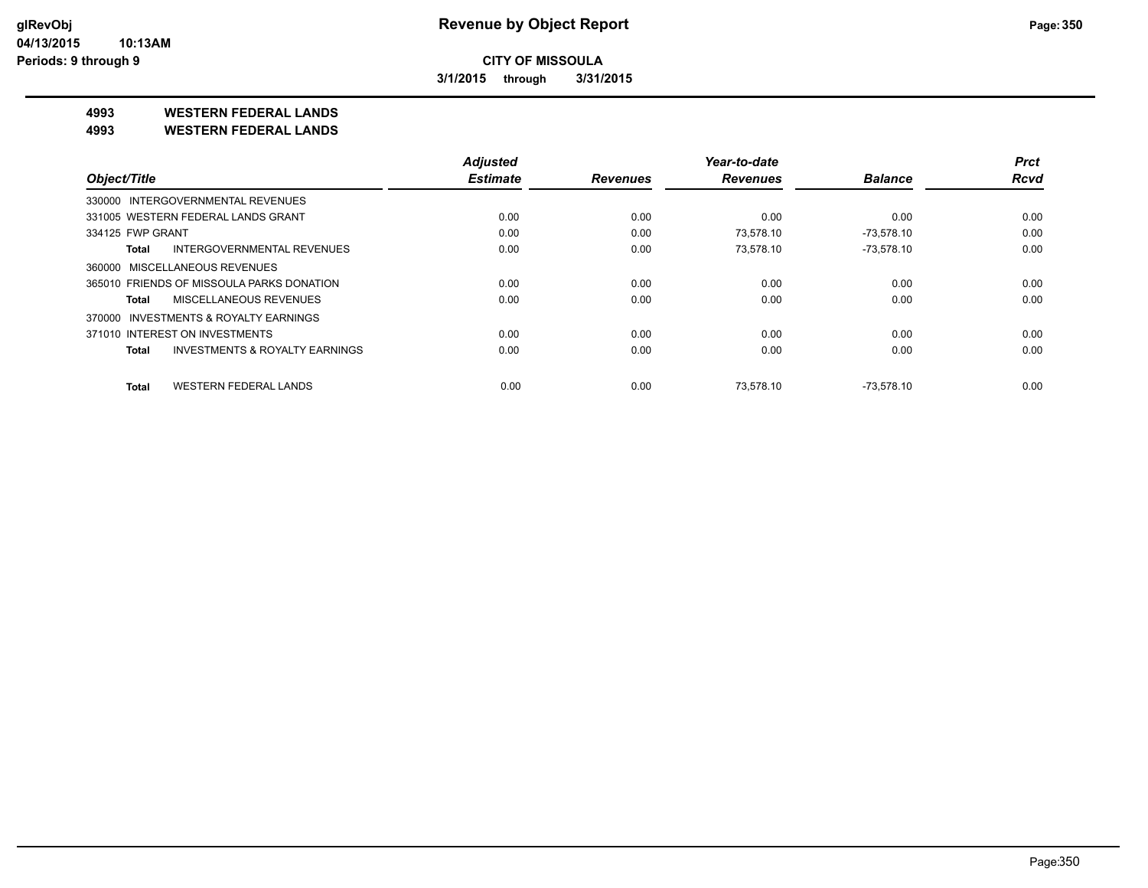**3/1/2015 through 3/31/2015**

**4993 WESTERN FEDERAL LANDS**

**4993 WESTERN FEDERAL LANDS**

|                                            | <b>Adjusted</b> |                 | Year-to-date    |                | <b>Prct</b> |
|--------------------------------------------|-----------------|-----------------|-----------------|----------------|-------------|
| Object/Title                               | <b>Estimate</b> | <b>Revenues</b> | <b>Revenues</b> | <b>Balance</b> | <b>Rcvd</b> |
| 330000 INTERGOVERNMENTAL REVENUES          |                 |                 |                 |                |             |
| 331005 WESTERN FEDERAL LANDS GRANT         | 0.00            | 0.00            | 0.00            | 0.00           | 0.00        |
| 334125 FWP GRANT                           | 0.00            | 0.00            | 73.578.10       | $-73.578.10$   | 0.00        |
| <b>INTERGOVERNMENTAL REVENUES</b><br>Total | 0.00            | 0.00            | 73,578.10       | $-73,578.10$   | 0.00        |
| 360000 MISCELLANEOUS REVENUES              |                 |                 |                 |                |             |
| 365010 FRIENDS OF MISSOULA PARKS DONATION  | 0.00            | 0.00            | 0.00            | 0.00           | 0.00        |
| MISCELLANEOUS REVENUES<br>Total            | 0.00            | 0.00            | 0.00            | 0.00           | 0.00        |
| INVESTMENTS & ROYALTY EARNINGS<br>370000   |                 |                 |                 |                |             |
| 371010 INTEREST ON INVESTMENTS             | 0.00            | 0.00            | 0.00            | 0.00           | 0.00        |
| INVESTMENTS & ROYALTY EARNINGS<br>Total    | 0.00            | 0.00            | 0.00            | 0.00           | 0.00        |
| <b>WESTERN FEDERAL LANDS</b><br>Total      | 0.00            | 0.00            | 73.578.10       | $-73.578.10$   | 0.00        |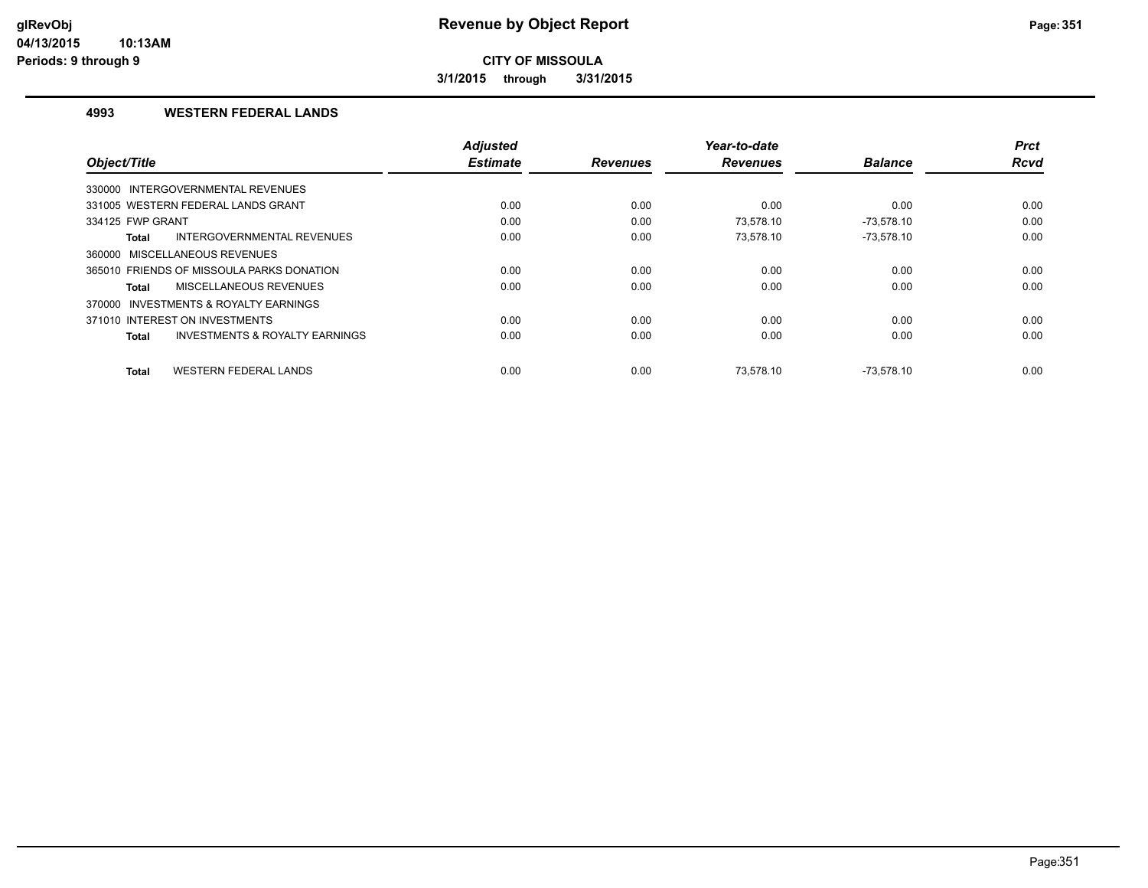**3/1/2015 through 3/31/2015**

### **4993 WESTERN FEDERAL LANDS**

|                                                    | <b>Adjusted</b> |                 | Year-to-date    |                | <b>Prct</b> |
|----------------------------------------------------|-----------------|-----------------|-----------------|----------------|-------------|
| Object/Title                                       | <b>Estimate</b> | <b>Revenues</b> | <b>Revenues</b> | <b>Balance</b> | Rcvd        |
| 330000 INTERGOVERNMENTAL REVENUES                  |                 |                 |                 |                |             |
| 331005 WESTERN FEDERAL LANDS GRANT                 | 0.00            | 0.00            | 0.00            | 0.00           | 0.00        |
| 334125 FWP GRANT                                   | 0.00            | 0.00            | 73.578.10       | $-73.578.10$   | 0.00        |
| <b>INTERGOVERNMENTAL REVENUES</b><br>Total         | 0.00            | 0.00            | 73,578.10       | $-73,578.10$   | 0.00        |
| 360000 MISCELLANEOUS REVENUES                      |                 |                 |                 |                |             |
| 365010 FRIENDS OF MISSOULA PARKS DONATION          | 0.00            | 0.00            | 0.00            | 0.00           | 0.00        |
| MISCELLANEOUS REVENUES<br>Total                    | 0.00            | 0.00            | 0.00            | 0.00           | 0.00        |
| INVESTMENTS & ROYALTY EARNINGS<br>370000           |                 |                 |                 |                |             |
| 371010 INTEREST ON INVESTMENTS                     | 0.00            | 0.00            | 0.00            | 0.00           | 0.00        |
| <b>INVESTMENTS &amp; ROYALTY EARNINGS</b><br>Total | 0.00            | 0.00            | 0.00            | 0.00           | 0.00        |
|                                                    |                 |                 |                 |                |             |
| <b>WESTERN FEDERAL LANDS</b><br><b>Total</b>       | 0.00            | 0.00            | 73.578.10       | $-73.578.10$   | 0.00        |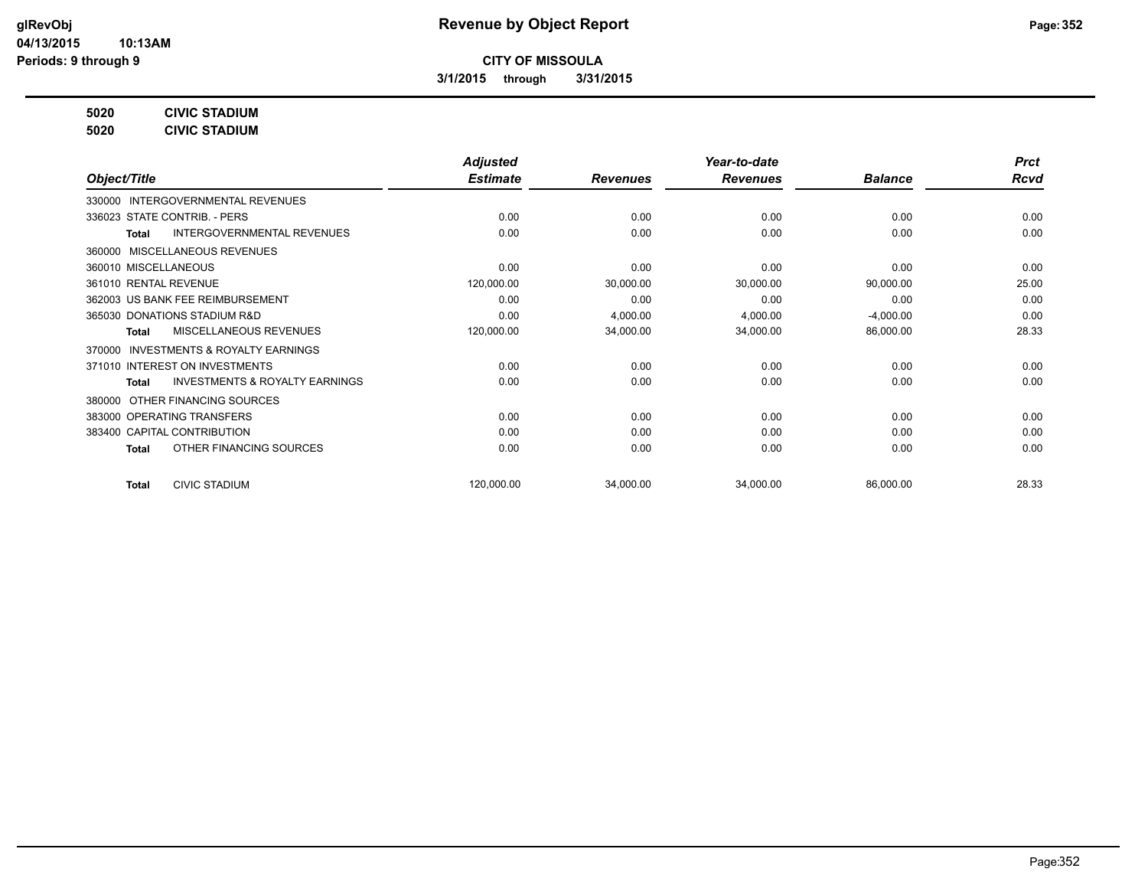**3/1/2015 through 3/31/2015**

**5020 CIVIC STADIUM**

**5020 CIVIC STADIUM**

|                                                           | <b>Adjusted</b> |                 | Year-to-date    |                | <b>Prct</b> |
|-----------------------------------------------------------|-----------------|-----------------|-----------------|----------------|-------------|
| Object/Title                                              | <b>Estimate</b> | <b>Revenues</b> | <b>Revenues</b> | <b>Balance</b> | <b>Rcvd</b> |
| INTERGOVERNMENTAL REVENUES<br>330000                      |                 |                 |                 |                |             |
| 336023 STATE CONTRIB. - PERS                              | 0.00            | 0.00            | 0.00            | 0.00           | 0.00        |
| <b>INTERGOVERNMENTAL REVENUES</b><br>Total                | 0.00            | 0.00            | 0.00            | 0.00           | 0.00        |
| MISCELLANEOUS REVENUES<br>360000                          |                 |                 |                 |                |             |
| 360010 MISCELLANEOUS                                      | 0.00            | 0.00            | 0.00            | 0.00           | 0.00        |
| 361010 RENTAL REVENUE                                     | 120,000.00      | 30,000.00       | 30,000.00       | 90,000.00      | 25.00       |
| 362003 US BANK FEE REIMBURSEMENT                          | 0.00            | 0.00            | 0.00            | 0.00           | 0.00        |
| 365030 DONATIONS STADIUM R&D                              | 0.00            | 4,000.00        | 4,000.00        | $-4,000.00$    | 0.00        |
| MISCELLANEOUS REVENUES<br>Total                           | 120,000.00      | 34,000.00       | 34,000.00       | 86,000.00      | 28.33       |
| <b>INVESTMENTS &amp; ROYALTY EARNINGS</b><br>370000       |                 |                 |                 |                |             |
| 371010 INTEREST ON INVESTMENTS                            | 0.00            | 0.00            | 0.00            | 0.00           | 0.00        |
| <b>INVESTMENTS &amp; ROYALTY EARNINGS</b><br><b>Total</b> | 0.00            | 0.00            | 0.00            | 0.00           | 0.00        |
| OTHER FINANCING SOURCES<br>380000                         |                 |                 |                 |                |             |
| 383000 OPERATING TRANSFERS                                | 0.00            | 0.00            | 0.00            | 0.00           | 0.00        |
| 383400 CAPITAL CONTRIBUTION                               | 0.00            | 0.00            | 0.00            | 0.00           | 0.00        |
| OTHER FINANCING SOURCES<br><b>Total</b>                   | 0.00            | 0.00            | 0.00            | 0.00           | 0.00        |
| <b>CIVIC STADIUM</b><br><b>Total</b>                      | 120,000.00      | 34,000.00       | 34,000.00       | 86,000.00      | 28.33       |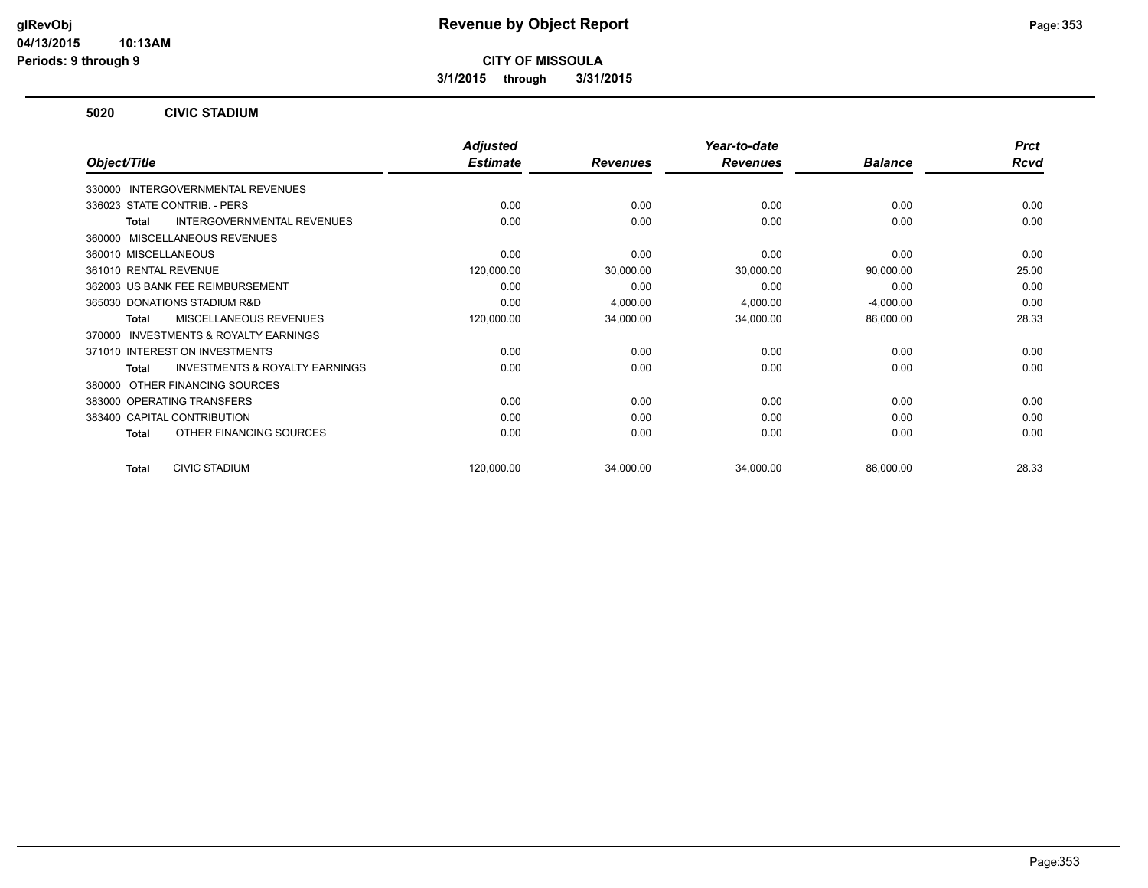**3/1/2015 through 3/31/2015**

#### **5020 CIVIC STADIUM**

|                                                           | <b>Adjusted</b> |                 | Year-to-date    |                | <b>Prct</b> |
|-----------------------------------------------------------|-----------------|-----------------|-----------------|----------------|-------------|
| Object/Title                                              | <b>Estimate</b> | <b>Revenues</b> | <b>Revenues</b> | <b>Balance</b> | <b>Rcvd</b> |
| INTERGOVERNMENTAL REVENUES<br>330000                      |                 |                 |                 |                |             |
| 336023 STATE CONTRIB. - PERS                              | 0.00            | 0.00            | 0.00            | 0.00           | 0.00        |
| <b>INTERGOVERNMENTAL REVENUES</b><br><b>Total</b>         | 0.00            | 0.00            | 0.00            | 0.00           | 0.00        |
| <b>MISCELLANEOUS REVENUES</b><br>360000                   |                 |                 |                 |                |             |
| 360010 MISCELLANEOUS                                      | 0.00            | 0.00            | 0.00            | 0.00           | 0.00        |
| 361010 RENTAL REVENUE                                     | 120,000.00      | 30,000.00       | 30,000.00       | 90,000.00      | 25.00       |
| 362003 US BANK FEE REIMBURSEMENT                          | 0.00            | 0.00            | 0.00            | 0.00           | 0.00        |
| 365030 DONATIONS STADIUM R&D                              | 0.00            | 4,000.00        | 4,000.00        | $-4,000.00$    | 0.00        |
| MISCELLANEOUS REVENUES<br><b>Total</b>                    | 120,000.00      | 34,000.00       | 34,000.00       | 86,000.00      | 28.33       |
| <b>INVESTMENTS &amp; ROYALTY EARNINGS</b><br>370000       |                 |                 |                 |                |             |
| 371010 INTEREST ON INVESTMENTS                            | 0.00            | 0.00            | 0.00            | 0.00           | 0.00        |
| <b>INVESTMENTS &amp; ROYALTY EARNINGS</b><br><b>Total</b> | 0.00            | 0.00            | 0.00            | 0.00           | 0.00        |
| OTHER FINANCING SOURCES<br>380000                         |                 |                 |                 |                |             |
| 383000 OPERATING TRANSFERS                                | 0.00            | 0.00            | 0.00            | 0.00           | 0.00        |
| 383400 CAPITAL CONTRIBUTION                               | 0.00            | 0.00            | 0.00            | 0.00           | 0.00        |
| OTHER FINANCING SOURCES<br><b>Total</b>                   | 0.00            | 0.00            | 0.00            | 0.00           | 0.00        |
| <b>CIVIC STADIUM</b><br><b>Total</b>                      | 120,000.00      | 34,000.00       | 34,000.00       | 86,000.00      | 28.33       |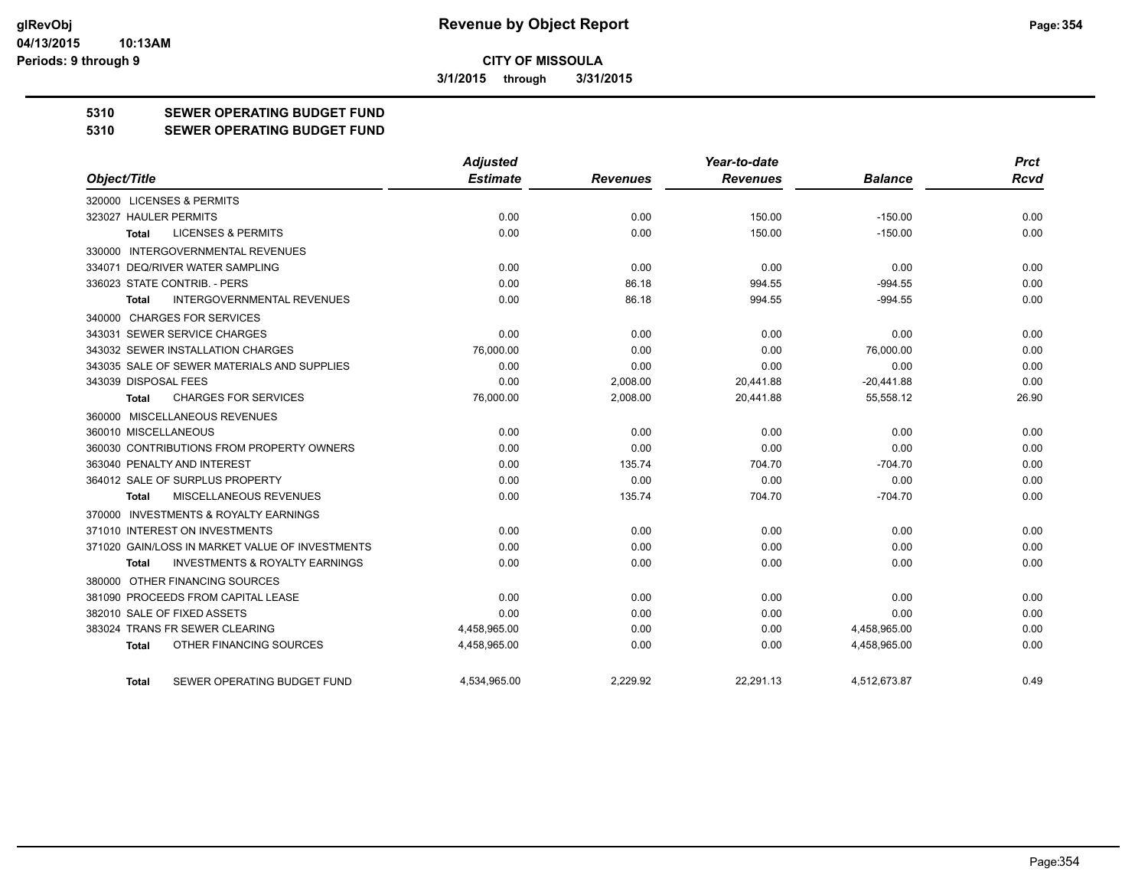**3/1/2015 through 3/31/2015**

### **5310 SEWER OPERATING BUDGET FUND**

#### **5310 SEWER OPERATING BUDGET FUND**

|                                                    | <b>Adjusted</b> |                 | Year-to-date    |                | <b>Prct</b> |
|----------------------------------------------------|-----------------|-----------------|-----------------|----------------|-------------|
| Object/Title                                       | <b>Estimate</b> | <b>Revenues</b> | <b>Revenues</b> | <b>Balance</b> | <b>Rcvd</b> |
| 320000 LICENSES & PERMITS                          |                 |                 |                 |                |             |
| 323027 HAULER PERMITS                              | 0.00            | 0.00            | 150.00          | $-150.00$      | 0.00        |
| <b>LICENSES &amp; PERMITS</b><br><b>Total</b>      | 0.00            | 0.00            | 150.00          | $-150.00$      | 0.00        |
| 330000 INTERGOVERNMENTAL REVENUES                  |                 |                 |                 |                |             |
| 334071 DEQ/RIVER WATER SAMPLING                    | 0.00            | 0.00            | 0.00            | 0.00           | 0.00        |
| 336023 STATE CONTRIB. - PERS                       | 0.00            | 86.18           | 994.55          | $-994.55$      | 0.00        |
| <b>INTERGOVERNMENTAL REVENUES</b><br><b>Total</b>  | 0.00            | 86.18           | 994.55          | $-994.55$      | 0.00        |
| 340000 CHARGES FOR SERVICES                        |                 |                 |                 |                |             |
| 343031 SEWER SERVICE CHARGES                       | 0.00            | 0.00            | 0.00            | 0.00           | 0.00        |
| 343032 SEWER INSTALLATION CHARGES                  | 76,000.00       | 0.00            | 0.00            | 76,000.00      | 0.00        |
| 343035 SALE OF SEWER MATERIALS AND SUPPLIES        | 0.00            | 0.00            | 0.00            | 0.00           | 0.00        |
| 343039 DISPOSAL FEES                               | 0.00            | 2,008.00        | 20,441.88       | $-20,441.88$   | 0.00        |
| <b>CHARGES FOR SERVICES</b><br><b>Total</b>        | 76,000.00       | 2,008.00        | 20,441.88       | 55,558.12      | 26.90       |
| 360000 MISCELLANEOUS REVENUES                      |                 |                 |                 |                |             |
| 360010 MISCELLANEOUS                               | 0.00            | 0.00            | 0.00            | 0.00           | 0.00        |
| 360030 CONTRIBUTIONS FROM PROPERTY OWNERS          | 0.00            | 0.00            | 0.00            | 0.00           | 0.00        |
| 363040 PENALTY AND INTEREST                        | 0.00            | 135.74          | 704.70          | $-704.70$      | 0.00        |
| 364012 SALE OF SURPLUS PROPERTY                    | 0.00            | 0.00            | 0.00            | 0.00           | 0.00        |
| <b>MISCELLANEOUS REVENUES</b><br>Total             | 0.00            | 135.74          | 704.70          | $-704.70$      | 0.00        |
| 370000 INVESTMENTS & ROYALTY EARNINGS              |                 |                 |                 |                |             |
| 371010 INTEREST ON INVESTMENTS                     | 0.00            | 0.00            | 0.00            | 0.00           | 0.00        |
| 371020 GAIN/LOSS IN MARKET VALUE OF INVESTMENTS    | 0.00            | 0.00            | 0.00            | 0.00           | 0.00        |
| <b>INVESTMENTS &amp; ROYALTY EARNINGS</b><br>Total | 0.00            | 0.00            | 0.00            | 0.00           | 0.00        |
| 380000 OTHER FINANCING SOURCES                     |                 |                 |                 |                |             |
| 381090 PROCEEDS FROM CAPITAL LEASE                 | 0.00            | 0.00            | 0.00            | 0.00           | 0.00        |
| 382010 SALE OF FIXED ASSETS                        | 0.00            | 0.00            | 0.00            | 0.00           | 0.00        |
| 383024 TRANS FR SEWER CLEARING                     | 4,458,965.00    | 0.00            | 0.00            | 4,458,965.00   | 0.00        |
| OTHER FINANCING SOURCES<br><b>Total</b>            | 4,458,965.00    | 0.00            | 0.00            | 4,458,965.00   | 0.00        |
| SEWER OPERATING BUDGET FUND<br>Total               | 4.534.965.00    | 2.229.92        | 22.291.13       | 4.512.673.87   | 0.49        |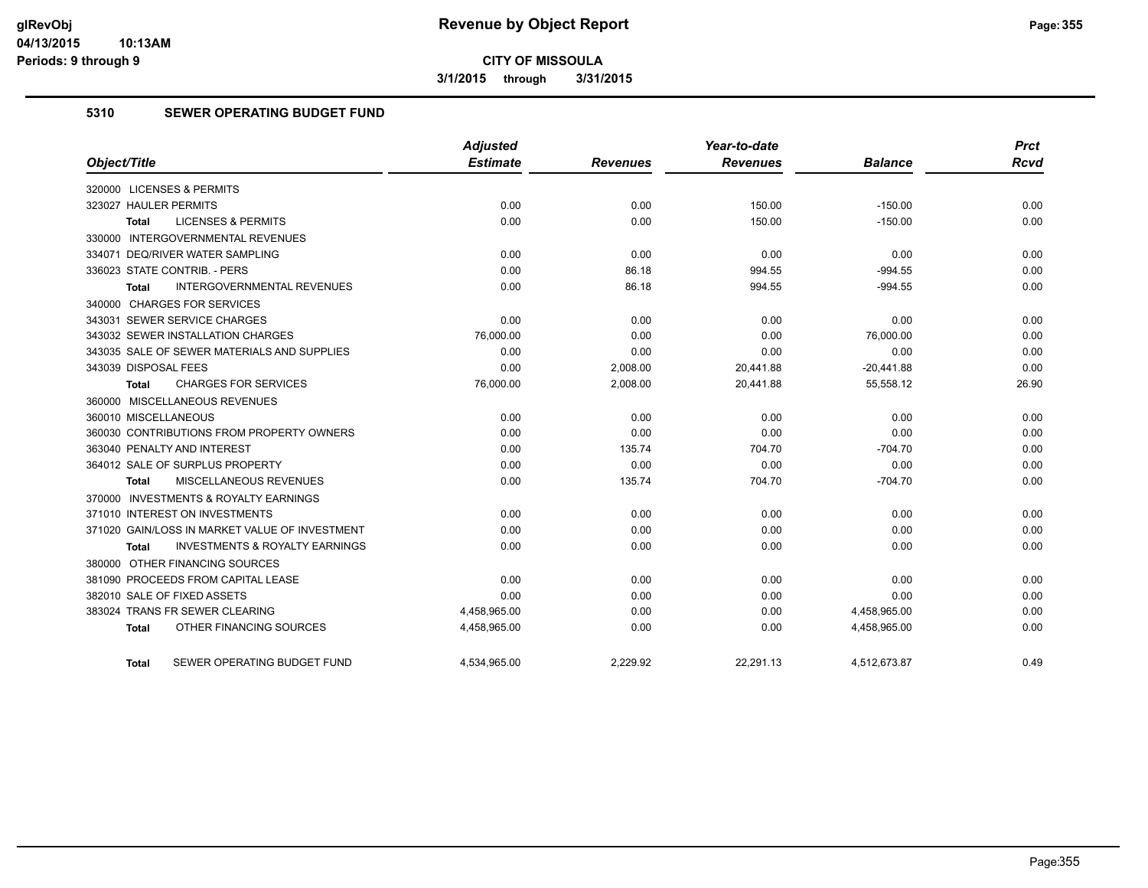**3/1/2015 through 3/31/2015**

### **5310 SEWER OPERATING BUDGET FUND**

|                                                    | <b>Adjusted</b> |                 | Year-to-date    |                | <b>Prct</b> |
|----------------------------------------------------|-----------------|-----------------|-----------------|----------------|-------------|
| Object/Title                                       | <b>Estimate</b> | <b>Revenues</b> | <b>Revenues</b> | <b>Balance</b> | <b>Rcvd</b> |
| 320000 LICENSES & PERMITS                          |                 |                 |                 |                |             |
| 323027 HAULER PERMITS                              | 0.00            | 0.00            | 150.00          | $-150.00$      | 0.00        |
| <b>LICENSES &amp; PERMITS</b><br>Total             | 0.00            | 0.00            | 150.00          | $-150.00$      | 0.00        |
| 330000 INTERGOVERNMENTAL REVENUES                  |                 |                 |                 |                |             |
| 334071 DEQ/RIVER WATER SAMPLING                    | 0.00            | 0.00            | 0.00            | 0.00           | 0.00        |
| 336023 STATE CONTRIB. - PERS                       | 0.00            | 86.18           | 994.55          | $-994.55$      | 0.00        |
| <b>INTERGOVERNMENTAL REVENUES</b><br>Total         | 0.00            | 86.18           | 994.55          | $-994.55$      | 0.00        |
| 340000 CHARGES FOR SERVICES                        |                 |                 |                 |                |             |
| 343031 SEWER SERVICE CHARGES                       | 0.00            | 0.00            | 0.00            | 0.00           | 0.00        |
| 343032 SEWER INSTALLATION CHARGES                  | 76,000.00       | 0.00            | 0.00            | 76,000.00      | 0.00        |
| 343035 SALE OF SEWER MATERIALS AND SUPPLIES        | 0.00            | 0.00            | 0.00            | 0.00           | 0.00        |
| 343039 DISPOSAL FEES                               | 0.00            | 2,008.00        | 20,441.88       | $-20,441.88$   | 0.00        |
| <b>CHARGES FOR SERVICES</b><br>Total               | 76,000.00       | 2,008.00        | 20,441.88       | 55,558.12      | 26.90       |
| 360000 MISCELLANEOUS REVENUES                      |                 |                 |                 |                |             |
| 360010 MISCELLANEOUS                               | 0.00            | 0.00            | 0.00            | 0.00           | 0.00        |
| 360030 CONTRIBUTIONS FROM PROPERTY OWNERS          | 0.00            | 0.00            | 0.00            | 0.00           | 0.00        |
| 363040 PENALTY AND INTEREST                        | 0.00            | 135.74          | 704.70          | $-704.70$      | 0.00        |
| 364012 SALE OF SURPLUS PROPERTY                    | 0.00            | 0.00            | 0.00            | 0.00           | 0.00        |
| MISCELLANEOUS REVENUES<br>Total                    | 0.00            | 135.74          | 704.70          | $-704.70$      | 0.00        |
| 370000 INVESTMENTS & ROYALTY EARNINGS              |                 |                 |                 |                |             |
| 371010 INTEREST ON INVESTMENTS                     | 0.00            | 0.00            | 0.00            | 0.00           | 0.00        |
| 371020 GAIN/LOSS IN MARKET VALUE OF INVESTMENT     | 0.00            | 0.00            | 0.00            | 0.00           | 0.00        |
| <b>INVESTMENTS &amp; ROYALTY EARNINGS</b><br>Total | 0.00            | 0.00            | 0.00            | 0.00           | 0.00        |
| 380000 OTHER FINANCING SOURCES                     |                 |                 |                 |                |             |
| 381090 PROCEEDS FROM CAPITAL LEASE                 | 0.00            | 0.00            | 0.00            | 0.00           | 0.00        |
| 382010 SALE OF FIXED ASSETS                        | 0.00            | 0.00            | 0.00            | 0.00           | 0.00        |
| 383024 TRANS FR SEWER CLEARING                     | 4,458,965.00    | 0.00            | 0.00            | 4,458,965.00   | 0.00        |
| OTHER FINANCING SOURCES<br>Total                   | 4,458,965.00    | 0.00            | 0.00            | 4,458,965.00   | 0.00        |
| SEWER OPERATING BUDGET FUND<br>Total               | 4,534,965.00    | 2.229.92        | 22,291.13       | 4,512,673.87   | 0.49        |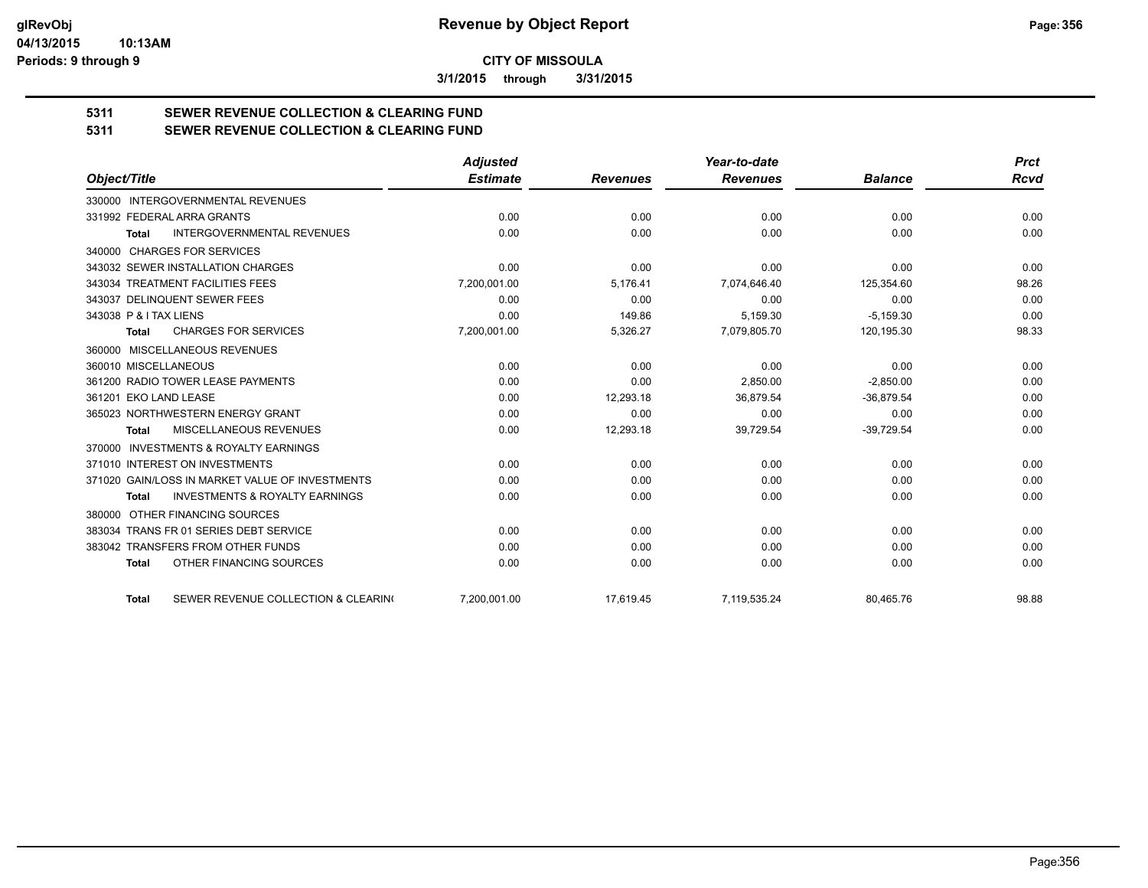**3/1/2015 through 3/31/2015**

# **5311 SEWER REVENUE COLLECTION & CLEARING FUND**

**5311 SEWER REVENUE COLLECTION & CLEARING FUND**

|                                                           | <b>Adjusted</b> |                 | Year-to-date    |                | <b>Prct</b> |
|-----------------------------------------------------------|-----------------|-----------------|-----------------|----------------|-------------|
| Object/Title                                              | <b>Estimate</b> | <b>Revenues</b> | <b>Revenues</b> | <b>Balance</b> | <b>Rcvd</b> |
| 330000 INTERGOVERNMENTAL REVENUES                         |                 |                 |                 |                |             |
| 331992 FEDERAL ARRA GRANTS                                | 0.00            | 0.00            | 0.00            | 0.00           | 0.00        |
| <b>INTERGOVERNMENTAL REVENUES</b><br><b>Total</b>         | 0.00            | 0.00            | 0.00            | 0.00           | 0.00        |
| 340000 CHARGES FOR SERVICES                               |                 |                 |                 |                |             |
| 343032 SEWER INSTALLATION CHARGES                         | 0.00            | 0.00            | 0.00            | 0.00           | 0.00        |
| 343034 TREATMENT FACILITIES FEES                          | 7,200,001.00    | 5.176.41        | 7,074,646.40    | 125.354.60     | 98.26       |
| 343037 DELINQUENT SEWER FEES                              | 0.00            | 0.00            | 0.00            | 0.00           | 0.00        |
| 343038 P & I TAX LIENS                                    | 0.00            | 149.86          | 5,159.30        | $-5,159.30$    | 0.00        |
| <b>CHARGES FOR SERVICES</b><br><b>Total</b>               | 7,200,001.00    | 5,326.27        | 7,079,805.70    | 120,195.30     | 98.33       |
| MISCELLANEOUS REVENUES<br>360000                          |                 |                 |                 |                |             |
| 360010 MISCELLANEOUS                                      | 0.00            | 0.00            | 0.00            | 0.00           | 0.00        |
| 361200 RADIO TOWER LEASE PAYMENTS                         | 0.00            | 0.00            | 2,850.00        | $-2,850.00$    | 0.00        |
| 361201 EKO LAND LEASE                                     | 0.00            | 12,293.18       | 36,879.54       | $-36,879.54$   | 0.00        |
| 365023 NORTHWESTERN ENERGY GRANT                          | 0.00            | 0.00            | 0.00            | 0.00           | 0.00        |
| <b>MISCELLANEOUS REVENUES</b><br><b>Total</b>             | 0.00            | 12,293.18       | 39,729.54       | $-39,729.54$   | 0.00        |
| 370000 INVESTMENTS & ROYALTY EARNINGS                     |                 |                 |                 |                |             |
| 371010 INTEREST ON INVESTMENTS                            | 0.00            | 0.00            | 0.00            | 0.00           | 0.00        |
| 371020 GAIN/LOSS IN MARKET VALUE OF INVESTMENTS           | 0.00            | 0.00            | 0.00            | 0.00           | 0.00        |
| <b>INVESTMENTS &amp; ROYALTY EARNINGS</b><br><b>Total</b> | 0.00            | 0.00            | 0.00            | 0.00           | 0.00        |
| OTHER FINANCING SOURCES<br>380000                         |                 |                 |                 |                |             |
| 383034 TRANS FR 01 SERIES DEBT SERVICE                    | 0.00            | 0.00            | 0.00            | 0.00           | 0.00        |
| 383042 TRANSFERS FROM OTHER FUNDS                         | 0.00            | 0.00            | 0.00            | 0.00           | 0.00        |
| OTHER FINANCING SOURCES<br><b>Total</b>                   | 0.00            | 0.00            | 0.00            | 0.00           | 0.00        |
| SEWER REVENUE COLLECTION & CLEARING<br><b>Total</b>       | 7,200,001.00    | 17,619.45       | 7,119,535.24    | 80,465.76      | 98.88       |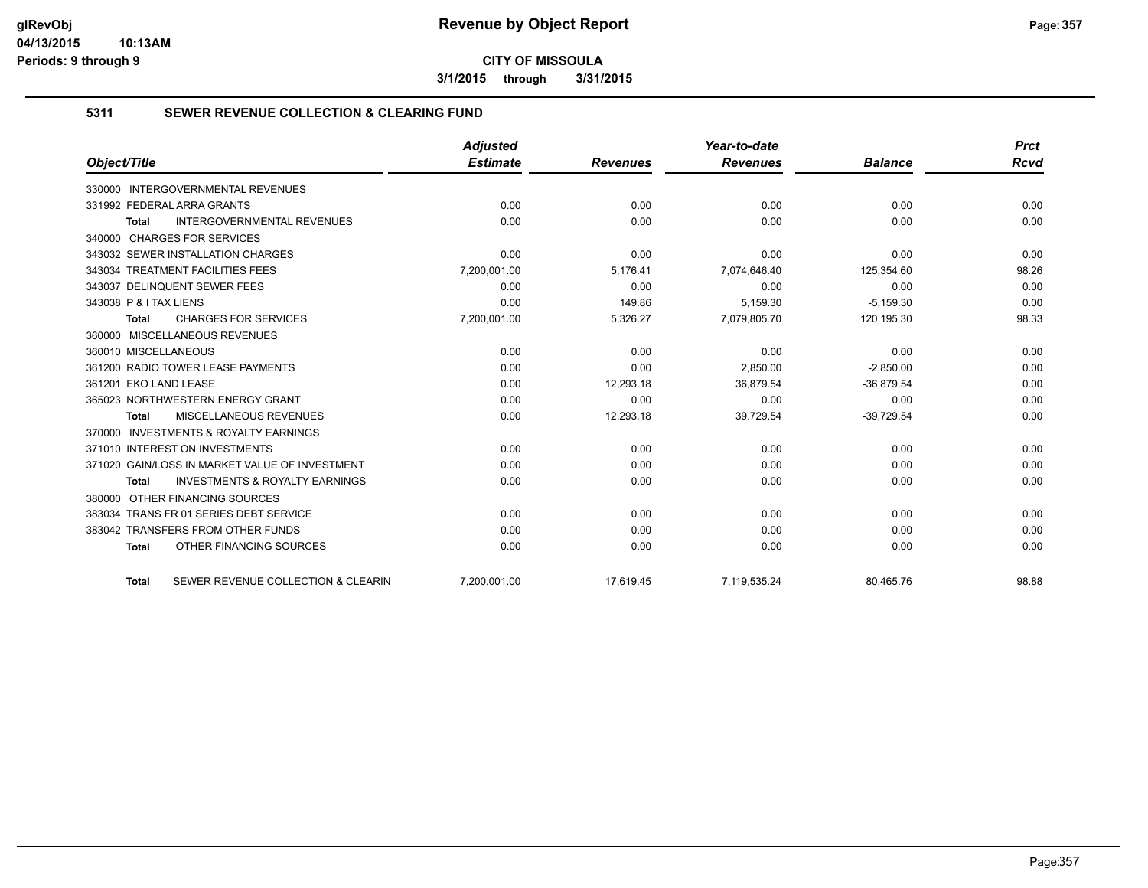**3/1/2015 through 3/31/2015**

### **5311 SEWER REVENUE COLLECTION & CLEARING FUND**

|                                                           | <b>Adjusted</b> |                 | Year-to-date    |                | <b>Prct</b> |
|-----------------------------------------------------------|-----------------|-----------------|-----------------|----------------|-------------|
| Object/Title                                              | <b>Estimate</b> | <b>Revenues</b> | <b>Revenues</b> | <b>Balance</b> | <b>Rcvd</b> |
| 330000 INTERGOVERNMENTAL REVENUES                         |                 |                 |                 |                |             |
| 331992 FEDERAL ARRA GRANTS                                | 0.00            | 0.00            | 0.00            | 0.00           | 0.00        |
| <b>INTERGOVERNMENTAL REVENUES</b><br><b>Total</b>         | 0.00            | 0.00            | 0.00            | 0.00           | 0.00        |
| 340000 CHARGES FOR SERVICES                               |                 |                 |                 |                |             |
| 343032 SEWER INSTALLATION CHARGES                         | 0.00            | 0.00            | 0.00            | 0.00           | 0.00        |
| 343034 TREATMENT FACILITIES FEES                          | 7,200,001.00    | 5,176.41        | 7,074,646.40    | 125,354.60     | 98.26       |
| 343037 DELINQUENT SEWER FEES                              | 0.00            | 0.00            | 0.00            | 0.00           | 0.00        |
| 343038 P & I TAX LIENS                                    | 0.00            | 149.86          | 5,159.30        | $-5.159.30$    | 0.00        |
| <b>CHARGES FOR SERVICES</b><br>Total                      | 7,200,001.00    | 5,326.27        | 7,079,805.70    | 120,195.30     | 98.33       |
| 360000 MISCELLANEOUS REVENUES                             |                 |                 |                 |                |             |
| 360010 MISCELLANEOUS                                      | 0.00            | 0.00            | 0.00            | 0.00           | 0.00        |
| 361200 RADIO TOWER LEASE PAYMENTS                         | 0.00            | 0.00            | 2,850.00        | $-2,850.00$    | 0.00        |
| 361201 EKO LAND LEASE                                     | 0.00            | 12.293.18       | 36.879.54       | $-36,879.54$   | 0.00        |
| 365023 NORTHWESTERN ENERGY GRANT                          | 0.00            | 0.00            | 0.00            | 0.00           | 0.00        |
| MISCELLANEOUS REVENUES<br><b>Total</b>                    | 0.00            | 12,293.18       | 39,729.54       | $-39,729.54$   | 0.00        |
| 370000 INVESTMENTS & ROYALTY EARNINGS                     |                 |                 |                 |                |             |
| 371010 INTEREST ON INVESTMENTS                            | 0.00            | 0.00            | 0.00            | 0.00           | 0.00        |
| 371020 GAIN/LOSS IN MARKET VALUE OF INVESTMENT            | 0.00            | 0.00            | 0.00            | 0.00           | 0.00        |
| <b>INVESTMENTS &amp; ROYALTY EARNINGS</b><br><b>Total</b> | 0.00            | 0.00            | 0.00            | 0.00           | 0.00        |
| OTHER FINANCING SOURCES<br>380000                         |                 |                 |                 |                |             |
| 383034 TRANS FR 01 SERIES DEBT SERVICE                    | 0.00            | 0.00            | 0.00            | 0.00           | 0.00        |
| 383042 TRANSFERS FROM OTHER FUNDS                         | 0.00            | 0.00            | 0.00            | 0.00           | 0.00        |
| OTHER FINANCING SOURCES<br><b>Total</b>                   | 0.00            | 0.00            | 0.00            | 0.00           | 0.00        |
| SEWER REVENUE COLLECTION & CLEARIN<br><b>Total</b>        | 7,200,001.00    | 17,619.45       | 7,119,535.24    | 80,465.76      | 98.88       |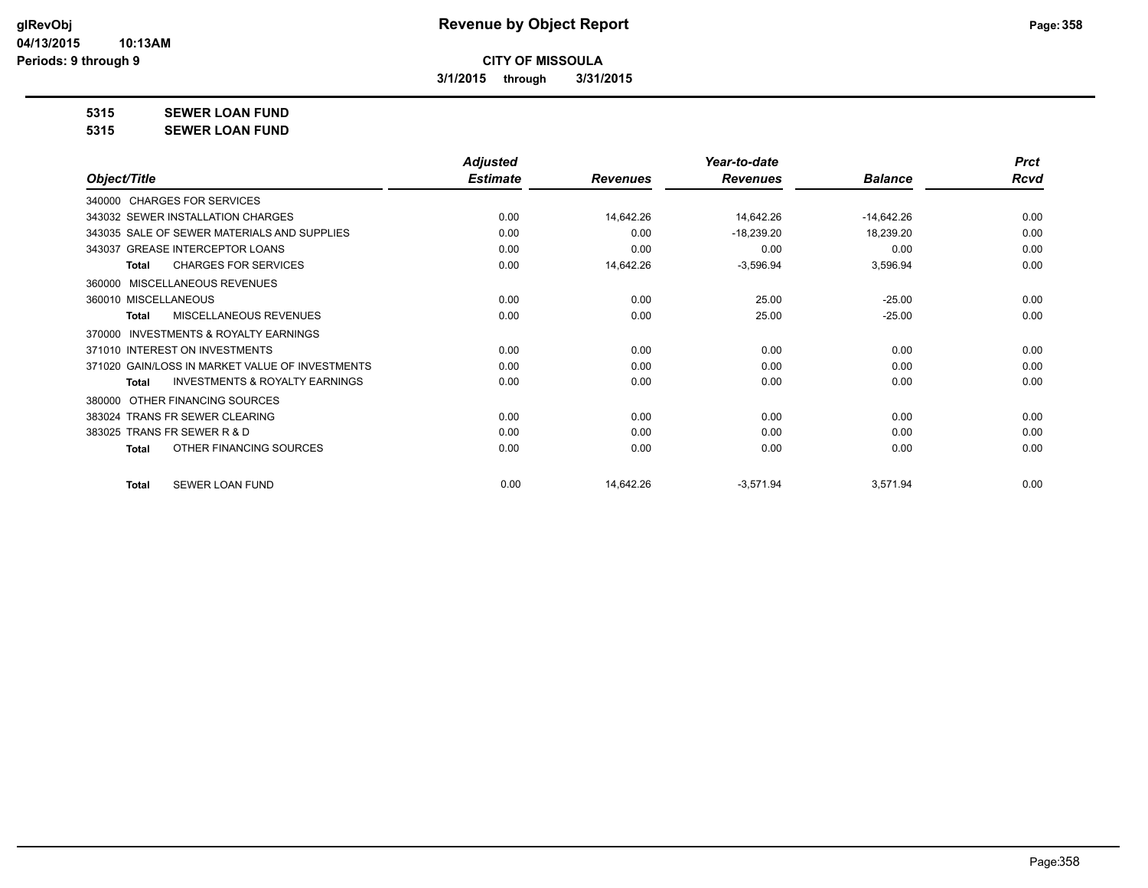**3/1/2015 through 3/31/2015**

**5315 SEWER LOAN FUND**

**5315 SEWER LOAN FUND**

|                                                           | <b>Adjusted</b> |                 | Year-to-date    |                | <b>Prct</b> |
|-----------------------------------------------------------|-----------------|-----------------|-----------------|----------------|-------------|
| Object/Title                                              | <b>Estimate</b> | <b>Revenues</b> | <b>Revenues</b> | <b>Balance</b> | <b>Rcvd</b> |
| <b>CHARGES FOR SERVICES</b><br>340000                     |                 |                 |                 |                |             |
| 343032 SEWER INSTALLATION CHARGES                         | 0.00            | 14,642.26       | 14,642.26       | $-14,642.26$   | 0.00        |
| 343035 SALE OF SEWER MATERIALS AND SUPPLIES               | 0.00            | 0.00            | $-18,239.20$    | 18,239.20      | 0.00        |
| 343037 GREASE INTERCEPTOR LOANS                           | 0.00            | 0.00            | 0.00            | 0.00           | 0.00        |
| <b>CHARGES FOR SERVICES</b><br><b>Total</b>               | 0.00            | 14,642.26       | $-3,596.94$     | 3,596.94       | 0.00        |
| MISCELLANEOUS REVENUES<br>360000                          |                 |                 |                 |                |             |
| 360010 MISCELLANEOUS                                      | 0.00            | 0.00            | 25.00           | $-25.00$       | 0.00        |
| MISCELLANEOUS REVENUES<br><b>Total</b>                    | 0.00            | 0.00            | 25.00           | $-25.00$       | 0.00        |
| <b>INVESTMENTS &amp; ROYALTY EARNINGS</b><br>370000       |                 |                 |                 |                |             |
| 371010 INTEREST ON INVESTMENTS                            | 0.00            | 0.00            | 0.00            | 0.00           | 0.00        |
| 371020 GAIN/LOSS IN MARKET VALUE OF INVESTMENTS           | 0.00            | 0.00            | 0.00            | 0.00           | 0.00        |
| <b>INVESTMENTS &amp; ROYALTY EARNINGS</b><br><b>Total</b> | 0.00            | 0.00            | 0.00            | 0.00           | 0.00        |
| OTHER FINANCING SOURCES<br>380000                         |                 |                 |                 |                |             |
| 383024 TRANS FR SEWER CLEARING                            | 0.00            | 0.00            | 0.00            | 0.00           | 0.00        |
| 383025 TRANS FR SEWER R & D                               | 0.00            | 0.00            | 0.00            | 0.00           | 0.00        |
| OTHER FINANCING SOURCES<br><b>Total</b>                   | 0.00            | 0.00            | 0.00            | 0.00           | 0.00        |
| <b>SEWER LOAN FUND</b><br>Total                           | 0.00            | 14,642.26       | $-3,571.94$     | 3,571.94       | 0.00        |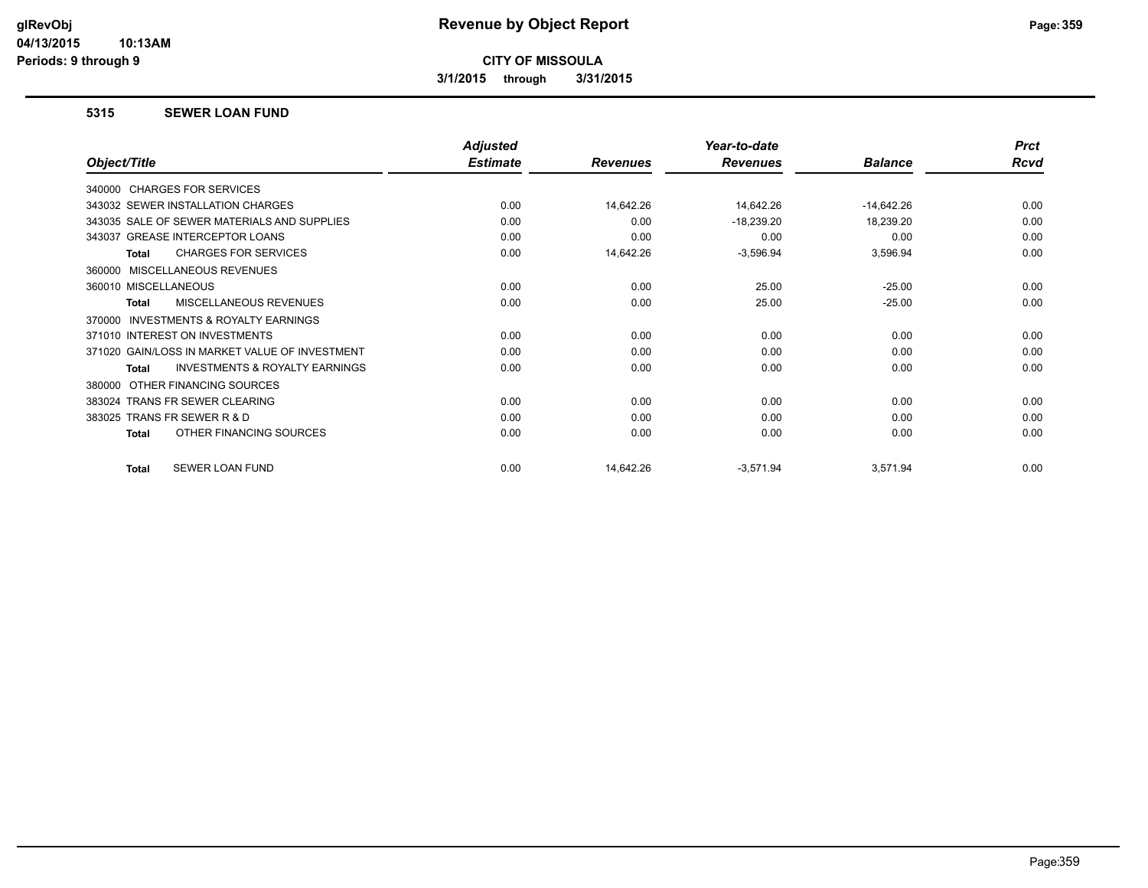**3/1/2015 through 3/31/2015**

#### **5315 SEWER LOAN FUND**

|                                                           | <b>Adjusted</b> |                 | Year-to-date    |                | <b>Prct</b> |
|-----------------------------------------------------------|-----------------|-----------------|-----------------|----------------|-------------|
| Object/Title                                              | <b>Estimate</b> | <b>Revenues</b> | <b>Revenues</b> | <b>Balance</b> | Rcvd        |
| 340000 CHARGES FOR SERVICES                               |                 |                 |                 |                |             |
| 343032 SEWER INSTALLATION CHARGES                         | 0.00            | 14,642.26       | 14,642.26       | $-14,642.26$   | 0.00        |
| 343035 SALE OF SEWER MATERIALS AND SUPPLIES               | 0.00            | 0.00            | $-18,239.20$    | 18,239.20      | 0.00        |
| 343037 GREASE INTERCEPTOR LOANS                           | 0.00            | 0.00            | 0.00            | 0.00           | 0.00        |
| <b>CHARGES FOR SERVICES</b><br><b>Total</b>               | 0.00            | 14,642.26       | $-3,596.94$     | 3,596.94       | 0.00        |
| MISCELLANEOUS REVENUES<br>360000                          |                 |                 |                 |                |             |
| 360010 MISCELLANEOUS                                      | 0.00            | 0.00            | 25.00           | $-25.00$       | 0.00        |
| <b>MISCELLANEOUS REVENUES</b><br><b>Total</b>             | 0.00            | 0.00            | 25.00           | $-25.00$       | 0.00        |
| <b>INVESTMENTS &amp; ROYALTY EARNINGS</b><br>370000       |                 |                 |                 |                |             |
| 371010 INTEREST ON INVESTMENTS                            | 0.00            | 0.00            | 0.00            | 0.00           | 0.00        |
| 371020 GAIN/LOSS IN MARKET VALUE OF INVESTMENT            | 0.00            | 0.00            | 0.00            | 0.00           | 0.00        |
| <b>INVESTMENTS &amp; ROYALTY EARNINGS</b><br><b>Total</b> | 0.00            | 0.00            | 0.00            | 0.00           | 0.00        |
| OTHER FINANCING SOURCES<br>380000                         |                 |                 |                 |                |             |
| 383024 TRANS FR SEWER CLEARING                            | 0.00            | 0.00            | 0.00            | 0.00           | 0.00        |
| 383025 TRANS FR SEWER R & D                               | 0.00            | 0.00            | 0.00            | 0.00           | 0.00        |
| OTHER FINANCING SOURCES<br><b>Total</b>                   | 0.00            | 0.00            | 0.00            | 0.00           | 0.00        |
| SEWER LOAN FUND<br><b>Total</b>                           | 0.00            | 14,642.26       | $-3,571.94$     | 3,571.94       | 0.00        |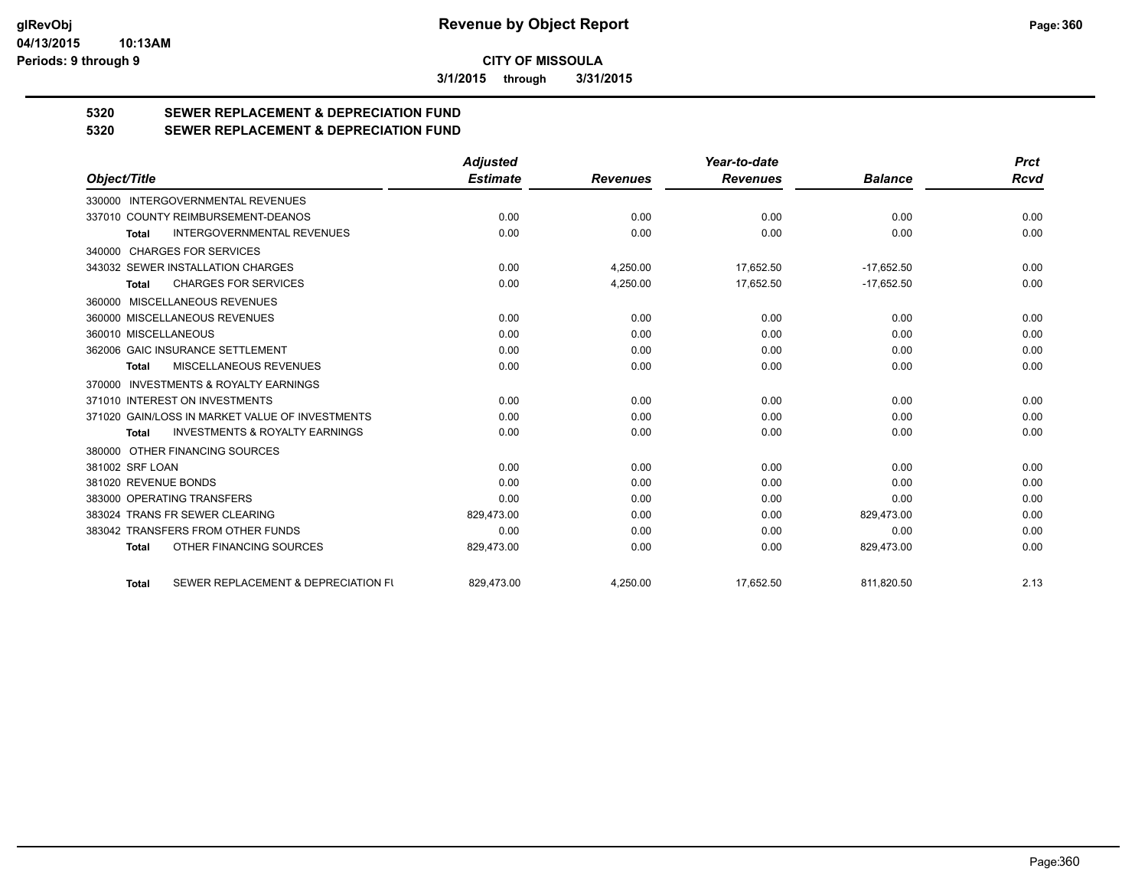**3/1/2015 through 3/31/2015**

# **5320 SEWER REPLACEMENT & DEPRECIATION FUND**

**5320 SEWER REPLACEMENT & DEPRECIATION FUND**

|                                                           | <b>Adjusted</b> |                 | Year-to-date    |                | <b>Prct</b> |
|-----------------------------------------------------------|-----------------|-----------------|-----------------|----------------|-------------|
| Object/Title                                              | <b>Estimate</b> | <b>Revenues</b> | <b>Revenues</b> | <b>Balance</b> | Rcvd        |
| 330000 INTERGOVERNMENTAL REVENUES                         |                 |                 |                 |                |             |
| 337010 COUNTY REIMBURSEMENT-DEANOS                        | 0.00            | 0.00            | 0.00            | 0.00           | 0.00        |
| <b>INTERGOVERNMENTAL REVENUES</b><br><b>Total</b>         | 0.00            | 0.00            | 0.00            | 0.00           | 0.00        |
| 340000 CHARGES FOR SERVICES                               |                 |                 |                 |                |             |
| 343032 SEWER INSTALLATION CHARGES                         | 0.00            | 4,250.00        | 17,652.50       | $-17,652.50$   | 0.00        |
| <b>CHARGES FOR SERVICES</b><br><b>Total</b>               | 0.00            | 4,250.00        | 17,652.50       | $-17,652.50$   | 0.00        |
| 360000 MISCELLANEOUS REVENUES                             |                 |                 |                 |                |             |
| 360000 MISCELLANEOUS REVENUES                             | 0.00            | 0.00            | 0.00            | 0.00           | 0.00        |
| 360010 MISCELLANEOUS                                      | 0.00            | 0.00            | 0.00            | 0.00           | 0.00        |
| 362006 GAIC INSURANCE SETTLEMENT                          | 0.00            | 0.00            | 0.00            | 0.00           | 0.00        |
| MISCELLANEOUS REVENUES<br><b>Total</b>                    | 0.00            | 0.00            | 0.00            | 0.00           | 0.00        |
| 370000 INVESTMENTS & ROYALTY EARNINGS                     |                 |                 |                 |                |             |
| 371010 INTEREST ON INVESTMENTS                            | 0.00            | 0.00            | 0.00            | 0.00           | 0.00        |
| 371020 GAIN/LOSS IN MARKET VALUE OF INVESTMENTS           | 0.00            | 0.00            | 0.00            | 0.00           | 0.00        |
| <b>INVESTMENTS &amp; ROYALTY EARNINGS</b><br><b>Total</b> | 0.00            | 0.00            | 0.00            | 0.00           | 0.00        |
| 380000 OTHER FINANCING SOURCES                            |                 |                 |                 |                |             |
| 381002 SRF LOAN                                           | 0.00            | 0.00            | 0.00            | 0.00           | 0.00        |
| 381020 REVENUE BONDS                                      | 0.00            | 0.00            | 0.00            | 0.00           | 0.00        |
| 383000 OPERATING TRANSFERS                                | 0.00            | 0.00            | 0.00            | 0.00           | 0.00        |
| 383024 TRANS FR SEWER CLEARING                            | 829,473.00      | 0.00            | 0.00            | 829,473.00     | 0.00        |
| 383042 TRANSFERS FROM OTHER FUNDS                         | 0.00            | 0.00            | 0.00            | 0.00           | 0.00        |
| OTHER FINANCING SOURCES<br><b>Total</b>                   | 829,473.00      | 0.00            | 0.00            | 829,473.00     | 0.00        |
| SEWER REPLACEMENT & DEPRECIATION FU<br><b>Total</b>       | 829,473.00      | 4,250.00        | 17,652.50       | 811,820.50     | 2.13        |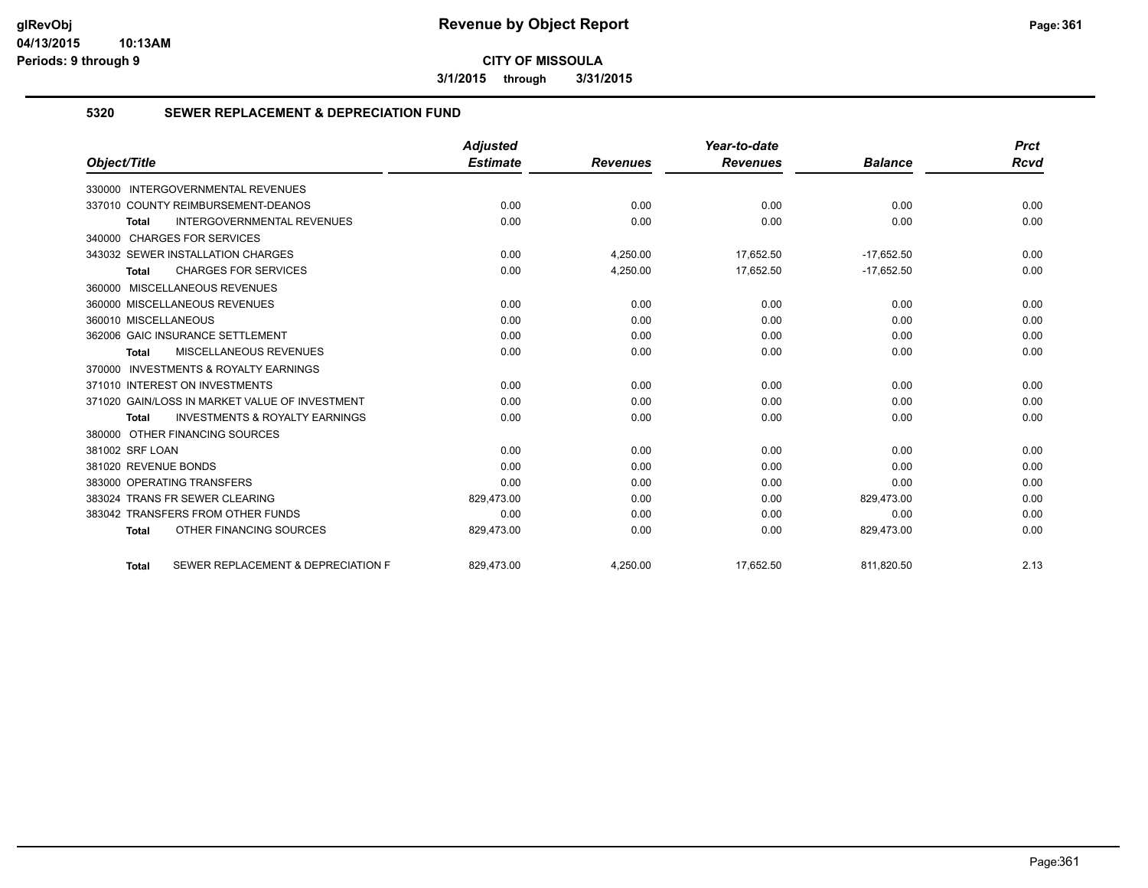**3/1/2015 through 3/31/2015**

### **5320 SEWER REPLACEMENT & DEPRECIATION FUND**

|                                                           | <b>Adjusted</b> |                 | Year-to-date    |                | <b>Prct</b> |
|-----------------------------------------------------------|-----------------|-----------------|-----------------|----------------|-------------|
| Object/Title                                              | <b>Estimate</b> | <b>Revenues</b> | <b>Revenues</b> | <b>Balance</b> | Rcvd        |
| 330000 INTERGOVERNMENTAL REVENUES                         |                 |                 |                 |                |             |
| 337010 COUNTY REIMBURSEMENT-DEANOS                        | 0.00            | 0.00            | 0.00            | 0.00           | 0.00        |
| <b>INTERGOVERNMENTAL REVENUES</b><br><b>Total</b>         | 0.00            | 0.00            | 0.00            | 0.00           | 0.00        |
| 340000 CHARGES FOR SERVICES                               |                 |                 |                 |                |             |
| 343032 SEWER INSTALLATION CHARGES                         | 0.00            | 4,250.00        | 17,652.50       | $-17,652.50$   | 0.00        |
| <b>CHARGES FOR SERVICES</b><br><b>Total</b>               | 0.00            | 4,250.00        | 17,652.50       | $-17,652.50$   | 0.00        |
| 360000 MISCELLANEOUS REVENUES                             |                 |                 |                 |                |             |
| 360000 MISCELLANEOUS REVENUES                             | 0.00            | 0.00            | 0.00            | 0.00           | 0.00        |
| 360010 MISCELLANEOUS                                      | 0.00            | 0.00            | 0.00            | 0.00           | 0.00        |
| 362006 GAIC INSURANCE SETTLEMENT                          | 0.00            | 0.00            | 0.00            | 0.00           | 0.00        |
| <b>MISCELLANEOUS REVENUES</b><br><b>Total</b>             | 0.00            | 0.00            | 0.00            | 0.00           | 0.00        |
| 370000 INVESTMENTS & ROYALTY EARNINGS                     |                 |                 |                 |                |             |
| 371010 INTEREST ON INVESTMENTS                            | 0.00            | 0.00            | 0.00            | 0.00           | 0.00        |
| 371020 GAIN/LOSS IN MARKET VALUE OF INVESTMENT            | 0.00            | 0.00            | 0.00            | 0.00           | 0.00        |
| <b>INVESTMENTS &amp; ROYALTY EARNINGS</b><br><b>Total</b> | 0.00            | 0.00            | 0.00            | 0.00           | 0.00        |
| 380000 OTHER FINANCING SOURCES                            |                 |                 |                 |                |             |
| 381002 SRF LOAN                                           | 0.00            | 0.00            | 0.00            | 0.00           | 0.00        |
| 381020 REVENUE BONDS                                      | 0.00            | 0.00            | 0.00            | 0.00           | 0.00        |
| 383000 OPERATING TRANSFERS                                | 0.00            | 0.00            | 0.00            | 0.00           | 0.00        |
| 383024 TRANS FR SEWER CLEARING                            | 829,473.00      | 0.00            | 0.00            | 829,473.00     | 0.00        |
| 383042 TRANSFERS FROM OTHER FUNDS                         | 0.00            | 0.00            | 0.00            | 0.00           | 0.00        |
| OTHER FINANCING SOURCES<br><b>Total</b>                   | 829,473.00      | 0.00            | 0.00            | 829,473.00     | 0.00        |
| SEWER REPLACEMENT & DEPRECIATION F<br><b>Total</b>        | 829.473.00      | 4.250.00        | 17.652.50       | 811.820.50     | 2.13        |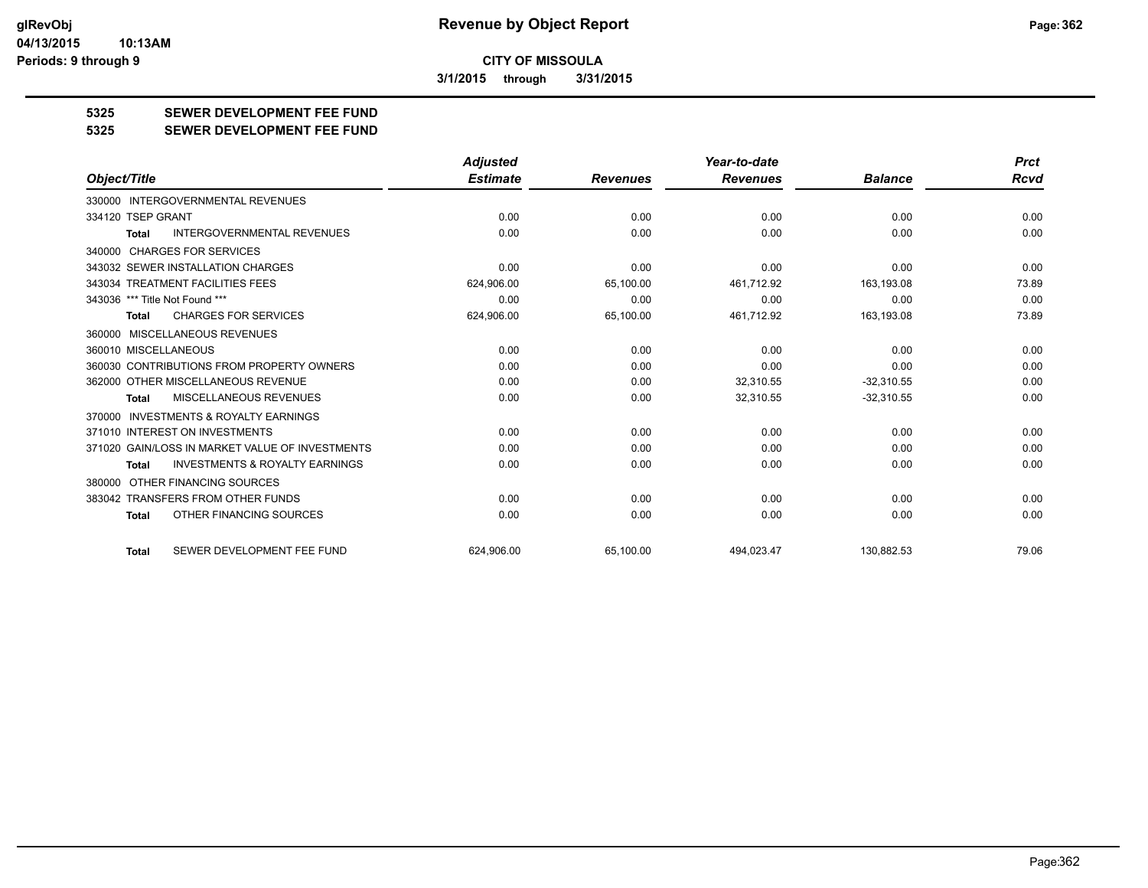**3/1/2015 through 3/31/2015**

### **5325 SEWER DEVELOPMENT FEE FUND**

**5325 SEWER DEVELOPMENT FEE FUND**

|                                                    | <b>Adjusted</b> |                 | Year-to-date    |                | <b>Prct</b> |
|----------------------------------------------------|-----------------|-----------------|-----------------|----------------|-------------|
| Object/Title                                       | <b>Estimate</b> | <b>Revenues</b> | <b>Revenues</b> | <b>Balance</b> | <b>Rcvd</b> |
| 330000 INTERGOVERNMENTAL REVENUES                  |                 |                 |                 |                |             |
| 334120 TSEP GRANT                                  | 0.00            | 0.00            | 0.00            | 0.00           | 0.00        |
| <b>INTERGOVERNMENTAL REVENUES</b><br><b>Total</b>  | 0.00            | 0.00            | 0.00            | 0.00           | 0.00        |
| 340000 CHARGES FOR SERVICES                        |                 |                 |                 |                |             |
| 343032 SEWER INSTALLATION CHARGES                  | 0.00            | 0.00            | 0.00            | 0.00           | 0.00        |
| 343034 TREATMENT FACILITIES FEES                   | 624,906.00      | 65,100.00       | 461,712.92      | 163,193.08     | 73.89       |
| 343036 *** Title Not Found ***                     | 0.00            | 0.00            | 0.00            | 0.00           | 0.00        |
| <b>CHARGES FOR SERVICES</b><br>Total               | 624,906.00      | 65,100.00       | 461,712.92      | 163,193.08     | 73.89       |
| 360000 MISCELLANEOUS REVENUES                      |                 |                 |                 |                |             |
| 360010 MISCELLANEOUS                               | 0.00            | 0.00            | 0.00            | 0.00           | 0.00        |
| 360030 CONTRIBUTIONS FROM PROPERTY OWNERS          | 0.00            | 0.00            | 0.00            | 0.00           | 0.00        |
| 362000 OTHER MISCELLANEOUS REVENUE                 | 0.00            | 0.00            | 32,310.55       | $-32,310.55$   | 0.00        |
| <b>MISCELLANEOUS REVENUES</b><br><b>Total</b>      | 0.00            | 0.00            | 32,310.55       | $-32,310.55$   | 0.00        |
| INVESTMENTS & ROYALTY EARNINGS<br>370000           |                 |                 |                 |                |             |
| 371010 INTEREST ON INVESTMENTS                     | 0.00            | 0.00            | 0.00            | 0.00           | 0.00        |
| 371020 GAIN/LOSS IN MARKET VALUE OF INVESTMENTS    | 0.00            | 0.00            | 0.00            | 0.00           | 0.00        |
| <b>INVESTMENTS &amp; ROYALTY EARNINGS</b><br>Total | 0.00            | 0.00            | 0.00            | 0.00           | 0.00        |
| 380000 OTHER FINANCING SOURCES                     |                 |                 |                 |                |             |
| 383042 TRANSFERS FROM OTHER FUNDS                  | 0.00            | 0.00            | 0.00            | 0.00           | 0.00        |
| OTHER FINANCING SOURCES<br>Total                   | 0.00            | 0.00            | 0.00            | 0.00           | 0.00        |
| SEWER DEVELOPMENT FEE FUND<br><b>Total</b>         | 624.906.00      | 65,100.00       | 494.023.47      | 130.882.53     | 79.06       |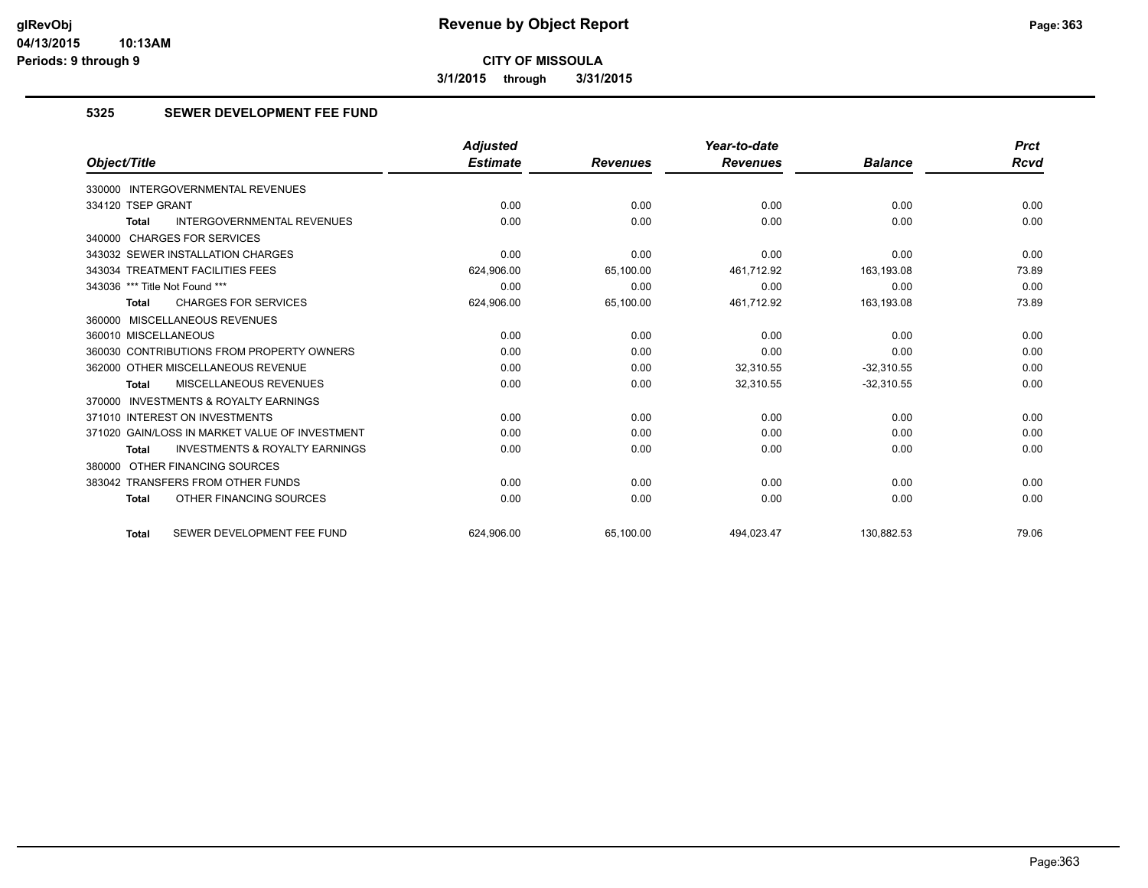**3/1/2015 through 3/31/2015**

### **5325 SEWER DEVELOPMENT FEE FUND**

|                                                    | <b>Adjusted</b> |                 | Year-to-date    |                | <b>Prct</b> |
|----------------------------------------------------|-----------------|-----------------|-----------------|----------------|-------------|
| Object/Title                                       | <b>Estimate</b> | <b>Revenues</b> | <b>Revenues</b> | <b>Balance</b> | Rcvd        |
| 330000 INTERGOVERNMENTAL REVENUES                  |                 |                 |                 |                |             |
| 334120 TSEP GRANT                                  | 0.00            | 0.00            | 0.00            | 0.00           | 0.00        |
| <b>INTERGOVERNMENTAL REVENUES</b><br><b>Total</b>  | 0.00            | 0.00            | 0.00            | 0.00           | 0.00        |
| 340000 CHARGES FOR SERVICES                        |                 |                 |                 |                |             |
| 343032 SEWER INSTALLATION CHARGES                  | 0.00            | 0.00            | 0.00            | 0.00           | 0.00        |
| 343034 TREATMENT FACILITIES FEES                   | 624,906.00      | 65,100.00       | 461,712.92      | 163,193.08     | 73.89       |
| 343036 *** Title Not Found ***                     | 0.00            | 0.00            | 0.00            | 0.00           | 0.00        |
| <b>CHARGES FOR SERVICES</b><br><b>Total</b>        | 624,906.00      | 65,100.00       | 461,712.92      | 163,193.08     | 73.89       |
| 360000 MISCELLANEOUS REVENUES                      |                 |                 |                 |                |             |
| 360010 MISCELLANEOUS                               | 0.00            | 0.00            | 0.00            | 0.00           | 0.00        |
| 360030 CONTRIBUTIONS FROM PROPERTY OWNERS          | 0.00            | 0.00            | 0.00            | 0.00           | 0.00        |
| 362000 OTHER MISCELLANEOUS REVENUE                 | 0.00            | 0.00            | 32,310.55       | $-32,310.55$   | 0.00        |
| MISCELLANEOUS REVENUES<br><b>Total</b>             | 0.00            | 0.00            | 32,310.55       | $-32,310.55$   | 0.00        |
| 370000 INVESTMENTS & ROYALTY EARNINGS              |                 |                 |                 |                |             |
| 371010 INTEREST ON INVESTMENTS                     | 0.00            | 0.00            | 0.00            | 0.00           | 0.00        |
| 371020 GAIN/LOSS IN MARKET VALUE OF INVESTMENT     | 0.00            | 0.00            | 0.00            | 0.00           | 0.00        |
| <b>INVESTMENTS &amp; ROYALTY EARNINGS</b><br>Total | 0.00            | 0.00            | 0.00            | 0.00           | 0.00        |
| 380000 OTHER FINANCING SOURCES                     |                 |                 |                 |                |             |
| 383042 TRANSFERS FROM OTHER FUNDS                  | 0.00            | 0.00            | 0.00            | 0.00           | 0.00        |
| OTHER FINANCING SOURCES<br><b>Total</b>            | 0.00            | 0.00            | 0.00            | 0.00           | 0.00        |
| SEWER DEVELOPMENT FEE FUND<br><b>Total</b>         | 624.906.00      | 65.100.00       | 494,023.47      | 130.882.53     | 79.06       |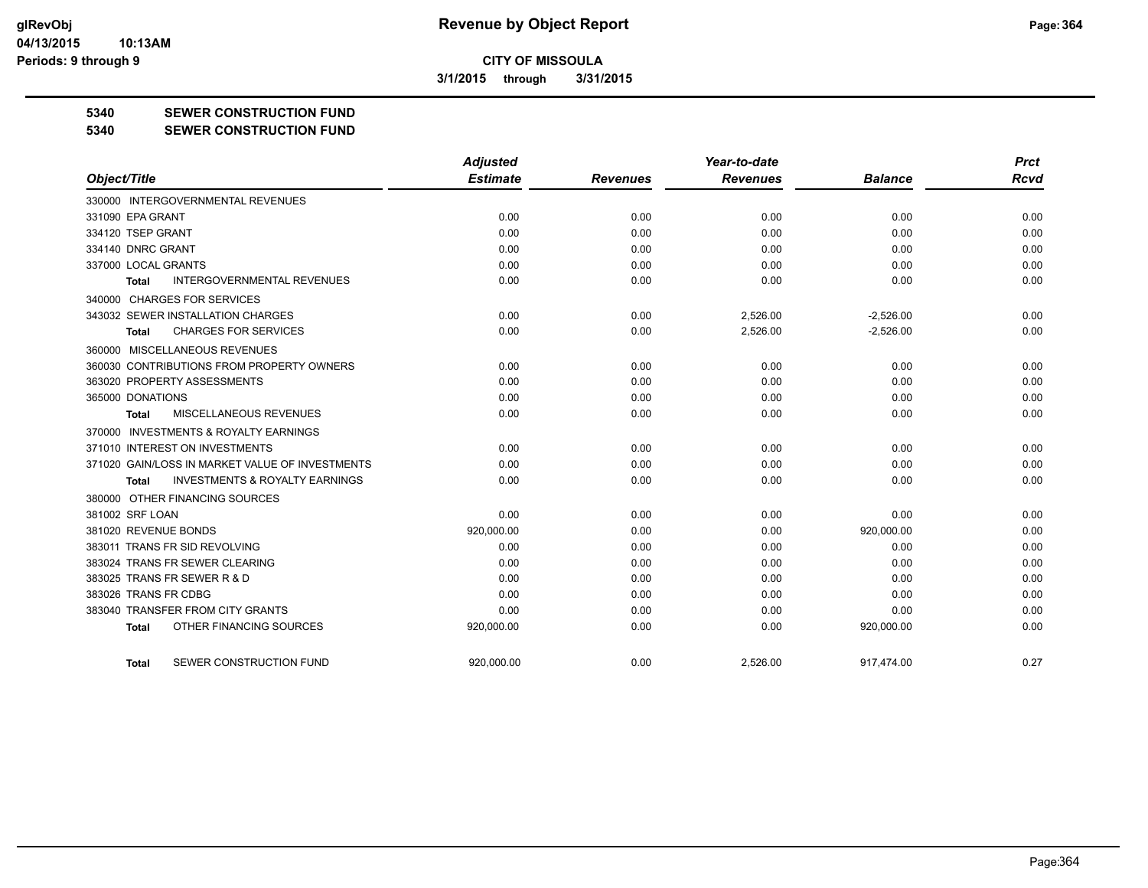**3/1/2015 through 3/31/2015**

### **5340 SEWER CONSTRUCTION FUND**

#### **5340 SEWER CONSTRUCTION FUND**

|                                                     | <b>Adjusted</b> |                 | Year-to-date    |                | <b>Prct</b> |
|-----------------------------------------------------|-----------------|-----------------|-----------------|----------------|-------------|
| Object/Title                                        | <b>Estimate</b> | <b>Revenues</b> | <b>Revenues</b> | <b>Balance</b> | <b>Rcvd</b> |
| 330000 INTERGOVERNMENTAL REVENUES                   |                 |                 |                 |                |             |
| 331090 EPA GRANT                                    | 0.00            | 0.00            | 0.00            | 0.00           | 0.00        |
| 334120 TSEP GRANT                                   | 0.00            | 0.00            | 0.00            | 0.00           | 0.00        |
| 334140 DNRC GRANT                                   | 0.00            | 0.00            | 0.00            | 0.00           | 0.00        |
| 337000 LOCAL GRANTS                                 | 0.00            | 0.00            | 0.00            | 0.00           | 0.00        |
| <b>INTERGOVERNMENTAL REVENUES</b><br><b>Total</b>   | 0.00            | 0.00            | 0.00            | 0.00           | 0.00        |
| 340000 CHARGES FOR SERVICES                         |                 |                 |                 |                |             |
| 343032 SEWER INSTALLATION CHARGES                   | 0.00            | 0.00            | 2,526.00        | $-2,526.00$    | 0.00        |
| <b>CHARGES FOR SERVICES</b><br>Total                | 0.00            | 0.00            | 2,526.00        | $-2,526.00$    | 0.00        |
| 360000 MISCELLANEOUS REVENUES                       |                 |                 |                 |                |             |
| 360030 CONTRIBUTIONS FROM PROPERTY OWNERS           | 0.00            | 0.00            | 0.00            | 0.00           | 0.00        |
| 363020 PROPERTY ASSESSMENTS                         | 0.00            | 0.00            | 0.00            | 0.00           | 0.00        |
| 365000 DONATIONS                                    | 0.00            | 0.00            | 0.00            | 0.00           | 0.00        |
| MISCELLANEOUS REVENUES<br>Total                     | 0.00            | 0.00            | 0.00            | 0.00           | 0.00        |
| <b>INVESTMENTS &amp; ROYALTY EARNINGS</b><br>370000 |                 |                 |                 |                |             |
| 371010 INTEREST ON INVESTMENTS                      | 0.00            | 0.00            | 0.00            | 0.00           | 0.00        |
| 371020 GAIN/LOSS IN MARKET VALUE OF INVESTMENTS     | 0.00            | 0.00            | 0.00            | 0.00           | 0.00        |
| <b>INVESTMENTS &amp; ROYALTY EARNINGS</b><br>Total  | 0.00            | 0.00            | 0.00            | 0.00           | 0.00        |
| 380000 OTHER FINANCING SOURCES                      |                 |                 |                 |                |             |
| 381002 SRF LOAN                                     | 0.00            | 0.00            | 0.00            | 0.00           | 0.00        |
| 381020 REVENUE BONDS                                | 920,000.00      | 0.00            | 0.00            | 920,000.00     | 0.00        |
| 383011 TRANS FR SID REVOLVING                       | 0.00            | 0.00            | 0.00            | 0.00           | 0.00        |
| 383024 TRANS FR SEWER CLEARING                      | 0.00            | 0.00            | 0.00            | 0.00           | 0.00        |
| 383025 TRANS FR SEWER R & D                         | 0.00            | 0.00            | 0.00            | 0.00           | 0.00        |
| 383026 TRANS FR CDBG                                | 0.00            | 0.00            | 0.00            | 0.00           | 0.00        |
| 383040 TRANSFER FROM CITY GRANTS                    | 0.00            | 0.00            | 0.00            | 0.00           | 0.00        |
| OTHER FINANCING SOURCES<br><b>Total</b>             | 920,000.00      | 0.00            | 0.00            | 920,000.00     | 0.00        |
| SEWER CONSTRUCTION FUND<br>Total                    | 920.000.00      | 0.00            | 2,526.00        | 917.474.00     | 0.27        |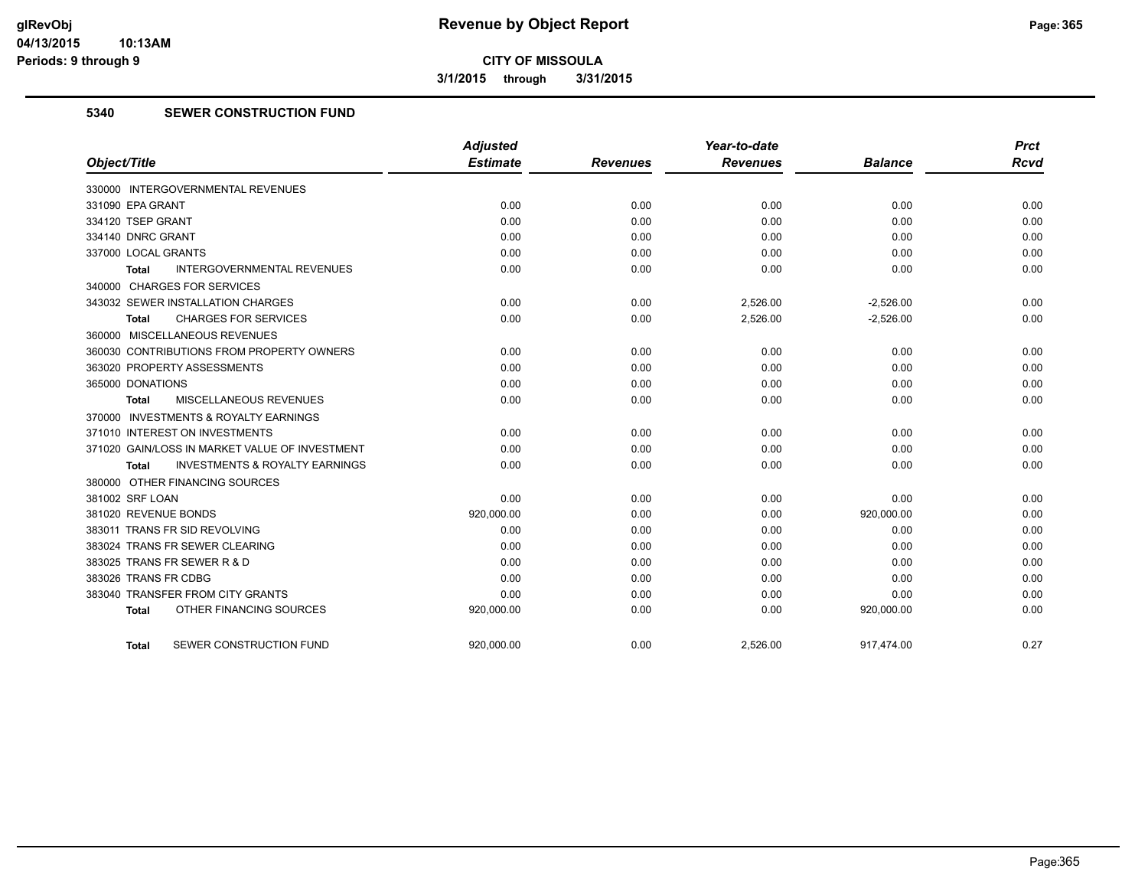**3/1/2015 through 3/31/2015**

### **5340 SEWER CONSTRUCTION FUND**

|                                                           | <b>Adjusted</b> |                 | Year-to-date    |                | <b>Prct</b> |
|-----------------------------------------------------------|-----------------|-----------------|-----------------|----------------|-------------|
| Object/Title                                              | <b>Estimate</b> | <b>Revenues</b> | <b>Revenues</b> | <b>Balance</b> | <b>Rcvd</b> |
| 330000 INTERGOVERNMENTAL REVENUES                         |                 |                 |                 |                |             |
| 331090 EPA GRANT                                          | 0.00            | 0.00            | 0.00            | 0.00           | 0.00        |
| 334120 TSEP GRANT                                         | 0.00            | 0.00            | 0.00            | 0.00           | 0.00        |
| 334140 DNRC GRANT                                         | 0.00            | 0.00            | 0.00            | 0.00           | 0.00        |
| 337000 LOCAL GRANTS                                       | 0.00            | 0.00            | 0.00            | 0.00           | 0.00        |
| <b>INTERGOVERNMENTAL REVENUES</b><br><b>Total</b>         | 0.00            | 0.00            | 0.00            | 0.00           | 0.00        |
| 340000 CHARGES FOR SERVICES                               |                 |                 |                 |                |             |
| 343032 SEWER INSTALLATION CHARGES                         | 0.00            | 0.00            | 2,526.00        | $-2,526.00$    | 0.00        |
| <b>CHARGES FOR SERVICES</b><br><b>Total</b>               | 0.00            | 0.00            | 2,526.00        | $-2,526.00$    | 0.00        |
| 360000 MISCELLANEOUS REVENUES                             |                 |                 |                 |                |             |
| 360030 CONTRIBUTIONS FROM PROPERTY OWNERS                 | 0.00            | 0.00            | 0.00            | 0.00           | 0.00        |
| 363020 PROPERTY ASSESSMENTS                               | 0.00            | 0.00            | 0.00            | 0.00           | 0.00        |
| 365000 DONATIONS                                          | 0.00            | 0.00            | 0.00            | 0.00           | 0.00        |
| MISCELLANEOUS REVENUES<br>Total                           | 0.00            | 0.00            | 0.00            | 0.00           | 0.00        |
| 370000 INVESTMENTS & ROYALTY EARNINGS                     |                 |                 |                 |                |             |
| 371010 INTEREST ON INVESTMENTS                            | 0.00            | 0.00            | 0.00            | 0.00           | 0.00        |
| 371020 GAIN/LOSS IN MARKET VALUE OF INVESTMENT            | 0.00            | 0.00            | 0.00            | 0.00           | 0.00        |
| <b>INVESTMENTS &amp; ROYALTY EARNINGS</b><br><b>Total</b> | 0.00            | 0.00            | 0.00            | 0.00           | 0.00        |
| 380000 OTHER FINANCING SOURCES                            |                 |                 |                 |                |             |
| 381002 SRF LOAN                                           | 0.00            | 0.00            | 0.00            | 0.00           | 0.00        |
| 381020 REVENUE BONDS                                      | 920,000.00      | 0.00            | 0.00            | 920,000.00     | 0.00        |
| 383011 TRANS FR SID REVOLVING                             | 0.00            | 0.00            | 0.00            | 0.00           | 0.00        |
| 383024 TRANS FR SEWER CLEARING                            | 0.00            | 0.00            | 0.00            | 0.00           | 0.00        |
| 383025 TRANS FR SEWER R & D                               | 0.00            | 0.00            | 0.00            | 0.00           | 0.00        |
| 383026 TRANS FR CDBG                                      | 0.00            | 0.00            | 0.00            | 0.00           | 0.00        |
| 383040 TRANSFER FROM CITY GRANTS                          | 0.00            | 0.00            | 0.00            | 0.00           | 0.00        |
| OTHER FINANCING SOURCES<br><b>Total</b>                   | 920,000.00      | 0.00            | 0.00            | 920,000.00     | 0.00        |
| SEWER CONSTRUCTION FUND<br><b>Total</b>                   | 920,000.00      | 0.00            | 2,526.00        | 917,474.00     | 0.27        |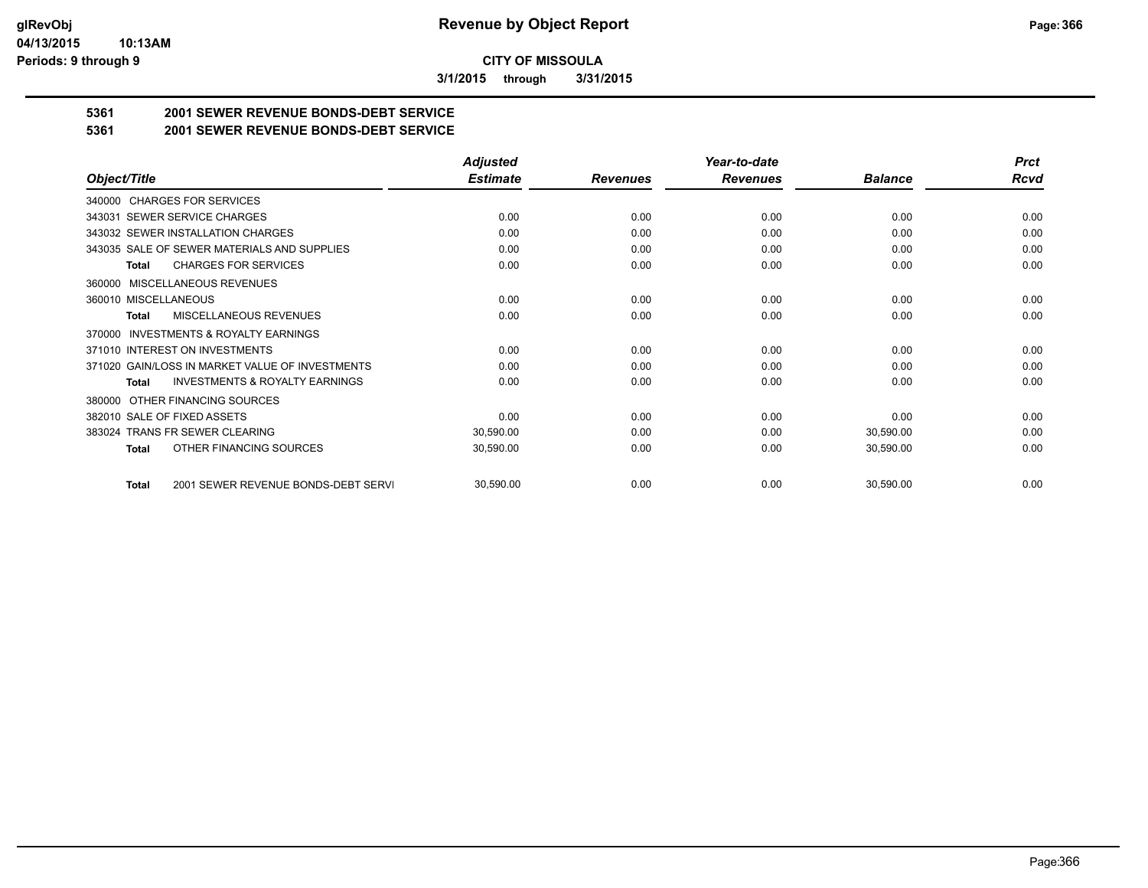**3/1/2015 through 3/31/2015**

### **5361 2001 SEWER REVENUE BONDS-DEBT SERVICE**

**5361 2001 SEWER REVENUE BONDS-DEBT SERVICE**

|                                                           | <b>Adjusted</b> |                 | Year-to-date    |                | <b>Prct</b> |
|-----------------------------------------------------------|-----------------|-----------------|-----------------|----------------|-------------|
| Object/Title                                              | <b>Estimate</b> | <b>Revenues</b> | <b>Revenues</b> | <b>Balance</b> | <b>Rcvd</b> |
| 340000 CHARGES FOR SERVICES                               |                 |                 |                 |                |             |
| <b>SEWER SERVICE CHARGES</b><br>343031                    | 0.00            | 0.00            | 0.00            | 0.00           | 0.00        |
| 343032 SEWER INSTALLATION CHARGES                         | 0.00            | 0.00            | 0.00            | 0.00           | 0.00        |
| 343035 SALE OF SEWER MATERIALS AND SUPPLIES               | 0.00            | 0.00            | 0.00            | 0.00           | 0.00        |
| <b>CHARGES FOR SERVICES</b><br><b>Total</b>               | 0.00            | 0.00            | 0.00            | 0.00           | 0.00        |
| <b>MISCELLANEOUS REVENUES</b><br>360000                   |                 |                 |                 |                |             |
| 360010 MISCELLANEOUS                                      | 0.00            | 0.00            | 0.00            | 0.00           | 0.00        |
| <b>MISCELLANEOUS REVENUES</b><br>Total                    | 0.00            | 0.00            | 0.00            | 0.00           | 0.00        |
| <b>INVESTMENTS &amp; ROYALTY EARNINGS</b><br>370000       |                 |                 |                 |                |             |
| 371010 INTEREST ON INVESTMENTS                            | 0.00            | 0.00            | 0.00            | 0.00           | 0.00        |
| 371020 GAIN/LOSS IN MARKET VALUE OF INVESTMENTS           | 0.00            | 0.00            | 0.00            | 0.00           | 0.00        |
| <b>INVESTMENTS &amp; ROYALTY EARNINGS</b><br><b>Total</b> | 0.00            | 0.00            | 0.00            | 0.00           | 0.00        |
| OTHER FINANCING SOURCES<br>380000                         |                 |                 |                 |                |             |
| 382010 SALE OF FIXED ASSETS                               | 0.00            | 0.00            | 0.00            | 0.00           | 0.00        |
| 383024 TRANS FR SEWER CLEARING                            | 30,590.00       | 0.00            | 0.00            | 30,590.00      | 0.00        |
| OTHER FINANCING SOURCES<br>Total                          | 30,590.00       | 0.00            | 0.00            | 30,590.00      | 0.00        |
|                                                           |                 |                 |                 |                |             |
| 2001 SEWER REVENUE BONDS-DEBT SERVI<br><b>Total</b>       | 30,590.00       | 0.00            | 0.00            | 30,590.00      | 0.00        |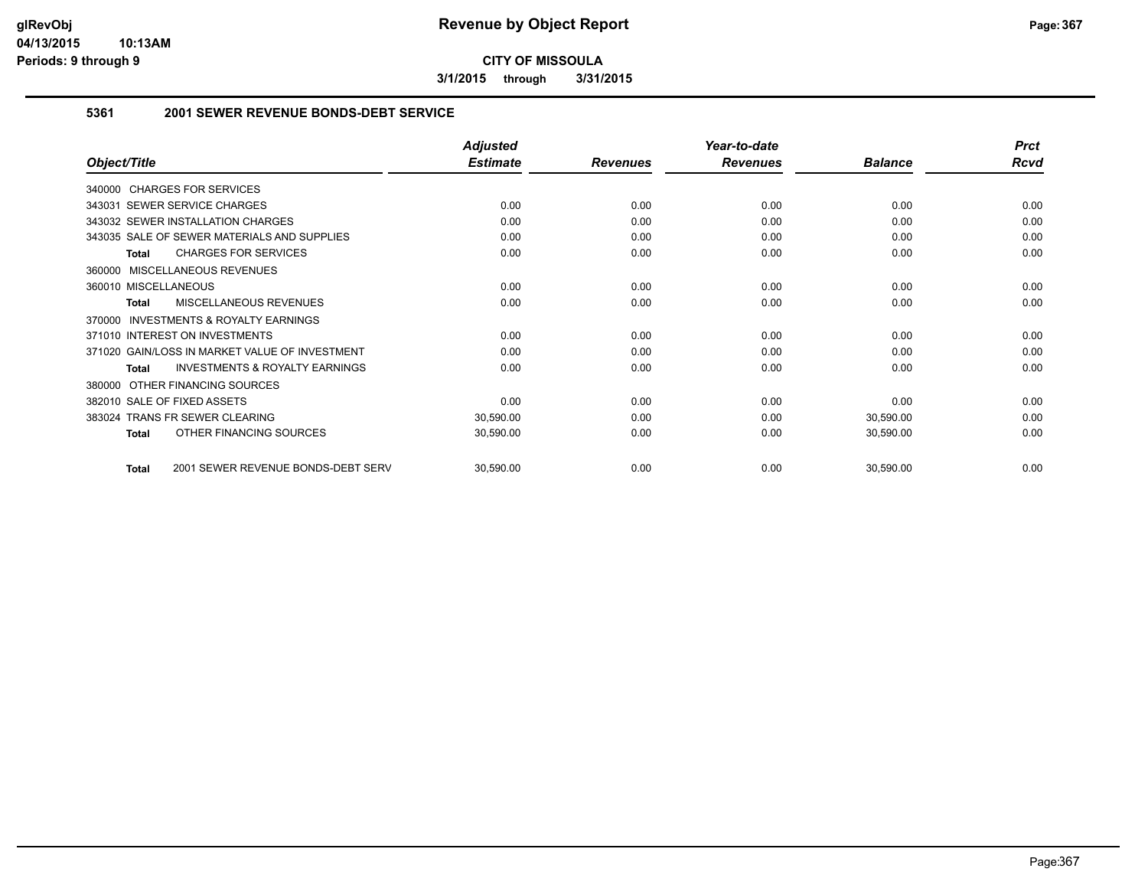**3/1/2015 through 3/31/2015**

### **5361 2001 SEWER REVENUE BONDS-DEBT SERVICE**

|                                                           | <b>Adjusted</b> |                 | Year-to-date    |                | <b>Prct</b> |
|-----------------------------------------------------------|-----------------|-----------------|-----------------|----------------|-------------|
| Object/Title                                              | <b>Estimate</b> | <b>Revenues</b> | <b>Revenues</b> | <b>Balance</b> | <b>Rcvd</b> |
| 340000 CHARGES FOR SERVICES                               |                 |                 |                 |                |             |
| SEWER SERVICE CHARGES<br>343031                           | 0.00            | 0.00            | 0.00            | 0.00           | 0.00        |
| 343032 SEWER INSTALLATION CHARGES                         | 0.00            | 0.00            | 0.00            | 0.00           | 0.00        |
| 343035 SALE OF SEWER MATERIALS AND SUPPLIES               | 0.00            | 0.00            | 0.00            | 0.00           | 0.00        |
| <b>CHARGES FOR SERVICES</b><br><b>Total</b>               | 0.00            | 0.00            | 0.00            | 0.00           | 0.00        |
| 360000 MISCELLANEOUS REVENUES                             |                 |                 |                 |                |             |
| 360010 MISCELLANEOUS                                      | 0.00            | 0.00            | 0.00            | 0.00           | 0.00        |
| MISCELLANEOUS REVENUES<br>Total                           | 0.00            | 0.00            | 0.00            | 0.00           | 0.00        |
| INVESTMENTS & ROYALTY EARNINGS<br>370000                  |                 |                 |                 |                |             |
| 371010 INTEREST ON INVESTMENTS                            | 0.00            | 0.00            | 0.00            | 0.00           | 0.00        |
| 371020 GAIN/LOSS IN MARKET VALUE OF INVESTMENT            | 0.00            | 0.00            | 0.00            | 0.00           | 0.00        |
| <b>INVESTMENTS &amp; ROYALTY EARNINGS</b><br><b>Total</b> | 0.00            | 0.00            | 0.00            | 0.00           | 0.00        |
| OTHER FINANCING SOURCES<br>380000                         |                 |                 |                 |                |             |
| 382010 SALE OF FIXED ASSETS                               | 0.00            | 0.00            | 0.00            | 0.00           | 0.00        |
| <b>TRANS FR SEWER CLEARING</b><br>383024                  | 30,590.00       | 0.00            | 0.00            | 30,590.00      | 0.00        |
| OTHER FINANCING SOURCES<br>Total                          | 30,590.00       | 0.00            | 0.00            | 30,590.00      | 0.00        |
|                                                           |                 |                 |                 |                |             |
| 2001 SEWER REVENUE BONDS-DEBT SERV<br><b>Total</b>        | 30,590.00       | 0.00            | 0.00            | 30,590.00      | 0.00        |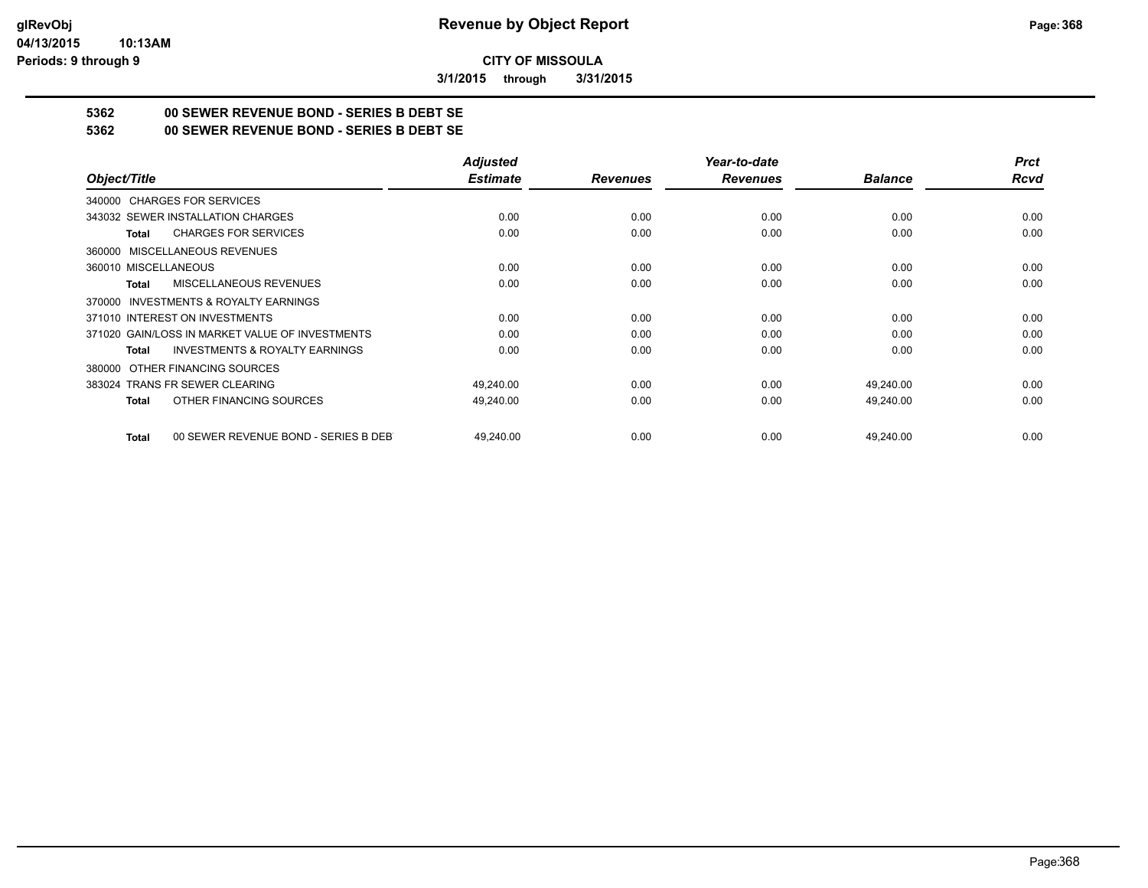**3/1/2015 through 3/31/2015**

## **5362 00 SEWER REVENUE BOND - SERIES B DEBT SE**

**5362 00 SEWER REVENUE BOND - SERIES B DEBT SE**

|                                                      | <b>Adjusted</b> |                 | Year-to-date    |                | <b>Prct</b> |
|------------------------------------------------------|-----------------|-----------------|-----------------|----------------|-------------|
| Object/Title                                         | <b>Estimate</b> | <b>Revenues</b> | <b>Revenues</b> | <b>Balance</b> | <b>Rcvd</b> |
| 340000 CHARGES FOR SERVICES                          |                 |                 |                 |                |             |
| 343032 SEWER INSTALLATION CHARGES                    | 0.00            | 0.00            | 0.00            | 0.00           | 0.00        |
| <b>CHARGES FOR SERVICES</b><br>Total                 | 0.00            | 0.00            | 0.00            | 0.00           | 0.00        |
| 360000 MISCELLANEOUS REVENUES                        |                 |                 |                 |                |             |
| 360010 MISCELLANEOUS                                 | 0.00            | 0.00            | 0.00            | 0.00           | 0.00        |
| <b>MISCELLANEOUS REVENUES</b><br>Total               | 0.00            | 0.00            | 0.00            | 0.00           | 0.00        |
| 370000 INVESTMENTS & ROYALTY EARNINGS                |                 |                 |                 |                |             |
| 371010 INTEREST ON INVESTMENTS                       | 0.00            | 0.00            | 0.00            | 0.00           | 0.00        |
| 371020 GAIN/LOSS IN MARKET VALUE OF INVESTMENTS      | 0.00            | 0.00            | 0.00            | 0.00           | 0.00        |
| <b>INVESTMENTS &amp; ROYALTY EARNINGS</b><br>Total   | 0.00            | 0.00            | 0.00            | 0.00           | 0.00        |
| OTHER FINANCING SOURCES<br>380000                    |                 |                 |                 |                |             |
| 383024 TRANS FR SEWER CLEARING                       | 49,240.00       | 0.00            | 0.00            | 49,240.00      | 0.00        |
| OTHER FINANCING SOURCES<br><b>Total</b>              | 49,240.00       | 0.00            | 0.00            | 49,240.00      | 0.00        |
| 00 SEWER REVENUE BOND - SERIES B DEB<br><b>Total</b> | 49.240.00       | 0.00            | 0.00            | 49,240.00      | 0.00        |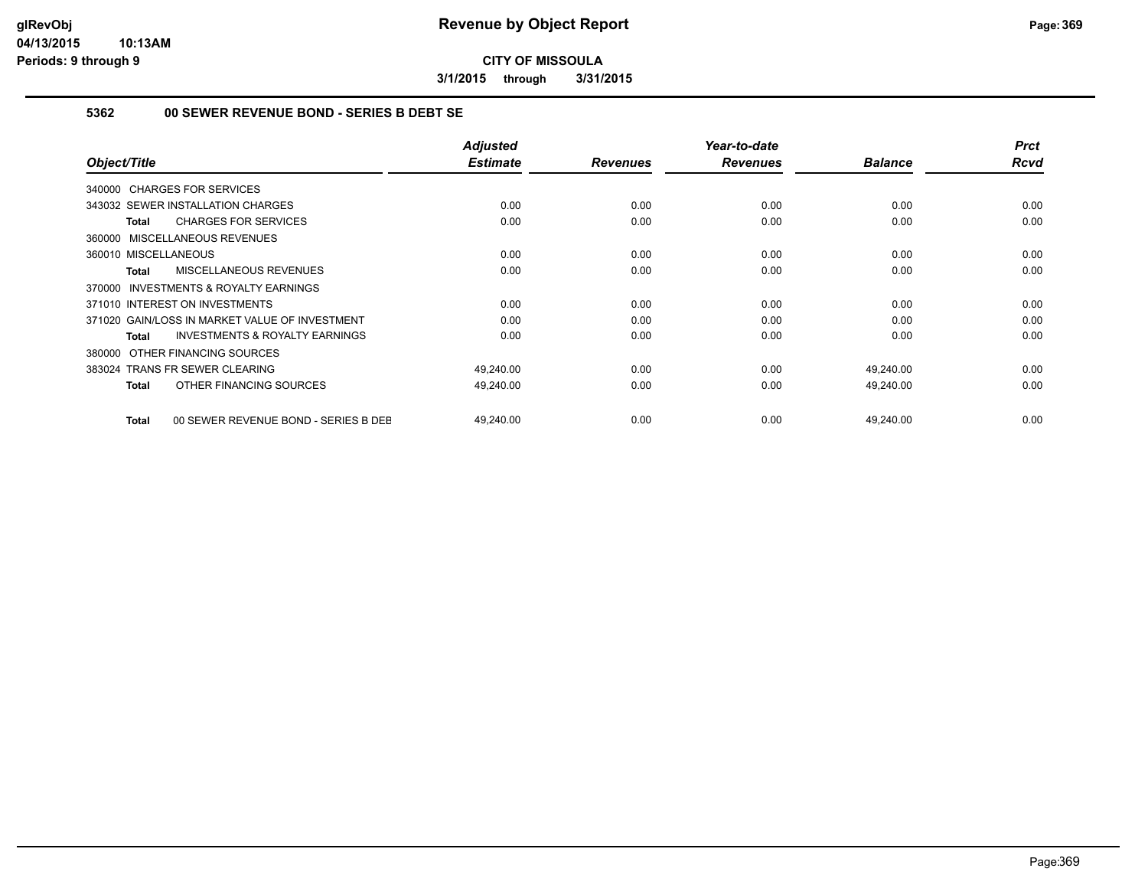**3/1/2015 through 3/31/2015**

### **5362 00 SEWER REVENUE BOND - SERIES B DEBT SE**

| Object/Title                                              |                                      | <b>Adjusted</b><br><b>Estimate</b> | <b>Revenues</b> | Year-to-date<br><b>Revenues</b> | <b>Balance</b> | <b>Prct</b><br><b>Rcvd</b> |
|-----------------------------------------------------------|--------------------------------------|------------------------------------|-----------------|---------------------------------|----------------|----------------------------|
| 340000 CHARGES FOR SERVICES                               |                                      |                                    |                 |                                 |                |                            |
| 343032 SEWER INSTALLATION CHARGES                         |                                      | 0.00                               | 0.00            | 0.00                            | 0.00           | 0.00                       |
| <b>CHARGES FOR SERVICES</b><br>Total                      |                                      | 0.00                               | 0.00            | 0.00                            | 0.00           | 0.00                       |
| 360000 MISCELLANEOUS REVENUES                             |                                      |                                    |                 |                                 |                |                            |
| 360010 MISCELLANEOUS                                      |                                      | 0.00                               | 0.00            | 0.00                            | 0.00           | 0.00                       |
| MISCELLANEOUS REVENUES<br><b>Total</b>                    |                                      | 0.00                               | 0.00            | 0.00                            | 0.00           | 0.00                       |
| <b>INVESTMENTS &amp; ROYALTY EARNINGS</b><br>370000       |                                      |                                    |                 |                                 |                |                            |
| 371010 INTEREST ON INVESTMENTS                            |                                      | 0.00                               | 0.00            | 0.00                            | 0.00           | 0.00                       |
| 371020 GAIN/LOSS IN MARKET VALUE OF INVESTMENT            |                                      | 0.00                               | 0.00            | 0.00                            | 0.00           | 0.00                       |
| <b>INVESTMENTS &amp; ROYALTY EARNINGS</b><br><b>Total</b> |                                      | 0.00                               | 0.00            | 0.00                            | 0.00           | 0.00                       |
| OTHER FINANCING SOURCES<br>380000                         |                                      |                                    |                 |                                 |                |                            |
| 383024 TRANS FR SEWER CLEARING                            |                                      | 49,240.00                          | 0.00            | 0.00                            | 49,240.00      | 0.00                       |
| OTHER FINANCING SOURCES<br><b>Total</b>                   |                                      | 49,240.00                          | 0.00            | 0.00                            | 49,240.00      | 0.00                       |
| <b>Total</b>                                              | 00 SEWER REVENUE BOND - SERIES B DEE | 49,240.00                          | 0.00            | 0.00                            | 49,240.00      | 0.00                       |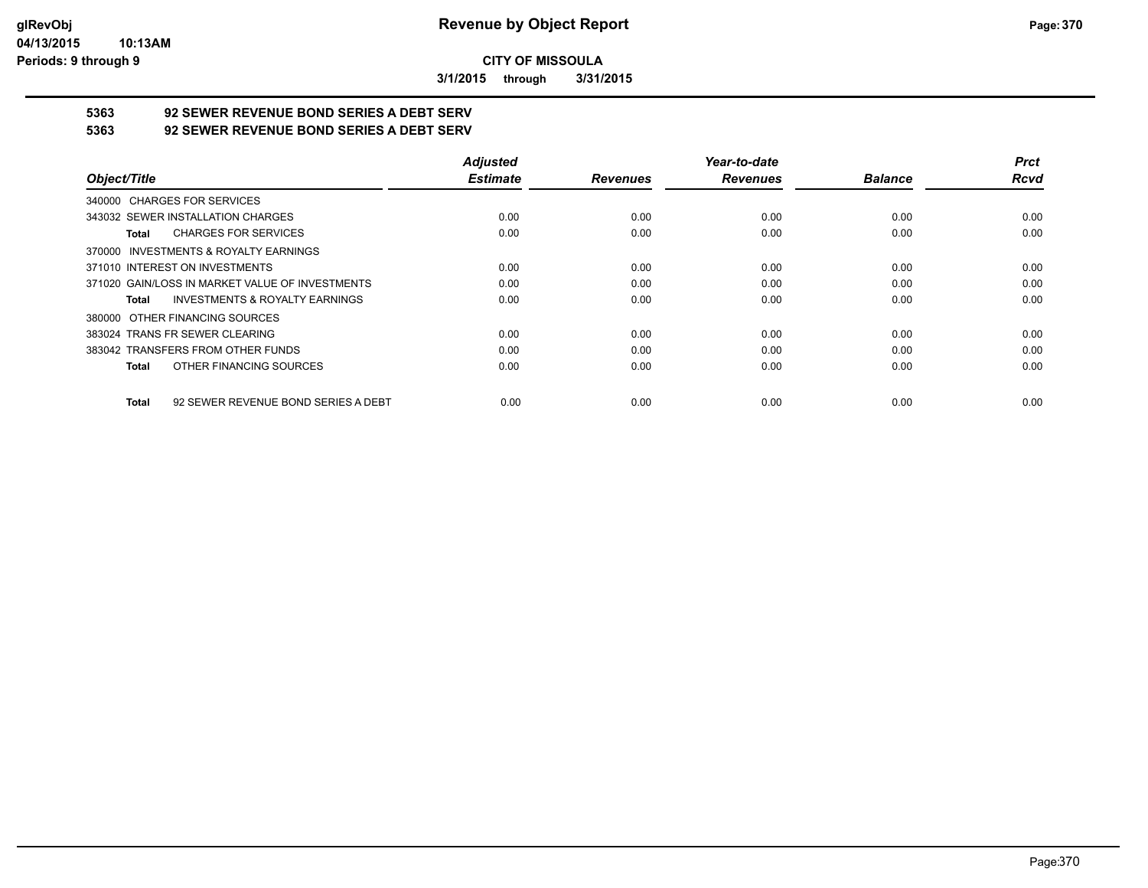**3/1/2015 through 3/31/2015**

# **5363 92 SEWER REVENUE BOND SERIES A DEBT SERV**

**5363 92 SEWER REVENUE BOND SERIES A DEBT SERV**

|                                                     | <b>Adjusted</b> |                 | Year-to-date    |                | <b>Prct</b> |
|-----------------------------------------------------|-----------------|-----------------|-----------------|----------------|-------------|
| Object/Title                                        | <b>Estimate</b> | <b>Revenues</b> | <b>Revenues</b> | <b>Balance</b> | <b>Rcvd</b> |
| 340000 CHARGES FOR SERVICES                         |                 |                 |                 |                |             |
| 343032 SEWER INSTALLATION CHARGES                   | 0.00            | 0.00            | 0.00            | 0.00           | 0.00        |
| <b>CHARGES FOR SERVICES</b><br>Total                | 0.00            | 0.00            | 0.00            | 0.00           | 0.00        |
| INVESTMENTS & ROYALTY EARNINGS<br>370000            |                 |                 |                 |                |             |
| 371010 INTEREST ON INVESTMENTS                      | 0.00            | 0.00            | 0.00            | 0.00           | 0.00        |
| 371020 GAIN/LOSS IN MARKET VALUE OF INVESTMENTS     | 0.00            | 0.00            | 0.00            | 0.00           | 0.00        |
| <b>INVESTMENTS &amp; ROYALTY EARNINGS</b><br>Total  | 0.00            | 0.00            | 0.00            | 0.00           | 0.00        |
| OTHER FINANCING SOURCES<br>380000                   |                 |                 |                 |                |             |
| 383024 TRANS FR SEWER CLEARING                      | 0.00            | 0.00            | 0.00            | 0.00           | 0.00        |
| 383042 TRANSFERS FROM OTHER FUNDS                   | 0.00            | 0.00            | 0.00            | 0.00           | 0.00        |
| OTHER FINANCING SOURCES<br>Total                    | 0.00            | 0.00            | 0.00            | 0.00           | 0.00        |
| 92 SEWER REVENUE BOND SERIES A DEBT<br><b>Total</b> | 0.00            | 0.00            | 0.00            | 0.00           | 0.00        |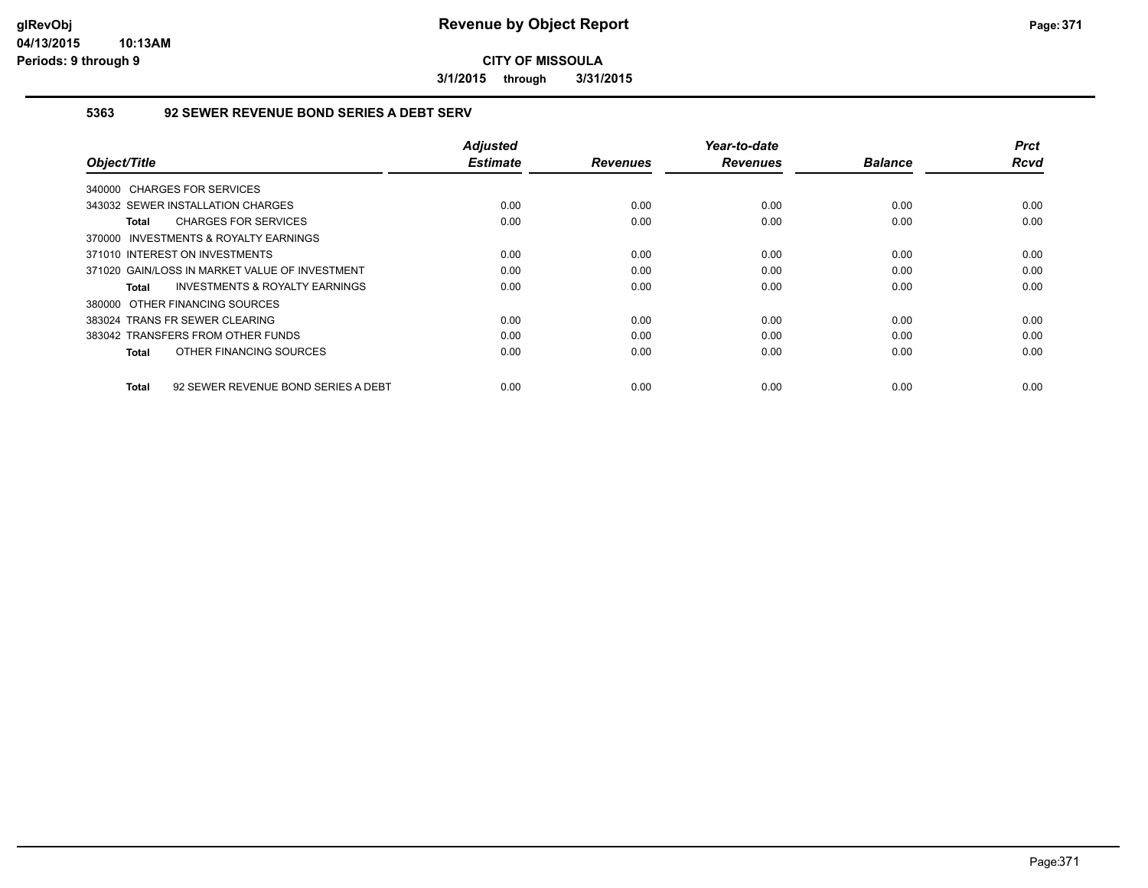**3/1/2015 through 3/31/2015**

### **5363 92 SEWER REVENUE BOND SERIES A DEBT SERV**

| Object/Title                                        | <b>Adjusted</b><br><b>Estimate</b> | <b>Revenues</b> | Year-to-date<br><b>Revenues</b> | <b>Balance</b> | <b>Prct</b><br>Rcvd |
|-----------------------------------------------------|------------------------------------|-----------------|---------------------------------|----------------|---------------------|
| 340000 CHARGES FOR SERVICES                         |                                    |                 |                                 |                |                     |
| 343032 SEWER INSTALLATION CHARGES                   | 0.00                               | 0.00            | 0.00                            | 0.00           | 0.00                |
| <b>CHARGES FOR SERVICES</b><br>Total                | 0.00                               | 0.00            | 0.00                            | 0.00           | 0.00                |
| INVESTMENTS & ROYALTY EARNINGS<br>370000            |                                    |                 |                                 |                |                     |
| 371010 INTEREST ON INVESTMENTS                      | 0.00                               | 0.00            | 0.00                            | 0.00           | 0.00                |
| 371020 GAIN/LOSS IN MARKET VALUE OF INVESTMENT      | 0.00                               | 0.00            | 0.00                            | 0.00           | 0.00                |
| INVESTMENTS & ROYALTY EARNINGS<br>Total             | 0.00                               | 0.00            | 0.00                            | 0.00           | 0.00                |
| 380000 OTHER FINANCING SOURCES                      |                                    |                 |                                 |                |                     |
| 383024 TRANS FR SEWER CLEARING                      | 0.00                               | 0.00            | 0.00                            | 0.00           | 0.00                |
| 383042 TRANSFERS FROM OTHER FUNDS                   | 0.00                               | 0.00            | 0.00                            | 0.00           | 0.00                |
| OTHER FINANCING SOURCES<br><b>Total</b>             | 0.00                               | 0.00            | 0.00                            | 0.00           | 0.00                |
| 92 SEWER REVENUE BOND SERIES A DEBT<br><b>Total</b> | 0.00                               | 0.00            | 0.00                            | 0.00           | 0.00                |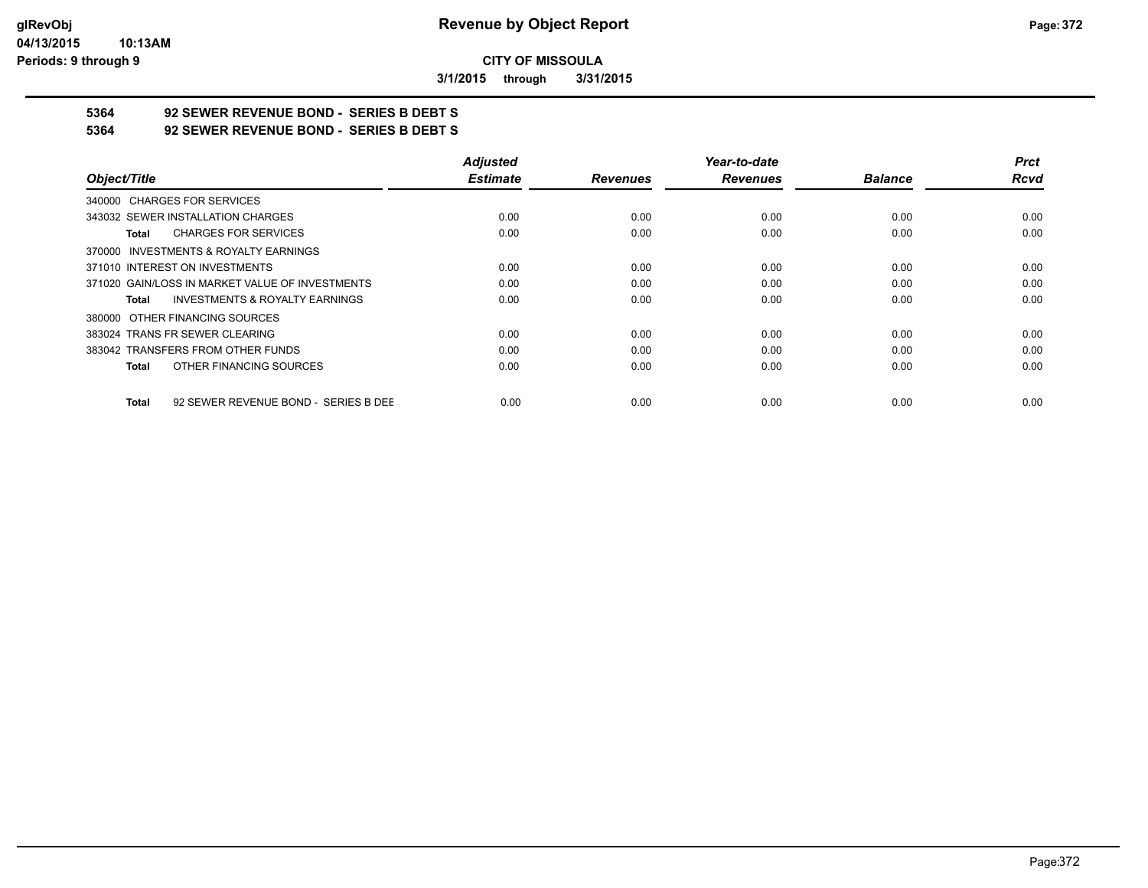**3/1/2015 through 3/31/2015**

# **5364 92 SEWER REVENUE BOND - SERIES B DEBT S**

**5364 92 SEWER REVENUE BOND - SERIES B DEBT S**

|                                                           | <b>Adjusted</b> |                 | Year-to-date    |                | <b>Prct</b> |
|-----------------------------------------------------------|-----------------|-----------------|-----------------|----------------|-------------|
| Object/Title                                              | <b>Estimate</b> | <b>Revenues</b> | <b>Revenues</b> | <b>Balance</b> | <b>Rcvd</b> |
| 340000 CHARGES FOR SERVICES                               |                 |                 |                 |                |             |
| 343032 SEWER INSTALLATION CHARGES                         | 0.00            | 0.00            | 0.00            | 0.00           | 0.00        |
| <b>CHARGES FOR SERVICES</b><br>Total                      | 0.00            | 0.00            | 0.00            | 0.00           | 0.00        |
| 370000 INVESTMENTS & ROYALTY EARNINGS                     |                 |                 |                 |                |             |
| 371010 INTEREST ON INVESTMENTS                            | 0.00            | 0.00            | 0.00            | 0.00           | 0.00        |
| 371020 GAIN/LOSS IN MARKET VALUE OF INVESTMENTS           | 0.00            | 0.00            | 0.00            | 0.00           | 0.00        |
| <b>INVESTMENTS &amp; ROYALTY EARNINGS</b><br><b>Total</b> | 0.00            | 0.00            | 0.00            | 0.00           | 0.00        |
| 380000 OTHER FINANCING SOURCES                            |                 |                 |                 |                |             |
| 383024 TRANS FR SEWER CLEARING                            | 0.00            | 0.00            | 0.00            | 0.00           | 0.00        |
| 383042 TRANSFERS FROM OTHER FUNDS                         | 0.00            | 0.00            | 0.00            | 0.00           | 0.00        |
| OTHER FINANCING SOURCES<br><b>Total</b>                   | 0.00            | 0.00            | 0.00            | 0.00           | 0.00        |
| 92 SEWER REVENUE BOND - SERIES B DEE<br><b>Total</b>      | 0.00            | 0.00            | 0.00            | 0.00           | 0.00        |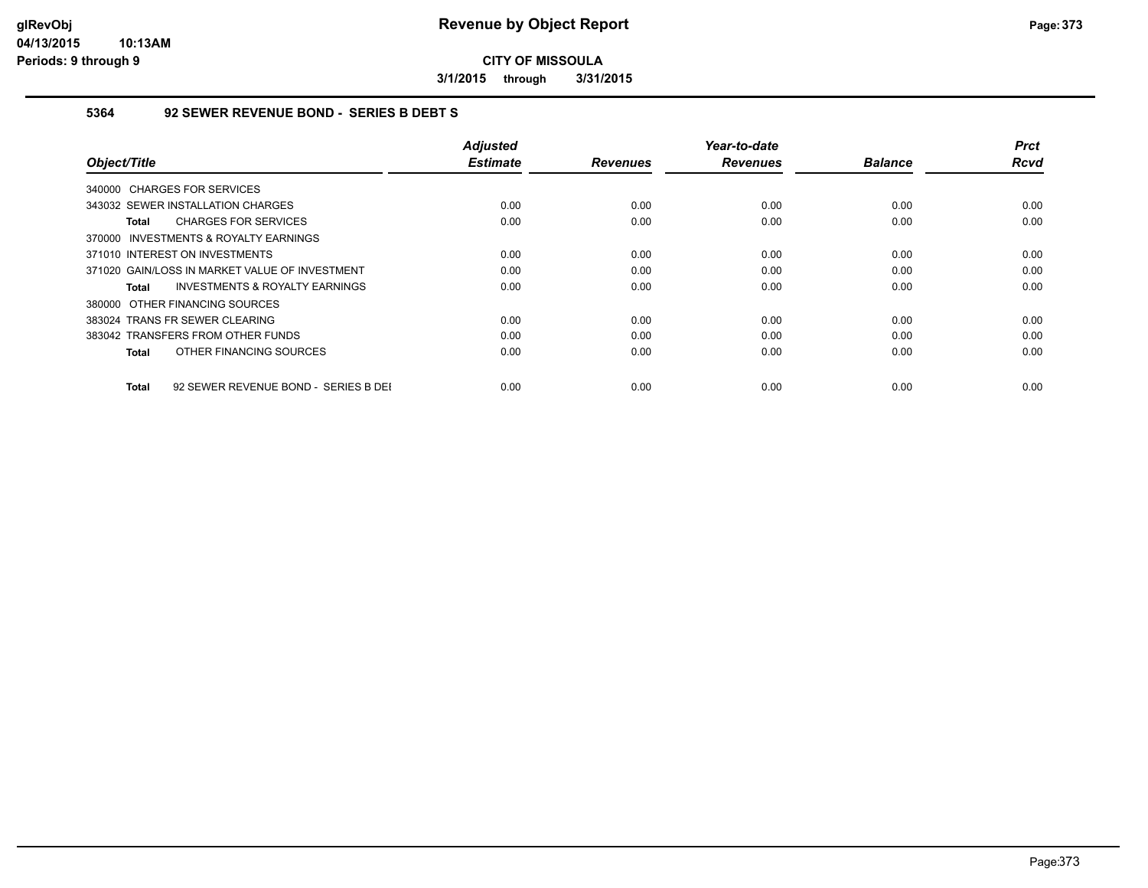**3/1/2015 through 3/31/2015**

### **5364 92 SEWER REVENUE BOND - SERIES B DEBT S**

| Object/Title                                         | <b>Adjusted</b><br><b>Estimate</b> | <b>Revenues</b> | Year-to-date<br><b>Revenues</b> | <b>Balance</b> | <b>Prct</b><br>Rcvd |
|------------------------------------------------------|------------------------------------|-----------------|---------------------------------|----------------|---------------------|
| 340000 CHARGES FOR SERVICES                          |                                    |                 |                                 |                |                     |
| 343032 SEWER INSTALLATION CHARGES                    | 0.00                               | 0.00            | 0.00                            | 0.00           | 0.00                |
| <b>CHARGES FOR SERVICES</b><br>Total                 | 0.00                               | 0.00            | 0.00                            | 0.00           | 0.00                |
| 370000 INVESTMENTS & ROYALTY EARNINGS                |                                    |                 |                                 |                |                     |
| 371010 INTEREST ON INVESTMENTS                       | 0.00                               | 0.00            | 0.00                            | 0.00           | 0.00                |
| 371020 GAIN/LOSS IN MARKET VALUE OF INVESTMENT       | 0.00                               | 0.00            | 0.00                            | 0.00           | 0.00                |
| <b>INVESTMENTS &amp; ROYALTY EARNINGS</b><br>Total   | 0.00                               | 0.00            | 0.00                            | 0.00           | 0.00                |
| 380000 OTHER FINANCING SOURCES                       |                                    |                 |                                 |                |                     |
| 383024 TRANS FR SEWER CLEARING                       | 0.00                               | 0.00            | 0.00                            | 0.00           | 0.00                |
| 383042 TRANSFERS FROM OTHER FUNDS                    | 0.00                               | 0.00            | 0.00                            | 0.00           | 0.00                |
| OTHER FINANCING SOURCES<br>Total                     | 0.00                               | 0.00            | 0.00                            | 0.00           | 0.00                |
| 92 SEWER REVENUE BOND - SERIES B DEI<br><b>Total</b> | 0.00                               | 0.00            | 0.00                            | 0.00           | 0.00                |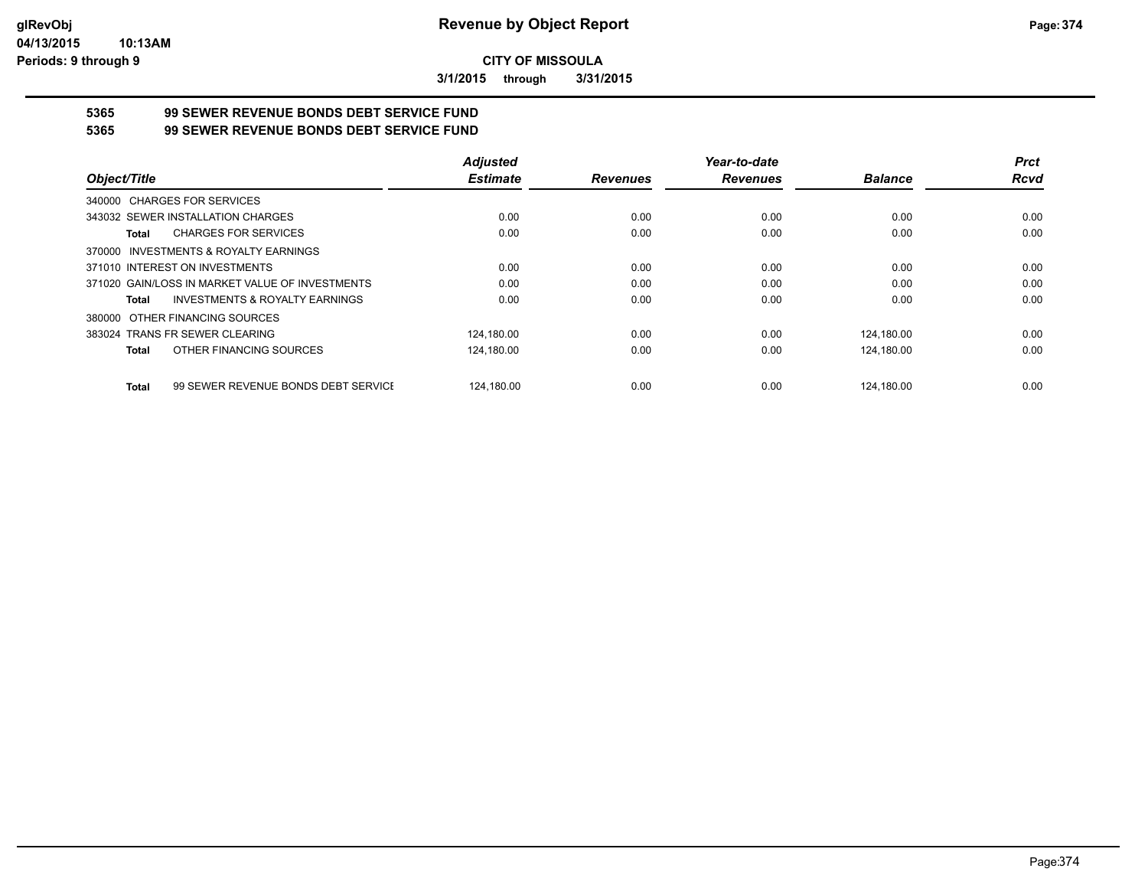**3/1/2015 through 3/31/2015**

# **5365 99 SEWER REVENUE BONDS DEBT SERVICE FUND**

**5365 99 SEWER REVENUE BONDS DEBT SERVICE FUND**

|                                                     | <b>Adjusted</b> |                 | Year-to-date    |                | <b>Prct</b> |
|-----------------------------------------------------|-----------------|-----------------|-----------------|----------------|-------------|
| Object/Title                                        | <b>Estimate</b> | <b>Revenues</b> | <b>Revenues</b> | <b>Balance</b> | <b>Rcvd</b> |
| 340000 CHARGES FOR SERVICES                         |                 |                 |                 |                |             |
| 343032 SEWER INSTALLATION CHARGES                   | 0.00            | 0.00            | 0.00            | 0.00           | 0.00        |
| <b>CHARGES FOR SERVICES</b><br>Total                | 0.00            | 0.00            | 0.00            | 0.00           | 0.00        |
| 370000 INVESTMENTS & ROYALTY EARNINGS               |                 |                 |                 |                |             |
| 371010 INTEREST ON INVESTMENTS                      | 0.00            | 0.00            | 0.00            | 0.00           | 0.00        |
| 371020 GAIN/LOSS IN MARKET VALUE OF INVESTMENTS     | 0.00            | 0.00            | 0.00            | 0.00           | 0.00        |
| <b>INVESTMENTS &amp; ROYALTY EARNINGS</b><br>Total  | 0.00            | 0.00            | 0.00            | 0.00           | 0.00        |
| 380000 OTHER FINANCING SOURCES                      |                 |                 |                 |                |             |
| 383024 TRANS FR SEWER CLEARING                      | 124.180.00      | 0.00            | 0.00            | 124.180.00     | 0.00        |
| OTHER FINANCING SOURCES<br><b>Total</b>             | 124.180.00      | 0.00            | 0.00            | 124.180.00     | 0.00        |
| 99 SEWER REVENUE BONDS DEBT SERVICE<br><b>Total</b> | 124.180.00      | 0.00            | 0.00            | 124.180.00     | 0.00        |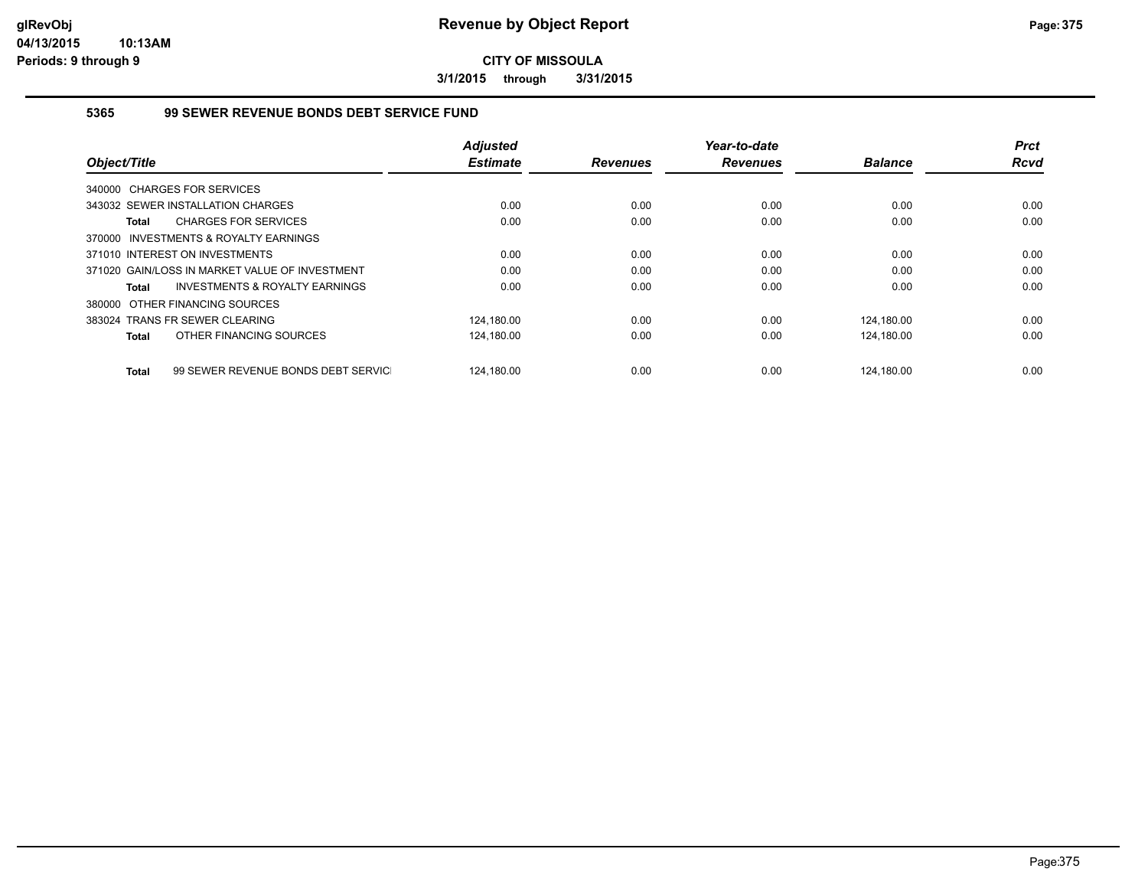**3/1/2015 through 3/31/2015**

### **5365 99 SEWER REVENUE BONDS DEBT SERVICE FUND**

| Object/Title                                       | <b>Adjusted</b><br><b>Estimate</b> | <b>Revenues</b> | Year-to-date<br><b>Revenues</b> | <b>Balance</b> | <b>Prct</b><br><b>Rcvd</b> |
|----------------------------------------------------|------------------------------------|-----------------|---------------------------------|----------------|----------------------------|
|                                                    |                                    |                 |                                 |                |                            |
| 340000 CHARGES FOR SERVICES                        |                                    |                 |                                 |                |                            |
| 343032 SEWER INSTALLATION CHARGES                  | 0.00                               | 0.00            | 0.00                            | 0.00           | 0.00                       |
| <b>CHARGES FOR SERVICES</b><br><b>Total</b>        | 0.00                               | 0.00            | 0.00                            | 0.00           | 0.00                       |
| 370000 INVESTMENTS & ROYALTY EARNINGS              |                                    |                 |                                 |                |                            |
| 371010 INTEREST ON INVESTMENTS                     | 0.00                               | 0.00            | 0.00                            | 0.00           | 0.00                       |
| 371020 GAIN/LOSS IN MARKET VALUE OF INVESTMENT     | 0.00                               | 0.00            | 0.00                            | 0.00           | 0.00                       |
| <b>INVESTMENTS &amp; ROYALTY EARNINGS</b><br>Total | 0.00                               | 0.00            | 0.00                            | 0.00           | 0.00                       |
| 380000 OTHER FINANCING SOURCES                     |                                    |                 |                                 |                |                            |
| 383024 TRANS FR SEWER CLEARING                     | 124,180.00                         | 0.00            | 0.00                            | 124,180.00     | 0.00                       |
| OTHER FINANCING SOURCES<br><b>Total</b>            | 124,180.00                         | 0.00            | 0.00                            | 124,180.00     | 0.00                       |
| 99 SEWER REVENUE BONDS DEBT SERVIC<br><b>Total</b> | 124.180.00                         | 0.00            | 0.00                            | 124.180.00     | 0.00                       |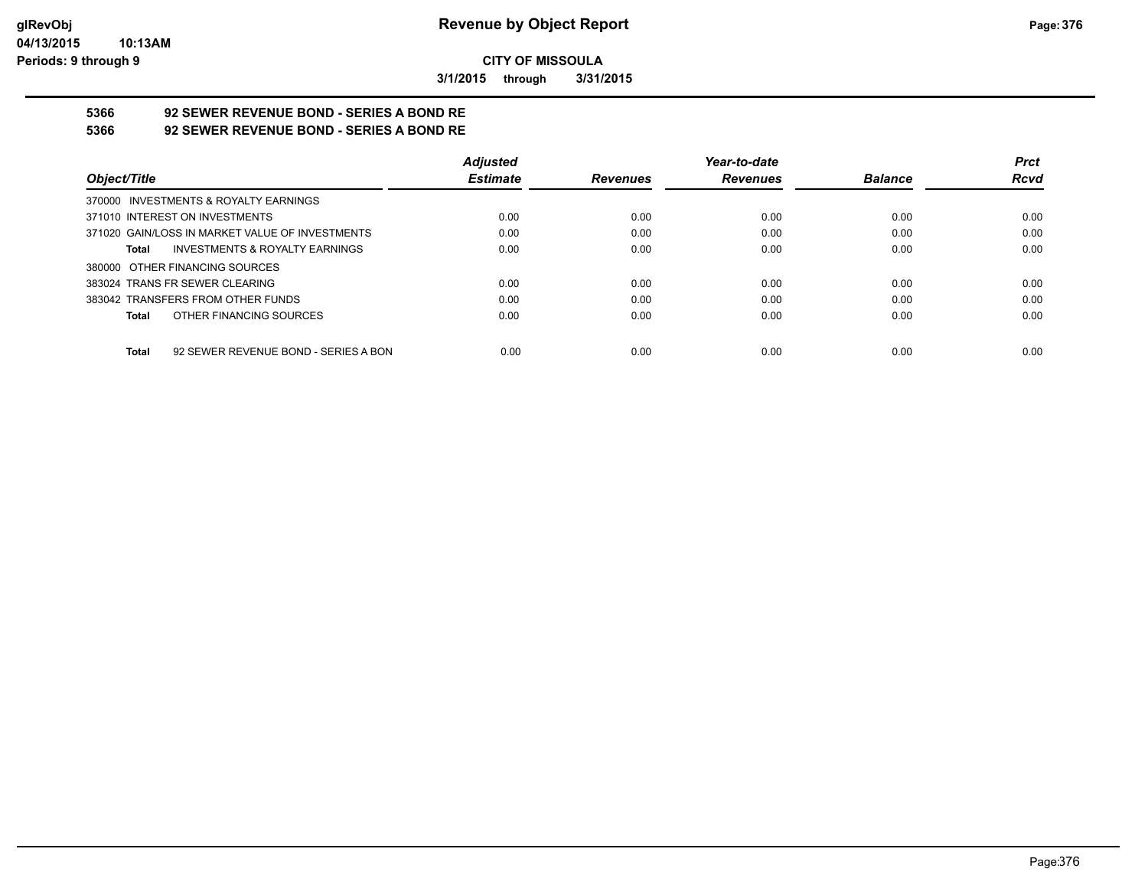**3/1/2015 through 3/31/2015**

# **5366 92 SEWER REVENUE BOND - SERIES A BOND RE**

**5366 92 SEWER REVENUE BOND - SERIES A BOND RE**

|                                                      | <b>Adjusted</b> |                 | Year-to-date    |                | <b>Prct</b> |
|------------------------------------------------------|-----------------|-----------------|-----------------|----------------|-------------|
| Object/Title                                         | <b>Estimate</b> | <b>Revenues</b> | <b>Revenues</b> | <b>Balance</b> | <b>Rcvd</b> |
| 370000 INVESTMENTS & ROYALTY EARNINGS                |                 |                 |                 |                |             |
| 371010 INTEREST ON INVESTMENTS                       | 0.00            | 0.00            | 0.00            | 0.00           | 0.00        |
| 371020 GAIN/LOSS IN MARKET VALUE OF INVESTMENTS      | 0.00            | 0.00            | 0.00            | 0.00           | 0.00        |
| INVESTMENTS & ROYALTY EARNINGS<br>Total              | 0.00            | 0.00            | 0.00            | 0.00           | 0.00        |
| 380000 OTHER FINANCING SOURCES                       |                 |                 |                 |                |             |
| 383024 TRANS FR SEWER CLEARING                       | 0.00            | 0.00            | 0.00            | 0.00           | 0.00        |
| 383042 TRANSFERS FROM OTHER FUNDS                    | 0.00            | 0.00            | 0.00            | 0.00           | 0.00        |
| OTHER FINANCING SOURCES<br>Total                     | 0.00            | 0.00            | 0.00            | 0.00           | 0.00        |
| 92 SEWER REVENUE BOND - SERIES A BON<br><b>Total</b> | 0.00            | 0.00            | 0.00            | 0.00           | 0.00        |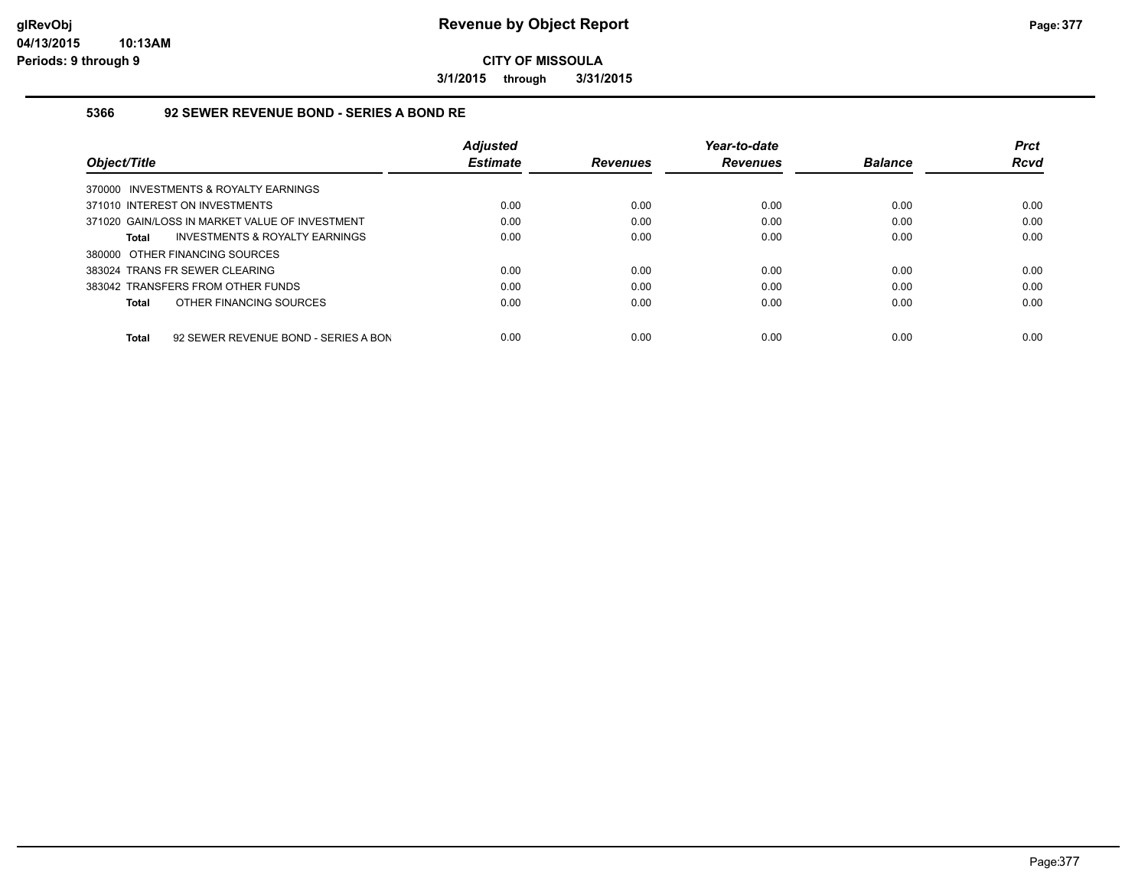**3/1/2015 through 3/31/2015**

### **5366 92 SEWER REVENUE BOND - SERIES A BOND RE**

|                                                      | <b>Adiusted</b> |                 | Year-to-date    |                | <b>Prct</b> |
|------------------------------------------------------|-----------------|-----------------|-----------------|----------------|-------------|
| Object/Title                                         | <b>Estimate</b> | <b>Revenues</b> | <b>Revenues</b> | <b>Balance</b> | Rcvd        |
| 370000 INVESTMENTS & ROYALTY EARNINGS                |                 |                 |                 |                |             |
| 371010 INTEREST ON INVESTMENTS                       | 0.00            | 0.00            | 0.00            | 0.00           | 0.00        |
| 371020 GAIN/LOSS IN MARKET VALUE OF INVESTMENT       | 0.00            | 0.00            | 0.00            | 0.00           | 0.00        |
| <b>INVESTMENTS &amp; ROYALTY EARNINGS</b><br>Total   | 0.00            | 0.00            | 0.00            | 0.00           | 0.00        |
| 380000 OTHER FINANCING SOURCES                       |                 |                 |                 |                |             |
| 383024 TRANS FR SEWER CLEARING                       | 0.00            | 0.00            | 0.00            | 0.00           | 0.00        |
| 383042 TRANSFERS FROM OTHER FUNDS                    | 0.00            | 0.00            | 0.00            | 0.00           | 0.00        |
| OTHER FINANCING SOURCES<br><b>Total</b>              | 0.00            | 0.00            | 0.00            | 0.00           | 0.00        |
|                                                      |                 |                 |                 |                |             |
| 92 SEWER REVENUE BOND - SERIES A BON<br><b>Total</b> | 0.00            | 0.00            | 0.00            | 0.00           | 0.00        |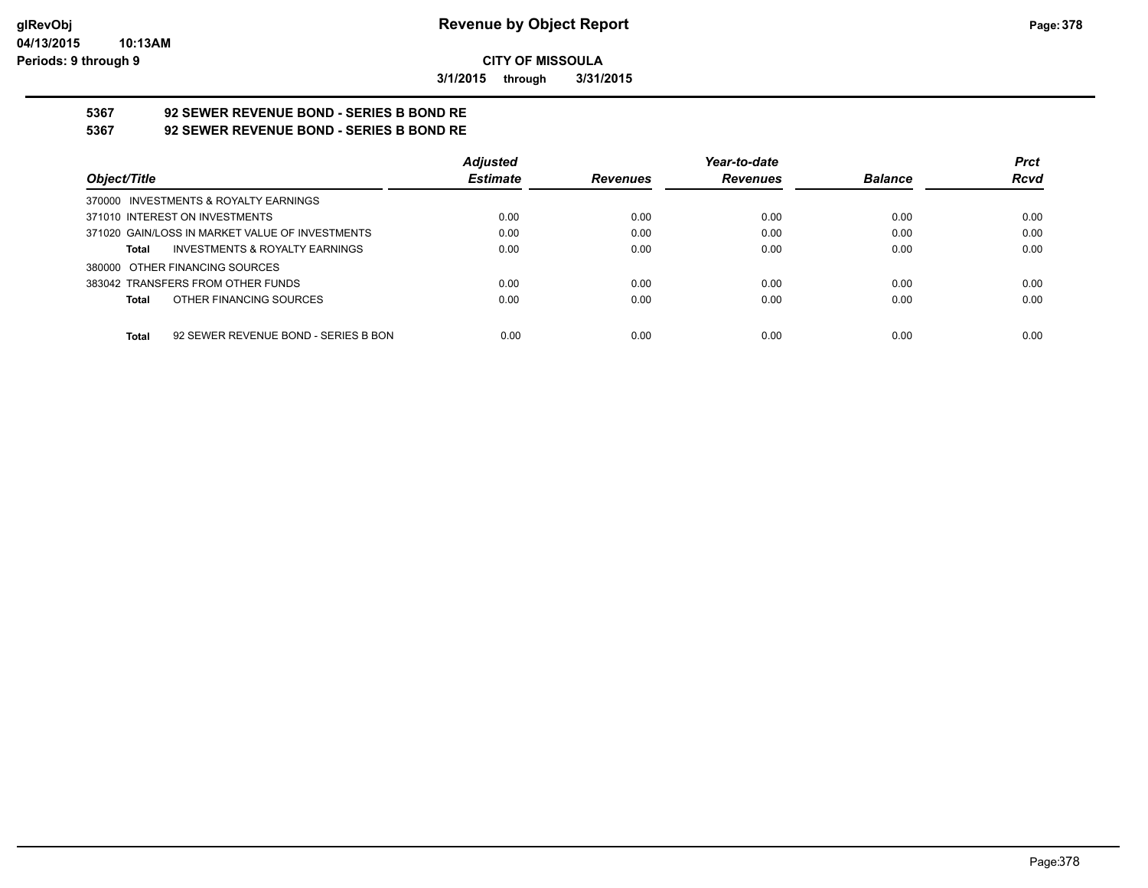**3/1/2015 through 3/31/2015**

# **5367 92 SEWER REVENUE BOND - SERIES B BOND RE**

**5367 92 SEWER REVENUE BOND - SERIES B BOND RE**

|                                                 | <b>Adjusted</b> |                 | Year-to-date    |                | <b>Prct</b> |
|-------------------------------------------------|-----------------|-----------------|-----------------|----------------|-------------|
| Object/Title                                    | <b>Estimate</b> | <b>Revenues</b> | <b>Revenues</b> | <b>Balance</b> | <b>Rcvd</b> |
| 370000 INVESTMENTS & ROYALTY EARNINGS           |                 |                 |                 |                |             |
| 371010 INTEREST ON INVESTMENTS                  | 0.00            | 0.00            | 0.00            | 0.00           | 0.00        |
| 371020 GAIN/LOSS IN MARKET VALUE OF INVESTMENTS | 0.00            | 0.00            | 0.00            | 0.00           | 0.00        |
| INVESTMENTS & ROYALTY EARNINGS<br>Total         | 0.00            | 0.00            | 0.00            | 0.00           | 0.00        |
| 380000 OTHER FINANCING SOURCES                  |                 |                 |                 |                |             |
| 383042 TRANSFERS FROM OTHER FUNDS               | 0.00            | 0.00            | 0.00            | 0.00           | 0.00        |
| OTHER FINANCING SOURCES<br>Total                | 0.00            | 0.00            | 0.00            | 0.00           | 0.00        |
|                                                 |                 |                 |                 |                |             |
| 92 SEWER REVENUE BOND - SERIES B BON<br>Total   | 0.00            | 0.00            | 0.00            | 0.00           | 0.00        |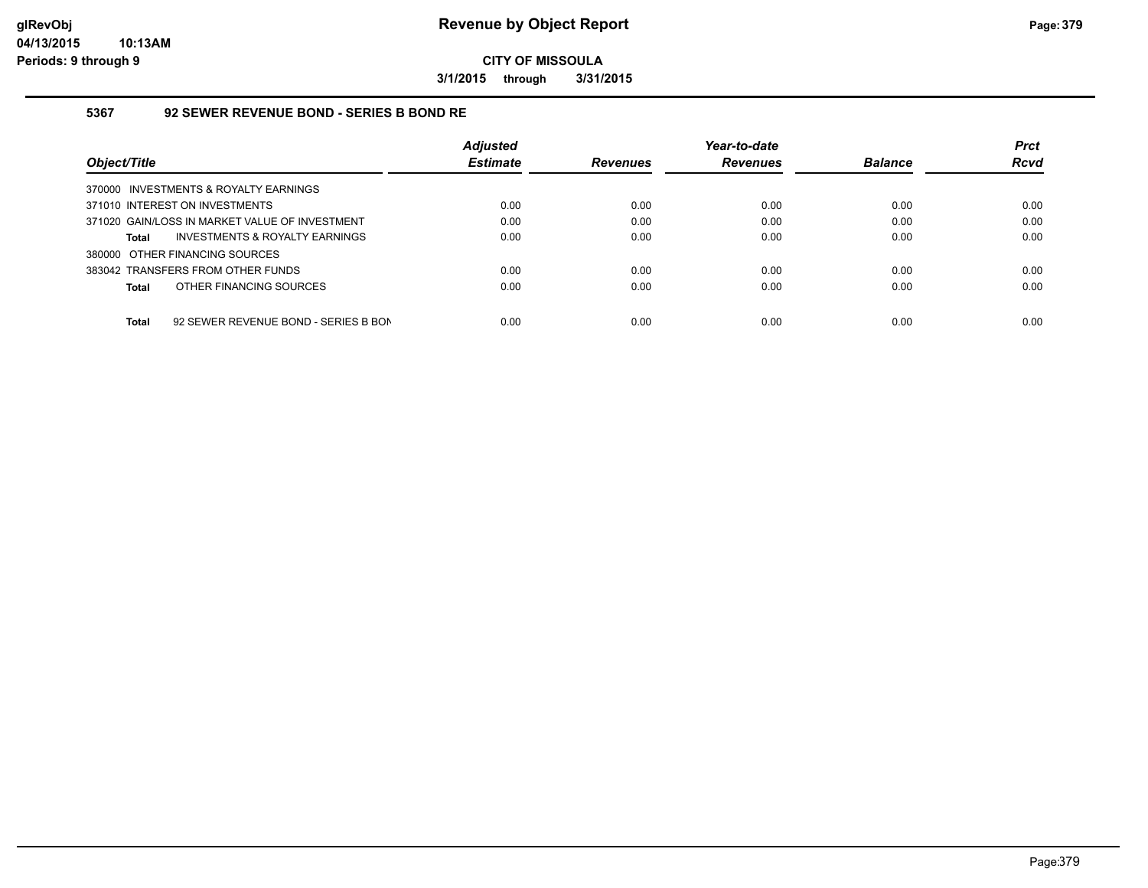**3/1/2015 through 3/31/2015**

### **5367 92 SEWER REVENUE BOND - SERIES B BOND RE**

|                                                      | <b>Adjusted</b> |                 | Year-to-date    |                | <b>Prct</b> |
|------------------------------------------------------|-----------------|-----------------|-----------------|----------------|-------------|
| Object/Title                                         | <b>Estimate</b> | <b>Revenues</b> | <b>Revenues</b> | <b>Balance</b> | <b>Rcvd</b> |
| 370000 INVESTMENTS & ROYALTY EARNINGS                |                 |                 |                 |                |             |
| 371010 INTEREST ON INVESTMENTS                       | 0.00            | 0.00            | 0.00            | 0.00           | 0.00        |
| 371020 GAIN/LOSS IN MARKET VALUE OF INVESTMENT       | 0.00            | 0.00            | 0.00            | 0.00           | 0.00        |
| INVESTMENTS & ROYALTY EARNINGS<br><b>Total</b>       | 0.00            | 0.00            | 0.00            | 0.00           | 0.00        |
| 380000 OTHER FINANCING SOURCES                       |                 |                 |                 |                |             |
| 383042 TRANSFERS FROM OTHER FUNDS                    | 0.00            | 0.00            | 0.00            | 0.00           | 0.00        |
| OTHER FINANCING SOURCES<br><b>Total</b>              | 0.00            | 0.00            | 0.00            | 0.00           | 0.00        |
|                                                      |                 |                 |                 |                |             |
| 92 SEWER REVENUE BOND - SERIES B BON<br><b>Total</b> | 0.00            | 0.00            | 0.00            | 0.00           | 0.00        |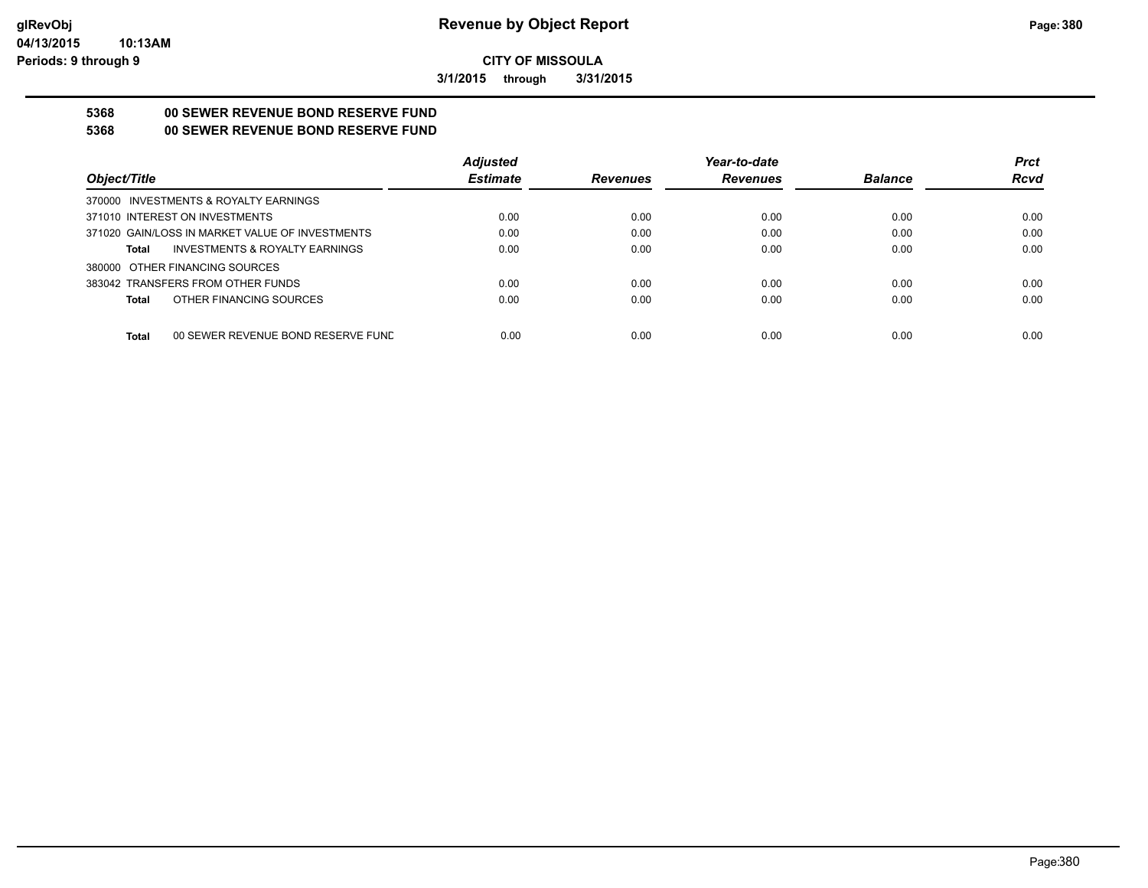**3/1/2015 through 3/31/2015**

## **5368 00 SEWER REVENUE BOND RESERVE FUND**

### **5368 00 SEWER REVENUE BOND RESERVE FUND**

|                                                    | <b>Adjusted</b> |                 | Year-to-date    |                | <b>Prct</b> |
|----------------------------------------------------|-----------------|-----------------|-----------------|----------------|-------------|
| Object/Title                                       | <b>Estimate</b> | <b>Revenues</b> | <b>Revenues</b> | <b>Balance</b> | <b>Rcvd</b> |
| 370000 INVESTMENTS & ROYALTY EARNINGS              |                 |                 |                 |                |             |
| 371010 INTEREST ON INVESTMENTS                     | 0.00            | 0.00            | 0.00            | 0.00           | 0.00        |
| 371020 GAIN/LOSS IN MARKET VALUE OF INVESTMENTS    | 0.00            | 0.00            | 0.00            | 0.00           | 0.00        |
| <b>INVESTMENTS &amp; ROYALTY EARNINGS</b><br>Total | 0.00            | 0.00            | 0.00            | 0.00           | 0.00        |
| 380000 OTHER FINANCING SOURCES                     |                 |                 |                 |                |             |
| 383042 TRANSFERS FROM OTHER FUNDS                  | 0.00            | 0.00            | 0.00            | 0.00           | 0.00        |
| OTHER FINANCING SOURCES<br>Total                   | 0.00            | 0.00            | 0.00            | 0.00           | 0.00        |
|                                                    |                 |                 |                 |                |             |
| <b>Total</b><br>00 SEWER REVENUE BOND RESERVE FUND | 0.00            | 0.00            | 0.00            | 0.00           | 0.00        |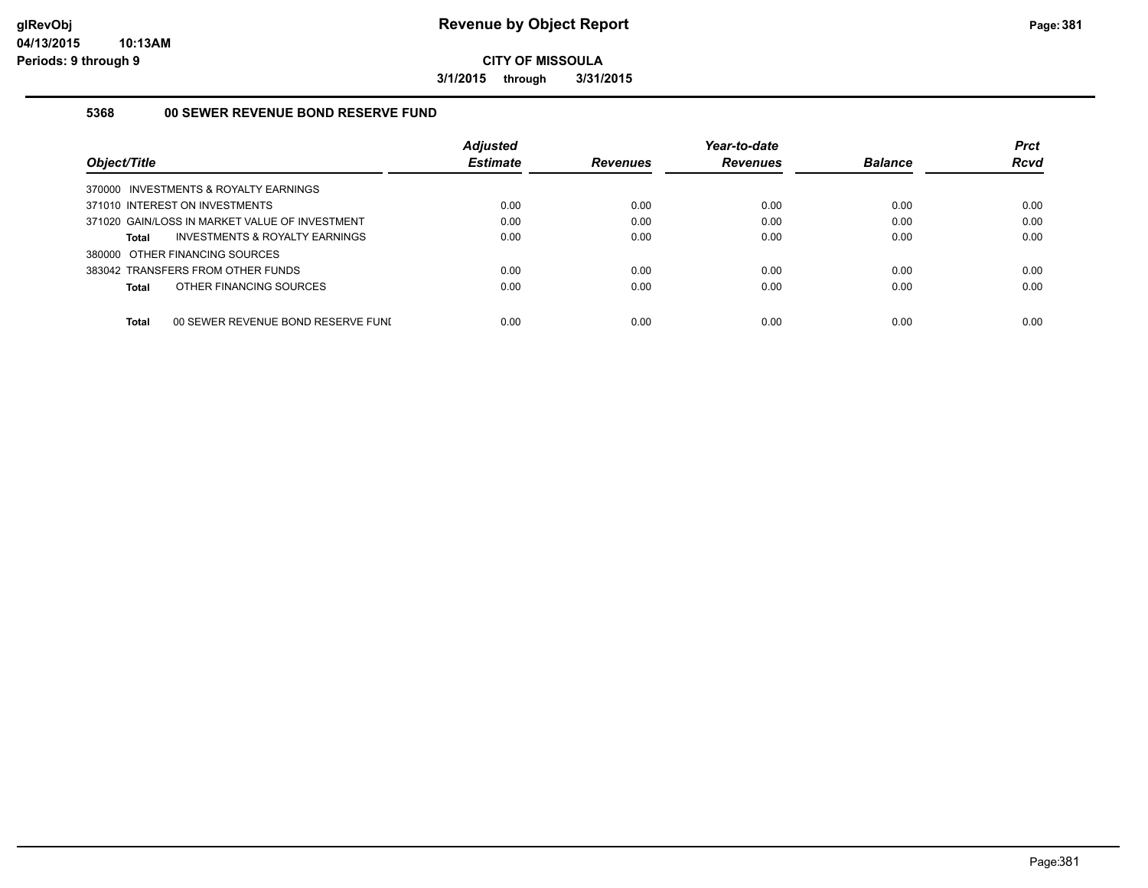**3/1/2015 through 3/31/2015**

### **5368 00 SEWER REVENUE BOND RESERVE FUND**

| Object/Title                                       | <b>Adjusted</b><br><b>Estimate</b> | <b>Revenues</b> | Year-to-date<br><b>Revenues</b> | <b>Balance</b> | <b>Prct</b><br><b>Rcvd</b> |
|----------------------------------------------------|------------------------------------|-----------------|---------------------------------|----------------|----------------------------|
| 370000 INVESTMENTS & ROYALTY EARNINGS              |                                    |                 |                                 |                |                            |
| 371010 INTEREST ON INVESTMENTS                     | 0.00                               | 0.00            | 0.00                            | 0.00           | 0.00                       |
| 371020 GAIN/LOSS IN MARKET VALUE OF INVESTMENT     | 0.00                               | 0.00            | 0.00                            | 0.00           | 0.00                       |
| INVESTMENTS & ROYALTY EARNINGS<br><b>Total</b>     | 0.00                               | 0.00            | 0.00                            | 0.00           | 0.00                       |
| 380000 OTHER FINANCING SOURCES                     |                                    |                 |                                 |                |                            |
| 383042 TRANSFERS FROM OTHER FUNDS                  | 0.00                               | 0.00            | 0.00                            | 0.00           | 0.00                       |
| OTHER FINANCING SOURCES<br><b>Total</b>            | 0.00                               | 0.00            | 0.00                            | 0.00           | 0.00                       |
|                                                    |                                    |                 |                                 |                |                            |
| 00 SEWER REVENUE BOND RESERVE FUNI<br><b>Total</b> | 0.00                               | 0.00            | 0.00                            | 0.00           | 0.00                       |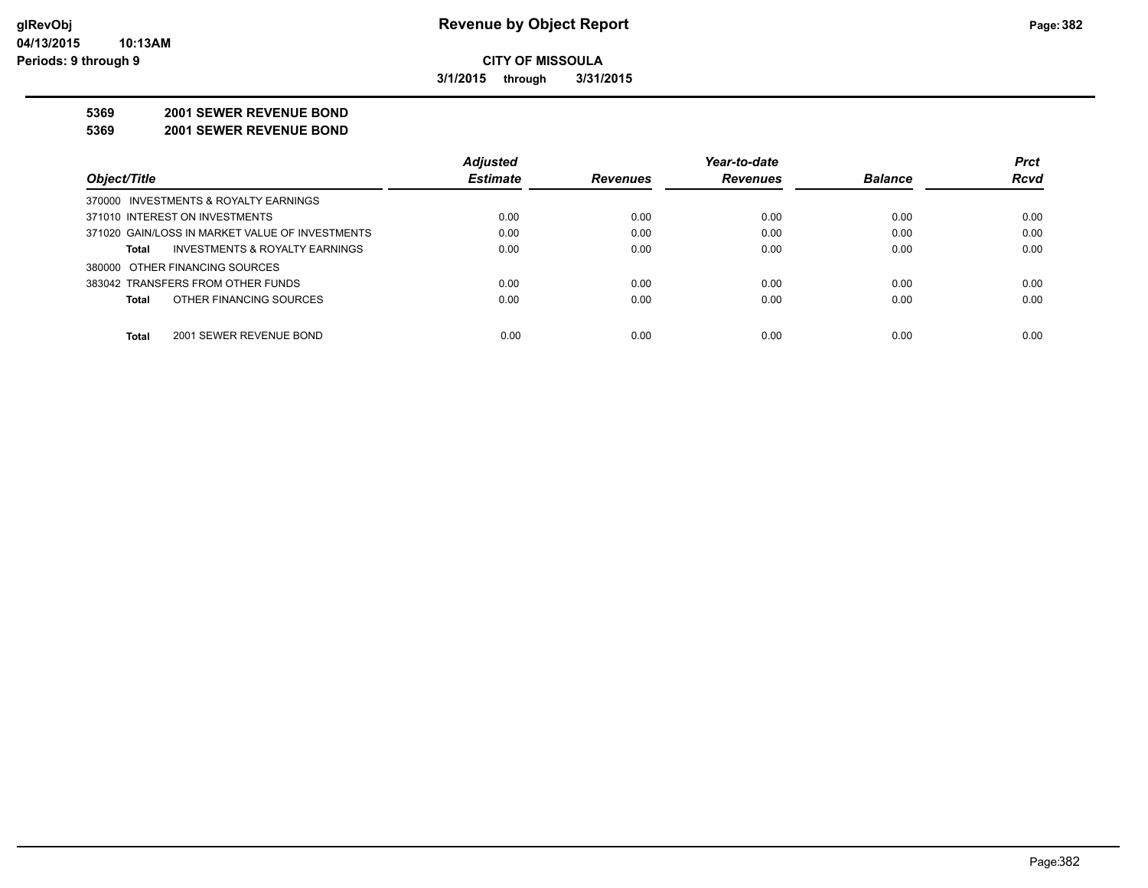**3/1/2015 through 3/31/2015**

### **5369 2001 SEWER REVENUE BOND**

**5369 2001 SEWER REVENUE BOND**

|                                                 | <b>Adjusted</b> |                 | Year-to-date    |                | <b>Prct</b> |
|-------------------------------------------------|-----------------|-----------------|-----------------|----------------|-------------|
| Object/Title                                    | <b>Estimate</b> | <b>Revenues</b> | <b>Revenues</b> | <b>Balance</b> | <b>Rcvd</b> |
| 370000 INVESTMENTS & ROYALTY EARNINGS           |                 |                 |                 |                |             |
| 371010 INTEREST ON INVESTMENTS                  | 0.00            | 0.00            | 0.00            | 0.00           | 0.00        |
| 371020 GAIN/LOSS IN MARKET VALUE OF INVESTMENTS | 0.00            | 0.00            | 0.00            | 0.00           | 0.00        |
| INVESTMENTS & ROYALTY EARNINGS<br>Total         | 0.00            | 0.00            | 0.00            | 0.00           | 0.00        |
| 380000 OTHER FINANCING SOURCES                  |                 |                 |                 |                |             |
| 383042 TRANSFERS FROM OTHER FUNDS               | 0.00            | 0.00            | 0.00            | 0.00           | 0.00        |
| OTHER FINANCING SOURCES<br><b>Total</b>         | 0.00            | 0.00            | 0.00            | 0.00           | 0.00        |
| <b>Total</b><br>2001 SEWER REVENUE BOND         | 0.00            | 0.00            | 0.00            | 0.00           | 0.00        |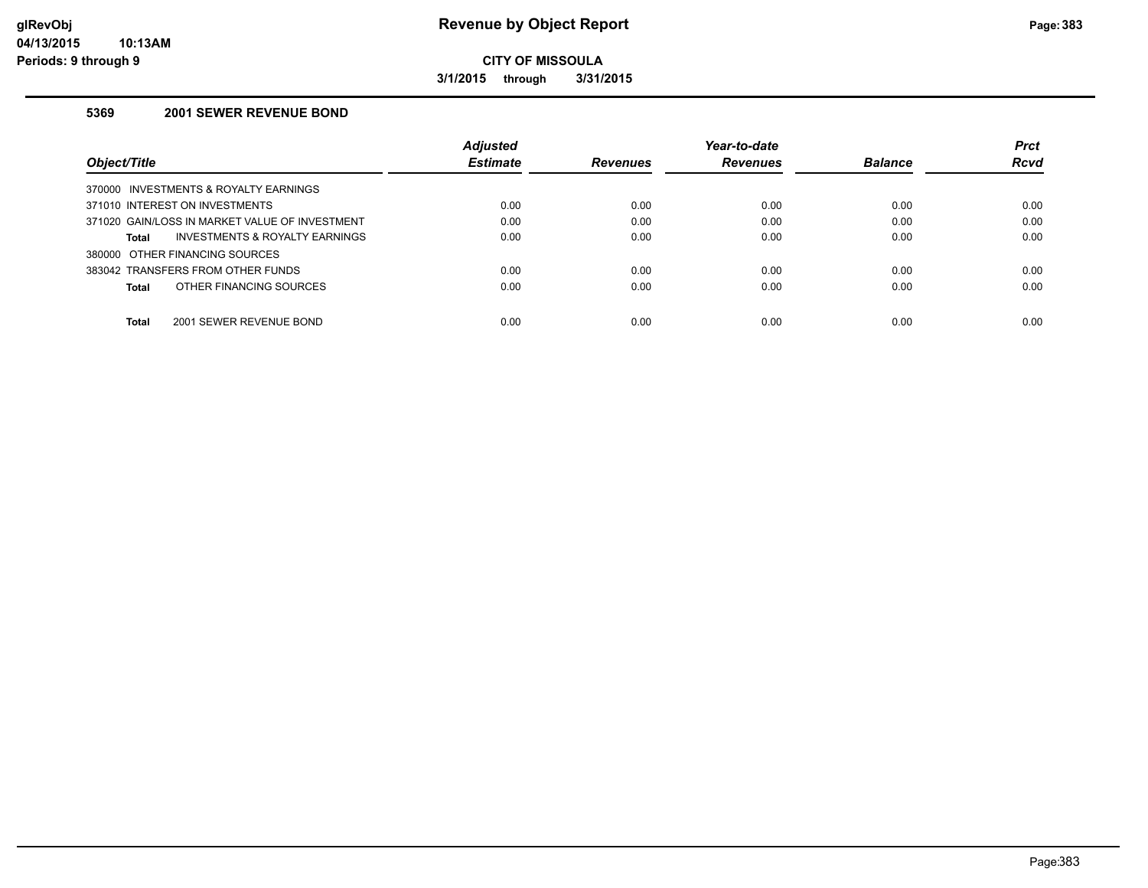**3/1/2015 through 3/31/2015**

### **5369 2001 SEWER REVENUE BOND**

|                                                | <b>Adjusted</b> |                 | Year-to-date    |                | <b>Prct</b> |
|------------------------------------------------|-----------------|-----------------|-----------------|----------------|-------------|
| Object/Title                                   | <b>Estimate</b> | <b>Revenues</b> | <b>Revenues</b> | <b>Balance</b> | <b>Rcvd</b> |
| 370000 INVESTMENTS & ROYALTY EARNINGS          |                 |                 |                 |                |             |
| 371010 INTEREST ON INVESTMENTS                 | 0.00            | 0.00            | 0.00            | 0.00           | 0.00        |
| 371020 GAIN/LOSS IN MARKET VALUE OF INVESTMENT | 0.00            | 0.00            | 0.00            | 0.00           | 0.00        |
| INVESTMENTS & ROYALTY EARNINGS<br>Total        | 0.00            | 0.00            | 0.00            | 0.00           | 0.00        |
| 380000 OTHER FINANCING SOURCES                 |                 |                 |                 |                |             |
| 383042 TRANSFERS FROM OTHER FUNDS              | 0.00            | 0.00            | 0.00            | 0.00           | 0.00        |
| OTHER FINANCING SOURCES<br>Total               | 0.00            | 0.00            | 0.00            | 0.00           | 0.00        |
| <b>Total</b><br>2001 SEWER REVENUE BOND        | 0.00            | 0.00            | 0.00            | 0.00           | 0.00        |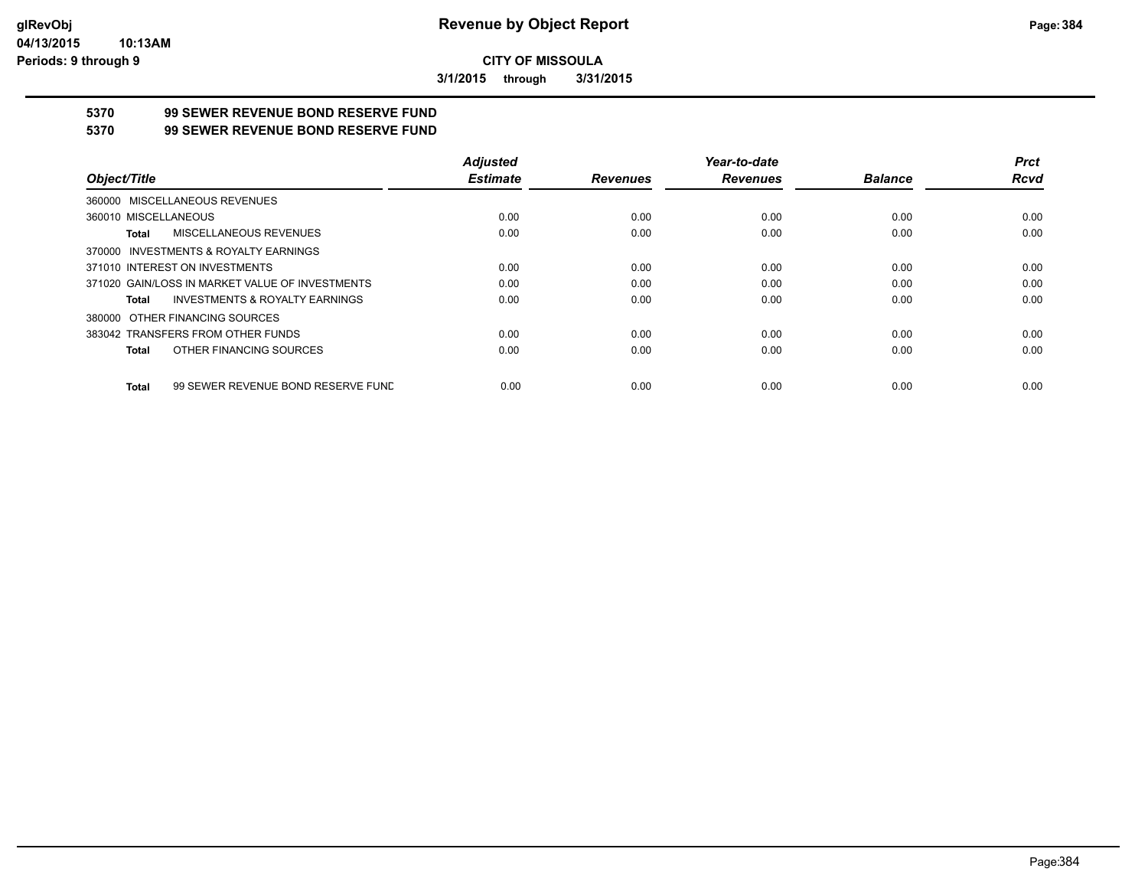**3/1/2015 through 3/31/2015**

### **5370 99 SEWER REVENUE BOND RESERVE FUND**

### **5370 99 SEWER REVENUE BOND RESERVE FUND**

|                                                    | <b>Adjusted</b> |                 | Year-to-date    |                | <b>Prct</b> |
|----------------------------------------------------|-----------------|-----------------|-----------------|----------------|-------------|
| Object/Title                                       | <b>Estimate</b> | <b>Revenues</b> | <b>Revenues</b> | <b>Balance</b> | Rcvd        |
| 360000 MISCELLANEOUS REVENUES                      |                 |                 |                 |                |             |
| 360010 MISCELLANEOUS                               | 0.00            | 0.00            | 0.00            | 0.00           | 0.00        |
| MISCELLANEOUS REVENUES<br>Total                    | 0.00            | 0.00            | 0.00            | 0.00           | 0.00        |
| 370000 INVESTMENTS & ROYALTY EARNINGS              |                 |                 |                 |                |             |
| 371010 INTEREST ON INVESTMENTS                     | 0.00            | 0.00            | 0.00            | 0.00           | 0.00        |
| 371020 GAIN/LOSS IN MARKET VALUE OF INVESTMENTS    | 0.00            | 0.00            | 0.00            | 0.00           | 0.00        |
| <b>INVESTMENTS &amp; ROYALTY EARNINGS</b><br>Total | 0.00            | 0.00            | 0.00            | 0.00           | 0.00        |
| 380000 OTHER FINANCING SOURCES                     |                 |                 |                 |                |             |
| 383042 TRANSFERS FROM OTHER FUNDS                  | 0.00            | 0.00            | 0.00            | 0.00           | 0.00        |
| OTHER FINANCING SOURCES<br>Total                   | 0.00            | 0.00            | 0.00            | 0.00           | 0.00        |
| 99 SEWER REVENUE BOND RESERVE FUND<br>Total        | 0.00            | 0.00            | 0.00            | 0.00           | 0.00        |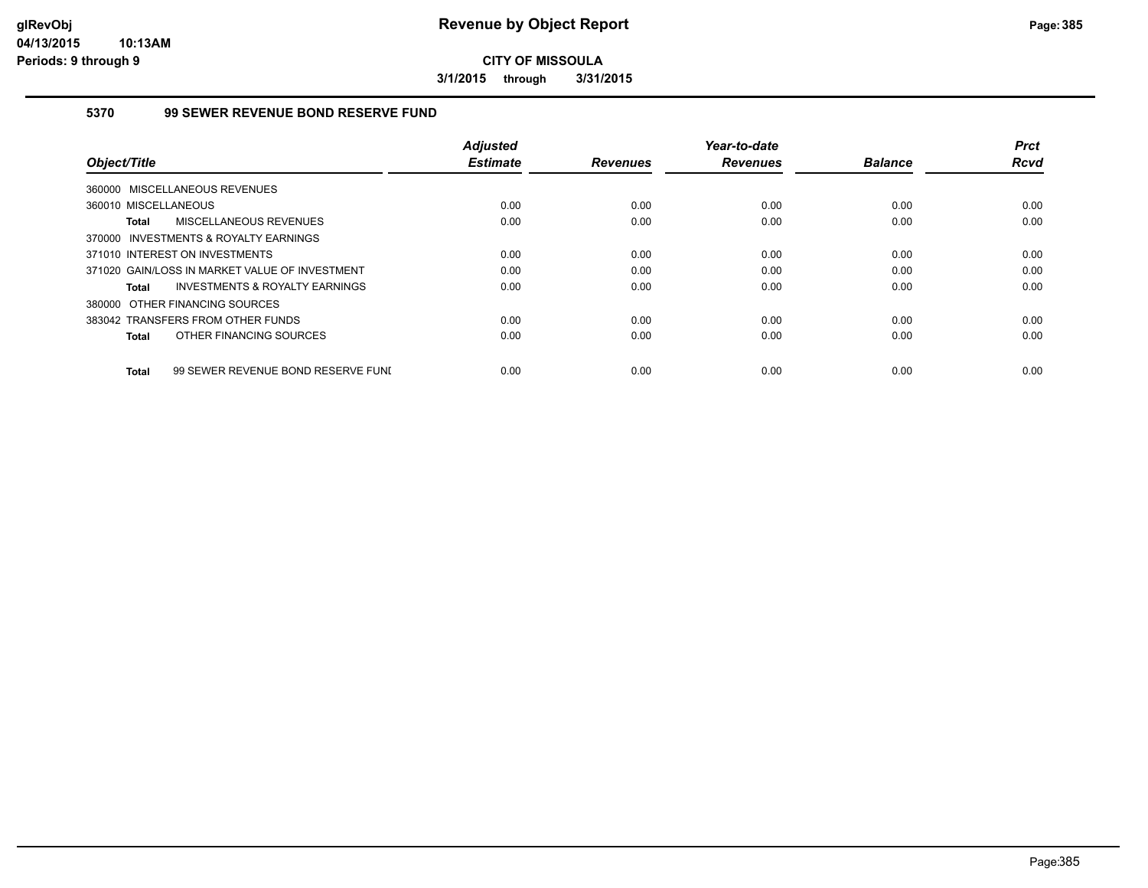**3/1/2015 through 3/31/2015**

### **5370 99 SEWER REVENUE BOND RESERVE FUND**

|                                                    | <b>Adjusted</b> |                 | Year-to-date    |                | <b>Prct</b> |
|----------------------------------------------------|-----------------|-----------------|-----------------|----------------|-------------|
| Object/Title                                       | <b>Estimate</b> | <b>Revenues</b> | <b>Revenues</b> | <b>Balance</b> | <b>Rcvd</b> |
| 360000 MISCELLANEOUS REVENUES                      |                 |                 |                 |                |             |
| 360010 MISCELLANEOUS                               | 0.00            | 0.00            | 0.00            | 0.00           | 0.00        |
| MISCELLANEOUS REVENUES<br><b>Total</b>             | 0.00            | 0.00            | 0.00            | 0.00           | 0.00        |
| 370000 INVESTMENTS & ROYALTY EARNINGS              |                 |                 |                 |                |             |
| 371010 INTEREST ON INVESTMENTS                     | 0.00            | 0.00            | 0.00            | 0.00           | 0.00        |
| 371020 GAIN/LOSS IN MARKET VALUE OF INVESTMENT     | 0.00            | 0.00            | 0.00            | 0.00           | 0.00        |
| INVESTMENTS & ROYALTY EARNINGS<br>Total            | 0.00            | 0.00            | 0.00            | 0.00           | 0.00        |
| 380000 OTHER FINANCING SOURCES                     |                 |                 |                 |                |             |
| 383042 TRANSFERS FROM OTHER FUNDS                  | 0.00            | 0.00            | 0.00            | 0.00           | 0.00        |
| OTHER FINANCING SOURCES<br><b>Total</b>            | 0.00            | 0.00            | 0.00            | 0.00           | 0.00        |
|                                                    |                 |                 |                 |                |             |
| 99 SEWER REVENUE BOND RESERVE FUNI<br><b>Total</b> | 0.00            | 0.00            | 0.00            | 0.00           | 0.00        |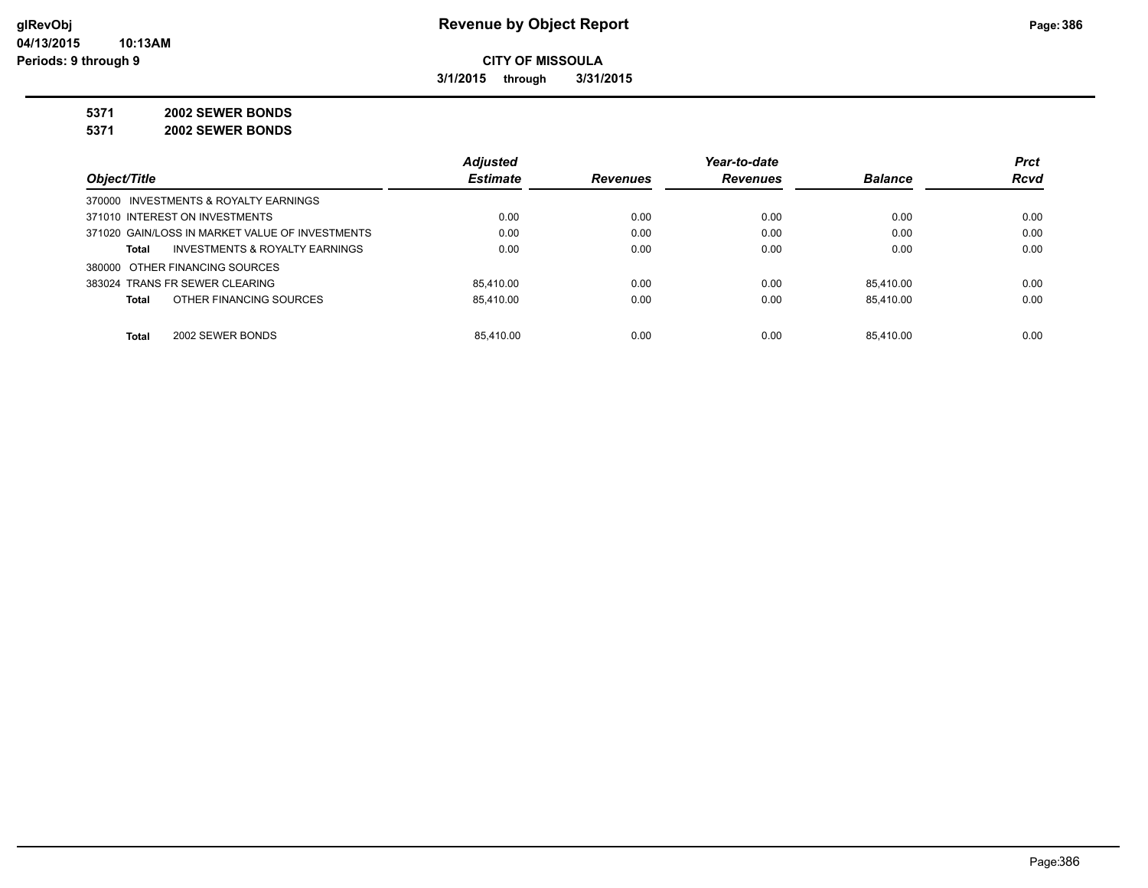**3/1/2015 through 3/31/2015**

**5371 2002 SEWER BONDS**

**5371 2002 SEWER BONDS**

|                                                 | <b>Adjusted</b> |                 | Year-to-date    |                | <b>Prct</b> |
|-------------------------------------------------|-----------------|-----------------|-----------------|----------------|-------------|
| Object/Title                                    | <b>Estimate</b> | <b>Revenues</b> | <b>Revenues</b> | <b>Balance</b> | <b>Rcvd</b> |
| 370000 INVESTMENTS & ROYALTY EARNINGS           |                 |                 |                 |                |             |
| 371010 INTEREST ON INVESTMENTS                  | 0.00            | 0.00            | 0.00            | 0.00           | 0.00        |
| 371020 GAIN/LOSS IN MARKET VALUE OF INVESTMENTS | 0.00            | 0.00            | 0.00            | 0.00           | 0.00        |
| INVESTMENTS & ROYALTY EARNINGS<br>Total         | 0.00            | 0.00            | 0.00            | 0.00           | 0.00        |
| 380000 OTHER FINANCING SOURCES                  |                 |                 |                 |                |             |
| 383024 TRANS FR SEWER CLEARING                  | 85.410.00       | 0.00            | 0.00            | 85.410.00      | 0.00        |
| OTHER FINANCING SOURCES<br>Total                | 85.410.00       | 0.00            | 0.00            | 85.410.00      | 0.00        |
|                                                 |                 |                 |                 |                |             |
| 2002 SEWER BONDS<br>Total                       | 85.410.00       | 0.00            | 0.00            | 85.410.00      | 0.00        |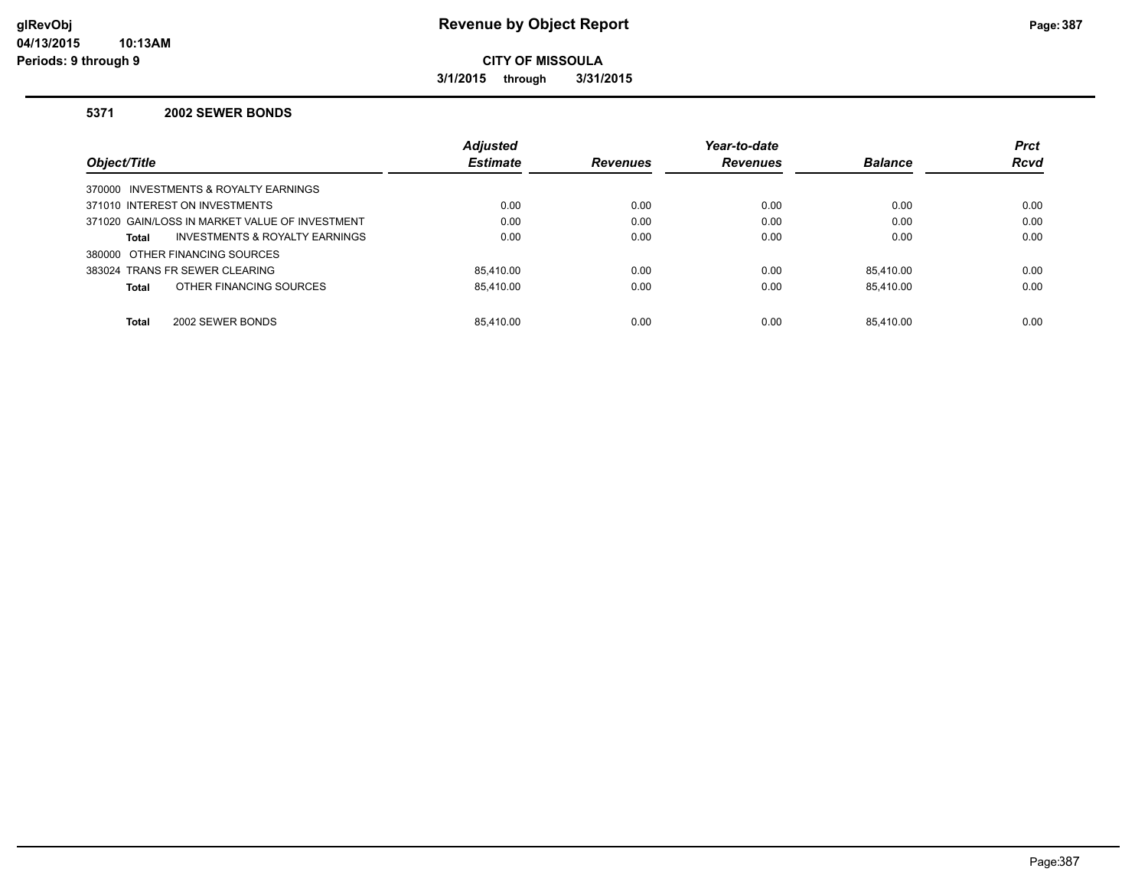**3/1/2015 through 3/31/2015**

#### **5371 2002 SEWER BONDS**

|                                                | <b>Adjusted</b> |                 | Year-to-date    |                | <b>Prct</b> |
|------------------------------------------------|-----------------|-----------------|-----------------|----------------|-------------|
| Object/Title                                   | <b>Estimate</b> | <b>Revenues</b> | <b>Revenues</b> | <b>Balance</b> | <b>Rcvd</b> |
| 370000 INVESTMENTS & ROYALTY EARNINGS          |                 |                 |                 |                |             |
| 371010 INTEREST ON INVESTMENTS                 | 0.00            | 0.00            | 0.00            | 0.00           | 0.00        |
| 371020 GAIN/LOSS IN MARKET VALUE OF INVESTMENT | 0.00            | 0.00            | 0.00            | 0.00           | 0.00        |
| INVESTMENTS & ROYALTY EARNINGS<br>Total        | 0.00            | 0.00            | 0.00            | 0.00           | 0.00        |
| 380000 OTHER FINANCING SOURCES                 |                 |                 |                 |                |             |
| 383024 TRANS FR SEWER CLEARING                 | 85.410.00       | 0.00            | 0.00            | 85.410.00      | 0.00        |
| OTHER FINANCING SOURCES<br>Total               | 85.410.00       | 0.00            | 0.00            | 85.410.00      | 0.00        |
|                                                |                 |                 |                 |                |             |
| 2002 SEWER BONDS<br><b>Total</b>               | 85.410.00       | 0.00            | 0.00            | 85.410.00      | 0.00        |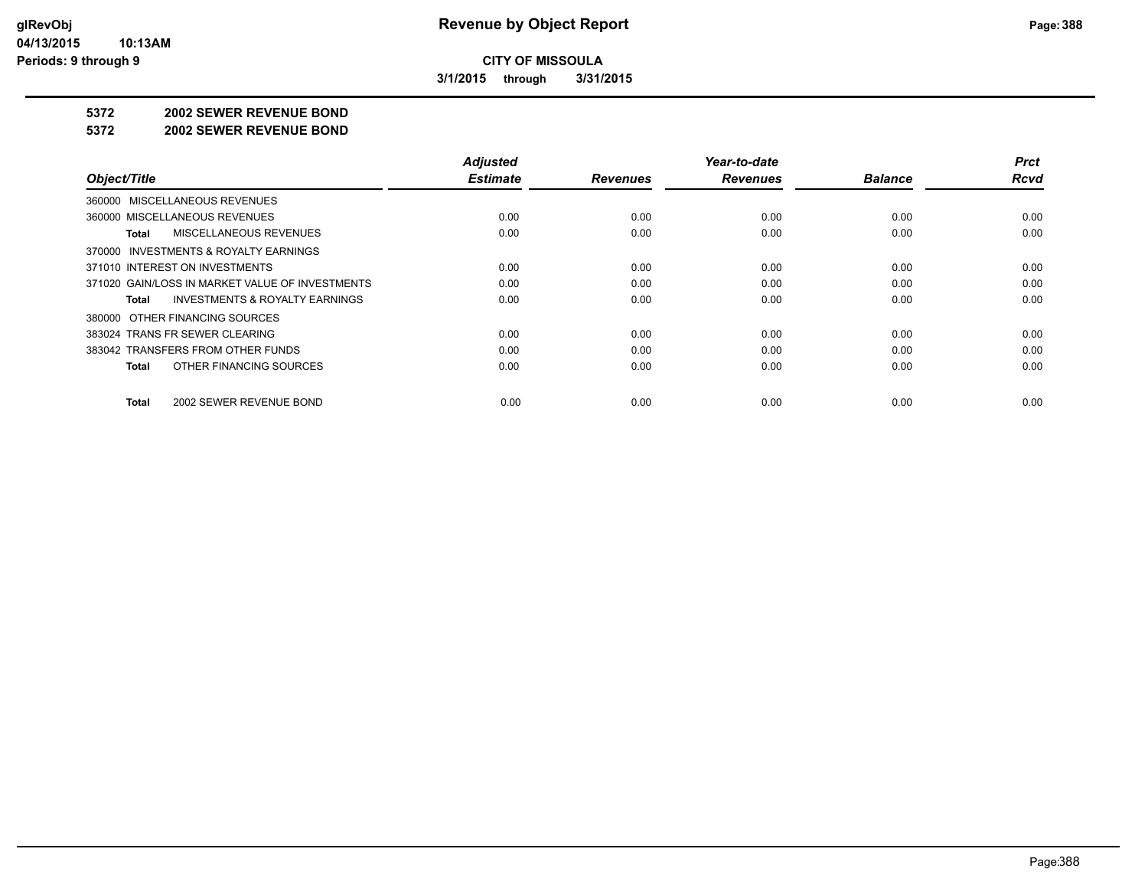**3/1/2015 through 3/31/2015**

#### **5372 2002 SEWER REVENUE BOND**

#### **5372 2002 SEWER REVENUE BOND**

| Object/Title                                       | <b>Adjusted</b><br><b>Estimate</b> | <b>Revenues</b> | Year-to-date<br><b>Revenues</b> | <b>Balance</b> | <b>Prct</b><br><b>Rcvd</b> |
|----------------------------------------------------|------------------------------------|-----------------|---------------------------------|----------------|----------------------------|
|                                                    |                                    |                 |                                 |                |                            |
| 360000 MISCELLANEOUS REVENUES                      |                                    |                 |                                 |                |                            |
| 360000 MISCELLANEOUS REVENUES                      | 0.00                               | 0.00            | 0.00                            | 0.00           | 0.00                       |
| MISCELLANEOUS REVENUES<br>Total                    | 0.00                               | 0.00            | 0.00                            | 0.00           | 0.00                       |
| 370000 INVESTMENTS & ROYALTY EARNINGS              |                                    |                 |                                 |                |                            |
| 371010 INTEREST ON INVESTMENTS                     | 0.00                               | 0.00            | 0.00                            | 0.00           | 0.00                       |
| 371020 GAIN/LOSS IN MARKET VALUE OF INVESTMENTS    | 0.00                               | 0.00            | 0.00                            | 0.00           | 0.00                       |
| <b>INVESTMENTS &amp; ROYALTY EARNINGS</b><br>Total | 0.00                               | 0.00            | 0.00                            | 0.00           | 0.00                       |
| 380000 OTHER FINANCING SOURCES                     |                                    |                 |                                 |                |                            |
| 383024 TRANS FR SEWER CLEARING                     | 0.00                               | 0.00            | 0.00                            | 0.00           | 0.00                       |
| 383042 TRANSFERS FROM OTHER FUNDS                  | 0.00                               | 0.00            | 0.00                            | 0.00           | 0.00                       |
| OTHER FINANCING SOURCES<br>Total                   | 0.00                               | 0.00            | 0.00                            | 0.00           | 0.00                       |
| 2002 SEWER REVENUE BOND<br>Total                   | 0.00                               | 0.00            | 0.00                            | 0.00           | 0.00                       |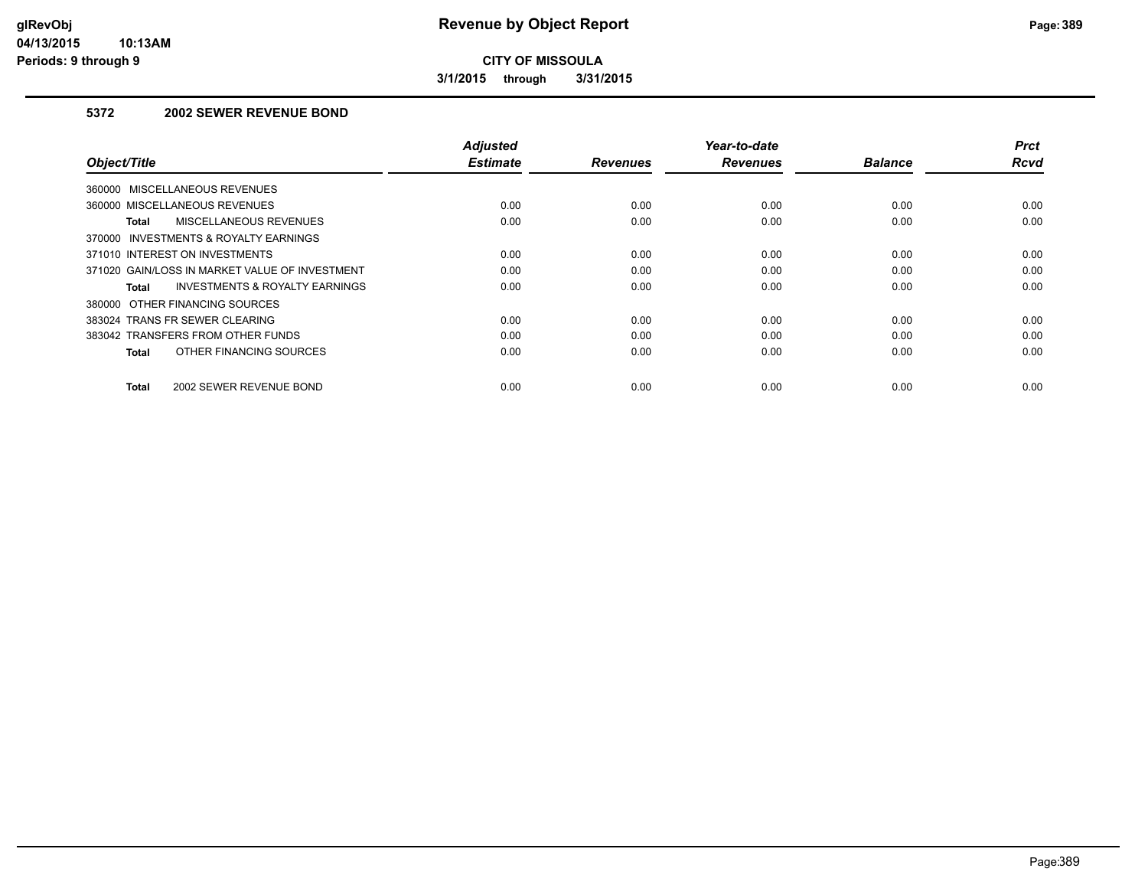**3/1/2015 through 3/31/2015**

### **5372 2002 SEWER REVENUE BOND**

| Object/Title                                       | <b>Adjusted</b><br><b>Estimate</b> | <b>Revenues</b> | Year-to-date<br><b>Revenues</b> | <b>Balance</b> | <b>Prct</b><br>Rcvd |
|----------------------------------------------------|------------------------------------|-----------------|---------------------------------|----------------|---------------------|
| 360000 MISCELLANEOUS REVENUES                      |                                    |                 |                                 |                |                     |
| 360000 MISCELLANEOUS REVENUES                      | 0.00                               | 0.00            | 0.00                            | 0.00           | 0.00                |
| MISCELLANEOUS REVENUES<br>Total                    | 0.00                               | 0.00            | 0.00                            | 0.00           | 0.00                |
| 370000 INVESTMENTS & ROYALTY EARNINGS              |                                    |                 |                                 |                |                     |
| 371010 INTEREST ON INVESTMENTS                     | 0.00                               | 0.00            | 0.00                            | 0.00           | 0.00                |
| 371020 GAIN/LOSS IN MARKET VALUE OF INVESTMENT     | 0.00                               | 0.00            | 0.00                            | 0.00           | 0.00                |
| <b>INVESTMENTS &amp; ROYALTY EARNINGS</b><br>Total | 0.00                               | 0.00            | 0.00                            | 0.00           | 0.00                |
| 380000 OTHER FINANCING SOURCES                     |                                    |                 |                                 |                |                     |
| 383024 TRANS FR SEWER CLEARING                     | 0.00                               | 0.00            | 0.00                            | 0.00           | 0.00                |
| 383042 TRANSFERS FROM OTHER FUNDS                  | 0.00                               | 0.00            | 0.00                            | 0.00           | 0.00                |
| OTHER FINANCING SOURCES<br>Total                   | 0.00                               | 0.00            | 0.00                            | 0.00           | 0.00                |
| <b>Total</b><br>2002 SEWER REVENUE BOND            | 0.00                               | 0.00            | 0.00                            | 0.00           | 0.00                |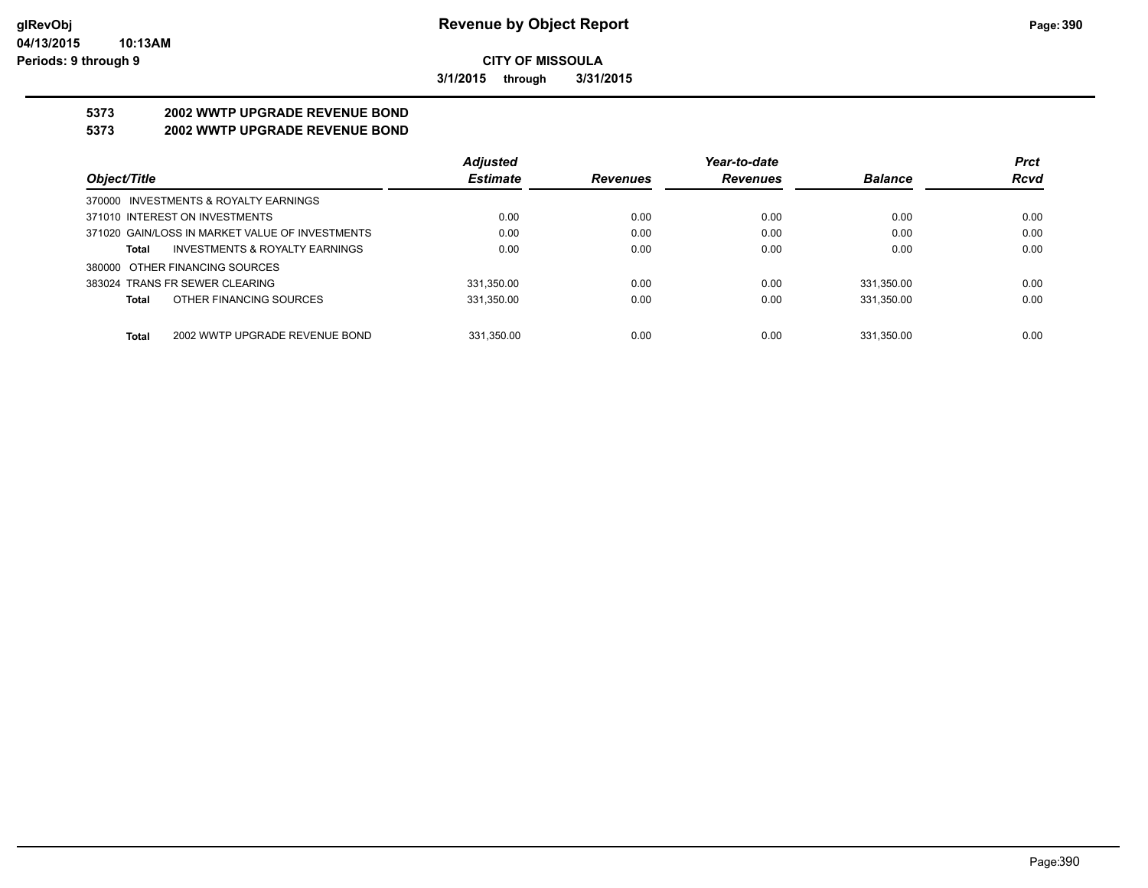**3/1/2015 through 3/31/2015**

## **5373 2002 WWTP UPGRADE REVENUE BOND**

### **5373 2002 WWTP UPGRADE REVENUE BOND**

|                                                 | <b>Adjusted</b> |                 | Year-to-date    |                | <b>Prct</b> |
|-------------------------------------------------|-----------------|-----------------|-----------------|----------------|-------------|
| Object/Title                                    | <b>Estimate</b> | <b>Revenues</b> | <b>Revenues</b> | <b>Balance</b> | <b>Rcvd</b> |
| 370000 INVESTMENTS & ROYALTY EARNINGS           |                 |                 |                 |                |             |
| 371010 INTEREST ON INVESTMENTS                  | 0.00            | 0.00            | 0.00            | 0.00           | 0.00        |
| 371020 GAIN/LOSS IN MARKET VALUE OF INVESTMENTS | 0.00            | 0.00            | 0.00            | 0.00           | 0.00        |
| INVESTMENTS & ROYALTY EARNINGS<br>Total         | 0.00            | 0.00            | 0.00            | 0.00           | 0.00        |
| 380000 OTHER FINANCING SOURCES                  |                 |                 |                 |                |             |
| 383024 TRANS FR SEWER CLEARING                  | 331.350.00      | 0.00            | 0.00            | 331.350.00     | 0.00        |
| OTHER FINANCING SOURCES<br>Total                | 331,350.00      | 0.00            | 0.00            | 331,350.00     | 0.00        |
|                                                 |                 |                 |                 |                |             |
| 2002 WWTP UPGRADE REVENUE BOND<br>Total         | 331.350.00      | 0.00            | 0.00            | 331.350.00     | 0.00        |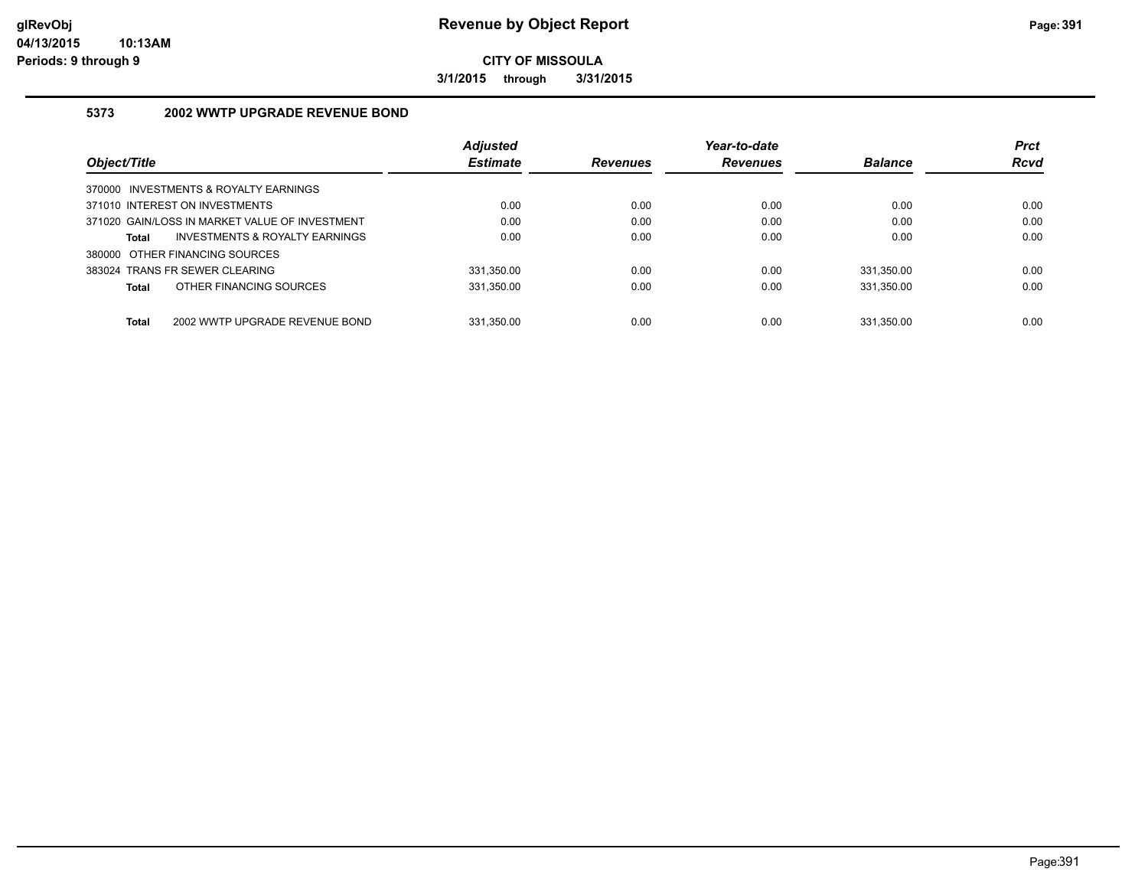**3/1/2015 through 3/31/2015**

### **5373 2002 WWTP UPGRADE REVENUE BOND**

|                                       |                                                | <b>Adjusted</b> |                 | Year-to-date    |                | <b>Prct</b> |
|---------------------------------------|------------------------------------------------|-----------------|-----------------|-----------------|----------------|-------------|
| Object/Title                          |                                                | <b>Estimate</b> | <b>Revenues</b> | <b>Revenues</b> | <b>Balance</b> | <b>Rcvd</b> |
| 370000 INVESTMENTS & ROYALTY EARNINGS |                                                |                 |                 |                 |                |             |
| 371010 INTEREST ON INVESTMENTS        |                                                | 0.00            | 0.00            | 0.00            | 0.00           | 0.00        |
|                                       | 371020 GAIN/LOSS IN MARKET VALUE OF INVESTMENT | 0.00            | 0.00            | 0.00            | 0.00           | 0.00        |
| Total                                 | INVESTMENTS & ROYALTY EARNINGS                 | 0.00            | 0.00            | 0.00            | 0.00           | 0.00        |
| 380000 OTHER FINANCING SOURCES        |                                                |                 |                 |                 |                |             |
| 383024 TRANS FR SEWER CLEARING        |                                                | 331.350.00      | 0.00            | 0.00            | 331.350.00     | 0.00        |
| Total                                 | OTHER FINANCING SOURCES                        | 331.350.00      | 0.00            | 0.00            | 331.350.00     | 0.00        |
| Total                                 | 2002 WWTP UPGRADE REVENUE BOND                 | 331.350.00      | 0.00            | 0.00            | 331.350.00     | 0.00        |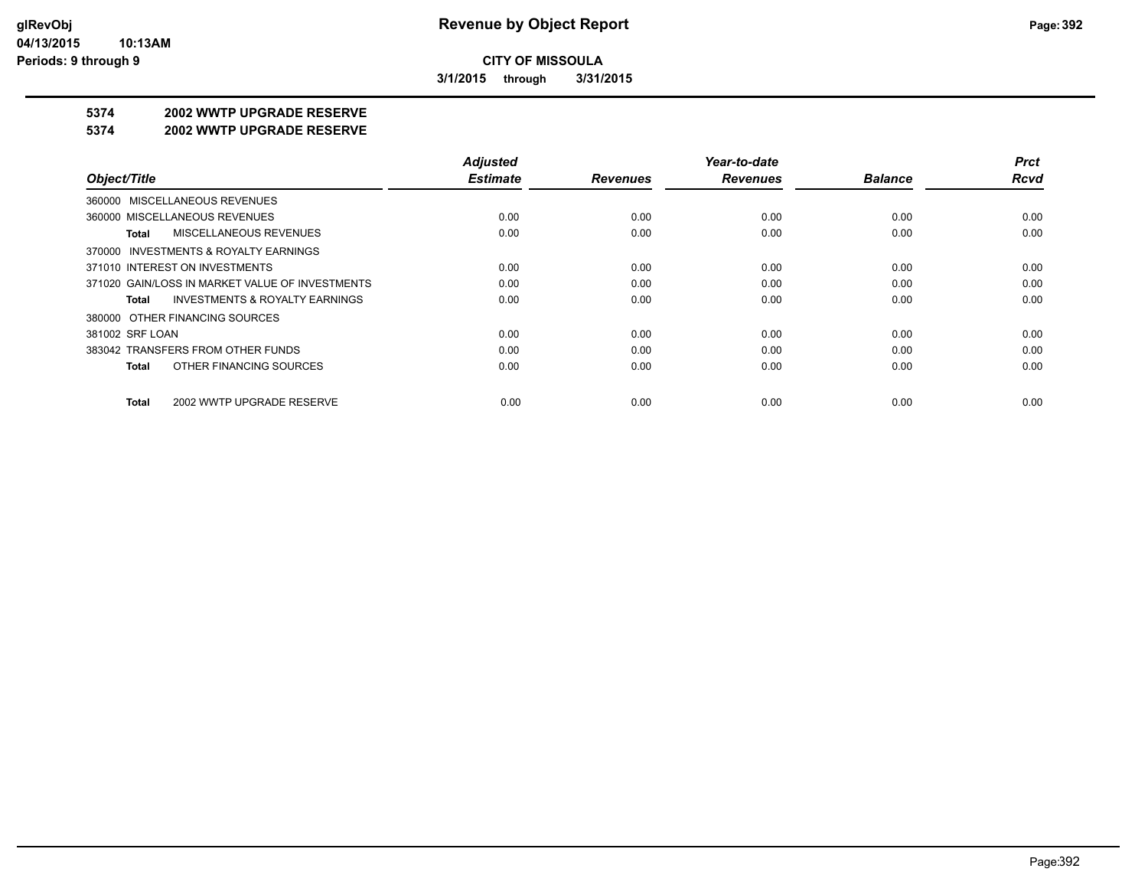**3/1/2015 through 3/31/2015**

### **5374 2002 WWTP UPGRADE RESERVE**

#### **5374 2002 WWTP UPGRADE RESERVE**

|                                                    | <b>Adjusted</b> |                 | Year-to-date    |                | <b>Prct</b> |
|----------------------------------------------------|-----------------|-----------------|-----------------|----------------|-------------|
| Object/Title                                       | <b>Estimate</b> | <b>Revenues</b> | <b>Revenues</b> | <b>Balance</b> | <b>Rcvd</b> |
| 360000 MISCELLANEOUS REVENUES                      |                 |                 |                 |                |             |
| 360000 MISCELLANEOUS REVENUES                      | 0.00            | 0.00            | 0.00            | 0.00           | 0.00        |
| <b>MISCELLANEOUS REVENUES</b><br>Total             | 0.00            | 0.00            | 0.00            | 0.00           | 0.00        |
| 370000 INVESTMENTS & ROYALTY EARNINGS              |                 |                 |                 |                |             |
| 371010 INTEREST ON INVESTMENTS                     | 0.00            | 0.00            | 0.00            | 0.00           | 0.00        |
| 371020 GAIN/LOSS IN MARKET VALUE OF INVESTMENTS    | 0.00            | 0.00            | 0.00            | 0.00           | 0.00        |
| <b>INVESTMENTS &amp; ROYALTY EARNINGS</b><br>Total | 0.00            | 0.00            | 0.00            | 0.00           | 0.00        |
| 380000 OTHER FINANCING SOURCES                     |                 |                 |                 |                |             |
| 381002 SRF LOAN                                    | 0.00            | 0.00            | 0.00            | 0.00           | 0.00        |
| 383042 TRANSFERS FROM OTHER FUNDS                  | 0.00            | 0.00            | 0.00            | 0.00           | 0.00        |
| OTHER FINANCING SOURCES<br>Total                   | 0.00            | 0.00            | 0.00            | 0.00           | 0.00        |
| 2002 WWTP UPGRADE RESERVE<br>Total                 | 0.00            | 0.00            | 0.00            | 0.00           | 0.00        |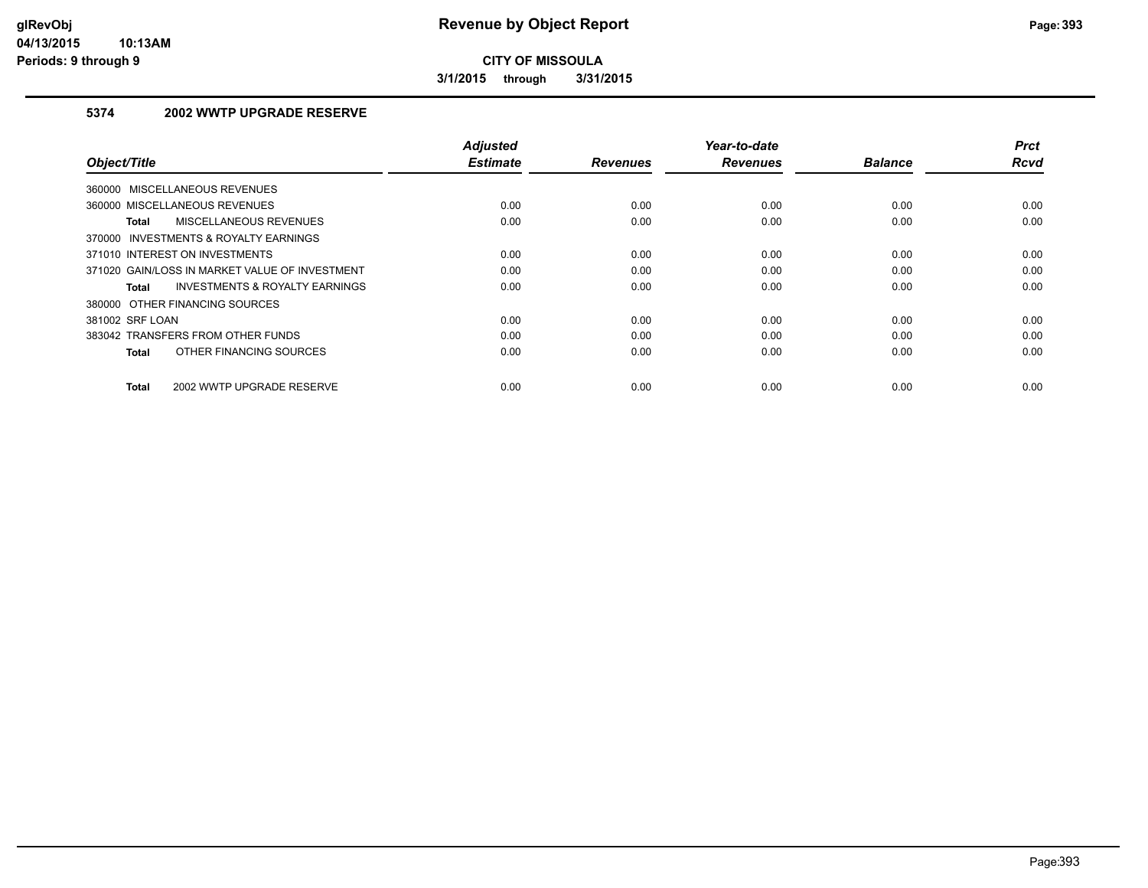**3/1/2015 through 3/31/2015**

### **5374 2002 WWTP UPGRADE RESERVE**

| Object/Title                                   | <b>Adjusted</b><br><b>Estimate</b> | <b>Revenues</b> | Year-to-date<br><b>Revenues</b> | <b>Balance</b> | <b>Prct</b><br><b>Rcvd</b> |
|------------------------------------------------|------------------------------------|-----------------|---------------------------------|----------------|----------------------------|
| 360000 MISCELLANEOUS REVENUES                  |                                    |                 |                                 |                |                            |
| 360000 MISCELLANEOUS REVENUES                  | 0.00                               | 0.00            | 0.00                            | 0.00           | 0.00                       |
| MISCELLANEOUS REVENUES<br>Total                | 0.00                               | 0.00            | 0.00                            | 0.00           | 0.00                       |
| 370000 INVESTMENTS & ROYALTY EARNINGS          |                                    |                 |                                 |                |                            |
| 371010 INTEREST ON INVESTMENTS                 | 0.00                               | 0.00            | 0.00                            | 0.00           | 0.00                       |
| 371020 GAIN/LOSS IN MARKET VALUE OF INVESTMENT | 0.00                               | 0.00            | 0.00                            | 0.00           | 0.00                       |
| INVESTMENTS & ROYALTY EARNINGS<br>Total        | 0.00                               | 0.00            | 0.00                            | 0.00           | 0.00                       |
| 380000 OTHER FINANCING SOURCES                 |                                    |                 |                                 |                |                            |
| 381002 SRF LOAN                                | 0.00                               | 0.00            | 0.00                            | 0.00           | 0.00                       |
| 383042 TRANSFERS FROM OTHER FUNDS              | 0.00                               | 0.00            | 0.00                            | 0.00           | 0.00                       |
| OTHER FINANCING SOURCES<br><b>Total</b>        | 0.00                               | 0.00            | 0.00                            | 0.00           | 0.00                       |
| 2002 WWTP UPGRADE RESERVE<br><b>Total</b>      | 0.00                               | 0.00            | 0.00                            | 0.00           | 0.00                       |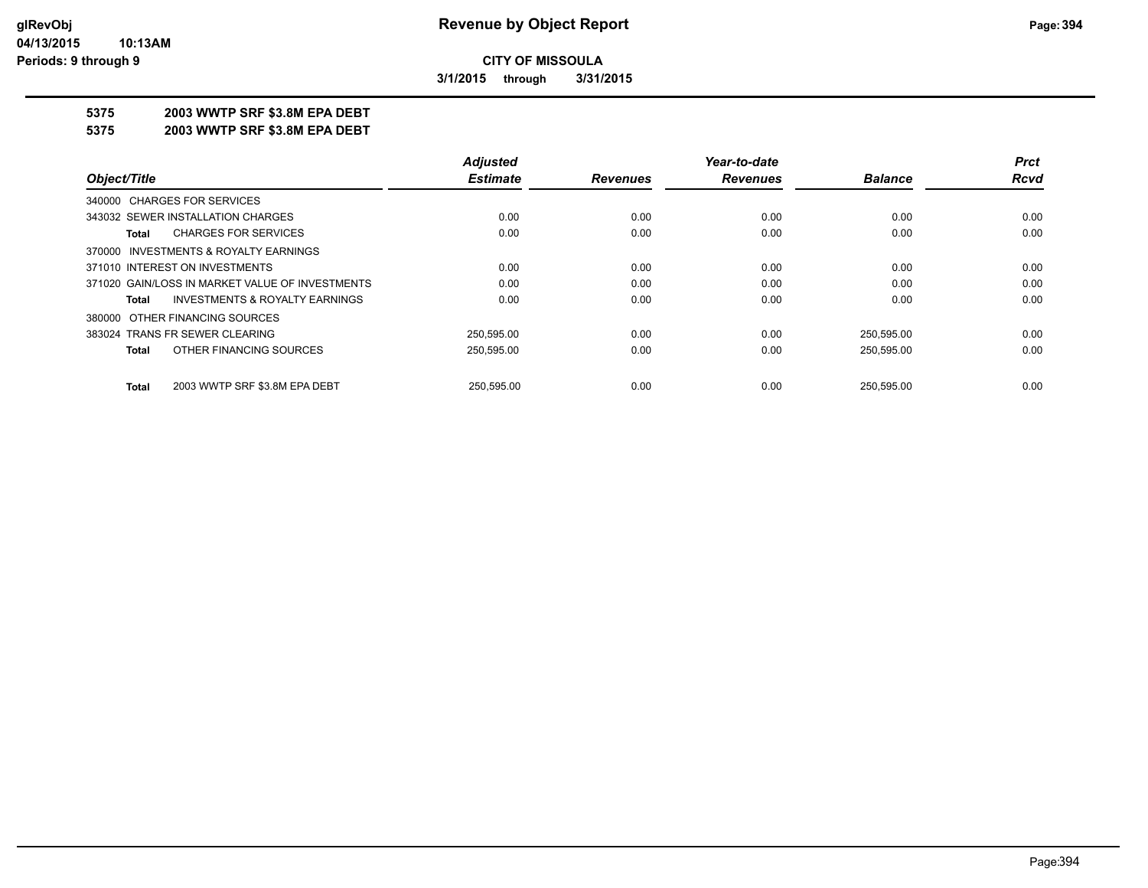**3/1/2015 through 3/31/2015**

### **5375 2003 WWTP SRF \$3.8M EPA DEBT**

**5375 2003 WWTP SRF \$3.8M EPA DEBT**

|                                                 | <b>Adjusted</b> |                 | Year-to-date    |                | <b>Prct</b> |
|-------------------------------------------------|-----------------|-----------------|-----------------|----------------|-------------|
| Object/Title                                    | <b>Estimate</b> | <b>Revenues</b> | <b>Revenues</b> | <b>Balance</b> | <b>Rcvd</b> |
| 340000 CHARGES FOR SERVICES                     |                 |                 |                 |                |             |
| 343032 SEWER INSTALLATION CHARGES               | 0.00            | 0.00            | 0.00            | 0.00           | 0.00        |
| <b>CHARGES FOR SERVICES</b><br>Total            | 0.00            | 0.00            | 0.00            | 0.00           | 0.00        |
| 370000 INVESTMENTS & ROYALTY EARNINGS           |                 |                 |                 |                |             |
| 371010 INTEREST ON INVESTMENTS                  | 0.00            | 0.00            | 0.00            | 0.00           | 0.00        |
| 371020 GAIN/LOSS IN MARKET VALUE OF INVESTMENTS | 0.00            | 0.00            | 0.00            | 0.00           | 0.00        |
| INVESTMENTS & ROYALTY EARNINGS<br>Total         | 0.00            | 0.00            | 0.00            | 0.00           | 0.00        |
| 380000 OTHER FINANCING SOURCES                  |                 |                 |                 |                |             |
| 383024 TRANS FR SEWER CLEARING                  | 250.595.00      | 0.00            | 0.00            | 250.595.00     | 0.00        |
| OTHER FINANCING SOURCES<br><b>Total</b>         | 250,595.00      | 0.00            | 0.00            | 250,595.00     | 0.00        |
| 2003 WWTP SRF \$3.8M EPA DEBT<br><b>Total</b>   | 250.595.00      | 0.00            | 0.00            | 250.595.00     | 0.00        |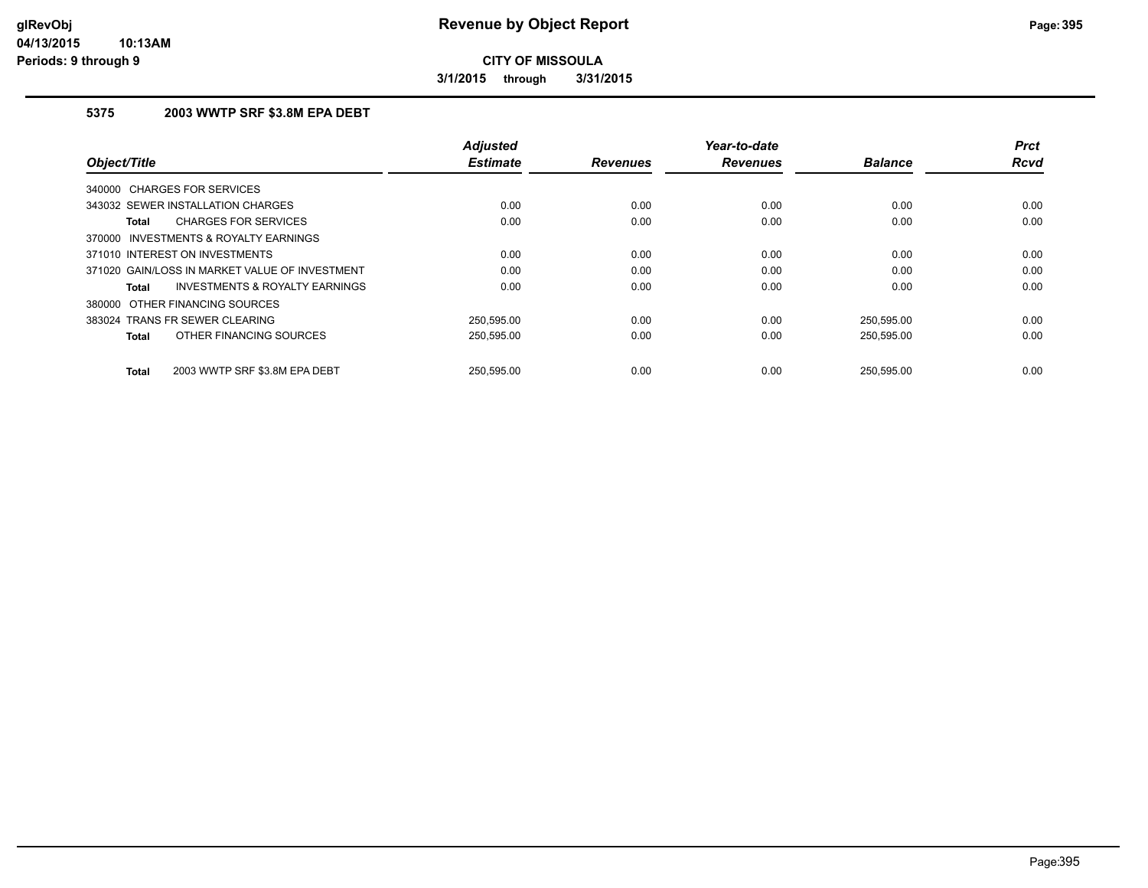**3/1/2015 through 3/31/2015**

### **5375 2003 WWTP SRF \$3.8M EPA DEBT**

| Object/Title                                       | <b>Adjusted</b><br><b>Estimate</b> | <b>Revenues</b> | Year-to-date<br><b>Revenues</b> | <b>Balance</b> | <b>Prct</b><br><b>Rcvd</b> |
|----------------------------------------------------|------------------------------------|-----------------|---------------------------------|----------------|----------------------------|
| 340000 CHARGES FOR SERVICES                        |                                    |                 |                                 |                |                            |
| 343032 SEWER INSTALLATION CHARGES                  | 0.00                               | 0.00            | 0.00                            | 0.00           | 0.00                       |
| <b>CHARGES FOR SERVICES</b><br>Total               | 0.00                               | 0.00            | 0.00                            | 0.00           | 0.00                       |
| 370000 INVESTMENTS & ROYALTY EARNINGS              |                                    |                 |                                 |                |                            |
| 371010 INTEREST ON INVESTMENTS                     | 0.00                               | 0.00            | 0.00                            | 0.00           | 0.00                       |
| 371020 GAIN/LOSS IN MARKET VALUE OF INVESTMENT     | 0.00                               | 0.00            | 0.00                            | 0.00           | 0.00                       |
| <b>INVESTMENTS &amp; ROYALTY EARNINGS</b><br>Total | 0.00                               | 0.00            | 0.00                            | 0.00           | 0.00                       |
| 380000 OTHER FINANCING SOURCES                     |                                    |                 |                                 |                |                            |
| 383024 TRANS FR SEWER CLEARING                     | 250.595.00                         | 0.00            | 0.00                            | 250.595.00     | 0.00                       |
| OTHER FINANCING SOURCES<br>Total                   | 250,595.00                         | 0.00            | 0.00                            | 250,595.00     | 0.00                       |
| 2003 WWTP SRF \$3.8M EPA DEBT<br>Total             | 250.595.00                         | 0.00            | 0.00                            | 250.595.00     | 0.00                       |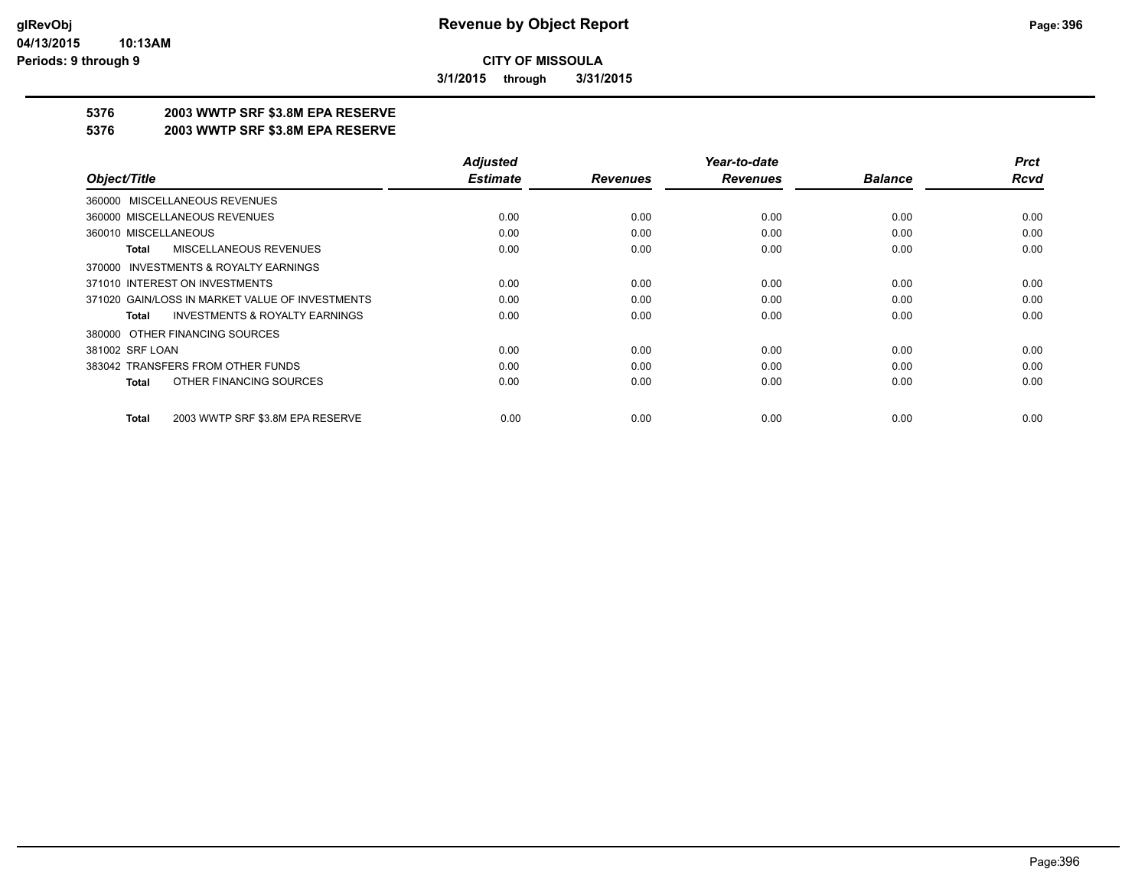**3/1/2015 through 3/31/2015**

### **5376 2003 WWTP SRF \$3.8M EPA RESERVE**

#### **5376 2003 WWTP SRF \$3.8M EPA RESERVE**

|                                                    | <b>Adjusted</b> |                 | Year-to-date    |                | <b>Prct</b> |
|----------------------------------------------------|-----------------|-----------------|-----------------|----------------|-------------|
| Object/Title                                       | <b>Estimate</b> | <b>Revenues</b> | <b>Revenues</b> | <b>Balance</b> | <b>Rcvd</b> |
| 360000 MISCELLANEOUS REVENUES                      |                 |                 |                 |                |             |
| 360000 MISCELLANEOUS REVENUES                      | 0.00            | 0.00            | 0.00            | 0.00           | 0.00        |
| 360010 MISCELLANEOUS                               | 0.00            | 0.00            | 0.00            | 0.00           | 0.00        |
| <b>MISCELLANEOUS REVENUES</b><br>Total             | 0.00            | 0.00            | 0.00            | 0.00           | 0.00        |
| 370000 INVESTMENTS & ROYALTY EARNINGS              |                 |                 |                 |                |             |
| 371010 INTEREST ON INVESTMENTS                     | 0.00            | 0.00            | 0.00            | 0.00           | 0.00        |
| 371020 GAIN/LOSS IN MARKET VALUE OF INVESTMENTS    | 0.00            | 0.00            | 0.00            | 0.00           | 0.00        |
| <b>INVESTMENTS &amp; ROYALTY EARNINGS</b><br>Total | 0.00            | 0.00            | 0.00            | 0.00           | 0.00        |
| 380000 OTHER FINANCING SOURCES                     |                 |                 |                 |                |             |
| 381002 SRF LOAN                                    | 0.00            | 0.00            | 0.00            | 0.00           | 0.00        |
| 383042 TRANSFERS FROM OTHER FUNDS                  | 0.00            | 0.00            | 0.00            | 0.00           | 0.00        |
| OTHER FINANCING SOURCES<br><b>Total</b>            | 0.00            | 0.00            | 0.00            | 0.00           | 0.00        |
| 2003 WWTP SRF \$3.8M EPA RESERVE<br><b>Total</b>   | 0.00            | 0.00            | 0.00            | 0.00           | 0.00        |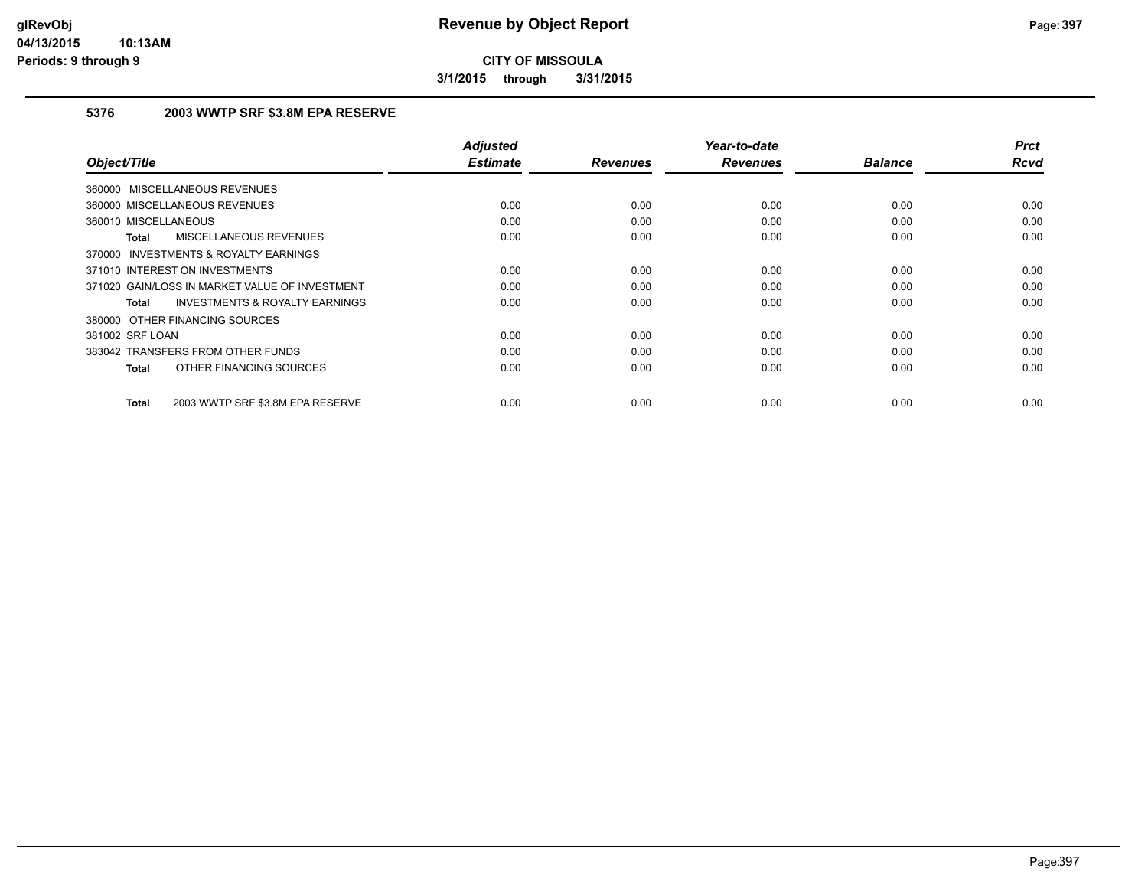**3/1/2015 through 3/31/2015**

# **5376 2003 WWTP SRF \$3.8M EPA RESERVE**

| Object/Title                                              | <b>Adjusted</b><br><b>Estimate</b> | <b>Revenues</b> | Year-to-date<br><b>Revenues</b> | <b>Balance</b> | <b>Prct</b><br><b>Rcvd</b> |
|-----------------------------------------------------------|------------------------------------|-----------------|---------------------------------|----------------|----------------------------|
| 360000 MISCELLANEOUS REVENUES                             |                                    |                 |                                 |                |                            |
|                                                           |                                    |                 |                                 |                |                            |
| 360000 MISCELLANEOUS REVENUES                             | 0.00                               | 0.00            | 0.00                            | 0.00           | 0.00                       |
| 360010 MISCELLANEOUS                                      | 0.00                               | 0.00            | 0.00                            | 0.00           | 0.00                       |
| MISCELLANEOUS REVENUES<br><b>Total</b>                    | 0.00                               | 0.00            | 0.00                            | 0.00           | 0.00                       |
| INVESTMENTS & ROYALTY EARNINGS<br>370000                  |                                    |                 |                                 |                |                            |
| 371010 INTEREST ON INVESTMENTS                            | 0.00                               | 0.00            | 0.00                            | 0.00           | 0.00                       |
| 371020 GAIN/LOSS IN MARKET VALUE OF INVESTMENT            | 0.00                               | 0.00            | 0.00                            | 0.00           | 0.00                       |
| <b>INVESTMENTS &amp; ROYALTY EARNINGS</b><br><b>Total</b> | 0.00                               | 0.00            | 0.00                            | 0.00           | 0.00                       |
| 380000 OTHER FINANCING SOURCES                            |                                    |                 |                                 |                |                            |
| 381002 SRF LOAN                                           | 0.00                               | 0.00            | 0.00                            | 0.00           | 0.00                       |
| 383042 TRANSFERS FROM OTHER FUNDS                         | 0.00                               | 0.00            | 0.00                            | 0.00           | 0.00                       |
| OTHER FINANCING SOURCES<br><b>Total</b>                   | 0.00                               | 0.00            | 0.00                            | 0.00           | 0.00                       |
|                                                           |                                    |                 |                                 |                |                            |
| 2003 WWTP SRF \$3.8M EPA RESERVE<br><b>Total</b>          | 0.00                               | 0.00            | 0.00                            | 0.00           | 0.00                       |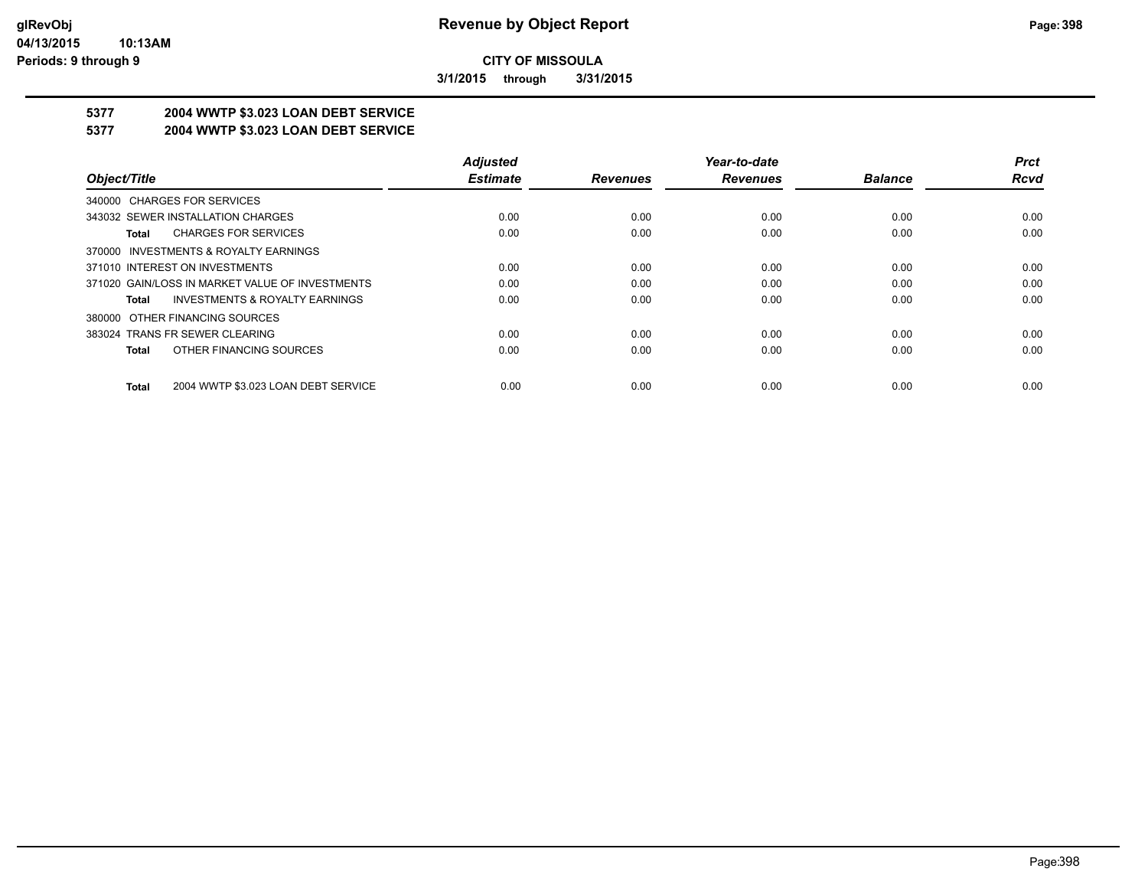**3/1/2015 through 3/31/2015**

# **5377 2004 WWTP \$3.023 LOAN DEBT SERVICE**

# **5377 2004 WWTP \$3.023 LOAN DEBT SERVICE**

|                                                     | <b>Adjusted</b> |                 | Year-to-date    |                | <b>Prct</b> |
|-----------------------------------------------------|-----------------|-----------------|-----------------|----------------|-------------|
| Object/Title                                        | <b>Estimate</b> | <b>Revenues</b> | <b>Revenues</b> | <b>Balance</b> | <b>Rcvd</b> |
| 340000 CHARGES FOR SERVICES                         |                 |                 |                 |                |             |
| 343032 SEWER INSTALLATION CHARGES                   | 0.00            | 0.00            | 0.00            | 0.00           | 0.00        |
| <b>CHARGES FOR SERVICES</b><br>Total                | 0.00            | 0.00            | 0.00            | 0.00           | 0.00        |
| 370000 INVESTMENTS & ROYALTY EARNINGS               |                 |                 |                 |                |             |
| 371010 INTEREST ON INVESTMENTS                      | 0.00            | 0.00            | 0.00            | 0.00           | 0.00        |
| 371020 GAIN/LOSS IN MARKET VALUE OF INVESTMENTS     | 0.00            | 0.00            | 0.00            | 0.00           | 0.00        |
| <b>INVESTMENTS &amp; ROYALTY EARNINGS</b><br>Total  | 0.00            | 0.00            | 0.00            | 0.00           | 0.00        |
| 380000 OTHER FINANCING SOURCES                      |                 |                 |                 |                |             |
| 383024 TRANS FR SEWER CLEARING                      | 0.00            | 0.00            | 0.00            | 0.00           | 0.00        |
| OTHER FINANCING SOURCES<br>Total                    | 0.00            | 0.00            | 0.00            | 0.00           | 0.00        |
| 2004 WWTP \$3.023 LOAN DEBT SERVICE<br><b>Total</b> | 0.00            | 0.00            | 0.00            | 0.00           | 0.00        |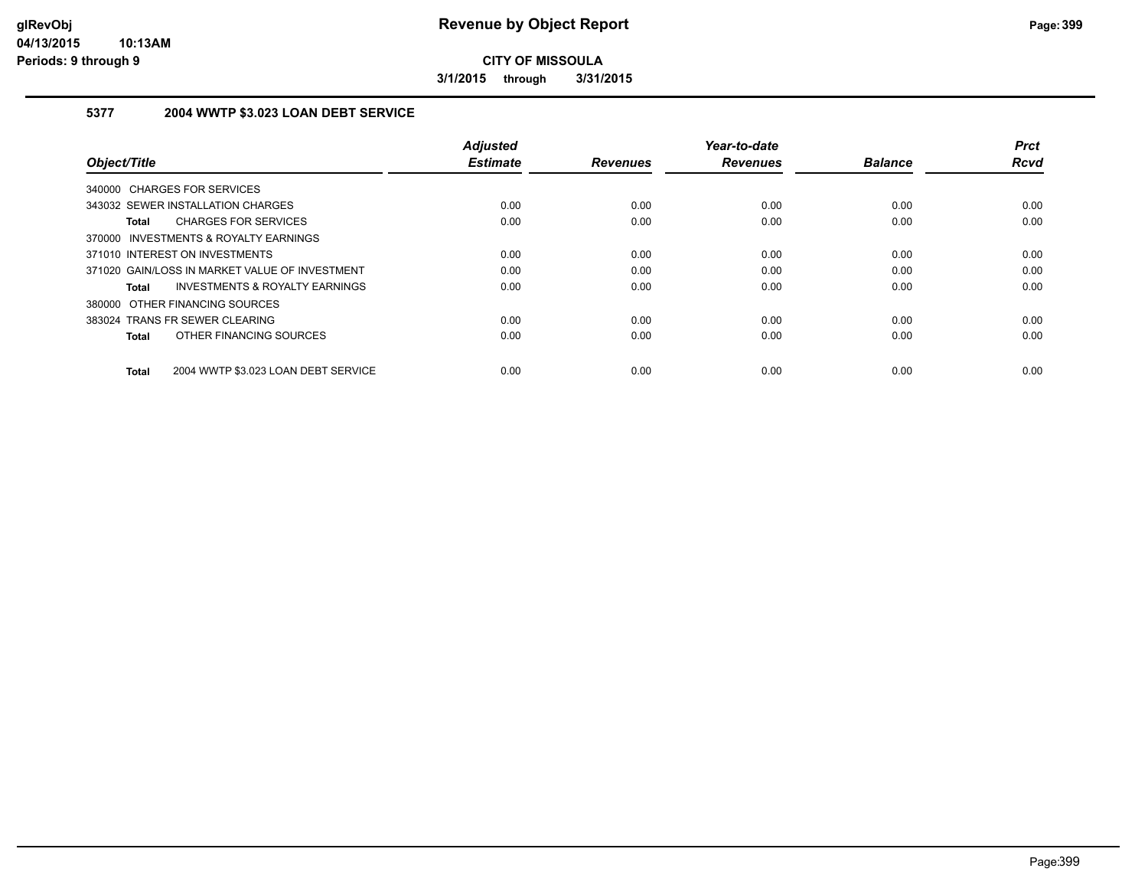**3/1/2015 through 3/31/2015**

# **5377 2004 WWTP \$3.023 LOAN DEBT SERVICE**

| Object/Title                                        | <b>Adjusted</b><br><b>Estimate</b> | <b>Revenues</b> | Year-to-date<br><b>Revenues</b> | <b>Balance</b> | <b>Prct</b><br><b>Rcvd</b> |
|-----------------------------------------------------|------------------------------------|-----------------|---------------------------------|----------------|----------------------------|
| 340000 CHARGES FOR SERVICES                         |                                    |                 |                                 |                |                            |
| 343032 SEWER INSTALLATION CHARGES                   | 0.00                               | 0.00            | 0.00                            | 0.00           | 0.00                       |
| <b>CHARGES FOR SERVICES</b><br>Total                | 0.00                               | 0.00            | 0.00                            | 0.00           | 0.00                       |
| 370000 INVESTMENTS & ROYALTY EARNINGS               |                                    |                 |                                 |                |                            |
| 371010 INTEREST ON INVESTMENTS                      | 0.00                               | 0.00            | 0.00                            | 0.00           | 0.00                       |
| 371020 GAIN/LOSS IN MARKET VALUE OF INVESTMENT      | 0.00                               | 0.00            | 0.00                            | 0.00           | 0.00                       |
| INVESTMENTS & ROYALTY EARNINGS<br>Total             | 0.00                               | 0.00            | 0.00                            | 0.00           | 0.00                       |
| 380000 OTHER FINANCING SOURCES                      |                                    |                 |                                 |                |                            |
| 383024 TRANS FR SEWER CLEARING                      | 0.00                               | 0.00            | 0.00                            | 0.00           | 0.00                       |
| OTHER FINANCING SOURCES<br><b>Total</b>             | 0.00                               | 0.00            | 0.00                            | 0.00           | 0.00                       |
| 2004 WWTP \$3.023 LOAN DEBT SERVICE<br><b>Total</b> | 0.00                               | 0.00            | 0.00                            | 0.00           | 0.00                       |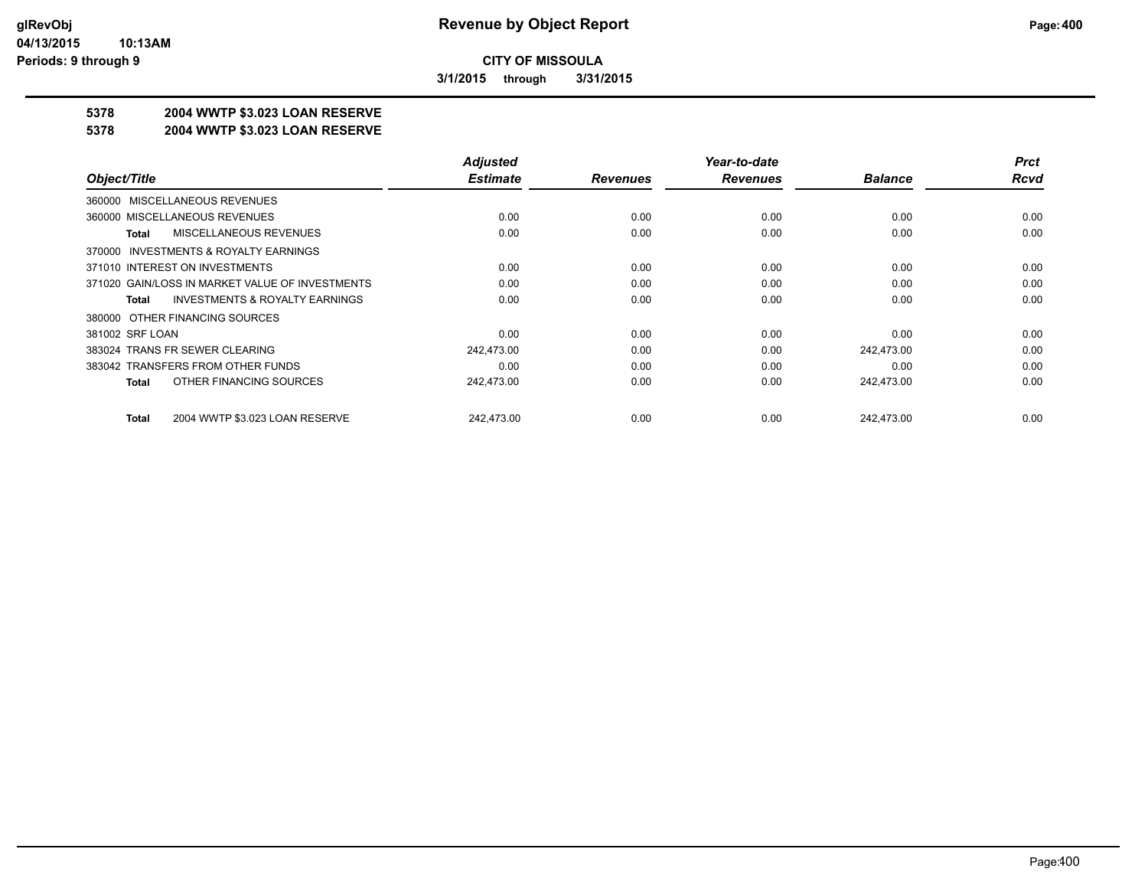**3/1/2015 through 3/31/2015**

# **5378 2004 WWTP \$3.023 LOAN RESERVE**

#### **5378 2004 WWTP \$3.023 LOAN RESERVE**

|                                                    | <b>Adjusted</b> |                 | Year-to-date    |                | <b>Prct</b> |
|----------------------------------------------------|-----------------|-----------------|-----------------|----------------|-------------|
| Object/Title                                       | <b>Estimate</b> | <b>Revenues</b> | <b>Revenues</b> | <b>Balance</b> | <b>Rcvd</b> |
| 360000 MISCELLANEOUS REVENUES                      |                 |                 |                 |                |             |
| 360000 MISCELLANEOUS REVENUES                      | 0.00            | 0.00            | 0.00            | 0.00           | 0.00        |
| MISCELLANEOUS REVENUES<br>Total                    | 0.00            | 0.00            | 0.00            | 0.00           | 0.00        |
| 370000 INVESTMENTS & ROYALTY EARNINGS              |                 |                 |                 |                |             |
| 371010 INTEREST ON INVESTMENTS                     | 0.00            | 0.00            | 0.00            | 0.00           | 0.00        |
| 371020 GAIN/LOSS IN MARKET VALUE OF INVESTMENTS    | 0.00            | 0.00            | 0.00            | 0.00           | 0.00        |
| <b>INVESTMENTS &amp; ROYALTY EARNINGS</b><br>Total | 0.00            | 0.00            | 0.00            | 0.00           | 0.00        |
| 380000 OTHER FINANCING SOURCES                     |                 |                 |                 |                |             |
| 381002 SRF LOAN                                    | 0.00            | 0.00            | 0.00            | 0.00           | 0.00        |
| 383024 TRANS FR SEWER CLEARING                     | 242.473.00      | 0.00            | 0.00            | 242.473.00     | 0.00        |
| 383042 TRANSFERS FROM OTHER FUNDS                  | 0.00            | 0.00            | 0.00            | 0.00           | 0.00        |
| OTHER FINANCING SOURCES<br>Total                   | 242,473.00      | 0.00            | 0.00            | 242,473.00     | 0.00        |
|                                                    |                 |                 |                 |                |             |
| 2004 WWTP \$3.023 LOAN RESERVE<br>Total            | 242,473.00      | 0.00            | 0.00            | 242,473.00     | 0.00        |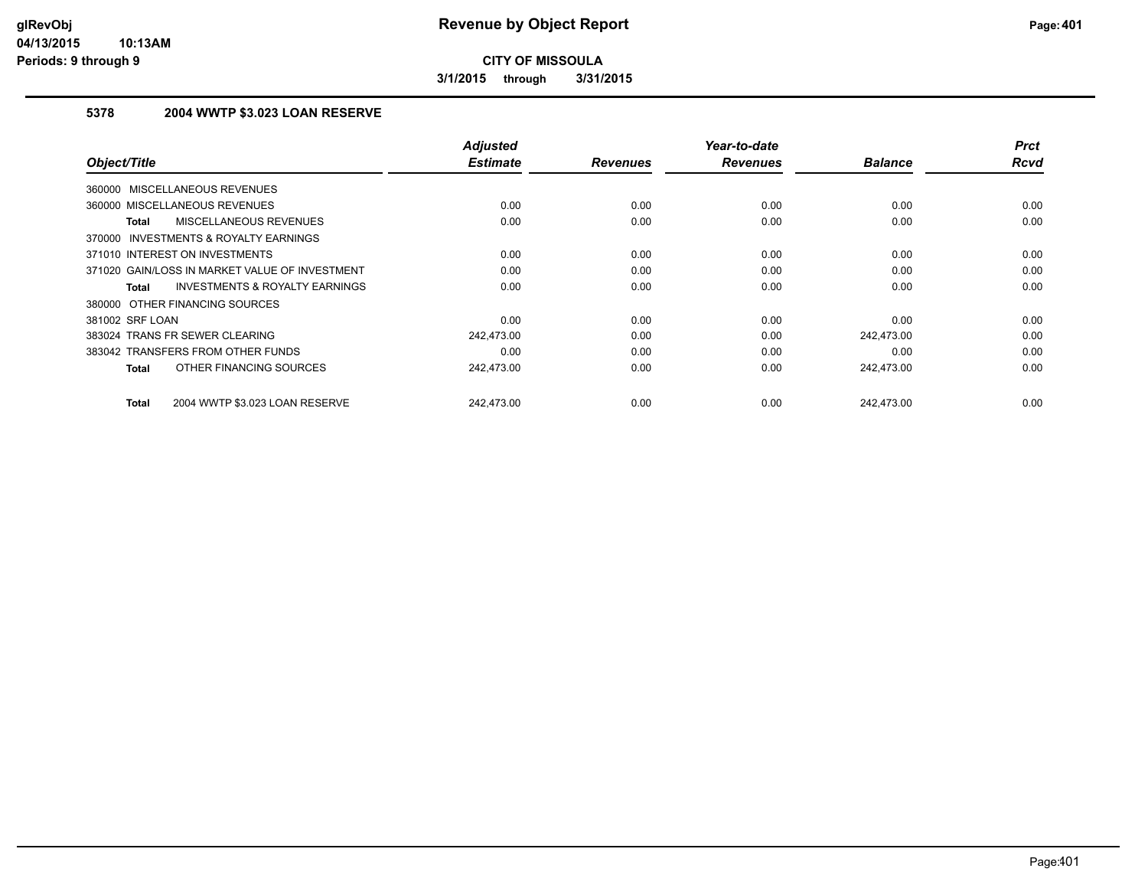**3/1/2015 through 3/31/2015**

# **5378 2004 WWTP \$3.023 LOAN RESERVE**

| Object/Title                                              | <b>Adjusted</b><br><b>Estimate</b> | <b>Revenues</b> | Year-to-date<br><b>Revenues</b> | <b>Balance</b> | <b>Prct</b><br><b>Rcvd</b> |
|-----------------------------------------------------------|------------------------------------|-----------------|---------------------------------|----------------|----------------------------|
|                                                           |                                    |                 |                                 |                |                            |
| 360000 MISCELLANEOUS REVENUES                             |                                    |                 |                                 |                |                            |
| 360000 MISCELLANEOUS REVENUES                             | 0.00                               | 0.00            | 0.00                            | 0.00           | 0.00                       |
| MISCELLANEOUS REVENUES<br><b>Total</b>                    | 0.00                               | 0.00            | 0.00                            | 0.00           | 0.00                       |
| INVESTMENTS & ROYALTY EARNINGS<br>370000                  |                                    |                 |                                 |                |                            |
| 371010 INTEREST ON INVESTMENTS                            | 0.00                               | 0.00            | 0.00                            | 0.00           | 0.00                       |
| 371020 GAIN/LOSS IN MARKET VALUE OF INVESTMENT            | 0.00                               | 0.00            | 0.00                            | 0.00           | 0.00                       |
| <b>INVESTMENTS &amp; ROYALTY EARNINGS</b><br><b>Total</b> | 0.00                               | 0.00            | 0.00                            | 0.00           | 0.00                       |
| 380000 OTHER FINANCING SOURCES                            |                                    |                 |                                 |                |                            |
| 381002 SRF LOAN                                           | 0.00                               | 0.00            | 0.00                            | 0.00           | 0.00                       |
| 383024 TRANS FR SEWER CLEARING                            | 242,473.00                         | 0.00            | 0.00                            | 242,473.00     | 0.00                       |
| 383042 TRANSFERS FROM OTHER FUNDS                         | 0.00                               | 0.00            | 0.00                            | 0.00           | 0.00                       |
| OTHER FINANCING SOURCES<br><b>Total</b>                   | 242,473.00                         | 0.00            | 0.00                            | 242,473.00     | 0.00                       |
|                                                           |                                    |                 |                                 |                |                            |
| 2004 WWTP \$3.023 LOAN RESERVE<br><b>Total</b>            | 242.473.00                         | 0.00            | 0.00                            | 242.473.00     | 0.00                       |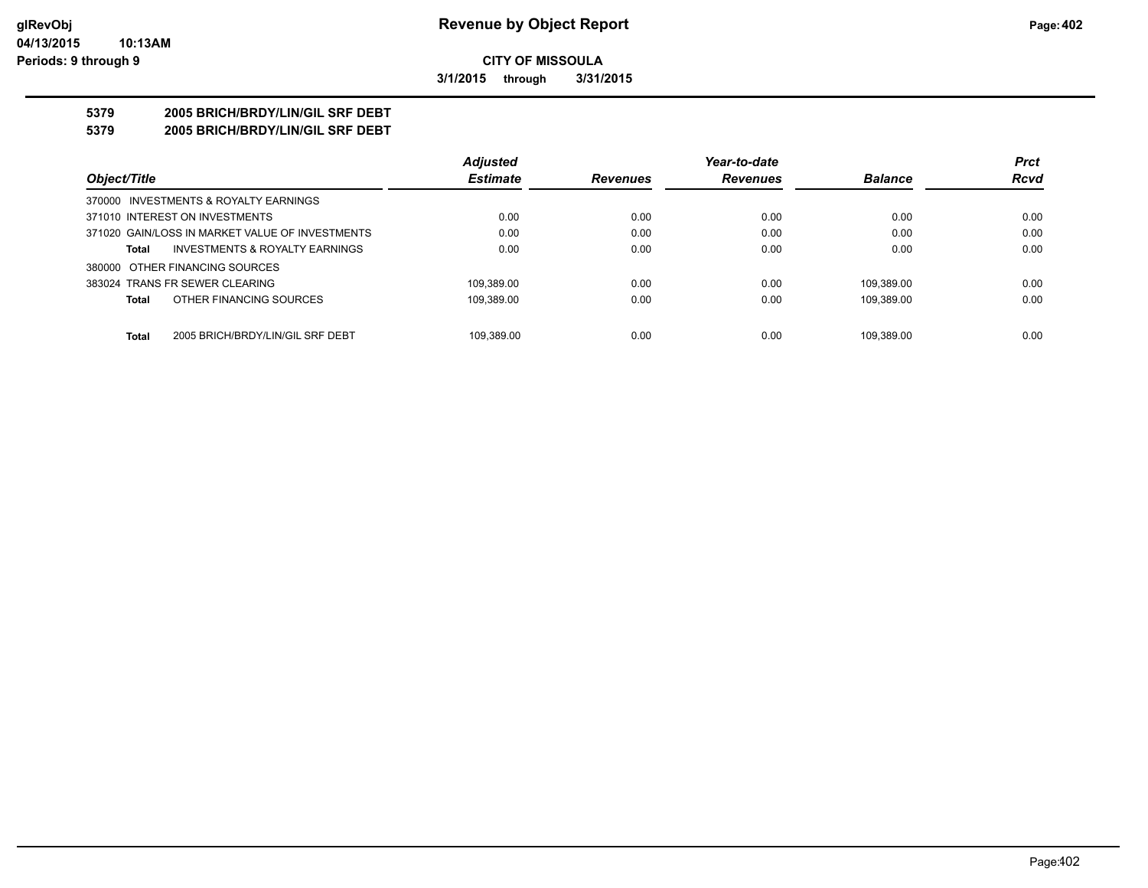**3/1/2015 through 3/31/2015**

# **5379 2005 BRICH/BRDY/LIN/GIL SRF DEBT**

**5379 2005 BRICH/BRDY/LIN/GIL SRF DEBT**

|                                                  | <b>Adjusted</b> |                 | Year-to-date    |                | <b>Prct</b> |
|--------------------------------------------------|-----------------|-----------------|-----------------|----------------|-------------|
| Object/Title                                     | <b>Estimate</b> | <b>Revenues</b> | <b>Revenues</b> | <b>Balance</b> | <b>Rcvd</b> |
| 370000 INVESTMENTS & ROYALTY EARNINGS            |                 |                 |                 |                |             |
| 371010 INTEREST ON INVESTMENTS                   | 0.00            | 0.00            | 0.00            | 0.00           | 0.00        |
| 371020 GAIN/LOSS IN MARKET VALUE OF INVESTMENTS  | 0.00            | 0.00            | 0.00            | 0.00           | 0.00        |
| INVESTMENTS & ROYALTY EARNINGS<br>Total          | 0.00            | 0.00            | 0.00            | 0.00           | 0.00        |
| 380000 OTHER FINANCING SOURCES                   |                 |                 |                 |                |             |
| 383024 TRANS FR SEWER CLEARING                   | 109.389.00      | 0.00            | 0.00            | 109.389.00     | 0.00        |
| OTHER FINANCING SOURCES<br><b>Total</b>          | 109,389.00      | 0.00            | 0.00            | 109.389.00     | 0.00        |
|                                                  |                 |                 |                 |                |             |
| <b>Total</b><br>2005 BRICH/BRDY/LIN/GIL SRF DEBT | 109.389.00      | 0.00            | 0.00            | 109.389.00     | 0.00        |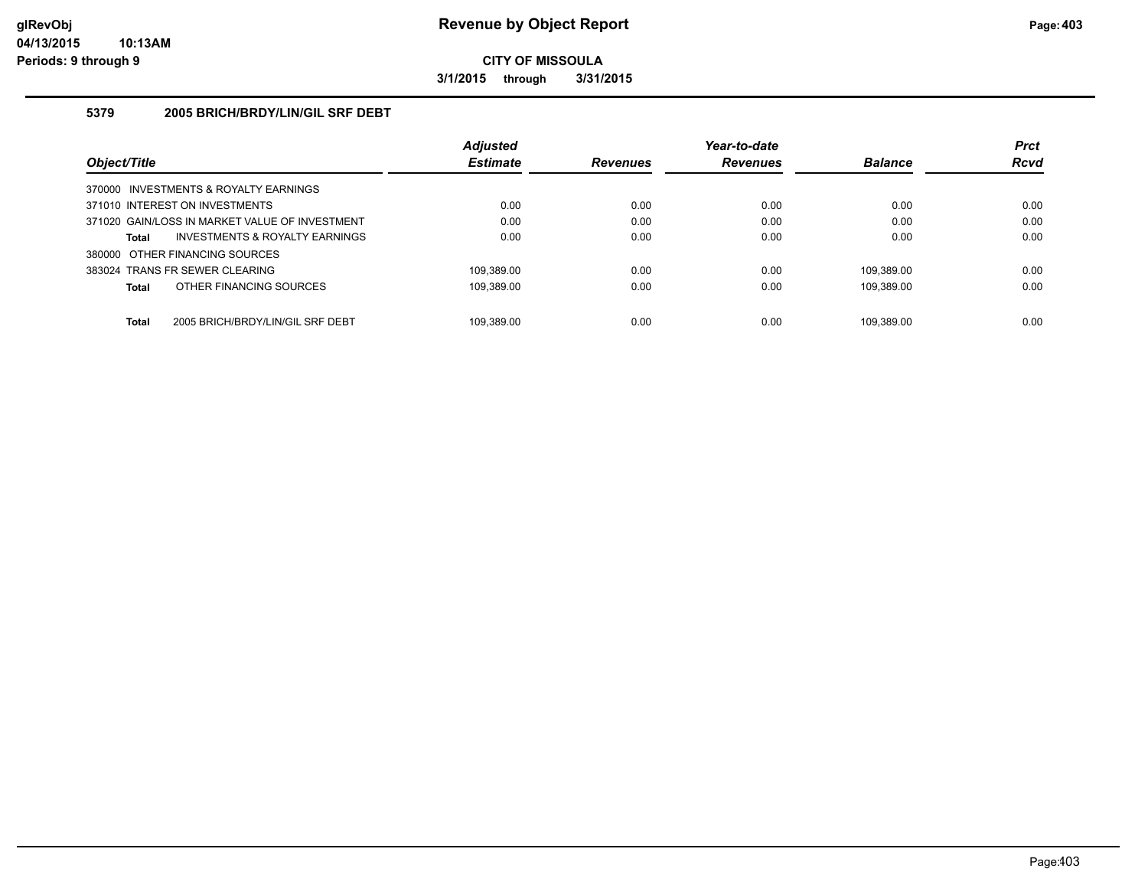**3/1/2015 through 3/31/2015**

### **5379 2005 BRICH/BRDY/LIN/GIL SRF DEBT**

|                                                  | <b>Adjusted</b> |                 | Year-to-date    |                | <b>Prct</b> |
|--------------------------------------------------|-----------------|-----------------|-----------------|----------------|-------------|
| Object/Title                                     | <b>Estimate</b> | <b>Revenues</b> | <b>Revenues</b> | <b>Balance</b> | <b>Rcvd</b> |
| 370000 INVESTMENTS & ROYALTY EARNINGS            |                 |                 |                 |                |             |
| 371010 INTEREST ON INVESTMENTS                   | 0.00            | 0.00            | 0.00            | 0.00           | 0.00        |
| 371020 GAIN/LOSS IN MARKET VALUE OF INVESTMENT   | 0.00            | 0.00            | 0.00            | 0.00           | 0.00        |
| INVESTMENTS & ROYALTY EARNINGS<br>Total          | 0.00            | 0.00            | 0.00            | 0.00           | 0.00        |
| 380000 OTHER FINANCING SOURCES                   |                 |                 |                 |                |             |
| 383024 TRANS FR SEWER CLEARING                   | 109.389.00      | 0.00            | 0.00            | 109.389.00     | 0.00        |
| OTHER FINANCING SOURCES<br>Total                 | 109.389.00      | 0.00            | 0.00            | 109.389.00     | 0.00        |
|                                                  |                 |                 |                 |                |             |
| <b>Total</b><br>2005 BRICH/BRDY/LIN/GIL SRF DEBT | 109.389.00      | 0.00            | 0.00            | 109.389.00     | 0.00        |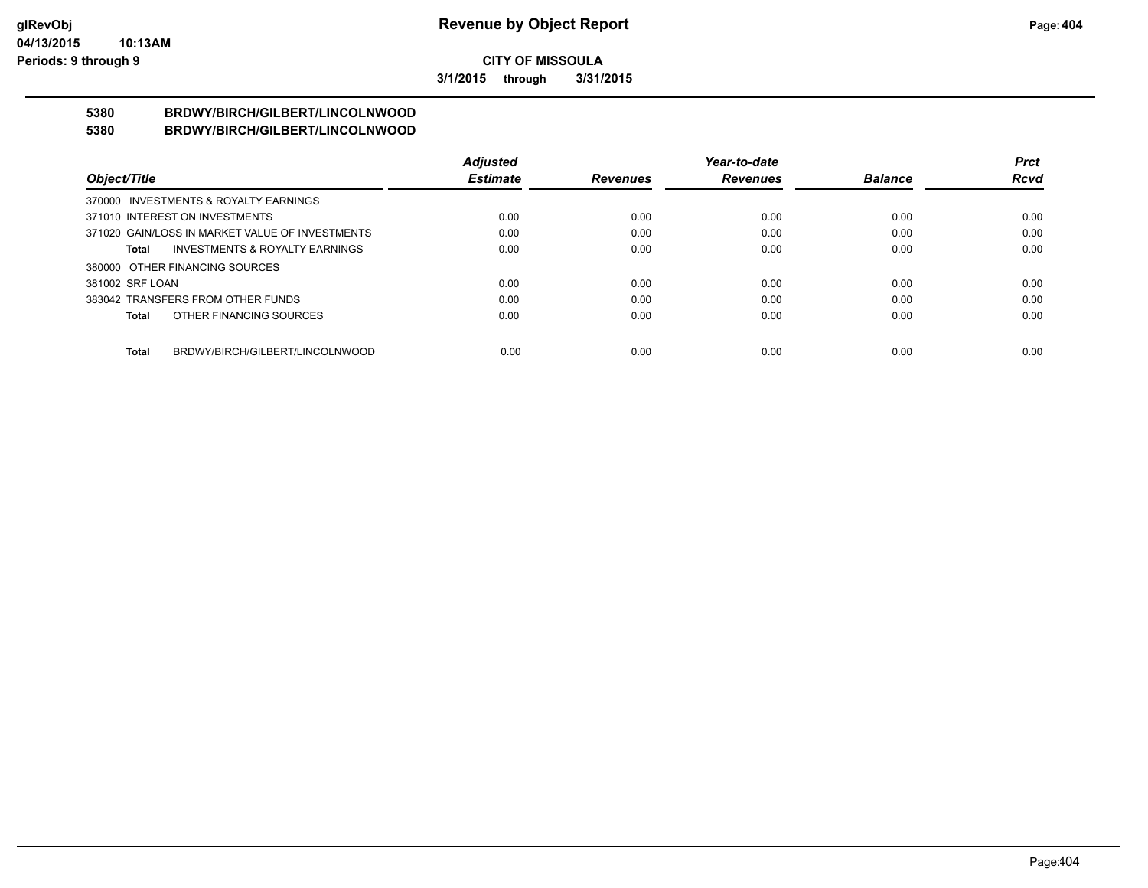**3/1/2015 through 3/31/2015**

#### **5380 BRDWY/BIRCH/GILBERT/LINCOLNWOOD 5380 BRDWY/BIRCH/GILBERT/LINCOLNWOOD**

|                                                    | <b>Adjusted</b> |                 | Year-to-date    |                | <b>Prct</b> |
|----------------------------------------------------|-----------------|-----------------|-----------------|----------------|-------------|
| Object/Title                                       | <b>Estimate</b> | <b>Revenues</b> | <b>Revenues</b> | <b>Balance</b> | <b>Rcvd</b> |
| 370000 INVESTMENTS & ROYALTY EARNINGS              |                 |                 |                 |                |             |
| 371010 INTEREST ON INVESTMENTS                     | 0.00            | 0.00            | 0.00            | 0.00           | 0.00        |
| 371020 GAIN/LOSS IN MARKET VALUE OF INVESTMENTS    | 0.00            | 0.00            | 0.00            | 0.00           | 0.00        |
| <b>INVESTMENTS &amp; ROYALTY EARNINGS</b><br>Total | 0.00            | 0.00            | 0.00            | 0.00           | 0.00        |
| 380000 OTHER FINANCING SOURCES                     |                 |                 |                 |                |             |
| 381002 SRF LOAN                                    | 0.00            | 0.00            | 0.00            | 0.00           | 0.00        |
| 383042 TRANSFERS FROM OTHER FUNDS                  | 0.00            | 0.00            | 0.00            | 0.00           | 0.00        |
| OTHER FINANCING SOURCES<br>Total                   | 0.00            | 0.00            | 0.00            | 0.00           | 0.00        |
|                                                    |                 |                 |                 |                |             |
| BRDWY/BIRCH/GILBERT/LINCOLNWOOD<br>Total           | 0.00            | 0.00            | 0.00            | 0.00           | 0.00        |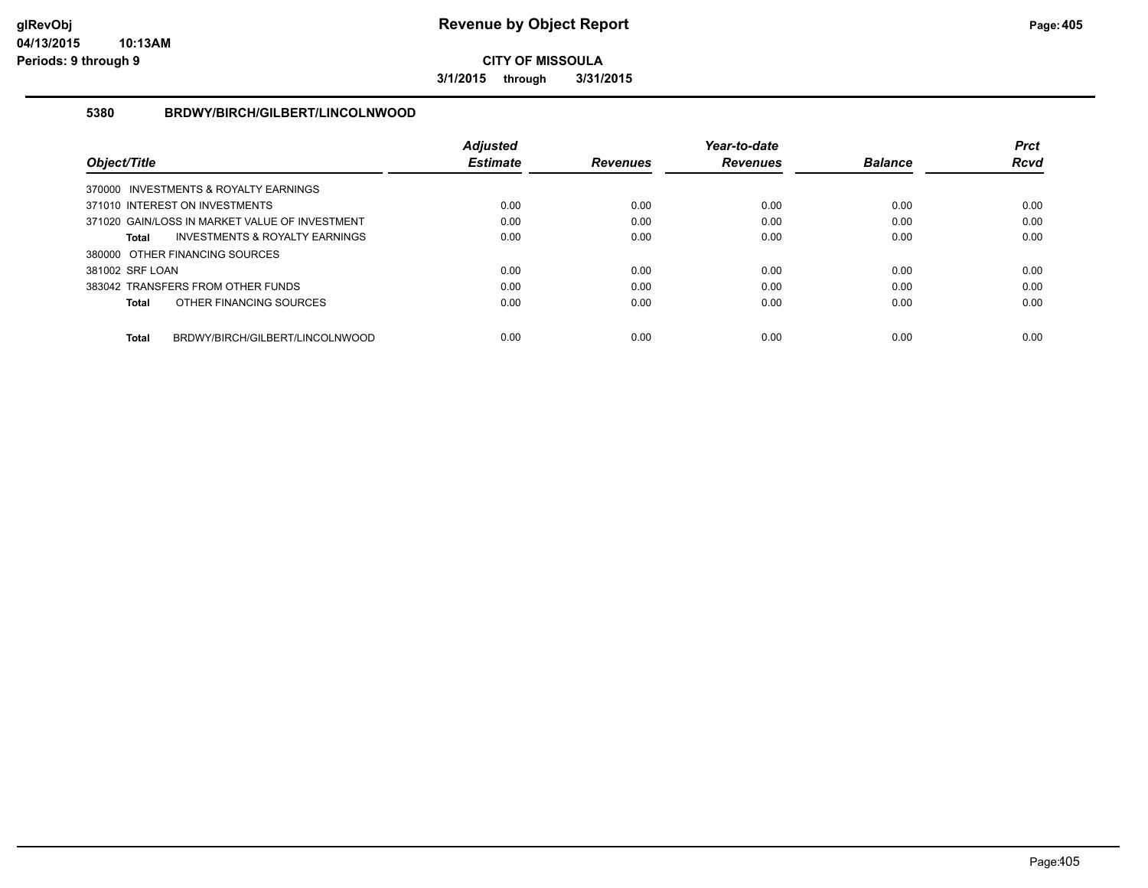**3/1/2015 through 3/31/2015**

### **5380 BRDWY/BIRCH/GILBERT/LINCOLNWOOD**

|                                       |                                                | <b>Adjusted</b> |                 | Year-to-date    |                | <b>Prct</b> |
|---------------------------------------|------------------------------------------------|-----------------|-----------------|-----------------|----------------|-------------|
| Object/Title                          |                                                | <b>Estimate</b> | <b>Revenues</b> | <b>Revenues</b> | <b>Balance</b> | <b>Rcvd</b> |
| 370000 INVESTMENTS & ROYALTY EARNINGS |                                                |                 |                 |                 |                |             |
| 371010 INTEREST ON INVESTMENTS        |                                                | 0.00            | 0.00            | 0.00            | 0.00           | 0.00        |
|                                       | 371020 GAIN/LOSS IN MARKET VALUE OF INVESTMENT | 0.00            | 0.00            | 0.00            | 0.00           | 0.00        |
| <b>Total</b>                          | INVESTMENTS & ROYALTY EARNINGS                 | 0.00            | 0.00            | 0.00            | 0.00           | 0.00        |
| 380000 OTHER FINANCING SOURCES        |                                                |                 |                 |                 |                |             |
| 381002 SRF LOAN                       |                                                | 0.00            | 0.00            | 0.00            | 0.00           | 0.00        |
| 383042 TRANSFERS FROM OTHER FUNDS     |                                                | 0.00            | 0.00            | 0.00            | 0.00           | 0.00        |
| <b>Total</b>                          | OTHER FINANCING SOURCES                        | 0.00            | 0.00            | 0.00            | 0.00           | 0.00        |
| <b>Total</b>                          | BRDWY/BIRCH/GILBERT/LINCOLNWOOD                | 0.00            | 0.00            | 0.00            | 0.00           | 0.00        |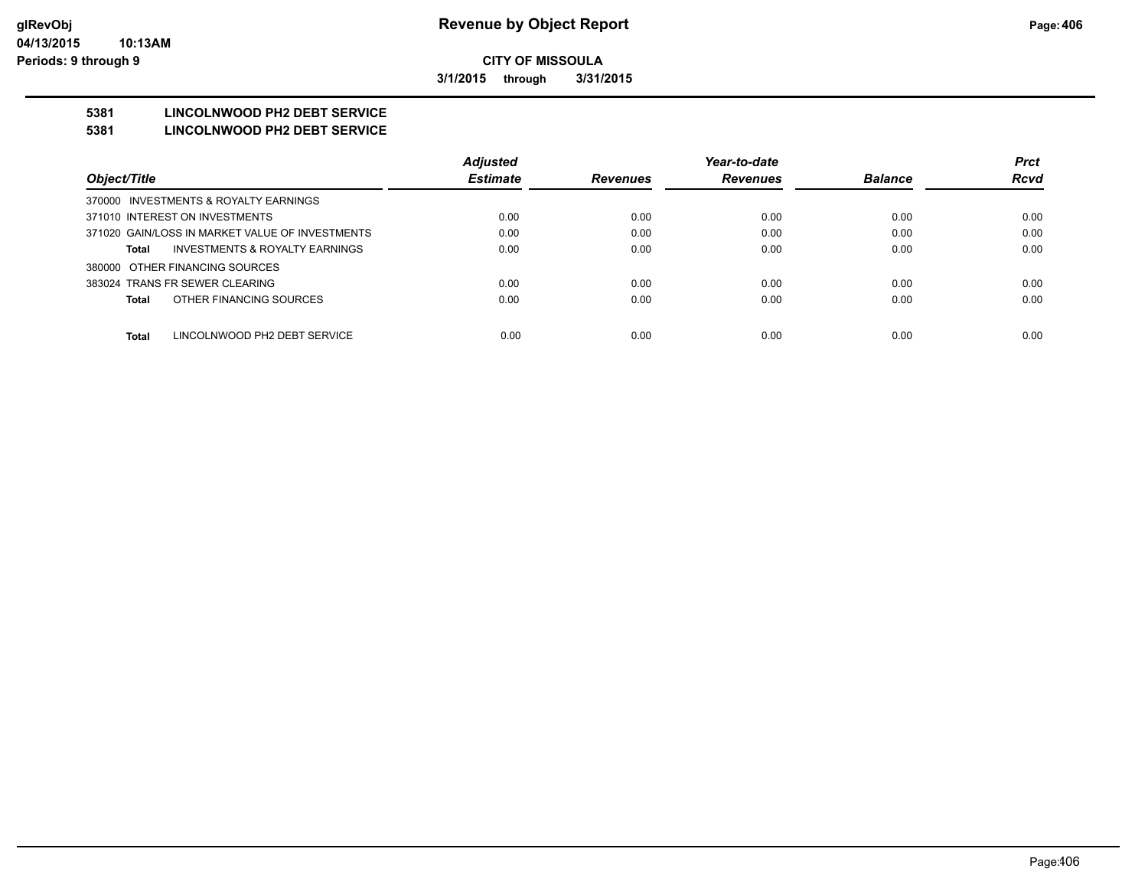**3/1/2015 through 3/31/2015**

# **5381 LINCOLNWOOD PH2 DEBT SERVICE**

#### **5381 LINCOLNWOOD PH2 DEBT SERVICE**

|                                                 | <b>Adjusted</b> |                 | Year-to-date    |                | <b>Prct</b> |
|-------------------------------------------------|-----------------|-----------------|-----------------|----------------|-------------|
| Object/Title                                    | <b>Estimate</b> | <b>Revenues</b> | <b>Revenues</b> | <b>Balance</b> | <b>Rcvd</b> |
| 370000 INVESTMENTS & ROYALTY EARNINGS           |                 |                 |                 |                |             |
| 371010 INTEREST ON INVESTMENTS                  | 0.00            | 0.00            | 0.00            | 0.00           | 0.00        |
| 371020 GAIN/LOSS IN MARKET VALUE OF INVESTMENTS | 0.00            | 0.00            | 0.00            | 0.00           | 0.00        |
| INVESTMENTS & ROYALTY EARNINGS<br>Total         | 0.00            | 0.00            | 0.00            | 0.00           | 0.00        |
| 380000 OTHER FINANCING SOURCES                  |                 |                 |                 |                |             |
| 383024 TRANS FR SEWER CLEARING                  | 0.00            | 0.00            | 0.00            | 0.00           | 0.00        |
| OTHER FINANCING SOURCES<br>Total                | 0.00            | 0.00            | 0.00            | 0.00           | 0.00        |
|                                                 |                 |                 |                 |                |             |
| Total<br>LINCOLNWOOD PH2 DEBT SERVICE           | 0.00            | 0.00            | 0.00            | 0.00           | 0.00        |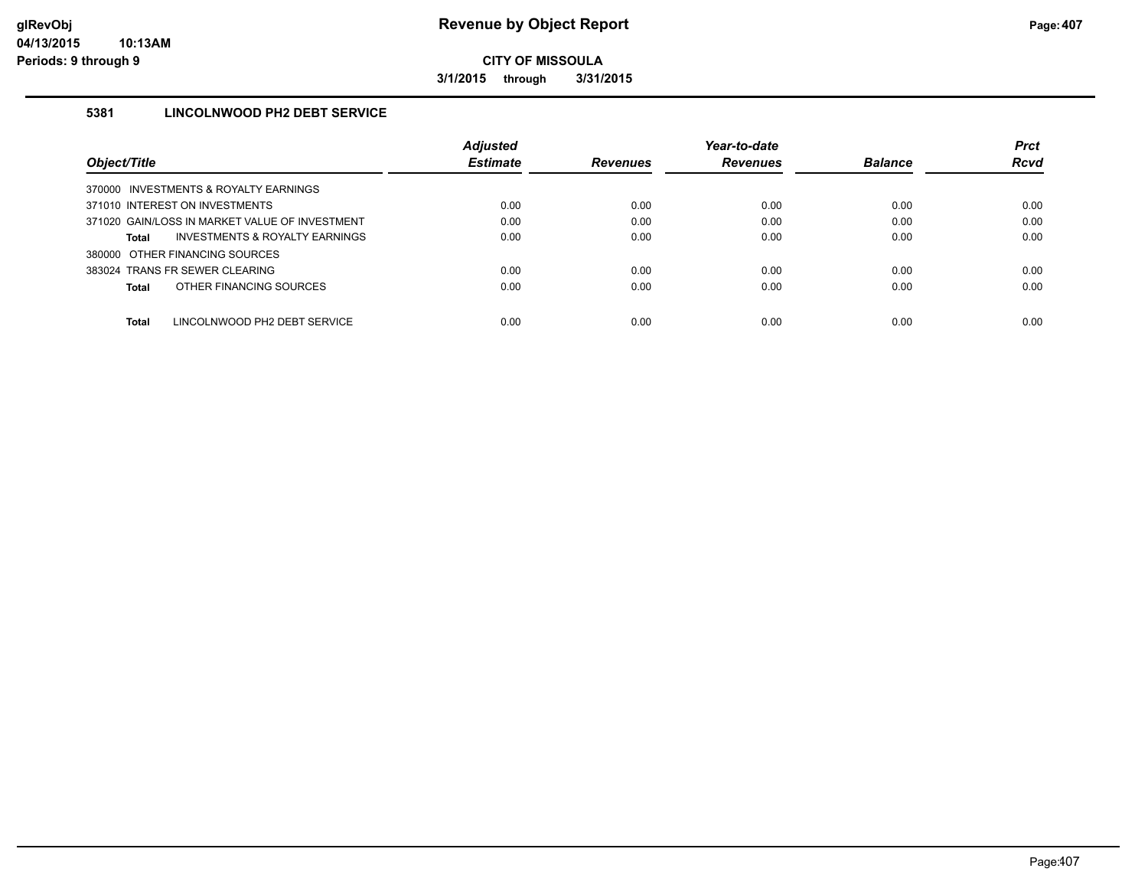**3/1/2015 through 3/31/2015**

# **5381 LINCOLNWOOD PH2 DEBT SERVICE**

|                                                | <b>Adjusted</b> |                 | Year-to-date    |                | <b>Prct</b> |
|------------------------------------------------|-----------------|-----------------|-----------------|----------------|-------------|
| Object/Title                                   | <b>Estimate</b> | <b>Revenues</b> | <b>Revenues</b> | <b>Balance</b> | <b>Rcvd</b> |
| 370000 INVESTMENTS & ROYALTY EARNINGS          |                 |                 |                 |                |             |
| 371010 INTEREST ON INVESTMENTS                 | 0.00            | 0.00            | 0.00            | 0.00           | 0.00        |
| 371020 GAIN/LOSS IN MARKET VALUE OF INVESTMENT | 0.00            | 0.00            | 0.00            | 0.00           | 0.00        |
| INVESTMENTS & ROYALTY EARNINGS<br>Total        | 0.00            | 0.00            | 0.00            | 0.00           | 0.00        |
| 380000 OTHER FINANCING SOURCES                 |                 |                 |                 |                |             |
| 383024 TRANS FR SEWER CLEARING                 | 0.00            | 0.00            | 0.00            | 0.00           | 0.00        |
| OTHER FINANCING SOURCES<br>Total               | 0.00            | 0.00            | 0.00            | 0.00           | 0.00        |
|                                                |                 |                 |                 |                |             |
| Total<br>LINCOLNWOOD PH2 DEBT SERVICE          | 0.00            | 0.00            | 0.00            | 0.00           | 0.00        |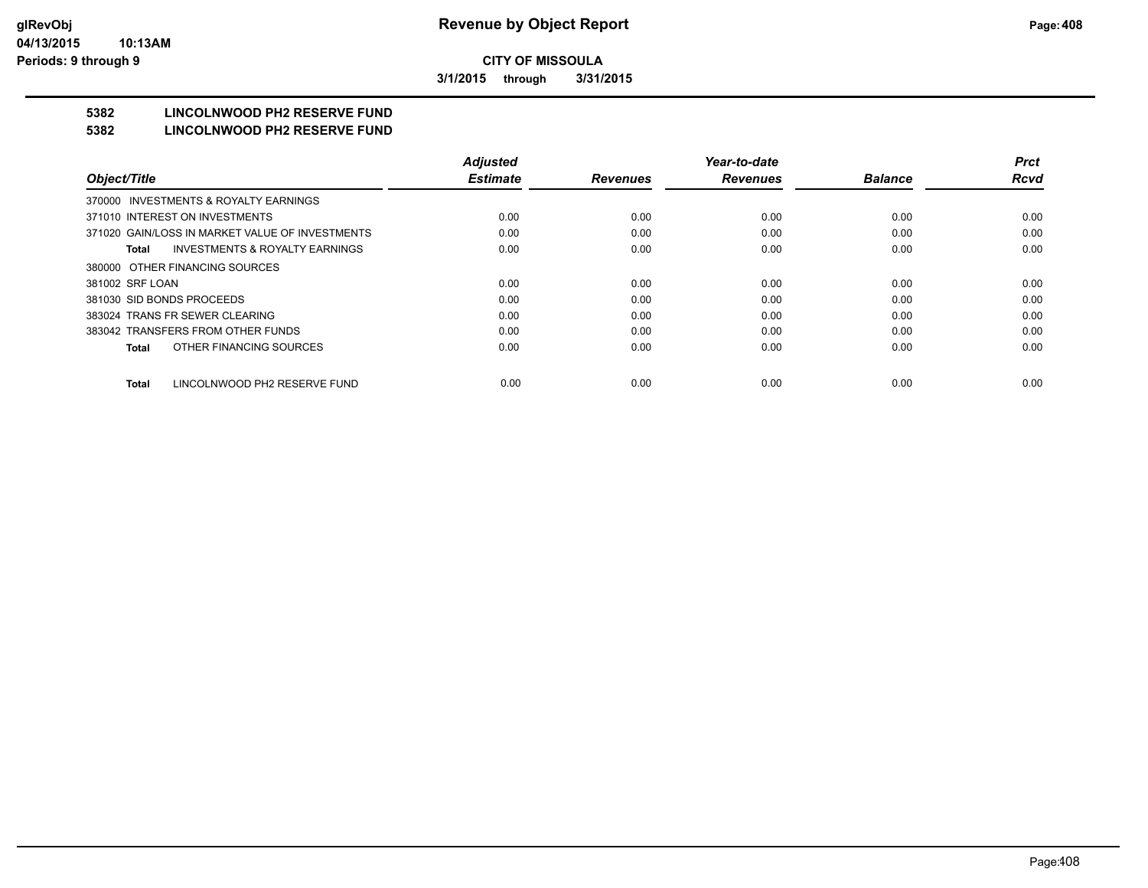**3/1/2015 through 3/31/2015**

# **5382 LINCOLNWOOD PH2 RESERVE FUND**

#### **5382 LINCOLNWOOD PH2 RESERVE FUND**

|                                                    | <b>Adjusted</b> |                 | Year-to-date    |                | <b>Prct</b> |
|----------------------------------------------------|-----------------|-----------------|-----------------|----------------|-------------|
| Object/Title                                       | <b>Estimate</b> | <b>Revenues</b> | <b>Revenues</b> | <b>Balance</b> | <b>Rcvd</b> |
| 370000 INVESTMENTS & ROYALTY EARNINGS              |                 |                 |                 |                |             |
| 371010 INTEREST ON INVESTMENTS                     | 0.00            | 0.00            | 0.00            | 0.00           | 0.00        |
| 371020 GAIN/LOSS IN MARKET VALUE OF INVESTMENTS    | 0.00            | 0.00            | 0.00            | 0.00           | 0.00        |
| <b>INVESTMENTS &amp; ROYALTY EARNINGS</b><br>Total | 0.00            | 0.00            | 0.00            | 0.00           | 0.00        |
| 380000 OTHER FINANCING SOURCES                     |                 |                 |                 |                |             |
| 381002 SRF LOAN                                    | 0.00            | 0.00            | 0.00            | 0.00           | 0.00        |
| 381030 SID BONDS PROCEEDS                          | 0.00            | 0.00            | 0.00            | 0.00           | 0.00        |
| 383024 TRANS FR SEWER CLEARING                     | 0.00            | 0.00            | 0.00            | 0.00           | 0.00        |
| 383042 TRANSFERS FROM OTHER FUNDS                  | 0.00            | 0.00            | 0.00            | 0.00           | 0.00        |
| OTHER FINANCING SOURCES<br>Total                   | 0.00            | 0.00            | 0.00            | 0.00           | 0.00        |
| LINCOLNWOOD PH2 RESERVE FUND<br><b>Total</b>       | 0.00            | 0.00            | 0.00            | 0.00           | 0.00        |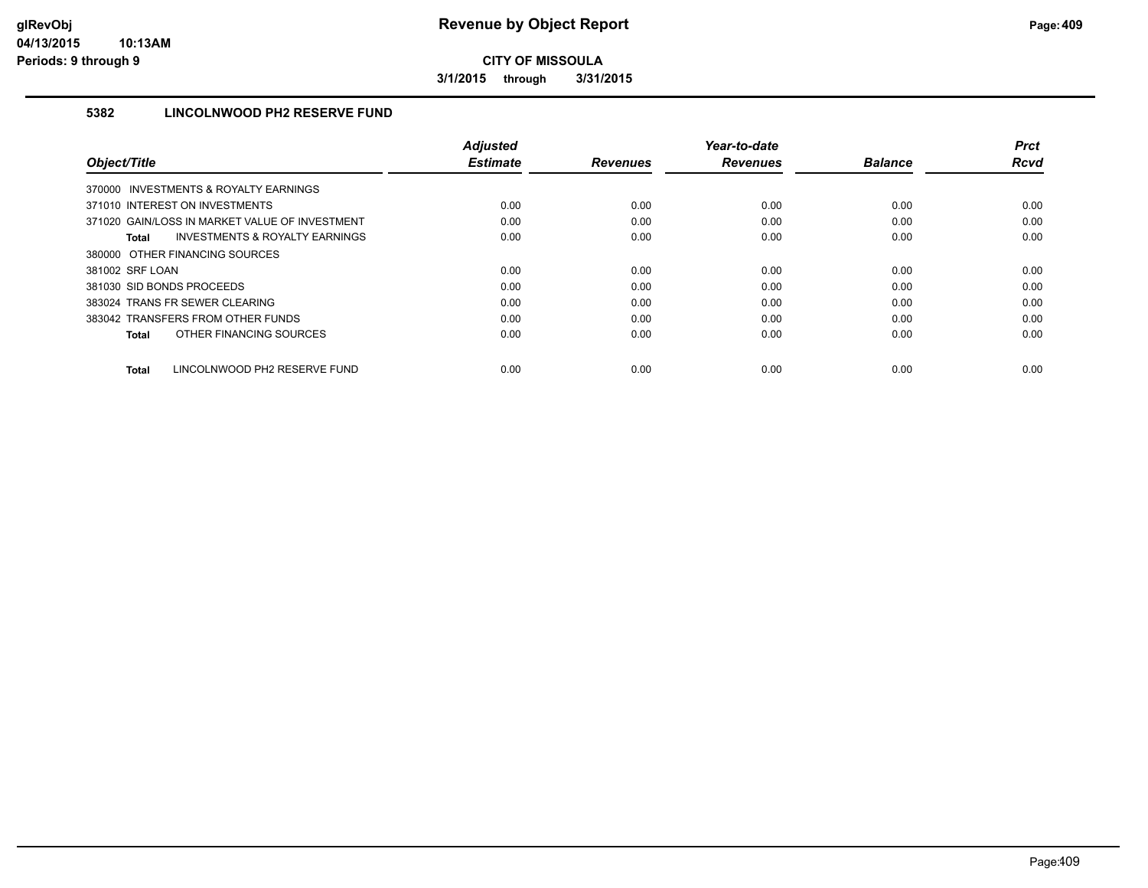**3/1/2015 through 3/31/2015**

# **5382 LINCOLNWOOD PH2 RESERVE FUND**

|                                                    | <b>Adiusted</b> |                 | Year-to-date    |                | <b>Prct</b> |
|----------------------------------------------------|-----------------|-----------------|-----------------|----------------|-------------|
| Object/Title                                       | <b>Estimate</b> | <b>Revenues</b> | <b>Revenues</b> | <b>Balance</b> | <b>Rcvd</b> |
| 370000 INVESTMENTS & ROYALTY EARNINGS              |                 |                 |                 |                |             |
| 371010 INTEREST ON INVESTMENTS                     | 0.00            | 0.00            | 0.00            | 0.00           | 0.00        |
| 371020 GAIN/LOSS IN MARKET VALUE OF INVESTMENT     | 0.00            | 0.00            | 0.00            | 0.00           | 0.00        |
| <b>INVESTMENTS &amp; ROYALTY EARNINGS</b><br>Total | 0.00            | 0.00            | 0.00            | 0.00           | 0.00        |
| 380000 OTHER FINANCING SOURCES                     |                 |                 |                 |                |             |
| 381002 SRF LOAN                                    | 0.00            | 0.00            | 0.00            | 0.00           | 0.00        |
| 381030 SID BONDS PROCEEDS                          | 0.00            | 0.00            | 0.00            | 0.00           | 0.00        |
| 383024 TRANS FR SEWER CLEARING                     | 0.00            | 0.00            | 0.00            | 0.00           | 0.00        |
| 383042 TRANSFERS FROM OTHER FUNDS                  | 0.00            | 0.00            | 0.00            | 0.00           | 0.00        |
| OTHER FINANCING SOURCES<br>Total                   | 0.00            | 0.00            | 0.00            | 0.00           | 0.00        |
|                                                    |                 |                 |                 |                |             |
| <b>Total</b><br>LINCOLNWOOD PH2 RESERVE FUND       | 0.00            | 0.00            | 0.00            | 0.00           | 0.00        |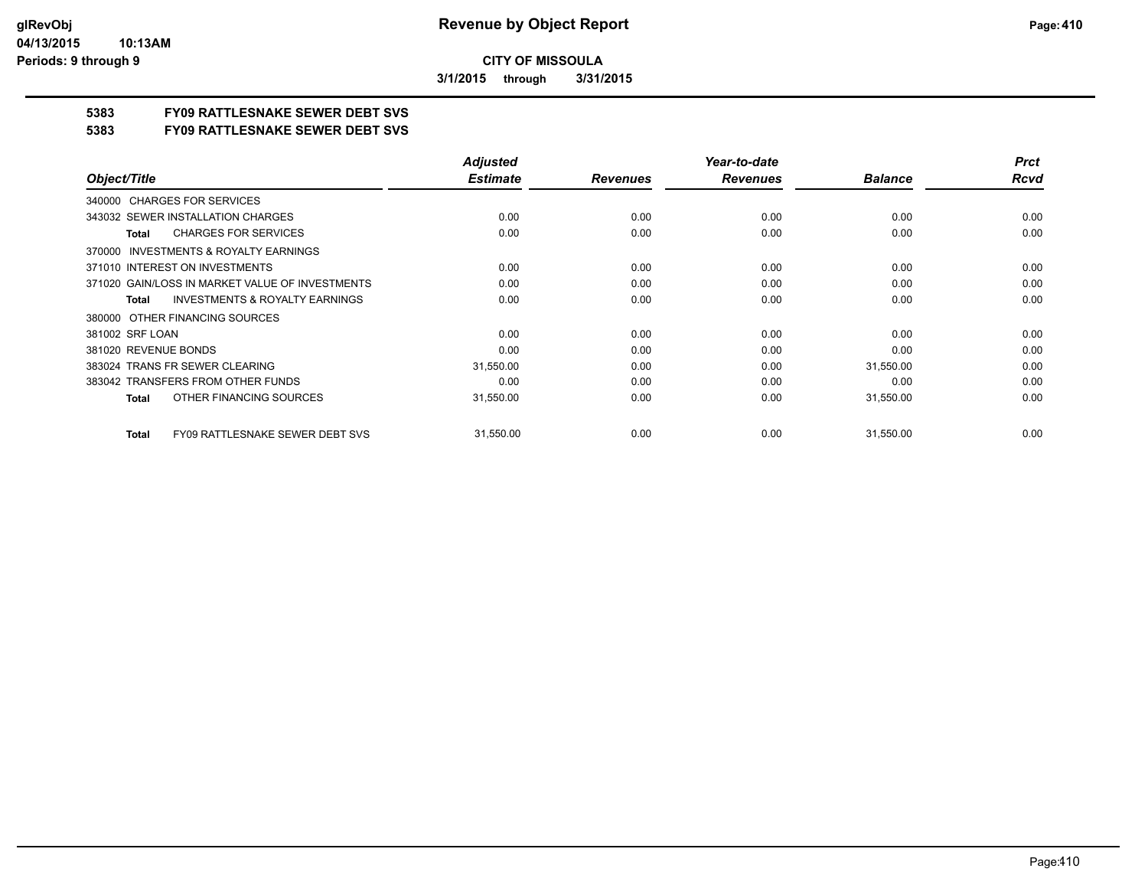**3/1/2015 through 3/31/2015**

# **5383 FY09 RATTLESNAKE SEWER DEBT SVS**

**5383 FY09 RATTLESNAKE SEWER DEBT SVS**

|                                                        | <b>Adjusted</b> |                 | Year-to-date    |                | <b>Prct</b> |
|--------------------------------------------------------|-----------------|-----------------|-----------------|----------------|-------------|
| Object/Title                                           | <b>Estimate</b> | <b>Revenues</b> | <b>Revenues</b> | <b>Balance</b> | <b>Rcvd</b> |
| 340000 CHARGES FOR SERVICES                            |                 |                 |                 |                |             |
| 343032 SEWER INSTALLATION CHARGES                      | 0.00            | 0.00            | 0.00            | 0.00           | 0.00        |
| <b>CHARGES FOR SERVICES</b><br>Total                   | 0.00            | 0.00            | 0.00            | 0.00           | 0.00        |
| <b>INVESTMENTS &amp; ROYALTY EARNINGS</b><br>370000    |                 |                 |                 |                |             |
| 371010 INTEREST ON INVESTMENTS                         | 0.00            | 0.00            | 0.00            | 0.00           | 0.00        |
| 371020 GAIN/LOSS IN MARKET VALUE OF INVESTMENTS        | 0.00            | 0.00            | 0.00            | 0.00           | 0.00        |
| <b>INVESTMENTS &amp; ROYALTY EARNINGS</b><br>Total     | 0.00            | 0.00            | 0.00            | 0.00           | 0.00        |
| OTHER FINANCING SOURCES<br>380000                      |                 |                 |                 |                |             |
| 381002 SRF LOAN                                        | 0.00            | 0.00            | 0.00            | 0.00           | 0.00        |
| 381020 REVENUE BONDS                                   | 0.00            | 0.00            | 0.00            | 0.00           | 0.00        |
| 383024 TRANS FR SEWER CLEARING                         | 31,550.00       | 0.00            | 0.00            | 31,550.00      | 0.00        |
| 383042 TRANSFERS FROM OTHER FUNDS                      | 0.00            | 0.00            | 0.00            | 0.00           | 0.00        |
| OTHER FINANCING SOURCES<br>Total                       | 31,550.00       | 0.00            | 0.00            | 31,550.00      | 0.00        |
| <b>FY09 RATTLESNAKE SEWER DEBT SVS</b><br><b>Total</b> | 31,550.00       | 0.00            | 0.00            | 31,550.00      | 0.00        |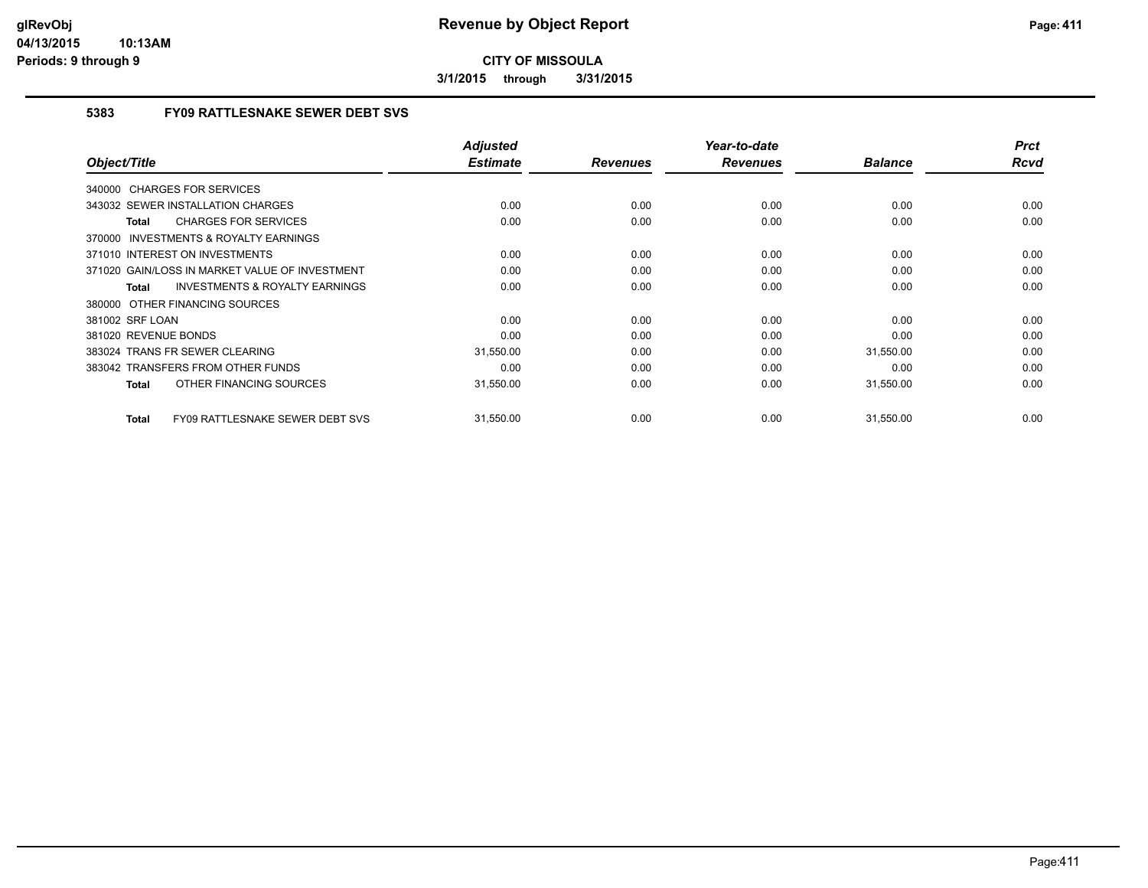**3/1/2015 through 3/31/2015**

# **5383 FY09 RATTLESNAKE SEWER DEBT SVS**

| Object/Title                                              | <b>Adjusted</b><br><b>Estimate</b> | <b>Revenues</b> | Year-to-date<br><b>Revenues</b> | <b>Balance</b> | <b>Prct</b><br>Rcvd |
|-----------------------------------------------------------|------------------------------------|-----------------|---------------------------------|----------------|---------------------|
| 340000 CHARGES FOR SERVICES                               |                                    |                 |                                 |                |                     |
|                                                           |                                    |                 |                                 |                |                     |
| 343032 SEWER INSTALLATION CHARGES                         | 0.00                               | 0.00            | 0.00                            | 0.00           | 0.00                |
| <b>CHARGES FOR SERVICES</b><br>Total                      | 0.00                               | 0.00            | 0.00                            | 0.00           | 0.00                |
| INVESTMENTS & ROYALTY EARNINGS<br>370000                  |                                    |                 |                                 |                |                     |
| 371010 INTEREST ON INVESTMENTS                            | 0.00                               | 0.00            | 0.00                            | 0.00           | 0.00                |
| 371020 GAIN/LOSS IN MARKET VALUE OF INVESTMENT            | 0.00                               | 0.00            | 0.00                            | 0.00           | 0.00                |
| <b>INVESTMENTS &amp; ROYALTY EARNINGS</b><br><b>Total</b> | 0.00                               | 0.00            | 0.00                            | 0.00           | 0.00                |
| 380000 OTHER FINANCING SOURCES                            |                                    |                 |                                 |                |                     |
| 381002 SRF LOAN                                           | 0.00                               | 0.00            | 0.00                            | 0.00           | 0.00                |
| 381020 REVENUE BONDS                                      | 0.00                               | 0.00            | 0.00                            | 0.00           | 0.00                |
| 383024 TRANS FR SEWER CLEARING                            | 31,550.00                          | 0.00            | 0.00                            | 31,550.00      | 0.00                |
| 383042 TRANSFERS FROM OTHER FUNDS                         | 0.00                               | 0.00            | 0.00                            | 0.00           | 0.00                |
| OTHER FINANCING SOURCES<br><b>Total</b>                   | 31,550.00                          | 0.00            | 0.00                            | 31,550.00      | 0.00                |
| <b>FY09 RATTLESNAKE SEWER DEBT SVS</b><br><b>Total</b>    | 31,550.00                          | 0.00            | 0.00                            | 31,550.00      | 0.00                |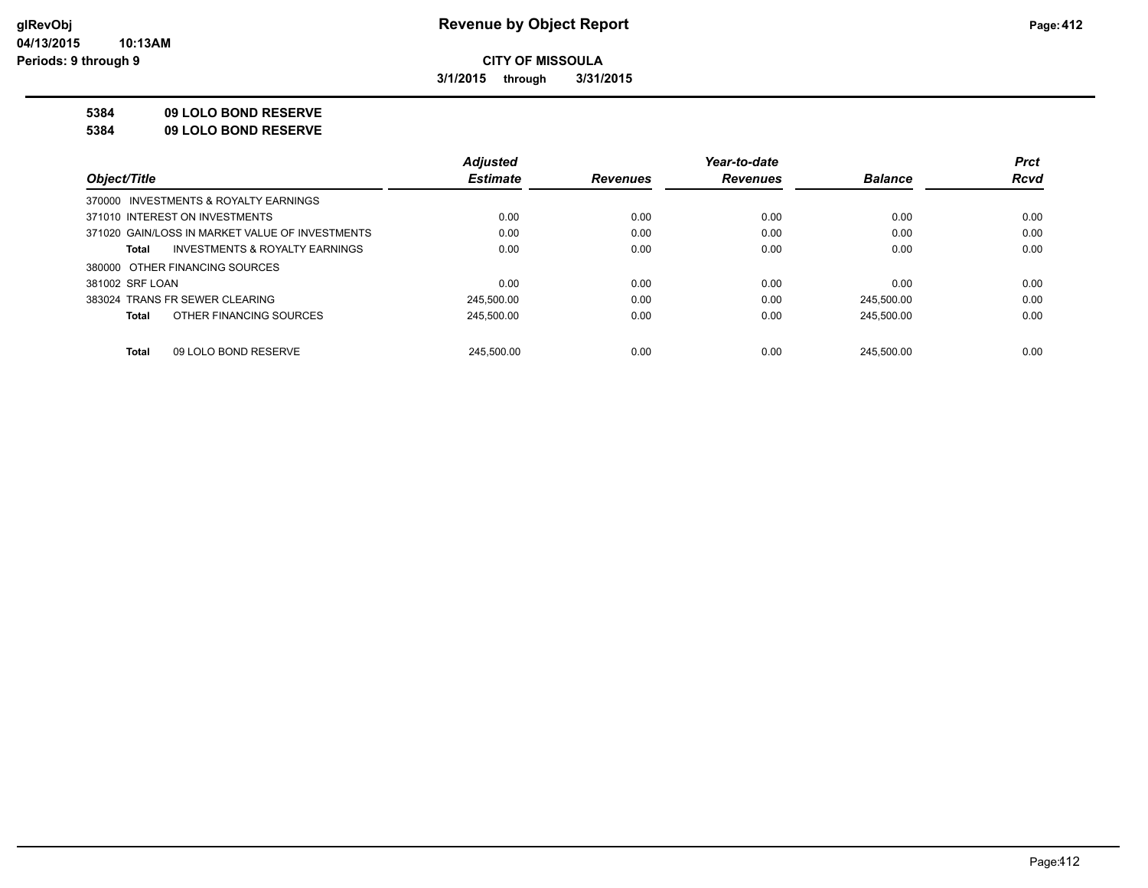**3/1/2015 through 3/31/2015**

# **5384 09 LOLO BOND RESERVE**

**5384 09 LOLO BOND RESERVE**

|                                                    | <b>Adjusted</b> |                 | Year-to-date    |                | <b>Prct</b> |
|----------------------------------------------------|-----------------|-----------------|-----------------|----------------|-------------|
| Object/Title                                       | <b>Estimate</b> | <b>Revenues</b> | <b>Revenues</b> | <b>Balance</b> | <b>Rcvd</b> |
| 370000 INVESTMENTS & ROYALTY EARNINGS              |                 |                 |                 |                |             |
| 371010 INTEREST ON INVESTMENTS                     | 0.00            | 0.00            | 0.00            | 0.00           | 0.00        |
| 371020 GAIN/LOSS IN MARKET VALUE OF INVESTMENTS    | 0.00            | 0.00            | 0.00            | 0.00           | 0.00        |
| <b>INVESTMENTS &amp; ROYALTY EARNINGS</b><br>Total | 0.00            | 0.00            | 0.00            | 0.00           | 0.00        |
| 380000 OTHER FINANCING SOURCES                     |                 |                 |                 |                |             |
| 381002 SRF LOAN                                    | 0.00            | 0.00            | 0.00            | 0.00           | 0.00        |
| 383024 TRANS FR SEWER CLEARING                     | 245,500.00      | 0.00            | 0.00            | 245,500.00     | 0.00        |
| OTHER FINANCING SOURCES<br>Total                   | 245,500.00      | 0.00            | 0.00            | 245.500.00     | 0.00        |
|                                                    |                 |                 |                 |                |             |
| 09 LOLO BOND RESERVE<br>Total                      | 245.500.00      | 0.00            | 0.00            | 245.500.00     | 0.00        |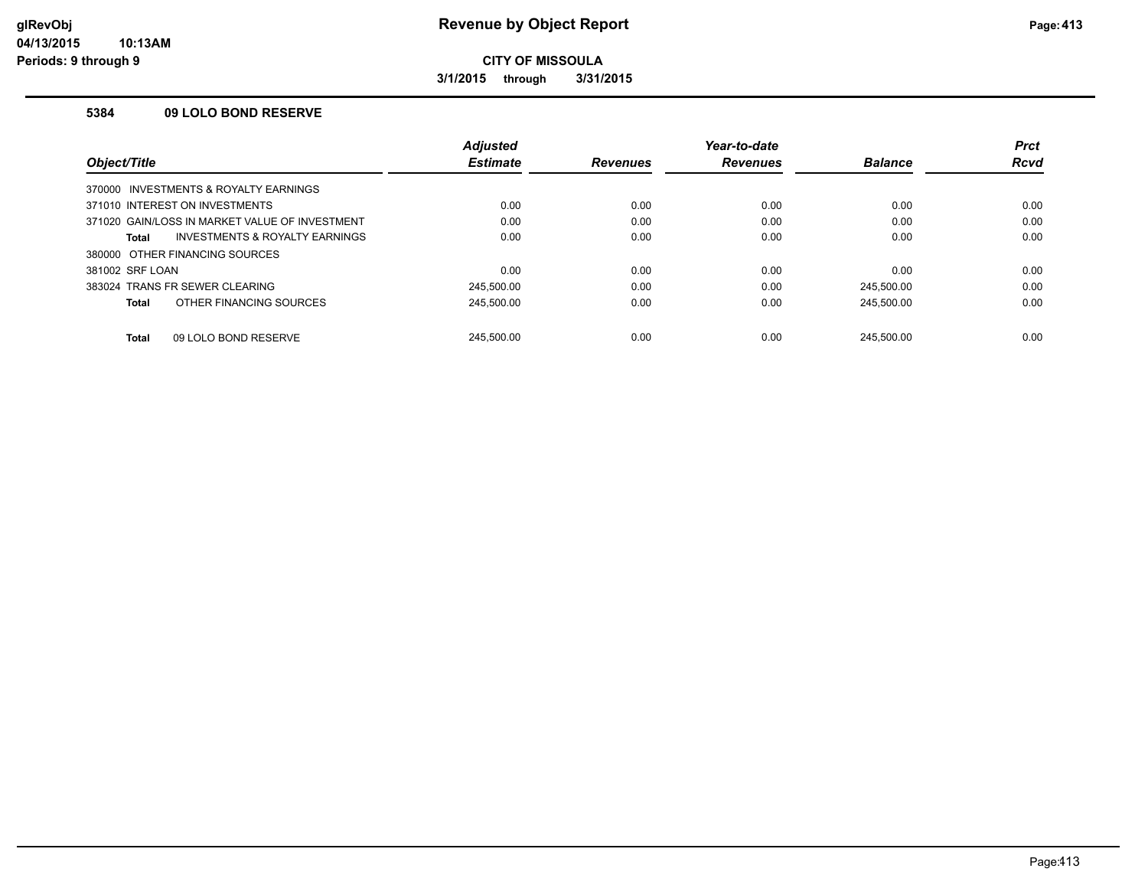**3/1/2015 through 3/31/2015**

#### **5384 09 LOLO BOND RESERVE**

|                                       |                                                | <b>Adjusted</b> |                 | Year-to-date    |                | <b>Prct</b> |
|---------------------------------------|------------------------------------------------|-----------------|-----------------|-----------------|----------------|-------------|
| Object/Title                          |                                                | <b>Estimate</b> | <b>Revenues</b> | <b>Revenues</b> | <b>Balance</b> | <b>Rcvd</b> |
| 370000 INVESTMENTS & ROYALTY EARNINGS |                                                |                 |                 |                 |                |             |
| 371010 INTEREST ON INVESTMENTS        |                                                | 0.00            | 0.00            | 0.00            | 0.00           | 0.00        |
|                                       | 371020 GAIN/LOSS IN MARKET VALUE OF INVESTMENT | 0.00            | 0.00            | 0.00            | 0.00           | 0.00        |
| <b>Total</b>                          | <b>INVESTMENTS &amp; ROYALTY EARNINGS</b>      | 0.00            | 0.00            | 0.00            | 0.00           | 0.00        |
| 380000 OTHER FINANCING SOURCES        |                                                |                 |                 |                 |                |             |
| 381002 SRF LOAN                       |                                                | 0.00            | 0.00            | 0.00            | 0.00           | 0.00        |
| 383024 TRANS FR SEWER CLEARING        |                                                | 245.500.00      | 0.00            | 0.00            | 245.500.00     | 0.00        |
| <b>Total</b>                          | OTHER FINANCING SOURCES                        | 245.500.00      | 0.00            | 0.00            | 245.500.00     | 0.00        |
| <b>Total</b>                          | 09 LOLO BOND RESERVE                           | 245.500.00      | 0.00            | 0.00            | 245.500.00     | 0.00        |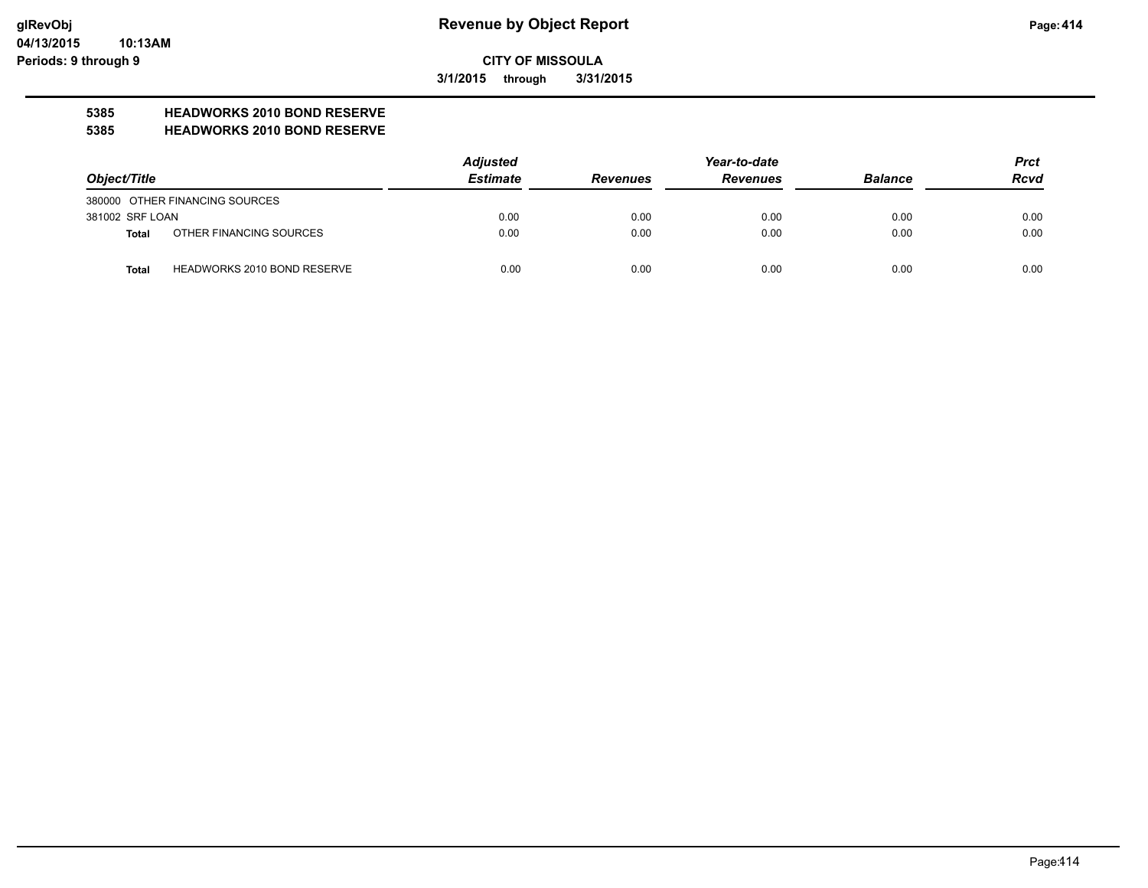**3/1/2015 through 3/31/2015**

# **5385 HEADWORKS 2010 BOND RESERVE**

#### **5385 HEADWORKS 2010 BOND RESERVE**

|                 |                                    | <b>Adjusted</b> |                 | <b>Prct</b>     |                |             |
|-----------------|------------------------------------|-----------------|-----------------|-----------------|----------------|-------------|
| Object/Title    |                                    | <b>Estimate</b> | <b>Revenues</b> | <b>Revenues</b> | <b>Balance</b> | <b>Rcvd</b> |
|                 | 380000 OTHER FINANCING SOURCES     |                 |                 |                 |                |             |
| 381002 SRF LOAN |                                    | 0.00            | 0.00            | 0.00            | 0.00           | 0.00        |
| Total           | OTHER FINANCING SOURCES            | 0.00            | 0.00            | 0.00            | 0.00           | 0.00        |
| <b>Total</b>    | <b>HEADWORKS 2010 BOND RESERVE</b> | 0.00            | 0.00            | 0.00            | 0.00           | 0.00        |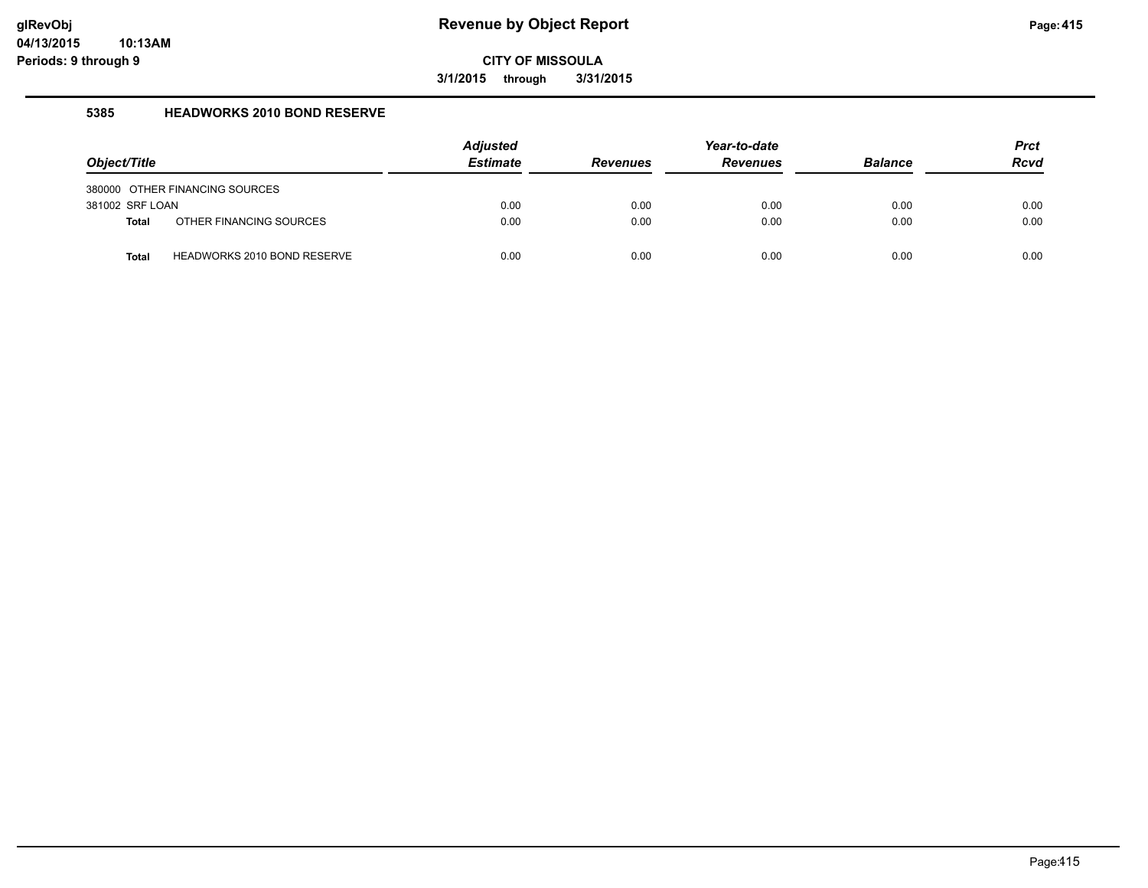**3/1/2015 through 3/31/2015**

### **5385 HEADWORKS 2010 BOND RESERVE**

| Object/Title    |                                    | <b>Adjusted</b><br><b>Estimate</b> | <b>Revenues</b> | Year-to-date<br><b>Revenues</b> | <b>Balance</b> | <b>Prct</b><br><b>Rcvd</b> |
|-----------------|------------------------------------|------------------------------------|-----------------|---------------------------------|----------------|----------------------------|
|                 | 380000 OTHER FINANCING SOURCES     |                                    |                 |                                 |                |                            |
| 381002 SRF LOAN |                                    | 0.00                               | 0.00            | 0.00                            | 0.00           | 0.00                       |
| <b>Total</b>    | OTHER FINANCING SOURCES            | 0.00                               | 0.00            | 0.00                            | 0.00           | 0.00                       |
| <b>Total</b>    | <b>HEADWORKS 2010 BOND RESERVE</b> | 0.00                               | 0.00            | 0.00                            | 0.00           | 0.00                       |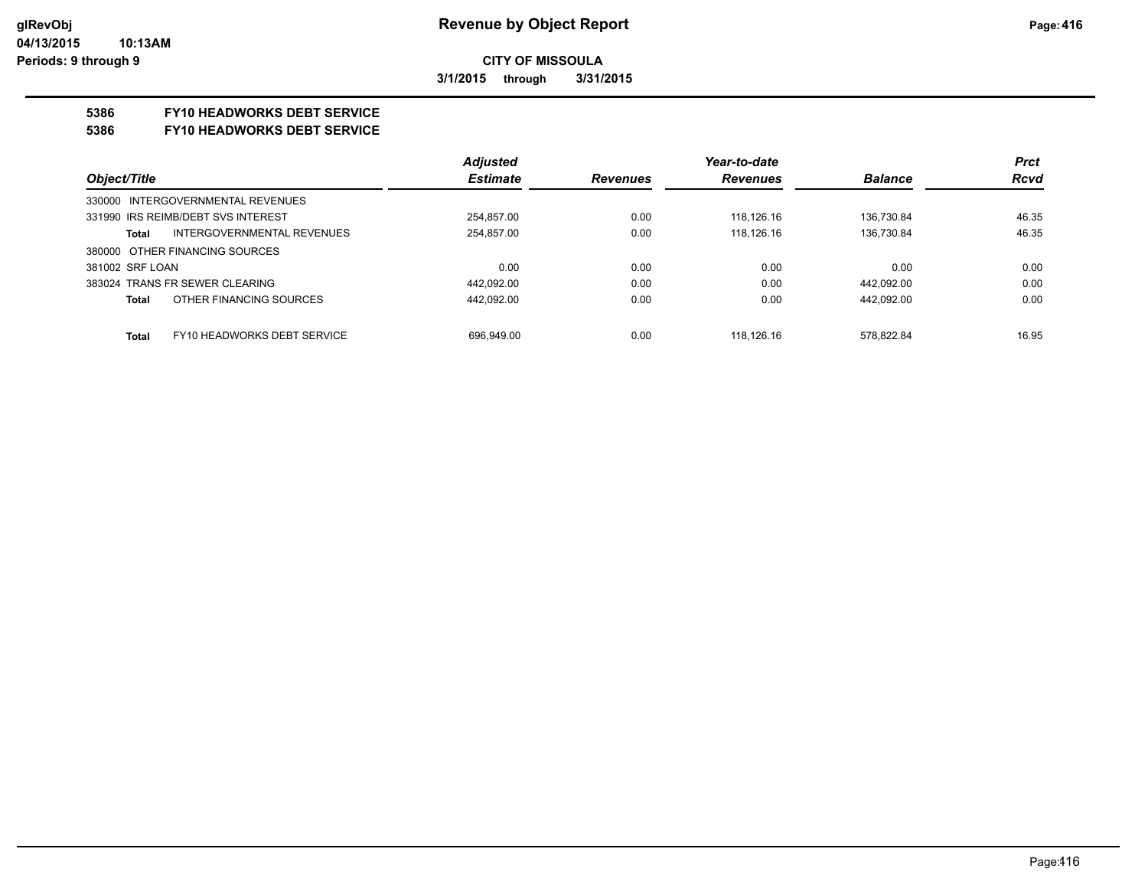**3/1/2015 through 3/31/2015**

# **5386 FY10 HEADWORKS DEBT SERVICE**

#### **5386 FY10 HEADWORKS DEBT SERVICE**

|                                            | <b>Adjusted</b> |                 | Year-to-date    |                | <b>Prct</b> |
|--------------------------------------------|-----------------|-----------------|-----------------|----------------|-------------|
| Object/Title                               | <b>Estimate</b> | <b>Revenues</b> | <b>Revenues</b> | <b>Balance</b> | <b>Rcvd</b> |
| 330000 INTERGOVERNMENTAL REVENUES          |                 |                 |                 |                |             |
| 331990 IRS REIMB/DEBT SVS INTEREST         | 254.857.00      | 0.00            | 118.126.16      | 136.730.84     | 46.35       |
| <b>INTERGOVERNMENTAL REVENUES</b><br>Total | 254,857.00      | 0.00            | 118.126.16      | 136.730.84     | 46.35       |
| 380000 OTHER FINANCING SOURCES             |                 |                 |                 |                |             |
| 381002 SRF LOAN                            | 0.00            | 0.00            | 0.00            | 0.00           | 0.00        |
| 383024 TRANS FR SEWER CLEARING             | 442.092.00      | 0.00            | 0.00            | 442,092.00     | 0.00        |
| OTHER FINANCING SOURCES<br>Total           | 442.092.00      | 0.00            | 0.00            | 442.092.00     | 0.00        |
|                                            |                 |                 |                 |                |             |
| FY10 HEADWORKS DEBT SERVICE<br>Total       | 696.949.00      | 0.00            | 118.126.16      | 578.822.84     | 16.95       |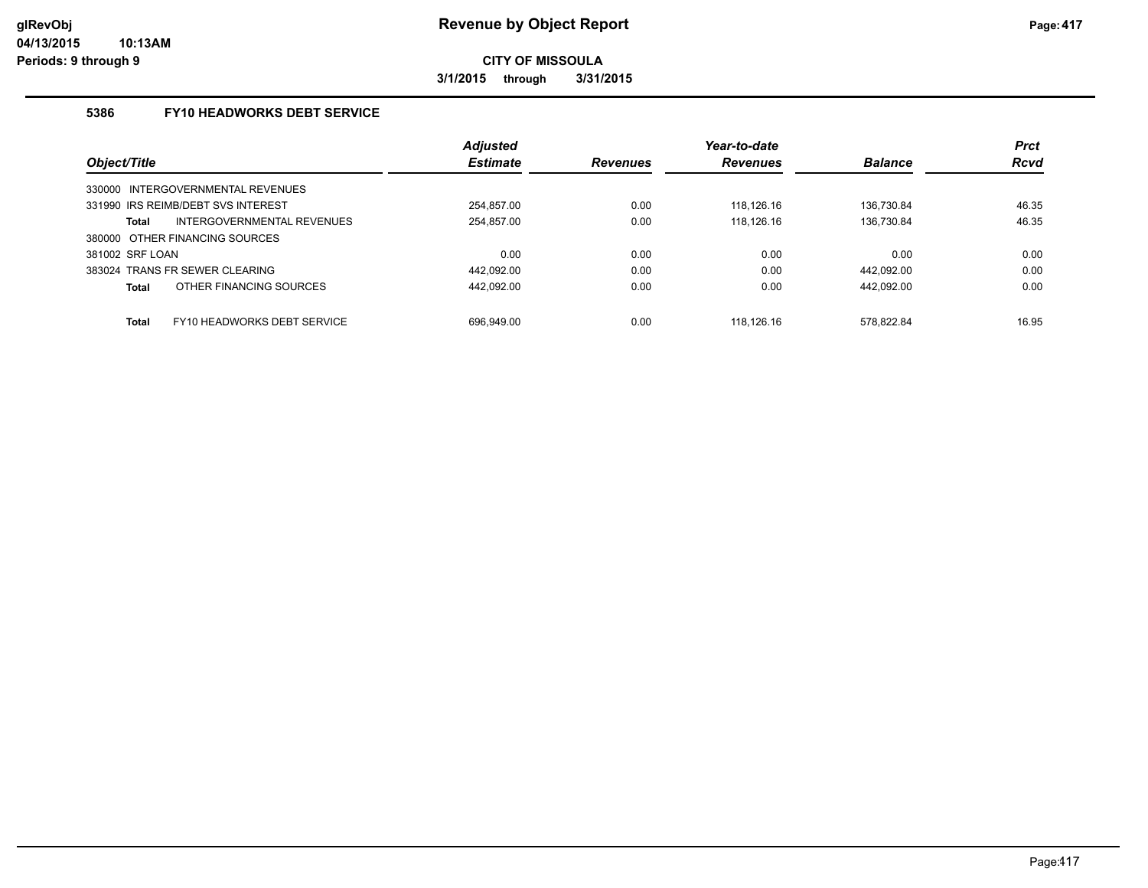**3/1/2015 through 3/31/2015**

# **5386 FY10 HEADWORKS DEBT SERVICE**

|                 |                                    | <b>Adjusted</b> |                 | Year-to-date    |                | <b>Prct</b> |
|-----------------|------------------------------------|-----------------|-----------------|-----------------|----------------|-------------|
| Object/Title    |                                    | <b>Estimate</b> | <b>Revenues</b> | <b>Revenues</b> | <b>Balance</b> | <b>Rcvd</b> |
|                 | 330000 INTERGOVERNMENTAL REVENUES  |                 |                 |                 |                |             |
|                 | 331990 IRS REIMB/DEBT SVS INTEREST | 254.857.00      | 0.00            | 118.126.16      | 136.730.84     | 46.35       |
| Total           | INTERGOVERNMENTAL REVENUES         | 254,857.00      | 0.00            | 118.126.16      | 136.730.84     | 46.35       |
|                 | 380000 OTHER FINANCING SOURCES     |                 |                 |                 |                |             |
| 381002 SRF LOAN |                                    | 0.00            | 0.00            | 0.00            | 0.00           | 0.00        |
|                 | 383024 TRANS FR SEWER CLEARING     | 442.092.00      | 0.00            | 0.00            | 442.092.00     | 0.00        |
| Total           | OTHER FINANCING SOURCES            | 442.092.00      | 0.00            | 0.00            | 442.092.00     | 0.00        |
| <b>Total</b>    | FY10 HEADWORKS DEBT SERVICE        | 696.949.00      | 0.00            | 118.126.16      | 578.822.84     | 16.95       |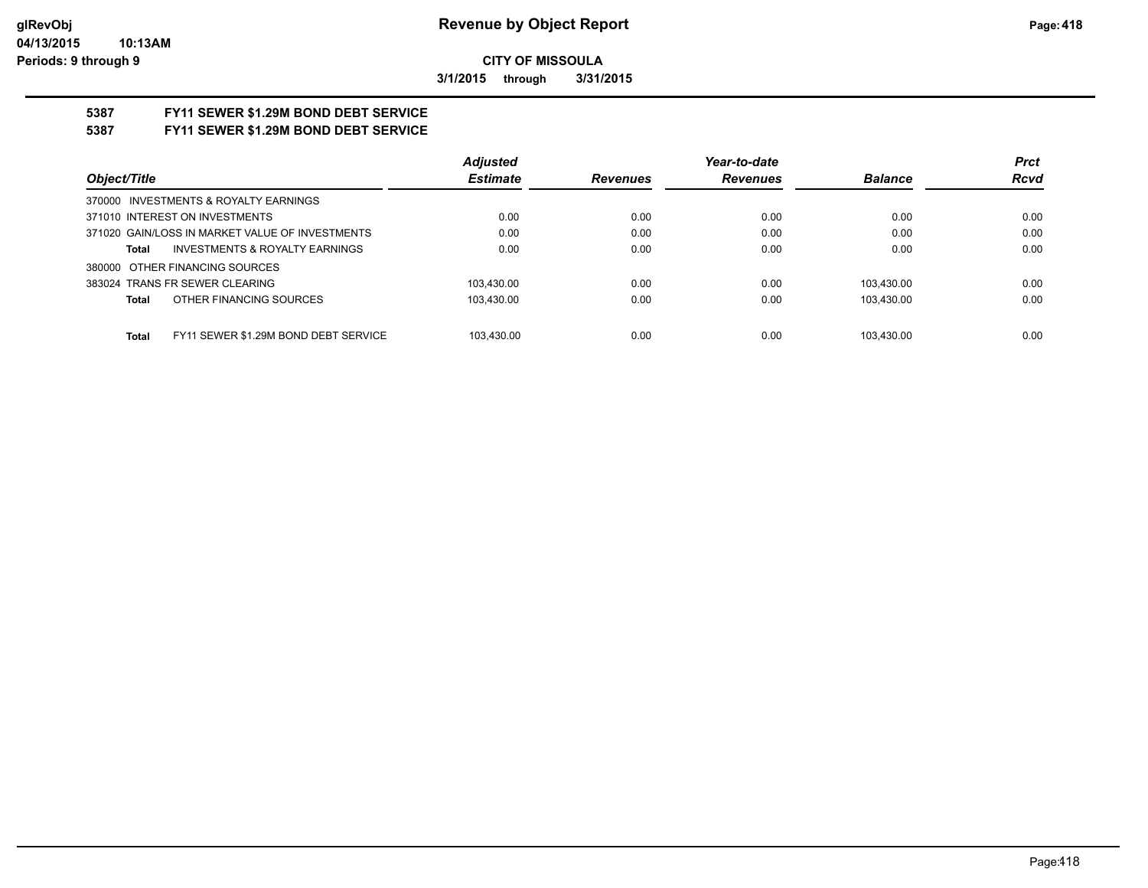**3/1/2015 through 3/31/2015**

# **5387 FY11 SEWER \$1.29M BOND DEBT SERVICE**

# **5387 FY11 SEWER \$1.29M BOND DEBT SERVICE**

|                                                      | <b>Adjusted</b> |                 | Year-to-date    |                | <b>Prct</b> |
|------------------------------------------------------|-----------------|-----------------|-----------------|----------------|-------------|
| Object/Title                                         | <b>Estimate</b> | <b>Revenues</b> | <b>Revenues</b> | <b>Balance</b> | <b>Rcvd</b> |
| 370000 INVESTMENTS & ROYALTY EARNINGS                |                 |                 |                 |                |             |
| 371010 INTEREST ON INVESTMENTS                       | 0.00            | 0.00            | 0.00            | 0.00           | 0.00        |
| 371020 GAIN/LOSS IN MARKET VALUE OF INVESTMENTS      | 0.00            | 0.00            | 0.00            | 0.00           | 0.00        |
| INVESTMENTS & ROYALTY EARNINGS<br>Total              | 0.00            | 0.00            | 0.00            | 0.00           | 0.00        |
| 380000 OTHER FINANCING SOURCES                       |                 |                 |                 |                |             |
| 383024 TRANS FR SEWER CLEARING                       | 103.430.00      | 0.00            | 0.00            | 103.430.00     | 0.00        |
| OTHER FINANCING SOURCES<br>Total                     | 103.430.00      | 0.00            | 0.00            | 103.430.00     | 0.00        |
|                                                      |                 |                 |                 |                |             |
| FY11 SEWER \$1.29M BOND DEBT SERVICE<br><b>Total</b> | 103.430.00      | 0.00            | 0.00            | 103.430.00     | 0.00        |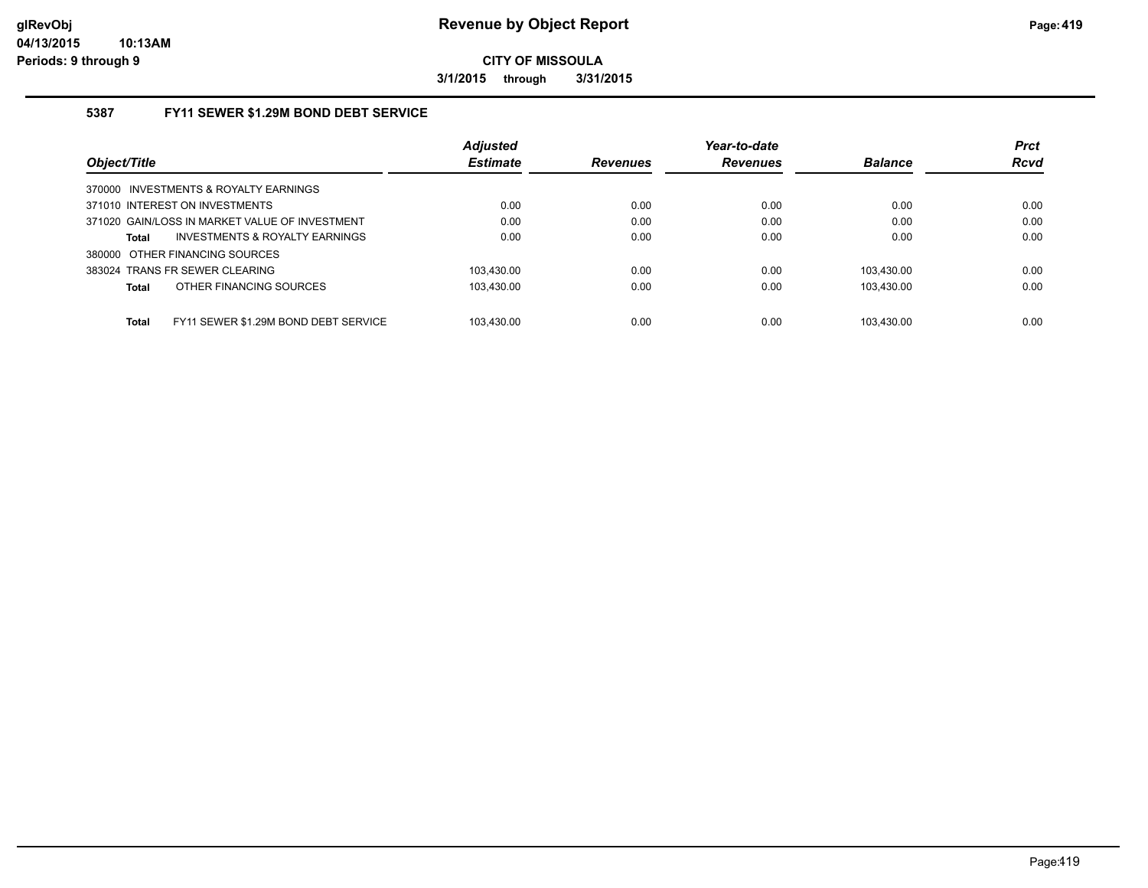**3/1/2015 through 3/31/2015**

## **5387 FY11 SEWER \$1.29M BOND DEBT SERVICE**

|                                                      | <b>Adjusted</b> |                 | Year-to-date    |                | <b>Prct</b> |
|------------------------------------------------------|-----------------|-----------------|-----------------|----------------|-------------|
| Object/Title                                         | <b>Estimate</b> | <b>Revenues</b> | <b>Revenues</b> | <b>Balance</b> | <b>Rcvd</b> |
| 370000 INVESTMENTS & ROYALTY EARNINGS                |                 |                 |                 |                |             |
| 371010 INTEREST ON INVESTMENTS                       | 0.00            | 0.00            | 0.00            | 0.00           | 0.00        |
| 371020 GAIN/LOSS IN MARKET VALUE OF INVESTMENT       | 0.00            | 0.00            | 0.00            | 0.00           | 0.00        |
| INVESTMENTS & ROYALTY EARNINGS<br><b>Total</b>       | 0.00            | 0.00            | 0.00            | 0.00           | 0.00        |
| 380000 OTHER FINANCING SOURCES                       |                 |                 |                 |                |             |
| 383024 TRANS FR SEWER CLEARING                       | 103.430.00      | 0.00            | 0.00            | 103.430.00     | 0.00        |
| OTHER FINANCING SOURCES<br><b>Total</b>              | 103.430.00      | 0.00            | 0.00            | 103.430.00     | 0.00        |
|                                                      |                 |                 |                 |                |             |
| <b>Total</b><br>FY11 SEWER \$1.29M BOND DEBT SERVICE | 103.430.00      | 0.00            | 0.00            | 103.430.00     | 0.00        |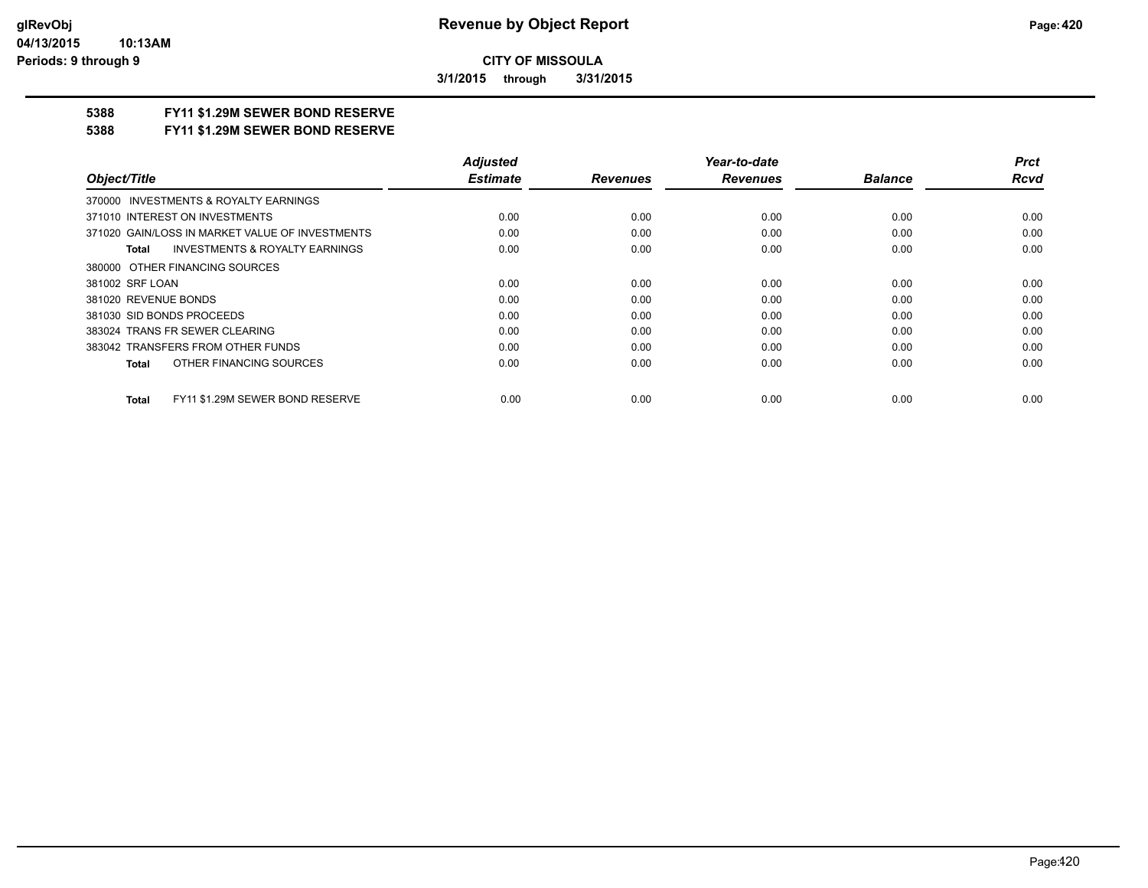**3/1/2015 through 3/31/2015**

# **5388 FY11 \$1.29M SEWER BOND RESERVE**

#### **5388 FY11 \$1.29M SEWER BOND RESERVE**

|                                                           | <b>Adjusted</b> |                 | Year-to-date    |                | <b>Prct</b> |
|-----------------------------------------------------------|-----------------|-----------------|-----------------|----------------|-------------|
| Object/Title                                              | <b>Estimate</b> | <b>Revenues</b> | <b>Revenues</b> | <b>Balance</b> | <b>Rcvd</b> |
| INVESTMENTS & ROYALTY EARNINGS<br>370000                  |                 |                 |                 |                |             |
| 371010 INTEREST ON INVESTMENTS                            | 0.00            | 0.00            | 0.00            | 0.00           | 0.00        |
| 371020 GAIN/LOSS IN MARKET VALUE OF INVESTMENTS           | 0.00            | 0.00            | 0.00            | 0.00           | 0.00        |
| <b>INVESTMENTS &amp; ROYALTY EARNINGS</b><br><b>Total</b> | 0.00            | 0.00            | 0.00            | 0.00           | 0.00        |
| 380000 OTHER FINANCING SOURCES                            |                 |                 |                 |                |             |
| 381002 SRF LOAN                                           | 0.00            | 0.00            | 0.00            | 0.00           | 0.00        |
| 381020 REVENUE BONDS                                      | 0.00            | 0.00            | 0.00            | 0.00           | 0.00        |
| 381030 SID BONDS PROCEEDS                                 | 0.00            | 0.00            | 0.00            | 0.00           | 0.00        |
| 383024 TRANS FR SEWER CLEARING                            | 0.00            | 0.00            | 0.00            | 0.00           | 0.00        |
| 383042 TRANSFERS FROM OTHER FUNDS                         | 0.00            | 0.00            | 0.00            | 0.00           | 0.00        |
| OTHER FINANCING SOURCES<br><b>Total</b>                   | 0.00            | 0.00            | 0.00            | 0.00           | 0.00        |
| FY11 \$1.29M SEWER BOND RESERVE<br><b>Total</b>           | 0.00            | 0.00            | 0.00            | 0.00           | 0.00        |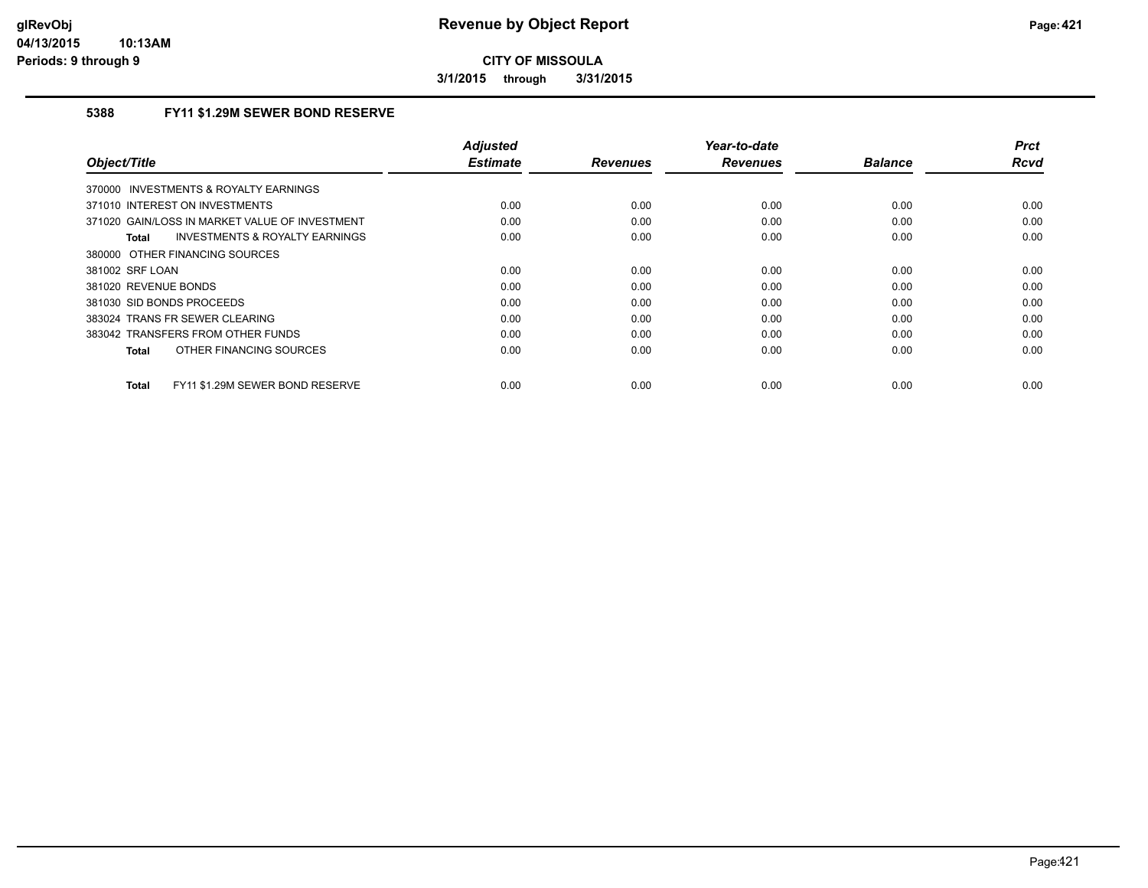**3/1/2015 through 3/31/2015**

## **5388 FY11 \$1.29M SEWER BOND RESERVE**

|                                                           | <b>Adjusted</b> |                 | Year-to-date    |                | <b>Prct</b> |
|-----------------------------------------------------------|-----------------|-----------------|-----------------|----------------|-------------|
| Object/Title                                              | <b>Estimate</b> | <b>Revenues</b> | <b>Revenues</b> | <b>Balance</b> | Rcvd        |
| 370000 INVESTMENTS & ROYALTY EARNINGS                     |                 |                 |                 |                |             |
| 371010 INTEREST ON INVESTMENTS                            | 0.00            | 0.00            | 0.00            | 0.00           | 0.00        |
| 371020 GAIN/LOSS IN MARKET VALUE OF INVESTMENT            | 0.00            | 0.00            | 0.00            | 0.00           | 0.00        |
| <b>INVESTMENTS &amp; ROYALTY EARNINGS</b><br><b>Total</b> | 0.00            | 0.00            | 0.00            | 0.00           | 0.00        |
| 380000 OTHER FINANCING SOURCES                            |                 |                 |                 |                |             |
| 381002 SRF LOAN                                           | 0.00            | 0.00            | 0.00            | 0.00           | 0.00        |
| 381020 REVENUE BONDS                                      | 0.00            | 0.00            | 0.00            | 0.00           | 0.00        |
| 381030 SID BONDS PROCEEDS                                 | 0.00            | 0.00            | 0.00            | 0.00           | 0.00        |
| 383024 TRANS FR SEWER CLEARING                            | 0.00            | 0.00            | 0.00            | 0.00           | 0.00        |
| 383042 TRANSFERS FROM OTHER FUNDS                         | 0.00            | 0.00            | 0.00            | 0.00           | 0.00        |
| OTHER FINANCING SOURCES<br><b>Total</b>                   | 0.00            | 0.00            | 0.00            | 0.00           | 0.00        |
| FY11 \$1.29M SEWER BOND RESERVE<br><b>Total</b>           | 0.00            | 0.00            | 0.00            | 0.00           | 0.00        |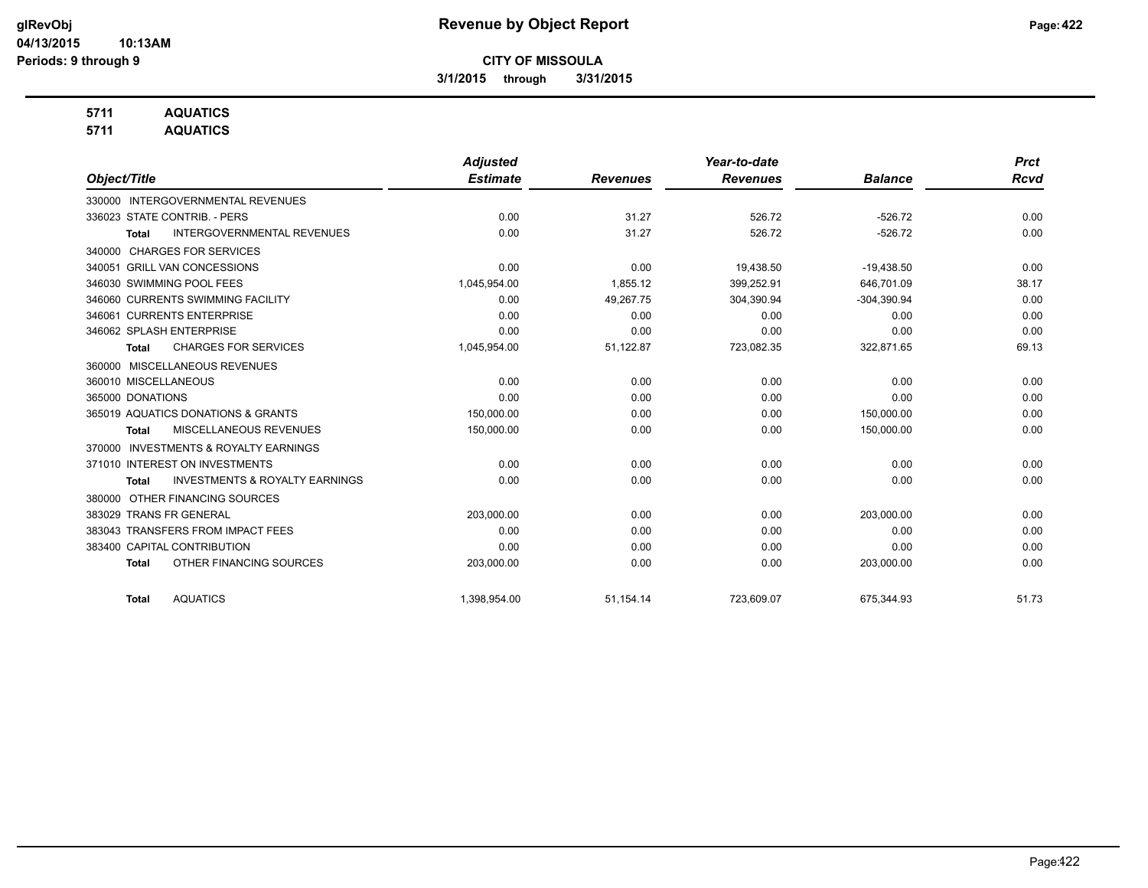**3/1/2015 through 3/31/2015**

# **5711 AQUATICS**

**5711 AQUATICS**

|                                                           | <b>Adjusted</b> |                 | Year-to-date    |                | <b>Prct</b> |
|-----------------------------------------------------------|-----------------|-----------------|-----------------|----------------|-------------|
| Object/Title                                              | <b>Estimate</b> | <b>Revenues</b> | <b>Revenues</b> | <b>Balance</b> | <b>Rcvd</b> |
| <b>INTERGOVERNMENTAL REVENUES</b><br>330000               |                 |                 |                 |                |             |
| 336023 STATE CONTRIB. - PERS                              | 0.00            | 31.27           | 526.72          | $-526.72$      | 0.00        |
| <b>INTERGOVERNMENTAL REVENUES</b><br><b>Total</b>         | 0.00            | 31.27           | 526.72          | $-526.72$      | 0.00        |
| <b>CHARGES FOR SERVICES</b><br>340000                     |                 |                 |                 |                |             |
| 340051 GRILL VAN CONCESSIONS                              | 0.00            | 0.00            | 19,438.50       | $-19,438.50$   | 0.00        |
| 346030 SWIMMING POOL FEES                                 | 1,045,954.00    | 1.855.12        | 399.252.91      | 646.701.09     | 38.17       |
| 346060 CURRENTS SWIMMING FACILITY                         | 0.00            | 49,267.75       | 304,390.94      | $-304,390.94$  | 0.00        |
| 346061 CURRENTS ENTERPRISE                                | 0.00            | 0.00            | 0.00            | 0.00           | 0.00        |
| 346062 SPLASH ENTERPRISE                                  | 0.00            | 0.00            | 0.00            | 0.00           | 0.00        |
| <b>CHARGES FOR SERVICES</b><br><b>Total</b>               | 1,045,954.00    | 51,122.87       | 723,082.35      | 322,871.65     | 69.13       |
| 360000 MISCELLANEOUS REVENUES                             |                 |                 |                 |                |             |
| 360010 MISCELLANEOUS                                      | 0.00            | 0.00            | 0.00            | 0.00           | 0.00        |
| 365000 DONATIONS                                          | 0.00            | 0.00            | 0.00            | 0.00           | 0.00        |
| 365019 AQUATICS DONATIONS & GRANTS                        | 150,000.00      | 0.00            | 0.00            | 150,000.00     | 0.00        |
| MISCELLANEOUS REVENUES<br><b>Total</b>                    | 150,000.00      | 0.00            | 0.00            | 150,000.00     | 0.00        |
| <b>INVESTMENTS &amp; ROYALTY EARNINGS</b><br>370000       |                 |                 |                 |                |             |
| 371010 INTEREST ON INVESTMENTS                            | 0.00            | 0.00            | 0.00            | 0.00           | 0.00        |
| <b>INVESTMENTS &amp; ROYALTY EARNINGS</b><br><b>Total</b> | 0.00            | 0.00            | 0.00            | 0.00           | 0.00        |
| OTHER FINANCING SOURCES<br>380000                         |                 |                 |                 |                |             |
| 383029 TRANS FR GENERAL                                   | 203.000.00      | 0.00            | 0.00            | 203,000.00     | 0.00        |
| 383043 TRANSFERS FROM IMPACT FEES                         | 0.00            | 0.00            | 0.00            | 0.00           | 0.00        |
| 383400 CAPITAL CONTRIBUTION                               | 0.00            | 0.00            | 0.00            | 0.00           | 0.00        |
| OTHER FINANCING SOURCES<br><b>Total</b>                   | 203,000.00      | 0.00            | 0.00            | 203,000.00     | 0.00        |
| <b>AQUATICS</b><br><b>Total</b>                           | 1,398,954.00    | 51,154.14       | 723,609.07      | 675,344.93     | 51.73       |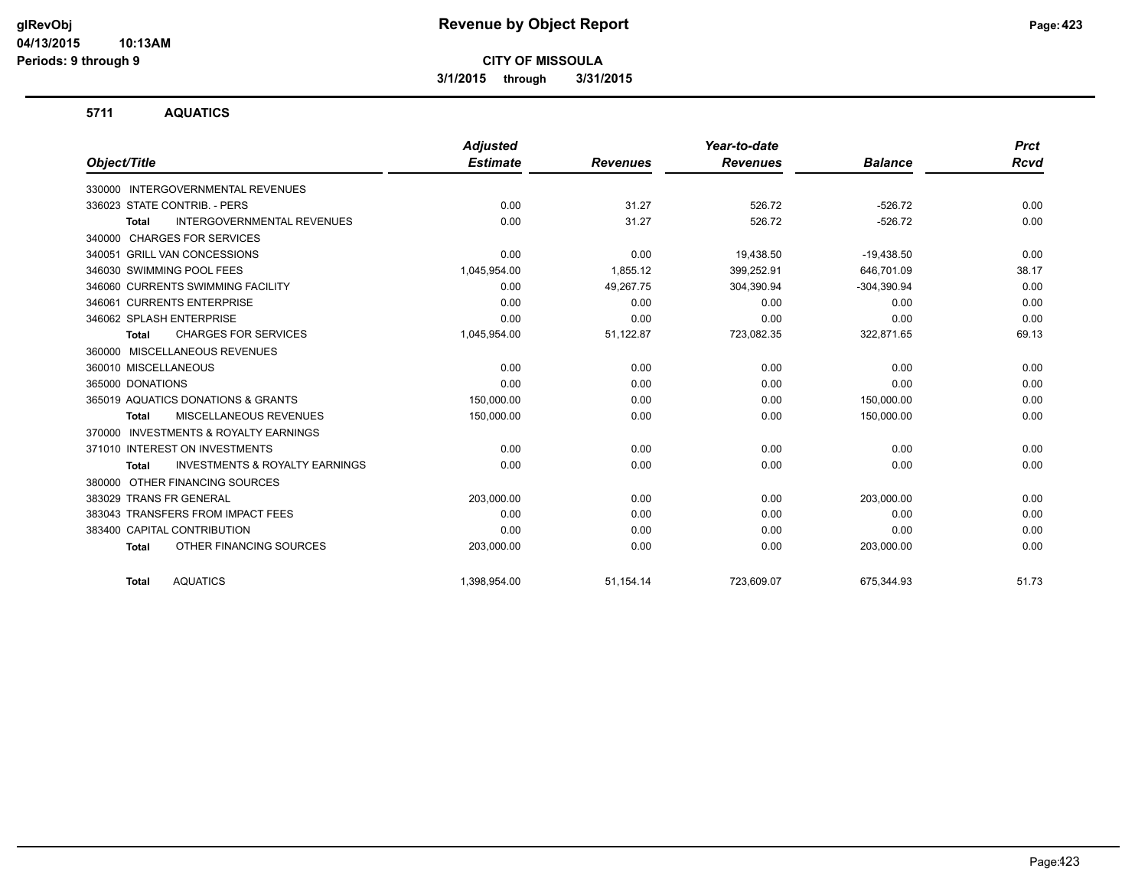**3/1/2015 through 3/31/2015**

#### **5711 AQUATICS**

|                                                           | <b>Adjusted</b> |                 | Year-to-date    |                | <b>Prct</b> |
|-----------------------------------------------------------|-----------------|-----------------|-----------------|----------------|-------------|
| Object/Title                                              | <b>Estimate</b> | <b>Revenues</b> | <b>Revenues</b> | <b>Balance</b> | <b>Rcvd</b> |
| 330000 INTERGOVERNMENTAL REVENUES                         |                 |                 |                 |                |             |
| 336023 STATE CONTRIB. - PERS                              | 0.00            | 31.27           | 526.72          | $-526.72$      | 0.00        |
| INTERGOVERNMENTAL REVENUES<br><b>Total</b>                | 0.00            | 31.27           | 526.72          | $-526.72$      | 0.00        |
| 340000 CHARGES FOR SERVICES                               |                 |                 |                 |                |             |
| 340051 GRILL VAN CONCESSIONS                              | 0.00            | 0.00            | 19,438.50       | $-19,438.50$   | 0.00        |
| 346030 SWIMMING POOL FEES                                 | 1,045,954.00    | 1,855.12        | 399,252.91      | 646,701.09     | 38.17       |
| 346060 CURRENTS SWIMMING FACILITY                         | 0.00            | 49,267.75       | 304,390.94      | $-304,390.94$  | 0.00        |
| 346061 CURRENTS ENTERPRISE                                | 0.00            | 0.00            | 0.00            | 0.00           | 0.00        |
| 346062 SPLASH ENTERPRISE                                  | 0.00            | 0.00            | 0.00            | 0.00           | 0.00        |
| <b>CHARGES FOR SERVICES</b><br><b>Total</b>               | 1,045,954.00    | 51,122.87       | 723,082.35      | 322,871.65     | 69.13       |
| 360000 MISCELLANEOUS REVENUES                             |                 |                 |                 |                |             |
| 360010 MISCELLANEOUS                                      | 0.00            | 0.00            | 0.00            | 0.00           | 0.00        |
| 365000 DONATIONS                                          | 0.00            | 0.00            | 0.00            | 0.00           | 0.00        |
| 365019 AQUATICS DONATIONS & GRANTS                        | 150,000.00      | 0.00            | 0.00            | 150,000.00     | 0.00        |
| MISCELLANEOUS REVENUES<br><b>Total</b>                    | 150,000.00      | 0.00            | 0.00            | 150,000.00     | 0.00        |
| 370000 INVESTMENTS & ROYALTY EARNINGS                     |                 |                 |                 |                |             |
| 371010 INTEREST ON INVESTMENTS                            | 0.00            | 0.00            | 0.00            | 0.00           | 0.00        |
| <b>INVESTMENTS &amp; ROYALTY EARNINGS</b><br><b>Total</b> | 0.00            | 0.00            | 0.00            | 0.00           | 0.00        |
| OTHER FINANCING SOURCES<br>380000                         |                 |                 |                 |                |             |
| 383029 TRANS FR GENERAL                                   | 203,000.00      | 0.00            | 0.00            | 203,000.00     | 0.00        |
| 383043 TRANSFERS FROM IMPACT FEES                         | 0.00            | 0.00            | 0.00            | 0.00           | 0.00        |
| 383400 CAPITAL CONTRIBUTION                               | 0.00            | 0.00            | 0.00            | 0.00           | 0.00        |
| OTHER FINANCING SOURCES<br><b>Total</b>                   | 203,000.00      | 0.00            | 0.00            | 203,000.00     | 0.00        |
| <b>AQUATICS</b><br><b>Total</b>                           | 1.398.954.00    | 51,154.14       | 723.609.07      | 675,344.93     | 51.73       |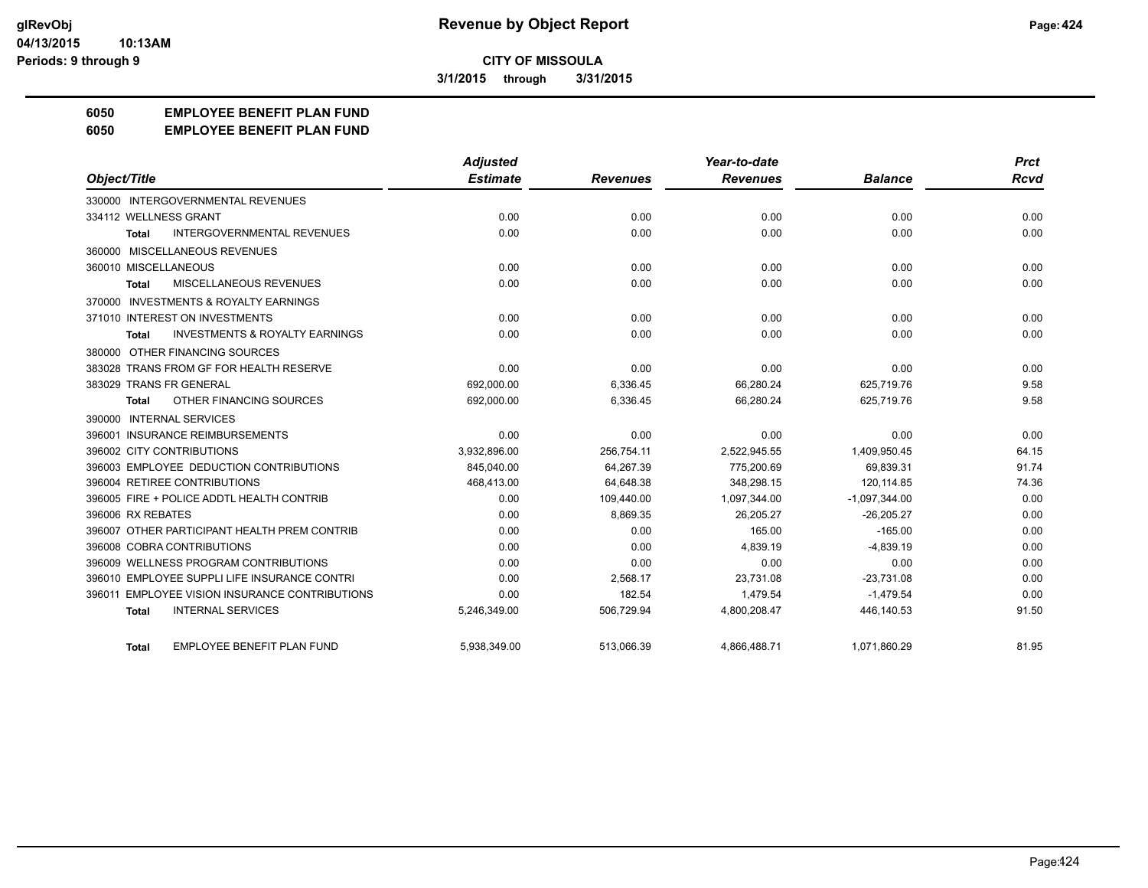**3/1/2015 through 3/31/2015**

# **6050 EMPLOYEE BENEFIT PLAN FUND**

#### **6050 EMPLOYEE BENEFIT PLAN FUND**

|                                                           | <b>Adjusted</b> |                 | Year-to-date    |                 | <b>Prct</b> |
|-----------------------------------------------------------|-----------------|-----------------|-----------------|-----------------|-------------|
| Object/Title                                              | <b>Estimate</b> | <b>Revenues</b> | <b>Revenues</b> | <b>Balance</b>  | Rcvd        |
| 330000 INTERGOVERNMENTAL REVENUES                         |                 |                 |                 |                 |             |
| 334112 WELLNESS GRANT                                     | 0.00            | 0.00            | 0.00            | 0.00            | 0.00        |
| INTERGOVERNMENTAL REVENUES<br><b>Total</b>                | 0.00            | 0.00            | 0.00            | 0.00            | 0.00        |
| 360000 MISCELLANEOUS REVENUES                             |                 |                 |                 |                 |             |
| 360010 MISCELLANEOUS                                      | 0.00            | 0.00            | 0.00            | 0.00            | 0.00        |
| MISCELLANEOUS REVENUES<br><b>Total</b>                    | 0.00            | 0.00            | 0.00            | 0.00            | 0.00        |
| 370000 INVESTMENTS & ROYALTY EARNINGS                     |                 |                 |                 |                 |             |
| 371010 INTEREST ON INVESTMENTS                            | 0.00            | 0.00            | 0.00            | 0.00            | 0.00        |
| <b>INVESTMENTS &amp; ROYALTY EARNINGS</b><br><b>Total</b> | 0.00            | 0.00            | 0.00            | 0.00            | 0.00        |
| 380000 OTHER FINANCING SOURCES                            |                 |                 |                 |                 |             |
| 383028 TRANS FROM GF FOR HEALTH RESERVE                   | 0.00            | 0.00            | 0.00            | 0.00            | 0.00        |
| 383029 TRANS FR GENERAL                                   | 692,000.00      | 6,336.45        | 66,280.24       | 625,719.76      | 9.58        |
| OTHER FINANCING SOURCES<br>Total                          | 692,000.00      | 6,336.45        | 66,280.24       | 625,719.76      | 9.58        |
| 390000 INTERNAL SERVICES                                  |                 |                 |                 |                 |             |
| 396001 INSURANCE REIMBURSEMENTS                           | 0.00            | 0.00            | 0.00            | 0.00            | 0.00        |
| 396002 CITY CONTRIBUTIONS                                 | 3.932.896.00    | 256,754.11      | 2,522,945.55    | 1,409,950.45    | 64.15       |
| 396003 EMPLOYEE DEDUCTION CONTRIBUTIONS                   | 845,040.00      | 64,267.39       | 775,200.69      | 69,839.31       | 91.74       |
| 396004 RETIREE CONTRIBUTIONS                              | 468,413.00      | 64,648.38       | 348,298.15      | 120,114.85      | 74.36       |
| 396005 FIRE + POLICE ADDTL HEALTH CONTRIB                 | 0.00            | 109,440.00      | 1,097,344.00    | $-1,097,344.00$ | 0.00        |
| 396006 RX REBATES                                         | 0.00            | 8,869.35        | 26,205.27       | $-26,205.27$    | 0.00        |
| 396007 OTHER PARTICIPANT HEALTH PREM CONTRIB              | 0.00            | 0.00            | 165.00          | $-165.00$       | 0.00        |
| 396008 COBRA CONTRIBUTIONS                                | 0.00            | 0.00            | 4.839.19        | $-4,839.19$     | 0.00        |
| 396009 WELLNESS PROGRAM CONTRIBUTIONS                     | 0.00            | 0.00            | 0.00            | 0.00            | 0.00        |
| 396010 EMPLOYEE SUPPLI LIFE INSURANCE CONTRI              | 0.00            | 2,568.17        | 23,731.08       | $-23,731.08$    | 0.00        |
| <b>EMPLOYEE VISION INSURANCE CONTRIBUTIONS</b><br>396011  | 0.00            | 182.54          | 1,479.54        | $-1,479.54$     | 0.00        |
| <b>INTERNAL SERVICES</b><br><b>Total</b>                  | 5,246,349.00    | 506,729.94      | 4,800,208.47    | 446,140.53      | 91.50       |
| <b>EMPLOYEE BENEFIT PLAN FUND</b><br>Total                | 5,938,349.00    | 513,066.39      | 4,866,488.71    | 1,071,860.29    | 81.95       |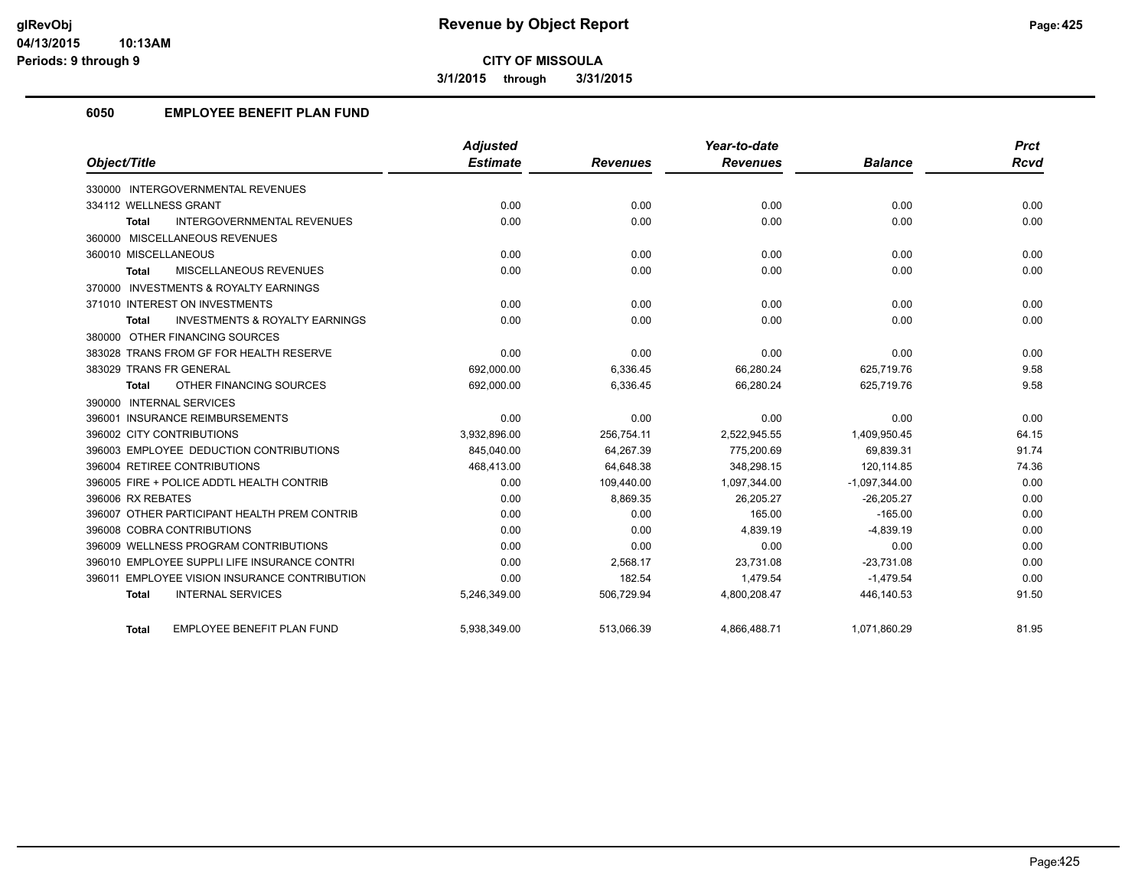**3/1/2015 through 3/31/2015**

# **6050 EMPLOYEE BENEFIT PLAN FUND**

|                                                    | <b>Adjusted</b> |                 | Year-to-date    |                 | <b>Prct</b> |
|----------------------------------------------------|-----------------|-----------------|-----------------|-----------------|-------------|
| Object/Title                                       | <b>Estimate</b> | <b>Revenues</b> | <b>Revenues</b> | <b>Balance</b>  | <b>Rcvd</b> |
| 330000 INTERGOVERNMENTAL REVENUES                  |                 |                 |                 |                 |             |
| 334112 WELLNESS GRANT                              | 0.00            | 0.00            | 0.00            | 0.00            | 0.00        |
| <b>INTERGOVERNMENTAL REVENUES</b><br>Total         | 0.00            | 0.00            | 0.00            | 0.00            | 0.00        |
| 360000 MISCELLANEOUS REVENUES                      |                 |                 |                 |                 |             |
| 360010 MISCELLANEOUS                               | 0.00            | 0.00            | 0.00            | 0.00            | 0.00        |
| MISCELLANEOUS REVENUES<br>Total                    | 0.00            | 0.00            | 0.00            | 0.00            | 0.00        |
| 370000 INVESTMENTS & ROYALTY EARNINGS              |                 |                 |                 |                 |             |
| 371010 INTEREST ON INVESTMENTS                     | 0.00            | 0.00            | 0.00            | 0.00            | 0.00        |
| <b>INVESTMENTS &amp; ROYALTY EARNINGS</b><br>Total | 0.00            | 0.00            | 0.00            | 0.00            | 0.00        |
| 380000 OTHER FINANCING SOURCES                     |                 |                 |                 |                 |             |
| 383028 TRANS FROM GF FOR HEALTH RESERVE            | 0.00            | 0.00            | 0.00            | 0.00            | 0.00        |
| 383029 TRANS FR GENERAL                            | 692,000.00      | 6,336.45        | 66,280.24       | 625,719.76      | 9.58        |
| OTHER FINANCING SOURCES<br>Total                   | 692,000.00      | 6,336.45        | 66,280.24       | 625,719.76      | 9.58        |
| 390000 INTERNAL SERVICES                           |                 |                 |                 |                 |             |
| 396001 INSURANCE REIMBURSEMENTS                    | 0.00            | 0.00            | 0.00            | 0.00            | 0.00        |
| 396002 CITY CONTRIBUTIONS                          | 3,932,896.00    | 256,754.11      | 2,522,945.55    | 1,409,950.45    | 64.15       |
| 396003 EMPLOYEE DEDUCTION CONTRIBUTIONS            | 845,040.00      | 64,267.39       | 775,200.69      | 69,839.31       | 91.74       |
| 396004 RETIREE CONTRIBUTIONS                       | 468,413.00      | 64,648.38       | 348,298.15      | 120,114.85      | 74.36       |
| 396005 FIRE + POLICE ADDTL HEALTH CONTRIB          | 0.00            | 109,440.00      | 1.097.344.00    | $-1,097,344.00$ | 0.00        |
| 396006 RX REBATES                                  | 0.00            | 8,869.35        | 26,205.27       | $-26,205.27$    | 0.00        |
| 396007 OTHER PARTICIPANT HEALTH PREM CONTRIB       | 0.00            | 0.00            | 165.00          | $-165.00$       | 0.00        |
| 396008 COBRA CONTRIBUTIONS                         | 0.00            | 0.00            | 4.839.19        | $-4,839.19$     | 0.00        |
| 396009 WELLNESS PROGRAM CONTRIBUTIONS              | 0.00            | 0.00            | 0.00            | 0.00            | 0.00        |
| 396010 EMPLOYEE SUPPLI LIFE INSURANCE CONTRI       | 0.00            | 2,568.17        | 23,731.08       | $-23,731.08$    | 0.00        |
| 396011 EMPLOYEE VISION INSURANCE CONTRIBUTION      | 0.00            | 182.54          | 1,479.54        | $-1,479.54$     | 0.00        |
| <b>INTERNAL SERVICES</b><br><b>Total</b>           | 5,246,349.00    | 506,729.94      | 4,800,208.47    | 446,140.53      | 91.50       |
| EMPLOYEE BENEFIT PLAN FUND<br>Total                | 5,938,349.00    | 513,066.39      | 4,866,488.71    | 1,071,860.29    | 81.95       |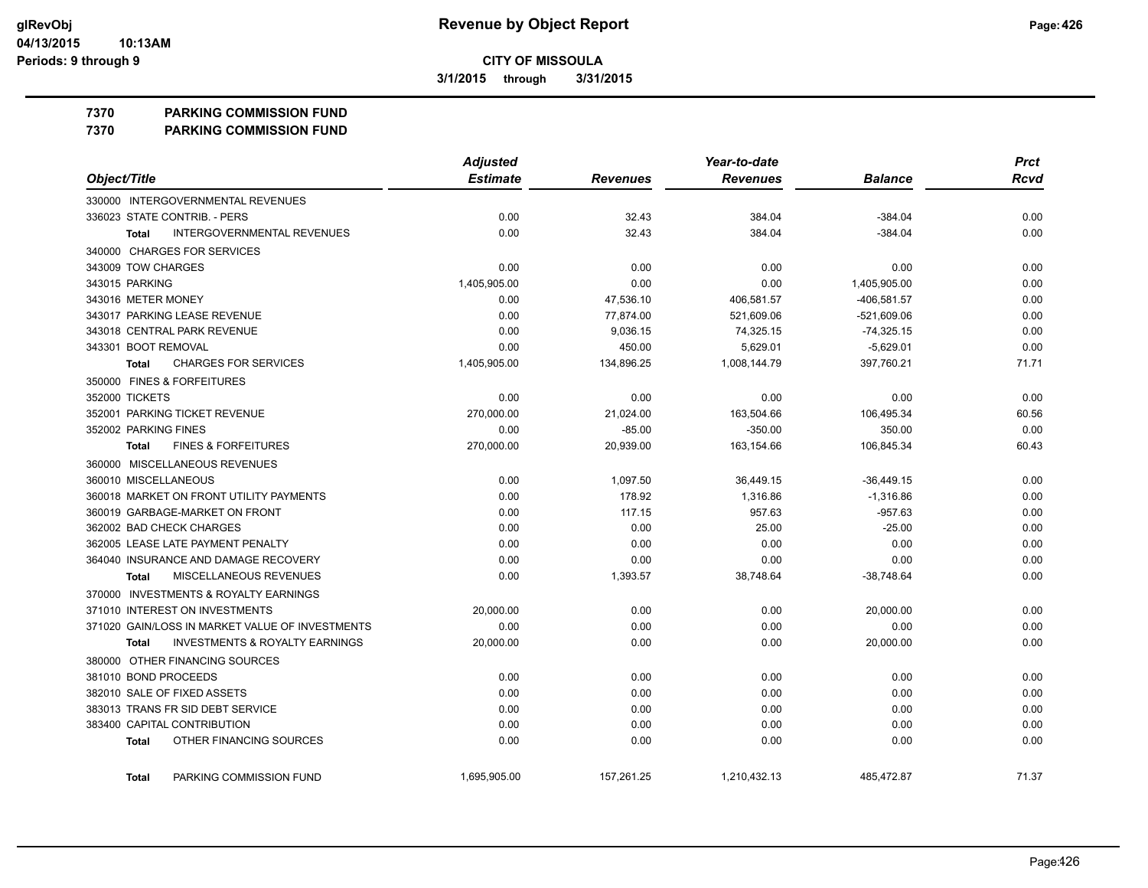**3/1/2015 through 3/31/2015**

#### **7370 PARKING COMMISSION FUND**

**7370 PARKING COMMISSION FUND**

|                                                           | <b>Adjusted</b> |                 | Year-to-date    |                | <b>Prct</b> |
|-----------------------------------------------------------|-----------------|-----------------|-----------------|----------------|-------------|
| Object/Title                                              | <b>Estimate</b> | <b>Revenues</b> | <b>Revenues</b> | <b>Balance</b> | <b>Rcvd</b> |
| 330000 INTERGOVERNMENTAL REVENUES                         |                 |                 |                 |                |             |
| 336023 STATE CONTRIB. - PERS                              | 0.00            | 32.43           | 384.04          | $-384.04$      | 0.00        |
| <b>INTERGOVERNMENTAL REVENUES</b><br><b>Total</b>         | 0.00            | 32.43           | 384.04          | $-384.04$      | 0.00        |
| 340000 CHARGES FOR SERVICES                               |                 |                 |                 |                |             |
| 343009 TOW CHARGES                                        | 0.00            | 0.00            | 0.00            | 0.00           | 0.00        |
| 343015 PARKING                                            | 1,405,905.00    | 0.00            | 0.00            | 1,405,905.00   | 0.00        |
| 343016 METER MONEY                                        | 0.00            | 47,536.10       | 406,581.57      | $-406,581.57$  | 0.00        |
| 343017 PARKING LEASE REVENUE                              | 0.00            | 77,874.00       | 521,609.06      | $-521,609.06$  | 0.00        |
| 343018 CENTRAL PARK REVENUE                               | 0.00            | 9,036.15        | 74,325.15       | $-74,325.15$   | 0.00        |
| 343301 BOOT REMOVAL                                       | 0.00            | 450.00          | 5,629.01        | $-5,629.01$    | 0.00        |
| <b>CHARGES FOR SERVICES</b><br><b>Total</b>               | 1,405,905.00    | 134,896.25      | 1,008,144.79    | 397,760.21     | 71.71       |
| 350000 FINES & FORFEITURES                                |                 |                 |                 |                |             |
| 352000 TICKETS                                            | 0.00            | 0.00            | 0.00            | 0.00           | 0.00        |
| 352001 PARKING TICKET REVENUE                             | 270,000.00      | 21,024.00       | 163,504.66      | 106,495.34     | 60.56       |
| 352002 PARKING FINES                                      | 0.00            | $-85.00$        | $-350.00$       | 350.00         | 0.00        |
| <b>FINES &amp; FORFEITURES</b><br><b>Total</b>            | 270,000.00      | 20,939.00       | 163,154.66      | 106,845.34     | 60.43       |
| 360000 MISCELLANEOUS REVENUES                             |                 |                 |                 |                |             |
| 360010 MISCELLANEOUS                                      | 0.00            | 1,097.50        | 36,449.15       | $-36,449.15$   | 0.00        |
| 360018 MARKET ON FRONT UTILITY PAYMENTS                   | 0.00            | 178.92          | 1,316.86        | $-1,316.86$    | 0.00        |
| 360019 GARBAGE-MARKET ON FRONT                            | 0.00            | 117.15          | 957.63          | $-957.63$      | 0.00        |
| 362002 BAD CHECK CHARGES                                  | 0.00            | 0.00            | 25.00           | $-25.00$       | 0.00        |
| 362005 LEASE LATE PAYMENT PENALTY                         | 0.00            | 0.00            | 0.00            | 0.00           | 0.00        |
| 364040 INSURANCE AND DAMAGE RECOVERY                      | 0.00            | 0.00            | 0.00            | 0.00           | 0.00        |
| MISCELLANEOUS REVENUES<br><b>Total</b>                    | 0.00            | 1,393.57        | 38,748.64       | -38,748.64     | 0.00        |
| 370000 INVESTMENTS & ROYALTY EARNINGS                     |                 |                 |                 |                |             |
| 371010 INTEREST ON INVESTMENTS                            | 20,000.00       | 0.00            | 0.00            | 20,000.00      | 0.00        |
| 371020 GAIN/LOSS IN MARKET VALUE OF INVESTMENTS           | 0.00            | 0.00            | 0.00            | 0.00           | 0.00        |
| <b>INVESTMENTS &amp; ROYALTY EARNINGS</b><br><b>Total</b> | 20,000.00       | 0.00            | 0.00            | 20,000.00      | 0.00        |
| 380000 OTHER FINANCING SOURCES                            |                 |                 |                 |                |             |
| 381010 BOND PROCEEDS                                      | 0.00            | 0.00            | 0.00            | 0.00           | 0.00        |
| 382010 SALE OF FIXED ASSETS                               | 0.00            | 0.00            | 0.00            | 0.00           | 0.00        |
| 383013 TRANS FR SID DEBT SERVICE                          | 0.00            | 0.00            | 0.00            | 0.00           | 0.00        |
| 383400 CAPITAL CONTRIBUTION                               | 0.00            | 0.00            | 0.00            | 0.00           | 0.00        |
| OTHER FINANCING SOURCES<br><b>Total</b>                   | 0.00            | 0.00            | 0.00            | 0.00           | 0.00        |
| PARKING COMMISSION FUND<br><b>Total</b>                   | 1,695,905.00    | 157,261.25      | 1,210,432.13    | 485,472.87     | 71.37       |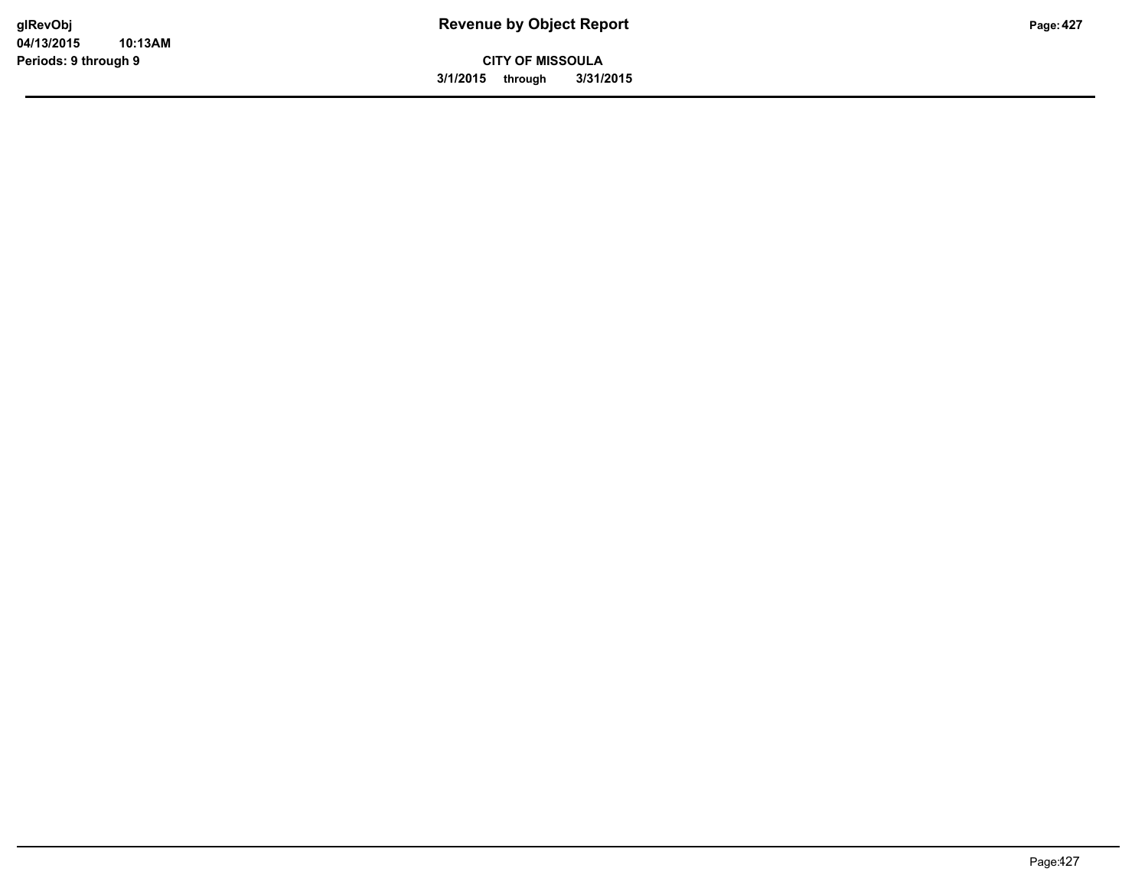**CITY OF MISSOULA 3/1/2015 through 3/31/2015**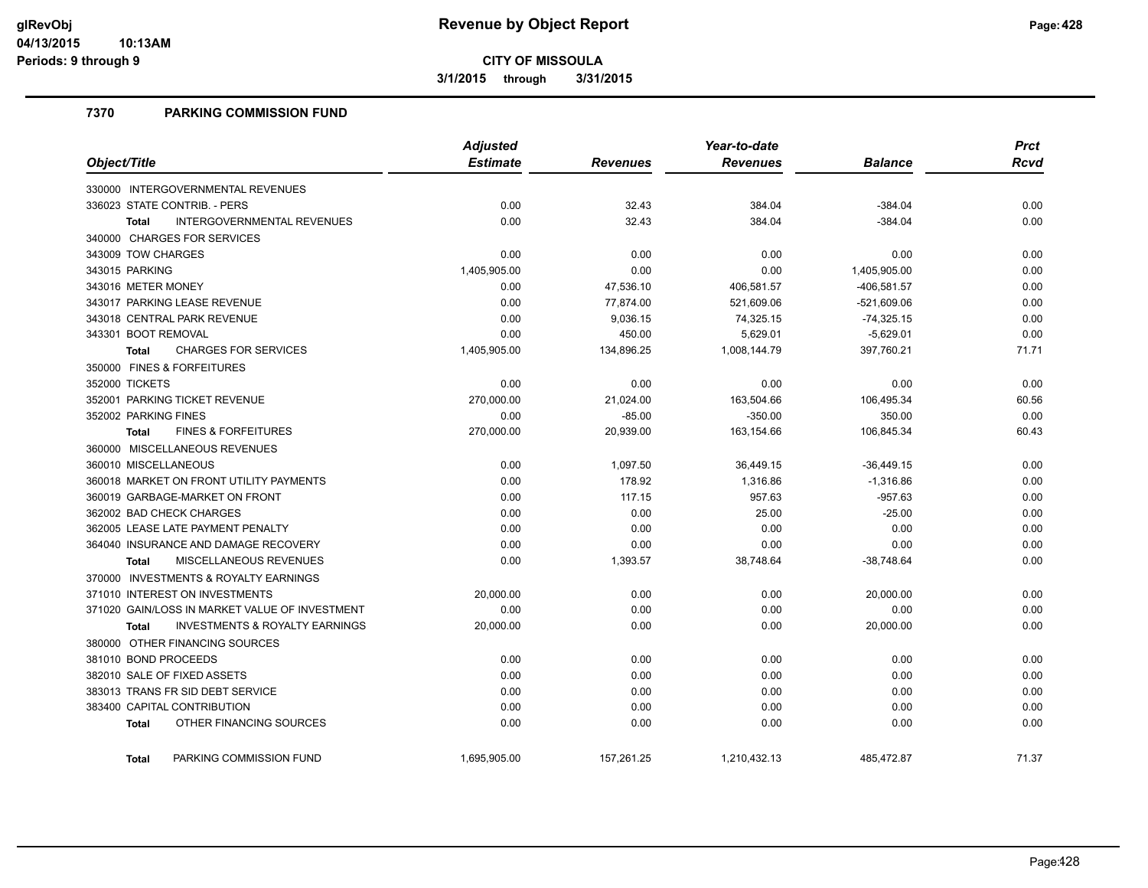**3/1/2015 through 3/31/2015**

## **7370 PARKING COMMISSION FUND**

|                                                           | <b>Adjusted</b> |                 | Year-to-date    |                | <b>Prct</b> |
|-----------------------------------------------------------|-----------------|-----------------|-----------------|----------------|-------------|
| Object/Title                                              | <b>Estimate</b> | <b>Revenues</b> | <b>Revenues</b> | <b>Balance</b> | <b>Rcvd</b> |
| 330000 INTERGOVERNMENTAL REVENUES                         |                 |                 |                 |                |             |
| 336023 STATE CONTRIB. - PERS                              | 0.00            | 32.43           | 384.04          | $-384.04$      | 0.00        |
| <b>INTERGOVERNMENTAL REVENUES</b><br><b>Total</b>         | 0.00            | 32.43           | 384.04          | $-384.04$      | 0.00        |
| 340000 CHARGES FOR SERVICES                               |                 |                 |                 |                |             |
| 343009 TOW CHARGES                                        | 0.00            | 0.00            | 0.00            | 0.00           | 0.00        |
| 343015 PARKING                                            | 1,405,905.00    | 0.00            | 0.00            | 1,405,905.00   | 0.00        |
| 343016 METER MONEY                                        | 0.00            | 47,536.10       | 406,581.57      | $-406,581.57$  | 0.00        |
| 343017 PARKING LEASE REVENUE                              | 0.00            | 77,874.00       | 521,609.06      | -521,609.06    | 0.00        |
| 343018 CENTRAL PARK REVENUE                               | 0.00            | 9,036.15        | 74,325.15       | $-74,325.15$   | 0.00        |
| 343301 BOOT REMOVAL                                       | 0.00            | 450.00          | 5,629.01        | $-5,629.01$    | 0.00        |
| <b>CHARGES FOR SERVICES</b><br><b>Total</b>               | 1,405,905.00    | 134,896.25      | 1,008,144.79    | 397,760.21     | 71.71       |
| 350000 FINES & FORFEITURES                                |                 |                 |                 |                |             |
| 352000 TICKETS                                            | 0.00            | 0.00            | 0.00            | 0.00           | 0.00        |
| 352001 PARKING TICKET REVENUE                             | 270,000.00      | 21,024.00       | 163,504.66      | 106,495.34     | 60.56       |
| 352002 PARKING FINES                                      | 0.00            | $-85.00$        | $-350.00$       | 350.00         | 0.00        |
| <b>FINES &amp; FORFEITURES</b><br><b>Total</b>            | 270,000.00      | 20,939.00       | 163,154.66      | 106,845.34     | 60.43       |
| 360000 MISCELLANEOUS REVENUES                             |                 |                 |                 |                |             |
| 360010 MISCELLANEOUS                                      | 0.00            | 1,097.50        | 36,449.15       | $-36,449.15$   | 0.00        |
| 360018 MARKET ON FRONT UTILITY PAYMENTS                   | 0.00            | 178.92          | 1,316.86        | $-1,316.86$    | 0.00        |
| 360019 GARBAGE-MARKET ON FRONT                            | 0.00            | 117.15          | 957.63          | $-957.63$      | 0.00        |
| 362002 BAD CHECK CHARGES                                  | 0.00            | 0.00            | 25.00           | $-25.00$       | 0.00        |
| 362005 LEASE LATE PAYMENT PENALTY                         | 0.00            | 0.00            | 0.00            | 0.00           | 0.00        |
| 364040 INSURANCE AND DAMAGE RECOVERY                      | 0.00            | 0.00            | 0.00            | 0.00           | 0.00        |
| <b>MISCELLANEOUS REVENUES</b><br><b>Total</b>             | 0.00            | 1,393.57        | 38,748.64       | $-38,748.64$   | 0.00        |
| 370000 INVESTMENTS & ROYALTY EARNINGS                     |                 |                 |                 |                |             |
| 371010 INTEREST ON INVESTMENTS                            | 20,000.00       | 0.00            | 0.00            | 20,000.00      | 0.00        |
| 371020 GAIN/LOSS IN MARKET VALUE OF INVESTMENT            | 0.00            | 0.00            | 0.00            | 0.00           | 0.00        |
| <b>INVESTMENTS &amp; ROYALTY EARNINGS</b><br><b>Total</b> | 20,000.00       | 0.00            | 0.00            | 20,000.00      | 0.00        |
| 380000 OTHER FINANCING SOURCES                            |                 |                 |                 |                |             |
| 381010 BOND PROCEEDS                                      | 0.00            | 0.00            | 0.00            | 0.00           | 0.00        |
| 382010 SALE OF FIXED ASSETS                               | 0.00            | 0.00            | 0.00            | 0.00           | 0.00        |
| 383013 TRANS FR SID DEBT SERVICE                          | 0.00            | 0.00            | 0.00            | 0.00           | 0.00        |
| 383400 CAPITAL CONTRIBUTION                               | 0.00            | 0.00            | 0.00            | 0.00           | 0.00        |
| OTHER FINANCING SOURCES<br><b>Total</b>                   | 0.00            | 0.00            | 0.00            | 0.00           | 0.00        |
| PARKING COMMISSION FUND<br><b>Total</b>                   | 1,695,905.00    | 157,261.25      | 1,210,432.13    | 485,472.87     | 71.37       |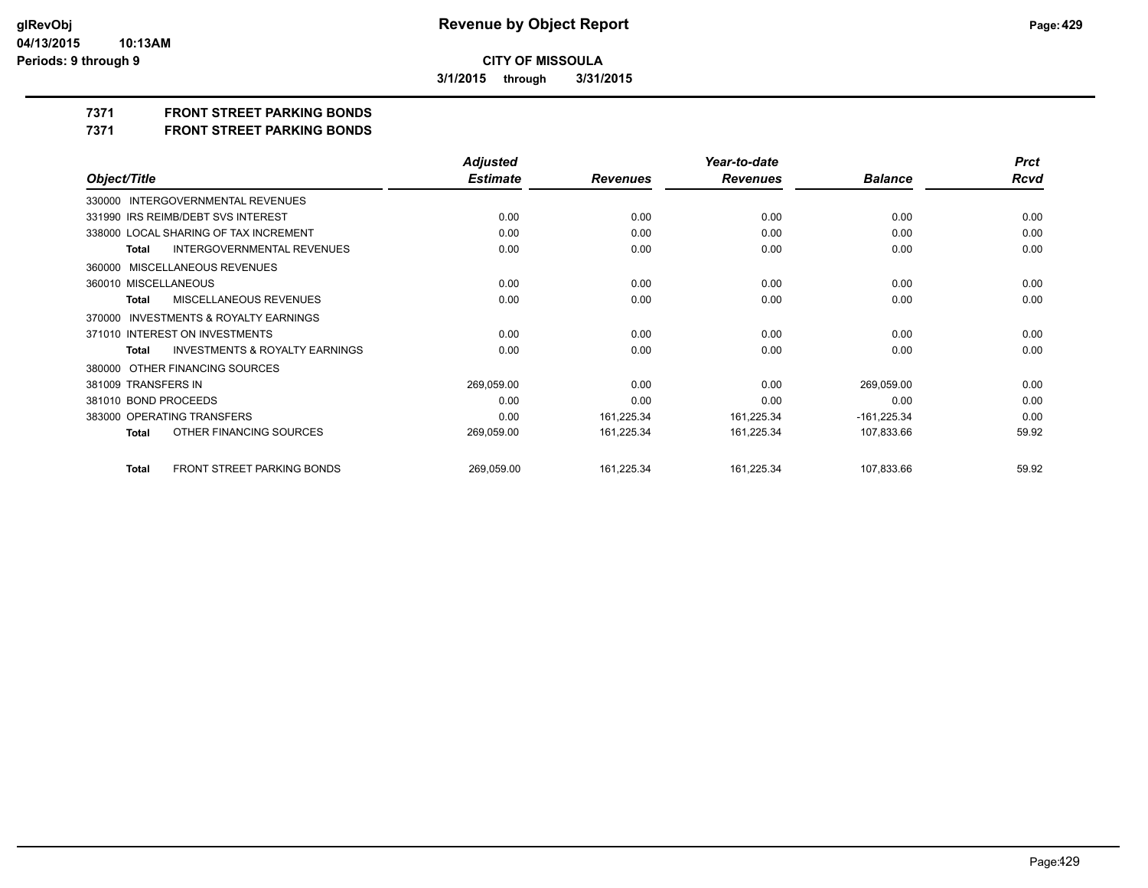**3/1/2015 through 3/31/2015**

# **7371 FRONT STREET PARKING BONDS**

**7371 FRONT STREET PARKING BONDS**

|                                                    | <b>Adjusted</b> |                 | Year-to-date    |                | <b>Prct</b> |
|----------------------------------------------------|-----------------|-----------------|-----------------|----------------|-------------|
| Object/Title                                       | <b>Estimate</b> | <b>Revenues</b> | <b>Revenues</b> | <b>Balance</b> | Rcvd        |
| 330000 INTERGOVERNMENTAL REVENUES                  |                 |                 |                 |                |             |
| 331990 IRS REIMB/DEBT SVS INTEREST                 | 0.00            | 0.00            | 0.00            | 0.00           | 0.00        |
| 338000 LOCAL SHARING OF TAX INCREMENT              | 0.00            | 0.00            | 0.00            | 0.00           | 0.00        |
| <b>INTERGOVERNMENTAL REVENUES</b><br><b>Total</b>  | 0.00            | 0.00            | 0.00            | 0.00           | 0.00        |
| 360000 MISCELLANEOUS REVENUES                      |                 |                 |                 |                |             |
| 360010 MISCELLANEOUS                               | 0.00            | 0.00            | 0.00            | 0.00           | 0.00        |
| MISCELLANEOUS REVENUES<br><b>Total</b>             | 0.00            | 0.00            | 0.00            | 0.00           | 0.00        |
| INVESTMENTS & ROYALTY EARNINGS<br>370000           |                 |                 |                 |                |             |
| 371010 INTEREST ON INVESTMENTS                     | 0.00            | 0.00            | 0.00            | 0.00           | 0.00        |
| <b>INVESTMENTS &amp; ROYALTY EARNINGS</b><br>Total | 0.00            | 0.00            | 0.00            | 0.00           | 0.00        |
| 380000 OTHER FINANCING SOURCES                     |                 |                 |                 |                |             |
| 381009 TRANSFERS IN                                | 269,059.00      | 0.00            | 0.00            | 269,059.00     | 0.00        |
| 381010 BOND PROCEEDS                               | 0.00            | 0.00            | 0.00            | 0.00           | 0.00        |
| 383000 OPERATING TRANSFERS                         | 0.00            | 161,225.34      | 161,225.34      | $-161,225.34$  | 0.00        |
| OTHER FINANCING SOURCES<br><b>Total</b>            | 269,059.00      | 161,225.34      | 161,225.34      | 107,833.66     | 59.92       |
| FRONT STREET PARKING BONDS<br><b>Total</b>         | 269,059.00      | 161,225.34      | 161,225.34      | 107,833.66     | 59.92       |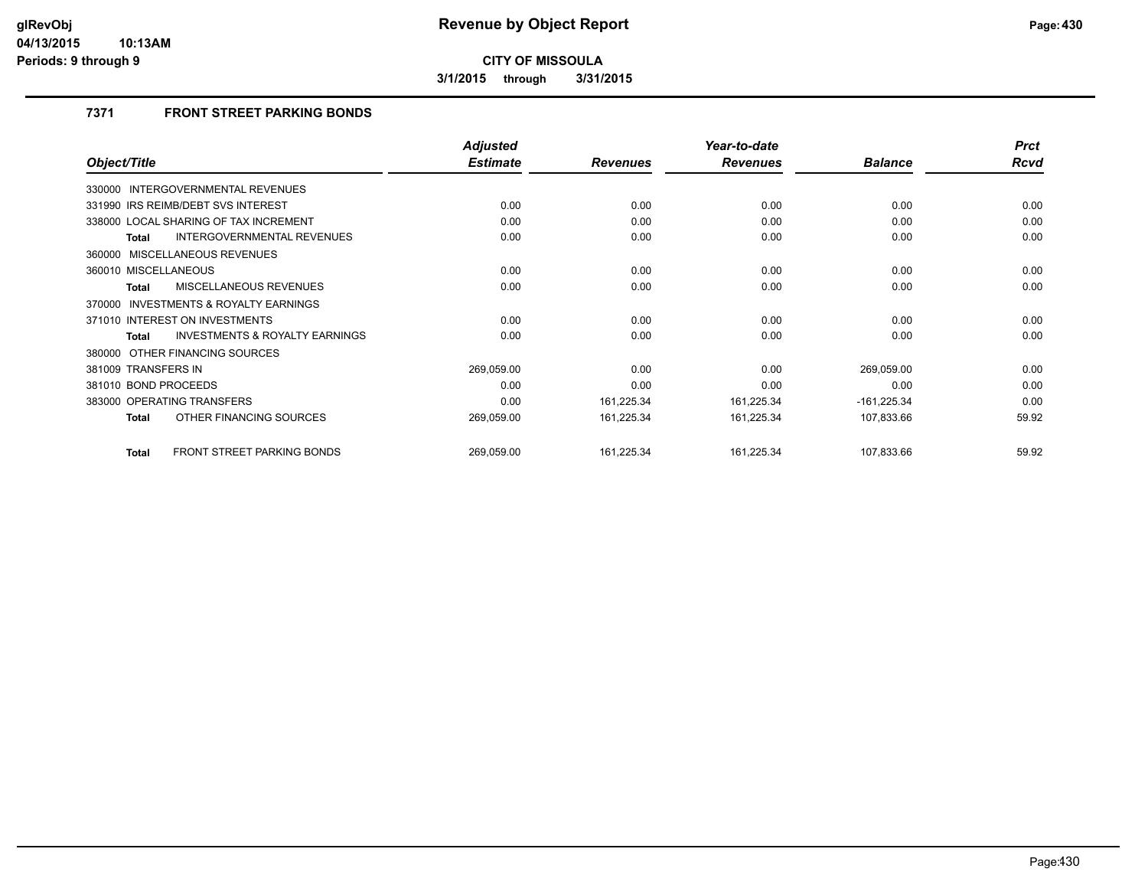**3/1/2015 through 3/31/2015**

# **7371 FRONT STREET PARKING BONDS**

|                                                           | <b>Adjusted</b> |                 | Year-to-date    |                | <b>Prct</b> |
|-----------------------------------------------------------|-----------------|-----------------|-----------------|----------------|-------------|
| Object/Title                                              | <b>Estimate</b> | <b>Revenues</b> | <b>Revenues</b> | <b>Balance</b> | <b>Rcvd</b> |
| 330000 INTERGOVERNMENTAL REVENUES                         |                 |                 |                 |                |             |
| 331990 IRS REIMB/DEBT SVS INTEREST                        | 0.00            | 0.00            | 0.00            | 0.00           | 0.00        |
| 338000 LOCAL SHARING OF TAX INCREMENT                     | 0.00            | 0.00            | 0.00            | 0.00           | 0.00        |
| INTERGOVERNMENTAL REVENUES<br>Total                       | 0.00            | 0.00            | 0.00            | 0.00           | 0.00        |
| 360000 MISCELLANEOUS REVENUES                             |                 |                 |                 |                |             |
| 360010 MISCELLANEOUS                                      | 0.00            | 0.00            | 0.00            | 0.00           | 0.00        |
| MISCELLANEOUS REVENUES<br>Total                           | 0.00            | 0.00            | 0.00            | 0.00           | 0.00        |
| 370000 INVESTMENTS & ROYALTY EARNINGS                     |                 |                 |                 |                |             |
| 371010 INTEREST ON INVESTMENTS                            | 0.00            | 0.00            | 0.00            | 0.00           | 0.00        |
| <b>INVESTMENTS &amp; ROYALTY EARNINGS</b><br><b>Total</b> | 0.00            | 0.00            | 0.00            | 0.00           | 0.00        |
| 380000 OTHER FINANCING SOURCES                            |                 |                 |                 |                |             |
| 381009 TRANSFERS IN                                       | 269,059.00      | 0.00            | 0.00            | 269,059.00     | 0.00        |
| 381010 BOND PROCEEDS                                      | 0.00            | 0.00            | 0.00            | 0.00           | 0.00        |
| 383000 OPERATING TRANSFERS                                | 0.00            | 161,225.34      | 161,225.34      | $-161,225.34$  | 0.00        |
| OTHER FINANCING SOURCES<br><b>Total</b>                   | 269,059.00      | 161,225.34      | 161,225.34      | 107,833.66     | 59.92       |
| FRONT STREET PARKING BONDS<br><b>Total</b>                | 269,059.00      | 161,225.34      | 161,225.34      | 107,833.66     | 59.92       |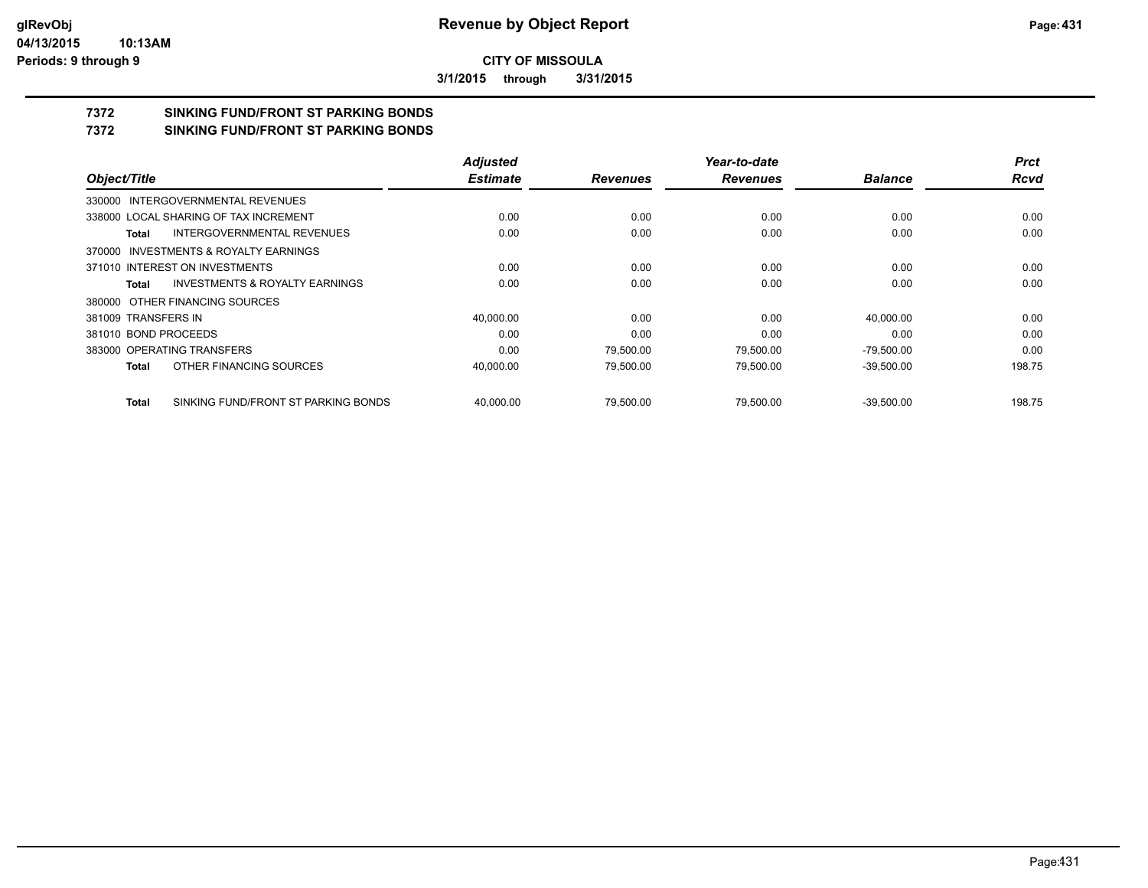**3/1/2015 through 3/31/2015**

# **7372 SINKING FUND/FRONT ST PARKING BONDS**

**7372 SINKING FUND/FRONT ST PARKING BONDS**

|                                                     | <b>Adjusted</b> |                 | Year-to-date    |                | <b>Prct</b> |
|-----------------------------------------------------|-----------------|-----------------|-----------------|----------------|-------------|
| Object/Title                                        | <b>Estimate</b> | <b>Revenues</b> | <b>Revenues</b> | <b>Balance</b> | <b>Rcvd</b> |
| 330000 INTERGOVERNMENTAL REVENUES                   |                 |                 |                 |                |             |
| 338000 LOCAL SHARING OF TAX INCREMENT               | 0.00            | 0.00            | 0.00            | 0.00           | 0.00        |
| <b>INTERGOVERNMENTAL REVENUES</b><br>Total          | 0.00            | 0.00            | 0.00            | 0.00           | 0.00        |
| 370000 INVESTMENTS & ROYALTY EARNINGS               |                 |                 |                 |                |             |
| 371010 INTEREST ON INVESTMENTS                      | 0.00            | 0.00            | 0.00            | 0.00           | 0.00        |
| <b>INVESTMENTS &amp; ROYALTY EARNINGS</b><br>Total  | 0.00            | 0.00            | 0.00            | 0.00           | 0.00        |
| 380000 OTHER FINANCING SOURCES                      |                 |                 |                 |                |             |
| 381009 TRANSFERS IN                                 | 40,000.00       | 0.00            | 0.00            | 40.000.00      | 0.00        |
| 381010 BOND PROCEEDS                                | 0.00            | 0.00            | 0.00            | 0.00           | 0.00        |
| 383000 OPERATING TRANSFERS                          | 0.00            | 79.500.00       | 79.500.00       | $-79.500.00$   | 0.00        |
| OTHER FINANCING SOURCES<br><b>Total</b>             | 40,000.00       | 79,500.00       | 79,500.00       | $-39,500.00$   | 198.75      |
| SINKING FUND/FRONT ST PARKING BONDS<br><b>Total</b> | 40.000.00       | 79.500.00       | 79.500.00       | $-39,500.00$   | 198.75      |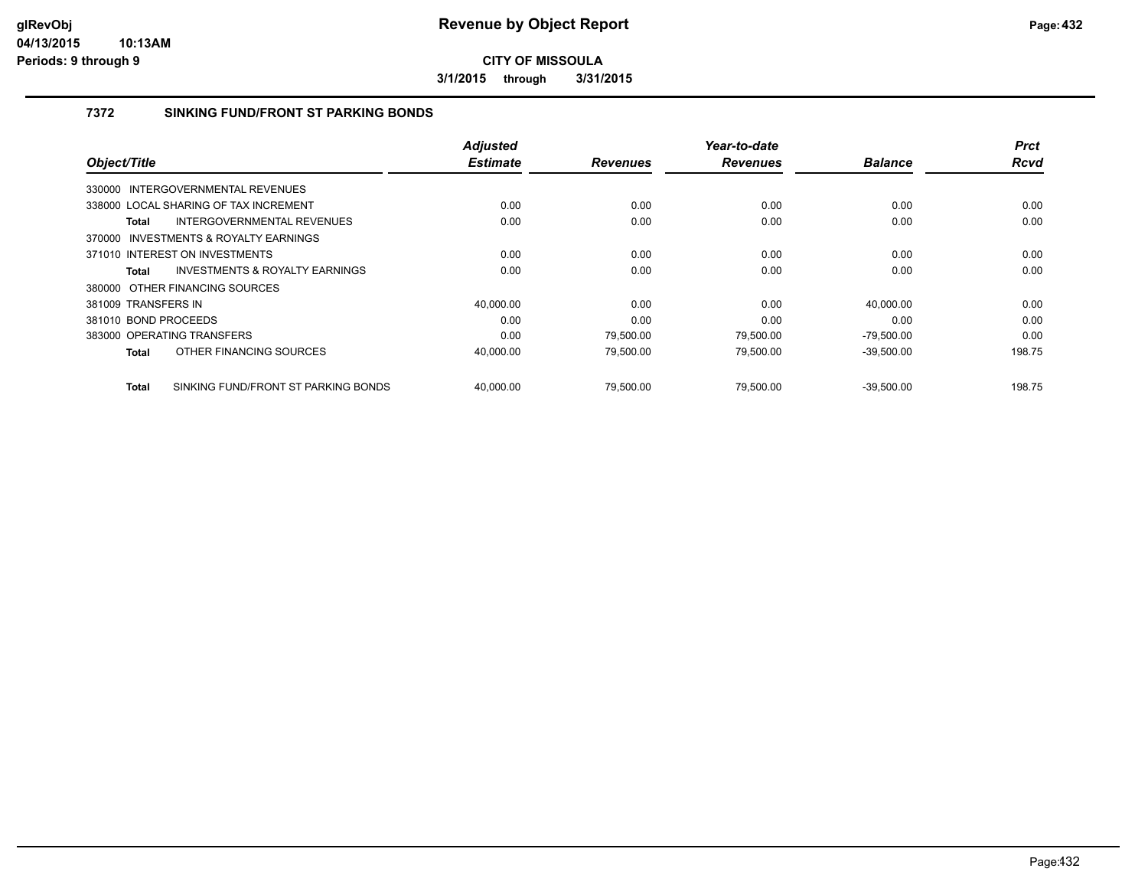**3/1/2015 through 3/31/2015**

### **7372 SINKING FUND/FRONT ST PARKING BONDS**

| Object/Title         |                                       | <b>Adjusted</b><br><b>Estimate</b> | <b>Revenues</b> | Year-to-date<br><b>Revenues</b> | <b>Balance</b> | <b>Prct</b><br><b>Rcvd</b> |
|----------------------|---------------------------------------|------------------------------------|-----------------|---------------------------------|----------------|----------------------------|
|                      | 330000 INTERGOVERNMENTAL REVENUES     |                                    |                 |                                 |                |                            |
|                      |                                       |                                    |                 |                                 |                |                            |
|                      | 338000 LOCAL SHARING OF TAX INCREMENT | 0.00                               | 0.00            | 0.00                            | 0.00           | 0.00                       |
| Total                | INTERGOVERNMENTAL REVENUES            | 0.00                               | 0.00            | 0.00                            | 0.00           | 0.00                       |
| 370000               | INVESTMENTS & ROYALTY EARNINGS        |                                    |                 |                                 |                |                            |
|                      | 371010 INTEREST ON INVESTMENTS        | 0.00                               | 0.00            | 0.00                            | 0.00           | 0.00                       |
| Total                | INVESTMENTS & ROYALTY EARNINGS        | 0.00                               | 0.00            | 0.00                            | 0.00           | 0.00                       |
|                      | 380000 OTHER FINANCING SOURCES        |                                    |                 |                                 |                |                            |
| 381009 TRANSFERS IN  |                                       | 40.000.00                          | 0.00            | 0.00                            | 40,000.00      | 0.00                       |
| 381010 BOND PROCEEDS |                                       | 0.00                               | 0.00            | 0.00                            | 0.00           | 0.00                       |
|                      | 383000 OPERATING TRANSFERS            | 0.00                               | 79,500.00       | 79,500.00                       | $-79,500.00$   | 0.00                       |
| Total                | OTHER FINANCING SOURCES               | 40.000.00                          | 79,500.00       | 79,500.00                       | $-39,500.00$   | 198.75                     |
| <b>Total</b>         | SINKING FUND/FRONT ST PARKING BONDS   | 40.000.00                          | 79.500.00       | 79.500.00                       | $-39,500.00$   | 198.75                     |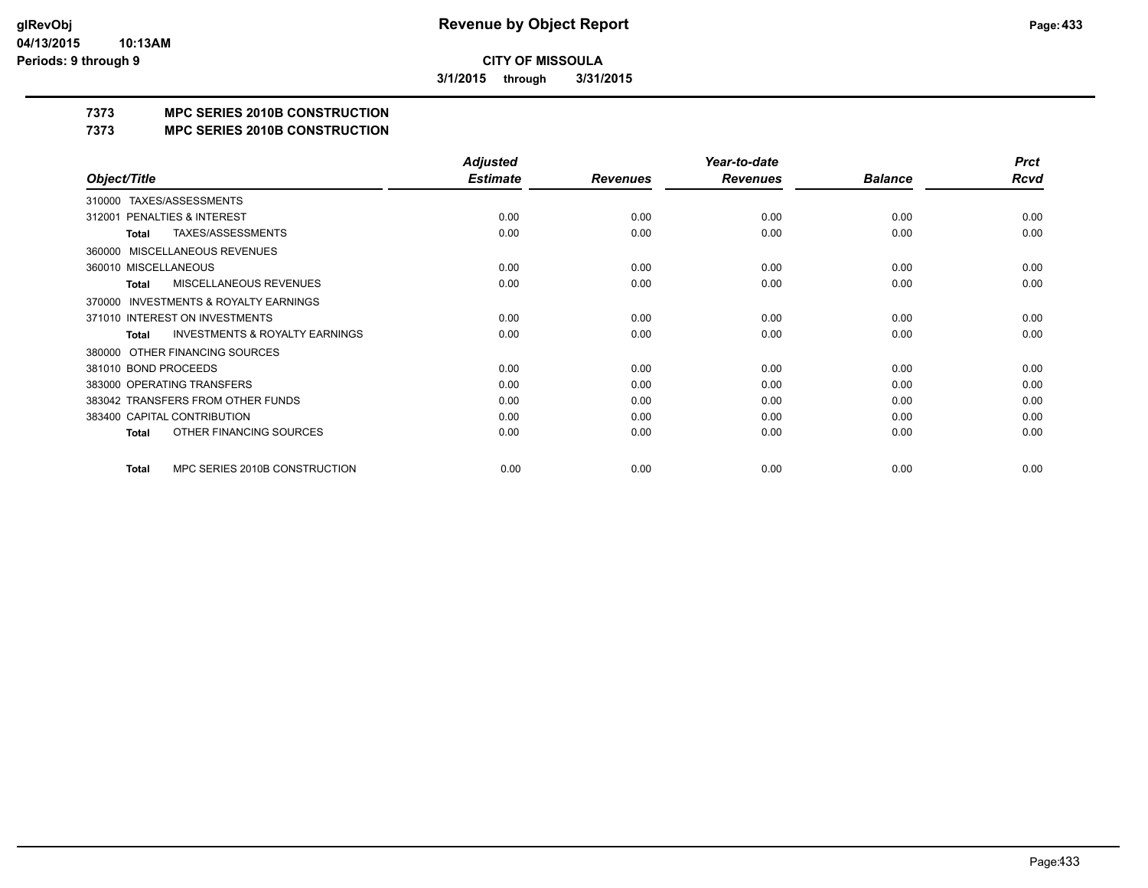**3/1/2015 through 3/31/2015**

## **7373 MPC SERIES 2010B CONSTRUCTION**

#### **7373 MPC SERIES 2010B CONSTRUCTION**

|                                                     | <b>Adjusted</b> |                 | Year-to-date    |                | <b>Prct</b> |
|-----------------------------------------------------|-----------------|-----------------|-----------------|----------------|-------------|
| Object/Title                                        | <b>Estimate</b> | <b>Revenues</b> | <b>Revenues</b> | <b>Balance</b> | Rcvd        |
| TAXES/ASSESSMENTS<br>310000                         |                 |                 |                 |                |             |
| PENALTIES & INTEREST<br>312001                      | 0.00            | 0.00            | 0.00            | 0.00           | 0.00        |
| TAXES/ASSESSMENTS<br>Total                          | 0.00            | 0.00            | 0.00            | 0.00           | 0.00        |
| <b>MISCELLANEOUS REVENUES</b><br>360000             |                 |                 |                 |                |             |
| 360010 MISCELLANEOUS                                | 0.00            | 0.00            | 0.00            | 0.00           | 0.00        |
| MISCELLANEOUS REVENUES<br>Total                     | 0.00            | 0.00            | 0.00            | 0.00           | 0.00        |
| <b>INVESTMENTS &amp; ROYALTY EARNINGS</b><br>370000 |                 |                 |                 |                |             |
| 371010 INTEREST ON INVESTMENTS                      | 0.00            | 0.00            | 0.00            | 0.00           | 0.00        |
| <b>INVESTMENTS &amp; ROYALTY EARNINGS</b><br>Total  | 0.00            | 0.00            | 0.00            | 0.00           | 0.00        |
| OTHER FINANCING SOURCES<br>380000                   |                 |                 |                 |                |             |
| 381010 BOND PROCEEDS                                | 0.00            | 0.00            | 0.00            | 0.00           | 0.00        |
| 383000 OPERATING TRANSFERS                          | 0.00            | 0.00            | 0.00            | 0.00           | 0.00        |
| 383042 TRANSFERS FROM OTHER FUNDS                   | 0.00            | 0.00            | 0.00            | 0.00           | 0.00        |
| 383400 CAPITAL CONTRIBUTION                         | 0.00            | 0.00            | 0.00            | 0.00           | 0.00        |
| OTHER FINANCING SOURCES<br><b>Total</b>             | 0.00            | 0.00            | 0.00            | 0.00           | 0.00        |
| MPC SERIES 2010B CONSTRUCTION<br>Total              | 0.00            | 0.00            | 0.00            | 0.00           | 0.00        |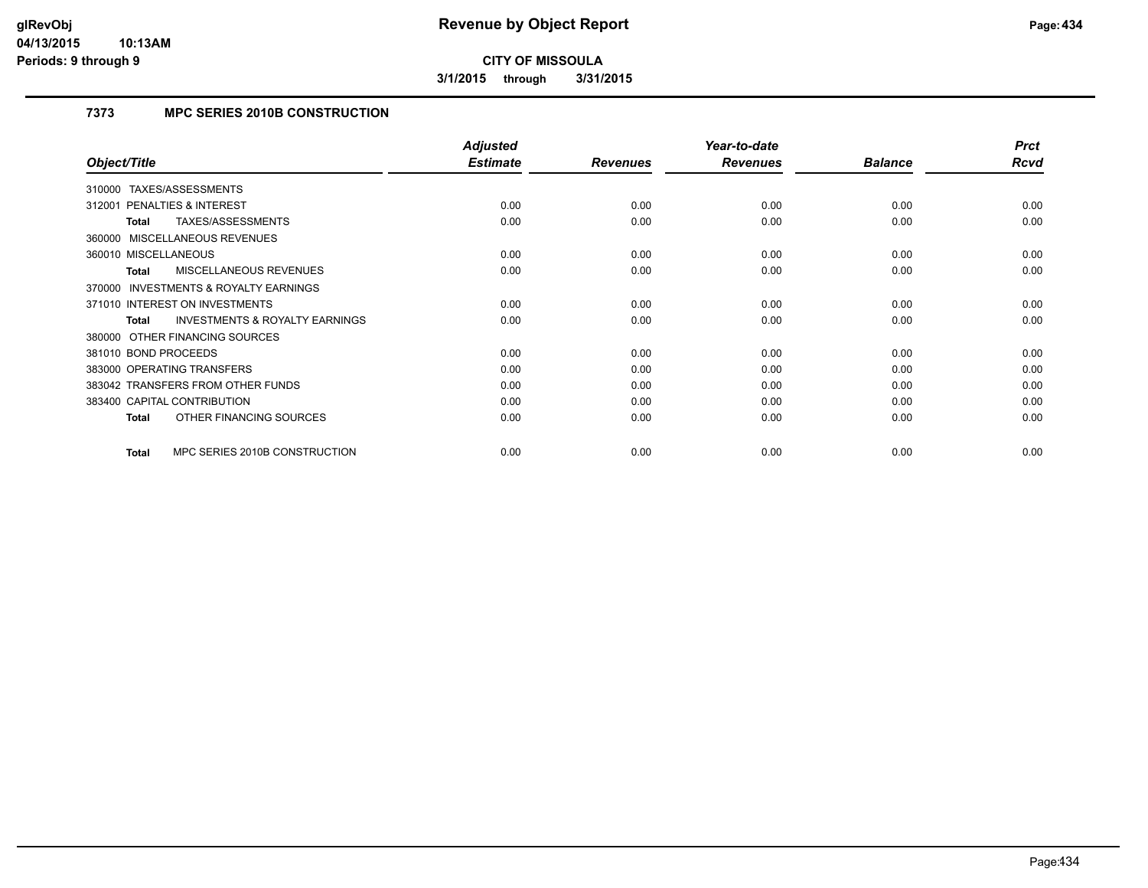**3/1/2015 through 3/31/2015**

## **7373 MPC SERIES 2010B CONSTRUCTION**

|                                                           | <b>Adjusted</b> |                 | Year-to-date    |                | <b>Prct</b> |
|-----------------------------------------------------------|-----------------|-----------------|-----------------|----------------|-------------|
| Object/Title                                              | <b>Estimate</b> | <b>Revenues</b> | <b>Revenues</b> | <b>Balance</b> | Rcvd        |
| TAXES/ASSESSMENTS<br>310000                               |                 |                 |                 |                |             |
| <b>PENALTIES &amp; INTEREST</b><br>312001                 | 0.00            | 0.00            | 0.00            | 0.00           | 0.00        |
| TAXES/ASSESSMENTS<br><b>Total</b>                         | 0.00            | 0.00            | 0.00            | 0.00           | 0.00        |
| 360000 MISCELLANEOUS REVENUES                             |                 |                 |                 |                |             |
| 360010 MISCELLANEOUS                                      | 0.00            | 0.00            | 0.00            | 0.00           | 0.00        |
| <b>MISCELLANEOUS REVENUES</b><br><b>Total</b>             | 0.00            | 0.00            | 0.00            | 0.00           | 0.00        |
| <b>INVESTMENTS &amp; ROYALTY EARNINGS</b><br>370000       |                 |                 |                 |                |             |
| 371010 INTEREST ON INVESTMENTS                            | 0.00            | 0.00            | 0.00            | 0.00           | 0.00        |
| <b>INVESTMENTS &amp; ROYALTY EARNINGS</b><br><b>Total</b> | 0.00            | 0.00            | 0.00            | 0.00           | 0.00        |
| 380000 OTHER FINANCING SOURCES                            |                 |                 |                 |                |             |
| 381010 BOND PROCEEDS                                      | 0.00            | 0.00            | 0.00            | 0.00           | 0.00        |
| 383000 OPERATING TRANSFERS                                | 0.00            | 0.00            | 0.00            | 0.00           | 0.00        |
| 383042 TRANSFERS FROM OTHER FUNDS                         | 0.00            | 0.00            | 0.00            | 0.00           | 0.00        |
| 383400 CAPITAL CONTRIBUTION                               | 0.00            | 0.00            | 0.00            | 0.00           | 0.00        |
| OTHER FINANCING SOURCES<br><b>Total</b>                   | 0.00            | 0.00            | 0.00            | 0.00           | 0.00        |
| MPC SERIES 2010B CONSTRUCTION<br><b>Total</b>             | 0.00            | 0.00            | 0.00            | 0.00           | 0.00        |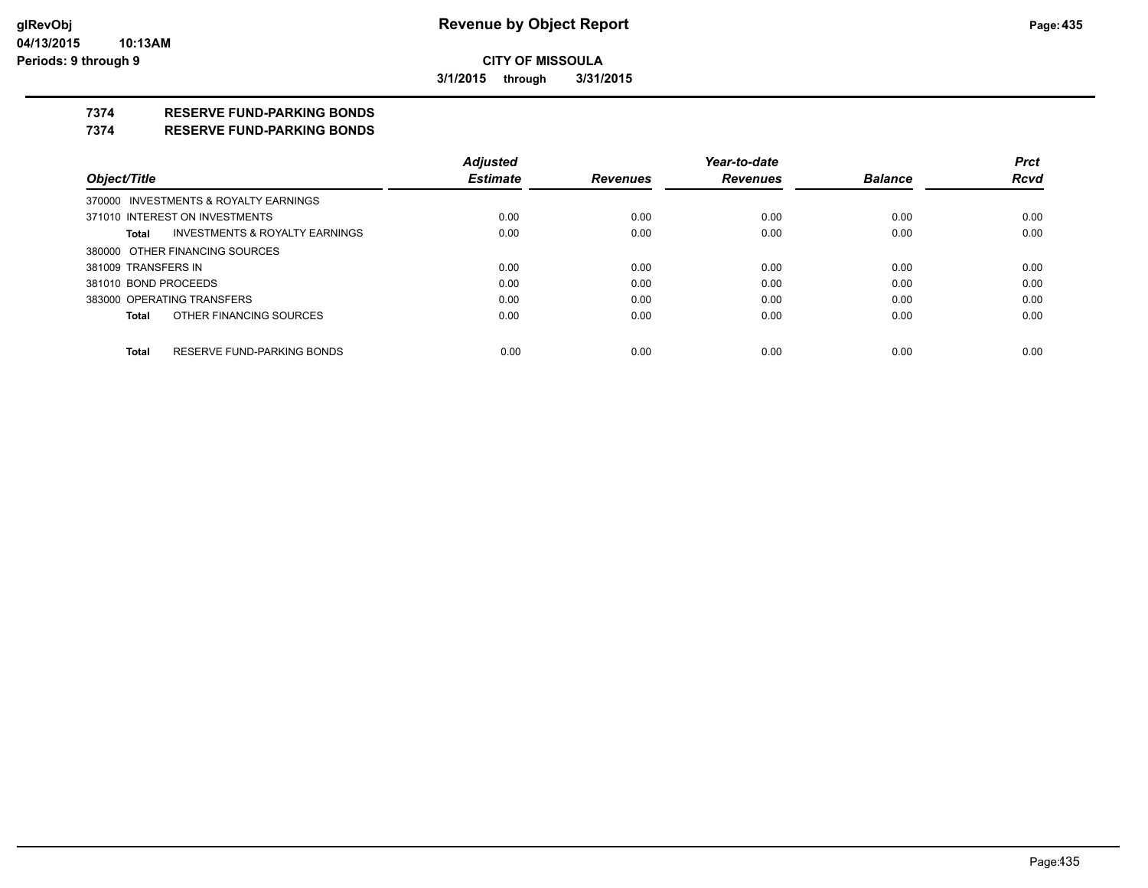**3/1/2015 through 3/31/2015**

## **7374 RESERVE FUND-PARKING BONDS**

#### **7374 RESERVE FUND-PARKING BONDS**

|                      |                                       | <b>Adjusted</b> |                 | Year-to-date    |                | <b>Prct</b> |
|----------------------|---------------------------------------|-----------------|-----------------|-----------------|----------------|-------------|
| Object/Title         |                                       | <b>Estimate</b> | <b>Revenues</b> | <b>Revenues</b> | <b>Balance</b> | <b>Rcvd</b> |
|                      | 370000 INVESTMENTS & ROYALTY EARNINGS |                 |                 |                 |                |             |
|                      | 371010 INTEREST ON INVESTMENTS        | 0.00            | 0.00            | 0.00            | 0.00           | 0.00        |
| Total                | INVESTMENTS & ROYALTY EARNINGS        | 0.00            | 0.00            | 0.00            | 0.00           | 0.00        |
|                      | 380000 OTHER FINANCING SOURCES        |                 |                 |                 |                |             |
| 381009 TRANSFERS IN  |                                       | 0.00            | 0.00            | 0.00            | 0.00           | 0.00        |
| 381010 BOND PROCEEDS |                                       | 0.00            | 0.00            | 0.00            | 0.00           | 0.00        |
|                      | 383000 OPERATING TRANSFERS            | 0.00            | 0.00            | 0.00            | 0.00           | 0.00        |
| <b>Total</b>         | OTHER FINANCING SOURCES               | 0.00            | 0.00            | 0.00            | 0.00           | 0.00        |
|                      |                                       |                 |                 |                 |                |             |
| <b>Total</b>         | RESERVE FUND-PARKING BONDS            | 0.00            | 0.00            | 0.00            | 0.00           | 0.00        |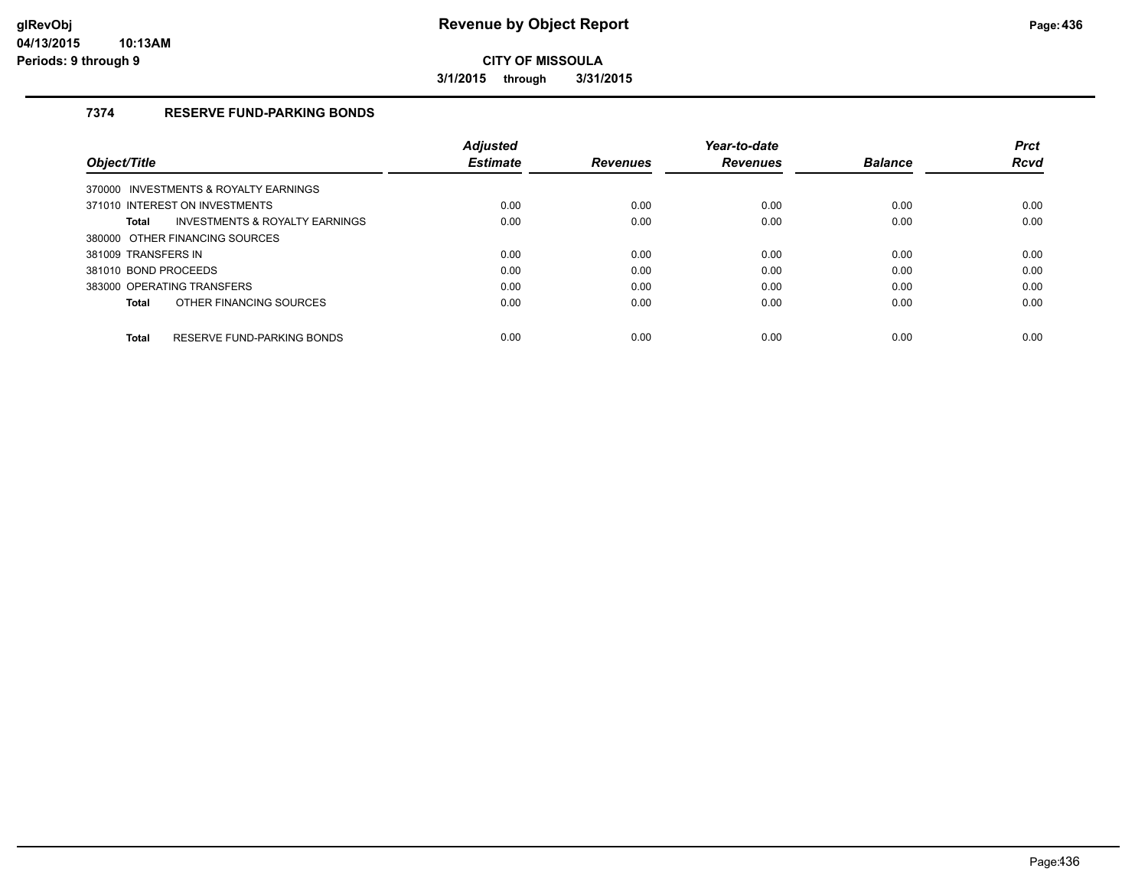**3/1/2015 through 3/31/2015**

## **7374 RESERVE FUND-PARKING BONDS**

|                                                    | <b>Adiusted</b> |                 | Year-to-date    |                | <b>Prct</b> |
|----------------------------------------------------|-----------------|-----------------|-----------------|----------------|-------------|
| Object/Title                                       | <b>Estimate</b> | <b>Revenues</b> | <b>Revenues</b> | <b>Balance</b> | <b>Rcvd</b> |
| 370000 INVESTMENTS & ROYALTY EARNINGS              |                 |                 |                 |                |             |
| 371010 INTEREST ON INVESTMENTS                     | 0.00            | 0.00            | 0.00            | 0.00           | 0.00        |
| <b>INVESTMENTS &amp; ROYALTY EARNINGS</b><br>Total | 0.00            | 0.00            | 0.00            | 0.00           | 0.00        |
| 380000 OTHER FINANCING SOURCES                     |                 |                 |                 |                |             |
| 381009 TRANSFERS IN                                | 0.00            | 0.00            | 0.00            | 0.00           | 0.00        |
| 381010 BOND PROCEEDS                               | 0.00            | 0.00            | 0.00            | 0.00           | 0.00        |
| 383000 OPERATING TRANSFERS                         | 0.00            | 0.00            | 0.00            | 0.00           | 0.00        |
| OTHER FINANCING SOURCES<br>Total                   | 0.00            | 0.00            | 0.00            | 0.00           | 0.00        |
| RESERVE FUND-PARKING BONDS<br><b>Total</b>         | 0.00            | 0.00            | 0.00            | 0.00           | 0.00        |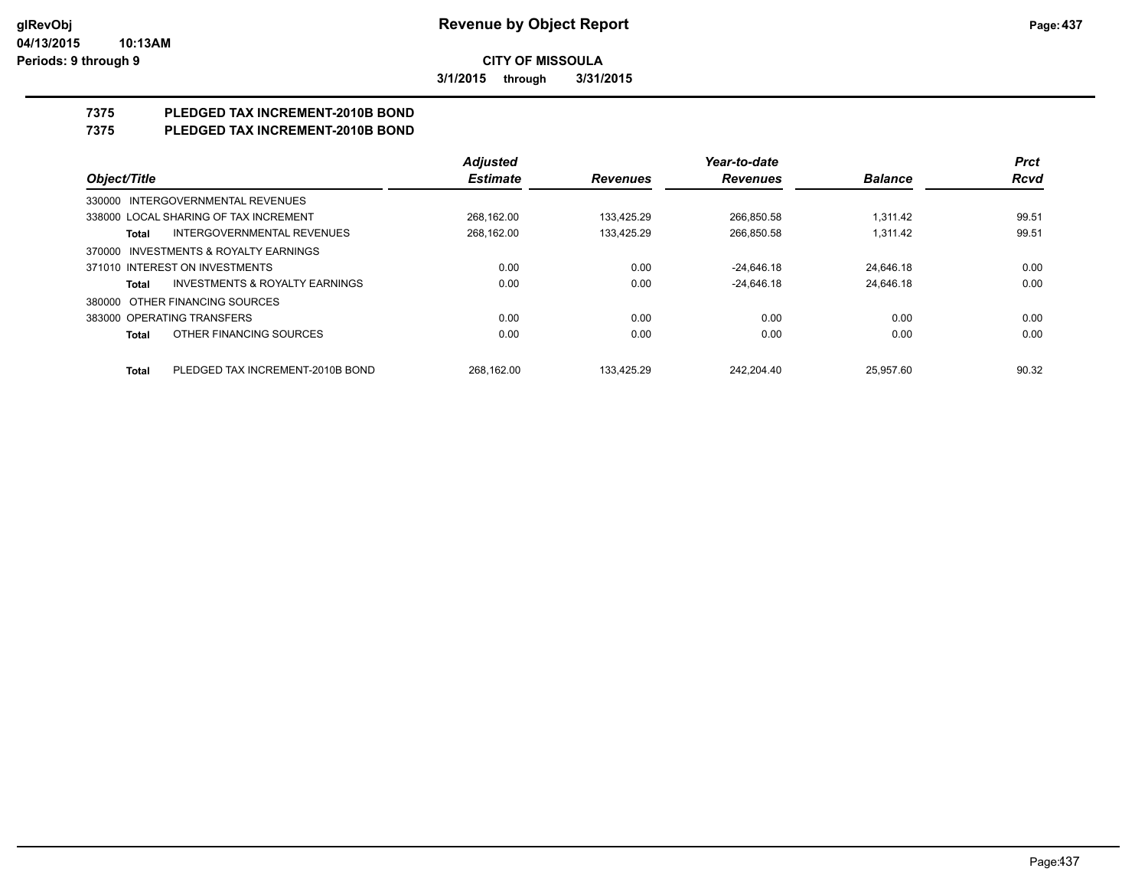**3/1/2015 through 3/31/2015**

# **7375 PLEDGED TAX INCREMENT-2010B BOND**

## **7375 PLEDGED TAX INCREMENT-2010B BOND**

|              |                                           | <b>Adjusted</b> |                 | Year-to-date    |                | <b>Prct</b> |
|--------------|-------------------------------------------|-----------------|-----------------|-----------------|----------------|-------------|
| Object/Title |                                           | <b>Estimate</b> | <b>Revenues</b> | <b>Revenues</b> | <b>Balance</b> | <b>Rcvd</b> |
|              | 330000 INTERGOVERNMENTAL REVENUES         |                 |                 |                 |                |             |
|              | 338000 LOCAL SHARING OF TAX INCREMENT     | 268.162.00      | 133.425.29      | 266.850.58      | 1.311.42       | 99.51       |
| Total        | <b>INTERGOVERNMENTAL REVENUES</b>         | 268.162.00      | 133.425.29      | 266.850.58      | 1.311.42       | 99.51       |
|              | 370000 INVESTMENTS & ROYALTY EARNINGS     |                 |                 |                 |                |             |
|              | 371010 INTEREST ON INVESTMENTS            | 0.00            | 0.00            | $-24.646.18$    | 24.646.18      | 0.00        |
| Total        | <b>INVESTMENTS &amp; ROYALTY EARNINGS</b> | 0.00            | 0.00            | $-24.646.18$    | 24.646.18      | 0.00        |
|              | 380000 OTHER FINANCING SOURCES            |                 |                 |                 |                |             |
|              | 383000 OPERATING TRANSFERS                | 0.00            | 0.00            | 0.00            | 0.00           | 0.00        |
| <b>Total</b> | OTHER FINANCING SOURCES                   | 0.00            | 0.00            | 0.00            | 0.00           | 0.00        |
| <b>Total</b> | PLEDGED TAX INCREMENT-2010B BOND          | 268.162.00      | 133.425.29      | 242.204.40      | 25.957.60      | 90.32       |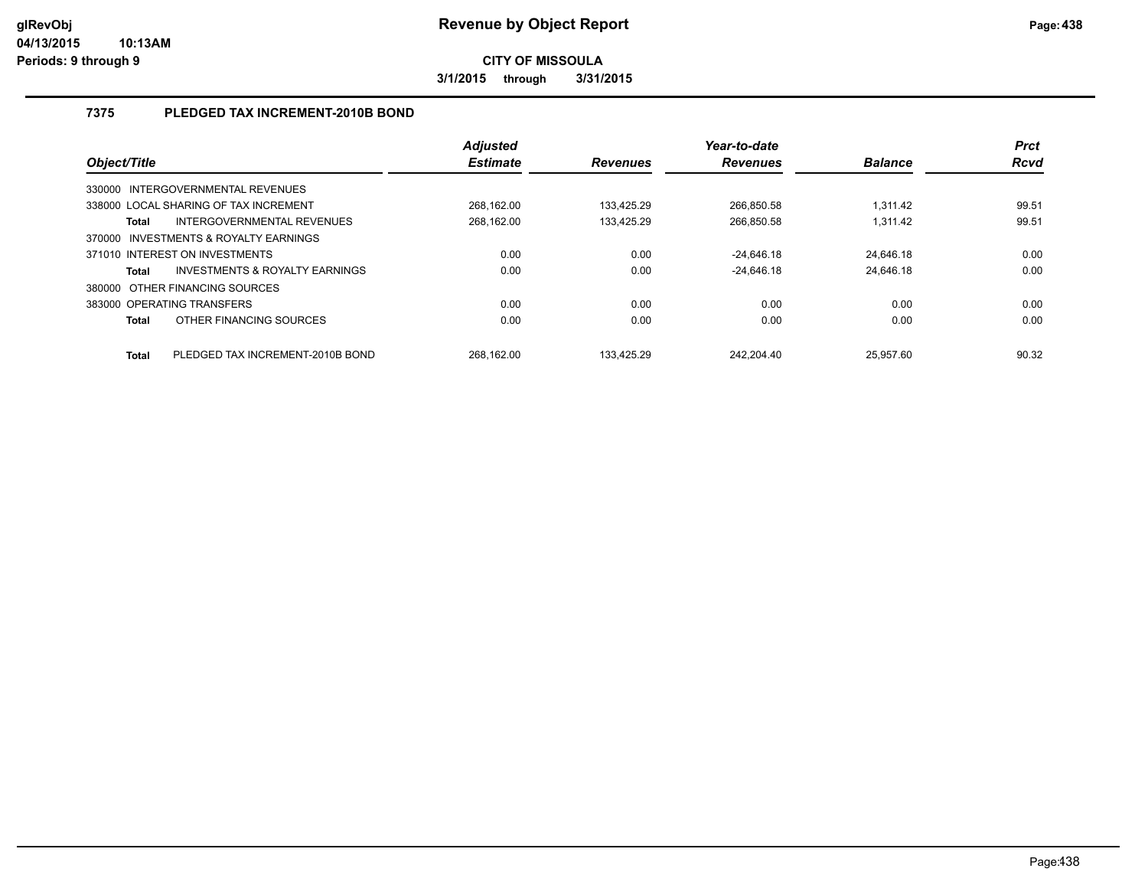**3/1/2015 through 3/31/2015**

## **7375 PLEDGED TAX INCREMENT-2010B BOND**

| Object/Title |                                       | <b>Adjusted</b><br><b>Estimate</b> | <b>Revenues</b> | Year-to-date<br><b>Revenues</b> | <b>Balance</b> | <b>Prct</b><br><b>Rcvd</b> |
|--------------|---------------------------------------|------------------------------------|-----------------|---------------------------------|----------------|----------------------------|
|              | 330000 INTERGOVERNMENTAL REVENUES     |                                    |                 |                                 |                |                            |
|              | 338000 LOCAL SHARING OF TAX INCREMENT | 268.162.00                         | 133.425.29      | 266.850.58                      | 1.311.42       | 99.51                      |
| <b>Total</b> | INTERGOVERNMENTAL REVENUES            | 268,162.00                         | 133,425.29      | 266,850.58                      | 1.311.42       | 99.51                      |
|              | 370000 INVESTMENTS & ROYALTY EARNINGS |                                    |                 |                                 |                |                            |
|              | 371010 INTEREST ON INVESTMENTS        | 0.00                               | 0.00            | $-24.646.18$                    | 24.646.18      | 0.00                       |
| <b>Total</b> | INVESTMENTS & ROYALTY EARNINGS        | 0.00                               | 0.00            | $-24.646.18$                    | 24.646.18      | 0.00                       |
|              | 380000 OTHER FINANCING SOURCES        |                                    |                 |                                 |                |                            |
|              | 383000 OPERATING TRANSFERS            | 0.00                               | 0.00            | 0.00                            | 0.00           | 0.00                       |
| <b>Total</b> | OTHER FINANCING SOURCES               | 0.00                               | 0.00            | 0.00                            | 0.00           | 0.00                       |
| <b>Total</b> | PLEDGED TAX INCREMENT-2010B BOND      | 268.162.00                         | 133.425.29      | 242.204.40                      | 25.957.60      | 90.32                      |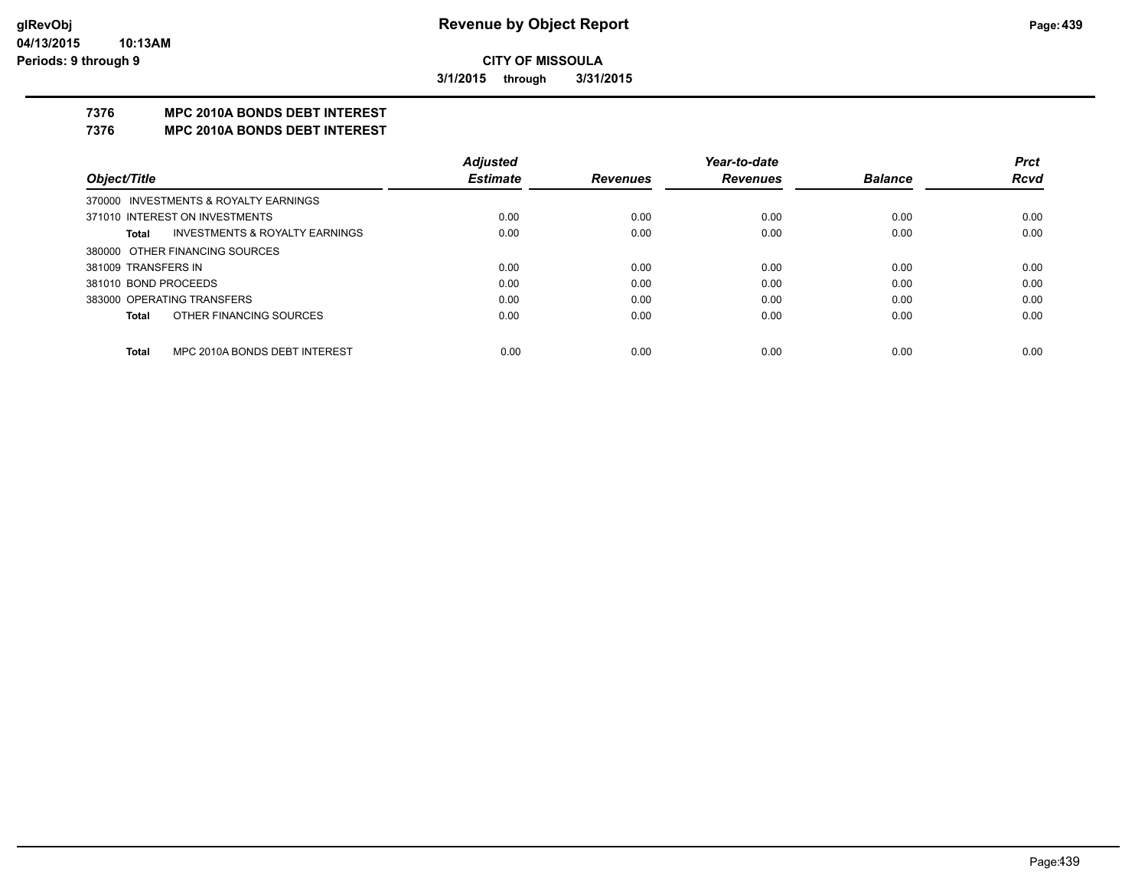**3/1/2015 through 3/31/2015**

## **7376 MPC 2010A BONDS DEBT INTEREST**

#### **7376 MPC 2010A BONDS DEBT INTEREST**

|                      |                                       | <b>Adjusted</b> |                 | Year-to-date    |                | <b>Prct</b> |
|----------------------|---------------------------------------|-----------------|-----------------|-----------------|----------------|-------------|
| Object/Title         |                                       | <b>Estimate</b> | <b>Revenues</b> | <b>Revenues</b> | <b>Balance</b> | <b>Rcvd</b> |
|                      | 370000 INVESTMENTS & ROYALTY EARNINGS |                 |                 |                 |                |             |
|                      | 371010 INTEREST ON INVESTMENTS        | 0.00            | 0.00            | 0.00            | 0.00           | 0.00        |
| Total                | INVESTMENTS & ROYALTY EARNINGS        | 0.00            | 0.00            | 0.00            | 0.00           | 0.00        |
|                      | 380000 OTHER FINANCING SOURCES        |                 |                 |                 |                |             |
| 381009 TRANSFERS IN  |                                       | 0.00            | 0.00            | 0.00            | 0.00           | 0.00        |
| 381010 BOND PROCEEDS |                                       | 0.00            | 0.00            | 0.00            | 0.00           | 0.00        |
|                      | 383000 OPERATING TRANSFERS            | 0.00            | 0.00            | 0.00            | 0.00           | 0.00        |
| Total                | OTHER FINANCING SOURCES               | 0.00            | 0.00            | 0.00            | 0.00           | 0.00        |
| Total                | MPC 2010A BONDS DEBT INTEREST         | 0.00            | 0.00            | 0.00            | 0.00           | 0.00        |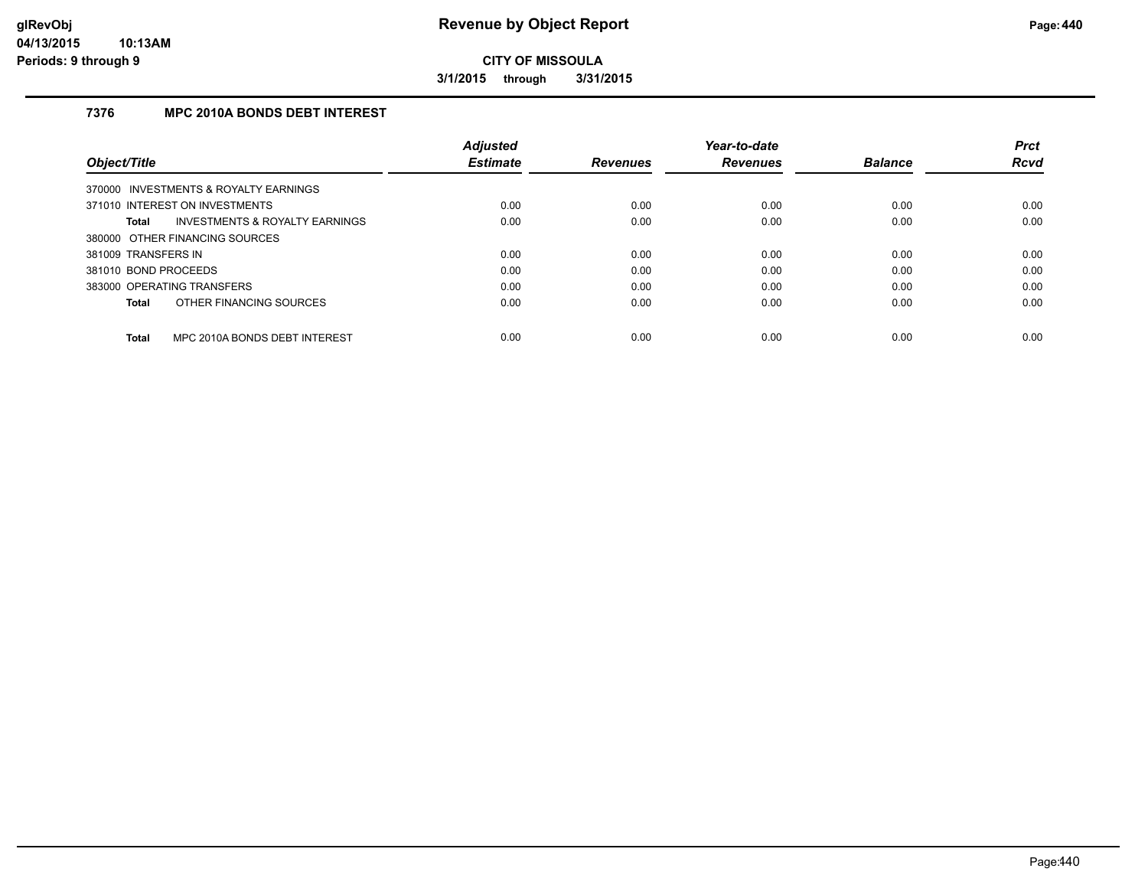**3/1/2015 through 3/31/2015**

## **7376 MPC 2010A BONDS DEBT INTEREST**

|                                                    | <b>Adjusted</b> |                 | Year-to-date    |                | <b>Prct</b> |
|----------------------------------------------------|-----------------|-----------------|-----------------|----------------|-------------|
| Object/Title                                       | <b>Estimate</b> | <b>Revenues</b> | <b>Revenues</b> | <b>Balance</b> | <b>Rcvd</b> |
| 370000 INVESTMENTS & ROYALTY EARNINGS              |                 |                 |                 |                |             |
| 371010 INTEREST ON INVESTMENTS                     | 0.00            | 0.00            | 0.00            | 0.00           | 0.00        |
| <b>INVESTMENTS &amp; ROYALTY EARNINGS</b><br>Total | 0.00            | 0.00            | 0.00            | 0.00           | 0.00        |
| 380000 OTHER FINANCING SOURCES                     |                 |                 |                 |                |             |
| 381009 TRANSFERS IN                                | 0.00            | 0.00            | 0.00            | 0.00           | 0.00        |
| 381010 BOND PROCEEDS                               | 0.00            | 0.00            | 0.00            | 0.00           | 0.00        |
| 383000 OPERATING TRANSFERS                         | 0.00            | 0.00            | 0.00            | 0.00           | 0.00        |
| OTHER FINANCING SOURCES<br>Total                   | 0.00            | 0.00            | 0.00            | 0.00           | 0.00        |
| MPC 2010A BONDS DEBT INTEREST<br>Total             | 0.00            | 0.00            | 0.00            | 0.00           | 0.00        |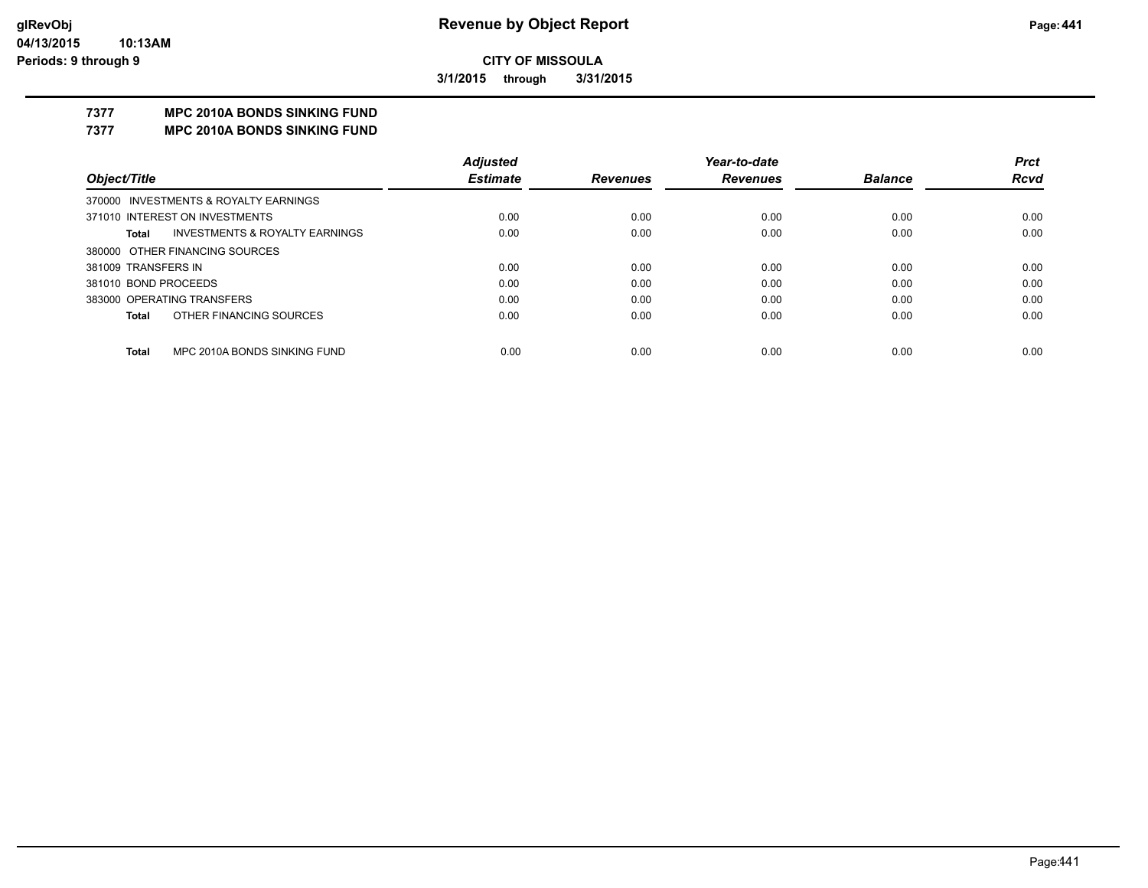**3/1/2015 through 3/31/2015**

## **7377 MPC 2010A BONDS SINKING FUND**

**7377 MPC 2010A BONDS SINKING FUND**

|                      |                                       | <b>Adjusted</b> |                 | Year-to-date    |                | <b>Prct</b> |
|----------------------|---------------------------------------|-----------------|-----------------|-----------------|----------------|-------------|
| Object/Title         |                                       | <b>Estimate</b> | <b>Revenues</b> | <b>Revenues</b> | <b>Balance</b> | <b>Rcvd</b> |
|                      | 370000 INVESTMENTS & ROYALTY EARNINGS |                 |                 |                 |                |             |
|                      | 371010 INTEREST ON INVESTMENTS        | 0.00            | 0.00            | 0.00            | 0.00           | 0.00        |
| Total                | INVESTMENTS & ROYALTY EARNINGS        | 0.00            | 0.00            | 0.00            | 0.00           | 0.00        |
|                      | 380000 OTHER FINANCING SOURCES        |                 |                 |                 |                |             |
| 381009 TRANSFERS IN  |                                       | 0.00            | 0.00            | 0.00            | 0.00           | 0.00        |
| 381010 BOND PROCEEDS |                                       | 0.00            | 0.00            | 0.00            | 0.00           | 0.00        |
|                      | 383000 OPERATING TRANSFERS            | 0.00            | 0.00            | 0.00            | 0.00           | 0.00        |
| Total                | OTHER FINANCING SOURCES               | 0.00            | 0.00            | 0.00            | 0.00           | 0.00        |
|                      |                                       |                 |                 |                 |                |             |
| <b>Total</b>         | MPC 2010A BONDS SINKING FUND          | 0.00            | 0.00            | 0.00            | 0.00           | 0.00        |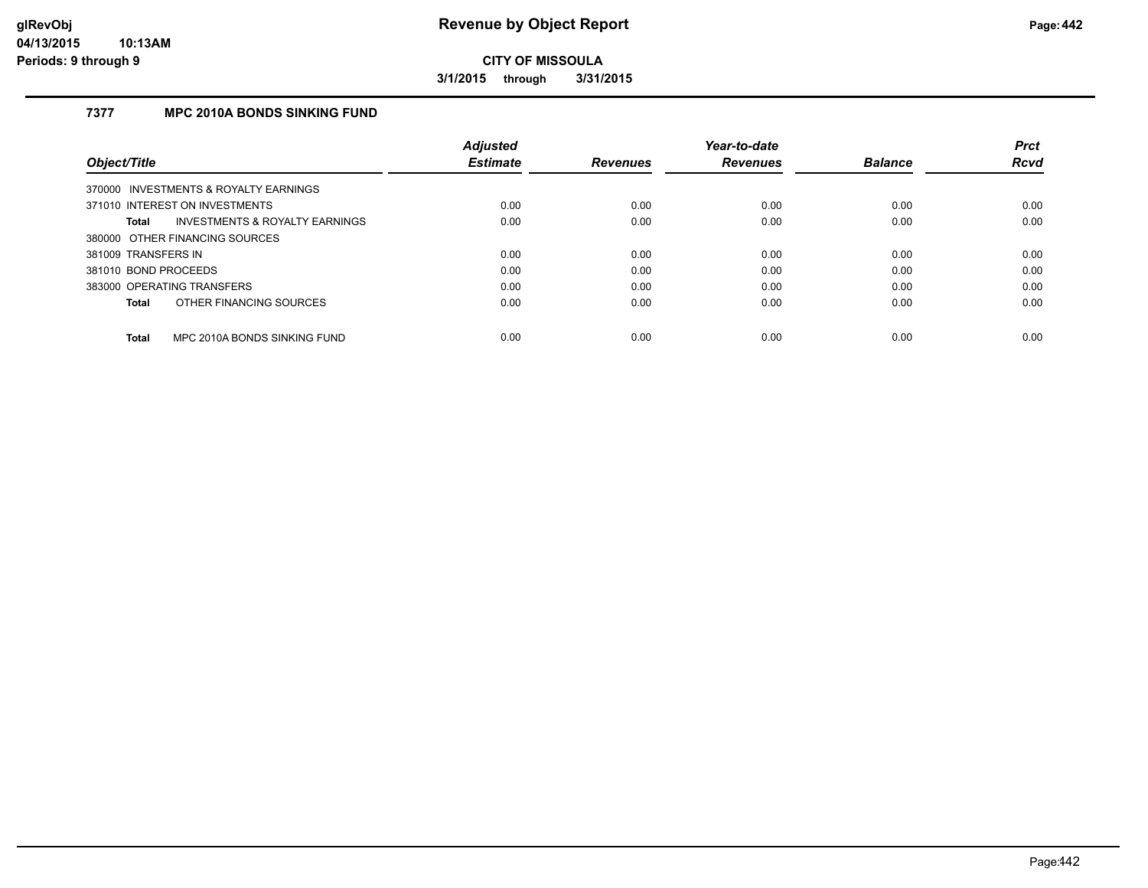**3/1/2015 through 3/31/2015**

## **7377 MPC 2010A BONDS SINKING FUND**

|                                              | <b>Adjusted</b> |                 | Year-to-date    |                | <b>Prct</b> |
|----------------------------------------------|-----------------|-----------------|-----------------|----------------|-------------|
| Object/Title                                 | <b>Estimate</b> | <b>Revenues</b> | <b>Revenues</b> | <b>Balance</b> | <b>Rcvd</b> |
| 370000 INVESTMENTS & ROYALTY EARNINGS        |                 |                 |                 |                |             |
| 371010 INTEREST ON INVESTMENTS               | 0.00            | 0.00            | 0.00            | 0.00           | 0.00        |
| INVESTMENTS & ROYALTY EARNINGS<br>Total      | 0.00            | 0.00            | 0.00            | 0.00           | 0.00        |
| 380000 OTHER FINANCING SOURCES               |                 |                 |                 |                |             |
| 381009 TRANSFERS IN                          | 0.00            | 0.00            | 0.00            | 0.00           | 0.00        |
| 381010 BOND PROCEEDS                         | 0.00            | 0.00            | 0.00            | 0.00           | 0.00        |
| 383000 OPERATING TRANSFERS                   | 0.00            | 0.00            | 0.00            | 0.00           | 0.00        |
| OTHER FINANCING SOURCES<br>Total             | 0.00            | 0.00            | 0.00            | 0.00           | 0.00        |
| MPC 2010A BONDS SINKING FUND<br><b>Total</b> | 0.00            | 0.00            | 0.00            | 0.00           | 0.00        |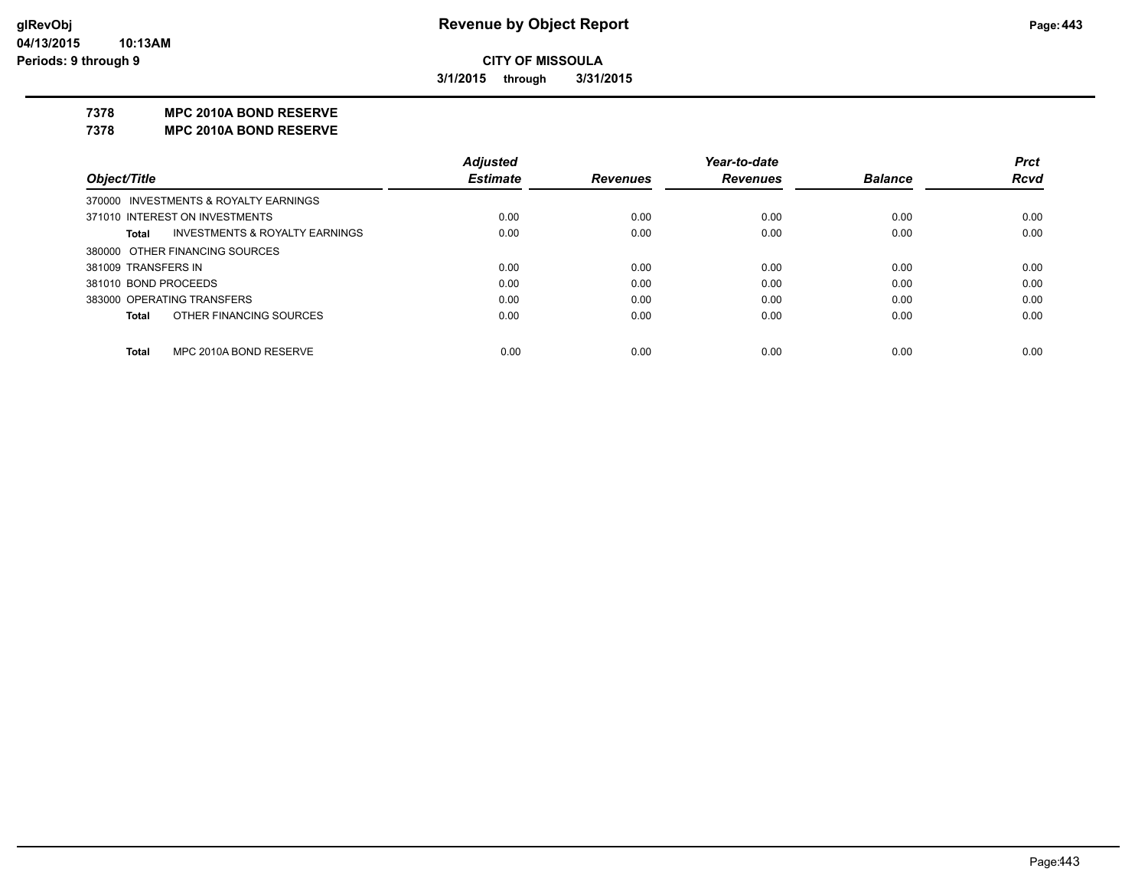**3/1/2015 through 3/31/2015**

#### **7378 MPC 2010A BOND RESERVE**

**7378 MPC 2010A BOND RESERVE**

|                      |                                       | <b>Adjusted</b> |                 | Year-to-date    |                | <b>Prct</b> |
|----------------------|---------------------------------------|-----------------|-----------------|-----------------|----------------|-------------|
| Object/Title         |                                       | <b>Estimate</b> | <b>Revenues</b> | <b>Revenues</b> | <b>Balance</b> | <b>Rcvd</b> |
|                      | 370000 INVESTMENTS & ROYALTY EARNINGS |                 |                 |                 |                |             |
|                      | 371010 INTEREST ON INVESTMENTS        | 0.00            | 0.00            | 0.00            | 0.00           | 0.00        |
| Total                | INVESTMENTS & ROYALTY EARNINGS        | 0.00            | 0.00            | 0.00            | 0.00           | 0.00        |
|                      | 380000 OTHER FINANCING SOURCES        |                 |                 |                 |                |             |
| 381009 TRANSFERS IN  |                                       | 0.00            | 0.00            | 0.00            | 0.00           | 0.00        |
| 381010 BOND PROCEEDS |                                       | 0.00            | 0.00            | 0.00            | 0.00           | 0.00        |
|                      | 383000 OPERATING TRANSFERS            | 0.00            | 0.00            | 0.00            | 0.00           | 0.00        |
| <b>Total</b>         | OTHER FINANCING SOURCES               | 0.00            | 0.00            | 0.00            | 0.00           | 0.00        |
|                      |                                       |                 |                 |                 |                |             |
| <b>Total</b>         | MPC 2010A BOND RESERVE                | 0.00            | 0.00            | 0.00            | 0.00           | 0.00        |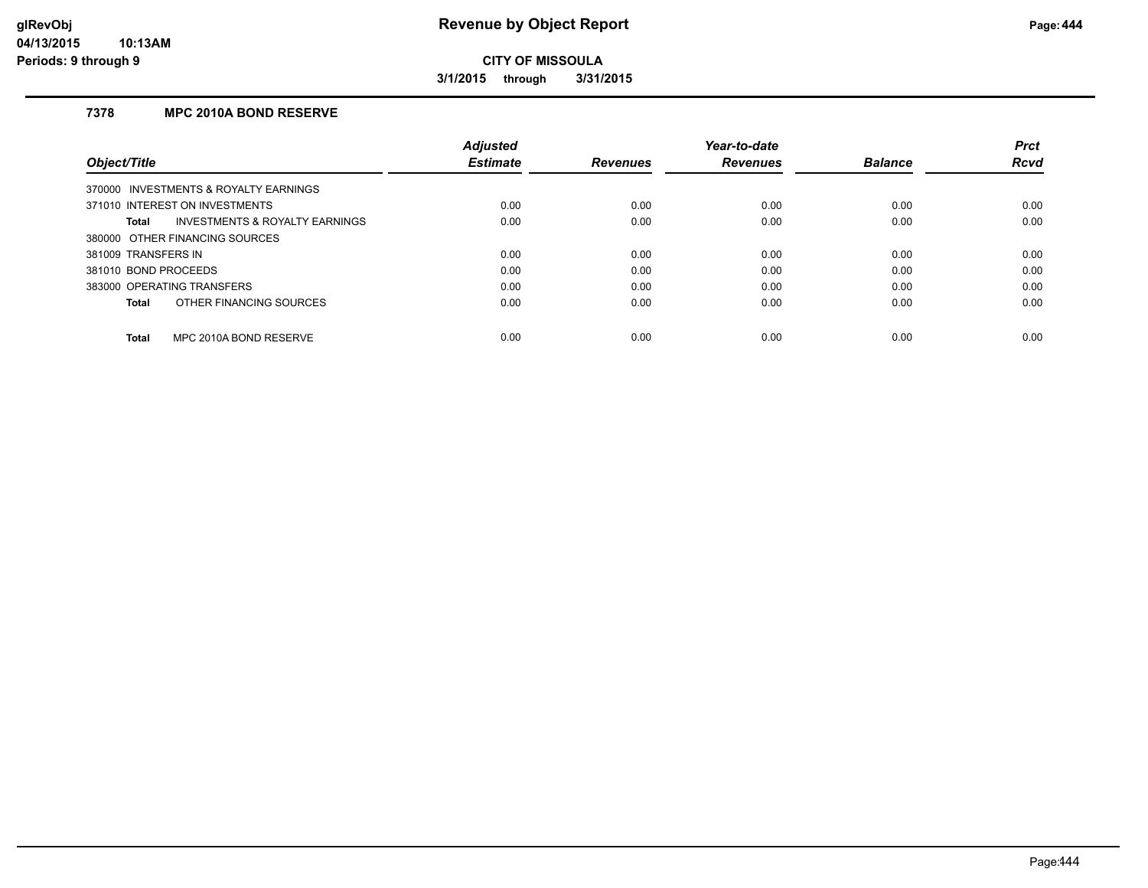**3/1/2015 through 3/31/2015**

## **7378 MPC 2010A BOND RESERVE**

|                                         | <b>Adjusted</b> |                 | Year-to-date    |                | <b>Prct</b> |
|-----------------------------------------|-----------------|-----------------|-----------------|----------------|-------------|
| Object/Title                            | <b>Estimate</b> | <b>Revenues</b> | <b>Revenues</b> | <b>Balance</b> | <b>Rcvd</b> |
| 370000 INVESTMENTS & ROYALTY EARNINGS   |                 |                 |                 |                |             |
| 371010 INTEREST ON INVESTMENTS          | 0.00            | 0.00            | 0.00            | 0.00           | 0.00        |
| INVESTMENTS & ROYALTY EARNINGS<br>Total | 0.00            | 0.00            | 0.00            | 0.00           | 0.00        |
| 380000 OTHER FINANCING SOURCES          |                 |                 |                 |                |             |
| 381009 TRANSFERS IN                     | 0.00            | 0.00            | 0.00            | 0.00           | 0.00        |
| 381010 BOND PROCEEDS                    | 0.00            | 0.00            | 0.00            | 0.00           | 0.00        |
| 383000 OPERATING TRANSFERS              | 0.00            | 0.00            | 0.00            | 0.00           | 0.00        |
| OTHER FINANCING SOURCES<br>Total        | 0.00            | 0.00            | 0.00            | 0.00           | 0.00        |
| MPC 2010A BOND RESERVE<br><b>Total</b>  | 0.00            | 0.00            | 0.00            | 0.00           | 0.00        |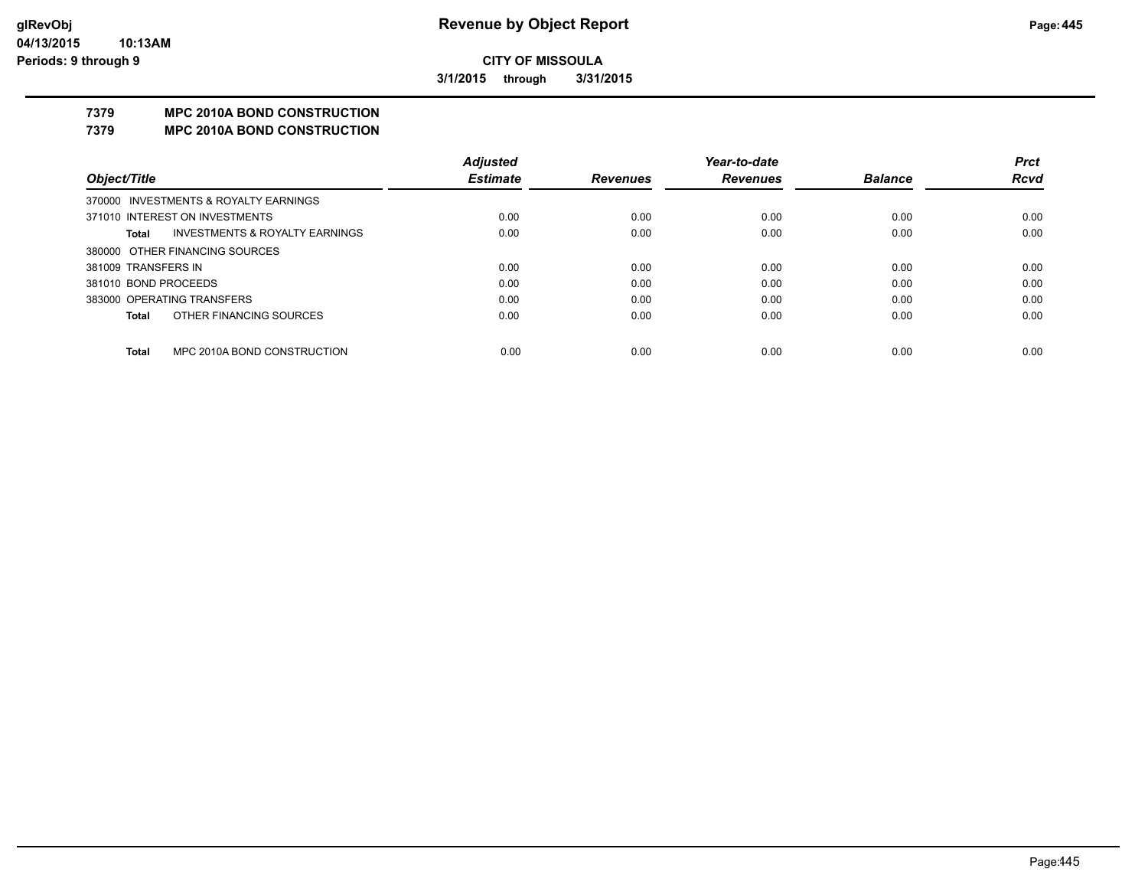**3/1/2015 through 3/31/2015**

## **7379 MPC 2010A BOND CONSTRUCTION**

#### **7379 MPC 2010A BOND CONSTRUCTION**

|                      |                                       | <b>Adjusted</b> |                 | Year-to-date    |                | <b>Prct</b> |
|----------------------|---------------------------------------|-----------------|-----------------|-----------------|----------------|-------------|
| Object/Title         |                                       | <b>Estimate</b> | <b>Revenues</b> | <b>Revenues</b> | <b>Balance</b> | <b>Rcvd</b> |
|                      | 370000 INVESTMENTS & ROYALTY EARNINGS |                 |                 |                 |                |             |
|                      | 371010 INTEREST ON INVESTMENTS        | 0.00            | 0.00            | 0.00            | 0.00           | 0.00        |
| Total                | INVESTMENTS & ROYALTY EARNINGS        | 0.00            | 0.00            | 0.00            | 0.00           | 0.00        |
|                      | 380000 OTHER FINANCING SOURCES        |                 |                 |                 |                |             |
| 381009 TRANSFERS IN  |                                       | 0.00            | 0.00            | 0.00            | 0.00           | 0.00        |
| 381010 BOND PROCEEDS |                                       | 0.00            | 0.00            | 0.00            | 0.00           | 0.00        |
|                      | 383000 OPERATING TRANSFERS            | 0.00            | 0.00            | 0.00            | 0.00           | 0.00        |
| Total                | OTHER FINANCING SOURCES               | 0.00            | 0.00            | 0.00            | 0.00           | 0.00        |
| <b>Total</b>         | MPC 2010A BOND CONSTRUCTION           | 0.00            | 0.00            | 0.00            | 0.00           | 0.00        |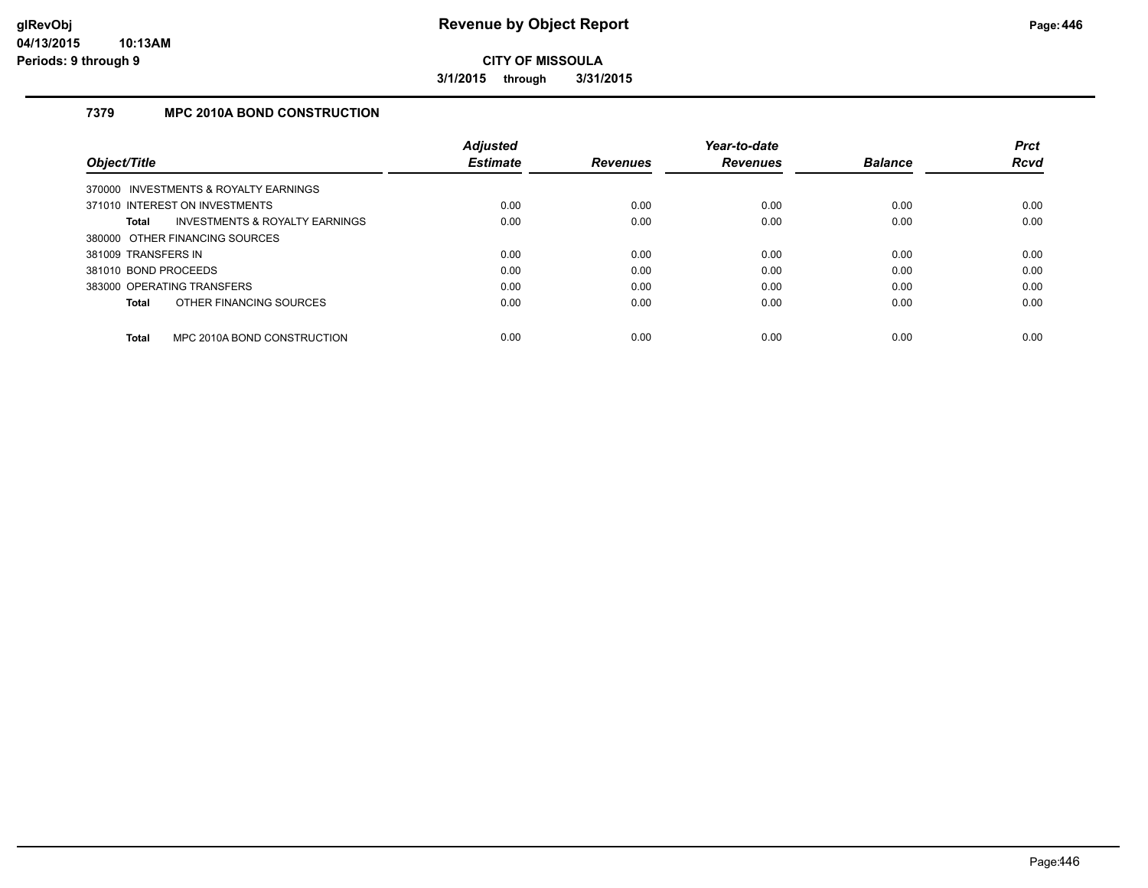**3/1/2015 through 3/31/2015**

## **7379 MPC 2010A BOND CONSTRUCTION**

|                      |                                           | <b>Adjusted</b> |                 | Year-to-date    |                | <b>Prct</b> |
|----------------------|-------------------------------------------|-----------------|-----------------|-----------------|----------------|-------------|
| Object/Title         |                                           | <b>Estimate</b> | <b>Revenues</b> | <b>Revenues</b> | <b>Balance</b> | <b>Rcvd</b> |
|                      | 370000 INVESTMENTS & ROYALTY EARNINGS     |                 |                 |                 |                |             |
|                      | 371010 INTEREST ON INVESTMENTS            | 0.00            | 0.00            | 0.00            | 0.00           | 0.00        |
| Total                | <b>INVESTMENTS &amp; ROYALTY EARNINGS</b> | 0.00            | 0.00            | 0.00            | 0.00           | 0.00        |
|                      | 380000 OTHER FINANCING SOURCES            |                 |                 |                 |                |             |
| 381009 TRANSFERS IN  |                                           | 0.00            | 0.00            | 0.00            | 0.00           | 0.00        |
| 381010 BOND PROCEEDS |                                           | 0.00            | 0.00            | 0.00            | 0.00           | 0.00        |
|                      | 383000 OPERATING TRANSFERS                | 0.00            | 0.00            | 0.00            | 0.00           | 0.00        |
| Total                | OTHER FINANCING SOURCES                   | 0.00            | 0.00            | 0.00            | 0.00           | 0.00        |
| <b>Total</b>         | MPC 2010A BOND CONSTRUCTION               | 0.00            | 0.00            | 0.00            | 0.00           | 0.00        |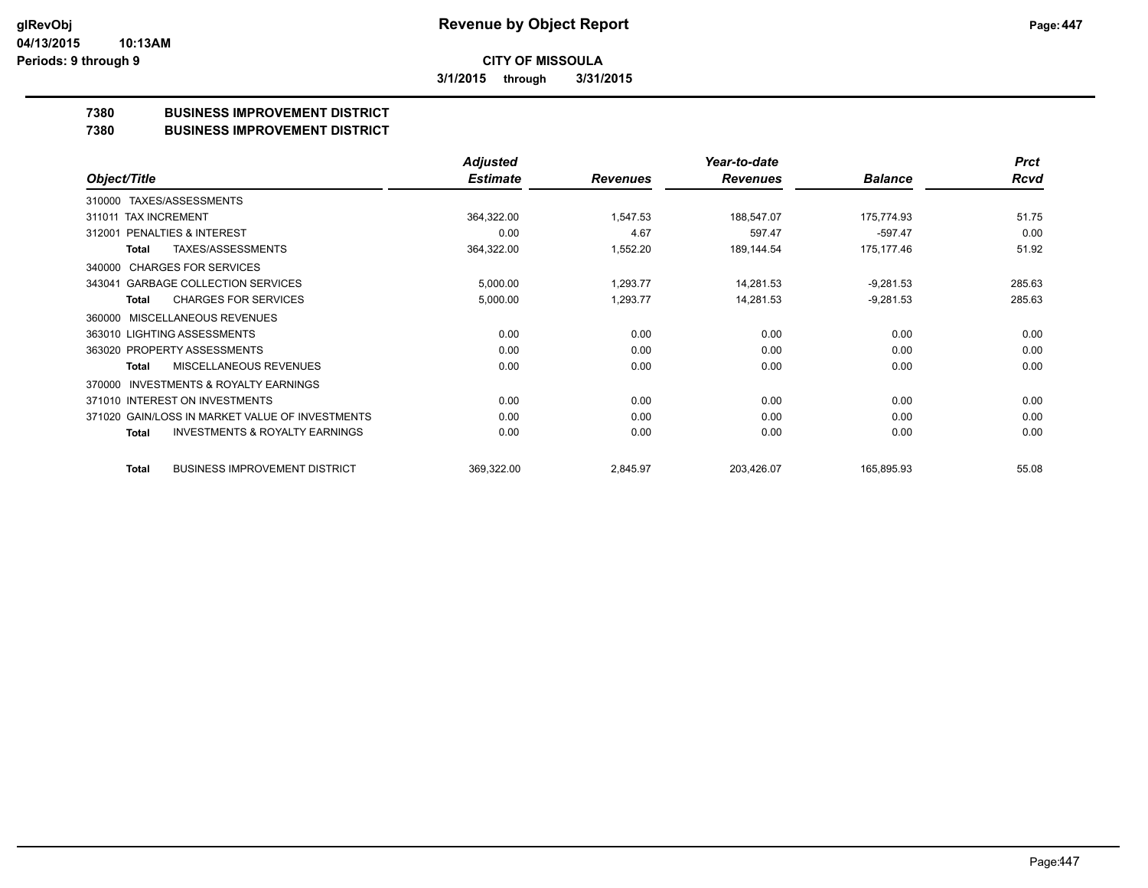**3/1/2015 through 3/31/2015**

## **7380 BUSINESS IMPROVEMENT DISTRICT**

#### **7380 BUSINESS IMPROVEMENT DISTRICT**

|                                                     | <b>Adjusted</b> |                 | Year-to-date    |                | <b>Prct</b> |
|-----------------------------------------------------|-----------------|-----------------|-----------------|----------------|-------------|
| Object/Title                                        | <b>Estimate</b> | <b>Revenues</b> | <b>Revenues</b> | <b>Balance</b> | Rcvd        |
| TAXES/ASSESSMENTS<br>310000                         |                 |                 |                 |                |             |
| 311011 TAX INCREMENT                                | 364,322.00      | 1,547.53        | 188,547.07      | 175,774.93     | 51.75       |
| <b>PENALTIES &amp; INTEREST</b><br>312001           | 0.00            | 4.67            | 597.47          | $-597.47$      | 0.00        |
| <b>TAXES/ASSESSMENTS</b><br>Total                   | 364,322.00      | 1,552.20        | 189,144.54      | 175,177.46     | 51.92       |
| <b>CHARGES FOR SERVICES</b><br>340000               |                 |                 |                 |                |             |
| <b>GARBAGE COLLECTION SERVICES</b><br>343041        | 5,000.00        | 1,293.77        | 14,281.53       | $-9,281.53$    | 285.63      |
| <b>CHARGES FOR SERVICES</b><br><b>Total</b>         | 5,000.00        | 1,293.77        | 14,281.53       | $-9,281.53$    | 285.63      |
| <b>MISCELLANEOUS REVENUES</b><br>360000             |                 |                 |                 |                |             |
| 363010 LIGHTING ASSESSMENTS                         | 0.00            | 0.00            | 0.00            | 0.00           | 0.00        |
| 363020 PROPERTY ASSESSMENTS                         | 0.00            | 0.00            | 0.00            | 0.00           | 0.00        |
| MISCELLANEOUS REVENUES<br>Total                     | 0.00            | 0.00            | 0.00            | 0.00           | 0.00        |
| <b>INVESTMENTS &amp; ROYALTY EARNINGS</b><br>370000 |                 |                 |                 |                |             |
| 371010 INTEREST ON INVESTMENTS                      | 0.00            | 0.00            | 0.00            | 0.00           | 0.00        |
| 371020 GAIN/LOSS IN MARKET VALUE OF INVESTMENTS     | 0.00            | 0.00            | 0.00            | 0.00           | 0.00        |
| <b>INVESTMENTS &amp; ROYALTY EARNINGS</b><br>Total  | 0.00            | 0.00            | 0.00            | 0.00           | 0.00        |
| <b>BUSINESS IMPROVEMENT DISTRICT</b><br>Total       | 369,322.00      | 2,845.97        | 203,426.07      | 165,895.93     | 55.08       |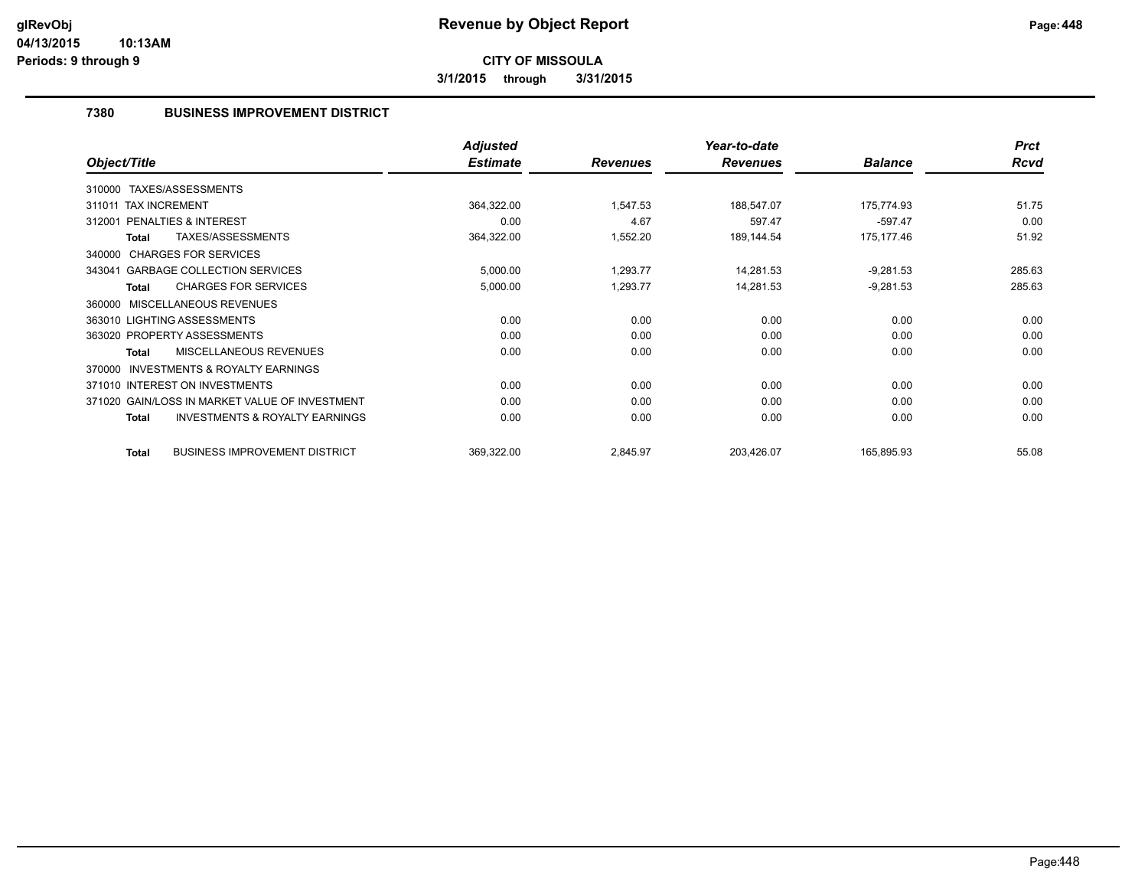**3/1/2015 through 3/31/2015**

## **7380 BUSINESS IMPROVEMENT DISTRICT**

|                                                           | <b>Adjusted</b> |                 | Year-to-date    |                | <b>Prct</b> |
|-----------------------------------------------------------|-----------------|-----------------|-----------------|----------------|-------------|
| Object/Title                                              | <b>Estimate</b> | <b>Revenues</b> | <b>Revenues</b> | <b>Balance</b> | <b>Rcvd</b> |
| TAXES/ASSESSMENTS<br>310000                               |                 |                 |                 |                |             |
| <b>TAX INCREMENT</b><br>311011                            | 364,322.00      | 1,547.53        | 188,547.07      | 175,774.93     | 51.75       |
| <b>PENALTIES &amp; INTEREST</b><br>312001                 | 0.00            | 4.67            | 597.47          | $-597.47$      | 0.00        |
| TAXES/ASSESSMENTS<br>Total                                | 364,322.00      | 1,552.20        | 189,144.54      | 175,177.46     | 51.92       |
| 340000 CHARGES FOR SERVICES                               |                 |                 |                 |                |             |
| <b>GARBAGE COLLECTION SERVICES</b><br>343041              | 5,000.00        | 1,293.77        | 14,281.53       | $-9,281.53$    | 285.63      |
| <b>CHARGES FOR SERVICES</b><br><b>Total</b>               | 5,000.00        | 1,293.77        | 14,281.53       | $-9,281.53$    | 285.63      |
| MISCELLANEOUS REVENUES<br>360000                          |                 |                 |                 |                |             |
| 363010 LIGHTING ASSESSMENTS                               | 0.00            | 0.00            | 0.00            | 0.00           | 0.00        |
| 363020 PROPERTY ASSESSMENTS                               | 0.00            | 0.00            | 0.00            | 0.00           | 0.00        |
| MISCELLANEOUS REVENUES<br><b>Total</b>                    | 0.00            | 0.00            | 0.00            | 0.00           | 0.00        |
| INVESTMENTS & ROYALTY EARNINGS<br>370000                  |                 |                 |                 |                |             |
| 371010 INTEREST ON INVESTMENTS                            | 0.00            | 0.00            | 0.00            | 0.00           | 0.00        |
| 371020 GAIN/LOSS IN MARKET VALUE OF INVESTMENT            | 0.00            | 0.00            | 0.00            | 0.00           | 0.00        |
| <b>INVESTMENTS &amp; ROYALTY EARNINGS</b><br><b>Total</b> | 0.00            | 0.00            | 0.00            | 0.00           | 0.00        |
| <b>BUSINESS IMPROVEMENT DISTRICT</b><br><b>Total</b>      | 369,322.00      | 2,845.97        | 203,426.07      | 165,895.93     | 55.08       |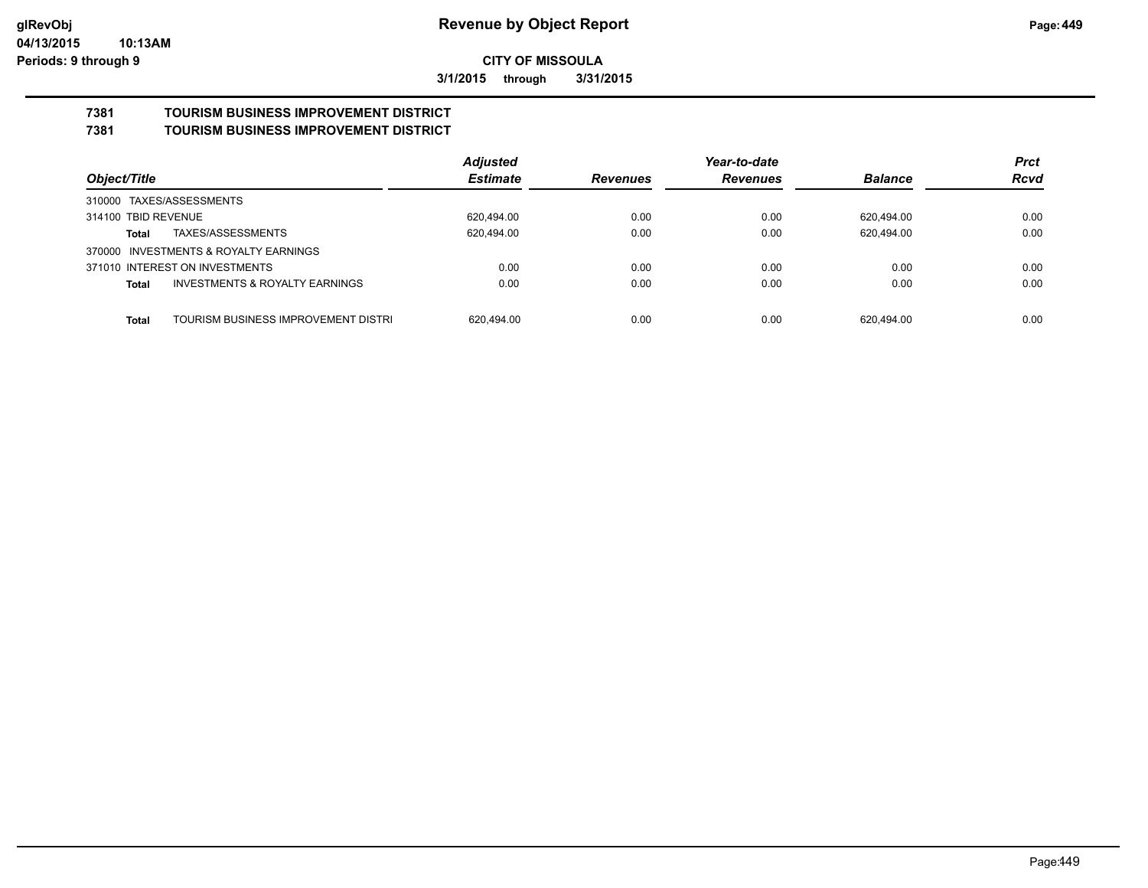**3/1/2015 through 3/31/2015**

#### **7381 TOURISM BUSINESS IMPROVEMENT DISTRICT 7381 TOURISM BUSINESS IMPROVEMENT DISTRICT**

|                                                     | <b>Adjusted</b> |                 | Year-to-date    |                | <b>Prct</b> |
|-----------------------------------------------------|-----------------|-----------------|-----------------|----------------|-------------|
| Object/Title                                        | <b>Estimate</b> | <b>Revenues</b> | <b>Revenues</b> | <b>Balance</b> | <b>Rcvd</b> |
| 310000 TAXES/ASSESSMENTS                            |                 |                 |                 |                |             |
| 314100 TBID REVENUE                                 | 620.494.00      | 0.00            | 0.00            | 620.494.00     | 0.00        |
| TAXES/ASSESSMENTS<br>Total                          | 620,494.00      | 0.00            | 0.00            | 620.494.00     | 0.00        |
| 370000 INVESTMENTS & ROYALTY EARNINGS               |                 |                 |                 |                |             |
| 371010 INTEREST ON INVESTMENTS                      | 0.00            | 0.00            | 0.00            | 0.00           | 0.00        |
| <b>INVESTMENTS &amp; ROYALTY EARNINGS</b><br>Total  | 0.00            | 0.00            | 0.00            | 0.00           | 0.00        |
|                                                     |                 |                 |                 |                |             |
| TOURISM BUSINESS IMPROVEMENT DISTRI<br><b>Total</b> | 620.494.00      | 0.00            | 0.00            | 620.494.00     | 0.00        |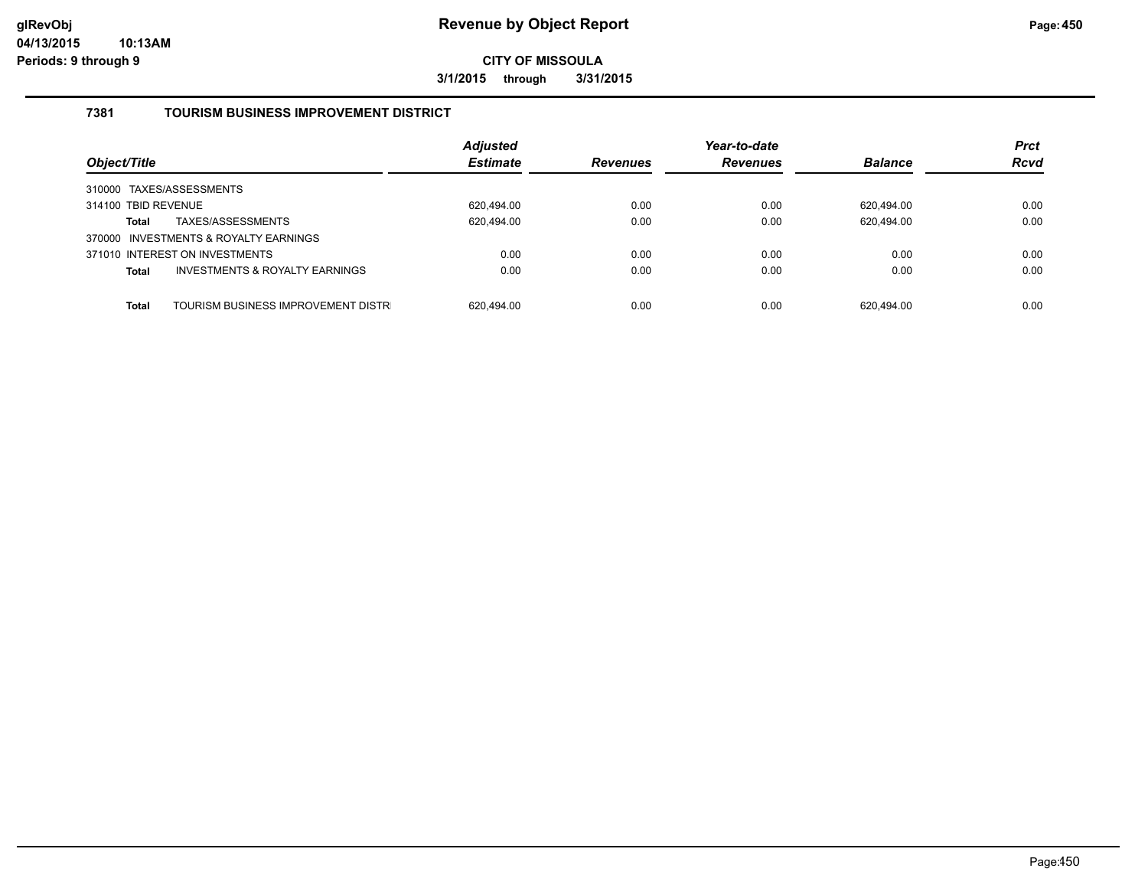**3/1/2015 through 3/31/2015**

## **7381 TOURISM BUSINESS IMPROVEMENT DISTRICT**

| Object/Title        |                                       | <b>Adjusted</b><br><b>Estimate</b> | <b>Revenues</b> | Year-to-date<br><b>Revenues</b> | <b>Balance</b> | <b>Prct</b><br><b>Rcvd</b> |
|---------------------|---------------------------------------|------------------------------------|-----------------|---------------------------------|----------------|----------------------------|
|                     | 310000 TAXES/ASSESSMENTS              |                                    |                 |                                 |                |                            |
| 314100 TBID REVENUE |                                       | 620.494.00                         | 0.00            | 0.00                            | 620.494.00     | 0.00                       |
| <b>Total</b>        | TAXES/ASSESSMENTS                     | 620,494.00                         | 0.00            | 0.00                            | 620.494.00     | 0.00                       |
|                     | 370000 INVESTMENTS & ROYALTY EARNINGS |                                    |                 |                                 |                |                            |
|                     | 371010 INTEREST ON INVESTMENTS        | 0.00                               | 0.00            | 0.00                            | 0.00           | 0.00                       |
| <b>Total</b>        | INVESTMENTS & ROYALTY EARNINGS        | 0.00                               | 0.00            | 0.00                            | 0.00           | 0.00                       |
| <b>Total</b>        | TOURISM BUSINESS IMPROVEMENT DISTR    | 620.494.00                         | 0.00            | 0.00                            | 620.494.00     | 0.00                       |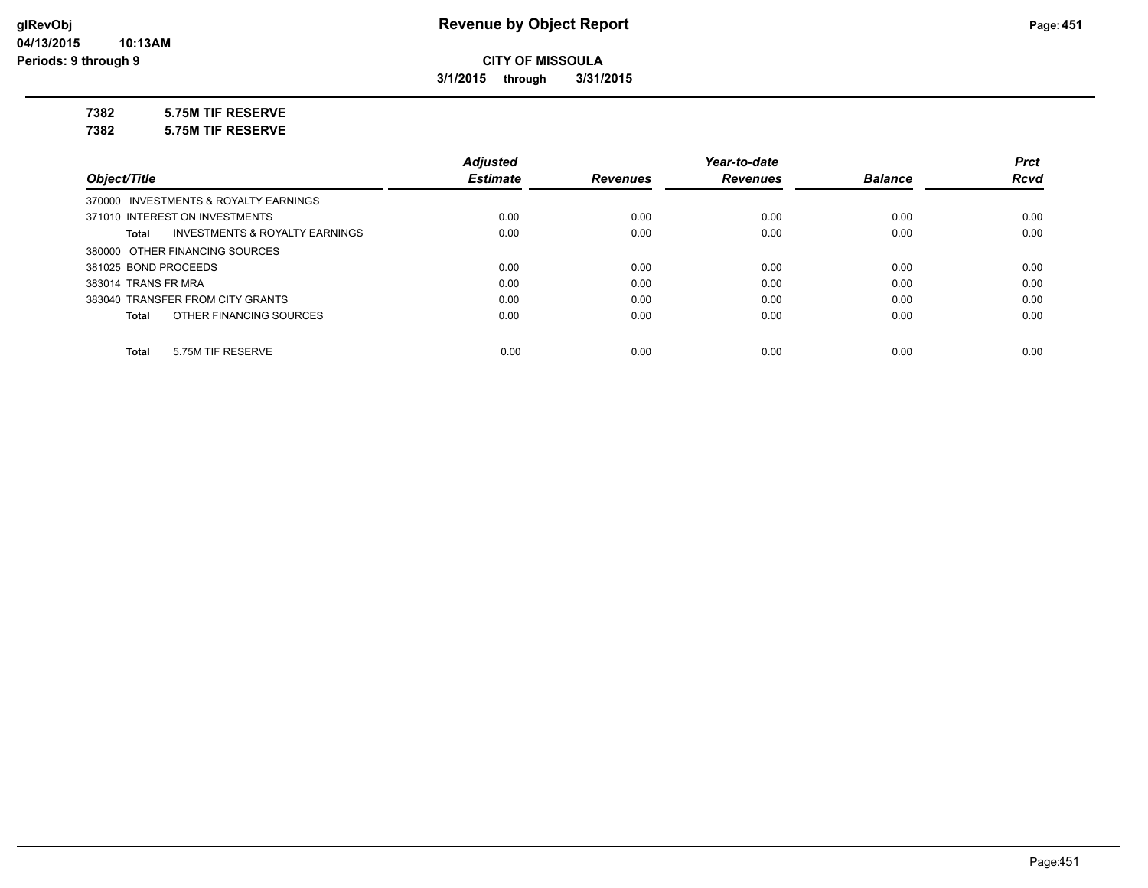**3/1/2015 through 3/31/2015**

## **7382 5.75M TIF RESERVE**

**7382 5.75M TIF RESERVE**

|                                         | <b>Adjusted</b> |                 | Year-to-date    |                | <b>Prct</b> |
|-----------------------------------------|-----------------|-----------------|-----------------|----------------|-------------|
| Object/Title                            | <b>Estimate</b> | <b>Revenues</b> | <b>Revenues</b> | <b>Balance</b> | <b>Rcvd</b> |
| 370000 INVESTMENTS & ROYALTY EARNINGS   |                 |                 |                 |                |             |
| 371010 INTEREST ON INVESTMENTS          | 0.00            | 0.00            | 0.00            | 0.00           | 0.00        |
| INVESTMENTS & ROYALTY EARNINGS<br>Total | 0.00            | 0.00            | 0.00            | 0.00           | 0.00        |
| 380000 OTHER FINANCING SOURCES          |                 |                 |                 |                |             |
| 381025 BOND PROCEEDS                    | 0.00            | 0.00            | 0.00            | 0.00           | 0.00        |
| 383014 TRANS FR MRA                     | 0.00            | 0.00            | 0.00            | 0.00           | 0.00        |
| 383040 TRANSFER FROM CITY GRANTS        | 0.00            | 0.00            | 0.00            | 0.00           | 0.00        |
| OTHER FINANCING SOURCES<br>Total        | 0.00            | 0.00            | 0.00            | 0.00           | 0.00        |
|                                         |                 |                 |                 |                |             |
| 5.75M TIF RESERVE<br><b>Total</b>       | 0.00            | 0.00            | 0.00            | 0.00           | 0.00        |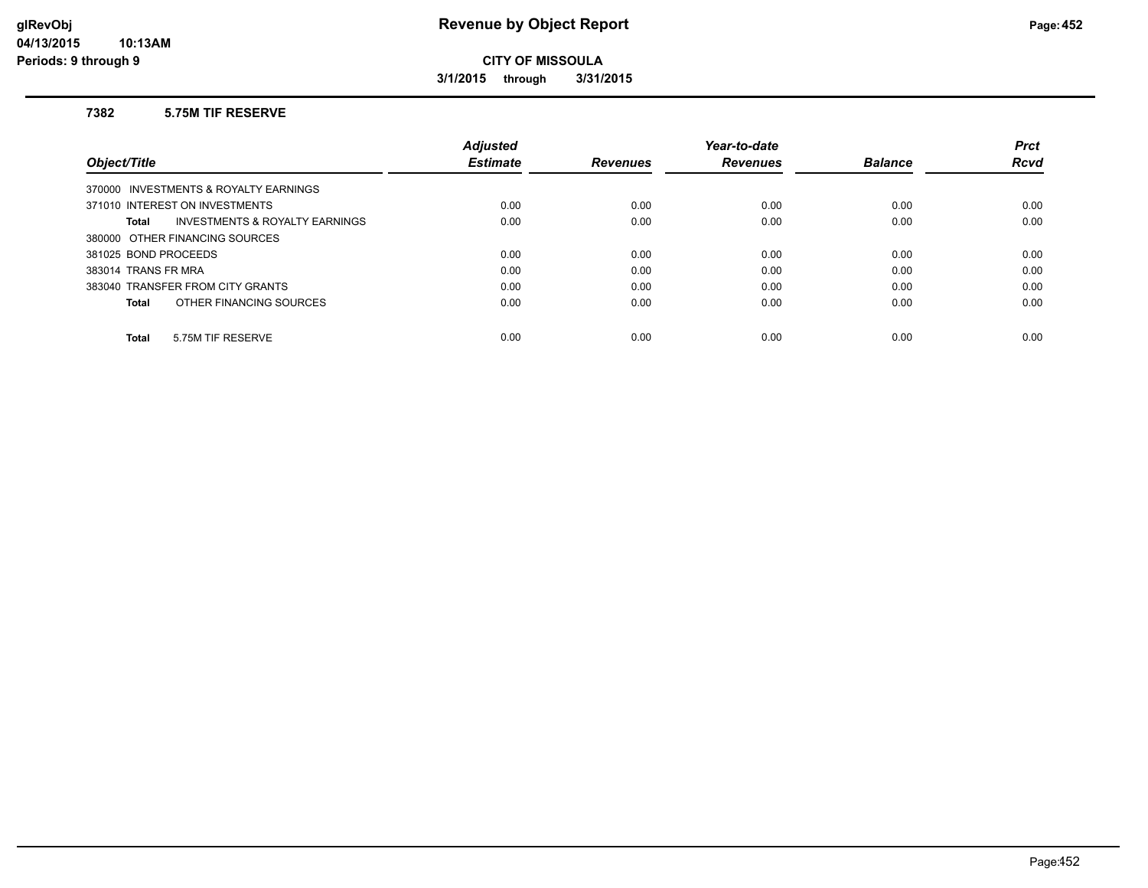**3/1/2015 through 3/31/2015**

#### **7382 5.75M TIF RESERVE**

|                                                    | <b>Adjusted</b> |                 | Year-to-date    |                | <b>Prct</b> |
|----------------------------------------------------|-----------------|-----------------|-----------------|----------------|-------------|
| Object/Title                                       | <b>Estimate</b> | <b>Revenues</b> | <b>Revenues</b> | <b>Balance</b> | <b>Rcvd</b> |
| 370000 INVESTMENTS & ROYALTY EARNINGS              |                 |                 |                 |                |             |
| 371010 INTEREST ON INVESTMENTS                     | 0.00            | 0.00            | 0.00            | 0.00           | 0.00        |
| <b>INVESTMENTS &amp; ROYALTY EARNINGS</b><br>Total | 0.00            | 0.00            | 0.00            | 0.00           | 0.00        |
| 380000 OTHER FINANCING SOURCES                     |                 |                 |                 |                |             |
| 381025 BOND PROCEEDS                               | 0.00            | 0.00            | 0.00            | 0.00           | 0.00        |
| 383014 TRANS FR MRA                                | 0.00            | 0.00            | 0.00            | 0.00           | 0.00        |
| 383040 TRANSFER FROM CITY GRANTS                   | 0.00            | 0.00            | 0.00            | 0.00           | 0.00        |
| OTHER FINANCING SOURCES<br>Total                   | 0.00            | 0.00            | 0.00            | 0.00           | 0.00        |
| 5.75M TIF RESERVE<br><b>Total</b>                  | 0.00            | 0.00            | 0.00            | 0.00           | 0.00        |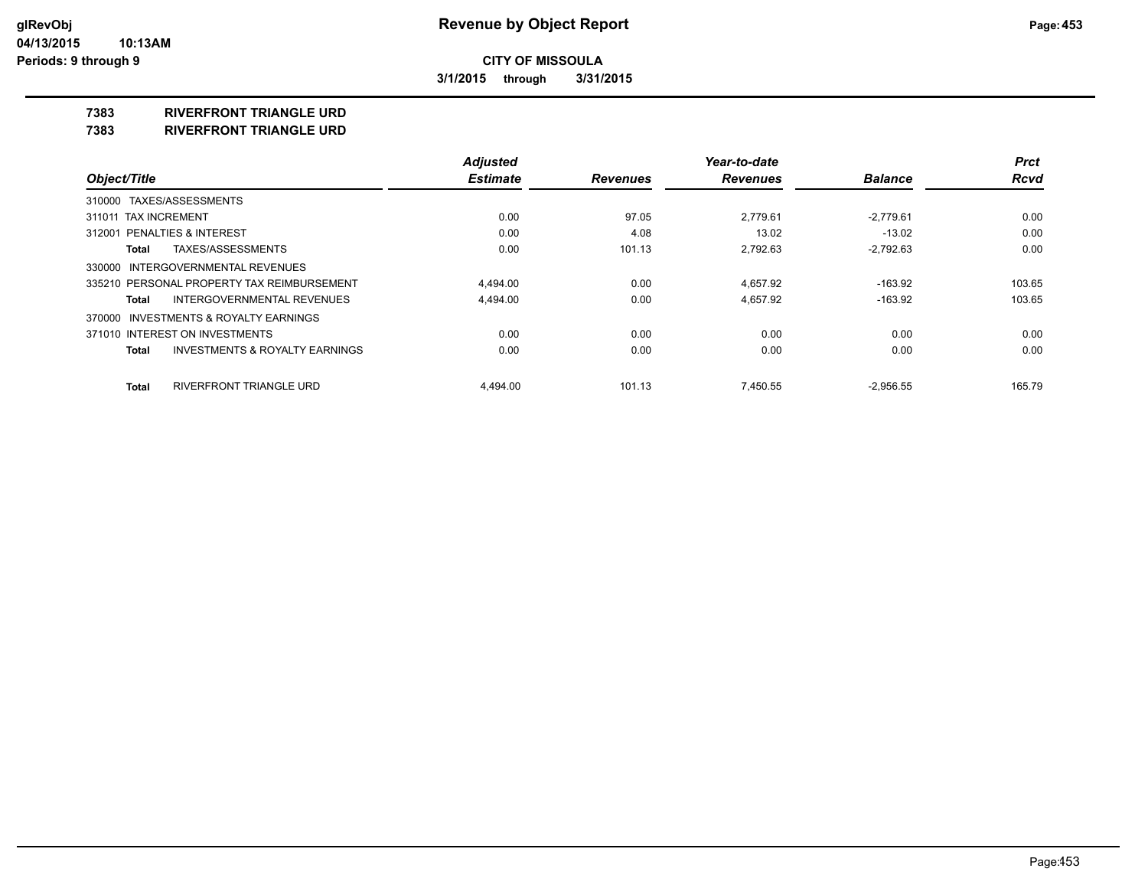**3/1/2015 through 3/31/2015**

## **7383 RIVERFRONT TRIANGLE URD**

**7383 RIVERFRONT TRIANGLE URD**

|                                                           | <b>Adjusted</b> |                 | Year-to-date    |                | <b>Prct</b> |
|-----------------------------------------------------------|-----------------|-----------------|-----------------|----------------|-------------|
| Object/Title                                              | <b>Estimate</b> | <b>Revenues</b> | <b>Revenues</b> | <b>Balance</b> | <b>Rcvd</b> |
| 310000 TAXES/ASSESSMENTS                                  |                 |                 |                 |                |             |
| 311011 TAX INCREMENT                                      | 0.00            | 97.05           | 2.779.61        | $-2.779.61$    | 0.00        |
| <b>PENALTIES &amp; INTEREST</b><br>312001                 | 0.00            | 4.08            | 13.02           | $-13.02$       | 0.00        |
| TAXES/ASSESSMENTS<br>Total                                | 0.00            | 101.13          | 2.792.63        | $-2,792.63$    | 0.00        |
| 330000 INTERGOVERNMENTAL REVENUES                         |                 |                 |                 |                |             |
| 335210 PERSONAL PROPERTY TAX REIMBURSEMENT                | 4,494.00        | 0.00            | 4.657.92        | $-163.92$      | 103.65      |
| <b>INTERGOVERNMENTAL REVENUES</b><br>Total                | 4,494.00        | 0.00            | 4,657.92        | $-163.92$      | 103.65      |
| 370000 INVESTMENTS & ROYALTY EARNINGS                     |                 |                 |                 |                |             |
| 371010 INTEREST ON INVESTMENTS                            | 0.00            | 0.00            | 0.00            | 0.00           | 0.00        |
| <b>INVESTMENTS &amp; ROYALTY EARNINGS</b><br><b>Total</b> | 0.00            | 0.00            | 0.00            | 0.00           | 0.00        |
| <b>RIVERFRONT TRIANGLE URD</b><br><b>Total</b>            | 4.494.00        | 101.13          | 7.450.55        | $-2.956.55$    | 165.79      |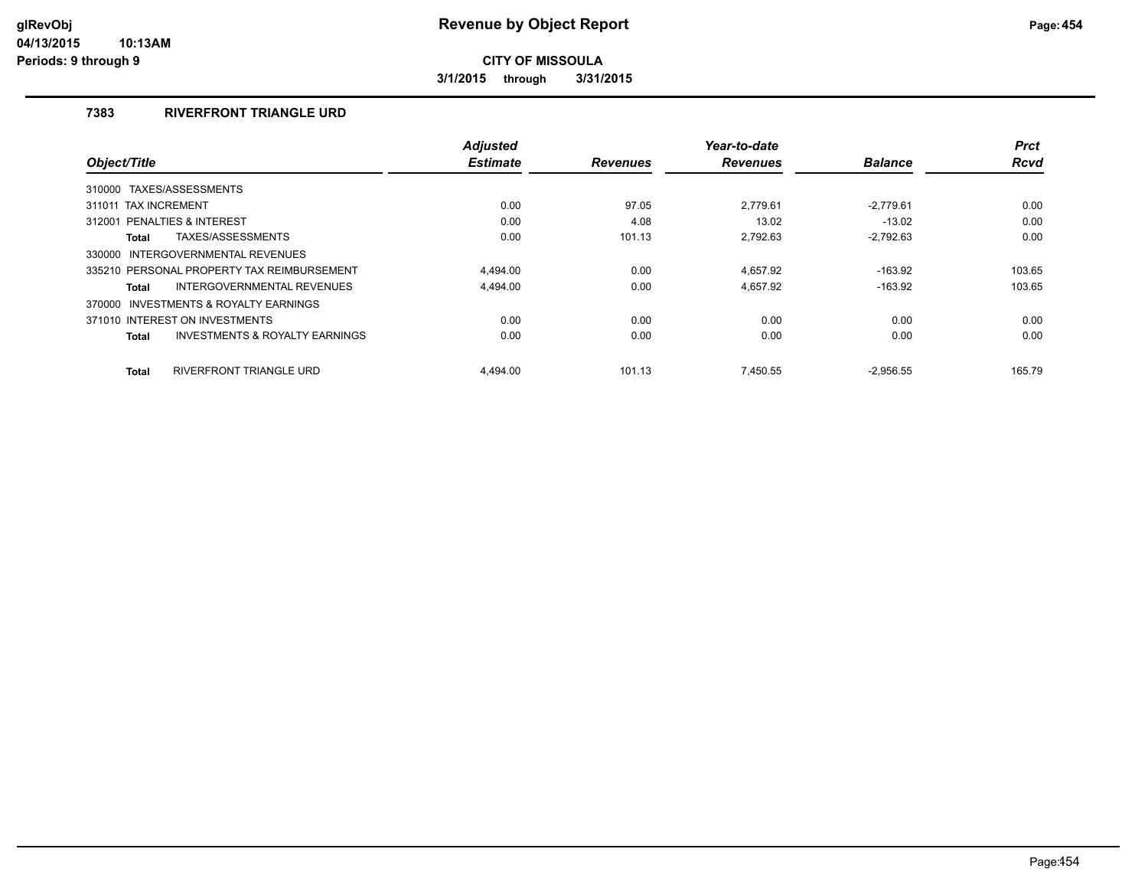**3/1/2015 through 3/31/2015**

## **7383 RIVERFRONT TRIANGLE URD**

|                                                           | <b>Adjusted</b> |                 | Year-to-date    |                | <b>Prct</b> |
|-----------------------------------------------------------|-----------------|-----------------|-----------------|----------------|-------------|
| Object/Title                                              | <b>Estimate</b> | <b>Revenues</b> | <b>Revenues</b> | <b>Balance</b> | <b>Rcvd</b> |
| TAXES/ASSESSMENTS<br>310000                               |                 |                 |                 |                |             |
| 311011 TAX INCREMENT                                      | 0.00            | 97.05           | 2.779.61        | $-2.779.61$    | 0.00        |
| 312001 PENALTIES & INTEREST                               | 0.00            | 4.08            | 13.02           | $-13.02$       | 0.00        |
| TAXES/ASSESSMENTS<br><b>Total</b>                         | 0.00            | 101.13          | 2,792.63        | $-2,792.63$    | 0.00        |
| INTERGOVERNMENTAL REVENUES<br>330000                      |                 |                 |                 |                |             |
| 335210 PERSONAL PROPERTY TAX REIMBURSEMENT                | 4.494.00        | 0.00            | 4.657.92        | $-163.92$      | 103.65      |
| <b>INTERGOVERNMENTAL REVENUES</b><br><b>Total</b>         | 4.494.00        | 0.00            | 4.657.92        | $-163.92$      | 103.65      |
| 370000 INVESTMENTS & ROYALTY EARNINGS                     |                 |                 |                 |                |             |
| 371010 INTEREST ON INVESTMENTS                            | 0.00            | 0.00            | 0.00            | 0.00           | 0.00        |
| <b>INVESTMENTS &amp; ROYALTY EARNINGS</b><br><b>Total</b> | 0.00            | 0.00            | 0.00            | 0.00           | 0.00        |
| RIVERFRONT TRIANGLE URD<br><b>Total</b>                   | 4.494.00        | 101.13          | 7.450.55        | $-2.956.55$    | 165.79      |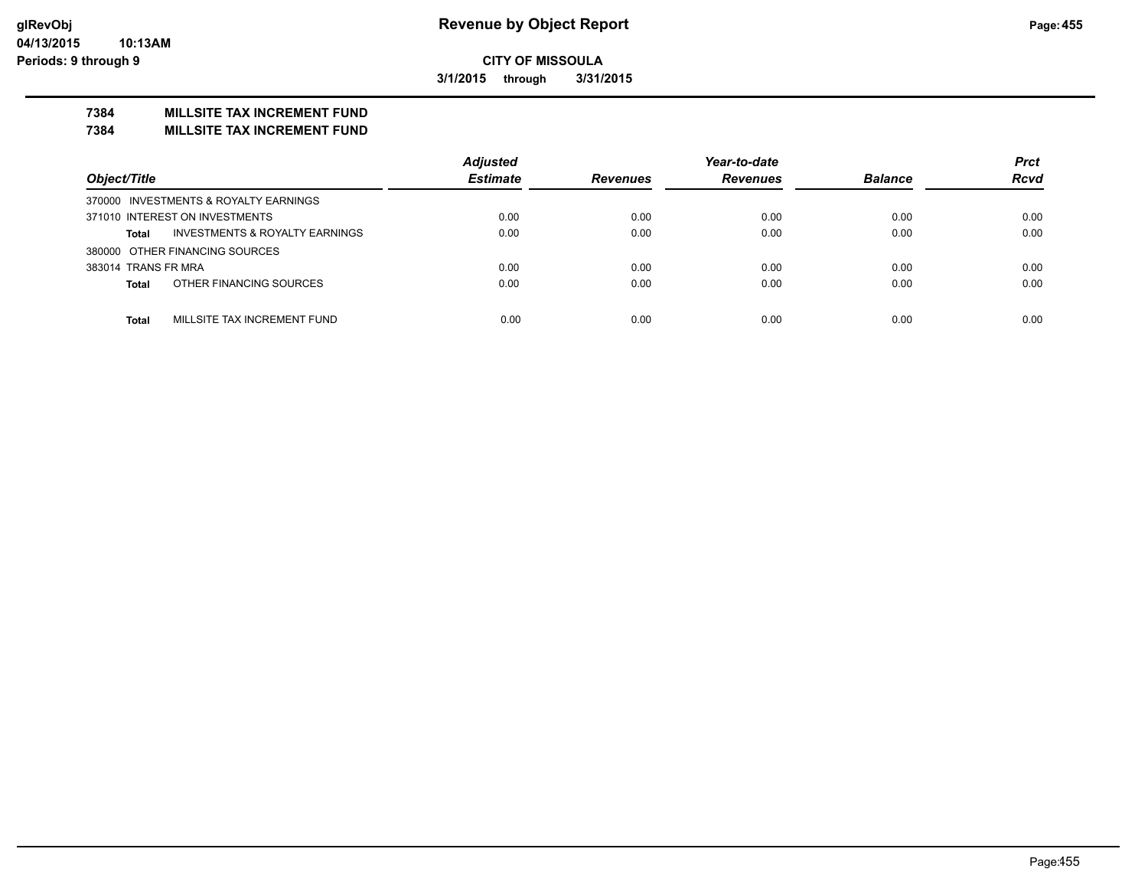**3/1/2015 through 3/31/2015**

## **7384 MILLSITE TAX INCREMENT FUND**

#### **7384 MILLSITE TAX INCREMENT FUND**

|                                                           | <b>Adjusted</b> |                 | Year-to-date    |                | <b>Prct</b> |
|-----------------------------------------------------------|-----------------|-----------------|-----------------|----------------|-------------|
| Object/Title                                              | <b>Estimate</b> | <b>Revenues</b> | <b>Revenues</b> | <b>Balance</b> | <b>Rcvd</b> |
| 370000 INVESTMENTS & ROYALTY EARNINGS                     |                 |                 |                 |                |             |
| 371010 INTEREST ON INVESTMENTS                            | 0.00            | 0.00            | 0.00            | 0.00           | 0.00        |
| <b>INVESTMENTS &amp; ROYALTY EARNINGS</b><br><b>Total</b> | 0.00            | 0.00            | 0.00            | 0.00           | 0.00        |
| 380000 OTHER FINANCING SOURCES                            |                 |                 |                 |                |             |
| 383014 TRANS FR MRA                                       | 0.00            | 0.00            | 0.00            | 0.00           | 0.00        |
| OTHER FINANCING SOURCES<br><b>Total</b>                   | 0.00            | 0.00            | 0.00            | 0.00           | 0.00        |
|                                                           |                 |                 |                 |                |             |
| MILLSITE TAX INCREMENT FUND<br><b>Total</b>               | 0.00            | 0.00            | 0.00            | 0.00           | 0.00        |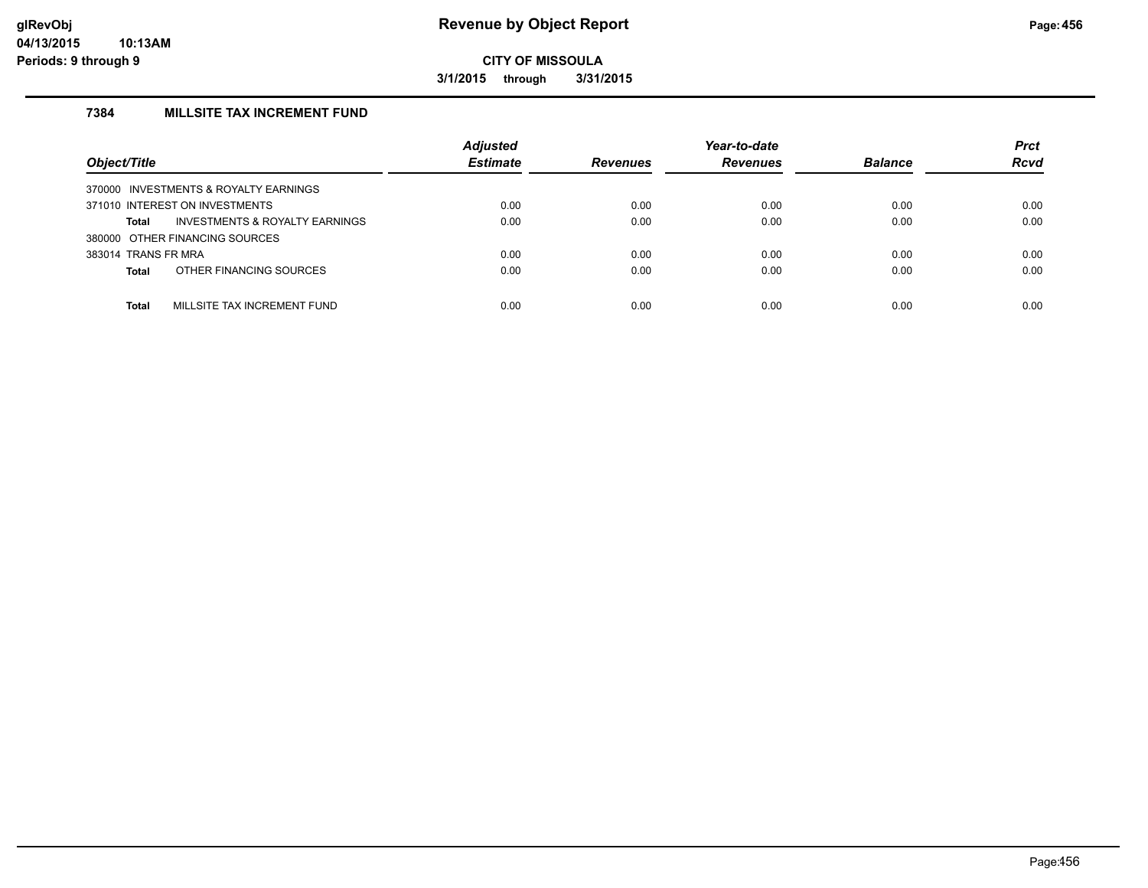**3/1/2015 through 3/31/2015**

## **7384 MILLSITE TAX INCREMENT FUND**

| Object/Title                                | <b>Adjusted</b><br><b>Estimate</b> | <b>Revenues</b> | Year-to-date<br><b>Revenues</b> | <b>Balance</b> | <b>Prct</b><br><b>Rcvd</b> |
|---------------------------------------------|------------------------------------|-----------------|---------------------------------|----------------|----------------------------|
| 370000 INVESTMENTS & ROYALTY EARNINGS       |                                    |                 |                                 |                |                            |
| 371010 INTEREST ON INVESTMENTS              | 0.00                               | 0.00            | 0.00                            | 0.00           | 0.00                       |
| INVESTMENTS & ROYALTY EARNINGS<br>Total     | 0.00                               | 0.00            | 0.00                            | 0.00           | 0.00                       |
| 380000 OTHER FINANCING SOURCES              |                                    |                 |                                 |                |                            |
| 383014 TRANS FR MRA                         | 0.00                               | 0.00            | 0.00                            | 0.00           | 0.00                       |
| OTHER FINANCING SOURCES<br><b>Total</b>     | 0.00                               | 0.00            | 0.00                            | 0.00           | 0.00                       |
|                                             |                                    |                 |                                 |                |                            |
| <b>Total</b><br>MILLSITE TAX INCREMENT FUND | 0.00                               | 0.00            | 0.00                            | 0.00           | 0.00                       |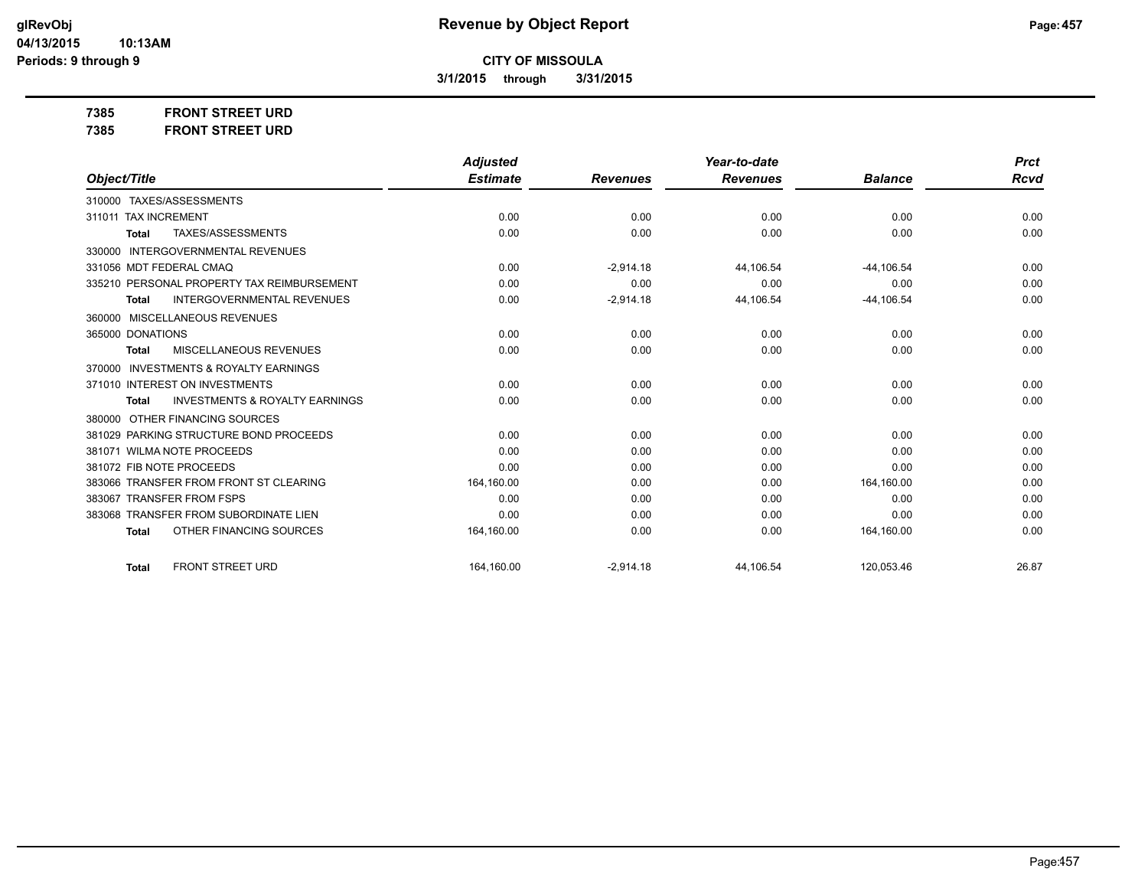**3/1/2015 through 3/31/2015**

**7385 FRONT STREET URD 7385 FRONT STREET URD**

|                                                           | <b>Adjusted</b> |                 | Year-to-date    |                | <b>Prct</b> |
|-----------------------------------------------------------|-----------------|-----------------|-----------------|----------------|-------------|
| Object/Title                                              | <b>Estimate</b> | <b>Revenues</b> | <b>Revenues</b> | <b>Balance</b> | <b>Rcvd</b> |
| 310000 TAXES/ASSESSMENTS                                  |                 |                 |                 |                |             |
| 311011 TAX INCREMENT                                      | 0.00            | 0.00            | 0.00            | 0.00           | 0.00        |
| TAXES/ASSESSMENTS<br><b>Total</b>                         | 0.00            | 0.00            | 0.00            | 0.00           | 0.00        |
| <b>INTERGOVERNMENTAL REVENUES</b><br>330000               |                 |                 |                 |                |             |
| 331056 MDT FEDERAL CMAQ                                   | 0.00            | $-2,914.18$     | 44,106.54       | $-44, 106.54$  | 0.00        |
| 335210 PERSONAL PROPERTY TAX REIMBURSEMENT                | 0.00            | 0.00            | 0.00            | 0.00           | 0.00        |
| <b>INTERGOVERNMENTAL REVENUES</b><br><b>Total</b>         | 0.00            | $-2,914.18$     | 44,106.54       | $-44, 106.54$  | 0.00        |
| MISCELLANEOUS REVENUES<br>360000                          |                 |                 |                 |                |             |
| 365000 DONATIONS                                          | 0.00            | 0.00            | 0.00            | 0.00           | 0.00        |
| <b>MISCELLANEOUS REVENUES</b><br>Total                    | 0.00            | 0.00            | 0.00            | 0.00           | 0.00        |
| <b>INVESTMENTS &amp; ROYALTY EARNINGS</b><br>370000       |                 |                 |                 |                |             |
| 371010 INTEREST ON INVESTMENTS                            | 0.00            | 0.00            | 0.00            | 0.00           | 0.00        |
| <b>INVESTMENTS &amp; ROYALTY EARNINGS</b><br><b>Total</b> | 0.00            | 0.00            | 0.00            | 0.00           | 0.00        |
| OTHER FINANCING SOURCES<br>380000                         |                 |                 |                 |                |             |
| 381029 PARKING STRUCTURE BOND PROCEEDS                    | 0.00            | 0.00            | 0.00            | 0.00           | 0.00        |
| 381071 WILMA NOTE PROCEEDS                                | 0.00            | 0.00            | 0.00            | 0.00           | 0.00        |
| 381072 FIB NOTE PROCEEDS                                  | 0.00            | 0.00            | 0.00            | 0.00           | 0.00        |
| 383066 TRANSFER FROM FRONT ST CLEARING                    | 164,160.00      | 0.00            | 0.00            | 164,160.00     | 0.00        |
| 383067 TRANSFER FROM FSPS                                 | 0.00            | 0.00            | 0.00            | 0.00           | 0.00        |
| 383068 TRANSFER FROM SUBORDINATE LIEN                     | 0.00            | 0.00            | 0.00            | 0.00           | 0.00        |
| OTHER FINANCING SOURCES<br><b>Total</b>                   | 164,160.00      | 0.00            | 0.00            | 164,160.00     | 0.00        |
| <b>FRONT STREET URD</b><br><b>Total</b>                   | 164.160.00      | $-2,914.18$     | 44,106.54       | 120.053.46     | 26.87       |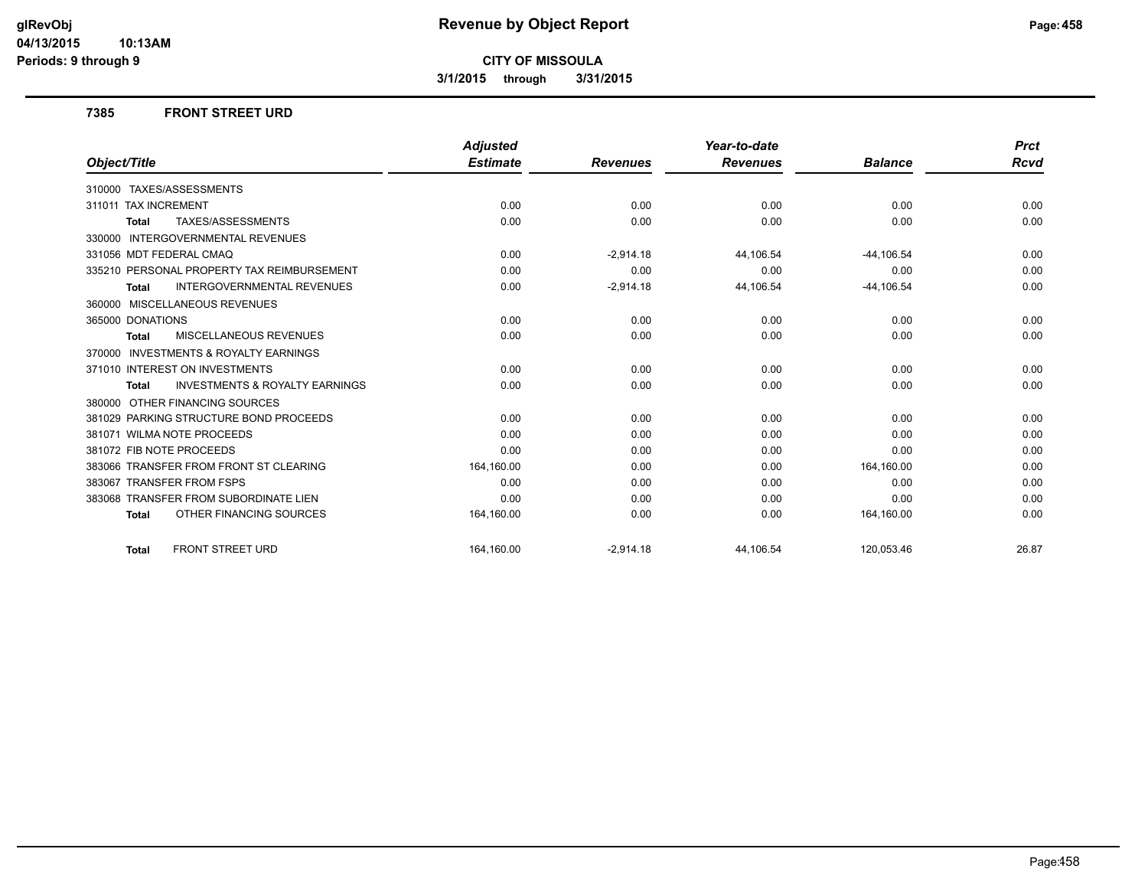**3/1/2015 through 3/31/2015**

#### **7385 FRONT STREET URD**

|                                                           | <b>Adjusted</b> |                 | Year-to-date    |                | <b>Prct</b> |
|-----------------------------------------------------------|-----------------|-----------------|-----------------|----------------|-------------|
| Object/Title                                              | <b>Estimate</b> | <b>Revenues</b> | <b>Revenues</b> | <b>Balance</b> | Rcvd        |
| 310000 TAXES/ASSESSMENTS                                  |                 |                 |                 |                |             |
| 311011 TAX INCREMENT                                      | 0.00            | 0.00            | 0.00            | 0.00           | 0.00        |
| TAXES/ASSESSMENTS<br><b>Total</b>                         | 0.00            | 0.00            | 0.00            | 0.00           | 0.00        |
| <b>INTERGOVERNMENTAL REVENUES</b><br>330000               |                 |                 |                 |                |             |
| 331056 MDT FEDERAL CMAO                                   | 0.00            | $-2,914.18$     | 44,106.54       | $-44, 106.54$  | 0.00        |
| 335210 PERSONAL PROPERTY TAX REIMBURSEMENT                | 0.00            | 0.00            | 0.00            | 0.00           | 0.00        |
| <b>INTERGOVERNMENTAL REVENUES</b><br><b>Total</b>         | 0.00            | $-2,914.18$     | 44,106.54       | $-44, 106.54$  | 0.00        |
| 360000 MISCELLANEOUS REVENUES                             |                 |                 |                 |                |             |
| 365000 DONATIONS                                          | 0.00            | 0.00            | 0.00            | 0.00           | 0.00        |
| MISCELLANEOUS REVENUES<br><b>Total</b>                    | 0.00            | 0.00            | 0.00            | 0.00           | 0.00        |
| 370000 INVESTMENTS & ROYALTY EARNINGS                     |                 |                 |                 |                |             |
| 371010 INTEREST ON INVESTMENTS                            | 0.00            | 0.00            | 0.00            | 0.00           | 0.00        |
| <b>INVESTMENTS &amp; ROYALTY EARNINGS</b><br><b>Total</b> | 0.00            | 0.00            | 0.00            | 0.00           | 0.00        |
| 380000 OTHER FINANCING SOURCES                            |                 |                 |                 |                |             |
| 381029 PARKING STRUCTURE BOND PROCEEDS                    | 0.00            | 0.00            | 0.00            | 0.00           | 0.00        |
| 381071 WILMA NOTE PROCEEDS                                | 0.00            | 0.00            | 0.00            | 0.00           | 0.00        |
| 381072 FIB NOTE PROCEEDS                                  | 0.00            | 0.00            | 0.00            | 0.00           | 0.00        |
| 383066 TRANSFER FROM FRONT ST CLEARING                    | 164,160.00      | 0.00            | 0.00            | 164,160.00     | 0.00        |
| 383067 TRANSFER FROM FSPS                                 | 0.00            | 0.00            | 0.00            | 0.00           | 0.00        |
| 383068 TRANSFER FROM SUBORDINATE LIEN                     | 0.00            | 0.00            | 0.00            | 0.00           | 0.00        |
| OTHER FINANCING SOURCES<br><b>Total</b>                   | 164,160.00      | 0.00            | 0.00            | 164,160.00     | 0.00        |
| <b>FRONT STREET URD</b><br><b>Total</b>                   | 164.160.00      | $-2.914.18$     | 44.106.54       | 120.053.46     | 26.87       |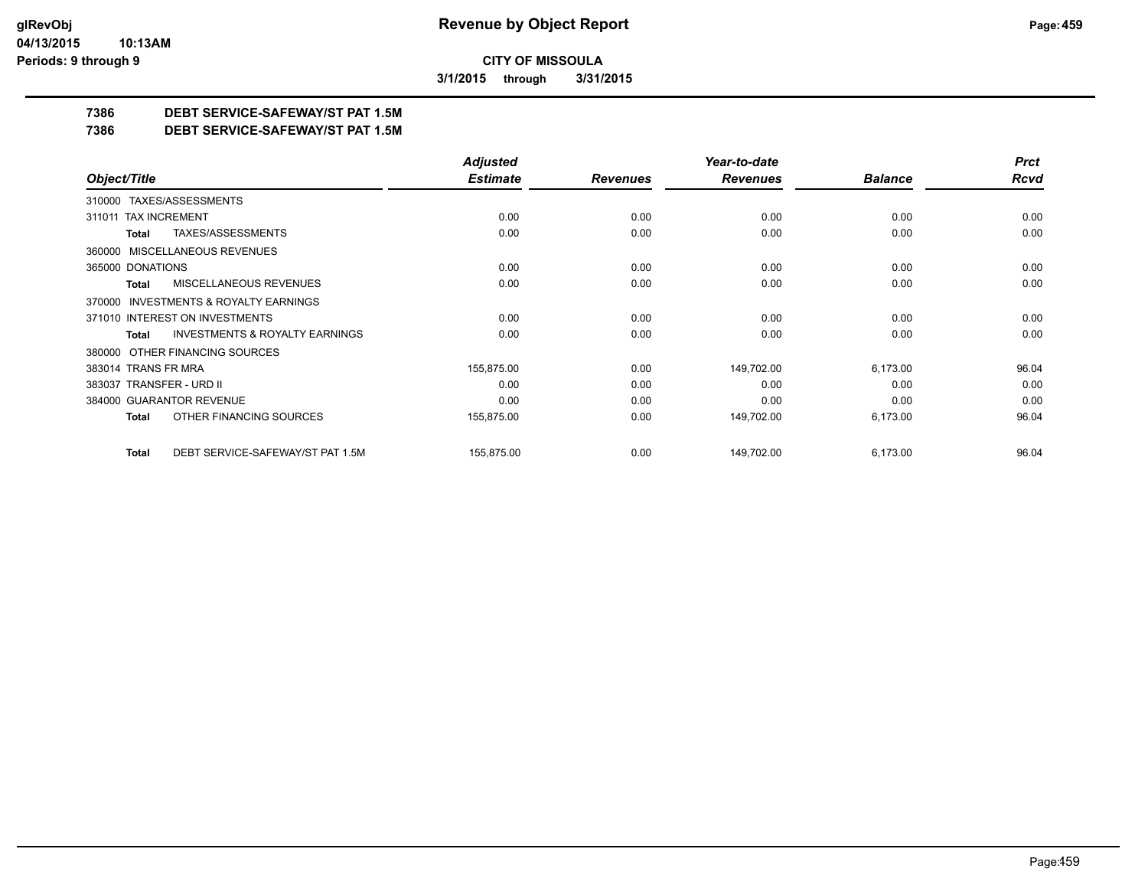**3/1/2015 through 3/31/2015**

## **7386 DEBT SERVICE-SAFEWAY/ST PAT 1.5M**

**7386 DEBT SERVICE-SAFEWAY/ST PAT 1.5M**

|                                                           | <b>Adjusted</b> |                 | Year-to-date    |                | <b>Prct</b> |
|-----------------------------------------------------------|-----------------|-----------------|-----------------|----------------|-------------|
| Object/Title                                              | <b>Estimate</b> | <b>Revenues</b> | <b>Revenues</b> | <b>Balance</b> | <b>Rcvd</b> |
| 310000 TAXES/ASSESSMENTS                                  |                 |                 |                 |                |             |
| 311011 TAX INCREMENT                                      | 0.00            | 0.00            | 0.00            | 0.00           | 0.00        |
| TAXES/ASSESSMENTS<br>Total                                | 0.00            | 0.00            | 0.00            | 0.00           | 0.00        |
| MISCELLANEOUS REVENUES<br>360000                          |                 |                 |                 |                |             |
| 365000 DONATIONS                                          | 0.00            | 0.00            | 0.00            | 0.00           | 0.00        |
| MISCELLANEOUS REVENUES<br>Total                           | 0.00            | 0.00            | 0.00            | 0.00           | 0.00        |
| <b>INVESTMENTS &amp; ROYALTY EARNINGS</b><br>370000       |                 |                 |                 |                |             |
| 371010 INTEREST ON INVESTMENTS                            | 0.00            | 0.00            | 0.00            | 0.00           | 0.00        |
| <b>INVESTMENTS &amp; ROYALTY EARNINGS</b><br><b>Total</b> | 0.00            | 0.00            | 0.00            | 0.00           | 0.00        |
| OTHER FINANCING SOURCES<br>380000                         |                 |                 |                 |                |             |
| 383014 TRANS FR MRA                                       | 155,875.00      | 0.00            | 149,702.00      | 6,173.00       | 96.04       |
| 383037 TRANSFER - URD II                                  | 0.00            | 0.00            | 0.00            | 0.00           | 0.00        |
| 384000 GUARANTOR REVENUE                                  | 0.00            | 0.00            | 0.00            | 0.00           | 0.00        |
| OTHER FINANCING SOURCES<br>Total                          | 155,875.00      | 0.00            | 149,702.00      | 6,173.00       | 96.04       |
| DEBT SERVICE-SAFEWAY/ST PAT 1.5M<br>Total                 | 155,875.00      | 0.00            | 149,702.00      | 6,173.00       | 96.04       |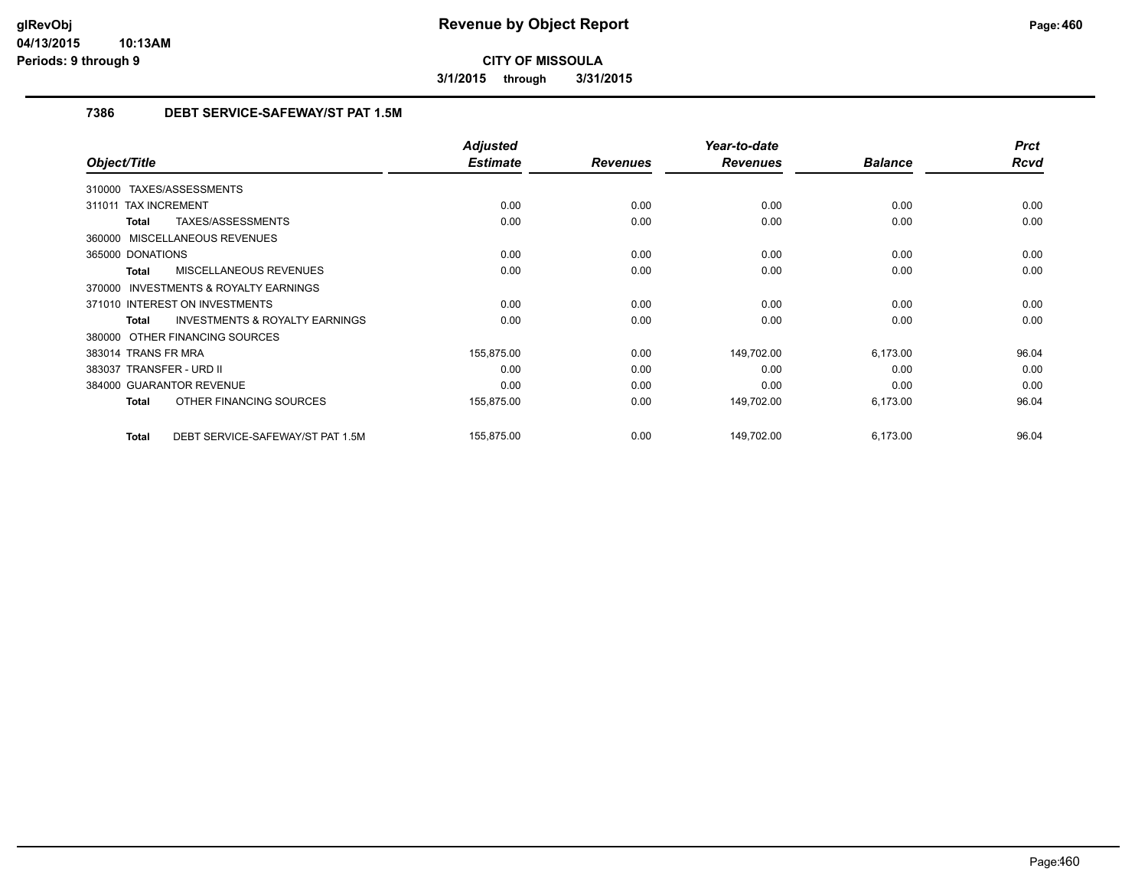**3/1/2015 through 3/31/2015**

## **7386 DEBT SERVICE-SAFEWAY/ST PAT 1.5M**

|                                                           | <b>Adjusted</b> |                 | Year-to-date    |                | <b>Prct</b> |
|-----------------------------------------------------------|-----------------|-----------------|-----------------|----------------|-------------|
| Object/Title                                              | <b>Estimate</b> | <b>Revenues</b> | <b>Revenues</b> | <b>Balance</b> | <b>Rcvd</b> |
| 310000 TAXES/ASSESSMENTS                                  |                 |                 |                 |                |             |
| <b>TAX INCREMENT</b><br>311011                            | 0.00            | 0.00            | 0.00            | 0.00           | 0.00        |
| TAXES/ASSESSMENTS<br><b>Total</b>                         | 0.00            | 0.00            | 0.00            | 0.00           | 0.00        |
| 360000 MISCELLANEOUS REVENUES                             |                 |                 |                 |                |             |
| 365000 DONATIONS                                          | 0.00            | 0.00            | 0.00            | 0.00           | 0.00        |
| <b>MISCELLANEOUS REVENUES</b><br><b>Total</b>             | 0.00            | 0.00            | 0.00            | 0.00           | 0.00        |
| <b>INVESTMENTS &amp; ROYALTY EARNINGS</b><br>370000       |                 |                 |                 |                |             |
| 371010 INTEREST ON INVESTMENTS                            | 0.00            | 0.00            | 0.00            | 0.00           | 0.00        |
| <b>INVESTMENTS &amp; ROYALTY EARNINGS</b><br><b>Total</b> | 0.00            | 0.00            | 0.00            | 0.00           | 0.00        |
| 380000 OTHER FINANCING SOURCES                            |                 |                 |                 |                |             |
| 383014 TRANS FR MRA                                       | 155,875.00      | 0.00            | 149,702.00      | 6,173.00       | 96.04       |
| 383037 TRANSFER - URD II                                  | 0.00            | 0.00            | 0.00            | 0.00           | 0.00        |
| 384000 GUARANTOR REVENUE                                  | 0.00            | 0.00            | 0.00            | 0.00           | 0.00        |
| OTHER FINANCING SOURCES<br><b>Total</b>                   | 155,875.00      | 0.00            | 149,702.00      | 6,173.00       | 96.04       |
| DEBT SERVICE-SAFEWAY/ST PAT 1.5M<br><b>Total</b>          | 155,875.00      | 0.00            | 149,702.00      | 6,173.00       | 96.04       |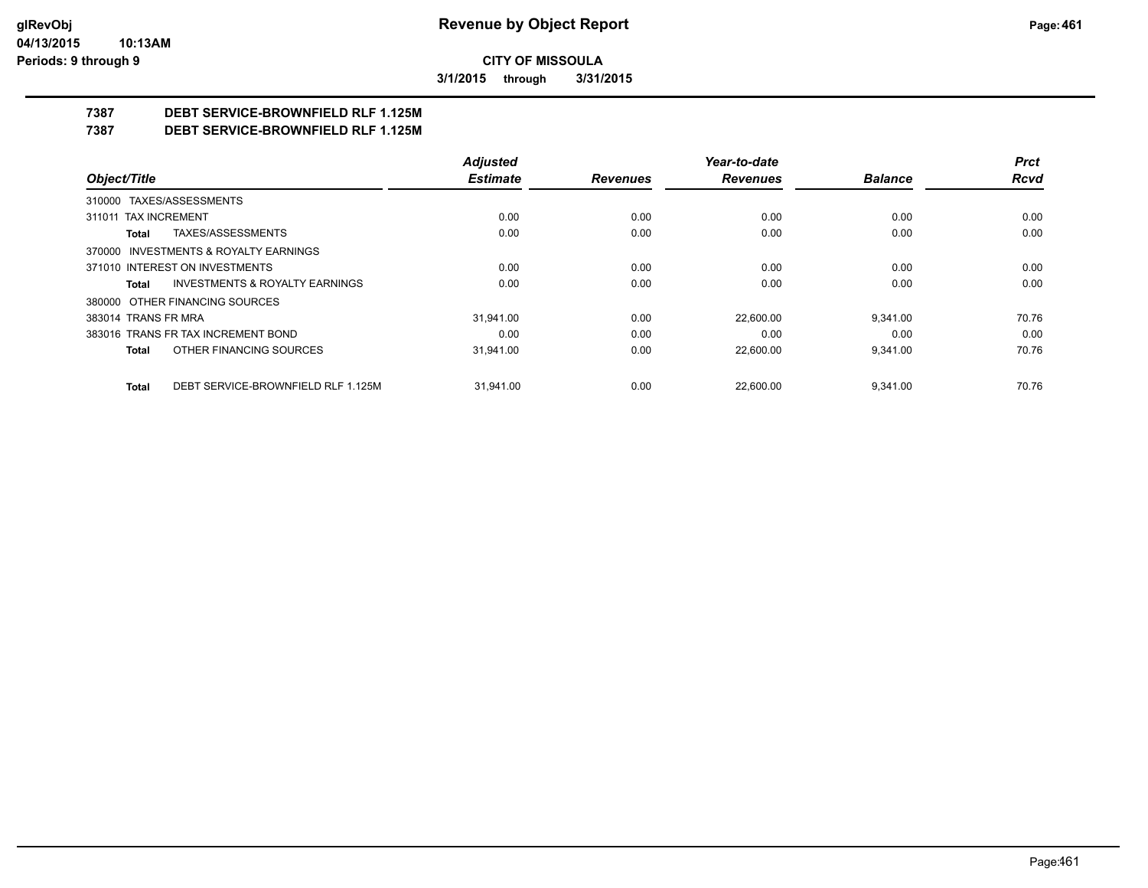**3/1/2015 through 3/31/2015**

# **7387 DEBT SERVICE-BROWNFIELD RLF 1.125M**

**7387 DEBT SERVICE-BROWNFIELD RLF 1.125M**

|                                                    | <b>Adjusted</b> |                 | Year-to-date    |                | <b>Prct</b> |
|----------------------------------------------------|-----------------|-----------------|-----------------|----------------|-------------|
| Object/Title                                       | <b>Estimate</b> | <b>Revenues</b> | <b>Revenues</b> | <b>Balance</b> | Rcvd        |
| 310000 TAXES/ASSESSMENTS                           |                 |                 |                 |                |             |
| 311011 TAX INCREMENT                               | 0.00            | 0.00            | 0.00            | 0.00           | 0.00        |
| TAXES/ASSESSMENTS<br>Total                         | 0.00            | 0.00            | 0.00            | 0.00           | 0.00        |
| 370000 INVESTMENTS & ROYALTY EARNINGS              |                 |                 |                 |                |             |
| 371010 INTEREST ON INVESTMENTS                     | 0.00            | 0.00            | 0.00            | 0.00           | 0.00        |
| <b>INVESTMENTS &amp; ROYALTY EARNINGS</b><br>Total | 0.00            | 0.00            | 0.00            | 0.00           | 0.00        |
| 380000 OTHER FINANCING SOURCES                     |                 |                 |                 |                |             |
| 383014 TRANS FR MRA                                | 31.941.00       | 0.00            | 22.600.00       | 9.341.00       | 70.76       |
| 383016 TRANS FR TAX INCREMENT BOND                 | 0.00            | 0.00            | 0.00            | 0.00           | 0.00        |
| OTHER FINANCING SOURCES<br>Total                   | 31.941.00       | 0.00            | 22,600.00       | 9.341.00       | 70.76       |
| DEBT SERVICE-BROWNFIELD RLF 1.125M<br><b>Total</b> | 31.941.00       | 0.00            | 22.600.00       | 9.341.00       | 70.76       |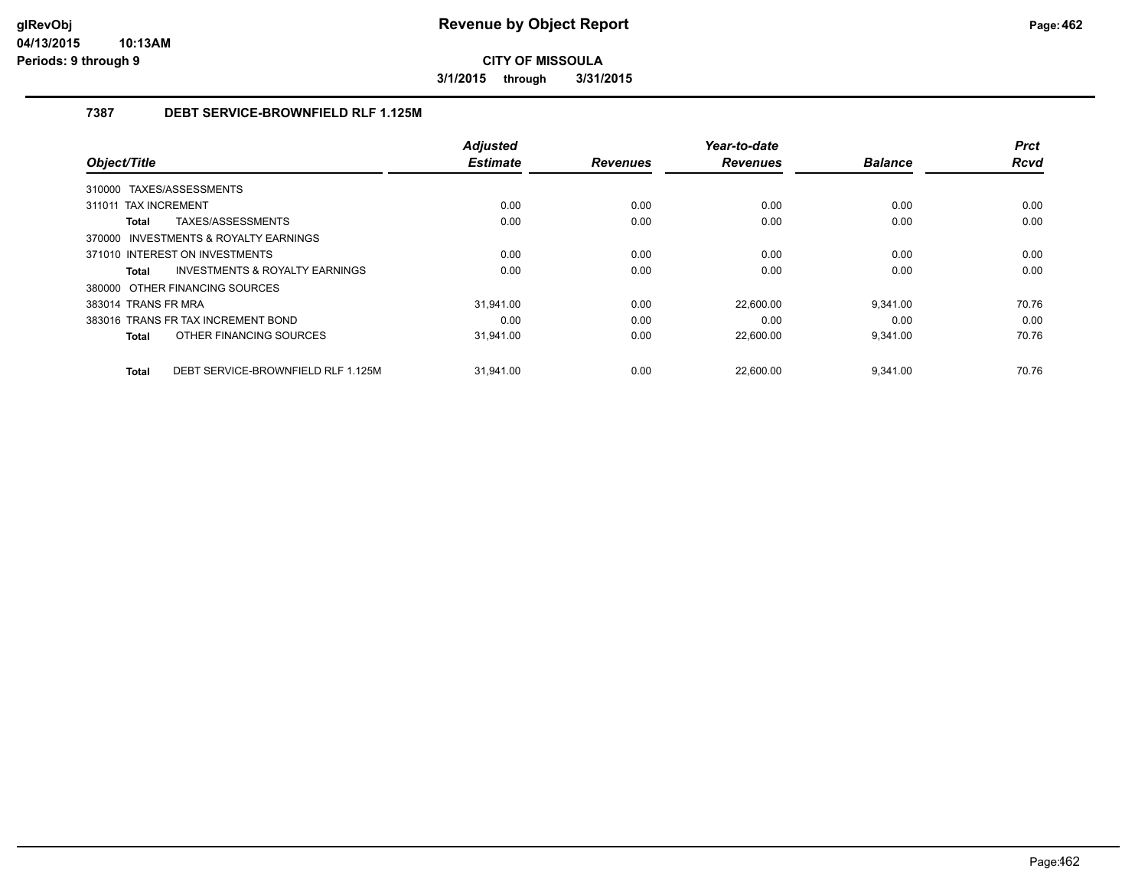**3/1/2015 through 3/31/2015**

## **7387 DEBT SERVICE-BROWNFIELD RLF 1.125M**

|                                                    | <b>Adjusted</b> |                 | Year-to-date    |                | <b>Prct</b> |
|----------------------------------------------------|-----------------|-----------------|-----------------|----------------|-------------|
| Object/Title                                       | <b>Estimate</b> | <b>Revenues</b> | <b>Revenues</b> | <b>Balance</b> | <b>Rcvd</b> |
| TAXES/ASSESSMENTS<br>310000                        |                 |                 |                 |                |             |
| 311011 TAX INCREMENT                               | 0.00            | 0.00            | 0.00            | 0.00           | 0.00        |
| TAXES/ASSESSMENTS<br><b>Total</b>                  | 0.00            | 0.00            | 0.00            | 0.00           | 0.00        |
| 370000 INVESTMENTS & ROYALTY EARNINGS              |                 |                 |                 |                |             |
| 371010 INTEREST ON INVESTMENTS                     | 0.00            | 0.00            | 0.00            | 0.00           | 0.00        |
| INVESTMENTS & ROYALTY EARNINGS<br><b>Total</b>     | 0.00            | 0.00            | 0.00            | 0.00           | 0.00        |
| 380000 OTHER FINANCING SOURCES                     |                 |                 |                 |                |             |
| 383014 TRANS FR MRA                                | 31.941.00       | 0.00            | 22,600.00       | 9.341.00       | 70.76       |
| 383016 TRANS FR TAX INCREMENT BOND                 | 0.00            | 0.00            | 0.00            | 0.00           | 0.00        |
| OTHER FINANCING SOURCES<br><b>Total</b>            | 31.941.00       | 0.00            | 22,600.00       | 9,341.00       | 70.76       |
| DEBT SERVICE-BROWNFIELD RLF 1.125M<br><b>Total</b> | 31.941.00       | 0.00            | 22.600.00       | 9.341.00       | 70.76       |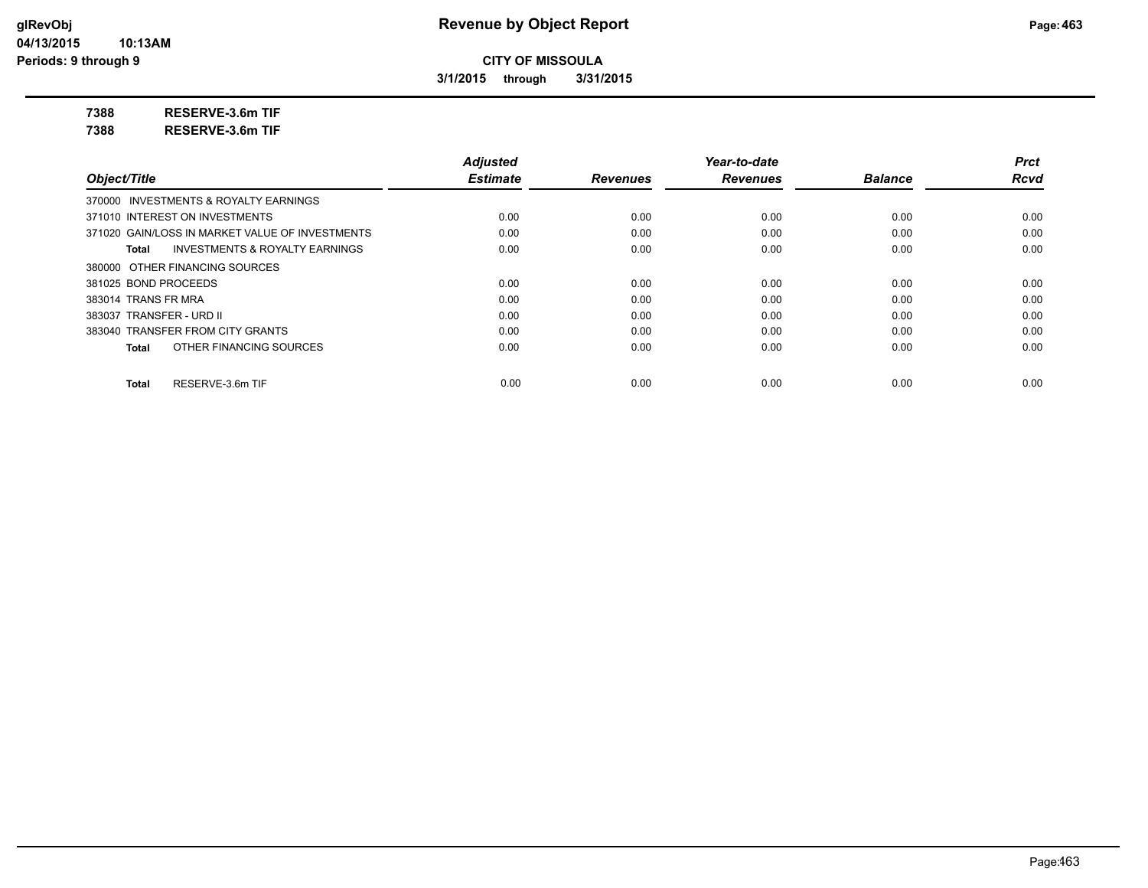**3/1/2015 through 3/31/2015**

**7388 RESERVE-3.6m TIF**

**7388 RESERVE-3.6m TIF**

|                                                    | <b>Adjusted</b> |                 | Year-to-date    |                | <b>Prct</b> |
|----------------------------------------------------|-----------------|-----------------|-----------------|----------------|-------------|
| Object/Title                                       | <b>Estimate</b> | <b>Revenues</b> | <b>Revenues</b> | <b>Balance</b> | <b>Rcvd</b> |
| 370000 INVESTMENTS & ROYALTY EARNINGS              |                 |                 |                 |                |             |
| 371010 INTEREST ON INVESTMENTS                     | 0.00            | 0.00            | 0.00            | 0.00           | 0.00        |
| 371020 GAIN/LOSS IN MARKET VALUE OF INVESTMENTS    | 0.00            | 0.00            | 0.00            | 0.00           | 0.00        |
| <b>INVESTMENTS &amp; ROYALTY EARNINGS</b><br>Total | 0.00            | 0.00            | 0.00            | 0.00           | 0.00        |
| 380000 OTHER FINANCING SOURCES                     |                 |                 |                 |                |             |
| 381025 BOND PROCEEDS                               | 0.00            | 0.00            | 0.00            | 0.00           | 0.00        |
| 383014 TRANS FR MRA                                | 0.00            | 0.00            | 0.00            | 0.00           | 0.00        |
| 383037 TRANSFER - URD II                           | 0.00            | 0.00            | 0.00            | 0.00           | 0.00        |
| 383040 TRANSFER FROM CITY GRANTS                   | 0.00            | 0.00            | 0.00            | 0.00           | 0.00        |
| OTHER FINANCING SOURCES<br>Total                   | 0.00            | 0.00            | 0.00            | 0.00           | 0.00        |
| RESERVE-3.6m TIF<br>Total                          | 0.00            | 0.00            | 0.00            | 0.00           | 0.00        |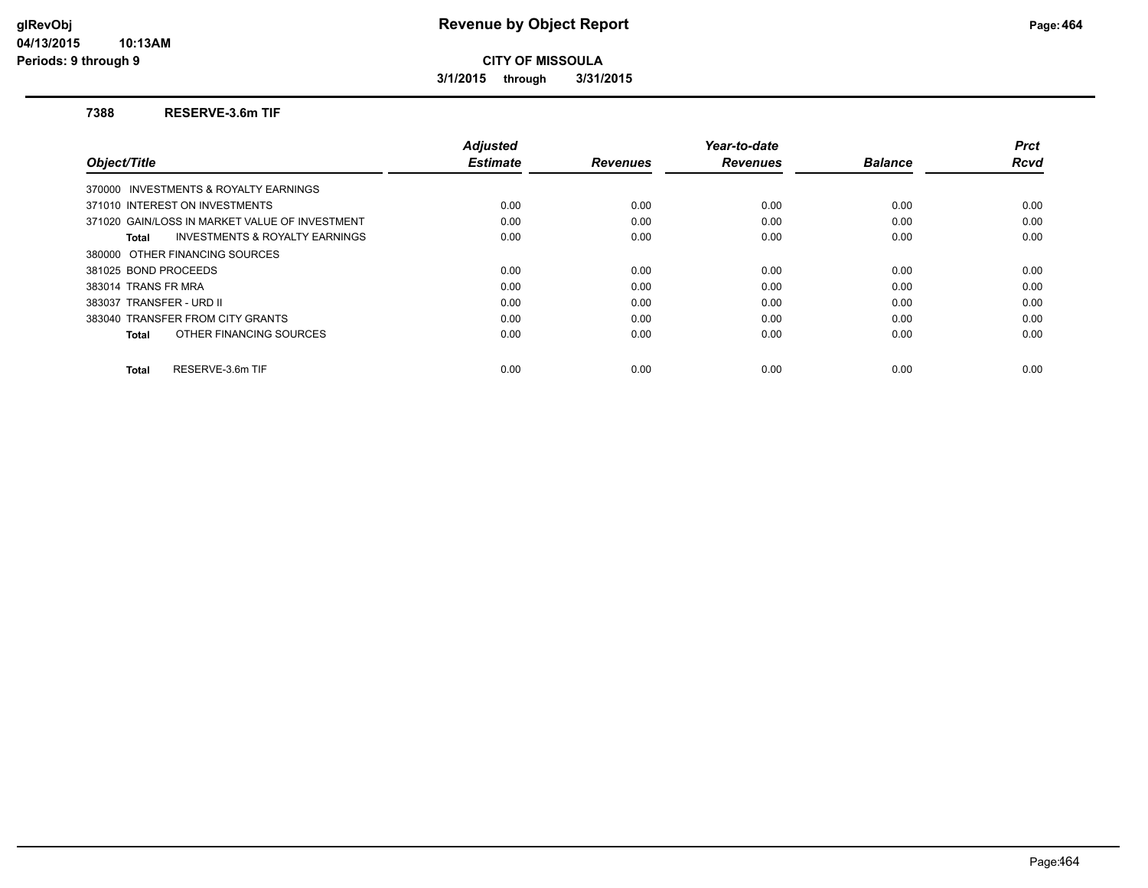**3/1/2015 through 3/31/2015**

#### **7388 RESERVE-3.6m TIF**

|                                                    | <b>Adjusted</b> |                 | Year-to-date    |                | <b>Prct</b> |
|----------------------------------------------------|-----------------|-----------------|-----------------|----------------|-------------|
| Object/Title                                       | <b>Estimate</b> | <b>Revenues</b> | <b>Revenues</b> | <b>Balance</b> | Rcvd        |
| 370000 INVESTMENTS & ROYALTY EARNINGS              |                 |                 |                 |                |             |
| 371010 INTEREST ON INVESTMENTS                     | 0.00            | 0.00            | 0.00            | 0.00           | 0.00        |
| 371020 GAIN/LOSS IN MARKET VALUE OF INVESTMENT     | 0.00            | 0.00            | 0.00            | 0.00           | 0.00        |
| <b>INVESTMENTS &amp; ROYALTY EARNINGS</b><br>Total | 0.00            | 0.00            | 0.00            | 0.00           | 0.00        |
| 380000 OTHER FINANCING SOURCES                     |                 |                 |                 |                |             |
| 381025 BOND PROCEEDS                               | 0.00            | 0.00            | 0.00            | 0.00           | 0.00        |
| 383014 TRANS FR MRA                                | 0.00            | 0.00            | 0.00            | 0.00           | 0.00        |
| 383037 TRANSFER - URD II                           | 0.00            | 0.00            | 0.00            | 0.00           | 0.00        |
| 383040 TRANSFER FROM CITY GRANTS                   | 0.00            | 0.00            | 0.00            | 0.00           | 0.00        |
| OTHER FINANCING SOURCES<br>Total                   | 0.00            | 0.00            | 0.00            | 0.00           | 0.00        |
| RESERVE-3.6m TIF<br><b>Total</b>                   | 0.00            | 0.00            | 0.00            | 0.00           | 0.00        |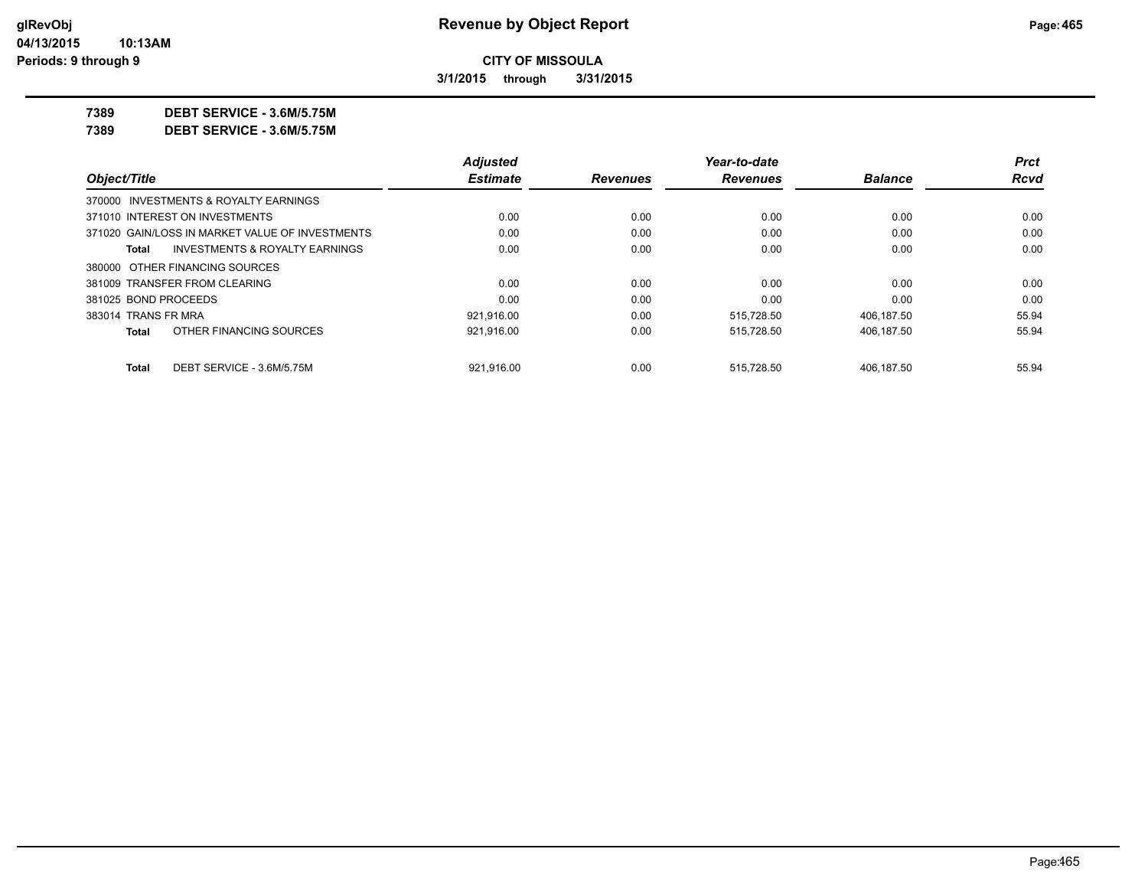**3/1/2015 through 3/31/2015**

**7389 DEBT SERVICE - 3.6M/5.75M**

**7389 DEBT SERVICE - 3.6M/5.75M**

|                                                 |                                | <b>Adjusted</b> |                 | Year-to-date    |                | <b>Prct</b> |
|-------------------------------------------------|--------------------------------|-----------------|-----------------|-----------------|----------------|-------------|
| Object/Title                                    |                                | <b>Estimate</b> | <b>Revenues</b> | <b>Revenues</b> | <b>Balance</b> | Rcvd        |
| 370000 INVESTMENTS & ROYALTY EARNINGS           |                                |                 |                 |                 |                |             |
| 371010 INTEREST ON INVESTMENTS                  |                                | 0.00            | 0.00            | 0.00            | 0.00           | 0.00        |
| 371020 GAIN/LOSS IN MARKET VALUE OF INVESTMENTS |                                | 0.00            | 0.00            | 0.00            | 0.00           | 0.00        |
| Total                                           | INVESTMENTS & ROYALTY EARNINGS | 0.00            | 0.00            | 0.00            | 0.00           | 0.00        |
| 380000 OTHER FINANCING SOURCES                  |                                |                 |                 |                 |                |             |
| 381009 TRANSFER FROM CLEARING                   |                                | 0.00            | 0.00            | 0.00            | 0.00           | 0.00        |
| 381025 BOND PROCEEDS                            |                                | 0.00            | 0.00            | 0.00            | 0.00           | 0.00        |
| 383014 TRANS FR MRA                             |                                | 921,916.00      | 0.00            | 515,728.50      | 406,187.50     | 55.94       |
| OTHER FINANCING SOURCES<br>Total                |                                | 921.916.00      | 0.00            | 515.728.50      | 406.187.50     | 55.94       |
| DEBT SERVICE - 3.6M/5.75M<br>Total              |                                | 921.916.00      | 0.00            | 515.728.50      | 406.187.50     | 55.94       |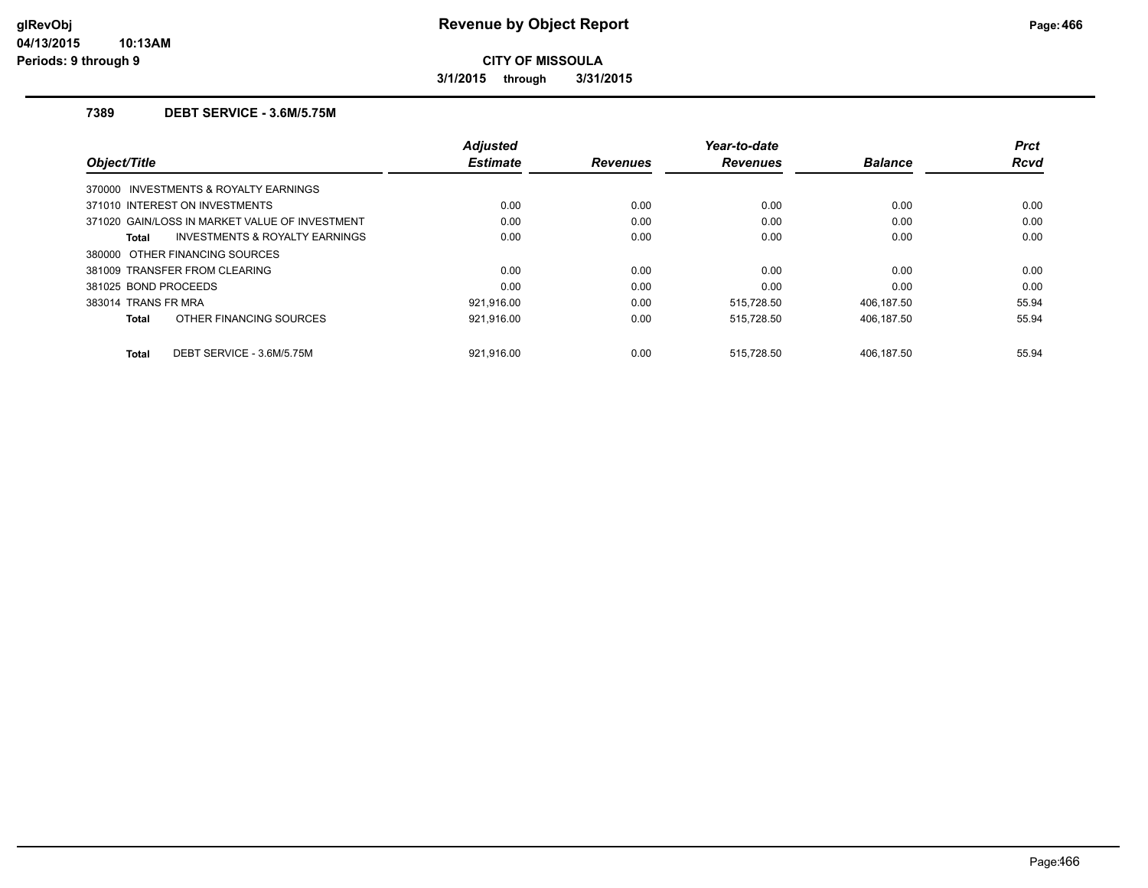**3/1/2015 through 3/31/2015**

## **7389 DEBT SERVICE - 3.6M/5.75M**

| Object/Title                                   | <b>Adjusted</b><br><b>Estimate</b> | <b>Revenues</b> | Year-to-date<br><b>Revenues</b> | <b>Balance</b> | <b>Prct</b><br><b>Rcvd</b> |
|------------------------------------------------|------------------------------------|-----------------|---------------------------------|----------------|----------------------------|
| 370000 INVESTMENTS & ROYALTY EARNINGS          |                                    |                 |                                 |                |                            |
| 371010 INTEREST ON INVESTMENTS                 | 0.00                               | 0.00            | 0.00                            | 0.00           | 0.00                       |
| 371020 GAIN/LOSS IN MARKET VALUE OF INVESTMENT | 0.00                               | 0.00            | 0.00                            | 0.00           | 0.00                       |
| INVESTMENTS & ROYALTY EARNINGS<br>Total        | 0.00                               | 0.00            | 0.00                            | 0.00           | 0.00                       |
| 380000 OTHER FINANCING SOURCES                 |                                    |                 |                                 |                |                            |
| 381009 TRANSFER FROM CLEARING                  | 0.00                               | 0.00            | 0.00                            | 0.00           | 0.00                       |
| 381025 BOND PROCEEDS                           | 0.00                               | 0.00            | 0.00                            | 0.00           | 0.00                       |
| 383014 TRANS FR MRA                            | 921,916.00                         | 0.00            | 515.728.50                      | 406,187.50     | 55.94                      |
| OTHER FINANCING SOURCES<br><b>Total</b>        | 921,916.00                         | 0.00            | 515,728.50                      | 406,187.50     | 55.94                      |
| DEBT SERVICE - 3.6M/5.75M<br><b>Total</b>      | 921.916.00                         | 0.00            | 515.728.50                      | 406.187.50     | 55.94                      |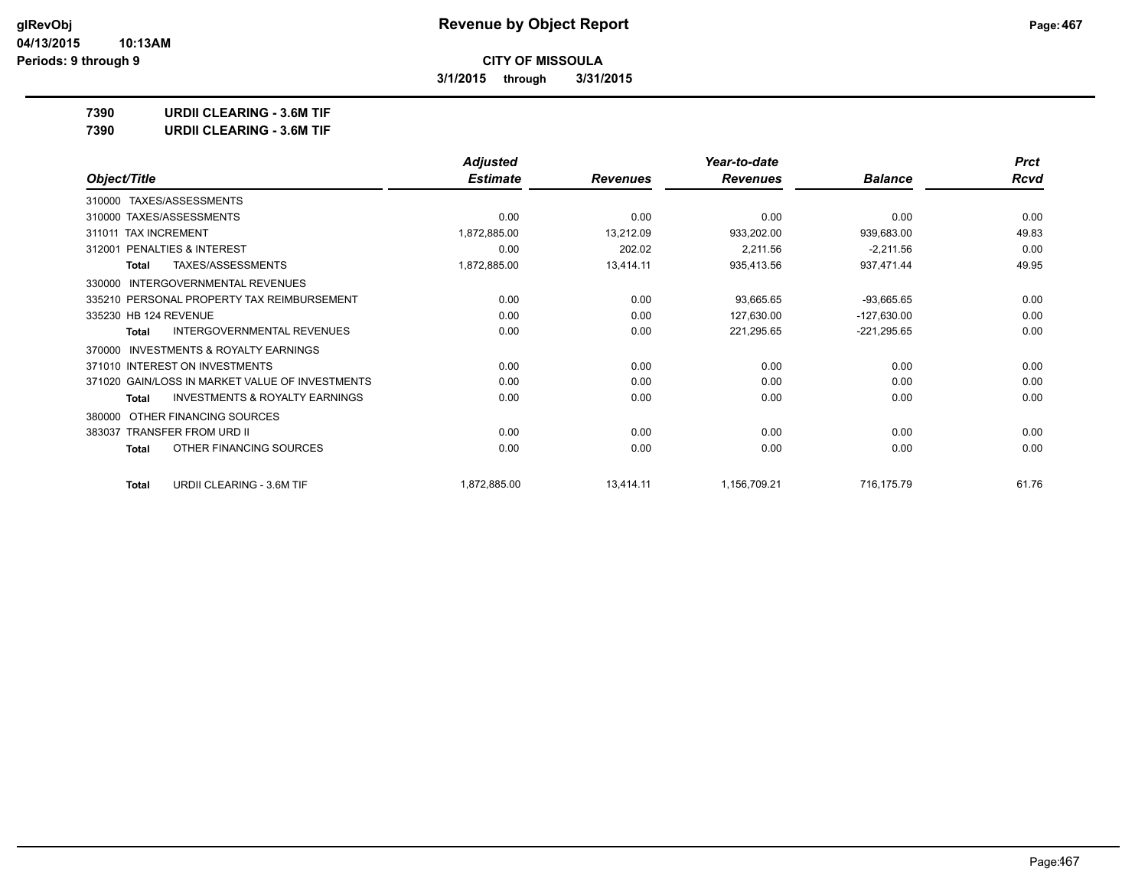**3/1/2015 through 3/31/2015**

**7390 URDII CLEARING - 3.6M TIF**

| <b>URDII CLEARING - 3.6M TIF</b><br>7390 |  |
|------------------------------------------|--|
|------------------------------------------|--|

|                                                     | <b>Adjusted</b> |                 | Year-to-date    |                | <b>Prct</b> |
|-----------------------------------------------------|-----------------|-----------------|-----------------|----------------|-------------|
| Object/Title                                        | <b>Estimate</b> | <b>Revenues</b> | <b>Revenues</b> | <b>Balance</b> | Rcvd        |
| TAXES/ASSESSMENTS<br>310000                         |                 |                 |                 |                |             |
| 310000 TAXES/ASSESSMENTS                            | 0.00            | 0.00            | 0.00            | 0.00           | 0.00        |
| 311011 TAX INCREMENT                                | 1,872,885.00    | 13,212.09       | 933,202.00      | 939,683.00     | 49.83       |
| PENALTIES & INTEREST<br>312001                      | 0.00            | 202.02          | 2,211.56        | $-2,211.56$    | 0.00        |
| TAXES/ASSESSMENTS<br><b>Total</b>                   | 1,872,885.00    | 13,414.11       | 935,413.56      | 937,471.44     | 49.95       |
| INTERGOVERNMENTAL REVENUES<br>330000                |                 |                 |                 |                |             |
| 335210 PERSONAL PROPERTY TAX REIMBURSEMENT          | 0.00            | 0.00            | 93,665.65       | $-93,665.65$   | 0.00        |
| 335230 HB 124 REVENUE                               | 0.00            | 0.00            | 127,630.00      | $-127,630.00$  | 0.00        |
| INTERGOVERNMENTAL REVENUES<br>Total                 | 0.00            | 0.00            | 221,295.65      | $-221, 295.65$ | 0.00        |
| <b>INVESTMENTS &amp; ROYALTY EARNINGS</b><br>370000 |                 |                 |                 |                |             |
| 371010 INTEREST ON INVESTMENTS                      | 0.00            | 0.00            | 0.00            | 0.00           | 0.00        |
| 371020 GAIN/LOSS IN MARKET VALUE OF INVESTMENTS     | 0.00            | 0.00            | 0.00            | 0.00           | 0.00        |
| <b>INVESTMENTS &amp; ROYALTY EARNINGS</b><br>Total  | 0.00            | 0.00            | 0.00            | 0.00           | 0.00        |
| OTHER FINANCING SOURCES<br>380000                   |                 |                 |                 |                |             |
| 383037 TRANSFER FROM URD II                         | 0.00            | 0.00            | 0.00            | 0.00           | 0.00        |
| OTHER FINANCING SOURCES<br><b>Total</b>             | 0.00            | 0.00            | 0.00            | 0.00           | 0.00        |
| URDII CLEARING - 3.6M TIF<br><b>Total</b>           | 1,872,885.00    | 13,414.11       | 1,156,709.21    | 716,175.79     | 61.76       |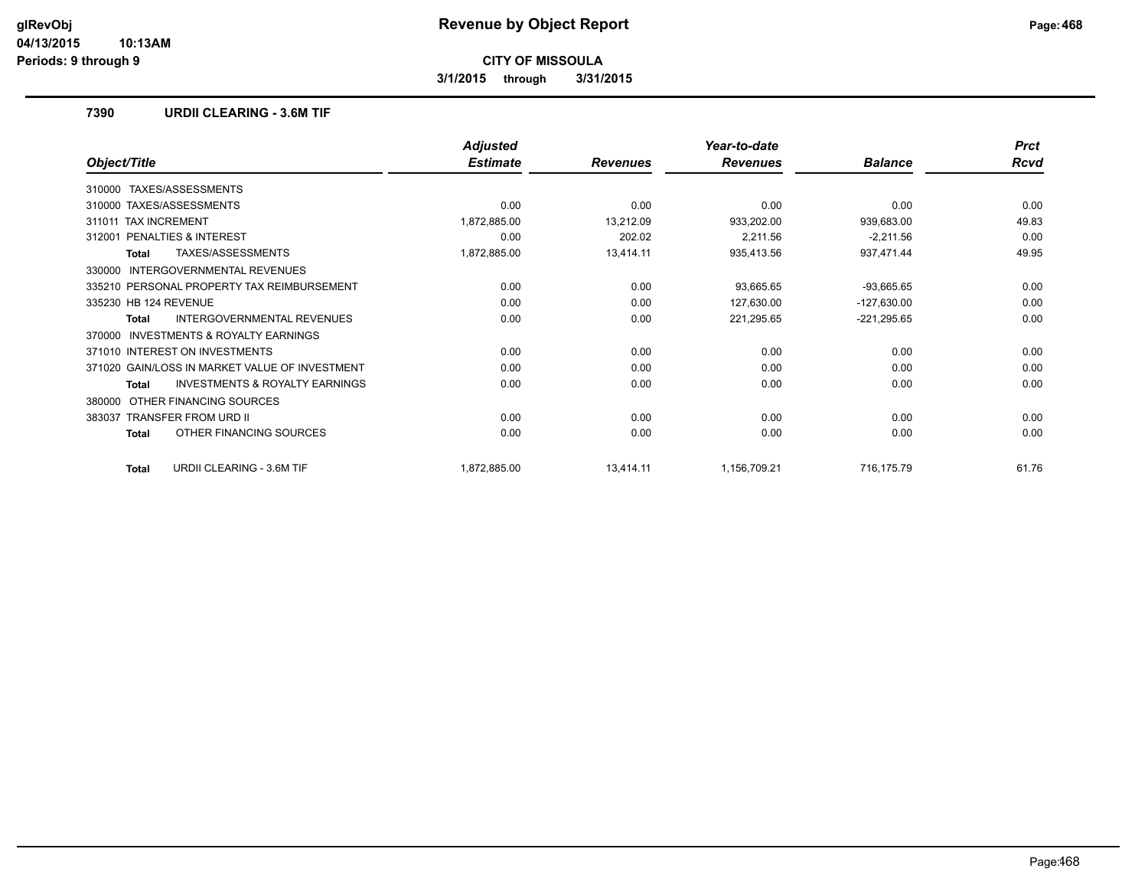**3/1/2015 through 3/31/2015**

## **7390 URDII CLEARING - 3.6M TIF**

|                                                           | <b>Adjusted</b> |                 | Year-to-date    |                | <b>Prct</b> |
|-----------------------------------------------------------|-----------------|-----------------|-----------------|----------------|-------------|
| Object/Title                                              | <b>Estimate</b> | <b>Revenues</b> | <b>Revenues</b> | <b>Balance</b> | <b>Rcvd</b> |
| TAXES/ASSESSMENTS<br>310000                               |                 |                 |                 |                |             |
| 310000 TAXES/ASSESSMENTS                                  | 0.00            | 0.00            | 0.00            | 0.00           | 0.00        |
| 311011 TAX INCREMENT                                      | 1,872,885.00    | 13,212.09       | 933,202.00      | 939,683.00     | 49.83       |
| 312001 PENALTIES & INTEREST                               | 0.00            | 202.02          | 2,211.56        | $-2,211.56$    | 0.00        |
| TAXES/ASSESSMENTS<br>Total                                | 1,872,885.00    | 13,414.11       | 935,413.56      | 937,471.44     | 49.95       |
| <b>INTERGOVERNMENTAL REVENUES</b><br>330000               |                 |                 |                 |                |             |
| 335210 PERSONAL PROPERTY TAX REIMBURSEMENT                | 0.00            | 0.00            | 93,665.65       | $-93,665.65$   | 0.00        |
| 335230 HB 124 REVENUE                                     | 0.00            | 0.00            | 127,630.00      | $-127,630.00$  | 0.00        |
| INTERGOVERNMENTAL REVENUES<br>Total                       | 0.00            | 0.00            | 221,295.65      | $-221,295.65$  | 0.00        |
| 370000 INVESTMENTS & ROYALTY EARNINGS                     |                 |                 |                 |                |             |
| 371010 INTEREST ON INVESTMENTS                            | 0.00            | 0.00            | 0.00            | 0.00           | 0.00        |
| 371020 GAIN/LOSS IN MARKET VALUE OF INVESTMENT            | 0.00            | 0.00            | 0.00            | 0.00           | 0.00        |
| <b>INVESTMENTS &amp; ROYALTY EARNINGS</b><br><b>Total</b> | 0.00            | 0.00            | 0.00            | 0.00           | 0.00        |
| OTHER FINANCING SOURCES<br>380000                         |                 |                 |                 |                |             |
| 383037 TRANSFER FROM URD II                               | 0.00            | 0.00            | 0.00            | 0.00           | 0.00        |
| OTHER FINANCING SOURCES<br>Total                          | 0.00            | 0.00            | 0.00            | 0.00           | 0.00        |
| URDII CLEARING - 3.6M TIF<br>Total                        | 1,872,885.00    | 13,414.11       | 1,156,709.21    | 716,175.79     | 61.76       |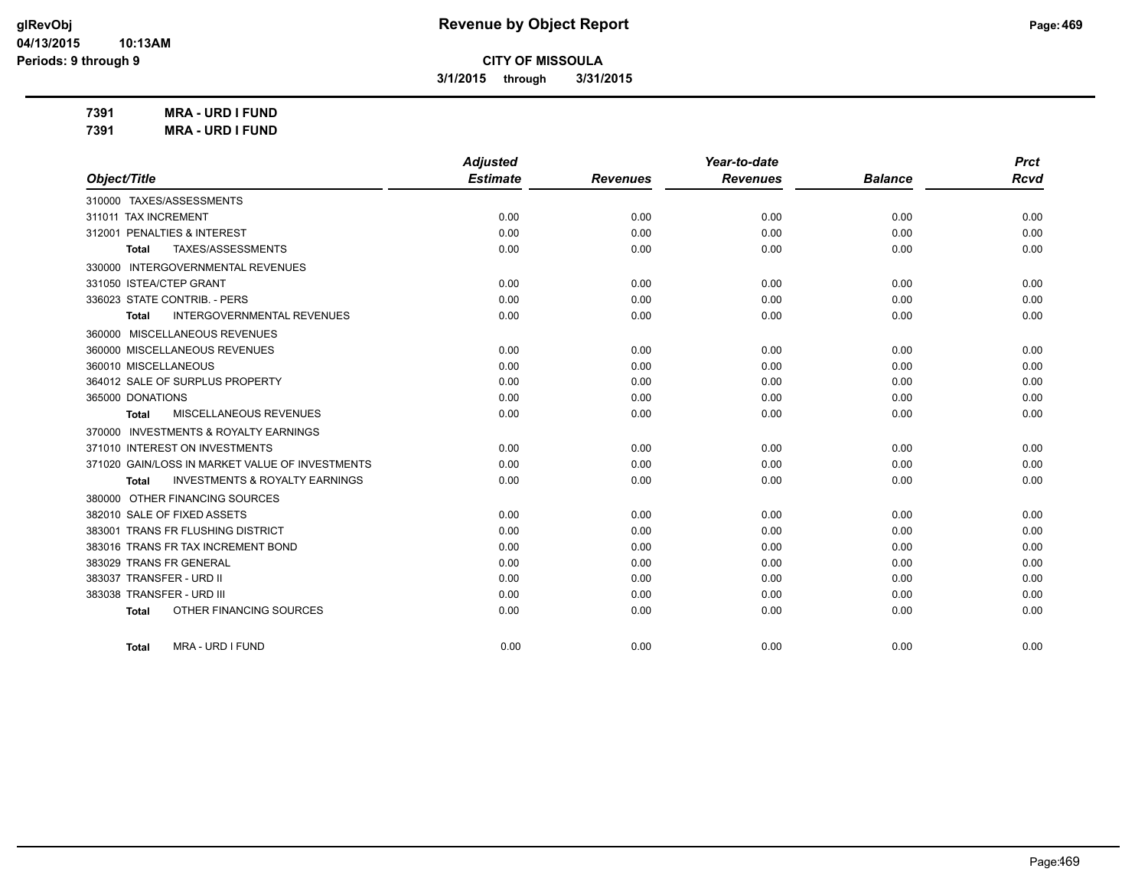**3/1/2015 through 3/31/2015**

**7391 MRA - URD I FUND 7391 MRA - URD I FUND**

|                                                    | <b>Adjusted</b> |                 | Year-to-date    |                | <b>Prct</b> |
|----------------------------------------------------|-----------------|-----------------|-----------------|----------------|-------------|
| Object/Title                                       | <b>Estimate</b> | <b>Revenues</b> | <b>Revenues</b> | <b>Balance</b> | <b>Rcvd</b> |
| 310000 TAXES/ASSESSMENTS                           |                 |                 |                 |                |             |
| 311011 TAX INCREMENT                               | 0.00            | 0.00            | 0.00            | 0.00           | 0.00        |
| 312001 PENALTIES & INTEREST                        | 0.00            | 0.00            | 0.00            | 0.00           | 0.00        |
| TAXES/ASSESSMENTS<br>Total                         | 0.00            | 0.00            | 0.00            | 0.00           | 0.00        |
| 330000 INTERGOVERNMENTAL REVENUES                  |                 |                 |                 |                |             |
| 331050 ISTEA/CTEP GRANT                            | 0.00            | 0.00            | 0.00            | 0.00           | 0.00        |
| 336023 STATE CONTRIB. - PERS                       | 0.00            | 0.00            | 0.00            | 0.00           | 0.00        |
| <b>INTERGOVERNMENTAL REVENUES</b><br><b>Total</b>  | 0.00            | 0.00            | 0.00            | 0.00           | 0.00        |
| 360000 MISCELLANEOUS REVENUES                      |                 |                 |                 |                |             |
| 360000 MISCELLANEOUS REVENUES                      | 0.00            | 0.00            | 0.00            | 0.00           | 0.00        |
| 360010 MISCELLANEOUS                               | 0.00            | 0.00            | 0.00            | 0.00           | 0.00        |
| 364012 SALE OF SURPLUS PROPERTY                    | 0.00            | 0.00            | 0.00            | 0.00           | 0.00        |
| 365000 DONATIONS                                   | 0.00            | 0.00            | 0.00            | 0.00           | 0.00        |
| <b>MISCELLANEOUS REVENUES</b><br>Total             | 0.00            | 0.00            | 0.00            | 0.00           | 0.00        |
| 370000 INVESTMENTS & ROYALTY EARNINGS              |                 |                 |                 |                |             |
| 371010 INTEREST ON INVESTMENTS                     | 0.00            | 0.00            | 0.00            | 0.00           | 0.00        |
| 371020 GAIN/LOSS IN MARKET VALUE OF INVESTMENTS    | 0.00            | 0.00            | 0.00            | 0.00           | 0.00        |
| <b>INVESTMENTS &amp; ROYALTY EARNINGS</b><br>Total | 0.00            | 0.00            | 0.00            | 0.00           | 0.00        |
| 380000 OTHER FINANCING SOURCES                     |                 |                 |                 |                |             |
| 382010 SALE OF FIXED ASSETS                        | 0.00            | 0.00            | 0.00            | 0.00           | 0.00        |
| 383001 TRANS FR FLUSHING DISTRICT                  | 0.00            | 0.00            | 0.00            | 0.00           | 0.00        |
| 383016 TRANS FR TAX INCREMENT BOND                 | 0.00            | 0.00            | 0.00            | 0.00           | 0.00        |
| 383029 TRANS FR GENERAL                            | 0.00            | 0.00            | 0.00            | 0.00           | 0.00        |
| 383037 TRANSFER - URD II                           | 0.00            | 0.00            | 0.00            | 0.00           | 0.00        |
| 383038 TRANSFER - URD III                          | 0.00            | 0.00            | 0.00            | 0.00           | 0.00        |
| OTHER FINANCING SOURCES<br><b>Total</b>            | 0.00            | 0.00            | 0.00            | 0.00           | 0.00        |
|                                                    |                 |                 |                 |                |             |
| <b>MRA - URD I FUND</b><br>Total                   | 0.00            | 0.00            | 0.00            | 0.00           | 0.00        |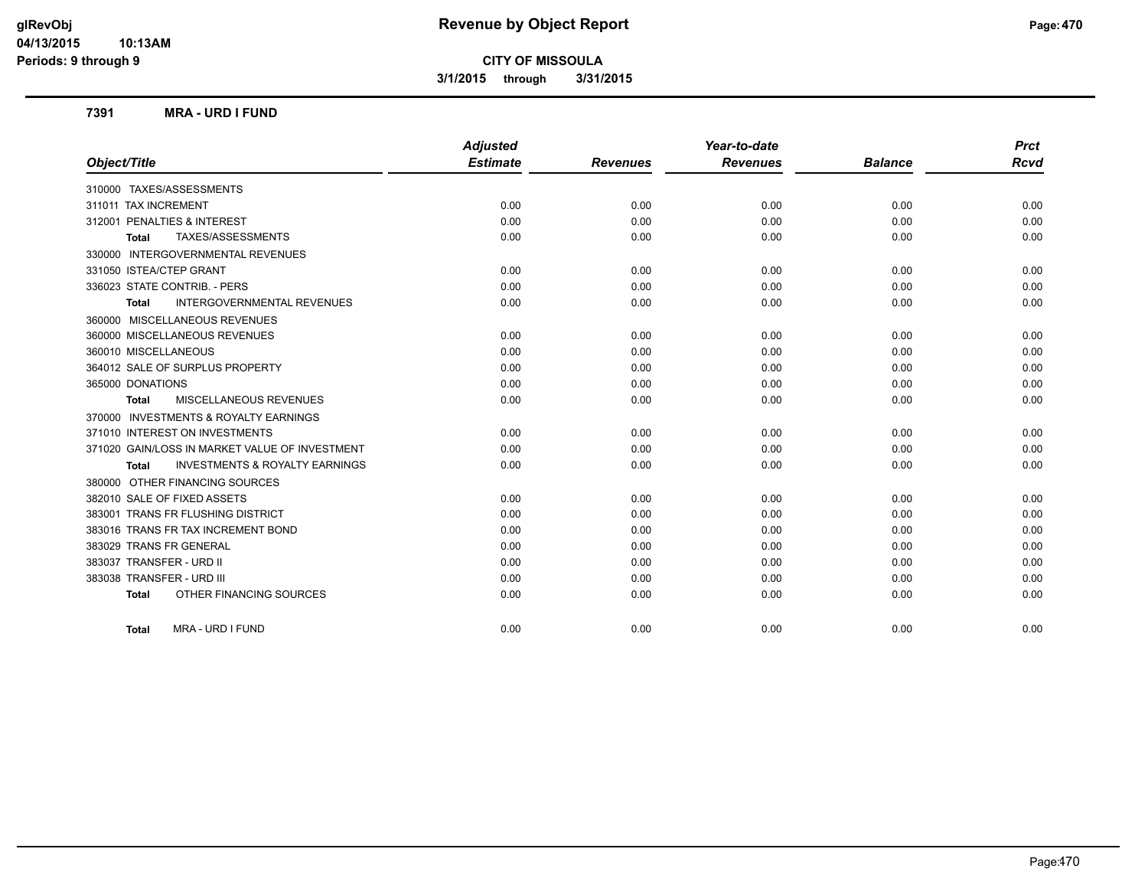**3/1/2015 through 3/31/2015**

#### **7391 MRA - URD I FUND**

|                                                    | <b>Adjusted</b> |                 | Year-to-date    |                | <b>Prct</b> |
|----------------------------------------------------|-----------------|-----------------|-----------------|----------------|-------------|
| Object/Title                                       | <b>Estimate</b> | <b>Revenues</b> | <b>Revenues</b> | <b>Balance</b> | <b>Rcvd</b> |
| 310000 TAXES/ASSESSMENTS                           |                 |                 |                 |                |             |
| 311011 TAX INCREMENT                               | 0.00            | 0.00            | 0.00            | 0.00           | 0.00        |
| 312001 PENALTIES & INTEREST                        | 0.00            | 0.00            | 0.00            | 0.00           | 0.00        |
| TAXES/ASSESSMENTS<br><b>Total</b>                  | 0.00            | 0.00            | 0.00            | 0.00           | 0.00        |
| 330000 INTERGOVERNMENTAL REVENUES                  |                 |                 |                 |                |             |
| 331050 ISTEA/CTEP GRANT                            | 0.00            | 0.00            | 0.00            | 0.00           | 0.00        |
| 336023 STATE CONTRIB. - PERS                       | 0.00            | 0.00            | 0.00            | 0.00           | 0.00        |
| <b>INTERGOVERNMENTAL REVENUES</b><br>Total         | 0.00            | 0.00            | 0.00            | 0.00           | 0.00        |
| 360000 MISCELLANEOUS REVENUES                      |                 |                 |                 |                |             |
| 360000 MISCELLANEOUS REVENUES                      | 0.00            | 0.00            | 0.00            | 0.00           | 0.00        |
| 360010 MISCELLANEOUS                               | 0.00            | 0.00            | 0.00            | 0.00           | 0.00        |
| 364012 SALE OF SURPLUS PROPERTY                    | 0.00            | 0.00            | 0.00            | 0.00           | 0.00        |
| 365000 DONATIONS                                   | 0.00            | 0.00            | 0.00            | 0.00           | 0.00        |
| MISCELLANEOUS REVENUES<br><b>Total</b>             | 0.00            | 0.00            | 0.00            | 0.00           | 0.00        |
| 370000 INVESTMENTS & ROYALTY EARNINGS              |                 |                 |                 |                |             |
| 371010 INTEREST ON INVESTMENTS                     | 0.00            | 0.00            | 0.00            | 0.00           | 0.00        |
| 371020 GAIN/LOSS IN MARKET VALUE OF INVESTMENT     | 0.00            | 0.00            | 0.00            | 0.00           | 0.00        |
| <b>INVESTMENTS &amp; ROYALTY EARNINGS</b><br>Total | 0.00            | 0.00            | 0.00            | 0.00           | 0.00        |
| 380000 OTHER FINANCING SOURCES                     |                 |                 |                 |                |             |
| 382010 SALE OF FIXED ASSETS                        | 0.00            | 0.00            | 0.00            | 0.00           | 0.00        |
| 383001 TRANS FR FLUSHING DISTRICT                  | 0.00            | 0.00            | 0.00            | 0.00           | 0.00        |
| 383016 TRANS FR TAX INCREMENT BOND                 | 0.00            | 0.00            | 0.00            | 0.00           | 0.00        |
| 383029 TRANS FR GENERAL                            | 0.00            | 0.00            | 0.00            | 0.00           | 0.00        |
| 383037 TRANSFER - URD II                           | 0.00            | 0.00            | 0.00            | 0.00           | 0.00        |
| 383038 TRANSFER - URD III                          | 0.00            | 0.00            | 0.00            | 0.00           | 0.00        |
| OTHER FINANCING SOURCES<br><b>Total</b>            | 0.00            | 0.00            | 0.00            | 0.00           | 0.00        |
| MRA - URD I FUND<br><b>Total</b>                   | 0.00            | 0.00            | 0.00            | 0.00           | 0.00        |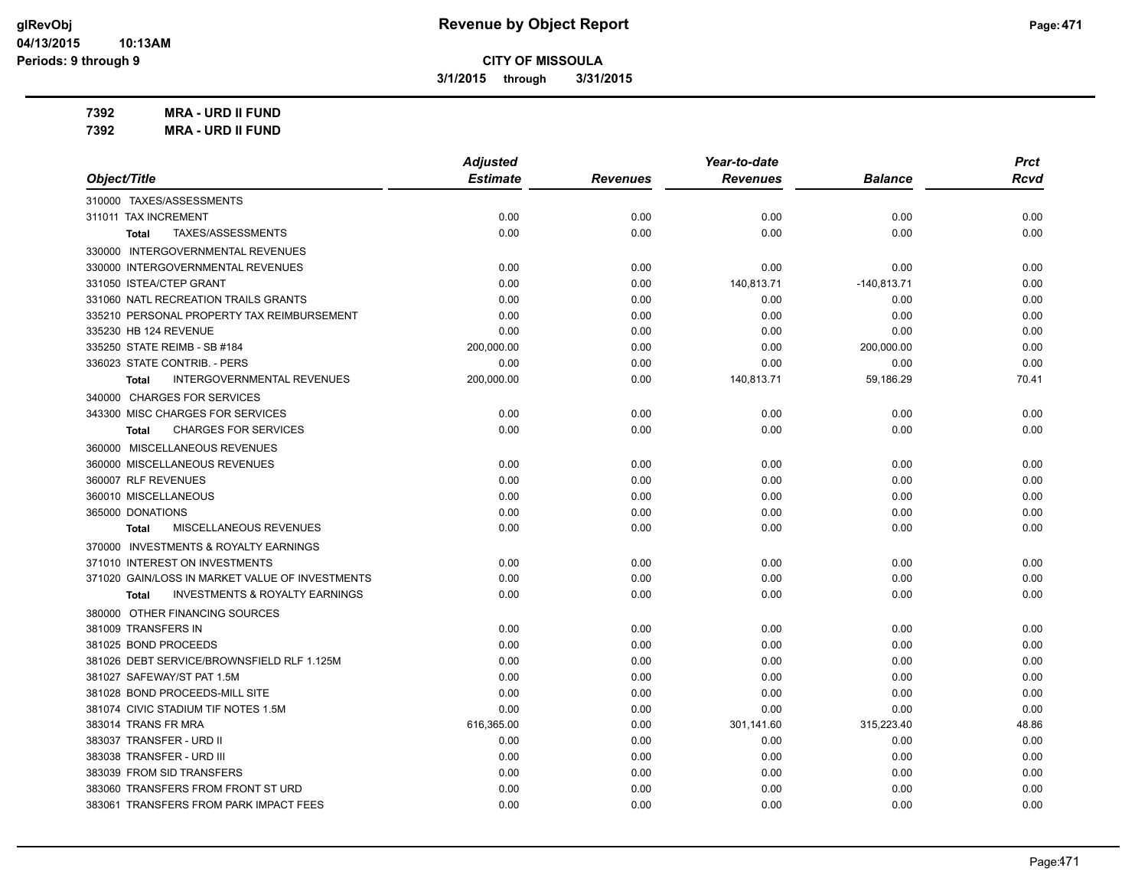**3/1/2015 through 3/31/2015**

**7392 MRA - URD II FUND 7392 MRA - URD II FUND**

|                                                           | <b>Adjusted</b> |                 | Year-to-date    |                | <b>Prct</b> |
|-----------------------------------------------------------|-----------------|-----------------|-----------------|----------------|-------------|
| Object/Title                                              | <b>Estimate</b> | <b>Revenues</b> | <b>Revenues</b> | <b>Balance</b> | <b>Rcvd</b> |
| 310000 TAXES/ASSESSMENTS                                  |                 |                 |                 |                |             |
| 311011 TAX INCREMENT                                      | 0.00            | 0.00            | 0.00            | 0.00           | 0.00        |
| TAXES/ASSESSMENTS<br><b>Total</b>                         | 0.00            | 0.00            | 0.00            | 0.00           | 0.00        |
| 330000 INTERGOVERNMENTAL REVENUES                         |                 |                 |                 |                |             |
| 330000 INTERGOVERNMENTAL REVENUES                         | 0.00            | 0.00            | 0.00            | 0.00           | 0.00        |
| 331050 ISTEA/CTEP GRANT                                   | 0.00            | 0.00            | 140,813.71      | $-140,813.71$  | 0.00        |
| 331060 NATL RECREATION TRAILS GRANTS                      | 0.00            | 0.00            | 0.00            | 0.00           | 0.00        |
| 335210 PERSONAL PROPERTY TAX REIMBURSEMENT                | 0.00            | 0.00            | 0.00            | 0.00           | 0.00        |
| 335230 HB 124 REVENUE                                     | 0.00            | 0.00            | 0.00            | 0.00           | 0.00        |
| 335250 STATE REIMB - SB #184                              | 200,000.00      | 0.00            | 0.00            | 200,000.00     | 0.00        |
| 336023 STATE CONTRIB. - PERS                              | 0.00            | 0.00            | 0.00            | 0.00           | 0.00        |
| <b>INTERGOVERNMENTAL REVENUES</b><br><b>Total</b>         | 200,000.00      | 0.00            | 140,813.71      | 59,186.29      | 70.41       |
| 340000 CHARGES FOR SERVICES                               |                 |                 |                 |                |             |
| 343300 MISC CHARGES FOR SERVICES                          | 0.00            | 0.00            | 0.00            | 0.00           | 0.00        |
| <b>CHARGES FOR SERVICES</b><br><b>Total</b>               | 0.00            | 0.00            | 0.00            | 0.00           | 0.00        |
| 360000 MISCELLANEOUS REVENUES                             |                 |                 |                 |                |             |
| 360000 MISCELLANEOUS REVENUES                             | 0.00            | 0.00            | 0.00            | 0.00           | 0.00        |
| 360007 RLF REVENUES                                       | 0.00            | 0.00            | 0.00            | 0.00           | 0.00        |
| 360010 MISCELLANEOUS                                      | 0.00            | 0.00            | 0.00            | 0.00           | 0.00        |
| 365000 DONATIONS                                          | 0.00            | 0.00            | 0.00            | 0.00           | 0.00        |
| MISCELLANEOUS REVENUES<br><b>Total</b>                    | 0.00            | 0.00            | 0.00            | 0.00           | 0.00        |
| 370000 INVESTMENTS & ROYALTY EARNINGS                     |                 |                 |                 |                |             |
| 371010 INTEREST ON INVESTMENTS                            | 0.00            | 0.00            | 0.00            | 0.00           | 0.00        |
| 371020 GAIN/LOSS IN MARKET VALUE OF INVESTMENTS           | 0.00            | 0.00            | 0.00            | 0.00           | 0.00        |
| <b>INVESTMENTS &amp; ROYALTY EARNINGS</b><br><b>Total</b> | 0.00            | 0.00            | 0.00            | 0.00           | 0.00        |
| 380000 OTHER FINANCING SOURCES                            |                 |                 |                 |                |             |
| 381009 TRANSFERS IN                                       | 0.00            | 0.00            | 0.00            | 0.00           | 0.00        |
| 381025 BOND PROCEEDS                                      | 0.00            | 0.00            | 0.00            | 0.00           | 0.00        |
| 381026 DEBT SERVICE/BROWNSFIELD RLF 1.125M                | 0.00            | 0.00            | 0.00            | 0.00           | 0.00        |
| 381027 SAFEWAY/ST PAT 1.5M                                | 0.00            | 0.00            | 0.00            | 0.00           | 0.00        |
| 381028 BOND PROCEEDS-MILL SITE                            | 0.00            | 0.00            | 0.00            | 0.00           | 0.00        |
| 381074 CIVIC STADIUM TIF NOTES 1.5M                       | 0.00            | 0.00            | 0.00            | 0.00           | 0.00        |
| 383014 TRANS FR MRA                                       | 616,365.00      | 0.00            | 301,141.60      | 315,223.40     | 48.86       |
| 383037 TRANSFER - URD II                                  | 0.00            | 0.00            | 0.00            | 0.00           | 0.00        |
| 383038 TRANSFER - URD III                                 | 0.00            | 0.00            | 0.00            | 0.00           | 0.00        |
| 383039 FROM SID TRANSFERS                                 | 0.00            | 0.00            | 0.00            | 0.00           | 0.00        |
| 383060 TRANSFERS FROM FRONT ST URD                        | 0.00            | 0.00            | 0.00            | 0.00           | 0.00        |
| 383061 TRANSFERS FROM PARK IMPACT FEES                    | 0.00            | 0.00            | 0.00            | 0.00           | 0.00        |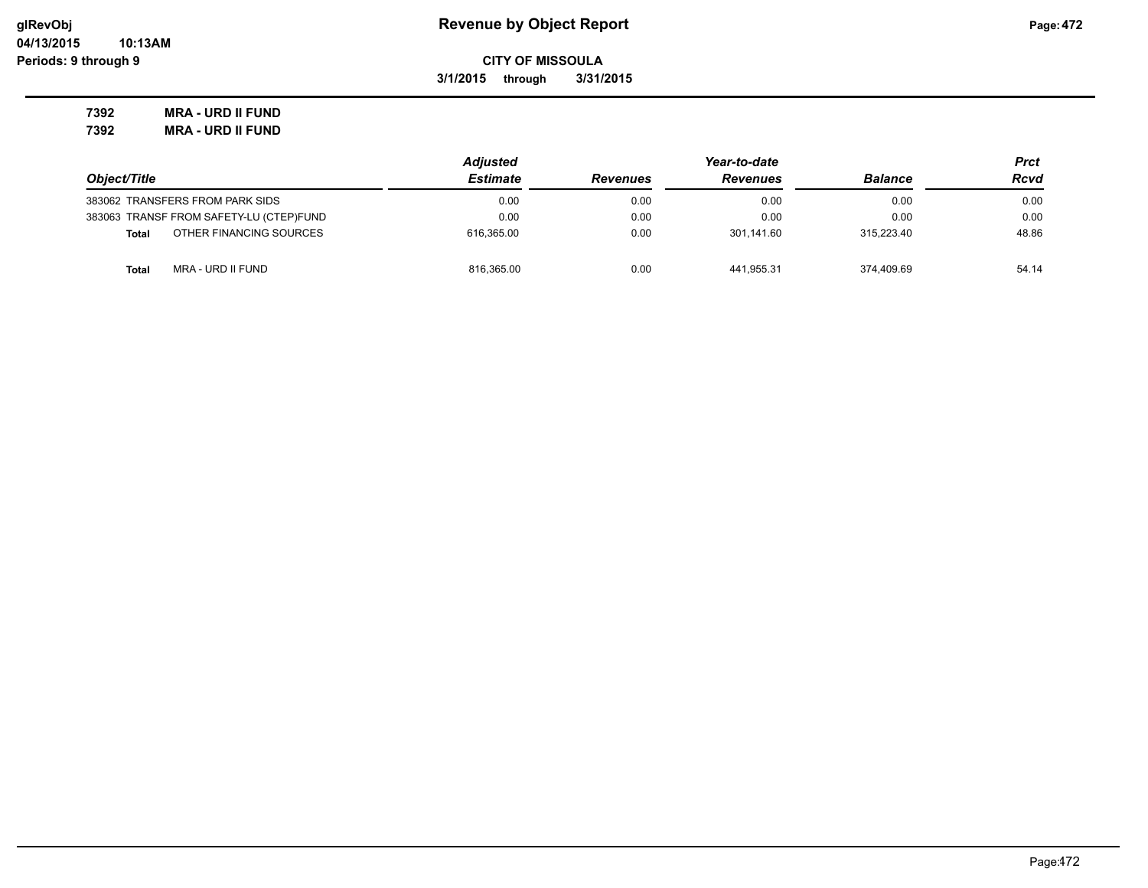**3/1/2015 through 3/31/2015**

**7392 MRA - URD II FUND 7392 MRA - URD II FUND**

|                                         | <b>Adjusted</b> | Year-to-date    |                 |                | Prct  |
|-----------------------------------------|-----------------|-----------------|-----------------|----------------|-------|
| Object/Title                            | <b>Estimate</b> | <b>Revenues</b> | <b>Revenues</b> | <b>Balance</b> | Rcvd  |
| 383062 TRANSFERS FROM PARK SIDS         | 0.00            | 0.00            | 0.00            | 0.00           | 0.00  |
| 383063 TRANSF FROM SAFETY-LU (CTEP)FUND | 0.00            | 0.00            | 0.00            | 0.00           | 0.00  |
| OTHER FINANCING SOURCES<br><b>Total</b> | 616.365.00      | 0.00            | 301.141.60      | 315.223.40     | 48.86 |
| MRA - URD II FUND<br><b>Total</b>       | 816,365.00      | 0.00            | 441.955.31      | 374.409.69     | 54.14 |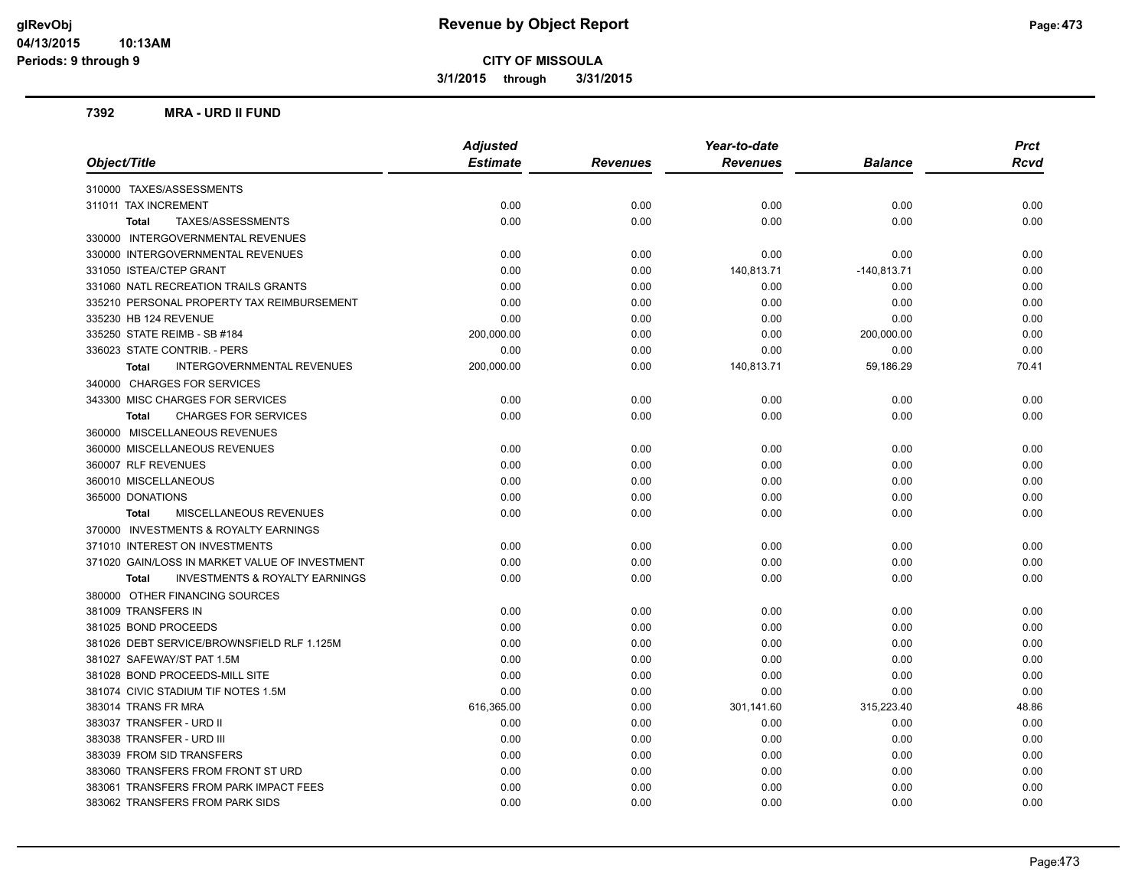**3/1/2015 through 3/31/2015**

#### **7392 MRA - URD II FUND**

|                                                           | <b>Adjusted</b> | Year-to-date    |                 |                | <b>Prct</b> |
|-----------------------------------------------------------|-----------------|-----------------|-----------------|----------------|-------------|
| Object/Title                                              | <b>Estimate</b> | <b>Revenues</b> | <b>Revenues</b> | <b>Balance</b> | <b>Rcvd</b> |
| 310000 TAXES/ASSESSMENTS                                  |                 |                 |                 |                |             |
| 311011 TAX INCREMENT                                      | 0.00            | 0.00            | 0.00            | 0.00           | 0.00        |
| TAXES/ASSESSMENTS<br><b>Total</b>                         | 0.00            | 0.00            | 0.00            | 0.00           | 0.00        |
| 330000 INTERGOVERNMENTAL REVENUES                         |                 |                 |                 |                |             |
| 330000 INTERGOVERNMENTAL REVENUES                         | 0.00            | 0.00            | 0.00            | 0.00           | 0.00        |
| 331050 ISTEA/CTEP GRANT                                   | 0.00            | 0.00            | 140,813.71      | $-140,813.71$  | 0.00        |
| 331060 NATL RECREATION TRAILS GRANTS                      | 0.00            | 0.00            | 0.00            | 0.00           | 0.00        |
| 335210 PERSONAL PROPERTY TAX REIMBURSEMENT                | 0.00            | 0.00            | 0.00            | 0.00           | 0.00        |
| 335230 HB 124 REVENUE                                     | 0.00            | 0.00            | 0.00            | 0.00           | 0.00        |
| 335250 STATE REIMB - SB #184                              | 200,000.00      | 0.00            | 0.00            | 200,000.00     | 0.00        |
| 336023 STATE CONTRIB. - PERS                              | 0.00            | 0.00            | 0.00            | 0.00           | 0.00        |
| <b>INTERGOVERNMENTAL REVENUES</b><br><b>Total</b>         | 200,000.00      | 0.00            | 140,813.71      | 59,186.29      | 70.41       |
| 340000 CHARGES FOR SERVICES                               |                 |                 |                 |                |             |
| 343300 MISC CHARGES FOR SERVICES                          | 0.00            | 0.00            | 0.00            | 0.00           | 0.00        |
| <b>CHARGES FOR SERVICES</b><br><b>Total</b>               | 0.00            | 0.00            | 0.00            | 0.00           | 0.00        |
| 360000 MISCELLANEOUS REVENUES                             |                 |                 |                 |                |             |
| 360000 MISCELLANEOUS REVENUES                             | 0.00            | 0.00            | 0.00            | 0.00           | 0.00        |
| 360007 RLF REVENUES                                       | 0.00            | 0.00            | 0.00            | 0.00           | 0.00        |
| 360010 MISCELLANEOUS                                      | 0.00            | 0.00            | 0.00            | 0.00           | 0.00        |
| 365000 DONATIONS                                          | 0.00            | 0.00            | 0.00            | 0.00           | 0.00        |
| MISCELLANEOUS REVENUES<br><b>Total</b>                    | 0.00            | 0.00            | 0.00            | 0.00           | 0.00        |
| 370000 INVESTMENTS & ROYALTY EARNINGS                     |                 |                 |                 |                |             |
| 371010 INTEREST ON INVESTMENTS                            | 0.00            | 0.00            | 0.00            | 0.00           | 0.00        |
| 371020 GAIN/LOSS IN MARKET VALUE OF INVESTMENT            | 0.00            | 0.00            | 0.00            | 0.00           | 0.00        |
| <b>INVESTMENTS &amp; ROYALTY EARNINGS</b><br><b>Total</b> | 0.00            | 0.00            | 0.00            | 0.00           | 0.00        |
| 380000 OTHER FINANCING SOURCES                            |                 |                 |                 |                |             |
| 381009 TRANSFERS IN                                       | 0.00            | 0.00            | 0.00            | 0.00           | 0.00        |
| 381025 BOND PROCEEDS                                      | 0.00            | 0.00            | 0.00            | 0.00           | 0.00        |
| 381026 DEBT SERVICE/BROWNSFIELD RLF 1.125M                | 0.00            | 0.00            | 0.00            | 0.00           | 0.00        |
| 381027 SAFEWAY/ST PAT 1.5M                                | 0.00            | 0.00            | 0.00            | 0.00           | 0.00        |
| 381028 BOND PROCEEDS-MILL SITE                            | 0.00            | 0.00            | 0.00            | 0.00           | 0.00        |
| 381074 CIVIC STADIUM TIF NOTES 1.5M                       | 0.00            | 0.00            | 0.00            | 0.00           | 0.00        |
| 383014 TRANS FR MRA                                       | 616,365.00      | 0.00            | 301,141.60      | 315,223.40     | 48.86       |
| 383037 TRANSFER - URD II                                  | 0.00            | 0.00            | 0.00            | 0.00           | 0.00        |
| 383038 TRANSFER - URD III                                 | 0.00            | 0.00            | 0.00            | 0.00           | 0.00        |
| 383039 FROM SID TRANSFERS                                 | 0.00            | 0.00            | 0.00            | 0.00           | 0.00        |
| 383060 TRANSFERS FROM FRONT ST URD                        | 0.00            | 0.00            | 0.00            | 0.00           | 0.00        |
| 383061 TRANSFERS FROM PARK IMPACT FEES                    | 0.00            | 0.00            | 0.00            | 0.00           | 0.00        |
| 383062 TRANSFERS FROM PARK SIDS                           | 0.00            | 0.00            | 0.00            | 0.00           | 0.00        |
|                                                           |                 |                 |                 |                |             |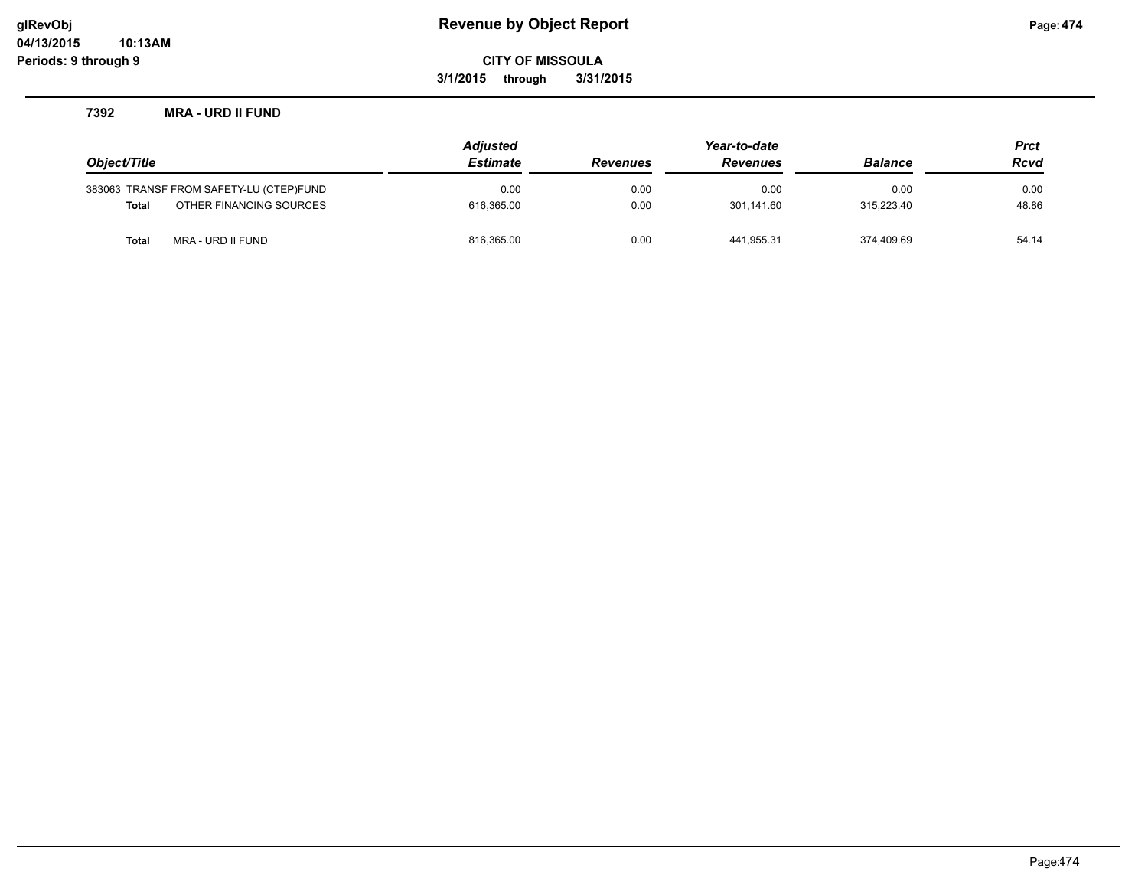# **glRevObj Revenue by Object Report Page:474**

**CITY OF MISSOULA**

**3/1/2015 through 3/31/2015**

#### **7392 MRA - URD II FUND**

|              |                                         | <b>Adjusted</b> | Year-to-date    |                 |                | <b>Prct</b> |
|--------------|-----------------------------------------|-----------------|-----------------|-----------------|----------------|-------------|
| Object/Title |                                         | <b>Estimate</b> | <b>Revenues</b> | <b>Revenues</b> | <b>Balance</b> | <b>Rcvd</b> |
|              | 383063 TRANSF FROM SAFETY-LU (CTEP)FUND | 0.00            | 0.00            | 0.00            | 0.00           | 0.00        |
| <b>Total</b> | OTHER FINANCING SOURCES                 | 616.365.00      | 0.00            | 301.141.60      | 315.223.40     | 48.86       |
| Total        | MRA - URD II FUND                       | 816,365.00      | 0.00            | 441,955.31      | 374.409.69     | 54.14       |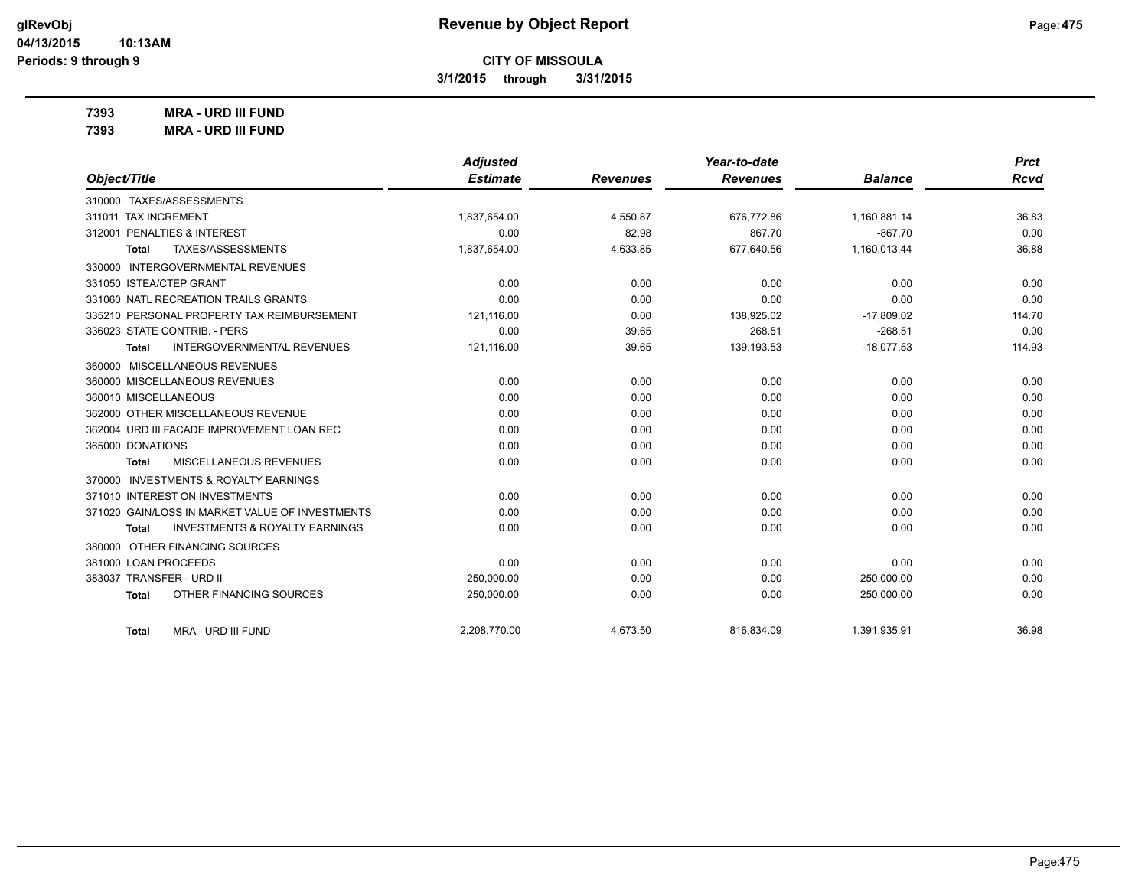**3/1/2015 through 3/31/2015**

**7393 MRA - URD III FUND**

| 7393 | <b>MRA - URD III FUND</b> |
|------|---------------------------|
|      |                           |

|                                                           | <b>Adjusted</b> |                 | Year-to-date    |                | <b>Prct</b> |
|-----------------------------------------------------------|-----------------|-----------------|-----------------|----------------|-------------|
| Object/Title                                              | <b>Estimate</b> | <b>Revenues</b> | <b>Revenues</b> | <b>Balance</b> | Rcvd        |
| 310000 TAXES/ASSESSMENTS                                  |                 |                 |                 |                |             |
| 311011 TAX INCREMENT                                      | 1,837,654.00    | 4,550.87        | 676,772.86      | 1,160,881.14   | 36.83       |
| 312001 PENALTIES & INTEREST                               | 0.00            | 82.98           | 867.70          | $-867.70$      | 0.00        |
| TAXES/ASSESSMENTS<br><b>Total</b>                         | 1,837,654.00    | 4,633.85        | 677,640.56      | 1,160,013.44   | 36.88       |
| 330000 INTERGOVERNMENTAL REVENUES                         |                 |                 |                 |                |             |
| 331050 ISTEA/CTEP GRANT                                   | 0.00            | 0.00            | 0.00            | 0.00           | 0.00        |
| 331060 NATL RECREATION TRAILS GRANTS                      | 0.00            | 0.00            | 0.00            | 0.00           | 0.00        |
| 335210 PERSONAL PROPERTY TAX REIMBURSEMENT                | 121,116.00      | 0.00            | 138,925.02      | $-17,809.02$   | 114.70      |
| 336023 STATE CONTRIB. - PERS                              | 0.00            | 39.65           | 268.51          | $-268.51$      | 0.00        |
| <b>INTERGOVERNMENTAL REVENUES</b><br><b>Total</b>         | 121,116.00      | 39.65           | 139,193.53      | $-18,077.53$   | 114.93      |
| 360000 MISCELLANEOUS REVENUES                             |                 |                 |                 |                |             |
| 360000 MISCELLANEOUS REVENUES                             | 0.00            | 0.00            | 0.00            | 0.00           | 0.00        |
| 360010 MISCELLANEOUS                                      | 0.00            | 0.00            | 0.00            | 0.00           | 0.00        |
| 362000 OTHER MISCELLANEOUS REVENUE                        | 0.00            | 0.00            | 0.00            | 0.00           | 0.00        |
| 362004 URD III FACADE IMPROVEMENT LOAN REC                | 0.00            | 0.00            | 0.00            | 0.00           | 0.00        |
| 365000 DONATIONS                                          | 0.00            | 0.00            | 0.00            | 0.00           | 0.00        |
| MISCELLANEOUS REVENUES<br><b>Total</b>                    | 0.00            | 0.00            | 0.00            | 0.00           | 0.00        |
| <b>INVESTMENTS &amp; ROYALTY EARNINGS</b><br>370000       |                 |                 |                 |                |             |
| 371010 INTEREST ON INVESTMENTS                            | 0.00            | 0.00            | 0.00            | 0.00           | 0.00        |
| 371020 GAIN/LOSS IN MARKET VALUE OF INVESTMENTS           | 0.00            | 0.00            | 0.00            | 0.00           | 0.00        |
| <b>INVESTMENTS &amp; ROYALTY EARNINGS</b><br><b>Total</b> | 0.00            | 0.00            | 0.00            | 0.00           | 0.00        |
| OTHER FINANCING SOURCES<br>380000                         |                 |                 |                 |                |             |
| 381000 LOAN PROCEEDS                                      | 0.00            | 0.00            | 0.00            | 0.00           | 0.00        |
| 383037 TRANSFER - URD II                                  | 250,000.00      | 0.00            | 0.00            | 250,000.00     | 0.00        |
| OTHER FINANCING SOURCES<br><b>Total</b>                   | 250,000.00      | 0.00            | 0.00            | 250,000.00     | 0.00        |
| MRA - URD III FUND<br><b>Total</b>                        | 2,208,770.00    | 4,673.50        | 816,834.09      | 1,391,935.91   | 36.98       |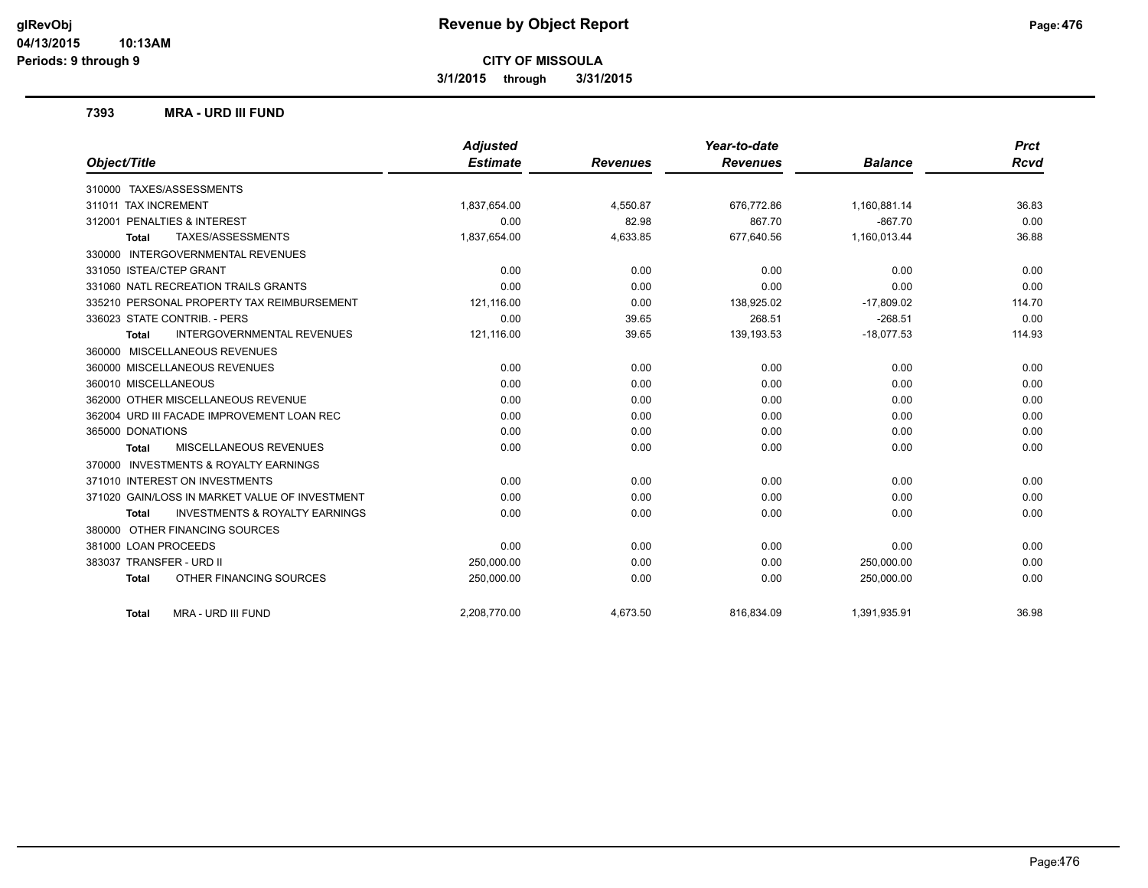**3/1/2015 through 3/31/2015**

#### **7393 MRA - URD III FUND**

|                                                           | <b>Adjusted</b> |                 | Year-to-date    |                | <b>Prct</b> |
|-----------------------------------------------------------|-----------------|-----------------|-----------------|----------------|-------------|
| Object/Title                                              | <b>Estimate</b> | <b>Revenues</b> | <b>Revenues</b> | <b>Balance</b> | <b>Rcvd</b> |
| 310000 TAXES/ASSESSMENTS                                  |                 |                 |                 |                |             |
| 311011 TAX INCREMENT                                      | 1,837,654.00    | 4.550.87        | 676.772.86      | 1,160,881.14   | 36.83       |
| 312001 PENALTIES & INTEREST                               | 0.00            | 82.98           | 867.70          | $-867.70$      | 0.00        |
| TAXES/ASSESSMENTS<br><b>Total</b>                         | 1,837,654.00    | 4,633.85        | 677,640.56      | 1,160,013.44   | 36.88       |
| 330000 INTERGOVERNMENTAL REVENUES                         |                 |                 |                 |                |             |
| 331050 ISTEA/CTEP GRANT                                   | 0.00            | 0.00            | 0.00            | 0.00           | 0.00        |
| 331060 NATL RECREATION TRAILS GRANTS                      | 0.00            | 0.00            | 0.00            | 0.00           | 0.00        |
| 335210 PERSONAL PROPERTY TAX REIMBURSEMENT                | 121,116.00      | 0.00            | 138,925.02      | $-17,809.02$   | 114.70      |
| 336023 STATE CONTRIB. - PERS                              | 0.00            | 39.65           | 268.51          | $-268.51$      | 0.00        |
| <b>INTERGOVERNMENTAL REVENUES</b><br><b>Total</b>         | 121,116.00      | 39.65           | 139,193.53      | $-18,077.53$   | 114.93      |
| 360000 MISCELLANEOUS REVENUES                             |                 |                 |                 |                |             |
| 360000 MISCELLANEOUS REVENUES                             | 0.00            | 0.00            | 0.00            | 0.00           | 0.00        |
| 360010 MISCELLANEOUS                                      | 0.00            | 0.00            | 0.00            | 0.00           | 0.00        |
| 362000 OTHER MISCELLANEOUS REVENUE                        | 0.00            | 0.00            | 0.00            | 0.00           | 0.00        |
| 362004 URD III FACADE IMPROVEMENT LOAN REC                | 0.00            | 0.00            | 0.00            | 0.00           | 0.00        |
| 365000 DONATIONS                                          | 0.00            | 0.00            | 0.00            | 0.00           | 0.00        |
| MISCELLANEOUS REVENUES<br><b>Total</b>                    | 0.00            | 0.00            | 0.00            | 0.00           | 0.00        |
| 370000 INVESTMENTS & ROYALTY EARNINGS                     |                 |                 |                 |                |             |
| 371010 INTEREST ON INVESTMENTS                            | 0.00            | 0.00            | 0.00            | 0.00           | 0.00        |
| 371020 GAIN/LOSS IN MARKET VALUE OF INVESTMENT            | 0.00            | 0.00            | 0.00            | 0.00           | 0.00        |
| <b>INVESTMENTS &amp; ROYALTY EARNINGS</b><br><b>Total</b> | 0.00            | 0.00            | 0.00            | 0.00           | 0.00        |
| 380000 OTHER FINANCING SOURCES                            |                 |                 |                 |                |             |
| 381000 LOAN PROCEEDS                                      | 0.00            | 0.00            | 0.00            | 0.00           | 0.00        |
| 383037 TRANSFER - URD II                                  | 250,000.00      | 0.00            | 0.00            | 250,000.00     | 0.00        |
| OTHER FINANCING SOURCES<br><b>Total</b>                   | 250,000.00      | 0.00            | 0.00            | 250,000.00     | 0.00        |
| MRA - URD III FUND<br><b>Total</b>                        | 2.208.770.00    | 4.673.50        | 816.834.09      | 1.391.935.91   | 36.98       |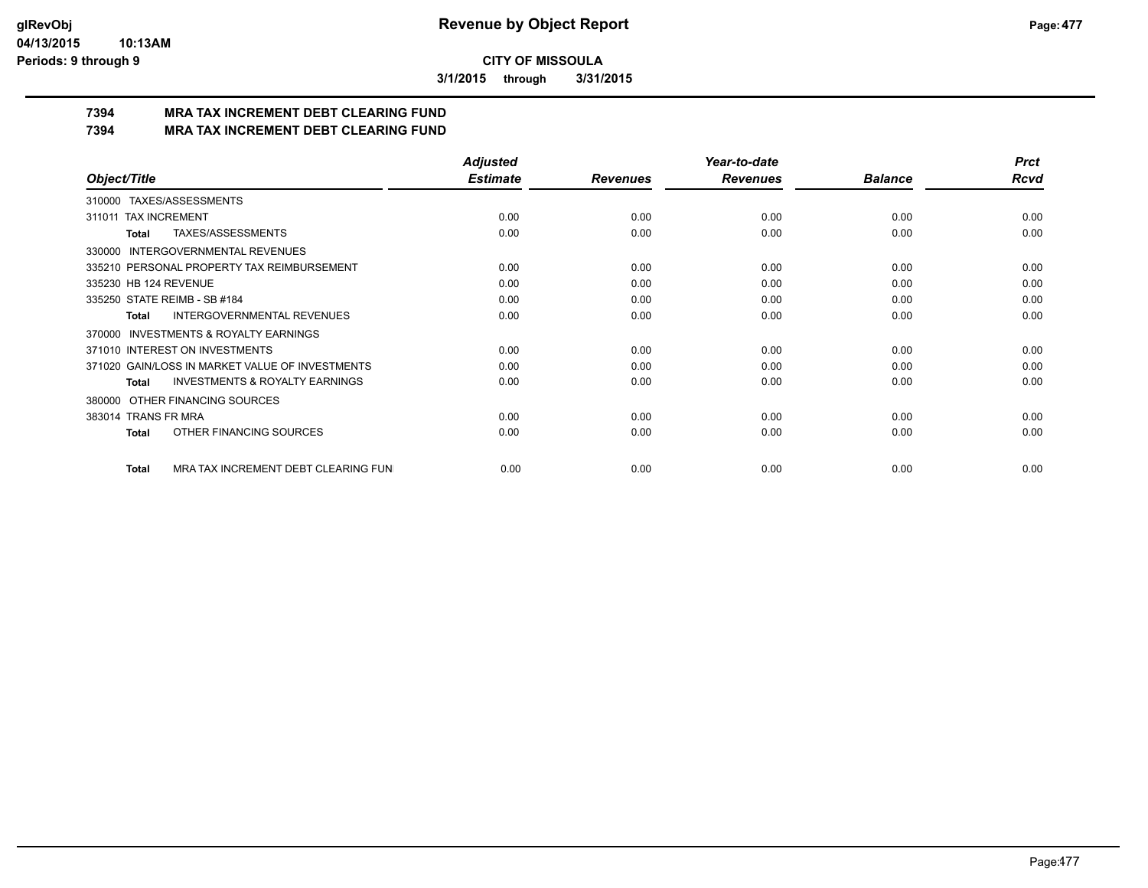**3/1/2015 through 3/31/2015**

# **7394 MRA TAX INCREMENT DEBT CLEARING FUND**

**7394 MRA TAX INCREMENT DEBT CLEARING FUND**

|                                                     | <b>Adjusted</b> |                 | Year-to-date    |                | <b>Prct</b> |
|-----------------------------------------------------|-----------------|-----------------|-----------------|----------------|-------------|
| Object/Title                                        | <b>Estimate</b> | <b>Revenues</b> | <b>Revenues</b> | <b>Balance</b> | <b>Rcvd</b> |
| 310000 TAXES/ASSESSMENTS                            |                 |                 |                 |                |             |
| <b>TAX INCREMENT</b><br>311011                      | 0.00            | 0.00            | 0.00            | 0.00           | 0.00        |
| TAXES/ASSESSMENTS<br>Total                          | 0.00            | 0.00            | 0.00            | 0.00           | 0.00        |
| <b>INTERGOVERNMENTAL REVENUES</b><br>330000         |                 |                 |                 |                |             |
| 335210 PERSONAL PROPERTY TAX REIMBURSEMENT          | 0.00            | 0.00            | 0.00            | 0.00           | 0.00        |
| 335230 HB 124 REVENUE                               | 0.00            | 0.00            | 0.00            | 0.00           | 0.00        |
| 335250 STATE REIMB - SB #184                        | 0.00            | 0.00            | 0.00            | 0.00           | 0.00        |
| INTERGOVERNMENTAL REVENUES<br>Total                 | 0.00            | 0.00            | 0.00            | 0.00           | 0.00        |
| <b>INVESTMENTS &amp; ROYALTY EARNINGS</b><br>370000 |                 |                 |                 |                |             |
| 371010 INTEREST ON INVESTMENTS                      | 0.00            | 0.00            | 0.00            | 0.00           | 0.00        |
| 371020 GAIN/LOSS IN MARKET VALUE OF INVESTMENTS     | 0.00            | 0.00            | 0.00            | 0.00           | 0.00        |
| <b>INVESTMENTS &amp; ROYALTY EARNINGS</b><br>Total  | 0.00            | 0.00            | 0.00            | 0.00           | 0.00        |
| OTHER FINANCING SOURCES<br>380000                   |                 |                 |                 |                |             |
| 383014 TRANS FR MRA                                 | 0.00            | 0.00            | 0.00            | 0.00           | 0.00        |
| OTHER FINANCING SOURCES<br>Total                    | 0.00            | 0.00            | 0.00            | 0.00           | 0.00        |
| MRA TAX INCREMENT DEBT CLEARING FUN<br>Total        | 0.00            | 0.00            | 0.00            | 0.00           | 0.00        |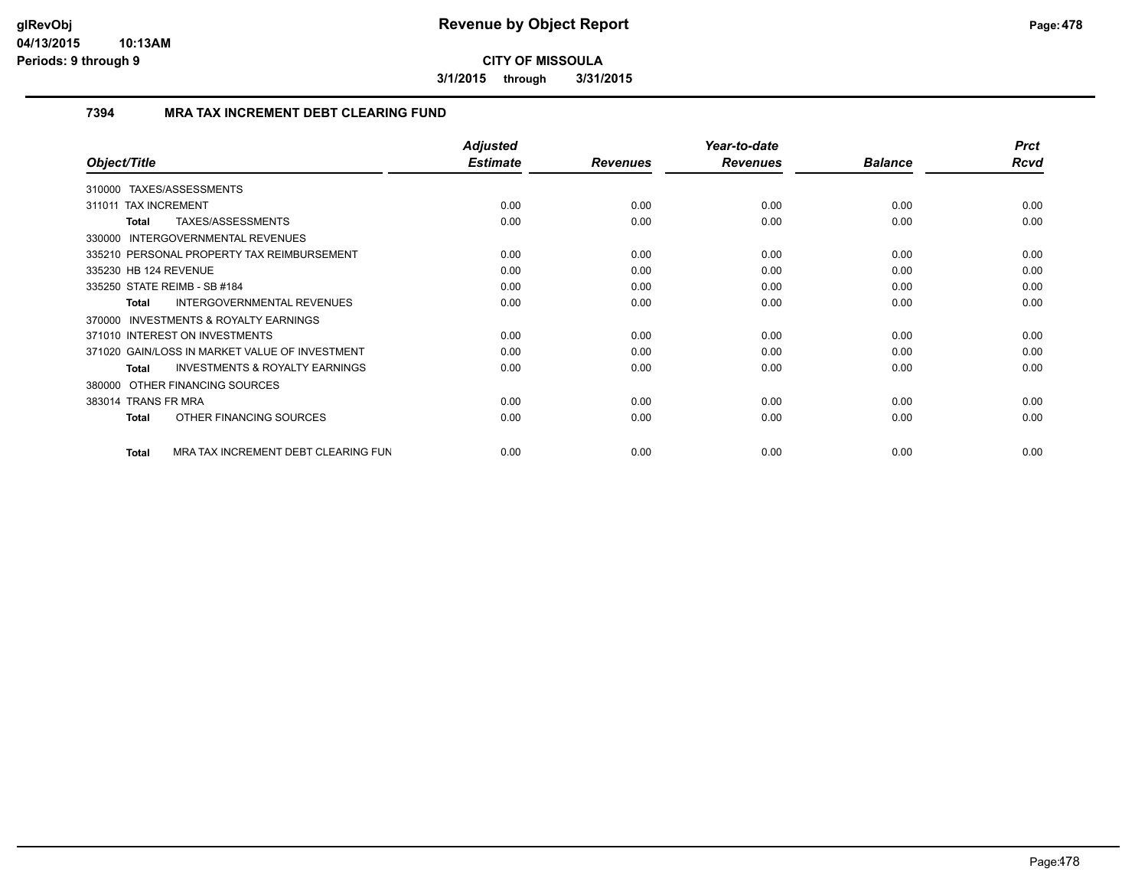**3/1/2015 through 3/31/2015**

## **7394 MRA TAX INCREMENT DEBT CLEARING FUND**

|                                                     | <b>Adjusted</b> |                 | Year-to-date    |                | <b>Prct</b> |
|-----------------------------------------------------|-----------------|-----------------|-----------------|----------------|-------------|
| Object/Title                                        | <b>Estimate</b> | <b>Revenues</b> | <b>Revenues</b> | <b>Balance</b> | Rcvd        |
| TAXES/ASSESSMENTS<br>310000                         |                 |                 |                 |                |             |
| 311011 TAX INCREMENT                                | 0.00            | 0.00            | 0.00            | 0.00           | 0.00        |
| TAXES/ASSESSMENTS<br><b>Total</b>                   | 0.00            | 0.00            | 0.00            | 0.00           | 0.00        |
| 330000 INTERGOVERNMENTAL REVENUES                   |                 |                 |                 |                |             |
| 335210 PERSONAL PROPERTY TAX REIMBURSEMENT          | 0.00            | 0.00            | 0.00            | 0.00           | 0.00        |
| 335230 HB 124 REVENUE                               | 0.00            | 0.00            | 0.00            | 0.00           | 0.00        |
| 335250 STATE REIMB - SB #184                        | 0.00            | 0.00            | 0.00            | 0.00           | 0.00        |
| <b>INTERGOVERNMENTAL REVENUES</b><br><b>Total</b>   | 0.00            | 0.00            | 0.00            | 0.00           | 0.00        |
| <b>INVESTMENTS &amp; ROYALTY EARNINGS</b><br>370000 |                 |                 |                 |                |             |
| 371010 INTEREST ON INVESTMENTS                      | 0.00            | 0.00            | 0.00            | 0.00           | 0.00        |
| 371020 GAIN/LOSS IN MARKET VALUE OF INVESTMENT      | 0.00            | 0.00            | 0.00            | 0.00           | 0.00        |
| <b>INVESTMENTS &amp; ROYALTY EARNINGS</b><br>Total  | 0.00            | 0.00            | 0.00            | 0.00           | 0.00        |
| 380000 OTHER FINANCING SOURCES                      |                 |                 |                 |                |             |
| 383014 TRANS FR MRA                                 | 0.00            | 0.00            | 0.00            | 0.00           | 0.00        |
| OTHER FINANCING SOURCES<br><b>Total</b>             | 0.00            | 0.00            | 0.00            | 0.00           | 0.00        |
| MRA TAX INCREMENT DEBT CLEARING FUN<br><b>Total</b> | 0.00            | 0.00            | 0.00            | 0.00           | 0.00        |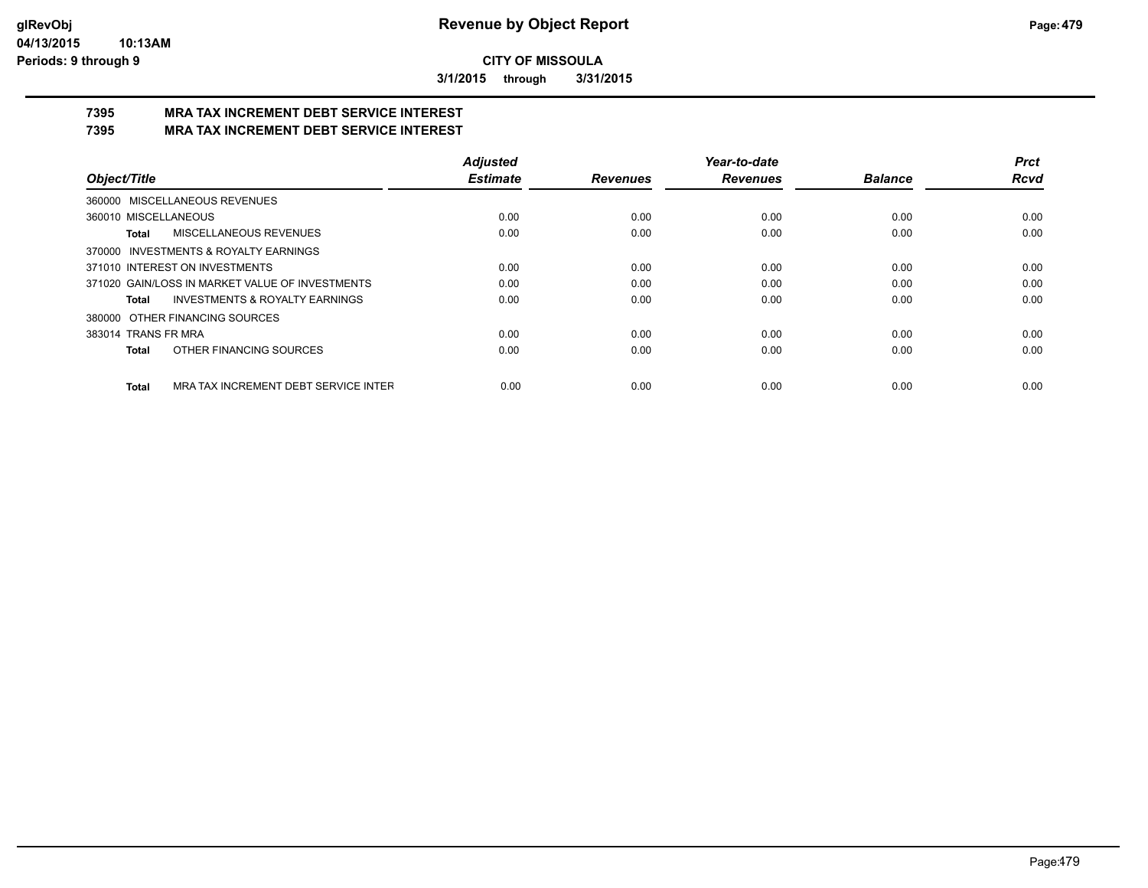**3/1/2015 through 3/31/2015**

#### **7395 MRA TAX INCREMENT DEBT SERVICE INTEREST 7395 MRA TAX INCREMENT DEBT SERVICE INTEREST**

|                                                      | <b>Adjusted</b> |                 | Year-to-date    |                | <b>Prct</b> |
|------------------------------------------------------|-----------------|-----------------|-----------------|----------------|-------------|
| Object/Title                                         | <b>Estimate</b> | <b>Revenues</b> | <b>Revenues</b> | <b>Balance</b> | <b>Rcvd</b> |
| MISCELLANEOUS REVENUES<br>360000                     |                 |                 |                 |                |             |
| 360010 MISCELLANEOUS                                 | 0.00            | 0.00            | 0.00            | 0.00           | 0.00        |
| MISCELLANEOUS REVENUES<br>Total                      | 0.00            | 0.00            | 0.00            | 0.00           | 0.00        |
| 370000 INVESTMENTS & ROYALTY EARNINGS                |                 |                 |                 |                |             |
| 371010 INTEREST ON INVESTMENTS                       | 0.00            | 0.00            | 0.00            | 0.00           | 0.00        |
| 371020 GAIN/LOSS IN MARKET VALUE OF INVESTMENTS      | 0.00            | 0.00            | 0.00            | 0.00           | 0.00        |
| <b>INVESTMENTS &amp; ROYALTY EARNINGS</b><br>Total   | 0.00            | 0.00            | 0.00            | 0.00           | 0.00        |
| OTHER FINANCING SOURCES<br>380000                    |                 |                 |                 |                |             |
| 383014 TRANS FR MRA                                  | 0.00            | 0.00            | 0.00            | 0.00           | 0.00        |
| OTHER FINANCING SOURCES<br>Total                     | 0.00            | 0.00            | 0.00            | 0.00           | 0.00        |
| MRA TAX INCREMENT DEBT SERVICE INTER<br><b>Total</b> | 0.00            | 0.00            | 0.00            | 0.00           | 0.00        |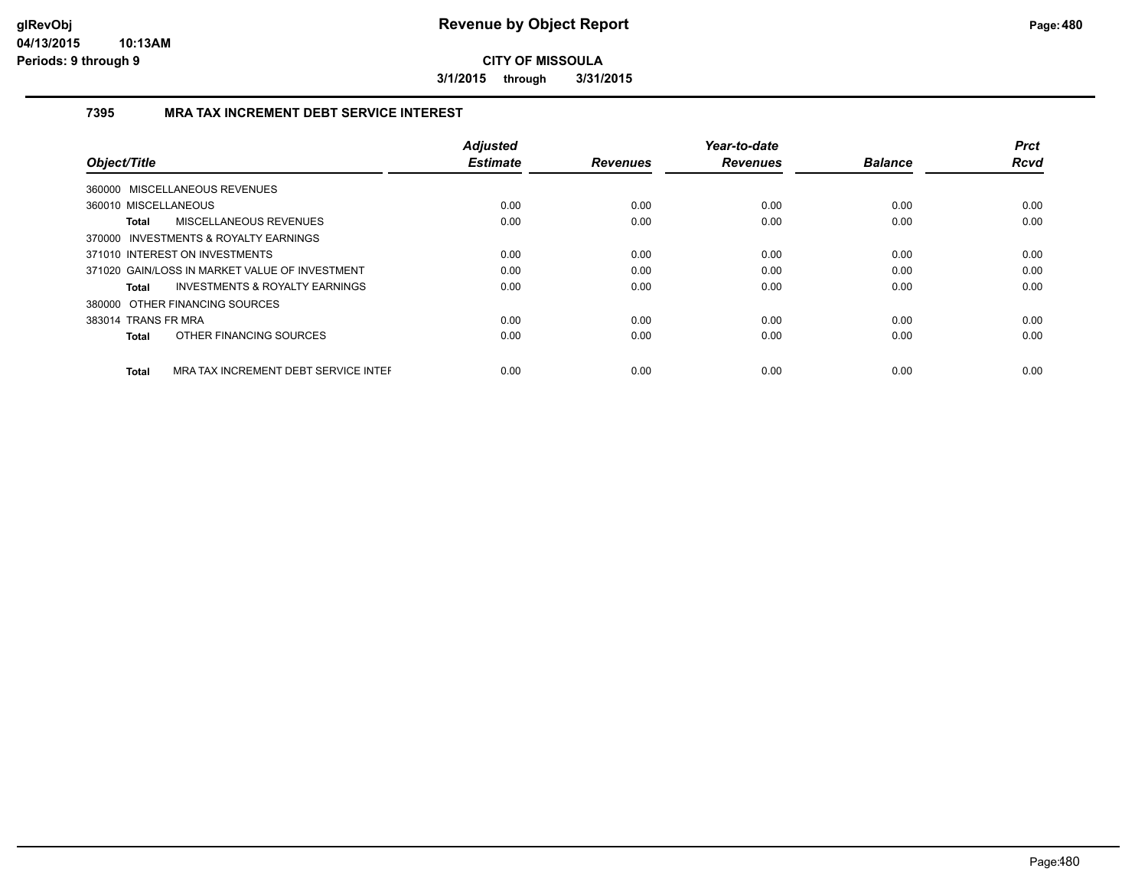**3/1/2015 through 3/31/2015**

## **7395 MRA TAX INCREMENT DEBT SERVICE INTEREST**

|                                                      | <b>Adjusted</b> |                 | Year-to-date    |                | <b>Prct</b> |
|------------------------------------------------------|-----------------|-----------------|-----------------|----------------|-------------|
| Object/Title                                         | <b>Estimate</b> | <b>Revenues</b> | <b>Revenues</b> | <b>Balance</b> | <b>Rcvd</b> |
| 360000 MISCELLANEOUS REVENUES                        |                 |                 |                 |                |             |
| 360010 MISCELLANEOUS                                 | 0.00            | 0.00            | 0.00            | 0.00           | 0.00        |
| MISCELLANEOUS REVENUES<br><b>Total</b>               | 0.00            | 0.00            | 0.00            | 0.00           | 0.00        |
| 370000 INVESTMENTS & ROYALTY EARNINGS                |                 |                 |                 |                |             |
| 371010 INTEREST ON INVESTMENTS                       | 0.00            | 0.00            | 0.00            | 0.00           | 0.00        |
| 371020 GAIN/LOSS IN MARKET VALUE OF INVESTMENT       | 0.00            | 0.00            | 0.00            | 0.00           | 0.00        |
| <b>INVESTMENTS &amp; ROYALTY EARNINGS</b><br>Total   | 0.00            | 0.00            | 0.00            | 0.00           | 0.00        |
| 380000 OTHER FINANCING SOURCES                       |                 |                 |                 |                |             |
| 383014 TRANS FR MRA                                  | 0.00            | 0.00            | 0.00            | 0.00           | 0.00        |
| OTHER FINANCING SOURCES<br>Total                     | 0.00            | 0.00            | 0.00            | 0.00           | 0.00        |
| MRA TAX INCREMENT DEBT SERVICE INTER<br><b>Total</b> | 0.00            | 0.00            | 0.00            | 0.00           | 0.00        |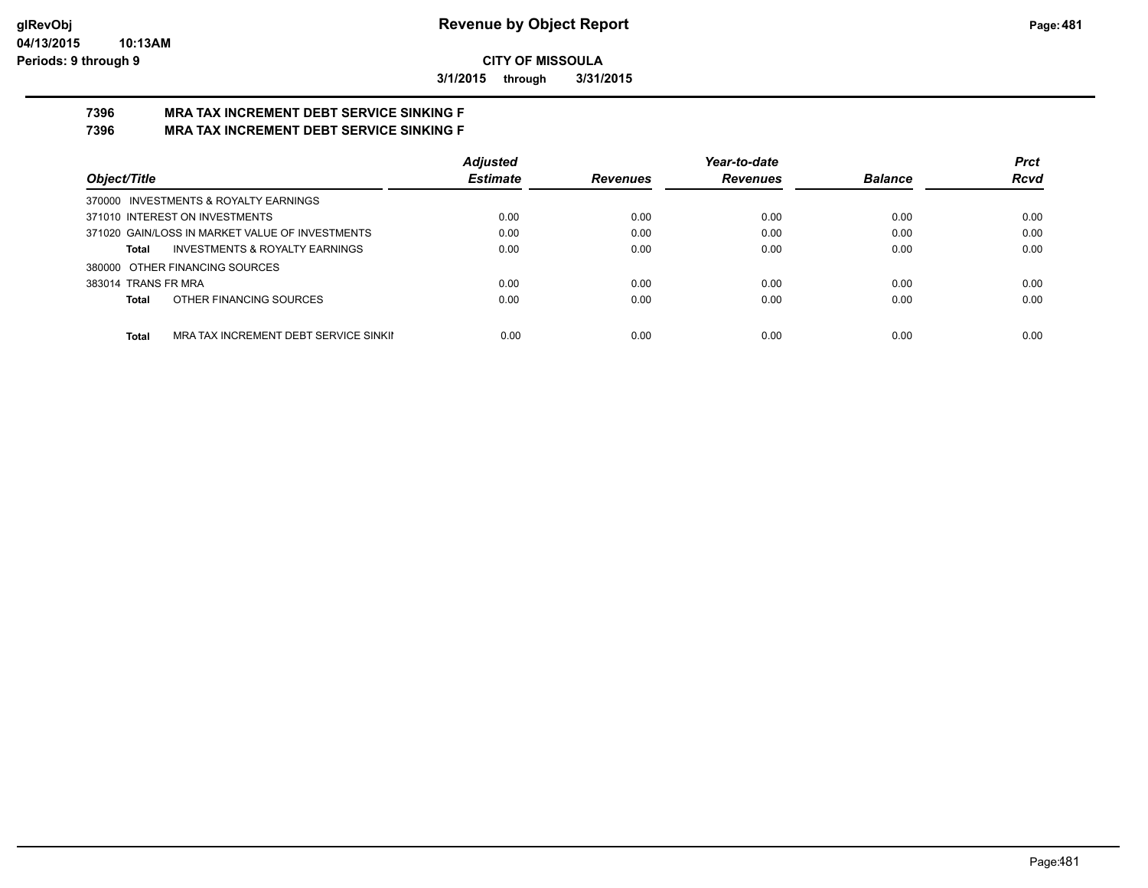**3/1/2015 through 3/31/2015**

#### **7396 MRA TAX INCREMENT DEBT SERVICE SINKING F 7396 MRA TAX INCREMENT DEBT SERVICE SINKING F**

|                                                 | <b>Adjusted</b> |                 | Year-to-date    |                | <b>Prct</b> |
|-------------------------------------------------|-----------------|-----------------|-----------------|----------------|-------------|
| Object/Title                                    | <b>Estimate</b> | <b>Revenues</b> | <b>Revenues</b> | <b>Balance</b> | <b>Rcvd</b> |
| 370000 INVESTMENTS & ROYALTY EARNINGS           |                 |                 |                 |                |             |
| 371010 INTEREST ON INVESTMENTS                  | 0.00            | 0.00            | 0.00            | 0.00           | 0.00        |
| 371020 GAIN/LOSS IN MARKET VALUE OF INVESTMENTS | 0.00            | 0.00            | 0.00            | 0.00           | 0.00        |
| INVESTMENTS & ROYALTY EARNINGS<br>Total         | 0.00            | 0.00            | 0.00            | 0.00           | 0.00        |
| 380000 OTHER FINANCING SOURCES                  |                 |                 |                 |                |             |
| 383014 TRANS FR MRA                             | 0.00            | 0.00            | 0.00            | 0.00           | 0.00        |
| OTHER FINANCING SOURCES<br>Total                | 0.00            | 0.00            | 0.00            | 0.00           | 0.00        |
|                                                 |                 |                 |                 |                |             |
| Total<br>MRA TAX INCREMENT DEBT SERVICE SINKII  | 0.00            | 0.00            | 0.00            | 0.00           | 0.00        |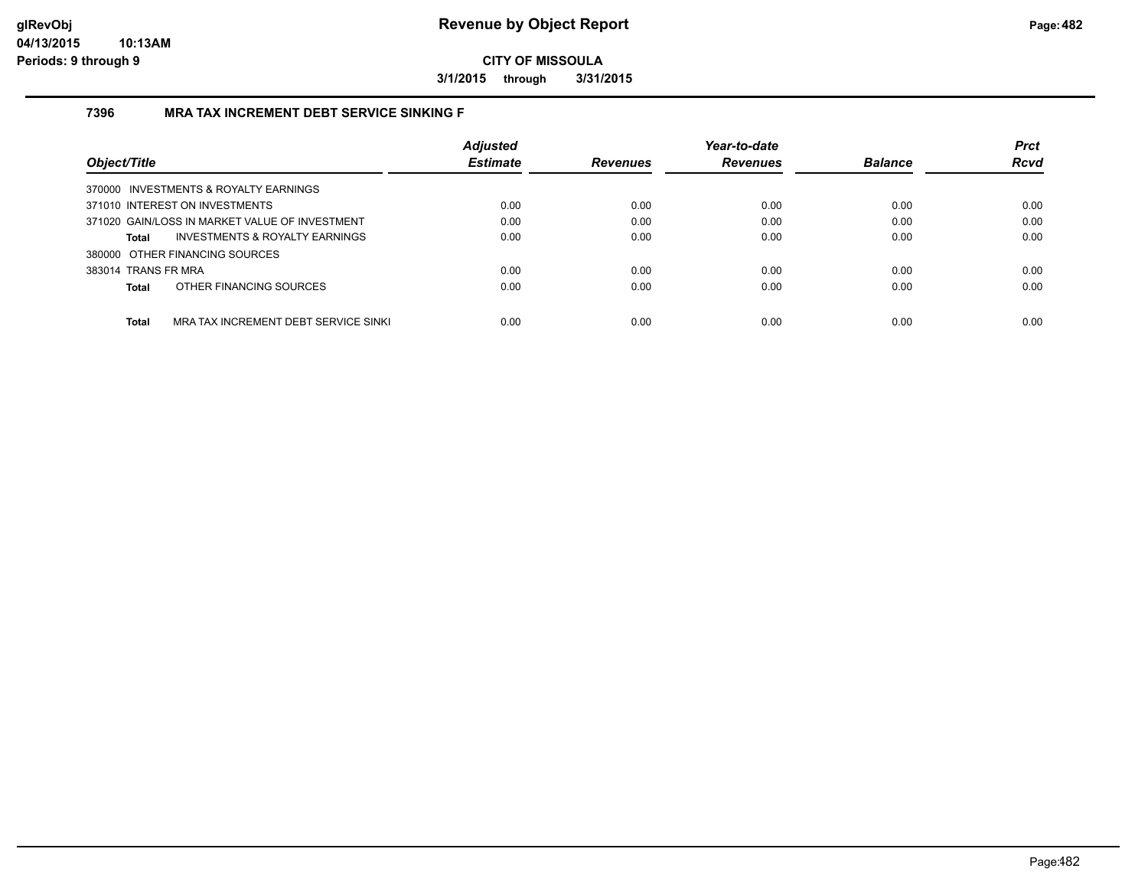**3/1/2015 through 3/31/2015**

## **7396 MRA TAX INCREMENT DEBT SERVICE SINKING F**

| Object/Title                                         | <b>Adjusted</b><br><b>Estimate</b> | <b>Revenues</b> | Year-to-date<br><b>Revenues</b> | <b>Balance</b> | <b>Prct</b><br><b>Rcvd</b> |
|------------------------------------------------------|------------------------------------|-----------------|---------------------------------|----------------|----------------------------|
| 370000 INVESTMENTS & ROYALTY EARNINGS                |                                    |                 |                                 |                |                            |
| 371010 INTEREST ON INVESTMENTS                       | 0.00                               | 0.00            | 0.00                            | 0.00           | 0.00                       |
| 371020 GAIN/LOSS IN MARKET VALUE OF INVESTMENT       | 0.00                               | 0.00            | 0.00                            | 0.00           | 0.00                       |
| <b>INVESTMENTS &amp; ROYALTY EARNINGS</b><br>Total   | 0.00                               | 0.00            | 0.00                            | 0.00           | 0.00                       |
| 380000 OTHER FINANCING SOURCES                       |                                    |                 |                                 |                |                            |
| 383014 TRANS FR MRA                                  | 0.00                               | 0.00            | 0.00                            | 0.00           | 0.00                       |
| OTHER FINANCING SOURCES<br><b>Total</b>              | 0.00                               | 0.00            | 0.00                            | 0.00           | 0.00                       |
|                                                      |                                    |                 |                                 |                |                            |
| <b>Total</b><br>MRA TAX INCREMENT DEBT SERVICE SINKI | 0.00                               | 0.00            | 0.00                            | 0.00           | 0.00                       |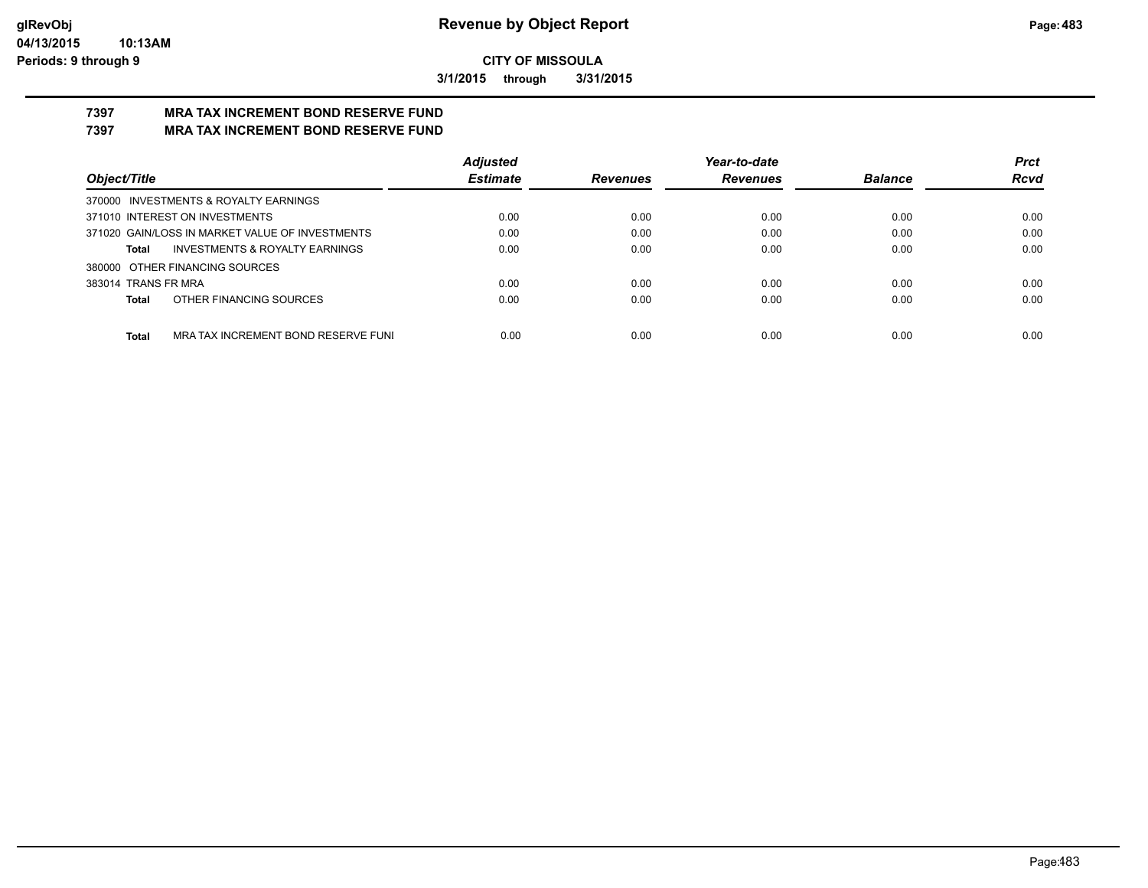**3/1/2015 through 3/31/2015**

#### **7397 MRA TAX INCREMENT BOND RESERVE FUND 7397 MRA TAX INCREMENT BOND RESERVE FUND**

|                                                     | <b>Adjusted</b> |                 | Year-to-date    |                | <b>Prct</b> |
|-----------------------------------------------------|-----------------|-----------------|-----------------|----------------|-------------|
| Object/Title                                        | <b>Estimate</b> | <b>Revenues</b> | <b>Revenues</b> | <b>Balance</b> | <b>Rcvd</b> |
| 370000 INVESTMENTS & ROYALTY EARNINGS               |                 |                 |                 |                |             |
| 371010 INTEREST ON INVESTMENTS                      | 0.00            | 0.00            | 0.00            | 0.00           | 0.00        |
| 371020 GAIN/LOSS IN MARKET VALUE OF INVESTMENTS     | 0.00            | 0.00            | 0.00            | 0.00           | 0.00        |
| INVESTMENTS & ROYALTY EARNINGS<br>Total             | 0.00            | 0.00            | 0.00            | 0.00           | 0.00        |
| 380000 OTHER FINANCING SOURCES                      |                 |                 |                 |                |             |
| 383014 TRANS FR MRA                                 | 0.00            | 0.00            | 0.00            | 0.00           | 0.00        |
| OTHER FINANCING SOURCES<br>Total                    | 0.00            | 0.00            | 0.00            | 0.00           | 0.00        |
|                                                     |                 |                 |                 |                |             |
| MRA TAX INCREMENT BOND RESERVE FUNI<br><b>Total</b> | 0.00            | 0.00            | 0.00            | 0.00           | 0.00        |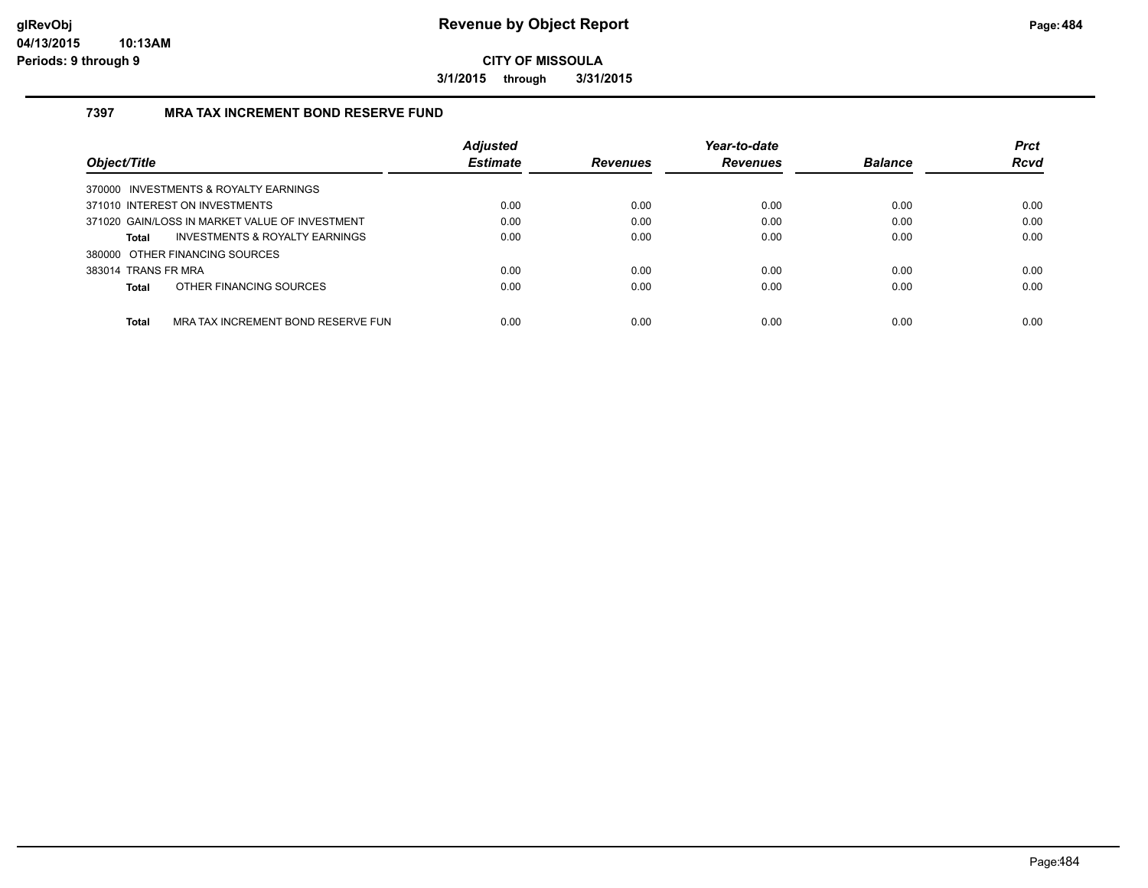**3/1/2015 through 3/31/2015**

## **7397 MRA TAX INCREMENT BOND RESERVE FUND**

| Object/Title        |                                                | <b>Adjusted</b><br><b>Estimate</b> | <b>Revenues</b> | Year-to-date<br><b>Revenues</b> | <b>Balance</b> | <b>Prct</b><br><b>Rcvd</b> |
|---------------------|------------------------------------------------|------------------------------------|-----------------|---------------------------------|----------------|----------------------------|
|                     | 370000 INVESTMENTS & ROYALTY EARNINGS          |                                    |                 |                                 |                |                            |
|                     | 371010 INTEREST ON INVESTMENTS                 | 0.00                               | 0.00            | 0.00                            | 0.00           | 0.00                       |
|                     | 371020 GAIN/LOSS IN MARKET VALUE OF INVESTMENT | 0.00                               | 0.00            | 0.00                            | 0.00           | 0.00                       |
| Total               | <b>INVESTMENTS &amp; ROYALTY EARNINGS</b>      | 0.00                               | 0.00            | 0.00                            | 0.00           | 0.00                       |
|                     | 380000 OTHER FINANCING SOURCES                 |                                    |                 |                                 |                |                            |
| 383014 TRANS FR MRA |                                                | 0.00                               | 0.00            | 0.00                            | 0.00           | 0.00                       |
| Total               | OTHER FINANCING SOURCES                        | 0.00                               | 0.00            | 0.00                            | 0.00           | 0.00                       |
| <b>Total</b>        | MRA TAX INCREMENT BOND RESERVE FUN             | 0.00                               | 0.00            | 0.00                            | 0.00           | 0.00                       |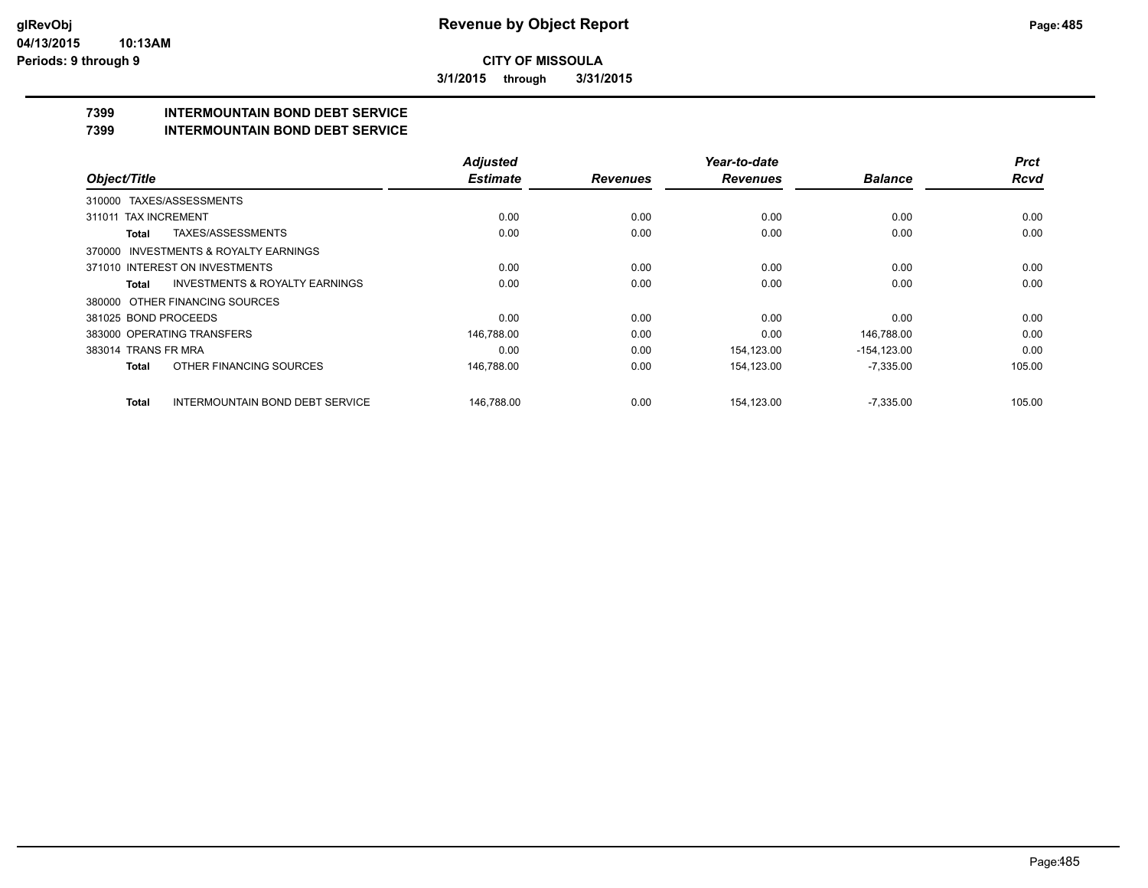**3/1/2015 through 3/31/2015**

# **7399 INTERMOUNTAIN BOND DEBT SERVICE**

**7399 INTERMOUNTAIN BOND DEBT SERVICE**

|                      |                                           | <b>Adjusted</b> |                 | Year-to-date    |                | <b>Prct</b> |
|----------------------|-------------------------------------------|-----------------|-----------------|-----------------|----------------|-------------|
| Object/Title         |                                           | <b>Estimate</b> | <b>Revenues</b> | <b>Revenues</b> | <b>Balance</b> | <b>Rcvd</b> |
|                      | 310000 TAXES/ASSESSMENTS                  |                 |                 |                 |                |             |
| 311011               | <b>TAX INCREMENT</b>                      | 0.00            | 0.00            | 0.00            | 0.00           | 0.00        |
| Total                | TAXES/ASSESSMENTS                         | 0.00            | 0.00            | 0.00            | 0.00           | 0.00        |
|                      | 370000 INVESTMENTS & ROYALTY EARNINGS     |                 |                 |                 |                |             |
|                      | 371010 INTEREST ON INVESTMENTS            | 0.00            | 0.00            | 0.00            | 0.00           | 0.00        |
| Total                | <b>INVESTMENTS &amp; ROYALTY EARNINGS</b> | 0.00            | 0.00            | 0.00            | 0.00           | 0.00        |
|                      | 380000 OTHER FINANCING SOURCES            |                 |                 |                 |                |             |
| 381025 BOND PROCEEDS |                                           | 0.00            | 0.00            | 0.00            | 0.00           | 0.00        |
|                      | 383000 OPERATING TRANSFERS                | 146,788.00      | 0.00            | 0.00            | 146,788.00     | 0.00        |
| 383014 TRANS FR MRA  |                                           | 0.00            | 0.00            | 154,123.00      | -154,123.00    | 0.00        |
| <b>Total</b>         | OTHER FINANCING SOURCES                   | 146,788.00      | 0.00            | 154,123.00      | $-7,335.00$    | 105.00      |
| Total                | <b>INTERMOUNTAIN BOND DEBT SERVICE</b>    | 146.788.00      | 0.00            | 154.123.00      | $-7,335.00$    | 105.00      |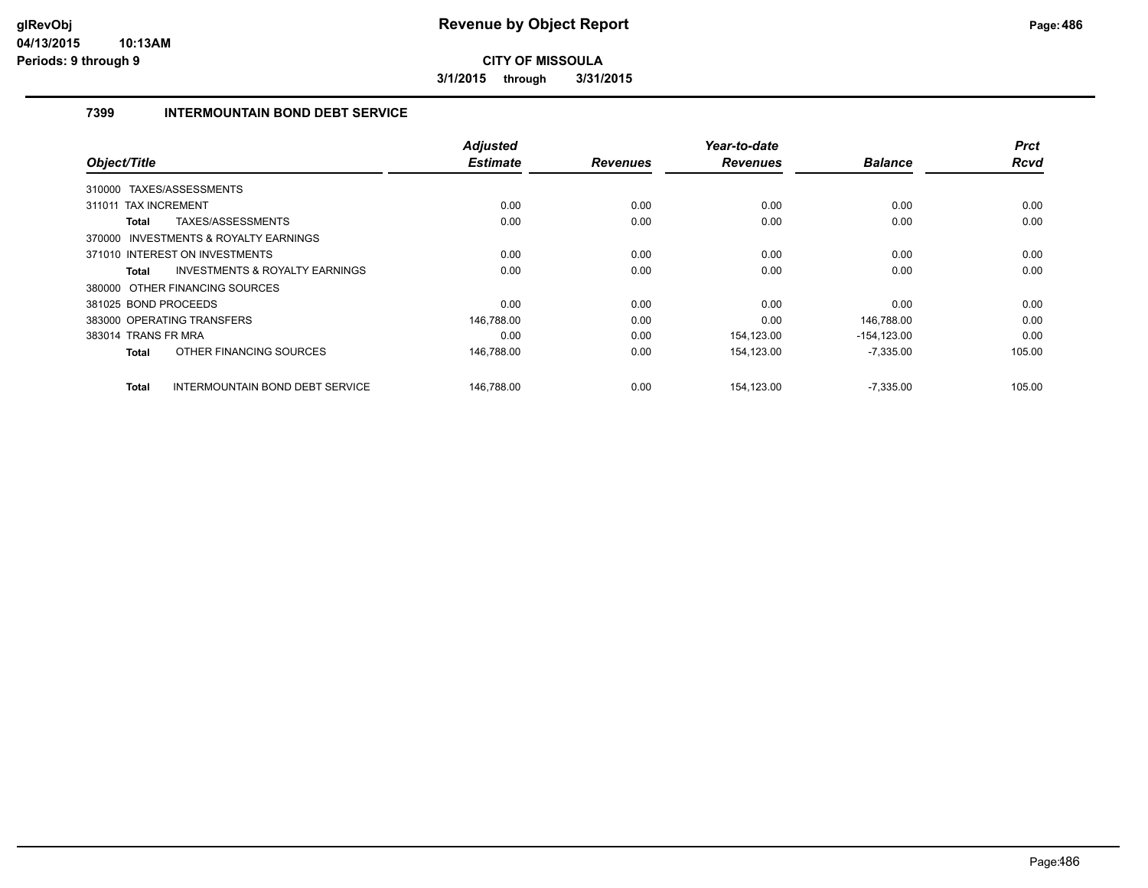**3/1/2015 through 3/31/2015**

# **7399 INTERMOUNTAIN BOND DEBT SERVICE**

| Object/Title                                              | <b>Adjusted</b><br><b>Estimate</b> | <b>Revenues</b> | Year-to-date<br><b>Revenues</b> | <b>Balance</b> | <b>Prct</b><br><b>Rcvd</b> |
|-----------------------------------------------------------|------------------------------------|-----------------|---------------------------------|----------------|----------------------------|
|                                                           |                                    |                 |                                 |                |                            |
| 310000 TAXES/ASSESSMENTS                                  |                                    |                 |                                 |                |                            |
| 311011 TAX INCREMENT                                      | 0.00                               | 0.00            | 0.00                            | 0.00           | 0.00                       |
| TAXES/ASSESSMENTS<br><b>Total</b>                         | 0.00                               | 0.00            | 0.00                            | 0.00           | 0.00                       |
| 370000 INVESTMENTS & ROYALTY EARNINGS                     |                                    |                 |                                 |                |                            |
| 371010 INTEREST ON INVESTMENTS                            | 0.00                               | 0.00            | 0.00                            | 0.00           | 0.00                       |
| <b>INVESTMENTS &amp; ROYALTY EARNINGS</b><br><b>Total</b> | 0.00                               | 0.00            | 0.00                            | 0.00           | 0.00                       |
| 380000 OTHER FINANCING SOURCES                            |                                    |                 |                                 |                |                            |
| 381025 BOND PROCEEDS                                      | 0.00                               | 0.00            | 0.00                            | 0.00           | 0.00                       |
| 383000 OPERATING TRANSFERS                                | 146,788.00                         | 0.00            | 0.00                            | 146,788.00     | 0.00                       |
| 383014 TRANS FR MRA                                       | 0.00                               | 0.00            | 154,123.00                      | $-154, 123.00$ | 0.00                       |
| OTHER FINANCING SOURCES<br><b>Total</b>                   | 146,788.00                         | 0.00            | 154,123.00                      | $-7,335.00$    | 105.00                     |
| INTERMOUNTAIN BOND DEBT SERVICE<br><b>Total</b>           | 146.788.00                         | 0.00            | 154.123.00                      | $-7,335.00$    | 105.00                     |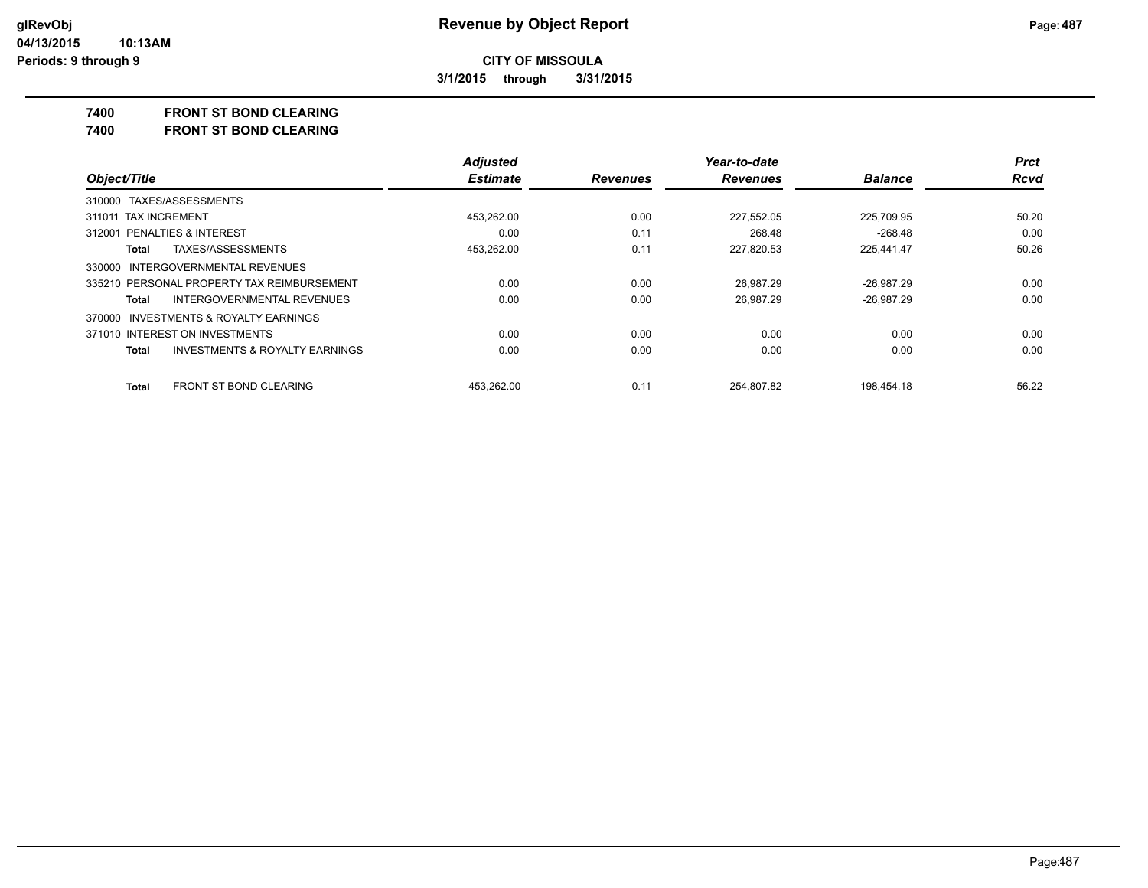**3/1/2015 through 3/31/2015**

## **7400 FRONT ST BOND CLEARING**

**7400 FRONT ST BOND CLEARING**

|                                                    | <b>Adjusted</b> |                 | Year-to-date    |                | <b>Prct</b> |
|----------------------------------------------------|-----------------|-----------------|-----------------|----------------|-------------|
| Object/Title                                       | <b>Estimate</b> | <b>Revenues</b> | <b>Revenues</b> | <b>Balance</b> | Rcvd        |
| 310000 TAXES/ASSESSMENTS                           |                 |                 |                 |                |             |
| 311011 TAX INCREMENT                               | 453,262.00      | 0.00            | 227.552.05      | 225.709.95     | 50.20       |
| 312001 PENALTIES & INTEREST                        | 0.00            | 0.11            | 268.48          | $-268.48$      | 0.00        |
| TAXES/ASSESSMENTS<br>Total                         | 453,262.00      | 0.11            | 227.820.53      | 225.441.47     | 50.26       |
| 330000 INTERGOVERNMENTAL REVENUES                  |                 |                 |                 |                |             |
| 335210 PERSONAL PROPERTY TAX REIMBURSEMENT         | 0.00            | 0.00            | 26.987.29       | $-26.987.29$   | 0.00        |
| INTERGOVERNMENTAL REVENUES<br>Total                | 0.00            | 0.00            | 26.987.29       | $-26.987.29$   | 0.00        |
| 370000 INVESTMENTS & ROYALTY EARNINGS              |                 |                 |                 |                |             |
| 371010 INTEREST ON INVESTMENTS                     | 0.00            | 0.00            | 0.00            | 0.00           | 0.00        |
| <b>INVESTMENTS &amp; ROYALTY EARNINGS</b><br>Total | 0.00            | 0.00            | 0.00            | 0.00           | 0.00        |
| FRONT ST BOND CLEARING<br>Total                    | 453,262.00      | 0.11            | 254.807.82      | 198.454.18     | 56.22       |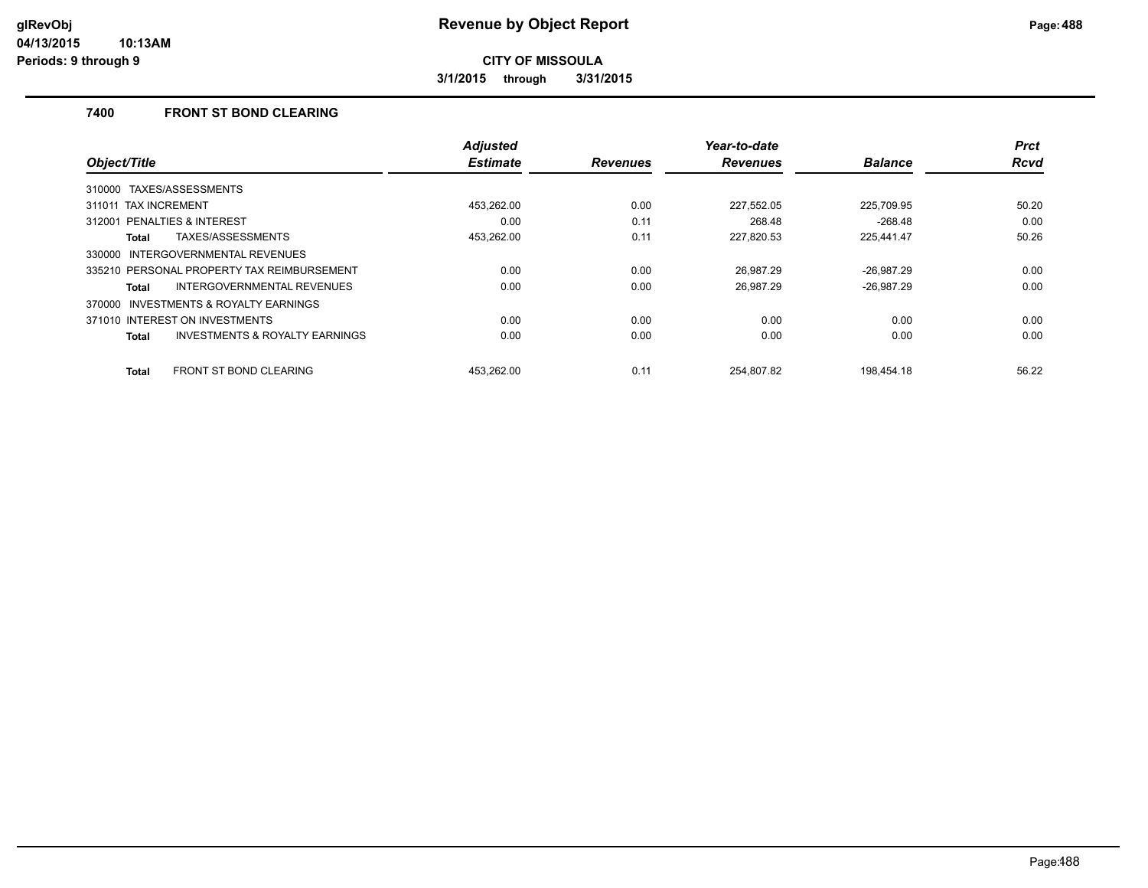**3/1/2015 through 3/31/2015**

# **7400 FRONT ST BOND CLEARING**

| Object/Title                                  | <b>Adjusted</b><br><b>Estimate</b> | <b>Revenues</b> | Year-to-date<br><b>Revenues</b> | <b>Balance</b> | <b>Prct</b><br><b>Rcvd</b> |
|-----------------------------------------------|------------------------------------|-----------------|---------------------------------|----------------|----------------------------|
| TAXES/ASSESSMENTS<br>310000                   |                                    |                 |                                 |                |                            |
| <b>TAX INCREMENT</b><br>311011                | 453,262.00                         | 0.00            | 227,552.05                      | 225.709.95     | 50.20                      |
| PENALTIES & INTEREST<br>312001                | 0.00                               | 0.11            | 268.48                          | $-268.48$      | 0.00                       |
| <b>TAXES/ASSESSMENTS</b><br><b>Total</b>      | 453,262.00                         | 0.11            | 227,820.53                      | 225.441.47     | 50.26                      |
| 330000 INTERGOVERNMENTAL REVENUES             |                                    |                 |                                 |                |                            |
| 335210 PERSONAL PROPERTY TAX REIMBURSEMENT    | 0.00                               | 0.00            | 26,987.29                       | $-26,987.29$   | 0.00                       |
| INTERGOVERNMENTAL REVENUES<br>Total           | 0.00                               | 0.00            | 26.987.29                       | $-26.987.29$   | 0.00                       |
| 370000 INVESTMENTS & ROYALTY EARNINGS         |                                    |                 |                                 |                |                            |
| 371010 INTEREST ON INVESTMENTS                | 0.00                               | 0.00            | 0.00                            | 0.00           | 0.00                       |
| INVESTMENTS & ROYALTY EARNINGS<br>Total       | 0.00                               | 0.00            | 0.00                            | 0.00           | 0.00                       |
| <b>FRONT ST BOND CLEARING</b><br><b>Total</b> | 453.262.00                         | 0.11            | 254.807.82                      | 198.454.18     | 56.22                      |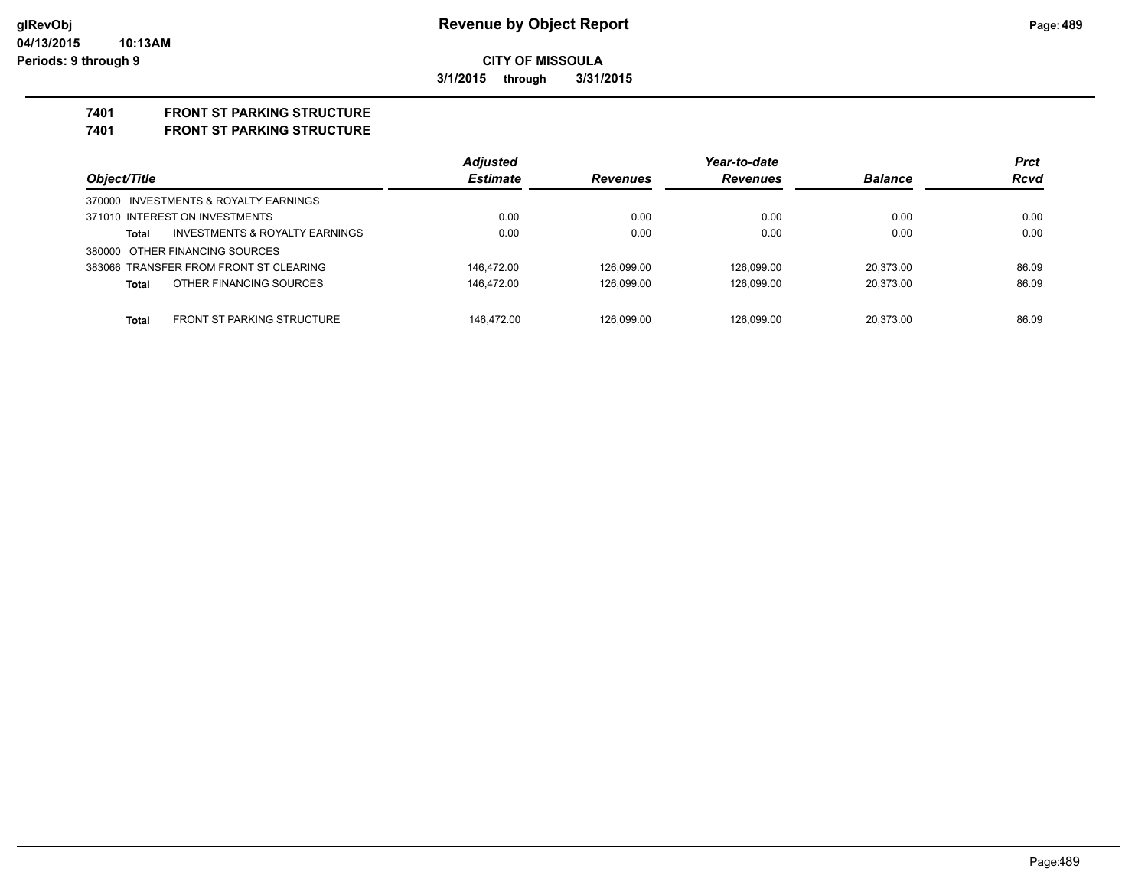**3/1/2015 through 3/31/2015**

# **7401 FRONT ST PARKING STRUCTURE**

**7401 FRONT ST PARKING STRUCTURE**

|                                            | <b>Adjusted</b> |                 | Year-to-date    |                | <b>Prct</b> |
|--------------------------------------------|-----------------|-----------------|-----------------|----------------|-------------|
| Object/Title                               | <b>Estimate</b> | <b>Revenues</b> | <b>Revenues</b> | <b>Balance</b> | <b>Rcvd</b> |
| 370000 INVESTMENTS & ROYALTY EARNINGS      |                 |                 |                 |                |             |
| 371010 INTEREST ON INVESTMENTS             | 0.00            | 0.00            | 0.00            | 0.00           | 0.00        |
| INVESTMENTS & ROYALTY EARNINGS<br>Total    | 0.00            | 0.00            | 0.00            | 0.00           | 0.00        |
| 380000 OTHER FINANCING SOURCES             |                 |                 |                 |                |             |
| 383066 TRANSFER FROM FRONT ST CLEARING     | 146.472.00      | 126.099.00      | 126.099.00      | 20.373.00      | 86.09       |
| OTHER FINANCING SOURCES<br>Total           | 146.472.00      | 126.099.00      | 126.099.00      | 20.373.00      | 86.09       |
|                                            |                 |                 |                 |                |             |
| <b>FRONT ST PARKING STRUCTURE</b><br>Total | 146.472.00      | 126.099.00      | 126.099.00      | 20.373.00      | 86.09       |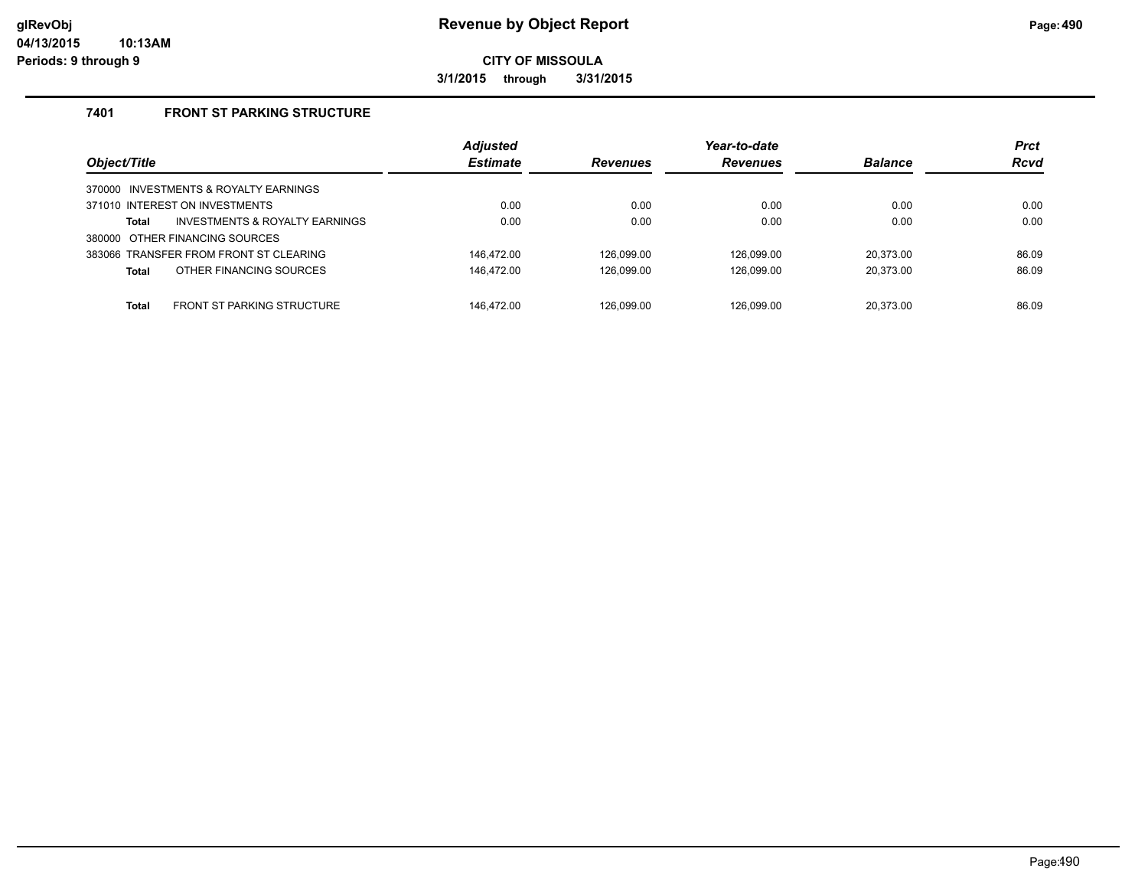**3/1/2015 through 3/31/2015**

# **7401 FRONT ST PARKING STRUCTURE**

| Object/Title                                       | <b>Adjusted</b><br><b>Estimate</b> | <b>Revenues</b> | Year-to-date<br><b>Revenues</b> | <b>Balance</b> | <b>Prct</b><br><b>Rcvd</b> |
|----------------------------------------------------|------------------------------------|-----------------|---------------------------------|----------------|----------------------------|
| 370000 INVESTMENTS & ROYALTY EARNINGS              |                                    |                 |                                 |                |                            |
| 371010 INTEREST ON INVESTMENTS                     | 0.00                               | 0.00            | 0.00                            | 0.00           | 0.00                       |
| <b>INVESTMENTS &amp; ROYALTY EARNINGS</b><br>Total | 0.00                               | 0.00            | 0.00                            | 0.00           | 0.00                       |
| 380000 OTHER FINANCING SOURCES                     |                                    |                 |                                 |                |                            |
| 383066 TRANSFER FROM FRONT ST CLEARING             | 146.472.00                         | 126.099.00      | 126.099.00                      | 20.373.00      | 86.09                      |
| OTHER FINANCING SOURCES<br><b>Total</b>            | 146,472.00                         | 126,099.00      | 126,099.00                      | 20,373.00      | 86.09                      |
|                                                    |                                    |                 |                                 |                |                            |
| <b>FRONT ST PARKING STRUCTURE</b><br><b>Total</b>  | 146.472.00                         | 126.099.00      | 126.099.00                      | 20.373.00      | 86.09                      |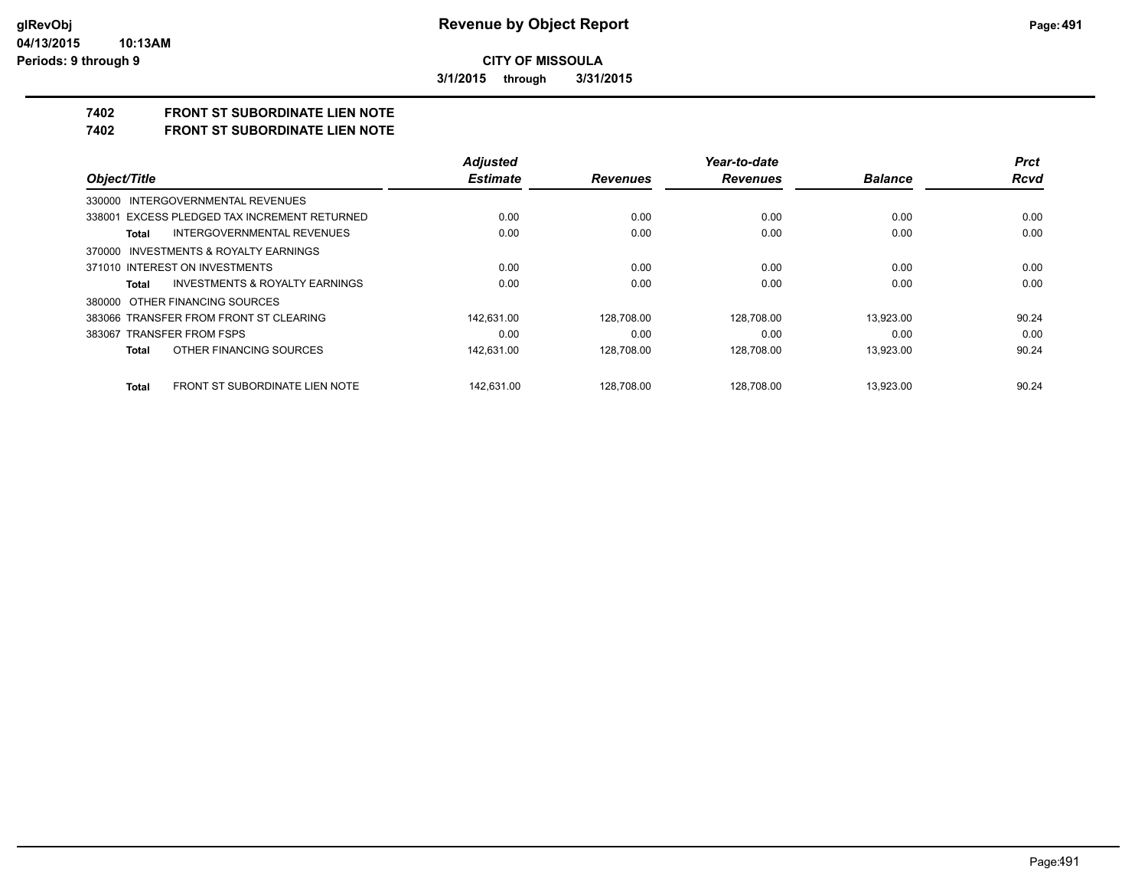**3/1/2015 through 3/31/2015**

# **7402 FRONT ST SUBORDINATE LIEN NOTE**

**7402 FRONT ST SUBORDINATE LIEN NOTE**

|                                                       | <b>Adjusted</b> |                 | Year-to-date    |                | <b>Prct</b> |
|-------------------------------------------------------|-----------------|-----------------|-----------------|----------------|-------------|
| Object/Title                                          | <b>Estimate</b> | <b>Revenues</b> | <b>Revenues</b> | <b>Balance</b> | Rcvd        |
| 330000 INTERGOVERNMENTAL REVENUES                     |                 |                 |                 |                |             |
| 338001 EXCESS PLEDGED TAX INCREMENT RETURNED          | 0.00            | 0.00            | 0.00            | 0.00           | 0.00        |
| INTERGOVERNMENTAL REVENUES<br>Total                   | 0.00            | 0.00            | 0.00            | 0.00           | 0.00        |
| 370000 INVESTMENTS & ROYALTY EARNINGS                 |                 |                 |                 |                |             |
| 371010 INTEREST ON INVESTMENTS                        | 0.00            | 0.00            | 0.00            | 0.00           | 0.00        |
| INVESTMENTS & ROYALTY EARNINGS<br>Total               | 0.00            | 0.00            | 0.00            | 0.00           | 0.00        |
| 380000 OTHER FINANCING SOURCES                        |                 |                 |                 |                |             |
| 383066 TRANSFER FROM FRONT ST CLEARING                | 142.631.00      | 128.708.00      | 128.708.00      | 13.923.00      | 90.24       |
| 383067 TRANSFER FROM FSPS                             | 0.00            | 0.00            | 0.00            | 0.00           | 0.00        |
| OTHER FINANCING SOURCES<br>Total                      | 142,631.00      | 128,708.00      | 128,708.00      | 13,923.00      | 90.24       |
| <b>FRONT ST SUBORDINATE LIEN NOTE</b><br><b>Total</b> | 142.631.00      | 128.708.00      | 128.708.00      | 13,923.00      | 90.24       |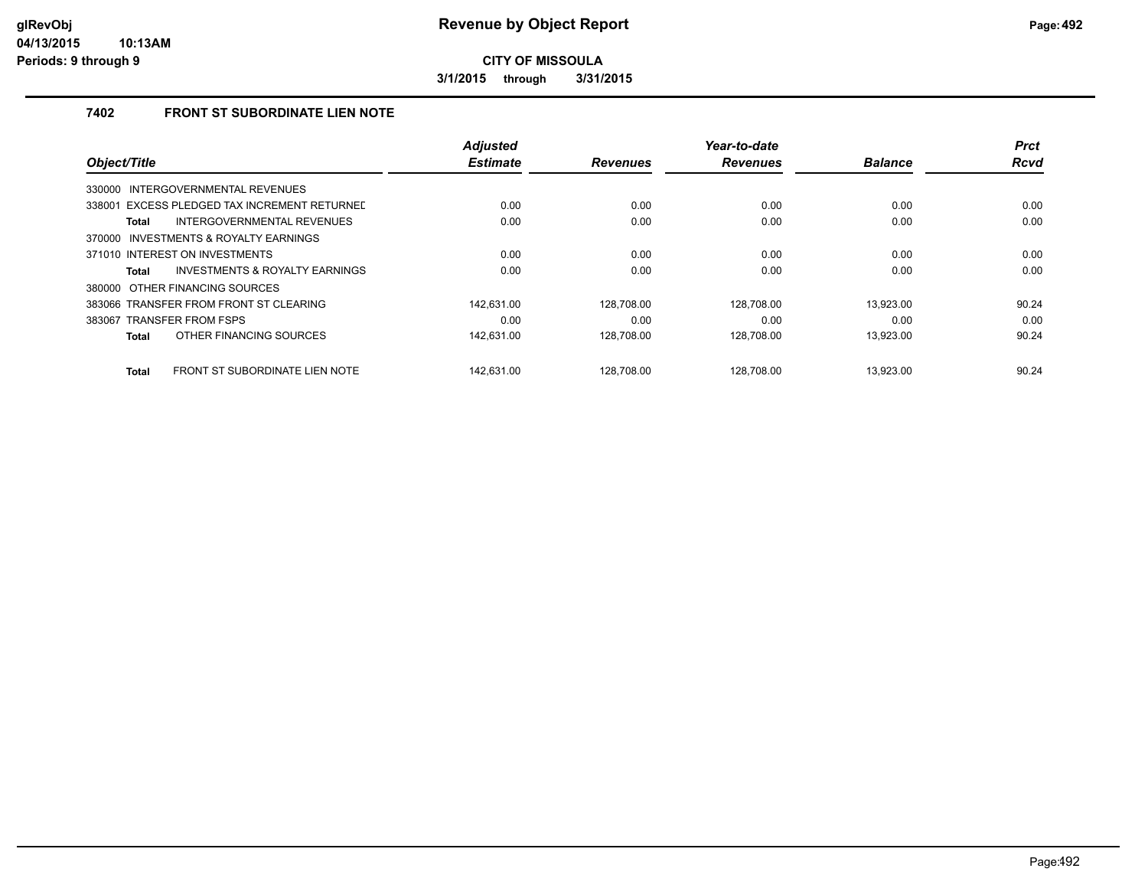**3/1/2015 through 3/31/2015**

# **7402 FRONT ST SUBORDINATE LIEN NOTE**

|                                                        | <b>Adjusted</b> |                 | Year-to-date    |                | <b>Prct</b> |
|--------------------------------------------------------|-----------------|-----------------|-----------------|----------------|-------------|
| Object/Title                                           | <b>Estimate</b> | <b>Revenues</b> | <b>Revenues</b> | <b>Balance</b> | <b>Rcvd</b> |
| INTERGOVERNMENTAL REVENUES<br>330000                   |                 |                 |                 |                |             |
| <b>EXCESS PLEDGED TAX INCREMENT RETURNED</b><br>338001 | 0.00            | 0.00            | 0.00            | 0.00           | 0.00        |
| INTERGOVERNMENTAL REVENUES<br>Total                    | 0.00            | 0.00            | 0.00            | 0.00           | 0.00        |
| 370000 INVESTMENTS & ROYALTY EARNINGS                  |                 |                 |                 |                |             |
| 371010 INTEREST ON INVESTMENTS                         | 0.00            | 0.00            | 0.00            | 0.00           | 0.00        |
| INVESTMENTS & ROYALTY EARNINGS<br>Total                | 0.00            | 0.00            | 0.00            | 0.00           | 0.00        |
| 380000 OTHER FINANCING SOURCES                         |                 |                 |                 |                |             |
| 383066 TRANSFER FROM FRONT ST CLEARING                 | 142.631.00      | 128.708.00      | 128.708.00      | 13.923.00      | 90.24       |
| 383067 TRANSFER FROM FSPS                              | 0.00            | 0.00            | 0.00            | 0.00           | 0.00        |
| OTHER FINANCING SOURCES<br>Total                       | 142,631.00      | 128.708.00      | 128.708.00      | 13.923.00      | 90.24       |
| FRONT ST SUBORDINATE LIEN NOTE<br><b>Total</b>         | 142.631.00      | 128.708.00      | 128.708.00      | 13.923.00      | 90.24       |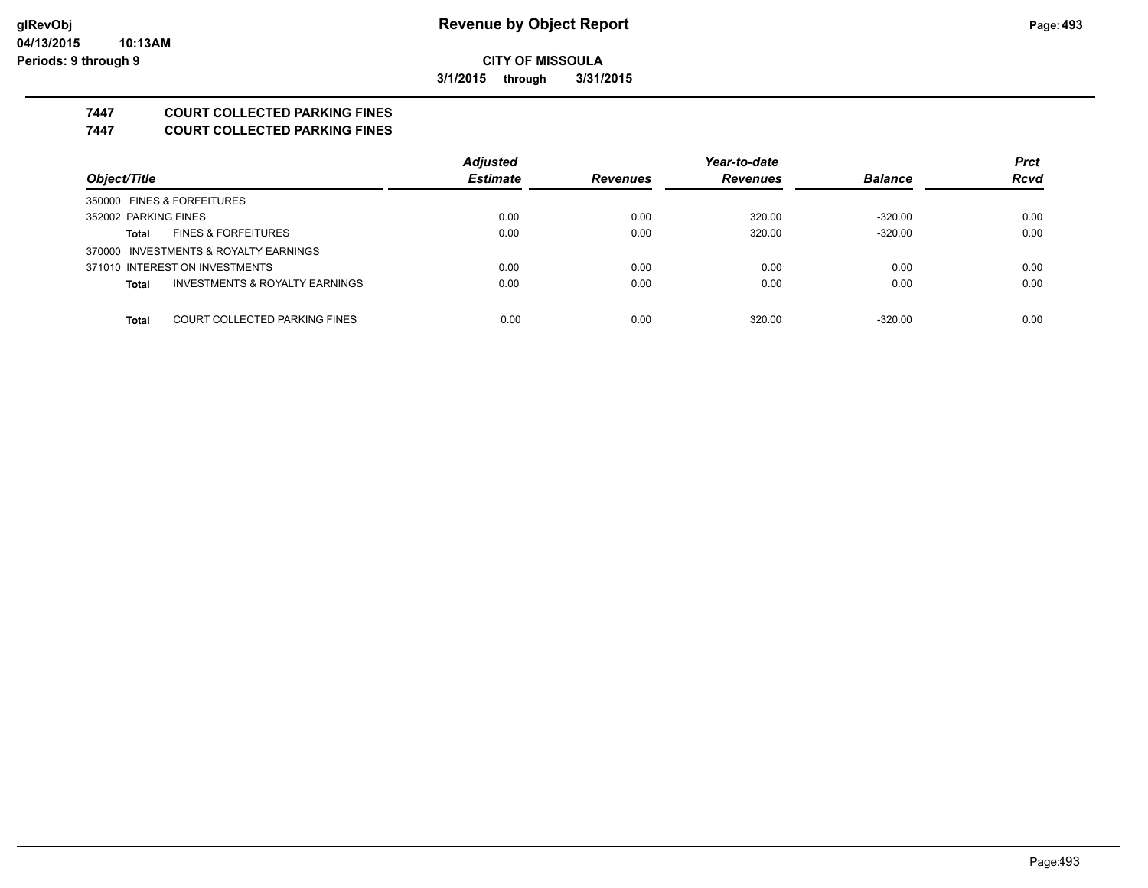**3/1/2015 through 3/31/2015**

# **7447 COURT COLLECTED PARKING FINES**

**7447 COURT COLLECTED PARKING FINES**

|                                         | <b>Adjusted</b> |                 | Year-to-date    |                | <b>Prct</b> |
|-----------------------------------------|-----------------|-----------------|-----------------|----------------|-------------|
| Object/Title                            | <b>Estimate</b> | <b>Revenues</b> | <b>Revenues</b> | <b>Balance</b> | <b>Rcvd</b> |
| 350000 FINES & FORFEITURES              |                 |                 |                 |                |             |
| 352002 PARKING FINES                    | 0.00            | 0.00            | 320.00          | $-320.00$      | 0.00        |
| <b>FINES &amp; FORFEITURES</b><br>Total | 0.00            | 0.00            | 320.00          | $-320.00$      | 0.00        |
| 370000 INVESTMENTS & ROYALTY EARNINGS   |                 |                 |                 |                |             |
| 371010 INTEREST ON INVESTMENTS          | 0.00            | 0.00            | 0.00            | 0.00           | 0.00        |
| INVESTMENTS & ROYALTY EARNINGS<br>Total | 0.00            | 0.00            | 0.00            | 0.00           | 0.00        |
|                                         |                 |                 |                 |                |             |
| COURT COLLECTED PARKING FINES<br>Total  | 0.00            | 0.00            | 320.00          | $-320.00$      | 0.00        |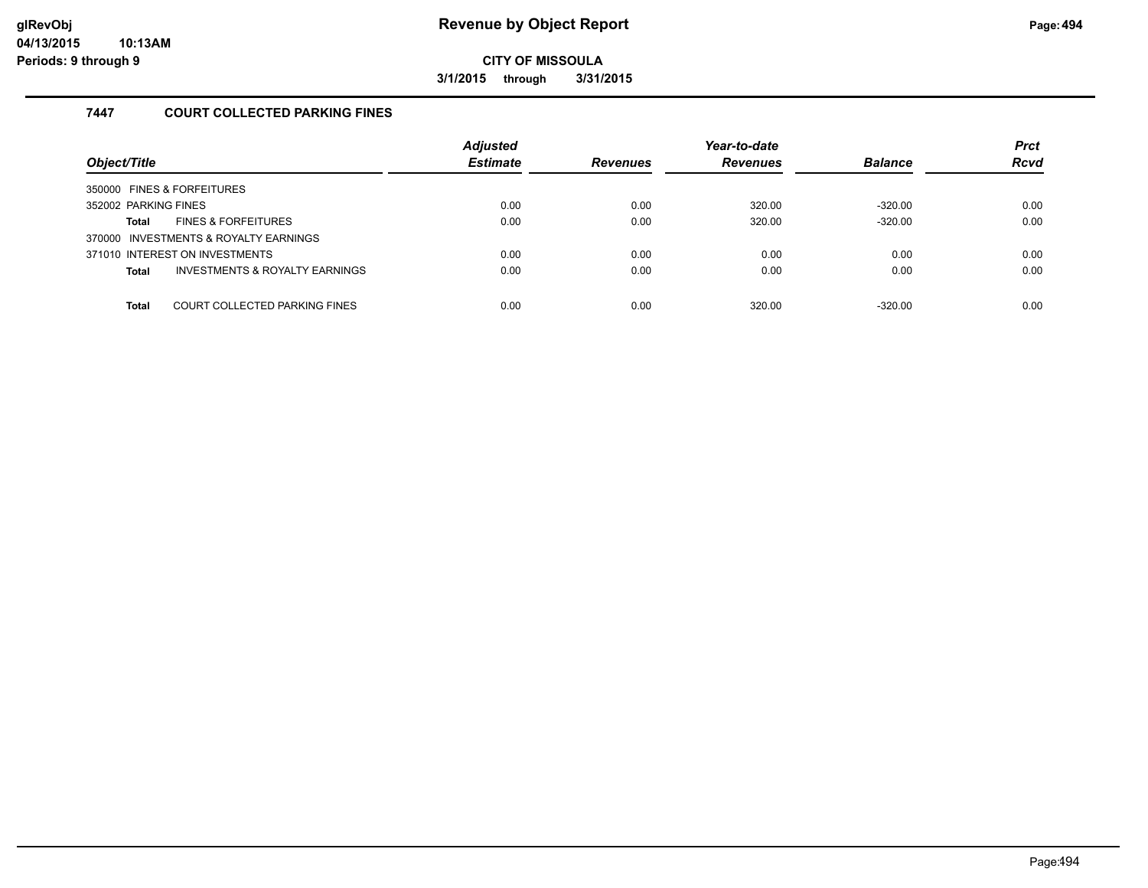**3/1/2015 through 3/31/2015**

# **7447 COURT COLLECTED PARKING FINES**

| Object/Title                                              | <b>Adjusted</b><br><b>Estimate</b> | <b>Revenues</b> | Year-to-date<br><b>Revenues</b> | <b>Balance</b> | <b>Prct</b><br><b>Rcvd</b> |
|-----------------------------------------------------------|------------------------------------|-----------------|---------------------------------|----------------|----------------------------|
| 350000 FINES & FORFEITURES                                |                                    |                 |                                 |                |                            |
| 352002 PARKING FINES                                      | 0.00                               | 0.00            | 320.00                          | $-320.00$      | 0.00                       |
| <b>FINES &amp; FORFEITURES</b><br>Total                   | 0.00                               | 0.00            | 320.00                          | $-320.00$      | 0.00                       |
| 370000 INVESTMENTS & ROYALTY EARNINGS                     |                                    |                 |                                 |                |                            |
| 371010 INTEREST ON INVESTMENTS                            | 0.00                               | 0.00            | 0.00                            | 0.00           | 0.00                       |
| <b>INVESTMENTS &amp; ROYALTY EARNINGS</b><br><b>Total</b> | 0.00                               | 0.00            | 0.00                            | 0.00           | 0.00                       |
|                                                           |                                    |                 |                                 |                |                            |
| COURT COLLECTED PARKING FINES<br><b>Total</b>             | 0.00                               | 0.00            | 320.00                          | $-320.00$      | 0.00                       |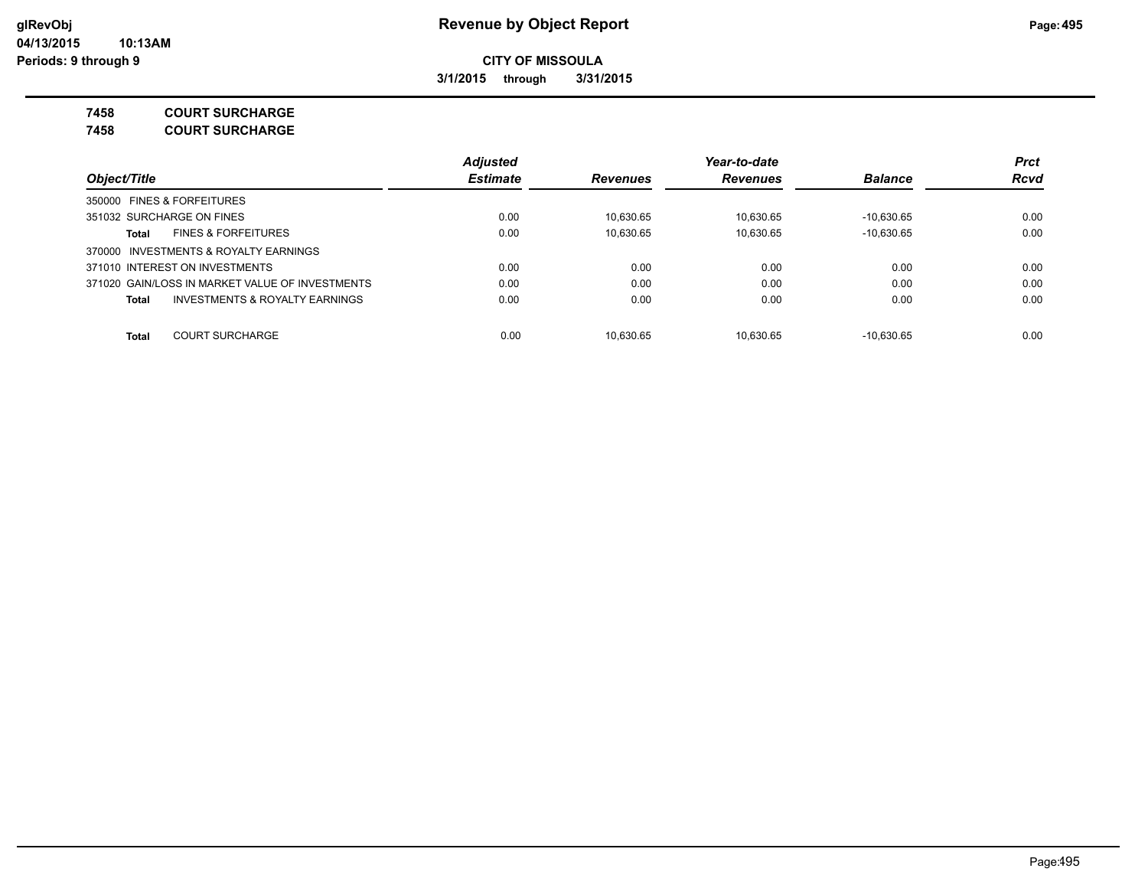**3/1/2015 through 3/31/2015**

**7458 COURT SURCHARGE**

**7458 COURT SURCHARGE**

|                                                 | <b>Adjusted</b> |                 | Year-to-date    |                | <b>Prct</b> |
|-------------------------------------------------|-----------------|-----------------|-----------------|----------------|-------------|
| Object/Title                                    | <b>Estimate</b> | <b>Revenues</b> | <b>Revenues</b> | <b>Balance</b> | <b>Rcvd</b> |
| 350000 FINES & FORFEITURES                      |                 |                 |                 |                |             |
| 351032 SURCHARGE ON FINES                       | 0.00            | 10.630.65       | 10.630.65       | $-10.630.65$   | 0.00        |
| <b>FINES &amp; FORFEITURES</b><br>Total         | 0.00            | 10.630.65       | 10.630.65       | $-10.630.65$   | 0.00        |
| 370000 INVESTMENTS & ROYALTY EARNINGS           |                 |                 |                 |                |             |
| 371010 INTEREST ON INVESTMENTS                  | 0.00            | 0.00            | 0.00            | 0.00           | 0.00        |
| 371020 GAIN/LOSS IN MARKET VALUE OF INVESTMENTS | 0.00            | 0.00            | 0.00            | 0.00           | 0.00        |
| INVESTMENTS & ROYALTY EARNINGS<br>Total         | 0.00            | 0.00            | 0.00            | 0.00           | 0.00        |
| <b>COURT SURCHARGE</b><br><b>Total</b>          | 0.00            | 10.630.65       | 10.630.65       | $-10.630.65$   | 0.00        |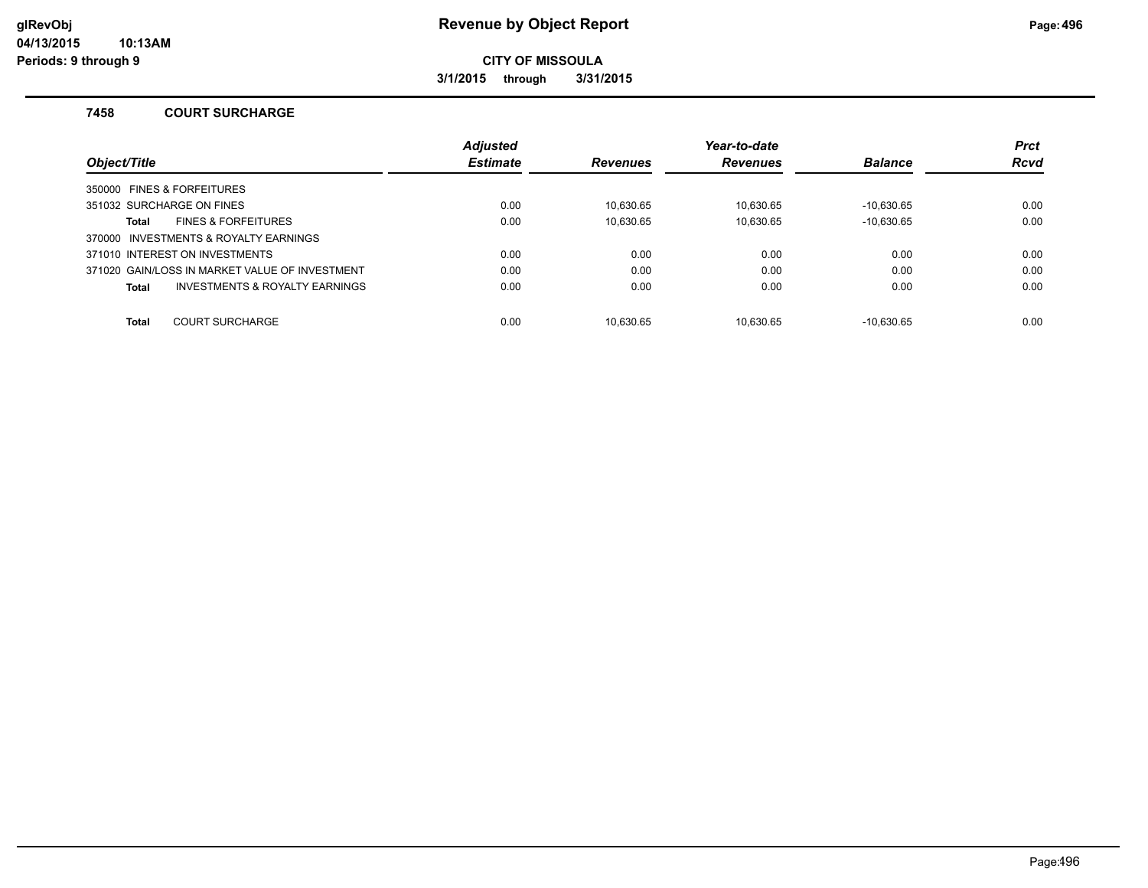**3/1/2015 through 3/31/2015**

#### **7458 COURT SURCHARGE**

|                                                | <b>Adjusted</b> |                 | Year-to-date    |                | <b>Prct</b> |
|------------------------------------------------|-----------------|-----------------|-----------------|----------------|-------------|
| Object/Title                                   | <b>Estimate</b> | <b>Revenues</b> | <b>Revenues</b> | <b>Balance</b> | <b>Rcvd</b> |
| 350000 FINES & FORFEITURES                     |                 |                 |                 |                |             |
| 351032 SURCHARGE ON FINES                      | 0.00            | 10.630.65       | 10.630.65       | $-10.630.65$   | 0.00        |
| <b>FINES &amp; FORFEITURES</b><br>Total        | 0.00            | 10,630.65       | 10,630.65       | $-10,630.65$   | 0.00        |
| 370000 INVESTMENTS & ROYALTY EARNINGS          |                 |                 |                 |                |             |
| 371010 INTEREST ON INVESTMENTS                 | 0.00            | 0.00            | 0.00            | 0.00           | 0.00        |
| 371020 GAIN/LOSS IN MARKET VALUE OF INVESTMENT | 0.00            | 0.00            | 0.00            | 0.00           | 0.00        |
| INVESTMENTS & ROYALTY EARNINGS<br>Total        | 0.00            | 0.00            | 0.00            | 0.00           | 0.00        |
|                                                |                 |                 |                 |                |             |
| <b>Total</b><br><b>COURT SURCHARGE</b>         | 0.00            | 10.630.65       | 10.630.65       | $-10.630.65$   | 0.00        |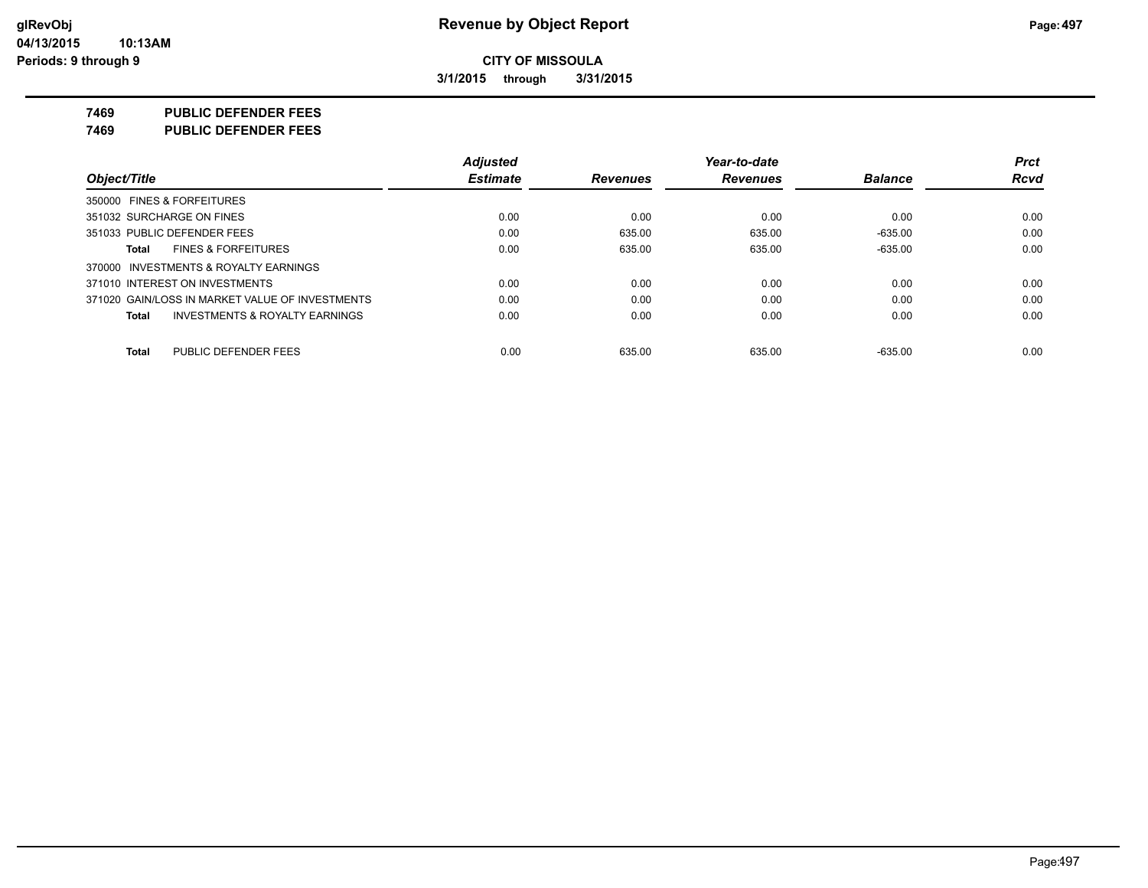**3/1/2015 through 3/31/2015**

**7469 PUBLIC DEFENDER FEES**

**7469 PUBLIC DEFENDER FEES**

|                                                    | <b>Adjusted</b> |                 | Year-to-date    |                | <b>Prct</b> |
|----------------------------------------------------|-----------------|-----------------|-----------------|----------------|-------------|
| Object/Title                                       | <b>Estimate</b> | <b>Revenues</b> | <b>Revenues</b> | <b>Balance</b> | <b>Rcvd</b> |
| 350000 FINES & FORFEITURES                         |                 |                 |                 |                |             |
| 351032 SURCHARGE ON FINES                          | 0.00            | 0.00            | 0.00            | 0.00           | 0.00        |
| 351033 PUBLIC DEFENDER FEES                        | 0.00            | 635.00          | 635.00          | $-635.00$      | 0.00        |
| <b>FINES &amp; FORFEITURES</b><br>Total            | 0.00            | 635.00          | 635.00          | $-635.00$      | 0.00        |
| 370000 INVESTMENTS & ROYALTY EARNINGS              |                 |                 |                 |                |             |
| 371010 INTEREST ON INVESTMENTS                     | 0.00            | 0.00            | 0.00            | 0.00           | 0.00        |
| 371020 GAIN/LOSS IN MARKET VALUE OF INVESTMENTS    | 0.00            | 0.00            | 0.00            | 0.00           | 0.00        |
| <b>INVESTMENTS &amp; ROYALTY EARNINGS</b><br>Total | 0.00            | 0.00            | 0.00            | 0.00           | 0.00        |
| PUBLIC DEFENDER FEES<br><b>Total</b>               | 0.00            | 635.00          | 635.00          | $-635.00$      | 0.00        |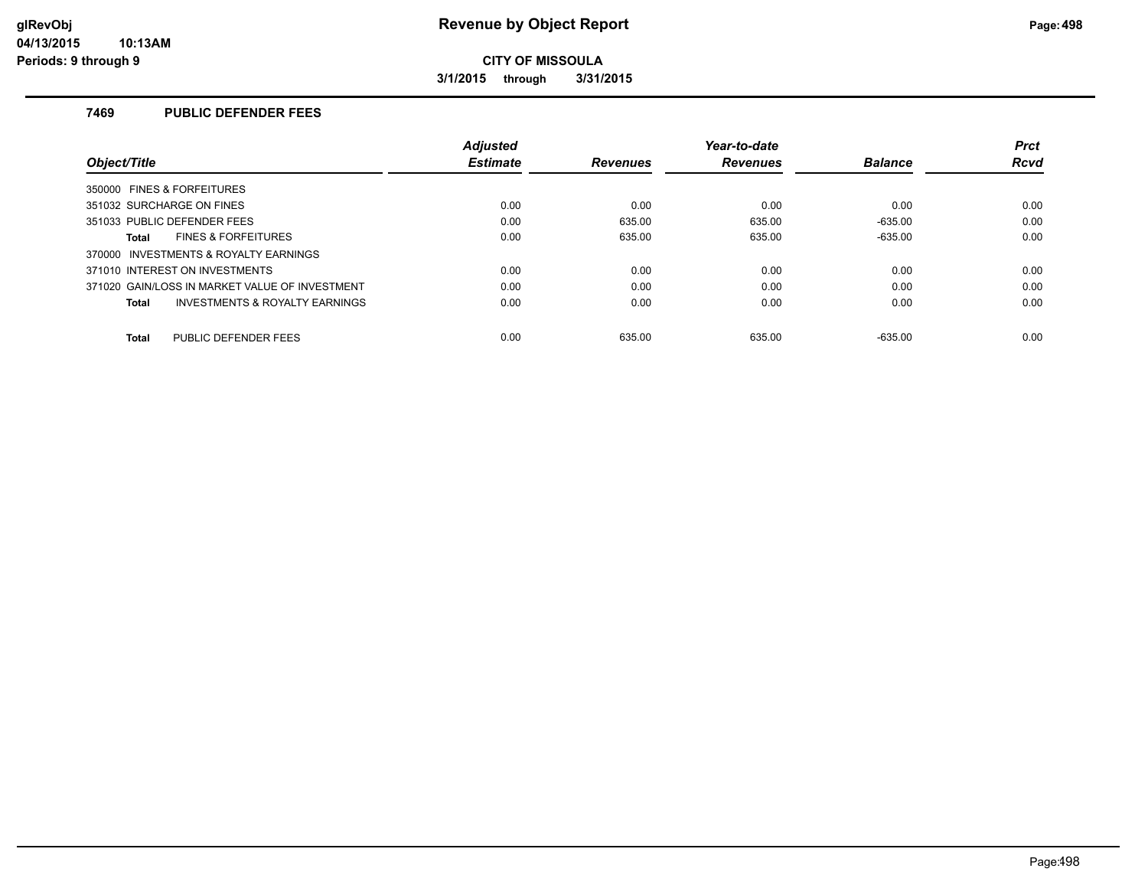**3/1/2015 through 3/31/2015**

## **7469 PUBLIC DEFENDER FEES**

|                                                | <b>Adiusted</b> |                 | Year-to-date    |                | <b>Prct</b> |
|------------------------------------------------|-----------------|-----------------|-----------------|----------------|-------------|
| Obiect/Title                                   | <b>Estimate</b> | <b>Revenues</b> | <b>Revenues</b> | <b>Balance</b> | Rcvd        |
| 350000 FINES & FORFEITURES                     |                 |                 |                 |                |             |
| 351032 SURCHARGE ON FINES                      | 0.00            | 0.00            | 0.00            | 0.00           | 0.00        |
| 351033 PUBLIC DEFENDER FEES                    | 0.00            | 635.00          | 635.00          | $-635.00$      | 0.00        |
| <b>FINES &amp; FORFEITURES</b><br>Total        | 0.00            | 635.00          | 635.00          | $-635.00$      | 0.00        |
| 370000 INVESTMENTS & ROYALTY EARNINGS          |                 |                 |                 |                |             |
| 371010 INTEREST ON INVESTMENTS                 | 0.00            | 0.00            | 0.00            | 0.00           | 0.00        |
| 371020 GAIN/LOSS IN MARKET VALUE OF INVESTMENT | 0.00            | 0.00            | 0.00            | 0.00           | 0.00        |
| INVESTMENTS & ROYALTY EARNINGS<br>Total        | 0.00            | 0.00            | 0.00            | 0.00           | 0.00        |
| PUBLIC DEFENDER FEES<br><b>Total</b>           | 0.00            | 635.00          | 635.00          | $-635.00$      | 0.00        |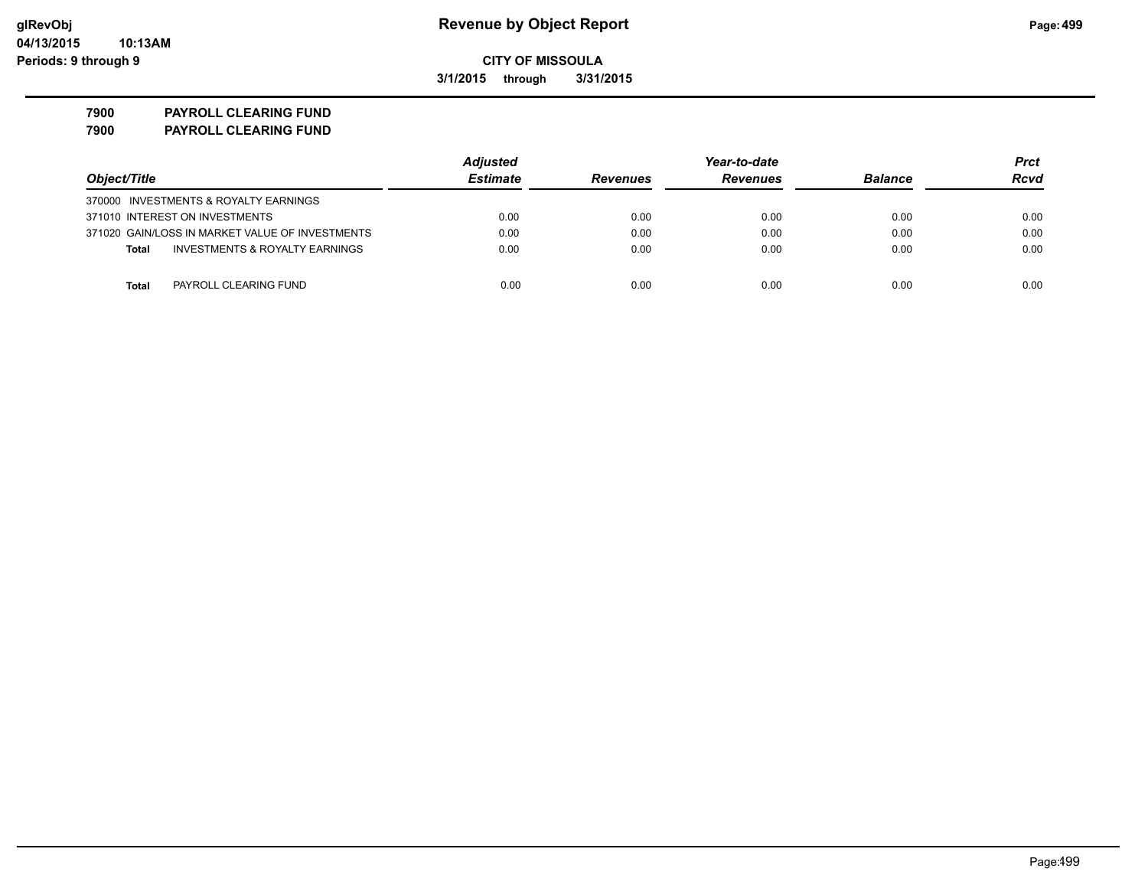**3/1/2015 through 3/31/2015**

**7900 PAYROLL CLEARING FUND 7900 PAYROLL CLEARING FUND**

|                                                    | <b>Adjusted</b> |                 | Year-to-date    |                | Prct |
|----------------------------------------------------|-----------------|-----------------|-----------------|----------------|------|
| Object/Title                                       | <b>Estimate</b> | <b>Revenues</b> | <b>Revenues</b> | <b>Balance</b> | Rcvd |
| 370000 INVESTMENTS & ROYALTY EARNINGS              |                 |                 |                 |                |      |
| 371010 INTEREST ON INVESTMENTS                     | 0.00            | 0.00            | 0.00            | 0.00           | 0.00 |
| 371020 GAIN/LOSS IN MARKET VALUE OF INVESTMENTS    | 0.00            | 0.00            | 0.00            | 0.00           | 0.00 |
| <b>INVESTMENTS &amp; ROYALTY EARNINGS</b><br>Total | 0.00            | 0.00            | 0.00            | 0.00           | 0.00 |
| Total<br>PAYROLL CLEARING FUND                     | 0.00            | 0.00            | 0.00            | 0.00           | 0.00 |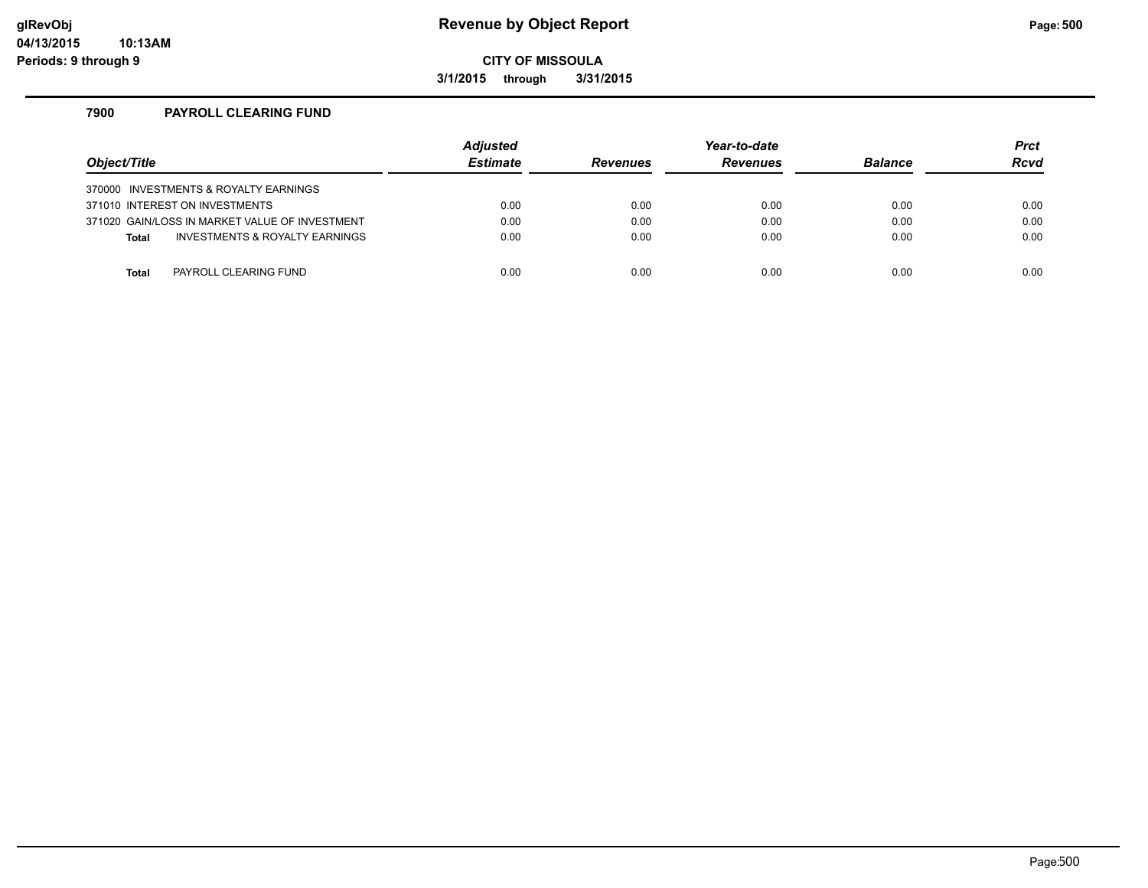# **glRevObj Revenue by Object Report Page:500**

**CITY OF MISSOULA**

**3/1/2015 through 3/31/2015**

## **7900 PAYROLL CLEARING FUND**

| Object/Title                                   | <b>Adjusted</b><br><b>Estimate</b> | <b>Revenues</b> | Year-to-date<br><b>Revenues</b> | <b>Balance</b> | <b>Prct</b><br><b>Rcvd</b> |
|------------------------------------------------|------------------------------------|-----------------|---------------------------------|----------------|----------------------------|
| 370000 INVESTMENTS & ROYALTY EARNINGS          |                                    |                 |                                 |                |                            |
| 371010 INTEREST ON INVESTMENTS                 | 0.00                               | 0.00            | 0.00                            | 0.00           | 0.00                       |
| 371020 GAIN/LOSS IN MARKET VALUE OF INVESTMENT | 0.00                               | 0.00            | 0.00                            | 0.00           | 0.00                       |
| INVESTMENTS & ROYALTY EARNINGS<br><b>Total</b> | 0.00                               | 0.00            | 0.00                            | 0.00           | 0.00                       |
|                                                |                                    |                 |                                 |                |                            |
| PAYROLL CLEARING FUND<br>Total                 | 0.00                               | 0.00            | 0.00                            | 0.00           | 0.00                       |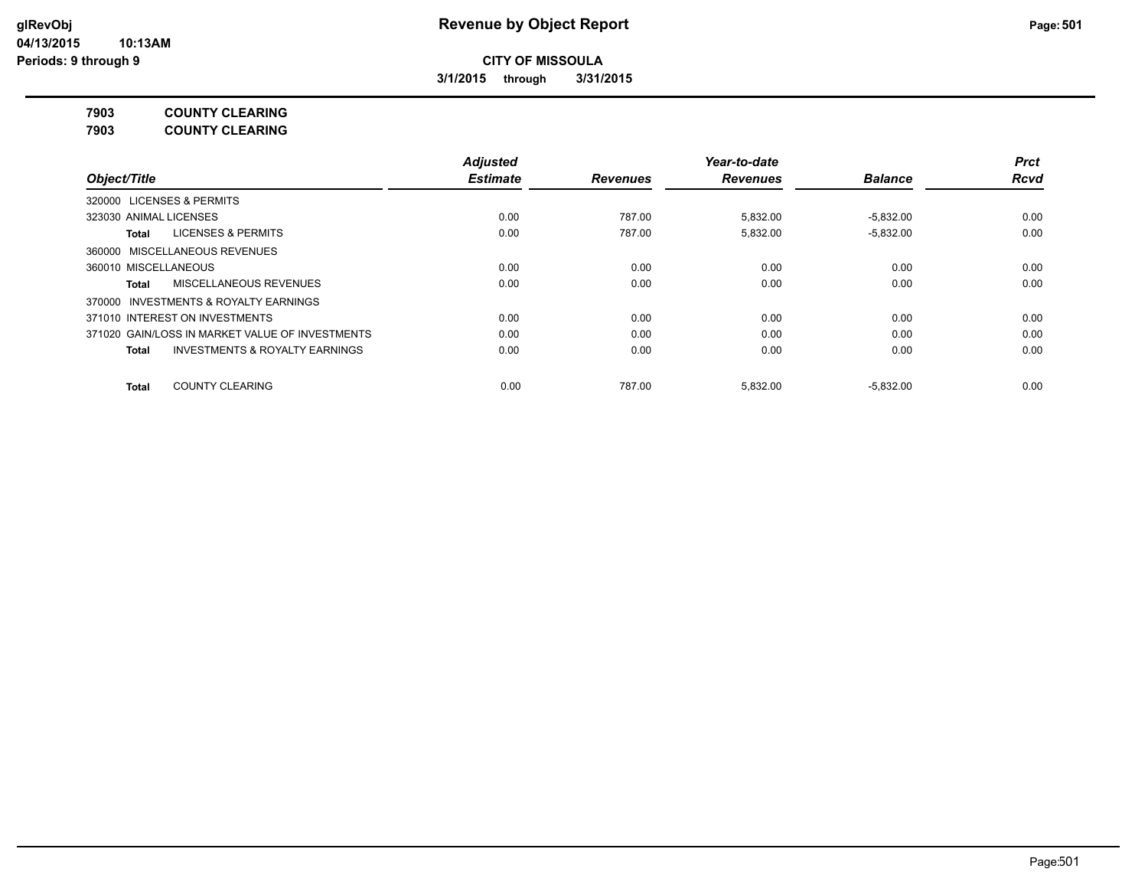**3/1/2015 through 3/31/2015**

**7903 COUNTY CLEARING**

**7903 COUNTY CLEARING**

|                                                    | <b>Adjusted</b> |                 | Year-to-date    |                | <b>Prct</b> |
|----------------------------------------------------|-----------------|-----------------|-----------------|----------------|-------------|
| Object/Title                                       | <b>Estimate</b> | <b>Revenues</b> | <b>Revenues</b> | <b>Balance</b> | <b>Rcvd</b> |
| 320000 LICENSES & PERMITS                          |                 |                 |                 |                |             |
| 323030 ANIMAL LICENSES                             | 0.00            | 787.00          | 5.832.00        | $-5.832.00$    | 0.00        |
| LICENSES & PERMITS<br>Total                        | 0.00            | 787.00          | 5,832.00        | $-5,832.00$    | 0.00        |
| 360000 MISCELLANEOUS REVENUES                      |                 |                 |                 |                |             |
| 360010 MISCELLANEOUS                               | 0.00            | 0.00            | 0.00            | 0.00           | 0.00        |
| MISCELLANEOUS REVENUES<br>Total                    | 0.00            | 0.00            | 0.00            | 0.00           | 0.00        |
| 370000 INVESTMENTS & ROYALTY EARNINGS              |                 |                 |                 |                |             |
| 371010 INTEREST ON INVESTMENTS                     | 0.00            | 0.00            | 0.00            | 0.00           | 0.00        |
| 371020 GAIN/LOSS IN MARKET VALUE OF INVESTMENTS    | 0.00            | 0.00            | 0.00            | 0.00           | 0.00        |
| <b>INVESTMENTS &amp; ROYALTY EARNINGS</b><br>Total | 0.00            | 0.00            | 0.00            | 0.00           | 0.00        |
| <b>COUNTY CLEARING</b><br><b>Total</b>             | 0.00            | 787.00          | 5.832.00        | $-5.832.00$    | 0.00        |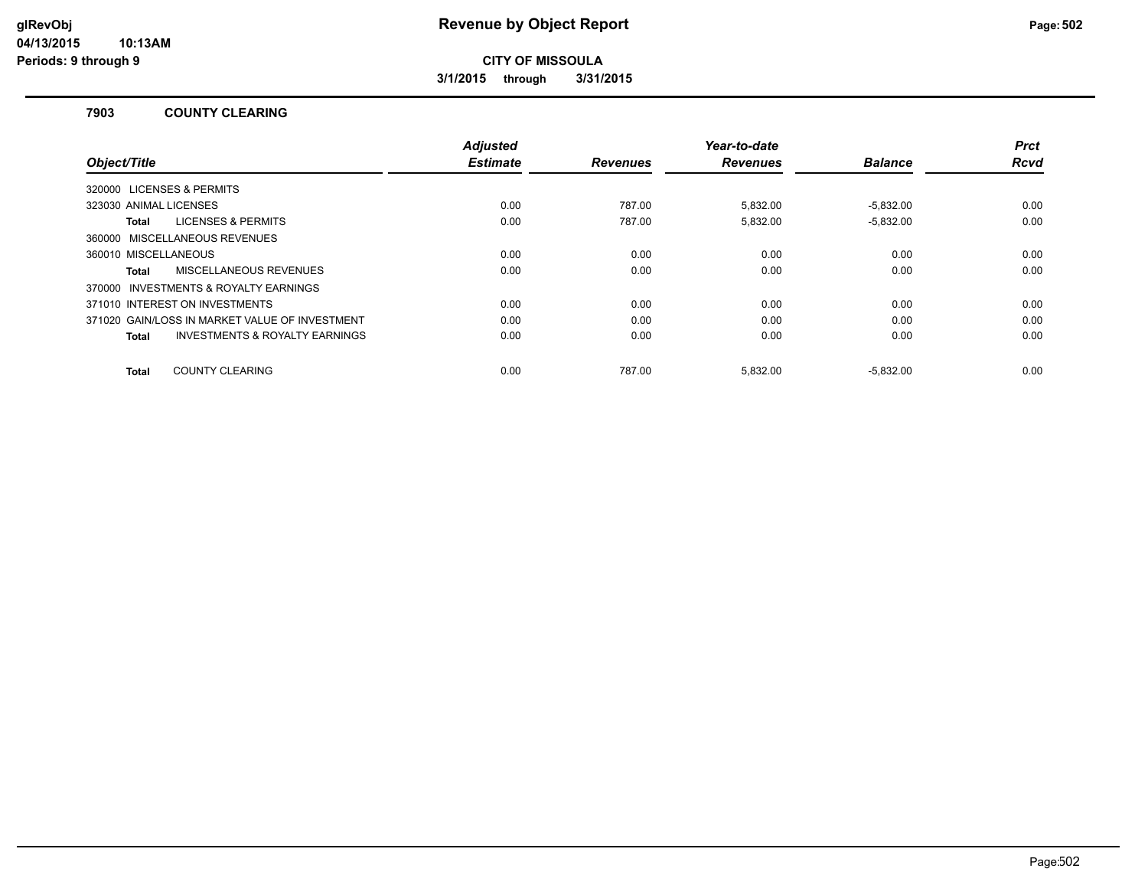**3/1/2015 through 3/31/2015**

#### **7903 COUNTY CLEARING**

| Object/Title                                       | <b>Adjusted</b><br><b>Estimate</b> | <b>Revenues</b> | Year-to-date<br><b>Revenues</b> | <b>Balance</b> | <b>Prct</b><br>Rcvd |
|----------------------------------------------------|------------------------------------|-----------------|---------------------------------|----------------|---------------------|
|                                                    |                                    |                 |                                 |                |                     |
| 320000 LICENSES & PERMITS                          |                                    |                 |                                 |                |                     |
| 323030 ANIMAL LICENSES                             | 0.00                               | 787.00          | 5,832.00                        | $-5,832.00$    | 0.00                |
| <b>LICENSES &amp; PERMITS</b><br>Total             | 0.00                               | 787.00          | 5.832.00                        | $-5.832.00$    | 0.00                |
| 360000 MISCELLANEOUS REVENUES                      |                                    |                 |                                 |                |                     |
| 360010 MISCELLANEOUS                               | 0.00                               | 0.00            | 0.00                            | 0.00           | 0.00                |
| <b>MISCELLANEOUS REVENUES</b><br>Total             | 0.00                               | 0.00            | 0.00                            | 0.00           | 0.00                |
| 370000 INVESTMENTS & ROYALTY EARNINGS              |                                    |                 |                                 |                |                     |
| 371010 INTEREST ON INVESTMENTS                     | 0.00                               | 0.00            | 0.00                            | 0.00           | 0.00                |
| 371020 GAIN/LOSS IN MARKET VALUE OF INVESTMENT     | 0.00                               | 0.00            | 0.00                            | 0.00           | 0.00                |
| <b>INVESTMENTS &amp; ROYALTY EARNINGS</b><br>Total | 0.00                               | 0.00            | 0.00                            | 0.00           | 0.00                |
|                                                    |                                    |                 |                                 |                |                     |
| <b>COUNTY CLEARING</b><br>Total                    | 0.00                               | 787.00          | 5.832.00                        | $-5.832.00$    | 0.00                |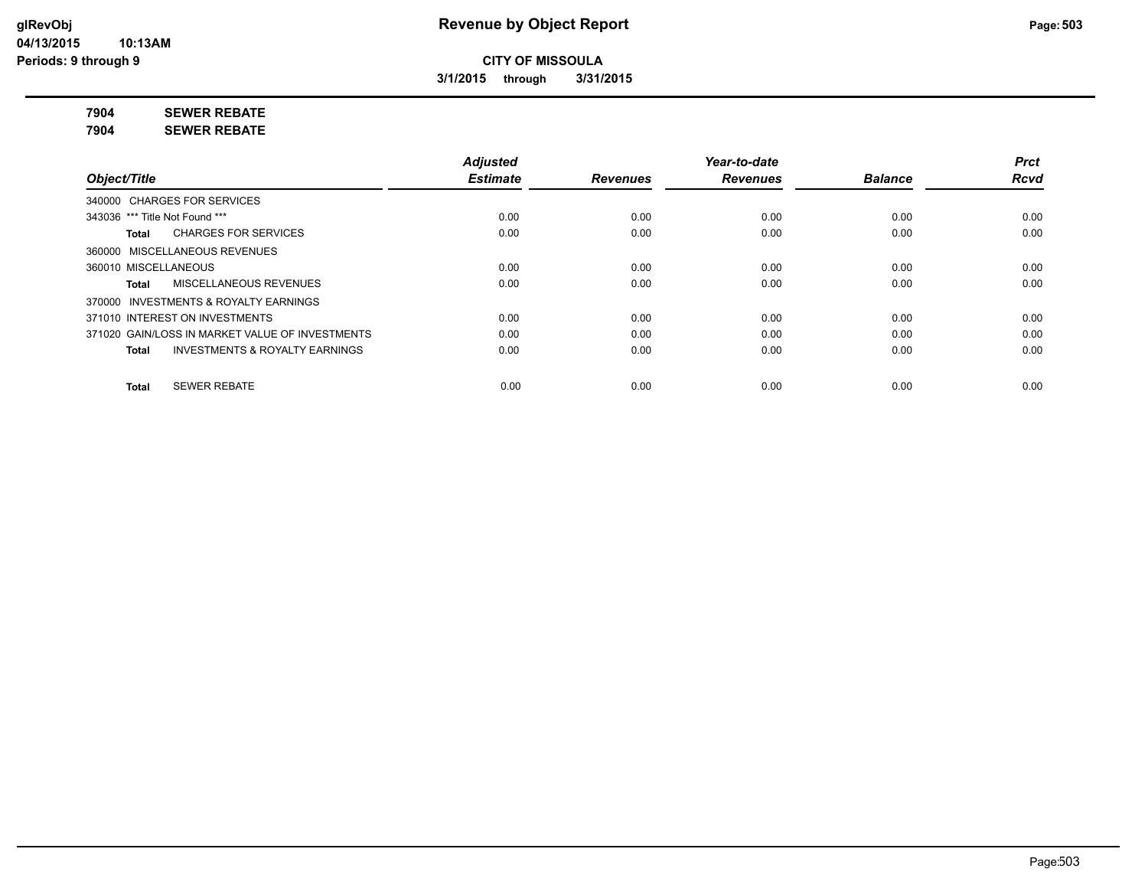**3/1/2015 through 3/31/2015**

**7904 SEWER REBATE**

**7904 SEWER REBATE**

|                                                    | <b>Adjusted</b> |                 | Year-to-date    |                | <b>Prct</b> |
|----------------------------------------------------|-----------------|-----------------|-----------------|----------------|-------------|
| Object/Title                                       | <b>Estimate</b> | <b>Revenues</b> | <b>Revenues</b> | <b>Balance</b> | <b>Rcvd</b> |
| 340000 CHARGES FOR SERVICES                        |                 |                 |                 |                |             |
| 343036 *** Title Not Found ***                     | 0.00            | 0.00            | 0.00            | 0.00           | 0.00        |
| <b>CHARGES FOR SERVICES</b><br>Total               | 0.00            | 0.00            | 0.00            | 0.00           | 0.00        |
| 360000 MISCELLANEOUS REVENUES                      |                 |                 |                 |                |             |
| 360010 MISCELLANEOUS                               | 0.00            | 0.00            | 0.00            | 0.00           | 0.00        |
| MISCELLANEOUS REVENUES<br>Total                    | 0.00            | 0.00            | 0.00            | 0.00           | 0.00        |
| 370000 INVESTMENTS & ROYALTY EARNINGS              |                 |                 |                 |                |             |
| 371010 INTEREST ON INVESTMENTS                     | 0.00            | 0.00            | 0.00            | 0.00           | 0.00        |
| 371020 GAIN/LOSS IN MARKET VALUE OF INVESTMENTS    | 0.00            | 0.00            | 0.00            | 0.00           | 0.00        |
| <b>INVESTMENTS &amp; ROYALTY EARNINGS</b><br>Total | 0.00            | 0.00            | 0.00            | 0.00           | 0.00        |
|                                                    |                 |                 |                 |                |             |
| <b>SEWER REBATE</b><br>Total                       | 0.00            | 0.00            | 0.00            | 0.00           | 0.00        |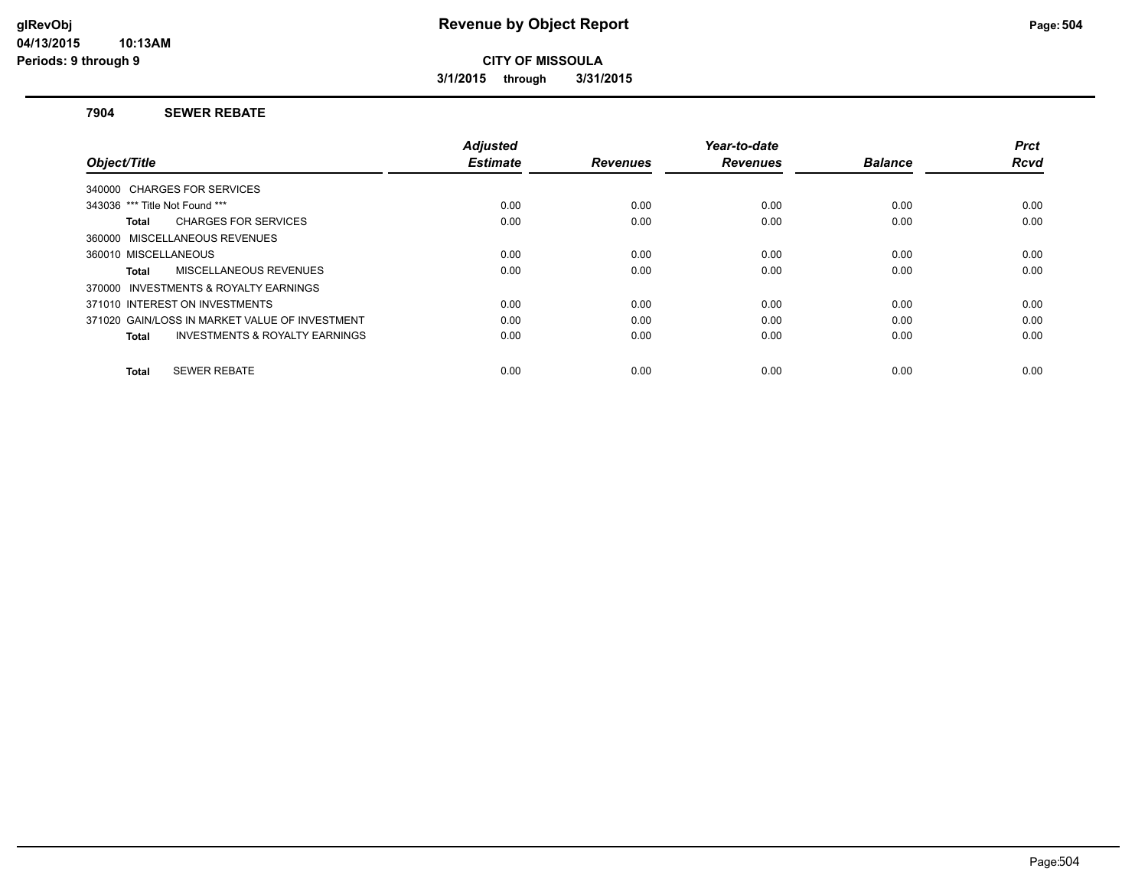**3/1/2015 through 3/31/2015**

#### **7904 SEWER REBATE**

|                                                    | <b>Adjusted</b> |                 | Year-to-date    |                | <b>Prct</b> |
|----------------------------------------------------|-----------------|-----------------|-----------------|----------------|-------------|
| Object/Title                                       | <b>Estimate</b> | <b>Revenues</b> | <b>Revenues</b> | <b>Balance</b> | <b>Rcvd</b> |
| 340000 CHARGES FOR SERVICES                        |                 |                 |                 |                |             |
| 343036 *** Title Not Found ***                     | 0.00            | 0.00            | 0.00            | 0.00           | 0.00        |
| <b>CHARGES FOR SERVICES</b><br>Total               | 0.00            | 0.00            | 0.00            | 0.00           | 0.00        |
| 360000 MISCELLANEOUS REVENUES                      |                 |                 |                 |                |             |
| 360010 MISCELLANEOUS                               | 0.00            | 0.00            | 0.00            | 0.00           | 0.00        |
| MISCELLANEOUS REVENUES<br>Total                    | 0.00            | 0.00            | 0.00            | 0.00           | 0.00        |
| 370000 INVESTMENTS & ROYALTY EARNINGS              |                 |                 |                 |                |             |
| 371010 INTEREST ON INVESTMENTS                     | 0.00            | 0.00            | 0.00            | 0.00           | 0.00        |
| 371020 GAIN/LOSS IN MARKET VALUE OF INVESTMENT     | 0.00            | 0.00            | 0.00            | 0.00           | 0.00        |
| <b>INVESTMENTS &amp; ROYALTY EARNINGS</b><br>Total | 0.00            | 0.00            | 0.00            | 0.00           | 0.00        |
|                                                    |                 |                 |                 |                |             |
| <b>SEWER REBATE</b><br>Total                       | 0.00            | 0.00            | 0.00            | 0.00           | 0.00        |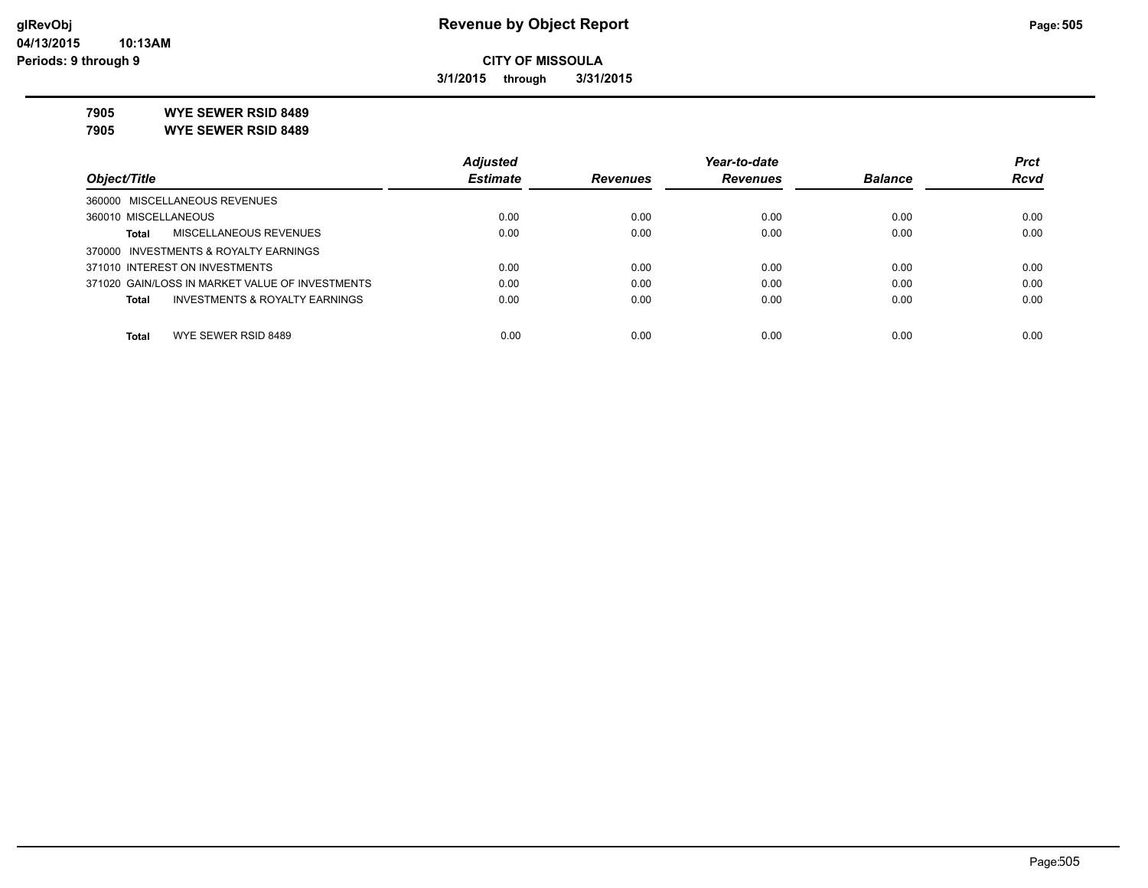**3/1/2015 through 3/31/2015**

**7905 WYE SEWER RSID 8489**

**7905 WYE SEWER RSID 8489**

|                                                 | <b>Adjusted</b> |                 | Year-to-date    |                | <b>Prct</b> |
|-------------------------------------------------|-----------------|-----------------|-----------------|----------------|-------------|
| Object/Title                                    | <b>Estimate</b> | <b>Revenues</b> | <b>Revenues</b> | <b>Balance</b> | <b>Rcvd</b> |
| 360000 MISCELLANEOUS REVENUES                   |                 |                 |                 |                |             |
| 360010 MISCELLANEOUS                            | 0.00            | 0.00            | 0.00            | 0.00           | 0.00        |
| MISCELLANEOUS REVENUES<br>Total                 | 0.00            | 0.00            | 0.00            | 0.00           | 0.00        |
| 370000 INVESTMENTS & ROYALTY EARNINGS           |                 |                 |                 |                |             |
| 371010 INTEREST ON INVESTMENTS                  | 0.00            | 0.00            | 0.00            | 0.00           | 0.00        |
| 371020 GAIN/LOSS IN MARKET VALUE OF INVESTMENTS | 0.00            | 0.00            | 0.00            | 0.00           | 0.00        |
| INVESTMENTS & ROYALTY EARNINGS<br>Total         | 0.00            | 0.00            | 0.00            | 0.00           | 0.00        |
|                                                 |                 |                 |                 |                |             |
| WYE SEWER RSID 8489<br><b>Total</b>             | 0.00            | 0.00            | 0.00            | 0.00           | 0.00        |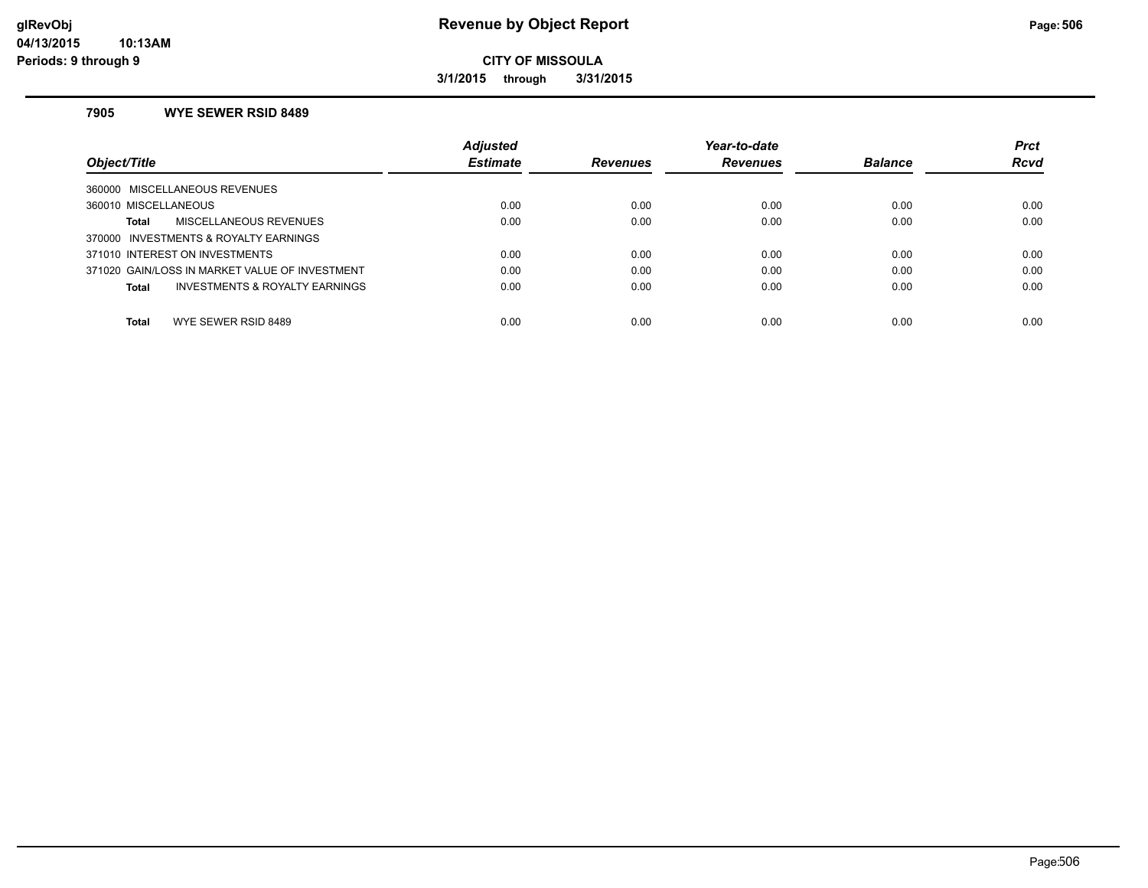**3/1/2015 through 3/31/2015**

#### **7905 WYE SEWER RSID 8489**

|                                                    | <b>Adjusted</b> |                 | Year-to-date    |                | <b>Prct</b> |
|----------------------------------------------------|-----------------|-----------------|-----------------|----------------|-------------|
| Object/Title                                       | <b>Estimate</b> | <b>Revenues</b> | <b>Revenues</b> | <b>Balance</b> | <b>Rcvd</b> |
| 360000 MISCELLANEOUS REVENUES                      |                 |                 |                 |                |             |
| 360010 MISCELLANEOUS                               | 0.00            | 0.00            | 0.00            | 0.00           | 0.00        |
| MISCELLANEOUS REVENUES<br>Total                    | 0.00            | 0.00            | 0.00            | 0.00           | 0.00        |
| 370000 INVESTMENTS & ROYALTY EARNINGS              |                 |                 |                 |                |             |
| 371010 INTEREST ON INVESTMENTS                     | 0.00            | 0.00            | 0.00            | 0.00           | 0.00        |
| 371020 GAIN/LOSS IN MARKET VALUE OF INVESTMENT     | 0.00            | 0.00            | 0.00            | 0.00           | 0.00        |
| <b>INVESTMENTS &amp; ROYALTY EARNINGS</b><br>Total | 0.00            | 0.00            | 0.00            | 0.00           | 0.00        |
|                                                    |                 |                 |                 |                |             |
| Total<br>WYE SEWER RSID 8489                       | 0.00            | 0.00            | 0.00            | 0.00           | 0.00        |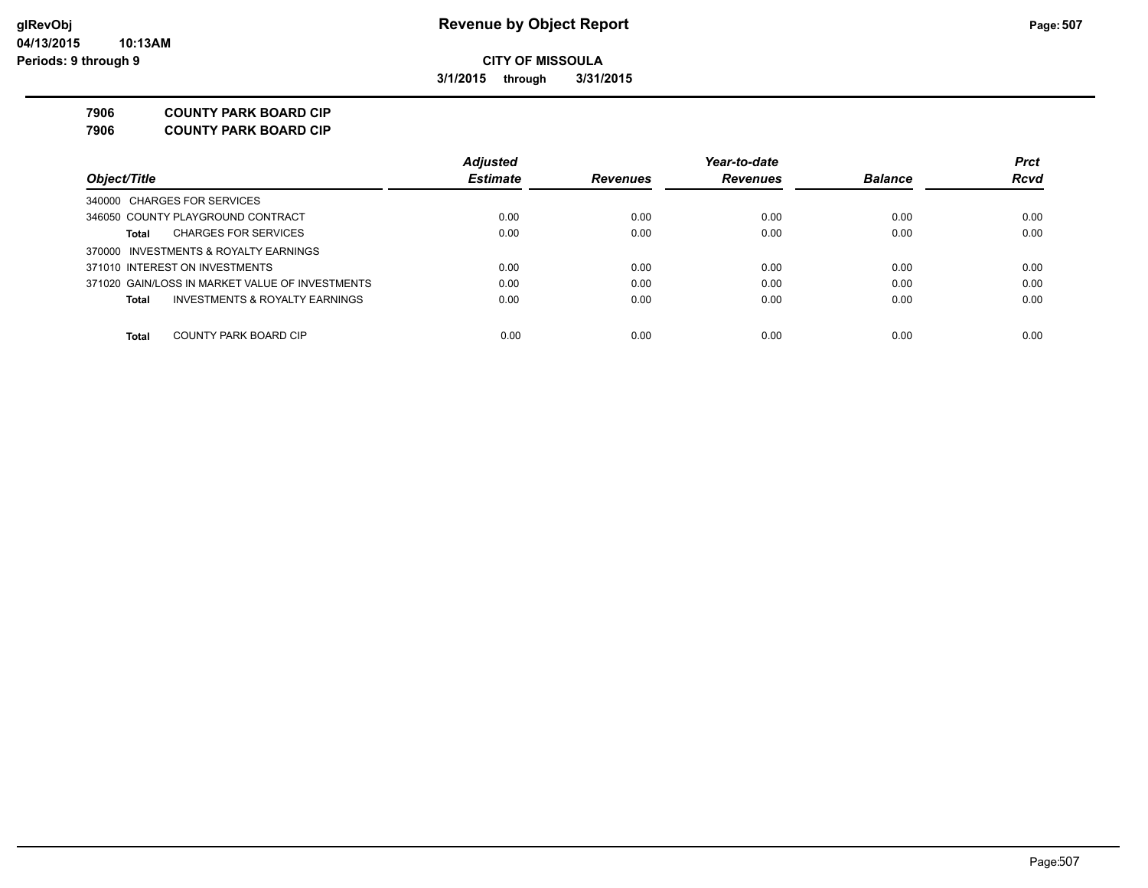**3/1/2015 through 3/31/2015**

**7906 COUNTY PARK BOARD CIP**

**7906 COUNTY PARK BOARD CIP**

|                                                 | <b>Adjusted</b> |                 | Year-to-date    |                | <b>Prct</b> |
|-------------------------------------------------|-----------------|-----------------|-----------------|----------------|-------------|
| Object/Title                                    | <b>Estimate</b> | <b>Revenues</b> | <b>Revenues</b> | <b>Balance</b> | <b>Rcvd</b> |
| 340000 CHARGES FOR SERVICES                     |                 |                 |                 |                |             |
| 346050 COUNTY PLAYGROUND CONTRACT               | 0.00            | 0.00            | 0.00            | 0.00           | 0.00        |
| <b>CHARGES FOR SERVICES</b><br>Total            | 0.00            | 0.00            | 0.00            | 0.00           | 0.00        |
| 370000 INVESTMENTS & ROYALTY EARNINGS           |                 |                 |                 |                |             |
| 371010 INTEREST ON INVESTMENTS                  | 0.00            | 0.00            | 0.00            | 0.00           | 0.00        |
| 371020 GAIN/LOSS IN MARKET VALUE OF INVESTMENTS | 0.00            | 0.00            | 0.00            | 0.00           | 0.00        |
| INVESTMENTS & ROYALTY EARNINGS<br>Total         | 0.00            | 0.00            | 0.00            | 0.00           | 0.00        |
| COUNTY PARK BOARD CIP<br><b>Total</b>           | 0.00            | 0.00            | 0.00            | 0.00           | 0.00        |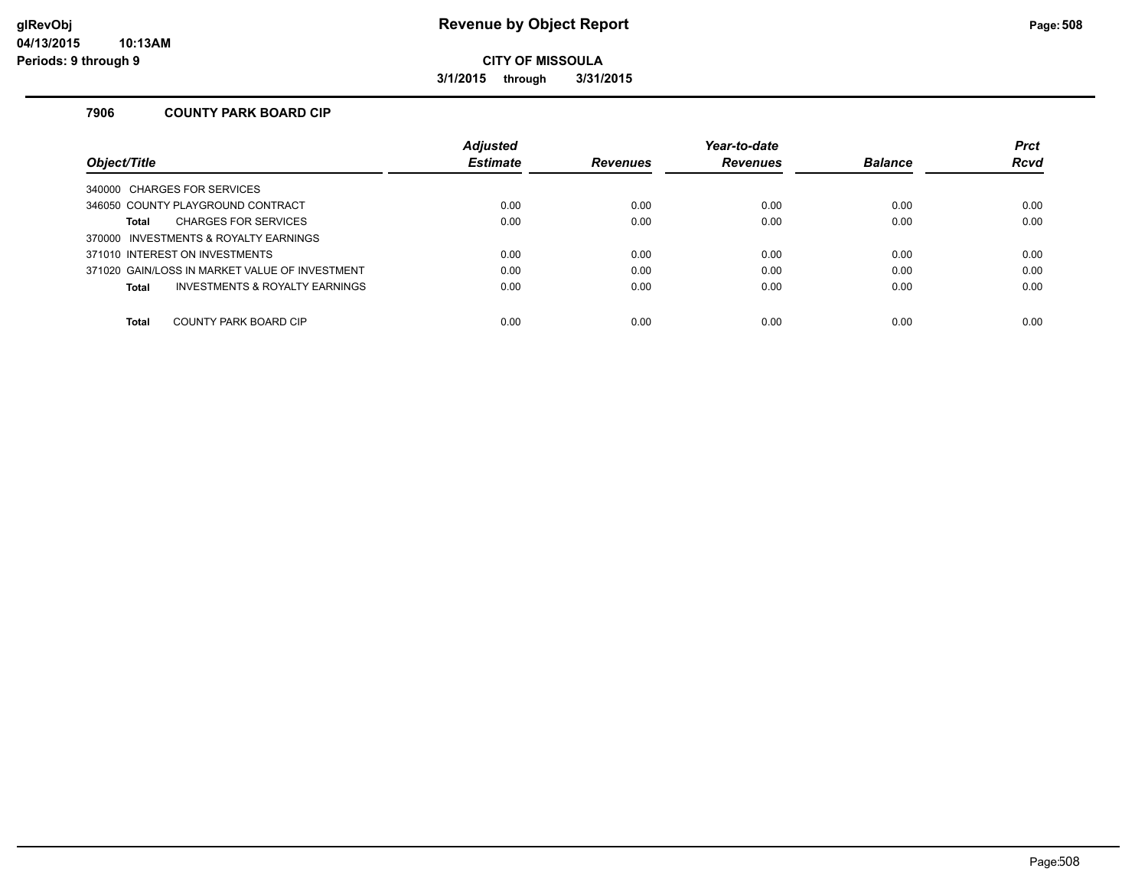**3/1/2015 through 3/31/2015**

### **7906 COUNTY PARK BOARD CIP**

|                                                           | <b>Adjusted</b> |                 | Year-to-date    |                | <b>Prct</b> |
|-----------------------------------------------------------|-----------------|-----------------|-----------------|----------------|-------------|
| Object/Title                                              | <b>Estimate</b> | <b>Revenues</b> | <b>Revenues</b> | <b>Balance</b> | <b>Rcvd</b> |
| 340000 CHARGES FOR SERVICES                               |                 |                 |                 |                |             |
| 346050 COUNTY PLAYGROUND CONTRACT                         | 0.00            | 0.00            | 0.00            | 0.00           | 0.00        |
| <b>CHARGES FOR SERVICES</b><br><b>Total</b>               | 0.00            | 0.00            | 0.00            | 0.00           | 0.00        |
| 370000 INVESTMENTS & ROYALTY EARNINGS                     |                 |                 |                 |                |             |
| 371010 INTEREST ON INVESTMENTS                            | 0.00            | 0.00            | 0.00            | 0.00           | 0.00        |
| 371020 GAIN/LOSS IN MARKET VALUE OF INVESTMENT            | 0.00            | 0.00            | 0.00            | 0.00           | 0.00        |
| <b>INVESTMENTS &amp; ROYALTY EARNINGS</b><br><b>Total</b> | 0.00            | 0.00            | 0.00            | 0.00           | 0.00        |
|                                                           |                 |                 |                 |                |             |
| <b>Total</b><br>COUNTY PARK BOARD CIP                     | 0.00            | 0.00            | 0.00            | 0.00           | 0.00        |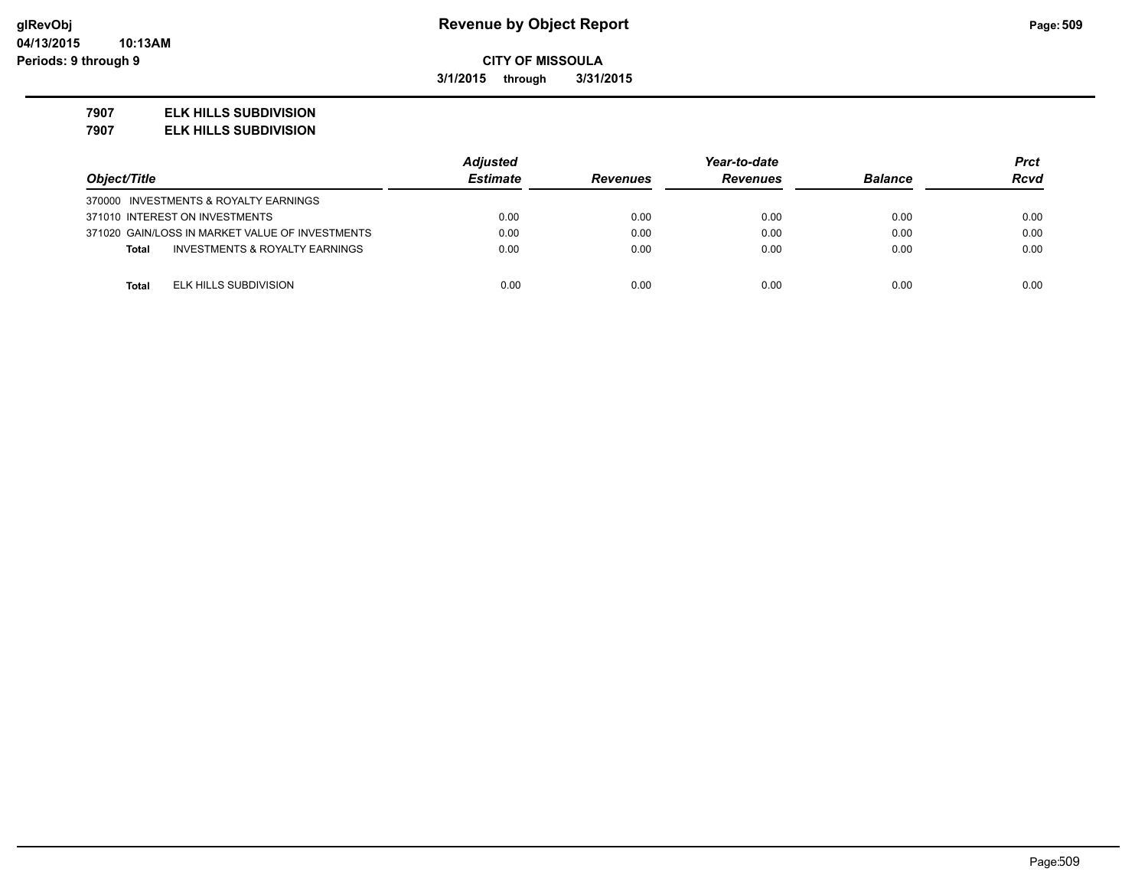**3/1/2015 through 3/31/2015**

#### **7907 ELK HILLS SUBDIVISION**

**7907 ELK HILLS SUBDIVISION**

|                                                           | <b>Adjusted</b> |                 | Year-to-date    |                |      |
|-----------------------------------------------------------|-----------------|-----------------|-----------------|----------------|------|
| Object/Title                                              | <b>Estimate</b> | <b>Revenues</b> | <b>Revenues</b> | <b>Balance</b> | Rcvd |
| 370000 INVESTMENTS & ROYALTY EARNINGS                     |                 |                 |                 |                |      |
| 371010 INTEREST ON INVESTMENTS                            | 0.00            | 0.00            | 0.00            | 0.00           | 0.00 |
| 371020 GAIN/LOSS IN MARKET VALUE OF INVESTMENTS           | 0.00            | 0.00            | 0.00            | 0.00           | 0.00 |
| <b>INVESTMENTS &amp; ROYALTY EARNINGS</b><br><b>Total</b> | 0.00            | 0.00            | 0.00            | 0.00           | 0.00 |
|                                                           |                 |                 |                 |                |      |
| ELK HILLS SUBDIVISION<br><b>Total</b>                     | 0.00            | 0.00            | 0.00            | 0.00           | 0.00 |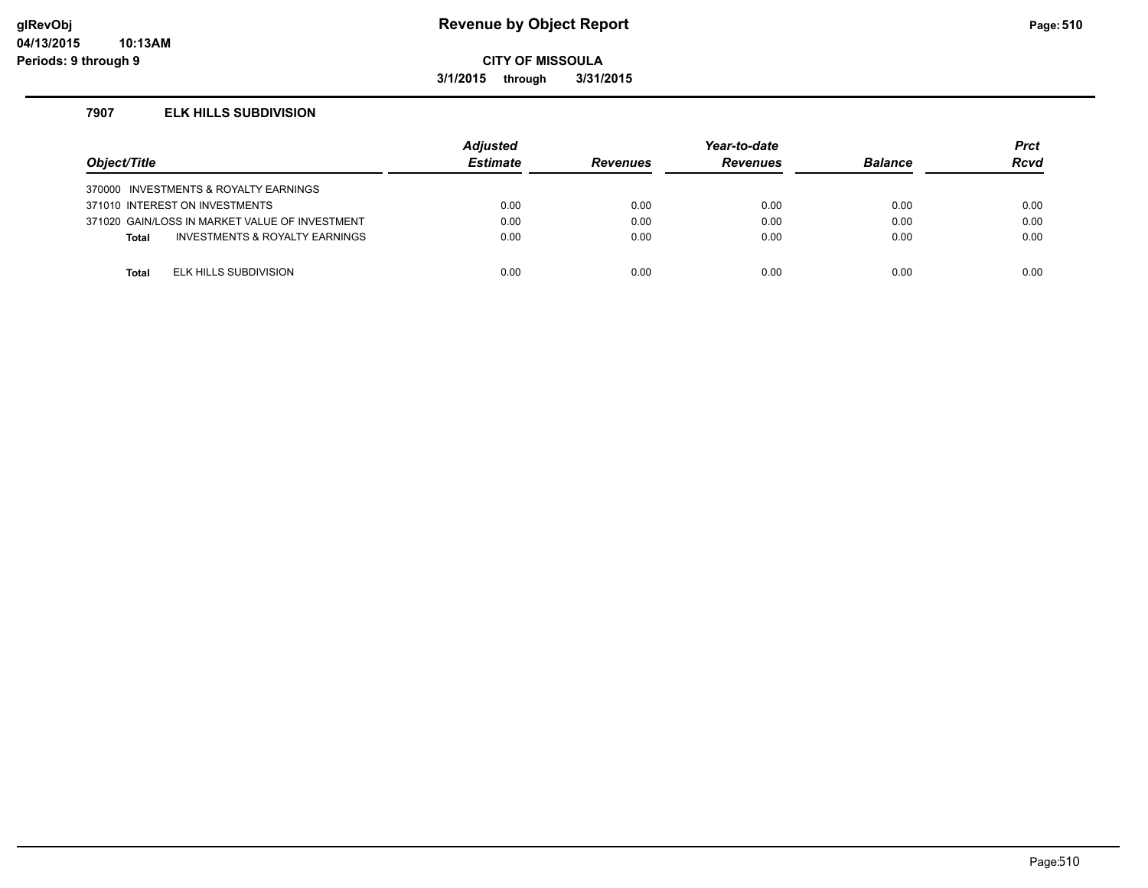### **glRevObj Revenue by Object Report Page:510**

**CITY OF MISSOULA**

**3/1/2015 through 3/31/2015**

#### **7907 ELK HILLS SUBDIVISION**

| Object/Title |                                                | <b>Adjusted</b><br><b>Estimate</b> | <b>Revenues</b> | Year-to-date<br><b>Revenues</b> | <b>Balance</b> | <b>Prct</b><br><b>Rcvd</b> |
|--------------|------------------------------------------------|------------------------------------|-----------------|---------------------------------|----------------|----------------------------|
|              | 370000 INVESTMENTS & ROYALTY EARNINGS          |                                    |                 |                                 |                |                            |
|              | 371010 INTEREST ON INVESTMENTS                 | 0.00                               | 0.00            | 0.00                            | 0.00           | 0.00                       |
|              | 371020 GAIN/LOSS IN MARKET VALUE OF INVESTMENT | 0.00                               | 0.00            | 0.00                            | 0.00           | 0.00                       |
| <b>Total</b> | INVESTMENTS & ROYALTY EARNINGS                 | 0.00                               | 0.00            | 0.00                            | 0.00           | 0.00                       |
|              |                                                |                                    |                 |                                 |                |                            |
| Total        | ELK HILLS SUBDIVISION                          | 0.00                               | 0.00            | 0.00                            | 0.00           | 0.00                       |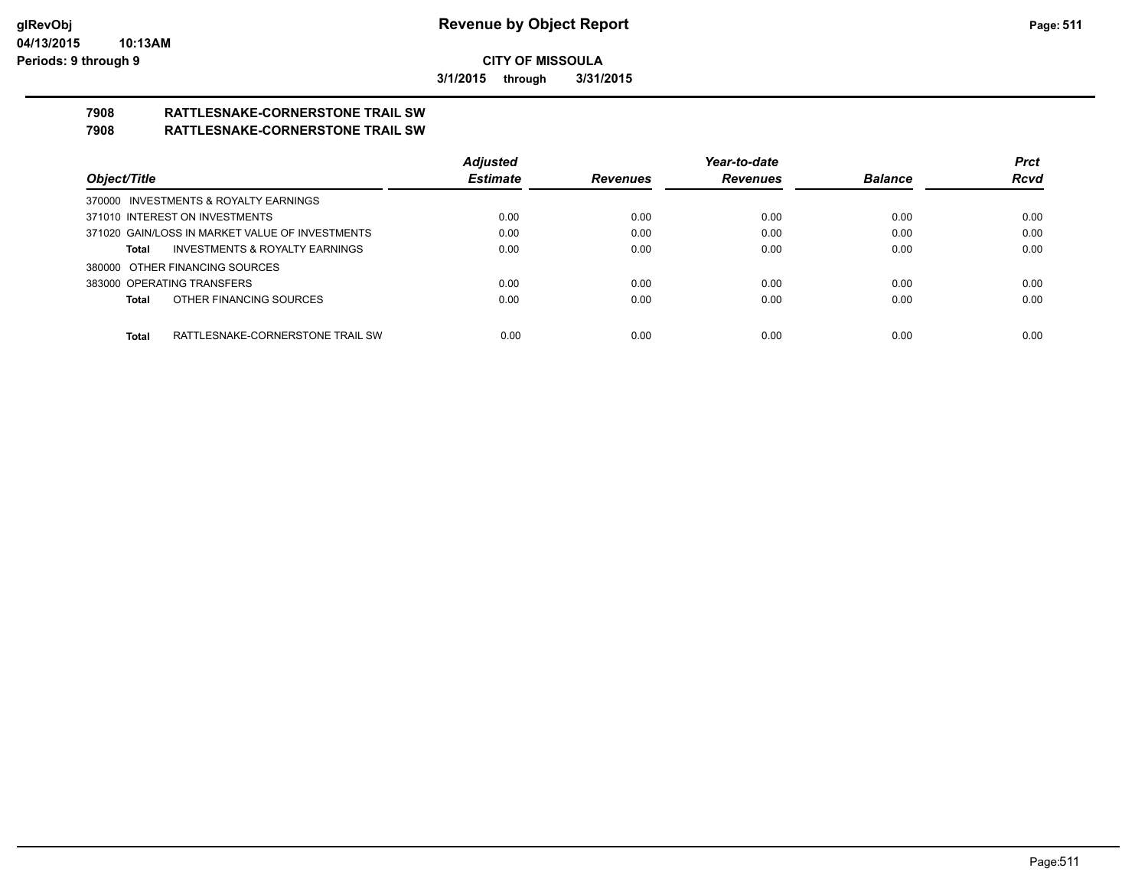**3/1/2015 through 3/31/2015**

# **7908 RATTLESNAKE-CORNERSTONE TRAIL SW**

### **7908 RATTLESNAKE-CORNERSTONE TRAIL SW**

|                                                    | <b>Adjusted</b> |                 | Year-to-date    |                | <b>Prct</b> |
|----------------------------------------------------|-----------------|-----------------|-----------------|----------------|-------------|
| Object/Title                                       | <b>Estimate</b> | <b>Revenues</b> | <b>Revenues</b> | <b>Balance</b> | <b>Rcvd</b> |
| 370000 INVESTMENTS & ROYALTY EARNINGS              |                 |                 |                 |                |             |
| 371010 INTEREST ON INVESTMENTS                     | 0.00            | 0.00            | 0.00            | 0.00           | 0.00        |
| 371020 GAIN/LOSS IN MARKET VALUE OF INVESTMENTS    | 0.00            | 0.00            | 0.00            | 0.00           | 0.00        |
| <b>INVESTMENTS &amp; ROYALTY EARNINGS</b><br>Total | 0.00            | 0.00            | 0.00            | 0.00           | 0.00        |
| 380000 OTHER FINANCING SOURCES                     |                 |                 |                 |                |             |
| 383000 OPERATING TRANSFERS                         | 0.00            | 0.00            | 0.00            | 0.00           | 0.00        |
| OTHER FINANCING SOURCES<br>Total                   | 0.00            | 0.00            | 0.00            | 0.00           | 0.00        |
|                                                    |                 |                 |                 |                |             |
| RATTLESNAKE-CORNERSTONE TRAIL SW<br>Total          | 0.00            | 0.00            | 0.00            | 0.00           | 0.00        |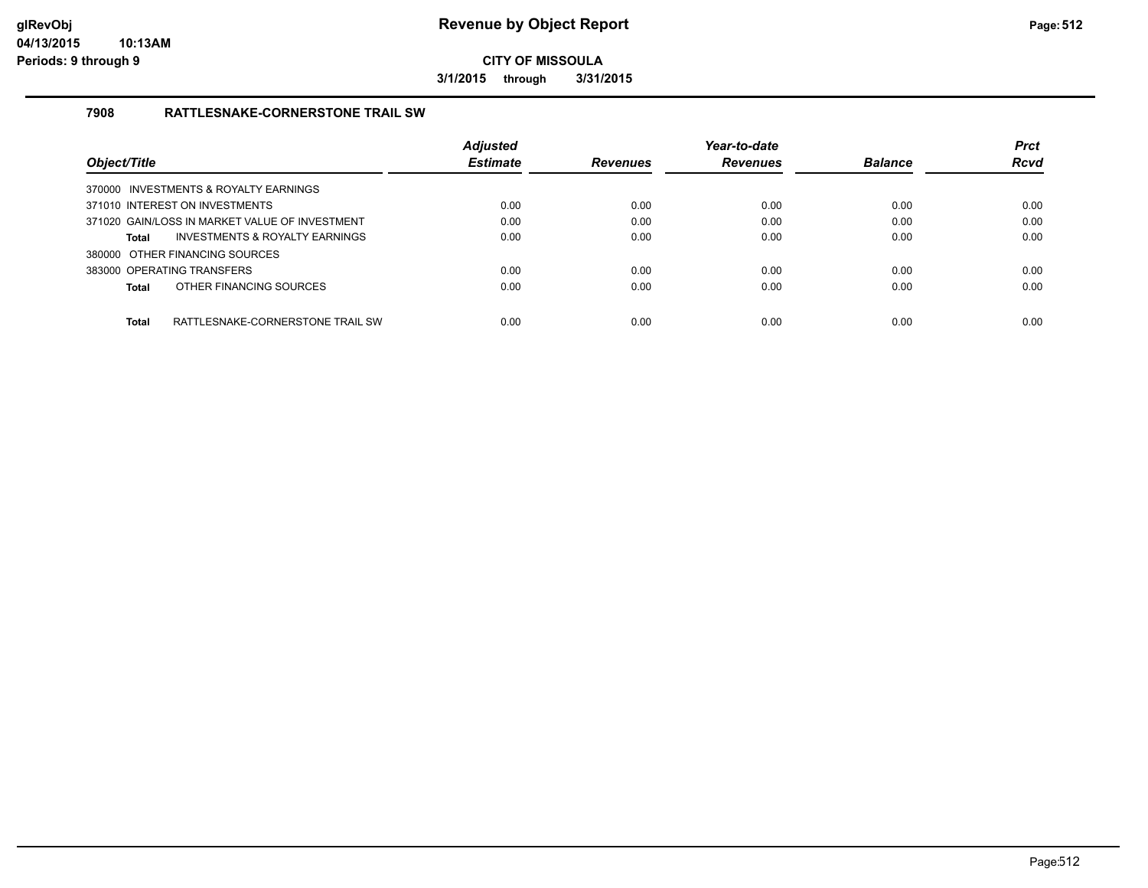**3/1/2015 through 3/31/2015**

#### **7908 RATTLESNAKE-CORNERSTONE TRAIL SW**

| Object/Title |                                                | <b>Adjusted</b><br><b>Estimate</b> | <b>Revenues</b> | Year-to-date<br><b>Revenues</b> | <b>Balance</b> | <b>Prct</b><br><b>Rcvd</b> |
|--------------|------------------------------------------------|------------------------------------|-----------------|---------------------------------|----------------|----------------------------|
|              | 370000 INVESTMENTS & ROYALTY EARNINGS          |                                    |                 |                                 |                |                            |
|              | 371010 INTEREST ON INVESTMENTS                 | 0.00                               | 0.00            | 0.00                            | 0.00           | 0.00                       |
|              | 371020 GAIN/LOSS IN MARKET VALUE OF INVESTMENT | 0.00                               | 0.00            | 0.00                            | 0.00           | 0.00                       |
| Total        | <b>INVESTMENTS &amp; ROYALTY EARNINGS</b>      | 0.00                               | 0.00            | 0.00                            | 0.00           | 0.00                       |
|              | 380000 OTHER FINANCING SOURCES                 |                                    |                 |                                 |                |                            |
|              | 383000 OPERATING TRANSFERS                     | 0.00                               | 0.00            | 0.00                            | 0.00           | 0.00                       |
| Total        | OTHER FINANCING SOURCES                        | 0.00                               | 0.00            | 0.00                            | 0.00           | 0.00                       |
| <b>Total</b> | RATTLESNAKE-CORNERSTONE TRAIL SW               | 0.00                               | 0.00            | 0.00                            | 0.00           | 0.00                       |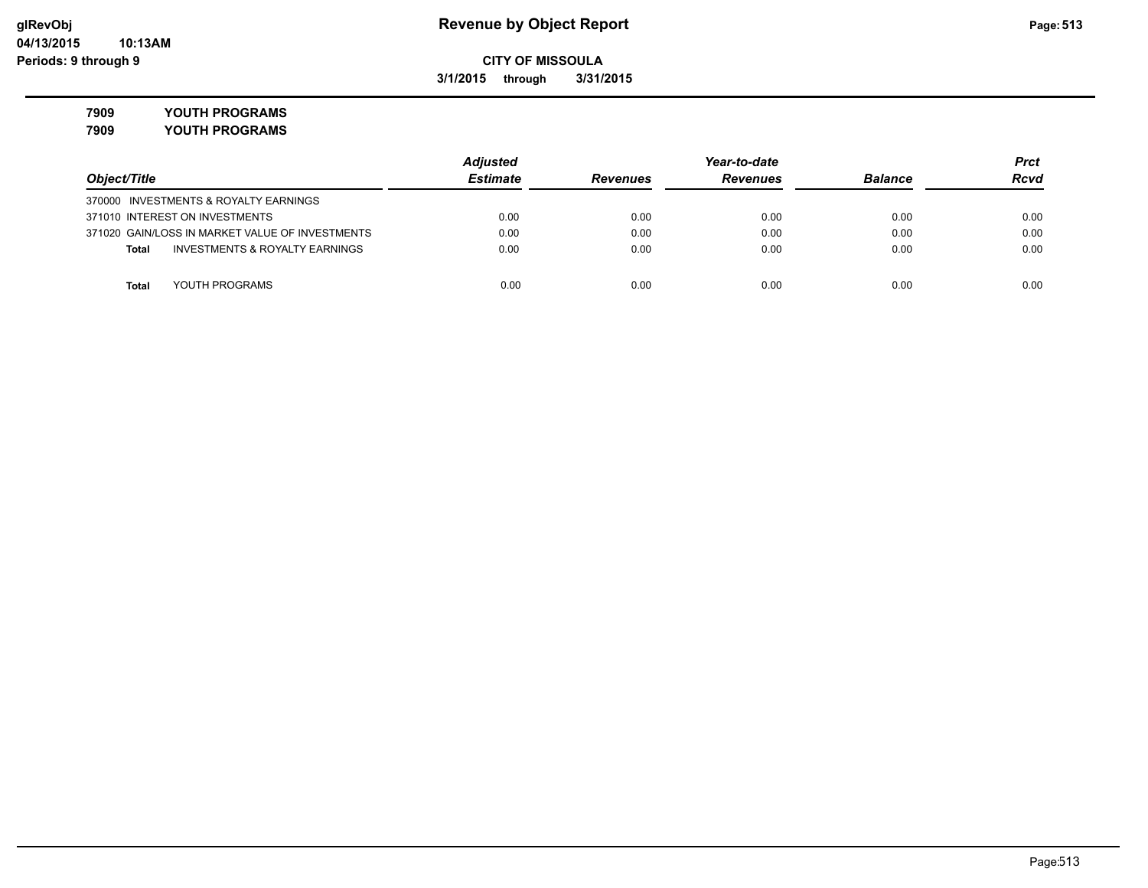**3/1/2015 through 3/31/2015**

**7909 YOUTH PROGRAMS**

**7909 YOUTH PROGRAMS**

|                                                           | <b>Adjusted</b> |                 | Year-to-date    |                | <b>Prct</b> |
|-----------------------------------------------------------|-----------------|-----------------|-----------------|----------------|-------------|
| Object/Title                                              | <b>Estimate</b> | <b>Revenues</b> | <b>Revenues</b> | <b>Balance</b> | <b>Rcvd</b> |
| 370000 INVESTMENTS & ROYALTY EARNINGS                     |                 |                 |                 |                |             |
| 371010 INTEREST ON INVESTMENTS                            | 0.00            | 0.00            | 0.00            | 0.00           | 0.00        |
| 371020 GAIN/LOSS IN MARKET VALUE OF INVESTMENTS           | 0.00            | 0.00            | 0.00            | 0.00           | 0.00        |
| <b>INVESTMENTS &amp; ROYALTY EARNINGS</b><br><b>Total</b> | 0.00            | 0.00            | 0.00            | 0.00           | 0.00        |
|                                                           |                 |                 |                 |                |             |
| YOUTH PROGRAMS<br>Total                                   | 0.00            | 0.00            | 0.00            | 0.00           | 0.00        |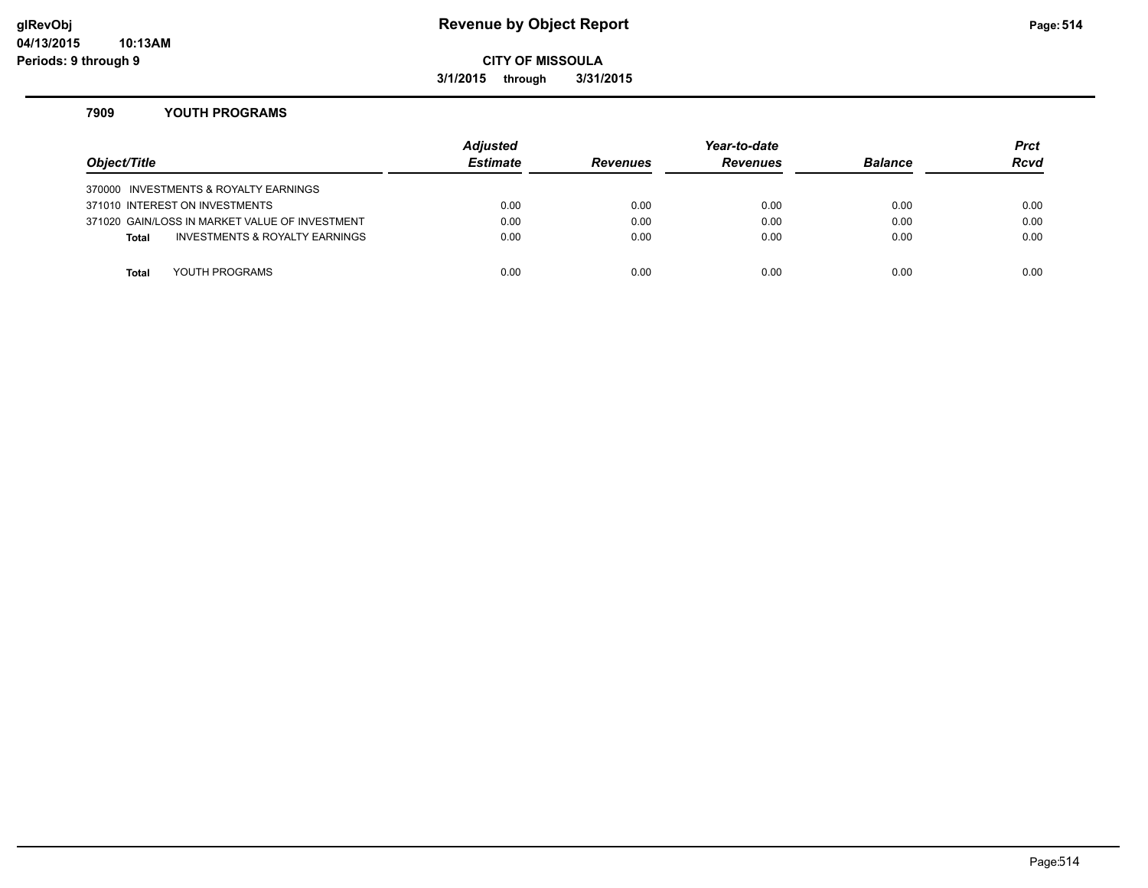### **glRevObj Revenue by Object Report Page:514**

**CITY OF MISSOULA**

**3/1/2015 through 3/31/2015**

#### **7909 YOUTH PROGRAMS**

| Object/Title |                                                | <b>Adjusted</b><br><b>Estimate</b> | <b>Revenues</b> | Year-to-date<br><b>Revenues</b> | <b>Balance</b> | <b>Prct</b><br>Rcvd |
|--------------|------------------------------------------------|------------------------------------|-----------------|---------------------------------|----------------|---------------------|
|              | 370000 INVESTMENTS & ROYALTY EARNINGS          |                                    |                 |                                 |                |                     |
|              | 371010 INTEREST ON INVESTMENTS                 | 0.00                               | 0.00            | 0.00                            | 0.00           | 0.00                |
|              | 371020 GAIN/LOSS IN MARKET VALUE OF INVESTMENT | 0.00                               | 0.00            | 0.00                            | 0.00           | 0.00                |
| <b>Total</b> | INVESTMENTS & ROYALTY EARNINGS                 | 0.00                               | 0.00            | 0.00                            | 0.00           | 0.00                |
|              |                                                |                                    |                 |                                 |                |                     |
| Total        | YOUTH PROGRAMS                                 | 0.00                               | 0.00            | 0.00                            | 0.00           | 0.00                |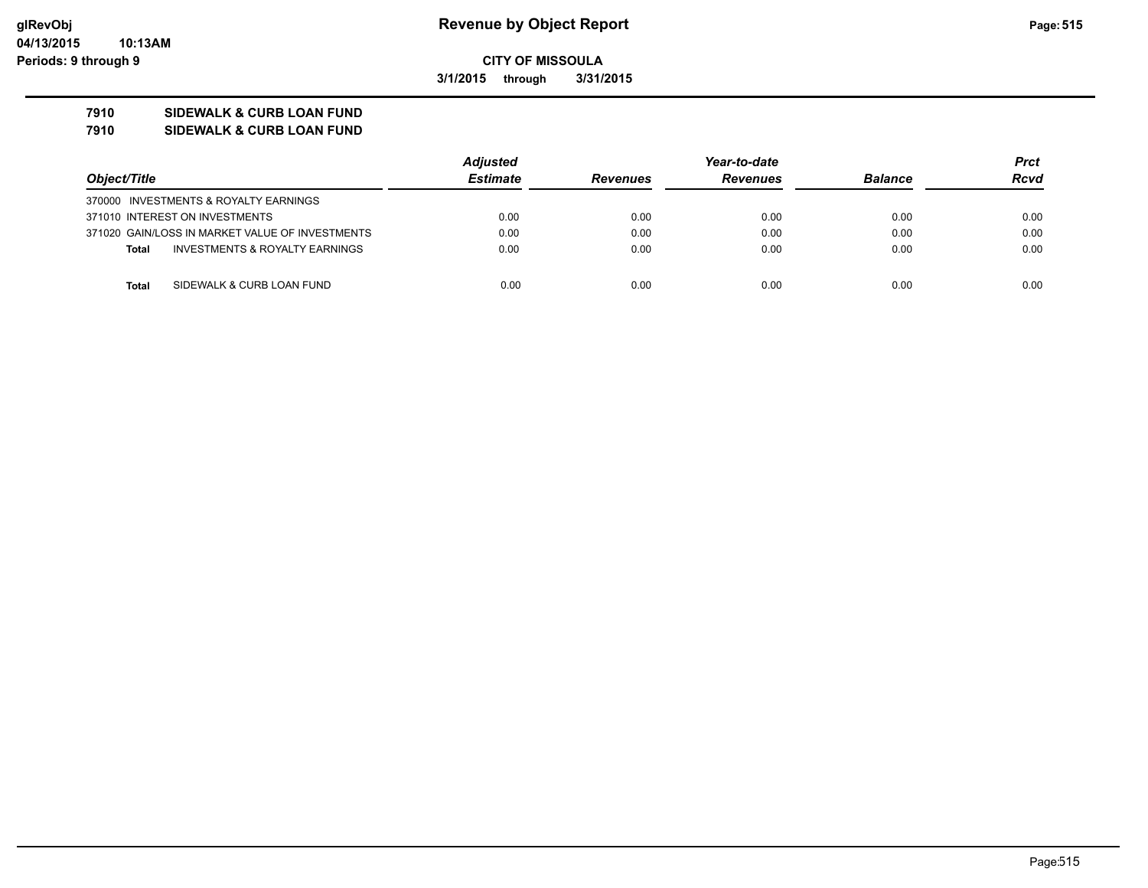**3/1/2015 through 3/31/2015**

### **7910 SIDEWALK & CURB LOAN FUND**

**7910 SIDEWALK & CURB LOAN FUND**

|                                                           | <b>Adjusted</b> |                 | Year-to-date    |                | Prct        |
|-----------------------------------------------------------|-----------------|-----------------|-----------------|----------------|-------------|
| Object/Title                                              | <b>Estimate</b> | <b>Revenues</b> | <b>Revenues</b> | <b>Balance</b> | <b>Rcvd</b> |
| 370000 INVESTMENTS & ROYALTY EARNINGS                     |                 |                 |                 |                |             |
| 371010 INTEREST ON INVESTMENTS                            | 0.00            | 0.00            | 0.00            | 0.00           | 0.00        |
| 371020 GAIN/LOSS IN MARKET VALUE OF INVESTMENTS           | 0.00            | 0.00            | 0.00            | 0.00           | 0.00        |
| <b>INVESTMENTS &amp; ROYALTY EARNINGS</b><br><b>Total</b> | 0.00            | 0.00            | 0.00            | 0.00           | 0.00        |
|                                                           |                 |                 |                 |                |             |
| SIDEWALK & CURB LOAN FUND<br><b>Total</b>                 | 0.00            | 0.00            | 0.00            | 0.00           | 0.00        |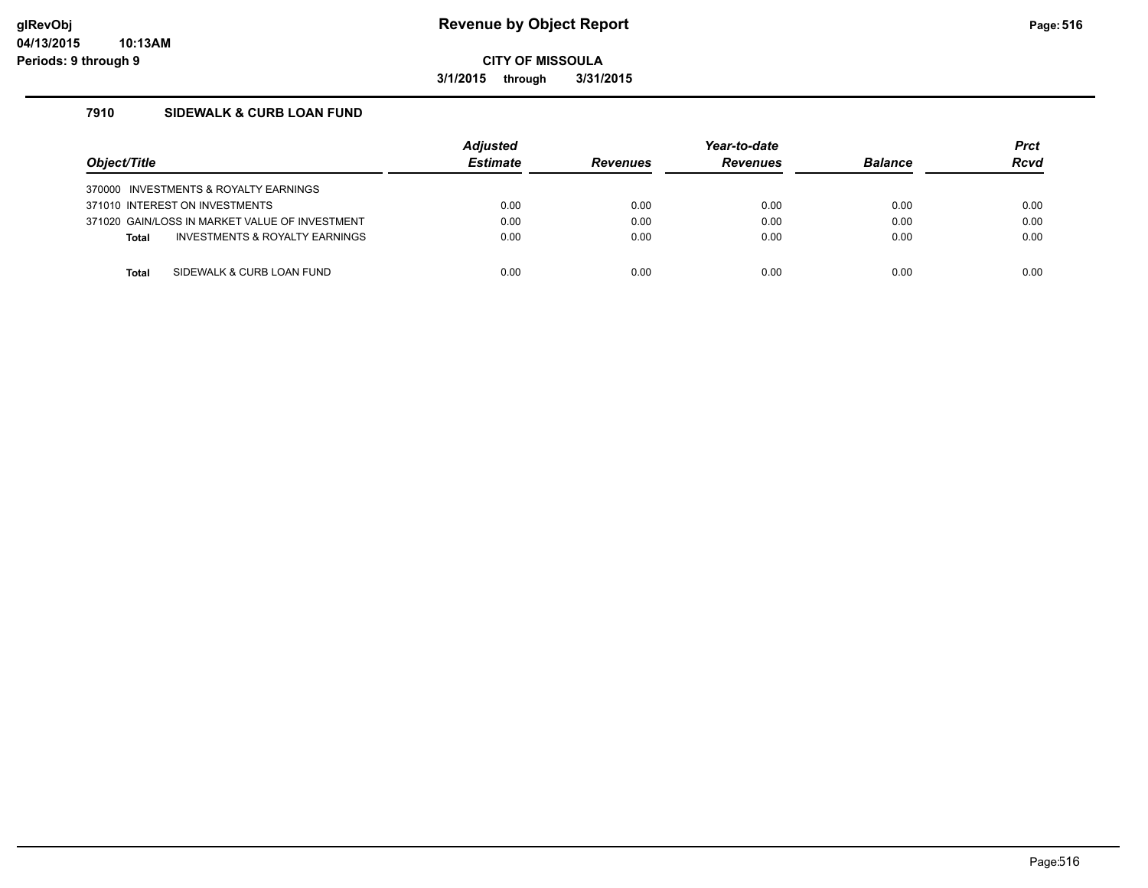**3/1/2015 through 3/31/2015**

### **7910 SIDEWALK & CURB LOAN FUND**

| Object/Title |                                                | <b>Adjusted</b><br><b>Estimate</b> | <b>Revenues</b> | Year-to-date<br><b>Revenues</b> | <b>Balance</b> | <b>Prct</b><br><b>Rcvd</b> |
|--------------|------------------------------------------------|------------------------------------|-----------------|---------------------------------|----------------|----------------------------|
|              | 370000 INVESTMENTS & ROYALTY EARNINGS          |                                    |                 |                                 |                |                            |
|              | 371010 INTEREST ON INVESTMENTS                 | 0.00                               | 0.00            | 0.00                            | 0.00           | 0.00                       |
|              | 371020 GAIN/LOSS IN MARKET VALUE OF INVESTMENT | 0.00                               | 0.00            | 0.00                            | 0.00           | 0.00                       |
| <b>Total</b> | INVESTMENTS & ROYALTY EARNINGS                 | 0.00                               | 0.00            | 0.00                            | 0.00           | 0.00                       |
|              |                                                |                                    |                 |                                 |                |                            |
| Total        | SIDEWALK & CURB LOAN FUND                      | 0.00                               | 0.00            | 0.00                            | 0.00           | 0.00                       |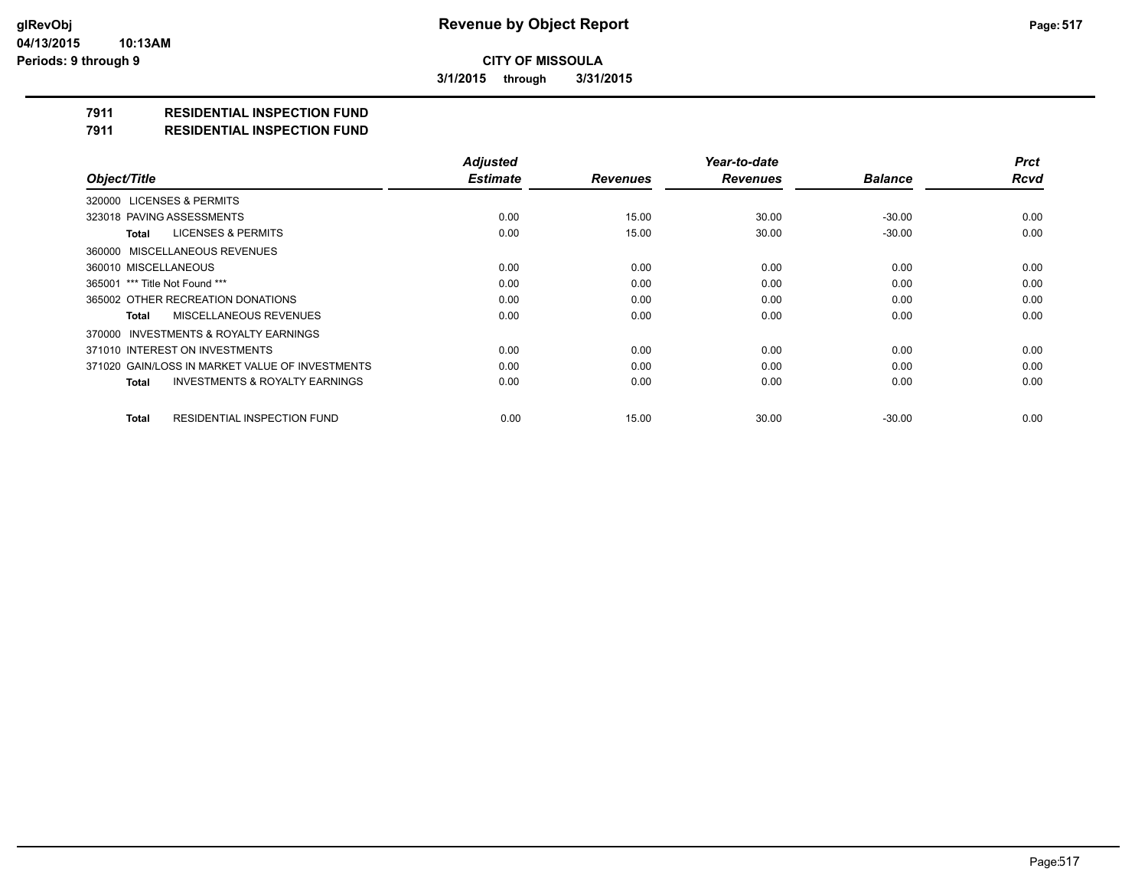**3/1/2015 through 3/31/2015**

### **7911 RESIDENTIAL INSPECTION FUND**

#### **7911 RESIDENTIAL INSPECTION FUND**

|                                                    | <b>Adjusted</b> |                 | Year-to-date    |                | <b>Prct</b> |
|----------------------------------------------------|-----------------|-----------------|-----------------|----------------|-------------|
| Object/Title                                       | <b>Estimate</b> | <b>Revenues</b> | <b>Revenues</b> | <b>Balance</b> | <b>Rcvd</b> |
| 320000 LICENSES & PERMITS                          |                 |                 |                 |                |             |
| 323018 PAVING ASSESSMENTS                          | 0.00            | 15.00           | 30.00           | $-30.00$       | 0.00        |
| <b>LICENSES &amp; PERMITS</b><br>Total             | 0.00            | 15.00           | 30.00           | $-30.00$       | 0.00        |
| 360000 MISCELLANEOUS REVENUES                      |                 |                 |                 |                |             |
| 360010 MISCELLANEOUS                               | 0.00            | 0.00            | 0.00            | 0.00           | 0.00        |
| 365001 *** Title Not Found ***                     | 0.00            | 0.00            | 0.00            | 0.00           | 0.00        |
| 365002 OTHER RECREATION DONATIONS                  | 0.00            | 0.00            | 0.00            | 0.00           | 0.00        |
| MISCELLANEOUS REVENUES<br>Total                    | 0.00            | 0.00            | 0.00            | 0.00           | 0.00        |
| 370000 INVESTMENTS & ROYALTY EARNINGS              |                 |                 |                 |                |             |
| 371010 INTEREST ON INVESTMENTS                     | 0.00            | 0.00            | 0.00            | 0.00           | 0.00        |
| 371020 GAIN/LOSS IN MARKET VALUE OF INVESTMENTS    | 0.00            | 0.00            | 0.00            | 0.00           | 0.00        |
| <b>INVESTMENTS &amp; ROYALTY EARNINGS</b><br>Total | 0.00            | 0.00            | 0.00            | 0.00           | 0.00        |
| <b>RESIDENTIAL INSPECTION FUND</b><br><b>Total</b> | 0.00            | 15.00           | 30.00           | $-30.00$       | 0.00        |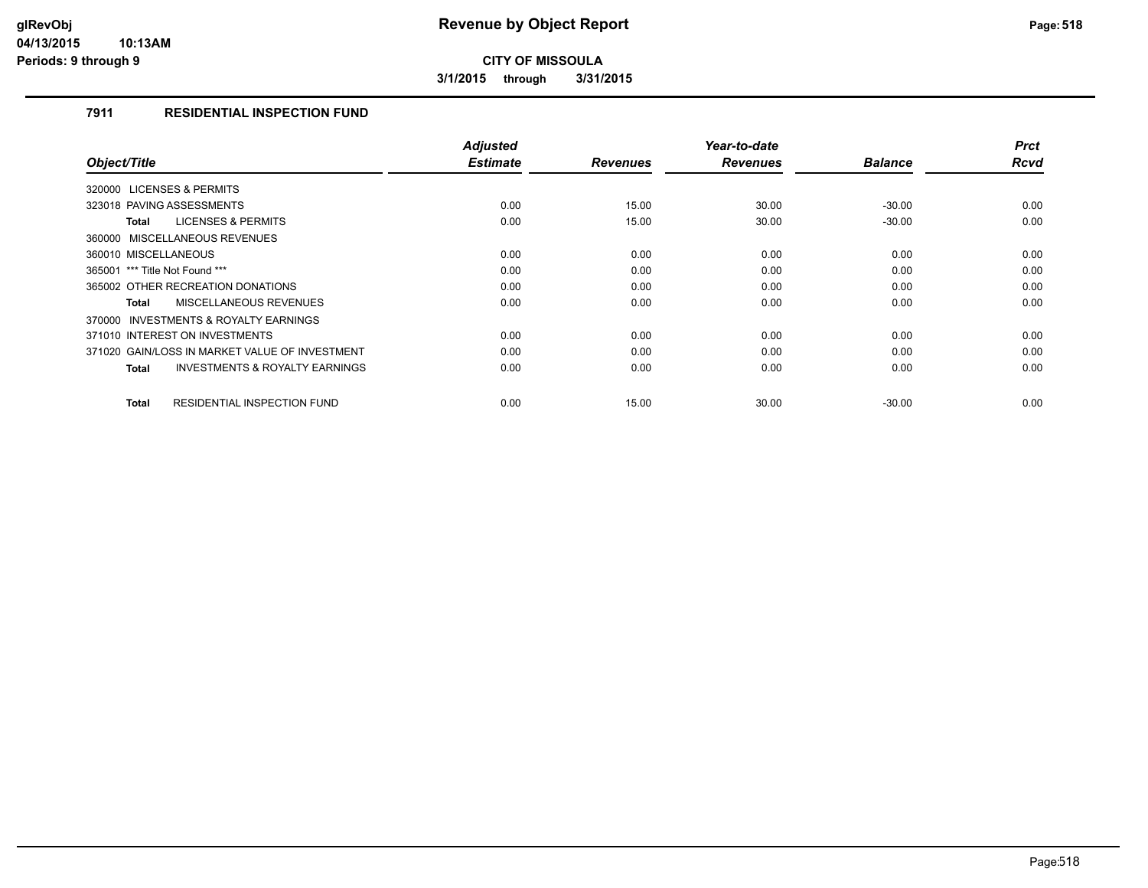**3/1/2015 through 3/31/2015**

### **7911 RESIDENTIAL INSPECTION FUND**

| Object/Title                                        | <b>Adjusted</b><br><b>Estimate</b> | <b>Revenues</b> | Year-to-date    | <b>Balance</b> | <b>Prct</b><br><b>Rcvd</b> |
|-----------------------------------------------------|------------------------------------|-----------------|-----------------|----------------|----------------------------|
|                                                     |                                    |                 | <b>Revenues</b> |                |                            |
| 320000 LICENSES & PERMITS                           |                                    |                 |                 |                |                            |
| 323018 PAVING ASSESSMENTS                           | 0.00                               | 15.00           | 30.00           | $-30.00$       | 0.00                       |
| <b>LICENSES &amp; PERMITS</b><br>Total              | 0.00                               | 15.00           | 30.00           | $-30.00$       | 0.00                       |
| 360000 MISCELLANEOUS REVENUES                       |                                    |                 |                 |                |                            |
| 360010 MISCELLANEOUS                                | 0.00                               | 0.00            | 0.00            | 0.00           | 0.00                       |
| 365001 *** Title Not Found ***                      | 0.00                               | 0.00            | 0.00            | 0.00           | 0.00                       |
| 365002 OTHER RECREATION DONATIONS                   | 0.00                               | 0.00            | 0.00            | 0.00           | 0.00                       |
| <b>MISCELLANEOUS REVENUES</b><br>Total              | 0.00                               | 0.00            | 0.00            | 0.00           | 0.00                       |
| <b>INVESTMENTS &amp; ROYALTY EARNINGS</b><br>370000 |                                    |                 |                 |                |                            |
| 371010 INTEREST ON INVESTMENTS                      | 0.00                               | 0.00            | 0.00            | 0.00           | 0.00                       |
| 371020 GAIN/LOSS IN MARKET VALUE OF INVESTMENT      | 0.00                               | 0.00            | 0.00            | 0.00           | 0.00                       |
| <b>INVESTMENTS &amp; ROYALTY EARNINGS</b><br>Total  | 0.00                               | 0.00            | 0.00            | 0.00           | 0.00                       |
|                                                     |                                    |                 |                 |                |                            |
| <b>RESIDENTIAL INSPECTION FUND</b><br><b>Total</b>  | 0.00                               | 15.00           | 30.00           | $-30.00$       | 0.00                       |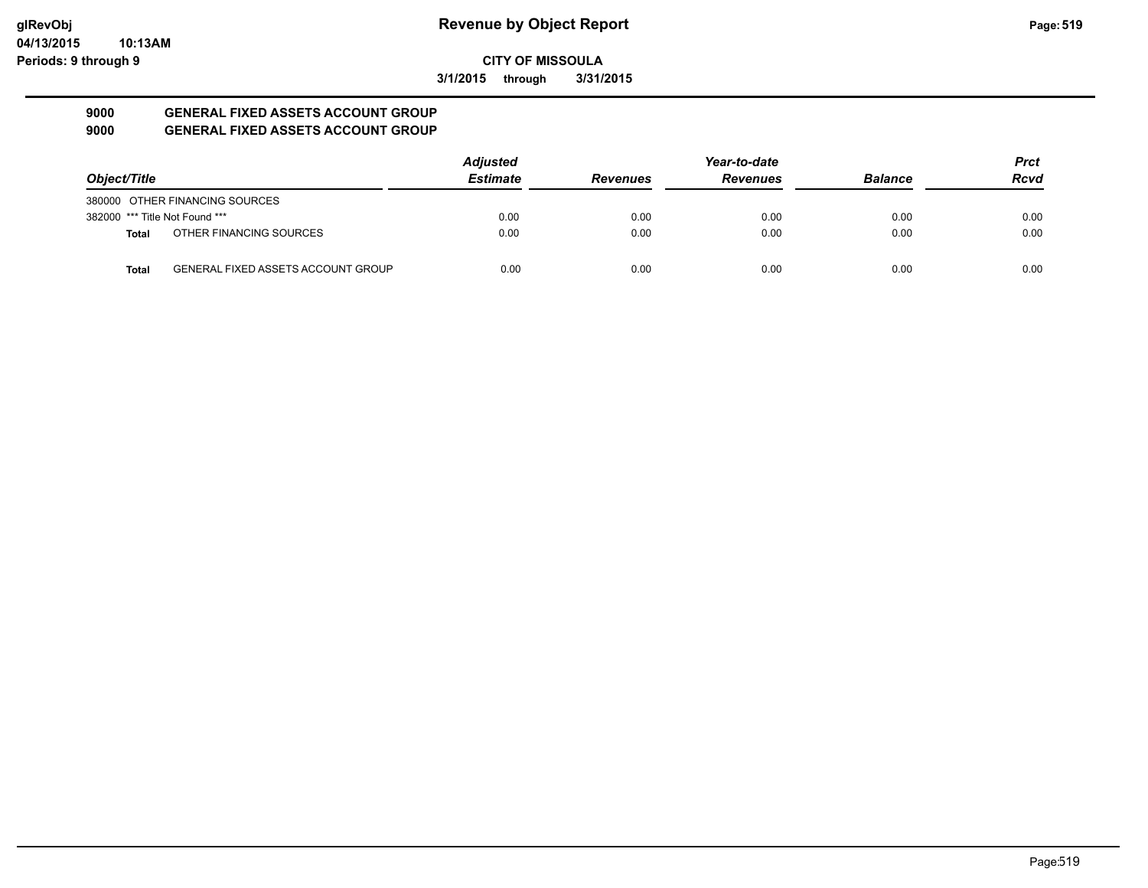**3/1/2015 through 3/31/2015**

#### **9000 GENERAL FIXED ASSETS ACCOUNT GROUP 9000 GENERAL FIXED ASSETS ACCOUNT GROUP**

|                                |                                           | <b>Adjusted</b> |                 | Year-to-date    |                | <b>Prct</b> |
|--------------------------------|-------------------------------------------|-----------------|-----------------|-----------------|----------------|-------------|
| Object/Title                   |                                           | <b>Estimate</b> | <b>Revenues</b> | <b>Revenues</b> | <b>Balance</b> | <b>Rcvd</b> |
|                                | 380000 OTHER FINANCING SOURCES            |                 |                 |                 |                |             |
| 382000 *** Title Not Found *** |                                           | 0.00            | 0.00            | 0.00            | 0.00           | 0.00        |
| <b>Total</b>                   | OTHER FINANCING SOURCES                   | 0.00            | 0.00            | 0.00            | 0.00           | 0.00        |
| <b>Total</b>                   | <b>GENERAL FIXED ASSETS ACCOUNT GROUP</b> | 0.00            | 0.00            | 0.00            | 0.00           | 0.00        |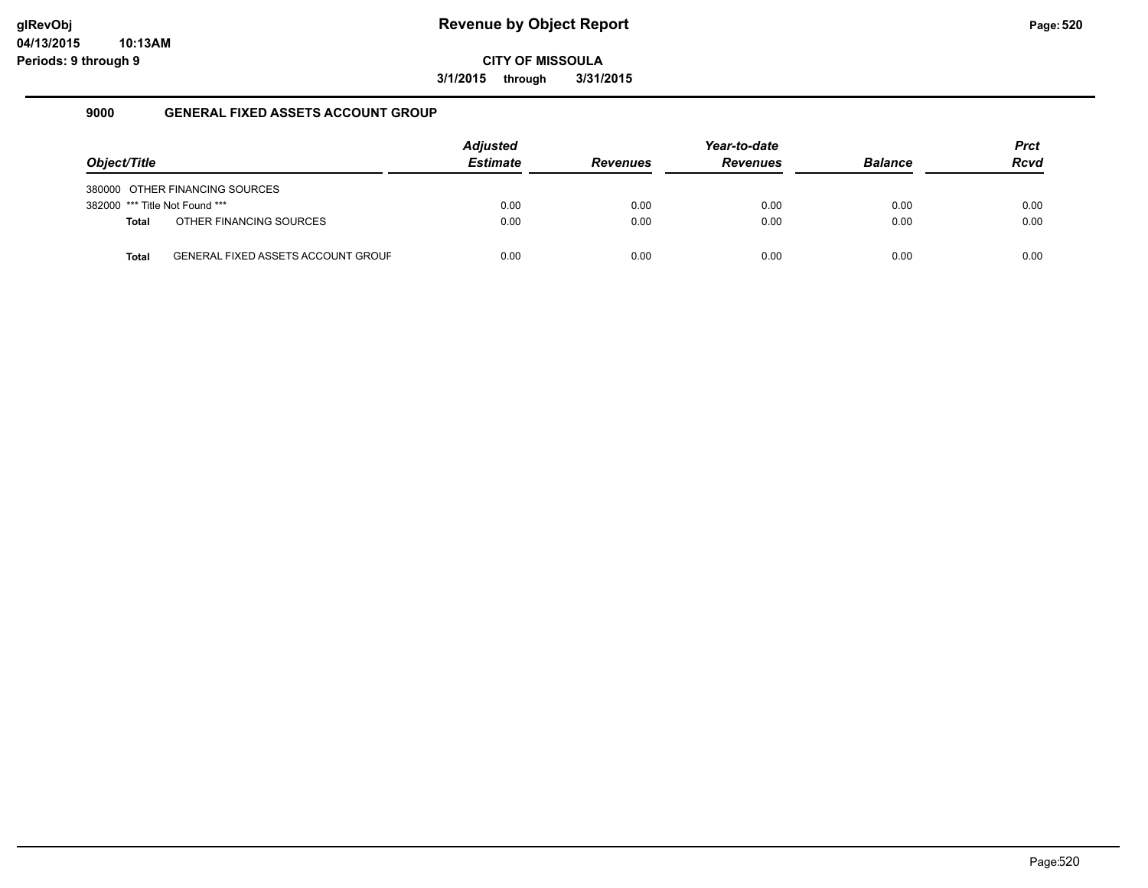**3/1/2015 through 3/31/2015**

#### **9000 GENERAL FIXED ASSETS ACCOUNT GROUP**

|                                |                                           | <b>Adjusted</b> |                 | Year-to-date    |                | <b>Prct</b> |
|--------------------------------|-------------------------------------------|-----------------|-----------------|-----------------|----------------|-------------|
| Object/Title                   |                                           | <b>Estimate</b> | <b>Revenues</b> | <b>Revenues</b> | <b>Balance</b> | <b>Rcvd</b> |
|                                | 380000 OTHER FINANCING SOURCES            |                 |                 |                 |                |             |
| 382000 *** Title Not Found *** |                                           | 0.00            | 0.00            | 0.00            | 0.00           | 0.00        |
| <b>Total</b>                   | OTHER FINANCING SOURCES                   | 0.00            | 0.00            | 0.00            | 0.00           | 0.00        |
| <b>Total</b>                   | <b>GENERAL FIXED ASSETS ACCOUNT GROUF</b> | 0.00            | 0.00            | 0.00            | 0.00           | 0.00        |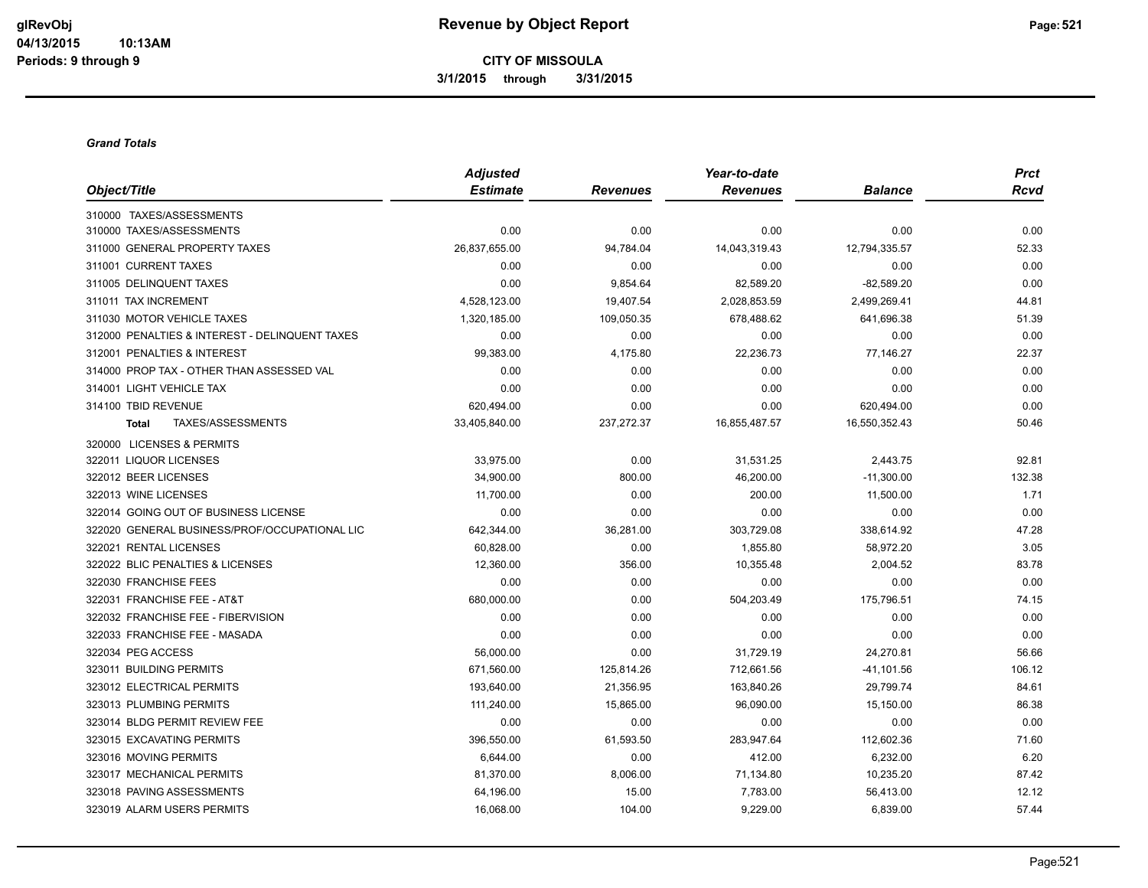**CITY OF MISSOULA 3/1/2015 through 3/31/2015**

#### *Grand Totals*

|                                                | <b>Adjusted</b> |                 | Year-to-date    |                | <b>Prct</b> |
|------------------------------------------------|-----------------|-----------------|-----------------|----------------|-------------|
| Object/Title                                   | <b>Estimate</b> | <b>Revenues</b> | <b>Revenues</b> | <b>Balance</b> | <b>Rcvd</b> |
| 310000 TAXES/ASSESSMENTS                       |                 |                 |                 |                |             |
| 310000 TAXES/ASSESSMENTS                       | 0.00            | 0.00            | 0.00            | 0.00           | 0.00        |
| 311000 GENERAL PROPERTY TAXES                  | 26,837,655.00   | 94,784.04       | 14,043,319.43   | 12,794,335.57  | 52.33       |
| 311001 CURRENT TAXES                           | 0.00            | 0.00            | 0.00            | 0.00           | 0.00        |
| 311005 DELINQUENT TAXES                        | 0.00            | 9,854.64        | 82,589.20       | $-82,589.20$   | 0.00        |
| 311011 TAX INCREMENT                           | 4,528,123.00    | 19,407.54       | 2,028,853.59    | 2,499,269.41   | 44.81       |
| 311030 MOTOR VEHICLE TAXES                     | 1,320,185.00    | 109,050.35      | 678,488.62      | 641,696.38     | 51.39       |
| 312000 PENALTIES & INTEREST - DELINQUENT TAXES | 0.00            | 0.00            | 0.00            | 0.00           | 0.00        |
| 312001 PENALTIES & INTEREST                    | 99,383.00       | 4,175.80        | 22,236.73       | 77,146.27      | 22.37       |
| 314000 PROP TAX - OTHER THAN ASSESSED VAL      | 0.00            | 0.00            | 0.00            | 0.00           | 0.00        |
| 314001 LIGHT VEHICLE TAX                       | 0.00            | 0.00            | 0.00            | 0.00           | 0.00        |
| 314100 TBID REVENUE                            | 620,494.00      | 0.00            | 0.00            | 620,494.00     | 0.00        |
| TAXES/ASSESSMENTS<br><b>Total</b>              | 33,405,840.00   | 237,272.37      | 16,855,487.57   | 16,550,352.43  | 50.46       |
| 320000 LICENSES & PERMITS                      |                 |                 |                 |                |             |
| 322011 LIQUOR LICENSES                         | 33,975.00       | 0.00            | 31,531.25       | 2,443.75       | 92.81       |
| 322012 BEER LICENSES                           | 34,900.00       | 800.00          | 46,200.00       | $-11,300.00$   | 132.38      |
| 322013 WINE LICENSES                           | 11,700.00       | 0.00            | 200.00          | 11,500.00      | 1.71        |
| 322014 GOING OUT OF BUSINESS LICENSE           | 0.00            | 0.00            | 0.00            | 0.00           | 0.00        |
| 322020 GENERAL BUSINESS/PROF/OCCUPATIONAL LIC  | 642,344.00      | 36,281.00       | 303,729.08      | 338,614.92     | 47.28       |
| 322021 RENTAL LICENSES                         | 60,828.00       | 0.00            | 1,855.80        | 58,972.20      | 3.05        |
| 322022 BLIC PENALTIES & LICENSES               | 12,360.00       | 356.00          | 10,355.48       | 2,004.52       | 83.78       |
| 322030 FRANCHISE FEES                          | 0.00            | 0.00            | 0.00            | 0.00           | 0.00        |
| 322031 FRANCHISE FEE - AT&T                    | 680,000.00      | 0.00            | 504,203.49      | 175,796.51     | 74.15       |
| 322032 FRANCHISE FEE - FIBERVISION             | 0.00            | 0.00            | 0.00            | 0.00           | 0.00        |
| 322033 FRANCHISE FEE - MASADA                  | 0.00            | 0.00            | 0.00            | 0.00           | 0.00        |
| 322034 PEG ACCESS                              | 56,000.00       | 0.00            | 31,729.19       | 24,270.81      | 56.66       |
| 323011 BUILDING PERMITS                        | 671,560.00      | 125,814.26      | 712,661.56      | $-41,101.56$   | 106.12      |
| 323012 ELECTRICAL PERMITS                      | 193,640.00      | 21,356.95       | 163,840.26      | 29,799.74      | 84.61       |
| 323013 PLUMBING PERMITS                        | 111,240.00      | 15,865.00       | 96,090.00       | 15,150.00      | 86.38       |
| 323014 BLDG PERMIT REVIEW FEE                  | 0.00            | 0.00            | 0.00            | 0.00           | 0.00        |
| 323015 EXCAVATING PERMITS                      | 396,550.00      | 61,593.50       | 283,947.64      | 112,602.36     | 71.60       |
| 323016 MOVING PERMITS                          | 6,644.00        | 0.00            | 412.00          | 6,232.00       | 6.20        |
| 323017 MECHANICAL PERMITS                      | 81,370.00       | 8,006.00        | 71,134.80       | 10,235.20      | 87.42       |
| 323018 PAVING ASSESSMENTS                      | 64,196.00       | 15.00           | 7,783.00        | 56,413.00      | 12.12       |
| 323019 ALARM USERS PERMITS                     | 16,068.00       | 104.00          | 9,229.00        | 6,839.00       | 57.44       |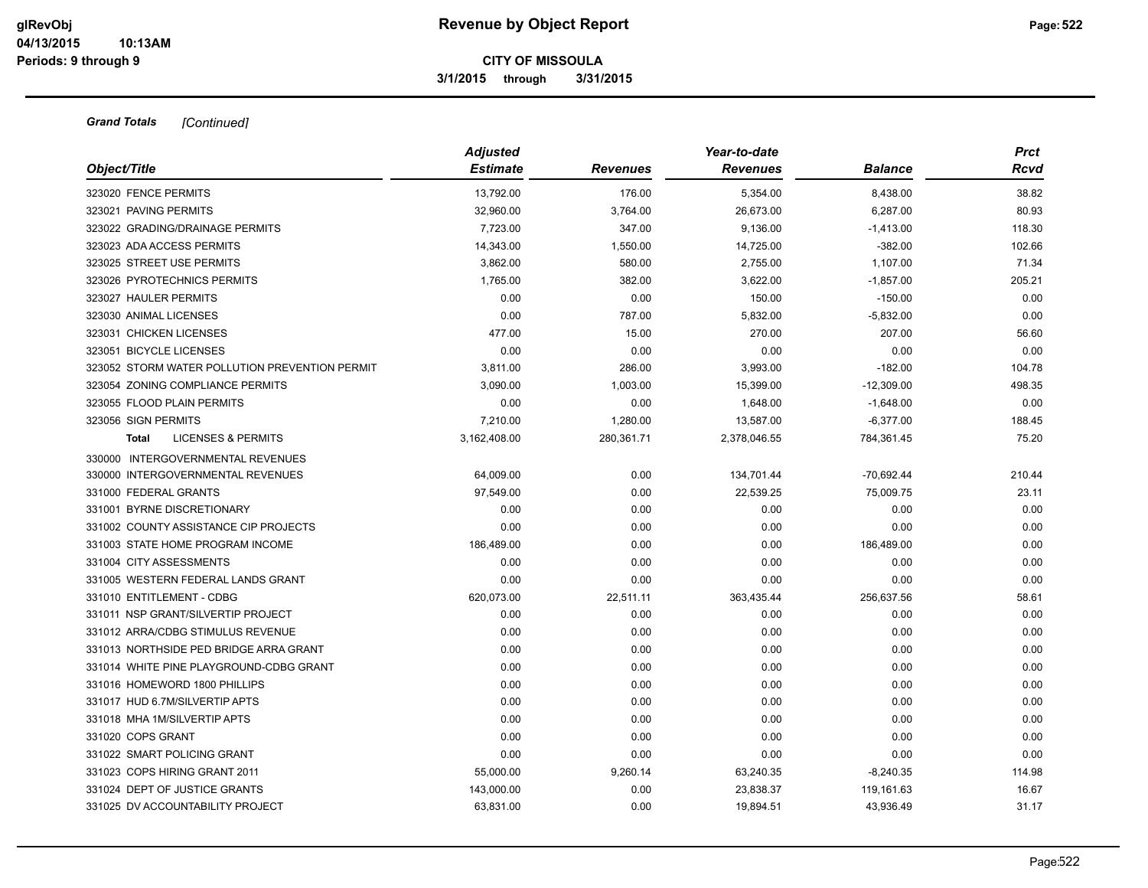**3/1/2015 through 3/31/2015**

| Object/Title                                   | <b>Adjusted</b><br><b>Estimate</b> | <b>Revenues</b> | Year-to-date<br><b>Revenues</b> | <b>Balance</b> | Prct<br>Rcvd |
|------------------------------------------------|------------------------------------|-----------------|---------------------------------|----------------|--------------|
| 323020 FENCE PERMITS                           | 13,792.00                          | 176.00          | 5,354.00                        | 8,438.00       | 38.82        |
| 323021 PAVING PERMITS                          | 32,960.00                          | 3,764.00        | 26,673.00                       | 6,287.00       | 80.93        |
| 323022 GRADING/DRAINAGE PERMITS                | 7,723.00                           | 347.00          | 9,136.00                        | $-1,413.00$    | 118.30       |
| 323023 ADA ACCESS PERMITS                      | 14,343.00                          | 1,550.00        | 14,725.00                       | $-382.00$      | 102.66       |
| 323025 STREET USE PERMITS                      | 3,862.00                           | 580.00          | 2,755.00                        | 1,107.00       | 71.34        |
| 323026 PYROTECHNICS PERMITS                    | 1,765.00                           | 382.00          | 3,622.00                        | $-1,857.00$    | 205.21       |
| 323027 HAULER PERMITS                          | 0.00                               | 0.00            | 150.00                          | $-150.00$      | 0.00         |
| 323030 ANIMAL LICENSES                         | 0.00                               | 787.00          | 5,832.00                        | $-5,832.00$    | 0.00         |
| 323031 CHICKEN LICENSES                        | 477.00                             | 15.00           | 270.00                          | 207.00         | 56.60        |
| 323051 BICYCLE LICENSES                        | 0.00                               | 0.00            | 0.00                            | 0.00           | 0.00         |
| 323052 STORM WATER POLLUTION PREVENTION PERMIT | 3,811.00                           | 286.00          | 3,993.00                        | $-182.00$      | 104.78       |
| 323054 ZONING COMPLIANCE PERMITS               | 3,090.00                           | 1,003.00        | 15,399.00                       | $-12,309.00$   | 498.35       |
| 323055 FLOOD PLAIN PERMITS                     | 0.00                               | 0.00            | 1,648.00                        | $-1,648.00$    | 0.00         |
| 323056 SIGN PERMITS                            | 7,210.00                           | 1,280.00        | 13,587.00                       | $-6,377.00$    | 188.45       |
| <b>LICENSES &amp; PERMITS</b><br><b>Total</b>  | 3,162,408.00                       | 280,361.71      | 2,378,046.55                    | 784,361.45     | 75.20        |
| 330000 INTERGOVERNMENTAL REVENUES              |                                    |                 |                                 |                |              |
| 330000 INTERGOVERNMENTAL REVENUES              | 64,009.00                          | 0.00            | 134,701.44                      | $-70,692.44$   | 210.44       |
| 331000 FEDERAL GRANTS                          | 97,549.00                          | 0.00            | 22,539.25                       | 75,009.75      | 23.11        |
| 331001 BYRNE DISCRETIONARY                     | 0.00                               | 0.00            | 0.00                            | 0.00           | 0.00         |
| 331002 COUNTY ASSISTANCE CIP PROJECTS          | 0.00                               | 0.00            | 0.00                            | 0.00           | 0.00         |
| 331003 STATE HOME PROGRAM INCOME               | 186,489.00                         | 0.00            | 0.00                            | 186,489.00     | 0.00         |
| 331004 CITY ASSESSMENTS                        | 0.00                               | 0.00            | 0.00                            | 0.00           | 0.00         |
| 331005 WESTERN FEDERAL LANDS GRANT             | 0.00                               | 0.00            | 0.00                            | 0.00           | 0.00         |
| 331010 ENTITLEMENT - CDBG                      | 620,073.00                         | 22,511.11       | 363,435.44                      | 256,637.56     | 58.61        |
| 331011 NSP GRANT/SILVERTIP PROJECT             | 0.00                               | 0.00            | 0.00                            | 0.00           | 0.00         |
| 331012 ARRA/CDBG STIMULUS REVENUE              | 0.00                               | 0.00            | 0.00                            | 0.00           | 0.00         |
| 331013 NORTHSIDE PED BRIDGE ARRA GRANT         | 0.00                               | 0.00            | 0.00                            | 0.00           | 0.00         |
| 331014 WHITE PINE PLAYGROUND-CDBG GRANT        | 0.00                               | 0.00            | 0.00                            | 0.00           | 0.00         |
| 331016 HOMEWORD 1800 PHILLIPS                  | 0.00                               | 0.00            | 0.00                            | 0.00           | 0.00         |
| 331017 HUD 6.7M/SILVERTIP APTS                 | 0.00                               | 0.00            | 0.00                            | 0.00           | 0.00         |
| 331018 MHA 1M/SILVERTIP APTS                   | 0.00                               | 0.00            | 0.00                            | 0.00           | 0.00         |
| 331020 COPS GRANT                              | 0.00                               | 0.00            | 0.00                            | 0.00           | 0.00         |
| 331022 SMART POLICING GRANT                    | 0.00                               | 0.00            | 0.00                            | 0.00           | 0.00         |
| 331023 COPS HIRING GRANT 2011                  | 55,000.00                          | 9,260.14        | 63,240.35                       | $-8,240.35$    | 114.98       |
| 331024 DEPT OF JUSTICE GRANTS                  | 143,000.00                         | 0.00            | 23,838.37                       | 119,161.63     | 16.67        |
| 331025 DV ACCOUNTABILITY PROJECT               | 63.831.00                          | 0.00            | 19.894.51                       | 43.936.49      | 31.17        |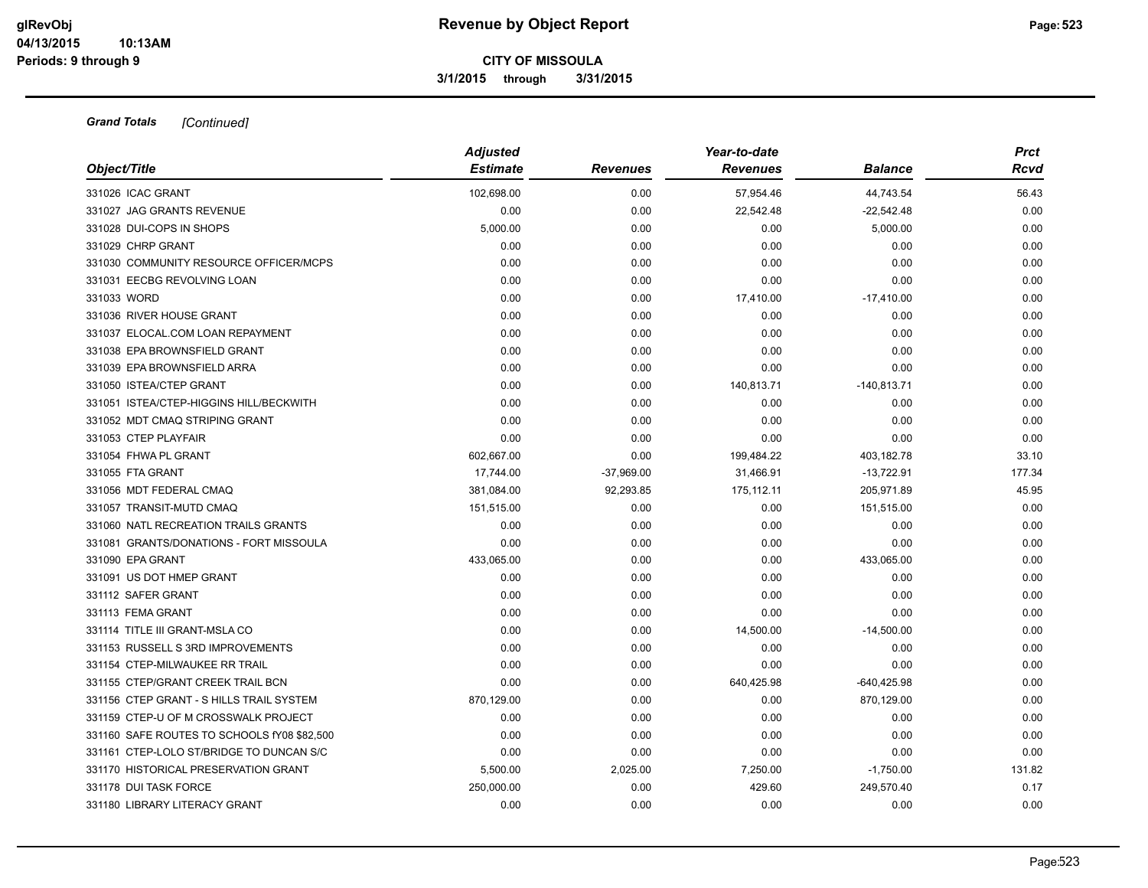**3/1/2015 through 3/31/2015**

|                                             | <b>Adjusted</b> |                 | Year-to-date    |                | <b>Prct</b> |
|---------------------------------------------|-----------------|-----------------|-----------------|----------------|-------------|
| Object/Title                                | <b>Estimate</b> | <b>Revenues</b> | <b>Revenues</b> | <b>Balance</b> | Rcvd        |
| 331026 ICAC GRANT                           | 102,698.00      | 0.00            | 57,954.46       | 44,743.54      | 56.43       |
| 331027 JAG GRANTS REVENUE                   | 0.00            | 0.00            | 22,542.48       | $-22,542.48$   | 0.00        |
| 331028 DUI-COPS IN SHOPS                    | 5,000.00        | 0.00            | 0.00            | 5,000.00       | 0.00        |
| 331029 CHRP GRANT                           | 0.00            | 0.00            | 0.00            | 0.00           | 0.00        |
| 331030 COMMUNITY RESOURCE OFFICER/MCPS      | 0.00            | 0.00            | 0.00            | 0.00           | 0.00        |
| 331031 EECBG REVOLVING LOAN                 | 0.00            | 0.00            | 0.00            | 0.00           | 0.00        |
| 331033 WORD                                 | 0.00            | 0.00            | 17,410.00       | $-17,410.00$   | 0.00        |
| 331036 RIVER HOUSE GRANT                    | 0.00            | 0.00            | 0.00            | 0.00           | 0.00        |
| 331037 ELOCAL.COM LOAN REPAYMENT            | 0.00            | 0.00            | 0.00            | 0.00           | 0.00        |
| 331038 EPA BROWNSFIELD GRANT                | 0.00            | 0.00            | 0.00            | 0.00           | 0.00        |
| 331039 EPA BROWNSFIELD ARRA                 | 0.00            | 0.00            | 0.00            | 0.00           | 0.00        |
| 331050 ISTEA/CTEP GRANT                     | 0.00            | 0.00            | 140,813.71      | -140,813.71    | 0.00        |
| 331051 ISTEA/CTEP-HIGGINS HILL/BECKWITH     | 0.00            | 0.00            | 0.00            | 0.00           | 0.00        |
| 331052 MDT CMAQ STRIPING GRANT              | 0.00            | 0.00            | 0.00            | 0.00           | 0.00        |
| 331053 CTEP PLAYFAIR                        | 0.00            | 0.00            | 0.00            | 0.00           | 0.00        |
| 331054 FHWA PL GRANT                        | 602,667.00      | 0.00            | 199,484.22      | 403,182.78     | 33.10       |
| 331055 FTA GRANT                            | 17,744.00       | $-37,969.00$    | 31,466.91       | $-13,722.91$   | 177.34      |
| 331056 MDT FEDERAL CMAQ                     | 381,084.00      | 92,293.85       | 175, 112.11     | 205,971.89     | 45.95       |
| 331057 TRANSIT-MUTD CMAQ                    | 151,515.00      | 0.00            | 0.00            | 151,515.00     | 0.00        |
| 331060 NATL RECREATION TRAILS GRANTS        | 0.00            | 0.00            | 0.00            | 0.00           | 0.00        |
| 331081 GRANTS/DONATIONS - FORT MISSOULA     | 0.00            | 0.00            | 0.00            | 0.00           | 0.00        |
| 331090 EPA GRANT                            | 433,065.00      | 0.00            | 0.00            | 433,065.00     | 0.00        |
| 331091 US DOT HMEP GRANT                    | 0.00            | 0.00            | 0.00            | 0.00           | 0.00        |
| 331112 SAFER GRANT                          | 0.00            | 0.00            | 0.00            | 0.00           | 0.00        |
| 331113 FEMA GRANT                           | 0.00            | 0.00            | 0.00            | 0.00           | 0.00        |
| 331114 TITLE III GRANT-MSLA CO              | 0.00            | 0.00            | 14,500.00       | $-14,500.00$   | 0.00        |
| 331153 RUSSELL S 3RD IMPROVEMENTS           | 0.00            | 0.00            | 0.00            | 0.00           | 0.00        |
| 331154 CTEP-MILWAUKEE RR TRAIL              | 0.00            | 0.00            | 0.00            | 0.00           | 0.00        |
| 331155 CTEP/GRANT CREEK TRAIL BCN           | 0.00            | 0.00            | 640,425.98      | -640,425.98    | 0.00        |
| 331156 CTEP GRANT - S HILLS TRAIL SYSTEM    | 870,129.00      | 0.00            | 0.00            | 870,129.00     | 0.00        |
| 331159 CTEP-U OF M CROSSWALK PROJECT        | 0.00            | 0.00            | 0.00            | 0.00           | 0.00        |
| 331160 SAFE ROUTES TO SCHOOLS fY08 \$82,500 | 0.00            | 0.00            | 0.00            | 0.00           | 0.00        |
| 331161 CTEP-LOLO ST/BRIDGE TO DUNCAN S/C    | 0.00            | 0.00            | 0.00            | 0.00           | 0.00        |
| 331170 HISTORICAL PRESERVATION GRANT        | 5,500.00        | 2,025.00        | 7,250.00        | $-1,750.00$    | 131.82      |
| 331178 DUI TASK FORCE                       | 250,000.00      | 0.00            | 429.60          | 249,570.40     | 0.17        |
| 331180 LIBRARY LITERACY GRANT               | 0.00            | 0.00            | 0.00            | 0.00           | 0.00        |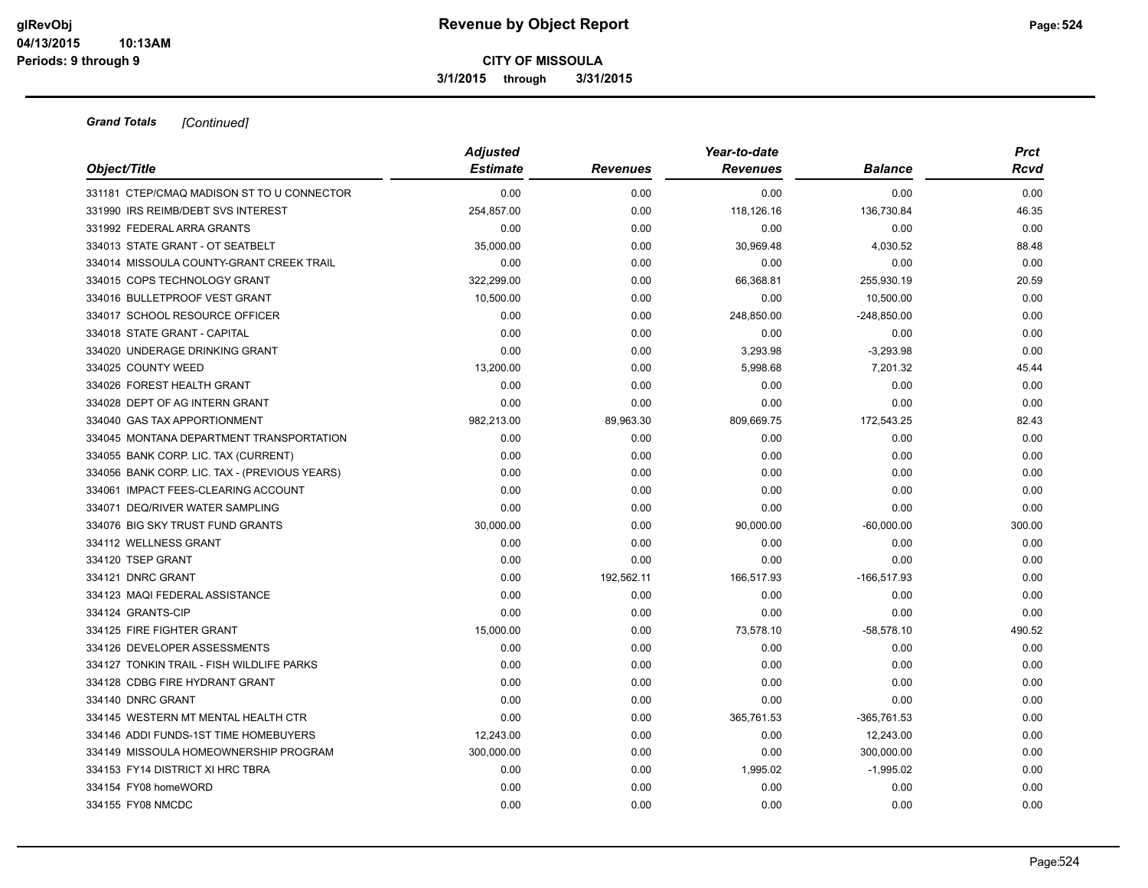**3/1/2015 through 3/31/2015**

|                                               | <b>Adjusted</b> |                 | Year-to-date    |                | <b>Prct</b> |  |
|-----------------------------------------------|-----------------|-----------------|-----------------|----------------|-------------|--|
| Object/Title                                  | <b>Estimate</b> | <b>Revenues</b> | <b>Revenues</b> | <b>Balance</b> | Rcvd        |  |
| 331181 CTEP/CMAQ MADISON ST TO U CONNECTOR    | 0.00            | 0.00            | 0.00            | 0.00           | 0.00        |  |
| 331990 IRS REIMB/DEBT SVS INTEREST            | 254,857.00      | 0.00            | 118,126.16      | 136,730.84     | 46.35       |  |
| 331992 FEDERAL ARRA GRANTS                    | 0.00            | 0.00            | 0.00            | 0.00           | 0.00        |  |
| 334013 STATE GRANT - OT SEATBELT              | 35,000.00       | 0.00            | 30,969.48       | 4,030.52       | 88.48       |  |
| 334014 MISSOULA COUNTY-GRANT CREEK TRAIL      | 0.00            | 0.00            | 0.00            | 0.00           | 0.00        |  |
| 334015 COPS TECHNOLOGY GRANT                  | 322.299.00      | 0.00            | 66,368.81       | 255,930.19     | 20.59       |  |
| 334016 BULLETPROOF VEST GRANT                 | 10,500.00       | 0.00            | 0.00            | 10,500.00      | 0.00        |  |
| 334017 SCHOOL RESOURCE OFFICER                | 0.00            | 0.00            | 248,850.00      | $-248,850.00$  | 0.00        |  |
| 334018 STATE GRANT - CAPITAL                  | 0.00            | 0.00            | 0.00            | 0.00           | 0.00        |  |
| 334020 UNDERAGE DRINKING GRANT                | 0.00            | 0.00            | 3,293.98        | $-3,293.98$    | 0.00        |  |
| 334025 COUNTY WEED                            | 13,200.00       | 0.00            | 5,998.68        | 7,201.32       | 45.44       |  |
| 334026 FOREST HEALTH GRANT                    | 0.00            | 0.00            | 0.00            | 0.00           | 0.00        |  |
| 334028 DEPT OF AG INTERN GRANT                | 0.00            | 0.00            | 0.00            | 0.00           | 0.00        |  |
| 334040 GAS TAX APPORTIONMENT                  | 982,213.00      | 89,963.30       | 809,669.75      | 172,543.25     | 82.43       |  |
| 334045 MONTANA DEPARTMENT TRANSPORTATION      | 0.00            | 0.00            | 0.00            | 0.00           | 0.00        |  |
| 334055 BANK CORP. LIC. TAX (CURRENT)          | 0.00            | 0.00            | 0.00            | 0.00           | 0.00        |  |
| 334056 BANK CORP. LIC. TAX - (PREVIOUS YEARS) | 0.00            | 0.00            | 0.00            | 0.00           | 0.00        |  |
| 334061 IMPACT FEES-CLEARING ACCOUNT           | 0.00            | 0.00            | 0.00            | 0.00           | 0.00        |  |
| 334071 DEQ/RIVER WATER SAMPLING               | 0.00            | 0.00            | 0.00            | 0.00           | 0.00        |  |
| 334076 BIG SKY TRUST FUND GRANTS              | 30,000.00       | 0.00            | 90,000.00       | $-60,000.00$   | 300.00      |  |
| 334112 WELLNESS GRANT                         | 0.00            | 0.00            | 0.00            | 0.00           | 0.00        |  |
| 334120 TSEP GRANT                             | 0.00            | 0.00            | 0.00            | 0.00           | 0.00        |  |
| 334121 DNRC GRANT                             | 0.00            | 192,562.11      | 166,517.93      | $-166,517.93$  | 0.00        |  |
| 334123 MAQI FEDERAL ASSISTANCE                | 0.00            | 0.00            | 0.00            | 0.00           | 0.00        |  |
| 334124 GRANTS-CIP                             | 0.00            | 0.00            | 0.00            | 0.00           | 0.00        |  |
| 334125 FIRE FIGHTER GRANT                     | 15,000.00       | 0.00            | 73,578.10       | $-58,578.10$   | 490.52      |  |
| 334126 DEVELOPER ASSESSMENTS                  | 0.00            | 0.00            | 0.00            | 0.00           | 0.00        |  |
| 334127 TONKIN TRAIL - FISH WILDLIFE PARKS     | 0.00            | 0.00            | 0.00            | 0.00           | 0.00        |  |
| 334128 CDBG FIRE HYDRANT GRANT                | 0.00            | 0.00            | 0.00            | 0.00           | 0.00        |  |
| 334140 DNRC GRANT                             | 0.00            | 0.00            | 0.00            | 0.00           | 0.00        |  |
| 334145 WESTERN MT MENTAL HEALTH CTR           | 0.00            | 0.00            | 365,761.53      | $-365,761.53$  | 0.00        |  |
| 334146 ADDI FUNDS-1ST TIME HOMEBUYERS         | 12,243.00       | 0.00            | 0.00            | 12,243.00      | 0.00        |  |
| 334149 MISSOULA HOMEOWNERSHIP PROGRAM         | 300,000.00      | 0.00            | 0.00            | 300,000.00     | 0.00        |  |
| 334153 FY14 DISTRICT XI HRC TBRA              | 0.00            | 0.00            | 1,995.02        | $-1,995.02$    | 0.00        |  |
| 334154 FY08 homeWORD                          | 0.00            | 0.00            | 0.00            | 0.00           | 0.00        |  |
| 334155 FY08 NMCDC                             | 0.00            | 0.00            | 0.00            | 0.00           | 0.00        |  |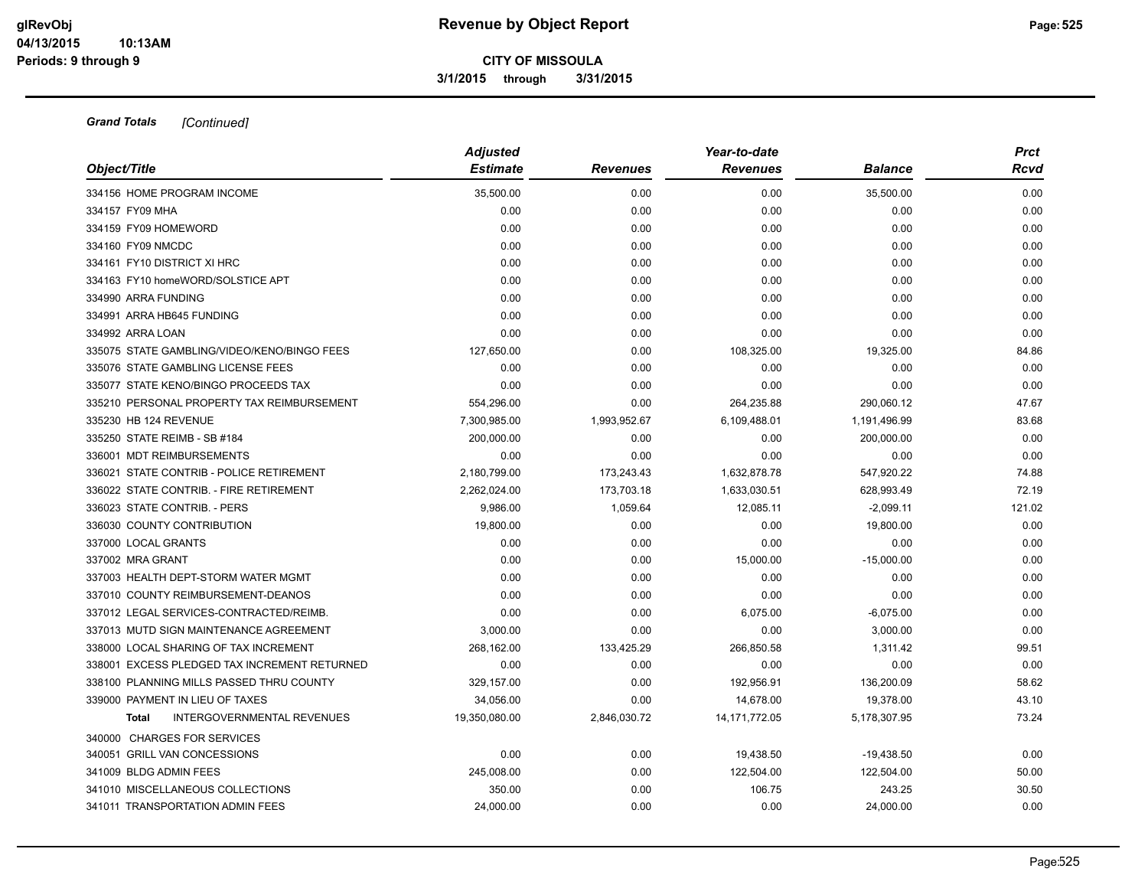**3/1/2015 through 3/31/2015**

|                                                   | <b>Adjusted</b> |                 | Year-to-date    |                | <b>Prct</b> |  |
|---------------------------------------------------|-----------------|-----------------|-----------------|----------------|-------------|--|
| Object/Title                                      | <b>Estimate</b> | <b>Revenues</b> | <b>Revenues</b> | <b>Balance</b> | Rcvd        |  |
| 334156 HOME PROGRAM INCOME                        | 35,500.00       | 0.00            | 0.00            | 35,500.00      | 0.00        |  |
| 334157 FY09 MHA                                   | 0.00            | 0.00            | 0.00            | 0.00           | 0.00        |  |
| 334159 FY09 HOMEWORD                              | 0.00            | 0.00            | 0.00            | 0.00           | 0.00        |  |
| 334160 FY09 NMCDC                                 | 0.00            | 0.00            | 0.00            | 0.00           | 0.00        |  |
| 334161 FY10 DISTRICT XI HRC                       | 0.00            | 0.00            | 0.00            | 0.00           | 0.00        |  |
| 334163 FY10 homeWORD/SOLSTICE APT                 | 0.00            | 0.00            | 0.00            | 0.00           | 0.00        |  |
| 334990 ARRA FUNDING                               | 0.00            | 0.00            | 0.00            | 0.00           | 0.00        |  |
| 334991 ARRA HB645 FUNDING                         | 0.00            | 0.00            | 0.00            | 0.00           | 0.00        |  |
| 334992 ARRA LOAN                                  | 0.00            | 0.00            | 0.00            | 0.00           | 0.00        |  |
| 335075 STATE GAMBLING/VIDEO/KENO/BINGO FEES       | 127,650.00      | 0.00            | 108,325.00      | 19,325.00      | 84.86       |  |
| 335076 STATE GAMBLING LICENSE FEES                | 0.00            | 0.00            | 0.00            | 0.00           | 0.00        |  |
| 335077 STATE KENO/BINGO PROCEEDS TAX              | 0.00            | 0.00            | 0.00            | 0.00           | 0.00        |  |
| 335210 PERSONAL PROPERTY TAX REIMBURSEMENT        | 554,296.00      | 0.00            | 264,235.88      | 290,060.12     | 47.67       |  |
| 335230 HB 124 REVENUE                             | 7,300,985.00    | 1,993,952.67    | 6,109,488.01    | 1,191,496.99   | 83.68       |  |
| 335250 STATE REIMB - SB #184                      | 200.000.00      | 0.00            | 0.00            | 200,000.00     | 0.00        |  |
| 336001 MDT REIMBURSEMENTS                         | 0.00            | 0.00            | 0.00            | 0.00           | 0.00        |  |
| 336021 STATE CONTRIB - POLICE RETIREMENT          | 2,180,799.00    | 173,243.43      | 1,632,878.78    | 547,920.22     | 74.88       |  |
| 336022 STATE CONTRIB. - FIRE RETIREMENT           | 2,262,024.00    | 173,703.18      | 1,633,030.51    | 628,993.49     | 72.19       |  |
| 336023 STATE CONTRIB. - PERS                      | 9,986.00        | 1,059.64        | 12,085.11       | $-2,099.11$    | 121.02      |  |
| 336030 COUNTY CONTRIBUTION                        | 19,800.00       | 0.00            | 0.00            | 19,800.00      | 0.00        |  |
| 337000 LOCAL GRANTS                               | 0.00            | 0.00            | 0.00            | 0.00           | 0.00        |  |
| 337002 MRA GRANT                                  | 0.00            | 0.00            | 15,000.00       | $-15,000.00$   | 0.00        |  |
| 337003 HEALTH DEPT-STORM WATER MGMT               | 0.00            | 0.00            | 0.00            | 0.00           | 0.00        |  |
| 337010 COUNTY REIMBURSEMENT-DEANOS                | 0.00            | 0.00            | 0.00            | 0.00           | 0.00        |  |
| 337012 LEGAL SERVICES-CONTRACTED/REIMB.           | 0.00            | 0.00            | 6,075.00        | $-6,075.00$    | 0.00        |  |
| 337013 MUTD SIGN MAINTENANCE AGREEMENT            | 3,000.00        | 0.00            | 0.00            | 3,000.00       | 0.00        |  |
| 338000 LOCAL SHARING OF TAX INCREMENT             | 268,162.00      | 133,425.29      | 266,850.58      | 1,311.42       | 99.51       |  |
| 338001 EXCESS PLEDGED TAX INCREMENT RETURNED      | 0.00            | 0.00            | 0.00            | 0.00           | 0.00        |  |
| 338100 PLANNING MILLS PASSED THRU COUNTY          | 329,157.00      | 0.00            | 192,956.91      | 136,200.09     | 58.62       |  |
| 339000 PAYMENT IN LIEU OF TAXES                   | 34,056.00       | 0.00            | 14,678.00       | 19,378.00      | 43.10       |  |
| <b>INTERGOVERNMENTAL REVENUES</b><br><b>Total</b> | 19,350,080.00   | 2,846,030.72    | 14, 171, 772.05 | 5,178,307.95   | 73.24       |  |
| 340000 CHARGES FOR SERVICES                       |                 |                 |                 |                |             |  |
| 340051 GRILL VAN CONCESSIONS                      | 0.00            | 0.00            | 19,438.50       | $-19,438.50$   | 0.00        |  |
| 341009 BLDG ADMIN FEES                            | 245,008.00      | 0.00            | 122,504.00      | 122,504.00     | 50.00       |  |
| 341010 MISCELLANEOUS COLLECTIONS                  | 350.00          | 0.00            | 106.75          | 243.25         | 30.50       |  |
| 341011 TRANSPORTATION ADMIN FEES                  | 24,000.00       | 0.00            | 0.00            | 24,000.00      | 0.00        |  |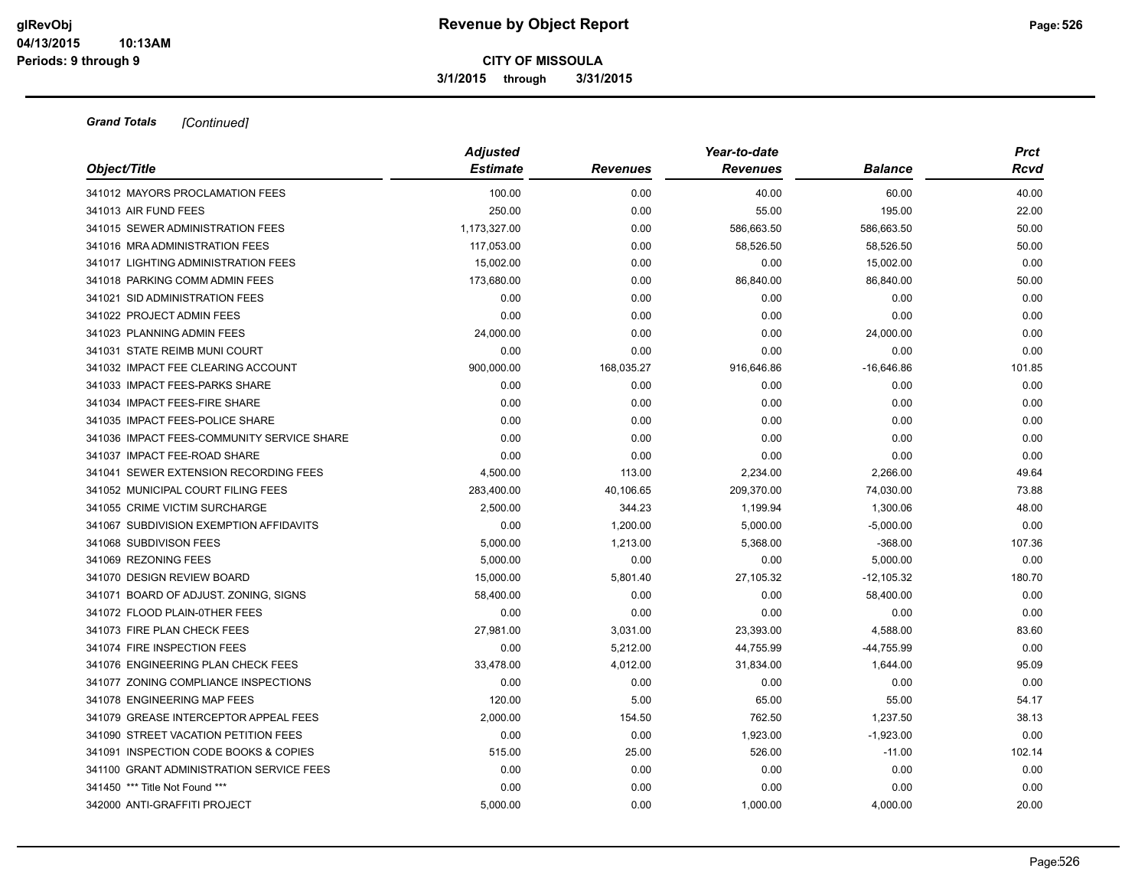### **CITY OF MISSOULA 3/1/2015 through 3/31/2015**

|                                            | <b>Adjusted</b> |                 | Year-to-date    |                | <b>Prct</b> |  |
|--------------------------------------------|-----------------|-----------------|-----------------|----------------|-------------|--|
| Object/Title                               | <b>Estimate</b> | <b>Revenues</b> | <b>Revenues</b> | <b>Balance</b> | Rcvd        |  |
| 341012 MAYORS PROCLAMATION FEES            | 100.00          | 0.00            | 40.00           | 60.00          | 40.00       |  |
| 341013 AIR FUND FEES                       | 250.00          | 0.00            | 55.00           | 195.00         | 22.00       |  |
| 341015 SEWER ADMINISTRATION FEES           | 1,173,327.00    | 0.00            | 586,663.50      | 586,663.50     | 50.00       |  |
| 341016 MRA ADMINISTRATION FEES             | 117,053.00      | 0.00            | 58,526.50       | 58,526.50      | 50.00       |  |
| 341017 LIGHTING ADMINISTRATION FEES        | 15,002.00       | 0.00            | 0.00            | 15,002.00      | 0.00        |  |
| 341018 PARKING COMM ADMIN FEES             | 173,680.00      | 0.00            | 86,840.00       | 86,840.00      | 50.00       |  |
| 341021 SID ADMINISTRATION FEES             | 0.00            | 0.00            | 0.00            | 0.00           | 0.00        |  |
| 341022 PROJECT ADMIN FEES                  | 0.00            | 0.00            | 0.00            | 0.00           | 0.00        |  |
| 341023 PLANNING ADMIN FEES                 | 24,000.00       | 0.00            | 0.00            | 24,000.00      | 0.00        |  |
| 341031 STATE REIMB MUNI COURT              | 0.00            | 0.00            | 0.00            | 0.00           | 0.00        |  |
| 341032 IMPACT FEE CLEARING ACCOUNT         | 900,000.00      | 168,035.27      | 916,646.86      | $-16,646.86$   | 101.85      |  |
| 341033 IMPACT FEES-PARKS SHARE             | 0.00            | 0.00            | 0.00            | 0.00           | 0.00        |  |
| 341034 IMPACT FEES-FIRE SHARE              | 0.00            | 0.00            | 0.00            | 0.00           | 0.00        |  |
| 341035 IMPACT FEES-POLICE SHARE            | 0.00            | 0.00            | 0.00            | 0.00           | 0.00        |  |
| 341036 IMPACT FEES-COMMUNITY SERVICE SHARE | 0.00            | 0.00            | 0.00            | 0.00           | 0.00        |  |
| 341037 IMPACT FEE-ROAD SHARE               | 0.00            | 0.00            | 0.00            | 0.00           | 0.00        |  |
| 341041 SEWER EXTENSION RECORDING FEES      | 4,500.00        | 113.00          | 2,234.00        | 2,266.00       | 49.64       |  |
| 341052 MUNICIPAL COURT FILING FEES         | 283,400.00      | 40,106.65       | 209,370.00      | 74,030.00      | 73.88       |  |
| 341055 CRIME VICTIM SURCHARGE              | 2,500.00        | 344.23          | 1,199.94        | 1,300.06       | 48.00       |  |
| 341067 SUBDIVISION EXEMPTION AFFIDAVITS    | 0.00            | 1,200.00        | 5,000.00        | $-5,000.00$    | 0.00        |  |
| 341068 SUBDIVISON FEES                     | 5,000.00        | 1,213.00        | 5,368.00        | $-368.00$      | 107.36      |  |
| 341069 REZONING FEES                       | 5,000.00        | 0.00            | 0.00            | 5,000.00       | 0.00        |  |
| 341070 DESIGN REVIEW BOARD                 | 15,000.00       | 5,801.40        | 27,105.32       | $-12,105.32$   | 180.70      |  |
| 341071 BOARD OF ADJUST. ZONING, SIGNS      | 58,400.00       | 0.00            | 0.00            | 58,400.00      | 0.00        |  |
| 341072 FLOOD PLAIN-0THER FEES              | 0.00            | 0.00            | 0.00            | 0.00           | 0.00        |  |
| 341073 FIRE PLAN CHECK FEES                | 27,981.00       | 3,031.00        | 23,393.00       | 4,588.00       | 83.60       |  |
| 341074 FIRE INSPECTION FEES                | 0.00            | 5,212.00        | 44,755.99       | $-44,755.99$   | 0.00        |  |
| 341076 ENGINEERING PLAN CHECK FEES         | 33,478.00       | 4,012.00        | 31,834.00       | 1,644.00       | 95.09       |  |
| 341077 ZONING COMPLIANCE INSPECTIONS       | 0.00            | 0.00            | 0.00            | 0.00           | 0.00        |  |
| 341078 ENGINEERING MAP FEES                | 120.00          | 5.00            | 65.00           | 55.00          | 54.17       |  |
| 341079 GREASE INTERCEPTOR APPEAL FEES      | 2,000.00        | 154.50          | 762.50          | 1,237.50       | 38.13       |  |
| 341090 STREET VACATION PETITION FEES       | 0.00            | 0.00            | 1,923.00        | $-1,923.00$    | 0.00        |  |
| 341091 INSPECTION CODE BOOKS & COPIES      | 515.00          | 25.00           | 526.00          | $-11.00$       | 102.14      |  |
| 341100 GRANT ADMINISTRATION SERVICE FEES   | 0.00            | 0.00            | 0.00            | 0.00           | 0.00        |  |
| 341450 *** Title Not Found ***             | 0.00            | 0.00            | 0.00            | 0.00           | 0.00        |  |
| 342000 ANTI-GRAFFITI PROJECT               | 5,000.00        | 0.00            | 1,000.00        | 4,000.00       | 20.00       |  |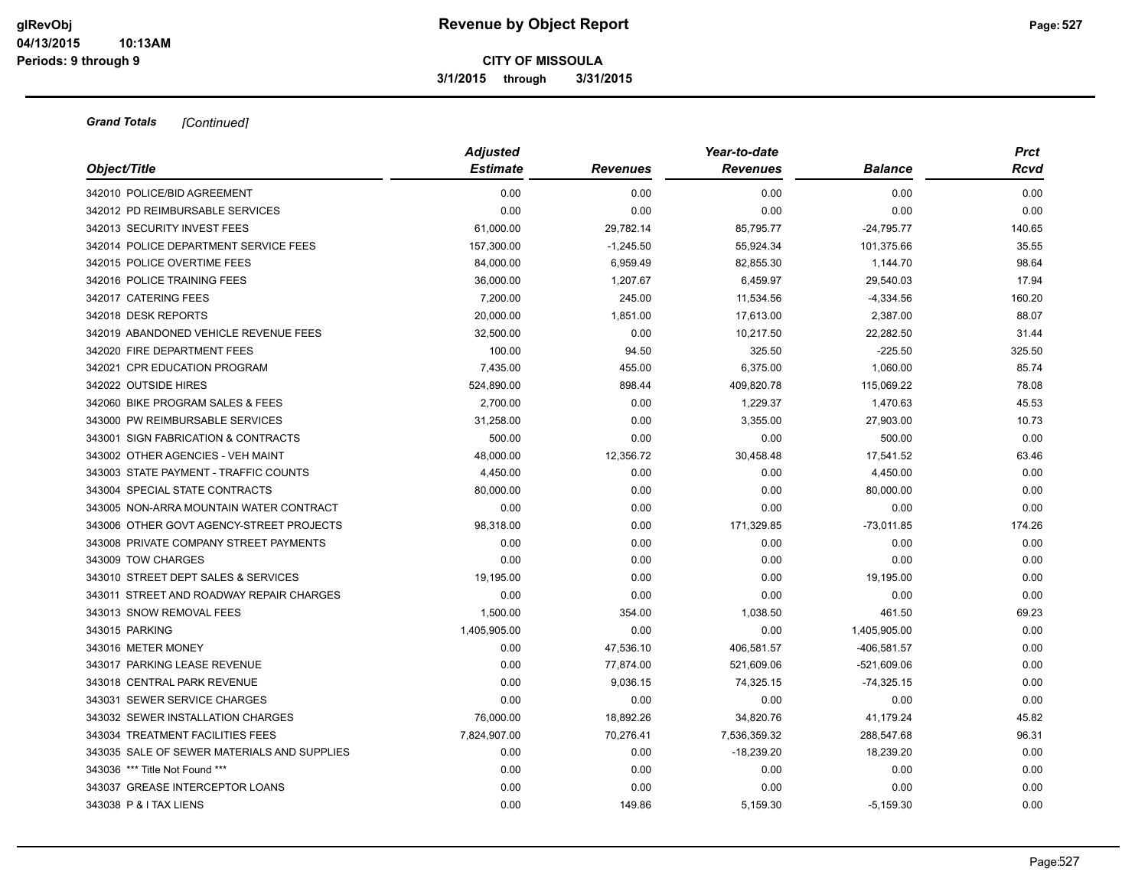**3/1/2015 through 3/31/2015**

|                                             | <b>Adjusted</b> |                 | Year-to-date    |                | <b>Prct</b> |  |
|---------------------------------------------|-----------------|-----------------|-----------------|----------------|-------------|--|
| Object/Title                                | <b>Estimate</b> | <b>Revenues</b> | <b>Revenues</b> | <b>Balance</b> | Rcvd        |  |
| 342010 POLICE/BID AGREEMENT                 | 0.00            | 0.00            | 0.00            | 0.00           | 0.00        |  |
| 342012 PD REIMBURSABLE SERVICES             | 0.00            | 0.00            | 0.00            | 0.00           | 0.00        |  |
| 342013 SECURITY INVEST FEES                 | 61,000.00       | 29,782.14       | 85,795.77       | $-24,795.77$   | 140.65      |  |
| 342014 POLICE DEPARTMENT SERVICE FEES       | 157,300.00      | $-1,245.50$     | 55,924.34       | 101,375.66     | 35.55       |  |
| 342015 POLICE OVERTIME FEES                 | 84,000.00       | 6,959.49        | 82,855.30       | 1,144.70       | 98.64       |  |
| 342016 POLICE TRAINING FEES                 | 36,000.00       | 1,207.67        | 6,459.97        | 29,540.03      | 17.94       |  |
| 342017 CATERING FEES                        | 7,200.00        | 245.00          | 11,534.56       | $-4,334.56$    | 160.20      |  |
| 342018 DESK REPORTS                         | 20,000.00       | 1,851.00        | 17,613.00       | 2,387.00       | 88.07       |  |
| 342019 ABANDONED VEHICLE REVENUE FEES       | 32,500.00       | 0.00            | 10,217.50       | 22,282.50      | 31.44       |  |
| 342020 FIRE DEPARTMENT FEES                 | 100.00          | 94.50           | 325.50          | $-225.50$      | 325.50      |  |
| 342021 CPR EDUCATION PROGRAM                | 7,435.00        | 455.00          | 6,375.00        | 1,060.00       | 85.74       |  |
| 342022 OUTSIDE HIRES                        | 524,890.00      | 898.44          | 409,820.78      | 115,069.22     | 78.08       |  |
| 342060 BIKE PROGRAM SALES & FEES            | 2,700.00        | 0.00            | 1,229.37        | 1,470.63       | 45.53       |  |
| 343000 PW REIMBURSABLE SERVICES             | 31,258.00       | 0.00            | 3,355.00        | 27,903.00      | 10.73       |  |
| 343001 SIGN FABRICATION & CONTRACTS         | 500.00          | 0.00            | 0.00            | 500.00         | 0.00        |  |
| 343002 OTHER AGENCIES - VEH MAINT           | 48,000.00       | 12,356.72       | 30,458.48       | 17,541.52      | 63.46       |  |
| 343003 STATE PAYMENT - TRAFFIC COUNTS       | 4,450.00        | 0.00            | 0.00            | 4,450.00       | 0.00        |  |
| 343004 SPECIAL STATE CONTRACTS              | 80,000.00       | 0.00            | 0.00            | 80,000.00      | 0.00        |  |
| 343005 NON-ARRA MOUNTAIN WATER CONTRACT     | 0.00            | 0.00            | 0.00            | 0.00           | 0.00        |  |
| 343006 OTHER GOVT AGENCY-STREET PROJECTS    | 98,318.00       | 0.00            | 171,329.85      | $-73,011.85$   | 174.26      |  |
| 343008 PRIVATE COMPANY STREET PAYMENTS      | 0.00            | 0.00            | 0.00            | 0.00           | 0.00        |  |
| 343009 TOW CHARGES                          | 0.00            | 0.00            | 0.00            | 0.00           | 0.00        |  |
| 343010 STREET DEPT SALES & SERVICES         | 19,195.00       | 0.00            | 0.00            | 19,195.00      | 0.00        |  |
| 343011 STREET AND ROADWAY REPAIR CHARGES    | 0.00            | 0.00            | 0.00            | 0.00           | 0.00        |  |
| 343013 SNOW REMOVAL FEES                    | 1,500.00        | 354.00          | 1,038.50        | 461.50         | 69.23       |  |
| 343015 PARKING                              | 1,405,905.00    | 0.00            | 0.00            | 1,405,905.00   | 0.00        |  |
| 343016 METER MONEY                          | 0.00            | 47,536.10       | 406,581.57      | -406,581.57    | 0.00        |  |
| 343017 PARKING LEASE REVENUE                | 0.00            | 77,874.00       | 521,609.06      | $-521,609.06$  | 0.00        |  |
| 343018 CENTRAL PARK REVENUE                 | 0.00            | 9,036.15        | 74,325.15       | $-74,325.15$   | 0.00        |  |
| 343031 SEWER SERVICE CHARGES                | 0.00            | 0.00            | 0.00            | 0.00           | 0.00        |  |
| 343032 SEWER INSTALLATION CHARGES           | 76,000.00       | 18,892.26       | 34,820.76       | 41,179.24      | 45.82       |  |
| 343034 TREATMENT FACILITIES FEES            | 7,824,907.00    | 70,276.41       | 7,536,359.32    | 288,547.68     | 96.31       |  |
| 343035 SALE OF SEWER MATERIALS AND SUPPLIES | 0.00            | 0.00            | $-18,239.20$    | 18,239.20      | 0.00        |  |
| 343036 *** Title Not Found ***              | 0.00            | 0.00            | 0.00            | 0.00           | 0.00        |  |
| 343037 GREASE INTERCEPTOR LOANS             | 0.00            | 0.00            | 0.00            | 0.00           | 0.00        |  |
| 343038 P & I TAX LIENS                      | 0.00            | 149.86          | 5,159.30        | $-5,159.30$    | 0.00        |  |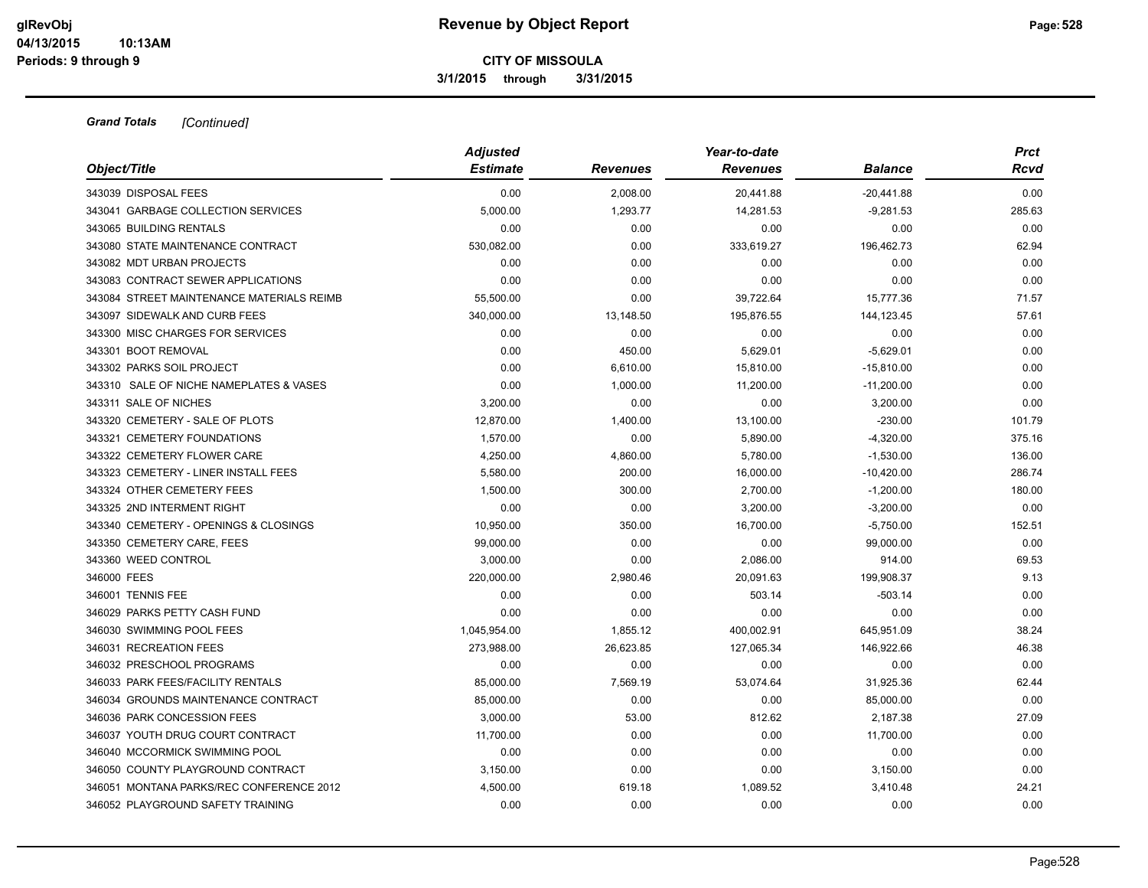**3/1/2015 through 3/31/2015**

| Object/Title                              | <b>Adjusted</b><br><b>Estimate</b> | Revenues  | Year-to-date<br><b>Revenues</b> | <b>Balance</b> | <b>Prct</b><br>Rcvd |
|-------------------------------------------|------------------------------------|-----------|---------------------------------|----------------|---------------------|
| 343039 DISPOSAL FEES                      | 0.00                               | 2,008.00  | 20,441.88                       | $-20,441.88$   | 0.00                |
| 343041 GARBAGE COLLECTION SERVICES        | 5,000.00                           | 1,293.77  | 14,281.53                       | $-9,281.53$    | 285.63              |
| 343065 BUILDING RENTALS                   | 0.00                               | 0.00      | 0.00                            | 0.00           | 0.00                |
| 343080 STATE MAINTENANCE CONTRACT         | 530,082.00                         | 0.00      | 333,619.27                      | 196,462.73     | 62.94               |
| 343082 MDT URBAN PROJECTS                 | 0.00                               | 0.00      | 0.00                            | 0.00           | 0.00                |
| 343083 CONTRACT SEWER APPLICATIONS        | 0.00                               | 0.00      | 0.00                            | 0.00           | 0.00                |
| 343084 STREET MAINTENANCE MATERIALS REIMB | 55,500.00                          | 0.00      | 39,722.64                       | 15,777.36      | 71.57               |
| 343097 SIDEWALK AND CURB FEES             | 340,000.00                         | 13,148.50 | 195,876.55                      | 144,123.45     | 57.61               |
| 343300 MISC CHARGES FOR SERVICES          | 0.00                               | 0.00      | 0.00                            | 0.00           | 0.00                |
| 343301 BOOT REMOVAL                       | 0.00                               | 450.00    | 5,629.01                        | $-5,629.01$    | 0.00                |
| 343302 PARKS SOIL PROJECT                 | 0.00                               | 6,610.00  | 15,810.00                       | $-15,810.00$   | 0.00                |
| 343310 SALE OF NICHE NAMEPLATES & VASES   | 0.00                               | 1,000.00  | 11,200.00                       | $-11,200.00$   | 0.00                |
| 343311 SALE OF NICHES                     | 3,200.00                           | 0.00      | 0.00                            | 3,200.00       | 0.00                |
| 343320 CEMETERY - SALE OF PLOTS           | 12,870.00                          | 1,400.00  | 13,100.00                       | $-230.00$      | 101.79              |
| 343321 CEMETERY FOUNDATIONS               | 1,570.00                           | 0.00      | 5,890.00                        | $-4,320.00$    | 375.16              |
| 343322 CEMETERY FLOWER CARE               | 4,250.00                           | 4,860.00  | 5,780.00                        | $-1,530.00$    | 136.00              |
| 343323 CEMETERY - LINER INSTALL FEES      | 5,580.00                           | 200.00    | 16,000.00                       | $-10,420.00$   | 286.74              |
| 343324 OTHER CEMETERY FEES                | 1,500.00                           | 300.00    | 2,700.00                        | $-1,200.00$    | 180.00              |
| 343325 2ND INTERMENT RIGHT                | 0.00                               | 0.00      | 3,200.00                        | $-3,200.00$    | 0.00                |
| 343340 CEMETERY - OPENINGS & CLOSINGS     | 10,950.00                          | 350.00    | 16,700.00                       | $-5,750.00$    | 152.51              |
| 343350 CEMETERY CARE, FEES                | 99,000.00                          | 0.00      | 0.00                            | 99,000.00      | 0.00                |
| 343360 WEED CONTROL                       | 3,000.00                           | 0.00      | 2,086.00                        | 914.00         | 69.53               |
| 346000 FEES                               | 220,000.00                         | 2,980.46  | 20,091.63                       | 199,908.37     | 9.13                |
| 346001 TENNIS FEE                         | 0.00                               | 0.00      | 503.14                          | $-503.14$      | 0.00                |
| 346029 PARKS PETTY CASH FUND              | 0.00                               | 0.00      | 0.00                            | 0.00           | 0.00                |
| 346030 SWIMMING POOL FEES                 | 1,045,954.00                       | 1,855.12  | 400,002.91                      | 645,951.09     | 38.24               |
| 346031 RECREATION FEES                    | 273,988.00                         | 26,623.85 | 127,065.34                      | 146,922.66     | 46.38               |
| 346032 PRESCHOOL PROGRAMS                 | 0.00                               | 0.00      | 0.00                            | 0.00           | 0.00                |
| 346033 PARK FEES/FACILITY RENTALS         | 85,000.00                          | 7,569.19  | 53,074.64                       | 31,925.36      | 62.44               |
| 346034 GROUNDS MAINTENANCE CONTRACT       | 85,000.00                          | 0.00      | 0.00                            | 85,000.00      | 0.00                |
| 346036 PARK CONCESSION FEES               | 3,000.00                           | 53.00     | 812.62                          | 2,187.38       | 27.09               |
| 346037 YOUTH DRUG COURT CONTRACT          | 11,700.00                          | 0.00      | 0.00                            | 11,700.00      | 0.00                |
| 346040 MCCORMICK SWIMMING POOL            | 0.00                               | 0.00      | 0.00                            | 0.00           | 0.00                |
| 346050 COUNTY PLAYGROUND CONTRACT         | 3,150.00                           | 0.00      | 0.00                            | 3,150.00       | 0.00                |
| 346051 MONTANA PARKS/REC CONFERENCE 2012  | 4,500.00                           | 619.18    | 1,089.52                        | 3,410.48       | 24.21               |
| 346052 PLAYGROUND SAFETY TRAINING         | 0.00                               | 0.00      | 0.00                            | 0.00           | 0.00                |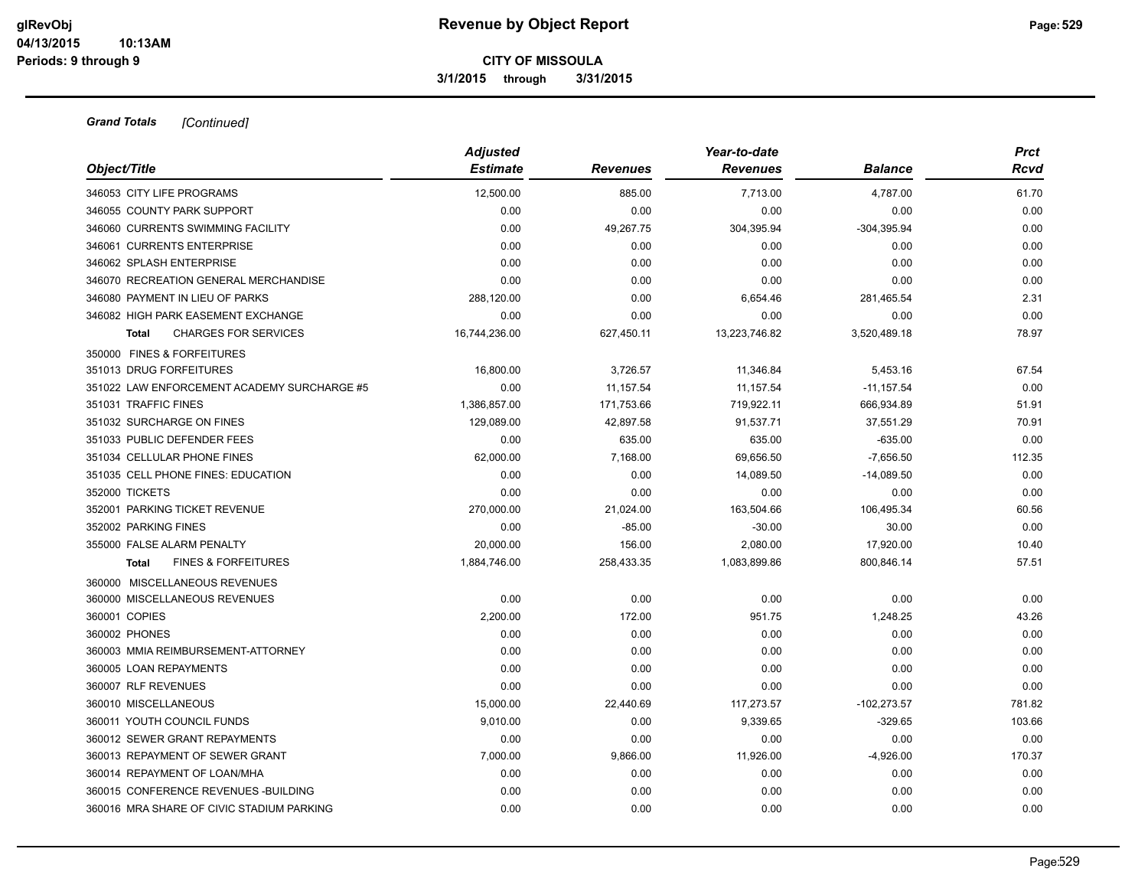**3/1/2015 through 3/31/2015**

| Object/Title                                   | <b>Adjusted</b><br><b>Estimate</b> | <b>Revenues</b> | Year-to-date<br><b>Revenues</b> | <b>Balance</b> | <b>Prct</b><br>Rcvd |
|------------------------------------------------|------------------------------------|-----------------|---------------------------------|----------------|---------------------|
|                                                |                                    |                 |                                 |                |                     |
| 346053 CITY LIFE PROGRAMS                      | 12,500.00                          | 885.00          | 7,713.00                        | 4,787.00       | 61.70               |
| 346055 COUNTY PARK SUPPORT                     | 0.00                               | 0.00            | 0.00                            | 0.00           | 0.00                |
| 346060 CURRENTS SWIMMING FACILITY              | 0.00                               | 49,267.75       | 304,395.94                      | $-304, 395.94$ | 0.00                |
| 346061 CURRENTS ENTERPRISE                     | 0.00                               | 0.00            | 0.00                            | 0.00           | 0.00                |
| 346062 SPLASH ENTERPRISE                       | 0.00                               | 0.00            | 0.00                            | 0.00           | 0.00                |
| 346070 RECREATION GENERAL MERCHANDISE          | 0.00                               | 0.00            | 0.00                            | 0.00           | 0.00                |
| 346080 PAYMENT IN LIEU OF PARKS                | 288,120.00                         | 0.00            | 6,654.46                        | 281,465.54     | 2.31                |
| 346082 HIGH PARK EASEMENT EXCHANGE             | 0.00                               | 0.00            | 0.00                            | 0.00           | 0.00                |
| <b>CHARGES FOR SERVICES</b><br><b>Total</b>    | 16,744,236.00                      | 627,450.11      | 13,223,746.82                   | 3,520,489.18   | 78.97               |
| 350000 FINES & FORFEITURES                     |                                    |                 |                                 |                |                     |
| 351013 DRUG FORFEITURES                        | 16,800.00                          | 3,726.57        | 11,346.84                       | 5,453.16       | 67.54               |
| 351022 LAW ENFORCEMENT ACADEMY SURCHARGE #5    | 0.00                               | 11,157.54       | 11,157.54                       | $-11, 157.54$  | 0.00                |
| 351031 TRAFFIC FINES                           | 1,386,857.00                       | 171,753.66      | 719,922.11                      | 666,934.89     | 51.91               |
| 351032 SURCHARGE ON FINES                      | 129,089.00                         | 42,897.58       | 91,537.71                       | 37,551.29      | 70.91               |
| 351033 PUBLIC DEFENDER FEES                    | 0.00                               | 635.00          | 635.00                          | $-635.00$      | 0.00                |
| 351034 CELLULAR PHONE FINES                    | 62,000.00                          | 7,168.00        | 69,656.50                       | $-7,656.50$    | 112.35              |
| 351035 CELL PHONE FINES: EDUCATION             | 0.00                               | 0.00            | 14,089.50                       | $-14,089.50$   | 0.00                |
| 352000 TICKETS                                 | 0.00                               | 0.00            | 0.00                            | 0.00           | 0.00                |
| 352001 PARKING TICKET REVENUE                  | 270,000.00                         | 21,024.00       | 163,504.66                      | 106,495.34     | 60.56               |
| 352002 PARKING FINES                           | 0.00                               | $-85.00$        | $-30.00$                        | 30.00          | 0.00                |
| 355000 FALSE ALARM PENALTY                     | 20,000.00                          | 156.00          | 2,080.00                        | 17,920.00      | 10.40               |
| <b>FINES &amp; FORFEITURES</b><br><b>Total</b> | 1,884,746.00                       | 258,433.35      | 1,083,899.86                    | 800,846.14     | 57.51               |
| 360000 MISCELLANEOUS REVENUES                  |                                    |                 |                                 |                |                     |
| 360000 MISCELLANEOUS REVENUES                  | 0.00                               | 0.00            | 0.00                            | 0.00           | 0.00                |
| 360001 COPIES                                  | 2,200.00                           | 172.00          | 951.75                          | 1,248.25       | 43.26               |
| 360002 PHONES                                  | 0.00                               | 0.00            | 0.00                            | 0.00           | 0.00                |
| 360003 MMIA REIMBURSEMENT-ATTORNEY             | 0.00                               | 0.00            | 0.00                            | 0.00           | 0.00                |
| 360005 LOAN REPAYMENTS                         | 0.00                               | 0.00            | 0.00                            | 0.00           | 0.00                |
| 360007 RLF REVENUES                            | 0.00                               | 0.00            | 0.00                            | 0.00           | 0.00                |
| 360010 MISCELLANEOUS                           | 15,000.00                          | 22,440.69       | 117,273.57                      | $-102,273.57$  | 781.82              |
| 360011 YOUTH COUNCIL FUNDS                     | 9,010.00                           | 0.00            | 9,339.65                        | $-329.65$      | 103.66              |
| 360012 SEWER GRANT REPAYMENTS                  | 0.00                               | 0.00            | 0.00                            | 0.00           | 0.00                |
| 360013 REPAYMENT OF SEWER GRANT                | 7,000.00                           | 9,866.00        | 11,926.00                       | $-4,926.00$    | 170.37              |
| 360014 REPAYMENT OF LOAN/MHA                   | 0.00                               | 0.00            | 0.00                            | 0.00           | 0.00                |
| 360015 CONFERENCE REVENUES - BUILDING          | 0.00                               | 0.00            | 0.00                            | 0.00           | 0.00                |
| 360016 MRA SHARE OF CIVIC STADIUM PARKING      | 0.00                               | 0.00            | 0.00                            | 0.00           | 0.00                |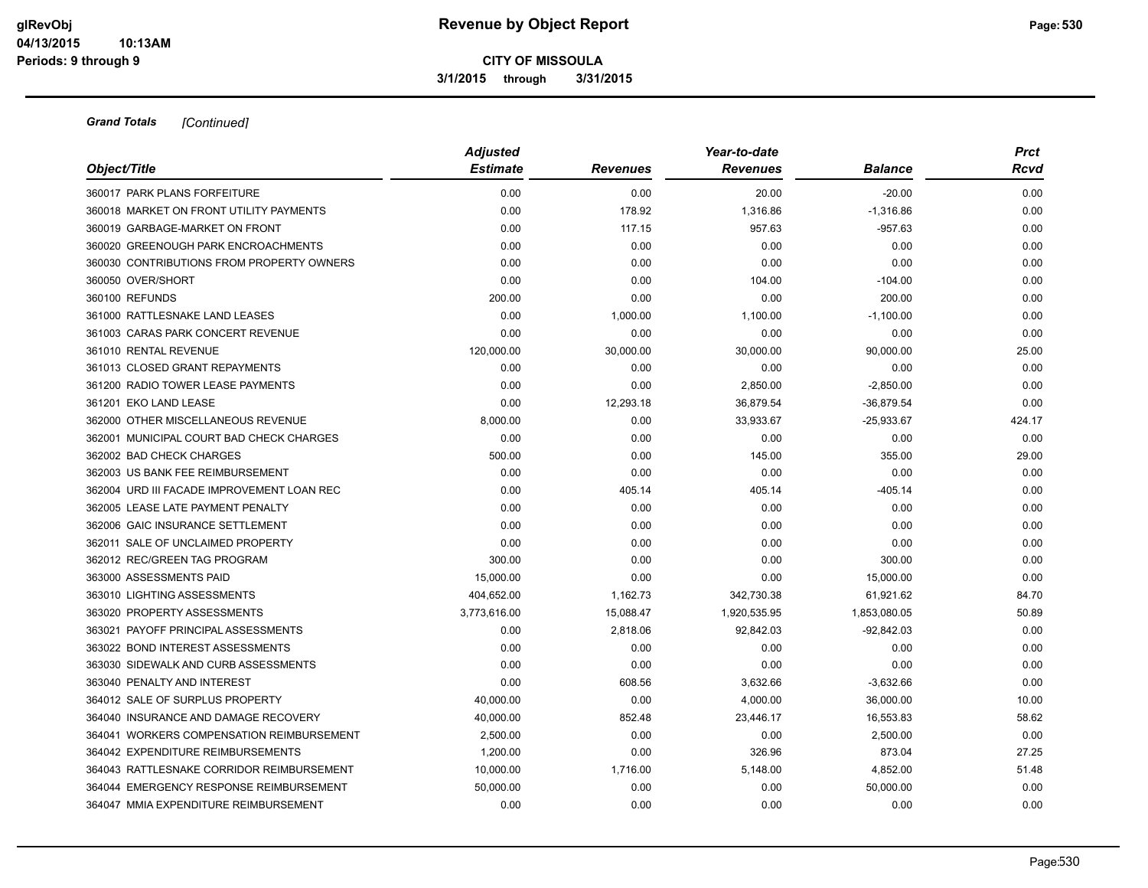**3/1/2015 through 3/31/2015**

| Object/Title                               | <b>Adjusted</b> |                 | Year-to-date    |                | <b>Prct</b> |
|--------------------------------------------|-----------------|-----------------|-----------------|----------------|-------------|
|                                            | <b>Estimate</b> | <b>Revenues</b> | <b>Revenues</b> | <b>Balance</b> | Rcvd        |
| 360017 PARK PLANS FORFEITURE               | 0.00            | 0.00            | 20.00           | $-20.00$       | 0.00        |
| 360018 MARKET ON FRONT UTILITY PAYMENTS    | 0.00            | 178.92          | 1,316.86        | $-1,316.86$    | 0.00        |
| 360019 GARBAGE-MARKET ON FRONT             | 0.00            | 117.15          | 957.63          | $-957.63$      | 0.00        |
| 360020 GREENOUGH PARK ENCROACHMENTS        | 0.00            | 0.00            | 0.00            | 0.00           | 0.00        |
| 360030 CONTRIBUTIONS FROM PROPERTY OWNERS  | 0.00            | 0.00            | 0.00            | 0.00           | 0.00        |
| 360050 OVER/SHORT                          | 0.00            | 0.00            | 104.00          | $-104.00$      | 0.00        |
| 360100 REFUNDS                             | 200.00          | 0.00            | 0.00            | 200.00         | 0.00        |
| 361000 RATTLESNAKE LAND LEASES             | 0.00            | 1,000.00        | 1,100.00        | $-1,100.00$    | 0.00        |
| 361003 CARAS PARK CONCERT REVENUE          | 0.00            | 0.00            | 0.00            | 0.00           | 0.00        |
| 361010 RENTAL REVENUE                      | 120,000.00      | 30,000.00       | 30,000.00       | 90,000.00      | 25.00       |
| 361013 CLOSED GRANT REPAYMENTS             | 0.00            | 0.00            | 0.00            | 0.00           | 0.00        |
| 361200 RADIO TOWER LEASE PAYMENTS          | 0.00            | 0.00            | 2,850.00        | $-2,850.00$    | 0.00        |
| 361201 EKO LAND LEASE                      | 0.00            | 12,293.18       | 36,879.54       | $-36,879.54$   | 0.00        |
| 362000 OTHER MISCELLANEOUS REVENUE         | 8,000.00        | 0.00            | 33,933.67       | $-25,933.67$   | 424.17      |
| 362001 MUNICIPAL COURT BAD CHECK CHARGES   | 0.00            | 0.00            | 0.00            | 0.00           | 0.00        |
| 362002 BAD CHECK CHARGES                   | 500.00          | 0.00            | 145.00          | 355.00         | 29.00       |
| 362003 US BANK FEE REIMBURSEMENT           | 0.00            | 0.00            | 0.00            | 0.00           | 0.00        |
| 362004 URD III FACADE IMPROVEMENT LOAN REC | 0.00            | 405.14          | 405.14          | $-405.14$      | 0.00        |
| 362005 LEASE LATE PAYMENT PENALTY          | 0.00            | 0.00            | 0.00            | 0.00           | 0.00        |
| 362006 GAIC INSURANCE SETTLEMENT           | 0.00            | 0.00            | 0.00            | 0.00           | 0.00        |
| 362011 SALE OF UNCLAIMED PROPERTY          | 0.00            | 0.00            | 0.00            | 0.00           | 0.00        |
| 362012 REC/GREEN TAG PROGRAM               | 300.00          | 0.00            | 0.00            | 300.00         | 0.00        |
| 363000 ASSESSMENTS PAID                    | 15.000.00       | 0.00            | 0.00            | 15,000.00      | 0.00        |
| 363010 LIGHTING ASSESSMENTS                | 404,652.00      | 1,162.73        | 342,730.38      | 61,921.62      | 84.70       |
| 363020 PROPERTY ASSESSMENTS                | 3,773,616.00    | 15,088.47       | 1,920,535.95    | 1,853,080.05   | 50.89       |
| 363021 PAYOFF PRINCIPAL ASSESSMENTS        | 0.00            | 2,818.06        | 92,842.03       | $-92,842.03$   | 0.00        |
| 363022 BOND INTEREST ASSESSMENTS           | 0.00            | 0.00            | 0.00            | 0.00           | 0.00        |
| 363030 SIDEWALK AND CURB ASSESSMENTS       | 0.00            | 0.00            | 0.00            | 0.00           | 0.00        |
| 363040 PENALTY AND INTEREST                | 0.00            | 608.56          | 3,632.66        | $-3,632.66$    | 0.00        |
| 364012 SALE OF SURPLUS PROPERTY            | 40,000.00       | 0.00            | 4,000.00        | 36,000.00      | 10.00       |
| 364040 INSURANCE AND DAMAGE RECOVERY       | 40,000.00       | 852.48          | 23,446.17       | 16,553.83      | 58.62       |
| 364041 WORKERS COMPENSATION REIMBURSEMENT  | 2,500.00        | 0.00            | 0.00            | 2,500.00       | 0.00        |
| 364042 EXPENDITURE REIMBURSEMENTS          | 1,200.00        | 0.00            | 326.96          | 873.04         | 27.25       |
| 364043 RATTLESNAKE CORRIDOR REIMBURSEMENT  | 10,000.00       | 1,716.00        | 5,148.00        | 4,852.00       | 51.48       |
| 364044 EMERGENCY RESPONSE REIMBURSEMENT    | 50,000.00       | 0.00            | 0.00            | 50,000.00      | 0.00        |
| 364047 MMIA EXPENDITURE REIMBURSEMENT      | 0.00            | 0.00            | 0.00            | 0.00           | 0.00        |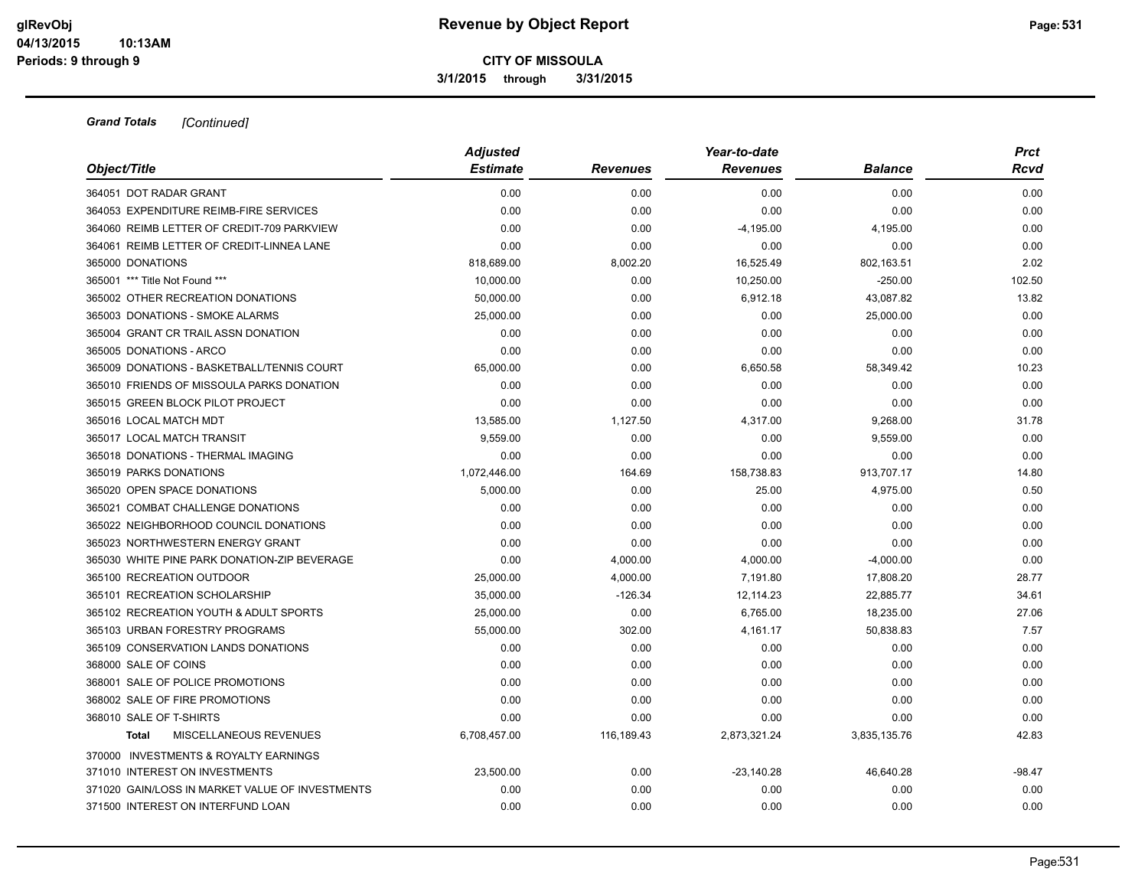**3/1/2015 through 3/31/2015**

| Object/Title                                    | <b>Adjusted</b><br><b>Estimate</b> | <b>Revenues</b> | Year-to-date<br><b>Revenues</b> | <b>Balance</b> | <b>Prct</b><br><b>Rcvd</b> |
|-------------------------------------------------|------------------------------------|-----------------|---------------------------------|----------------|----------------------------|
| 364051 DOT RADAR GRANT                          | 0.00                               |                 |                                 |                |                            |
| 364053 EXPENDITURE REIMB-FIRE SERVICES          | 0.00                               | 0.00<br>0.00    | 0.00<br>0.00                    | 0.00<br>0.00   | 0.00<br>0.00               |
| 364060 REIMB LETTER OF CREDIT-709 PARKVIEW      | 0.00                               | 0.00            | $-4,195.00$                     | 4,195.00       | 0.00                       |
| 364061 REIMB LETTER OF CREDIT-LINNEA LANE       |                                    | 0.00            |                                 | 0.00           |                            |
| 365000 DONATIONS                                | 0.00<br>818,689.00                 | 8,002.20        | 0.00<br>16,525.49               | 802,163.51     | 0.00<br>2.02               |
| 365001 *** Title Not Found ***                  | 10,000.00                          | 0.00            | 10,250.00                       | $-250.00$      | 102.50                     |
|                                                 |                                    |                 |                                 |                |                            |
| 365002 OTHER RECREATION DONATIONS               | 50,000.00                          | 0.00            | 6,912.18                        | 43,087.82      | 13.82                      |
| 365003 DONATIONS - SMOKE ALARMS                 | 25,000.00                          | 0.00            | 0.00                            | 25,000.00      | 0.00                       |
| 365004 GRANT CR TRAIL ASSN DONATION             | 0.00                               | 0.00            | 0.00                            | 0.00           | 0.00                       |
| 365005 DONATIONS - ARCO                         | 0.00                               | 0.00            | 0.00                            | 0.00           | 0.00                       |
| 365009 DONATIONS - BASKETBALL/TENNIS COURT      | 65,000.00                          | 0.00            | 6,650.58                        | 58,349.42      | 10.23                      |
| 365010 FRIENDS OF MISSOULA PARKS DONATION       | 0.00                               | 0.00            | 0.00                            | 0.00           | 0.00                       |
| 365015 GREEN BLOCK PILOT PROJECT                | 0.00                               | 0.00            | 0.00                            | 0.00           | 0.00                       |
| 365016 LOCAL MATCH MDT                          | 13,585.00                          | 1,127.50        | 4,317.00                        | 9,268.00       | 31.78                      |
| 365017 LOCAL MATCH TRANSIT                      | 9,559.00                           | 0.00            | 0.00                            | 9,559.00       | 0.00                       |
| 365018 DONATIONS - THERMAL IMAGING              | 0.00                               | 0.00            | 0.00                            | 0.00           | 0.00                       |
| 365019 PARKS DONATIONS                          | 1,072,446.00                       | 164.69          | 158,738.83                      | 913,707.17     | 14.80                      |
| 365020 OPEN SPACE DONATIONS                     | 5,000.00                           | 0.00            | 25.00                           | 4,975.00       | 0.50                       |
| 365021 COMBAT CHALLENGE DONATIONS               | 0.00                               | 0.00            | 0.00                            | 0.00           | 0.00                       |
| 365022 NEIGHBORHOOD COUNCIL DONATIONS           | 0.00                               | 0.00            | 0.00                            | 0.00           | 0.00                       |
| 365023 NORTHWESTERN ENERGY GRANT                | 0.00                               | 0.00            | 0.00                            | 0.00           | 0.00                       |
| 365030 WHITE PINE PARK DONATION-ZIP BEVERAGE    | 0.00                               | 4,000.00        | 4,000.00                        | $-4,000.00$    | 0.00                       |
| 365100 RECREATION OUTDOOR                       | 25,000.00                          | 4,000.00        | 7,191.80                        | 17,808.20      | 28.77                      |
| 365101 RECREATION SCHOLARSHIP                   | 35,000.00                          | $-126.34$       | 12,114.23                       | 22,885.77      | 34.61                      |
| 365102 RECREATION YOUTH & ADULT SPORTS          | 25,000.00                          | 0.00            | 6,765.00                        | 18,235.00      | 27.06                      |
| 365103 URBAN FORESTRY PROGRAMS                  | 55,000.00                          | 302.00          | 4,161.17                        | 50,838.83      | 7.57                       |
| 365109 CONSERVATION LANDS DONATIONS             | 0.00                               | 0.00            | 0.00                            | 0.00           | 0.00                       |
| 368000 SALE OF COINS                            | 0.00                               | 0.00            | 0.00                            | 0.00           | 0.00                       |
| 368001 SALE OF POLICE PROMOTIONS                | 0.00                               | 0.00            | 0.00                            | 0.00           | 0.00                       |
| 368002 SALE OF FIRE PROMOTIONS                  | 0.00                               | 0.00            | 0.00                            | 0.00           | 0.00                       |
| 368010 SALE OF T-SHIRTS                         | 0.00                               | 0.00            | 0.00                            | 0.00           | 0.00                       |
| MISCELLANEOUS REVENUES<br><b>Total</b>          | 6,708,457.00                       | 116,189.43      | 2,873,321.24                    | 3,835,135.76   | 42.83                      |
| 370000 INVESTMENTS & ROYALTY EARNINGS           |                                    |                 |                                 |                |                            |
| 371010 INTEREST ON INVESTMENTS                  | 23,500.00                          | 0.00            | $-23,140.28$                    | 46,640.28      | $-98.47$                   |
| 371020 GAIN/LOSS IN MARKET VALUE OF INVESTMENTS | 0.00                               | 0.00            | 0.00                            | 0.00           | 0.00                       |
| 371500 INTEREST ON INTERFUND LOAN               | 0.00                               | 0.00            | 0.00                            | 0.00           | 0.00                       |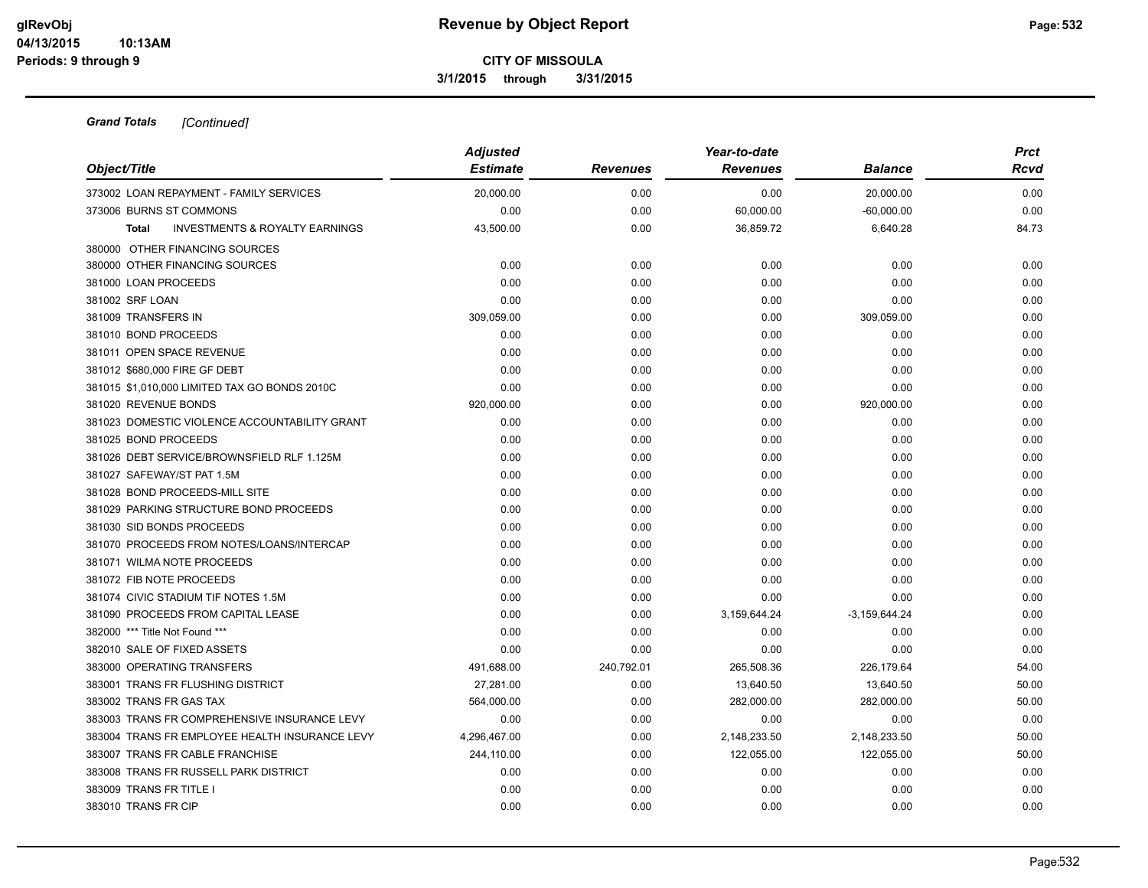**3/1/2015 through 3/31/2015**

| Object/Title                                              | <b>Adjusted</b> |                 | Year-to-date<br><b>Revenues</b> | <b>Balance</b>  | <b>Prct</b><br>Rcvd |
|-----------------------------------------------------------|-----------------|-----------------|---------------------------------|-----------------|---------------------|
|                                                           | <b>Estimate</b> | <b>Revenues</b> |                                 |                 |                     |
| 373002 LOAN REPAYMENT - FAMILY SERVICES                   | 20,000.00       | 0.00            | 0.00                            | 20,000.00       | 0.00                |
| 373006 BURNS ST COMMONS                                   | 0.00            | 0.00            | 60,000.00                       | $-60,000.00$    | 0.00                |
| <b>INVESTMENTS &amp; ROYALTY EARNINGS</b><br><b>Total</b> | 43,500.00       | 0.00            | 36,859.72                       | 6,640.28        | 84.73               |
| 380000 OTHER FINANCING SOURCES                            |                 |                 |                                 |                 |                     |
| 380000 OTHER FINANCING SOURCES                            | 0.00            | 0.00            | 0.00                            | 0.00            | 0.00                |
| 381000 LOAN PROCEEDS                                      | 0.00            | 0.00            | 0.00                            | 0.00            | 0.00                |
| 381002 SRF LOAN                                           | 0.00            | 0.00            | 0.00                            | 0.00            | 0.00                |
| 381009 TRANSFERS IN                                       | 309,059.00      | 0.00            | 0.00                            | 309,059.00      | 0.00                |
| 381010 BOND PROCEEDS                                      | 0.00            | 0.00            | 0.00                            | 0.00            | 0.00                |
| 381011 OPEN SPACE REVENUE                                 | 0.00            | 0.00            | 0.00                            | 0.00            | 0.00                |
| 381012 \$680,000 FIRE GF DEBT                             | 0.00            | 0.00            | 0.00                            | 0.00            | 0.00                |
| 381015 \$1,010,000 LIMITED TAX GO BONDS 2010C             | 0.00            | 0.00            | 0.00                            | 0.00            | 0.00                |
| 381020 REVENUE BONDS                                      | 920,000.00      | 0.00            | 0.00                            | 920,000.00      | 0.00                |
| 381023 DOMESTIC VIOLENCE ACCOUNTABILITY GRANT             | 0.00            | 0.00            | 0.00                            | 0.00            | 0.00                |
| 381025 BOND PROCEEDS                                      | 0.00            | 0.00            | 0.00                            | 0.00            | 0.00                |
| 381026 DEBT SERVICE/BROWNSFIELD RLF 1.125M                | 0.00            | 0.00            | 0.00                            | 0.00            | 0.00                |
| 381027 SAFEWAY/ST PAT 1.5M                                | 0.00            | 0.00            | 0.00                            | 0.00            | 0.00                |
| 381028 BOND PROCEEDS-MILL SITE                            | 0.00            | 0.00            | 0.00                            | 0.00            | 0.00                |
| 381029 PARKING STRUCTURE BOND PROCEEDS                    | 0.00            | 0.00            | 0.00                            | 0.00            | 0.00                |
| 381030 SID BONDS PROCEEDS                                 | 0.00            | 0.00            | 0.00                            | 0.00            | 0.00                |
| 381070 PROCEEDS FROM NOTES/LOANS/INTERCAP                 | 0.00            | 0.00            | 0.00                            | 0.00            | 0.00                |
| 381071 WILMA NOTE PROCEEDS                                | 0.00            | 0.00            | 0.00                            | 0.00            | 0.00                |
| 381072 FIB NOTE PROCEEDS                                  | 0.00            | 0.00            | 0.00                            | 0.00            | 0.00                |
| 381074 CIVIC STADIUM TIF NOTES 1.5M                       | 0.00            | 0.00            | 0.00                            | 0.00            | 0.00                |
| 381090 PROCEEDS FROM CAPITAL LEASE                        | 0.00            | 0.00            | 3,159,644.24                    | $-3,159,644.24$ | 0.00                |
| 382000 *** Title Not Found ***                            | 0.00            | 0.00            | 0.00                            | 0.00            | 0.00                |
| 382010 SALE OF FIXED ASSETS                               | 0.00            | 0.00            | 0.00                            | 0.00            | 0.00                |
| 383000 OPERATING TRANSFERS                                | 491,688.00      | 240,792.01      | 265,508.36                      | 226,179.64      | 54.00               |
| 383001 TRANS FR FLUSHING DISTRICT                         | 27,281.00       | 0.00            | 13,640.50                       | 13,640.50       | 50.00               |
| 383002 TRANS FR GAS TAX                                   | 564,000.00      | 0.00            | 282,000.00                      | 282,000.00      | 50.00               |
| 383003 TRANS FR COMPREHENSIVE INSURANCE LEVY              | 0.00            | 0.00            | 0.00                            | 0.00            | 0.00                |
| 383004 TRANS FR EMPLOYEE HEALTH INSURANCE LEVY            | 4,296,467.00    | 0.00            | 2,148,233.50                    | 2,148,233.50    | 50.00               |
| 383007 TRANS FR CABLE FRANCHISE                           | 244,110.00      | 0.00            | 122,055.00                      | 122,055.00      | 50.00               |
| 383008 TRANS FR RUSSELL PARK DISTRICT                     | 0.00            | 0.00            | 0.00                            | 0.00            | 0.00                |
| 383009 TRANS FR TITLE I                                   | 0.00            | 0.00            | 0.00                            | 0.00            | 0.00                |
| 383010 TRANS FR CIP                                       | 0.00            | 0.00            | 0.00                            | 0.00            | 0.00                |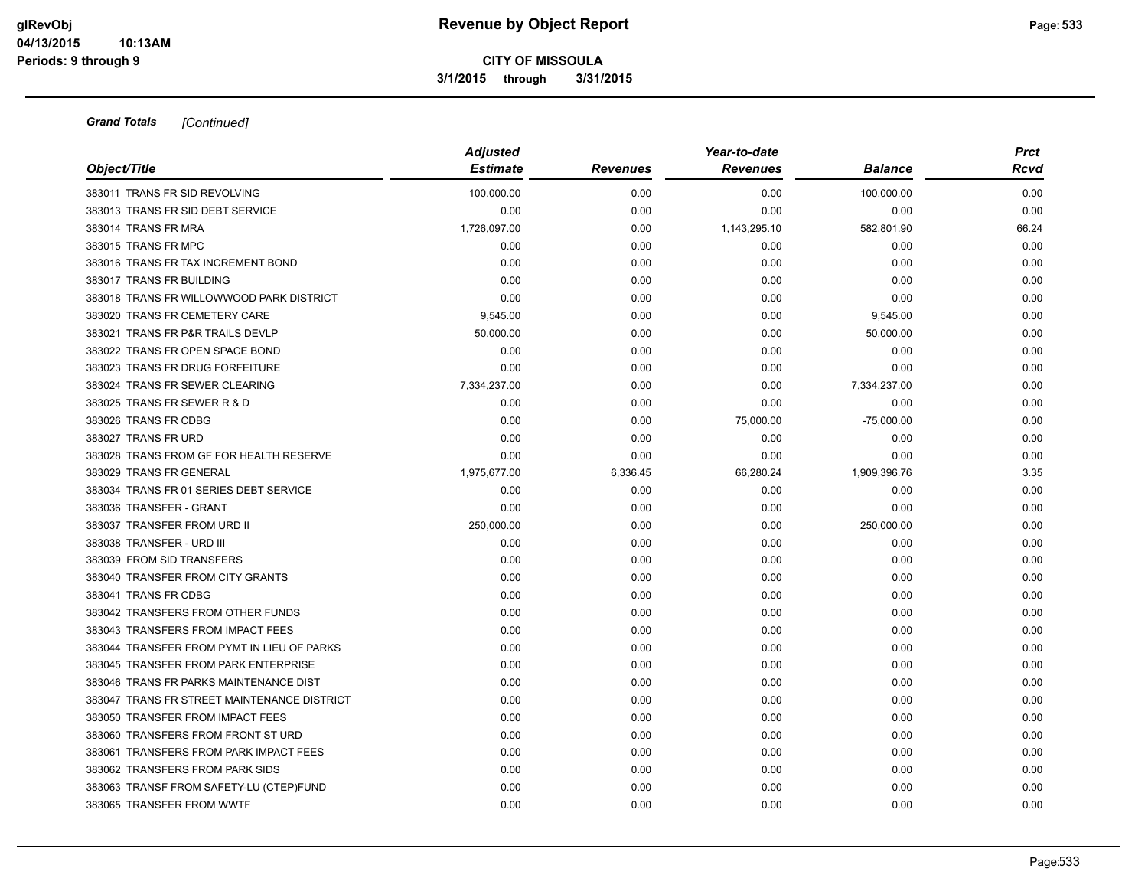### **CITY OF MISSOULA 3/1/2015 through 3/31/2015**

| Object/Title                                | <b>Adjusted</b> |                 | Year-to-date<br><b>Revenues</b> | <b>Balance</b> | <b>Prct</b><br>Rcvd |
|---------------------------------------------|-----------------|-----------------|---------------------------------|----------------|---------------------|
|                                             | <b>Estimate</b> | <b>Revenues</b> |                                 |                |                     |
| 383011 TRANS FR SID REVOLVING               | 100,000.00      | 0.00            | 0.00                            | 100,000.00     | 0.00                |
| 383013 TRANS FR SID DEBT SERVICE            | 0.00            | 0.00            | 0.00                            | 0.00           | 0.00                |
| 383014 TRANS FR MRA                         | 1,726,097.00    | 0.00            | 1,143,295.10                    | 582,801.90     | 66.24               |
| 383015 TRANS FR MPC                         | 0.00            | 0.00            | 0.00                            | 0.00           | 0.00                |
| 383016 TRANS FR TAX INCREMENT BOND          | 0.00            | 0.00            | 0.00                            | 0.00           | 0.00                |
| 383017 TRANS FR BUILDING                    | 0.00            | 0.00            | 0.00                            | 0.00           | 0.00                |
| 383018 TRANS FR WILLOWWOOD PARK DISTRICT    | 0.00            | 0.00            | 0.00                            | 0.00           | 0.00                |
| 383020 TRANS FR CEMETERY CARE               | 9,545.00        | 0.00            | 0.00                            | 9,545.00       | 0.00                |
| 383021 TRANS FR P&R TRAILS DEVLP            | 50,000.00       | 0.00            | 0.00                            | 50,000.00      | 0.00                |
| 383022 TRANS FR OPEN SPACE BOND             | 0.00            | 0.00            | 0.00                            | 0.00           | 0.00                |
| 383023 TRANS FR DRUG FORFEITURE             | 0.00            | 0.00            | 0.00                            | 0.00           | 0.00                |
| 383024 TRANS FR SEWER CLEARING              | 7,334,237.00    | 0.00            | 0.00                            | 7,334,237.00   | 0.00                |
| 383025 TRANS FR SEWER R & D                 | 0.00            | 0.00            | 0.00                            | 0.00           | 0.00                |
| 383026 TRANS FR CDBG                        | 0.00            | 0.00            | 75,000.00                       | $-75,000.00$   | 0.00                |
| 383027 TRANS FR URD                         | 0.00            | 0.00            | 0.00                            | 0.00           | 0.00                |
| 383028 TRANS FROM GF FOR HEALTH RESERVE     | 0.00            | 0.00            | 0.00                            | 0.00           | 0.00                |
| 383029 TRANS FR GENERAL                     | 1,975,677.00    | 6,336.45        | 66,280.24                       | 1,909,396.76   | 3.35                |
| 383034 TRANS FR 01 SERIES DEBT SERVICE      | 0.00            | 0.00            | 0.00                            | 0.00           | 0.00                |
| 383036 TRANSFER - GRANT                     | 0.00            | 0.00            | 0.00                            | 0.00           | 0.00                |
| 383037 TRANSFER FROM URD II                 | 250,000.00      | 0.00            | 0.00                            | 250,000.00     | 0.00                |
| 383038 TRANSFER - URD III                   | 0.00            | 0.00            | 0.00                            | 0.00           | 0.00                |
| 383039 FROM SID TRANSFERS                   | 0.00            | 0.00            | 0.00                            | 0.00           | 0.00                |
| 383040 TRANSFER FROM CITY GRANTS            | 0.00            | 0.00            | 0.00                            | 0.00           | 0.00                |
| 383041 TRANS FR CDBG                        | 0.00            | 0.00            | 0.00                            | 0.00           | 0.00                |
| 383042 TRANSFERS FROM OTHER FUNDS           | 0.00            | 0.00            | 0.00                            | 0.00           | 0.00                |
| 383043 TRANSFERS FROM IMPACT FEES           | 0.00            | 0.00            | 0.00                            | 0.00           | 0.00                |
| 383044 TRANSFER FROM PYMT IN LIEU OF PARKS  | 0.00            | 0.00            | 0.00                            | 0.00           | 0.00                |
| 383045 TRANSFER FROM PARK ENTERPRISE        | 0.00            | 0.00            | 0.00                            | 0.00           | 0.00                |
| 383046 TRANS FR PARKS MAINTENANCE DIST      | 0.00            | 0.00            | 0.00                            | 0.00           | 0.00                |
| 383047 TRANS FR STREET MAINTENANCE DISTRICT | 0.00            | 0.00            | 0.00                            | 0.00           | 0.00                |
| 383050 TRANSFER FROM IMPACT FEES            | 0.00            | 0.00            | 0.00                            | 0.00           | 0.00                |
| 383060 TRANSFERS FROM FRONT ST URD          | 0.00            | 0.00            | 0.00                            | 0.00           | 0.00                |
| 383061 TRANSFERS FROM PARK IMPACT FEES      | 0.00            | 0.00            | 0.00                            | 0.00           | 0.00                |
| 383062 TRANSFERS FROM PARK SIDS             | 0.00            | 0.00            | 0.00                            | 0.00           | 0.00                |
| 383063 TRANSF FROM SAFETY-LU (CTEP)FUND     | 0.00            | 0.00            | 0.00                            | 0.00           | 0.00                |
| 383065 TRANSFER FROM WWTF                   | 0.00            | 0.00            | 0.00                            | 0.00           | 0.00                |